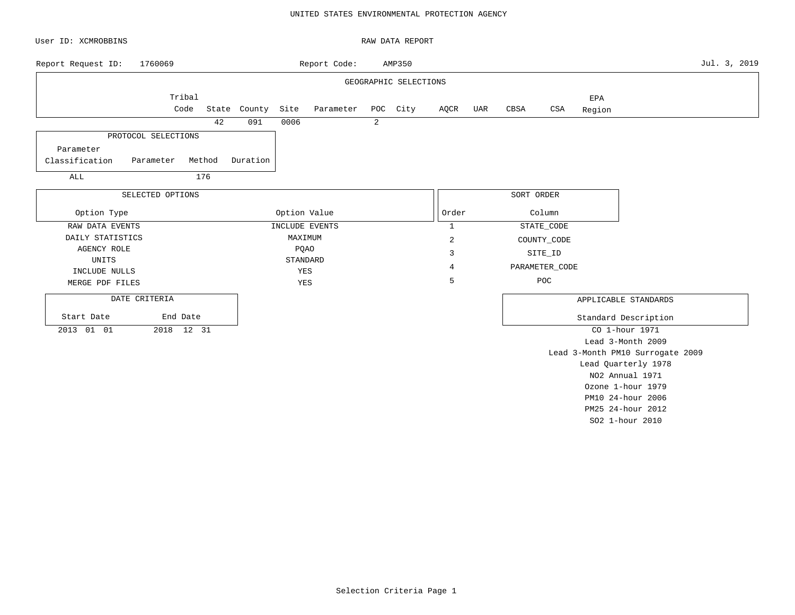### UNITED STATES ENVIRONMENTAL PROTECTION AGENCY

| User ID: XCMROBBINS         |                     |                                 |              |         |                |   | RAW DATA REPORT       |                |     |            |                   |               |                                  |              |
|-----------------------------|---------------------|---------------------------------|--------------|---------|----------------|---|-----------------------|----------------|-----|------------|-------------------|---------------|----------------------------------|--------------|
| Report Request ID:          | 1760069             |                                 |              |         | Report Code:   |   | AMP350                |                |     |            |                   |               |                                  | Jul. 3, 2019 |
|                             |                     |                                 |              |         |                |   | GEOGRAPHIC SELECTIONS |                |     |            |                   |               |                                  |              |
|                             | Tribal<br>Code      |                                 | State County | Site    | Parameter      |   | POC City              | AQCR           | UAR | CBSA       | CSA               | EPA<br>Region |                                  |              |
|                             |                     | 42                              | 091          | 0006    |                | 2 |                       |                |     |            |                   |               |                                  |              |
|                             | PROTOCOL SELECTIONS |                                 |              |         |                |   |                       |                |     |            |                   |               |                                  |              |
| Parameter<br>Classification | Parameter           | Method                          | Duration     |         |                |   |                       |                |     |            |                   |               |                                  |              |
| ALL                         |                     | 176                             |              |         |                |   |                       |                |     |            |                   |               |                                  |              |
|                             | SELECTED OPTIONS    |                                 |              |         |                |   |                       |                |     | SORT ORDER |                   |               |                                  |              |
| Option Type                 |                     | Option Value<br>Order<br>Column |              |         |                |   |                       |                |     |            |                   |               |                                  |              |
| RAW DATA EVENTS             |                     |                                 |              |         | INCLUDE EVENTS |   |                       | $\mathbf{1}$   |     |            | STATE_CODE        |               |                                  |              |
| DAILY STATISTICS            |                     |                                 |              | MAXIMUM |                |   |                       | $\overline{c}$ |     |            | COUNTY_CODE       |               |                                  |              |
| AGENCY ROLE                 |                     |                                 |              |         | PQAO           |   |                       | 3              |     |            | SITE_ID           |               |                                  |              |
| UNITS                       |                     |                                 |              |         | STANDARD       |   |                       | 4              |     |            | PARAMETER_CODE    |               |                                  |              |
| INCLUDE NULLS               |                     |                                 |              | YES     |                |   |                       |                |     |            |                   |               |                                  |              |
| MERGE PDF FILES             |                     |                                 |              | YES     |                |   |                       | 5              |     |            | POC               |               |                                  |              |
| DATE CRITERIA               |                     |                                 |              |         |                |   |                       |                |     |            |                   |               | APPLICABLE STANDARDS             |              |
| Start Date                  | End Date            |                                 |              |         |                |   |                       |                |     |            |                   |               | Standard Description             |              |
| 2013 01 01                  |                     |                                 |              |         |                |   |                       |                |     |            | CO 1-hour 1971    |               |                                  |              |
|                             |                     |                                 |              |         |                |   |                       |                |     |            | Lead 3-Month 2009 |               |                                  |              |
|                             |                     |                                 |              |         |                |   |                       |                |     |            |                   |               | Lead 3-Month PM10 Surrogate 2009 |              |
|                             |                     |                                 |              |         |                |   |                       |                |     |            |                   |               | Lead Quarterly 1978              |              |
|                             |                     |                                 |              |         |                |   |                       |                |     |            |                   |               | NO2 Annual 1971                  |              |
|                             |                     |                                 |              |         |                |   |                       |                |     |            | Ozone 1-hour 1979 |               |                                  |              |
|                             |                     |                                 |              |         |                |   |                       |                |     |            | PM10 24-hour 2006 |               |                                  |              |

Selection Criteria Page 1

PM25 24-hour 2012 SO2 1-hour 2010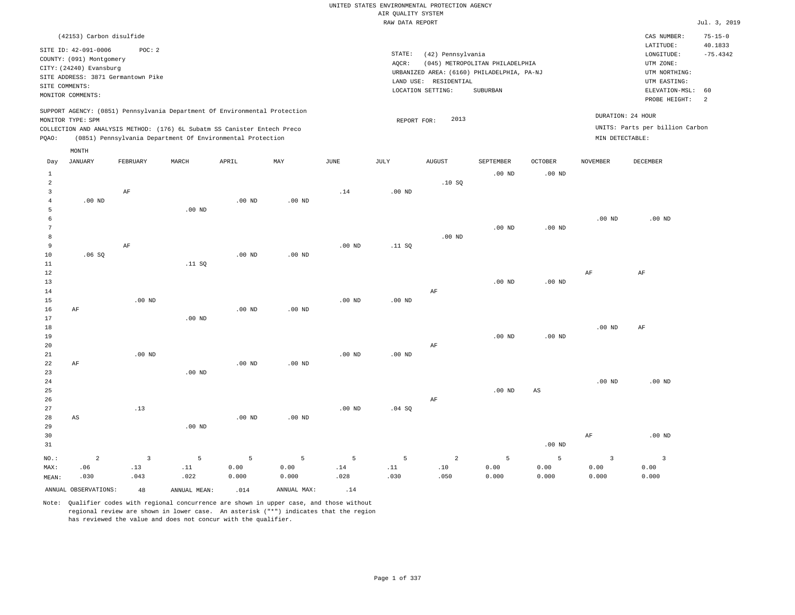## UNITED STATES ENVIRONMENTAL PROTECTION AGENCY AIR QUALITY SYSTEM

|                |                                                  |                                    |                                                                                                                                        |                   |          |                   | RAW DATA REPORT |                                            |                                 |                |                 |                                 | Jul. 3, 2019             |
|----------------|--------------------------------------------------|------------------------------------|----------------------------------------------------------------------------------------------------------------------------------------|-------------------|----------|-------------------|-----------------|--------------------------------------------|---------------------------------|----------------|-----------------|---------------------------------|--------------------------|
|                | (42153) Carbon disulfide<br>SITE ID: 42-091-0006 | POC: 2                             |                                                                                                                                        |                   |          |                   |                 |                                            |                                 |                |                 | CAS NUMBER:<br>LATITUDE:        | $75 - 15 - 0$<br>40.1833 |
|                | COUNTY: (091) Montgomery                         |                                    |                                                                                                                                        |                   |          |                   | STATE:          | (42) Pennsylvania                          |                                 |                |                 | LONGITUDE:                      | $-75.4342$               |
|                | CITY: (24240) Evansburg                          |                                    |                                                                                                                                        |                   |          |                   | AOCR:           |                                            | (045) METROPOLITAN PHILADELPHIA |                |                 | UTM ZONE:                       |                          |
|                |                                                  | SITE ADDRESS: 3871 Germantown Pike |                                                                                                                                        |                   |          |                   |                 | URBANIZED AREA: (6160) PHILADELPHIA, PA-NJ |                                 |                |                 | UTM NORTHING:                   |                          |
|                | SITE COMMENTS:                                   |                                    |                                                                                                                                        |                   |          |                   |                 | LAND USE: RESIDENTIAL                      |                                 |                |                 | UTM EASTING:                    |                          |
|                | MONITOR COMMENTS:                                |                                    |                                                                                                                                        |                   |          |                   |                 | LOCATION SETTING:                          | SUBURBAN                        |                |                 | ELEVATION-MSL:                  | 60                       |
|                |                                                  |                                    |                                                                                                                                        |                   |          |                   |                 |                                            |                                 |                |                 | PROBE HEIGHT:                   | 2                        |
|                |                                                  |                                    | SUPPORT AGENCY: (0851) Pennsylvania Department Of Environmental Protection                                                             |                   |          |                   |                 |                                            |                                 |                |                 | DURATION: 24 HOUR               |                          |
|                | MONITOR TYPE: SPM                                |                                    |                                                                                                                                        |                   |          |                   | REPORT FOR:     | 2013                                       |                                 |                |                 | UNITS: Parts per billion Carbon |                          |
|                |                                                  |                                    | COLLECTION AND ANALYSIS METHOD: (176) 6L Subatm SS Canister Entech Preco<br>(0851) Pennsylvania Department Of Environmental Protection |                   |          |                   |                 |                                            |                                 |                |                 |                                 |                          |
| POAO:          |                                                  |                                    |                                                                                                                                        |                   |          |                   |                 |                                            |                                 |                | MIN DETECTABLE: |                                 |                          |
|                | MONTH                                            |                                    |                                                                                                                                        |                   |          |                   |                 |                                            |                                 |                |                 |                                 |                          |
| Day            | <b>JANUARY</b>                                   | FEBRUARY                           | MARCH                                                                                                                                  | APRIL             | MAY      | JUNE              | JULY            | AUGUST                                     | SEPTEMBER                       | <b>OCTOBER</b> | NOVEMBER        | DECEMBER                        |                          |
| 1              |                                                  |                                    |                                                                                                                                        |                   |          |                   |                 |                                            | $.00$ ND                        | $.00$ ND       |                 |                                 |                          |
| 2              |                                                  |                                    |                                                                                                                                        |                   |          |                   |                 | .10SQ                                      |                                 |                |                 |                                 |                          |
| 3              |                                                  | AF                                 |                                                                                                                                        |                   |          | .14               | $.00$ ND        |                                            |                                 |                |                 |                                 |                          |
| $\overline{4}$ | $.00$ ND                                         |                                    |                                                                                                                                        | .00 <sub>ND</sub> | $.00$ ND |                   |                 |                                            |                                 |                |                 |                                 |                          |
| 5              |                                                  |                                    | $.00$ ND                                                                                                                               |                   |          |                   |                 |                                            |                                 |                |                 |                                 |                          |
| $\epsilon$     |                                                  |                                    |                                                                                                                                        |                   |          |                   |                 |                                            |                                 |                | $.00$ ND        | $.00$ ND                        |                          |
|                |                                                  |                                    |                                                                                                                                        |                   |          |                   |                 |                                            | $.00$ ND                        | $.00$ ND       |                 |                                 |                          |
| 8              |                                                  |                                    |                                                                                                                                        |                   |          |                   |                 | $.00$ ND                                   |                                 |                |                 |                                 |                          |
| 9              |                                                  | AF                                 |                                                                                                                                        |                   |          | .00 <sub>ND</sub> | .11 S0          |                                            |                                 |                |                 |                                 |                          |
| 10             | .06SQ                                            |                                    |                                                                                                                                        | $.00$ ND          | $.00$ ND |                   |                 |                                            |                                 |                |                 |                                 |                          |
| 11<br>12       |                                                  |                                    | .11 S0                                                                                                                                 |                   |          |                   |                 |                                            |                                 |                | AF              | AF                              |                          |
| 13             |                                                  |                                    |                                                                                                                                        |                   |          |                   |                 |                                            | $.00$ ND                        | $.00$ ND       |                 |                                 |                          |
| 14             |                                                  |                                    |                                                                                                                                        |                   |          |                   |                 | AF                                         |                                 |                |                 |                                 |                          |
| 15             |                                                  | $.00$ ND                           |                                                                                                                                        |                   |          | $.00$ ND          | $.00$ ND        |                                            |                                 |                |                 |                                 |                          |
| 16             | AF                                               |                                    |                                                                                                                                        | .00 <sub>ND</sub> | $.00$ ND |                   |                 |                                            |                                 |                |                 |                                 |                          |
| 17             |                                                  |                                    | $.00$ ND                                                                                                                               |                   |          |                   |                 |                                            |                                 |                |                 |                                 |                          |
| 18             |                                                  |                                    |                                                                                                                                        |                   |          |                   |                 |                                            |                                 |                | $.00$ ND        | $\rm AF$                        |                          |
| 19             |                                                  |                                    |                                                                                                                                        |                   |          |                   |                 |                                            | $.00$ ND                        | $.00$ ND       |                 |                                 |                          |
| 20             |                                                  |                                    |                                                                                                                                        |                   |          |                   |                 | AF                                         |                                 |                |                 |                                 |                          |

| 21   |    | $.00$ ND |          |          |          | $.00$ ND | $.00$ ND |    |          |          |          |          |
|------|----|----------|----------|----------|----------|----------|----------|----|----------|----------|----------|----------|
| 22   | AF |          |          | $.00$ ND | $.00$ ND |          |          |    |          |          |          |          |
| 23   |    |          | $.00$ ND |          |          |          |          |    |          |          |          |          |
| 24   |    |          |          |          |          |          |          |    |          |          | $.00$ ND | $.00$ ND |
| 25   |    |          |          |          |          |          |          |    | $.00$ ND | AS       |          |          |
| 26   |    |          |          |          |          |          |          | AF |          |          |          |          |
| 27   |    | .13      |          |          |          | $.00$ ND | .04 SQ   |    |          |          |          |          |
| 28   | AS |          |          | $.00$ ND | $.00$ ND |          |          |    |          |          |          |          |
| 29   |    |          | $.00$ ND |          |          |          |          |    |          |          |          |          |
| 30   |    |          |          |          |          |          |          |    |          |          | AF       | $.00$ ND |
| 31   |    |          |          |          |          |          |          |    |          | $.00$ ND |          |          |
| NO.: | 2  | 3        | 5        | 5        | 5        | 5        | 5        | 2  | 5        | 5        |          |          |

 .14 .028

ANNUAL OBSERVATIONS:  $48$  ANNUAL MEAN: .014 ANNUAL MAX: .14

 .11 .022

MAX: MEAN:

 .06 .030  .13 .043

Note: Qualifier codes with regional concurrence are shown in upper case, and those without regional review are shown in lower case. An asterisk ("\*") indicates that the region has reviewed the value and does not concur with the qualifier.

 0.00 0.000  0.00 0.000

 .11 .030

 .10 .050  0.00 0.000  0.00 0.000

 0.00 0.000

 0.00 0.000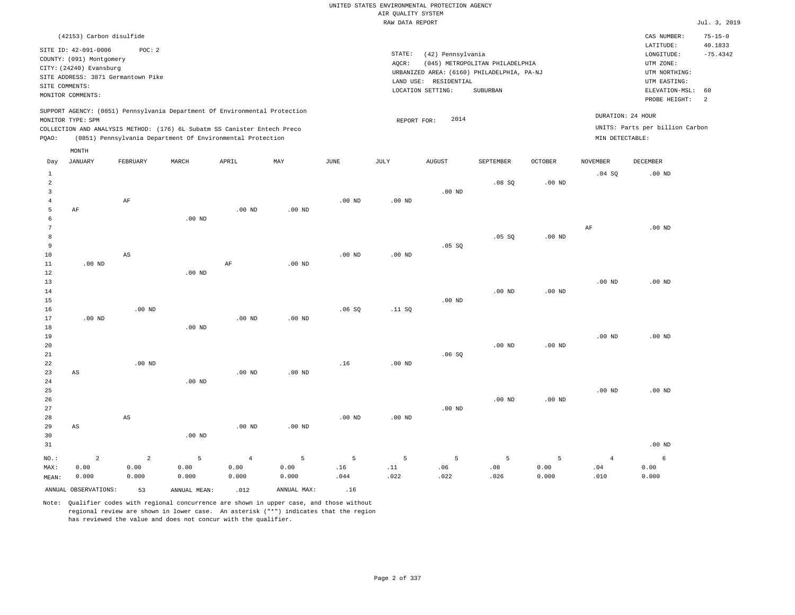### RAW DATA REPORT Jul. 3, 2019 UNITED STATES ENVIRONMENTAL PROTECTION AGENCY AIR QUALITY SYSTEM

| (42153) Carbon disulfide                                                                                                                                                                                                                           |                                                                                                                                                                                 | CAS NUMBER:                                                                                                 | $75 - 15 - 0$                           |
|----------------------------------------------------------------------------------------------------------------------------------------------------------------------------------------------------------------------------------------------------|---------------------------------------------------------------------------------------------------------------------------------------------------------------------------------|-------------------------------------------------------------------------------------------------------------|-----------------------------------------|
| SITE ID: 42-091-0006<br>POC:2<br>COUNTY: (091) Montgomery<br>CITY: (24240) Evansburg<br>SITE ADDRESS: 3871 Germantown Pike<br>SITE COMMENTS:<br>MONITOR COMMENTS:                                                                                  | STATE:<br>(42) Pennsylvania<br>(045) METROPOLITAN PHILADELPHIA<br>AOCR:<br>URBANIZED AREA: (6160) PHILADELPHIA, PA-NJ<br>LAND USE: RESIDENTIAL<br>LOCATION SETTING:<br>SUBURBAN | LATITUDE:<br>LONGITUDE:<br>UTM ZONE:<br>UTM NORTHING:<br>UTM EASTING:<br>ELEVATION-MSL: 60<br>PROBE HEIGHT: | 40.1833<br>$-75.4342$<br>$\overline{2}$ |
| SUPPORT AGENCY: (0851) Pennsylvania Department Of Environmental Protection<br>MONITOR TYPE: SPM<br>COLLECTION AND ANALYSIS METHOD: (176) 6L Subatm SS Canister Entech Preco<br>(0851) Pennsylvania Department Of Environmental Protection<br>POAO: | DURATION: 24 HOUR<br>2014<br>REPORT FOR:<br>MIN DETECTABLE:                                                                                                                     | UNITS: Parts per billion Carbon                                                                             |                                         |

| Day                                                        | <b>JANUARY</b>                  | FEBRUARY                        | MARCH              | APRIL                           | MAY                | <b>JUNE</b>      | JULY             | <b>AUGUST</b>    | SEPTEMBER        | <b>OCTOBER</b>     | <b>NOVEMBER</b>                 | DECEMBER           |
|------------------------------------------------------------|---------------------------------|---------------------------------|--------------------|---------------------------------|--------------------|------------------|------------------|------------------|------------------|--------------------|---------------------------------|--------------------|
| $\mathbf{1}$<br>$\overline{a}$<br>3<br>$\overline{4}$<br>5 | AF                              | $\rm AF$                        |                    | $.00$ ND                        | $.00$ ND           | $.00$ ND         | $.00$ ND         | $.00$ ND         | .08SQ            | $.00$ ND           | .04 SQ                          | $.00$ ND           |
| 6<br>7<br>8<br>9<br>10                                     |                                 | $\mathbb{A}\mathbb{S}$          | $.00$ ND           |                                 |                    | $.00$ ND         | $.00$ ND         | .05 SQ           | .05 SQ           | .00 <sub>ND</sub>  | $\rm{AF}$                       | .00 <sub>ND</sub>  |
| 11<br>12<br>13<br>14<br>15<br>16                           | $.00$ ND                        | $.00$ ND                        | $.00$ ND           | $\rm{AF}$                       | $.00$ ND           | .06SQ            | .11 SQ           | $.00$ ND         | $.00$ ND         | $.00$ ND           | $.00$ ND                        | $.00$ ND           |
| 17<br>18<br>19<br>20<br>21<br>22                           | $.00$ ND                        | $.00$ ND                        | $.00$ ND           | $.00$ ND                        | $.00$ ND           | .16              | $.00$ ND         | .06SQ            | $.00$ ND         | $.00$ ND           | $.00$ ND                        | $.00$ ND           |
| 23<br>24<br>25<br>26<br>27                                 | $\mathbb{A}\mathbb{S}$          |                                 | $.00$ ND           | $.00$ ND                        | $.00$ ND           |                  |                  | $.00$ ND         | $.00$ ND         | $.00$ ND           | $.00$ ND                        | $.00$ ND           |
| 28<br>29<br>30<br>31                                       | $\mathbb{A}\mathbb{S}$          | $\mathbb{A}\mathbb{S}$          | $.00$ ND           | $.00$ ND                        | $.00$ ND           | $.00$ ND         | $.00$ ND         |                  |                  |                    |                                 | $.00$ ND           |
| $NO.$ :<br>MAX:<br>MEAN:                                   | $\overline{a}$<br>0.00<br>0.000 | $\overline{a}$<br>0.00<br>0.000 | 5<br>0.00<br>0.000 | $\overline{4}$<br>0.00<br>0.000 | 5<br>0.00<br>0.000 | 5<br>.16<br>.044 | 5<br>.11<br>.022 | 5<br>.06<br>.022 | 5<br>.08<br>.026 | 5<br>0.00<br>0.000 | $\overline{4}$<br>$.04$<br>.010 | 6<br>0.00<br>0.000 |
|                                                            | ANNUAL OBSERVATIONS:            | 53                              | ANNUAL MEAN:       | .012                            | ANNUAL MAX:        | .16              |                  |                  |                  |                    |                                 |                    |

Note: Qualifier codes with regional concurrence are shown in upper case, and those without regional review are shown in lower case. An asterisk ("\*") indicates that the region has reviewed the value and does not concur with the qualifier.

MONTH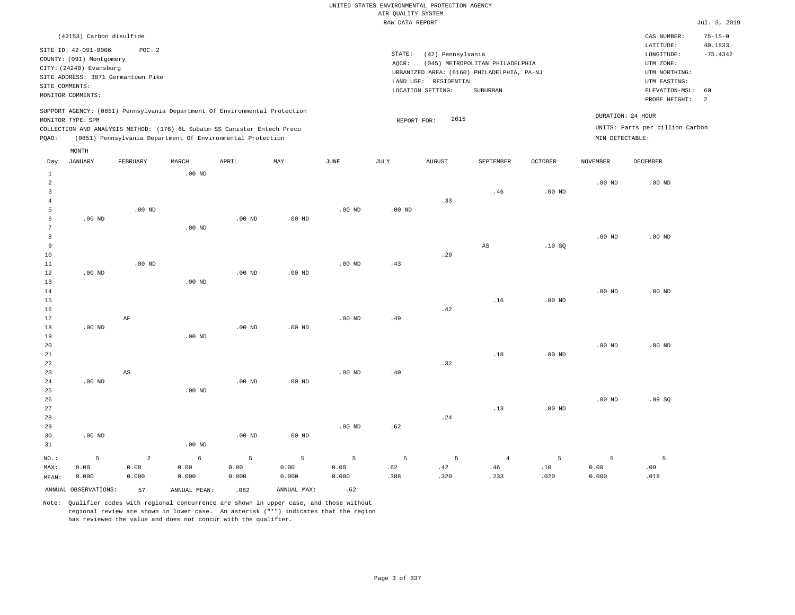### RAW DATA REPORT Jul. 3, 2019 UNITED STATES ENVIRONMENTAL PROTECTION AGENCY AIR QUALITY SYSTEM

| (42153) Carbon disulfide                                                                                                                                                                                                                           |                                                                                                                                                                                 | $75 - 15 - 0$<br>CAS NUMBER:                                                                                                                     |
|----------------------------------------------------------------------------------------------------------------------------------------------------------------------------------------------------------------------------------------------------|---------------------------------------------------------------------------------------------------------------------------------------------------------------------------------|--------------------------------------------------------------------------------------------------------------------------------------------------|
| SITE ID: 42-091-0006<br>POC:2<br>COUNTY: (091) Montgomery<br>CITY: (24240) Evansburg<br>SITE ADDRESS: 3871 Germantown Pike<br>SITE COMMENTS:<br>MONITOR COMMENTS:                                                                                  | STATE:<br>(42) Pennsylvania<br>(045) METROPOLITAN PHILADELPHIA<br>AOCR:<br>URBANIZED AREA: (6160) PHILADELPHIA, PA-NJ<br>LAND USE: RESIDENTIAL<br>LOCATION SETTING:<br>SUBURBAN | 40.1833<br>LATITUDE:<br>$-75.4342$<br>LONGITUDE:<br>UTM ZONE:<br>UTM NORTHING:<br>UTM EASTING:<br>ELEVATION-MSL: 60<br>PROBE HEIGHT:<br>$\sim$ 2 |
| SUPPORT AGENCY: (0851) Pennsylvania Department Of Environmental Protection<br>MONITOR TYPE: SPM<br>COLLECTION AND ANALYSIS METHOD: (176) 6L Subatm SS Canister Entech Preco<br>(0851) Pennsylvania Department Of Environmental Protection<br>POAO: | 2015<br>REPORT FOR:                                                                                                                                                             | DURATION: 24 HOUR<br>UNITS: Parts per billion Carbon<br>MIN DETECTABLE:                                                                          |

| Day             | <b>JANUARY</b>       | FEBRUARY       | MARCH        | APRIL             | MAY         | $\mathtt{JUNE}$ | $\mathtt{JULY}$ | <b>AUGUST</b>                 | SEPTEMBER | OCTOBER        | <b>NOVEMBER</b>   | DECEMBER |
|-----------------|----------------------|----------------|--------------|-------------------|-------------|-----------------|-----------------|-------------------------------|-----------|----------------|-------------------|----------|
| $\mathbf{1}$    |                      |                | $.00$ ND     |                   |             |                 |                 |                               |           |                |                   |          |
| $\overline{a}$  |                      |                |              |                   |             |                 |                 |                               |           |                | $.00$ ND          | $.00$ ND |
| 3               |                      |                |              |                   |             |                 |                 |                               | .46       | $.00$ ND       |                   |          |
| $\overline{4}$  |                      |                |              |                   |             |                 |                 | .33                           |           |                |                   |          |
| 5               |                      | $.00$ ND       |              |                   |             | $.00$ ND        | $.00$ ND        |                               |           |                |                   |          |
| 6               | $.00$ ND             |                |              | $.00$ ND          | $.00$ ND    |                 |                 |                               |           |                |                   |          |
| $7\phantom{.0}$ |                      |                | $.00$ ND     |                   |             |                 |                 |                               |           |                |                   |          |
| 8               |                      |                |              |                   |             |                 |                 |                               |           |                | .00 $ND$          | $.00$ ND |
| 9               |                      |                |              |                   |             |                 |                 |                               | AS        | .10SQ          |                   |          |
| 10              |                      |                |              |                   |             |                 |                 | .29                           |           |                |                   |          |
| $11\,$          |                      | $.00$ ND       |              |                   |             | $.00$ ND        | .43             |                               |           |                |                   |          |
| 12              | $.00$ ND             |                |              | .00 <sub>ND</sub> | $.00$ ND    |                 |                 |                               |           |                |                   |          |
| 13              |                      |                | $.00$ ND     |                   |             |                 |                 |                               |           |                | .00 <sub>ND</sub> | $.00$ ND |
| 14<br>15        |                      |                |              |                   |             |                 |                 |                               | .16       | $.00$ ND       |                   |          |
| 16              |                      |                |              |                   |             |                 |                 | $\footnotesize{\texttt{.42}}$ |           |                |                   |          |
| 17              |                      | AF             |              |                   |             | $.00$ ND        | .49             |                               |           |                |                   |          |
| 18              | $.00$ ND             |                |              | $.00$ ND          | $.00$ ND    |                 |                 |                               |           |                |                   |          |
| 19              |                      |                | $.00$ ND     |                   |             |                 |                 |                               |           |                |                   |          |
| 20              |                      |                |              |                   |             |                 |                 |                               |           |                | $.00$ ND          | $.00$ ND |
| $2\sqrt{1}$     |                      |                |              |                   |             |                 |                 |                               | .18       | $.00$ ND       |                   |          |
| $2\sqrt{2}$     |                      |                |              |                   |             |                 |                 | .32                           |           |                |                   |          |
| 23              |                      | AS             |              |                   |             | $.00$ ND        | .40             |                               |           |                |                   |          |
| $2\sqrt{4}$     | $.00$ ND             |                |              | $.00$ ND          | $.00$ ND    |                 |                 |                               |           |                |                   |          |
| 25              |                      |                | $.00$ ND     |                   |             |                 |                 |                               |           |                |                   |          |
| 26              |                      |                |              |                   |             |                 |                 |                               |           |                | $.00$ ND          | .09SQ    |
| $2\,7$          |                      |                |              |                   |             |                 |                 |                               | .13       | $.00$ ND       |                   |          |
| 28              |                      |                |              |                   |             |                 |                 | $\boldsymbol{.24}$            |           |                |                   |          |
| 29              |                      |                |              |                   |             | $.00$ ND        | .62             |                               |           |                |                   |          |
| 30              | $.00$ ND             |                |              | $.00$ ND          | $.00$ ND    |                 |                 |                               |           |                |                   |          |
| 31              |                      |                | $.00$ ND     |                   |             |                 |                 |                               |           |                |                   |          |
| $NO.$ :         | 5                    | $\overline{a}$ | $\epsilon$   | 5                 | 5           | 5               | 5               | 5                             | $\,4\,$   | $\overline{5}$ | 5                 | 5        |
| MAX:            | 0.00                 | 0.00           | 0.00         | 0.00              | 0.00        | 0.00            | .62             | .42                           | .46       | .10            | 0.00              | .09      |
| MEAN:           | 0.000                | 0.000          | 0.000        | 0.000             | 0.000       | 0.000           | .388            | .320                          | .233      | .020           | 0.000             | .018     |
|                 | ANNUAL OBSERVATIONS: | 57             | ANNUAL MEAN: | .082              | ANNUAL MAX: | .62             |                 |                               |           |                |                   |          |

Note: Qualifier codes with regional concurrence are shown in upper case, and those without regional review are shown in lower case. An asterisk ("\*") indicates that the region has reviewed the value and does not concur with the qualifier.

MONTH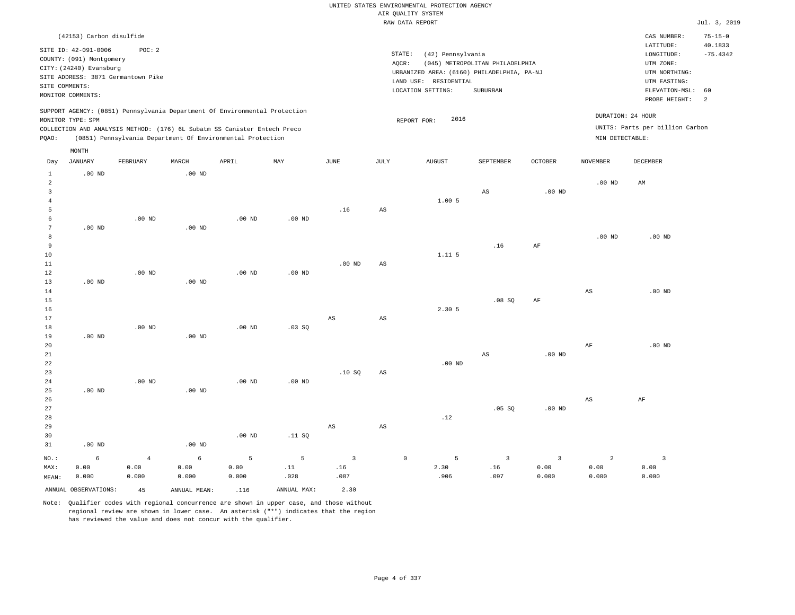|                                |                                                  |                        |                    |                                                                            |                       |                        |                        | UNITED STATES ENVIRONMENTAL PROTECTION AGENCY |                                 |                      |                        |                                 |                          |
|--------------------------------|--------------------------------------------------|------------------------|--------------------|----------------------------------------------------------------------------|-----------------------|------------------------|------------------------|-----------------------------------------------|---------------------------------|----------------------|------------------------|---------------------------------|--------------------------|
|                                |                                                  |                        |                    |                                                                            |                       |                        |                        | AIR QUALITY SYSTEM                            |                                 |                      |                        |                                 |                          |
|                                |                                                  |                        |                    |                                                                            |                       |                        |                        | RAW DATA REPORT                               |                                 |                      |                        |                                 | Jul. 3, 2019             |
|                                | (42153) Carbon disulfide                         |                        |                    |                                                                            |                       |                        |                        |                                               |                                 |                      |                        | CAS NUMBER:<br>LATITUDE:        | $75 - 15 - 0$<br>40.1833 |
|                                | SITE ID: 42-091-0006<br>COUNTY: (091) Montgomery | POC: 2                 |                    |                                                                            |                       |                        | STATE:                 | (42) Pennsylvania                             |                                 |                      |                        | LONGITUDE:                      | $-75.4342$               |
|                                | CITY: (24240) Evansburg                          |                        |                    |                                                                            |                       |                        | AQCR:                  |                                               | (045) METROPOLITAN PHILADELPHIA |                      |                        | UTM ZONE:                       |                          |
|                                | SITE ADDRESS: 3871 Germantown Pike               |                        |                    |                                                                            |                       |                        |                        | URBANIZED AREA: (6160) PHILADELPHIA, PA-NJ    |                                 |                      |                        | UTM NORTHING:                   |                          |
|                                | SITE COMMENTS:                                   |                        |                    |                                                                            |                       |                        |                        | LAND USE: RESIDENTIAL<br>LOCATION SETTING:    | SUBURBAN                        |                      |                        | UTM EASTING:<br>ELEVATION-MSL:  | 60                       |
|                                | MONITOR COMMENTS:                                |                        |                    |                                                                            |                       |                        |                        |                                               |                                 |                      |                        | PROBE HEIGHT:                   | $\overline{a}$           |
|                                | MONITOR TYPE: SPM                                |                        |                    | SUPPORT AGENCY: (0851) Pennsylvania Department Of Environmental Protection |                       |                        |                        | 2016<br>REPORT FOR:                           |                                 |                      | DURATION: 24 HOUR      |                                 |                          |
|                                |                                                  |                        |                    | COLLECTION AND ANALYSIS METHOD: (176) 6L Subatm SS Canister Entech Preco   |                       |                        |                        |                                               |                                 |                      |                        | UNITS: Parts per billion Carbon |                          |
| PQAO:                          |                                                  |                        |                    | (0851) Pennsylvania Department Of Environmental Protection                 |                       |                        |                        |                                               |                                 |                      | MIN DETECTABLE:        |                                 |                          |
|                                | MONTH                                            |                        |                    |                                                                            |                       |                        |                        |                                               |                                 |                      |                        |                                 |                          |
| Day                            | <b>JANUARY</b>                                   | FEBRUARY               | MARCH              | APRIL                                                                      | MAY                   | <b>JUNE</b>            | $_{\rm JULY}$          | <b>AUGUST</b>                                 | SEPTEMBER                       | OCTOBER              | <b>NOVEMBER</b>        | <b>DECEMBER</b>                 |                          |
| $\mathbf{1}$<br>$\overline{a}$ | .00 <sub>ND</sub>                                |                        | .00 <sub>ND</sub>  |                                                                            |                       |                        |                        |                                               |                                 |                      | .00 <sub>ND</sub>      | $\mathbb{A}\mathbb{M}$          |                          |
| $\overline{3}$                 |                                                  |                        |                    |                                                                            |                       |                        |                        |                                               | AS                              | $.00$ ND             |                        |                                 |                          |
| $\overline{4}$                 |                                                  |                        |                    |                                                                            |                       |                        |                        | 1.005                                         |                                 |                      |                        |                                 |                          |
| 5                              |                                                  |                        |                    |                                                                            |                       | .16                    | $\mathbb{A}\mathbb{S}$ |                                               |                                 |                      |                        |                                 |                          |
| 6                              |                                                  | $.00$ ND               |                    | .00 <sub>ND</sub>                                                          | $.00$ ND              |                        |                        |                                               |                                 |                      |                        |                                 |                          |
| $\overline{7}$                 | $.00$ ND                                         |                        | .00 <sub>ND</sub>  |                                                                            |                       |                        |                        |                                               |                                 |                      |                        |                                 |                          |
| 8<br>9                         |                                                  |                        |                    |                                                                            |                       |                        |                        |                                               | .16                             | AF                   | $.00$ ND               | $.00$ ND                        |                          |
| $10$                           |                                                  |                        |                    |                                                                            |                       |                        |                        | 1.115                                         |                                 |                      |                        |                                 |                          |
| 11                             |                                                  |                        |                    |                                                                            |                       | .00 <sub>ND</sub>      | AS                     |                                               |                                 |                      |                        |                                 |                          |
| 12                             |                                                  | $.00$ ND               |                    | $.00$ ND                                                                   | $.00$ ND              |                        |                        |                                               |                                 |                      |                        |                                 |                          |
| 13                             | $.00$ ND                                         |                        | .00 <sub>ND</sub>  |                                                                            |                       |                        |                        |                                               |                                 |                      |                        |                                 |                          |
| 14                             |                                                  |                        |                    |                                                                            |                       |                        |                        |                                               |                                 |                      | $_{\rm AS}$            | $.00$ ND                        |                          |
| 15<br>16                       |                                                  |                        |                    |                                                                            |                       |                        |                        | 2.30 5                                        | .08SQ                           | $\rm{AF}$            |                        |                                 |                          |
| 17                             |                                                  |                        |                    |                                                                            |                       | $\mathbb{A}\mathbb{S}$ | AS                     |                                               |                                 |                      |                        |                                 |                          |
| 18                             |                                                  | $.00$ ND               |                    | $.00$ ND                                                                   | $.03$ SO              |                        |                        |                                               |                                 |                      |                        |                                 |                          |
| 19                             | $.00$ ND                                         |                        | $.00$ ND           |                                                                            |                       |                        |                        |                                               |                                 |                      |                        |                                 |                          |
| 20                             |                                                  |                        |                    |                                                                            |                       |                        |                        |                                               |                                 |                      | AF                     | .00 <sub>ND</sub>               |                          |
| 21                             |                                                  |                        |                    |                                                                            |                       |                        |                        |                                               | AS                              | $.00$ ND             |                        |                                 |                          |
| 22<br>23                       |                                                  |                        |                    |                                                                            |                       | .10SQ                  | AS                     | $.00$ ND                                      |                                 |                      |                        |                                 |                          |
| 24                             |                                                  | .00 <sub>ND</sub>      |                    | $.00$ ND                                                                   | $.00$ ND              |                        |                        |                                               |                                 |                      |                        |                                 |                          |
| 25                             | $.00$ ND                                         |                        | .00 <sub>ND</sub>  |                                                                            |                       |                        |                        |                                               |                                 |                      |                        |                                 |                          |
| 26                             |                                                  |                        |                    |                                                                            |                       |                        |                        |                                               |                                 |                      | $\mathbb{A}\mathbb{S}$ | $\rm{AF}$                       |                          |
| $2\,7$                         |                                                  |                        |                    |                                                                            |                       |                        |                        |                                               | .05 SQ                          | $.00$ ND             |                        |                                 |                          |
| 28                             |                                                  |                        |                    |                                                                            |                       |                        |                        | .12                                           |                                 |                      |                        |                                 |                          |
| 29<br>30                       |                                                  |                        |                    | $.00$ ND                                                                   | .11 S0                | $\mathbb{A}\mathbb{S}$ | $_{\rm AS}$            |                                               |                                 |                      |                        |                                 |                          |
| 31                             | $.00$ ND                                         |                        | $.00$ ND           |                                                                            |                       |                        |                        |                                               |                                 |                      |                        |                                 |                          |
|                                |                                                  |                        |                    |                                                                            |                       |                        |                        |                                               |                                 |                      |                        |                                 |                          |
| NO.:<br>MAX:                   | $\epsilon$<br>0.00                               | $\overline{4}$<br>0.00 | $\epsilon$<br>0.00 | 5<br>0.00                                                                  | $\overline{5}$<br>.11 | $\overline{3}$<br>.16  |                        | $\mathbb O$<br>5<br>2.30                      | $\mathbf{3}$<br>.16             | $\mathbf{3}$<br>0.00 | $\overline{a}$<br>0.00 | $\overline{\mathbf{3}}$<br>0.00 |                          |
| MEAN:                          | 0.000                                            | 0.000                  | 0.000              | 0.000                                                                      | .028                  | .087                   |                        | .906                                          | .097                            | 0.000                | 0.000                  | 0.000                           |                          |
|                                | ANNUAL OBSERVATIONS:                             |                        |                    |                                                                            | ANNUAL MAX:           |                        |                        |                                               |                                 |                      |                        |                                 |                          |
|                                |                                                  | 45                     | ANNUAL MEAN:       | .116                                                                       |                       | 2.30                   |                        |                                               |                                 |                      |                        |                                 |                          |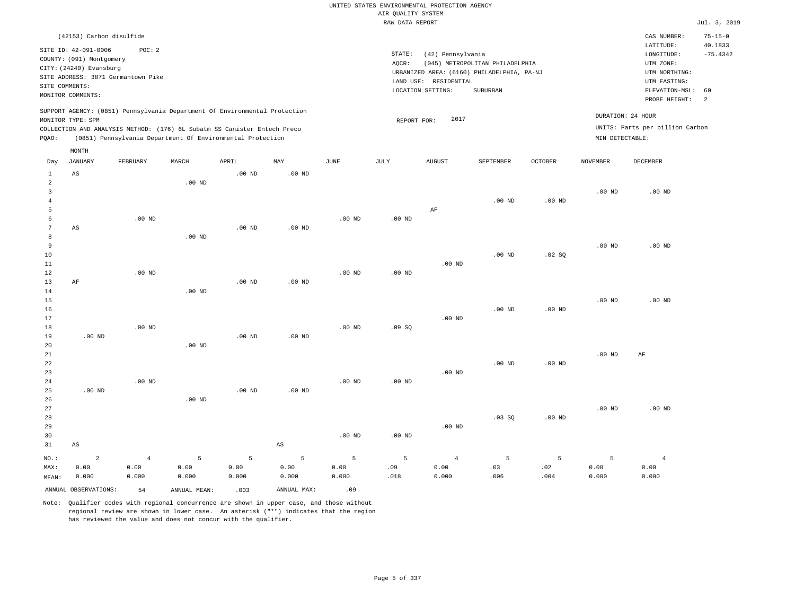|                                                         |                                                                                                                              |                                              |                    |                                                                                                                                                                                                                      |                        |                    | AIR OUALITY SYSTEM | UNITED STATES ENVIRONMENTAL PROTECTION AGENCY                   |                                                                                           |                  |                    |                                                                                                                         |                                                   |
|---------------------------------------------------------|------------------------------------------------------------------------------------------------------------------------------|----------------------------------------------|--------------------|----------------------------------------------------------------------------------------------------------------------------------------------------------------------------------------------------------------------|------------------------|--------------------|--------------------|-----------------------------------------------------------------|-------------------------------------------------------------------------------------------|------------------|--------------------|-------------------------------------------------------------------------------------------------------------------------|---------------------------------------------------|
|                                                         |                                                                                                                              |                                              |                    |                                                                                                                                                                                                                      |                        |                    | RAW DATA REPORT    |                                                                 |                                                                                           |                  |                    |                                                                                                                         | Jul. 3, 2019                                      |
| SITE COMMENTS:                                          | (42153) Carbon disulfide<br>SITE ID: 42-091-0006<br>COUNTY: (091) Montgomery<br>CITY: (24240) Evansburg<br>MONITOR COMMENTS: | POC: 2<br>SITE ADDRESS: 3871 Germantown Pike |                    |                                                                                                                                                                                                                      |                        |                    | STATE:<br>AQCR:    | (42) Pennsylvania<br>LAND USE: RESIDENTIAL<br>LOCATION SETTING: | (045) METROPOLITAN PHILADELPHIA<br>URBANIZED AREA: (6160) PHILADELPHIA, PA-NJ<br>SUBURBAN |                  |                    | CAS NUMBER:<br>LATITUDE:<br>LONGITUDE:<br>UTM ZONE:<br>UTM NORTHING:<br>UTM EASTING:<br>ELEVATION-MSL:<br>PROBE HEIGHT: | $75 - 15 - 0$<br>40.1833<br>$-75.4342$<br>60<br>2 |
| PQAO:                                                   | MONITOR TYPE: SPM                                                                                                            |                                              |                    | SUPPORT AGENCY: (0851) Pennsylvania Department Of Environmental Protection<br>COLLECTION AND ANALYSIS METHOD: (176) 6L Subatm SS Canister Entech Preco<br>(0851) Pennsylvania Department Of Environmental Protection |                        |                    | REPORT FOR:        | 2017                                                            |                                                                                           |                  | MIN DETECTABLE:    | DURATION: 24 HOUR<br>UNITS: Parts per billion Carbon                                                                    |                                                   |
| Day                                                     | MONTH<br><b>JANUARY</b>                                                                                                      | FEBRUARY                                     | MARCH              | APRIL                                                                                                                                                                                                                | MAY                    | <b>JUNE</b>        | JULY               | <b>AUGUST</b>                                                   | <b>SEPTEMBER</b>                                                                          | <b>OCTOBER</b>   | <b>NOVEMBER</b>    | <b>DECEMBER</b>                                                                                                         |                                                   |
| 1<br>$\overline{a}$<br>$\overline{3}$<br>$\overline{4}$ | AS                                                                                                                           |                                              | .00 <sub>ND</sub>  | $.00$ ND                                                                                                                                                                                                             | $.00$ ND               |                    |                    |                                                                 | $.00$ ND                                                                                  | $.00$ ND         | .00 <sub>ND</sub>  | $.00$ ND                                                                                                                |                                                   |
| 5<br>$\epsilon$<br>7<br>8                               | AS                                                                                                                           | $.00$ ND                                     | $.00$ ND           | $.00$ ND                                                                                                                                                                                                             | $.00$ ND               | .00 <sub>ND</sub>  | .00 <sub>ND</sub>  | AF                                                              |                                                                                           |                  |                    |                                                                                                                         |                                                   |
| 9<br>$10$<br>11<br>12                                   |                                                                                                                              | $.00$ ND                                     |                    |                                                                                                                                                                                                                      |                        | .00 <sub>ND</sub>  | .00 <sub>ND</sub>  | $.00$ ND                                                        | .00 <sub>ND</sub>                                                                         | .02 SQ           | $.00$ ND           | $.00$ ND                                                                                                                |                                                   |
| 13<br>$14$<br>15<br>16<br>17                            | AF                                                                                                                           |                                              | $.00$ ND           | .00 <sub>ND</sub>                                                                                                                                                                                                    | $.00$ ND               |                    |                    | $.00$ ND                                                        | $.00$ ND                                                                                  | $.00$ ND         | .00 <sub>ND</sub>  | $.00$ ND                                                                                                                |                                                   |
| 18<br>19<br>20<br>21                                    | $.00$ ND                                                                                                                     | $.00$ ND                                     | $.00$ ND           | $.00$ ND                                                                                                                                                                                                             | $.00$ ND               | $.00$ ND           | .09SQ              |                                                                 |                                                                                           |                  | .00 <sub>ND</sub>  | AF                                                                                                                      |                                                   |
| 22<br>23<br>24<br>25                                    | $.00$ ND                                                                                                                     | $.00$ ND                                     |                    | .00 <sub>ND</sub>                                                                                                                                                                                                    | .00 <sub>ND</sub>      | $.00$ ND           | $.00$ ND           | $.00$ ND                                                        | $.00$ ND                                                                                  | $.00$ ND         |                    |                                                                                                                         |                                                   |
| 26<br>27<br>28<br>29<br>30                              |                                                                                                                              |                                              | $.00$ ND           |                                                                                                                                                                                                                      |                        | $.00$ ND           | $.00$ ND           | $.00$ ND                                                        | $.03$ SO                                                                                  | $.00$ ND         | .00 <sub>ND</sub>  | $.00$ ND                                                                                                                |                                                   |
| 31                                                      | AS                                                                                                                           |                                              |                    |                                                                                                                                                                                                                      | $\mathbb{A}\mathbb{S}$ |                    |                    |                                                                 |                                                                                           |                  |                    |                                                                                                                         |                                                   |
| $NO.$ :<br>MAX:<br>MEAN:                                | $\sqrt{2}$<br>0.00<br>0.000                                                                                                  | $\,4$<br>0.00<br>0.000                       | 5<br>0.00<br>0.000 | 5<br>0.00<br>0.000                                                                                                                                                                                                   | 5<br>0.00<br>0.000     | 5<br>0.00<br>0.000 | 5<br>.09<br>.018   | $\overline{4}$<br>0.00<br>0.000                                 | $\overline{5}$<br>.03<br>.006                                                             | 5<br>.02<br>.004 | 5<br>0.00<br>0.000 | $\overline{4}$<br>0.00<br>0.000                                                                                         |                                                   |
|                                                         | ANNUAL OBSERVATIONS:                                                                                                         | 54                                           | ANNUAL MEAN:       | .003                                                                                                                                                                                                                 | ANNUAL MAX:            | .09                |                    |                                                                 |                                                                                           |                  |                    |                                                                                                                         |                                                   |

Note: Qualifier codes with regional concurrence are shown in upper case, and those without regional review are shown in lower case. An asterisk ("\*") indicates that the region

has reviewed the value and does not concur with the qualifier.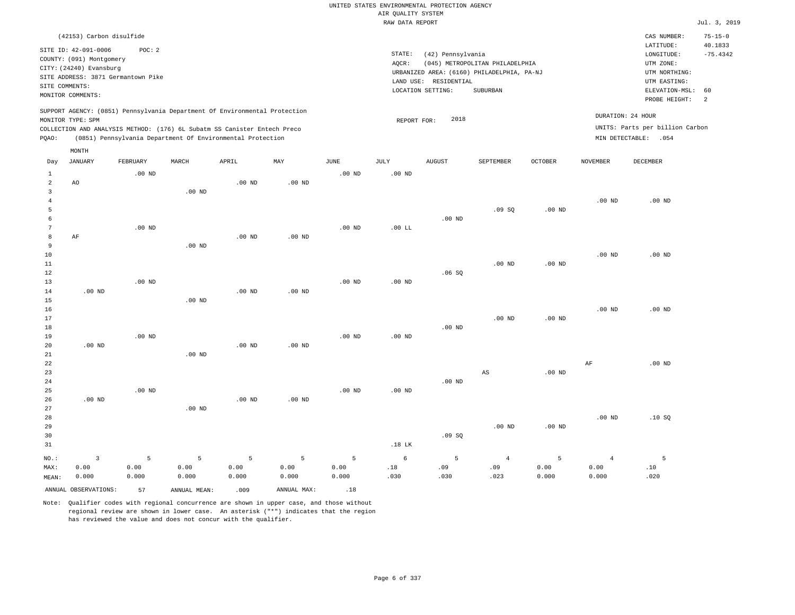|                |                                                                                                 |                   |                                                            |                   |                   |                   | UNITED STATES ENVIRONMENTAL PROTECTION AGENCY |                       |                                            |                   |                   |                                                      |                          |
|----------------|-------------------------------------------------------------------------------------------------|-------------------|------------------------------------------------------------|-------------------|-------------------|-------------------|-----------------------------------------------|-----------------------|--------------------------------------------|-------------------|-------------------|------------------------------------------------------|--------------------------|
|                |                                                                                                 |                   |                                                            |                   |                   |                   | AIR QUALITY SYSTEM                            |                       |                                            |                   |                   |                                                      |                          |
|                |                                                                                                 |                   |                                                            |                   |                   |                   | RAW DATA REPORT                               |                       |                                            |                   |                   |                                                      | Jul. 3, 2019             |
|                | (42153) Carbon disulfide                                                                        |                   |                                                            |                   |                   |                   |                                               |                       |                                            |                   |                   | CAS NUMBER:<br>LATITUDE:                             | $75 - 15 - 0$<br>40.1833 |
|                | SITE ID: 42-091-0006                                                                            | POC: 2            |                                                            |                   |                   |                   | STATE:                                        | (42) Pennsylvania     |                                            |                   |                   | LONGITUDE:                                           | $-75.4342$               |
|                | COUNTY: (091) Montgomery<br>CITY: (24240) Evansburg                                             |                   |                                                            |                   |                   |                   | AQCR:                                         |                       | (045) METROPOLITAN PHILADELPHIA            |                   |                   | UTM ZONE:                                            |                          |
|                | SITE ADDRESS: 3871 Germantown Pike                                                              |                   |                                                            |                   |                   |                   |                                               |                       | URBANIZED AREA: (6160) PHILADELPHIA, PA-NJ |                   |                   | UTM NORTHING:                                        |                          |
| SITE COMMENTS: |                                                                                                 |                   |                                                            |                   |                   |                   |                                               | LAND USE: RESIDENTIAL |                                            |                   |                   | UTM EASTING:                                         |                          |
|                | MONITOR COMMENTS:                                                                               |                   |                                                            |                   |                   |                   |                                               | LOCATION SETTING:     | SUBURBAN                                   |                   |                   | ELEVATION-MSL:<br>PROBE HEIGHT:                      | 60<br>2                  |
|                | SUPPORT AGENCY: (0851) Pennsylvania Department Of Environmental Protection<br>MONITOR TYPE: SPM |                   |                                                            |                   |                   |                   | REPORT FOR:                                   | 2018                  |                                            |                   |                   | DURATION: 24 HOUR<br>UNITS: Parts per billion Carbon |                          |
| PQAO:          | COLLECTION AND ANALYSIS METHOD: (176) 6L Subatm SS Canister Entech Preco                        |                   | (0851) Pennsylvania Department Of Environmental Protection |                   |                   |                   |                                               |                       |                                            |                   |                   | MIN DETECTABLE: . 054                                |                          |
|                | MONTH                                                                                           |                   |                                                            |                   |                   |                   |                                               |                       |                                            |                   |                   |                                                      |                          |
| Day            | <b>JANUARY</b>                                                                                  | FEBRUARY          | MARCH                                                      | APRIL             | MAY               | <b>JUNE</b>       | <b>JULY</b>                                   | <b>AUGUST</b>         | SEPTEMBER                                  | <b>OCTOBER</b>    | <b>NOVEMBER</b>   | <b>DECEMBER</b>                                      |                          |
| 1              |                                                                                                 | $.00$ ND          |                                                            |                   |                   | $.00$ ND          | .00 <sub>ND</sub>                             |                       |                                            |                   |                   |                                                      |                          |
| 2              | AO.                                                                                             |                   |                                                            | $.00$ ND          | .00 <sub>ND</sub> |                   |                                               |                       |                                            |                   |                   |                                                      |                          |
| $\overline{3}$ |                                                                                                 |                   | $.00$ ND                                                   |                   |                   |                   |                                               |                       |                                            |                   |                   |                                                      |                          |
| $\overline{4}$ |                                                                                                 |                   |                                                            |                   |                   |                   |                                               |                       |                                            |                   | $.00$ ND          | $.00$ ND                                             |                          |
| 5<br>6         |                                                                                                 |                   |                                                            |                   |                   |                   |                                               | $.00$ ND              | .09SQ                                      | .00 <sub>ND</sub> |                   |                                                      |                          |
| 7              |                                                                                                 | $.00$ ND          |                                                            |                   |                   | .00 <sub>ND</sub> | $.00$ LL                                      |                       |                                            |                   |                   |                                                      |                          |
| 8              | AF                                                                                              |                   |                                                            | $.00$ ND          | $.00$ ND          |                   |                                               |                       |                                            |                   |                   |                                                      |                          |
| $\overline{9}$ |                                                                                                 |                   | $.00$ ND                                                   |                   |                   |                   |                                               |                       |                                            |                   |                   |                                                      |                          |
| 10             |                                                                                                 |                   |                                                            |                   |                   |                   |                                               |                       |                                            |                   | $.00$ ND          | $.00$ ND                                             |                          |
| $11\,$         |                                                                                                 |                   |                                                            |                   |                   |                   |                                               |                       | .00 <sub>ND</sub>                          | $.00$ ND          |                   |                                                      |                          |
| 12             |                                                                                                 |                   |                                                            |                   |                   |                   |                                               | .06SQ                 |                                            |                   |                   |                                                      |                          |
| 13             |                                                                                                 | .00 <sub>ND</sub> |                                                            |                   |                   | .00 <sub>ND</sub> | $.00$ ND                                      |                       |                                            |                   |                   |                                                      |                          |
| 14             | $.00$ ND                                                                                        |                   |                                                            | .00 <sub>ND</sub> | $.00$ ND          |                   |                                               |                       |                                            |                   |                   |                                                      |                          |
| 15             |                                                                                                 |                   | $.00$ ND                                                   |                   |                   |                   |                                               |                       |                                            |                   |                   |                                                      |                          |
| 16             |                                                                                                 |                   |                                                            |                   |                   |                   |                                               |                       |                                            |                   | $.00$ ND          | $.00$ ND                                             |                          |
| 17             |                                                                                                 |                   |                                                            |                   |                   |                   |                                               |                       | .00 <sub>ND</sub>                          | $.00$ ND          |                   |                                                      |                          |
| 18             |                                                                                                 |                   |                                                            |                   |                   |                   |                                               | $.00$ ND              |                                            |                   |                   |                                                      |                          |
| 19             |                                                                                                 | $.00$ ND          |                                                            |                   |                   | $.00$ ND          | $.00$ ND                                      |                       |                                            |                   |                   |                                                      |                          |
| 20             | $.00$ ND                                                                                        |                   |                                                            | $.00$ ND          | $.00$ ND          |                   |                                               |                       |                                            |                   |                   |                                                      |                          |
| 21<br>22       |                                                                                                 |                   | $.00$ ND                                                   |                   |                   |                   |                                               |                       |                                            |                   | AF                | $.00$ ND                                             |                          |
| 23             |                                                                                                 |                   |                                                            |                   |                   |                   |                                               |                       | AS                                         | $.00$ ND          |                   |                                                      |                          |
| 24             |                                                                                                 |                   |                                                            |                   |                   |                   |                                               | $.00$ ND              |                                            |                   |                   |                                                      |                          |
| 25             |                                                                                                 | $.00$ ND          |                                                            |                   |                   | $.00$ ND          | $.00$ ND                                      |                       |                                            |                   |                   |                                                      |                          |
| 26             | $.00$ ND                                                                                        |                   |                                                            | $.00$ ND          | $.00$ ND          |                   |                                               |                       |                                            |                   |                   |                                                      |                          |
| 27             |                                                                                                 |                   | $.00$ ND                                                   |                   |                   |                   |                                               |                       |                                            |                   |                   |                                                      |                          |
| 28             |                                                                                                 |                   |                                                            |                   |                   |                   |                                               |                       |                                            |                   | .00 <sub>ND</sub> | .10SQ                                                |                          |
| 29             |                                                                                                 |                   |                                                            |                   |                   |                   |                                               |                       | $.00$ ND                                   | $.00$ ND          |                   |                                                      |                          |
| 30             |                                                                                                 |                   |                                                            |                   |                   |                   |                                               | .09SQ                 |                                            |                   |                   |                                                      |                          |
| 31             |                                                                                                 |                   |                                                            |                   |                   |                   | $.18$ LK                                      |                       |                                            |                   |                   |                                                      |                          |
| NO.:           | $\overline{3}$                                                                                  | 5                 | 5                                                          | 5                 | 5                 | 5                 | 6                                             | 5                     | $\overline{4}$                             | 5                 | $\overline{4}$    | 5                                                    |                          |
| MAX:           | 0.00                                                                                            | 0.00              | 0.00                                                       | 0.00              | 0.00              | 0.00              | .18                                           | .09                   | .09                                        | 0.00              | 0.00              | $.10$                                                |                          |
| MEAN:          | 0.000                                                                                           | 0.000             | 0.000                                                      | 0.000             | 0.000             | 0.000             | .030                                          | .030                  | .023                                       | 0.000             | 0.000             | .020                                                 |                          |
|                | ANNUAL OBSERVATIONS:                                                                            | 57                | ANNUAL MEAN:                                               | .009              | ANNUAL MAX:       | .18               |                                               |                       |                                            |                   |                   |                                                      |                          |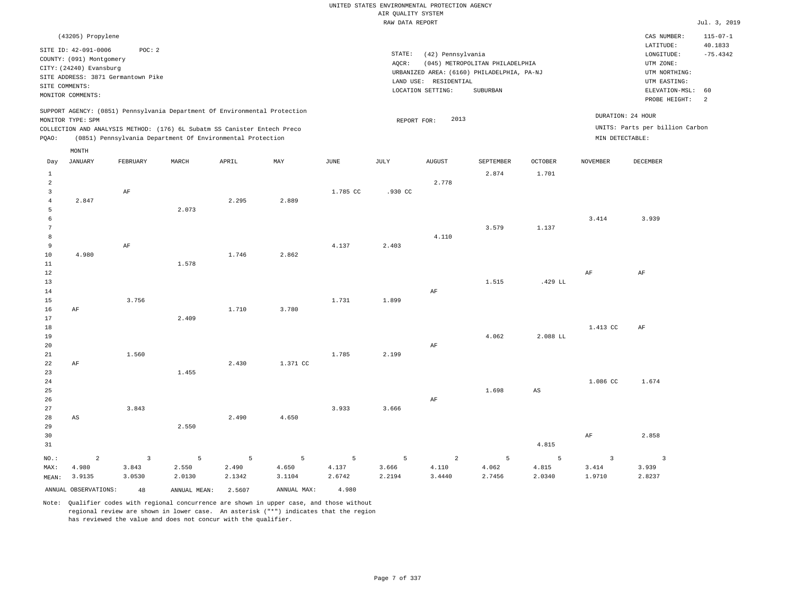|                         |                                    |                         |                                                                            |        |                |             |                    | UNITED STATES ENVIRONMENTAL PROTECTION AGENCY |                                            |                |                 |                                 |                           |
|-------------------------|------------------------------------|-------------------------|----------------------------------------------------------------------------|--------|----------------|-------------|--------------------|-----------------------------------------------|--------------------------------------------|----------------|-----------------|---------------------------------|---------------------------|
|                         |                                    |                         |                                                                            |        |                |             | AIR QUALITY SYSTEM |                                               |                                            |                |                 |                                 |                           |
|                         |                                    |                         |                                                                            |        |                |             | RAW DATA REPORT    |                                               |                                            |                |                 |                                 | Jul. 3, 2019              |
|                         | (43205) Propylene                  |                         |                                                                            |        |                |             |                    |                                               |                                            |                |                 | CAS NUMBER:<br>LATITUDE:        | $115 - 07 - 1$<br>40.1833 |
|                         | SITE ID: 42-091-0006               | POC: 2                  |                                                                            |        |                |             | $\texttt{STATE}$ : | (42) Pennsylvania                             |                                            |                |                 | $\texttt{LONGITUDE}$ :          | $-75.4342$                |
|                         | COUNTY: (091) Montgomery           |                         |                                                                            |        |                |             | AQCR:              |                                               | (045) METROPOLITAN PHILADELPHIA            |                |                 | UTM ZONE:                       |                           |
|                         | CITY: (24240) Evansburg            |                         |                                                                            |        |                |             |                    |                                               | URBANIZED AREA: (6160) PHILADELPHIA, PA-NJ |                |                 | UTM NORTHING:                   |                           |
|                         | SITE ADDRESS: 3871 Germantown Pike |                         |                                                                            |        |                |             |                    | LAND USE: RESIDENTIAL                         |                                            |                |                 | UTM EASTING:                    |                           |
| SITE COMMENTS:          |                                    |                         |                                                                            |        |                |             |                    | LOCATION SETTING:                             | SUBURBAN                                   |                |                 | ELEVATION-MSL:                  | 60                        |
|                         | MONITOR COMMENTS:                  |                         |                                                                            |        |                |             |                    |                                               |                                            |                |                 | PROBE HEIGHT:                   | $\overline{a}$            |
|                         |                                    |                         | SUPPORT AGENCY: (0851) Pennsylvania Department Of Environmental Protection |        |                |             |                    |                                               |                                            |                |                 | DURATION: 24 HOUR               |                           |
|                         | MONITOR TYPE: SPM                  |                         |                                                                            |        |                |             | REPORT FOR:        | 2013                                          |                                            |                |                 |                                 |                           |
|                         |                                    |                         | COLLECTION AND ANALYSIS METHOD: (176) 6L Subatm SS Canister Entech Preco   |        |                |             |                    |                                               |                                            |                |                 | UNITS: Parts per billion Carbon |                           |
| PQAO:                   |                                    |                         | (0851) Pennsylvania Department Of Environmental Protection                 |        |                |             |                    |                                               |                                            |                | MIN DETECTABLE: |                                 |                           |
| Day                     | MONTH<br><b>JANUARY</b>            | FEBRUARY                | MARCH                                                                      | APRIL  | MAY            | <b>JUNE</b> | $\mathtt{JULY}$    | <b>AUGUST</b>                                 | SEPTEMBER                                  | <b>OCTOBER</b> | <b>NOVEMBER</b> | <b>DECEMBER</b>                 |                           |
|                         |                                    |                         |                                                                            |        |                |             |                    |                                               |                                            |                |                 |                                 |                           |
| $1\,$                   |                                    |                         |                                                                            |        |                |             |                    |                                               | 2.874                                      | 1.701          |                 |                                 |                           |
| $\sqrt{2}$              |                                    |                         |                                                                            |        |                |             |                    | 2.778                                         |                                            |                |                 |                                 |                           |
| $\overline{\mathbf{3}}$ |                                    | $\rm{AF}$               |                                                                            |        |                | 1.785 CC    | .930 CC            |                                               |                                            |                |                 |                                 |                           |
| $\sqrt{4}$              | 2.847                              |                         |                                                                            | 2.295  | 2.889          |             |                    |                                               |                                            |                |                 |                                 |                           |
| 5<br>6                  |                                    |                         | 2.073                                                                      |        |                |             |                    |                                               |                                            |                |                 |                                 |                           |
| 7                       |                                    |                         |                                                                            |        |                |             |                    |                                               | 3.579                                      | 1.137          | 3.414           | 3.939                           |                           |
| $^{\rm 8}$              |                                    |                         |                                                                            |        |                |             |                    | 4.110                                         |                                            |                |                 |                                 |                           |
| $\overline{9}$          |                                    | $\rm{AF}$               |                                                                            |        |                | 4.137       | 2.403              |                                               |                                            |                |                 |                                 |                           |
| $10$                    | 4.980                              |                         |                                                                            | 1.746  | 2.862          |             |                    |                                               |                                            |                |                 |                                 |                           |
| 11                      |                                    |                         | 1.578                                                                      |        |                |             |                    |                                               |                                            |                |                 |                                 |                           |
| 12                      |                                    |                         |                                                                            |        |                |             |                    |                                               |                                            |                | AF              | AF                              |                           |
| 13                      |                                    |                         |                                                                            |        |                |             |                    |                                               | 1.515                                      | .429 LL        |                 |                                 |                           |
| 14                      |                                    |                         |                                                                            |        |                |             |                    | AF                                            |                                            |                |                 |                                 |                           |
| 15                      |                                    | 3.756                   |                                                                            |        |                | 1.731       | 1.899              |                                               |                                            |                |                 |                                 |                           |
| 16                      | AF                                 |                         |                                                                            | 1.710  | 3.780          |             |                    |                                               |                                            |                |                 |                                 |                           |
| 17                      |                                    |                         | 2.409                                                                      |        |                |             |                    |                                               |                                            |                |                 |                                 |                           |
| 18                      |                                    |                         |                                                                            |        |                |             |                    |                                               |                                            |                | 1.413 CC        | AF                              |                           |
| 19                      |                                    |                         |                                                                            |        |                |             |                    |                                               | 4.062                                      | 2.088 LL       |                 |                                 |                           |
| 20                      |                                    |                         |                                                                            |        |                |             |                    | AF                                            |                                            |                |                 |                                 |                           |
| $2\sqrt{1}$             |                                    | 1.560                   |                                                                            |        |                | 1.785       | 2.199              |                                               |                                            |                |                 |                                 |                           |
| 22                      | AF                                 |                         |                                                                            | 2.430  | 1.371 CC       |             |                    |                                               |                                            |                |                 |                                 |                           |
| 23                      |                                    |                         | 1.455                                                                      |        |                |             |                    |                                               |                                            |                |                 |                                 |                           |
| $2\sqrt{4}$             |                                    |                         |                                                                            |        |                |             |                    |                                               |                                            |                | 1.086 CC        | 1.674                           |                           |
| 25                      |                                    |                         |                                                                            |        |                |             |                    |                                               | 1.698                                      | $_{\rm AS}$    |                 |                                 |                           |
| 26                      |                                    |                         |                                                                            |        |                |             |                    | AF                                            |                                            |                |                 |                                 |                           |
| 27                      |                                    | 3.843                   |                                                                            |        |                | 3.933       | 3.666              |                                               |                                            |                |                 |                                 |                           |
| 28                      | AS                                 |                         |                                                                            | 2.490  | 4.650          |             |                    |                                               |                                            |                |                 |                                 |                           |
| 29                      |                                    |                         | 2.550                                                                      |        |                |             |                    |                                               |                                            |                |                 |                                 |                           |
| 30                      |                                    |                         |                                                                            |        |                |             |                    |                                               |                                            |                | $\rm{AF}$       | 2.858                           |                           |
| 31                      |                                    |                         |                                                                            |        |                |             |                    |                                               |                                            | 4.815          |                 |                                 |                           |
| NO.:                    | $\overline{a}$                     | $\overline{\mathbf{3}}$ | $\overline{5}$                                                             | 5      | $\overline{5}$ | 5           | 5                  | $\overline{a}$                                | 5                                          | 5              | $\overline{3}$  | $\overline{\mathbf{3}}$         |                           |
| MAX:                    | 4.980                              | 3.843                   | 2.550                                                                      | 2.490  | 4.650          | 4.137       | 3.666              | 4.110                                         | 4.062                                      | 4.815          | 3.414           | 3.939                           |                           |
| MEAN:                   | 3.9135                             | 3.0530                  | 2.0130                                                                     | 2.1342 | 3.1104         | 2.6742      | 2.2194             | 3.4440                                        | 2.7456                                     | 2.0340         | 1.9710          | 2.8237                          |                           |
|                         | ANNUAL OBSERVATIONS:               | 48                      | ANNUAL MEAN: 2.5607                                                        |        | ANNUAL MAX:    | 4.980       |                    |                                               |                                            |                |                 |                                 |                           |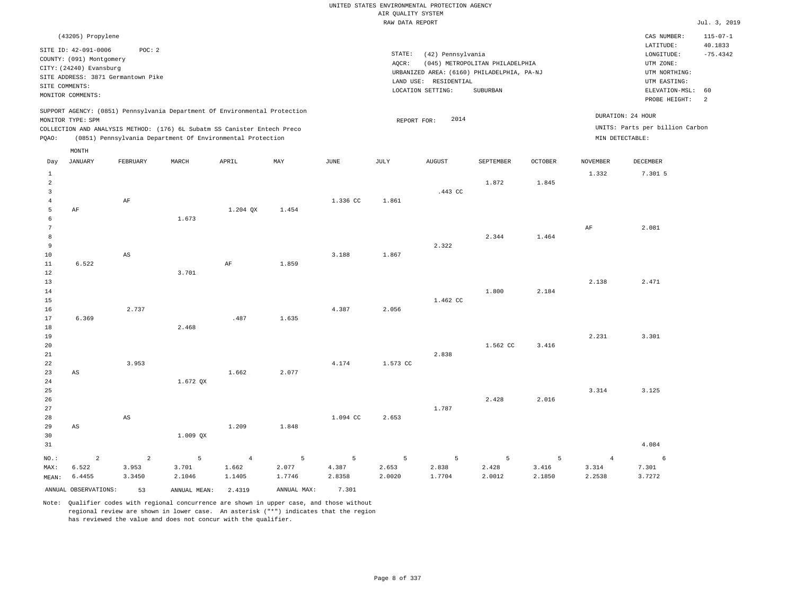### UNITED STATES ENVIRONMENTAL PROTECTION AGENCY AIR QUALITY SYSTEM

|                     |                                    |                        |                                                                            |                |             |             | RAW DATA REPORT |                       |                                            |                |                 |                                 | Jul. 3, 2019   |
|---------------------|------------------------------------|------------------------|----------------------------------------------------------------------------|----------------|-------------|-------------|-----------------|-----------------------|--------------------------------------------|----------------|-----------------|---------------------------------|----------------|
|                     | (43205) Propylene                  |                        |                                                                            |                |             |             |                 |                       |                                            |                |                 | CAS NUMBER:                     | $115 - 07 - 1$ |
|                     | SITE ID: 42-091-0006               | POC: 2                 |                                                                            |                |             |             |                 |                       |                                            |                |                 | LATITUDE:                       | 40.1833        |
|                     | COUNTY: (091) Montgomery           |                        |                                                                            |                |             |             | STATE:          | (42) Pennsylvania     |                                            |                |                 | LONGITUDE:                      | $-75.4342$     |
|                     | CITY: (24240) Evansburg            |                        |                                                                            |                |             |             | AQCR:           |                       | (045) METROPOLITAN PHILADELPHIA            |                |                 | UTM ZONE:                       |                |
|                     | SITE ADDRESS: 3871 Germantown Pike |                        |                                                                            |                |             |             |                 |                       | URBANIZED AREA: (6160) PHILADELPHIA, PA-NJ |                |                 | UTM NORTHING:                   |                |
|                     | SITE COMMENTS:                     |                        |                                                                            |                |             |             |                 | LAND USE: RESIDENTIAL |                                            |                |                 | UTM EASTING:                    |                |
|                     | MONITOR COMMENTS:                  |                        |                                                                            |                |             |             |                 | LOCATION SETTING:     | SUBURBAN                                   |                |                 | ELEVATION-MSL: 60               |                |
|                     |                                    |                        |                                                                            |                |             |             |                 |                       |                                            |                |                 | PROBE HEIGHT:                   | 2              |
|                     |                                    |                        | SUPPORT AGENCY: (0851) Pennsylvania Department Of Environmental Protection |                |             |             |                 | 2014                  |                                            |                |                 | DURATION: 24 HOUR               |                |
|                     | MONITOR TYPE: SPM                  |                        | COLLECTION AND ANALYSIS METHOD: (176) 6L Subatm SS Canister Entech Preco   |                |             |             | REPORT FOR:     |                       |                                            |                |                 | UNITS: Parts per billion Carbon |                |
| PQAO:               |                                    |                        | (0851) Pennsylvania Department Of Environmental Protection                 |                |             |             |                 |                       |                                            |                |                 | MIN DETECTABLE:                 |                |
|                     |                                    |                        |                                                                            |                |             |             |                 |                       |                                            |                |                 |                                 |                |
|                     | MONTH                              |                        |                                                                            |                |             |             |                 |                       |                                            |                |                 |                                 |                |
| Day                 | <b>JANUARY</b>                     | FEBRUARY               | MARCH                                                                      | APRIL          | MAY         | <b>JUNE</b> | JULY            | <b>AUGUST</b>         | SEPTEMBER                                  | <b>OCTOBER</b> | <b>NOVEMBER</b> | <b>DECEMBER</b>                 |                |
| $\mathbf{1}$        |                                    |                        |                                                                            |                |             |             |                 |                       |                                            |                | 1.332           | 7.301 5                         |                |
| $\overline{a}$      |                                    |                        |                                                                            |                |             |             |                 |                       | 1.872                                      | 1.845          |                 |                                 |                |
| 3                   |                                    |                        |                                                                            |                |             |             |                 | .443 CC               |                                            |                |                 |                                 |                |
| $\bf{4}$            |                                    | $\rm AF$               |                                                                            |                |             | 1.336 CC    | 1.861           |                       |                                            |                |                 |                                 |                |
| 5                   | $\rm AF$                           |                        |                                                                            | 1.204 QX       | 1.454       |             |                 |                       |                                            |                |                 |                                 |                |
| $6\phantom{1}$      |                                    |                        | 1.673                                                                      |                |             |             |                 |                       |                                            |                |                 |                                 |                |
| $7\phantom{.0}$     |                                    |                        |                                                                            |                |             |             |                 |                       |                                            |                | AF              | 2.081                           |                |
| 8<br>$\overline{9}$ |                                    |                        |                                                                            |                |             |             |                 | 2.322                 | 2.344                                      | 1.464          |                 |                                 |                |
| 10                  |                                    | $\mathbb{A}\mathbb{S}$ |                                                                            |                |             | 3.188       | 1.867           |                       |                                            |                |                 |                                 |                |
| $1\,1$              | 6.522                              |                        |                                                                            | $\rm AF$       | 1.859       |             |                 |                       |                                            |                |                 |                                 |                |
| 12                  |                                    |                        | 3.701                                                                      |                |             |             |                 |                       |                                            |                |                 |                                 |                |
| 13                  |                                    |                        |                                                                            |                |             |             |                 |                       |                                            |                | 2.138           | 2.471                           |                |
| 14                  |                                    |                        |                                                                            |                |             |             |                 |                       | 1.800                                      | 2.184          |                 |                                 |                |
| 15                  |                                    |                        |                                                                            |                |             |             |                 | 1.462 CC              |                                            |                |                 |                                 |                |
| 16                  |                                    | 2.737                  |                                                                            |                |             | 4.387       | 2.056           |                       |                                            |                |                 |                                 |                |
| 17                  | 6.369                              |                        |                                                                            | .487           | 1.635       |             |                 |                       |                                            |                |                 |                                 |                |
| 18                  |                                    |                        | 2.468                                                                      |                |             |             |                 |                       |                                            |                |                 |                                 |                |
| 19                  |                                    |                        |                                                                            |                |             |             |                 |                       |                                            |                | 2.231           | 3.301                           |                |
| 20                  |                                    |                        |                                                                            |                |             |             |                 |                       | 1.562 CC                                   | 3.416          |                 |                                 |                |
| 21                  |                                    |                        |                                                                            |                |             |             |                 | 2.838                 |                                            |                |                 |                                 |                |
| 22                  |                                    | 3.953                  |                                                                            |                |             | 4.174       | 1.573 CC        |                       |                                            |                |                 |                                 |                |
| 23                  | $_{\rm AS}$                        |                        |                                                                            | 1.662          | 2.077       |             |                 |                       |                                            |                |                 |                                 |                |
| 24                  |                                    |                        | 1.672 QX                                                                   |                |             |             |                 |                       |                                            |                |                 |                                 |                |
| 25                  |                                    |                        |                                                                            |                |             |             |                 |                       |                                            |                | 3.314           | 3.125                           |                |
| 26<br>27            |                                    |                        |                                                                            |                |             |             |                 |                       | 2.428                                      | 2.016          |                 |                                 |                |
| 28                  |                                    | $_{\rm AS}$            |                                                                            |                |             | 1.094 CC    | 2.653           | 1.787                 |                                            |                |                 |                                 |                |
| 29                  | AS                                 |                        |                                                                            | 1.209          | 1.848       |             |                 |                       |                                            |                |                 |                                 |                |
| 30                  |                                    |                        | 1.009 QX                                                                   |                |             |             |                 |                       |                                            |                |                 |                                 |                |
| 31                  |                                    |                        |                                                                            |                |             |             |                 |                       |                                            |                |                 | 4.084                           |                |
|                     |                                    |                        |                                                                            |                |             |             |                 |                       |                                            |                |                 |                                 |                |
| $NO.$ :             | $\overline{2}$                     | $\overline{a}$         | 5                                                                          | $\overline{4}$ | 5           | 5           | 5               | 5                     | 5                                          | 5              | $\overline{4}$  | 6                               |                |
| MAX:                | 6.522                              | 3.953                  | 3.701                                                                      | 1.662          | 2.077       | 4.387       | 2.653           | 2.838                 | 2.428                                      | 3.416          | 3.314           | 7.301                           |                |
| MEAN:               | 6.4455                             | 3.3450                 | 2.1046                                                                     | 1.1405         | 1.7746      | 2.8358      | 2.0020          | 1.7704                | 2.0012                                     | 2.1850         | 2.2538          | 3.7272                          |                |
|                     | ANNUAL OBSERVATIONS:               | 53                     | ANNUAL MEAN:                                                               | 2.4319         | ANNUAL MAX: | 7.301       |                 |                       |                                            |                |                 |                                 |                |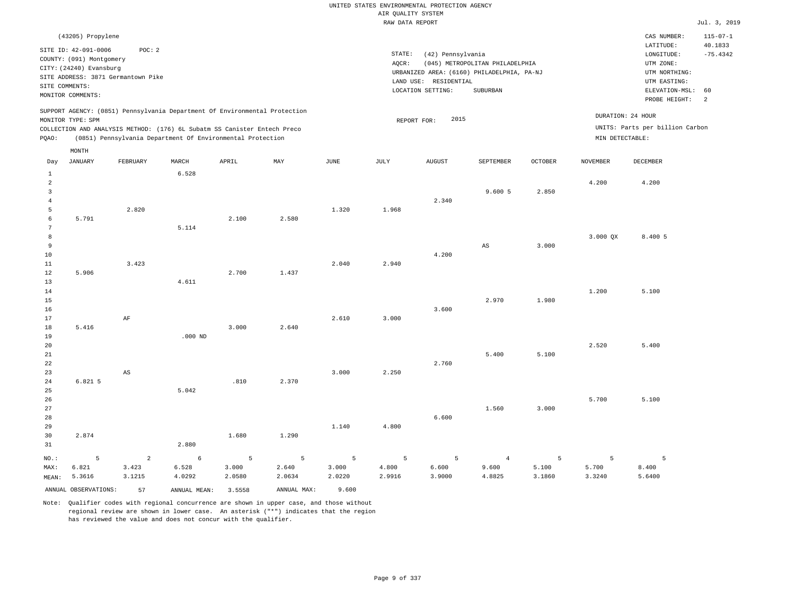|                                                                       |                                                                                                                                        |                                   |                                                                                                                                                                                                                      |                      |                      |                      | AIR QUALITY SYSTEM   | UNITED STATES ENVIRONMENTAL PROTECTION AGENCY                                                                 |                                             |                      |                                      |                                                                                                          |                                  |
|-----------------------------------------------------------------------|----------------------------------------------------------------------------------------------------------------------------------------|-----------------------------------|----------------------------------------------------------------------------------------------------------------------------------------------------------------------------------------------------------------------|----------------------|----------------------|----------------------|----------------------|---------------------------------------------------------------------------------------------------------------|---------------------------------------------|----------------------|--------------------------------------|----------------------------------------------------------------------------------------------------------|----------------------------------|
|                                                                       |                                                                                                                                        |                                   |                                                                                                                                                                                                                      |                      |                      |                      | RAW DATA REPORT      |                                                                                                               |                                             |                      |                                      |                                                                                                          | Jul. 3, 2019                     |
|                                                                       | (43205) Propylene                                                                                                                      |                                   |                                                                                                                                                                                                                      |                      |                      |                      |                      |                                                                                                               |                                             |                      |                                      | CAS NUMBER:                                                                                              | $115 - 07 - 1$                   |
| SITE COMMENTS:                                                        | SITE ID: 42-091-0006<br>COUNTY: (091) Montgomery<br>CITY: (24240) Evansburg<br>SITE ADDRESS: 3871 Germantown Pike<br>MONITOR COMMENTS: | POC: 2                            |                                                                                                                                                                                                                      |                      |                      |                      | STATE:<br>AQCR:      | (42) Pennsylvania<br>URBANIZED AREA: (6160) PHILADELPHIA, PA-NJ<br>LAND USE: RESIDENTIAL<br>LOCATION SETTING: | (045) METROPOLITAN PHILADELPHIA<br>SUBURBAN |                      |                                      | LATITUDE:<br>LONGITUDE:<br>UTM ZONE:<br>UTM NORTHING:<br>UTM EASTING:<br>ELEVATION-MSL:<br>PROBE HEIGHT: | 40.1833<br>$-75.4342$<br>60<br>2 |
| PQAO:                                                                 | MONITOR TYPE: SPM                                                                                                                      |                                   | SUPPORT AGENCY: (0851) Pennsylvania Department Of Environmental Protection<br>COLLECTION AND ANALYSIS METHOD: (176) 6L Subatm SS Canister Entech Preco<br>(0851) Pennsylvania Department Of Environmental Protection |                      |                      |                      |                      | 2015<br>REPORT FOR:                                                                                           |                                             |                      | DURATION: 24 HOUR<br>MIN DETECTABLE: | UNITS: Parts per billion Carbon                                                                          |                                  |
|                                                                       | MONTH                                                                                                                                  |                                   |                                                                                                                                                                                                                      |                      |                      |                      |                      |                                                                                                               |                                             |                      |                                      |                                                                                                          |                                  |
| Day                                                                   | <b>JANUARY</b>                                                                                                                         | FEBRUARY                          | MARCH                                                                                                                                                                                                                | APRIL                | $_{\rm MAY}$         | JUNE                 | JULY                 | AUGUST                                                                                                        | SEPTEMBER                                   | <b>OCTOBER</b>       | <b>NOVEMBER</b>                      | DECEMBER                                                                                                 |                                  |
| 1<br>$\overline{a}$<br>$\overline{\mathbf{3}}$<br>$\overline{4}$<br>5 |                                                                                                                                        | 2.820                             | 6.528                                                                                                                                                                                                                |                      |                      | 1.320                | 1.968                | 2.340                                                                                                         | 9.600 5                                     | 2.850                | 4.200                                | 4.200                                                                                                    |                                  |
| 6<br>$\overline{7}$<br>8<br>$\overline{9}$<br>10<br>11                | 5.791                                                                                                                                  | 3.423                             | 5.114                                                                                                                                                                                                                | 2.100                | 2.580                | 2.040                | 2.940                | 4.200                                                                                                         | $\mathbb{A}\mathbb{S}$                      | 3.000                | 3.000 OX                             | 8.400 5                                                                                                  |                                  |
| $1\,2$<br>13<br>14<br>15<br>16<br>17                                  | 5.906                                                                                                                                  | $\rm AF$                          | 4.611                                                                                                                                                                                                                | 2.700                | 1.437                | 2.610                | 3.000                | 3.600                                                                                                         | 2.970                                       | 1.980                | 1.200                                | 5.100                                                                                                    |                                  |
| 18<br>19<br>20<br>$2\sqrt{1}$<br>22<br>23                             | 5.416                                                                                                                                  | $\mathbb{A}\mathbb{S}$            | $.000$ ND                                                                                                                                                                                                            | 3.000                | 2.640                | 3.000                | 2.250                | 2.760                                                                                                         | 5.400                                       | 5.100                | 2.520                                | 5.400                                                                                                    |                                  |
| $2\sqrt{4}$<br>25<br>26<br>27<br>28<br>29                             | 6.821 5                                                                                                                                |                                   | 5.042                                                                                                                                                                                                                | .810                 | 2.370                | 1.140                | 4.800                | 6.600                                                                                                         | 1.560                                       | 3.000                | 5.700                                | 5.100                                                                                                    |                                  |
| 30<br>31                                                              | 2.874                                                                                                                                  |                                   | 2.880                                                                                                                                                                                                                | 1.680                | 1.290                |                      |                      |                                                                                                               |                                             |                      |                                      |                                                                                                          |                                  |
| $NO.$ :<br>MAX:<br>MEAN:                                              | $\mathsf S$<br>6.821<br>5.3616                                                                                                         | $\overline{a}$<br>3.423<br>3.1215 | 6<br>6.528<br>4.0292                                                                                                                                                                                                 | 5<br>3.000<br>2.0580 | 5<br>2.640<br>2.0634 | 5<br>3.000<br>2.0220 | 5<br>4.800<br>2.9916 | 5<br>6.600<br>3.9000                                                                                          | $\overline{4}$<br>9.600<br>4.8825           | 5<br>5.100<br>3.1860 | 5<br>5.700<br>3.3240                 | 5<br>8.400<br>5.6400                                                                                     |                                  |
|                                                                       | ANNUAL OBSERVATIONS:                                                                                                                   | 57                                | ANNUAL MEAN: 3.5558                                                                                                                                                                                                  |                      | ANNUAL MAX:          | 9.600                |                      |                                                                                                               |                                             |                      |                                      |                                                                                                          |                                  |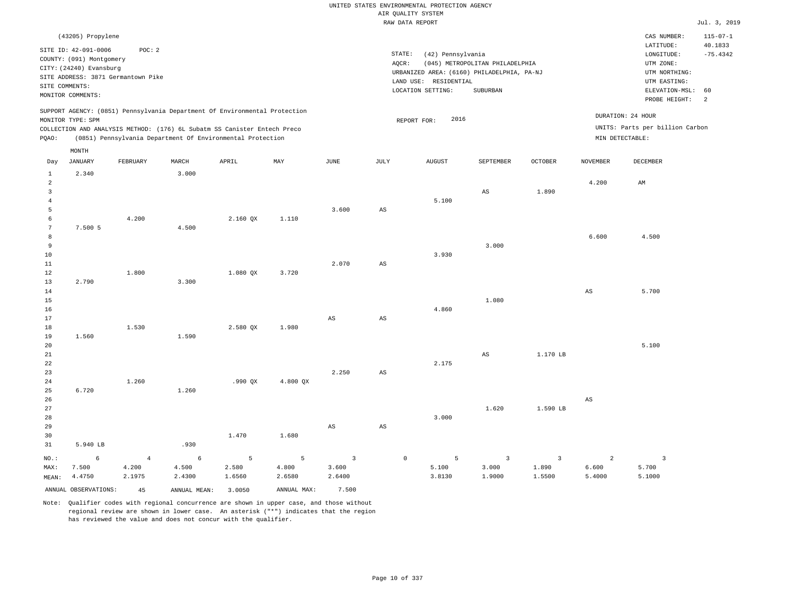|                                                                      |                                                                                                                   |                          |                                                                                                                                                                                                                      |                      |                      |                                |                        | UNITED STATES ENVIRONMENTAL PROTECTION AGENCY<br>AIR QUALITY SYSTEM                      |                                            |                                   |                                   |                                                                         |                           |
|----------------------------------------------------------------------|-------------------------------------------------------------------------------------------------------------------|--------------------------|----------------------------------------------------------------------------------------------------------------------------------------------------------------------------------------------------------------------|----------------------|----------------------|--------------------------------|------------------------|------------------------------------------------------------------------------------------|--------------------------------------------|-----------------------------------|-----------------------------------|-------------------------------------------------------------------------|---------------------------|
|                                                                      |                                                                                                                   |                          |                                                                                                                                                                                                                      |                      |                      |                                |                        | RAW DATA REPORT                                                                          |                                            |                                   |                                   |                                                                         | Jul. 3, 2019              |
|                                                                      | (43205) Propylene                                                                                                 |                          |                                                                                                                                                                                                                      |                      |                      |                                |                        |                                                                                          |                                            |                                   |                                   | CAS NUMBER:                                                             | $115 - 07 - 1$<br>40.1833 |
|                                                                      | SITE ID: 42-091-0006<br>COUNTY: (091) Montgomery<br>CITY: (24240) Evansburg<br>SITE ADDRESS: 3871 Germantown Pike | POC: 2                   |                                                                                                                                                                                                                      |                      |                      |                                | STATE:<br>AQCR:        | (42) Pennsylvania<br>URBANIZED AREA: (6160) PHILADELPHIA, PA-NJ<br>LAND USE: RESIDENTIAL | (045) METROPOLITAN PHILADELPHIA            |                                   |                                   | LATITUDE:<br>LONGITUDE:<br>UTM ZONE:<br>UTM NORTHING:<br>UTM EASTING:   | $-75.4342$                |
| SITE COMMENTS:                                                       | MONITOR COMMENTS:                                                                                                 |                          |                                                                                                                                                                                                                      |                      |                      |                                |                        | LOCATION SETTING:                                                                        | <b>SUBURBAN</b>                            |                                   |                                   | ELEVATION-MSL:<br>PROBE HEIGHT:                                         | 60<br>2                   |
| PQAO:                                                                | MONITOR TYPE: SPM                                                                                                 |                          | SUPPORT AGENCY: (0851) Pennsylvania Department Of Environmental Protection<br>COLLECTION AND ANALYSIS METHOD: (176) 6L Subatm SS Canister Entech Preco<br>(0851) Pennsylvania Department Of Environmental Protection |                      |                      |                                |                        | 2016<br>REPORT FOR:                                                                      |                                            |                                   |                                   | DURATION: 24 HOUR<br>UNITS: Parts per billion Carbon<br>MIN DETECTABLE: |                           |
| Day                                                                  | MONTH<br><b>JANUARY</b>                                                                                           | FEBRUARY                 | $\tt MARCH$                                                                                                                                                                                                          | APRIL                | MAY                  | <b>JUNE</b>                    | $\mathtt{JULY}$        | AUGUST                                                                                   | SEPTEMBER                                  | <b>OCTOBER</b>                    | <b>NOVEMBER</b>                   | DECEMBER                                                                |                           |
| $\mathbf{1}$<br>$\overline{a}$<br>$\overline{\mathbf{3}}$<br>$\,4\,$ | 2.340                                                                                                             |                          | 3.000                                                                                                                                                                                                                |                      |                      |                                |                        | 5.100                                                                                    | $\mathbb{A}\mathbb{S}$                     | 1.890                             | 4.200                             | AM                                                                      |                           |
| 5<br>6<br>$7\phantom{.0}$<br>8                                       | 7.500 5                                                                                                           | 4.200                    | 4.500                                                                                                                                                                                                                | 2.160 QX             | 1.110                | 3.600                          | AS                     |                                                                                          |                                            |                                   | 6.600                             | 4.500                                                                   |                           |
| 9<br>$10$<br>$1\,1$<br>12                                            |                                                                                                                   | 1.800                    |                                                                                                                                                                                                                      | 1.080 QX             | 3.720                | 2.070                          | $_{\rm AS}$            | 3.930                                                                                    | 3.000                                      |                                   |                                   |                                                                         |                           |
| 13<br>14<br>15<br>16                                                 | 2.790                                                                                                             |                          | 3.300                                                                                                                                                                                                                |                      |                      |                                |                        | 4.860                                                                                    | 1.080                                      |                                   | $\mathbb{A}\mathbb{S}$            | 5.700                                                                   |                           |
| 17<br>18<br>19<br>20                                                 | 1.560                                                                                                             | 1.530                    | 1.590                                                                                                                                                                                                                | 2.580 QX             | 1.980                | $\mathbb{A}\mathbb{S}$         | $\mathbb{A}\mathbb{S}$ |                                                                                          |                                            |                                   |                                   | 5.100                                                                   |                           |
| 21<br>22<br>23<br>24                                                 |                                                                                                                   | 1.260                    |                                                                                                                                                                                                                      | .990QX               | 4.800 QX             | 2.250                          | $_{\rm AS}$            | 2.175                                                                                    | $_{\rm AS}$                                | 1.170 LB                          |                                   |                                                                         |                           |
| 25<br>26<br>27                                                       | 6.720                                                                                                             |                          | 1.260                                                                                                                                                                                                                |                      |                      |                                |                        |                                                                                          | 1.620                                      | 1.590 LB                          | $\mathbb{A}\mathbb{S}$            |                                                                         |                           |
| 28<br>29<br>30<br>31                                                 | 5.940 LB                                                                                                          |                          | .930                                                                                                                                                                                                                 | 1.470                | 1.680                | $\mathbb{A}\mathbb{S}$         | AS                     | 3.000                                                                                    |                                            |                                   |                                   |                                                                         |                           |
| $NO.$ :<br>MAX:<br>MEAN:                                             | 6<br>7.500<br>4.4750                                                                                              | $\,4$<br>4.200<br>2.1975 | 6<br>4.500<br>2.4300                                                                                                                                                                                                 | 5<br>2.580<br>1.6560 | 5<br>4.800<br>2.6580 | $\mathsf 3$<br>3.600<br>2.6400 | $\mathbb O$            | 5<br>5.100<br>3.8130                                                                     | $\overline{\mathbf{3}}$<br>3.000<br>1.9000 | $\overline{3}$<br>1.890<br>1.5500 | $\overline{a}$<br>6.600<br>5.4000 | $\overline{\mathbf{3}}$<br>5.700<br>5.1000                              |                           |
|                                                                      | ANNUAL OBSERVATIONS:                                                                                              | 45                       | ANNUAL, MEAN:                                                                                                                                                                                                        | 3.0050               | ANNUAL MAX:          | 7.500                          |                        |                                                                                          |                                            |                                   |                                   |                                                                         |                           |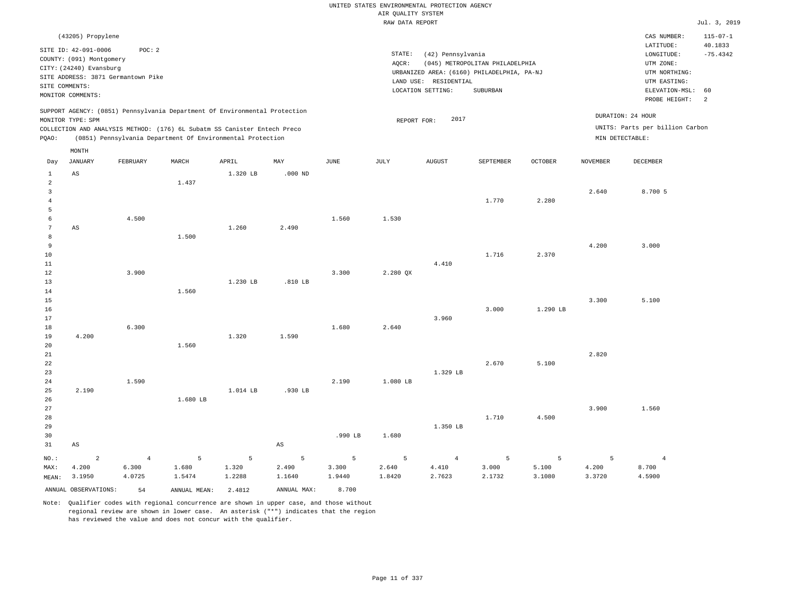|                                                                                                                                                  |                                                                                                                                        |                                         |                                      |                                                                                                                                                                                                                      |                                                  |                                            |                      | UNITED STATES ENVIRONMENTAL PROTECTION AGENCY                                                                 |                                             |                      |                                   |                                                                                                                    |                                               |
|--------------------------------------------------------------------------------------------------------------------------------------------------|----------------------------------------------------------------------------------------------------------------------------------------|-----------------------------------------|--------------------------------------|----------------------------------------------------------------------------------------------------------------------------------------------------------------------------------------------------------------------|--------------------------------------------------|--------------------------------------------|----------------------|---------------------------------------------------------------------------------------------------------------|---------------------------------------------|----------------------|-----------------------------------|--------------------------------------------------------------------------------------------------------------------|-----------------------------------------------|
|                                                                                                                                                  |                                                                                                                                        |                                         |                                      |                                                                                                                                                                                                                      |                                                  |                                            | AIR QUALITY SYSTEM   |                                                                                                               |                                             |                      |                                   |                                                                                                                    |                                               |
|                                                                                                                                                  |                                                                                                                                        |                                         |                                      |                                                                                                                                                                                                                      |                                                  |                                            | RAW DATA REPORT      |                                                                                                               |                                             |                      |                                   |                                                                                                                    | Jul. 3, 2019                                  |
| SITE COMMENTS:                                                                                                                                   | (43205) Propylene<br>SITE ID: 42-091-0006<br>COUNTY: (091) Montgomery<br>CITY: (24240) Evansburg<br>SITE ADDRESS: 3871 Germantown Pike | POC: 2                                  |                                      |                                                                                                                                                                                                                      |                                                  |                                            | STATE:<br>AOCR:      | (42) Pennsylvania<br>URBANIZED AREA: (6160) PHILADELPHIA, PA-NJ<br>LAND USE: RESIDENTIAL<br>LOCATION SETTING: | (045) METROPOLITAN PHILADELPHIA<br>SUBURBAN |                      |                                   | CAS NUMBER:<br>LATITUDE:<br>$\texttt{LONGITUDE}$ :<br>UTM ZONE:<br>UTM NORTHING:<br>UTM EASTING:<br>ELEVATION-MSL: | $115 - 07 - 1$<br>40.1833<br>$-75.4342$<br>60 |
|                                                                                                                                                  | MONITOR COMMENTS:                                                                                                                      |                                         |                                      |                                                                                                                                                                                                                      |                                                  |                                            |                      |                                                                                                               |                                             |                      |                                   | PROBE HEIGHT:                                                                                                      | 2                                             |
| PQAO:                                                                                                                                            | MONITOR TYPE: SPM<br>MONTH                                                                                                             |                                         |                                      | SUPPORT AGENCY: (0851) Pennsylvania Department Of Environmental Protection<br>COLLECTION AND ANALYSIS METHOD: (176) 6L Subatm SS Canister Entech Preco<br>(0851) Pennsylvania Department Of Environmental Protection |                                                  |                                            | REPORT FOR:          | 2017                                                                                                          |                                             |                      | MIN DETECTABLE:                   | DURATION: 24 HOUR<br>UNITS: Parts per billion Carbon                                                               |                                               |
| Day                                                                                                                                              | <b>JANUARY</b>                                                                                                                         | FEBRUARY                                | MARCH                                | APRIL                                                                                                                                                                                                                | MAY                                              | $_{\rm JUNE}$                              | JULY                 | <b>AUGUST</b>                                                                                                 | SEPTEMBER                                   | <b>OCTOBER</b>       | <b>NOVEMBER</b>                   | <b>DECEMBER</b>                                                                                                    |                                               |
| $\mathbf{1}$<br>$\overline{2}$<br>$\overline{3}$<br>$\overline{4}$<br>5<br>6<br>$\overline{7}$<br>8<br>9<br>10<br>$11\,$<br>12<br>13<br>14<br>15 | AS<br>AS                                                                                                                               | 4.500<br>3.900                          | 1.437<br>1.500<br>1.560              | 1.320 LB<br>1.260<br>1.230 LB                                                                                                                                                                                        | $.000$ ND<br>2.490<br>.810 LB                    | 1.560<br>3.300                             | 1.530<br>2.280 QX    | 4.410                                                                                                         | 1,770<br>1.716                              | 2.280<br>2.370       | 2.640<br>4.200<br>3.300           | 8.700 5<br>3.000<br>5.100                                                                                          |                                               |
| 16<br>17<br>18                                                                                                                                   |                                                                                                                                        | 6.300                                   |                                      |                                                                                                                                                                                                                      |                                                  | 1.680                                      | 2.640                | 3.960                                                                                                         | 3.000                                       | 1.290 LB             |                                   |                                                                                                                    |                                               |
| 19<br>20<br>$2\sqrt{1}$<br>22<br>23<br>24<br>25                                                                                                  | 4.200<br>2.190                                                                                                                         | 1.590                                   | 1.560                                | 1.320<br>1.014 LB                                                                                                                                                                                                    | 1.590<br>.930 LB                                 | 2.190                                      | 1.080 LB             | 1.329 LB                                                                                                      | 2.670                                       | 5.100                | 2.820                             |                                                                                                                    |                                               |
| 26<br>27<br>28<br>29<br>30<br>31                                                                                                                 | $_{\rm AS}$                                                                                                                            |                                         | 1.680 LB                             |                                                                                                                                                                                                                      | $\mathbb{A}\mathbb{S}$                           | .990 LB                                    | 1.680                | 1.350 LB                                                                                                      | 1.710                                       | 4.500                | 3.900                             | 1.560                                                                                                              |                                               |
| NO.:<br>MAX:<br>MEAN:                                                                                                                            | $\overline{a}$<br>4.200<br>3.1950<br>ANNUAL OBSERVATIONS:                                                                              | $\overline{4}$<br>6.300<br>4.0725<br>54 | 5<br>1.680<br>1.5474<br>ANNUAL MEAN: | 5<br>1.320<br>1.2288<br>2.4812                                                                                                                                                                                       | $\overline{5}$<br>2.490<br>1.1640<br>ANNUAL MAX: | $\overline{5}$<br>3.300<br>1.9440<br>8.700 | 5<br>2.640<br>1.8420 | $\overline{4}$<br>4.410<br>2.7623                                                                             | 5<br>3.000<br>2.1732                        | 5<br>5.100<br>3.1080 | $\overline{5}$<br>4.200<br>3.3720 | $\overline{4}$<br>8.700<br>4.5900                                                                                  |                                               |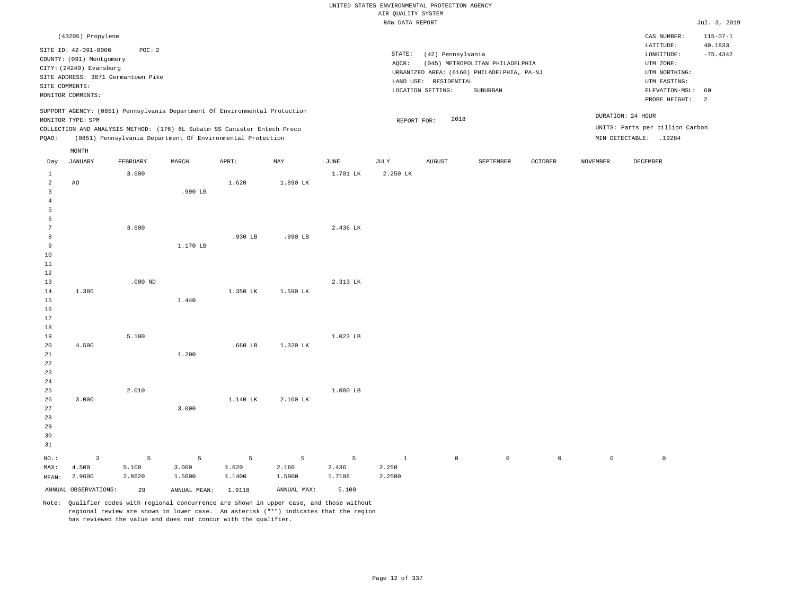### RAW DATA REPORT Jul. 3, 2019 UNITED STATES ENVIRONMENTAL PROTECTION AGENCY AIR QUALITY SYSTEM

|                | (43205) Propylene                                                           |           |                                                                            |           |                |             |                 |                       |                                                                               |                |                     | CAS NUMBER:                                           | $115 - 07 - 1$        |
|----------------|-----------------------------------------------------------------------------|-----------|----------------------------------------------------------------------------|-----------|----------------|-------------|-----------------|-----------------------|-------------------------------------------------------------------------------|----------------|---------------------|-------------------------------------------------------|-----------------------|
|                | SITE ID: 42-091-0006<br>COUNTY: (091) Montgomery<br>CITY: (24240) Evansburg | POC: 2    |                                                                            |           |                |             | STATE:<br>AQCR: | (42) Pennsylvania     | (045) METROPOLITAN PHILADELPHIA<br>URBANIZED AREA: (6160) PHILADELPHIA, PA-NJ |                |                     | LATITUDE:<br>LONGITUDE:<br>UTM ZONE:<br>UTM NORTHING: | 40.1833<br>$-75.4342$ |
|                | SITE ADDRESS: 3871 Germantown Pike<br>SITE COMMENTS:                        |           |                                                                            |           |                |             |                 | LAND USE: RESIDENTIAL |                                                                               |                |                     | UTM EASTING:                                          |                       |
|                | MONITOR COMMENTS:                                                           |           |                                                                            |           |                |             |                 | LOCATION SETTING:     | SUBURBAN                                                                      |                |                     | ELEVATION-MSL:                                        | 60                    |
|                |                                                                             |           | SUPPORT AGENCY: (0851) Pennsylvania Department Of Environmental Protection |           |                |             |                 |                       |                                                                               |                |                     | PROBE HEIGHT:                                         | 2                     |
|                | MONITOR TYPE: SPM                                                           |           |                                                                            |           |                |             | REPORT FOR:     | 2018                  |                                                                               |                |                     | DURATION: 24 HOUR                                     |                       |
|                |                                                                             |           | COLLECTION AND ANALYSIS METHOD: (176) 6L Subatm SS Canister Entech Preco   |           |                |             |                 |                       |                                                                               |                |                     | UNITS: Parts per billion Carbon                       |                       |
| PQAO:          |                                                                             |           | (0851) Pennsylvania Department Of Environmental Protection                 |           |                |             |                 |                       |                                                                               |                |                     | MIN DETECTABLE: .19284                                |                       |
|                | MONTH                                                                       |           |                                                                            |           |                |             |                 |                       |                                                                               |                |                     |                                                       |                       |
| Day            | JANUARY                                                                     | FEBRUARY  | MARCH                                                                      | APRIL     | MAY            | <b>JUNE</b> | <b>JULY</b>     | <b>AUGUST</b>         | SEPTEMBER                                                                     | <b>OCTOBER</b> | <b>NOVEMBER</b>     | DECEMBER                                              |                       |
| $\mathbf{1}$   |                                                                             | 3.600     |                                                                            |           |                | 1.701 LK    | 2.250 LK        |                       |                                                                               |                |                     |                                                       |                       |
| $\overline{a}$ | AO                                                                          |           |                                                                            | 1.620     | 1.890 LK       |             |                 |                       |                                                                               |                |                     |                                                       |                       |
| $\mathbf{3}$   |                                                                             |           | .990 LB                                                                    |           |                |             |                 |                       |                                                                               |                |                     |                                                       |                       |
| $\overline{4}$ |                                                                             |           |                                                                            |           |                |             |                 |                       |                                                                               |                |                     |                                                       |                       |
| 5              |                                                                             |           |                                                                            |           |                |             |                 |                       |                                                                               |                |                     |                                                       |                       |
| 6<br>7         |                                                                             | 3.600     |                                                                            |           |                | 2.436 LK    |                 |                       |                                                                               |                |                     |                                                       |                       |
| 8              |                                                                             |           |                                                                            | .930 LB   | .990 LB        |             |                 |                       |                                                                               |                |                     |                                                       |                       |
| 9              |                                                                             |           | 1.170 LB                                                                   |           |                |             |                 |                       |                                                                               |                |                     |                                                       |                       |
| 10             |                                                                             |           |                                                                            |           |                |             |                 |                       |                                                                               |                |                     |                                                       |                       |
| $11\,$         |                                                                             |           |                                                                            |           |                |             |                 |                       |                                                                               |                |                     |                                                       |                       |
| $12\,$         |                                                                             |           |                                                                            |           |                |             |                 |                       |                                                                               |                |                     |                                                       |                       |
| 13             |                                                                             | $.000$ ND |                                                                            |           |                | 2.313 LK    |                 |                       |                                                                               |                |                     |                                                       |                       |
| 14             | 1.380                                                                       |           |                                                                            | 1.350 LK  | 1.590 LK       |             |                 |                       |                                                                               |                |                     |                                                       |                       |
| $15$<br>16     |                                                                             |           | 1.440                                                                      |           |                |             |                 |                       |                                                                               |                |                     |                                                       |                       |
| 17             |                                                                             |           |                                                                            |           |                |             |                 |                       |                                                                               |                |                     |                                                       |                       |
| 18             |                                                                             |           |                                                                            |           |                |             |                 |                       |                                                                               |                |                     |                                                       |                       |
| 19             |                                                                             | 5.100     |                                                                            |           |                | 1.023 LB    |                 |                       |                                                                               |                |                     |                                                       |                       |
| 20             | 4.500                                                                       |           |                                                                            | $.660$ LB | 1.320 LK       |             |                 |                       |                                                                               |                |                     |                                                       |                       |
| 21             |                                                                             |           | 1.200                                                                      |           |                |             |                 |                       |                                                                               |                |                     |                                                       |                       |
| 22             |                                                                             |           |                                                                            |           |                |             |                 |                       |                                                                               |                |                     |                                                       |                       |
| 23<br>24       |                                                                             |           |                                                                            |           |                |             |                 |                       |                                                                               |                |                     |                                                       |                       |
| 25             |                                                                             | 2.010     |                                                                            |           |                | 1.080 LB    |                 |                       |                                                                               |                |                     |                                                       |                       |
| 26             | 3.000                                                                       |           |                                                                            | 1.140 LK  | 2.160 LK       |             |                 |                       |                                                                               |                |                     |                                                       |                       |
| 27             |                                                                             |           | 3.000                                                                      |           |                |             |                 |                       |                                                                               |                |                     |                                                       |                       |
| 28             |                                                                             |           |                                                                            |           |                |             |                 |                       |                                                                               |                |                     |                                                       |                       |
| 29             |                                                                             |           |                                                                            |           |                |             |                 |                       |                                                                               |                |                     |                                                       |                       |
| 30             |                                                                             |           |                                                                            |           |                |             |                 |                       |                                                                               |                |                     |                                                       |                       |
| 31             |                                                                             |           |                                                                            |           |                |             |                 |                       |                                                                               |                |                     |                                                       |                       |
| NO.:           | $\overline{3}$                                                              | 5         | 5                                                                          | 5         | $\overline{5}$ | 5           | $\mathbf{1}$    | $\mathbb O$           | $\mathsf 0$                                                                   | $\mathsf{O}$   | $\mathsf{O}\xspace$ | $\mathbb O$                                           |                       |
| MAX:           | 4.500                                                                       | 5.100     | 3.000                                                                      | 1.620     | 2.160          | 2.436       | 2.250           |                       |                                                                               |                |                     |                                                       |                       |
| MEAN:          | 2.9600                                                                      | 2.8620    | 1.5600                                                                     | 1.1400    | 1.5900         | 1.7106      | 2.2500          |                       |                                                                               |                |                     |                                                       |                       |
|                | ANNUAL OBSERVATIONS:                                                        | 29        | ANNUAL MEAN:                                                               | 1.9118    | ANNUAL MAX:    | 5.100       |                 |                       |                                                                               |                |                     |                                                       |                       |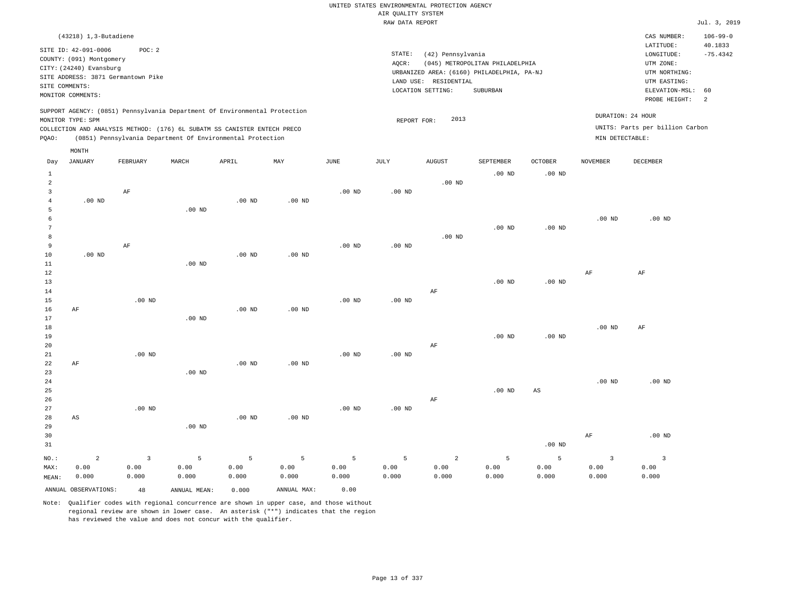## UNITED STATES ENVIRONMENTAL PROTECTION AGENCY AIR QUALITY SYSTEM

|             |                                                                                                                                                          |          |                                                                                                                                                                                                                      |                             |                      |          | RAW DATA REPORT |                                                                 |                                                                                           |                   |                                      |                                                                                                             | Jul. 3, 2019                                        |
|-------------|----------------------------------------------------------------------------------------------------------------------------------------------------------|----------|----------------------------------------------------------------------------------------------------------------------------------------------------------------------------------------------------------------------|-----------------------------|----------------------|----------|-----------------|-----------------------------------------------------------------|-------------------------------------------------------------------------------------------|-------------------|--------------------------------------|-------------------------------------------------------------------------------------------------------------|-----------------------------------------------------|
|             | $(43218)$ 1, 3-Butadiene                                                                                                                                 |          |                                                                                                                                                                                                                      |                             |                      |          |                 |                                                                 |                                                                                           |                   |                                      | CAS NUMBER:                                                                                                 | $106 - 99 - 0$                                      |
|             | SITE ID: 42-091-0006<br>COUNTY: (091) Montgomery<br>CITY: (24240) Evansburg<br>SITE ADDRESS: 3871 Germantown Pike<br>SITE COMMENTS:<br>MONITOR COMMENTS: | POC: 2   |                                                                                                                                                                                                                      |                             |                      |          | STATE:<br>AOCR: | (42) Pennsylvania<br>LAND USE: RESIDENTIAL<br>LOCATION SETTING: | (045) METROPOLITAN PHILADELPHIA<br>URBANIZED AREA: (6160) PHILADELPHIA, PA-NJ<br>SUBURBAN |                   |                                      | LATITUDE:<br>LONGITUDE:<br>UTM ZONE:<br>UTM NORTHING:<br>UTM EASTING:<br>ELEVATION-MSL: 60<br>PROBE HEIGHT: | 40.1833<br>$-75.4342$<br>$\overline{\phantom{0}}^2$ |
| PQAO:       | MONITOR TYPE: SPM                                                                                                                                        |          | SUPPORT AGENCY: (0851) Pennsylvania Department Of Environmental Protection<br>COLLECTION AND ANALYSIS METHOD: (176) 6L SUBATM SS CANISTER ENTECH PRECO<br>(0851) Pennsylvania Department Of Environmental Protection |                             |                      |          | REPORT FOR:     | 2013                                                            |                                                                                           |                   | DURATION: 24 HOUR<br>MIN DETECTABLE: | UNITS: Parts per billion Carbon                                                                             |                                                     |
| Day         | MONTH<br>JANUARY                                                                                                                                         | FEBRUARY | MARCH                                                                                                                                                                                                                | APRIL                       | MAY                  | JUNE     | JULY            | <b>AUGUST</b>                                                   | SEPTEMBER                                                                                 | <b>OCTOBER</b>    | NOVEMBER                             | DECEMBER                                                                                                    |                                                     |
|             |                                                                                                                                                          |          |                                                                                                                                                                                                                      |                             |                      |          |                 |                                                                 | $.00$ ND                                                                                  | $.00$ ND          |                                      |                                                                                                             |                                                     |
| 2           |                                                                                                                                                          |          |                                                                                                                                                                                                                      |                             |                      |          |                 | $.00$ ND                                                        |                                                                                           |                   |                                      |                                                                                                             |                                                     |
|             | .00 <sub>ND</sub>                                                                                                                                        | AF       |                                                                                                                                                                                                                      | $.00$ ND                    | .00 <sub>ND</sub>    | $.00$ ND | $.00$ ND        |                                                                 |                                                                                           |                   |                                      |                                                                                                             |                                                     |
| 5           |                                                                                                                                                          |          | .00 <sub>ND</sub>                                                                                                                                                                                                    |                             |                      |          |                 |                                                                 |                                                                                           |                   | $.00$ ND                             | $.00$ ND                                                                                                    |                                                     |
|             |                                                                                                                                                          |          |                                                                                                                                                                                                                      |                             |                      |          |                 |                                                                 | $.00$ ND                                                                                  | .00 <sub>ND</sub> |                                      |                                                                                                             |                                                     |
|             |                                                                                                                                                          |          |                                                                                                                                                                                                                      |                             |                      |          |                 | $.00$ ND                                                        |                                                                                           |                   |                                      |                                                                                                             |                                                     |
| 9<br>$\sim$ | 0.01                                                                                                                                                     | AF       |                                                                                                                                                                                                                      | $\sim$ $\sim$ $\sim$ $\sim$ | $\sim$ $\sim$ $\sim$ | $.00$ ND | $.00$ ND        |                                                                 |                                                                                           |                   |                                      |                                                                                                             |                                                     |

| 10          | $.00$ ND               |          |          | $.00$ ND | $.00$ ND |          |          |          |          |          |          |           |
|-------------|------------------------|----------|----------|----------|----------|----------|----------|----------|----------|----------|----------|-----------|
| 11          |                        |          | $.00$ ND |          |          |          |          |          |          |          |          |           |
| 12          |                        |          |          |          |          |          |          |          |          |          | AF       | AF        |
| 13          |                        |          |          |          |          |          |          |          | $.00$ ND | .00 $ND$ |          |           |
| 14          |                        |          |          |          |          |          |          | AF       |          |          |          |           |
| 15          |                        | $.00$ ND |          |          |          | $.00$ ND | $.00$ ND |          |          |          |          |           |
| 16          | AF                     |          |          | $.00$ ND | $.00$ ND |          |          |          |          |          |          |           |
| 17          |                        |          | .00 $ND$ |          |          |          |          |          |          |          |          |           |
| 18          |                        |          |          |          |          |          |          |          |          |          | $.00$ ND | $\rm{AF}$ |
| 19          |                        |          |          |          |          |          |          |          | $.00$ ND | $.00$ ND |          |           |
| 20          |                        |          |          |          |          |          |          | $\rm AF$ |          |          |          |           |
| 21          |                        | $.00$ ND |          |          |          | $.00$ ND | $.00$ ND |          |          |          |          |           |
| 22          | AF                     |          |          | $.00$ ND | $.00$ ND |          |          |          |          |          |          |           |
| 23          |                        |          | $.00$ ND |          |          |          |          |          |          |          |          |           |
| $2\sqrt{4}$ |                        |          |          |          |          |          |          |          |          |          | $.00$ ND | $.00$ ND  |
| 25          |                        |          |          |          |          |          |          |          | $.00$ ND | AS       |          |           |
| 26          |                        |          |          |          |          |          |          | AF       |          |          |          |           |
| 27          |                        | $.00$ ND |          |          |          | $.00$ ND | $.00$ ND |          |          |          |          |           |
| 28          | $\mathbb{A}\mathbb{S}$ |          |          | .00 $ND$ | $.00$ ND |          |          |          |          |          |          |           |
| 29          |                        |          | $.00$ ND |          |          |          |          |          |          |          |          |           |
|             |                        |          |          |          |          |          |          |          |          |          |          |           |

| 30    |                      |       |              |       |             |       |       |       |       |          | ΑF    | $.00$ ND |
|-------|----------------------|-------|--------------|-------|-------------|-------|-------|-------|-------|----------|-------|----------|
| 31    |                      |       |              |       |             |       |       |       |       | $.00$ ND |       |          |
| NO.:  |                      |       |              |       |             |       |       | 2     |       |          |       |          |
| MAX:  | 0.00                 | 0.00  | 0.00         | 0.00  | 0.00        | 0.00  | 0.00  | 0.00  | 0.00  | 0.00     | 0.00  | 0.00     |
| MEAN: | 0.000                | 0.000 | 0.000        | 0.000 | 0.000       | 0.000 | 0.000 | 0.000 | 0.000 | 0.000    | 0.000 | 0.000    |
|       | ANNUAL OBSERVATIONS: | 48    | ANNUAL MEAN: | 0.000 | ANNUAL MAX: | 0.00  |       |       |       |          |       |          |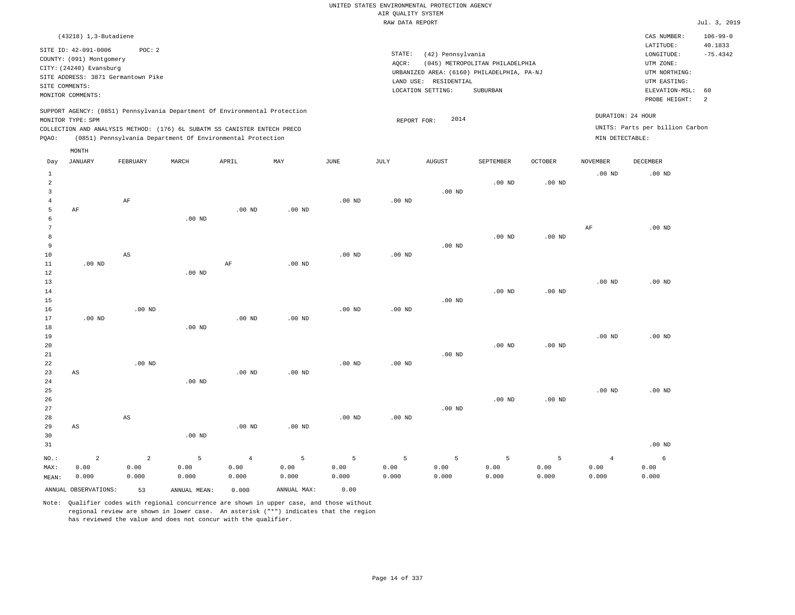### RAW DATA REPORT Jul. 3, 2019 UNITED STATES ENVIRONMENTAL PROTECTION AGENCY AIR QUALITY SYSTEM

| $(43218)$ 1, 3-Butadiene                                                                                                                                                                                                                                    |                                                                                                                                                                                        | CAS NUMBER:                                                                                                 | $106 - 99 - 0$               |
|-------------------------------------------------------------------------------------------------------------------------------------------------------------------------------------------------------------------------------------------------------------|----------------------------------------------------------------------------------------------------------------------------------------------------------------------------------------|-------------------------------------------------------------------------------------------------------------|------------------------------|
| SITE ID: 42-091-0006<br>POC:2<br>COUNTY: (091) Montgomery<br>CITY: (24240) Evansburg<br>SITE ADDRESS: 3871 Germantown Pike<br>SITE COMMENTS:<br>MONITOR COMMENTS:                                                                                           | STATE:<br>(42) Pennsylvania<br>(045) METROPOLITAN PHILADELPHIA<br>AOCR:<br>URBANIZED AREA: (6160) PHILADELPHIA, PA-NJ<br>LAND USE: RESIDENTIAL<br><b>SUBURBAN</b><br>LOCATION SETTING: | LATITUDE:<br>LONGITUDE:<br>UTM ZONE:<br>UTM NORTHING:<br>UTM EASTING:<br>ELEVATION-MSL: 60<br>PROBE HEIGHT: | 40.1833<br>$-75.4342$<br>- 2 |
| SUPPORT AGENCY: (0851) Pennsylvania Department Of Environmental Protection<br>MONITOR TYPE: SPM<br>COLLECTION AND ANALYSIS METHOD: (176) 6L SUBATM SS CANISTER ENTECH PRECO<br>(0851) Pennsylvania Department Of Environmental Protection<br>POAO:<br>MONTH | 2014<br>REPORT FOR:                                                                                                                                                                    | DURATION: 24 HOUR<br>UNITS: Parts per billion Carbon<br>MIN DETECTABLE:                                     |                              |

| Day                     | JANUARY                | FEBRUARY               | MARCH             | APRIL          | MAY         | JUNE     | JULY              | AUGUST   | SEPTEMBER   | OCTOBER           | NOVEMBER          | DECEMBER |
|-------------------------|------------------------|------------------------|-------------------|----------------|-------------|----------|-------------------|----------|-------------|-------------------|-------------------|----------|
| $\mathbf{1}$            |                        |                        |                   |                |             |          |                   |          |             |                   | .00 <sub>ND</sub> | $.00$ ND |
| $\overline{\mathbf{c}}$ |                        |                        |                   |                |             |          |                   |          | $.00$ ND    | $.00$ ND          |                   |          |
| 3                       |                        |                        |                   |                |             |          |                   | $.00$ ND |             |                   |                   |          |
| $\overline{4}$          |                        | $\rm AF$               |                   |                | $.00$ ND    | $.00$ ND | .00 <sub>ND</sub> |          |             |                   |                   |          |
| 5<br>6                  | $\rm AF$               |                        | $.00$ ND          | $.00$ ND       |             |          |                   |          |             |                   |                   |          |
| 7                       |                        |                        |                   |                |             |          |                   |          |             |                   | AF                | $.00$ ND |
| 8                       |                        |                        |                   |                |             |          |                   |          | $.00$ ND    | $.00$ ND          |                   |          |
| 9                       |                        |                        |                   |                |             |          |                   | $.00$ ND |             |                   |                   |          |
| 10                      |                        | $\mathbb{A}\mathbb{S}$ |                   |                |             | $.00$ ND | .00 <sub>ND</sub> |          |             |                   |                   |          |
| 11                      | $.00$ ND               |                        |                   | $\rm AF$       | $.00$ ND    |          |                   |          |             |                   |                   |          |
| 12                      |                        |                        | $.00$ ND          |                |             |          |                   |          |             |                   |                   |          |
| 13                      |                        |                        |                   |                |             |          |                   |          |             |                   | $.00$ ND          | $.00$ ND |
| 14                      |                        |                        |                   |                |             |          |                   |          | $.00$ ND    | $.00$ ND          |                   |          |
| 15                      |                        |                        |                   |                |             |          |                   | $.00$ ND |             |                   |                   |          |
| 16                      |                        | $.00$ ND               |                   |                |             | $.00$ ND | .00 <sub>ND</sub> |          |             |                   |                   |          |
| 17                      | $.00$ ND               |                        |                   | $.00$ ND       | $.00$ ND    |          |                   |          |             |                   |                   |          |
| 18                      |                        |                        | $.00$ ND          |                |             |          |                   |          |             |                   |                   |          |
| 19                      |                        |                        |                   |                |             |          |                   |          |             |                   | $.00$ ND          | $.00$ ND |
| 20                      |                        |                        |                   |                |             |          |                   |          | $.00$ ND    | .00 <sub>ND</sub> |                   |          |
| $2\sqrt{1}$             |                        |                        |                   |                |             |          |                   | $.00$ ND |             |                   |                   |          |
| $2\sqrt{2}$             |                        | $.00$ ND               |                   |                |             | $.00$ ND | $.00$ ND          |          |             |                   |                   |          |
| 23                      | AS                     |                        |                   | $.00$ ND       | $.00$ ND    |          |                   |          |             |                   |                   |          |
| 24                      |                        |                        | $.00$ ND          |                |             |          |                   |          |             |                   |                   |          |
| 25                      |                        |                        |                   |                |             |          |                   |          |             |                   | $.00$ ND          | $.00$ ND |
| 26                      |                        |                        |                   |                |             |          |                   |          | $.00$ ND    | $.00$ ND          |                   |          |
| 27                      |                        |                        |                   |                |             |          |                   | $.00$ ND |             |                   |                   |          |
| 28                      |                        | $\mathbb{A}\mathbb{S}$ |                   |                |             | $.00$ ND | $.00$ ND          |          |             |                   |                   |          |
| 29                      | $\mathbb{A}\mathbb{S}$ |                        |                   | $.00$ ND       | $.00$ ND    |          |                   |          |             |                   |                   |          |
| 30                      |                        |                        | .00 <sub>ND</sub> |                |             |          |                   |          |             |                   |                   |          |
| 31                      |                        |                        |                   |                |             |          |                   |          |             |                   |                   | $.00$ ND |
| $_{\rm NO.}$ :          | $\sqrt{2}$             | $\sqrt{2}$             | $5\phantom{.0}$   | $\overline{4}$ | 5           | 5        | 5                 | 5        | $\mathsf S$ | 5                 | $\overline{4}$    | 6        |
| MAX:                    | 0.00                   | 0.00                   | 0.00              | 0.00           | 0.00        | 0.00     | 0.00              | 0.00     | 0.00        | 0.00              | 0.00              | 0.00     |
| MEAN:                   | 0.000                  | 0.000                  | 0.000             | 0.000          | 0.000       | 0.000    | 0.000             | 0.000    | 0.000       | 0.000             | 0.000             | 0.000    |
|                         | ANNUAL OBSERVATIONS:   | 53                     | ANNUAL MEAN:      | 0.000          | ANNUAL MAX: | 0.00     |                   |          |             |                   |                   |          |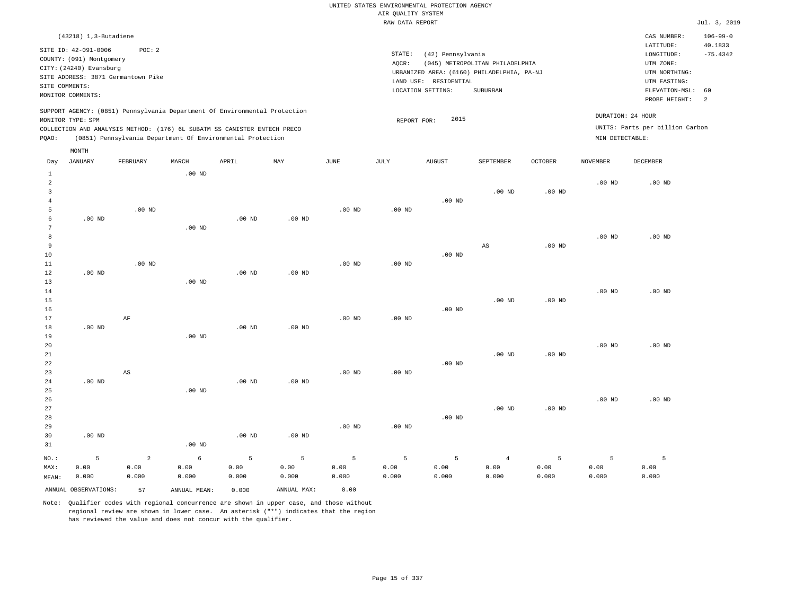### RAW DATA REPORT Jul. 3, 2019 UNITED STATES ENVIRONMENTAL PROTECTION AGENCY AIR QUALITY SYSTEM

|                | $(43218)$ 1, 3-Butadiene                         |                                                                                                                                        |          |       |                                                                            |      |        |                          |                                                                               |          |                 | CAS NUMBER:                                          | $106 - 99 - 0$        |
|----------------|--------------------------------------------------|----------------------------------------------------------------------------------------------------------------------------------------|----------|-------|----------------------------------------------------------------------------|------|--------|--------------------------|-------------------------------------------------------------------------------|----------|-----------------|------------------------------------------------------|-----------------------|
|                | SITE ID: 42-091-0006<br>COUNTY: (091) Montgomery | POC: 2                                                                                                                                 |          |       |                                                                            |      | STATE: | (42) Pennsylvania        |                                                                               |          |                 | LATITUDE:<br>LONGITUDE:                              | 40.1833<br>$-75.4342$ |
|                | CITY: (24240) Evansburg                          | SITE ADDRESS: 3871 Germantown Pike                                                                                                     |          |       |                                                                            |      | AQCR:  | LAND USE:<br>RESIDENTIAL | (045) METROPOLITAN PHILADELPHIA<br>URBANIZED AREA: (6160) PHILADELPHIA, PA-NJ |          |                 | UTM ZONE:<br>UTM NORTHING:<br>UTM EASTING:           |                       |
|                | SITE COMMENTS:<br>MONITOR COMMENTS:              |                                                                                                                                        |          |       |                                                                            |      |        | LOCATION SETTING:        | SUBURBAN                                                                      |          |                 | ELEVATION-MSL: 60<br>PROBE HEIGHT:                   | -2                    |
| POAO:          | MONITOR TYPE: SPM                                | COLLECTION AND ANALYSIS METHOD: (176) 6L SUBATM SS CANISTER ENTECH PRECO<br>(0851) Pennsylvania Department Of Environmental Protection |          |       | SUPPORT AGENCY: (0851) Pennsylvania Department Of Environmental Protection |      |        | 2015<br>REPORT FOR:      |                                                                               |          | MIN DETECTABLE: | DURATION: 24 HOUR<br>UNITS: Parts per billion Carbon |                       |
|                | MONTH                                            |                                                                                                                                        |          |       |                                                                            |      |        |                          |                                                                               |          |                 |                                                      |                       |
| Day            | JANUARY                                          | FEBRUARY                                                                                                                               | MARCH    | APRIL | MAY                                                                        | JUNE | JULY   | <b>AUGUST</b>            | SEPTEMBER                                                                     | OCTOBER  | NOVEMBER        | DECEMBER                                             |                       |
|                |                                                  |                                                                                                                                        | $.00$ ND |       |                                                                            |      |        |                          |                                                                               |          |                 |                                                      |                       |
| $\overline{2}$ |                                                  |                                                                                                                                        |          |       |                                                                            |      |        |                          |                                                                               |          | $.00$ ND        | $.00$ ND                                             |                       |
|                |                                                  |                                                                                                                                        |          |       |                                                                            |      |        | $.00$ ND                 | $.00$ ND                                                                      | $.00$ ND |                 |                                                      |                       |

| 5             |          | .00 $ND$               |            |          |          | .00 <sub>ND</sub> | $.00$ ND |          |                        |                   |                   |          |
|---------------|----------|------------------------|------------|----------|----------|-------------------|----------|----------|------------------------|-------------------|-------------------|----------|
| 6             | $.00$ ND |                        |            | .00 $ND$ | $.00$ ND |                   |          |          |                        |                   |                   |          |
| 7             |          |                        | $.00$ ND   |          |          |                   |          |          |                        |                   |                   |          |
| 8             |          |                        |            |          |          |                   |          |          |                        |                   | $.00$ ND          | $.00$ ND |
| 9             |          |                        |            |          |          |                   |          |          | $\mathbb{A}\mathbb{S}$ | $.00$ ND          |                   |          |
| 10            |          |                        |            |          |          |                   |          | $.00$ ND |                        |                   |                   |          |
| 11            |          | $.00$ ND               |            |          |          | $.00$ ND          | $.00$ ND |          |                        |                   |                   |          |
| 12            | $.00$ ND |                        |            | $.00$ ND | $.00$ ND |                   |          |          |                        |                   |                   |          |
| 13            |          |                        | $.00$ ND   |          |          |                   |          |          |                        |                   |                   |          |
| 14            |          |                        |            |          |          |                   |          |          |                        |                   | $.00$ ND          | $.00$ ND |
| 15            |          |                        |            |          |          |                   |          |          | $.00$ ND               | .00 <sub>ND</sub> |                   |          |
| 16            |          |                        |            |          |          |                   |          | $.00$ ND |                        |                   |                   |          |
| 17            |          | $\rm AF$               |            |          |          | .00 <sub>ND</sub> | $.00$ ND |          |                        |                   |                   |          |
| 18            | $.00$ ND |                        |            | $.00$ ND | $.00$ ND |                   |          |          |                        |                   |                   |          |
| 19            |          |                        | $.00$ ND   |          |          |                   |          |          |                        |                   |                   |          |
| 20            |          |                        |            |          |          |                   |          |          |                        |                   | $.00~\mathrm{ND}$ | $.00$ ND |
| 21            |          |                        |            |          |          |                   |          |          | $.00$ ND               | $.00$ ND          |                   |          |
| 22            |          |                        |            |          |          |                   |          | $.00$ ND |                        |                   |                   |          |
| 23<br>24      | $.00$ ND | $\mathbb{A}\mathbb{S}$ |            | $.00$ ND | $.00$ ND | $.00$ ND          | $.00$ ND |          |                        |                   |                   |          |
| $25\,$        |          |                        | $.00$ ND   |          |          |                   |          |          |                        |                   |                   |          |
| 26            |          |                        |            |          |          |                   |          |          |                        |                   | $.00$ ND          | .00 $ND$ |
| 27            |          |                        |            |          |          |                   |          |          | $.00$ ND               | $.00$ ND          |                   |          |
| 28            |          |                        |            |          |          |                   |          | $.00$ ND |                        |                   |                   |          |
| 29            |          |                        |            |          |          | $.00$ ND          | $.00$ ND |          |                        |                   |                   |          |
| 30            | $.00$ ND |                        |            | .00 $ND$ | $.00$ ND |                   |          |          |                        |                   |                   |          |
| 31            |          |                        | $.00$ ND   |          |          |                   |          |          |                        |                   |                   |          |
| $_{\rm NO}$ : | 5        | $\overline{a}$         | $\epsilon$ | 5        | 5        | 5                 | 5        | 5        | $\overline{4}$         | 5                 | 5                 | 5        |
| MAX:          | 0.00     | 0.00                   | 0.00       | 0.00     | 0.00     | 0.00              | 0.00     | 0.00     | 0.00                   | 0.00              | 0.00              | 0.00     |
| MEAN:         | 0.000    | 0.000                  | 0.000      | 0.000    | 0.000    | 0.000             | 0.000    | 0.000    | 0.000                  | 0.000             | 0.000             | 0.000    |

ANNUAL OBSERVATIONS: 57 ANNUAL MEAN: 0.000 ANNUAL MAX: 0.00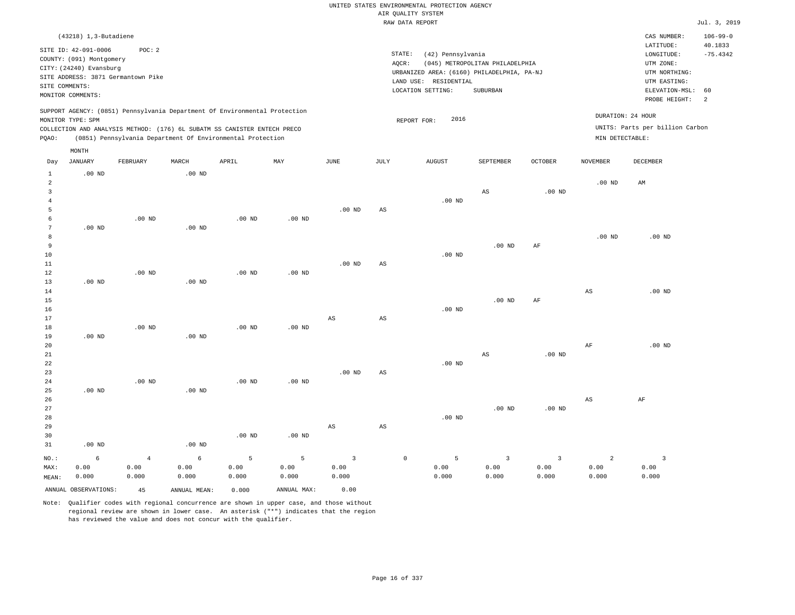|                                           |                          |                                    |                   |                                                                            |              |                         |             | UNITED STATES ENVIRONMENTAL PROTECTION AGENCY |                                 |                   |                   |                                 |                           |
|-------------------------------------------|--------------------------|------------------------------------|-------------------|----------------------------------------------------------------------------|--------------|-------------------------|-------------|-----------------------------------------------|---------------------------------|-------------------|-------------------|---------------------------------|---------------------------|
|                                           |                          |                                    |                   |                                                                            |              |                         |             | AIR QUALITY SYSTEM<br>RAW DATA REPORT         |                                 |                   |                   |                                 | Jul. 3, 2019              |
|                                           |                          |                                    |                   |                                                                            |              |                         |             |                                               |                                 |                   |                   |                                 |                           |
|                                           | $(43218)$ 1, 3-Butadiene |                                    |                   |                                                                            |              |                         |             |                                               |                                 |                   |                   | CAS NUMBER:<br>LATITUDE:        | $106 - 99 - 0$<br>40.1833 |
|                                           | SITE ID: 42-091-0006     | POC: 2                             |                   |                                                                            |              |                         | STATE:      | (42) Pennsylvania                             |                                 |                   |                   | LONGITUDE:                      | $-75.4342$                |
|                                           | COUNTY: (091) Montgomery |                                    |                   |                                                                            |              |                         | AQCR:       |                                               | (045) METROPOLITAN PHILADELPHIA |                   |                   | UTM ZONE:                       |                           |
|                                           | CITY: (24240) Evansburg  | SITE ADDRESS: 3871 Germantown Pike |                   |                                                                            |              |                         |             | URBANIZED AREA: (6160) PHILADELPHIA, PA-NJ    |                                 |                   |                   | UTM NORTHING:                   |                           |
| SITE COMMENTS:                            |                          |                                    |                   |                                                                            |              |                         |             | LAND USE: RESIDENTIAL                         |                                 |                   |                   | UTM EASTING:                    |                           |
|                                           | MONITOR COMMENTS:        |                                    |                   |                                                                            |              |                         |             | LOCATION SETTING:                             | <b>SUBURBAN</b>                 |                   |                   | ELEVATION-MSL:                  | 60                        |
|                                           |                          |                                    |                   |                                                                            |              |                         |             |                                               |                                 |                   |                   | PROBE HEIGHT:                   | 2                         |
|                                           |                          |                                    |                   | SUPPORT AGENCY: (0851) Pennsylvania Department Of Environmental Protection |              |                         |             |                                               |                                 |                   |                   |                                 |                           |
|                                           | MONITOR TYPE: SPM        |                                    |                   |                                                                            |              |                         |             | 2016<br>REPORT FOR:                           |                                 |                   | DURATION: 24 HOUR |                                 |                           |
|                                           |                          |                                    |                   | COLLECTION AND ANALYSIS METHOD: (176) 6L SUBATM SS CANISTER ENTECH PRECO   |              |                         |             |                                               |                                 |                   |                   | UNITS: Parts per billion Carbon |                           |
| PQAO:                                     |                          |                                    |                   | (0851) Pennsylvania Department Of Environmental Protection                 |              |                         |             |                                               |                                 |                   | MIN DETECTABLE:   |                                 |                           |
|                                           | MONTH                    |                                    |                   |                                                                            |              |                         |             |                                               |                                 |                   |                   |                                 |                           |
| Day                                       | JANUARY                  | FEBRUARY                           | MARCH             | APRIL                                                                      | $_{\rm MAY}$ | JUNE                    | JULY        | <b>AUGUST</b>                                 | SEPTEMBER                       | <b>OCTOBER</b>    | NOVEMBER          | DECEMBER                        |                           |
| 1                                         | $.00$ ND                 |                                    | $.00$ ND          |                                                                            |              |                         |             |                                               |                                 |                   |                   |                                 |                           |
| $\overline{a}$<br>$\overline{\mathbf{3}}$ |                          |                                    |                   |                                                                            |              |                         |             |                                               |                                 |                   | $.00$ ND          | AM                              |                           |
| $\overline{4}$                            |                          |                                    |                   |                                                                            |              |                         |             | $.00$ ND                                      | $_{\rm AS}$                     | $.00$ ND          |                   |                                 |                           |
| 5                                         |                          |                                    |                   |                                                                            |              | $.00$ ND                | AS          |                                               |                                 |                   |                   |                                 |                           |
| 6                                         |                          | $.00$ ND                           |                   | $.00$ ND                                                                   | $.00$ ND     |                         |             |                                               |                                 |                   |                   |                                 |                           |
| $7\phantom{.0}$                           | .00 <sub>ND</sub>        |                                    | $.00$ ND          |                                                                            |              |                         |             |                                               |                                 |                   |                   |                                 |                           |
| 8                                         |                          |                                    |                   |                                                                            |              |                         |             |                                               |                                 |                   | $.00$ ND          | $.00$ ND                        |                           |
| $\overline{9}$                            |                          |                                    |                   |                                                                            |              |                         |             |                                               | .00 <sub>ND</sub>               | $\rm AF$          |                   |                                 |                           |
| 10                                        |                          |                                    |                   |                                                                            |              |                         |             | $.00$ ND                                      |                                 |                   |                   |                                 |                           |
| 11                                        |                          |                                    |                   |                                                                            |              | $.00$ ND                | AS          |                                               |                                 |                   |                   |                                 |                           |
| $1\,2$                                    |                          | $.00$ ND                           |                   | .00 <sub>ND</sub>                                                          | $.00$ ND     |                         |             |                                               |                                 |                   |                   |                                 |                           |
| 13                                        | $.00$ ND                 |                                    | $.00$ ND          |                                                                            |              |                         |             |                                               |                                 |                   |                   |                                 |                           |
| 14                                        |                          |                                    |                   |                                                                            |              |                         |             |                                               |                                 |                   | $_{\rm AS}$       | $.00$ ND                        |                           |
| 15                                        |                          |                                    |                   |                                                                            |              |                         |             |                                               | $.00$ ND                        | $\rm{AF}$         |                   |                                 |                           |
| 16                                        |                          |                                    |                   |                                                                            |              |                         |             | $.00$ ND                                      |                                 |                   |                   |                                 |                           |
| 17                                        |                          |                                    |                   |                                                                            |              | $_{\rm AS}$             | $_{\rm AS}$ |                                               |                                 |                   |                   |                                 |                           |
| 18                                        |                          | $.00$ ND                           |                   | $.00$ ND                                                                   | $.00$ ND     |                         |             |                                               |                                 |                   |                   |                                 |                           |
| 19                                        | $.00$ ND                 |                                    | $.00$ ND          |                                                                            |              |                         |             |                                               |                                 |                   |                   |                                 |                           |
| 20<br>$2\sqrt{1}$                         |                          |                                    |                   |                                                                            |              |                         |             |                                               | $\mathbb{A}\mathbb{S}$          | .00 <sub>ND</sub> | AF                | $.00$ ND                        |                           |
| 22                                        |                          |                                    |                   |                                                                            |              |                         |             | $.00$ ND                                      |                                 |                   |                   |                                 |                           |
| 23                                        |                          |                                    |                   |                                                                            |              | .00 <sub>ND</sub>       | AS          |                                               |                                 |                   |                   |                                 |                           |
| 24                                        |                          | $.00$ ND                           |                   | .00 <sub>ND</sub>                                                          | $.00$ ND     |                         |             |                                               |                                 |                   |                   |                                 |                           |
| 25                                        | $.00$ ND                 |                                    | $.00$ ND          |                                                                            |              |                         |             |                                               |                                 |                   |                   |                                 |                           |
| 26                                        |                          |                                    |                   |                                                                            |              |                         |             |                                               |                                 |                   | $_{\rm AS}$       | AF                              |                           |
| 27                                        |                          |                                    |                   |                                                                            |              |                         |             |                                               | .00 <sub>ND</sub>               | $.00$ ND          |                   |                                 |                           |
| 28                                        |                          |                                    |                   |                                                                            |              |                         |             | $.00$ ND                                      |                                 |                   |                   |                                 |                           |
| 29                                        |                          |                                    |                   |                                                                            |              | $_{\rm AS}$             | AS          |                                               |                                 |                   |                   |                                 |                           |
| 30                                        |                          |                                    |                   | $.00$ ND                                                                   | $.00$ ND     |                         |             |                                               |                                 |                   |                   |                                 |                           |
| 31                                        | $.00$ ND                 |                                    | .00 <sub>ND</sub> |                                                                            |              |                         |             |                                               |                                 |                   |                   |                                 |                           |
| NO.:                                      | 6                        | $\,4$                              | 6                 | 5                                                                          | 5            | $\overline{\mathbf{3}}$ |             | $\mathbb O$<br>5                              | $\overline{\mathbf{3}}$         | $\overline{3}$    | $\overline{2}$    | $\overline{3}$                  |                           |
| MAX:                                      | 0.00                     | 0.00                               | 0.00              | 0.00                                                                       | 0.00         | 0.00                    |             | 0.00                                          | 0.00                            | 0.00              | 0.00              | 0.00                            |                           |
| MEAN:                                     | 0.000                    | 0.000                              | 0.000             | 0.000                                                                      | 0.000        | 0.000                   |             | 0.000                                         | 0.000                           | 0.000             | 0.000             | 0.000                           |                           |
|                                           | ANNUAL OBSERVATIONS:     | 45                                 | ANNUAL MEAN:      | 0.000                                                                      | ANNUAL MAX:  | 0.00                    |             |                                               |                                 |                   |                   |                                 |                           |
|                                           |                          |                                    |                   |                                                                            |              |                         |             |                                               |                                 |                   |                   |                                 |                           |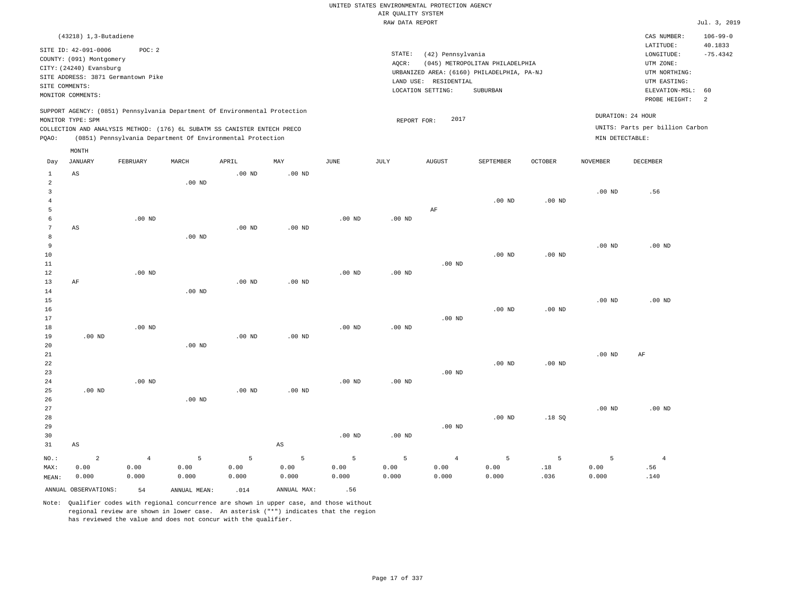|                                            |                                                                             |                |                   |                                                                            |                        |               |                                       | UNITED STATES ENVIRONMENTAL PROTECTION AGENCY |                                                                               |                   |                   |                                                       |                       |
|--------------------------------------------|-----------------------------------------------------------------------------|----------------|-------------------|----------------------------------------------------------------------------|------------------------|---------------|---------------------------------------|-----------------------------------------------|-------------------------------------------------------------------------------|-------------------|-------------------|-------------------------------------------------------|-----------------------|
|                                            |                                                                             |                |                   |                                                                            |                        |               | AIR QUALITY SYSTEM<br>RAW DATA REPORT |                                               |                                                                               |                   |                   |                                                       | Jul. 3, 2019          |
|                                            | (43218) 1,3-Butadiene                                                       |                |                   |                                                                            |                        |               |                                       |                                               |                                                                               |                   |                   | CAS NUMBER:                                           | $106 - 99 - 0$        |
|                                            | SITE ID: 42-091-0006<br>COUNTY: (091) Montgomery<br>CITY: (24240) Evansburg | POC: 2         |                   |                                                                            |                        |               | STATE:<br>AQCR:                       | (42) Pennsylvania                             | (045) METROPOLITAN PHILADELPHIA<br>URBANIZED AREA: (6160) PHILADELPHIA, PA-NJ |                   |                   | LATITUDE:<br>LONGITUDE:<br>UTM ZONE:<br>UTM NORTHING: | 40.1833<br>$-75.4342$ |
| SITE COMMENTS:                             | SITE ADDRESS: 3871 Germantown Pike                                          |                |                   |                                                                            |                        |               |                                       | LAND USE: RESIDENTIAL                         |                                                                               |                   |                   | UTM EASTING:                                          |                       |
|                                            | MONITOR COMMENTS:                                                           |                |                   |                                                                            |                        |               |                                       | LOCATION SETTING:                             | SUBURBAN                                                                      |                   |                   | ELEVATION-MSL:<br>PROBE HEIGHT:                       | 60<br>2               |
|                                            | MONITOR TYPE: SPM                                                           |                |                   | SUPPORT AGENCY: (0851) Pennsylvania Department Of Environmental Protection |                        |               |                                       | 2017                                          |                                                                               |                   |                   | DURATION: 24 HOUR                                     |                       |
|                                            |                                                                             |                |                   | COLLECTION AND ANALYSIS METHOD: (176) 6L SUBATM SS CANISTER ENTECH PRECO   |                        |               | REPORT FOR:                           |                                               |                                                                               |                   |                   | UNITS: Parts per billion Carbon                       |                       |
| PQAO:                                      |                                                                             |                |                   | (0851) Pennsylvania Department Of Environmental Protection                 |                        |               |                                       |                                               |                                                                               |                   | MIN DETECTABLE:   |                                                       |                       |
| Day                                        | $\texttt{MONTH}$<br><b>JANUARY</b>                                          | FEBRUARY       | MARCH             | APRIL                                                                      | MAY                    | JUNE          | JULY                                  | <b>AUGUST</b>                                 | SEPTEMBER                                                                     | OCTOBER           | <b>NOVEMBER</b>   | DECEMBER                                              |                       |
| $\mathbf{1}$                               | $_{\rm AS}$                                                                 |                |                   | $.00$ ND                                                                   | $.00$ ND               |               |                                       |                                               |                                                                               |                   |                   |                                                       |                       |
| $\overline{a}$<br>$\mathbf{3}$<br>$\bf{4}$ |                                                                             |                | $.00$ ND          |                                                                            |                        |               |                                       |                                               | $.00$ ND                                                                      | $.00$ ND          | .00 <sub>ND</sub> | .56                                                   |                       |
| 5                                          |                                                                             |                |                   |                                                                            |                        |               |                                       | AF                                            |                                                                               |                   |                   |                                                       |                       |
| 6<br>$\overline{7}$                        | AS                                                                          | $.00$ ND       |                   | $.00$ ND                                                                   | $.00$ ND               | $.00$ ND      | $.00$ ND                              |                                               |                                                                               |                   |                   |                                                       |                       |
| $\mathbf{8}$<br>$\overline{9}$             |                                                                             |                | .00 <sub>ND</sub> |                                                                            |                        |               |                                       |                                               |                                                                               |                   | .00 <sub>ND</sub> | $.00$ ND                                              |                       |
| 10<br>11                                   |                                                                             |                |                   |                                                                            |                        |               |                                       | $.00$ ND                                      | .00 <sub>ND</sub>                                                             | $.00$ ND          |                   |                                                       |                       |
| 12<br>13                                   | $\rm AF$                                                                    | $.00$ ND       |                   | $.00$ ND                                                                   | .00 <sub>ND</sub>      | $.00$ ND      | $.00$ ND                              |                                               |                                                                               |                   |                   |                                                       |                       |
| 14<br>15                                   |                                                                             |                | $.00$ ND          |                                                                            |                        |               |                                       |                                               |                                                                               |                   | .00 <sub>ND</sub> | $.00$ ND                                              |                       |
| 16<br>17                                   |                                                                             |                |                   |                                                                            |                        |               |                                       | $.00$ ND                                      | $.00$ ND                                                                      | $.00$ ND          |                   |                                                       |                       |
| 18<br>19                                   | $.00$ ND                                                                    | $.00$ ND       |                   | $.00$ ND                                                                   | $.00$ ND               | $.00$ ND      | $.00$ ND                              |                                               |                                                                               |                   |                   |                                                       |                       |
| 20<br>21                                   |                                                                             |                | $.00$ ND          |                                                                            |                        |               |                                       |                                               |                                                                               |                   | .00 <sub>ND</sub> | AF                                                    |                       |
| 22<br>23                                   |                                                                             |                |                   |                                                                            |                        |               |                                       | $.00$ ND                                      | $.00$ ND                                                                      | .00 <sub>ND</sub> |                   |                                                       |                       |
| 24<br>25                                   | $.00$ ND                                                                    | $.00$ ND       |                   | $.00$ ND                                                                   | $.00$ ND               | $.00$ ND      | $.00$ ND                              |                                               |                                                                               |                   |                   |                                                       |                       |
| 26<br>27                                   |                                                                             |                | .00 <sub>ND</sub> |                                                                            |                        |               |                                       |                                               |                                                                               |                   | .00 <sub>ND</sub> | $.00$ ND                                              |                       |
| 28<br>29                                   |                                                                             |                |                   |                                                                            |                        |               |                                       | $.00$ ND                                      | $.00$ ND                                                                      | .18S              |                   |                                                       |                       |
| 30<br>31                                   | $_{\rm AS}$                                                                 |                |                   |                                                                            | $\mathbb{A}\mathbb{S}$ | $.00$ ND      | $.00$ ND                              |                                               |                                                                               |                   |                   |                                                       |                       |
| NO.:                                       | $\overline{a}$                                                              | $\overline{4}$ | 5                 | 5                                                                          | 5                      | 5             | 5                                     | $\overline{4}$                                | 5                                                                             | 5                 | 5                 | $\overline{4}$                                        |                       |
| MAX:<br>MEAN:                              | 0.00<br>0.000                                                               | 0.00<br>0.000  | 0.00<br>0.000     | 0.00<br>0.000                                                              | 0.00<br>0.000          | 0.00<br>0.000 | 0.00<br>0.000                         | 0.00<br>0.000                                 | 0.00<br>0.000                                                                 | .18<br>.036       | 0.00<br>0.000     | .56<br>.140                                           |                       |
|                                            | ANNUAL OBSERVATIONS:                                                        | 54             | ANNUAL, MEAN:     | .014                                                                       | ANNUAL MAX:            | .56           |                                       |                                               |                                                                               |                   |                   |                                                       |                       |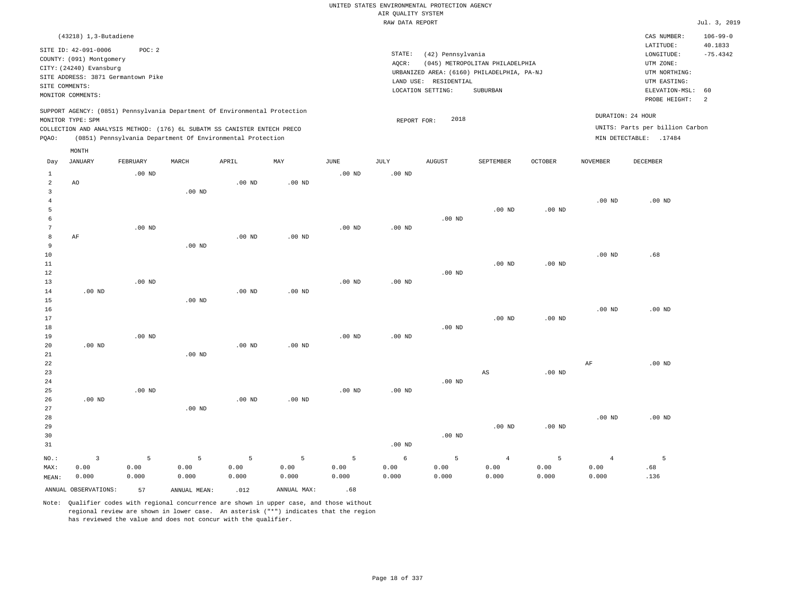|                         |                                                                                                 |                   |                   |                                                            |                   |                   |                    | UNITED STATES ENVIRONMENTAL PROTECTION AGENCY |                                            |                |                   |                                 |                |
|-------------------------|-------------------------------------------------------------------------------------------------|-------------------|-------------------|------------------------------------------------------------|-------------------|-------------------|--------------------|-----------------------------------------------|--------------------------------------------|----------------|-------------------|---------------------------------|----------------|
|                         |                                                                                                 |                   |                   |                                                            |                   |                   | AIR QUALITY SYSTEM |                                               |                                            |                |                   |                                 |                |
|                         |                                                                                                 |                   |                   |                                                            |                   |                   | RAW DATA REPORT    |                                               |                                            |                |                   |                                 | Jul. 3, 2019   |
|                         | (43218) 1,3-Butadiene                                                                           |                   |                   |                                                            |                   |                   |                    |                                               |                                            |                |                   | CAS NUMBER:                     | $106 - 99 - 0$ |
|                         | SITE ID: 42-091-0006                                                                            | POC: 2            |                   |                                                            |                   |                   |                    |                                               |                                            |                |                   | LATITUDE:                       | 40.1833        |
|                         | COUNTY: (091) Montgomery                                                                        |                   |                   |                                                            |                   |                   | STATE:             | (42) Pennsylvania                             |                                            |                |                   | LONGITUDE:                      | $-75.4342$     |
|                         | CITY: (24240) Evansburg                                                                         |                   |                   |                                                            |                   |                   | AQCR:              |                                               | (045) METROPOLITAN PHILADELPHIA            |                |                   | UTM ZONE:                       |                |
|                         | SITE ADDRESS: 3871 Germantown Pike                                                              |                   |                   |                                                            |                   |                   |                    |                                               | URBANIZED AREA: (6160) PHILADELPHIA, PA-NJ |                |                   | UTM NORTHING:                   |                |
|                         | SITE COMMENTS:                                                                                  |                   |                   |                                                            |                   |                   |                    | LAND USE: RESIDENTIAL<br>LOCATION SETTING:    | SUBURBAN                                   |                |                   | UTM EASTING:<br>ELEVATION-MSL:  | 60             |
|                         | MONITOR COMMENTS:                                                                               |                   |                   |                                                            |                   |                   |                    |                                               |                                            |                |                   | PROBE HEIGHT:                   | 2              |
|                         | SUPPORT AGENCY: (0851) Pennsylvania Department Of Environmental Protection<br>MONITOR TYPE: SPM |                   |                   |                                                            |                   |                   |                    | 2018                                          |                                            |                |                   | DURATION: 24 HOUR               |                |
|                         | COLLECTION AND ANALYSIS METHOD: (176) 6L SUBATM SS CANISTER ENTECH PRECO                        |                   |                   |                                                            |                   |                   | REPORT FOR:        |                                               |                                            |                |                   | UNITS: Parts per billion Carbon |                |
| PQAO:                   |                                                                                                 |                   |                   | (0851) Pennsylvania Department Of Environmental Protection |                   |                   |                    |                                               |                                            |                |                   | MIN DETECTABLE: .17484          |                |
|                         | MONTH                                                                                           |                   |                   |                                                            |                   |                   |                    |                                               |                                            |                |                   |                                 |                |
| Day                     | <b>JANUARY</b>                                                                                  | FEBRUARY          | MARCH             | APRIL                                                      | MAY               | <b>JUNE</b>       | <b>JULY</b>        | <b>AUGUST</b>                                 | SEPTEMBER                                  | <b>OCTOBER</b> | <b>NOVEMBER</b>   | <b>DECEMBER</b>                 |                |
| $\mathbf{1}$            |                                                                                                 | $.00$ ND          |                   |                                                            |                   | $.00$ ND          | $.00$ ND           |                                               |                                            |                |                   |                                 |                |
| $\overline{a}$          | AO                                                                                              |                   |                   | .00 <sub>ND</sub>                                          | $.00$ ND          |                   |                    |                                               |                                            |                |                   |                                 |                |
| $\overline{\mathbf{3}}$ |                                                                                                 |                   | .00 <sub>ND</sub> |                                                            |                   |                   |                    |                                               |                                            |                |                   |                                 |                |
| $\,4\,$<br>5            |                                                                                                 |                   |                   |                                                            |                   |                   |                    |                                               | $.00$ ND                                   | $.00$ ND       | .00 <sub>ND</sub> | $.00$ ND                        |                |
| 6                       |                                                                                                 |                   |                   |                                                            |                   |                   |                    | $.00$ ND                                      |                                            |                |                   |                                 |                |
| $7\phantom{.0}$         |                                                                                                 | $.00$ ND          |                   |                                                            |                   | $.00$ ND          | $.00$ ND           |                                               |                                            |                |                   |                                 |                |
| 8                       | AF                                                                                              |                   |                   | $.00$ ND                                                   | $.00$ ND          |                   |                    |                                               |                                            |                |                   |                                 |                |
| 9                       |                                                                                                 |                   | .00 <sub>ND</sub> |                                                            |                   |                   |                    |                                               |                                            |                |                   |                                 |                |
| 10                      |                                                                                                 |                   |                   |                                                            |                   |                   |                    |                                               |                                            |                | .00 <sub>ND</sub> | .68                             |                |
| 11                      |                                                                                                 |                   |                   |                                                            |                   |                   |                    |                                               | $.00$ ND                                   | .00 $ND$       |                   |                                 |                |
| 12                      |                                                                                                 |                   |                   |                                                            |                   |                   |                    | $.00$ ND                                      |                                            |                |                   |                                 |                |
| 13                      |                                                                                                 | .00 <sub>ND</sub> |                   |                                                            |                   | $.00$ ND          | $.00$ ND           |                                               |                                            |                |                   |                                 |                |
| 14                      | .00 <sub>ND</sub>                                                                               |                   |                   | .00 <sub>ND</sub>                                          | .00 <sub>ND</sub> |                   |                    |                                               |                                            |                |                   |                                 |                |
| 15                      |                                                                                                 |                   | $.00$ ND          |                                                            |                   |                   |                    |                                               |                                            |                |                   |                                 |                |
| 16                      |                                                                                                 |                   |                   |                                                            |                   |                   |                    |                                               | .00 <sub>ND</sub>                          | $.00$ ND       | $.00$ ND          | $.00$ ND                        |                |
| 17<br>18                |                                                                                                 |                   |                   |                                                            |                   |                   |                    | $.00$ ND                                      |                                            |                |                   |                                 |                |
| 19                      |                                                                                                 | .00 <sub>ND</sub> |                   |                                                            |                   | .00 <sub>ND</sub> | .00 <sub>ND</sub>  |                                               |                                            |                |                   |                                 |                |
| 20                      | .00 <sub>ND</sub>                                                                               |                   |                   | $.00$ ND                                                   | $.00$ ND          |                   |                    |                                               |                                            |                |                   |                                 |                |
| 21                      |                                                                                                 |                   | $.00$ ND          |                                                            |                   |                   |                    |                                               |                                            |                |                   |                                 |                |
| 22                      |                                                                                                 |                   |                   |                                                            |                   |                   |                    |                                               |                                            |                | $\rm AF$          | $.00$ ND                        |                |
| 23                      |                                                                                                 |                   |                   |                                                            |                   |                   |                    |                                               | AS                                         | $.00$ ND       |                   |                                 |                |
| 24                      |                                                                                                 |                   |                   |                                                            |                   |                   |                    | $.00$ ND                                      |                                            |                |                   |                                 |                |
| 25                      |                                                                                                 | $.00$ ND          |                   |                                                            |                   | $.00$ ND          | $.00$ ND           |                                               |                                            |                |                   |                                 |                |
| 26                      | $.00$ ND                                                                                        |                   |                   | $.00$ ND                                                   | $.00$ ND          |                   |                    |                                               |                                            |                |                   |                                 |                |
| 27                      |                                                                                                 |                   | $.00$ ND          |                                                            |                   |                   |                    |                                               |                                            |                |                   |                                 |                |
| 28                      |                                                                                                 |                   |                   |                                                            |                   |                   |                    |                                               |                                            |                | .00 <sub>ND</sub> | $.00$ ND                        |                |
| 29                      |                                                                                                 |                   |                   |                                                            |                   |                   |                    |                                               | $.00$ ND                                   | $.00$ ND       |                   |                                 |                |
| 30                      |                                                                                                 |                   |                   |                                                            |                   |                   |                    | $.00$ ND                                      |                                            |                |                   |                                 |                |
| 31                      |                                                                                                 |                   |                   |                                                            |                   |                   | $.00$ ND           |                                               |                                            |                |                   |                                 |                |
| NO.:                    | $\overline{\mathbf{3}}$                                                                         | 5                 | 5                 | 5                                                          | 5                 | 5                 | 6                  | 5                                             | $\overline{4}$                             | 5              | $\overline{4}$    | 5                               |                |
| MAX:                    | 0.00                                                                                            | 0.00              | 0.00              | 0.00                                                       | 0.00              | 0.00              | 0.00               | 0.00                                          | 0.00                                       | 0.00           | 0.00              | .68                             |                |
| MEAN:                   | 0.000                                                                                           | 0.000             | 0.000             | 0.000                                                      | 0.000             | 0.000             | 0.000              | 0.000                                         | 0.000                                      | 0.000          | 0.000             | .136                            |                |
|                         | ANNUAL OBSERVATIONS:                                                                            | 57                | ANNUAL MEAN:      | .012                                                       | ANNUAL MAX:       | .68               |                    |                                               |                                            |                |                   |                                 |                |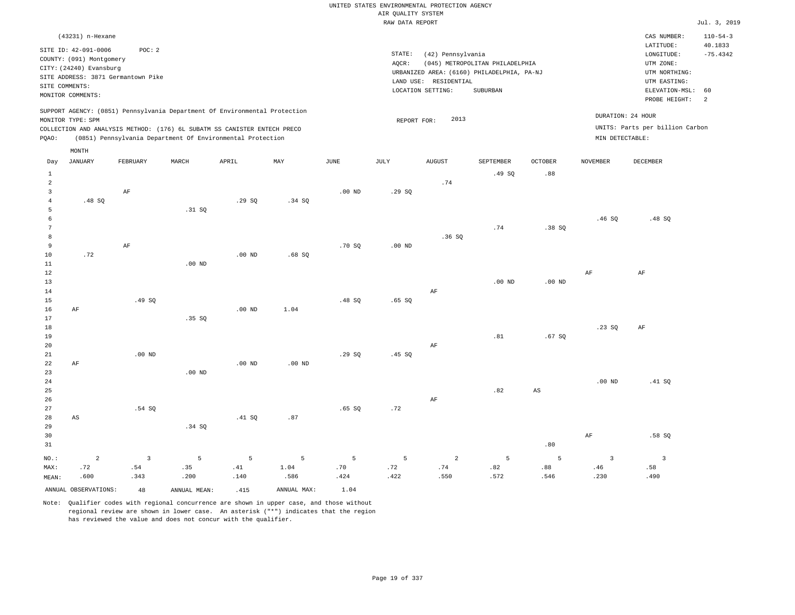|                |                                                     |                                    |          |                                                                            |                   |             |                    | UNITED STATES ENVIRONMENTAL PROTECTION AGENCY |                                                                               |                        |                   |                                          |                           |
|----------------|-----------------------------------------------------|------------------------------------|----------|----------------------------------------------------------------------------|-------------------|-------------|--------------------|-----------------------------------------------|-------------------------------------------------------------------------------|------------------------|-------------------|------------------------------------------|---------------------------|
|                |                                                     |                                    |          |                                                                            |                   |             | AIR OUALITY SYSTEM |                                               |                                                                               |                        |                   |                                          |                           |
|                |                                                     |                                    |          |                                                                            |                   |             | RAW DATA REPORT    |                                               |                                                                               |                        |                   |                                          | Jul. 3, 2019              |
|                | (43231) n-Hexane<br>SITE ID: 42-091-0006            | POC: 2                             |          |                                                                            |                   |             |                    |                                               |                                                                               |                        |                   | CAS NUMBER:<br>LATITUDE:                 | $110 - 54 - 3$<br>40.1833 |
|                | COUNTY: (091) Montgomery<br>CITY: (24240) Evansburg |                                    |          |                                                                            |                   |             | STATE:<br>AOCR:    | (42) Pennsylvania                             | (045) METROPOLITAN PHILADELPHIA<br>URBANIZED AREA: (6160) PHILADELPHIA, PA-NJ |                        |                   | LONGITUDE:<br>UTM ZONE:<br>UTM NORTHING: | $-75.4342$                |
|                |                                                     | SITE ADDRESS: 3871 Germantown Pike |          |                                                                            |                   |             |                    | LAND USE: RESIDENTIAL                         |                                                                               |                        |                   | UTM EASTING:                             |                           |
| SITE COMMENTS: |                                                     |                                    |          |                                                                            |                   |             |                    | LOCATION SETTING:                             | SUBURBAN                                                                      |                        |                   | ELEVATION-MSL:                           | 60                        |
|                | MONITOR COMMENTS:                                   |                                    |          |                                                                            |                   |             |                    |                                               |                                                                               |                        |                   | PROBE HEIGHT:                            | $\overline{a}$            |
|                | MONITOR TYPE: SPM                                   |                                    |          | SUPPORT AGENCY: (0851) Pennsylvania Department Of Environmental Protection |                   |             | REPORT FOR:        | 2013                                          |                                                                               |                        |                   | DURATION: 24 HOUR                        |                           |
|                |                                                     |                                    |          | COLLECTION AND ANALYSIS METHOD: (176) 6L SUBATM SS CANISTER ENTECH PRECO   |                   |             |                    |                                               |                                                                               |                        |                   | UNITS: Parts per billion Carbon          |                           |
| PQAO:          |                                                     |                                    |          | (0851) Pennsylvania Department Of Environmental Protection                 |                   |             |                    |                                               |                                                                               |                        | MIN DETECTABLE:   |                                          |                           |
|                | MONTH                                               |                                    |          |                                                                            |                   |             |                    |                                               |                                                                               |                        |                   |                                          |                           |
| Day            | <b>JANUARY</b>                                      | FEBRUARY                           | MARCH    | APRIL                                                                      | MAY               | <b>JUNE</b> | JULY               | <b>AUGUST</b>                                 | SEPTEMBER                                                                     | <b>OCTOBER</b>         | <b>NOVEMBER</b>   | DECEMBER                                 |                           |
| 1              |                                                     |                                    |          |                                                                            |                   |             |                    |                                               | .49SQ                                                                         | .88                    |                   |                                          |                           |
| $\overline{2}$ |                                                     |                                    |          |                                                                            |                   |             |                    | .74                                           |                                                                               |                        |                   |                                          |                           |
| $\overline{3}$ |                                                     | AF                                 |          |                                                                            |                   | $.00$ ND    | .29SQ              |                                               |                                                                               |                        |                   |                                          |                           |
| $\overline{4}$ | .48 SQ                                              |                                    |          | .29SQ                                                                      | .34 S0            |             |                    |                                               |                                                                               |                        |                   |                                          |                           |
| 5              |                                                     |                                    | .31 SQ   |                                                                            |                   |             |                    |                                               |                                                                               |                        |                   |                                          |                           |
| 6<br>7         |                                                     |                                    |          |                                                                            |                   |             |                    |                                               |                                                                               |                        | .46S              | .48 SO                                   |                           |
| 8              |                                                     |                                    |          |                                                                            |                   |             |                    | .36SQ                                         | .74                                                                           | .38SQ                  |                   |                                          |                           |
| 9              |                                                     | $\rm{AF}$                          |          |                                                                            |                   | .70SQ       | $.00$ ND           |                                               |                                                                               |                        |                   |                                          |                           |
| 10             | .72                                                 |                                    |          | $.00$ ND                                                                   | .68S              |             |                    |                                               |                                                                               |                        |                   |                                          |                           |
| $1\,1$         |                                                     |                                    | $.00$ ND |                                                                            |                   |             |                    |                                               |                                                                               |                        |                   |                                          |                           |
| 12             |                                                     |                                    |          |                                                                            |                   |             |                    |                                               |                                                                               |                        | AF                | AF                                       |                           |
| 13             |                                                     |                                    |          |                                                                            |                   |             |                    |                                               | $.00$ ND                                                                      | $.00$ ND               |                   |                                          |                           |
| 14             |                                                     |                                    |          |                                                                            |                   |             |                    | AF                                            |                                                                               |                        |                   |                                          |                           |
| 15             |                                                     | .49 SQ                             |          |                                                                            |                   | .48 SQ      | .65SQ              |                                               |                                                                               |                        |                   |                                          |                           |
| 16             | AF                                                  |                                    |          | .00 <sub>ND</sub>                                                          | 1.04              |             |                    |                                               |                                                                               |                        |                   |                                          |                           |
| 17             |                                                     |                                    | .35SQ    |                                                                            |                   |             |                    |                                               |                                                                               |                        |                   |                                          |                           |
| 18<br>19       |                                                     |                                    |          |                                                                            |                   |             |                    |                                               | .81                                                                           | .67S                   | .23SQ             | AF                                       |                           |
| 20             |                                                     |                                    |          |                                                                            |                   |             |                    | AF                                            |                                                                               |                        |                   |                                          |                           |
| 21             |                                                     | $.00$ ND                           |          |                                                                            |                   | .29S        | .45 S              |                                               |                                                                               |                        |                   |                                          |                           |
| 22             | AF                                                  |                                    |          | .00 <sub>ND</sub>                                                          | .00 <sub>ND</sub> |             |                    |                                               |                                                                               |                        |                   |                                          |                           |
| 23             |                                                     |                                    | $.00$ ND |                                                                            |                   |             |                    |                                               |                                                                               |                        |                   |                                          |                           |
| 24             |                                                     |                                    |          |                                                                            |                   |             |                    |                                               |                                                                               |                        | .00 <sub>ND</sub> | .41 SQ                                   |                           |
| 25             |                                                     |                                    |          |                                                                            |                   |             |                    |                                               | .82                                                                           | $\mathbb{A}\mathbb{S}$ |                   |                                          |                           |
| 26             |                                                     |                                    |          |                                                                            |                   |             |                    | AF                                            |                                                                               |                        |                   |                                          |                           |
| 27             |                                                     | .54 SO                             |          |                                                                            |                   | $.65$ SO    | .72                |                                               |                                                                               |                        |                   |                                          |                           |
| 28             | AS                                                  |                                    |          | .41 SQ                                                                     | .87               |             |                    |                                               |                                                                               |                        |                   |                                          |                           |
| 29             |                                                     |                                    | .34 S    |                                                                            |                   |             |                    |                                               |                                                                               |                        |                   |                                          |                           |
| 30             |                                                     |                                    |          |                                                                            |                   |             |                    |                                               |                                                                               |                        | $\rm{AF}$         | .58S                                     |                           |
| 31             |                                                     |                                    |          |                                                                            |                   |             |                    |                                               |                                                                               | .80                    |                   |                                          |                           |
| NO.:           | $\overline{2}$                                      | $\overline{3}$                     | 5        | 5                                                                          | 5                 | 5           | 5                  | $\overline{a}$                                | 5                                                                             | 5                      | $\overline{3}$    | $\overline{3}$                           |                           |
| MAX:           | .72                                                 | .54                                | .35      | .41                                                                        | 1.04              | .70         | .72                | .74                                           | .82                                                                           | .88                    | .46               | .58                                      |                           |
| MEAN:          | .600                                                | .343                               | .200     | .140                                                                       | .586              | .424        | .422               | .550                                          | .572                                                                          | .546                   | .230              | .490                                     |                           |

ANNUAL OBSERVATIONS:  $48$  ANNUAL MEAN: .415 ANNUAL MAX: .4.04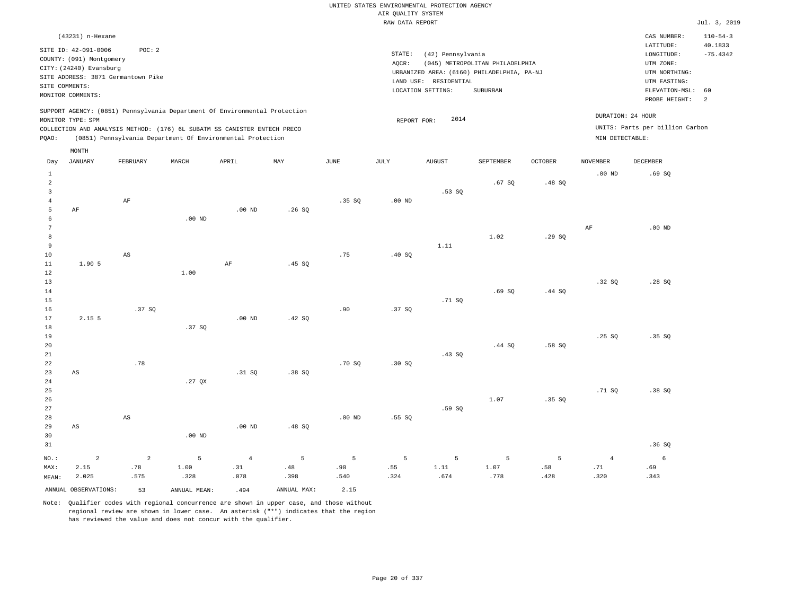|                                  |                                                                                                                                                            |                        |                                                                            |                   |              |          | AIR QUALITY SYSTEM<br>RAW DATA REPORT | UNITED STATES ENVIRONMENTAL PROTECTION AGENCY                   |                                                                                           |                |                   |                                                                                                                         | Jul. 3, 2019                                       |
|----------------------------------|------------------------------------------------------------------------------------------------------------------------------------------------------------|------------------------|----------------------------------------------------------------------------|-------------------|--------------|----------|---------------------------------------|-----------------------------------------------------------------|-------------------------------------------------------------------------------------------|----------------|-------------------|-------------------------------------------------------------------------------------------------------------------------|----------------------------------------------------|
|                                  |                                                                                                                                                            |                        |                                                                            |                   |              |          |                                       |                                                                 |                                                                                           |                |                   |                                                                                                                         |                                                    |
| SITE COMMENTS:                   | (43231) n-Hexane<br>SITE ID: 42-091-0006<br>COUNTY: (091) Montgomery<br>CITY: (24240) Evansburg<br>SITE ADDRESS: 3871 Germantown Pike<br>MONITOR COMMENTS: | POC: 2                 |                                                                            |                   |              |          | STATE:<br>AOCR:                       | (42) Pennsylvania<br>LAND USE: RESIDENTIAL<br>LOCATION SETTING: | (045) METROPOLITAN PHILADELPHIA<br>URBANIZED AREA: (6160) PHILADELPHIA, PA-NJ<br>SUBURBAN |                |                   | CAS NUMBER:<br>LATITUDE:<br>LONGITUDE:<br>UTM ZONE:<br>UTM NORTHING:<br>UTM EASTING:<br>ELEVATION-MSL:<br>PROBE HEIGHT: | $110 - 54 - 3$<br>40.1833<br>$-75.4342$<br>60<br>2 |
|                                  |                                                                                                                                                            |                        | SUPPORT AGENCY: (0851) Pennsylvania Department Of Environmental Protection |                   |              |          |                                       |                                                                 |                                                                                           |                |                   |                                                                                                                         |                                                    |
|                                  | MONITOR TYPE: SPM                                                                                                                                          |                        |                                                                            |                   |              |          | REPORT FOR:                           | 2014                                                            |                                                                                           |                |                   | DURATION: 24 HOUR                                                                                                       |                                                    |
|                                  |                                                                                                                                                            |                        | COLLECTION AND ANALYSIS METHOD: (176) 6L SUBATM SS CANISTER ENTECH PRECO   |                   |              |          |                                       |                                                                 |                                                                                           |                |                   | UNITS: Parts per billion Carbon                                                                                         |                                                    |
| PQAO:                            |                                                                                                                                                            |                        | (0851) Pennsylvania Department Of Environmental Protection                 |                   |              |          |                                       |                                                                 |                                                                                           |                | MIN DETECTABLE:   |                                                                                                                         |                                                    |
| Day                              | MONTH<br><b>JANUARY</b>                                                                                                                                    | FEBRUARY               | MARCH                                                                      | APRIL             | $_{\rm MAY}$ | JUNE     | JULY                                  | AUGUST                                                          | SEPTEMBER                                                                                 | <b>OCTOBER</b> | NOVEMBER          | <b>DECEMBER</b>                                                                                                         |                                                    |
| $\mathbf{1}$                     |                                                                                                                                                            |                        |                                                                            |                   |              |          |                                       |                                                                 |                                                                                           |                | .00 <sub>ND</sub> | .69SQ                                                                                                                   |                                                    |
| $\overline{a}$<br>$\overline{3}$ |                                                                                                                                                            |                        |                                                                            |                   |              |          |                                       | .53S                                                            | .67SQ                                                                                     | .48SQ          |                   |                                                                                                                         |                                                    |
| $\overline{4}$                   |                                                                                                                                                            | $\rm AF$               |                                                                            |                   |              | .35 SQ   | .00 <sub>ND</sub>                     |                                                                 |                                                                                           |                |                   |                                                                                                                         |                                                    |
| 5                                | AF                                                                                                                                                         |                        |                                                                            | $.00$ ND          | .26S         |          |                                       |                                                                 |                                                                                           |                |                   |                                                                                                                         |                                                    |
| 6<br>$7\phantom{.0}$             |                                                                                                                                                            |                        | $.00$ ND                                                                   |                   |              |          |                                       |                                                                 |                                                                                           |                | AF                | $.00$ ND                                                                                                                |                                                    |
| $^{\rm 8}$                       |                                                                                                                                                            |                        |                                                                            |                   |              |          |                                       |                                                                 | 1.02                                                                                      | .29SQ          |                   |                                                                                                                         |                                                    |
| 9                                |                                                                                                                                                            |                        |                                                                            |                   |              |          |                                       | 1.11                                                            |                                                                                           |                |                   |                                                                                                                         |                                                    |
| 10<br>$1\,1$                     | 1.90 5                                                                                                                                                     | AS                     |                                                                            | AF                | .45 SQ       | .75      | .40 SQ                                |                                                                 |                                                                                           |                |                   |                                                                                                                         |                                                    |
| 12                               |                                                                                                                                                            |                        | 1.00                                                                       |                   |              |          |                                       |                                                                 |                                                                                           |                |                   |                                                                                                                         |                                                    |
| 13                               |                                                                                                                                                            |                        |                                                                            |                   |              |          |                                       |                                                                 |                                                                                           |                | .32SQ             | .28SQ                                                                                                                   |                                                    |
| 14                               |                                                                                                                                                            |                        |                                                                            |                   |              |          |                                       |                                                                 | .69S                                                                                      | .44 SO         |                   |                                                                                                                         |                                                    |
| 15<br>16                         |                                                                                                                                                            | .37SQ                  |                                                                            |                   |              | .90      | .37S                                  | .71SQ                                                           |                                                                                           |                |                   |                                                                                                                         |                                                    |
| 17                               | $2.15$ 5                                                                                                                                                   |                        |                                                                            | .00 <sub>ND</sub> | .42 SQ       |          |                                       |                                                                 |                                                                                           |                |                   |                                                                                                                         |                                                    |
| 18                               |                                                                                                                                                            |                        | .37SQ                                                                      |                   |              |          |                                       |                                                                 |                                                                                           |                |                   |                                                                                                                         |                                                    |
| 19                               |                                                                                                                                                            |                        |                                                                            |                   |              |          |                                       |                                                                 |                                                                                           |                | .25S              | .35 SO                                                                                                                  |                                                    |
| $20$                             |                                                                                                                                                            |                        |                                                                            |                   |              |          |                                       |                                                                 | .44 SQ                                                                                    | .58SQ          |                   |                                                                                                                         |                                                    |
| 21<br>22                         |                                                                                                                                                            | .78                    |                                                                            |                   |              | .70S     | .30S                                  | .43SQ                                                           |                                                                                           |                |                   |                                                                                                                         |                                                    |
| 23                               | AS                                                                                                                                                         |                        |                                                                            | .31 SO            | .38S         |          |                                       |                                                                 |                                                                                           |                |                   |                                                                                                                         |                                                    |
| $2\sqrt{4}$                      |                                                                                                                                                            |                        | .27 $QX$                                                                   |                   |              |          |                                       |                                                                 |                                                                                           |                |                   |                                                                                                                         |                                                    |
| 25                               |                                                                                                                                                            |                        |                                                                            |                   |              |          |                                       |                                                                 |                                                                                           |                | .71 SQ            | .38SQ                                                                                                                   |                                                    |
| 26                               |                                                                                                                                                            |                        |                                                                            |                   |              |          |                                       |                                                                 | 1.07                                                                                      | .35SQ          |                   |                                                                                                                         |                                                    |
| 27<br>28                         |                                                                                                                                                            | $\mathbb{A}\mathbb{S}$ |                                                                            |                   |              | $.00$ ND | .55SQ                                 | .59SQ                                                           |                                                                                           |                |                   |                                                                                                                         |                                                    |
| 29                               | AS                                                                                                                                                         |                        |                                                                            | .00 <sub>ND</sub> | .48SQ        |          |                                       |                                                                 |                                                                                           |                |                   |                                                                                                                         |                                                    |
| 30                               |                                                                                                                                                            |                        | $.00$ ND                                                                   |                   |              |          |                                       |                                                                 |                                                                                           |                |                   |                                                                                                                         |                                                    |
| 31                               |                                                                                                                                                            |                        |                                                                            |                   |              |          |                                       |                                                                 |                                                                                           |                |                   | .36SQ                                                                                                                   |                                                    |
| NO.:                             | $\sqrt{2}$                                                                                                                                                 | $\overline{a}$         | 5                                                                          | $\overline{4}$    | 5            | 5        | 5                                     | 5                                                               | $\overline{5}$                                                                            | 5              | $\overline{4}$    | $\epsilon$                                                                                                              |                                                    |
| MAX:                             | 2.15                                                                                                                                                       | .78                    | 1.00                                                                       | .31               | .48          | .90      | .55                                   | 1.11                                                            | 1.07                                                                                      | .58            | .71               | .69                                                                                                                     |                                                    |
| MEAN:                            | 2.025                                                                                                                                                      | .575                   | .328                                                                       | .078              | .398         | .540     | .324                                  | .674                                                            | .778                                                                                      | .428           | .320              | .343                                                                                                                    |                                                    |
|                                  | ANNUAL OBSERVATIONS:                                                                                                                                       | 53                     | ANNUAL, MEAN:                                                              | .494              | ANNUAL MAX:  | 2.15     |                                       |                                                                 |                                                                                           |                |                   |                                                                                                                         |                                                    |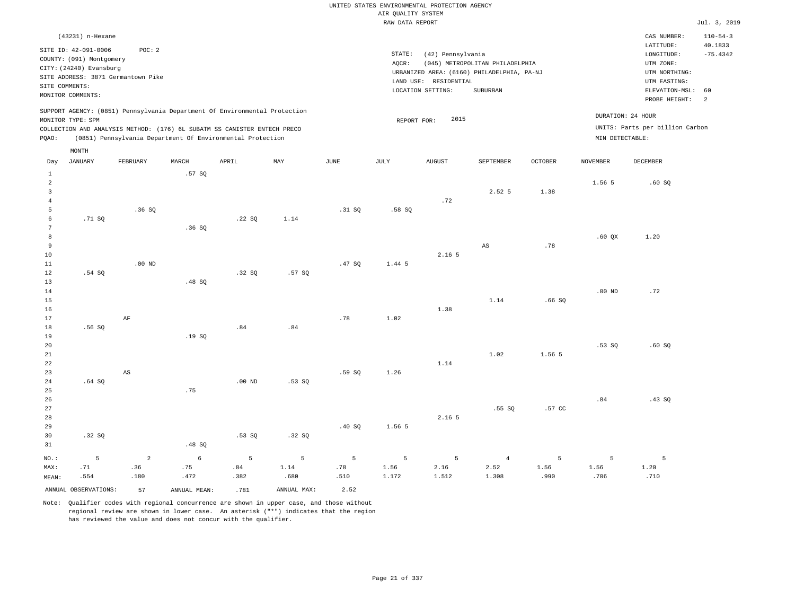# UNITED STATES ENVIRONMENTAL PROTECTION AGENCY AIR QUALITY SYSTEM

|                |                          |                                    |        |                                                                            |       |        | RAW DATA REPORT |                       |                                            |                |                   |                                 | Jul. 3, 2019              |
|----------------|--------------------------|------------------------------------|--------|----------------------------------------------------------------------------|-------|--------|-----------------|-----------------------|--------------------------------------------|----------------|-------------------|---------------------------------|---------------------------|
|                | (43231) n-Hexane         |                                    |        |                                                                            |       |        |                 |                       |                                            |                |                   | CAS NUMBER:<br>LATITUDE:        | $110 - 54 - 3$<br>40.1833 |
|                | SITE ID: 42-091-0006     | POC: 2                             |        |                                                                            |       |        | STATE:          | (42) Pennsylvania     |                                            |                |                   | LONGITUDE:                      | $-75.4342$                |
|                | COUNTY: (091) Montgomery |                                    |        |                                                                            |       |        | AQCR:           |                       | (045) METROPOLITAN PHILADELPHIA            |                |                   | UTM ZONE:                       |                           |
|                | CITY: (24240) Evansburg  |                                    |        |                                                                            |       |        |                 |                       | URBANIZED AREA: (6160) PHILADELPHIA, PA-NJ |                |                   | UTM NORTHING:                   |                           |
|                |                          | SITE ADDRESS: 3871 Germantown Pike |        |                                                                            |       |        |                 | LAND USE: RESIDENTIAL |                                            |                |                   | UTM EASTING:                    |                           |
|                | SITE COMMENTS:           |                                    |        |                                                                            |       |        |                 | LOCATION SETTING:     | SUBURBAN                                   |                |                   | ELEVATION-MSL:                  | 60                        |
|                | MONITOR COMMENTS:        |                                    |        |                                                                            |       |        |                 |                       |                                            |                |                   | PROBE HEIGHT:                   | $\overline{2}$            |
|                |                          |                                    |        | SUPPORT AGENCY: (0851) Pennsylvania Department Of Environmental Protection |       |        |                 | 2015                  |                                            |                |                   | DURATION: 24 HOUR               |                           |
|                | MONITOR TYPE: SPM        |                                    |        |                                                                            |       |        | REPORT FOR:     |                       |                                            |                |                   | UNITS: Parts per billion Carbon |                           |
|                |                          |                                    |        | COLLECTION AND ANALYSIS METHOD: (176) 6L SUBATM SS CANISTER ENTECH PRECO   |       |        |                 |                       |                                            |                |                   |                                 |                           |
| PQAO:          |                          |                                    |        | (0851) Pennsylvania Department Of Environmental Protection                 |       |        |                 |                       |                                            |                | MIN DETECTABLE:   |                                 |                           |
|                | MONTH                    |                                    |        |                                                                            |       |        |                 |                       |                                            |                |                   |                                 |                           |
| Day            | <b>JANUARY</b>           | FEBRUARY                           | MARCH  | APRIL                                                                      | MAY   | JUNE   | JULY            | <b>AUGUST</b>         | SEPTEMBER                                  | <b>OCTOBER</b> | <b>NOVEMBER</b>   | DECEMBER                        |                           |
| $\mathbf{1}$   |                          |                                    | .57SQ  |                                                                            |       |        |                 |                       |                                            |                |                   |                                 |                           |
| 2              |                          |                                    |        |                                                                            |       |        |                 |                       |                                            |                | 1.56 5            | .60SQ                           |                           |
| 3              |                          |                                    |        |                                                                            |       |        |                 |                       | 2.52 5                                     | 1.38           |                   |                                 |                           |
| $\overline{4}$ |                          |                                    |        |                                                                            |       |        |                 | .72                   |                                            |                |                   |                                 |                           |
| 5              |                          | .36SQ                              |        |                                                                            |       | .31 SQ | .58S            |                       |                                            |                |                   |                                 |                           |
| 6              | .71 SQ                   |                                    |        | .22SQ                                                                      | 1.14  |        |                 |                       |                                            |                |                   |                                 |                           |
| 7              |                          |                                    | .36SQ  |                                                                            |       |        |                 |                       |                                            |                |                   |                                 |                           |
| 8              |                          |                                    |        |                                                                            |       |        |                 |                       |                                            |                | .60 <sub>QX</sub> | 1.20                            |                           |
| 9              |                          |                                    |        |                                                                            |       |        |                 |                       | AS                                         | .78            |                   |                                 |                           |
| 10             |                          |                                    |        |                                                                            |       |        |                 | 2.16 5                |                                            |                |                   |                                 |                           |
| 11             |                          | $.00$ ND                           |        |                                                                            |       | .47SQ  | 1.44 5          |                       |                                            |                |                   |                                 |                           |
| 12             | .54 SQ                   |                                    |        | .32SQ                                                                      | .57SQ |        |                 |                       |                                            |                |                   |                                 |                           |
| 13             |                          |                                    | .48 SQ |                                                                            |       |        |                 |                       |                                            |                |                   |                                 |                           |
| 14             |                          |                                    |        |                                                                            |       |        |                 |                       |                                            |                | .00 <sub>ND</sub> | .72                             |                           |
| 15             |                          |                                    |        |                                                                            |       |        |                 |                       | 1.14                                       | .66SQ          |                   |                                 |                           |
| 16             |                          |                                    |        |                                                                            |       | .78    | 1.02            | 1.38                  |                                            |                |                   |                                 |                           |
| 17             |                          | AF                                 |        |                                                                            |       |        |                 |                       |                                            |                |                   |                                 |                           |
| 18             | .56SQ                    |                                    | .19SQ  | .84                                                                        | .84   |        |                 |                       |                                            |                |                   |                                 |                           |
| 19<br>20       |                          |                                    |        |                                                                            |       |        |                 |                       |                                            |                | .53SQ             | .60SQ                           |                           |
| 21             |                          |                                    |        |                                                                            |       |        |                 |                       | 1.02                                       | 1.56 5         |                   |                                 |                           |
| 22             |                          |                                    |        |                                                                            |       |        |                 | 1.14                  |                                            |                |                   |                                 |                           |
| 23             |                          | $\mathbb{A}\mathbb{S}$             |        |                                                                            |       | .59SQ  | 1.26            |                       |                                            |                |                   |                                 |                           |
|                |                          |                                    |        |                                                                            |       |        |                 |                       |                                            |                |                   |                                 |                           |

25 26 27 28 29 30 31 .32 SQ NO.: 5 .75 .48 SQ .53 SQ .32 SQ .40 SQ 1.56 5 2.16 5 .55 SQ .57 CC .84 .43 SQ 2 6 5 5 5 5 5 4 5 5 5

MAX: MEAN: .71 .554 .36 .180 .75 .472 .84 .382 1.14 .680 .78 .510 1.56 1.172 2.16 1.512 2.52 1.308 1.56 .990 1.56 .706 1.20 .710 ANNUAL OBSERVATIONS: 57 ANNUAL MEAN: .781 ANNUAL MAX: 2.52

Note: Qualifier codes with regional concurrence are shown in upper case, and those without regional review are shown in lower case. An asterisk ("\*") indicates that the region has reviewed the value and does not concur with the qualifier.

.00 ND

.53 SQ

24

.64 SQ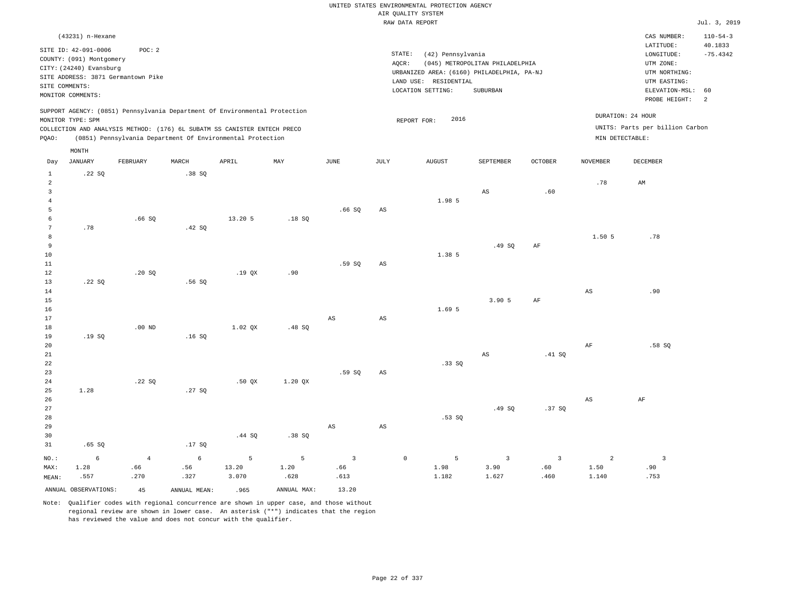|                     |                                          |                |                |                                                                                                                                                        |                |                        |                        | UNITED STATES ENVIRONMENTAL PROTECTION AGENCY |                                 |             |                        |                                                      |                           |
|---------------------|------------------------------------------|----------------|----------------|--------------------------------------------------------------------------------------------------------------------------------------------------------|----------------|------------------------|------------------------|-----------------------------------------------|---------------------------------|-------------|------------------------|------------------------------------------------------|---------------------------|
|                     |                                          |                |                |                                                                                                                                                        |                |                        |                        | AIR QUALITY SYSTEM                            |                                 |             |                        |                                                      |                           |
|                     |                                          |                |                |                                                                                                                                                        |                |                        |                        | RAW DATA REPORT                               |                                 |             |                        |                                                      | Jul. 3, 2019              |
|                     | (43231) n-Hexane<br>SITE ID: 42-091-0006 | POC: 2         |                |                                                                                                                                                        |                |                        |                        |                                               |                                 |             |                        | CAS NUMBER:<br>LATITUDE:                             | $110 - 54 - 3$<br>40.1833 |
|                     | COUNTY: (091) Montgomery                 |                |                |                                                                                                                                                        |                |                        |                        | STATE:<br>(42) Pennsylvania                   |                                 |             |                        | LONGITUDE:                                           | $-75.4342$                |
|                     | CITY: (24240) Evansburg                  |                |                |                                                                                                                                                        |                |                        |                        | AOCR:                                         | (045) METROPOLITAN PHILADELPHIA |             |                        | UTM ZONE:                                            |                           |
|                     | SITE ADDRESS: 3871 Germantown Pike       |                |                |                                                                                                                                                        |                |                        |                        | URBANIZED AREA: (6160) PHILADELPHIA, PA-NJ    |                                 |             |                        | UTM NORTHING:                                        |                           |
|                     | SITE COMMENTS:                           |                |                |                                                                                                                                                        |                |                        |                        | LAND USE: RESIDENTIAL<br>LOCATION SETTING:    | SUBURBAN                        |             |                        | UTM EASTING:<br>ELEVATION-MSL:                       | 60                        |
|                     | MONITOR COMMENTS:                        |                |                |                                                                                                                                                        |                |                        |                        |                                               |                                 |             |                        | PROBE HEIGHT:                                        | 2                         |
|                     | MONITOR TYPE: SPM                        |                |                | SUPPORT AGENCY: (0851) Pennsylvania Department Of Environmental Protection<br>COLLECTION AND ANALYSIS METHOD: (176) 6L SUBATM SS CANISTER ENTECH PRECO |                |                        |                        | 2016<br>REPORT FOR:                           |                                 |             |                        | DURATION: 24 HOUR<br>UNITS: Parts per billion Carbon |                           |
| PQAO:               |                                          |                |                | (0851) Pennsylvania Department Of Environmental Protection                                                                                             |                |                        |                        |                                               |                                 |             |                        | MIN DETECTABLE:                                      |                           |
|                     | MONTH                                    |                |                |                                                                                                                                                        |                |                        |                        |                                               |                                 |             |                        |                                                      |                           |
| Day<br>$\mathbf{1}$ | <b>JANUARY</b><br>.22SQ                  | FEBRUARY       | MARCH<br>.38SQ | APRIL                                                                                                                                                  | MAY            | <b>JUNE</b>            | JULY                   | <b>AUGUST</b>                                 | SEPTEMBER                       | OCTOBER     | <b>NOVEMBER</b>        | DECEMBER                                             |                           |
| 2                   |                                          |                |                |                                                                                                                                                        |                |                        |                        |                                               |                                 |             | .78                    | AM                                                   |                           |
| $\overline{3}$      |                                          |                |                |                                                                                                                                                        |                |                        |                        |                                               | AS                              | .60         |                        |                                                      |                           |
| $\overline{4}$      |                                          |                |                |                                                                                                                                                        |                |                        |                        | 1.98 5                                        |                                 |             |                        |                                                      |                           |
| 5                   |                                          |                |                |                                                                                                                                                        |                | .66SQ                  | $_{\rm AS}$            |                                               |                                 |             |                        |                                                      |                           |
| 6                   |                                          | .66SQ          |                | 13.20 5                                                                                                                                                | .18SQ          |                        |                        |                                               |                                 |             |                        |                                                      |                           |
| 7<br>$^{\rm 8}$     | .78                                      |                | .42 SQ         |                                                                                                                                                        |                |                        |                        |                                               |                                 |             |                        | .78                                                  |                           |
| $\overline{9}$      |                                          |                |                |                                                                                                                                                        |                |                        |                        |                                               | .49SQ                           | AF          | 1.50 5                 |                                                      |                           |
| $10$                |                                          |                |                |                                                                                                                                                        |                |                        |                        | 1.38 5                                        |                                 |             |                        |                                                      |                           |
| 11                  |                                          |                |                |                                                                                                                                                        |                | .59SQ                  | AS                     |                                               |                                 |             |                        |                                                      |                           |
| 12                  |                                          | .20SQ          |                | .19QX                                                                                                                                                  | .90            |                        |                        |                                               |                                 |             |                        |                                                      |                           |
| 13                  | .22SQ                                    |                | .56SQ          |                                                                                                                                                        |                |                        |                        |                                               |                                 |             |                        |                                                      |                           |
| 14                  |                                          |                |                |                                                                                                                                                        |                |                        |                        |                                               |                                 |             | AS                     | .90                                                  |                           |
| $15$                |                                          |                |                |                                                                                                                                                        |                |                        |                        |                                               | 3.90 5                          | $\rm{AF}$   |                        |                                                      |                           |
| 16                  |                                          |                |                |                                                                                                                                                        |                |                        |                        | 1.69 5                                        |                                 |             |                        |                                                      |                           |
| 17                  |                                          |                |                |                                                                                                                                                        |                | $\mathbb{A}\mathbb{S}$ | $\mathbb{A}\mathbb{S}$ |                                               |                                 |             |                        |                                                      |                           |
| 18<br>19            | .19SQ                                    | $.00$ ND       | .16SQ          | 1.02 OX                                                                                                                                                | .48S           |                        |                        |                                               |                                 |             |                        |                                                      |                           |
| 20                  |                                          |                |                |                                                                                                                                                        |                |                        |                        |                                               |                                 |             | AF                     | .58S                                                 |                           |
| 21                  |                                          |                |                |                                                                                                                                                        |                |                        |                        |                                               | $\mathbb{A}\mathbb{S}$          | .41 SQ      |                        |                                                      |                           |
| 22                  |                                          |                |                |                                                                                                                                                        |                |                        |                        | .33SQ                                         |                                 |             |                        |                                                      |                           |
| 23                  |                                          |                |                |                                                                                                                                                        |                | .59SQ                  | $\mathbb{A}\mathbb{S}$ |                                               |                                 |             |                        |                                                      |                           |
| 24                  |                                          | .22SQ          |                | .50 QX                                                                                                                                                 | $1.20$ QX      |                        |                        |                                               |                                 |             |                        |                                                      |                           |
| 25                  | 1.28                                     |                | .27S           |                                                                                                                                                        |                |                        |                        |                                               |                                 |             |                        |                                                      |                           |
| 26                  |                                          |                |                |                                                                                                                                                        |                |                        |                        |                                               |                                 |             | $\mathbb{A}\mathbb{S}$ | $\rm AF$                                             |                           |
| 27                  |                                          |                |                |                                                                                                                                                        |                |                        |                        |                                               | .49SQ                           | .37SQ       |                        |                                                      |                           |
| 28                  |                                          |                |                |                                                                                                                                                        |                |                        |                        | .53SQ                                         |                                 |             |                        |                                                      |                           |
| 29<br>30            |                                          |                |                | .44 SQ                                                                                                                                                 | .38SQ          | $_{\rm AS}$            | $\mathbb{A}\mathbb{S}$ |                                               |                                 |             |                        |                                                      |                           |
| 31                  | .65 SQ                                   |                | .17SQ          |                                                                                                                                                        |                |                        |                        |                                               |                                 |             |                        |                                                      |                           |
|                     |                                          |                |                |                                                                                                                                                        |                |                        |                        |                                               |                                 |             |                        |                                                      |                           |
| NO.:                | 6                                        | $\overline{4}$ | $\epsilon$     | 5                                                                                                                                                      | $\overline{5}$ | $\overline{3}$         |                        | 5<br>$\mathbb O$                              | $\overline{3}$                  | 3           | 2                      | $\overline{\mathbf{3}}$                              |                           |
| MAX:                | 1.28<br>.557                             | .66<br>.270    | .56<br>.327    | 13.20<br>3.070                                                                                                                                         | 1.20<br>.628   | .66<br>.613            |                        | 1.98<br>1.182                                 | 3.90<br>1.627                   | .60<br>.460 | 1.50<br>1.140          | .90<br>.753                                          |                           |
| MEAN:               |                                          |                |                |                                                                                                                                                        |                |                        |                        |                                               |                                 |             |                        |                                                      |                           |
|                     | ANNUAL OBSERVATIONS:                     | 45             | ANNUAL MEAN:   | .965                                                                                                                                                   | ANNUAL MAX:    | 13.20                  |                        |                                               |                                 |             |                        |                                                      |                           |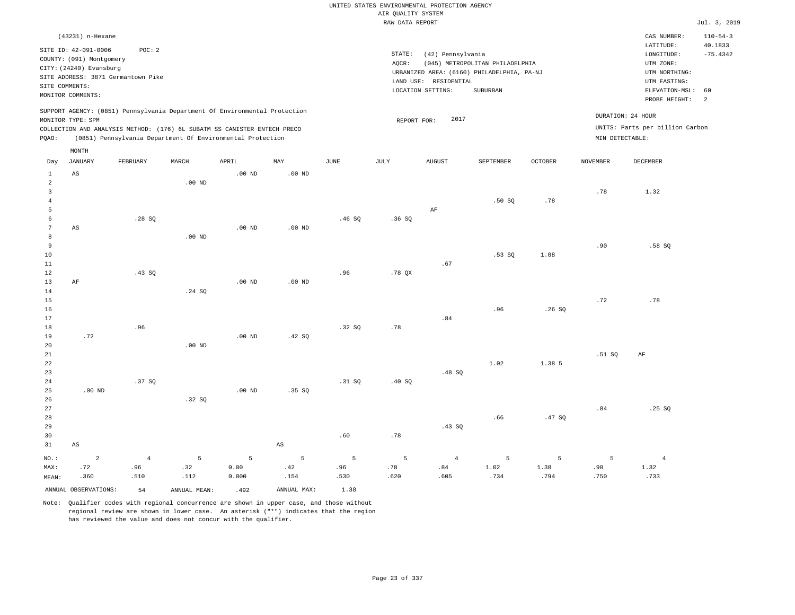|                      |                                                  |                                                                            |                   |                   |                   |               | UNITED STATES ENVIRONMENTAL PROTECTION AGENCY |                       |                                            |                |                 |                                 |                           |
|----------------------|--------------------------------------------------|----------------------------------------------------------------------------|-------------------|-------------------|-------------------|---------------|-----------------------------------------------|-----------------------|--------------------------------------------|----------------|-----------------|---------------------------------|---------------------------|
|                      |                                                  |                                                                            |                   |                   |                   |               | AIR QUALITY SYSTEM                            |                       |                                            |                |                 |                                 |                           |
|                      |                                                  |                                                                            |                   |                   |                   |               | RAW DATA REPORT                               |                       |                                            |                |                 |                                 | Jul. 3, 2019              |
|                      | (43231) n-Hexane                                 |                                                                            |                   |                   |                   |               |                                               |                       |                                            |                |                 | CAS NUMBER:<br>LATITUDE:        | $110 - 54 - 3$<br>40.1833 |
|                      | SITE ID: 42-091-0006<br>COUNTY: (091) Montgomery | POC: 2                                                                     |                   |                   |                   |               | STATE:                                        | (42) Pennsylvania     |                                            |                |                 | LONGITUDE:                      | $-75.4342$                |
|                      | CITY: (24240) Evansburg                          |                                                                            |                   |                   |                   |               | AQCR:                                         |                       | (045) METROPOLITAN PHILADELPHIA            |                |                 | UTM ZONE:                       |                           |
|                      |                                                  | SITE ADDRESS: 3871 Germantown Pike                                         |                   |                   |                   |               |                                               |                       | URBANIZED AREA: (6160) PHILADELPHIA, PA-NJ |                |                 | UTM NORTHING:                   |                           |
|                      | SITE COMMENTS:                                   |                                                                            |                   |                   |                   |               |                                               | LAND USE: RESIDENTIAL |                                            |                |                 | UTM EASTING:                    |                           |
|                      | MONITOR COMMENTS:                                |                                                                            |                   |                   |                   |               |                                               | LOCATION SETTING:     | SUBURBAN                                   |                |                 | ELEVATION-MSL:<br>PROBE HEIGHT: | 60<br>2                   |
|                      | MONITOR TYPE: SPM                                | SUPPORT AGENCY: (0851) Pennsylvania Department Of Environmental Protection |                   |                   |                   |               | REPORT FOR:                                   | 2017                  |                                            |                |                 | DURATION: 24 HOUR               |                           |
|                      |                                                  | COLLECTION AND ANALYSIS METHOD: (176) 6L SUBATM SS CANISTER ENTECH PRECO   |                   |                   |                   |               |                                               |                       |                                            |                |                 | UNITS: Parts per billion Carbon |                           |
| PQAO:                |                                                  | (0851) Pennsylvania Department Of Environmental Protection                 |                   |                   |                   |               |                                               |                       |                                            |                |                 | MIN DETECTABLE:                 |                           |
| Day                  | MONTH<br><b>JANUARY</b>                          | FEBRUARY                                                                   | MARCH             | APRIL             | MAY               | $_{\rm JUNE}$ | JULY                                          | <b>AUGUST</b>         | SEPTEMBER                                  | <b>OCTOBER</b> | <b>NOVEMBER</b> | DECEMBER                        |                           |
| $\mathbf{1}$         | AS                                               |                                                                            |                   | $.00$ ND          | $.00$ ND          |               |                                               |                       |                                            |                |                 |                                 |                           |
| $\overline{a}$       |                                                  |                                                                            | .00 <sub>ND</sub> |                   |                   |               |                                               |                       |                                            |                |                 |                                 |                           |
| $\overline{3}$       |                                                  |                                                                            |                   |                   |                   |               |                                               |                       |                                            |                | .78             | 1.32                            |                           |
| $\overline{4}$       |                                                  |                                                                            |                   |                   |                   |               |                                               |                       | .50S                                       | .78            |                 |                                 |                           |
| 5                    |                                                  |                                                                            |                   |                   |                   |               |                                               | AF                    |                                            |                |                 |                                 |                           |
| 6<br>$7\phantom{.0}$ |                                                  | .28SQ                                                                      |                   | .00 <sub>ND</sub> | .00 <sub>ND</sub> | .46SQ         | .36S                                          |                       |                                            |                |                 |                                 |                           |
| 8                    | AS                                               |                                                                            | $.00$ ND          |                   |                   |               |                                               |                       |                                            |                |                 |                                 |                           |
| 9                    |                                                  |                                                                            |                   |                   |                   |               |                                               |                       |                                            |                | .90             | .58S                            |                           |
| $10$                 |                                                  |                                                                            |                   |                   |                   |               |                                               |                       | .53 SQ                                     | 1.08           |                 |                                 |                           |
| 11                   |                                                  |                                                                            |                   |                   |                   |               |                                               | .67                   |                                            |                |                 |                                 |                           |
| 12                   |                                                  | .43 SQ                                                                     |                   |                   |                   | .96           | .78 QX                                        |                       |                                            |                |                 |                                 |                           |
| 13                   | AF                                               |                                                                            |                   | $.00$ ND          | $.00$ ND          |               |                                               |                       |                                            |                |                 |                                 |                           |
| 14                   |                                                  |                                                                            | .24 SQ            |                   |                   |               |                                               |                       |                                            |                |                 |                                 |                           |
| 15                   |                                                  |                                                                            |                   |                   |                   |               |                                               |                       |                                            |                | .72             | .78                             |                           |
| 16                   |                                                  |                                                                            |                   |                   |                   |               |                                               |                       | .96                                        | .26SQ          |                 |                                 |                           |
| 17                   |                                                  |                                                                            |                   |                   |                   |               |                                               | .84                   |                                            |                |                 |                                 |                           |
| 18                   |                                                  | .96                                                                        |                   |                   |                   | .32S          | .78                                           |                       |                                            |                |                 |                                 |                           |
| 19                   | .72                                              |                                                                            |                   | $.00$ ND          | .42 SQ            |               |                                               |                       |                                            |                |                 |                                 |                           |
| 20                   |                                                  |                                                                            | $.00$ ND          |                   |                   |               |                                               |                       |                                            |                |                 |                                 |                           |
| 21                   |                                                  |                                                                            |                   |                   |                   |               |                                               |                       |                                            |                | .51S            | AF                              |                           |
| 22                   |                                                  |                                                                            |                   |                   |                   |               |                                               |                       | 1.02                                       | 1.38 5         |                 |                                 |                           |
| 23                   |                                                  |                                                                            |                   |                   |                   |               |                                               | .48SQ                 |                                            |                |                 |                                 |                           |
| 24                   |                                                  | .37SQ                                                                      |                   |                   |                   | .31 SQ        | .40S                                          |                       |                                            |                |                 |                                 |                           |
| 25                   | .00 <sub>ND</sub>                                |                                                                            |                   | $.00$ ND          | .35SQ             |               |                                               |                       |                                            |                |                 |                                 |                           |
| 26                   |                                                  |                                                                            | .32S              |                   |                   |               |                                               |                       |                                            |                |                 |                                 |                           |
| 27                   |                                                  |                                                                            |                   |                   |                   |               |                                               |                       |                                            |                | .84             | .25 SQ                          |                           |
| 28<br>29             |                                                  |                                                                            |                   |                   |                   |               |                                               |                       | .66                                        | .47 SO         |                 |                                 |                           |
|                      |                                                  |                                                                            |                   |                   |                   | .60           | .78                                           | .43SQ                 |                                            |                |                 |                                 |                           |
| 30<br>31             | $_{\rm AS}$                                      |                                                                            |                   |                   | $_{\rm AS}$       |               |                                               |                       |                                            |                |                 |                                 |                           |
|                      |                                                  |                                                                            |                   |                   |                   |               |                                               |                       |                                            |                |                 |                                 |                           |
| NO.:                 | $\overline{a}$                                   | $\overline{4}$                                                             | 5                 | 5                 | 5                 | 5             | 5                                             | $\overline{4}$        | 5                                          | 5              | 5               | $\overline{4}$                  |                           |
| MAX:                 | .72                                              | .96                                                                        | .32               | 0.00              | .42               | .96           | .78                                           | .84                   | 1.02                                       | 1.38           | .90             | 1.32                            |                           |
| MEAN:                | .360                                             | .510                                                                       | .112              | 0.000             | .154              | .530          | .620                                          | .605                  | .734                                       | .794           | .750            | .733                            |                           |
|                      | ANNUAL OBSERVATIONS:                             | 54                                                                         | ANNUAL, MEAN:     | .492              | ANNUAL MAX:       | 1.38          |                                               |                       |                                            |                |                 |                                 |                           |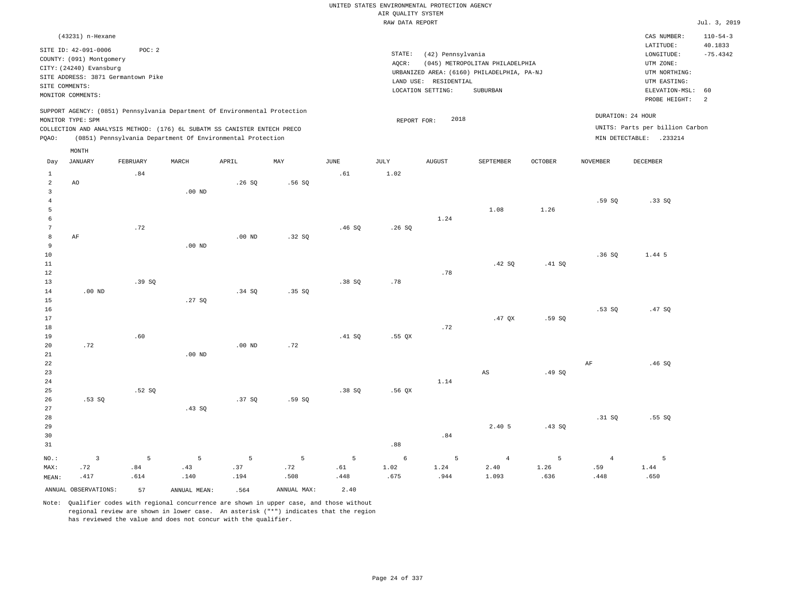|                                           |                                                                            |          |                   |                                                            |             |             |                                       | UNITED STATES ENVIRONMENTAL PROTECTION AGENCY |                                                                               |                |                       |                                            |                                         |
|-------------------------------------------|----------------------------------------------------------------------------|----------|-------------------|------------------------------------------------------------|-------------|-------------|---------------------------------------|-----------------------------------------------|-------------------------------------------------------------------------------|----------------|-----------------------|--------------------------------------------|-----------------------------------------|
|                                           |                                                                            |          |                   |                                                            |             |             | AIR QUALITY SYSTEM<br>RAW DATA REPORT |                                               |                                                                               |                |                       |                                            | Jul. 3, 2019                            |
|                                           |                                                                            |          |                   |                                                            |             |             |                                       |                                               |                                                                               |                |                       |                                            |                                         |
|                                           | (43231) n-Hexane<br>SITE ID: 42-091-0006<br>COUNTY: (091) Montgomery       | POC: 2   |                   |                                                            |             |             | STATE:                                | (42) Pennsylvania                             |                                                                               |                |                       | CAS NUMBER:<br>LATITUDE:<br>LONGITUDE:     | $110 - 54 - 3$<br>40.1833<br>$-75.4342$ |
|                                           | CITY: (24240) Evansburg<br>SITE ADDRESS: 3871 Germantown Pike              |          |                   |                                                            |             |             | AQCR:                                 | LAND USE: RESIDENTIAL                         | (045) METROPOLITAN PHILADELPHIA<br>URBANIZED AREA: (6160) PHILADELPHIA, PA-NJ |                |                       | UTM ZONE:<br>UTM NORTHING:<br>UTM EASTING: |                                         |
|                                           | SITE COMMENTS:<br>MONITOR COMMENTS:                                        |          |                   |                                                            |             |             |                                       | LOCATION SETTING:                             | SUBURBAN                                                                      |                |                       | ELEVATION-MSL:                             | 60                                      |
|                                           | SUPPORT AGENCY: (0851) Pennsylvania Department Of Environmental Protection |          |                   |                                                            |             |             |                                       |                                               |                                                                               |                |                       | PROBE HEIGHT:<br>DURATION: 24 HOUR         | $\overline{a}$                          |
|                                           | MONITOR TYPE: SPM                                                          |          |                   |                                                            |             |             | REPORT FOR:                           | 2018                                          |                                                                               |                |                       | UNITS: Parts per billion Carbon            |                                         |
| PQAO:                                     | COLLECTION AND ANALYSIS METHOD: (176) 6L SUBATM SS CANISTER ENTECH PRECO   |          |                   | (0851) Pennsylvania Department Of Environmental Protection |             |             |                                       |                                               |                                                                               |                |                       | MIN DETECTABLE: .233214                    |                                         |
| Day                                       | MONTH<br><b>JANUARY</b>                                                    | FEBRUARY | MARCH             | APRIL                                                      | MAY         | <b>JUNE</b> | JULY                                  | <b>AUGUST</b>                                 | SEPTEMBER                                                                     | <b>OCTOBER</b> | <b>NOVEMBER</b>       | <b>DECEMBER</b>                            |                                         |
| $\mathbf{1}$                              |                                                                            | .84      |                   |                                                            |             | .61         | 1.02                                  |                                               |                                                                               |                |                       |                                            |                                         |
| $\overline{2}$<br>$\overline{\mathbf{3}}$ | AO                                                                         |          | .00 <sub>ND</sub> | .26S                                                       | .56SQ       |             |                                       |                                               |                                                                               |                |                       |                                            |                                         |
| $\overline{4}$<br>5                       |                                                                            |          |                   |                                                            |             |             |                                       |                                               | 1.08                                                                          | 1.26           | .59 SO                | .33 SO                                     |                                         |
| 6<br>$\overline{7}$                       |                                                                            | .72      |                   |                                                            |             | .46SQ       | .26SQ                                 | 1.24                                          |                                                                               |                |                       |                                            |                                         |
| 8<br>9<br>$10$                            | AF                                                                         |          | $.00$ ND          | .00 <sub>ND</sub>                                          | .32SQ       |             |                                       |                                               |                                                                               |                | .36SQ                 | 1.44 5                                     |                                         |
| $11\,$<br>12                              |                                                                            |          |                   |                                                            |             |             |                                       | .78                                           | .42 SQ                                                                        | .41 SQ         |                       |                                            |                                         |
| 13<br>$14\,$                              | $.00$ ND                                                                   | .39S     |                   | .34SQ                                                      | .35SQ       | .38SQ       | .78                                   |                                               |                                                                               |                |                       |                                            |                                         |
| 15<br>16                                  |                                                                            |          | .27S              |                                                            |             |             |                                       |                                               |                                                                               |                | .53S                  | .47 SQ                                     |                                         |
| 17<br>18<br>19                            |                                                                            | .60      |                   |                                                            |             | .41 SO      |                                       | .72                                           | $.47$ QX                                                                      | .59 SO         |                       |                                            |                                         |
| 20<br>21                                  | .72                                                                        |          | $.00$ ND          | $.00$ ND                                                   | .72         |             | $.55$ QX                              |                                               |                                                                               |                |                       |                                            |                                         |
| 22<br>23                                  |                                                                            |          |                   |                                                            |             |             |                                       |                                               | AS                                                                            | .49S           | $\rm AF$              | .46SQ                                      |                                         |
| 24<br>25                                  |                                                                            | .52 SO   |                   |                                                            |             | .38 SO      | .56 OX                                | 1.14                                          |                                                                               |                |                       |                                            |                                         |
| 26<br>27                                  | .53SQ                                                                      |          | .43SQ             | .37SQ                                                      | .59 SO      |             |                                       |                                               |                                                                               |                |                       |                                            |                                         |
| 28<br>29<br>30<br>31                      |                                                                            |          |                   |                                                            |             |             | .88                                   | .84                                           | 2.40 5                                                                        | .43SQ          | .31 SQ                | .55SQ                                      |                                         |
| NO.:<br>MAX:                              | $\overline{3}$<br>.72                                                      | 5<br>.84 | 5<br>.43          | 5<br>.37                                                   | 5<br>.72    | 5<br>.61    | 6<br>1.02                             | 5<br>1.24                                     | $\overline{4}$<br>2.40                                                        | 5<br>1.26      | $\overline{4}$<br>.59 | 5<br>1.44                                  |                                         |
| MEAN:                                     | .417                                                                       | .614     | .140              | .194                                                       | .508        | .448        | .675                                  | .944                                          | 1.093                                                                         | .636           | .448                  | .650                                       |                                         |
|                                           | ANNUAL OBSERVATIONS:                                                       | 57       | ANNUAL MEAN:      | .564                                                       | ANNUAL MAX: | 2.40        |                                       |                                               |                                                                               |                |                       |                                            |                                         |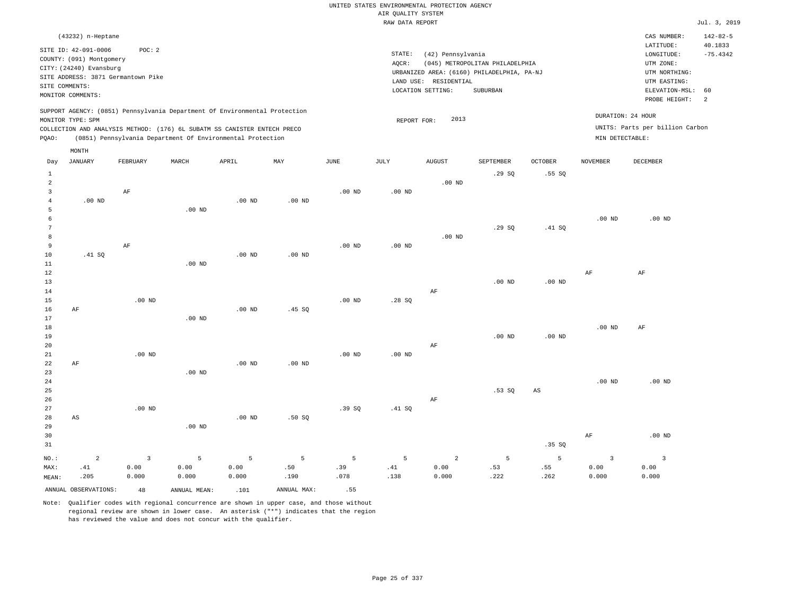|                |                          |                                    |                   |                                                                            |          |                   |                    | UNITED STATES ENVIRONMENTAL PROTECTION AGENCY |                                            |                   |                         |                                 |                           |
|----------------|--------------------------|------------------------------------|-------------------|----------------------------------------------------------------------------|----------|-------------------|--------------------|-----------------------------------------------|--------------------------------------------|-------------------|-------------------------|---------------------------------|---------------------------|
|                |                          |                                    |                   |                                                                            |          |                   | AIR QUALITY SYSTEM |                                               |                                            |                   |                         |                                 |                           |
|                |                          |                                    |                   |                                                                            |          |                   | RAW DATA REPORT    |                                               |                                            |                   |                         |                                 | Jul. 3, 2019              |
|                | (43232) n-Heptane        |                                    |                   |                                                                            |          |                   |                    |                                               |                                            |                   |                         | CAS NUMBER:<br>LATITUDE:        | $142 - 82 - 5$<br>40.1833 |
|                | SITE ID: 42-091-0006     | POC: 2                             |                   |                                                                            |          |                   | STATE:             | (42) Pennsylvania                             |                                            |                   |                         | LONGITUDE:                      | $-75.4342$                |
|                | COUNTY: (091) Montgomery |                                    |                   |                                                                            |          |                   | AQCR:              |                                               | (045) METROPOLITAN PHILADELPHIA            |                   |                         | UTM ZONE:                       |                           |
|                | CITY: (24240) Evansburg  |                                    |                   |                                                                            |          |                   |                    |                                               | URBANIZED AREA: (6160) PHILADELPHIA, PA-NJ |                   |                         | UTM NORTHING:                   |                           |
|                |                          | SITE ADDRESS: 3871 Germantown Pike |                   |                                                                            |          |                   |                    |                                               |                                            |                   |                         | UTM EASTING:                    |                           |
| SITE COMMENTS: |                          |                                    |                   |                                                                            |          |                   |                    | LAND USE: RESIDENTIAL                         |                                            |                   |                         |                                 | 60                        |
|                | MONITOR COMMENTS:        |                                    |                   |                                                                            |          |                   |                    | LOCATION SETTING:                             | SUBURBAN                                   |                   |                         | ELEVATION-MSL:<br>PROBE HEIGHT: | $\overline{a}$            |
|                |                          |                                    |                   | SUPPORT AGENCY: (0851) Pennsylvania Department Of Environmental Protection |          |                   |                    |                                               |                                            |                   |                         |                                 |                           |
|                | MONITOR TYPE: SPM        |                                    |                   |                                                                            |          |                   | REPORT FOR:        | 2013                                          |                                            |                   |                         | DURATION: 24 HOUR               |                           |
|                |                          |                                    |                   | COLLECTION AND ANALYSIS METHOD: (176) 6L SUBATM SS CANISTER ENTECH PRECO   |          |                   |                    |                                               |                                            |                   |                         | UNITS: Parts per billion Carbon |                           |
| PQAO:          |                          |                                    |                   | (0851) Pennsylvania Department Of Environmental Protection                 |          |                   |                    |                                               |                                            |                   | MIN DETECTABLE:         |                                 |                           |
|                | MONTH                    |                                    |                   |                                                                            |          |                   |                    |                                               |                                            |                   |                         |                                 |                           |
| Day            | <b>JANUARY</b>           | FEBRUARY                           | MARCH             | APRIL                                                                      | MAY      | <b>JUNE</b>       | JULY               | <b>AUGUST</b>                                 | SEPTEMBER                                  | <b>OCTOBER</b>    | <b>NOVEMBER</b>         | DECEMBER                        |                           |
| $\mathbf{1}$   |                          |                                    |                   |                                                                            |          |                   |                    |                                               | .29SQ                                      | .55SQ             |                         |                                 |                           |
| $\overline{a}$ |                          |                                    |                   |                                                                            |          |                   |                    | $.00$ ND                                      |                                            |                   |                         |                                 |                           |
| 3              |                          | AF                                 |                   |                                                                            |          | .00 <sub>ND</sub> | .00 <sub>ND</sub>  |                                               |                                            |                   |                         |                                 |                           |
| $\overline{4}$ | $.00$ ND                 |                                    |                   | $.00$ ND                                                                   | $.00$ ND |                   |                    |                                               |                                            |                   |                         |                                 |                           |
| 5              |                          |                                    | .00 <sub>ND</sub> |                                                                            |          |                   |                    |                                               |                                            |                   |                         |                                 |                           |
| 6              |                          |                                    |                   |                                                                            |          |                   |                    |                                               |                                            |                   | .00 <sub>ND</sub>       | $.00$ ND                        |                           |
| $\overline{7}$ |                          |                                    |                   |                                                                            |          |                   |                    |                                               | .29SQ                                      | .41 SQ            |                         |                                 |                           |
| 8              |                          |                                    |                   |                                                                            |          |                   |                    | $.00$ ND                                      |                                            |                   |                         |                                 |                           |
| 9              |                          | $\rm AF$                           |                   |                                                                            |          | .00 <sub>ND</sub> | $.00$ ND           |                                               |                                            |                   |                         |                                 |                           |
| 10             | .41 SO                   |                                    |                   | $.00$ ND                                                                   | $.00$ ND |                   |                    |                                               |                                            |                   |                         |                                 |                           |
| $1\,1$         |                          |                                    | $.00$ ND          |                                                                            |          |                   |                    |                                               |                                            |                   |                         |                                 |                           |
| 12             |                          |                                    |                   |                                                                            |          |                   |                    |                                               |                                            |                   | $\rm AF$                | $\rm AF$                        |                           |
| 13             |                          |                                    |                   |                                                                            |          |                   |                    |                                               | $.00$ ND                                   | .00 <sub>ND</sub> |                         |                                 |                           |
| 14             |                          |                                    |                   |                                                                            |          |                   |                    | AF                                            |                                            |                   |                         |                                 |                           |
| 15             |                          | $.00$ ND                           |                   |                                                                            |          | .00 <sub>ND</sub> | .28SQ              |                                               |                                            |                   |                         |                                 |                           |
| 16             | AF                       |                                    |                   | $.00$ ND                                                                   | .45 SQ   |                   |                    |                                               |                                            |                   |                         |                                 |                           |
| 17             |                          |                                    | .00 <sub>ND</sub> |                                                                            |          |                   |                    |                                               |                                            |                   |                         |                                 |                           |
| 18             |                          |                                    |                   |                                                                            |          |                   |                    |                                               |                                            |                   | .00 <sub>ND</sub>       | AF                              |                           |
| 19             |                          |                                    |                   |                                                                            |          |                   |                    |                                               | $.00$ ND                                   | $.00$ ND          |                         |                                 |                           |
| 20             |                          |                                    |                   |                                                                            |          |                   |                    | AF                                            |                                            |                   |                         |                                 |                           |
| 21             |                          | $.00$ ND                           |                   |                                                                            |          | .00 <sub>ND</sub> | $.00$ ND           |                                               |                                            |                   |                         |                                 |                           |
| 22             | AF                       |                                    |                   | $.00$ ND                                                                   | $.00$ ND |                   |                    |                                               |                                            |                   |                         |                                 |                           |
| 23             |                          |                                    | $.00$ ND          |                                                                            |          |                   |                    |                                               |                                            |                   |                         |                                 |                           |
| 24             |                          |                                    |                   |                                                                            |          |                   |                    |                                               |                                            |                   | .00 <sub>ND</sub>       | $.00$ ND                        |                           |
| 25             |                          |                                    |                   |                                                                            |          |                   |                    |                                               | .53SQ                                      | $_{\rm AS}$       |                         |                                 |                           |
| 26             |                          |                                    |                   |                                                                            |          |                   |                    | AF                                            |                                            |                   |                         |                                 |                           |
| 27             |                          | $.00$ ND                           |                   |                                                                            |          | .39SQ             | .41 SQ             |                                               |                                            |                   |                         |                                 |                           |
| 28             | AS                       |                                    |                   | .00 <sub>ND</sub>                                                          | .50 SO   |                   |                    |                                               |                                            |                   |                         |                                 |                           |
| 29             |                          |                                    | .00 <sub>ND</sub> |                                                                            |          |                   |                    |                                               |                                            |                   |                         |                                 |                           |
| 30             |                          |                                    |                   |                                                                            |          |                   |                    |                                               |                                            |                   | $\rm{AF}$               | .00 <sub>ND</sub>               |                           |
| 31             |                          |                                    |                   |                                                                            |          |                   |                    |                                               |                                            | .35SQ             |                         |                                 |                           |
|                |                          |                                    |                   |                                                                            |          |                   |                    |                                               |                                            |                   |                         |                                 |                           |
| NO.:           | $\overline{a}$           | $\overline{3}$                     | 5                 | 5                                                                          | 5        | 5                 | 5                  | $\overline{a}$                                | 5                                          | 5                 | $\overline{\mathbf{3}}$ | $\overline{3}$                  |                           |
| MAX:           | .41                      | 0.00                               | 0.00              | 0.00                                                                       | .50      | .39               | .41                | 0.00                                          | .53                                        | .55               | 0.00                    | 0.00                            |                           |
| MEAN:          | .205                     | 0.000                              | 0.000             | 0.000                                                                      | .190     | .078              | .138               | 0.000                                         | .222                                       | .262              | 0.000                   | 0.000                           |                           |

ANNUAL OBSERVATIONS: 48 ANNUAL MEAN: .101 ANNUAL MAX: .55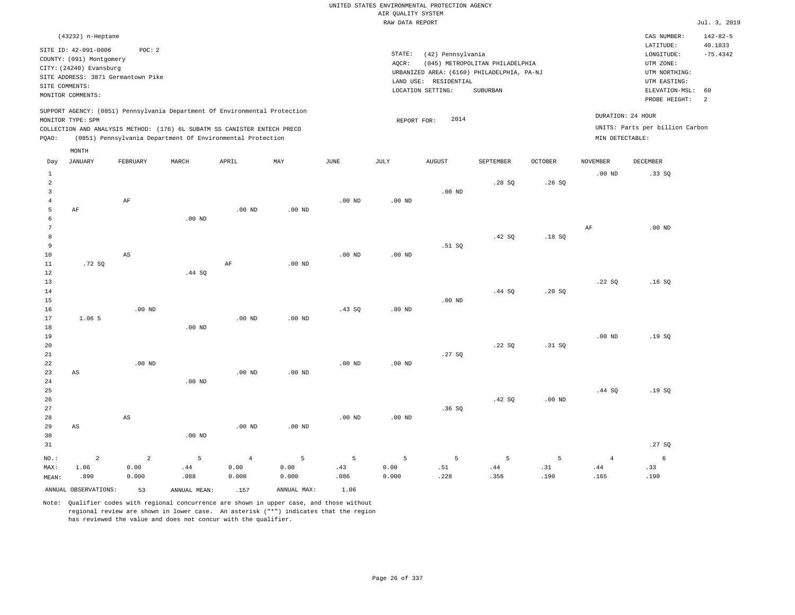|                |                          |                                    |                   |                                                                            |          |                   |                    | UNITED STATES ENVIRONMENTAL PROTECTION AGENCY |                                            |                |                   |                                 |                      |
|----------------|--------------------------|------------------------------------|-------------------|----------------------------------------------------------------------------|----------|-------------------|--------------------|-----------------------------------------------|--------------------------------------------|----------------|-------------------|---------------------------------|----------------------|
|                |                          |                                    |                   |                                                                            |          |                   | AIR QUALITY SYSTEM |                                               |                                            |                |                   |                                 |                      |
|                |                          |                                    |                   |                                                                            |          |                   | RAW DATA REPORT    |                                               |                                            |                |                   |                                 | Jul. 3, 2019         |
|                | (43232) n-Heptane        |                                    |                   |                                                                            |          |                   |                    |                                               |                                            |                |                   | CAS NUMBER:                     | $142 - 82 - 5$       |
|                | SITE ID: 42-091-0006     | POC: 2                             |                   |                                                                            |          |                   |                    |                                               |                                            |                |                   | LATITUDE:                       | 40.1833              |
|                | COUNTY: (091) Montgomery |                                    |                   |                                                                            |          |                   | STATE:             | (42) Pennsylvania                             |                                            |                |                   | LONGITUDE:                      | $-75.4342$           |
|                | CITY: (24240) Evansburg  |                                    |                   |                                                                            |          |                   | AQCR:              |                                               | (045) METROPOLITAN PHILADELPHIA            |                |                   | UTM ZONE:                       |                      |
|                |                          | SITE ADDRESS: 3871 Germantown Pike |                   |                                                                            |          |                   |                    |                                               | URBANIZED AREA: (6160) PHILADELPHIA, PA-NJ |                |                   | UTM NORTHING:                   |                      |
| SITE COMMENTS: |                          |                                    |                   |                                                                            |          |                   |                    | LAND USE: RESIDENTIAL                         |                                            |                |                   | UTM EASTING:                    |                      |
|                | MONITOR COMMENTS:        |                                    |                   |                                                                            |          |                   |                    | LOCATION SETTING:                             | SUBURBAN                                   |                |                   | ELEVATION-MSL:<br>PROBE HEIGHT: | 60<br>$\overline{a}$ |
|                |                          |                                    |                   | SUPPORT AGENCY: (0851) Pennsylvania Department Of Environmental Protection |          |                   |                    |                                               |                                            |                |                   |                                 |                      |
|                | MONITOR TYPE: SPM        |                                    |                   |                                                                            |          |                   | REPORT FOR:        | 2014                                          |                                            |                |                   | DURATION: 24 HOUR               |                      |
|                |                          |                                    |                   | COLLECTION AND ANALYSIS METHOD: (176) 6L SUBATM SS CANISTER ENTECH PRECO   |          |                   |                    |                                               |                                            |                |                   | UNITS: Parts per billion Carbon |                      |
| PQAO:          |                          |                                    |                   | (0851) Pennsylvania Department Of Environmental Protection                 |          |                   |                    |                                               |                                            |                | MIN DETECTABLE:   |                                 |                      |
|                | MONTH                    |                                    |                   |                                                                            |          |                   |                    |                                               |                                            |                |                   |                                 |                      |
| Day            | <b>JANUARY</b>           | FEBRUARY                           | MARCH             | APRIL                                                                      | MAY      | <b>JUNE</b>       | JULY               | ${\tt AUGUST}$                                | SEPTEMBER                                  | <b>OCTOBER</b> | <b>NOVEMBER</b>   | <b>DECEMBER</b>                 |                      |
| $\mathbf{1}$   |                          |                                    |                   |                                                                            |          |                   |                    |                                               |                                            |                | .00 <sub>ND</sub> | .33SQ                           |                      |
| $\overline{2}$ |                          |                                    |                   |                                                                            |          |                   |                    |                                               | .28S                                       | .26S           |                   |                                 |                      |
| $\overline{3}$ |                          |                                    |                   |                                                                            |          |                   |                    | .00 <sub>ND</sub>                             |                                            |                |                   |                                 |                      |
| $\overline{4}$ |                          | $\rm AF$                           |                   |                                                                            |          | .00 <sub>ND</sub> | .00 <sub>ND</sub>  |                                               |                                            |                |                   |                                 |                      |
| 5              | $\rm{AF}$                |                                    |                   | .00 <sub>ND</sub>                                                          | $.00$ ND |                   |                    |                                               |                                            |                |                   |                                 |                      |
| 6              |                          |                                    | $.00$ ND          |                                                                            |          |                   |                    |                                               |                                            |                |                   |                                 |                      |
| $\overline{7}$ |                          |                                    |                   |                                                                            |          |                   |                    |                                               |                                            |                | $\rm{AF}$         | .00 <sub>ND</sub>               |                      |
| 8              |                          |                                    |                   |                                                                            |          |                   |                    |                                               | .42 SQ                                     | .18S           |                   |                                 |                      |
| 9              |                          |                                    |                   |                                                                            |          |                   |                    | .51 SQ                                        |                                            |                |                   |                                 |                      |
| 10             |                          | AS                                 |                   |                                                                            |          | $.00$ ND          | $.00$ ND           |                                               |                                            |                |                   |                                 |                      |
| $11\,$         | .72SQ                    |                                    |                   | $\rm AF$                                                                   | $.00$ ND |                   |                    |                                               |                                            |                |                   |                                 |                      |
| 12             |                          |                                    | .44 S0            |                                                                            |          |                   |                    |                                               |                                            |                |                   |                                 |                      |
| 13             |                          |                                    |                   |                                                                            |          |                   |                    |                                               |                                            |                | .22SQ             | .16S                            |                      |
| 14             |                          |                                    |                   |                                                                            |          |                   |                    |                                               | .44 SQ                                     | .20S           |                   |                                 |                      |
| 15             |                          |                                    |                   |                                                                            |          |                   |                    | $.00$ ND                                      |                                            |                |                   |                                 |                      |
| 16             |                          | $.00$ ND                           |                   |                                                                            |          | .43S              | $.00$ ND           |                                               |                                            |                |                   |                                 |                      |
| 17             | 1.06 5                   |                                    |                   | $.00$ ND                                                                   | $.00$ ND |                   |                    |                                               |                                            |                |                   |                                 |                      |
| 18             |                          |                                    | $.00$ ND          |                                                                            |          |                   |                    |                                               |                                            |                |                   |                                 |                      |
| 19             |                          |                                    |                   |                                                                            |          |                   |                    |                                               |                                            |                | .00 <sub>ND</sub> | .19SQ                           |                      |
| 20             |                          |                                    |                   |                                                                            |          |                   |                    |                                               | .22S                                       | .31 S0         |                   |                                 |                      |
| 21             |                          |                                    |                   |                                                                            |          |                   |                    | .27SQ                                         |                                            |                |                   |                                 |                      |
| 22             |                          | $.00$ ND                           |                   |                                                                            |          | $.00$ ND          | $.00$ ND           |                                               |                                            |                |                   |                                 |                      |
| 23             | AS                       |                                    |                   | $.00$ ND                                                                   | $.00$ ND |                   |                    |                                               |                                            |                |                   |                                 |                      |
| 24             |                          |                                    | .00 <sub>ND</sub> |                                                                            |          |                   |                    |                                               |                                            |                |                   |                                 |                      |
| 25             |                          |                                    |                   |                                                                            |          |                   |                    |                                               |                                            |                | .44SQ             | .19SQ                           |                      |
| 26             |                          |                                    |                   |                                                                            |          |                   |                    |                                               | .42 SQ                                     | $.00$ ND       |                   |                                 |                      |
| 27             |                          |                                    |                   |                                                                            |          |                   |                    | .36SQ                                         |                                            |                |                   |                                 |                      |
| 28             |                          | AS                                 |                   |                                                                            |          | $.00$ ND          | .00 <sub>ND</sub>  |                                               |                                            |                |                   |                                 |                      |
| 29             | $\mathbb{A}\mathbb{S}$   |                                    |                   | $.00$ ND                                                                   | $.00$ ND |                   |                    |                                               |                                            |                |                   |                                 |                      |
| 30             |                          |                                    | $.00$ ND          |                                                                            |          |                   |                    |                                               |                                            |                |                   |                                 |                      |
| 31             |                          |                                    |                   |                                                                            |          |                   |                    |                                               |                                            |                |                   | .27SQ                           |                      |
|                |                          |                                    |                   |                                                                            |          |                   |                    |                                               |                                            |                |                   |                                 |                      |
| NO.:           | $\overline{a}$           | $\overline{2}$                     | 5                 | $\overline{4}$                                                             | 5        | 5                 | 5                  | 5                                             | 5                                          | 5              | $\overline{4}$    | 6                               |                      |
| MAX:           | 1.06                     | 0.00                               | .44               | 0.00                                                                       | 0.00     | .43               | 0.00               | .51                                           | .44                                        | .31            | .44               | .33                             |                      |
| MEAN:          | .890                     | 0.000                              | .088              | 0.000                                                                      | 0.000    | .086              | 0.000              | .228                                          | .356                                       | .190           | .165              | .190                            |                      |

ANNUAL OBSERVATIONS: 53 ANNUAL MEAN: .157 ANNUAL MAX: 1.06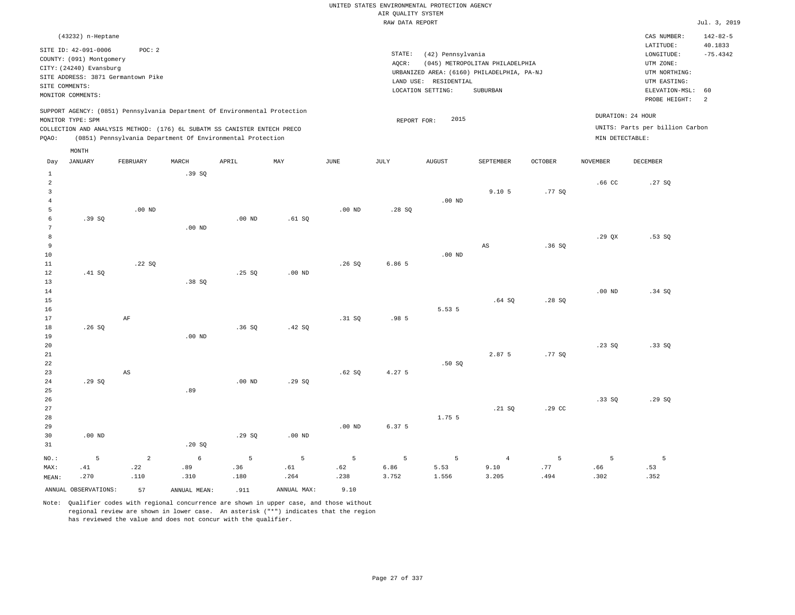### RAW DATA REPORT Jul. 3, 2019 UNITED STATES ENVIRONMENTAL PROTECTION AGENCY AIR QUALITY SYSTEM

| (43232) n-Heptane                                                          |                                                            |       |       |     |      |      |                                            |                                 |                |                   | CAS NUMBER:                     | $142 - 82 - 5$ |
|----------------------------------------------------------------------------|------------------------------------------------------------|-------|-------|-----|------|------|--------------------------------------------|---------------------------------|----------------|-------------------|---------------------------------|----------------|
| SITE ID: 42-091-0006                                                       | POC: 2                                                     |       |       |     |      |      |                                            |                                 |                |                   | LATITUDE:                       | 40.1833        |
| COUNTY: (091) Montgomery                                                   |                                                            |       |       |     |      |      | STATE:<br>(42) Pennsylvania                |                                 |                |                   | LONGITUDE:                      | $-75.4342$     |
|                                                                            |                                                            |       |       |     |      |      | AOCR:                                      | (045) METROPOLITAN PHILADELPHIA |                |                   | UTM ZONE:                       |                |
| CITY: (24240) Evansburg                                                    |                                                            |       |       |     |      |      | URBANIZED AREA: (6160) PHILADELPHIA, PA-NJ |                                 |                |                   | UTM NORTHING:                   |                |
| SITE ADDRESS: 3871 Germantown Pike                                         |                                                            |       |       |     |      |      | RESIDENTIAL<br>LAND USE:                   |                                 |                |                   | UTM EASTING:                    |                |
| SITE COMMENTS:                                                             |                                                            |       |       |     |      |      | LOCATION SETTING:                          | SUBURBAN                        |                |                   | ELEVATION-MSL: 60               |                |
| MONITOR COMMENTS:                                                          |                                                            |       |       |     |      |      |                                            |                                 |                |                   |                                 |                |
|                                                                            |                                                            |       |       |     |      |      |                                            |                                 |                |                   | PROBE HEIGHT:                   | $\overline{2}$ |
| SUPPORT AGENCY: (0851) Pennsylvania Department Of Environmental Protection |                                                            |       |       |     |      |      |                                            |                                 |                |                   |                                 |                |
| MONITOR TYPE: SPM                                                          |                                                            |       |       |     |      |      | 2015<br>REPORT FOR:                        |                                 |                | DURATION: 24 HOUR |                                 |                |
| COLLECTION AND ANALYSIS METHOD: (176) 6L SUBATM SS CANISTER ENTECH PRECO   |                                                            |       |       |     |      |      |                                            |                                 |                |                   | UNITS: Parts per billion Carbon |                |
| POAO:                                                                      | (0851) Pennsylvania Department Of Environmental Protection |       |       |     |      |      |                                            |                                 |                | MIN DETECTABLE:   |                                 |                |
|                                                                            |                                                            |       |       |     |      |      |                                            |                                 |                |                   |                                 |                |
| MONTH                                                                      |                                                            |       |       |     |      |      |                                            |                                 |                |                   |                                 |                |
| JANUARY<br>Day                                                             | FEBRUARY                                                   | MARCH | APRIL | MAY | JUNE | JULY | <b>AUGUST</b>                              | SEPTEMBER                       | <b>OCTOBER</b> | <b>NOVEMBER</b>   | DECEMBER                        |                |

| $\mathbf 1$             |                      |                | .39SQ           |          |             |          |        |          |                        |        |          |        |
|-------------------------|----------------------|----------------|-----------------|----------|-------------|----------|--------|----------|------------------------|--------|----------|--------|
| $\overline{a}$          |                      |                |                 |          |             |          |        |          |                        |        | .66 CC   | .27SQ  |
| $\overline{\mathbf{3}}$ |                      |                |                 |          |             |          |        |          | 9.105                  | .77SQ  |          |        |
| $\overline{4}$          |                      |                |                 |          |             |          |        | $.00$ ND |                        |        |          |        |
| 5                       |                      | $.00$ ND       |                 |          |             | $.00$ ND | .28SQ  |          |                        |        |          |        |
| 6                       | .39 SQ               |                |                 | $.00$ ND | .61 SQ      |          |        |          |                        |        |          |        |
| 7                       |                      |                | $.00$ ND        |          |             |          |        |          |                        |        |          |        |
| 8                       |                      |                |                 |          |             |          |        |          |                        |        | .29QX    | .53SQ  |
| 9                       |                      |                |                 |          |             |          |        |          | $\mathbb{A}\mathbb{S}$ | .36SQ  |          |        |
| 10                      |                      |                |                 |          |             |          |        | $.00$ ND |                        |        |          |        |
| $11\,$                  |                      | .22SQ          |                 |          |             | .26SQ    | 6.86 5 |          |                        |        |          |        |
| 12                      | .41 SQ               |                |                 | .25 SQ   | $.00$ ND    |          |        |          |                        |        |          |        |
| 13                      |                      |                | .38SQ           |          |             |          |        |          |                        |        |          |        |
| 14                      |                      |                |                 |          |             |          |        |          |                        |        | $.00$ ND | .34 SQ |
| 15                      |                      |                |                 |          |             |          |        |          | .64SQ                  | .28SQ  |          |        |
| 16                      |                      |                |                 |          |             |          |        | 5.53 5   |                        |        |          |        |
| 17                      |                      | AF             |                 |          |             | .31 SQ   | .98 5  |          |                        |        |          |        |
| 18                      | .26 $SQ$             |                |                 | .36SQ    | .42 SQ      |          |        |          |                        |        |          |        |
| 19                      |                      |                | $.00$ ND        |          |             |          |        |          |                        |        |          |        |
| 20                      |                      |                |                 |          |             |          |        |          | 2.87 5                 |        | .23SQ    | .33SQ  |
| $21\,$<br>22            |                      |                |                 |          |             |          |        | .50S     |                        | .77SQ  |          |        |
| 23                      |                      | AS             |                 |          |             | .62 SQ   | 4.27 5 |          |                        |        |          |        |
| 24                      | .29SQ                |                |                 | $.00$ ND | .29SQ       |          |        |          |                        |        |          |        |
| 25                      |                      |                | .89             |          |             |          |        |          |                        |        |          |        |
| 26                      |                      |                |                 |          |             |          |        |          |                        |        | .33SQ    | .29SQ  |
| 27                      |                      |                |                 |          |             |          |        |          | .21 SQ                 | .29 CC |          |        |
| 28                      |                      |                |                 |          |             |          |        | 1.75 5   |                        |        |          |        |
| 29                      |                      |                |                 |          |             | $.00$ ND | 6.37 5 |          |                        |        |          |        |
| 30                      | .00 <sub>ND</sub>    |                |                 | .29 SQ   | $.00$ ND    |          |        |          |                        |        |          |        |
| 31                      |                      |                | .20SQ           |          |             |          |        |          |                        |        |          |        |
|                         |                      |                |                 |          |             |          |        |          |                        |        |          |        |
| $NO.$ :                 | 5                    | $\overline{a}$ | $6\overline{6}$ | 5        | 5           | 5        | 5      | 5        | $\overline{4}$         | 5      | 5        | 5      |
| MAX:                    | .41                  | .22            | .89             | .36      | .61         | .62      | 6.86   | 5.53     | 9.10                   | .77    | .66      | .53    |
| MEAN:                   | .270                 | .110           | .310            | .180     | .264        | .238     | 3.752  | 1.556    | 3.205                  | .494   | .302     | .352   |
|                         | ANNUAL OBSERVATIONS: | 57             | ANNUAL MEAN:    | .911     | ANNUAL MAX: | 9.10     |        |          |                        |        |          |        |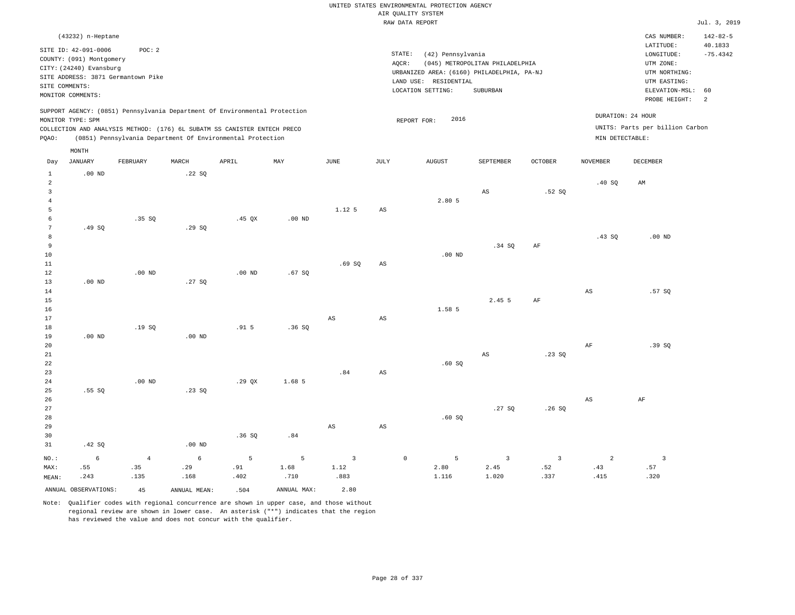|                                |                                           |                   |              |                                                                                                                                                                                                                      |             |                        |                    | UNITED STATES ENVIRONMENTAL PROTECTION AGENCY                       |                                 |                |                 |                                                      |                           |
|--------------------------------|-------------------------------------------|-------------------|--------------|----------------------------------------------------------------------------------------------------------------------------------------------------------------------------------------------------------------------|-------------|------------------------|--------------------|---------------------------------------------------------------------|---------------------------------|----------------|-----------------|------------------------------------------------------|---------------------------|
|                                |                                           |                   |              |                                                                                                                                                                                                                      |             |                        |                    | AIR QUALITY SYSTEM                                                  |                                 |                |                 |                                                      |                           |
|                                |                                           |                   |              |                                                                                                                                                                                                                      |             |                        |                    | RAW DATA REPORT                                                     |                                 |                |                 |                                                      | Jul. 3, 2019              |
|                                | (43232) n-Heptane<br>SITE ID: 42-091-0006 | POC: 2            |              |                                                                                                                                                                                                                      |             |                        |                    |                                                                     |                                 |                |                 | CAS NUMBER:<br>LATITUDE:                             | $142 - 82 - 5$<br>40.1833 |
|                                | COUNTY: (091) Montgomery                  |                   |              |                                                                                                                                                                                                                      |             |                        | $\texttt{STATE}$ : | (42) Pennsylvania                                                   |                                 |                |                 | LONGITUDE:                                           | $-75.4342$                |
|                                | CITY: (24240) Evansburg                   |                   |              |                                                                                                                                                                                                                      |             |                        | AQCR:              |                                                                     | (045) METROPOLITAN PHILADELPHIA |                |                 | UTM ZONE:                                            |                           |
|                                | SITE ADDRESS: 3871 Germantown Pike        |                   |              |                                                                                                                                                                                                                      |             |                        |                    | URBANIZED AREA: (6160) PHILADELPHIA, PA-NJ<br>LAND USE: RESIDENTIAL |                                 |                |                 | UTM NORTHING:<br>UTM EASTING:                        |                           |
|                                | SITE COMMENTS:                            |                   |              |                                                                                                                                                                                                                      |             |                        |                    | LOCATION SETTING:                                                   | SUBURBAN                        |                |                 | ELEVATION-MSL:                                       | 60                        |
|                                | MONITOR COMMENTS:                         |                   |              |                                                                                                                                                                                                                      |             |                        |                    |                                                                     |                                 |                |                 | PROBE HEIGHT:                                        | 2                         |
| PQAO:                          | MONITOR TYPE: SPM                         |                   |              | SUPPORT AGENCY: (0851) Pennsylvania Department Of Environmental Protection<br>COLLECTION AND ANALYSIS METHOD: (176) 6L SUBATM SS CANISTER ENTECH PRECO<br>(0851) Pennsylvania Department Of Environmental Protection |             |                        |                    | 2016<br>REPORT FOR:                                                 |                                 |                | MIN DETECTABLE: | DURATION: 24 HOUR<br>UNITS: Parts per billion Carbon |                           |
|                                | MONTH                                     |                   |              |                                                                                                                                                                                                                      |             |                        |                    |                                                                     |                                 |                |                 |                                                      |                           |
| Day                            | JANUARY                                   | FEBRUARY          | MARCH        | APRIL                                                                                                                                                                                                                | MAX         | $_{\rm JUNE}$          | <b>JULY</b>        | <b>AUGUST</b>                                                       | SEPTEMBER                       | <b>OCTOBER</b> | <b>NOVEMBER</b> | <b>DECEMBER</b>                                      |                           |
| $\mathbf{1}$<br>$\overline{a}$ | $.00$ ND                                  |                   | .22S         |                                                                                                                                                                                                                      |             |                        |                    |                                                                     |                                 |                | .40SQ           | AM                                                   |                           |
| 3                              |                                           |                   |              |                                                                                                                                                                                                                      |             |                        |                    |                                                                     | AS                              | .52S           |                 |                                                      |                           |
| $\overline{4}$                 |                                           |                   |              |                                                                                                                                                                                                                      |             |                        |                    | 2.80 5                                                              |                                 |                |                 |                                                      |                           |
| 5                              |                                           |                   |              |                                                                                                                                                                                                                      |             | 1.12 5                 | AS                 |                                                                     |                                 |                |                 |                                                      |                           |
| 6                              |                                           | .35 SQ            |              | $.45$ QX                                                                                                                                                                                                             | $.00$ ND    |                        |                    |                                                                     |                                 |                |                 |                                                      |                           |
| $\overline{7}$                 | .49SQ                                     |                   | .29SQ        |                                                                                                                                                                                                                      |             |                        |                    |                                                                     |                                 |                |                 |                                                      |                           |
| 8                              |                                           |                   |              |                                                                                                                                                                                                                      |             |                        |                    |                                                                     |                                 |                | .43 SO          | .00 <sub>ND</sub>                                    |                           |
| 9                              |                                           |                   |              |                                                                                                                                                                                                                      |             |                        |                    |                                                                     | .34 SQ                          | AF             |                 |                                                      |                           |
| 10                             |                                           |                   |              |                                                                                                                                                                                                                      |             |                        |                    | .00 <sub>ND</sub>                                                   |                                 |                |                 |                                                      |                           |
| $1\,1$                         |                                           |                   |              |                                                                                                                                                                                                                      |             | .69SQ                  | AS                 |                                                                     |                                 |                |                 |                                                      |                           |
| 12<br>13                       | $.00$ ND                                  | $.00$ ND          | .27SQ        | $.00$ ND                                                                                                                                                                                                             | .67SQ       |                        |                    |                                                                     |                                 |                |                 |                                                      |                           |
| 14                             |                                           |                   |              |                                                                                                                                                                                                                      |             |                        |                    |                                                                     |                                 |                | $_{\rm AS}$     | .57 SO                                               |                           |
| 15                             |                                           |                   |              |                                                                                                                                                                                                                      |             |                        |                    |                                                                     | 2.45 5                          | AF             |                 |                                                      |                           |
| 16                             |                                           |                   |              |                                                                                                                                                                                                                      |             |                        |                    | 1.58 5                                                              |                                 |                |                 |                                                      |                           |
| 17                             |                                           |                   |              |                                                                                                                                                                                                                      |             | $\mathbb{A}\mathbb{S}$ | AS                 |                                                                     |                                 |                |                 |                                                      |                           |
| $18\,$                         |                                           | .19SQ             |              | .915                                                                                                                                                                                                                 | .36SQ       |                        |                    |                                                                     |                                 |                |                 |                                                      |                           |
| 19                             | $.00$ ND                                  |                   | $.00$ ND     |                                                                                                                                                                                                                      |             |                        |                    |                                                                     |                                 |                |                 |                                                      |                           |
| 20                             |                                           |                   |              |                                                                                                                                                                                                                      |             |                        |                    |                                                                     |                                 |                | AF              | .39SQ                                                |                           |
| 21                             |                                           |                   |              |                                                                                                                                                                                                                      |             |                        |                    |                                                                     | AS                              | .23S           |                 |                                                      |                           |
| 22<br>23                       |                                           |                   |              |                                                                                                                                                                                                                      |             | .84                    | AS                 | .60SQ                                                               |                                 |                |                 |                                                      |                           |
| 24                             |                                           | .00 <sub>ND</sub> |              | .29QX                                                                                                                                                                                                                | 1.68 5      |                        |                    |                                                                     |                                 |                |                 |                                                      |                           |
| 25                             | .55SQ                                     |                   | .23S         |                                                                                                                                                                                                                      |             |                        |                    |                                                                     |                                 |                |                 |                                                      |                           |
| 26                             |                                           |                   |              |                                                                                                                                                                                                                      |             |                        |                    |                                                                     |                                 |                | $_{\rm AS}$     | AF                                                   |                           |
| 27                             |                                           |                   |              |                                                                                                                                                                                                                      |             |                        |                    |                                                                     | .27S                            | .26S           |                 |                                                      |                           |
| 28                             |                                           |                   |              |                                                                                                                                                                                                                      |             |                        |                    | .60SQ                                                               |                                 |                |                 |                                                      |                           |
| 29                             |                                           |                   |              |                                                                                                                                                                                                                      |             | AS                     | AS                 |                                                                     |                                 |                |                 |                                                      |                           |
| 30                             |                                           |                   |              | .36SQ                                                                                                                                                                                                                | .84         |                        |                    |                                                                     |                                 |                |                 |                                                      |                           |
| 31                             | .42 SQ                                    |                   | $.00$ ND     |                                                                                                                                                                                                                      |             |                        |                    |                                                                     |                                 |                |                 |                                                      |                           |
| NO.:                           | 6                                         | $\overline{4}$    | 6            | 5                                                                                                                                                                                                                    | 5           | $\overline{3}$         | $\circ$            | 5                                                                   | 3                               | $\overline{3}$ | $\overline{2}$  | $\overline{3}$                                       |                           |
| MAX:                           | .55                                       | .35               | .29          | .91                                                                                                                                                                                                                  | 1.68        | 1.12                   |                    | 2.80                                                                | 2.45                            | .52            | .43             | .57                                                  |                           |
| MEAN:                          | .243                                      | .135              | .168         | .402                                                                                                                                                                                                                 | .710        | .883                   |                    | 1.116                                                               | 1.020                           | .337           | .415            | .320                                                 |                           |
|                                | ANNUAL OBSERVATIONS:                      | 45                | ANNUAL MEAN: | .504                                                                                                                                                                                                                 | ANNUAL MAX: | 2.80                   |                    |                                                                     |                                 |                |                 |                                                      |                           |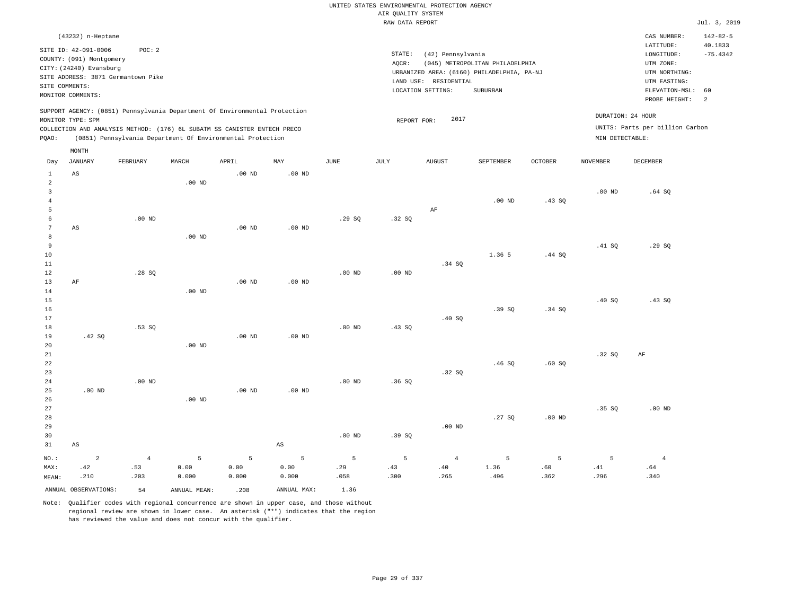|                                  |                                           |                                                                            |                   |                   |                        |                   |                    | UNITED STATES ENVIRONMENTAL PROTECTION AGENCY |                                            |                |                   |                                 |                           |
|----------------------------------|-------------------------------------------|----------------------------------------------------------------------------|-------------------|-------------------|------------------------|-------------------|--------------------|-----------------------------------------------|--------------------------------------------|----------------|-------------------|---------------------------------|---------------------------|
|                                  |                                           |                                                                            |                   |                   |                        |                   | AIR QUALITY SYSTEM |                                               |                                            |                |                   |                                 |                           |
|                                  |                                           |                                                                            |                   |                   |                        |                   | RAW DATA REPORT    |                                               |                                            |                |                   |                                 | Jul. 3, 2019              |
|                                  | (43232) n-Heptane<br>SITE ID: 42-091-0006 | POC: 2                                                                     |                   |                   |                        |                   |                    |                                               |                                            |                |                   | CAS NUMBER:<br>LATITUDE:        | $142 - 82 - 5$<br>40.1833 |
|                                  | COUNTY: (091) Montgomery                  |                                                                            |                   |                   |                        |                   | STATE:             | (42) Pennsylvania                             |                                            |                |                   | LONGITUDE:                      | $-75.4342$                |
|                                  | CITY: (24240) Evansburg                   |                                                                            |                   |                   |                        |                   | AQCR:              |                                               | (045) METROPOLITAN PHILADELPHIA            |                |                   | UTM ZONE:                       |                           |
|                                  |                                           | SITE ADDRESS: 3871 Germantown Pike                                         |                   |                   |                        |                   |                    | LAND USE: RESIDENTIAL                         | URBANIZED AREA: (6160) PHILADELPHIA, PA-NJ |                |                   | UTM NORTHING:<br>UTM EASTING:   |                           |
|                                  | SITE COMMENTS:                            |                                                                            |                   |                   |                        |                   |                    | LOCATION SETTING:                             | SUBURBAN                                   |                |                   | ELEVATION-MSL:                  | 60                        |
|                                  | MONITOR COMMENTS:                         |                                                                            |                   |                   |                        |                   |                    |                                               |                                            |                |                   | PROBE HEIGHT:                   | 2                         |
|                                  | MONITOR TYPE: SPM                         | SUPPORT AGENCY: (0851) Pennsylvania Department Of Environmental Protection |                   |                   |                        |                   | REPORT FOR:        | 2017                                          |                                            |                |                   | DURATION: 24 HOUR               |                           |
|                                  |                                           | COLLECTION AND ANALYSIS METHOD: (176) 6L SUBATM SS CANISTER ENTECH PRECO   |                   |                   |                        |                   |                    |                                               |                                            |                |                   | UNITS: Parts per billion Carbon |                           |
| PQAO:                            |                                           | (0851) Pennsylvania Department Of Environmental Protection                 |                   |                   |                        |                   |                    |                                               |                                            |                | MIN DETECTABLE:   |                                 |                           |
|                                  | MONTH                                     |                                                                            |                   |                   |                        |                   |                    |                                               |                                            |                |                   |                                 |                           |
| Day                              | <b>JANUARY</b>                            | FEBRUARY                                                                   | MARCH             | APRIL             | MAY                    | <b>JUNE</b>       | JULY               | <b>AUGUST</b>                                 | SEPTEMBER                                  | <b>OCTOBER</b> | <b>NOVEMBER</b>   | <b>DECEMBER</b>                 |                           |
| $\mathbf{1}$                     | AS                                        |                                                                            |                   | .00 <sub>ND</sub> | $.00$ ND               |                   |                    |                                               |                                            |                |                   |                                 |                           |
| $\overline{a}$                   |                                           |                                                                            | .00 <sub>ND</sub> |                   |                        |                   |                    |                                               |                                            |                |                   |                                 |                           |
| $\overline{3}$<br>$\overline{4}$ |                                           |                                                                            |                   |                   |                        |                   |                    |                                               | $.00$ ND                                   |                | .00 <sub>ND</sub> | .64S                            |                           |
| $\overline{5}$                   |                                           |                                                                            |                   |                   |                        |                   |                    | AF                                            |                                            | .43SQ          |                   |                                 |                           |
| $\epsilon$                       |                                           | .00 <sub>ND</sub>                                                          |                   |                   |                        | .29SQ             | .32 SQ             |                                               |                                            |                |                   |                                 |                           |
| $7\phantom{.0}$                  | AS                                        |                                                                            |                   | $.00$ ND          | $.00$ ND               |                   |                    |                                               |                                            |                |                   |                                 |                           |
| 8                                |                                           |                                                                            | .00 <sub>ND</sub> |                   |                        |                   |                    |                                               |                                            |                |                   |                                 |                           |
| 9                                |                                           |                                                                            |                   |                   |                        |                   |                    |                                               |                                            |                | .41 S0            | .29S                            |                           |
| 10                               |                                           |                                                                            |                   |                   |                        |                   |                    |                                               | 1.36 5                                     | .44 SQ         |                   |                                 |                           |
| 11                               |                                           |                                                                            |                   |                   |                        |                   |                    | .34 SO                                        |                                            |                |                   |                                 |                           |
| 12<br>13                         | AF                                        | .28SQ                                                                      |                   | $.00$ ND          | .00 <sub>ND</sub>      | $.00$ ND          | .00 <sub>ND</sub>  |                                               |                                            |                |                   |                                 |                           |
| 14                               |                                           |                                                                            | $.00$ ND          |                   |                        |                   |                    |                                               |                                            |                |                   |                                 |                           |
| 15                               |                                           |                                                                            |                   |                   |                        |                   |                    |                                               |                                            |                | .40 SQ            | .43SQ                           |                           |
| 16                               |                                           |                                                                            |                   |                   |                        |                   |                    |                                               | .39SQ                                      | .34 SQ         |                   |                                 |                           |
| 17                               |                                           |                                                                            |                   |                   |                        |                   |                    | .40SQ                                         |                                            |                |                   |                                 |                           |
| 18                               |                                           | .53 SO                                                                     |                   |                   |                        | .00 <sub>ND</sub> | .43 SO             |                                               |                                            |                |                   |                                 |                           |
| 19                               | .42SQ                                     |                                                                            | .00 <sub>ND</sub> | $.00$ ND          | $.00$ ND               |                   |                    |                                               |                                            |                |                   |                                 |                           |
| 20<br>21                         |                                           |                                                                            |                   |                   |                        |                   |                    |                                               |                                            |                | .32 SQ            | AF                              |                           |
| 22                               |                                           |                                                                            |                   |                   |                        |                   |                    |                                               | .46S                                       | .60SQ          |                   |                                 |                           |
| 23                               |                                           |                                                                            |                   |                   |                        |                   |                    | .32S                                          |                                            |                |                   |                                 |                           |
| 24                               |                                           | $.00$ ND                                                                   |                   |                   |                        | $.00$ ND          | .36S               |                                               |                                            |                |                   |                                 |                           |
| 25                               | $.00$ ND                                  |                                                                            |                   | $.00$ ND          | $.00$ ND               |                   |                    |                                               |                                            |                |                   |                                 |                           |
| 26                               |                                           |                                                                            | $.00$ ND          |                   |                        |                   |                    |                                               |                                            |                |                   |                                 |                           |
| 27                               |                                           |                                                                            |                   |                   |                        |                   |                    |                                               |                                            |                | .35 SQ            | $.00$ ND                        |                           |
| 28<br>29                         |                                           |                                                                            |                   |                   |                        |                   |                    | $.00$ ND                                      | .27SQ                                      | $.00$ ND       |                   |                                 |                           |
| 30                               |                                           |                                                                            |                   |                   |                        | .00 <sub>ND</sub> | .39SQ              |                                               |                                            |                |                   |                                 |                           |
| 31                               | $_{\rm AS}$                               |                                                                            |                   |                   | $\mathbb{A}\mathbb{S}$ |                   |                    |                                               |                                            |                |                   |                                 |                           |
| $NO.$ :                          | $\overline{a}$                            | $\overline{4}$                                                             | 5                 | 5                 | 5                      | 5                 | 5                  | $\overline{4}$                                | 5                                          | 5              | 5                 | $\overline{4}$                  |                           |
| MAX:                             | .42                                       | .53                                                                        | 0.00              | 0.00              | 0.00                   | .29               | .43                | .40                                           | 1.36                                       | .60            | .41               | .64                             |                           |
| MEAN:                            | .210                                      | .203                                                                       | 0.000             | 0.000             | 0.000                  | .058              | .300               | .265                                          | .496                                       | .362           | .296              | .340                            |                           |
|                                  | ANNUAL OBSERVATIONS:                      | 54                                                                         | ANNUAL MEAN:      | .208              | ANNUAL MAX:            | 1.36              |                    |                                               |                                            |                |                   |                                 |                           |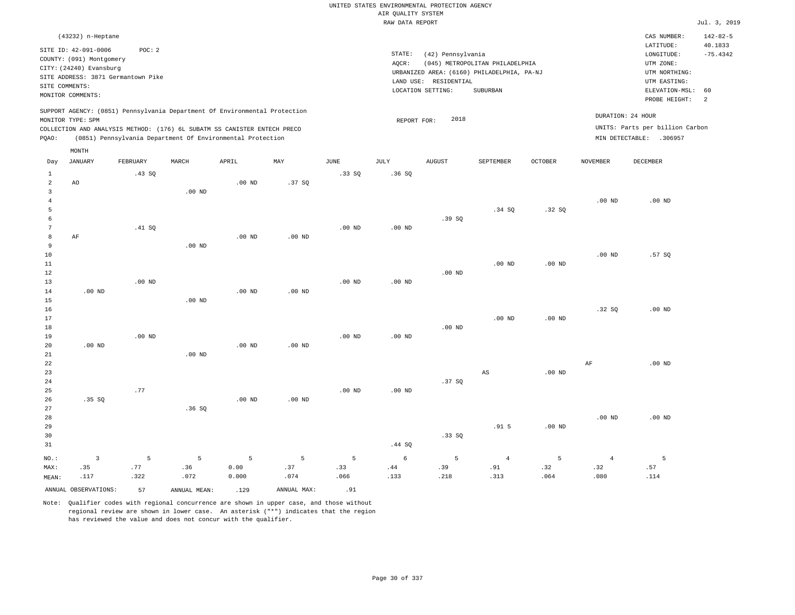|                                  |                                                                                                 |             |                                                            |                   |                   |                   |                                       | UNITED STATES ENVIRONMENTAL PROTECTION AGENCY |                                            |                |                   |                                                     |                                         |
|----------------------------------|-------------------------------------------------------------------------------------------------|-------------|------------------------------------------------------------|-------------------|-------------------|-------------------|---------------------------------------|-----------------------------------------------|--------------------------------------------|----------------|-------------------|-----------------------------------------------------|-----------------------------------------|
|                                  |                                                                                                 |             |                                                            |                   |                   |                   | AIR QUALITY SYSTEM<br>RAW DATA REPORT |                                               |                                            |                |                   |                                                     | Jul. 3, 2019                            |
|                                  |                                                                                                 |             |                                                            |                   |                   |                   |                                       |                                               |                                            |                |                   |                                                     |                                         |
|                                  | (43232) n-Heptane<br>SITE ID: 42-091-0006<br>COUNTY: (091) Montgomery                           | POC: 2      |                                                            |                   |                   |                   | STATE:<br>AQCR:                       | (42) Pennsylvania                             | (045) METROPOLITAN PHILADELPHIA            |                |                   | CAS NUMBER:<br>LATITUDE:<br>LONGITUDE:<br>UTM ZONE: | $142 - 82 - 5$<br>40.1833<br>$-75.4342$ |
|                                  | CITY: (24240) Evansburg<br>SITE ADDRESS: 3871 Germantown Pike<br>SITE COMMENTS:                 |             |                                                            |                   |                   |                   |                                       | LAND USE: RESIDENTIAL                         | URBANIZED AREA: (6160) PHILADELPHIA, PA-NJ |                |                   | UTM NORTHING:<br>UTM EASTING:                       |                                         |
|                                  | MONITOR COMMENTS:                                                                               |             |                                                            |                   |                   |                   |                                       | LOCATION SETTING:                             | SUBURBAN                                   |                |                   | ELEVATION-MSL:<br>PROBE HEIGHT:                     | 60<br>$\overline{a}$                    |
|                                  | SUPPORT AGENCY: (0851) Pennsylvania Department Of Environmental Protection<br>MONITOR TYPE: SPM |             |                                                            |                   |                   |                   | REPORT FOR:                           | 2018                                          |                                            |                |                   | DURATION: 24 HOUR                                   |                                         |
|                                  | COLLECTION AND ANALYSIS METHOD: (176) 6L SUBATM SS CANISTER ENTECH PRECO                        |             |                                                            |                   |                   |                   |                                       |                                               |                                            |                |                   | UNITS: Parts per billion Carbon                     |                                         |
| PQAO:                            |                                                                                                 |             | (0851) Pennsylvania Department Of Environmental Protection |                   |                   |                   |                                       |                                               |                                            |                |                   | MIN DETECTABLE: .306957                             |                                         |
| Day                              | MONTH<br><b>JANUARY</b>                                                                         | FEBRUARY    | MARCH                                                      | APRIL             | MAY               | JUNE              | <b>JULY</b>                           | <b>AUGUST</b>                                 | SEPTEMBER                                  | <b>OCTOBER</b> | <b>NOVEMBER</b>   | <b>DECEMBER</b>                                     |                                         |
| $\mathbf{1}$                     |                                                                                                 | .43 SQ      |                                                            |                   |                   | .33SQ             | .36SQ                                 |                                               |                                            |                |                   |                                                     |                                         |
| $\overline{2}$<br>$\overline{3}$ | AO                                                                                              |             | $.00$ ND                                                   | $.00$ ND          | .37SQ             |                   |                                       |                                               |                                            |                |                   |                                                     |                                         |
| $\overline{4}$<br>5              |                                                                                                 |             |                                                            |                   |                   |                   |                                       |                                               | .34S                                       | .32SQ          | $.00$ ND          | $.00$ ND                                            |                                         |
| 6                                |                                                                                                 |             |                                                            |                   |                   |                   |                                       | .39 SO                                        |                                            |                |                   |                                                     |                                         |
| $\overline{7}$<br>8              |                                                                                                 | .41 SQ      |                                                            |                   |                   | .00 <sub>ND</sub> | $.00$ ND                              |                                               |                                            |                |                   |                                                     |                                         |
| $\overline{9}$                   | AF                                                                                              |             | $.00$ ND                                                   | .00 <sub>ND</sub> | $.00$ ND          |                   |                                       |                                               |                                            |                |                   |                                                     |                                         |
| $10$                             |                                                                                                 |             |                                                            |                   |                   |                   |                                       |                                               |                                            |                | .00 <sub>ND</sub> | .57 SQ                                              |                                         |
| 11                               |                                                                                                 |             |                                                            |                   |                   |                   |                                       |                                               | $.00$ ND                                   | $.00$ ND       |                   |                                                     |                                         |
| 12<br>13                         |                                                                                                 | $.00$ ND    |                                                            |                   |                   | $.00$ ND          | $.00$ ND                              | $.00$ ND                                      |                                            |                |                   |                                                     |                                         |
| 14                               | $.00$ ND                                                                                        |             |                                                            | $.00$ ND          | $.00$ ND          |                   |                                       |                                               |                                            |                |                   |                                                     |                                         |
| 15                               |                                                                                                 |             | $.00$ ND                                                   |                   |                   |                   |                                       |                                               |                                            |                |                   |                                                     |                                         |
| 16<br>17                         |                                                                                                 |             |                                                            |                   |                   |                   |                                       |                                               | .00 <sub>ND</sub>                          | $.00$ ND       | .32S              | $.00$ ND                                            |                                         |
| 18                               |                                                                                                 |             |                                                            |                   |                   |                   |                                       | $.00$ ND                                      |                                            |                |                   |                                                     |                                         |
| 19                               |                                                                                                 | $.00$ ND    |                                                            |                   |                   | $.00$ ND          | $.00$ ND                              |                                               |                                            |                |                   |                                                     |                                         |
| 20                               | $.00$ ND                                                                                        |             |                                                            | $.00$ ND          | .00 <sub>ND</sub> |                   |                                       |                                               |                                            |                |                   |                                                     |                                         |
| 21<br>22                         |                                                                                                 |             | $.00$ ND                                                   |                   |                   |                   |                                       |                                               |                                            |                | $\rm AF$          | $.00$ ND                                            |                                         |
| 23                               |                                                                                                 |             |                                                            |                   |                   |                   |                                       |                                               | AS                                         | $.00$ ND       |                   |                                                     |                                         |
| 24                               |                                                                                                 |             |                                                            |                   |                   |                   |                                       | .37SQ                                         |                                            |                |                   |                                                     |                                         |
| 25                               |                                                                                                 | .77         |                                                            |                   |                   | $.00$ ND          | $.00$ ND                              |                                               |                                            |                |                   |                                                     |                                         |
| 26<br>27                         | .35SQ                                                                                           |             | .36SQ                                                      | $.00$ ND          | .00 <sub>ND</sub> |                   |                                       |                                               |                                            |                |                   |                                                     |                                         |
| 28                               |                                                                                                 |             |                                                            |                   |                   |                   |                                       |                                               |                                            |                | $.00$ ND          | $.00$ ND                                            |                                         |
| 29                               |                                                                                                 |             |                                                            |                   |                   |                   |                                       |                                               | .915                                       | $.00$ ND       |                   |                                                     |                                         |
| 30                               |                                                                                                 |             |                                                            |                   |                   |                   |                                       | .33SQ                                         |                                            |                |                   |                                                     |                                         |
| 31                               |                                                                                                 |             |                                                            |                   |                   |                   | .44 SQ                                |                                               |                                            |                |                   |                                                     |                                         |
| NO.:                             | $\overline{3}$                                                                                  | 5           | 5                                                          | 5                 | 5                 | 5                 | 6                                     | 5                                             | $\overline{4}$                             | 5              | $\overline{4}$    | 5                                                   |                                         |
| MAX:<br>MEAN:                    | .35<br>.117                                                                                     | .77<br>.322 | .36<br>.072                                                | 0.00<br>0.000     | .37<br>.074       | .33<br>.066       | .44<br>.133                           | .39<br>.218                                   | .91<br>.313                                | .32<br>.064    | .32<br>.080       | .57<br>.114                                         |                                         |
|                                  | ANNUAL OBSERVATIONS:                                                                            |             |                                                            |                   | ANNUAL MAX:       | .91               |                                       |                                               |                                            |                |                   |                                                     |                                         |
|                                  |                                                                                                 | 57          | ANNUAL MEAN:                                               | .129              |                   |                   |                                       |                                               |                                            |                |                   |                                                     |                                         |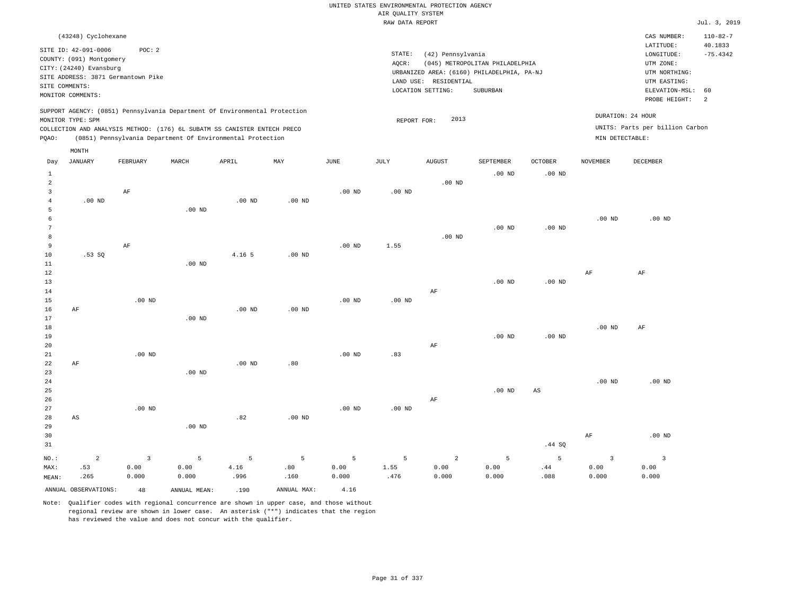### RAW DATA REPORT Jul. 3, 2019 UNITED STATES ENVIRONMENTAL PROTECTION AGENCY AIR QUALITY SYSTEM

|                | (43248) Cyclohexane      |                                    |       |                                                                            |     |      |      |                                            |             |                                 |                |                   | CAS NUMBER:                     | $110 - 82 - 7$ |
|----------------|--------------------------|------------------------------------|-------|----------------------------------------------------------------------------|-----|------|------|--------------------------------------------|-------------|---------------------------------|----------------|-------------------|---------------------------------|----------------|
|                |                          |                                    |       |                                                                            |     |      |      |                                            |             |                                 |                |                   |                                 |                |
|                | SITE ID: 42-091-0006     | POC:2                              |       |                                                                            |     |      |      |                                            |             |                                 |                |                   | LATITUDE:                       | 40.1833        |
|                | COUNTY: (091) Montgomery |                                    |       |                                                                            |     |      |      | STATE:<br>(42) Pennsylvania                |             |                                 |                |                   | LONGITUDE:                      | $-75.4342$     |
|                | CITY: (24240) Evansburg  |                                    |       |                                                                            |     |      |      | AOCR:                                      |             | (045) METROPOLITAN PHILADELPHIA |                |                   | UTM ZONE:                       |                |
|                |                          | SITE ADDRESS: 3871 Germantown Pike |       |                                                                            |     |      |      | URBANIZED AREA: (6160) PHILADELPHIA, PA-NJ |             |                                 |                |                   | UTM NORTHING:                   |                |
|                |                          |                                    |       |                                                                            |     |      |      | LAND USE:                                  | RESIDENTIAL |                                 |                |                   | UTM EASTING:                    |                |
| SITE COMMENTS: |                          |                                    |       |                                                                            |     |      |      | LOCATION SETTING:                          |             | SUBURBAN                        |                |                   | ELEVATION-MSL: 60               |                |
|                | MONITOR COMMENTS:        |                                    |       |                                                                            |     |      |      |                                            |             |                                 |                |                   | PROBE HEIGHT:                   | $\overline{2}$ |
|                |                          |                                    |       | SUPPORT AGENCY: (0851) Pennsylvania Department Of Environmental Protection |     |      |      |                                            |             |                                 |                | DURATION: 24 HOUR |                                 |                |
|                | MONITOR TYPE: SPM        |                                    |       |                                                                            |     |      |      | REPORT FOR:                                | 2013        |                                 |                |                   |                                 |                |
|                |                          |                                    |       | COLLECTION AND ANALYSIS METHOD: (176) 6L SUBATM SS CANISTER ENTECH PRECO   |     |      |      |                                            |             |                                 |                |                   | UNITS: Parts per billion Carbon |                |
| POAO:          |                          |                                    |       | (0851) Pennsylvania Department Of Environmental Protection                 |     |      |      |                                            |             |                                 |                | MIN DETECTABLE:   |                                 |                |
|                | MONTH                    |                                    |       |                                                                            |     |      |      |                                            |             |                                 |                |                   |                                 |                |
| Day            | JANUARY                  | FEBRUARY                           | MARCH | APRIL                                                                      | MAY | JUNE | JULY | AUGUST                                     |             | SEPTEMBER                       | <b>OCTOBER</b> | NOVEMBER          | DECEMBER                        |                |

| $1\,$          |                |                |          |                   |          |                   |          |                | .00 $ND$ | .00 $ND$               |                |                         |
|----------------|----------------|----------------|----------|-------------------|----------|-------------------|----------|----------------|----------|------------------------|----------------|-------------------------|
| $\overline{a}$ |                |                |          |                   |          |                   |          | $.00$ ND       |          |                        |                |                         |
| 3              |                | $\rm AF$       |          |                   |          | .00 <sub>ND</sub> | $.00$ ND |                |          |                        |                |                         |
| 4              | $.00$ ND       |                |          | $.00$ ND          | .00 $ND$ |                   |          |                |          |                        |                |                         |
| 5              |                |                | $.00$ ND |                   |          |                   |          |                |          |                        |                |                         |
| 6              |                |                |          |                   |          |                   |          |                |          |                        | $.00$ ND       | $.00$ ND                |
| 7              |                |                |          |                   |          |                   |          |                | $.00$ ND | $.00$ ND               |                |                         |
| 8              |                |                |          |                   |          |                   |          | $.00$ ND       |          |                        |                |                         |
| 9              |                | $\rm AF$       |          |                   |          | $.00$ ND          | 1.55     |                |          |                        |                |                         |
| 10             | .53SQ          |                |          | 4.16 <sub>5</sub> | $.00$ ND |                   |          |                |          |                        |                |                         |
| 11             |                |                | .00 $ND$ |                   |          |                   |          |                |          |                        |                |                         |
| 12             |                |                |          |                   |          |                   |          |                |          |                        | $\rm{AF}$      | $\rm AF$                |
| 13             |                |                |          |                   |          |                   |          |                | $.00$ ND | .00 $ND$               |                |                         |
| 14             |                |                |          |                   |          |                   |          | AF             |          |                        |                |                         |
| 15             |                | $.00$ ND       |          |                   |          | $.00$ ND          | $.00$ ND |                |          |                        |                |                         |
| 16             | AF             |                |          | $.00$ ND          | $.00$ ND |                   |          |                |          |                        |                |                         |
| 17             |                |                | $.00$ ND |                   |          |                   |          |                |          |                        |                |                         |
| 18             |                |                |          |                   |          |                   |          |                |          |                        | .00 $ND$       | $\rm AF$                |
| 19             |                |                |          |                   |          |                   |          |                | $.00$ ND | $.00$ ND               |                |                         |
| 20             |                |                |          |                   |          |                   |          | $\rm AF$       |          |                        |                |                         |
| 21             |                | $.00$ ND       |          |                   |          | $.00$ ND          | .83      |                |          |                        |                |                         |
| 22             | $\rm AF$       |                |          | $.00$ ND          | .80      |                   |          |                |          |                        |                |                         |
| 23             |                |                | $.00$ ND |                   |          |                   |          |                |          |                        |                |                         |
| $2\sqrt{4}$    |                |                |          |                   |          |                   |          |                |          |                        | .00 $ND$       | .00 $ND$                |
| $25\,$         |                |                |          |                   |          |                   |          |                | $.00$ ND | $\mathbb{A}\mathbb{S}$ |                |                         |
| 26             |                |                |          |                   |          |                   |          | $\rm AF$       |          |                        |                |                         |
| 27             |                | $.00$ ND       |          |                   |          | $.00$ ND          | .00 $ND$ |                |          |                        |                |                         |
| 28             | AS             |                |          | .82               | .00 $ND$ |                   |          |                |          |                        |                |                         |
| 29             |                |                | $.00$ ND |                   |          |                   |          |                |          |                        |                |                         |
| 30             |                |                |          |                   |          |                   |          |                |          |                        | $\rm{AF}$      | $.00$ ND                |
| 31             |                |                |          |                   |          |                   |          |                |          | .44 SQ                 |                |                         |
| $NO.$ :        | $\overline{a}$ | $\overline{3}$ | 5        | 5                 | 5        | 5                 | 5        | $\overline{a}$ | 5        | 5                      | $\overline{3}$ | $\overline{\mathbf{3}}$ |
| MAX:           | .53            | 0.00           | 0.00     | 4.16              | .80      | 0.00              | 1.55     | 0.00           | 0.00     | .44                    | 0.00           | 0.00                    |
| MEAN:          | .265           | 0.000          | 0.000    | .996              | .160     | 0.000             | .476     | 0.000          | 0.000    | .088                   | 0.000          | 0.000                   |

ANNUAL OBSERVATIONS: 48 ANNUAL MEAN: .190 ANNUAL MAX: 4.16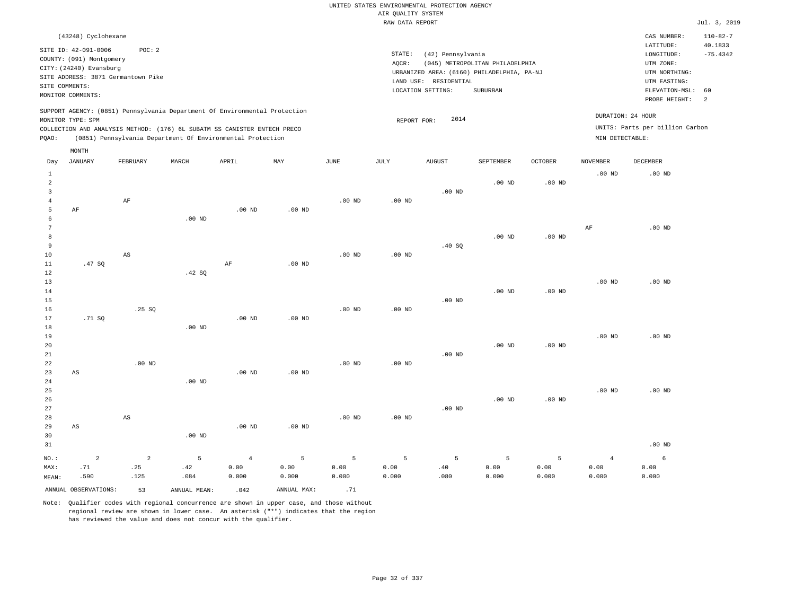|                 |                          |                                    |          |                                                                            |                   |             |                    | UNITED STATES ENVIRONMENTAL PROTECTION AGENCY |                                            |                   |                   |                                 |                |  |
|-----------------|--------------------------|------------------------------------|----------|----------------------------------------------------------------------------|-------------------|-------------|--------------------|-----------------------------------------------|--------------------------------------------|-------------------|-------------------|---------------------------------|----------------|--|
|                 |                          |                                    |          |                                                                            |                   |             | AIR QUALITY SYSTEM |                                               |                                            |                   |                   |                                 |                |  |
|                 |                          |                                    |          |                                                                            |                   |             | RAW DATA REPORT    |                                               |                                            |                   |                   |                                 | Jul. 3, 2019   |  |
|                 | (43248) Cyclohexane      |                                    |          |                                                                            |                   |             |                    |                                               |                                            |                   |                   | CAS NUMBER:                     | $110 - 82 - 7$ |  |
|                 | SITE ID: 42-091-0006     | POC: 2                             |          |                                                                            |                   |             |                    |                                               |                                            |                   |                   | LATITUDE:                       | 40.1833        |  |
|                 | COUNTY: (091) Montgomery |                                    |          |                                                                            |                   |             | STATE:             | (42) Pennsylvania                             |                                            |                   |                   | LONGITUDE:                      | $-75.4342$     |  |
|                 | CITY: (24240) Evansburg  |                                    |          |                                                                            |                   |             | AQCR:              |                                               | (045) METROPOLITAN PHILADELPHIA            |                   |                   | UTM ZONE:                       |                |  |
|                 |                          | SITE ADDRESS: 3871 Germantown Pike |          |                                                                            |                   |             |                    | LAND USE: RESIDENTIAL                         | URBANIZED AREA: (6160) PHILADELPHIA, PA-NJ |                   |                   | UTM NORTHING:<br>UTM EASTING:   |                |  |
|                 | SITE COMMENTS:           |                                    |          |                                                                            |                   |             |                    | LOCATION SETTING:                             | SUBURBAN                                   |                   |                   | ELEVATION-MSL:                  | 60             |  |
|                 | MONITOR COMMENTS:        |                                    |          |                                                                            |                   |             |                    |                                               |                                            |                   |                   | PROBE HEIGHT:                   | 2              |  |
|                 |                          |                                    |          |                                                                            |                   |             |                    |                                               |                                            |                   |                   |                                 |                |  |
|                 | MONITOR TYPE: SPM        |                                    |          | SUPPORT AGENCY: (0851) Pennsylvania Department Of Environmental Protection |                   |             |                    | 2014                                          |                                            |                   |                   | DURATION: 24 HOUR               |                |  |
|                 |                          |                                    |          | COLLECTION AND ANALYSIS METHOD: (176) 6L SUBATM SS CANISTER ENTECH PRECO   |                   |             | REPORT FOR:        |                                               |                                            |                   |                   | UNITS: Parts per billion Carbon |                |  |
| PQAO:           |                          |                                    |          | (0851) Pennsylvania Department Of Environmental Protection                 |                   |             |                    |                                               |                                            |                   | MIN DETECTABLE:   |                                 |                |  |
|                 |                          |                                    |          |                                                                            |                   |             |                    |                                               |                                            |                   |                   |                                 |                |  |
| Day             | MONTH<br><b>JANUARY</b>  | FEBRUARY                           | MARCH    | APRIL                                                                      | MAY               | <b>JUNE</b> | JULY               | <b>AUGUST</b>                                 | SEPTEMBER                                  | <b>OCTOBER</b>    | <b>NOVEMBER</b>   | DECEMBER                        |                |  |
| $\mathbf{1}$    |                          |                                    |          |                                                                            |                   |             |                    |                                               |                                            |                   | .00 <sub>ND</sub> | $.00$ ND                        |                |  |
| $\overline{a}$  |                          |                                    |          |                                                                            |                   |             |                    |                                               | $.00$ ND                                   | .00 <sub>ND</sub> |                   |                                 |                |  |
| 3               |                          |                                    |          |                                                                            |                   |             |                    | $.00$ ND                                      |                                            |                   |                   |                                 |                |  |
| $\overline{4}$  |                          | AF                                 |          |                                                                            |                   | $.00$ ND    | $.00$ ND           |                                               |                                            |                   |                   |                                 |                |  |
| 5               | AF                       |                                    |          | $.00$ ND                                                                   | $.00$ ND          |             |                    |                                               |                                            |                   |                   |                                 |                |  |
| 6               |                          |                                    | $.00$ ND |                                                                            |                   |             |                    |                                               |                                            |                   |                   |                                 |                |  |
| $7\phantom{.0}$ |                          |                                    |          |                                                                            |                   |             |                    |                                               |                                            |                   | AF                | $.00$ ND                        |                |  |
| 8               |                          |                                    |          |                                                                            |                   |             |                    |                                               | $.00$ ND                                   | .00 <sub>ND</sub> |                   |                                 |                |  |
| 9               |                          |                                    |          |                                                                            |                   |             |                    | .40 SQ                                        |                                            |                   |                   |                                 |                |  |
| 10              |                          | $\mathbb{A}\mathbb{S}$             |          |                                                                            |                   | $.00$ ND    | $.00$ ND           |                                               |                                            |                   |                   |                                 |                |  |
| 11              | .47SQ                    |                                    |          | AF                                                                         | .00 <sub>ND</sub> |             |                    |                                               |                                            |                   |                   |                                 |                |  |
| 12              |                          |                                    | .42 SQ   |                                                                            |                   |             |                    |                                               |                                            |                   |                   |                                 |                |  |
| 13              |                          |                                    |          |                                                                            |                   |             |                    |                                               |                                            |                   | .00 <sub>ND</sub> | $.00$ ND                        |                |  |
| 14              |                          |                                    |          |                                                                            |                   |             |                    |                                               | $.00$ ND                                   | $.00$ ND          |                   |                                 |                |  |
| 15              |                          |                                    |          |                                                                            |                   |             |                    | $.00$ ND                                      |                                            |                   |                   |                                 |                |  |
| 16              |                          | .25SQ                              |          |                                                                            |                   | $.00$ ND    | $.00$ ND           |                                               |                                            |                   |                   |                                 |                |  |
| 17              | .71 SQ                   |                                    |          | .00 <sub>ND</sub>                                                          | $.00$ ND          |             |                    |                                               |                                            |                   |                   |                                 |                |  |
| 18              |                          |                                    | $.00$ ND |                                                                            |                   |             |                    |                                               |                                            |                   |                   |                                 |                |  |
| 19              |                          |                                    |          |                                                                            |                   |             |                    |                                               |                                            |                   | .00 <sub>ND</sub> | $.00$ ND                        |                |  |
| 20              |                          |                                    |          |                                                                            |                   |             |                    |                                               | $.00$ ND                                   | .00 <sub>ND</sub> |                   |                                 |                |  |
| 21              |                          |                                    |          |                                                                            |                   |             |                    | $.00$ ND                                      |                                            |                   |                   |                                 |                |  |
| 22<br>23        |                          | $.00$ ND                           |          |                                                                            |                   | $.00$ ND    | $.00$ ND           |                                               |                                            |                   |                   |                                 |                |  |
| 24              | AS                       |                                    | $.00$ ND | $.00$ ND                                                                   | $.00$ ND          |             |                    |                                               |                                            |                   |                   |                                 |                |  |
| 25              |                          |                                    |          |                                                                            |                   |             |                    |                                               |                                            |                   | .00 <sub>ND</sub> | $.00$ ND                        |                |  |
| 26              |                          |                                    |          |                                                                            |                   |             |                    |                                               | .00 <sub>ND</sub>                          | .00 <sub>ND</sub> |                   |                                 |                |  |
| 27              |                          |                                    |          |                                                                            |                   |             |                    | $.00$ ND                                      |                                            |                   |                   |                                 |                |  |
| 28              |                          | AS                                 |          |                                                                            |                   | $.00$ ND    | $.00$ ND           |                                               |                                            |                   |                   |                                 |                |  |
| 29              | AS                       |                                    |          | .00 <sub>ND</sub>                                                          | $.00$ ND          |             |                    |                                               |                                            |                   |                   |                                 |                |  |
| 30              |                          |                                    | $.00$ ND |                                                                            |                   |             |                    |                                               |                                            |                   |                   |                                 |                |  |
| 31              |                          |                                    |          |                                                                            |                   |             |                    |                                               |                                            |                   |                   | $.00$ ND                        |                |  |
|                 |                          |                                    |          |                                                                            |                   |             |                    |                                               |                                            |                   |                   |                                 |                |  |

|       |      | NO.: 2 2 5 4 5 5 5 5 5 5 4                                  |  |  |  |       |               |       |
|-------|------|-------------------------------------------------------------|--|--|--|-------|---------------|-------|
|       |      |                                                             |  |  |  |       | $0.00$ $0.00$ | 0.00  |
| MEAN: | .590 | 0.000 0.000 0.000 0.000 0.000 0.000 0.000 0.000 .080 .080 . |  |  |  | 0.000 | 0.000         | 0.000 |
|       |      | ANNUAL OBSERVATIONS: 53 ANNUAL MEAN: 042 ANNUAL MAX: 71     |  |  |  |       |               |       |

6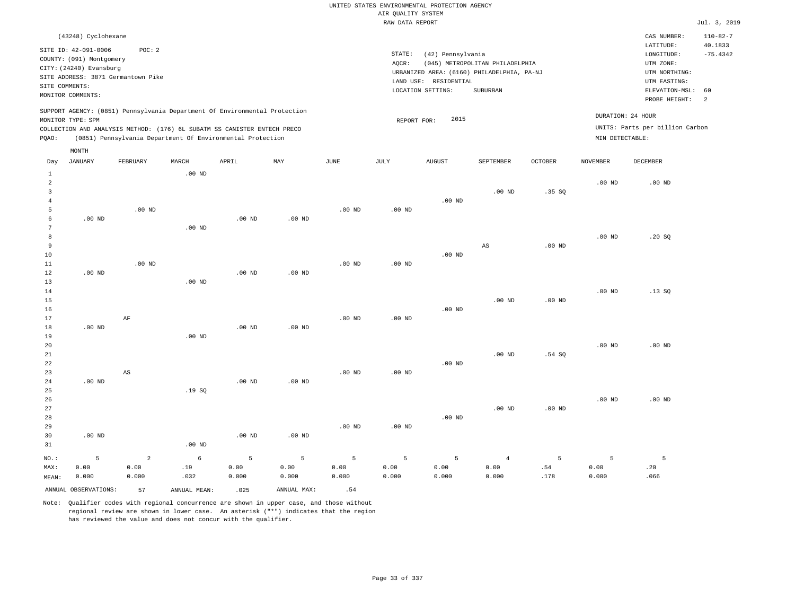|                 |                          |                                                                            |          |                   |                   |                   | AIR QUALITY SYSTEM | UNITED STATES ENVIRONMENTAL PROTECTION AGENCY |                                            |          |                   |                                 |                |
|-----------------|--------------------------|----------------------------------------------------------------------------|----------|-------------------|-------------------|-------------------|--------------------|-----------------------------------------------|--------------------------------------------|----------|-------------------|---------------------------------|----------------|
|                 |                          |                                                                            |          |                   |                   |                   | RAW DATA REPORT    |                                               |                                            |          |                   |                                 | Jul. 3, 2019   |
|                 |                          |                                                                            |          |                   |                   |                   |                    |                                               |                                            |          |                   |                                 |                |
|                 | (43248) Cyclohexane      |                                                                            |          |                   |                   |                   |                    |                                               |                                            |          |                   | CAS NUMBER:                     | $110 - 82 - 7$ |
|                 | SITE ID: 42-091-0006     | POC: 2                                                                     |          |                   |                   |                   |                    |                                               |                                            |          |                   | LATITUDE:                       | 40.1833        |
|                 | COUNTY: (091) Montgomery |                                                                            |          |                   |                   |                   | STATE:             | (42) Pennsylvania                             |                                            |          |                   | LONGITUDE:                      | $-75.4342$     |
|                 | CITY: (24240) Evansburg  |                                                                            |          |                   |                   |                   | AOCR:              |                                               | (045) METROPOLITAN PHILADELPHIA            |          |                   | UTM ZONE:                       |                |
|                 |                          | SITE ADDRESS: 3871 Germantown Pike                                         |          |                   |                   |                   |                    |                                               | URBANIZED AREA: (6160) PHILADELPHIA, PA-NJ |          |                   | UTM NORTHING:                   |                |
| SITE COMMENTS:  |                          |                                                                            |          |                   |                   |                   | LAND USE:          | RESIDENTIAL                                   |                                            |          |                   | UTM EASTING:                    |                |
|                 | MONITOR COMMENTS:        |                                                                            |          |                   |                   |                   |                    | LOCATION SETTING:                             | SUBURBAN                                   |          |                   | ELEVATION-MSL:<br>PROBE HEIGHT: | 60<br>2        |
|                 |                          | SUPPORT AGENCY: (0851) Pennsylvania Department Of Environmental Protection |          |                   |                   |                   |                    |                                               |                                            |          |                   |                                 |                |
|                 | MONITOR TYPE: SPM        |                                                                            |          |                   |                   |                   | REPORT FOR:        | 2015                                          |                                            |          |                   | DURATION: 24 HOUR               |                |
|                 |                          | COLLECTION AND ANALYSIS METHOD: (176) 6L SUBATM SS CANISTER ENTECH PRECO   |          |                   |                   |                   |                    |                                               |                                            |          |                   | UNITS: Parts per billion Carbon |                |
| PQAO:           |                          | (0851) Pennsylvania Department Of Environmental Protection                 |          |                   |                   |                   |                    |                                               |                                            |          | MIN DETECTABLE:   |                                 |                |
|                 | MONTH                    |                                                                            |          |                   |                   |                   |                    |                                               |                                            |          |                   |                                 |                |
| Day             | <b>JANUARY</b>           | FEBRUARY                                                                   | MARCH    | APRIL             | MAY               | <b>JUNE</b>       | <b>JULY</b>        | <b>AUGUST</b>                                 | SEPTEMBER                                  | OCTOBER  | <b>NOVEMBER</b>   | <b>DECEMBER</b>                 |                |
| $\mathbf{1}$    |                          |                                                                            | $.00$ ND |                   |                   |                   |                    |                                               |                                            |          |                   |                                 |                |
| 2               |                          |                                                                            |          |                   |                   |                   |                    |                                               |                                            |          | $.00$ ND          | $.00$ ND                        |                |
| $\overline{3}$  |                          |                                                                            |          |                   |                   |                   |                    |                                               | $.00$ ND                                   | .35S     |                   |                                 |                |
| $\overline{4}$  |                          |                                                                            |          |                   |                   |                   |                    | $.00$ ND                                      |                                            |          |                   |                                 |                |
| 5               |                          | $.00$ ND                                                                   |          |                   |                   | .00 <sub>ND</sub> | .00 <sub>ND</sub>  |                                               |                                            |          |                   |                                 |                |
| $\epsilon$      | $.00$ ND                 |                                                                            |          | .00 <sub>ND</sub> | .00 <sub>ND</sub> |                   |                    |                                               |                                            |          |                   |                                 |                |
| $7\phantom{.0}$ |                          |                                                                            | $.00$ ND |                   |                   |                   |                    |                                               |                                            |          |                   |                                 |                |
| $\,$ 8 $\,$     |                          |                                                                            |          |                   |                   |                   |                    |                                               |                                            |          | .00 <sub>ND</sub> | .20S                            |                |
| 9               |                          |                                                                            |          |                   |                   |                   |                    |                                               | AS                                         | $.00$ ND |                   |                                 |                |
| 10              |                          |                                                                            |          |                   |                   |                   |                    | $.00$ ND                                      |                                            |          |                   |                                 |                |
| 11              |                          | .00 <sub>ND</sub>                                                          |          |                   |                   | $.00$ ND          | .00 <sub>ND</sub>  |                                               |                                            |          |                   |                                 |                |
| 12              | .00 <sub>ND</sub>        |                                                                            |          | $.00$ ND          | .00 <sub>ND</sub> |                   |                    |                                               |                                            |          |                   |                                 |                |
| 13              |                          |                                                                            | $.00$ ND |                   |                   |                   |                    |                                               |                                            |          |                   |                                 |                |
| 14              |                          |                                                                            |          |                   |                   |                   |                    |                                               |                                            |          | .00 <sub>ND</sub> | .13S                            |                |
| 15              |                          |                                                                            |          |                   |                   |                   |                    |                                               | $.00$ ND                                   | $.00$ ND |                   |                                 |                |
| 16              |                          |                                                                            |          |                   |                   |                   |                    | $.00$ ND                                      |                                            |          |                   |                                 |                |
| 17<br>$1\,8$    | $.00$ ND                 | $\rm{AF}$                                                                  |          | $.00$ ND          | $.00$ ND          | $.00$ ND          | $.00$ ND           |                                               |                                            |          |                   |                                 |                |
| 19              |                          |                                                                            | $.00$ ND |                   |                   |                   |                    |                                               |                                            |          |                   |                                 |                |
| 20              |                          |                                                                            |          |                   |                   |                   |                    |                                               |                                            |          | .00 <sub>ND</sub> | .00 <sub>ND</sub>               |                |
| $21\,$          |                          |                                                                            |          |                   |                   |                   |                    |                                               | $.00$ ND                                   | .54S     |                   |                                 |                |
| 22              |                          |                                                                            |          |                   |                   |                   |                    | $.00$ ND                                      |                                            |          |                   |                                 |                |
| 23              |                          | $_{\rm AS}$                                                                |          |                   |                   | $.00$ ND          | .00 <sub>ND</sub>  |                                               |                                            |          |                   |                                 |                |
| 24              | $.00$ ND                 |                                                                            |          | $.00$ ND          | $.00$ ND          |                   |                    |                                               |                                            |          |                   |                                 |                |
| 25              |                          |                                                                            | .19S     |                   |                   |                   |                    |                                               |                                            |          |                   |                                 |                |
| 26              |                          |                                                                            |          |                   |                   |                   |                    |                                               |                                            |          | $.00$ ND          | $.00$ ND                        |                |
| 27              |                          |                                                                            |          |                   |                   |                   |                    |                                               | .00 <sub>ND</sub>                          | $.00$ ND |                   |                                 |                |
| 28              |                          |                                                                            |          |                   |                   |                   |                    | $.00$ ND                                      |                                            |          |                   |                                 |                |
| 29              |                          |                                                                            |          |                   |                   | .00 <sub>ND</sub> | .00 <sub>ND</sub>  |                                               |                                            |          |                   |                                 |                |
| 30              | $.00$ ND                 |                                                                            |          | $.00$ ND          | $.00$ ND          |                   |                    |                                               |                                            |          |                   |                                 |                |
| 31              |                          |                                                                            | $.00$ ND |                   |                   |                   |                    |                                               |                                            |          |                   |                                 |                |
| NO.:            | 5                        | 2                                                                          | 6        | 5                 | 5                 | 5                 | 5                  | 5                                             | $\overline{4}$                             | 5        | 5                 | 5                               |                |
| MAX:            | 0.00                     | 0.00                                                                       | .19      | 0.00              | 0.00              | 0.00              | 0.00               | 0.00                                          | 0.00                                       | .54      | 0.00              | .20                             |                |
| MEAN:           | 0.000                    | 0.000                                                                      | .032     | 0.000             | 0.000             | 0.000             | 0.000              | 0.000                                         | 0.000                                      | .178     | 0.000             | .066                            |                |
|                 |                          |                                                                            |          |                   |                   |                   |                    |                                               |                                            |          |                   |                                 |                |

Note: Qualifier codes with regional concurrence are shown in upper case, and those without regional review are shown in lower case. An asterisk ("\*") indicates that the region

ANNUAL OBSERVATIONS: 57 ANNUAL MEAN: .025 ANNUAL MAX: .54

has reviewed the value and does not concur with the qualifier.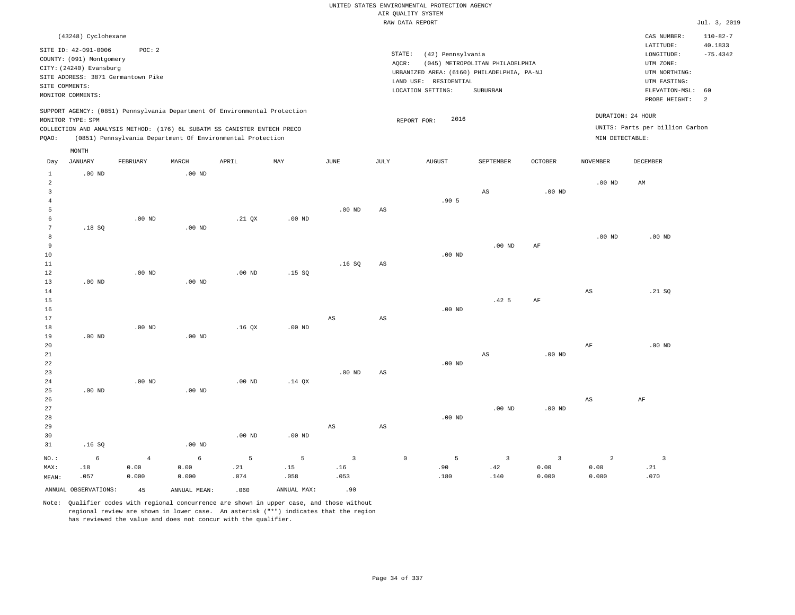|                            |                                                     |                |               |                                                                            |             |                         |                        | UNITED STATES ENVIRONMENTAL PROTECTION AGENCY |                                 |                |                   |                                 |                           |
|----------------------------|-----------------------------------------------------|----------------|---------------|----------------------------------------------------------------------------|-------------|-------------------------|------------------------|-----------------------------------------------|---------------------------------|----------------|-------------------|---------------------------------|---------------------------|
|                            |                                                     |                |               |                                                                            |             |                         |                        | AIR QUALITY SYSTEM                            |                                 |                |                   |                                 |                           |
|                            |                                                     |                |               |                                                                            |             |                         |                        | RAW DATA REPORT                               |                                 |                |                   |                                 | Jul. 3, 2019              |
|                            | (43248) Cyclohexane                                 |                |               |                                                                            |             |                         |                        |                                               |                                 |                |                   | CAS NUMBER:<br>LATITUDE:        | $110 - 82 - 7$<br>40.1833 |
|                            | SITE ID: 42-091-0006                                | POC: 2         |               |                                                                            |             |                         |                        | STATE:<br>(42) Pennsylvania                   |                                 |                |                   | LONGITUDE:                      | $-75.4342$                |
|                            | COUNTY: (091) Montgomery<br>CITY: (24240) Evansburg |                |               |                                                                            |             |                         | AQCR:                  |                                               | (045) METROPOLITAN PHILADELPHIA |                |                   | UTM ZONE:                       |                           |
|                            | SITE ADDRESS: 3871 Germantown Pike                  |                |               |                                                                            |             |                         |                        | URBANIZED AREA: (6160) PHILADELPHIA, PA-NJ    |                                 |                |                   | UTM NORTHING:                   |                           |
|                            | SITE COMMENTS:                                      |                |               |                                                                            |             |                         |                        | LAND USE: RESIDENTIAL                         |                                 |                |                   | UTM EASTING:                    |                           |
|                            | MONITOR COMMENTS:                                   |                |               |                                                                            |             |                         |                        | LOCATION SETTING:                             | <b>SUBURBAN</b>                 |                |                   | ELEVATION-MSL:<br>PROBE HEIGHT: | 60<br>2                   |
|                            | MONITOR TYPE: SPM                                   |                |               | SUPPORT AGENCY: (0851) Pennsylvania Department Of Environmental Protection |             |                         |                        | 2016<br>REPORT FOR:                           |                                 |                | DURATION: 24 HOUR |                                 |                           |
|                            |                                                     |                |               | COLLECTION AND ANALYSIS METHOD: (176) 6L SUBATM SS CANISTER ENTECH PRECO   |             |                         |                        |                                               |                                 |                |                   | UNITS: Parts per billion Carbon |                           |
| PQAO:                      |                                                     |                |               | (0851) Pennsylvania Department Of Environmental Protection                 |             |                         |                        |                                               |                                 |                | MIN DETECTABLE:   |                                 |                           |
|                            | MONTH                                               |                |               |                                                                            |             |                         |                        |                                               |                                 |                |                   |                                 |                           |
| Day                        | <b>JANUARY</b>                                      | FEBRUARY       | MARCH         | APRIL                                                                      | MAY         | JUNE                    | <b>JULY</b>            | <b>AUGUST</b>                                 | SEPTEMBER                       | <b>OCTOBER</b> | <b>NOVEMBER</b>   | <b>DECEMBER</b>                 |                           |
| $\mathbf{1}$<br>$\sqrt{2}$ | $.00$ ND                                            |                | $.00$ ND      |                                                                            |             |                         |                        |                                               |                                 |                | $.00$ ND          | $\mathbb{A}\mathbb{M}$          |                           |
| 3                          |                                                     |                |               |                                                                            |             |                         |                        |                                               | AS                              | $.00$ ND       |                   |                                 |                           |
| $\overline{4}$             |                                                     |                |               |                                                                            |             |                         |                        | .905                                          |                                 |                |                   |                                 |                           |
| 5                          |                                                     |                |               |                                                                            |             | $.00$ ND                | AS                     |                                               |                                 |                |                   |                                 |                           |
| 6                          |                                                     | $.00$ ND       |               | .21 QX                                                                     | $.00$ ND    |                         |                        |                                               |                                 |                |                   |                                 |                           |
| $\overline{7}$             | .18S                                                |                | $.00$ ND      |                                                                            |             |                         |                        |                                               |                                 |                |                   |                                 |                           |
| 8                          |                                                     |                |               |                                                                            |             |                         |                        |                                               |                                 |                | $.00$ ND          | $.00$ ND                        |                           |
| $\overline{9}$             |                                                     |                |               |                                                                            |             |                         |                        |                                               | $.00$ ND                        | AF             |                   |                                 |                           |
| $10$                       |                                                     |                |               |                                                                            |             |                         |                        | $.00$ ND                                      |                                 |                |                   |                                 |                           |
| 11<br>12                   |                                                     | $.00$ ND       |               | $.00$ ND                                                                   | .15S        | .16SQ                   | $\mathbb{A}\mathbb{S}$ |                                               |                                 |                |                   |                                 |                           |
| 13                         | $.00$ ND                                            |                | $.00$ ND      |                                                                            |             |                         |                        |                                               |                                 |                |                   |                                 |                           |
| 14                         |                                                     |                |               |                                                                            |             |                         |                        |                                               |                                 |                | $_{\rm AS}$       | .21 SQ                          |                           |
| 15                         |                                                     |                |               |                                                                            |             |                         |                        |                                               | .42 <sub>5</sub>                | $\rm{AF}$      |                   |                                 |                           |
| 16                         |                                                     |                |               |                                                                            |             |                         |                        | $.00$ ND                                      |                                 |                |                   |                                 |                           |
| 17                         |                                                     |                |               |                                                                            |             | AS                      | AS                     |                                               |                                 |                |                   |                                 |                           |
| 18                         |                                                     | $.00$ ND       |               | .16 <sub>OX</sub>                                                          | $.00$ ND    |                         |                        |                                               |                                 |                |                   |                                 |                           |
| 19                         | $.00$ ND                                            |                | $.00$ ND      |                                                                            |             |                         |                        |                                               |                                 |                |                   |                                 |                           |
| 20<br>21                   |                                                     |                |               |                                                                            |             |                         |                        |                                               | AS                              | $.00$ ND       | AF                | .00 <sub>ND</sub>               |                           |
| 22                         |                                                     |                |               |                                                                            |             |                         |                        | $.00$ ND                                      |                                 |                |                   |                                 |                           |
| 23                         |                                                     |                |               |                                                                            |             | $.00$ ND                | $\mathbb{A}\mathbb{S}$ |                                               |                                 |                |                   |                                 |                           |
| 24                         |                                                     | $.00$ ND       |               | .00 <sub>ND</sub>                                                          | $.14$ QX    |                         |                        |                                               |                                 |                |                   |                                 |                           |
| 25                         | $.00$ ND                                            |                | $.00$ ND      |                                                                            |             |                         |                        |                                               |                                 |                |                   |                                 |                           |
| 26                         |                                                     |                |               |                                                                            |             |                         |                        |                                               |                                 |                | $_{\rm AS}$       | $\rm{AF}$                       |                           |
| 27                         |                                                     |                |               |                                                                            |             |                         |                        |                                               | $.00$ ND                        | $.00$ ND       |                   |                                 |                           |
| 28                         |                                                     |                |               |                                                                            |             |                         |                        | $.00$ ND                                      |                                 |                |                   |                                 |                           |
| 29                         |                                                     |                |               |                                                                            |             | $\mathbb{A}\mathbb{S}$  | $\mathbb{A}\mathbb{S}$ |                                               |                                 |                |                   |                                 |                           |
| 30                         |                                                     |                |               | $.00$ ND                                                                   | $.00$ ND    |                         |                        |                                               |                                 |                |                   |                                 |                           |
| 31                         | .16S                                                |                | $.00$ ND      |                                                                            |             |                         |                        |                                               |                                 |                |                   |                                 |                           |
| NO.:                       | $\epsilon$                                          | $\overline{4}$ | 6             | $\overline{5}$                                                             | 5           | $\overline{\mathbf{3}}$ |                        | $\mathsf{O}\xspace$<br>5                      | $\overline{\mathbf{3}}$         | $\overline{3}$ | $\sqrt{2}$        | $\overline{\mathbf{3}}$         |                           |
| MAX:                       | .18                                                 | 0.00           | 0.00          | .21                                                                        | .15         | .16                     |                        | .90                                           | .42                             | 0.00           | 0.00              | .21                             |                           |
| MEAN:                      | .057                                                | 0.000          | 0.000         | .074                                                                       | .058        | .053                    |                        | .180                                          | .140                            | 0.000          | 0.000             | .070                            |                           |
|                            | ANNUAL OBSERVATIONS:                                | 45             | ANNUAL, MEAN: | .060                                                                       | ANNUAL MAX: | .90                     |                        |                                               |                                 |                |                   |                                 |                           |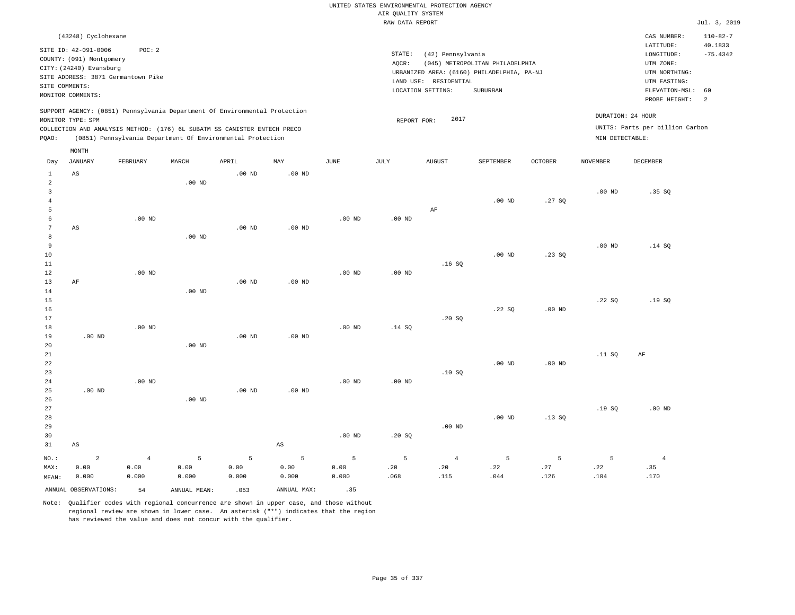|                         |                          |                                    |                   |                                                                            |                   |                   |                    | UNITED STATES ENVIRONMENTAL PROTECTION AGENCY |                                            |                |                   |                                 |                |
|-------------------------|--------------------------|------------------------------------|-------------------|----------------------------------------------------------------------------|-------------------|-------------------|--------------------|-----------------------------------------------|--------------------------------------------|----------------|-------------------|---------------------------------|----------------|
|                         |                          |                                    |                   |                                                                            |                   |                   | AIR QUALITY SYSTEM |                                               |                                            |                |                   |                                 |                |
|                         |                          |                                    |                   |                                                                            |                   |                   | RAW DATA REPORT    |                                               |                                            |                |                   |                                 | Jul. 3, 2019   |
|                         | (43248) Cyclohexane      |                                    |                   |                                                                            |                   |                   |                    |                                               |                                            |                |                   | CAS NUMBER:                     | $110 - 82 - 7$ |
|                         | SITE ID: 42-091-0006     | POC: 2                             |                   |                                                                            |                   |                   |                    |                                               |                                            |                |                   | LATITUDE:                       | 40.1833        |
|                         | COUNTY: (091) Montgomery |                                    |                   |                                                                            |                   |                   | STATE:             | (42) Pennsylvania                             |                                            |                |                   | LONGITUDE:                      | $-75.4342$     |
|                         | CITY: (24240) Evansburg  |                                    |                   |                                                                            |                   |                   | AQCR:              |                                               | (045) METROPOLITAN PHILADELPHIA            |                |                   | UTM ZONE:                       |                |
|                         |                          | SITE ADDRESS: 3871 Germantown Pike |                   |                                                                            |                   |                   |                    |                                               | URBANIZED AREA: (6160) PHILADELPHIA, PA-NJ |                |                   | UTM NORTHING:                   |                |
| SITE COMMENTS:          |                          |                                    |                   |                                                                            |                   |                   |                    | LAND USE: RESIDENTIAL<br>LOCATION SETTING:    | SUBURBAN                                   |                |                   | UTM EASTING:<br>ELEVATION-MSL:  | 60             |
|                         | MONITOR COMMENTS:        |                                    |                   |                                                                            |                   |                   |                    |                                               |                                            |                |                   | PROBE HEIGHT:                   | 2              |
|                         |                          |                                    |                   | SUPPORT AGENCY: (0851) Pennsylvania Department Of Environmental Protection |                   |                   |                    | 2017                                          |                                            |                |                   | DURATION: 24 HOUR               |                |
|                         | MONITOR TYPE: SPM        |                                    |                   | COLLECTION AND ANALYSIS METHOD: (176) 6L SUBATM SS CANISTER ENTECH PRECO   |                   |                   | REPORT FOR:        |                                               |                                            |                |                   | UNITS: Parts per billion Carbon |                |
| PQAO:                   |                          |                                    |                   | (0851) Pennsylvania Department Of Environmental Protection                 |                   |                   |                    |                                               |                                            |                | MIN DETECTABLE:   |                                 |                |
|                         | MONTH                    |                                    |                   |                                                                            |                   |                   |                    |                                               |                                            |                |                   |                                 |                |
| Day                     | <b>JANUARY</b>           | FEBRUARY                           | MARCH             | APRIL                                                                      | MAY               | <b>JUNE</b>       | <b>JULY</b>        | <b>AUGUST</b>                                 | SEPTEMBER                                  | <b>OCTOBER</b> | <b>NOVEMBER</b>   | DECEMBER                        |                |
| $\mathbf{1}$            | AS                       |                                    |                   | .00 <sub>ND</sub>                                                          | $.00$ ND          |                   |                    |                                               |                                            |                |                   |                                 |                |
| $\overline{a}$          |                          |                                    | .00 <sub>ND</sub> |                                                                            |                   |                   |                    |                                               |                                            |                |                   |                                 |                |
| $\overline{\mathbf{3}}$ |                          |                                    |                   |                                                                            |                   |                   |                    |                                               |                                            |                | .00 <sub>ND</sub> | .35 SQ                          |                |
| $\overline{4}$<br>5     |                          |                                    |                   |                                                                            |                   |                   |                    | AF                                            | $.00$ ND                                   | .27SQ          |                   |                                 |                |
| 6                       |                          | $.00$ ND                           |                   |                                                                            |                   | $.00$ ND          | $.00$ ND           |                                               |                                            |                |                   |                                 |                |
| $7\phantom{.0}$         | AS                       |                                    |                   | .00 <sub>ND</sub>                                                          | .00 <sub>ND</sub> |                   |                    |                                               |                                            |                |                   |                                 |                |
| 8                       |                          |                                    | $.00$ ND          |                                                                            |                   |                   |                    |                                               |                                            |                |                   |                                 |                |
| $\overline{9}$          |                          |                                    |                   |                                                                            |                   |                   |                    |                                               |                                            |                | .00 <sub>ND</sub> | .14 SQ                          |                |
| $10$                    |                          |                                    |                   |                                                                            |                   |                   |                    |                                               | $.00$ ND                                   | .23SQ          |                   |                                 |                |
| 11                      |                          |                                    |                   |                                                                            |                   |                   |                    | .16S                                          |                                            |                |                   |                                 |                |
| 12                      |                          | $.00$ ND                           |                   |                                                                            |                   | $.00$ ND          | $.00$ ND           |                                               |                                            |                |                   |                                 |                |
| 13                      | AF                       |                                    |                   | $.00$ ND                                                                   | $.00$ ND          |                   |                    |                                               |                                            |                |                   |                                 |                |
| 14<br>15                |                          |                                    | $.00$ ND          |                                                                            |                   |                   |                    |                                               |                                            |                | .22S              | .19S                            |                |
| 16                      |                          |                                    |                   |                                                                            |                   |                   |                    |                                               | .22SQ                                      | $.00$ ND       |                   |                                 |                |
| 17                      |                          |                                    |                   |                                                                            |                   |                   |                    | .20S                                          |                                            |                |                   |                                 |                |
| 18                      |                          | $.00$ ND                           |                   |                                                                            |                   | $.00$ ND          | .14 SQ             |                                               |                                            |                |                   |                                 |                |
| 19                      | .00 <sub>ND</sub>        |                                    |                   | $.00$ ND                                                                   | $.00$ ND          |                   |                    |                                               |                                            |                |                   |                                 |                |
| 20                      |                          |                                    | $.00$ ND          |                                                                            |                   |                   |                    |                                               |                                            |                |                   |                                 |                |
| 21                      |                          |                                    |                   |                                                                            |                   |                   |                    |                                               |                                            |                | .11 S0            | AF                              |                |
| 22                      |                          |                                    |                   |                                                                            |                   |                   |                    |                                               | .00 <sub>ND</sub>                          | $.00$ ND       |                   |                                 |                |
| 23<br>24                |                          | $.00$ ND                           |                   |                                                                            |                   | $.00$ ND          | $.00$ ND           | .10SQ                                         |                                            |                |                   |                                 |                |
| 25                      | $.00$ ND                 |                                    |                   | $.00$ ND                                                                   | .00 <sub>ND</sub> |                   |                    |                                               |                                            |                |                   |                                 |                |
| 26                      |                          |                                    | $.00$ ND          |                                                                            |                   |                   |                    |                                               |                                            |                |                   |                                 |                |
| 27                      |                          |                                    |                   |                                                                            |                   |                   |                    |                                               |                                            |                | .19SQ             | $.00$ ND                        |                |
| 28                      |                          |                                    |                   |                                                                            |                   |                   |                    |                                               | $.00$ ND                                   | .13S           |                   |                                 |                |
| 29                      |                          |                                    |                   |                                                                            |                   |                   |                    | $.00$ ND                                      |                                            |                |                   |                                 |                |
| 30                      |                          |                                    |                   |                                                                            |                   | .00 <sub>ND</sub> | .20S               |                                               |                                            |                |                   |                                 |                |
| 31                      | $_{\rm AS}$              |                                    |                   |                                                                            | $_{\rm AS}$       |                   |                    |                                               |                                            |                |                   |                                 |                |
| $NO.$ :                 | $\overline{2}$           | $\overline{4}$                     | 5                 | 5                                                                          | 5                 | 5                 | 5                  | $\overline{4}$                                | 5                                          | 5              | 5                 | $\overline{4}$                  |                |
| MAX:                    | 0.00                     | 0.00                               | 0.00              | 0.00                                                                       | 0.00              | 0.00              | .20                | .20                                           | .22                                        | .27            | .22               | .35                             |                |
| MEAN:                   | 0.000                    | 0.000                              | 0.000             | 0.000                                                                      | 0.000             | 0.000             | .068               | .115                                          | .044                                       | .126           | .104              | .170                            |                |
|                         | ANNUAL OBSERVATIONS:     | 54                                 | ANNUAL MEAN:      | .053                                                                       | ANNUAL MAX:       | .35               |                    |                                               |                                            |                |                   |                                 |                |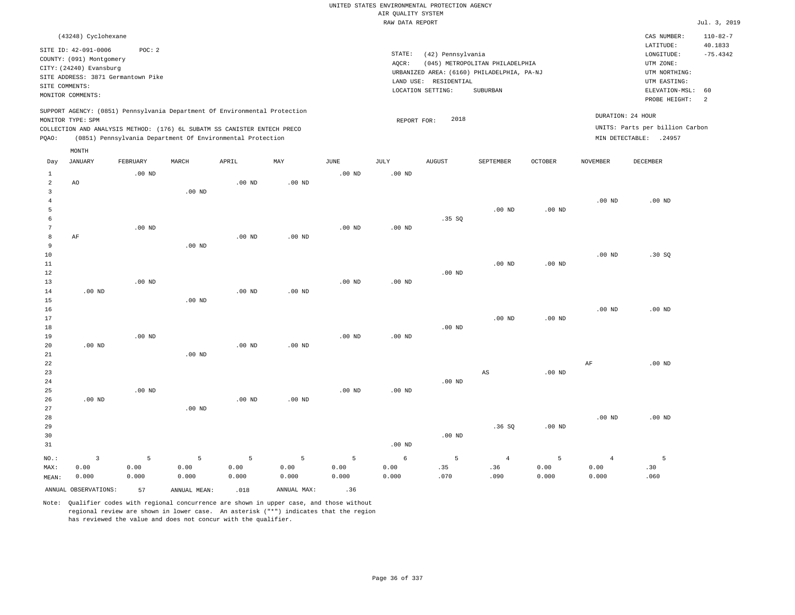|                                |                                                                                                 |                      |                   |                                                            |                   |                           |                                       | UNITED STATES ENVIRONMENTAL PROTECTION AGENCY |                                            |                   |                   |                                 |                           |
|--------------------------------|-------------------------------------------------------------------------------------------------|----------------------|-------------------|------------------------------------------------------------|-------------------|---------------------------|---------------------------------------|-----------------------------------------------|--------------------------------------------|-------------------|-------------------|---------------------------------|---------------------------|
|                                |                                                                                                 |                      |                   |                                                            |                   |                           | AIR QUALITY SYSTEM<br>RAW DATA REPORT |                                               |                                            |                   |                   |                                 | Jul. 3, 2019              |
|                                |                                                                                                 |                      |                   |                                                            |                   |                           |                                       |                                               |                                            |                   |                   |                                 |                           |
|                                | (43248) Cyclohexane                                                                             |                      |                   |                                                            |                   |                           |                                       |                                               |                                            |                   |                   | CAS NUMBER:<br>LATITUDE:        | $110 - 82 - 7$<br>40.1833 |
|                                | SITE ID: 42-091-0006<br>COUNTY: (091) Montgomery                                                | POC: 2               |                   |                                                            |                   |                           | STATE:                                | (42) Pennsylvania                             |                                            |                   |                   | LONGITUDE:                      | $-75.4342$                |
|                                | CITY: (24240) Evansburg                                                                         |                      |                   |                                                            |                   |                           | AQCR:                                 |                                               | (045) METROPOLITAN PHILADELPHIA            |                   |                   | UTM ZONE:                       |                           |
|                                | SITE ADDRESS: 3871 Germantown Pike                                                              |                      |                   |                                                            |                   |                           |                                       |                                               | URBANIZED AREA: (6160) PHILADELPHIA, PA-NJ |                   |                   | UTM NORTHING:                   |                           |
| SITE COMMENTS:                 |                                                                                                 |                      |                   |                                                            |                   |                           |                                       | LAND USE: RESIDENTIAL                         |                                            |                   |                   | UTM EASTING:                    |                           |
|                                | MONITOR COMMENTS:                                                                               |                      |                   |                                                            |                   |                           |                                       | LOCATION SETTING:                             | <b>SUBURBAN</b>                            |                   |                   | ELEVATION-MSL:<br>PROBE HEIGHT: | 60<br>2                   |
|                                | SUPPORT AGENCY: (0851) Pennsylvania Department Of Environmental Protection<br>MONITOR TYPE: SPM |                      |                   |                                                            |                   |                           | REPORT FOR:                           | 2018                                          |                                            |                   | DURATION: 24 HOUR |                                 |                           |
|                                | COLLECTION AND ANALYSIS METHOD: (176) 6L SUBATM SS CANISTER ENTECH PRECO                        |                      |                   |                                                            |                   |                           |                                       |                                               |                                            |                   |                   | UNITS: Parts per billion Carbon |                           |
| PQAO:                          |                                                                                                 |                      |                   | (0851) Pennsylvania Department Of Environmental Protection |                   |                           |                                       |                                               |                                            |                   |                   | MIN DETECTABLE: .24957          |                           |
|                                | MONTH                                                                                           |                      |                   |                                                            |                   |                           |                                       |                                               |                                            |                   |                   |                                 |                           |
| Day                            | JANUARY                                                                                         | FEBRUARY<br>$.00$ ND | MARCH             | APRIL                                                      | MAY               | JUNE<br>.00 <sub>ND</sub> | JULY<br>.00 <sub>ND</sub>             | <b>AUGUST</b>                                 | SEPTEMBER                                  | OCTOBER           | NOVEMBER          | DECEMBER                        |                           |
| $\mathbf{1}$<br>$\overline{a}$ | AO                                                                                              |                      |                   | .00 <sub>ND</sub>                                          | .00 <sub>ND</sub> |                           |                                       |                                               |                                            |                   |                   |                                 |                           |
| 3                              |                                                                                                 |                      | .00 <sub>ND</sub> |                                                            |                   |                           |                                       |                                               |                                            |                   |                   |                                 |                           |
| $\overline{4}$                 |                                                                                                 |                      |                   |                                                            |                   |                           |                                       |                                               |                                            |                   | .00 <sub>ND</sub> | .00 <sub>ND</sub>               |                           |
| 5                              |                                                                                                 |                      |                   |                                                            |                   |                           |                                       |                                               | $.00$ ND                                   | $.00$ ND          |                   |                                 |                           |
| 6                              |                                                                                                 |                      |                   |                                                            |                   |                           |                                       | .35S                                          |                                            |                   |                   |                                 |                           |
| 7                              |                                                                                                 | $.00$ ND             |                   |                                                            |                   | $.00$ ND                  | $.00$ ND                              |                                               |                                            |                   |                   |                                 |                           |
| 8                              | AF                                                                                              |                      |                   | .00 <sub>ND</sub>                                          | .00 <sub>ND</sub> |                           |                                       |                                               |                                            |                   |                   |                                 |                           |
| 9                              |                                                                                                 |                      | $.00$ ND          |                                                            |                   |                           |                                       |                                               |                                            |                   |                   |                                 |                           |
| 10<br>11                       |                                                                                                 |                      |                   |                                                            |                   |                           |                                       |                                               | .00 <sub>ND</sub>                          | $.00$ ND          | .00 <sub>ND</sub> | .30S                            |                           |
| 12                             |                                                                                                 |                      |                   |                                                            |                   |                           |                                       | $.00$ ND                                      |                                            |                   |                   |                                 |                           |
| 13                             |                                                                                                 | .00 <sub>ND</sub>    |                   |                                                            |                   | .00 <sub>ND</sub>         | .00 <sub>ND</sub>                     |                                               |                                            |                   |                   |                                 |                           |
| 14                             | $.00$ ND                                                                                        |                      |                   | .00 <sub>ND</sub>                                          | .00 <sub>ND</sub> |                           |                                       |                                               |                                            |                   |                   |                                 |                           |
| 15                             |                                                                                                 |                      | $.00$ ND          |                                                            |                   |                           |                                       |                                               |                                            |                   |                   |                                 |                           |
| 16                             |                                                                                                 |                      |                   |                                                            |                   |                           |                                       |                                               |                                            |                   | .00 <sub>ND</sub> | $.00$ ND                        |                           |
| 17                             |                                                                                                 |                      |                   |                                                            |                   |                           |                                       |                                               | $.00$ ND                                   | $.00$ ND          |                   |                                 |                           |
| 18                             |                                                                                                 |                      |                   |                                                            |                   |                           |                                       | .00 <sub>ND</sub>                             |                                            |                   |                   |                                 |                           |
| 19<br>20                       | .00 <sub>ND</sub>                                                                               | $.00$ ND             |                   | $.00$ ND                                                   | $.00$ ND          | $.00$ ND                  | $.00$ ND                              |                                               |                                            |                   |                   |                                 |                           |
| 21                             |                                                                                                 |                      | $.00$ ND          |                                                            |                   |                           |                                       |                                               |                                            |                   |                   |                                 |                           |
| 22                             |                                                                                                 |                      |                   |                                                            |                   |                           |                                       |                                               |                                            |                   | $\rm AF$          | $.00$ ND                        |                           |
| 23                             |                                                                                                 |                      |                   |                                                            |                   |                           |                                       |                                               | AS                                         | $.00$ ND          |                   |                                 |                           |
| 24                             |                                                                                                 |                      |                   |                                                            |                   |                           |                                       | $.00$ ND                                      |                                            |                   |                   |                                 |                           |
| 25                             |                                                                                                 | $.00$ ND             |                   |                                                            |                   | .00 <sub>ND</sub>         | .00 <sub>ND</sub>                     |                                               |                                            |                   |                   |                                 |                           |
| 26                             | $.00$ ND                                                                                        |                      |                   | $.00$ ND                                                   | $.00$ ND          |                           |                                       |                                               |                                            |                   |                   |                                 |                           |
| 27                             |                                                                                                 |                      | .00 <sub>ND</sub> |                                                            |                   |                           |                                       |                                               |                                            |                   |                   |                                 |                           |
| 28<br>29                       |                                                                                                 |                      |                   |                                                            |                   |                           |                                       |                                               | .36SQ                                      |                   | .00 <sub>ND</sub> | $.00$ ND                        |                           |
| 30                             |                                                                                                 |                      |                   |                                                            |                   |                           |                                       | .00 <sub>ND</sub>                             |                                            | .00 <sub>ND</sub> |                   |                                 |                           |
| 31                             |                                                                                                 |                      |                   |                                                            |                   |                           | .00 <sub>ND</sub>                     |                                               |                                            |                   |                   |                                 |                           |
|                                |                                                                                                 |                      |                   |                                                            |                   |                           |                                       |                                               |                                            |                   |                   |                                 |                           |
| NO.:                           | 3                                                                                               | 5                    | 5                 | 5                                                          | 5                 | 5                         | $\epsilon$                            | 5                                             | $\overline{4}$                             | 5                 | $\overline{4}$    | 5                               |                           |
| MAX:<br>MEAN:                  | 0.00<br>0.000                                                                                   | 0.00<br>0.000        | 0.00<br>0.000     | 0.00<br>0.000                                              | 0.00<br>0.000     | 0.00<br>0.000             | 0.00<br>0.000                         | .35<br>.070                                   | .36<br>.090                                | 0.00<br>0.000     | 0.00<br>0.000     | .30<br>.060                     |                           |
|                                |                                                                                                 |                      |                   |                                                            |                   |                           |                                       |                                               |                                            |                   |                   |                                 |                           |
|                                | ANNUAL OBSERVATIONS:                                                                            | 57                   | ANNUAL MEAN:      | .018                                                       | ANNUAL MAX:       | .36                       |                                       |                                               |                                            |                   |                   |                                 |                           |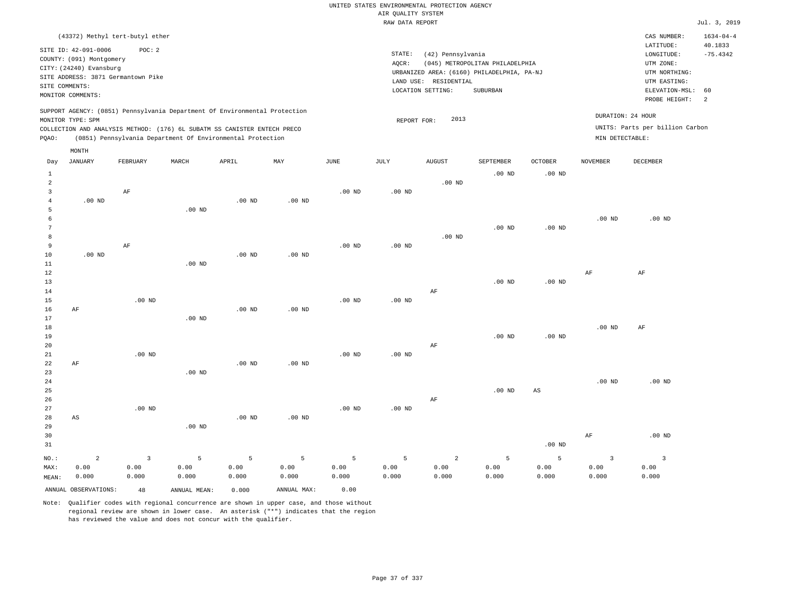|                   |                          |                                    |                                                                            |                   |                   |                   | UNITED STATES ENVIRONMENTAL PROTECTION AGENCY |                       |                                            |                        |                   |                                 |                            |
|-------------------|--------------------------|------------------------------------|----------------------------------------------------------------------------|-------------------|-------------------|-------------------|-----------------------------------------------|-----------------------|--------------------------------------------|------------------------|-------------------|---------------------------------|----------------------------|
|                   |                          |                                    |                                                                            |                   |                   |                   | AIR QUALITY SYSTEM                            |                       |                                            |                        |                   |                                 |                            |
|                   |                          |                                    |                                                                            |                   |                   |                   | RAW DATA REPORT                               |                       |                                            |                        |                   |                                 | Jul. 3, 2019               |
|                   |                          | (43372) Methyl tert-butyl ether    |                                                                            |                   |                   |                   |                                               |                       |                                            |                        |                   | CAS NUMBER:<br>LATITUDE:        | $1634 - 04 - 4$<br>40.1833 |
|                   | SITE ID: 42-091-0006     | POC: 2                             |                                                                            |                   |                   |                   | STATE:                                        | (42) Pennsylvania     |                                            |                        |                   | $\texttt{LONGITUDE}$ :          | $-75.4342$                 |
|                   | COUNTY: (091) Montgomery |                                    |                                                                            |                   |                   |                   | AOCR:                                         |                       | (045) METROPOLITAN PHILADELPHIA            |                        |                   | UTM ZONE:                       |                            |
|                   | CITY: (24240) Evansburg  |                                    |                                                                            |                   |                   |                   |                                               |                       | URBANIZED AREA: (6160) PHILADELPHIA, PA-NJ |                        |                   | UTM NORTHING:                   |                            |
|                   |                          | SITE ADDRESS: 3871 Germantown Pike |                                                                            |                   |                   |                   |                                               | LAND USE: RESIDENTIAL |                                            |                        |                   | UTM EASTING:                    |                            |
|                   | SITE COMMENTS:           |                                    |                                                                            |                   |                   |                   |                                               | LOCATION SETTING:     | SUBURBAN                                   |                        |                   | ELEVATION-MSL:                  | 60                         |
|                   | MONITOR COMMENTS:        |                                    |                                                                            |                   |                   |                   |                                               |                       |                                            |                        |                   | PROBE HEIGHT:                   | 2                          |
|                   |                          |                                    | SUPPORT AGENCY: (0851) Pennsylvania Department Of Environmental Protection |                   |                   |                   |                                               |                       |                                            |                        |                   | DURATION: 24 HOUR               |                            |
|                   | MONITOR TYPE: SPM        |                                    |                                                                            |                   |                   |                   | REPORT FOR:                                   | 2013                  |                                            |                        |                   |                                 |                            |
|                   |                          |                                    | COLLECTION AND ANALYSIS METHOD: (176) 6L SUBATM SS CANISTER ENTECH PRECO   |                   |                   |                   |                                               |                       |                                            |                        |                   | UNITS: Parts per billion Carbon |                            |
| PQAO:             |                          |                                    | (0851) Pennsylvania Department Of Environmental Protection                 |                   |                   |                   |                                               |                       |                                            |                        |                   | MIN DETECTABLE:                 |                            |
|                   | MONTH                    |                                    |                                                                            |                   |                   |                   |                                               |                       |                                            |                        |                   |                                 |                            |
| Day               | <b>JANUARY</b>           | FEBRUARY                           | MARCH                                                                      | APRIL             | MAY               | <b>JUNE</b>       | JULY                                          | <b>AUGUST</b>         | SEPTEMBER                                  | OCTOBER                | <b>NOVEMBER</b>   | <b>DECEMBER</b>                 |                            |
| $\mathbf{1}$<br>2 |                          |                                    |                                                                            |                   |                   |                   |                                               | $.00$ ND              | $.00$ ND                                   | $.00$ ND               |                   |                                 |                            |
| 3                 |                          | $\rm{AF}$                          |                                                                            |                   |                   | $.00$ ND          | $.00$ ND                                      |                       |                                            |                        |                   |                                 |                            |
| $\overline{4}$    | $.00$ ND                 |                                    |                                                                            | $.00$ ND          | $.00$ ND          |                   |                                               |                       |                                            |                        |                   |                                 |                            |
| 5                 |                          |                                    | $.00$ ND                                                                   |                   |                   |                   |                                               |                       |                                            |                        |                   |                                 |                            |
| 6                 |                          |                                    |                                                                            |                   |                   |                   |                                               |                       |                                            |                        | .00 <sub>ND</sub> | $.00$ ND                        |                            |
| 7                 |                          |                                    |                                                                            |                   |                   |                   |                                               |                       | $.00$ ND                                   | $.00$ ND               |                   |                                 |                            |
| 8                 |                          |                                    |                                                                            |                   |                   |                   |                                               | $.00$ ND              |                                            |                        |                   |                                 |                            |
| 9                 |                          | $\rm{AF}$                          |                                                                            |                   |                   | $.00$ ND          | $.00$ ND                                      |                       |                                            |                        |                   |                                 |                            |
| 10                | $.00$ ND                 |                                    |                                                                            | $.00$ ND          | $.00$ ND          |                   |                                               |                       |                                            |                        |                   |                                 |                            |
| 11                |                          |                                    | $.00$ ND                                                                   |                   |                   |                   |                                               |                       |                                            |                        |                   |                                 |                            |
| 12                |                          |                                    |                                                                            |                   |                   |                   |                                               |                       |                                            |                        | AF                | AF                              |                            |
| 13                |                          |                                    |                                                                            |                   |                   |                   |                                               |                       | $.00$ ND                                   | $.00$ ND               |                   |                                 |                            |
| 14                |                          |                                    |                                                                            |                   |                   |                   |                                               | AF                    |                                            |                        |                   |                                 |                            |
| 15                |                          | $.00$ ND                           |                                                                            |                   |                   | .00 <sub>ND</sub> | .00 <sub>ND</sub>                             |                       |                                            |                        |                   |                                 |                            |
| 16                | AF                       |                                    |                                                                            | .00 <sub>ND</sub> | .00 <sub>ND</sub> |                   |                                               |                       |                                            |                        |                   |                                 |                            |
| 17                |                          |                                    | $.00$ ND                                                                   |                   |                   |                   |                                               |                       |                                            |                        |                   |                                 |                            |
| 18                |                          |                                    |                                                                            |                   |                   |                   |                                               |                       |                                            |                        | .00 <sub>ND</sub> | AF                              |                            |
| 19                |                          |                                    |                                                                            |                   |                   |                   |                                               |                       | $.00$ ND                                   | $.00$ ND               |                   |                                 |                            |
| 20                |                          |                                    |                                                                            |                   |                   |                   |                                               | AF                    |                                            |                        |                   |                                 |                            |
| 21                |                          | $.00$ ND                           |                                                                            |                   |                   | $.00$ ND          | .00 <sub>ND</sub>                             |                       |                                            |                        |                   |                                 |                            |
| 22                | AF                       |                                    |                                                                            | .00 <sub>ND</sub> | .00 <sub>ND</sub> |                   |                                               |                       |                                            |                        |                   |                                 |                            |
| 23                |                          |                                    | $.00$ ND                                                                   |                   |                   |                   |                                               |                       |                                            |                        |                   |                                 |                            |
| 24                |                          |                                    |                                                                            |                   |                   |                   |                                               |                       |                                            |                        | .00 <sub>ND</sub> | $.00$ ND                        |                            |
| 25                |                          |                                    |                                                                            |                   |                   |                   |                                               |                       | $.00$ ND                                   | $\mathbb{A}\mathbb{S}$ |                   |                                 |                            |
| 26                |                          |                                    |                                                                            |                   |                   |                   |                                               | AF                    |                                            |                        |                   |                                 |                            |

.00 ND

5 0.00 0.000

ANNUAL OBSERVATIONS: 48 ANNUAL MEAN: 0.000 ANNUAL MAX: 0.00

.00 ND

5 0.00 0.000

.00 ND

5 0.00 0.000

.00 ND

5 0.00 0.000

AS

2 0.00 0.000

.00 ND

3 0.00 0.000

NO.: MAX: MEAN:

.00 ND

5 0.00 0.000

2 0.00 0.000

.00 ND

5 0.00 0.000

5 0.00 0.000

AF

3 0.00 0.000

.00 ND

3 0.00 0.000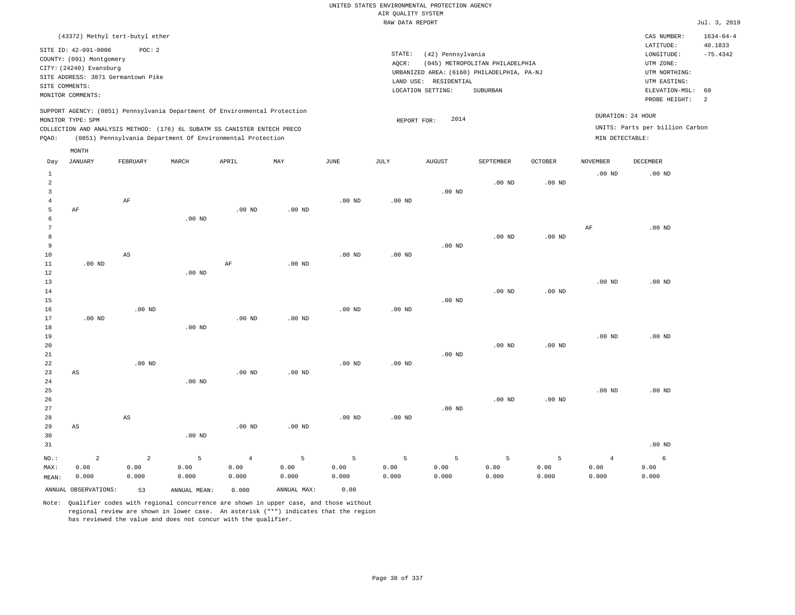|                 |                          |                                    |                   |                                                                                                                                        |                           |                   |                    | UNITED STATES ENVIRONMENTAL PROTECTION AGENCY |                                            |                |                   |                                 |                 |
|-----------------|--------------------------|------------------------------------|-------------------|----------------------------------------------------------------------------------------------------------------------------------------|---------------------------|-------------------|--------------------|-----------------------------------------------|--------------------------------------------|----------------|-------------------|---------------------------------|-----------------|
|                 |                          |                                    |                   |                                                                                                                                        |                           |                   | AIR QUALITY SYSTEM |                                               |                                            |                |                   |                                 |                 |
|                 |                          |                                    |                   |                                                                                                                                        |                           |                   | RAW DATA REPORT    |                                               |                                            |                |                   |                                 | Jul. 3, 2019    |
|                 |                          | (43372) Methyl tert-butyl ether    |                   |                                                                                                                                        |                           |                   |                    |                                               |                                            |                |                   | CAS NUMBER:                     | $1634 - 04 - 4$ |
|                 | SITE ID: 42-091-0006     | POC: 2                             |                   |                                                                                                                                        |                           |                   |                    |                                               |                                            |                |                   | LATITUDE:                       | 40.1833         |
|                 | COUNTY: (091) Montgomery |                                    |                   |                                                                                                                                        |                           |                   | STATE:             | (42) Pennsylvania                             |                                            |                |                   | $\texttt{LONGITUDE}$ :          | $-75.4342$      |
|                 | CITY: (24240) Evansburg  |                                    |                   |                                                                                                                                        |                           |                   | AQCR:              |                                               | (045) METROPOLITAN PHILADELPHIA            |                |                   | UTM ZONE:                       |                 |
|                 |                          | SITE ADDRESS: 3871 Germantown Pike |                   |                                                                                                                                        |                           |                   |                    |                                               | URBANIZED AREA: (6160) PHILADELPHIA, PA-NJ |                |                   | UTM NORTHING:                   |                 |
| SITE COMMENTS:  |                          |                                    |                   |                                                                                                                                        |                           |                   |                    | LAND USE: RESIDENTIAL                         |                                            |                |                   | UTM EASTING:                    |                 |
|                 | MONITOR COMMENTS:        |                                    |                   |                                                                                                                                        |                           |                   |                    | LOCATION SETTING:                             | SUBURBAN                                   |                |                   | ELEVATION-MSL:<br>PROBE HEIGHT: | 60<br>2         |
|                 |                          |                                    |                   | SUPPORT AGENCY: (0851) Pennsylvania Department Of Environmental Protection                                                             |                           |                   |                    |                                               |                                            |                |                   | DURATION: 24 HOUR               |                 |
|                 | MONITOR TYPE: SPM        |                                    |                   |                                                                                                                                        |                           |                   | REPORT FOR:        | 2014                                          |                                            |                |                   |                                 |                 |
| PQAO:           |                          |                                    |                   | COLLECTION AND ANALYSIS METHOD: (176) 6L SUBATM SS CANISTER ENTECH PRECO<br>(0851) Pennsylvania Department Of Environmental Protection |                           |                   |                    |                                               |                                            |                | MIN DETECTABLE:   | UNITS: Parts per billion Carbon |                 |
|                 | MONTH                    |                                    |                   |                                                                                                                                        |                           |                   |                    |                                               |                                            |                |                   |                                 |                 |
| Day             | <b>JANUARY</b>           | FEBRUARY                           | MARCH             | APRIL                                                                                                                                  | $\ensuremath{\text{MAX}}$ | $_{\rm JUNE}$     | JULY               | <b>AUGUST</b>                                 | SEPTEMBER                                  | <b>OCTOBER</b> | <b>NOVEMBER</b>   | DECEMBER                        |                 |
| <sup>1</sup>    |                          |                                    |                   |                                                                                                                                        |                           |                   |                    |                                               |                                            |                | .00 <sub>ND</sub> | $.00$ ND                        |                 |
| $\overline{a}$  |                          |                                    |                   |                                                                                                                                        |                           |                   |                    |                                               | $.00$ ND                                   | $.00$ ND       |                   |                                 |                 |
| $\overline{3}$  |                          |                                    |                   |                                                                                                                                        |                           |                   |                    | $.00$ ND                                      |                                            |                |                   |                                 |                 |
| $\overline{4}$  |                          | $\rm AF$                           |                   |                                                                                                                                        |                           | .00 <sub>ND</sub> | .00 <sub>ND</sub>  |                                               |                                            |                |                   |                                 |                 |
| 5               | AF                       |                                    |                   | $.00$ ND                                                                                                                               | $.00$ ND                  |                   |                    |                                               |                                            |                |                   |                                 |                 |
| 6               |                          |                                    | $.00$ ND          |                                                                                                                                        |                           |                   |                    |                                               |                                            |                |                   |                                 |                 |
| $7\phantom{.0}$ |                          |                                    |                   |                                                                                                                                        |                           |                   |                    |                                               |                                            |                | $\rm AF$          | $.00$ ND                        |                 |
| 8               |                          |                                    |                   |                                                                                                                                        |                           |                   |                    |                                               | .00 <sub>ND</sub>                          | $.00$ ND       |                   |                                 |                 |
| 9               |                          |                                    |                   |                                                                                                                                        |                           |                   |                    | $.00$ ND                                      |                                            |                |                   |                                 |                 |
| $10$            |                          | $\mathbb{A}\mathbb{S}$             |                   |                                                                                                                                        |                           | .00 <sub>ND</sub> | .00 <sub>ND</sub>  |                                               |                                            |                |                   |                                 |                 |
| $1\,1$<br>12    | $.00$ ND                 |                                    | $.00$ ND          | AF                                                                                                                                     | .00 <sub>ND</sub>         |                   |                    |                                               |                                            |                |                   |                                 |                 |
| 13              |                          |                                    |                   |                                                                                                                                        |                           |                   |                    |                                               |                                            |                | .00 <sub>ND</sub> | $.00$ ND                        |                 |
| 14              |                          |                                    |                   |                                                                                                                                        |                           |                   |                    |                                               | $.00$ ND                                   | $.00$ ND       |                   |                                 |                 |
| 15              |                          |                                    |                   |                                                                                                                                        |                           |                   |                    | $.00$ ND                                      |                                            |                |                   |                                 |                 |
| 16              |                          | $.00$ ND                           |                   |                                                                                                                                        |                           | $.00$ ND          | $.00$ ND           |                                               |                                            |                |                   |                                 |                 |
| 17              | $.00$ ND                 |                                    |                   | $.00$ ND                                                                                                                               | $.00$ ND                  |                   |                    |                                               |                                            |                |                   |                                 |                 |
| 18              |                          |                                    | $.00$ ND          |                                                                                                                                        |                           |                   |                    |                                               |                                            |                |                   |                                 |                 |
| 19              |                          |                                    |                   |                                                                                                                                        |                           |                   |                    |                                               |                                            |                | .00 <sub>ND</sub> | .00 <sub>ND</sub>               |                 |
| 20              |                          |                                    |                   |                                                                                                                                        |                           |                   |                    |                                               | $.00$ ND                                   | $.00$ ND       |                   |                                 |                 |
| 21              |                          |                                    |                   |                                                                                                                                        |                           |                   |                    | $.00$ ND                                      |                                            |                |                   |                                 |                 |
| 22              |                          | $.00$ ND                           |                   |                                                                                                                                        |                           | $.00$ ND          | $.00$ ND           |                                               |                                            |                |                   |                                 |                 |
| 23              | AS                       |                                    |                   | $.00$ ND                                                                                                                               | $.00$ ND                  |                   |                    |                                               |                                            |                |                   |                                 |                 |
| 24              |                          |                                    | $.00$ ND          |                                                                                                                                        |                           |                   |                    |                                               |                                            |                |                   |                                 |                 |
| 25              |                          |                                    |                   |                                                                                                                                        |                           |                   |                    |                                               |                                            |                | .00 <sub>ND</sub> | $.00$ ND                        |                 |
| 26              |                          |                                    |                   |                                                                                                                                        |                           |                   |                    |                                               | $.00$ ND                                   | $.00$ ND       |                   |                                 |                 |
| 27              |                          |                                    |                   |                                                                                                                                        |                           |                   |                    | .00 <sub>ND</sub>                             |                                            |                |                   |                                 |                 |
| 28              |                          | $\mathbb{A}\mathbb{S}$             |                   |                                                                                                                                        |                           | .00 <sub>ND</sub> | .00 <sub>ND</sub>  |                                               |                                            |                |                   |                                 |                 |
| 29              | $\mathbb{A}\mathbb{S}$   |                                    |                   | .00 <sub>ND</sub>                                                                                                                      | .00 <sub>ND</sub>         |                   |                    |                                               |                                            |                |                   |                                 |                 |
| 30              |                          |                                    | .00 <sub>ND</sub> |                                                                                                                                        |                           |                   |                    |                                               |                                            |                |                   |                                 |                 |
| 31              |                          |                                    |                   |                                                                                                                                        |                           |                   |                    |                                               |                                            |                |                   | $.00$ ND                        |                 |
| NO.:            | $\overline{a}$           | $\overline{a}$                     | $\overline{5}$    | $\overline{4}$                                                                                                                         | $\overline{5}$            | 5                 | 5                  | 5                                             | 5                                          | 5              | $\overline{4}$    | 6                               |                 |
| MAX:            | 0.00                     | 0.00                               | 0.00              | 0.00                                                                                                                                   | 0.00                      | 0.00              | 0.00               | 0.00                                          | 0.00                                       | 0.00           | 0.00              | 0.00                            |                 |
| MEAN:           | 0.000                    | 0.000                              | 0.000             | 0.000                                                                                                                                  | 0.000                     | 0.000             | 0.000              | 0.000                                         | 0.000                                      | 0.000          | 0.000             | 0.000                           |                 |
|                 |                          |                                    |                   |                                                                                                                                        |                           |                   |                    |                                               |                                            |                |                   |                                 |                 |

ANNUAL OBSERVATIONS: 53 ANNUAL MEAN: 0.000 ANNUAL MAX: 0.00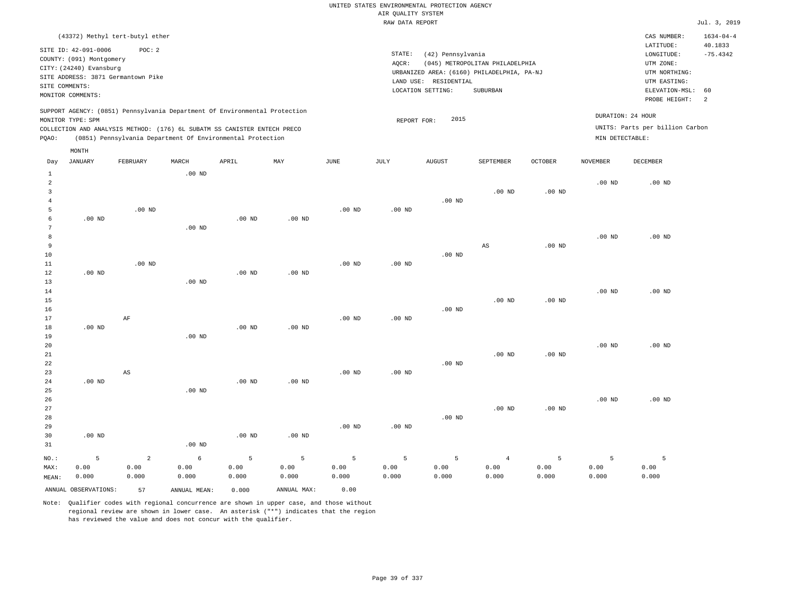|                                  |                          |                                                                            |                   |                   |                |                   |                    | UNITED STATES ENVIRONMENTAL PROTECTION AGENCY |                                            |                   |                   |                                 |                 |
|----------------------------------|--------------------------|----------------------------------------------------------------------------|-------------------|-------------------|----------------|-------------------|--------------------|-----------------------------------------------|--------------------------------------------|-------------------|-------------------|---------------------------------|-----------------|
|                                  |                          |                                                                            |                   |                   |                |                   | AIR QUALITY SYSTEM |                                               |                                            |                   |                   |                                 |                 |
|                                  |                          |                                                                            |                   |                   |                |                   | RAW DATA REPORT    |                                               |                                            |                   |                   |                                 | Jul. 3, 2019    |
|                                  |                          | (43372) Methyl tert-butyl ether                                            |                   |                   |                |                   |                    |                                               |                                            |                   |                   | CAS NUMBER:                     | $1634 - 04 - 4$ |
|                                  | SITE ID: 42-091-0006     | POC: 2                                                                     |                   |                   |                |                   |                    |                                               |                                            |                   |                   | LATITUDE:                       | 40.1833         |
|                                  | COUNTY: (091) Montgomery |                                                                            |                   |                   |                |                   | STATE:             | (42) Pennsylvania                             |                                            |                   |                   | LONGITUDE:                      | $-75.4342$      |
|                                  | CITY: (24240) Evansburg  |                                                                            |                   |                   |                |                   | AQCR:              |                                               | (045) METROPOLITAN PHILADELPHIA            |                   |                   | UTM ZONE:                       |                 |
|                                  |                          | SITE ADDRESS: 3871 Germantown Pike                                         |                   |                   |                |                   |                    | LAND USE: RESIDENTIAL                         | URBANIZED AREA: (6160) PHILADELPHIA, PA-NJ |                   |                   | UTM NORTHING:<br>UTM EASTING:   |                 |
| SITE COMMENTS:                   |                          |                                                                            |                   |                   |                |                   |                    | LOCATION SETTING:                             | SUBURBAN                                   |                   |                   | ELEVATION-MSL:                  | 60              |
|                                  | MONITOR COMMENTS:        |                                                                            |                   |                   |                |                   |                    |                                               |                                            |                   |                   | PROBE HEIGHT:                   | $\overline{2}$  |
|                                  | MONITOR TYPE: SPM        | SUPPORT AGENCY: (0851) Pennsylvania Department Of Environmental Protection |                   |                   |                |                   |                    | 2015                                          |                                            |                   |                   | DURATION: 24 HOUR               |                 |
|                                  |                          | COLLECTION AND ANALYSIS METHOD: (176) 6L SUBATM SS CANISTER ENTECH PRECO   |                   |                   |                |                   | REPORT FOR:        |                                               |                                            |                   |                   | UNITS: Parts per billion Carbon |                 |
| PQAO:                            |                          | (0851) Pennsylvania Department Of Environmental Protection                 |                   |                   |                |                   |                    |                                               |                                            |                   | MIN DETECTABLE:   |                                 |                 |
|                                  | MONTH                    |                                                                            |                   |                   |                |                   |                    |                                               |                                            |                   |                   |                                 |                 |
| Day                              | <b>JANUARY</b>           | FEBRUARY                                                                   | MARCH             | APRIL             | MAY            | JUNE              | JULY               | <b>AUGUST</b>                                 | SEPTEMBER                                  | OCTOBER           | <b>NOVEMBER</b>   | DECEMBER                        |                 |
| $\mathbf{1}$                     |                          |                                                                            | $.00$ ND          |                   |                |                   |                    |                                               |                                            |                   |                   |                                 |                 |
| $\overline{a}$                   |                          |                                                                            |                   |                   |                |                   |                    |                                               |                                            |                   | .00 <sub>ND</sub> | $.00$ ND                        |                 |
| $\overline{3}$<br>$\overline{4}$ |                          |                                                                            |                   |                   |                |                   |                    | $.00$ ND                                      | $.00$ ND                                   | $.00$ ND          |                   |                                 |                 |
| 5                                |                          | $.00$ ND                                                                   |                   |                   |                | $.00$ ND          | $.00$ ND           |                                               |                                            |                   |                   |                                 |                 |
| $\epsilon$                       | $.00$ ND                 |                                                                            |                   | .00 <sub>ND</sub> | $.00$ ND       |                   |                    |                                               |                                            |                   |                   |                                 |                 |
| 7                                |                          |                                                                            | $.00$ ND          |                   |                |                   |                    |                                               |                                            |                   |                   |                                 |                 |
| $^{\rm 8}$                       |                          |                                                                            |                   |                   |                |                   |                    |                                               |                                            |                   | .00 <sub>ND</sub> | $.00$ ND                        |                 |
| 9                                |                          |                                                                            |                   |                   |                |                   |                    |                                               | AS                                         | $.00$ ND          |                   |                                 |                 |
| 10                               |                          |                                                                            |                   |                   |                |                   |                    | $.00$ ND                                      |                                            |                   |                   |                                 |                 |
| 11                               |                          | $.00$ ND                                                                   |                   |                   |                | $.00$ ND          | $.00$ ND           |                                               |                                            |                   |                   |                                 |                 |
| 12                               | $.00$ ND                 |                                                                            |                   | .00 <sub>ND</sub> | $.00$ ND       |                   |                    |                                               |                                            |                   |                   |                                 |                 |
| 13                               |                          |                                                                            | $.00$ ND          |                   |                |                   |                    |                                               |                                            |                   |                   |                                 |                 |
| $1\,4$                           |                          |                                                                            |                   |                   |                |                   |                    |                                               |                                            |                   | $.00$ ND          | $.00$ ND                        |                 |
| 15                               |                          |                                                                            |                   |                   |                |                   |                    |                                               | $.00$ ND                                   | $.00$ ND          |                   |                                 |                 |
| 16                               |                          |                                                                            |                   |                   |                |                   |                    | $.00$ ND                                      |                                            |                   |                   |                                 |                 |
| 17<br>18                         | $.00$ ND                 | AF                                                                         |                   | $.00$ ND          | $.00$ ND       | .00 <sub>ND</sub> | .00 <sub>ND</sub>  |                                               |                                            |                   |                   |                                 |                 |
| 19                               |                          |                                                                            | $.00$ ND          |                   |                |                   |                    |                                               |                                            |                   |                   |                                 |                 |
| 20                               |                          |                                                                            |                   |                   |                |                   |                    |                                               |                                            |                   | $.00$ ND          | $.00$ ND                        |                 |
| 21                               |                          |                                                                            |                   |                   |                |                   |                    |                                               | $.00$ ND                                   | .00 <sub>ND</sub> |                   |                                 |                 |
| 22                               |                          |                                                                            |                   |                   |                |                   |                    | .00 <sub>ND</sub>                             |                                            |                   |                   |                                 |                 |
| 23                               |                          | $\mathbb{A}\mathbb{S}$                                                     |                   |                   |                | $.00$ ND          | $.00$ ND           |                                               |                                            |                   |                   |                                 |                 |
| 24                               | .00 <sub>ND</sub>        |                                                                            |                   | .00 <sub>ND</sub> | $.00$ ND       |                   |                    |                                               |                                            |                   |                   |                                 |                 |
| 25                               |                          |                                                                            | .00 <sub>ND</sub> |                   |                |                   |                    |                                               |                                            |                   |                   |                                 |                 |
| 26                               |                          |                                                                            |                   |                   |                |                   |                    |                                               |                                            |                   | .00 <sub>ND</sub> | $.00$ ND                        |                 |
| 27                               |                          |                                                                            |                   |                   |                |                   |                    |                                               | $.00$ ND                                   | $.00$ ND          |                   |                                 |                 |
| 28                               |                          |                                                                            |                   |                   |                |                   |                    | $.00$ ND                                      |                                            |                   |                   |                                 |                 |
| 29                               |                          |                                                                            |                   |                   |                | $.00$ ND          | $.00$ ND           |                                               |                                            |                   |                   |                                 |                 |
| 30<br>31                         | $.00$ ND                 |                                                                            | .00 <sub>ND</sub> | $.00$ ND          | $.00$ ND       |                   |                    |                                               |                                            |                   |                   |                                 |                 |
| NO.:                             | 5                        | $\overline{a}$                                                             | $\epsilon$        | 5                 | $\overline{5}$ | 5                 | 5                  | 5                                             | $\overline{4}$                             | 5                 | 5                 | $\overline{5}$                  |                 |
| MAX:                             | 0.00                     | 0.00                                                                       | 0.00              | 0.00              | 0.00           | 0.00              | 0.00               | 0.00                                          | 0.00                                       | 0.00              | 0.00              | 0.00                            |                 |
| MEAN:                            | 0.000                    | 0.000                                                                      | 0.000             | 0.000             | 0.000          | 0.000             | 0.000              | 0.000                                         | 0.000                                      | 0.000             | 0.000             | 0.000                           |                 |

ANNUAL OBSERVATIONS: 57 ANNUAL MEAN: 0.000 ANNUAL MAX: 0.00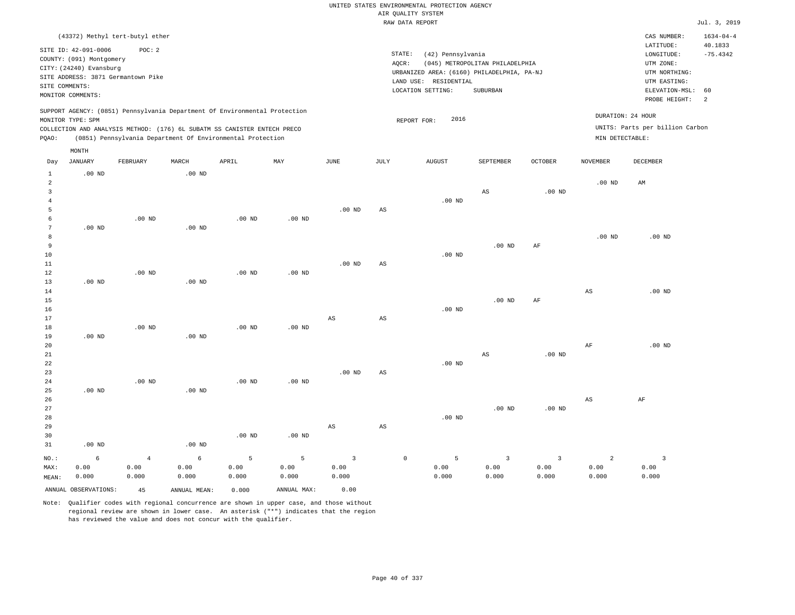|                                            |                                                                                                  |                                              |                    |                                                                                                                                                        |                    |                                 |                        | UNITED STATES ENVIRONMENTAL PROTECTION AGENCY<br>AIR QUALITY SYSTEM                                                              |                                             |                                 |                                 |                                                                                                          |                                               |
|--------------------------------------------|--------------------------------------------------------------------------------------------------|----------------------------------------------|--------------------|--------------------------------------------------------------------------------------------------------------------------------------------------------|--------------------|---------------------------------|------------------------|----------------------------------------------------------------------------------------------------------------------------------|---------------------------------------------|---------------------------------|---------------------------------|----------------------------------------------------------------------------------------------------------|-----------------------------------------------|
|                                            |                                                                                                  |                                              |                    |                                                                                                                                                        |                    |                                 |                        | RAW DATA REPORT                                                                                                                  |                                             |                                 |                                 |                                                                                                          | Jul. 3, 2019                                  |
|                                            |                                                                                                  | (43372) Methyl tert-butyl ether              |                    |                                                                                                                                                        |                    |                                 |                        |                                                                                                                                  |                                             |                                 |                                 | CAS NUMBER:                                                                                              | $1634 - 04 - 4$                               |
| SITE COMMENTS:                             | SITE ID: 42-091-0006<br>COUNTY: (091) Montgomery<br>CITY: (24240) Evansburg<br>MONITOR COMMENTS: | POC: 2<br>SITE ADDRESS: 3871 Germantown Pike |                    |                                                                                                                                                        |                    |                                 |                        | STATE:<br>(42) Pennsylvania<br>AQCR:<br>URBANIZED AREA: (6160) PHILADELPHIA, PA-NJ<br>LAND USE: RESIDENTIAL<br>LOCATION SETTING: | (045) METROPOLITAN PHILADELPHIA<br>SUBURBAN |                                 |                                 | LATITUDE:<br>LONGITUDE:<br>UTM ZONE:<br>UTM NORTHING:<br>UTM EASTING:<br>ELEVATION-MSL:<br>PROBE HEIGHT: | 40.1833<br>$-75.4342$<br>60<br>$\overline{a}$ |
|                                            | MONITOR TYPE: SPM                                                                                |                                              |                    | SUPPORT AGENCY: (0851) Pennsylvania Department Of Environmental Protection<br>COLLECTION AND ANALYSIS METHOD: (176) 6L SUBATM SS CANISTER ENTECH PRECO |                    |                                 |                        | 2016<br>REPORT FOR:                                                                                                              |                                             |                                 |                                 | DURATION: 24 HOUR<br>UNITS: Parts per billion Carbon                                                     |                                               |
| PQAO:                                      |                                                                                                  |                                              |                    | (0851) Pennsylvania Department Of Environmental Protection                                                                                             |                    |                                 |                        |                                                                                                                                  |                                             |                                 | MIN DETECTABLE:                 |                                                                                                          |                                               |
| Day                                        | MONTH<br><b>JANUARY</b>                                                                          | FEBRUARY                                     | MARCH              | APRIL                                                                                                                                                  | $_{\rm MAY}$       | $_{\rm JUNE}$                   | JULY                   | <b>AUGUST</b>                                                                                                                    | SEPTEMBER                                   | <b>OCTOBER</b>                  | <b>NOVEMBER</b>                 | DECEMBER                                                                                                 |                                               |
| 1<br>2<br>$\overline{3}$<br>$\overline{4}$ | $.00$ ND                                                                                         |                                              | $.00$ ND           |                                                                                                                                                        |                    |                                 |                        | $.00$ ND                                                                                                                         | $_{\rm AS}$                                 | $.00$ ND                        | .00 <sub>ND</sub>               | AM                                                                                                       |                                               |
| 5<br>6<br>$7\phantom{.0}$<br>8             | .00 <sub>ND</sub>                                                                                | $.00$ ND                                     | .00 <sub>ND</sub>  | $.00$ ND                                                                                                                                               | $.00$ ND           | $.00$ ND                        | AS                     |                                                                                                                                  |                                             |                                 | .00 <sub>ND</sub>               | $.00$ ND                                                                                                 |                                               |
| $\overline{9}$<br>10<br>$1\,1$<br>12       |                                                                                                  | .00 <sub>ND</sub>                            |                    | .00 <sub>ND</sub>                                                                                                                                      | .00 <sub>ND</sub>  | $.00~\mathrm{ND}$               | AS                     | $.00$ ND                                                                                                                         | $.00$ ND                                    | AF                              |                                 |                                                                                                          |                                               |
| 13<br>$1\,4$<br>15<br>16                   | $.00$ ND                                                                                         |                                              | $.00$ ND           |                                                                                                                                                        |                    |                                 |                        | $.00$ ND                                                                                                                         | $.00$ ND                                    | AF                              | $_{\rm AS}$                     | $.00$ ND                                                                                                 |                                               |
| 17<br>18<br>19<br>20                       | $.00$ ND                                                                                         | $.00$ ND                                     | $.00$ ND           | $.00$ ND                                                                                                                                               | $.00$ ND           | $_{\rm AS}$                     | $_{\rm AS}$            |                                                                                                                                  |                                             |                                 | $\rm{AF}$                       | $.00$ ND                                                                                                 |                                               |
| 21<br>22<br>23<br>24                       |                                                                                                  | $.00$ ND                                     |                    | .00 <sub>ND</sub>                                                                                                                                      | .00 <sub>ND</sub>  | $.00$ ND                        | $\mathbb{A}\mathbb{S}$ | $.00$ ND                                                                                                                         | $_{\rm AS}$                                 | .00 <sub>ND</sub>               |                                 |                                                                                                          |                                               |
| 25<br>26<br>27<br>28                       | $.00$ ND                                                                                         |                                              | $.00$ ND           |                                                                                                                                                        |                    |                                 |                        | $.00$ ND                                                                                                                         | $.00$ ND                                    | $.00$ ND                        | $_{\rm AS}$                     | AF                                                                                                       |                                               |
| 29<br>30<br>31                             | $.00$ ND                                                                                         |                                              | $.00$ ND           | $.00$ ND                                                                                                                                               | $.00$ ND           | AS                              | AS                     |                                                                                                                                  |                                             |                                 |                                 |                                                                                                          |                                               |
| NO.:<br>MAX:<br>MEAN:                      | 6<br>0.00<br>0.000                                                                               | $\overline{4}$<br>0.00<br>0.000              | 6<br>0.00<br>0.000 | 5<br>0.00<br>0.000                                                                                                                                     | 5<br>0.00<br>0.000 | $\overline{3}$<br>0.00<br>0.000 |                        | $\mathbb O$<br>5<br>0.00<br>0.000                                                                                                | $\overline{\mathbf{3}}$<br>0.00<br>0.000    | $\overline{3}$<br>0.00<br>0.000 | $\overline{2}$<br>0.00<br>0.000 | $\overline{\mathbf{3}}$<br>0.00<br>0.000                                                                 |                                               |
|                                            | ANNUAL OBSERVATIONS:                                                                             | 45                                           | ANNUAL MEAN:       | 0.000                                                                                                                                                  | ANNUAL MAX:        | 0.00                            |                        |                                                                                                                                  |                                             |                                 |                                 |                                                                                                          |                                               |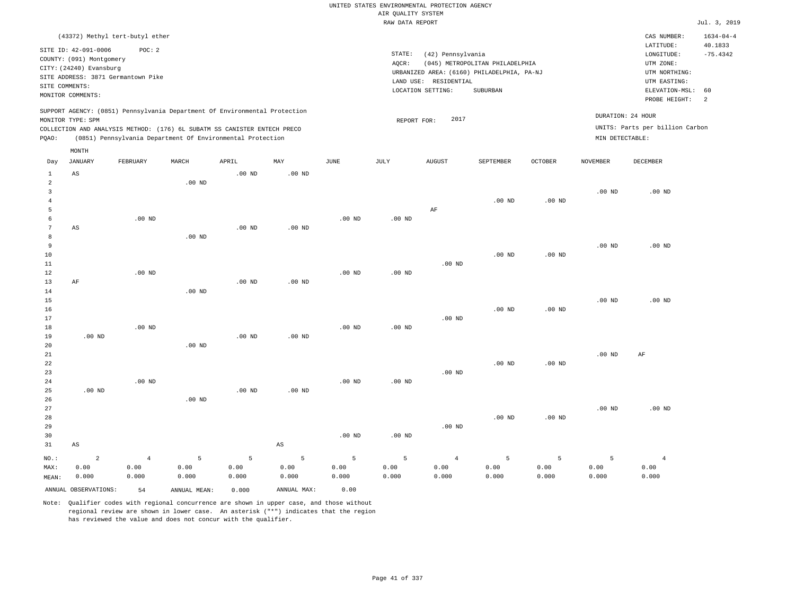|                     |                                                  |                   |                   |                                                                            |                        |                   |                    | UNITED STATES ENVIRONMENTAL PROTECTION AGENCY |                                            |                   |                   |                                 |                            |
|---------------------|--------------------------------------------------|-------------------|-------------------|----------------------------------------------------------------------------|------------------------|-------------------|--------------------|-----------------------------------------------|--------------------------------------------|-------------------|-------------------|---------------------------------|----------------------------|
|                     |                                                  |                   |                   |                                                                            |                        |                   | AIR QUALITY SYSTEM |                                               |                                            |                   |                   |                                 |                            |
|                     |                                                  |                   |                   |                                                                            |                        |                   | RAW DATA REPORT    |                                               |                                            |                   |                   |                                 | Jul. 3, 2019               |
|                     | (43372) Methyl tert-butyl ether                  |                   |                   |                                                                            |                        |                   |                    |                                               |                                            |                   |                   | CAS NUMBER:<br>LATITUDE:        | $1634 - 04 - 4$<br>40.1833 |
|                     | SITE ID: 42-091-0006<br>COUNTY: (091) Montgomery | POC: 2            |                   |                                                                            |                        |                   | STATE:             | (42) Pennsylvania                             |                                            |                   |                   | LONGITUDE:                      | $-75.4342$                 |
|                     | CITY: (24240) Evansburg                          |                   |                   |                                                                            |                        |                   | AQCR:              |                                               | (045) METROPOLITAN PHILADELPHIA            |                   |                   | UTM ZONE:                       |                            |
|                     | SITE ADDRESS: 3871 Germantown Pike               |                   |                   |                                                                            |                        |                   |                    |                                               | URBANIZED AREA: (6160) PHILADELPHIA, PA-NJ |                   |                   | UTM NORTHING:                   |                            |
| SITE COMMENTS:      |                                                  |                   |                   |                                                                            |                        |                   |                    | LAND USE: RESIDENTIAL                         |                                            |                   |                   | UTM EASTING:                    |                            |
|                     | MONITOR COMMENTS:                                |                   |                   |                                                                            |                        |                   |                    | LOCATION SETTING:                             | SUBURBAN                                   |                   |                   | ELEVATION-MSL:<br>PROBE HEIGHT: | 60<br>2                    |
|                     | MONITOR TYPE: SPM                                |                   |                   | SUPPORT AGENCY: (0851) Pennsylvania Department Of Environmental Protection |                        |                   |                    | 2017                                          |                                            |                   |                   | DURATION: 24 HOUR               |                            |
|                     |                                                  |                   |                   | COLLECTION AND ANALYSIS METHOD: (176) 6L SUBATM SS CANISTER ENTECH PRECO   |                        |                   | REPORT FOR:        |                                               |                                            |                   |                   | UNITS: Parts per billion Carbon |                            |
| PQAO:               |                                                  |                   |                   | (0851) Pennsylvania Department Of Environmental Protection                 |                        |                   |                    |                                               |                                            |                   | MIN DETECTABLE:   |                                 |                            |
|                     | MONTH                                            |                   |                   |                                                                            |                        |                   |                    |                                               |                                            |                   |                   |                                 |                            |
| Day                 | <b>JANUARY</b>                                   | FEBRUARY          | MARCH             | APRIL                                                                      | MAY                    | <b>JUNE</b>       | <b>JULY</b>        | <b>AUGUST</b>                                 | SEPTEMBER                                  | <b>OCTOBER</b>    | <b>NOVEMBER</b>   | <b>DECEMBER</b>                 |                            |
| $\mathbf{1}$        | AS                                               |                   |                   | .00 <sub>ND</sub>                                                          | $.00$ ND               |                   |                    |                                               |                                            |                   |                   |                                 |                            |
| 2<br>$\overline{3}$ |                                                  |                   | .00 <sub>ND</sub> |                                                                            |                        |                   |                    |                                               |                                            |                   | $.00$ ND          | $.00$ ND                        |                            |
| $\overline{4}$      |                                                  |                   |                   |                                                                            |                        |                   |                    |                                               | $.00$ ND                                   | $.00$ ND          |                   |                                 |                            |
| 5                   |                                                  |                   |                   |                                                                            |                        |                   |                    | AF                                            |                                            |                   |                   |                                 |                            |
| 6                   |                                                  | $.00$ ND          |                   |                                                                            |                        | $.00$ ND          | $.00$ ND           |                                               |                                            |                   |                   |                                 |                            |
| 7                   | AS                                               |                   |                   | .00 <sub>ND</sub>                                                          | $.00$ ND               |                   |                    |                                               |                                            |                   |                   |                                 |                            |
| 8                   |                                                  |                   | .00 <sub>ND</sub> |                                                                            |                        |                   |                    |                                               |                                            |                   |                   |                                 |                            |
| $\overline{9}$      |                                                  |                   |                   |                                                                            |                        |                   |                    |                                               |                                            |                   | $.00$ ND          | $.00$ ND                        |                            |
| 10                  |                                                  |                   |                   |                                                                            |                        |                   |                    |                                               | $.00$ ND                                   | .00 <sub>ND</sub> |                   |                                 |                            |
| 11                  |                                                  |                   |                   |                                                                            |                        |                   |                    | $.00$ ND                                      |                                            |                   |                   |                                 |                            |
| 12<br>13            | $\rm{AF}$                                        | $.00$ ND          |                   | .00 <sub>ND</sub>                                                          | $.00$ ND               | $.00$ ND          | .00 <sub>ND</sub>  |                                               |                                            |                   |                   |                                 |                            |
| 14                  |                                                  |                   | .00 <sub>ND</sub> |                                                                            |                        |                   |                    |                                               |                                            |                   |                   |                                 |                            |
| 15                  |                                                  |                   |                   |                                                                            |                        |                   |                    |                                               |                                            |                   | .00 <sub>ND</sub> | $.00$ ND                        |                            |
| 16                  |                                                  |                   |                   |                                                                            |                        |                   |                    |                                               | $.00$ ND                                   | $.00$ ND          |                   |                                 |                            |
| 17                  |                                                  |                   |                   |                                                                            |                        |                   |                    | $.00$ ND                                      |                                            |                   |                   |                                 |                            |
| 18                  |                                                  | $.00$ ND          |                   |                                                                            |                        | $.00$ ND          | .00 <sub>ND</sub>  |                                               |                                            |                   |                   |                                 |                            |
| 19                  | $.00$ ND                                         |                   |                   | $.00$ ND                                                                   | $.00$ ND               |                   |                    |                                               |                                            |                   |                   |                                 |                            |
| 20                  |                                                  |                   | .00 <sub>ND</sub> |                                                                            |                        |                   |                    |                                               |                                            |                   |                   |                                 |                            |
| 21                  |                                                  |                   |                   |                                                                            |                        |                   |                    |                                               |                                            |                   | $.00$ ND          | AF                              |                            |
| 22                  |                                                  |                   |                   |                                                                            |                        |                   |                    | $.00$ ND                                      | $.00$ ND                                   | $.00$ ND          |                   |                                 |                            |
| 23<br>24            |                                                  | .00 <sub>ND</sub> |                   |                                                                            |                        | .00 <sub>ND</sub> | .00 <sub>ND</sub>  |                                               |                                            |                   |                   |                                 |                            |
| 25                  | $.00$ ND                                         |                   |                   | $.00$ ND                                                                   | .00 <sub>ND</sub>      |                   |                    |                                               |                                            |                   |                   |                                 |                            |
| 26                  |                                                  |                   | $.00$ ND          |                                                                            |                        |                   |                    |                                               |                                            |                   |                   |                                 |                            |
| 27                  |                                                  |                   |                   |                                                                            |                        |                   |                    |                                               |                                            |                   | $.00$ ND          | $.00$ ND                        |                            |
| 28                  |                                                  |                   |                   |                                                                            |                        |                   |                    |                                               | $.00$ ND                                   | $.00$ ND          |                   |                                 |                            |
| 29                  |                                                  |                   |                   |                                                                            |                        |                   |                    | $.00$ ND                                      |                                            |                   |                   |                                 |                            |
| 30                  |                                                  |                   |                   |                                                                            |                        | .00 <sub>ND</sub> | .00 <sub>ND</sub>  |                                               |                                            |                   |                   |                                 |                            |
| 31                  | $\mathbb{A}\mathbb{S}$                           |                   |                   |                                                                            | $\mathbb{A}\mathbb{S}$ |                   |                    |                                               |                                            |                   |                   |                                 |                            |
| NO.:                | $\overline{a}$                                   | $\overline{4}$    | 5                 | 5                                                                          | 5                      | 5                 | 5                  | $\overline{4}$                                | 5                                          | 5                 | 5                 | $\overline{4}$                  |                            |
| MAX:                | 0.00                                             | 0.00              | 0.00              | 0.00                                                                       | 0.00                   | 0.00              | 0.00               | 0.00                                          | 0.00                                       | 0.00              | 0.00              | 0.00                            |                            |
| MEAN:               | 0.000                                            | 0.000             | 0.000             | 0.000                                                                      | 0.000                  | 0.000             | 0.000              | 0.000                                         | 0.000                                      | 0.000             | 0.000             | 0.000                           |                            |
|                     | ANNUAL OBSERVATIONS:                             | 54                | ANNUAL, MEAN:     | 0.000                                                                      | ANNUAL MAX:            | 0.00              |                    |                                               |                                            |                   |                   |                                 |                            |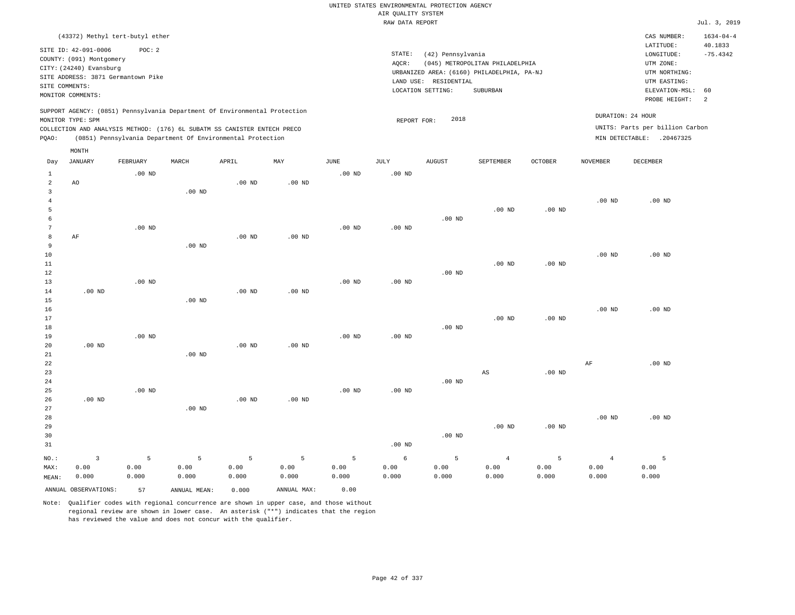|                     |                                                                                                 |                   |                   |                                                            |                   |                   |                    | UNITED STATES ENVIRONMENTAL PROTECTION AGENCY |                                            |                   |                   |                                 |                      |
|---------------------|-------------------------------------------------------------------------------------------------|-------------------|-------------------|------------------------------------------------------------|-------------------|-------------------|--------------------|-----------------------------------------------|--------------------------------------------|-------------------|-------------------|---------------------------------|----------------------|
|                     |                                                                                                 |                   |                   |                                                            |                   |                   | AIR QUALITY SYSTEM |                                               |                                            |                   |                   |                                 |                      |
|                     |                                                                                                 |                   |                   |                                                            |                   |                   | RAW DATA REPORT    |                                               |                                            |                   |                   |                                 | Jul. 3, 2019         |
|                     | (43372) Methyl tert-butyl ether                                                                 |                   |                   |                                                            |                   |                   |                    |                                               |                                            |                   |                   | CAS NUMBER:                     | $1634 - 04 - 4$      |
|                     | SITE ID: 42-091-0006                                                                            | POC: 2            |                   |                                                            |                   |                   |                    |                                               |                                            |                   |                   | LATITUDE:                       | 40.1833              |
|                     | COUNTY: (091) Montgomery                                                                        |                   |                   |                                                            |                   |                   | STATE:             | (42) Pennsylvania                             |                                            |                   |                   | LONGITUDE:                      | $-75.4342$           |
|                     | CITY: (24240) Evansburg                                                                         |                   |                   |                                                            |                   |                   | AQCR:              |                                               | (045) METROPOLITAN PHILADELPHIA            |                   |                   | UTM ZONE:                       |                      |
|                     | SITE ADDRESS: 3871 Germantown Pike                                                              |                   |                   |                                                            |                   |                   |                    |                                               | URBANIZED AREA: (6160) PHILADELPHIA, PA-NJ |                   |                   | UTM NORTHING:                   |                      |
| SITE COMMENTS:      |                                                                                                 |                   |                   |                                                            |                   |                   |                    | LAND USE: RESIDENTIAL                         |                                            |                   |                   | UTM EASTING:                    |                      |
|                     | MONITOR COMMENTS:                                                                               |                   |                   |                                                            |                   |                   |                    | LOCATION SETTING:                             | SUBURBAN                                   |                   |                   | ELEVATION-MSL:<br>PROBE HEIGHT: | 60<br>$\overline{a}$ |
|                     | SUPPORT AGENCY: (0851) Pennsylvania Department Of Environmental Protection<br>MONITOR TYPE: SPM |                   |                   |                                                            |                   |                   |                    | 2018                                          |                                            |                   |                   | DURATION: 24 HOUR               |                      |
|                     | COLLECTION AND ANALYSIS METHOD: (176) 6L SUBATM SS CANISTER ENTECH PRECO                        |                   |                   |                                                            |                   |                   | REPORT FOR:        |                                               |                                            |                   |                   | UNITS: Parts per billion Carbon |                      |
| PQAO:               |                                                                                                 |                   |                   | (0851) Pennsylvania Department Of Environmental Protection |                   |                   |                    |                                               |                                            |                   |                   | MIN DETECTABLE: .20467325       |                      |
|                     | MONTH                                                                                           |                   |                   |                                                            |                   |                   |                    |                                               |                                            |                   |                   |                                 |                      |
| Day                 | <b>JANUARY</b>                                                                                  | FEBRUARY          | MARCH             | APRIL                                                      | MAY               | JUNE              | JULY               | <b>AUGUST</b>                                 | SEPTEMBER                                  | <b>OCTOBER</b>    | <b>NOVEMBER</b>   | DECEMBER                        |                      |
| $\mathbf{1}$        |                                                                                                 | $.00$ ND          |                   |                                                            |                   | .00 <sub>ND</sub> | .00 <sub>ND</sub>  |                                               |                                            |                   |                   |                                 |                      |
| $\overline{a}$      | AO                                                                                              |                   |                   | $.00$ ND                                                   | $.00$ ND          |                   |                    |                                               |                                            |                   |                   |                                 |                      |
| 3                   |                                                                                                 |                   | .00 <sub>ND</sub> |                                                            |                   |                   |                    |                                               |                                            |                   |                   |                                 |                      |
| $\overline{4}$      |                                                                                                 |                   |                   |                                                            |                   |                   |                    |                                               |                                            |                   | .00 <sub>ND</sub> | $.00$ ND                        |                      |
| 5                   |                                                                                                 |                   |                   |                                                            |                   |                   |                    |                                               | $.00$ ND                                   | .00 <sub>ND</sub> |                   |                                 |                      |
| 6<br>$\overline{7}$ |                                                                                                 |                   |                   |                                                            |                   |                   |                    | $.00$ ND                                      |                                            |                   |                   |                                 |                      |
| 8                   | AF                                                                                              | $.00$ ND          |                   | .00 <sub>ND</sub>                                          | .00 <sub>ND</sub> | .00 <sub>ND</sub> | .00 <sub>ND</sub>  |                                               |                                            |                   |                   |                                 |                      |
| 9                   |                                                                                                 |                   | $.00$ ND          |                                                            |                   |                   |                    |                                               |                                            |                   |                   |                                 |                      |
| 10                  |                                                                                                 |                   |                   |                                                            |                   |                   |                    |                                               |                                            |                   | .00 <sub>ND</sub> | $.00$ ND                        |                      |
| 11                  |                                                                                                 |                   |                   |                                                            |                   |                   |                    |                                               | $.00$ ND                                   | $.00$ ND          |                   |                                 |                      |
| 12                  |                                                                                                 |                   |                   |                                                            |                   |                   |                    | .00 <sub>ND</sub>                             |                                            |                   |                   |                                 |                      |
| 13                  |                                                                                                 | .00 <sub>ND</sub> |                   |                                                            |                   | .00 <sub>ND</sub> | $.00$ ND           |                                               |                                            |                   |                   |                                 |                      |
| 14                  | $.00$ ND                                                                                        |                   |                   | .00 <sub>ND</sub>                                          | .00 <sub>ND</sub> |                   |                    |                                               |                                            |                   |                   |                                 |                      |
| 15                  |                                                                                                 |                   | $.00$ ND          |                                                            |                   |                   |                    |                                               |                                            |                   |                   |                                 |                      |
| 16                  |                                                                                                 |                   |                   |                                                            |                   |                   |                    |                                               |                                            |                   | .00 <sub>ND</sub> | $.00$ ND                        |                      |
| 17                  |                                                                                                 |                   |                   |                                                            |                   |                   |                    |                                               | .00 <sub>ND</sub>                          | $.00$ ND          |                   |                                 |                      |
| 18                  |                                                                                                 |                   |                   |                                                            |                   |                   |                    | $.00$ ND                                      |                                            |                   |                   |                                 |                      |
| 19                  |                                                                                                 | $.00$ ND          |                   |                                                            |                   | $.00$ ND          | $.00$ ND           |                                               |                                            |                   |                   |                                 |                      |
| 20                  | .00 <sub>ND</sub>                                                                               |                   |                   | .00 <sub>ND</sub>                                          | .00 <sub>ND</sub> |                   |                    |                                               |                                            |                   |                   |                                 |                      |
| 21<br>22            |                                                                                                 |                   | $.00$ ND          |                                                            |                   |                   |                    |                                               |                                            |                   | $\rm AF$          | $.00$ ND                        |                      |
| 23                  |                                                                                                 |                   |                   |                                                            |                   |                   |                    |                                               | AS                                         | $.00$ ND          |                   |                                 |                      |
| 24                  |                                                                                                 |                   |                   |                                                            |                   |                   |                    | $.00$ ND                                      |                                            |                   |                   |                                 |                      |
| 25                  |                                                                                                 | $.00$ ND          |                   |                                                            |                   | $.00$ ND          | $.00$ ND           |                                               |                                            |                   |                   |                                 |                      |
| 26                  | $.00$ ND                                                                                        |                   |                   | $.00$ ND                                                   | $.00$ ND          |                   |                    |                                               |                                            |                   |                   |                                 |                      |
| 27                  |                                                                                                 |                   | .00 <sub>ND</sub> |                                                            |                   |                   |                    |                                               |                                            |                   |                   |                                 |                      |
| 28                  |                                                                                                 |                   |                   |                                                            |                   |                   |                    |                                               |                                            |                   | .00 <sub>ND</sub> | $.00$ ND                        |                      |
| 29                  |                                                                                                 |                   |                   |                                                            |                   |                   |                    |                                               | $.00$ ND                                   | .00 <sub>ND</sub> |                   |                                 |                      |
| 30                  |                                                                                                 |                   |                   |                                                            |                   |                   |                    | .00 <sub>ND</sub>                             |                                            |                   |                   |                                 |                      |
| 31                  |                                                                                                 |                   |                   |                                                            |                   |                   | $.00$ ND           |                                               |                                            |                   |                   |                                 |                      |
| NO.:                | 3                                                                                               | 5                 | 5                 | 5                                                          | 5                 | 5                 | 6                  | 5                                             | $\overline{4}$                             | 5                 | $\overline{4}$    | 5                               |                      |
| MAX:                | 0.00                                                                                            | 0.00              | 0.00              | 0.00                                                       | 0.00              | 0.00              | 0.00               | 0.00                                          | 0.00                                       | 0.00              | 0.00              | 0.00                            |                      |
| MEAN:               | 0.000                                                                                           | 0.000             | 0.000             | 0.000                                                      | 0.000             | 0.000             | 0.000              | 0.000                                         | 0.000                                      | 0.000             | 0.000             | 0.000                           |                      |
|                     | ANNUAL OBSERVATIONS:                                                                            | 57                | ANNUAL MEAN:      | 0.000                                                      | ANNUAL MAX:       | 0.00              |                    |                                               |                                            |                   |                   |                                 |                      |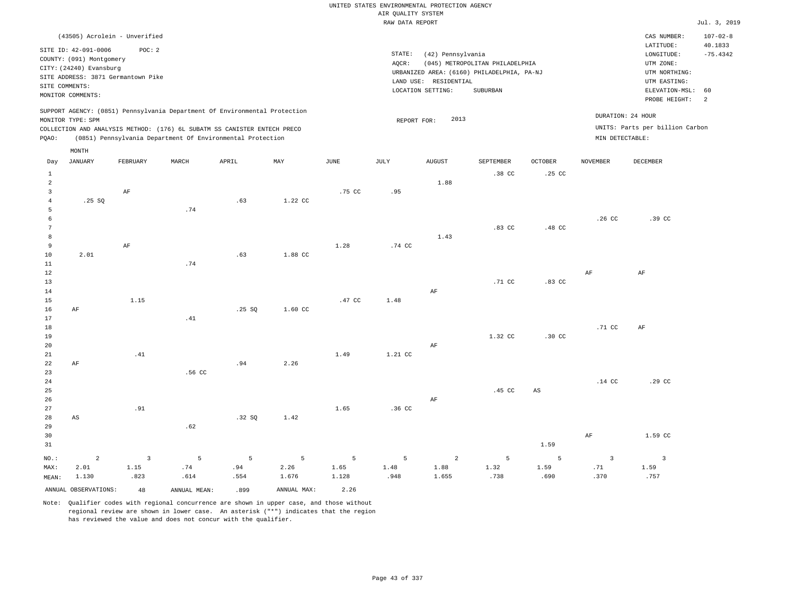|                |                          | (43505) Acrolein - Unverified      |       |                                                                            |     |        |        |                                            |                                 |                  |                 | CAS NUMBER:                     | $107 - 02 - 8$ |
|----------------|--------------------------|------------------------------------|-------|----------------------------------------------------------------------------|-----|--------|--------|--------------------------------------------|---------------------------------|------------------|-----------------|---------------------------------|----------------|
|                |                          |                                    |       |                                                                            |     |        |        |                                            |                                 |                  |                 | LATITUDE:                       | 40.1833        |
|                | SITE ID: 42-091-0006     | POC:2                              |       |                                                                            |     |        | STATE: | (42) Pennsylvania                          |                                 |                  |                 | LONGITUDE:                      | $-75.4342$     |
|                | COUNTY: (091) Montgomery |                                    |       |                                                                            |     |        | AQCR:  |                                            | (045) METROPOLITAN PHILADELPHIA |                  |                 | UTM ZONE:                       |                |
|                | CITY: (24240) Evansburg  |                                    |       |                                                                            |     |        |        | URBANIZED AREA: (6160) PHILADELPHIA, PA-NJ |                                 |                  |                 | UTM NORTHING:                   |                |
|                |                          | SITE ADDRESS: 3871 Germantown Pike |       |                                                                            |     |        |        | LAND USE: RESIDENTIAL                      |                                 |                  |                 | UTM EASTING:                    |                |
|                | SITE COMMENTS:           |                                    |       |                                                                            |     |        |        | LOCATION SETTING:                          | SUBURBAN                        |                  |                 | ELEVATION-MSL: 60               |                |
|                | MONITOR COMMENTS:        |                                    |       |                                                                            |     |        |        |                                            |                                 |                  |                 | PROBE HEIGHT:                   | - 2            |
|                |                          |                                    |       | SUPPORT AGENCY: (0851) Pennsylvania Department Of Environmental Protection |     |        |        |                                            |                                 |                  |                 | DURATION: 24 HOUR               |                |
|                | MONITOR TYPE: SPM        |                                    |       |                                                                            |     |        |        | 2013<br>REPORT FOR:                        |                                 |                  |                 |                                 |                |
|                |                          |                                    |       | COLLECTION AND ANALYSIS METHOD: (176) 6L SUBATM SS CANISTER ENTECH PRECO   |     |        |        |                                            |                                 |                  |                 | UNITS: Parts per billion Carbon |                |
| POAO:          |                          |                                    |       | (0851) Pennsylvania Department Of Environmental Protection                 |     |        |        |                                            |                                 |                  | MIN DETECTABLE: |                                 |                |
|                | MONTH                    |                                    |       |                                                                            |     |        |        |                                            |                                 |                  |                 |                                 |                |
| Day            | JANUARY                  | FEBRUARY                           | MARCH | APRIL                                                                      | MAY | JUNE   | JULY   | AUGUST                                     | SEPTEMBER                       | <b>OCTOBER</b>   | <b>NOVEMBER</b> | DECEMBER                        |                |
|                |                          |                                    |       |                                                                            |     |        |        |                                            | .38 CC                          | .25 <sub>c</sub> |                 |                                 |                |
| $\overline{2}$ |                          |                                    |       |                                                                            |     |        |        | 1.88                                       |                                 |                  |                 |                                 |                |
|                |                          | AF                                 |       |                                                                            |     | .75 CC | .95    |                                            |                                 |                  |                 |                                 |                |

|            | .74 |      |        |                       |             |                       |        |        |
|------------|-----|------|--------|-----------------------|-------------|-----------------------|--------|--------|
|            |     |      |        |                       |             |                       | .26 CC | .39 CC |
|            |     |      |        |                       | .83 CC<br>. | .48 <sub>C</sub><br>. |        |        |
|            |     |      |        | $\perp$ .43<br>$\sim$ |             |                       |        |        |
| 7 T<br>FM: |     | 1.28 | .74 CC |                       |             |                       |        |        |

| 11          |          |      | .74    |       |         |        |                  |    |          |                  |          |        |
|-------------|----------|------|--------|-------|---------|--------|------------------|----|----------|------------------|----------|--------|
| 12          |          |      |        |       |         |        |                  |    |          |                  | AF       | AF     |
| $13$        |          |      |        |       |         |        |                  |    | $.71$ CC | $.83$ CC         |          |        |
| 14          |          |      |        |       |         |        |                  | AF |          |                  |          |        |
| 15          |          | 1.15 |        |       |         | .47 CC | 1.48             |    |          |                  |          |        |
| 16          | AF       |      |        | .25SQ | 1.60 CC |        |                  |    |          |                  |          |        |
| $17\,$      |          |      | .41    |       |         |        |                  |    |          |                  |          |        |
| $18\,$      |          |      |        |       |         |        |                  |    |          |                  | .71 CC   | AF     |
| $19$        |          |      |        |       |         |        |                  |    | 1.32 CC  | $.30 \text{ CC}$ |          |        |
| 20          |          |      |        |       |         |        |                  | AF |          |                  |          |        |
| $21\,$      |          | .41  |        |       |         | 1.49   | 1.21 CC          |    |          |                  |          |        |
| $2\sqrt{2}$ | $\rm AF$ |      |        | .94   | 2.26    |        |                  |    |          |                  |          |        |
| 23          |          |      | .56 CC |       |         |        |                  |    |          |                  |          |        |
| $2\sqrt{4}$ |          |      |        |       |         |        |                  |    |          |                  | $.14$ CC | .29 CC |
| $25\,$      |          |      |        |       |         |        |                  |    | .45 CC   | AS               |          |        |
| 26          |          |      |        |       |         |        |                  | AF |          |                  |          |        |
| 27          |          | .91  |        |       |         | 1.65   | .36 <sub>C</sub> |    |          |                  |          |        |
| 28          | AS       |      |        | .32SQ | 1.42    |        |                  |    |          |                  |          |        |
| 29          |          |      | .62    |       |         |        |                  |    |          |                  |          |        |

| 30 |                |                              |              |  |                                       |      |      |      | AF   | 1.59 CC |
|----|----------------|------------------------------|--------------|--|---------------------------------------|------|------|------|------|---------|
| 31 |                |                              |              |  |                                       |      |      | 1.59 |      |         |
|    |                | NO.: 2 3 5 5 5 5 5 2 5 5 3 3 |              |  |                                       |      |      |      |      |         |
|    | MAX: 2.01 1.15 |                              |              |  | $.74$ $.94$ $2.26$ $1.65$ $1.48$      | 1.88 | 1.32 | 1.59 | . 71 | 1.59    |
|    | MEAN: 1.130    | .823                         | $.614$ . 554 |  | $1.676$ $1.128$ $1.948$ $1.655$ $738$ |      |      | .690 | .370 | .757    |
|    |                |                              |              |  |                                       |      |      |      |      |         |

ANNUAL OBSERVATIONS: 48 ANNUAL MEAN: .899 ANNUAL MAX: 2.26

4

.25 SQ

2.01

10

Note: Qualifier codes with regional concurrence are shown in upper case, and those without regional review are shown in lower case. An asterisk ("\*") indicates that the region has reviewed the value and does not concur with the qualifier.

.63

1.22 CC

1.88 CC

.63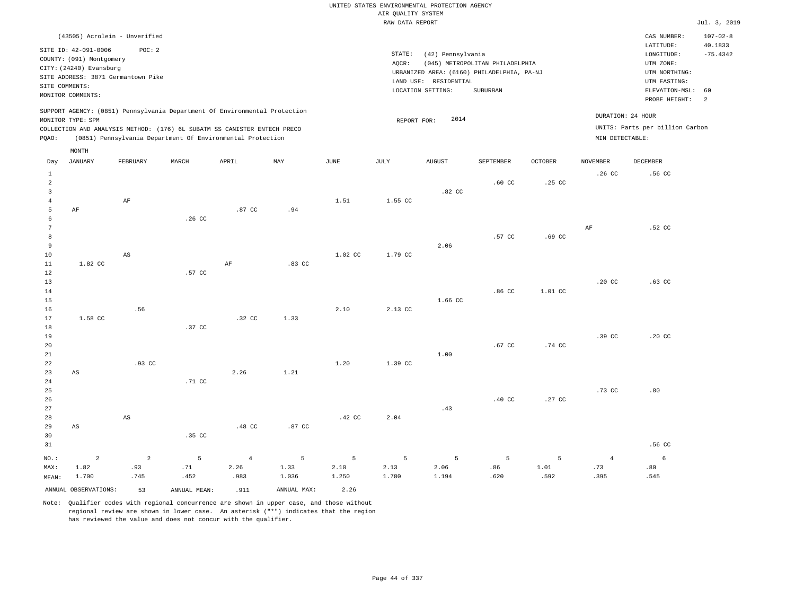|       |                          | (43505) Acrolein - Unverified      |                  |                                                                            |     |      |             |                   |                                            |                  |                   | CAS NUMBER:                     | $107 - 02 - 8$ |
|-------|--------------------------|------------------------------------|------------------|----------------------------------------------------------------------------|-----|------|-------------|-------------------|--------------------------------------------|------------------|-------------------|---------------------------------|----------------|
|       | SITE ID: 42-091-0006     | POC: 2                             |                  |                                                                            |     |      |             |                   |                                            |                  |                   | LATITUDE:                       | 40.1833        |
|       | COUNTY: (091) Montgomery |                                    |                  |                                                                            |     |      | STATE:      | (42) Pennsylvania |                                            |                  |                   | LONGITUDE:                      | $-75.4342$     |
|       | CITY: (24240) Evansburg  |                                    |                  |                                                                            |     |      | AOCR:       |                   | (045) METROPOLITAN PHILADELPHIA            |                  |                   | UTM ZONE:                       |                |
|       |                          | SITE ADDRESS: 3871 Germantown Pike |                  |                                                                            |     |      |             |                   | URBANIZED AREA: (6160) PHILADELPHIA, PA-NJ |                  |                   | UTM NORTHING:                   |                |
|       | SITE COMMENTS:           |                                    |                  |                                                                            |     |      | LAND USE:   | RESIDENTIAL       |                                            |                  |                   | UTM EASTING:                    |                |
|       | MONITOR COMMENTS:        |                                    |                  |                                                                            |     |      |             | LOCATION SETTING: | SUBURBAN                                   |                  |                   | ELEVATION-MSL:                  | 60             |
|       |                          |                                    |                  |                                                                            |     |      |             |                   |                                            |                  |                   | PROBE HEIGHT:                   | -2             |
|       |                          |                                    |                  | SUPPORT AGENCY: (0851) Pennsylvania Department Of Environmental Protection |     |      |             |                   |                                            |                  |                   |                                 |                |
|       | MONITOR TYPE: SPM        |                                    |                  |                                                                            |     |      | REPORT FOR: | 2014              |                                            |                  | DURATION: 24 HOUR |                                 |                |
|       |                          |                                    |                  | COLLECTION AND ANALYSIS METHOD: (176) 6L SUBATM SS CANISTER ENTECH PRECO   |     |      |             |                   |                                            |                  |                   | UNITS: Parts per billion Carbon |                |
| POAO: |                          |                                    |                  | (0851) Pennsylvania Department Of Environmental Protection                 |     |      |             |                   |                                            |                  | MIN DETECTABLE:   |                                 |                |
|       | MONTH                    |                                    |                  |                                                                            |     |      |             |                   |                                            |                  |                   |                                 |                |
| Day   | JANUARY                  | FEBRUARY                           | MARCH            | APRIL                                                                      | MAY | JUNE | JULY        | <b>AUGUST</b>     | SEPTEMBER                                  | <b>OCTOBER</b>   | <b>NOVEMBER</b>   | <b>DECEMBER</b>                 |                |
|       |                          |                                    |                  |                                                                            |     |      |             |                   |                                            |                  | .26 <sub>c</sub>  | .56 CC                          |                |
|       |                          |                                    |                  |                                                                            |     |      |             |                   | .60 <sub>C</sub>                           | .25 <sub>c</sub> |                   |                                 |                |
|       |                          |                                    |                  |                                                                            |     |      |             | .82 CC            |                                            |                  |                   |                                 |                |
|       |                          | AF                                 |                  |                                                                            |     | 1.51 | 1.55 CC     |                   |                                            |                  |                   |                                 |                |
|       | AF                       |                                    |                  | .87 CC                                                                     | .94 |      |             |                   |                                            |                  |                   |                                 |                |
|       |                          |                                    | .26 <sub>c</sub> |                                                                            |     |      |             |                   |                                            |                  |                   |                                 |                |
|       |                          |                                    |                  |                                                                            |     |      |             |                   |                                            |                  | AF                | $.52$ CC                        |                |

 8 9 10 11 12 13 1.82 CC AS .57 CC AF .83 CC 1.02 CC 1.79 CC 2.06 .57 CC .69 CC .20 CC .63 CC

14 15 16 17 1.58 CC .56 .32 CC 1.33 2.10 2.13 CC 1.66 CC .86 CC 1.01 CC

| 18              |    |        | .37 CC |      |      |      |         |      |        |        |        |                  |
|-----------------|----|--------|--------|------|------|------|---------|------|--------|--------|--------|------------------|
| 19              |    |        |        |      |      |      |         |      |        |        | .39 CC | .20 <sub>c</sub> |
| 20 <sub>2</sub> |    |        |        |      |      |      |         |      | .67 CC | .74 CC |        |                  |
| 21              |    |        |        |      |      |      |         | 1.00 |        |        |        |                  |
| $^{22}$         |    | .93 CC |        |      |      | 1.20 | 1.39 CC |      |        |        |        |                  |
| 23              | AS |        |        | 2.26 | 1.21 |      |         |      |        |        |        |                  |
| 24              |    |        | .71 CC |      |      |      |         |      |        |        |        |                  |
| 25              |    |        |        |      |      |      |         |      |        |        | .73 CC | .80              |
| 26              |    |        |        |      |      |      |         |      | .40 CC | .27 CC |        |                  |

27 28 29 30 31 AS AS .35 CC .48 CC .87 CC .42 CC 2.04 .43 .56 CC

|                         | NO.: 2 2 5 4 5 5 5 5 5 5 4 6 |      |                  |             |                             |      |      |      |      |
|-------------------------|------------------------------|------|------------------|-------------|-----------------------------|------|------|------|------|
|                         | MAX: 1.82 .93 .71 2.26 1.33  |      |                  |             | $2.10$ $2.13$ $2.06$ $3.86$ |      | 1.01 | .73  | .80  |
| MEAN: 1.700 .745 .452   |                              | .983 | 1.036            | 1.250 1.780 | 1.194                       | .620 | .592 | .395 | .545 |
| ANNUAL OBSERVATIONS: 53 | ANNUAL MEAN: .911            |      | ANNUAL MAX: 2.26 |             |                             |      |      |      |      |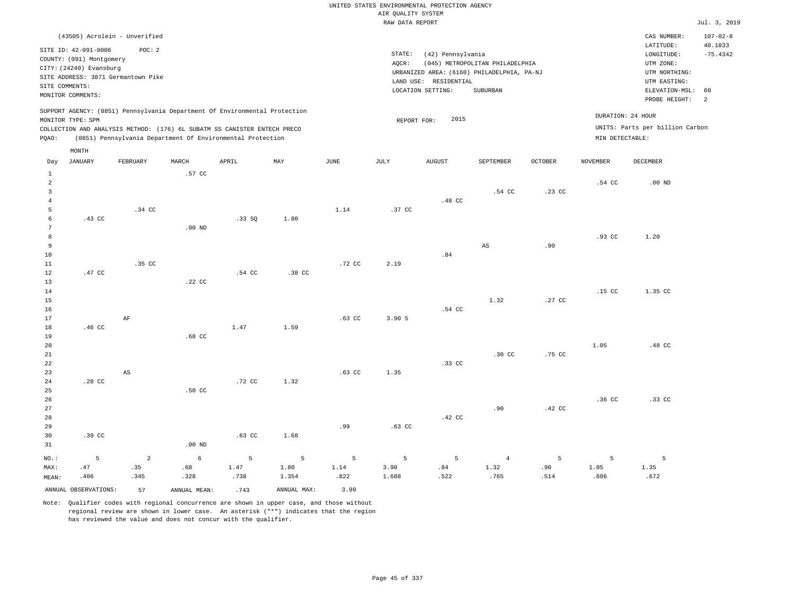## UNITED STATES ENVIRONMENTAL PROTECTION AGENCY AIR QUALITY SYSTEM

|                 |                                    |                        |                   |                                                                            |                  |          | RAW DATA REPORT |                       |                                            |                  |                 |                                 | Jul. 3, 2019   |
|-----------------|------------------------------------|------------------------|-------------------|----------------------------------------------------------------------------|------------------|----------|-----------------|-----------------------|--------------------------------------------|------------------|-----------------|---------------------------------|----------------|
|                 | (43505) Acrolein - Unverified      |                        |                   |                                                                            |                  |          |                 |                       |                                            |                  |                 | CAS NUMBER:                     | $107 - 02 - 8$ |
|                 | SITE ID: 42-091-0006               | POC: 2                 |                   |                                                                            |                  |          |                 |                       |                                            |                  |                 | LATITUDE:                       | 40.1833        |
|                 | COUNTY: (091) Montgomery           |                        |                   |                                                                            |                  |          | STATE:          | (42) Pennsylvania     |                                            |                  |                 | LONGITUDE:                      | $-75.4342$     |
|                 | CITY: (24240) Evansburg            |                        |                   |                                                                            |                  |          | $AQCR$ :        |                       | (045) METROPOLITAN PHILADELPHIA            |                  |                 | UTM ZONE:                       |                |
|                 | SITE ADDRESS: 3871 Germantown Pike |                        |                   |                                                                            |                  |          |                 |                       | URBANIZED AREA: (6160) PHILADELPHIA, PA-NJ |                  |                 | UTM NORTHING:                   |                |
|                 | SITE COMMENTS:                     |                        |                   |                                                                            |                  |          |                 | LAND USE: RESIDENTIAL |                                            |                  |                 | UTM EASTING:                    |                |
|                 | MONITOR COMMENTS:                  |                        |                   |                                                                            |                  |          |                 | LOCATION SETTING:     | SUBURBAN                                   |                  |                 | ELEVATION-MSL:                  | 60             |
|                 |                                    |                        |                   |                                                                            |                  |          |                 |                       |                                            |                  |                 | PROBE HEIGHT:                   | 2              |
|                 |                                    |                        |                   | SUPPORT AGENCY: (0851) Pennsylvania Department Of Environmental Protection |                  |          |                 |                       |                                            |                  |                 | DURATION: 24 HOUR               |                |
|                 | MONITOR TYPE: SPM                  |                        |                   |                                                                            |                  |          | REPORT FOR:     | 2015                  |                                            |                  |                 |                                 |                |
|                 |                                    |                        |                   | COLLECTION AND ANALYSIS METHOD: (176) 6L SUBATM SS CANISTER ENTECH PRECO   |                  |          |                 |                       |                                            |                  |                 | UNITS: Parts per billion Carbon |                |
| PQAO:           |                                    |                        |                   | (0851) Pennsylvania Department Of Environmental Protection                 |                  |          |                 |                       |                                            |                  | MIN DETECTABLE: |                                 |                |
|                 | MONTH                              |                        |                   |                                                                            |                  |          |                 |                       |                                            |                  |                 |                                 |                |
| Day             | <b>JANUARY</b>                     | FEBRUARY               | MARCH             | APRIL                                                                      | MAY              | JUNE     | JULY            | <b>AUGUST</b>         | <b>SEPTEMBER</b>                           | <b>OCTOBER</b>   | <b>NOVEMBER</b> | DECEMBER                        |                |
| $1\,$           |                                    |                        | .57 CC            |                                                                            |                  |          |                 |                       |                                            |                  |                 |                                 |                |
| $\overline{a}$  |                                    |                        |                   |                                                                            |                  |          |                 |                       |                                            |                  | .54 CC          | .00 <sub>ND</sub>               |                |
| $\overline{3}$  |                                    |                        |                   |                                                                            |                  |          |                 |                       | .54 CC                                     | .23 CC           |                 |                                 |                |
| $\overline{4}$  |                                    |                        |                   |                                                                            |                  |          |                 | .48 CC                |                                            |                  |                 |                                 |                |
| 5               |                                    | .34 CC                 |                   |                                                                            |                  | 1.14     | .37 CC          |                       |                                            |                  |                 |                                 |                |
| 6               | .43 CC                             |                        |                   | .33 S0                                                                     | 1.80             |          |                 |                       |                                            |                  |                 |                                 |                |
| $7\phantom{.0}$ |                                    |                        | $.00$ ND          |                                                                            |                  |          |                 |                       |                                            |                  |                 |                                 |                |
| 8               |                                    |                        |                   |                                                                            |                  |          |                 |                       |                                            |                  | .93 CC          | 1.20                            |                |
| 9               |                                    |                        |                   |                                                                            |                  |          |                 |                       | AS                                         | .90              |                 |                                 |                |
| 10              |                                    | .35 CC                 |                   |                                                                            |                  |          | 2.19            | .84                   |                                            |                  |                 |                                 |                |
| $11\,$<br>12    | .47 CC                             |                        |                   | $.54$ CC                                                                   | .38 <sub>C</sub> | .72 CC   |                 |                       |                                            |                  |                 |                                 |                |
| 13              |                                    |                        | .22 CC            |                                                                            |                  |          |                 |                       |                                            |                  |                 |                                 |                |
| 14              |                                    |                        |                   |                                                                            |                  |          |                 |                       |                                            |                  | .15 CC          | 1.35 CC                         |                |
| 15              |                                    |                        |                   |                                                                            |                  |          |                 |                       | 1.32                                       | .27 <sub>c</sub> |                 |                                 |                |
| 16              |                                    |                        |                   |                                                                            |                  |          |                 | .54 CC                |                                            |                  |                 |                                 |                |
| 17              |                                    | $\rm AF$               |                   |                                                                            |                  | $.63$ CC | 3.90 5          |                       |                                            |                  |                 |                                 |                |
| 18              | .46 CC                             |                        |                   | 1.47                                                                       | 1.59             |          |                 |                       |                                            |                  |                 |                                 |                |
| 19              |                                    |                        | .68 <sub>cc</sub> |                                                                            |                  |          |                 |                       |                                            |                  |                 |                                 |                |
| 20              |                                    |                        |                   |                                                                            |                  |          |                 |                       |                                            |                  | 1.05            | .48 CC                          |                |
| 21              |                                    |                        |                   |                                                                            |                  |          |                 |                       | .30 <sub>c</sub>                           | .75 CC           |                 |                                 |                |
| 22              |                                    |                        |                   |                                                                            |                  |          |                 | .33 CC                |                                            |                  |                 |                                 |                |
| 23              |                                    | $\mathbb{A}\mathbb{S}$ |                   |                                                                            |                  | $.63$ CC | 1.35            |                       |                                            |                  |                 |                                 |                |
| 24              | .28 <sub>c</sub>                   |                        |                   | .72 CC                                                                     | 1.32             |          |                 |                       |                                            |                  |                 |                                 |                |
| 25              |                                    |                        | .50 CC            |                                                                            |                  |          |                 |                       |                                            |                  |                 |                                 |                |
| 26              |                                    |                        |                   |                                                                            |                  |          |                 |                       |                                            |                  | $.36$ CC        | .33 CC                          |                |
| 27              |                                    |                        |                   |                                                                            |                  |          |                 |                       | .90                                        | .42 CC           |                 |                                 |                |
| 28              |                                    |                        |                   |                                                                            |                  |          |                 | .42 CC                |                                            |                  |                 |                                 |                |
| 29              |                                    |                        |                   |                                                                            |                  | .99      | $.63$ CC        |                       |                                            |                  |                 |                                 |                |
| 30              | .39 CC                             |                        |                   | $.63$ CC                                                                   | 1.68             |          |                 |                       |                                            |                  |                 |                                 |                |
| 31              |                                    |                        | $.00$ ND          |                                                                            |                  |          |                 |                       |                                            |                  |                 |                                 |                |
|                 | 5                                  | 2                      | 6                 | 5                                                                          |                  | 5        |                 | 5                     |                                            | 5                | 5               |                                 |                |
| NO.:            | .47                                | .35                    |                   | 1.47                                                                       | 5<br>1.80        | 1.14     | 5               | .84                   | $\overline{4}$<br>1.32                     | .90              | 1.05            | 5<br>1.35                       |                |
| MAX:            |                                    |                        | .68<br>.328       | .738                                                                       | 1.354            | .822     | 3.90<br>1.688   | .522                  | .765                                       | .514             | .606            | .672                            |                |
| MEAN:           | .406                               | .345                   |                   |                                                                            |                  |          |                 |                       |                                            |                  |                 |                                 |                |
|                 | ANNUAL OBSERVATIONS:               | 57                     | ANNUAL MEAN:      | .743                                                                       | ANNUAL MAX:      | 3.90     |                 |                       |                                            |                  |                 |                                 |                |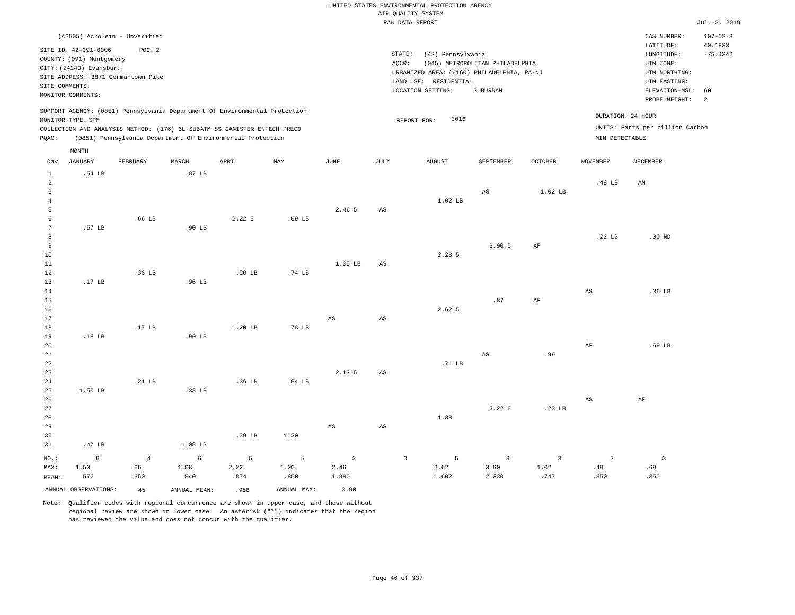|                         |                                                                                   |                   |                            |                                                                            |                   |                        |                        | UNITED STATES ENVIRONMENTAL PROTECTION AGENCY                       |                                 |                   |                        |                                        |                                         |
|-------------------------|-----------------------------------------------------------------------------------|-------------------|----------------------------|----------------------------------------------------------------------------|-------------------|------------------------|------------------------|---------------------------------------------------------------------|---------------------------------|-------------------|------------------------|----------------------------------------|-----------------------------------------|
|                         |                                                                                   |                   |                            |                                                                            |                   |                        |                        | AIR QUALITY SYSTEM<br>RAW DATA REPORT                               |                                 |                   |                        |                                        | Jul. 3, 2019                            |
|                         |                                                                                   |                   |                            |                                                                            |                   |                        |                        |                                                                     |                                 |                   |                        |                                        |                                         |
|                         | (43505) Acrolein - Unverified<br>SITE ID: 42-091-0006<br>COUNTY: (091) Montgomery | POC: 2            |                            |                                                                            |                   |                        | STATE:                 | (42) Pennsylvania                                                   |                                 |                   |                        | CAS NUMBER:<br>LATITUDE:<br>LONGITUDE: | $107 - 02 - 8$<br>40.1833<br>$-75.4342$ |
|                         | CITY: (24240) Evansburg                                                           |                   |                            |                                                                            |                   |                        | AQCR:                  |                                                                     | (045) METROPOLITAN PHILADELPHIA |                   |                        | UTM ZONE:                              |                                         |
|                         | SITE ADDRESS: 3871 Germantown Pike                                                |                   |                            |                                                                            |                   |                        |                        | URBANIZED AREA: (6160) PHILADELPHIA, PA-NJ<br>LAND USE: RESIDENTIAL |                                 |                   |                        | UTM NORTHING:<br>UTM EASTING:          |                                         |
|                         | SITE COMMENTS:                                                                    |                   |                            |                                                                            |                   |                        |                        | LOCATION SETTING:                                                   | SUBURBAN                        |                   |                        | ELEVATION-MSL:                         | 60                                      |
|                         | MONITOR COMMENTS:                                                                 |                   |                            |                                                                            |                   |                        |                        |                                                                     |                                 |                   |                        | PROBE HEIGHT:                          | 2                                       |
|                         | MONITOR TYPE: SPM                                                                 |                   |                            | SUPPORT AGENCY: (0851) Pennsylvania Department Of Environmental Protection |                   |                        |                        | 2016<br>REPORT FOR:                                                 |                                 |                   |                        | DURATION: 24 HOUR                      |                                         |
|                         |                                                                                   |                   |                            | COLLECTION AND ANALYSIS METHOD: (176) 6L SUBATM SS CANISTER ENTECH PRECO   |                   |                        |                        |                                                                     |                                 |                   |                        | UNITS: Parts per billion Carbon        |                                         |
| PQAO:                   |                                                                                   |                   |                            | (0851) Pennsylvania Department Of Environmental Protection                 |                   |                        |                        |                                                                     |                                 |                   | MIN DETECTABLE:        |                                        |                                         |
|                         | MONTH                                                                             |                   |                            |                                                                            |                   |                        |                        |                                                                     |                                 |                   |                        |                                        |                                         |
| Day<br>$\mathbf 1$      | <b>JANUARY</b><br>.54 LB                                                          | FEBRUARY          | MARCH<br>.87 <sub>LB</sub> | APRIL                                                                      | MAY               | $_{\rm JUNE}$          | JULY                   | <b>AUGUST</b>                                                       | SEPTEMBER                       | <b>OCTOBER</b>    | <b>NOVEMBER</b>        | <b>DECEMBER</b>                        |                                         |
| $\overline{a}$          |                                                                                   |                   |                            |                                                                            |                   |                        |                        |                                                                     |                                 |                   | .48 LB                 | AM                                     |                                         |
| $\overline{\mathbf{3}}$ |                                                                                   |                   |                            |                                                                            |                   |                        |                        |                                                                     | AS                              | 1.02 LB           |                        |                                        |                                         |
| $\overline{4}$          |                                                                                   |                   |                            |                                                                            |                   |                        |                        | 1.02 LB                                                             |                                 |                   |                        |                                        |                                         |
| 5                       |                                                                                   |                   |                            |                                                                            |                   | 2.46 5                 | AS                     |                                                                     |                                 |                   |                        |                                        |                                         |
| 6                       |                                                                                   | .66 <sub>LB</sub> |                            | 2.225                                                                      | .69 <sub>LB</sub> |                        |                        |                                                                     |                                 |                   |                        |                                        |                                         |
| $7\phantom{.0}$<br>8    | .57 LB                                                                            |                   | .90 LB                     |                                                                            |                   |                        |                        |                                                                     |                                 |                   | .22 <sub>LB</sub>      | $.00$ ND                               |                                         |
| $\overline{9}$          |                                                                                   |                   |                            |                                                                            |                   |                        |                        |                                                                     | 3.905                           | $\rm{AF}$         |                        |                                        |                                         |
| 10                      |                                                                                   |                   |                            |                                                                            |                   |                        |                        | 2.28 5                                                              |                                 |                   |                        |                                        |                                         |
| 11                      |                                                                                   |                   |                            |                                                                            |                   | 1.05 LB                | AS                     |                                                                     |                                 |                   |                        |                                        |                                         |
| 12                      |                                                                                   | .36 <sub>LB</sub> |                            | .20 <sub>LB</sub>                                                          | .74 LB            |                        |                        |                                                                     |                                 |                   |                        |                                        |                                         |
| 13                      | .17 LB                                                                            |                   | .96 LB                     |                                                                            |                   |                        |                        |                                                                     |                                 |                   |                        |                                        |                                         |
| 14                      |                                                                                   |                   |                            |                                                                            |                   |                        |                        |                                                                     |                                 |                   | $\mathbb{A}\mathbb{S}$ | .36 LB                                 |                                         |
| 15<br>16                |                                                                                   |                   |                            |                                                                            |                   |                        |                        | 2.62 5                                                              | .87                             | AF                |                        |                                        |                                         |
| 17                      |                                                                                   |                   |                            |                                                                            |                   | $\mathbb{A}\mathbb{S}$ | $\mathbb{A}\mathbb{S}$ |                                                                     |                                 |                   |                        |                                        |                                         |
| 18                      |                                                                                   | .17 <sub>LB</sub> |                            | 1.20 LB                                                                    | .78 LB            |                        |                        |                                                                     |                                 |                   |                        |                                        |                                         |
| 19                      | .18 LB                                                                            |                   | $.90$ LB                   |                                                                            |                   |                        |                        |                                                                     |                                 |                   |                        |                                        |                                         |
| 20                      |                                                                                   |                   |                            |                                                                            |                   |                        |                        |                                                                     |                                 |                   | $\rm{AF}$              | .69 <sub>LB</sub>                      |                                         |
| 21                      |                                                                                   |                   |                            |                                                                            |                   |                        |                        |                                                                     | AS                              | .99               |                        |                                        |                                         |
| 22                      |                                                                                   |                   |                            |                                                                            |                   |                        |                        | .71 LB                                                              |                                 |                   |                        |                                        |                                         |
| 23<br>24                |                                                                                   | .21 LB            |                            | .36 LB                                                                     | .84 <sub>LB</sub> | 2.13 5                 | AS                     |                                                                     |                                 |                   |                        |                                        |                                         |
| 25                      | 1.50 LB                                                                           |                   | .33 LB                     |                                                                            |                   |                        |                        |                                                                     |                                 |                   |                        |                                        |                                         |
| 26                      |                                                                                   |                   |                            |                                                                            |                   |                        |                        |                                                                     |                                 |                   | $_{\rm AS}$            | AF                                     |                                         |
| 27                      |                                                                                   |                   |                            |                                                                            |                   |                        |                        |                                                                     | 2.225                           | .23 <sub>LB</sub> |                        |                                        |                                         |
| 28                      |                                                                                   |                   |                            |                                                                            |                   |                        |                        | 1.38                                                                |                                 |                   |                        |                                        |                                         |
| 29                      |                                                                                   |                   |                            |                                                                            |                   | $_{\rm AS}$            | $_{\rm AS}$            |                                                                     |                                 |                   |                        |                                        |                                         |
| 30                      |                                                                                   |                   |                            | .39 LB                                                                     | 1.20              |                        |                        |                                                                     |                                 |                   |                        |                                        |                                         |
| 31                      | .47 LB                                                                            |                   | 1.08 LB                    |                                                                            |                   |                        |                        |                                                                     |                                 |                   |                        |                                        |                                         |
| $NO.$ :                 | 6                                                                                 | $\overline{4}$    | 6                          | 5                                                                          | 5                 | $\overline{3}$         |                        | 5<br>$\mathsf{O}\xspace$                                            | $\overline{3}$                  | $\overline{3}$    | $\overline{2}$         | $\overline{\mathbf{3}}$                |                                         |
| MAX:                    | 1.50                                                                              | .66               | 1.08                       | 2.22                                                                       | 1.20              | 2.46                   |                        | 2.62                                                                | 3.90                            | 1.02              | .48                    | .69                                    |                                         |
| MEAN:                   | .572                                                                              | .350              | .840                       | .874                                                                       | .850              | 1.880                  |                        | 1.602                                                               | 2.330                           | .747              | .350                   | .350                                   |                                         |
|                         | ANNUAL OBSERVATIONS:                                                              | 45                | ANNUAL MEAN:               | .958                                                                       | ANNUAL MAX:       | 3.90                   |                        |                                                                     |                                 |                   |                        |                                        |                                         |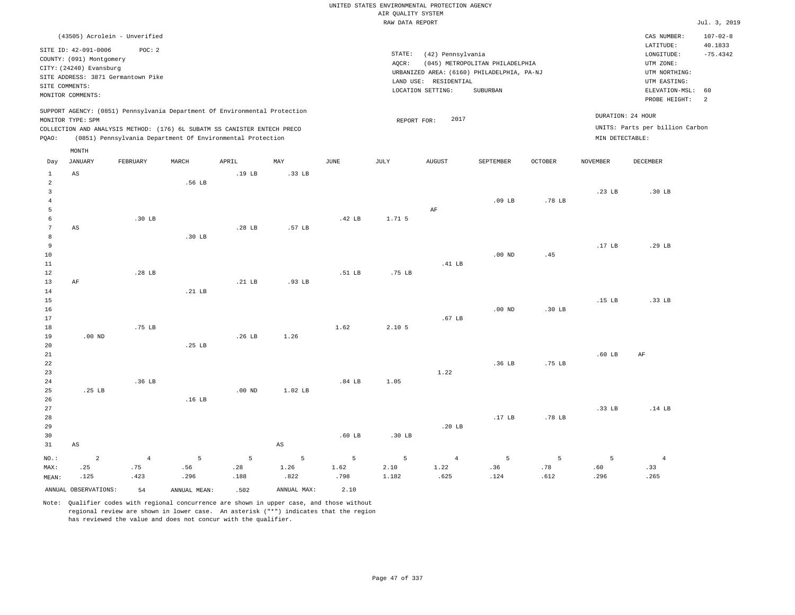|                                |                                                     |                                    |                   |                                                                            |                        |             |                    | UNITED STATES ENVIRONMENTAL PROTECTION AGENCY |                                            |                   |                   |                                 |                           |
|--------------------------------|-----------------------------------------------------|------------------------------------|-------------------|----------------------------------------------------------------------------|------------------------|-------------|--------------------|-----------------------------------------------|--------------------------------------------|-------------------|-------------------|---------------------------------|---------------------------|
|                                |                                                     |                                    |                   |                                                                            |                        |             | AIR QUALITY SYSTEM |                                               |                                            |                   |                   |                                 |                           |
|                                |                                                     |                                    |                   |                                                                            |                        |             | RAW DATA REPORT    |                                               |                                            |                   |                   |                                 | Jul. 3, 2019              |
|                                |                                                     | (43505) Acrolein - Unverified      |                   |                                                                            |                        |             |                    |                                               |                                            |                   |                   | CAS NUMBER:<br>LATITUDE:        | $107 - 02 - 8$<br>40.1833 |
|                                | SITE ID: 42-091-0006                                | POC: 2                             |                   |                                                                            |                        |             | STATE:             | (42) Pennsylvania                             |                                            |                   |                   | LONGITUDE:                      | $-75.4342$                |
|                                | COUNTY: (091) Montgomery<br>CITY: (24240) Evansburg |                                    |                   |                                                                            |                        |             | AQCR:              |                                               | (045) METROPOLITAN PHILADELPHIA            |                   |                   | UTM ZONE:                       |                           |
|                                |                                                     | SITE ADDRESS: 3871 Germantown Pike |                   |                                                                            |                        |             |                    |                                               | URBANIZED AREA: (6160) PHILADELPHIA, PA-NJ |                   |                   | UTM NORTHING:                   |                           |
|                                | SITE COMMENTS:                                      |                                    |                   |                                                                            |                        |             |                    | LAND USE: RESIDENTIAL                         |                                            |                   |                   | UTM EASTING:                    |                           |
|                                | MONITOR COMMENTS:                                   |                                    |                   |                                                                            |                        |             |                    | LOCATION SETTING:                             | SUBURBAN                                   |                   |                   | ELEVATION-MSL:<br>PROBE HEIGHT: | 60<br>2                   |
|                                | MONITOR TYPE: SPM                                   |                                    |                   | SUPPORT AGENCY: (0851) Pennsylvania Department Of Environmental Protection |                        |             |                    | 2017                                          |                                            |                   |                   | DURATION: 24 HOUR               |                           |
|                                |                                                     |                                    |                   | COLLECTION AND ANALYSIS METHOD: (176) 6L SUBATM SS CANISTER ENTECH PRECO   |                        |             | REPORT FOR:        |                                               |                                            |                   |                   | UNITS: Parts per billion Carbon |                           |
| PQAO:                          |                                                     |                                    |                   | (0851) Pennsylvania Department Of Environmental Protection                 |                        |             |                    |                                               |                                            |                   | MIN DETECTABLE:   |                                 |                           |
|                                | MONTH                                               |                                    |                   |                                                                            |                        |             |                    |                                               |                                            |                   |                   |                                 |                           |
| Day                            | <b>JANUARY</b>                                      | FEBRUARY                           | MARCH             | APRIL                                                                      | MAY                    | <b>JUNE</b> | <b>JULY</b>        | <b>AUGUST</b>                                 | SEPTEMBER                                  | <b>OCTOBER</b>    | <b>NOVEMBER</b>   | <b>DECEMBER</b>                 |                           |
| $\mathbf{1}$<br>$\overline{2}$ | AS                                                  |                                    | .56 LB            | .19 <sub>LB</sub>                                                          | .33 LB                 |             |                    |                                               |                                            |                   |                   |                                 |                           |
| $\overline{3}$                 |                                                     |                                    |                   |                                                                            |                        |             |                    |                                               |                                            |                   | .23 LB            | .30 LB                          |                           |
| $\overline{4}$                 |                                                     |                                    |                   |                                                                            |                        |             |                    |                                               | $.09$ LB                                   | .78 LB            |                   |                                 |                           |
| 5                              |                                                     |                                    |                   |                                                                            |                        |             |                    | AF                                            |                                            |                   |                   |                                 |                           |
| 6                              |                                                     | .30 <sub>LB</sub>                  |                   |                                                                            |                        | .42 LB      | 1.71 5             |                                               |                                            |                   |                   |                                 |                           |
| $7\phantom{.0}$                | AS                                                  |                                    |                   | .28 <sub>LB</sub>                                                          | .57 <sub>LB</sub>      |             |                    |                                               |                                            |                   |                   |                                 |                           |
| 8                              |                                                     |                                    | .30 LB            |                                                                            |                        |             |                    |                                               |                                            |                   |                   |                                 |                           |
| $\,9$                          |                                                     |                                    |                   |                                                                            |                        |             |                    |                                               |                                            |                   | .17 <sub>LB</sub> | .29 LB                          |                           |
| 10<br>11                       |                                                     |                                    |                   |                                                                            |                        |             |                    | .41 LB                                        | $.00$ ND                                   | .45               |                   |                                 |                           |
| 12                             |                                                     | .28 LB                             |                   |                                                                            |                        | .51 LB      | .75 LB             |                                               |                                            |                   |                   |                                 |                           |
| 13                             | AF                                                  |                                    |                   | .21 <sub>LB</sub>                                                          | .93 <sub>LB</sub>      |             |                    |                                               |                                            |                   |                   |                                 |                           |
| 14                             |                                                     |                                    | $.21$ LB          |                                                                            |                        |             |                    |                                               |                                            |                   |                   |                                 |                           |
| 15                             |                                                     |                                    |                   |                                                                            |                        |             |                    |                                               |                                            |                   | .15 <sub>LB</sub> | .33 LB                          |                           |
| 16                             |                                                     |                                    |                   |                                                                            |                        |             |                    |                                               | $.00$ ND                                   | .30 <sub>LB</sub> |                   |                                 |                           |
| 17                             |                                                     |                                    |                   |                                                                            |                        |             |                    | .67 <sub>LB</sub>                             |                                            |                   |                   |                                 |                           |
| 18                             |                                                     | .75 LB                             |                   |                                                                            |                        | 1.62        | 2.10 5             |                                               |                                            |                   |                   |                                 |                           |
| 19                             | $.00$ ND                                            |                                    | .25 <sub>LB</sub> | .26 <sub>LB</sub>                                                          | 1.26                   |             |                    |                                               |                                            |                   |                   |                                 |                           |
| 20<br>21                       |                                                     |                                    |                   |                                                                            |                        |             |                    |                                               |                                            |                   | .60 <sub>LB</sub> | AF                              |                           |
| 22                             |                                                     |                                    |                   |                                                                            |                        |             |                    |                                               | .36 LB                                     | .75 LB            |                   |                                 |                           |
| 23                             |                                                     |                                    |                   |                                                                            |                        |             |                    | 1.22                                          |                                            |                   |                   |                                 |                           |
| 24                             |                                                     | .36 <sub>LB</sub>                  |                   |                                                                            |                        | .84 LB      | 1.05               |                                               |                                            |                   |                   |                                 |                           |
| 25                             | .25 LB                                              |                                    |                   | $.00$ ND                                                                   | 1.02 LB                |             |                    |                                               |                                            |                   |                   |                                 |                           |
| 26                             |                                                     |                                    | .16 LB            |                                                                            |                        |             |                    |                                               |                                            |                   |                   |                                 |                           |
| 27                             |                                                     |                                    |                   |                                                                            |                        |             |                    |                                               |                                            |                   | .33 LB            | .14 LB                          |                           |
| 28                             |                                                     |                                    |                   |                                                                            |                        |             |                    |                                               | .17 <sub>LB</sub>                          | .78 LB            |                   |                                 |                           |
| 29                             |                                                     |                                    |                   |                                                                            |                        |             |                    | .20 <sub>LB</sub>                             |                                            |                   |                   |                                 |                           |
| 30                             |                                                     |                                    |                   |                                                                            |                        | $.60$ LB    | .30 <sub>LB</sub>  |                                               |                                            |                   |                   |                                 |                           |
| 31                             | $\mathbb{A}\mathbb{S}$                              |                                    |                   |                                                                            | $\mathbb{A}\mathbb{S}$ |             |                    |                                               |                                            |                   |                   |                                 |                           |
| NO.:                           | $\overline{a}$                                      | $\overline{4}$                     | 5                 | 5                                                                          | 5                      | 5           | 5                  | $\overline{4}$                                | 5                                          | 5                 | 5                 | $\overline{4}$                  |                           |
| MAX:                           | .25                                                 | .75                                | .56               | .28                                                                        | 1.26                   | 1.62        | 2.10               | 1.22                                          | .36                                        | .78               | .60               | .33                             |                           |
| MEAN:                          | .125                                                | .423                               | .296              | .188                                                                       | .822                   | .798        | 1.182              | .625                                          | .124                                       | .612              | .296              | .265                            |                           |
|                                | ANNUAL OBSERVATIONS:                                | 54                                 | ANNUAL, MEAN:     | .502                                                                       | ANNUAL MAX:            | 2.10        |                    |                                               |                                            |                   |                   |                                 |                           |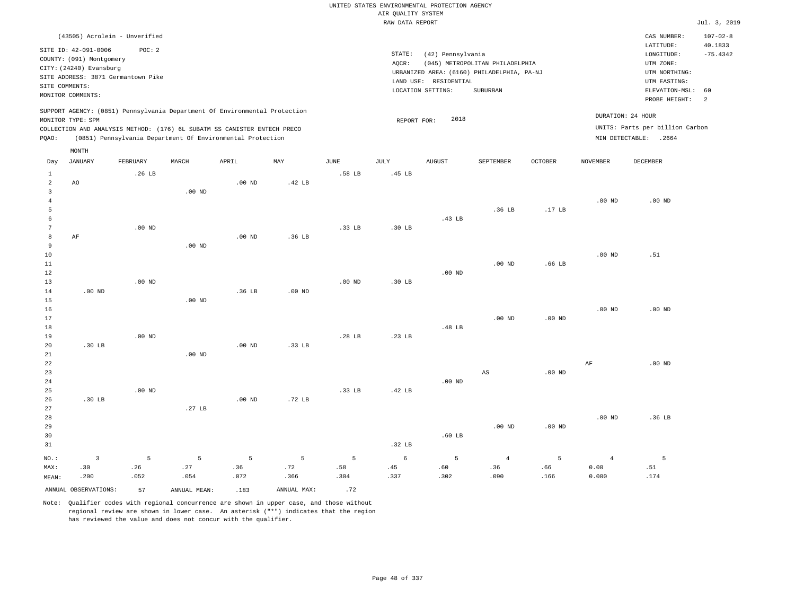|                      |                                                                                                 |                   |                   |                                                            |                   |             | UNITED STATES ENVIRONMENTAL PROTECTION AGENCY |                       |                                            |                   |                   |                                 |                           |
|----------------------|-------------------------------------------------------------------------------------------------|-------------------|-------------------|------------------------------------------------------------|-------------------|-------------|-----------------------------------------------|-----------------------|--------------------------------------------|-------------------|-------------------|---------------------------------|---------------------------|
|                      |                                                                                                 |                   |                   |                                                            |                   |             | AIR QUALITY SYSTEM                            |                       |                                            |                   |                   |                                 |                           |
|                      |                                                                                                 |                   |                   |                                                            |                   |             | RAW DATA REPORT                               |                       |                                            |                   |                   |                                 | Jul. 3, 2019              |
|                      | (43505) Acrolein - Unverified<br>SITE ID: 42-091-0006                                           | POC: 2            |                   |                                                            |                   |             |                                               |                       |                                            |                   |                   | CAS NUMBER:<br>LATITUDE:        | $107 - 02 - 8$<br>40.1833 |
|                      | COUNTY: (091) Montgomery                                                                        |                   |                   |                                                            |                   |             | STATE:                                        | (42) Pennsylvania     |                                            |                   |                   | LONGITUDE:                      | $-75.4342$                |
|                      | CITY: (24240) Evansburg                                                                         |                   |                   |                                                            |                   |             | AQCR:                                         |                       | (045) METROPOLITAN PHILADELPHIA            |                   |                   | UTM ZONE:                       |                           |
|                      | SITE ADDRESS: 3871 Germantown Pike                                                              |                   |                   |                                                            |                   |             |                                               |                       | URBANIZED AREA: (6160) PHILADELPHIA, PA-NJ |                   |                   | UTM NORTHING:                   |                           |
|                      | SITE COMMENTS:                                                                                  |                   |                   |                                                            |                   |             |                                               | LAND USE: RESIDENTIAL |                                            |                   |                   | UTM EASTING:                    |                           |
|                      | MONITOR COMMENTS:                                                                               |                   |                   |                                                            |                   |             |                                               | LOCATION SETTING:     | <b>SUBURBAN</b>                            |                   |                   | ELEVATION-MSL:<br>PROBE HEIGHT: | 60<br>2                   |
|                      | SUPPORT AGENCY: (0851) Pennsylvania Department Of Environmental Protection<br>MONITOR TYPE: SPM |                   |                   |                                                            |                   |             |                                               | 2018                  |                                            |                   |                   | DURATION: 24 HOUR               |                           |
|                      | COLLECTION AND ANALYSIS METHOD: (176) 6L SUBATM SS CANISTER ENTECH PRECO                        |                   |                   |                                                            |                   |             | REPORT FOR:                                   |                       |                                            |                   |                   | UNITS: Parts per billion Carbon |                           |
| PQAO:                |                                                                                                 |                   |                   | (0851) Pennsylvania Department Of Environmental Protection |                   |             |                                               |                       |                                            |                   |                   | MIN DETECTABLE: .2664           |                           |
|                      | MONTH                                                                                           |                   |                   |                                                            |                   |             |                                               |                       |                                            |                   |                   |                                 |                           |
| Day                  | <b>JANUARY</b>                                                                                  | FEBRUARY          | MARCH             | APRIL                                                      | MAY               | <b>JUNE</b> | <b>JULY</b>                                   | <b>AUGUST</b>         | SEPTEMBER                                  | OCTOBER           | <b>NOVEMBER</b>   | <b>DECEMBER</b>                 |                           |
| $\mathbf{1}$         |                                                                                                 | .26 LB            |                   |                                                            |                   | .58 LB      | .45 LB                                        |                       |                                            |                   |                   |                                 |                           |
| $\overline{2}$       | A <sub>O</sub>                                                                                  |                   |                   | .00 <sub>ND</sub>                                          | .42 <sub>LB</sub> |             |                                               |                       |                                            |                   |                   |                                 |                           |
| $\overline{3}$       |                                                                                                 |                   | $.00$ ND          |                                                            |                   |             |                                               |                       |                                            |                   |                   |                                 |                           |
| $\overline{4}$       |                                                                                                 |                   |                   |                                                            |                   |             |                                               |                       |                                            |                   | $.00$ ND          | $.00$ ND                        |                           |
| $\overline{5}$       |                                                                                                 |                   |                   |                                                            |                   |             |                                               |                       | .36 <sub>LB</sub>                          | .17 <sub>LB</sub> |                   |                                 |                           |
| 6<br>$7\phantom{.0}$ |                                                                                                 |                   |                   |                                                            |                   |             |                                               | .43 LB                |                                            |                   |                   |                                 |                           |
| 8                    | AF                                                                                              | .00 <sub>ND</sub> |                   | $.00$ ND                                                   | .36 <sub>LB</sub> | .33 LB      | $.30$ LB                                      |                       |                                            |                   |                   |                                 |                           |
| 9                    |                                                                                                 |                   | $.00$ ND          |                                                            |                   |             |                                               |                       |                                            |                   |                   |                                 |                           |
| 10                   |                                                                                                 |                   |                   |                                                            |                   |             |                                               |                       |                                            |                   | .00 <sub>ND</sub> | .51                             |                           |
| 11                   |                                                                                                 |                   |                   |                                                            |                   |             |                                               |                       | .00 <sub>ND</sub>                          | .66 <sub>LB</sub> |                   |                                 |                           |
| 12                   |                                                                                                 |                   |                   |                                                            |                   |             |                                               | $.00$ ND              |                                            |                   |                   |                                 |                           |
| 13                   |                                                                                                 | $.00$ ND          |                   |                                                            |                   | $.00$ ND    | .30 <sub>LB</sub>                             |                       |                                            |                   |                   |                                 |                           |
| 14                   | $.00$ ND                                                                                        |                   |                   | .36 <sub>LB</sub>                                          | $.00$ ND          |             |                                               |                       |                                            |                   |                   |                                 |                           |
| 15                   |                                                                                                 |                   | $.00$ ND          |                                                            |                   |             |                                               |                       |                                            |                   |                   |                                 |                           |
| 16                   |                                                                                                 |                   |                   |                                                            |                   |             |                                               |                       |                                            |                   | $.00$ ND          | $.00$ ND                        |                           |
| 17                   |                                                                                                 |                   |                   |                                                            |                   |             |                                               |                       | .00 <sub>ND</sub>                          | $.00$ ND          |                   |                                 |                           |
| 18                   |                                                                                                 |                   |                   |                                                            |                   |             |                                               | .48 LB                |                                            |                   |                   |                                 |                           |
| 19                   |                                                                                                 | .00 <sub>ND</sub> |                   |                                                            |                   | .28 LB      | .23 <sub>LB</sub>                             |                       |                                            |                   |                   |                                 |                           |
| 20                   | .30 LB                                                                                          |                   |                   | $.00$ ND                                                   | .33 LB            |             |                                               |                       |                                            |                   |                   |                                 |                           |
| 21                   |                                                                                                 |                   | $.00$ ND          |                                                            |                   |             |                                               |                       |                                            |                   |                   |                                 |                           |
| 22<br>23             |                                                                                                 |                   |                   |                                                            |                   |             |                                               |                       | AS                                         | $.00$ ND          | AF                | .00 <sub>ND</sub>               |                           |
| 24                   |                                                                                                 |                   |                   |                                                            |                   |             |                                               | $.00$ ND              |                                            |                   |                   |                                 |                           |
| 25                   |                                                                                                 | $.00$ ND          |                   |                                                            |                   | .33 LB      | .42 <sub>LB</sub>                             |                       |                                            |                   |                   |                                 |                           |
| 26                   | .30 LB                                                                                          |                   |                   | $.00$ ND                                                   | .72 <sub>LB</sub> |             |                                               |                       |                                            |                   |                   |                                 |                           |
| 27                   |                                                                                                 |                   | .27 <sub>LB</sub> |                                                            |                   |             |                                               |                       |                                            |                   |                   |                                 |                           |
| 28                   |                                                                                                 |                   |                   |                                                            |                   |             |                                               |                       |                                            |                   | .00 <sub>ND</sub> | .36 LB                          |                           |
| 29                   |                                                                                                 |                   |                   |                                                            |                   |             |                                               |                       | $.00$ ND                                   | $.00$ ND          |                   |                                 |                           |
| 30                   |                                                                                                 |                   |                   |                                                            |                   |             |                                               | .60 <sub>LB</sub>     |                                            |                   |                   |                                 |                           |
| 31                   |                                                                                                 |                   |                   |                                                            |                   |             | .32 <sub>LB</sub>                             |                       |                                            |                   |                   |                                 |                           |
| NO.:                 | $\overline{3}$                                                                                  | 5                 | 5                 | 5                                                          | 5                 | 5           | 6                                             | 5                     | $\overline{4}$                             | 5                 | $\overline{4}$    | 5                               |                           |
| MAX:                 | .30                                                                                             | .26               | .27               | .36                                                        | .72               | .58         | .45                                           | .60                   | .36                                        | .66               | 0.00              | .51                             |                           |
| MEAN:                | .200                                                                                            | .052              | .054              | .072                                                       | .366              | .304        | .337                                          | .302                  | .090                                       | .166              | 0.000             | .174                            |                           |
|                      | ANNUAL OBSERVATIONS:                                                                            | 57                | ANNUAL MEAN:      | .183                                                       | ANNUAL MAX:       | .72         |                                               |                       |                                            |                   |                   |                                 |                           |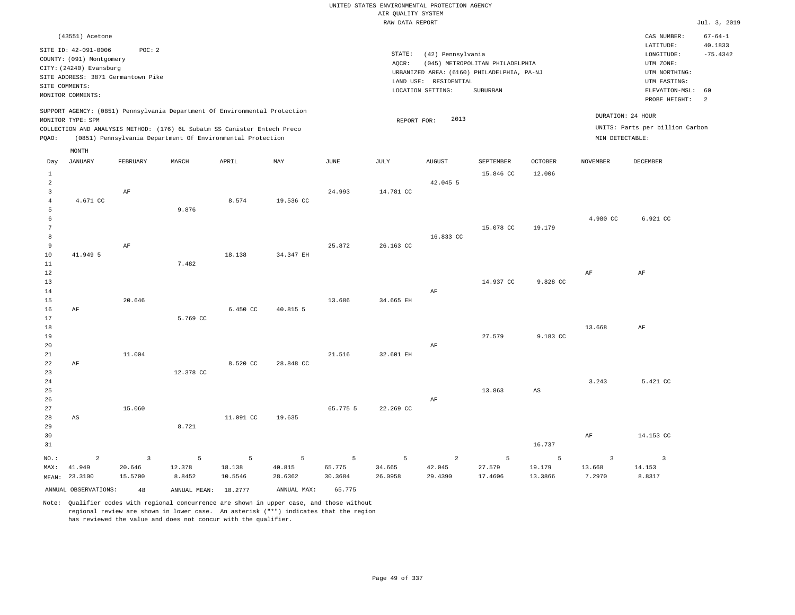|                            |                                                  |                                    |                                                                                                                                        |                   |                   |                   | UNITED STATES ENVIRONMENTAL PROTECTION AGENCY |                       |                                                                               |                         |                         |                                            |                       |
|----------------------------|--------------------------------------------------|------------------------------------|----------------------------------------------------------------------------------------------------------------------------------------|-------------------|-------------------|-------------------|-----------------------------------------------|-----------------------|-------------------------------------------------------------------------------|-------------------------|-------------------------|--------------------------------------------|-----------------------|
|                            |                                                  |                                    |                                                                                                                                        |                   |                   |                   | AIR QUALITY SYSTEM<br>RAW DATA REPORT         |                       |                                                                               |                         |                         |                                            | Jul. 3, 2019          |
|                            | (43551) Acetone                                  |                                    |                                                                                                                                        |                   |                   |                   |                                               |                       |                                                                               |                         |                         | CAS NUMBER:                                | $67 - 64 - 1$         |
|                            | SITE ID: 42-091-0006<br>COUNTY: (091) Montgomery | POC: 2                             |                                                                                                                                        |                   |                   |                   | STATE:                                        | (42) Pennsylvania     |                                                                               |                         |                         | LATITUDE:<br>LONGITUDE:                    | 40.1833<br>$-75.4342$ |
|                            | CITY: (24240) Evansburg                          | SITE ADDRESS: 3871 Germantown Pike |                                                                                                                                        |                   |                   |                   | AQCR:                                         | LAND USE: RESIDENTIAL | (045) METROPOLITAN PHILADELPHIA<br>URBANIZED AREA: (6160) PHILADELPHIA, PA-NJ |                         |                         | UTM ZONE:<br>UTM NORTHING:<br>UTM EASTING: |                       |
|                            | SITE COMMENTS:<br>MONITOR COMMENTS:              |                                    |                                                                                                                                        |                   |                   |                   |                                               | LOCATION SETTING:     | SUBURBAN                                                                      |                         |                         | ELEVATION-MSL:<br>PROBE HEIGHT:            | 60<br>2               |
|                            | MONITOR TYPE: SPM                                |                                    | SUPPORT AGENCY: (0851) Pennsylvania Department Of Environmental Protection                                                             |                   |                   |                   | REPORT FOR:                                   | 2013                  |                                                                               |                         | DURATION: 24 HOUR       |                                            |                       |
| PQAO:                      |                                                  |                                    | COLLECTION AND ANALYSIS METHOD: (176) 6L Subatm SS Canister Entech Preco<br>(0851) Pennsylvania Department Of Environmental Protection |                   |                   |                   |                                               |                       |                                                                               |                         | MIN DETECTABLE:         | UNITS: Parts per billion Carbon            |                       |
| Day                        | MONTH<br>JANUARY                                 | FEBRUARY                           | MARCH                                                                                                                                  | APRIL             | MAY               | JUNE              | JULY                                          | AUGUST                | SEPTEMBER                                                                     | <b>OCTOBER</b>          | NOVEMBER                | DECEMBER                                   |                       |
| $\mathbf{1}$<br>$\sqrt{2}$ |                                                  |                                    |                                                                                                                                        |                   |                   |                   |                                               | 42.045 5              | 15.846 CC                                                                     | 12.006                  |                         |                                            |                       |
| 3<br>$\overline{4}$<br>5   | 4.671 CC                                         | AF                                 | 9.876                                                                                                                                  | 8.574             | 19.536 CC         | 24.993            | 14.781 CC                                     |                       |                                                                               |                         |                         |                                            |                       |
| 6<br>$7\phantom{.0}$       |                                                  |                                    |                                                                                                                                        |                   |                   |                   |                                               |                       | 15.078 CC                                                                     | 19,179                  | 4.980 CC                | 6.921 CC                                   |                       |
| 8<br>9<br>$10$             | 41.949 5                                         | AF                                 |                                                                                                                                        | 18.138            |                   | 25.872            | 26.163 CC                                     | 16.833 CC             |                                                                               |                         |                         |                                            |                       |
| $1\,1$<br>12               |                                                  |                                    | 7.482                                                                                                                                  |                   | 34.347 EH         |                   |                                               |                       |                                                                               |                         | AF                      | AF                                         |                       |
| 13<br>14                   |                                                  |                                    |                                                                                                                                        |                   |                   |                   |                                               | $\rm AF$              | 14.937 CC                                                                     | 9.828 CC                |                         |                                            |                       |
| 15<br>16<br>17             | $\rm{AF}$                                        | 20.646                             | 5.769 CC                                                                                                                               | 6.450 CC          | 40.815 5          | 13.686            | 34.665 EH                                     |                       |                                                                               |                         |                         |                                            |                       |
| 18<br>19                   |                                                  |                                    |                                                                                                                                        |                   |                   |                   |                                               |                       | 27.579                                                                        | 9.183 CC                | 13.668                  | AF                                         |                       |
| 20<br>21<br>22             | $\rm{AF}$                                        | 11.004                             |                                                                                                                                        | 8.520 CC          | 28.848 CC         | 21.516            | 32.601 EH                                     | AF                    |                                                                               |                         |                         |                                            |                       |
| 23<br>24                   |                                                  |                                    | 12.378 CC                                                                                                                              |                   |                   |                   |                                               |                       |                                                                               |                         | 3.243                   | 5.421 CC                                   |                       |
| 25<br>26                   |                                                  |                                    |                                                                                                                                        |                   |                   |                   |                                               | AF                    | 13.863                                                                        | $\mathbb{A}\mathcal{S}$ |                         |                                            |                       |
| 27<br>28<br>29             | AS                                               | 15.060                             | 8.721                                                                                                                                  | 11.091 CC         | 19.635            | 65.775 5          | 22.269 CC                                     |                       |                                                                               |                         |                         |                                            |                       |
| 30<br>31                   |                                                  |                                    |                                                                                                                                        |                   |                   |                   |                                               |                       |                                                                               | 16.737                  | AF                      | 14.153 CC                                  |                       |
| NO.:                       | 2                                                | $\overline{3}$                     | 5                                                                                                                                      | $\overline{5}$    | $\overline{5}$    | 5                 | 5                                             | $\overline{a}$        | 5                                                                             | 5                       | $\overline{\mathbf{3}}$ | $\overline{\mathbf{3}}$                    |                       |
| MAX:<br>MEAN:              | 41.949<br>23.3100                                | 20.646<br>15.5700                  | 12.378<br>8.8452                                                                                                                       | 18.138<br>10.5546 | 40.815<br>28.6362 | 65.775<br>30.3684 | 34.665<br>26.0958                             | 42.045<br>29.4390     | 27.579<br>17.4606                                                             | 19.179<br>13.3866       | 13.668<br>7.2970        | 14.153<br>8.8317                           |                       |
|                            | ANNUAL OBSERVATIONS:                             | 48                                 | ANNUAL MEAN:                                                                                                                           | 18.2777           | ANNUAL MAX:       | 65.775            |                                               |                       |                                                                               |                         |                         |                                            |                       |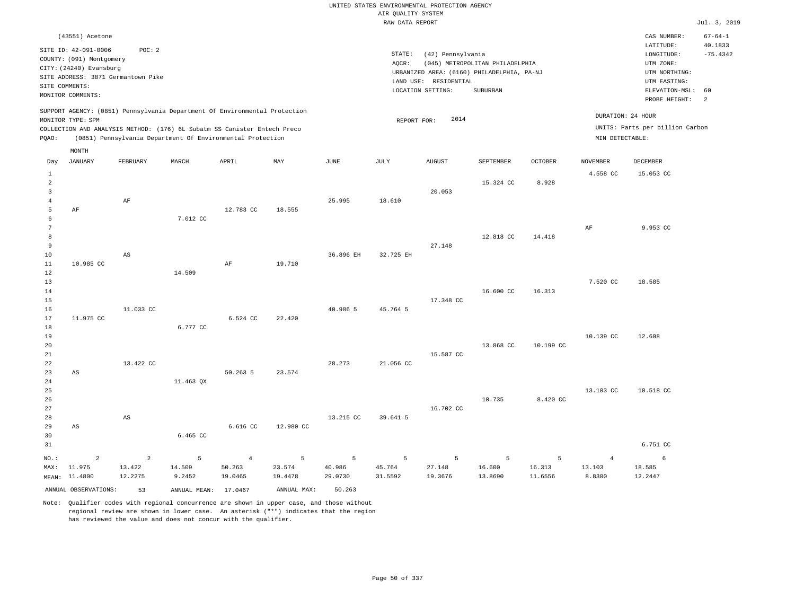|                 |                                                  |                |                                                                            |                |             |             | UNITED STATES ENVIRONMENTAL PROTECTION AGENCY |                       |                                            |                |                   |                                 |                          |
|-----------------|--------------------------------------------------|----------------|----------------------------------------------------------------------------|----------------|-------------|-------------|-----------------------------------------------|-----------------------|--------------------------------------------|----------------|-------------------|---------------------------------|--------------------------|
|                 |                                                  |                |                                                                            |                |             |             | AIR QUALITY SYSTEM                            |                       |                                            |                |                   |                                 |                          |
|                 |                                                  |                |                                                                            |                |             |             | RAW DATA REPORT                               |                       |                                            |                |                   |                                 | Jul. 3, 2019             |
|                 | (43551) Acetone                                  |                |                                                                            |                |             |             |                                               |                       |                                            |                |                   | CAS NUMBER:<br>LATITUDE:        | $67 - 64 - 1$<br>40.1833 |
|                 | SITE ID: 42-091-0006<br>COUNTY: (091) Montgomery | POC: 2         |                                                                            |                |             |             | STATE:                                        | (42) Pennsylvania     |                                            |                |                   | LONGITUDE:                      | $-75.4342$               |
|                 | CITY: (24240) Evansburg                          |                |                                                                            |                |             |             | AQCR:                                         |                       | (045) METROPOLITAN PHILADELPHIA            |                |                   | UTM ZONE:                       |                          |
|                 | SITE ADDRESS: 3871 Germantown Pike               |                |                                                                            |                |             |             |                                               |                       | URBANIZED AREA: (6160) PHILADELPHIA, PA-NJ |                |                   | UTM NORTHING:                   |                          |
| SITE COMMENTS:  |                                                  |                |                                                                            |                |             |             |                                               | LAND USE: RESIDENTIAL |                                            |                |                   | UTM EASTING:                    |                          |
|                 | MONITOR COMMENTS:                                |                |                                                                            |                |             |             |                                               | LOCATION SETTING:     | SUBURBAN                                   |                |                   | ELEVATION-MSL:<br>PROBE HEIGHT: | 60<br>2                  |
|                 |                                                  |                | SUPPORT AGENCY: (0851) Pennsylvania Department Of Environmental Protection |                |             |             |                                               | 2014                  |                                            |                | DURATION: 24 HOUR |                                 |                          |
|                 | MONITOR TYPE: SPM                                |                | COLLECTION AND ANALYSIS METHOD: (176) 6L Subatm SS Canister Entech Preco   |                |             |             | REPORT FOR:                                   |                       |                                            |                |                   | UNITS: Parts per billion Carbon |                          |
| PQAO:           |                                                  |                | (0851) Pennsylvania Department Of Environmental Protection                 |                |             |             |                                               |                       |                                            |                | MIN DETECTABLE:   |                                 |                          |
| Day             | MONTH<br><b>JANUARY</b>                          | FEBRUARY       | MARCH                                                                      | APRIL          | MAY         | <b>JUNE</b> | JULY                                          | <b>AUGUST</b>         | SEPTEMBER                                  | <b>OCTOBER</b> | <b>NOVEMBER</b>   | DECEMBER                        |                          |
| $\mathbf{1}$    |                                                  |                |                                                                            |                |             |             |                                               |                       |                                            |                | 4.558 CC          | 15.053 CC                       |                          |
| $\overline{a}$  |                                                  |                |                                                                            |                |             |             |                                               |                       | 15.324 CC                                  | 8.928          |                   |                                 |                          |
| $\overline{3}$  |                                                  |                |                                                                            |                |             |             |                                               | 20.053                |                                            |                |                   |                                 |                          |
| $\overline{4}$  |                                                  | AF             |                                                                            |                |             | 25.995      | 18.610                                        |                       |                                            |                |                   |                                 |                          |
| 5               | AF                                               |                |                                                                            | 12.783 CC      | 18.555      |             |                                               |                       |                                            |                |                   |                                 |                          |
| 6               |                                                  |                | 7.012 CC                                                                   |                |             |             |                                               |                       |                                            |                |                   |                                 |                          |
| $7\phantom{.0}$ |                                                  |                |                                                                            |                |             |             |                                               |                       |                                            |                | AF                | 9.953 CC                        |                          |
| 8               |                                                  |                |                                                                            |                |             |             |                                               |                       | 12.818 CC                                  | 14.418         |                   |                                 |                          |
| 9               |                                                  |                |                                                                            |                |             |             |                                               | 27.148                |                                            |                |                   |                                 |                          |
| $10$            |                                                  | AS             |                                                                            |                |             | 36.896 EH   | 32.725 EH                                     |                       |                                            |                |                   |                                 |                          |
| 11              | 10.985 CC                                        |                |                                                                            | AF             | 19.710      |             |                                               |                       |                                            |                |                   |                                 |                          |
| 12              |                                                  |                | 14.509                                                                     |                |             |             |                                               |                       |                                            |                |                   |                                 |                          |
| 13              |                                                  |                |                                                                            |                |             |             |                                               |                       |                                            |                | 7.520 CC          | 18.585                          |                          |
| 14              |                                                  |                |                                                                            |                |             |             |                                               |                       | 16.600 CC                                  | 16.313         |                   |                                 |                          |
| 15              |                                                  |                |                                                                            |                |             |             |                                               | 17.348 CC             |                                            |                |                   |                                 |                          |
| 16              |                                                  | 11.033 CC      |                                                                            |                |             | 40.986 5    | 45.764 5                                      |                       |                                            |                |                   |                                 |                          |
| 17              | 11.975 CC                                        |                | 6.777 CC                                                                   | 6.524 CC       | 22.420      |             |                                               |                       |                                            |                |                   |                                 |                          |
| 18<br>19        |                                                  |                |                                                                            |                |             |             |                                               |                       |                                            |                | 10.139 CC         | 12.608                          |                          |
| 20              |                                                  |                |                                                                            |                |             |             |                                               |                       | 13.868 CC                                  | 10.199 CC      |                   |                                 |                          |
| 21              |                                                  |                |                                                                            |                |             |             |                                               | 15.587 CC             |                                            |                |                   |                                 |                          |
| 22              |                                                  | 13,422 CC      |                                                                            |                |             | 28.273      | 21.056 CC                                     |                       |                                            |                |                   |                                 |                          |
| 23              | AS                                               |                |                                                                            | 50.263 5       | 23.574      |             |                                               |                       |                                            |                |                   |                                 |                          |
| 24              |                                                  |                | 11.463 QX                                                                  |                |             |             |                                               |                       |                                            |                |                   |                                 |                          |
| 25              |                                                  |                |                                                                            |                |             |             |                                               |                       |                                            |                | 13.103 CC         | 10.518 CC                       |                          |
| 26              |                                                  |                |                                                                            |                |             |             |                                               |                       | 10.735                                     | 8.420 CC       |                   |                                 |                          |
| 27              |                                                  |                |                                                                            |                |             |             |                                               | 16.702 CC             |                                            |                |                   |                                 |                          |
| 28              |                                                  | AS             |                                                                            |                |             | 13.215 CC   | 39.641 5                                      |                       |                                            |                |                   |                                 |                          |
| 29              | AS                                               |                |                                                                            | 6.616 CC       | 12.980 CC   |             |                                               |                       |                                            |                |                   |                                 |                          |
| 30              |                                                  |                | 6.465 CC                                                                   |                |             |             |                                               |                       |                                            |                |                   |                                 |                          |
| 31              |                                                  |                |                                                                            |                |             |             |                                               |                       |                                            |                |                   | 6.751 CC                        |                          |
| NO.:            | $\overline{a}$                                   | $\overline{a}$ | 5                                                                          | $\overline{4}$ | 5           | 5           | 5                                             | 5                     | 5                                          | 5              | $\overline{4}$    | 6                               |                          |
| MAX:            | 11.975                                           | 13.422         | 14.509                                                                     | 50.263         | 23.574      | 40.986      | 45.764                                        | 27.148                | 16.600                                     | 16.313         | 13.103            | 18.585                          |                          |
|                 | MEAN: 11.4800                                    | 12.2275        | 9.2452                                                                     | 19.0465        | 19.4478     | 29.0730     | 31.5592                                       | 19.3676               | 13.8690                                    | 11.6556        | 8.8300            | 12.2447                         |                          |
|                 | ANNUAL OBSERVATIONS:                             | 53             | ANNUAL MEAN: 17.0467                                                       |                | ANNUAL MAX: | 50.263      |                                               |                       |                                            |                |                   |                                 |                          |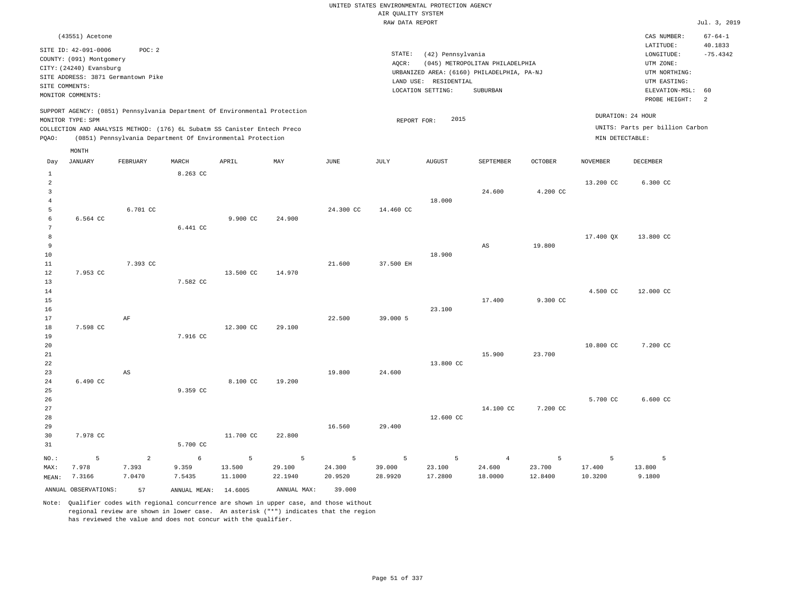|                                                     |                                                                                                                                                                             |                                   |                                                            |                        |                        |                        | UNITED STATES ENVIRONMENTAL PROTECTION AGENCY |                                                                 |                                                                                                  |                        |                        |                                                                                                                         |                                                   |
|-----------------------------------------------------|-----------------------------------------------------------------------------------------------------------------------------------------------------------------------------|-----------------------------------|------------------------------------------------------------|------------------------|------------------------|------------------------|-----------------------------------------------|-----------------------------------------------------------------|--------------------------------------------------------------------------------------------------|------------------------|------------------------|-------------------------------------------------------------------------------------------------------------------------|---------------------------------------------------|
|                                                     |                                                                                                                                                                             |                                   |                                                            |                        |                        |                        | AIR QUALITY SYSTEM                            |                                                                 |                                                                                                  |                        |                        |                                                                                                                         |                                                   |
|                                                     |                                                                                                                                                                             |                                   |                                                            |                        |                        |                        | RAW DATA REPORT                               |                                                                 |                                                                                                  |                        |                        |                                                                                                                         | Jul. 3, 2019                                      |
|                                                     | (43551) Acetone<br>SITE ID: 42-091-0006<br>COUNTY: (091) Montgomery<br>CITY: (24240) Evansburg<br>SITE ADDRESS: 3871 Germantown Pike<br>SITE COMMENTS:<br>MONITOR COMMENTS: | POC: 2                            |                                                            |                        |                        |                        | STATE:<br>AQCR:                               | (42) Pennsylvania<br>LAND USE: RESIDENTIAL<br>LOCATION SETTING: | (045) METROPOLITAN PHILADELPHIA<br>URBANIZED AREA: (6160) PHILADELPHIA, PA-NJ<br><b>SUBURBAN</b> |                        |                        | CAS NUMBER:<br>LATITUDE:<br>LONGITUDE:<br>UTM ZONE:<br>UTM NORTHING:<br>UTM EASTING:<br>ELEVATION-MSL:<br>PROBE HEIGHT: | $67 - 64 - 1$<br>40.1833<br>$-75.4342$<br>60<br>2 |
|                                                     | SUPPORT AGENCY: (0851) Pennsylvania Department Of Environmental Protection                                                                                                  |                                   |                                                            |                        |                        |                        |                                               |                                                                 |                                                                                                  |                        |                        | DURATION: 24 HOUR                                                                                                       |                                                   |
| PQAO:                                               | MONITOR TYPE: SPM<br>COLLECTION AND ANALYSIS METHOD: (176) 6L Subatm SS Canister Entech Preco                                                                               |                                   | (0851) Pennsylvania Department Of Environmental Protection |                        |                        |                        | REPORT FOR:                                   | 2015                                                            |                                                                                                  |                        | MIN DETECTABLE:        | UNITS: Parts per billion Carbon                                                                                         |                                                   |
|                                                     | MONTH                                                                                                                                                                       |                                   |                                                            |                        |                        |                        |                                               |                                                                 |                                                                                                  |                        |                        |                                                                                                                         |                                                   |
| Day                                                 | <b>JANUARY</b>                                                                                                                                                              | FEBRUARY                          | MARCH                                                      | APRIL                  | MAY                    | <b>JUNE</b>            | <b>JULY</b>                                   | <b>AUGUST</b>                                                   | SEPTEMBER                                                                                        | <b>OCTOBER</b>         | <b>NOVEMBER</b>        | <b>DECEMBER</b>                                                                                                         |                                                   |
| 1<br>$\overline{2}$<br>$\overline{3}$               |                                                                                                                                                                             |                                   | 8.263 CC                                                   |                        |                        |                        |                                               |                                                                 | 24.600                                                                                           | 4.200 CC               | 13.200 CC              | 6.300 CC                                                                                                                |                                                   |
| $\overline{4}$<br>5<br>$\epsilon$<br>$\overline{7}$ | 6.564 CC                                                                                                                                                                    | 6.701 CC                          | 6.441 CC                                                   | 9.900 CC               | 24.900                 | 24.300 CC              | 14.460 CC                                     | 18.000                                                          |                                                                                                  |                        |                        |                                                                                                                         |                                                   |
| 8<br>$\overline{9}$<br>10<br>11                     |                                                                                                                                                                             | 7.393 CC                          |                                                            |                        |                        | 21.600                 | 37.500 EH                                     | 18.900                                                          | $_{\rm AS}$                                                                                      | 19.800                 | 17.400 QX              | 13.800 CC                                                                                                               |                                                   |
| 12<br>13<br>14<br>15                                | 7.953 CC                                                                                                                                                                    |                                   | 7.582 CC                                                   | 13.500 CC              | 14.970                 |                        |                                               |                                                                 | 17.400                                                                                           | 9.300 CC               | 4.500 CC               | 12.000 CC                                                                                                               |                                                   |
| 16<br>17<br>18<br>19                                | 7.598 CC                                                                                                                                                                    | AF                                | 7.916 CC                                                   | 12.300 CC              | 29.100                 | 22.500                 | 39.000 5                                      | 23.100                                                          |                                                                                                  |                        |                        |                                                                                                                         |                                                   |
| 20<br>21<br>22<br>23                                |                                                                                                                                                                             | AS                                |                                                            |                        |                        | 19,800                 | 24,600                                        | 13.800 CC                                                       | 15.900                                                                                           | 23,700                 | 10.800 CC              | 7.200 CC                                                                                                                |                                                   |
| 24<br>25<br>26<br>27                                | 6.490 CC                                                                                                                                                                    |                                   | 9.359 CC                                                   | 8.100 CC               | 19.200                 |                        |                                               |                                                                 | 14.100 CC                                                                                        | 7.200 CC               | 5.700 CC               | 6.600 CC                                                                                                                |                                                   |
| 28<br>29<br>30<br>31                                | 7.978 CC                                                                                                                                                                    |                                   | 5.700 CC                                                   | 11,700 CC              | 22.800                 | 16.560                 | 29.400                                        | 12.600 CC                                                       |                                                                                                  |                        |                        |                                                                                                                         |                                                   |
| NO.:<br>MAX:<br>MEAN:                               | 5<br>7.978<br>7.3166                                                                                                                                                        | $\overline{a}$<br>7.393<br>7.0470 | 6<br>9.359<br>7.5435                                       | 5<br>13.500<br>11.1000 | 5<br>29.100<br>22.1940 | 5<br>24.300<br>20.9520 | 5<br>39.000<br>28.9920                        | 5<br>23.100<br>17.2800                                          | $\overline{4}$<br>24,600<br>18.0000                                                              | 5<br>23,700<br>12.8400 | 5<br>17.400<br>10.3200 | 5<br>13,800<br>9.1800                                                                                                   |                                                   |
|                                                     | ANNUAL OBSERVATIONS:                                                                                                                                                        | 57                                | ANNUAL MEAN:                                               | 14.6005                | ANNUAL MAX:            | 39,000                 |                                               |                                                                 |                                                                                                  |                        |                        |                                                                                                                         |                                                   |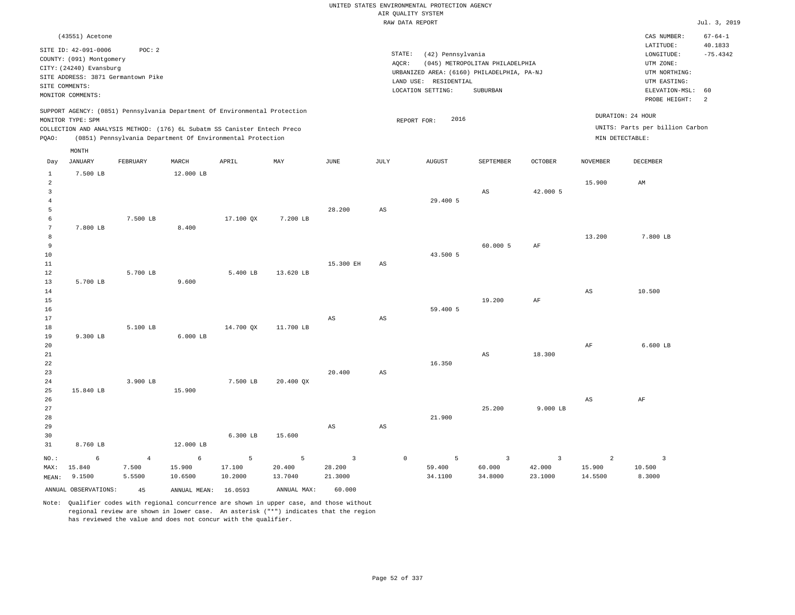|                  |                                                     |                         |                                                                            |             |                           |                        |                        | UNITED STATES ENVIRONMENTAL PROTECTION AGENCY |                                 |                          |                          |                                   |                          |
|------------------|-----------------------------------------------------|-------------------------|----------------------------------------------------------------------------|-------------|---------------------------|------------------------|------------------------|-----------------------------------------------|---------------------------------|--------------------------|--------------------------|-----------------------------------|--------------------------|
|                  |                                                     |                         |                                                                            |             |                           |                        |                        | AIR QUALITY SYSTEM                            |                                 |                          |                          |                                   |                          |
|                  |                                                     |                         |                                                                            |             |                           |                        |                        | RAW DATA REPORT                               |                                 |                          |                          |                                   | Jul. 3, 2019             |
|                  | (43551) Acetone                                     |                         |                                                                            |             |                           |                        |                        |                                               |                                 |                          |                          | CAS NUMBER:<br>LATITUDE:          | $67 - 64 - 1$<br>40.1833 |
|                  | SITE ID: 42-091-0006                                | POC: 2                  |                                                                            |             |                           |                        | STATE:                 | (42) Pennsylvania                             |                                 |                          |                          | LONGITUDE:                        | $-75.4342$               |
|                  | COUNTY: (091) Montgomery<br>CITY: (24240) Evansburg |                         |                                                                            |             |                           |                        | AQCR:                  |                                               | (045) METROPOLITAN PHILADELPHIA |                          |                          | UTM ZONE:                         |                          |
|                  | SITE ADDRESS: 3871 Germantown Pike                  |                         |                                                                            |             |                           |                        |                        | URBANIZED AREA: (6160) PHILADELPHIA, PA-NJ    |                                 |                          |                          | UTM NORTHING:                     |                          |
|                  | SITE COMMENTS:                                      |                         |                                                                            |             |                           |                        |                        | LAND USE: RESIDENTIAL                         |                                 |                          |                          | UTM EASTING:                      | 60                       |
|                  | MONITOR COMMENTS:                                   |                         |                                                                            |             |                           |                        |                        | LOCATION SETTING:                             | SUBURBAN                        |                          |                          | ELEVATION-MSL:<br>PROBE HEIGHT:   | 2                        |
|                  | MONITOR TYPE: SPM                                   |                         | SUPPORT AGENCY: (0851) Pennsylvania Department Of Environmental Protection |             |                           |                        |                        | 2016<br>REPORT FOR:                           |                                 |                          |                          | DURATION: 24 HOUR                 |                          |
|                  |                                                     |                         | COLLECTION AND ANALYSIS METHOD: (176) 6L Subatm SS Canister Entech Preco   |             |                           |                        |                        |                                               |                                 |                          |                          | UNITS: Parts per billion Carbon   |                          |
| PQAO:            |                                                     |                         | (0851) Pennsylvania Department Of Environmental Protection                 |             |                           |                        |                        |                                               |                                 |                          | MIN DETECTABLE:          |                                   |                          |
| Day              | MONTH<br>JANUARY                                    | FEBRUARY                | MARCH                                                                      | APRIL       | $\ensuremath{\text{MAX}}$ | $_{\rm JUNE}$          | JULY                   | <b>AUGUST</b>                                 | SEPTEMBER                       | <b>OCTOBER</b>           | <b>NOVEMBER</b>          | DECEMBER                          |                          |
| $\mathbf{1}$     | 7.500 LB                                            |                         | 12.000 LB                                                                  |             |                           |                        |                        |                                               |                                 |                          |                          |                                   |                          |
| $\overline{a}$   |                                                     |                         |                                                                            |             |                           |                        |                        |                                               |                                 |                          | 15.900                   | AM                                |                          |
| 3                |                                                     |                         |                                                                            |             |                           |                        |                        |                                               | AS                              | 42.000 5                 |                          |                                   |                          |
| $\bf{4}$<br>5    |                                                     |                         |                                                                            |             |                           | 28.200                 | $_{\rm AS}$            | 29.400 5                                      |                                 |                          |                          |                                   |                          |
| 6                |                                                     | 7.500 LB                |                                                                            | 17.100 QX   | 7.200 LB                  |                        |                        |                                               |                                 |                          |                          |                                   |                          |
| $\boldsymbol{7}$ | 7.800 LB                                            |                         | 8.400                                                                      |             |                           |                        |                        |                                               |                                 |                          |                          |                                   |                          |
| 8                |                                                     |                         |                                                                            |             |                           |                        |                        |                                               |                                 |                          | 13.200                   | 7.800 LB                          |                          |
| 9                |                                                     |                         |                                                                            |             |                           |                        |                        |                                               | 60.000 5                        | AF                       |                          |                                   |                          |
| 10               |                                                     |                         |                                                                            |             |                           |                        |                        | 43.500 5                                      |                                 |                          |                          |                                   |                          |
| $1\,1$<br>12     |                                                     | 5.700 LB                |                                                                            | 5.400 LB    | 13.620 LB                 | 15.300 EH              | AS                     |                                               |                                 |                          |                          |                                   |                          |
| 13               | 5.700 LB                                            |                         | 9.600                                                                      |             |                           |                        |                        |                                               |                                 |                          |                          |                                   |                          |
| 14               |                                                     |                         |                                                                            |             |                           |                        |                        |                                               |                                 |                          | $_{\rm AS}$              | 10.500                            |                          |
| 15               |                                                     |                         |                                                                            |             |                           |                        |                        |                                               | 19.200                          | AF                       |                          |                                   |                          |
| 16               |                                                     |                         |                                                                            |             |                           |                        |                        | 59.400 5                                      |                                 |                          |                          |                                   |                          |
| 17<br>18         |                                                     | 5.100 LB                |                                                                            | 14.700 OX   | 11.700 LB                 | AS                     | $\mathbb{A}\mathbb{S}$ |                                               |                                 |                          |                          |                                   |                          |
| 19               | 9.300 LB                                            |                         | $6.000$ LB                                                                 |             |                           |                        |                        |                                               |                                 |                          |                          |                                   |                          |
| 20               |                                                     |                         |                                                                            |             |                           |                        |                        |                                               |                                 |                          | $\rm{AF}$                | $6.600$ LB                        |                          |
| 21               |                                                     |                         |                                                                            |             |                           |                        |                        |                                               | AS                              | 18.300                   |                          |                                   |                          |
| 22<br>23         |                                                     |                         |                                                                            |             |                           | 20.400                 |                        | 16.350                                        |                                 |                          |                          |                                   |                          |
| 24               |                                                     | 3.900 LB                |                                                                            | 7.500 LB    | 20.400 QX                 |                        | AS                     |                                               |                                 |                          |                          |                                   |                          |
| 25               | 15.840 LB                                           |                         | 15.900                                                                     |             |                           |                        |                        |                                               |                                 |                          |                          |                                   |                          |
| 26               |                                                     |                         |                                                                            |             |                           |                        |                        |                                               |                                 |                          | $\mathbb{A}\mathbb{S}$   | $\rm AF$                          |                          |
| 27               |                                                     |                         |                                                                            |             |                           |                        |                        |                                               | 25.200                          | $9.000$ LB               |                          |                                   |                          |
| 28               |                                                     |                         |                                                                            |             |                           |                        |                        | 21.900                                        |                                 |                          |                          |                                   |                          |
| 29               |                                                     |                         |                                                                            | 6.300 LB    | 15.600                    | $\mathbb{A}\mathbb{S}$ | AS                     |                                               |                                 |                          |                          |                                   |                          |
| 30<br>31         | 8.760 LB                                            |                         | 12.000 LB                                                                  |             |                           |                        |                        |                                               |                                 |                          |                          |                                   |                          |
|                  |                                                     |                         |                                                                            |             |                           |                        |                        |                                               |                                 |                          |                          |                                   |                          |
| NO.:<br>MAX:     | 6<br>15.840                                         | $\overline{4}$<br>7.500 | 6<br>15.900                                                                | 5<br>17.100 | 5<br>20.400               | 3<br>28.200            |                        | $\mathbb O$<br>5<br>59.400                    | $\overline{3}$<br>60.000        | $\overline{3}$<br>42.000 | $\overline{a}$<br>15.900 | $\overline{\mathbf{3}}$<br>10.500 |                          |
| MEAN:            | 9.1500                                              | 5.5500                  | 10.6500                                                                    | 10.2000     | 13.7040                   | 21.3000                |                        | 34.1100                                       | 34.8000                         | 23.1000                  | 14.5500                  | 8.3000                            |                          |
|                  | ANNUAL OBSERVATIONS:                                | 45                      | ANNUAL MEAN:                                                               | 16.0593     | ANNUAL MAX:               | 60.000                 |                        |                                               |                                 |                          |                          |                                   |                          |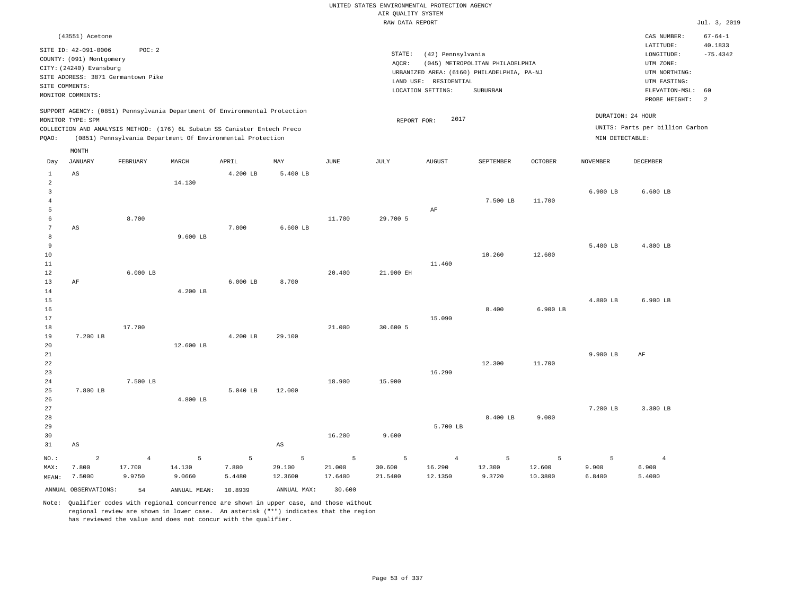|                     |                                                     |                                    |              |                                                                            |                           |                       | UNITED STATES ENVIRONMENTAL PROTECTION AGENCY |                       |                                            |                |                   |                                 |                          |
|---------------------|-----------------------------------------------------|------------------------------------|--------------|----------------------------------------------------------------------------|---------------------------|-----------------------|-----------------------------------------------|-----------------------|--------------------------------------------|----------------|-------------------|---------------------------------|--------------------------|
|                     |                                                     |                                    |              |                                                                            |                           |                       | AIR QUALITY SYSTEM                            |                       |                                            |                |                   |                                 |                          |
|                     |                                                     |                                    |              |                                                                            |                           |                       | RAW DATA REPORT                               |                       |                                            |                |                   |                                 | Jul. 3, 2019             |
|                     | (43551) Acetone                                     |                                    |              |                                                                            |                           |                       |                                               |                       |                                            |                |                   | CAS NUMBER:<br>LATITUDE:        | $67 - 64 - 1$<br>40.1833 |
|                     | SITE ID: 42-091-0006                                | POC: 2                             |              |                                                                            |                           |                       | STATE:                                        | (42) Pennsylvania     |                                            |                |                   | LONGITUDE:                      | $-75.4342$               |
|                     | COUNTY: (091) Montgomery<br>CITY: (24240) Evansburg |                                    |              |                                                                            |                           |                       | AQCR:                                         |                       | (045) METROPOLITAN PHILADELPHIA            |                |                   | UTM ZONE:                       |                          |
|                     |                                                     | SITE ADDRESS: 3871 Germantown Pike |              |                                                                            |                           |                       |                                               |                       | URBANIZED AREA: (6160) PHILADELPHIA, PA-NJ |                |                   | UTM NORTHING:                   |                          |
| SITE COMMENTS:      |                                                     |                                    |              |                                                                            |                           |                       |                                               | LAND USE: RESIDENTIAL |                                            |                |                   | UTM EASTING:                    |                          |
|                     | MONITOR COMMENTS:                                   |                                    |              |                                                                            |                           |                       |                                               | LOCATION SETTING:     | <b>SUBURBAN</b>                            |                |                   | ELEVATION-MSL:<br>PROBE HEIGHT: | 60<br>2                  |
|                     | MONITOR TYPE: SPM                                   |                                    |              | SUPPORT AGENCY: (0851) Pennsylvania Department Of Environmental Protection |                           |                       | REPORT FOR:                                   | 2017                  |                                            |                | DURATION: 24 HOUR |                                 |                          |
|                     |                                                     |                                    |              | COLLECTION AND ANALYSIS METHOD: (176) 6L Subatm SS Canister Entech Preco   |                           |                       |                                               |                       |                                            |                |                   | UNITS: Parts per billion Carbon |                          |
| PQAO:               |                                                     |                                    |              | (0851) Pennsylvania Department Of Environmental Protection                 |                           |                       |                                               |                       |                                            |                | MIN DETECTABLE:   |                                 |                          |
| Day                 | MONTH<br><b>JANUARY</b>                             | FEBRUARY                           | MARCH        | APRIL                                                                      | $\ensuremath{\text{MAX}}$ | $\operatorname{JUNE}$ | $\mathtt{JULY}$                               | <b>AUGUST</b>         | SEPTEMBER                                  | <b>OCTOBER</b> | <b>NOVEMBER</b>   | DECEMBER                        |                          |
| $\mathbf{1}$        | AS                                                  |                                    |              | 4.200 LB                                                                   | 5.400 LB                  |                       |                                               |                       |                                            |                |                   |                                 |                          |
| $\overline{a}$      |                                                     |                                    | 14.130       |                                                                            |                           |                       |                                               |                       |                                            |                |                   |                                 |                          |
| 3                   |                                                     |                                    |              |                                                                            |                           |                       |                                               |                       |                                            |                | 6.900 LB          | $6.600$ LB                      |                          |
| $\overline{4}$      |                                                     |                                    |              |                                                                            |                           |                       |                                               |                       | 7.500 LB                                   | 11,700         |                   |                                 |                          |
| 5                   |                                                     |                                    |              |                                                                            |                           |                       |                                               | AF                    |                                            |                |                   |                                 |                          |
| 6                   |                                                     | 8.700                              |              |                                                                            |                           | 11.700                | 29.700 5                                      |                       |                                            |                |                   |                                 |                          |
| $\overline{7}$<br>8 | AS                                                  |                                    | 9.600 LB     | 7.800                                                                      | 6.600 LB                  |                       |                                               |                       |                                            |                |                   |                                 |                          |
| 9                   |                                                     |                                    |              |                                                                            |                           |                       |                                               |                       |                                            |                | 5.400 LB          | 4.800 LB                        |                          |
| 10                  |                                                     |                                    |              |                                                                            |                           |                       |                                               |                       | 10.260                                     | 12.600         |                   |                                 |                          |
| 11                  |                                                     |                                    |              |                                                                            |                           |                       |                                               | 11.460                |                                            |                |                   |                                 |                          |
| 12                  |                                                     | $6.000$ LB                         |              |                                                                            |                           | 20.400                | 21.900 EH                                     |                       |                                            |                |                   |                                 |                          |
| 13                  | AF                                                  |                                    |              | $6.000$ LB                                                                 | 8.700                     |                       |                                               |                       |                                            |                |                   |                                 |                          |
| 14                  |                                                     |                                    | 4.200 LB     |                                                                            |                           |                       |                                               |                       |                                            |                |                   |                                 |                          |
| 15                  |                                                     |                                    |              |                                                                            |                           |                       |                                               |                       |                                            |                | 4.800 LB          | 6.900 LB                        |                          |
| 16<br>17            |                                                     |                                    |              |                                                                            |                           |                       |                                               | 15,090                | 8.400                                      | 6.900 LB       |                   |                                 |                          |
| 18                  |                                                     | 17.700                             |              |                                                                            |                           | 21.000                | 30.600 5                                      |                       |                                            |                |                   |                                 |                          |
| 19                  | 7.200 LB                                            |                                    |              | 4.200 LB                                                                   | 29,100                    |                       |                                               |                       |                                            |                |                   |                                 |                          |
| 20                  |                                                     |                                    | 12.600 LB    |                                                                            |                           |                       |                                               |                       |                                            |                |                   |                                 |                          |
| 21                  |                                                     |                                    |              |                                                                            |                           |                       |                                               |                       |                                            |                | 9.900 LB          | AF                              |                          |
| 22                  |                                                     |                                    |              |                                                                            |                           |                       |                                               |                       | 12.300                                     | 11.700         |                   |                                 |                          |
| 23                  |                                                     |                                    |              |                                                                            |                           |                       |                                               | 16.290                |                                            |                |                   |                                 |                          |
| 24                  |                                                     | 7.500 LB                           |              |                                                                            |                           | 18.900                | 15.900                                        |                       |                                            |                |                   |                                 |                          |
| 25<br>26            | 7.800 LB                                            |                                    | 4.800 LB     | 5.040 LB                                                                   | 12.000                    |                       |                                               |                       |                                            |                |                   |                                 |                          |
| 27                  |                                                     |                                    |              |                                                                            |                           |                       |                                               |                       |                                            |                | 7.200 LB          | 3.300 LB                        |                          |
| 28                  |                                                     |                                    |              |                                                                            |                           |                       |                                               |                       | 8.400 LB                                   | 9,000          |                   |                                 |                          |
| 29                  |                                                     |                                    |              |                                                                            |                           |                       |                                               | 5.700 LB              |                                            |                |                   |                                 |                          |
| 30                  |                                                     |                                    |              |                                                                            |                           | 16.200                | 9.600                                         |                       |                                            |                |                   |                                 |                          |
| 31                  | $\mathbb{A}\mathbb{S}$                              |                                    |              |                                                                            | $\mathbb{A}\mathbb{S}$    |                       |                                               |                       |                                            |                |                   |                                 |                          |
| NO.:                | $\overline{2}$                                      | $\overline{4}$                     | 5            | 5                                                                          | 5                         | 5                     | 5                                             | $\overline{4}$        | 5                                          | 5              | 5                 | $\overline{4}$                  |                          |
| MAX:                | 7.800                                               | 17.700                             | 14.130       | 7.800                                                                      | 29.100                    | 21.000                | 30.600                                        | 16.290                | 12.300                                     | 12.600         | 9.900             | 6.900                           |                          |
| MEAN:               | 7.5000                                              | 9.9750                             | 9.0660       | 5.4480                                                                     | 12.3600                   | 17.6400               | 21.5400                                       | 12.1350               | 9.3720                                     | 10.3800        | 6.8400            | 5.4000                          |                          |
|                     | ANNUAL OBSERVATIONS:                                | 54                                 | ANNUAL MEAN: | 10.8939                                                                    | ANNUAL MAX:               | 30.600                |                                               |                       |                                            |                |                   |                                 |                          |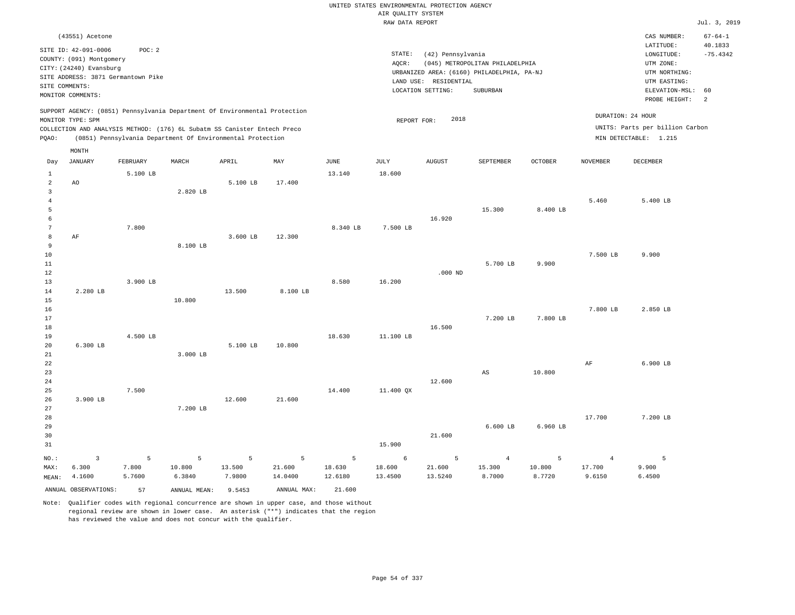|                                                            |                                                                                                                   |                      |                       |                                                                                                                                                                                                                      |                        |                        |                                       | UNITED STATES ENVIRONMENTAL PROTECTION AGENCY                                            |                                    |                       |                                    |                                                                           |                       |
|------------------------------------------------------------|-------------------------------------------------------------------------------------------------------------------|----------------------|-----------------------|----------------------------------------------------------------------------------------------------------------------------------------------------------------------------------------------------------------------|------------------------|------------------------|---------------------------------------|------------------------------------------------------------------------------------------|------------------------------------|-----------------------|------------------------------------|---------------------------------------------------------------------------|-----------------------|
|                                                            |                                                                                                                   |                      |                       |                                                                                                                                                                                                                      |                        |                        | AIR QUALITY SYSTEM<br>RAW DATA REPORT |                                                                                          |                                    |                       |                                    |                                                                           | Jul. 3, 2019          |
|                                                            |                                                                                                                   |                      |                       |                                                                                                                                                                                                                      |                        |                        |                                       |                                                                                          |                                    |                       |                                    |                                                                           |                       |
|                                                            | (43551) Acetone                                                                                                   |                      |                       |                                                                                                                                                                                                                      |                        |                        |                                       |                                                                                          |                                    |                       |                                    | CAS NUMBER:                                                               | $67 - 64 - 1$         |
| SITE COMMENTS:                                             | SITE ID: 42-091-0006<br>COUNTY: (091) Montgomery<br>CITY: (24240) Evansburg<br>SITE ADDRESS: 3871 Germantown Pike | POC: 2               |                       |                                                                                                                                                                                                                      |                        |                        | STATE:<br>AQCR:                       | (42) Pennsylvania<br>URBANIZED AREA: (6160) PHILADELPHIA, PA-NJ<br>LAND USE: RESIDENTIAL | (045) METROPOLITAN PHILADELPHIA    |                       |                                    | LATITUDE:<br>LONGITUDE:<br>UTM ZONE:<br>UTM NORTHING:<br>UTM EASTING:     | 40.1833<br>$-75.4342$ |
|                                                            | MONITOR COMMENTS:                                                                                                 |                      |                       |                                                                                                                                                                                                                      |                        |                        |                                       | LOCATION SETTING:                                                                        | SUBURBAN                           |                       |                                    | ELEVATION-MSL:                                                            | 60                    |
| PQAO:                                                      | MONITOR TYPE: SPM                                                                                                 |                      |                       | SUPPORT AGENCY: (0851) Pennsylvania Department Of Environmental Protection<br>COLLECTION AND ANALYSIS METHOD: (176) 6L Subatm SS Canister Entech Preco<br>(0851) Pennsylvania Department Of Environmental Protection |                        |                        | REPORT FOR:                           | 2018                                                                                     |                                    |                       | DURATION: 24 HOUR                  | PROBE HEIGHT:<br>UNITS: Parts per billion Carbon<br>MIN DETECTABLE: 1.215 | 2                     |
|                                                            | MONTH                                                                                                             |                      |                       |                                                                                                                                                                                                                      |                        |                        |                                       |                                                                                          |                                    |                       |                                    |                                                                           |                       |
| Day                                                        | <b>JANUARY</b>                                                                                                    | FEBRUARY             | MARCH                 | APRIL                                                                                                                                                                                                                | MAY                    | JUNE                   | JULY                                  | <b>AUGUST</b>                                                                            | SEPTEMBER                          | <b>OCTOBER</b>        | <b>NOVEMBER</b>                    | DECEMBER                                                                  |                       |
| $\mathbf{1}$<br>$\overline{a}$<br>3<br>$\overline{4}$<br>5 | AO                                                                                                                | 5.100 LB             | 2.820 LB              | 5.100 LB                                                                                                                                                                                                             | 17.400                 | 13.140                 | 18.600                                |                                                                                          |                                    |                       | 5.460                              | 5.400 LB                                                                  |                       |
| 6<br>7<br>8<br>9                                           | AF                                                                                                                | 7.800                | 8.100 LB              | 3.600 LB                                                                                                                                                                                                             | 12.300                 | 8.340 LB               | 7.500 LB                              | 16.920                                                                                   | 15.300                             | 8.400 LB              |                                    |                                                                           |                       |
| $10$<br>11<br>12<br>13                                     |                                                                                                                   | 3.900 LB             |                       |                                                                                                                                                                                                                      |                        | 8.580                  | 16.200                                | $.000$ ND                                                                                | 5.700 LB                           | 9.900                 | 7.500 LB                           | 9.900                                                                     |                       |
| 14<br>15<br>16<br>17                                       | 2.280 LB                                                                                                          |                      | 10.800                | 13.500                                                                                                                                                                                                               | 8.100 LB               |                        |                                       |                                                                                          | 7.200 LB                           | 7.800 LB              | 7.800 LB                           | 2.850 LB                                                                  |                       |
| $1\,8$<br>19<br>20<br>$21\,$                               | 6.300 LB                                                                                                          | 4.500 LB             | 3.000 LB              | 5.100 LB                                                                                                                                                                                                             | 10.800                 | 18.630                 | 11.100 LB                             | 16.500                                                                                   |                                    |                       |                                    |                                                                           |                       |
| 22<br>23<br>24<br>25                                       |                                                                                                                   | 7.500                |                       |                                                                                                                                                                                                                      |                        | 14.400                 | 11.400 QX                             | 12.600                                                                                   | AS                                 | 10.800                | $\rm AF$                           | 6.900 LB                                                                  |                       |
| 26<br>27<br>28<br>29                                       | 3.900 LB                                                                                                          |                      | 7.200 LB              | 12,600                                                                                                                                                                                                               | 21.600                 |                        |                                       |                                                                                          | $6.600$ LB                         | 6.960 LB              | 17.700                             | 7.200 LB                                                                  |                       |
| 30<br>31                                                   |                                                                                                                   |                      |                       |                                                                                                                                                                                                                      |                        |                        | 15.900                                | 21.600                                                                                   |                                    |                       |                                    |                                                                           |                       |
| NO.:<br>MAX:<br>MEAN:                                      | 3<br>6.300<br>4.1600                                                                                              | 5<br>7.800<br>5.7600 | 5<br>10.800<br>6.3840 | 5<br>13.500<br>7.9800                                                                                                                                                                                                | 5<br>21.600<br>14.0400 | 5<br>18.630<br>12.6180 | 6<br>18.600<br>13.4500                | 5<br>21.600<br>13.5240                                                                   | $\overline{4}$<br>15.300<br>8.7000 | 5<br>10.800<br>8.7720 | $\overline{4}$<br>17.700<br>9.6150 | 5<br>9.900<br>6.4500                                                      |                       |
|                                                            | ANNUAL OBSERVATIONS:                                                                                              | 57                   | ANNUAL MEAN:          | 9.5453                                                                                                                                                                                                               | ANNUAL MAX:            | 21.600                 |                                       |                                                                                          |                                    |                       |                                    |                                                                           |                       |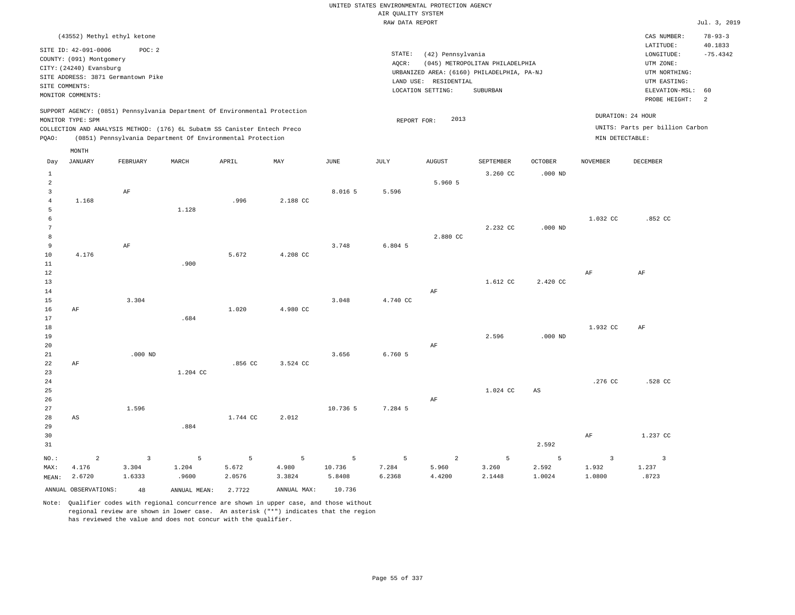|                                                |                                                                             |                                            |                                                                                                                                        |                      |                      |                       | AIR QUALITY SYSTEM   | UNITED STATES ENVIRONMENTAL PROTECTION AGENCY |                                                                               |                      |                                   |                                                       |                       |
|------------------------------------------------|-----------------------------------------------------------------------------|--------------------------------------------|----------------------------------------------------------------------------------------------------------------------------------------|----------------------|----------------------|-----------------------|----------------------|-----------------------------------------------|-------------------------------------------------------------------------------|----------------------|-----------------------------------|-------------------------------------------------------|-----------------------|
|                                                |                                                                             |                                            |                                                                                                                                        |                      |                      |                       | RAW DATA REPORT      |                                               |                                                                               |                      |                                   |                                                       | Jul. 3, 2019          |
|                                                | (43552) Methyl ethyl ketone                                                 |                                            |                                                                                                                                        |                      |                      |                       |                      |                                               |                                                                               |                      |                                   | CAS NUMBER:                                           | $78 - 93 - 3$         |
|                                                | SITE ID: 42-091-0006<br>COUNTY: (091) Montgomery<br>CITY: (24240) Evansburg | POC: 2                                     |                                                                                                                                        |                      |                      |                       | STATE:<br>AQCR:      | (42) Pennsylvania                             | (045) METROPOLITAN PHILADELPHIA<br>URBANIZED AREA: (6160) PHILADELPHIA, PA-NJ |                      |                                   | LATITUDE:<br>LONGITUDE:<br>UTM ZONE:<br>UTM NORTHING: | 40.1833<br>$-75.4342$ |
| SITE COMMENTS:                                 | SITE ADDRESS: 3871 Germantown Pike<br>MONITOR COMMENTS:                     |                                            |                                                                                                                                        |                      |                      |                       |                      | LAND USE: RESIDENTIAL<br>LOCATION SETTING:    | SUBURBAN                                                                      |                      |                                   | UTM EASTING:<br>ELEVATION-MSL:<br>PROBE HEIGHT:       | 60<br><sup>2</sup>    |
|                                                | MONITOR TYPE: SPM                                                           |                                            | SUPPORT AGENCY: (0851) Pennsylvania Department Of Environmental Protection                                                             |                      |                      |                       | REPORT FOR:          | 2013                                          |                                                                               |                      |                                   | DURATION: 24 HOUR                                     |                       |
| PQAO:                                          |                                                                             |                                            | COLLECTION AND ANALYSIS METHOD: (176) 6L Subatm SS Canister Entech Preco<br>(0851) Pennsylvania Department Of Environmental Protection |                      |                      |                       |                      |                                               |                                                                               |                      | MIN DETECTABLE:                   | UNITS: Parts per billion Carbon                       |                       |
| Day                                            | MONTH<br><b>JANUARY</b>                                                     | FEBRUARY                                   | MARCH                                                                                                                                  | APRIL                | MAY                  | <b>JUNE</b>           | <b>JULY</b>          | <b>AUGUST</b>                                 | SEPTEMBER                                                                     | <b>OCTOBER</b>       | <b>NOVEMBER</b>                   | DECEMBER                                              |                       |
| $\mathbf{1}$<br>$\overline{2}$                 |                                                                             |                                            |                                                                                                                                        |                      |                      |                       |                      | 5.960 5                                       | 3.260 CC                                                                      | $.000$ ND            |                                   |                                                       |                       |
| $\overline{\mathbf{3}}$<br>$\overline{4}$<br>5 | 1.168                                                                       | $\rm AF$                                   | 1.128                                                                                                                                  | .996                 | 2.188 CC             | 8.016 5               | 5.596                |                                               |                                                                               |                      |                                   |                                                       |                       |
| $\epsilon$<br>$7\phantom{.0}$                  |                                                                             |                                            |                                                                                                                                        |                      |                      |                       |                      | 2.880 CC                                      | 2.232 CC                                                                      | $.000$ ND            | 1.032 CC                          | .852 CC                                               |                       |
| 8<br>9<br>10                                   | 4.176                                                                       | AF                                         |                                                                                                                                        | 5.672                | 4.208 CC             | 3.748                 | $6.804$ 5            |                                               |                                                                               |                      |                                   |                                                       |                       |
| 11<br>12<br>13                                 |                                                                             |                                            | .900                                                                                                                                   |                      |                      |                       |                      |                                               | 1.612 CC                                                                      | 2.420 CC             | AF                                | $\rm AF$                                              |                       |
| 14<br>15<br>16                                 | $\rm{AF}$                                                                   | 3.304                                      |                                                                                                                                        | 1.020                | 4.980 CC             | 3.048                 | 4.740 CC             | AF                                            |                                                                               |                      |                                   |                                                       |                       |
| 17<br>18<br>19                                 |                                                                             |                                            | .684                                                                                                                                   |                      |                      |                       |                      |                                               | 2.596                                                                         | $.000$ ND            | 1.932 CC                          | AF                                                    |                       |
| 20<br>21<br>22<br>23                           | AF                                                                          | $.000$ ND                                  | 1.204 CC                                                                                                                               | .856 CC              | 3.524 CC             | 3.656                 | 6.760 5              | AF                                            |                                                                               |                      |                                   |                                                       |                       |
| 24<br>25<br>26                                 |                                                                             |                                            |                                                                                                                                        |                      |                      |                       |                      | AF                                            | 1.024 CC                                                                      | AS                   | .276 CC                           | .528 CC                                               |                       |
| 27<br>28<br>29                                 | $_{\rm AS}$                                                                 | 1.596                                      | .884                                                                                                                                   | 1.744 CC             | 2.012                | 10.736 5              | 7.284 5              |                                               |                                                                               |                      |                                   |                                                       |                       |
| 30<br>31                                       |                                                                             |                                            |                                                                                                                                        |                      |                      |                       |                      |                                               |                                                                               | 2.592                | $\rm{AF}$                         | 1.237 CC                                              |                       |
| NO.:<br>MAX:<br>MEAN:                          | $\overline{a}$<br>4.176<br>2.6720                                           | $\overline{\mathbf{3}}$<br>3.304<br>1.6333 | 5<br>1.204<br>.9600                                                                                                                    | 5<br>5.672<br>2.0576 | 5<br>4.980<br>3.3824 | 5<br>10.736<br>5.8408 | 5<br>7.284<br>6.2368 | $\overline{a}$<br>5.960<br>4.4200             | $\overline{5}$<br>3.260<br>2.1448                                             | 5<br>2.592<br>1.0024 | $\overline{3}$<br>1.932<br>1.0800 | $\overline{\mathbf{3}}$<br>1.237<br>.8723             |                       |
|                                                | ANNUAL OBSERVATIONS:                                                        | 48                                         | ANNUAL, MEAN:                                                                                                                          | 2.7722               | ANNUAL MAX:          | 10.736                |                      |                                               |                                                                               |                      |                                   |                                                       |                       |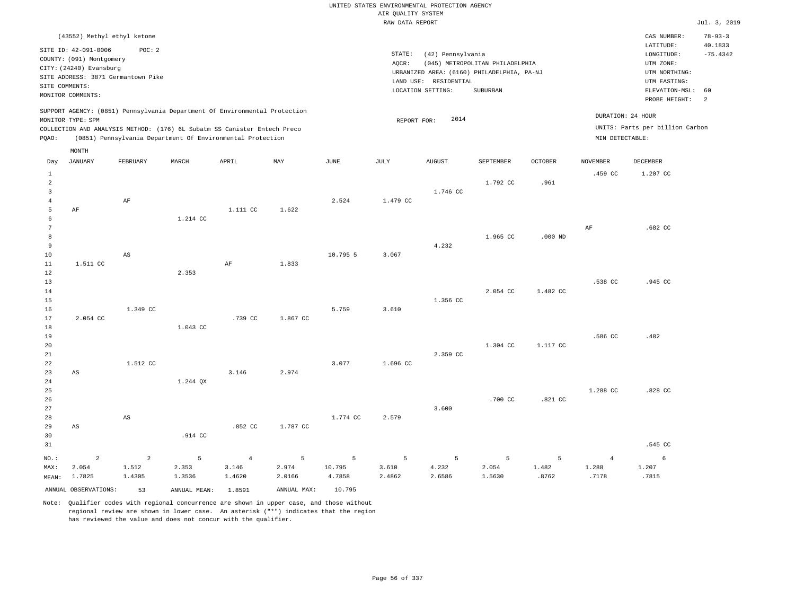RAW DATA REPORT Jul. 3, 2019 UNITED STATES ENVIRONMENTAL PROTECTION AGENCY AIR QUALITY SYSTEM (43552) Methyl ethyl ketone STATE: (42) Pennsylvania CAS NUMBER: 78-93-3 SITE ID: 42-091-0006 POC: 2 AQCR: (045) METROPOLITAN PHILADELPHIA COUNTY: (091) Montgomery CITY: (24240) Evansburg  $LONGITUDE: -75.4342$ LATITUDE: 40.1833 LOCATION SETTING: SUBURBAN SITE ADDRESS: 3871 Germantown Pike LAND USE: RESIDENTIAL SITE COMMENTS: MONITOR COMMENTS: PROBE HEIGHT: 2 ELEVATION-MSL: 60 URBANIZED AREA: (6160) PHILADELPHIA, PA-NJ (UTM NORTHING: UTM EASTING: UTM ZONE: SUPPORT AGENCY: (0851) Pennsylvania Department Of Environmental Protection MONITOR TYPE: SPM COLLECTION AND ANALYSIS METHOD: (176) 6L Subatm SS Canister Entech Preco REPORT FOR: 2014 UNITS: Parts per billion Carbon PQAO: (0851) Pennsylvania Department Of Environmental Protection MIN DETECTABLE: DURATION: 24 HOUR 1 2 3 4 5 6 7 8 9 10 11 12 13 14 15 16 17 18 19  $20$ 21 22 23 24 25 26 27 28 29 30 31 AF 1.511 CC 2.054 CC AS AS NO.: MAX: MEAN: 2 2.054 1.7825 AF  $\Delta$ S 1.349 CC 1.512 CC AS 1.214 CC 2.353 1.043 CC 1.244 QX .914 CC 1.111 CC AF .739 CC 3.146 .852 CC 1.622 1.833 1.867 CC 2.974 1.787 CC 2.524 10.795 5 5.759 3.077 1.774 CC 1.479 CC 3.067 3.610 1.696 CC 2.579 1.746 CC 4.232 1.356 CC 2.359 CC 3.600 1.792 CC 1.965 CC 2.054 CC 1.304 CC .700 CC .961 .000 ND 1.482 CC 1.117 CC .821 CC  $459$  CC AF .538 CC .586 CC 1.288 CC 1.207 CC .682 CC .945 CC .482  $828$  CC .545 CC 2 1.512 1.4305 5 2.353 1.3536 4 3.146 1.4620 5 2.974 2.0166 5 10.795 4.7858 5 3.610 2.4862 5 4.232 2.6586 5 2.054 1.5630 5 1.482 .8762 4 1.288 .7178 6 1.207 .7815 Day JANUARY FEBRUARY MARCH APRIL MAY JUNE JULY AUGUST SEPTEMBER OCTOBER NOVEMBER DECEMBER MONTH

ANNUAL OBSERVATIONS: 53 ANNUAL MEAN: 1.8591 ANNUAL MAX: 10.795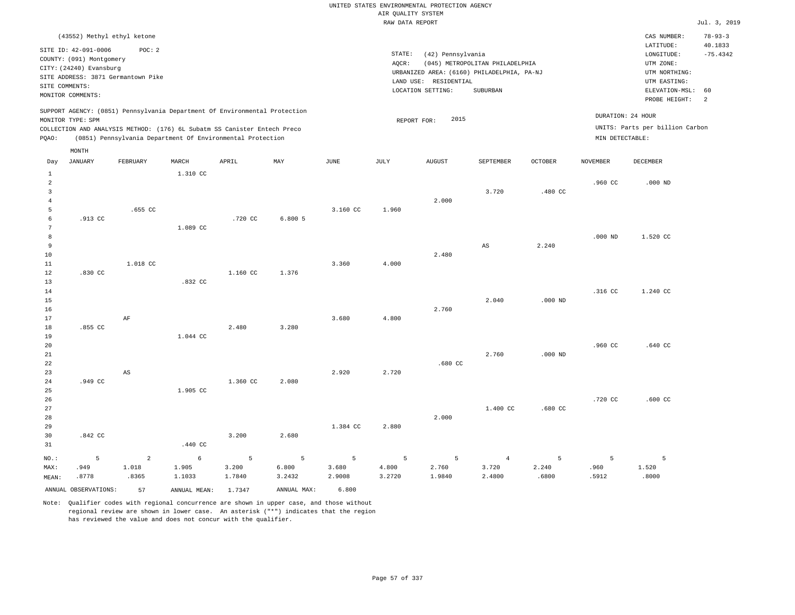# UNITED STATES ENVIRONMENTAL PROTECTION AGENCY AIR QUALITY SYSTEM

|                     |                                                  |                |                                                                                                                                        |                 |                 |                 | RAW DATA REPORT     |                       |                                            |                |                 |                                 | Jul. 3, 2019  |
|---------------------|--------------------------------------------------|----------------|----------------------------------------------------------------------------------------------------------------------------------------|-----------------|-----------------|-----------------|---------------------|-----------------------|--------------------------------------------|----------------|-----------------|---------------------------------|---------------|
|                     | (43552) Methyl ethyl ketone                      |                |                                                                                                                                        |                 |                 |                 |                     |                       |                                            |                |                 | CAS NUMBER:                     | $78 - 93 - 3$ |
|                     |                                                  |                |                                                                                                                                        |                 |                 |                 |                     |                       |                                            |                |                 | LATITUDE:                       | 40.1833       |
|                     | SITE ID: 42-091-0006<br>COUNTY: (091) Montgomery | POC: 2         |                                                                                                                                        |                 |                 |                 | $\texttt{STATE}{}:$ | (42) Pennsylvania     |                                            |                |                 | LONGITUDE:                      | $-75.4342$    |
|                     | CITY: (24240) Evansburg                          |                |                                                                                                                                        |                 |                 |                 | AQCR:               |                       | (045) METROPOLITAN PHILADELPHIA            |                |                 | UTM ZONE:                       |               |
|                     | SITE ADDRESS: 3871 Germantown Pike               |                |                                                                                                                                        |                 |                 |                 |                     |                       | URBANIZED AREA: (6160) PHILADELPHIA, PA-NJ |                |                 | UTM NORTHING:                   |               |
|                     | SITE COMMENTS:                                   |                |                                                                                                                                        |                 |                 |                 |                     | LAND USE: RESIDENTIAL |                                            |                |                 | UTM EASTING:                    |               |
|                     | MONITOR COMMENTS:                                |                |                                                                                                                                        |                 |                 |                 |                     | LOCATION SETTING:     | SUBURBAN                                   |                |                 | ELEVATION-MSL: 60               |               |
|                     |                                                  |                |                                                                                                                                        |                 |                 |                 |                     |                       |                                            |                |                 | PROBE HEIGHT:                   | 2             |
|                     |                                                  |                | SUPPORT AGENCY: (0851) Pennsylvania Department Of Environmental Protection                                                             |                 |                 |                 |                     |                       |                                            |                |                 | DURATION: 24 HOUR               |               |
|                     | MONITOR TYPE: SPM                                |                |                                                                                                                                        |                 |                 |                 | REPORT FOR:         | 2015                  |                                            |                |                 | UNITS: Parts per billion Carbon |               |
| PQAO:               |                                                  |                | COLLECTION AND ANALYSIS METHOD: (176) 6L Subatm SS Canister Entech Preco<br>(0851) Pennsylvania Department Of Environmental Protection |                 |                 |                 |                     |                       |                                            |                | MIN DETECTABLE: |                                 |               |
|                     |                                                  |                |                                                                                                                                        |                 |                 |                 |                     |                       |                                            |                |                 |                                 |               |
|                     | MONTH                                            |                |                                                                                                                                        |                 |                 |                 |                     |                       |                                            |                |                 |                                 |               |
| Day                 | <b>JANUARY</b>                                   | FEBRUARY       | MARCH                                                                                                                                  | APRIL           | MAY             | JUNE            | JULY                | <b>AUGUST</b>         | SEPTEMBER                                  | <b>OCTOBER</b> | <b>NOVEMBER</b> | DECEMBER                        |               |
| 1                   |                                                  |                | 1.310 CC                                                                                                                               |                 |                 |                 |                     |                       |                                            |                |                 |                                 |               |
| $\overline{a}$      |                                                  |                |                                                                                                                                        |                 |                 |                 |                     |                       |                                            |                | .960 CC         | $.000$ ND                       |               |
| 3                   |                                                  |                |                                                                                                                                        |                 |                 |                 |                     |                       | 3.720                                      | .480 CC        |                 |                                 |               |
| $\overline{4}$      |                                                  |                |                                                                                                                                        |                 |                 |                 |                     | 2.000                 |                                            |                |                 |                                 |               |
| $\overline{5}$<br>6 | .913 CC                                          | $.655$ CC      |                                                                                                                                        | .720 CC         | 6.8005          | 3.160 CC        | 1.960               |                       |                                            |                |                 |                                 |               |
| 7                   |                                                  |                | 1.089 CC                                                                                                                               |                 |                 |                 |                     |                       |                                            |                |                 |                                 |               |
| 8                   |                                                  |                |                                                                                                                                        |                 |                 |                 |                     |                       |                                            |                | $.000$ ND       | 1.520 CC                        |               |
| 9                   |                                                  |                |                                                                                                                                        |                 |                 |                 |                     |                       | $\mathbb{A}\mathbb{S}$                     | 2.240          |                 |                                 |               |
| 10                  |                                                  |                |                                                                                                                                        |                 |                 |                 |                     | 2.480                 |                                            |                |                 |                                 |               |
| 11                  |                                                  | 1.018 CC       |                                                                                                                                        |                 |                 | 3.360           | 4.000               |                       |                                            |                |                 |                                 |               |
| 12                  | .830 CC                                          |                |                                                                                                                                        | 1.160 CC        | 1.376           |                 |                     |                       |                                            |                |                 |                                 |               |
| 13                  |                                                  |                | .832 CC                                                                                                                                |                 |                 |                 |                     |                       |                                            |                |                 |                                 |               |
| 14                  |                                                  |                |                                                                                                                                        |                 |                 |                 |                     |                       |                                            |                | .316 CC         | 1.240 CC                        |               |
| 15                  |                                                  |                |                                                                                                                                        |                 |                 |                 |                     |                       | 2.040                                      | $.000$ ND      |                 |                                 |               |
| 16<br>17            |                                                  | $\rm{AF}$      |                                                                                                                                        |                 |                 | 3.680           | 4.800               | 2.760                 |                                            |                |                 |                                 |               |
| 18                  | .855 CC                                          |                |                                                                                                                                        | 2.480           | 3.280           |                 |                     |                       |                                            |                |                 |                                 |               |
| 19                  |                                                  |                | 1.044 CC                                                                                                                               |                 |                 |                 |                     |                       |                                            |                |                 |                                 |               |
| 20                  |                                                  |                |                                                                                                                                        |                 |                 |                 |                     |                       |                                            |                | .960 CC         | $.640$ CC                       |               |
| 21                  |                                                  |                |                                                                                                                                        |                 |                 |                 |                     |                       | 2.760                                      | $.000$ ND      |                 |                                 |               |
| 22                  |                                                  |                |                                                                                                                                        |                 |                 |                 |                     | $.680$ CC             |                                            |                |                 |                                 |               |
| 23                  |                                                  | $_{\rm AS}$    |                                                                                                                                        |                 |                 | 2.920           | 2.720               |                       |                                            |                |                 |                                 |               |
| 24                  | .949 CC                                          |                |                                                                                                                                        | 1.360 CC        | 2.080           |                 |                     |                       |                                            |                |                 |                                 |               |
| 25                  |                                                  |                | 1.905 CC                                                                                                                               |                 |                 |                 |                     |                       |                                            |                |                 |                                 |               |
| 26                  |                                                  |                |                                                                                                                                        |                 |                 |                 |                     |                       |                                            |                | .720 CC         | $.600$ CC                       |               |
| 27                  |                                                  |                |                                                                                                                                        |                 |                 |                 |                     |                       | 1.400 CC                                   | .680 CC        |                 |                                 |               |
| 28<br>29            |                                                  |                |                                                                                                                                        |                 |                 | 1.384 CC        | 2.880               | 2.000                 |                                            |                |                 |                                 |               |
| 30                  | $.842$ CC                                        |                |                                                                                                                                        | 3.200           | 2.680           |                 |                     |                       |                                            |                |                 |                                 |               |
| 31                  |                                                  |                | .440 CC                                                                                                                                |                 |                 |                 |                     |                       |                                            |                |                 |                                 |               |
|                     |                                                  |                |                                                                                                                                        |                 |                 |                 |                     |                       |                                            |                |                 |                                 |               |
| NO.:                | 5                                                | $\overline{2}$ | 6                                                                                                                                      | 5               | 5               | 5               | 5                   | 5                     | $\overline{4}$                             | 5              | 5               | 5                               |               |
| MAX:                | .949<br>.8778                                    | 1.018<br>.8365 | 1.905<br>1.1033                                                                                                                        | 3.200<br>1.7840 | 6.800<br>3.2432 | 3.680<br>2.9008 | 4.800<br>3.2720     | 2.760<br>1.9840       | 3.720<br>2.4800                            | 2.240<br>.6800 | .960<br>.5912   | 1.520<br>.8000                  |               |
| MEAN:               |                                                  |                |                                                                                                                                        |                 |                 |                 |                     |                       |                                            |                |                 |                                 |               |
|                     | ANNUAL OBSERVATIONS:                             | 57             | ANNUAL MEAN: 1.7347                                                                                                                    |                 | ANNUAL MAX:     | 6.800           |                     |                       |                                            |                |                 |                                 |               |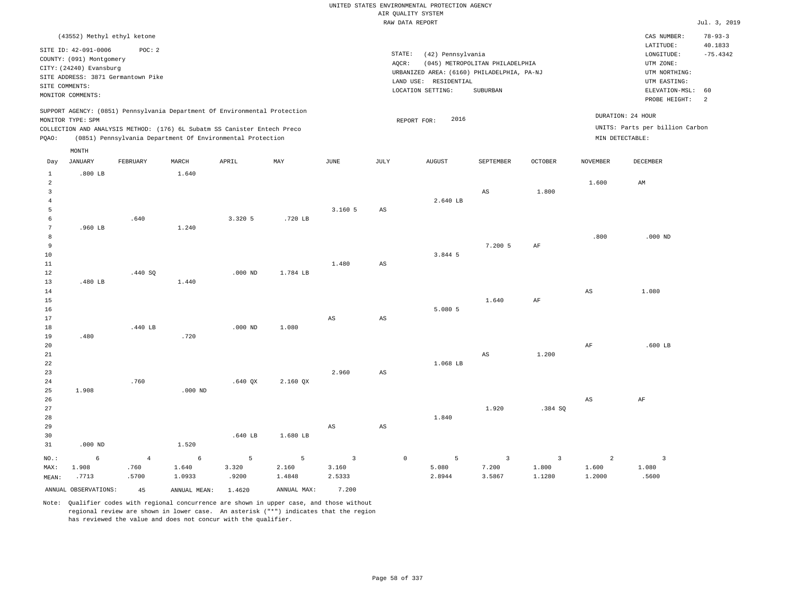|                                                                            |                                                                                                                                 |                                              |                                                                                                                                                                                                                      |                      |                      |                                            |                        | UNITED STATES ENVIRONMENTAL PROTECTION AGENCY<br>AIR OUALITY SYSTEM                                           |                                             |                                   |                                   |                                                                                                                         | Jul. 3, 2019                                      |
|----------------------------------------------------------------------------|---------------------------------------------------------------------------------------------------------------------------------|----------------------------------------------|----------------------------------------------------------------------------------------------------------------------------------------------------------------------------------------------------------------------|----------------------|----------------------|--------------------------------------------|------------------------|---------------------------------------------------------------------------------------------------------------|---------------------------------------------|-----------------------------------|-----------------------------------|-------------------------------------------------------------------------------------------------------------------------|---------------------------------------------------|
|                                                                            |                                                                                                                                 |                                              |                                                                                                                                                                                                                      |                      |                      |                                            |                        | RAW DATA REPORT                                                                                               |                                             |                                   |                                   |                                                                                                                         |                                                   |
| SITE COMMENTS:                                                             | (43552) Methyl ethyl ketone<br>SITE ID: 42-091-0006<br>COUNTY: (091) Montgomery<br>CITY: (24240) Evansburg<br>MONITOR COMMENTS: | POC: 2<br>SITE ADDRESS: 3871 Germantown Pike |                                                                                                                                                                                                                      |                      |                      |                                            | STATE:<br>AQCR:        | (42) Pennsylvania<br>URBANIZED AREA: (6160) PHILADELPHIA, PA-NJ<br>LAND USE: RESIDENTIAL<br>LOCATION SETTING: | (045) METROPOLITAN PHILADELPHIA<br>SUBURBAN |                                   |                                   | CAS NUMBER:<br>LATITUDE:<br>LONGITUDE:<br>UTM ZONE:<br>UTM NORTHING:<br>UTM EASTING:<br>ELEVATION-MSL:<br>PROBE HEIGHT: | $78 - 93 - 3$<br>40.1833<br>$-75.4342$<br>60<br>2 |
| PQAO:                                                                      | MONITOR TYPE: SPM                                                                                                               |                                              | SUPPORT AGENCY: (0851) Pennsylvania Department Of Environmental Protection<br>COLLECTION AND ANALYSIS METHOD: (176) 6L Subatm SS Canister Entech Preco<br>(0851) Pennsylvania Department Of Environmental Protection |                      |                      |                                            |                        | 2016<br>REPORT FOR:                                                                                           |                                             |                                   | MIN DETECTABLE:                   | DURATION: 24 HOUR<br>UNITS: Parts per billion Carbon                                                                    |                                                   |
| Day                                                                        | MONTH<br><b>JANUARY</b>                                                                                                         | FEBRUARY                                     | MARCH                                                                                                                                                                                                                | APRIL                | MAY                  | <b>JUNE</b>                                | JULY                   | <b>AUGUST</b>                                                                                                 | SEPTEMBER                                   | <b>OCTOBER</b>                    | <b>NOVEMBER</b>                   | <b>DECEMBER</b>                                                                                                         |                                                   |
| 1<br>$\overline{a}$<br>$\overline{3}$<br>$\overline{4}$<br>5<br>$\epsilon$ | $.800$ LB                                                                                                                       | .640                                         | 1.640                                                                                                                                                                                                                | 3.320 5              | .720 LB              | 3.160 5                                    | AS                     | 2.640 LB                                                                                                      | $_{\rm AS}$                                 | 1.800                             | 1.600                             | AM                                                                                                                      |                                                   |
| 7<br>8<br>9<br>$10$<br>11<br>12                                            | $.960$ LB                                                                                                                       | .440 SO                                      | 1.240                                                                                                                                                                                                                | $.000$ ND            | 1.784 LB             | 1.480                                      | AS                     | 3.844 5                                                                                                       | 7.200 5                                     | AF                                | .800                              | $.000$ ND                                                                                                               |                                                   |
| 13<br>$14$<br>15<br>16<br>$17\,$                                           | .480 LB                                                                                                                         |                                              | 1.440                                                                                                                                                                                                                | $.000$ ND            |                      | $\mathbb{A}\mathbb{S}$                     | $\mathbb{A}\mathbb{S}$ | 5.080 5                                                                                                       | 1.640                                       | $\rm{AF}$                         | $_{\rm AS}$                       | 1.080                                                                                                                   |                                                   |
| 18<br>19<br>20<br>21<br>22<br>23                                           | .480                                                                                                                            | .440 LB<br>.760                              | .720                                                                                                                                                                                                                 |                      | 1.080                | 2.960                                      | AS                     | 1.068 LB                                                                                                      | AS                                          | 1.200                             | AF                                | $.600$ LB                                                                                                               |                                                   |
| 24<br>25<br>26<br>27<br>28<br>29<br>30                                     | 1.908                                                                                                                           |                                              | $.000$ ND                                                                                                                                                                                                            | $.640$ QX<br>.640 LB | 2.160 QX<br>1.680 LB | AS                                         | AS                     | 1.840                                                                                                         | 1.920                                       | .384 SQ                           | $_{\rm AS}$                       | AF                                                                                                                      |                                                   |
| 31<br>$NO.$ :<br>MAX:<br>MEAN:                                             | $.000$ ND<br>$\epsilon$<br>1.908<br>.7713                                                                                       | $\,4\,$<br>.760<br>.5700                     | 1.520<br>$\epsilon$<br>1.640<br>1.0933                                                                                                                                                                               | 5<br>3.320<br>.9200  | 5<br>2.160<br>1.4848 | $\overline{\mathbf{3}}$<br>3.160<br>2.5333 | $\mathbb O$            | 5<br>5.080<br>2.8944                                                                                          | $\overline{\mathbf{3}}$<br>7.200<br>3.5867  | $\overline{3}$<br>1.800<br>1.1280 | $\overline{a}$<br>1.600<br>1.2000 | $\overline{\mathbf{3}}$<br>1.080<br>.5600                                                                               |                                                   |
|                                                                            | ANNUAL OBSERVATIONS:                                                                                                            | 45                                           | ANNUAL MEAN: 1.4620                                                                                                                                                                                                  |                      | ANNUAL MAX:          | 7.200                                      |                        |                                                                                                               |                                             |                                   |                                   |                                                                                                                         |                                                   |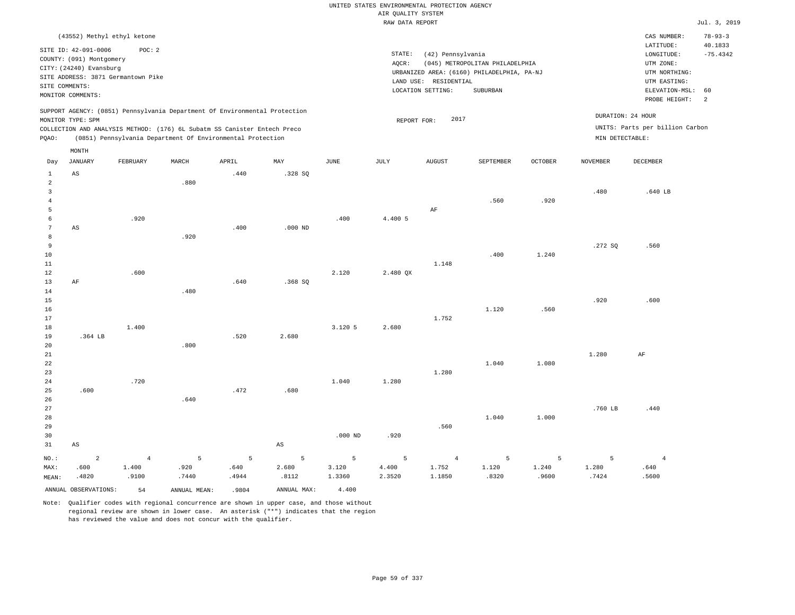## UNITED STATES ENVIRONMENTAL PROTECTION AGENCY AIR QUALITY SYSTEM

|                |                                    |                |                                                                                                                                        |       |             |                    | RAW DATA REPORT |                       |                                            |                |                 |                                 | Jul. 3, 2019  |
|----------------|------------------------------------|----------------|----------------------------------------------------------------------------------------------------------------------------------------|-------|-------------|--------------------|-----------------|-----------------------|--------------------------------------------|----------------|-----------------|---------------------------------|---------------|
|                | (43552) Methyl ethyl ketone        |                |                                                                                                                                        |       |             |                    |                 |                       |                                            |                |                 | CAS NUMBER:                     | $78 - 93 - 3$ |
|                |                                    |                |                                                                                                                                        |       |             |                    |                 |                       |                                            |                |                 | LATITUDE:                       | 40.1833       |
|                | SITE ID: 42-091-0006               | POC: 2         |                                                                                                                                        |       |             |                    | STATE:          | (42) Pennsylvania     |                                            |                |                 | LONGITUDE:                      | $-75.4342$    |
|                | COUNTY: (091) Montgomery           |                |                                                                                                                                        |       |             |                    | AQCR:           |                       | (045) METROPOLITAN PHILADELPHIA            |                |                 | UTM ZONE:                       |               |
|                | CITY: (24240) Evansburg            |                |                                                                                                                                        |       |             |                    |                 |                       | URBANIZED AREA: (6160) PHILADELPHIA, PA-NJ |                |                 | UTM NORTHING:                   |               |
|                | SITE ADDRESS: 3871 Germantown Pike |                |                                                                                                                                        |       |             |                    |                 | LAND USE: RESIDENTIAL |                                            |                |                 | UTM EASTING:                    |               |
| SITE COMMENTS: |                                    |                |                                                                                                                                        |       |             |                    |                 | LOCATION SETTING:     | SUBURBAN                                   |                |                 | ELEVATION-MSL:                  | 60            |
|                | MONITOR COMMENTS:                  |                |                                                                                                                                        |       |             |                    |                 |                       |                                            |                |                 | PROBE HEIGHT:                   | 2             |
|                |                                    |                | SUPPORT AGENCY: (0851) Pennsylvania Department Of Environmental Protection                                                             |       |             |                    |                 |                       |                                            |                |                 | DURATION: 24 HOUR               |               |
|                | MONITOR TYPE: SPM                  |                |                                                                                                                                        |       |             |                    | REPORT FOR:     | 2017                  |                                            |                |                 |                                 |               |
| PQAO:          |                                    |                | COLLECTION AND ANALYSIS METHOD: (176) 6L Subatm SS Canister Entech Preco<br>(0851) Pennsylvania Department Of Environmental Protection |       |             |                    |                 |                       |                                            |                | MIN DETECTABLE: | UNITS: Parts per billion Carbon |               |
|                | MONTH                              |                |                                                                                                                                        |       |             |                    |                 |                       |                                            |                |                 |                                 |               |
| Day            | <b>JANUARY</b>                     | FEBRUARY       | MARCH                                                                                                                                  | APRIL | MAY         | JUNE               | JULY            | <b>AUGUST</b>         | SEPTEMBER                                  | <b>OCTOBER</b> | <b>NOVEMBER</b> | DECEMBER                        |               |
| $\mathbf{1}$   | $\mathbb{A}\mathbb{S}$             |                |                                                                                                                                        | .440  | .328SQ      |                    |                 |                       |                                            |                |                 |                                 |               |
| $\overline{a}$ |                                    |                | .880                                                                                                                                   |       |             |                    |                 |                       |                                            |                |                 |                                 |               |
| $\overline{3}$ |                                    |                |                                                                                                                                        |       |             |                    |                 |                       |                                            |                | .480            | .640 LB                         |               |
| $\overline{4}$ |                                    |                |                                                                                                                                        |       |             |                    |                 |                       | .560                                       | .920           |                 |                                 |               |
| 5              |                                    |                |                                                                                                                                        |       |             |                    |                 | $\rm AF$              |                                            |                |                 |                                 |               |
| $\epsilon$     |                                    | .920           |                                                                                                                                        |       |             | .400               | 4.400 5         |                       |                                            |                |                 |                                 |               |
| 7              | AS                                 |                |                                                                                                                                        | .400  | $.000$ ND   |                    |                 |                       |                                            |                |                 |                                 |               |
| 8              |                                    |                | .920                                                                                                                                   |       |             |                    |                 |                       |                                            |                |                 |                                 |               |
| 9              |                                    |                |                                                                                                                                        |       |             |                    |                 |                       |                                            |                | .272 SQ         | .560                            |               |
| 10             |                                    |                |                                                                                                                                        |       |             |                    |                 |                       | .400                                       | 1.240          |                 |                                 |               |
| 11             |                                    |                |                                                                                                                                        |       |             |                    |                 | 1.148                 |                                            |                |                 |                                 |               |
| 12             |                                    | .600           |                                                                                                                                        |       |             | 2.120              | 2.480 QX        |                       |                                            |                |                 |                                 |               |
| 13             | AF                                 |                |                                                                                                                                        | .640  | .368 SO     |                    |                 |                       |                                            |                |                 |                                 |               |
| 14             |                                    |                | .480                                                                                                                                   |       |             |                    |                 |                       |                                            |                |                 |                                 |               |
| 15             |                                    |                |                                                                                                                                        |       |             |                    |                 |                       |                                            |                | .920            | .600                            |               |
| 16             |                                    |                |                                                                                                                                        |       |             |                    |                 |                       | 1.120                                      | .560           |                 |                                 |               |
| 17             |                                    |                |                                                                                                                                        |       |             |                    |                 | 1.752                 |                                            |                |                 |                                 |               |
| 18             |                                    | 1.400          |                                                                                                                                        |       |             | 3.120 5            | 2.680           |                       |                                            |                |                 |                                 |               |
| 19             | .364 LB                            |                |                                                                                                                                        | .520  | 2.680       |                    |                 |                       |                                            |                |                 |                                 |               |
| 20             |                                    |                | .800                                                                                                                                   |       |             |                    |                 |                       |                                            |                |                 |                                 |               |
| 21             |                                    |                |                                                                                                                                        |       |             |                    |                 |                       |                                            |                | 1.280           | AF                              |               |
| 22             |                                    |                |                                                                                                                                        |       |             |                    |                 |                       | 1.040                                      | 1,080          |                 |                                 |               |
| 23             |                                    |                |                                                                                                                                        |       |             |                    |                 | 1.280                 |                                            |                |                 |                                 |               |
| 24             |                                    | .720           |                                                                                                                                        | .472  |             | 1.040              | 1.280           |                       |                                            |                |                 |                                 |               |
| 25             | .600                               |                |                                                                                                                                        |       | .680        |                    |                 |                       |                                            |                |                 |                                 |               |
| 26             |                                    |                | .640                                                                                                                                   |       |             |                    |                 |                       |                                            |                |                 |                                 |               |
| 27             |                                    |                |                                                                                                                                        |       |             |                    |                 |                       | 1.040                                      | 1.000          | .760 LB         | .440                            |               |
| 28             |                                    |                |                                                                                                                                        |       |             |                    |                 | .560                  |                                            |                |                 |                                 |               |
| 29             |                                    |                |                                                                                                                                        |       |             |                    | .920            |                       |                                            |                |                 |                                 |               |
| 30             |                                    |                |                                                                                                                                        |       |             | .000 <sub>ND</sub> |                 |                       |                                            |                |                 |                                 |               |
| 31             | AS                                 |                |                                                                                                                                        |       | $_{\rm AS}$ |                    |                 |                       |                                            |                |                 |                                 |               |
| NO.:           | $\overline{a}$                     | $\overline{4}$ | 5                                                                                                                                      | 5     | 5           | 5                  | 5               | $\overline{4}$        | -5                                         | 5              | 5               | $\overline{4}$                  |               |
| MAX:           | .600                               | 1.400          | .920                                                                                                                                   | .640  | 2.680       | 3.120              | 4.400           | 1.752                 | 1.120                                      | 1.240          | 1.280           | .640                            |               |
| MEAN:          | .4820                              | .9100          | .7440                                                                                                                                  | .4944 | .8112       | 1.3360             | 2.3520          | 1.1850                | .8320                                      | .9600          | .7424           | .5600                           |               |
|                | ANNUAL OBSERVATIONS:               | 54             | ANNUAL MEAN:                                                                                                                           | .9804 | ANNUAL MAX: | 4.400              |                 |                       |                                            |                |                 |                                 |               |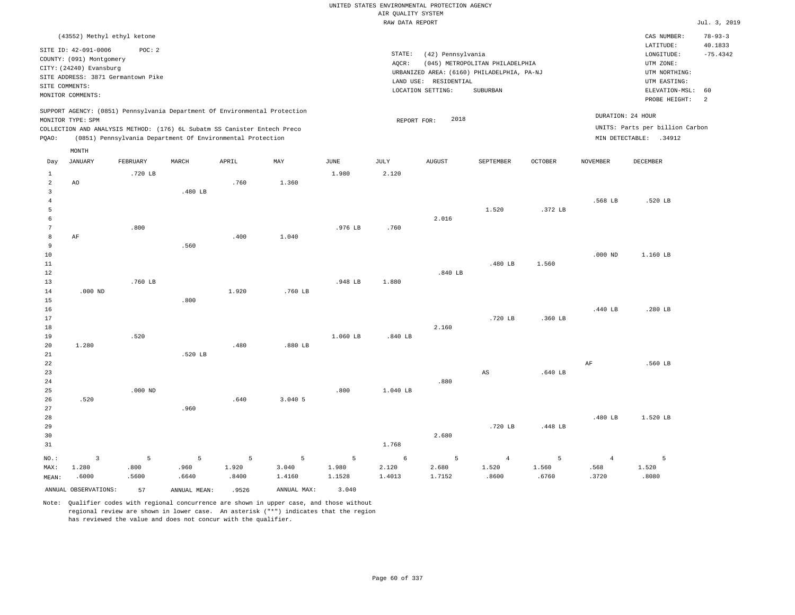|                     |                                                                                                                                                                             |           |                                                            |       |             |             |                    | UNITED STATES ENVIRONMENTAL PROTECTION AGENCY |                                 |                |                 |                                                                                |                |
|---------------------|-----------------------------------------------------------------------------------------------------------------------------------------------------------------------------|-----------|------------------------------------------------------------|-------|-------------|-------------|--------------------|-----------------------------------------------|---------------------------------|----------------|-----------------|--------------------------------------------------------------------------------|----------------|
|                     |                                                                                                                                                                             |           |                                                            |       |             |             | AIR QUALITY SYSTEM |                                               |                                 |                |                 |                                                                                |                |
|                     |                                                                                                                                                                             |           |                                                            |       |             |             | RAW DATA REPORT    |                                               |                                 |                |                 |                                                                                | Jul. 3, 2019   |
|                     | (43552) Methyl ethyl ketone                                                                                                                                                 |           |                                                            |       |             |             |                    |                                               |                                 |                |                 | CAS NUMBER:                                                                    | $78 - 93 - 3$  |
|                     | SITE ID: 42-091-0006                                                                                                                                                        | POC: 2    |                                                            |       |             |             |                    |                                               |                                 |                |                 | LATITUDE:                                                                      | 40.1833        |
|                     | COUNTY: (091) Montgomery                                                                                                                                                    |           |                                                            |       |             |             | STATE:             | (42) Pennsylvania                             |                                 |                |                 | LONGITUDE:                                                                     | $-75.4342$     |
|                     | CITY: (24240) Evansburg                                                                                                                                                     |           |                                                            |       |             |             | AOCR:              |                                               | (045) METROPOLITAN PHILADELPHIA |                |                 | UTM ZONE:                                                                      |                |
|                     | SITE ADDRESS: 3871 Germantown Pike                                                                                                                                          |           |                                                            |       |             |             |                    | URBANIZED AREA: (6160) PHILADELPHIA, PA-NJ    |                                 |                |                 | UTM NORTHING:                                                                  |                |
| SITE COMMENTS:      |                                                                                                                                                                             |           |                                                            |       |             |             |                    | LAND USE: RESIDENTIAL                         | SUBURBAN                        |                |                 | UTM EASTING:<br>ELEVATION-MSL:                                                 | 60             |
|                     | MONITOR COMMENTS:                                                                                                                                                           |           |                                                            |       |             |             |                    | LOCATION SETTING:                             |                                 |                |                 | PROBE HEIGHT:                                                                  | $\overline{a}$ |
| PQAO:               | SUPPORT AGENCY: (0851) Pennsylvania Department Of Environmental Protection<br>MONITOR TYPE: SPM<br>COLLECTION AND ANALYSIS METHOD: (176) 6L Subatm SS Canister Entech Preco |           | (0851) Pennsylvania Department Of Environmental Protection |       |             |             | REPORT FOR:        | 2018                                          |                                 |                |                 | DURATION: 24 HOUR<br>UNITS: Parts per billion Carbon<br>MIN DETECTABLE: .34912 |                |
|                     | MONTH                                                                                                                                                                       |           |                                                            |       |             |             |                    |                                               |                                 |                |                 |                                                                                |                |
| Day                 | <b>JANUARY</b>                                                                                                                                                              | FEBRUARY  | MARCH                                                      | APRIL | MAY         | <b>JUNE</b> | <b>JULY</b>        | AUGUST                                        | SEPTEMBER                       | <b>OCTOBER</b> | <b>NOVEMBER</b> | DECEMBER                                                                       |                |
| $\mathbf{1}$        |                                                                                                                                                                             | .720 LB   |                                                            |       |             | 1.980       | 2.120              |                                               |                                 |                |                 |                                                                                |                |
| $\overline{a}$      | AO                                                                                                                                                                          |           |                                                            | .760  | 1.360       |             |                    |                                               |                                 |                |                 |                                                                                |                |
| $\mathbf{3}$        |                                                                                                                                                                             |           | .480 LB                                                    |       |             |             |                    |                                               |                                 |                |                 |                                                                                |                |
| $\overline{4}$<br>5 |                                                                                                                                                                             |           |                                                            |       |             |             |                    |                                               | 1.520                           | .372 LB        | .568 LB         | .520 LB                                                                        |                |
| 6                   |                                                                                                                                                                             |           |                                                            |       |             |             |                    | 2.016                                         |                                 |                |                 |                                                                                |                |
| $7\phantom{.0}$     |                                                                                                                                                                             | .800      |                                                            |       |             | .976 LB     | .760               |                                               |                                 |                |                 |                                                                                |                |
| 8                   | $\rm AF$                                                                                                                                                                    |           |                                                            | .400  | 1.040       |             |                    |                                               |                                 |                |                 |                                                                                |                |
| 9                   |                                                                                                                                                                             |           | .560                                                       |       |             |             |                    |                                               |                                 |                |                 |                                                                                |                |
| 10                  |                                                                                                                                                                             |           |                                                            |       |             |             |                    |                                               |                                 |                | $.000$ ND       | 1.160 LB                                                                       |                |
| 11                  |                                                                                                                                                                             |           |                                                            |       |             |             |                    |                                               | .480 LB                         | 1.560          |                 |                                                                                |                |
| 12                  |                                                                                                                                                                             |           |                                                            |       |             |             |                    | $.840$ LB                                     |                                 |                |                 |                                                                                |                |
| 13                  |                                                                                                                                                                             | .760 LB   |                                                            |       |             | .948 LB     | 1,880              |                                               |                                 |                |                 |                                                                                |                |
| 14                  | $.000$ ND                                                                                                                                                                   |           |                                                            | 1.920 | .760 LB     |             |                    |                                               |                                 |                |                 |                                                                                |                |
| 15                  |                                                                                                                                                                             |           | .800                                                       |       |             |             |                    |                                               |                                 |                |                 |                                                                                |                |
| 16                  |                                                                                                                                                                             |           |                                                            |       |             |             |                    |                                               |                                 |                | .440 LB         | .280 LB                                                                        |                |
| 17<br>$18\,$        |                                                                                                                                                                             |           |                                                            |       |             |             |                    | 2.160                                         | .720 LB                         | $.360$ LB      |                 |                                                                                |                |
| 19                  |                                                                                                                                                                             | .520      |                                                            |       |             | 1.060 LB    | .840 LB            |                                               |                                 |                |                 |                                                                                |                |
| 20                  | 1.280                                                                                                                                                                       |           |                                                            | .480  | .880 LB     |             |                    |                                               |                                 |                |                 |                                                                                |                |
| 21                  |                                                                                                                                                                             |           | .520 LB                                                    |       |             |             |                    |                                               |                                 |                |                 |                                                                                |                |
| 22                  |                                                                                                                                                                             |           |                                                            |       |             |             |                    |                                               |                                 |                | AF              | .560 LB                                                                        |                |
| 23                  |                                                                                                                                                                             |           |                                                            |       |             |             |                    |                                               | $\mathbb{A}\mathbb{S}$          | .640 LB        |                 |                                                                                |                |
| 24                  |                                                                                                                                                                             |           |                                                            |       |             |             |                    | .880                                          |                                 |                |                 |                                                                                |                |
| 25                  |                                                                                                                                                                             | $.000$ ND |                                                            |       |             | .800        | 1.040 LB           |                                               |                                 |                |                 |                                                                                |                |
| 26                  | .520                                                                                                                                                                        |           |                                                            | .640  | 3.040 5     |             |                    |                                               |                                 |                |                 |                                                                                |                |
| 27                  |                                                                                                                                                                             |           | .960                                                       |       |             |             |                    |                                               |                                 |                |                 |                                                                                |                |
| 28                  |                                                                                                                                                                             |           |                                                            |       |             |             |                    |                                               |                                 |                | .480 LB         | 1.520 LB                                                                       |                |
| 29                  |                                                                                                                                                                             |           |                                                            |       |             |             |                    |                                               | .720 LB                         | .448 LB        |                 |                                                                                |                |
| 30<br>31            |                                                                                                                                                                             |           |                                                            |       |             |             | 1.768              | 2.680                                         |                                 |                |                 |                                                                                |                |
|                     |                                                                                                                                                                             |           |                                                            |       |             |             |                    |                                               |                                 |                |                 |                                                                                |                |
| NO.:                | $\overline{3}$                                                                                                                                                              | 5         | 5                                                          | 5     | 5           | 5           | $\epsilon$         | 5                                             | $\overline{4}$                  | 5              | $\overline{4}$  | $\overline{5}$                                                                 |                |
| MAX:                | 1.280                                                                                                                                                                       | .800      | .960                                                       | 1.920 | 3.040       | 1.980       | 2.120              | 2.680                                         | 1.520                           | 1.560          | .568            | 1.520                                                                          |                |
| MEAN:               | .6000                                                                                                                                                                       | .5600     | .6640                                                      | .8400 | 1.4160      | 1.1528      | 1.4013             | 1.7152                                        | .8600                           | .6760          | .3720           | .8080                                                                          |                |
|                     | ANNUAL OBSERVATIONS:                                                                                                                                                        | 57        | ANNUAL MEAN:                                               | .9526 | ANNUAL MAX: | 3.040       |                    |                                               |                                 |                |                 |                                                                                |                |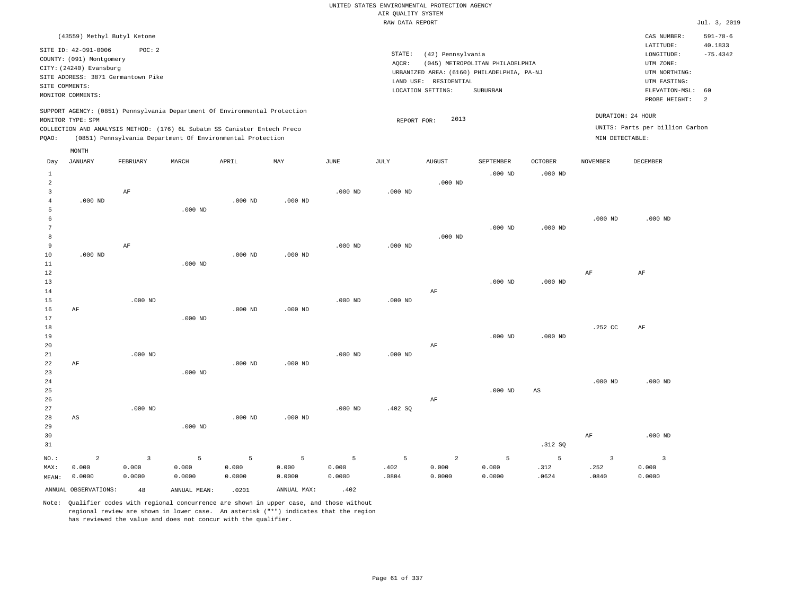# UNITED STATES ENVIRONMENTAL PROTECTION AGENCY AIR QUALITY SYSTEM

|                |                                                                                                                                        |                |              |                                                                            |             |             | RAW DATA REPORT |                                                                                                               |                                             |                        |                 |                                                                                                             | Jul. 3, 2019               |
|----------------|----------------------------------------------------------------------------------------------------------------------------------------|----------------|--------------|----------------------------------------------------------------------------|-------------|-------------|-----------------|---------------------------------------------------------------------------------------------------------------|---------------------------------------------|------------------------|-----------------|-------------------------------------------------------------------------------------------------------------|----------------------------|
|                | (43559) Methyl Butyl Ketone                                                                                                            |                |              |                                                                            |             |             |                 |                                                                                                               |                                             |                        |                 | CAS NUMBER:                                                                                                 | $591 - 78 - 6$             |
| SITE COMMENTS: | SITE ID: 42-091-0006<br>COUNTY: (091) Montgomery<br>CITY: (24240) Evansburg<br>SITE ADDRESS: 3871 Germantown Pike<br>MONITOR COMMENTS: | POC: 2         |              |                                                                            |             |             | STATE:<br>AQCR: | (42) Pennsylvania<br>URBANIZED AREA: (6160) PHILADELPHIA, PA-NJ<br>LAND USE: RESIDENTIAL<br>LOCATION SETTING: | (045) METROPOLITAN PHILADELPHIA<br>SUBURBAN |                        |                 | LATITUDE:<br>LONGITUDE:<br>UTM ZONE:<br>UTM NORTHING:<br>UTM EASTING:<br>ELEVATION-MSL: 60<br>PROBE HEIGHT: | 40.1833<br>$-75.4342$<br>2 |
|                |                                                                                                                                        |                |              | SUPPORT AGENCY: (0851) Pennsylvania Department Of Environmental Protection |             |             |                 |                                                                                                               |                                             |                        |                 |                                                                                                             |                            |
|                | MONITOR TYPE: SPM                                                                                                                      |                |              |                                                                            |             |             | REPORT FOR:     | 2013                                                                                                          |                                             |                        |                 | DURATION: 24 HOUR                                                                                           |                            |
|                |                                                                                                                                        |                |              | COLLECTION AND ANALYSIS METHOD: (176) 6L Subatm SS Canister Entech Preco   |             |             |                 |                                                                                                               |                                             |                        |                 | UNITS: Parts per billion Carbon                                                                             |                            |
| PQAO:          |                                                                                                                                        |                |              | (0851) Pennsylvania Department Of Environmental Protection                 |             |             |                 |                                                                                                               |                                             |                        | MIN DETECTABLE: |                                                                                                             |                            |
|                | MONTH                                                                                                                                  |                |              |                                                                            |             |             |                 |                                                                                                               |                                             |                        |                 |                                                                                                             |                            |
| Day            | <b>JANUARY</b>                                                                                                                         | FEBRUARY       | MARCH        | APRIL                                                                      | MAY         | <b>JUNE</b> | <b>JULY</b>     | <b>AUGUST</b>                                                                                                 | SEPTEMBER                                   | OCTOBER                | <b>NOVEMBER</b> | <b>DECEMBER</b>                                                                                             |                            |
| $\mathbf{1}$   |                                                                                                                                        |                |              |                                                                            |             |             |                 |                                                                                                               | $.000$ ND                                   | $.000$ ND              |                 |                                                                                                             |                            |
| $\overline{c}$ |                                                                                                                                        |                |              |                                                                            |             |             |                 | $.000$ ND                                                                                                     |                                             |                        |                 |                                                                                                             |                            |
| 3              |                                                                                                                                        | AF             |              |                                                                            |             | $.000$ ND   | $.000$ ND       |                                                                                                               |                                             |                        |                 |                                                                                                             |                            |
| 4              | $.000$ ND                                                                                                                              |                |              | $.000$ ND                                                                  | $.000$ ND   |             |                 |                                                                                                               |                                             |                        |                 |                                                                                                             |                            |
| 5              |                                                                                                                                        |                | $.000$ ND    |                                                                            |             |             |                 |                                                                                                               |                                             |                        |                 |                                                                                                             |                            |
| 6              |                                                                                                                                        |                |              |                                                                            |             |             |                 |                                                                                                               |                                             |                        | $.000$ ND       | $.000$ ND                                                                                                   |                            |
| 7              |                                                                                                                                        |                |              |                                                                            |             |             |                 |                                                                                                               | $.000$ ND                                   | $.000$ ND              |                 |                                                                                                             |                            |
| 8              |                                                                                                                                        |                |              |                                                                            |             |             |                 | $.000$ ND                                                                                                     |                                             |                        |                 |                                                                                                             |                            |
| 9              |                                                                                                                                        | AF             |              |                                                                            |             | $.000$ ND   | $.000$ ND       |                                                                                                               |                                             |                        |                 |                                                                                                             |                            |
| 10<br>$11\,$   | $.000$ ND                                                                                                                              |                |              | $.000$ ND                                                                  | $.000$ ND   |             |                 |                                                                                                               |                                             |                        |                 |                                                                                                             |                            |
| 12             |                                                                                                                                        |                | $.000$ ND    |                                                                            |             |             |                 |                                                                                                               |                                             |                        | $\rm AF$        | AF                                                                                                          |                            |
| 13             |                                                                                                                                        |                |              |                                                                            |             |             |                 |                                                                                                               | $.000$ ND                                   | $.000$ ND              |                 |                                                                                                             |                            |
| 14             |                                                                                                                                        |                |              |                                                                            |             |             |                 | AF                                                                                                            |                                             |                        |                 |                                                                                                             |                            |
| 15             |                                                                                                                                        | $.000$ ND      |              |                                                                            |             | $.000$ ND   | $.000$ ND       |                                                                                                               |                                             |                        |                 |                                                                                                             |                            |
| 16             | AF                                                                                                                                     |                |              | $.000$ ND                                                                  | $.000$ ND   |             |                 |                                                                                                               |                                             |                        |                 |                                                                                                             |                            |
| 17             |                                                                                                                                        |                | $.000$ ND    |                                                                            |             |             |                 |                                                                                                               |                                             |                        |                 |                                                                                                             |                            |
| 18             |                                                                                                                                        |                |              |                                                                            |             |             |                 |                                                                                                               |                                             |                        | .252 CC         | AF                                                                                                          |                            |
| 19             |                                                                                                                                        |                |              |                                                                            |             |             |                 |                                                                                                               | $.000$ ND                                   | $.000$ ND              |                 |                                                                                                             |                            |
| 20             |                                                                                                                                        |                |              |                                                                            |             |             |                 | AF                                                                                                            |                                             |                        |                 |                                                                                                             |                            |
| 21             |                                                                                                                                        | $.000$ ND      |              |                                                                            |             | $.000$ ND   | $.000$ ND       |                                                                                                               |                                             |                        |                 |                                                                                                             |                            |
| 22             | AF                                                                                                                                     |                |              | $.000$ ND                                                                  | $.000$ ND   |             |                 |                                                                                                               |                                             |                        |                 |                                                                                                             |                            |
| 23             |                                                                                                                                        |                | $.000$ ND    |                                                                            |             |             |                 |                                                                                                               |                                             |                        |                 |                                                                                                             |                            |
| 24             |                                                                                                                                        |                |              |                                                                            |             |             |                 |                                                                                                               |                                             |                        | $.000$ ND       | $.000$ ND                                                                                                   |                            |
| 25             |                                                                                                                                        |                |              |                                                                            |             |             |                 |                                                                                                               | $.000$ ND                                   | $\mathbb{A}\mathbb{S}$ |                 |                                                                                                             |                            |
| 26             |                                                                                                                                        |                |              |                                                                            |             |             |                 | AF                                                                                                            |                                             |                        |                 |                                                                                                             |                            |
| 27             |                                                                                                                                        | $.000$ ND      |              |                                                                            |             | $.000$ ND   | .402 SQ         |                                                                                                               |                                             |                        |                 |                                                                                                             |                            |
| 28             | AS                                                                                                                                     |                |              | $.000$ ND                                                                  | $.000$ ND   |             |                 |                                                                                                               |                                             |                        |                 |                                                                                                             |                            |
| 29             |                                                                                                                                        |                | $.000$ ND    |                                                                            |             |             |                 |                                                                                                               |                                             |                        |                 |                                                                                                             |                            |
| 30<br>31       |                                                                                                                                        |                |              |                                                                            |             |             |                 |                                                                                                               |                                             | .312 SQ                | $\rm AF$        | $.000$ ND                                                                                                   |                            |
|                |                                                                                                                                        |                |              |                                                                            |             |             |                 |                                                                                                               |                                             |                        |                 |                                                                                                             |                            |
| $NO.$ :        | $\overline{c}$                                                                                                                         | $\overline{3}$ | 5            | 5                                                                          | 5           | 5           | 5               | $\overline{a}$                                                                                                | 5                                           | 5                      | $\overline{3}$  | $\overline{\mathbf{3}}$                                                                                     |                            |
| MAX:           | 0.000                                                                                                                                  | 0.000          | 0.000        | 0.000                                                                      | 0.000       | 0.000       | .402            | 0.000                                                                                                         | 0.000                                       | .312                   | .252            | 0.000                                                                                                       |                            |
| MEAN:          | 0.0000                                                                                                                                 | 0.0000         | 0.0000       | 0.0000                                                                     | 0.0000      | 0.0000      | .0804           | 0.0000                                                                                                        | 0.0000                                      | .0624                  | .0840           | 0.0000                                                                                                      |                            |
|                | ANNUAL OBSERVATIONS:                                                                                                                   | 48             | ANNUAL MEAN: | .0201                                                                      | ANNUAL MAX: | .402        |                 |                                                                                                               |                                             |                        |                 |                                                                                                             |                            |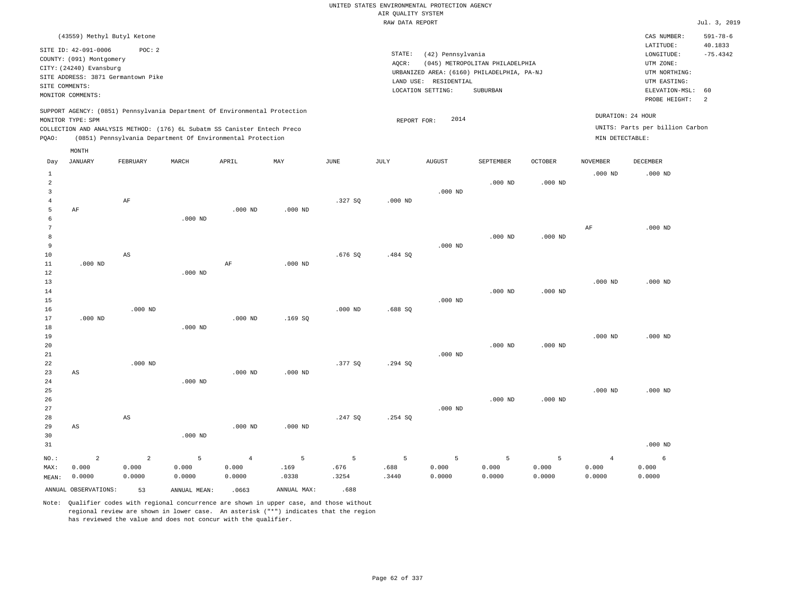|                 | (43559) Methyl Butyl Ketone        |                         |                                                                            |                 |             |               |               |                       |                                                                               |            |                   | CAS NUMBER:                     | $591 - 78 - 6$ |
|-----------------|------------------------------------|-------------------------|----------------------------------------------------------------------------|-----------------|-------------|---------------|---------------|-----------------------|-------------------------------------------------------------------------------|------------|-------------------|---------------------------------|----------------|
|                 | SITE ID: 42-091-0006               | POC: 2                  |                                                                            |                 |             |               |               |                       |                                                                               |            |                   | LATITUDE:                       | 40.1833        |
|                 | COUNTY: (091) Montgomery           |                         |                                                                            |                 |             |               | STATE:        | (42) Pennsylvania     |                                                                               |            |                   | LONGITUDE:<br>UTM ZONE:         | $-75.4342$     |
|                 | CITY: (24240) Evansburg            |                         |                                                                            |                 |             |               | AQCR:         |                       | (045) METROPOLITAN PHILADELPHIA<br>URBANIZED AREA: (6160) PHILADELPHIA, PA-NJ |            |                   | UTM NORTHING:                   |                |
|                 | SITE ADDRESS: 3871 Germantown Pike |                         |                                                                            |                 |             |               |               | LAND USE: RESIDENTIAL |                                                                               |            |                   | UTM EASTING:                    |                |
| SITE COMMENTS:  |                                    |                         |                                                                            |                 |             |               |               | LOCATION SETTING:     | SUBURBAN                                                                      |            |                   | ELEVATION-MSL:                  | 60             |
|                 | MONITOR COMMENTS:                  |                         |                                                                            |                 |             |               |               |                       |                                                                               |            |                   | PROBE HEIGHT:                   | <sup>2</sup>   |
|                 |                                    |                         | SUPPORT AGENCY: (0851) Pennsylvania Department Of Environmental Protection |                 |             |               |               |                       |                                                                               |            | DURATION: 24 HOUR |                                 |                |
|                 | MONITOR TYPE: SPM                  |                         |                                                                            |                 |             |               | REPORT FOR:   | 2014                  |                                                                               |            |                   |                                 |                |
|                 |                                    |                         | COLLECTION AND ANALYSIS METHOD: (176) 6L Subatm SS Canister Entech Preco   |                 |             |               |               |                       |                                                                               |            |                   | UNITS: Parts per billion Carbon |                |
| PQAO:           |                                    |                         | (0851) Pennsylvania Department Of Environmental Protection                 |                 |             |               |               |                       |                                                                               |            | MIN DETECTABLE:   |                                 |                |
|                 | MONTH                              |                         |                                                                            |                 |             |               |               |                       |                                                                               |            |                   |                                 |                |
| Day             | <b>JANUARY</b>                     | FEBRUARY                | MARCH                                                                      | APRIL           | MAY         | JUNE          | JULY          | <b>AUGUST</b>         | SEPTEMBER                                                                     | OCTOBER    | <b>NOVEMBER</b>   | DECEMBER                        |                |
| $\mathbf{1}$    |                                    |                         |                                                                            |                 |             |               |               |                       |                                                                               |            | $.000$ ND         | $.000$ ND                       |                |
| $\overline{a}$  |                                    |                         |                                                                            |                 |             |               |               |                       | $.000$ ND                                                                     | $.000$ ND  |                   |                                 |                |
| $\overline{3}$  |                                    |                         |                                                                            |                 |             |               |               | $.000$ ND             |                                                                               |            |                   |                                 |                |
| $\overline{4}$  |                                    | AF                      |                                                                            |                 |             | .327S         | $.000$ ND     |                       |                                                                               |            |                   |                                 |                |
| 5               | AF                                 |                         |                                                                            | $.000$ ND       | $.000$ ND   |               |               |                       |                                                                               |            |                   |                                 |                |
| 6               |                                    |                         | $.000$ ND                                                                  |                 |             |               |               |                       |                                                                               |            |                   |                                 |                |
| $7\phantom{.0}$ |                                    |                         |                                                                            |                 |             |               |               |                       |                                                                               |            | AF                | $.000$ ND                       |                |
| 8               |                                    |                         |                                                                            |                 |             |               |               |                       | $.000$ ND                                                                     | $.000$ ND  |                   |                                 |                |
| 9               |                                    |                         |                                                                            |                 |             |               |               | $.000$ ND             |                                                                               |            |                   |                                 |                |
| $10$            |                                    | $_{\rm AS}$             |                                                                            |                 |             | .676SQ        | .484 SQ       |                       |                                                                               |            |                   |                                 |                |
| 11<br>12        | $.000$ ND                          |                         | $.000$ ND                                                                  | AF              | $.000$ ND   |               |               |                       |                                                                               |            |                   |                                 |                |
| 13              |                                    |                         |                                                                            |                 |             |               |               |                       |                                                                               |            | $.000$ ND         | $.000$ ND                       |                |
| 14              |                                    |                         |                                                                            |                 |             |               |               |                       | $.000$ ND                                                                     | $.000$ ND  |                   |                                 |                |
| 15              |                                    |                         |                                                                            |                 |             |               |               | $.000$ ND             |                                                                               |            |                   |                                 |                |
| 16              |                                    | $.000$ ND               |                                                                            |                 |             | $.000$ ND     | .688 SQ       |                       |                                                                               |            |                   |                                 |                |
| 17              | $.000$ ND                          |                         |                                                                            | $.000$ ND       | .169 SO     |               |               |                       |                                                                               |            |                   |                                 |                |
| 18              |                                    |                         | $.000$ ND                                                                  |                 |             |               |               |                       |                                                                               |            |                   |                                 |                |
| 19              |                                    |                         |                                                                            |                 |             |               |               |                       |                                                                               |            | $.000$ ND         | $.000$ ND                       |                |
| 20              |                                    |                         |                                                                            |                 |             |               |               |                       | $.000$ ND                                                                     | $.000$ ND  |                   |                                 |                |
| 21              |                                    |                         |                                                                            |                 |             |               |               | $.000$ ND             |                                                                               |            |                   |                                 |                |
| 22              |                                    | $.000$ ND               |                                                                            |                 |             | .377 SQ       | .294 SQ       |                       |                                                                               |            |                   |                                 |                |
| 23              | AS                                 |                         |                                                                            | $.000$ ND       | $.000$ ND   |               |               |                       |                                                                               |            |                   |                                 |                |
| 24              |                                    |                         | $.000$ ND                                                                  |                 |             |               |               |                       |                                                                               |            |                   |                                 |                |
| 25<br>26        |                                    |                         |                                                                            |                 |             |               |               |                       | $.000$ ND                                                                     | $.000$ ND  | $.000$ ND         | $.000$ ND                       |                |
| 27              |                                    |                         |                                                                            |                 |             |               |               | $.000$ ND             |                                                                               |            |                   |                                 |                |
| 28              |                                    | AS                      |                                                                            |                 |             | .247SQ        | .254 SQ       |                       |                                                                               |            |                   |                                 |                |
| 29              | AS                                 |                         |                                                                            | $.000$ ND       | $.000$ ND   |               |               |                       |                                                                               |            |                   |                                 |                |
| 30              |                                    |                         | $.000$ ND                                                                  |                 |             |               |               |                       |                                                                               |            |                   |                                 |                |
| 31              |                                    |                         |                                                                            |                 |             |               |               |                       |                                                                               |            |                   | $.000$ ND                       |                |
|                 |                                    |                         |                                                                            |                 |             |               |               |                       |                                                                               |            |                   |                                 |                |
| NO.:            | $\overline{a}$                     | $\overline{a}$<br>0.000 | 5                                                                          | $\overline{4}$  | 5<br>.169   | 5             | 5             | 5<br>0.000            | 5<br>0.000                                                                    | 5<br>0.000 | $\overline{4}$    | 6                               |                |
| MAX:            | 0.000<br>0.0000                    | 0.0000                  | 0.000<br>0.0000                                                            | 0.000<br>0.0000 | .0338       | .676<br>.3254 | .688<br>.3440 | 0.0000                | 0.0000                                                                        | 0.0000     | 0.000<br>0.0000   | 0.000<br>0.0000                 |                |
| MEAN:           |                                    |                         |                                                                            |                 |             |               |               |                       |                                                                               |            |                   |                                 |                |
|                 | ANNUAL OBSERVATIONS:               | 53                      | ANNUAL MEAN:                                                               | .0663           | ANNUAL MAX: | .688          |               |                       |                                                                               |            |                   |                                 |                |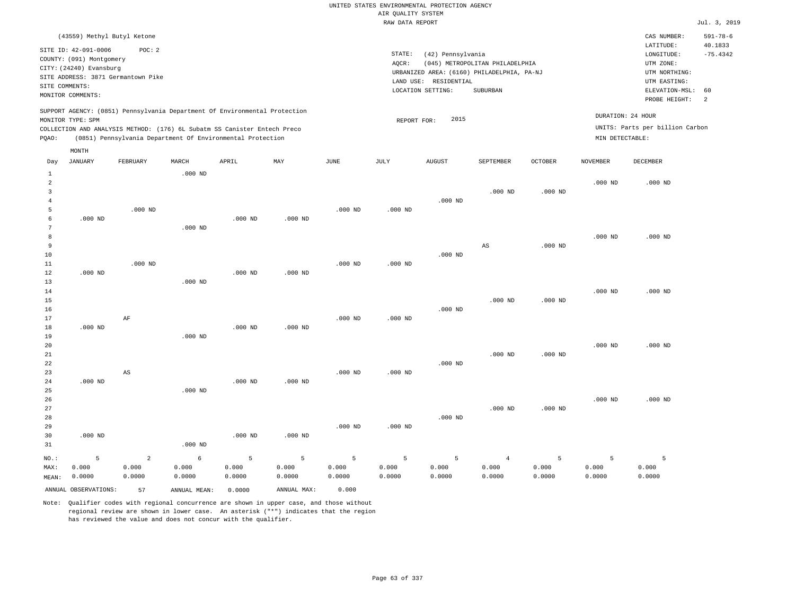|                |                                    |                |                                                                            |           |             |           | TAILE DETTE THE ATLE |                       |                                                                               |           |                   |                                 | $0$ at $1$ , $2$ , $20$ |
|----------------|------------------------------------|----------------|----------------------------------------------------------------------------|-----------|-------------|-----------|----------------------|-----------------------|-------------------------------------------------------------------------------|-----------|-------------------|---------------------------------|-------------------------|
|                | (43559) Methyl Butyl Ketone        |                |                                                                            |           |             |           |                      |                       |                                                                               |           |                   | CAS NUMBER:                     | $591 - 78 - 6$          |
|                | SITE ID: 42-091-0006               | POC: 2         |                                                                            |           |             |           |                      |                       |                                                                               |           |                   | LATITUDE:                       | 40.1833                 |
|                | COUNTY: (091) Montgomery           |                |                                                                            |           |             |           | STATE:               | (42) Pennsylvania     |                                                                               |           |                   | LONGITUDE:                      | $-75.4342$              |
|                | CITY: (24240) Evansburg            |                |                                                                            |           |             |           | AQCR:                |                       | (045) METROPOLITAN PHILADELPHIA<br>URBANIZED AREA: (6160) PHILADELPHIA, PA-NJ |           |                   | UTM ZONE:<br>UTM NORTHING:      |                         |
|                | SITE ADDRESS: 3871 Germantown Pike |                |                                                                            |           |             |           |                      | LAND USE: RESIDENTIAL |                                                                               |           |                   | UTM EASTING:                    |                         |
|                | SITE COMMENTS:                     |                |                                                                            |           |             |           |                      | LOCATION SETTING:     | <b>SUBURBAN</b>                                                               |           |                   | ELEVATION-MSL: 60               |                         |
|                | MONITOR COMMENTS:                  |                |                                                                            |           |             |           |                      |                       |                                                                               |           |                   | PROBE HEIGHT:                   | 2                       |
|                | MONITOR TYPE: SPM                  |                | SUPPORT AGENCY: (0851) Pennsylvania Department Of Environmental Protection |           |             |           | REPORT FOR:          | 2015                  |                                                                               |           | DURATION: 24 HOUR |                                 |                         |
|                |                                    |                | COLLECTION AND ANALYSIS METHOD: (176) 6L Subatm SS Canister Entech Preco   |           |             |           |                      |                       |                                                                               |           |                   | UNITS: Parts per billion Carbon |                         |
| PQAO:          |                                    |                | (0851) Pennsylvania Department Of Environmental Protection                 |           |             |           |                      |                       |                                                                               |           | MIN DETECTABLE:   |                                 |                         |
|                | MONTH                              |                |                                                                            |           |             |           |                      |                       |                                                                               |           |                   |                                 |                         |
| Day            | <b>JANUARY</b>                     | FEBRUARY       | MARCH                                                                      | APRIL     | MAY         | JUNE      | JULY                 | <b>AUGUST</b>         | SEPTEMBER                                                                     | OCTOBER   | <b>NOVEMBER</b>   | <b>DECEMBER</b>                 |                         |
| $\mathbf{1}$   |                                    |                | $.000$ ND                                                                  |           |             |           |                      |                       |                                                                               |           |                   |                                 |                         |
| $\overline{a}$ |                                    |                |                                                                            |           |             |           |                      |                       |                                                                               |           | $.000$ ND         | $.000$ ND                       |                         |
| 3              |                                    |                |                                                                            |           |             |           |                      |                       | $.000$ ND                                                                     | $.000$ ND |                   |                                 |                         |
| $\overline{4}$ |                                    |                |                                                                            |           |             |           |                      | $.000$ ND             |                                                                               |           |                   |                                 |                         |
| 5              |                                    | $.000$ ND      |                                                                            |           |             | $.000$ ND | $.000$ ND            |                       |                                                                               |           |                   |                                 |                         |
| 6              | $.000$ ND                          |                |                                                                            | $.000$ ND | $.000$ ND   |           |                      |                       |                                                                               |           |                   |                                 |                         |
| 7<br>8         |                                    |                | $.000$ ND                                                                  |           |             |           |                      |                       |                                                                               |           | $.000$ ND         | $.000$ ND                       |                         |
| 9              |                                    |                |                                                                            |           |             |           |                      |                       | $_{\rm AS}$                                                                   | $.000$ ND |                   |                                 |                         |
| 10             |                                    |                |                                                                            |           |             |           |                      | $.000$ ND             |                                                                               |           |                   |                                 |                         |
| $11\,$         |                                    | $.000$ ND      |                                                                            |           |             | $.000$ ND | $.000$ ND            |                       |                                                                               |           |                   |                                 |                         |
| 12             | $.000$ ND                          |                |                                                                            | $.000$ ND | $.000$ ND   |           |                      |                       |                                                                               |           |                   |                                 |                         |
| 13             |                                    |                | $.000$ ND                                                                  |           |             |           |                      |                       |                                                                               |           |                   |                                 |                         |
| 14             |                                    |                |                                                                            |           |             |           |                      |                       |                                                                               |           | $.000$ ND         | $.000$ ND                       |                         |
| 15<br>16       |                                    |                |                                                                            |           |             |           |                      | $.000$ ND             | $.000$ ND                                                                     | $.000$ ND |                   |                                 |                         |
| 17             |                                    | AF             |                                                                            |           |             | $.000$ ND | $.000$ ND            |                       |                                                                               |           |                   |                                 |                         |
| 18             | $.000$ ND                          |                |                                                                            | $.000$ ND | $.000$ ND   |           |                      |                       |                                                                               |           |                   |                                 |                         |
| 19             |                                    |                | $.000$ ND                                                                  |           |             |           |                      |                       |                                                                               |           |                   |                                 |                         |
| 20             |                                    |                |                                                                            |           |             |           |                      |                       |                                                                               |           | $.000$ ND         | $.000$ ND                       |                         |
| 21             |                                    |                |                                                                            |           |             |           |                      |                       | $.000$ ND                                                                     | $.000$ ND |                   |                                 |                         |
| 22             |                                    |                |                                                                            |           |             |           |                      | $.000$ ND             |                                                                               |           |                   |                                 |                         |
| 23<br>24       | $.000$ ND                          | AS             |                                                                            | $.000$ ND | $.000$ ND   | $.000$ ND | $.000$ ND            |                       |                                                                               |           |                   |                                 |                         |
| 25             |                                    |                | $.000$ ND                                                                  |           |             |           |                      |                       |                                                                               |           |                   |                                 |                         |
| 26             |                                    |                |                                                                            |           |             |           |                      |                       |                                                                               |           | $.000$ ND         | $.000$ ND                       |                         |
| 27             |                                    |                |                                                                            |           |             |           |                      |                       | $.000$ ND                                                                     | $.000$ ND |                   |                                 |                         |
| 28             |                                    |                |                                                                            |           |             |           |                      | $.000$ ND             |                                                                               |           |                   |                                 |                         |
| 29             |                                    |                |                                                                            |           |             | $.000$ ND | $.000$ ND            |                       |                                                                               |           |                   |                                 |                         |
| 30             | $.000$ ND                          |                |                                                                            | $.000$ ND | $.000$ ND   |           |                      |                       |                                                                               |           |                   |                                 |                         |
| 31             |                                    |                | $.000$ ND                                                                  |           |             |           |                      |                       |                                                                               |           |                   |                                 |                         |
| NO.:           | 5                                  | $\overline{2}$ | 6                                                                          | 5         | 5           | 5         | 5                    | 5                     | $\overline{4}$                                                                | 5         | 5                 | 5                               |                         |
| MAX:           | 0.000                              | 0.000          | 0.000                                                                      | 0.000     | 0.000       | 0.000     | 0.000                | 0.000                 | 0.000                                                                         | 0.000     | 0.000             | 0.000                           |                         |
| MEAN:          | 0.0000                             | 0.0000         | 0.0000                                                                     | 0.0000    | 0.0000      | 0.0000    | 0.0000               | 0.0000                | 0.0000                                                                        | 0.0000    | 0.0000            | 0.0000                          |                         |
|                | ANNUAL OBSERVATIONS:               | 57             | ANNUAL MEAN:                                                               | 0.0000    | ANNUAL MAX: | 0.000     |                      |                       |                                                                               |           |                   |                                 |                         |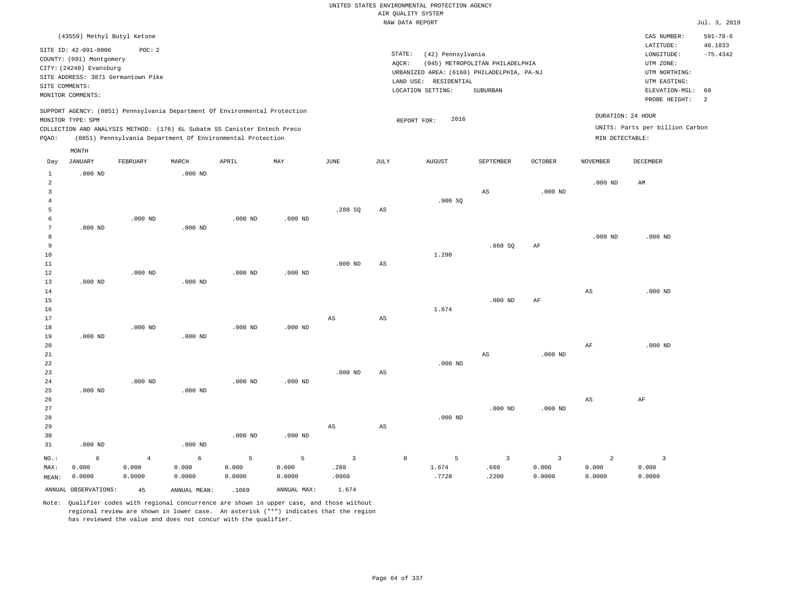# UNITED STATES ENVIRONMENTAL PROTECTION AGENCY AIR QUALITY SYSTEM

|                     |                                    |                |              |                                                                            |                |                         |                        | RAW DATA REPORT                            |                                 |                |                   |                                 | Jul. 3, 2019   |
|---------------------|------------------------------------|----------------|--------------|----------------------------------------------------------------------------|----------------|-------------------------|------------------------|--------------------------------------------|---------------------------------|----------------|-------------------|---------------------------------|----------------|
|                     | (43559) Methyl Butyl Ketone        |                |              |                                                                            |                |                         |                        |                                            |                                 |                |                   | CAS NUMBER:                     | $591 - 78 - 6$ |
|                     | SITE ID: 42-091-0006               | POC: 2         |              |                                                                            |                |                         |                        |                                            |                                 |                |                   | LATITUDE:                       | 40.1833        |
|                     | COUNTY: (091) Montgomery           |                |              |                                                                            |                |                         |                        | STATE:<br>(42) Pennsylvania                |                                 |                |                   | LONGITUDE:                      | $-75.4342$     |
|                     | CITY: (24240) Evansburg            |                |              |                                                                            |                |                         |                        | AQCR:                                      | (045) METROPOLITAN PHILADELPHIA |                |                   | UTM ZONE:                       |                |
|                     | SITE ADDRESS: 3871 Germantown Pike |                |              |                                                                            |                |                         |                        | URBANIZED AREA: (6160) PHILADELPHIA, PA-NJ |                                 |                |                   | UTM NORTHING:                   |                |
| SITE COMMENTS:      |                                    |                |              |                                                                            |                |                         |                        | LAND USE: RESIDENTIAL                      |                                 |                |                   | UTM EASTING:                    |                |
|                     | MONITOR COMMENTS:                  |                |              |                                                                            |                |                         |                        | LOCATION SETTING:                          | SUBURBAN                        |                |                   | ELEVATION-MSL:                  | 60             |
|                     |                                    |                |              |                                                                            |                |                         |                        |                                            |                                 |                |                   | PROBE HEIGHT:                   | 2              |
|                     | MONITOR TYPE: SPM                  |                |              | SUPPORT AGENCY: (0851) Pennsylvania Department Of Environmental Protection |                |                         |                        | 2016                                       |                                 |                | DURATION: 24 HOUR |                                 |                |
|                     |                                    |                |              | COLLECTION AND ANALYSIS METHOD: (176) 6L Subatm SS Canister Entech Preco   |                |                         |                        | REPORT FOR:                                |                                 |                |                   | UNITS: Parts per billion Carbon |                |
| PQAO:               |                                    |                |              | (0851) Pennsylvania Department Of Environmental Protection                 |                |                         |                        |                                            |                                 |                | MIN DETECTABLE:   |                                 |                |
|                     |                                    |                |              |                                                                            |                |                         |                        |                                            |                                 |                |                   |                                 |                |
|                     | MONTH<br>JANUARY                   | FEBRUARY       | MARCH        | APRIL                                                                      | MAY            | JUNE                    | JULY                   | <b>AUGUST</b>                              | SEPTEMBER                       | <b>OCTOBER</b> | <b>NOVEMBER</b>   | DECEMBER                        |                |
| Day                 |                                    |                |              |                                                                            |                |                         |                        |                                            |                                 |                |                   |                                 |                |
| $\mathbf{1}$        | $.000$ ND                          |                | $.000$ ND    |                                                                            |                |                         |                        |                                            |                                 |                |                   |                                 |                |
| $\overline{a}$<br>3 |                                    |                |              |                                                                            |                |                         |                        |                                            |                                 |                | $.000$ ND         | AM                              |                |
| $\overline{4}$      |                                    |                |              |                                                                            |                |                         |                        | .900 SO                                    | AS                              | $.000$ ND      |                   |                                 |                |
| 5                   |                                    |                |              |                                                                            |                | .288 SQ                 | AS                     |                                            |                                 |                |                   |                                 |                |
| 6                   |                                    | $.000$ ND      |              | $.000$ ND                                                                  | $.000$ ND      |                         |                        |                                            |                                 |                |                   |                                 |                |
| $\overline{7}$      | $.000$ ND                          |                | $.000$ ND    |                                                                            |                |                         |                        |                                            |                                 |                |                   |                                 |                |
| 8                   |                                    |                |              |                                                                            |                |                         |                        |                                            |                                 |                | $.000$ ND         | $.000$ ND                       |                |
| 9                   |                                    |                |              |                                                                            |                |                         |                        |                                            | .660SQ                          | AF             |                   |                                 |                |
| 10                  |                                    |                |              |                                                                            |                |                         |                        | 1.290                                      |                                 |                |                   |                                 |                |
| 11                  |                                    |                |              |                                                                            |                | $.000$ ND               | $\mathbb{A}\mathbb{S}$ |                                            |                                 |                |                   |                                 |                |
| 12                  |                                    | $.000$ ND      |              | $.000$ ND                                                                  | $.000$ ND      |                         |                        |                                            |                                 |                |                   |                                 |                |
| 13                  | $.000$ ND                          |                | $.000$ ND    |                                                                            |                |                         |                        |                                            |                                 |                |                   |                                 |                |
| 14                  |                                    |                |              |                                                                            |                |                         |                        |                                            |                                 |                | AS                | $.000$ ND                       |                |
| 15                  |                                    |                |              |                                                                            |                |                         |                        |                                            | $.000$ ND                       | AF             |                   |                                 |                |
| 16                  |                                    |                |              |                                                                            |                |                         |                        | 1.674                                      |                                 |                |                   |                                 |                |
| 17                  |                                    |                |              |                                                                            |                | AS                      | AS                     |                                            |                                 |                |                   |                                 |                |
| 18                  |                                    | $.000$ ND      |              | $.000$ ND                                                                  | $.000$ ND      |                         |                        |                                            |                                 |                |                   |                                 |                |
| 19                  | $.000$ ND                          |                | $.000$ ND    |                                                                            |                |                         |                        |                                            |                                 |                |                   |                                 |                |
| 20                  |                                    |                |              |                                                                            |                |                         |                        |                                            |                                 |                | AF                | $.000$ ND                       |                |
| 21                  |                                    |                |              |                                                                            |                |                         |                        |                                            | AS                              | $.000$ ND      |                   |                                 |                |
| 22                  |                                    |                |              |                                                                            |                |                         |                        | $.000$ ND                                  |                                 |                |                   |                                 |                |
| 23                  |                                    |                |              |                                                                            |                | $.000$ ND               | AS                     |                                            |                                 |                |                   |                                 |                |
| 24                  |                                    | $.000$ ND      |              | $.000$ ND                                                                  | $.000$ ND      |                         |                        |                                            |                                 |                |                   |                                 |                |
| 25                  | $.000$ ND                          |                | $.000$ ND    |                                                                            |                |                         |                        |                                            |                                 |                |                   |                                 |                |
| 26                  |                                    |                |              |                                                                            |                |                         |                        |                                            |                                 |                | AS                | AF                              |                |
| 27                  |                                    |                |              |                                                                            |                |                         |                        |                                            | $.000$ ND                       | $.000$ ND      |                   |                                 |                |
| 28<br>29            |                                    |                |              |                                                                            |                |                         |                        | $.000$ ND                                  |                                 |                |                   |                                 |                |
| 30                  |                                    |                |              | $.000$ ND                                                                  | $.000$ ND      | $_{\rm AS}$             | $_{\rm AS}$            |                                            |                                 |                |                   |                                 |                |
| 31                  | $.000$ ND                          |                | $.000$ ND    |                                                                            |                |                         |                        |                                            |                                 |                |                   |                                 |                |
|                     |                                    |                |              |                                                                            |                |                         |                        |                                            |                                 |                |                   |                                 |                |
| $NO.$ :             | 6                                  | $\overline{4}$ | 6            | 5                                                                          | $\overline{5}$ | $\overline{\mathbf{3}}$ |                        | $\mathbb O$<br>5                           | $\overline{3}$                  | $\overline{3}$ | 2                 | $\overline{\mathbf{3}}$         |                |
| MAX:                | 0.000                              | 0.000          | 0.000        | 0.000                                                                      | 0.000          | .288                    |                        | 1.674                                      | .660                            | 0.000          | 0.000             | 0.000                           |                |
| MEAN:               | 0.0000                             | 0.0000         | 0.0000       | 0.0000                                                                     | 0.0000         | .0960                   |                        | .7728                                      | .2200                           | 0.0000         | 0.0000            | 0.0000                          |                |
|                     | ANNUAL OBSERVATIONS:               | 45             | ANNUAL MEAN: | .1069                                                                      | ANNUAL MAX:    | 1.674                   |                        |                                            |                                 |                |                   |                                 |                |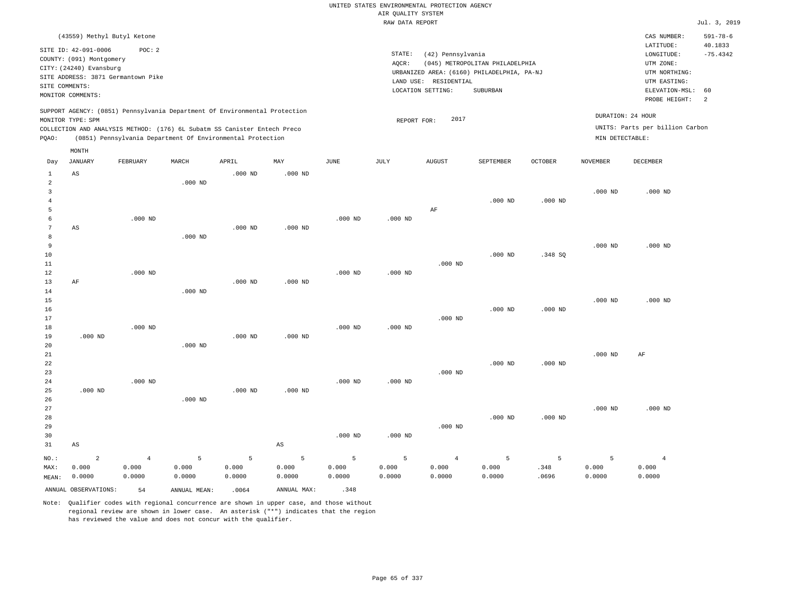|                 |                          |                                                                            |                |           |                |             | AIR QUALITY SYSTEM | UNITED STATES ENVIRONMENTAL PROTECTION AGENCY |                                 |                |                 |                                     |                       |
|-----------------|--------------------------|----------------------------------------------------------------------------|----------------|-----------|----------------|-------------|--------------------|-----------------------------------------------|---------------------------------|----------------|-----------------|-------------------------------------|-----------------------|
|                 |                          |                                                                            |                |           |                |             | RAW DATA REPORT    |                                               |                                 |                |                 |                                     | Jul. 3, 2019          |
|                 |                          |                                                                            |                |           |                |             |                    |                                               |                                 |                |                 |                                     |                       |
|                 |                          | (43559) Methyl Butyl Ketone                                                |                |           |                |             |                    |                                               |                                 |                |                 | CAS NUMBER:                         | $591 - 78 - 6$        |
|                 | SITE ID: 42-091-0006     | POC: 2                                                                     |                |           |                |             | STATE:             |                                               |                                 |                |                 | LATITUDE:                           | 40.1833<br>$-75.4342$ |
|                 | COUNTY: (091) Montgomery |                                                                            |                |           |                |             | AOCR:              | (42) Pennsylvania                             | (045) METROPOLITAN PHILADELPHIA |                |                 | $\texttt{LONGITUDE}$ :<br>UTM ZONE: |                       |
|                 | CITY: (24240) Evansburg  |                                                                            |                |           |                |             |                    | URBANIZED AREA: (6160) PHILADELPHIA, PA-NJ    |                                 |                |                 | UTM NORTHING:                       |                       |
|                 |                          | SITE ADDRESS: 3871 Germantown Pike                                         |                |           |                |             |                    | LAND USE: RESIDENTIAL                         |                                 |                |                 | UTM EASTING:                        |                       |
|                 | SITE COMMENTS:           |                                                                            |                |           |                |             |                    | LOCATION SETTING:                             | SUBURBAN                        |                |                 | ELEVATION-MSL:                      | 60                    |
|                 | MONITOR COMMENTS:        |                                                                            |                |           |                |             |                    |                                               |                                 |                |                 | PROBE HEIGHT:                       | 2                     |
|                 | MONITOR TYPE: SPM        | SUPPORT AGENCY: (0851) Pennsylvania Department Of Environmental Protection |                |           |                |             | REPORT FOR:        | 2017                                          |                                 |                |                 | DURATION: 24 HOUR                   |                       |
|                 |                          | COLLECTION AND ANALYSIS METHOD: (176) 6L Subatm SS Canister Entech Preco   |                |           |                |             |                    |                                               |                                 |                |                 | UNITS: Parts per billion Carbon     |                       |
| PQAO:           |                          | (0851) Pennsylvania Department Of Environmental Protection                 |                |           |                |             |                    |                                               |                                 |                | MIN DETECTABLE: |                                     |                       |
|                 | MONTH                    |                                                                            |                |           |                |             |                    |                                               |                                 |                |                 |                                     |                       |
| Day             | <b>JANUARY</b>           | FEBRUARY                                                                   | MARCH          | APRIL     | MAY            | <b>JUNE</b> | JULY               | <b>AUGUST</b>                                 | SEPTEMBER                       | <b>OCTOBER</b> | <b>NOVEMBER</b> | DECEMBER                            |                       |
| $1\,$           | AS                       |                                                                            |                | $.000$ ND | $.000$ ND      |             |                    |                                               |                                 |                |                 |                                     |                       |
| $\overline{a}$  |                          |                                                                            | $.000$ ND      |           |                |             |                    |                                               |                                 |                |                 |                                     |                       |
| $\overline{3}$  |                          |                                                                            |                |           |                |             |                    |                                               |                                 |                | $.000$ ND       | $.000$ ND                           |                       |
| $\overline{4}$  |                          |                                                                            |                |           |                |             |                    |                                               | $.000$ ND                       | $.000$ ND      |                 |                                     |                       |
| 5<br>6          |                          | $.000$ ND                                                                  |                |           |                |             |                    | AF                                            |                                 |                |                 |                                     |                       |
| 7               | $\mathbb{A}\mathbb{S}$   |                                                                            |                | $.000$ ND | $.000$ ND      | $.000$ ND   | $.000$ ND          |                                               |                                 |                |                 |                                     |                       |
| 8               |                          |                                                                            | $.000$ ND      |           |                |             |                    |                                               |                                 |                |                 |                                     |                       |
| 9               |                          |                                                                            |                |           |                |             |                    |                                               |                                 |                | $.000$ ND       | $.000$ ND                           |                       |
| 10              |                          |                                                                            |                |           |                |             |                    |                                               | $.000$ ND                       | .348 SO        |                 |                                     |                       |
| 11              |                          |                                                                            |                |           |                |             |                    | $.000$ ND                                     |                                 |                |                 |                                     |                       |
| 12              |                          | $.000$ ND                                                                  |                |           |                | $.000$ ND   | $.000$ ND          |                                               |                                 |                |                 |                                     |                       |
| 13              | AF                       |                                                                            |                | $.000$ ND | $.000$ ND      |             |                    |                                               |                                 |                |                 |                                     |                       |
| 14              |                          |                                                                            | $.000$ ND      |           |                |             |                    |                                               |                                 |                |                 |                                     |                       |
| 15              |                          |                                                                            |                |           |                |             |                    |                                               |                                 |                | $.000$ ND       | $.000$ ND                           |                       |
| 16              |                          |                                                                            |                |           |                |             |                    |                                               | $.000$ ND                       | $.000$ ND      |                 |                                     |                       |
| 17              |                          |                                                                            |                |           |                |             |                    | $.000$ ND                                     |                                 |                |                 |                                     |                       |
| 18              |                          | $.000$ ND                                                                  |                |           |                | $.000$ ND   | $.000$ ND          |                                               |                                 |                |                 |                                     |                       |
| 19              | $.000$ ND                |                                                                            |                | $.000$ ND | $.000$ ND      |             |                    |                                               |                                 |                |                 |                                     |                       |
| 20              |                          |                                                                            | $.000$ ND      |           |                |             |                    |                                               |                                 |                |                 |                                     |                       |
| 21              |                          |                                                                            |                |           |                |             |                    |                                               |                                 |                | $.000$ ND       | AF                                  |                       |
| 22              |                          |                                                                            |                |           |                |             |                    |                                               | $.000$ ND                       | $.000$ ND      |                 |                                     |                       |
| 23              |                          |                                                                            |                |           |                |             |                    | $.000$ ND                                     |                                 |                |                 |                                     |                       |
| 24              |                          | $.000$ ND                                                                  |                |           |                | $.000$ ND   | $.000$ ND          |                                               |                                 |                |                 |                                     |                       |
| 25              | $.000$ ND                |                                                                            |                | $.000$ ND | $.000$ ND      |             |                    |                                               |                                 |                |                 |                                     |                       |
| 26              |                          |                                                                            | $.000$ ND      |           |                |             |                    |                                               |                                 |                |                 |                                     |                       |
| 27<br>28        |                          |                                                                            |                |           |                |             |                    |                                               | $.000$ ND                       | $.000$ ND      | $.000$ ND       | $.000$ ND                           |                       |
| 29              |                          |                                                                            |                |           |                |             |                    | $.000$ ND                                     |                                 |                |                 |                                     |                       |
| 30              |                          |                                                                            |                |           |                | $.000$ ND   | $.000$ ND          |                                               |                                 |                |                 |                                     |                       |
| 31              | AS                       |                                                                            |                |           | AS             |             |                    |                                               |                                 |                |                 |                                     |                       |
|                 | $\overline{a}$           | $\overline{4}$                                                             | $\overline{5}$ | 5         | $\overline{5}$ | 5           | 5                  | $\overline{4}$                                |                                 | 5              | 5               | $\overline{4}$                      |                       |
| $NO.$ :<br>MAX: | 0.000                    | 0.000                                                                      | 0.000          | 0.000     | 0.000          | 0.000       | 0.000              | 0.000                                         | 5<br>0.000                      | .348           | 0.000           | 0.000                               |                       |
| MEAN:           | 0.0000                   | 0.0000                                                                     | 0.0000         | 0.0000    | 0.0000         | 0.0000      | 0.0000             | 0.0000                                        | 0.0000                          | .0696          | 0.0000          | 0.0000                              |                       |
|                 |                          |                                                                            |                |           |                |             |                    |                                               |                                 |                |                 |                                     |                       |

ANNUAL OBSERVATIONS:  $54$  ANNUAL MEAN: .0064 ANNUAL MAX: .348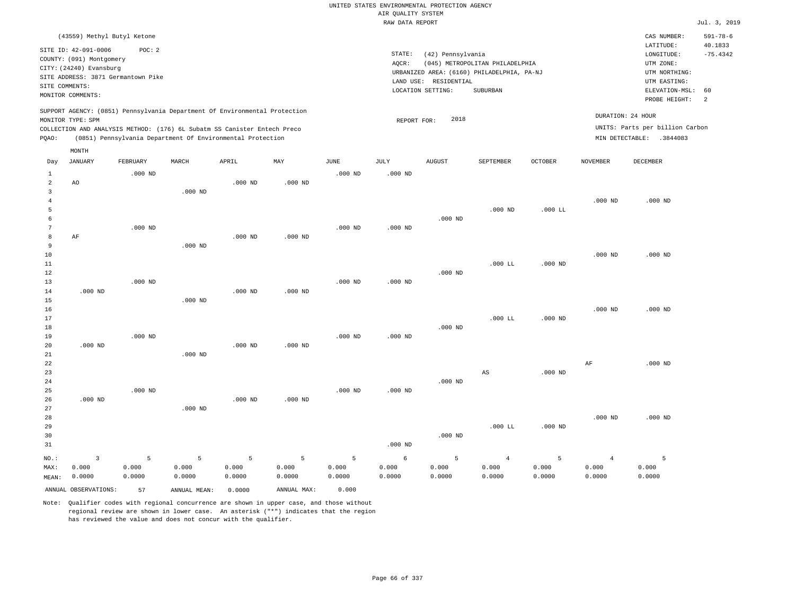RAW DATA REPORT Jul. 3, 2019 UNITED STATES ENVIRONMENTAL PROTECTION AGENCY AIR QUALITY SYSTEM (43559) Methyl Butyl Ketone STATE: (42) Pennsylvania CAS NUMBER: 591-78-6 SITE ID: 42-091-0006 POC: 2 AQCR: (045) METROPOLITAN PHILADELPHIA COUNTY: (091) Montgomery CITY: (24240) Evansburg  $LONGITUDE: -75.4342$ LATITUDE: 40.1833 LOCATION SETTING: SUBURBAN SITE ADDRESS: 3871 Germantown Pike LAND USE: RESIDENTIAL SITE COMMENTS: MONITOR COMMENTS: PROBE HEIGHT: 2 ELEVATION-MSL: 60 URBANIZED AREA: (6160) PHILADELPHIA, PA-NJ (UTM NORTHING: UTM EASTING: UTM ZONE: SUPPORT AGENCY: (0851) Pennsylvania Department Of Environmental Protection MONITOR TYPE: SPM COLLECTION AND ANALYSIS METHOD: (176) 6L Subatm SS Canister Entech Preco REPORT FOR: 2018 UNITS: Parts per billion Carbon PQAO: (0851) Pennsylvania Department Of Environmental Protection DURATION: 24 HOUR MIN DETECTABLE: .3844083 1 2 3 4 5 6 7 8 9 10 11 12 13 14 15 16 17 18 19  $20$ 21 22 23 24 25 26 27 28 29 30 31 AO AF .000 ND .000 ND .000 ND NO.: MAX: MEAN: 3 0.000 0.0000 .000 ND .000 ND .000 ND .000 ND .000 ND .000 ND .000 ND .000 ND .000 ND .000 ND .000 ND .000 ND .000 ND .000 ND .000 ND .000 ND .000 ND .000 ND .000 ND .000 ND .000 ND .000 ND .000 ND .000 ND .000 ND .000 ND .000 ND .000 ND .000 ND .000 ND .000 ND .000 ND .000 ND .000 ND .000 ND .000 ND .000 ND .000 LL .000 LL AS .000 LL .000 LL .000 ND .000 ND .000 ND .000 ND .000 ND .000 ND .000 ND AF .000 ND .000 ND .000 ND .000 ND .000 ND .000 ND 5 0.000 0.0000 5 0.000 0.0000 5 0.000 0.0000 5 0.000 0.0000 5 0.000 0.0000 6 0.000 0.0000 5 0.000 0.0000 4 0.000 0.0000 5 0.000 0.0000 4 0.000 0.0000 5 0.000 0.0000 ANNUAL OBSERVATIONS: 57 ANNUAL MEAN: 0.0000 ANNUAL MAX: 0.000 Day JANUARY FEBRUARY MARCH APRIL MAY JUNE JULY AUGUST SEPTEMBER OCTOBER NOVEMBER DECEMBER MONTH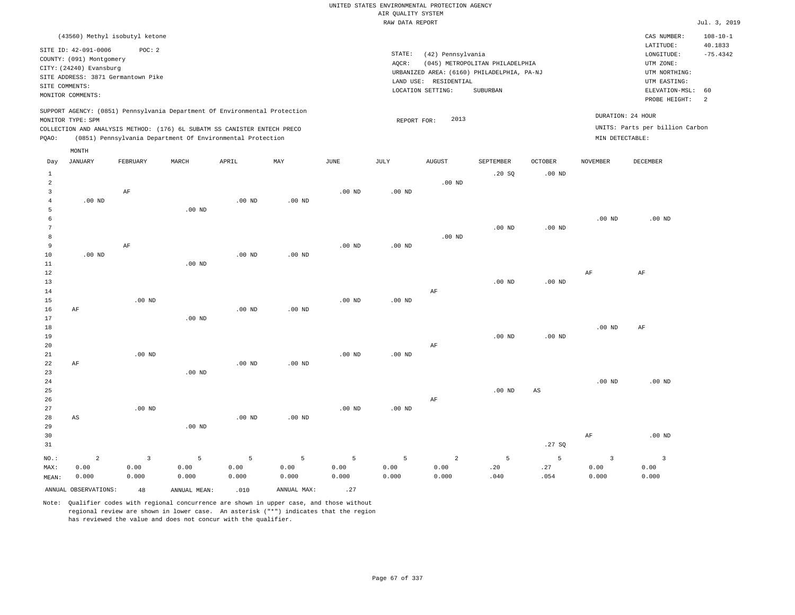| (43560) Methyl isobutyl ketone                                                                                                                                                                                                                              |                                                                                                                                                                                    | CAS NUMBER:                                                                                                   | $108 - 10 - 1$        |
|-------------------------------------------------------------------------------------------------------------------------------------------------------------------------------------------------------------------------------------------------------------|------------------------------------------------------------------------------------------------------------------------------------------------------------------------------------|---------------------------------------------------------------------------------------------------------------|-----------------------|
| SITE ID: 42-091-0006<br>POC:2<br>COUNTY: (091) Montgomery<br>CITY: (24240) Evansburg<br>SITE ADDRESS: 3871 Germantown Pike<br>SITE COMMENTS:<br>MONITOR COMMENTS:                                                                                           | STATE:<br>(42) Pennsylvania<br>(045) METROPOLITAN PHILADELPHIA<br>AOCR:<br>URBANIZED AREA: (6160) PHILADELPHIA, PA-NJ<br>RESIDENTIAL<br>LAND USE:<br>LOCATION SETTING:<br>SUBURBAN | LATITUDE:<br>LONGITUDE:<br>UTM ZONE:<br>UTM NORTHING:<br>UTM EASTING:<br>ELEVATION-MSL: 60<br>PROBE HEIGHT: 2 | 40.1833<br>$-75.4342$ |
| SUPPORT AGENCY: (0851) Pennsylvania Department Of Environmental Protection<br>MONITOR TYPE: SPM<br>COLLECTION AND ANALYSIS METHOD: (176) 6L SUBATM SS CANISTER ENTECH PRECO<br>(0851) Pennsylvania Department Of Environmental Protection<br>POAO:<br>MONTH | 2013<br>REPORT FOR:                                                                                                                                                                | DURATION: 24 HOUR<br>UNITS: Parts per billion Carbon<br>MIN DETECTABLE:                                       |                       |

| Day                                           | <b>JANUARY</b>              | FEBRUARY                     | MARCH              | APRIL              | MAY                             | $_{\rm JUNE}$      | JULY               | AUGUST                          | SEPTEMBER                     | OCTOBER           | NOVEMBER                        | DECEMBER                                 |
|-----------------------------------------------|-----------------------------|------------------------------|--------------------|--------------------|---------------------------------|--------------------|--------------------|---------------------------------|-------------------------------|-------------------|---------------------------------|------------------------------------------|
| $\mathbf{1}$<br>$\overline{a}$<br>3<br>4<br>5 | $.00$ ND                    | $\rm AF$                     | $.00$ ND           | $.00$ ND           | $.00$ ND                        | $.00$ ND           | $.00$ ND           | $.00$ ND                        | .20 SQ                        | .00 $ND$          |                                 |                                          |
| 6<br>$\overline{7}$<br>8<br>9<br>10           | $.00$ ND                    | $\rm AF$                     |                    | $.00$ ND           | $.00$ ND                        | $.00$ ND           | $.00$ ND           | $.00$ ND                        | $.00$ ND                      | $.00$ ND          | $.00$ ND                        | $.00$ ND                                 |
| 11<br>12<br>13<br>14<br>15                    |                             | $.00$ ND                     | $.00$ ND           |                    |                                 | $.00$ ND           | $.00$ ND           | $\rm AF$                        | $.00$ ND                      | $.00~\mathrm{ND}$ | $\rm{AF}$                       | $\rm{AF}$                                |
| 16<br>17<br>18<br>19<br>20                    | AF                          |                              | $.00$ ND           | $.00$ ND           | $.00$ ND                        |                    |                    | $\rm AF$                        | $.00$ ND                      | $.00$ ND          | $.00$ ND                        | $\rm AF$                                 |
| 21<br>22<br>23<br>24<br>25                    | $\rm AF$                    | $.00$ ND                     | $.00$ ND           | $.00$ ND           | $.00$ ND                        | $.00$ ND           | $.00$ ND           |                                 | $.00$ ND                      | AS                | $.00$ ND                        | $.00$ ND                                 |
| 26<br>27<br>28<br>29<br>30                    | AS                          | $.00$ ND                     | $.00$ ND           | $.00$ ND           | $.00$ ND                        | $.00$ ND           | $.00$ ND           | $\rm AF$                        |                               |                   | AF                              | $.00$ ND                                 |
| 31                                            |                             |                              |                    |                    |                                 |                    |                    |                                 |                               | .27 SQ            |                                 |                                          |
| $NO.$ :<br>MAX:<br>MEAN:                      | $\sqrt{2}$<br>0.00<br>0.000 | $\mathsf 3$<br>0.00<br>0.000 | 5<br>0.00<br>0.000 | 5<br>0.00<br>0.000 | $\overline{5}$<br>0.00<br>0.000 | 5<br>0.00<br>0.000 | 5<br>0.00<br>0.000 | $\overline{a}$<br>0.00<br>0.000 | $\overline{5}$<br>.20<br>.040 | 5<br>.27<br>.054  | $\overline{3}$<br>0.00<br>0.000 | $\overline{\mathbf{3}}$<br>0.00<br>0.000 |
|                                               | ANNUAL OBSERVATIONS:        | 48                           | ANNUAL MEAN:       | .010               | ANNUAL MAX:                     | .27                |                    |                                 |                               |                   |                                 |                                          |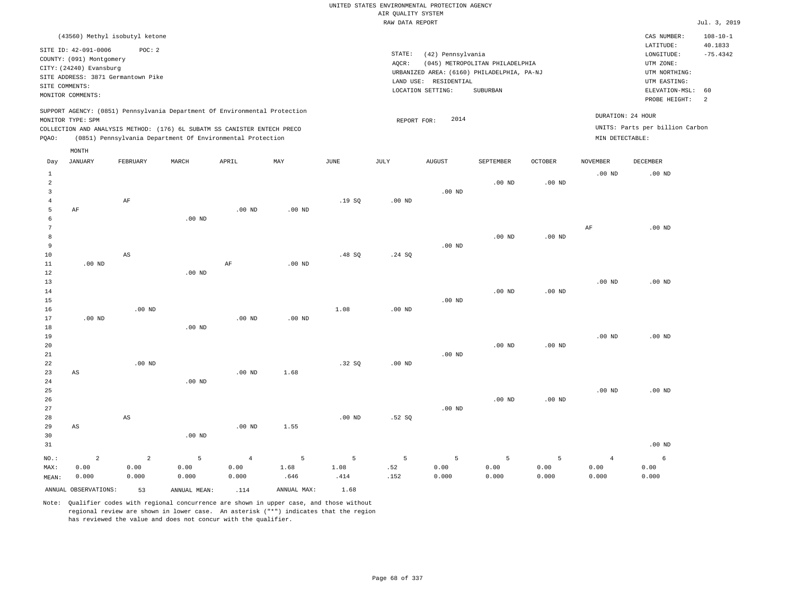| (43560) Methyl isobutyl ketone                                                                                                                                                                                                                     |                                                                                                                                                                                 | CAS NUMBER:                                                                                                 | $108 - 10 - 1$                          |
|----------------------------------------------------------------------------------------------------------------------------------------------------------------------------------------------------------------------------------------------------|---------------------------------------------------------------------------------------------------------------------------------------------------------------------------------|-------------------------------------------------------------------------------------------------------------|-----------------------------------------|
| SITE ID: 42-091-0006<br>POC:2<br>COUNTY: (091) Montgomery<br>CITY: (24240) Evansburg<br>SITE ADDRESS: 3871 Germantown Pike<br>SITE COMMENTS:<br>MONITOR COMMENTS:                                                                                  | STATE:<br>(42) Pennsylvania<br>(045) METROPOLITAN PHILADELPHIA<br>AOCR:<br>URBANIZED AREA: (6160) PHILADELPHIA, PA-NJ<br>LAND USE: RESIDENTIAL<br>SUBURBAN<br>LOCATION SETTING: | LATITUDE:<br>LONGITUDE:<br>UTM ZONE:<br>UTM NORTHING:<br>UTM EASTING:<br>ELEVATION-MSL: 60<br>PROBE HEIGHT: | 40.1833<br>$-75.4342$<br>$\overline{2}$ |
| SUPPORT AGENCY: (0851) Pennsylvania Department Of Environmental Protection<br>MONITOR TYPE: SPM<br>COLLECTION AND ANALYSIS METHOD: (176) 6L SUBATM SS CANISTER ENTECH PRECO<br>(0851) Pennsylvania Department Of Environmental Protection<br>POAO: | DURATION: 24 HOUR<br>2014<br>REPORT FOR:<br>MIN DETECTABLE:                                                                                                                     | UNITS: Parts per billion Carbon                                                                             |                                         |

|                                                  | MONTH                        |                              |                    |                                 |                   |                   |                  |                    |                    |                    |                                 |                    |
|--------------------------------------------------|------------------------------|------------------------------|--------------------|---------------------------------|-------------------|-------------------|------------------|--------------------|--------------------|--------------------|---------------------------------|--------------------|
| Day                                              | <b>JANUARY</b>               | FEBRUARY                     | MARCH              | APRIL                           | MAY               | $_{\rm JUNE}$     | $\mathtt{JULY}$  | <b>AUGUST</b>      | SEPTEMBER          | OCTOBER            | <b>NOVEMBER</b>                 | DECEMBER           |
| $\mathbf{1}$<br>$\overline{a}$<br>$\overline{3}$ |                              |                              |                    |                                 |                   |                   |                  | $.00$ ND           | $.00$ ND           | $.00$ ND           | $.00$ ND                        | $.00$ ND           |
| $\bf 4$<br>5<br>6                                | AF                           | AF                           | $.00$ ND           | $.00$ ND                        | $.00$ ND          | .19SQ             | $.00$ ND         |                    |                    |                    |                                 |                    |
| 7<br>8<br>9<br>10                                |                              | AS                           |                    |                                 |                   | .48SQ             | .24 SQ           | $.00$ ND           | $.00$ ND           | $.00$ ND           | $\rm{AF}$                       | $.00$ ND           |
| $11\,$<br>12<br>13                               | $.00$ ND                     |                              | $.00$ ND           | $\rm AF$                        | $.00$ ND          |                   |                  |                    |                    |                    | $.00$ ND                        | $.00$ ND           |
| 14<br>15<br>16                                   |                              | $.00$ ND                     |                    |                                 |                   | 1.08              | $.00$ ND         | $.00$ ND           | .00 <sub>ND</sub>  | $.00$ ND           |                                 |                    |
| 17<br>18<br>19<br>20                             | $.00$ ND                     |                              | $.00$ ND           | $.00$ ND                        | $.00$ ND          |                   |                  |                    | .00 <sub>ND</sub>  | $.00$ ND           | $.00$ ND                        | $.00$ ND           |
| 21<br>22<br>23                                   | $\mathbb{A}\mathbb{S}$       | $.00$ ND                     |                    | $.00$ ND                        | 1.68              | .32SQ             | $.00$ ND         | $.00$ ND           |                    |                    |                                 |                    |
| $2\sqrt{4}$<br>25<br>$26\,$<br>27                |                              |                              | $.00$ ND           |                                 |                   |                   |                  | $.00$ ND           | $.00$ ND           | $.00$ ND           | $.00$ ND                        | $.00$ ND           |
| 28<br>29<br>30<br>31                             | $\mathbb{A}\mathbb{S}$       | $\mathbb{A}\mathbb{S}$       | .00 $ND$           | $.00$ ND                        | 1.55              | $.00$ ND          | .52S             |                    |                    |                    |                                 | $.00$ ND           |
|                                                  |                              |                              |                    |                                 |                   |                   |                  |                    |                    |                    |                                 |                    |
| $NO.$ :<br>MAX:<br>MEAN:                         | $\mathbf 2$<br>0.00<br>0.000 | $\mathbf 2$<br>0.00<br>0.000 | 5<br>0.00<br>0.000 | $\overline{4}$<br>0.00<br>0.000 | 5<br>1.68<br>.646 | 5<br>1.08<br>.414 | 5<br>.52<br>.152 | 5<br>0.00<br>0.000 | 5<br>0.00<br>0.000 | 5<br>0.00<br>0.000 | $\overline{4}$<br>0.00<br>0.000 | 6<br>0.00<br>0.000 |
|                                                  | ANNUAL OBSERVATIONS:         | 53                           | ANNUAL MEAN:       | .114                            | ANNUAL MAX:       | 1.68              |                  |                    |                    |                    |                                 |                    |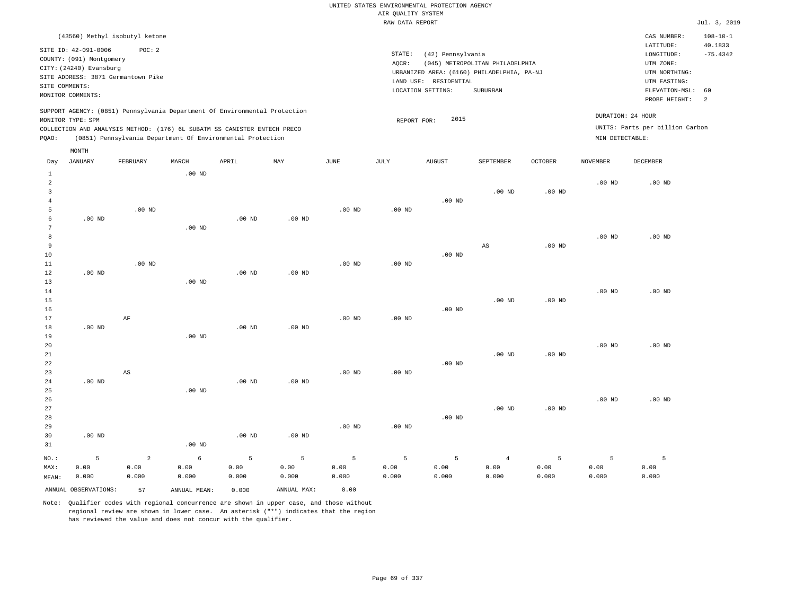| (43560) Methyl isobutyl ketone                                             |          |       |       |     |               |                                            |                     |                                 |                |                   | CAS NUMBER:                     | $108 - 10 - 1$ |
|----------------------------------------------------------------------------|----------|-------|-------|-----|---------------|--------------------------------------------|---------------------|---------------------------------|----------------|-------------------|---------------------------------|----------------|
| SITE ID: 42-091-0006                                                       | POC:2    |       |       |     |               |                                            |                     |                                 |                |                   | LATITUDE:                       | 40.1833        |
| COUNTY: (091) Montgomery                                                   |          |       |       |     |               | STATE:                                     | (42) Pennsylvania   |                                 |                |                   | LONGITUDE:                      | $-75.4342$     |
| CITY: (24240) Evansburg                                                    |          |       |       |     |               | AOCR:                                      |                     | (045) METROPOLITAN PHILADELPHIA |                |                   | UTM ZONE:                       |                |
|                                                                            |          |       |       |     |               | URBANIZED AREA: (6160) PHILADELPHIA, PA-NJ | UTM NORTHING:       |                                 |                |                   |                                 |                |
| SITE ADDRESS: 3871 Germantown Pike                                         |          |       |       |     |               | LAND USE: RESIDENTIAL                      |                     | UTM EASTING:                    |                |                   |                                 |                |
| SITE COMMENTS:                                                             |          |       |       |     |               |                                            | LOCATION SETTING:   | SUBURBAN                        |                |                   | ELEVATION-MSL: 60               |                |
| MONITOR COMMENTS:                                                          |          |       |       |     | PROBE HEIGHT: | -2                                         |                     |                                 |                |                   |                                 |                |
|                                                                            |          |       |       |     |               |                                            |                     |                                 |                |                   |                                 |                |
| SUPPORT AGENCY: (0851) Pennsylvania Department Of Environmental Protection |          |       |       |     |               |                                            |                     |                                 |                | DURATION: 24 HOUR |                                 |                |
| MONITOR TYPE: SPM                                                          |          |       |       |     |               |                                            | 2015<br>REPORT FOR: |                                 |                |                   |                                 |                |
| COLLECTION AND ANALYSIS METHOD: (176) 6L SUBATM SS CANISTER ENTECH PRECO   |          |       |       |     |               |                                            |                     |                                 |                |                   | UNITS: Parts per billion Carbon |                |
| (0851) Pennsylvania Department Of Environmental Protection<br>POAO:        |          |       |       |     |               |                                            |                     |                                 |                | MIN DETECTABLE:   |                                 |                |
| MONTH                                                                      |          |       |       |     |               |                                            |                     |                                 |                |                   |                                 |                |
| JANUARY<br>Day                                                             | FEBRUARY | MARCH | APRIL | MAY | JUNE          | JULY                                       | <b>AUGUST</b>       | <b>SEPTEMBER</b>                | <b>OCTOBER</b> | NOVEMBER          | DECEMBER                        |                |

|                | ANNUAL OBSERVATIONS: | 57                     | ANNUAL MEAN:  | 0.000         | ANNUAL MAX:   | 0.00          |               |               |                        |               |               |               |
|----------------|----------------------|------------------------|---------------|---------------|---------------|---------------|---------------|---------------|------------------------|---------------|---------------|---------------|
| MAX:<br>MEAN:  | 0.00<br>0.000        | 0.00<br>0.000          | 0.00<br>0.000 | 0.00<br>0.000 | 0.00<br>0.000 | 0.00<br>0.000 | 0.00<br>0.000 | 0.00<br>0.000 | 0.00<br>0.000          | 0.00<br>0.000 | 0.00<br>0.000 | 0.00<br>0.000 |
| $_{\rm NO.}$ : | 5                    | $\overline{a}$         | $\epsilon$    | 5             | 5             | 5             | 5             | 5             | $\overline{4}$         | 5             | 5             | 5             |
| 31             |                      |                        | .00 $ND$      |               |               |               |               |               |                        |               |               |               |
| 30             | $.00$ ND             |                        |               | .00 $ND$      | .00 $ND$      |               |               |               |                        |               |               |               |
| 29             |                      |                        |               |               |               | $.00$ ND      | $.00$ ND      |               |                        |               |               |               |
| 28             |                      |                        |               |               |               |               |               | $.00$ ND      |                        |               |               |               |
| 27             |                      |                        |               |               |               |               |               |               | $.00$ ND               | $.00$ ND      |               |               |
| 26             |                      |                        |               |               |               |               |               |               |                        |               | $.00$ ND      | $.00$ ND      |
| 25             |                      |                        | $.00$ ND      |               |               |               |               |               |                        |               |               |               |
| 24             | $.00$ ND             |                        |               | $.00$ ND      | $.00$ ND      |               |               |               |                        |               |               |               |
| 22<br>23       |                      | $\mathbb{A}\mathbb{S}$ |               |               |               | $.00$ ND      | $.00$ ND      | $.00$ ND      |                        |               |               |               |
| $21\,$         |                      |                        |               |               |               |               |               |               | $.00$ ND               | $.00$ ND      |               |               |
| 20             |                      |                        |               |               |               |               |               |               |                        |               | $.00$ ND      | $.00$ ND      |
| 19             |                      |                        | $.00$ ND      |               |               |               |               |               |                        |               |               |               |
| 18             | $.00$ ND             |                        |               | $.00$ ND      | .00 $ND$      |               |               |               |                        |               |               |               |
| 17             |                      | $\rm{AF}$              |               |               |               | $.00$ ND      | .00 $ND$      |               |                        |               |               |               |
| 16             |                      |                        |               |               |               |               |               | $.00$ ND      |                        |               |               |               |
| 15             |                      |                        |               |               |               |               |               |               | $.00$ ND               | $.00$ ND      |               |               |
| $14$           |                      |                        |               |               |               |               |               |               |                        |               | $.00$ ND      | $.00$ ND      |
| 13             |                      |                        | .00 $ND$      |               |               |               |               |               |                        |               |               |               |
| 12             | $.00$ ND             |                        |               | $.00$ ND      | $.00$ ND      |               |               |               |                        |               |               |               |
| 11             |                      | $.00$ ND               |               |               |               | $.00$ ND      | $.00$ ND      |               |                        |               |               |               |
| 10             |                      |                        |               |               |               |               |               | $.00$ ND      |                        |               |               |               |
| 9              |                      |                        |               |               |               |               |               |               | $\mathbb{A}\mathbb{S}$ | $.00$ ND      |               |               |
| 7<br>8         |                      |                        | $.00$ ND      |               |               |               |               |               |                        |               | $.00$ ND      | $.00$ ND      |
| 6              | $.00$ ND             |                        |               | $.00$ ND      | .00 $ND$      |               |               |               |                        |               |               |               |
| 5              |                      | $.00$ ND               |               |               |               | $.00$ ND      | .00 $ND$      |               |                        |               |               |               |
| $\overline{4}$ |                      |                        |               |               |               |               |               | $.00$ ND      |                        |               |               |               |
| 3              |                      |                        |               |               |               |               |               |               | $.00$ ND               | $.00$ ND      |               |               |
| $\overline{c}$ |                      |                        |               |               |               |               |               |               |                        |               | $.00$ ND      | $.00$ ND      |
| $\mathbf{1}$   |                      |                        | .00 $ND$      |               |               |               |               |               |                        |               |               |               |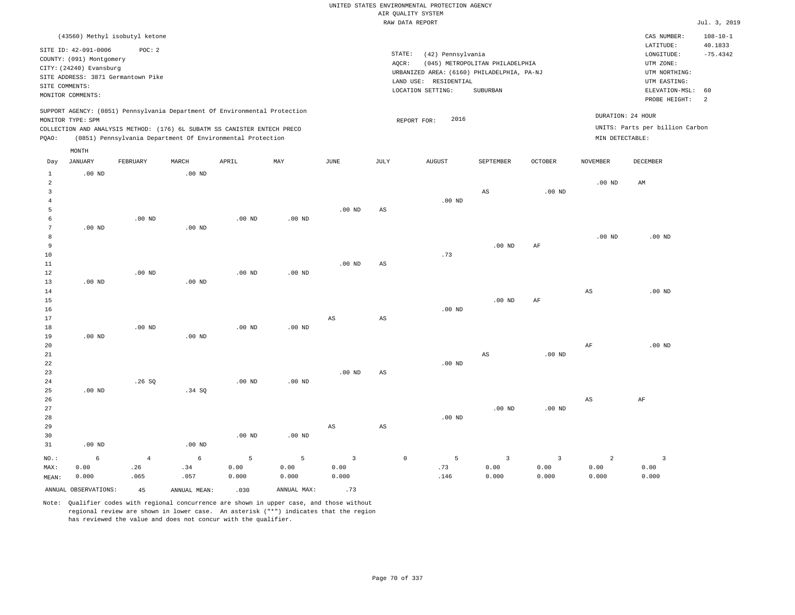|                                              | (43560) Methyl isobutyl ketone                                                                                                                           |                               |                  |                                                                                                                                                                                                                      |                    |                    |                        |                                                                                                                  |                                             |                                 |                                      | CAS NUMBER:                                                                             | $108 - 10 - 1$              |
|----------------------------------------------|----------------------------------------------------------------------------------------------------------------------------------------------------------|-------------------------------|------------------|----------------------------------------------------------------------------------------------------------------------------------------------------------------------------------------------------------------------|--------------------|--------------------|------------------------|------------------------------------------------------------------------------------------------------------------|---------------------------------------------|---------------------------------|--------------------------------------|-----------------------------------------------------------------------------------------|-----------------------------|
|                                              | SITE ID: 42-091-0006<br>COUNTY: (091) Montgomery<br>CITY: (24240) Evansburg<br>SITE ADDRESS: 3871 Germantown Pike<br>SITE COMMENTS:<br>MONITOR COMMENTS: | POC: 2                        |                  |                                                                                                                                                                                                                      |                    |                    | STATE:<br>AQCR:        | (42) Pennsylvania<br>URBANIZED AREA: (6160) PHILADELPHIA, PA-NJ<br>LAND USE:<br>RESIDENTIAL<br>LOCATION SETTING: | (045) METROPOLITAN PHILADELPHIA<br>SUBURBAN |                                 |                                      | LATITUDE:<br>LONGITUDE:<br>UTM ZONE:<br>UTM NORTHING:<br>UTM EASTING:<br>ELEVATION-MSL: | 40.1833<br>$-75.4342$<br>60 |
| PQAO:                                        | MONITOR TYPE: SPM                                                                                                                                        |                               |                  | SUPPORT AGENCY: (0851) Pennsylvania Department Of Environmental Protection<br>COLLECTION AND ANALYSIS METHOD: (176) 6L SUBATM SS CANISTER ENTECH PRECO<br>(0851) Pennsylvania Department Of Environmental Protection |                    |                    |                        | 2016<br>REPORT FOR:                                                                                              |                                             |                                 | DURATION: 24 HOUR<br>MIN DETECTABLE: | PROBE HEIGHT:<br>UNITS: Parts per billion Carbon                                        | 2                           |
| Day                                          | MONTH<br>JANUARY                                                                                                                                         | FEBRUARY                      | MARCH            | APRIL                                                                                                                                                                                                                | MAY                | $_{\rm JUNE}$      | $\mathtt{JULY}$        | <b>AUGUST</b>                                                                                                    | SEPTEMBER                                   | OCTOBER                         | <b>NOVEMBER</b>                      | <b>DECEMBER</b>                                                                         |                             |
|                                              |                                                                                                                                                          |                               |                  |                                                                                                                                                                                                                      |                    |                    |                        |                                                                                                                  |                                             |                                 |                                      |                                                                                         |                             |
| $\mathbf{1}$<br>$\overline{a}$<br>3<br>$\,4$ | .00 <sub>ND</sub>                                                                                                                                        |                               | $.00$ ND         |                                                                                                                                                                                                                      |                    |                    |                        | $.00$ ND                                                                                                         | AS                                          | $.00$ ND                        | .00 <sub>ND</sub>                    | AM                                                                                      |                             |
| 5<br>6                                       |                                                                                                                                                          | $.00$ ND                      |                  | .00 <sub>ND</sub>                                                                                                                                                                                                    | $.00$ ND           | .00 <sub>ND</sub>  | AS                     |                                                                                                                  |                                             |                                 |                                      |                                                                                         |                             |
| $\overline{7}$<br>8<br>9                     | $.00$ ND                                                                                                                                                 |                               | $.00$ ND         |                                                                                                                                                                                                                      |                    |                    |                        |                                                                                                                  | $.00$ ND                                    | $\rm{AF}$                       | $.00$ ND                             | $.00$ ND                                                                                |                             |
| 10<br>11<br>12                               |                                                                                                                                                          | $.00$ ND                      |                  | $.00$ ND                                                                                                                                                                                                             | .00 <sub>ND</sub>  | .00 <sub>ND</sub>  | AS                     | .73                                                                                                              |                                             |                                 |                                      |                                                                                         |                             |
| 13<br>14<br>15                               | $.00$ ND                                                                                                                                                 |                               | $.00$ ND         |                                                                                                                                                                                                                      |                    |                    |                        |                                                                                                                  | $.00$ ND                                    | AF                              | AS                                   | $.00$ ND                                                                                |                             |
| 16<br>17                                     |                                                                                                                                                          |                               |                  |                                                                                                                                                                                                                      |                    | AS                 | AS                     | .00 <sub>ND</sub>                                                                                                |                                             |                                 |                                      |                                                                                         |                             |
| 18<br>19                                     | .00 <sub>ND</sub>                                                                                                                                        | $.00$ ND                      | $.00$ ND         | .00 <sub>ND</sub>                                                                                                                                                                                                    | $.00$ ND           |                    |                        |                                                                                                                  |                                             |                                 |                                      |                                                                                         |                             |
| 20<br>21<br>22                               |                                                                                                                                                          |                               |                  |                                                                                                                                                                                                                      |                    |                    |                        | .00 <sub>ND</sub>                                                                                                | $\mathbb{A}\mathbb{S}$                      | $.00$ ND                        | $\rm{AF}$                            | $.00$ ND                                                                                |                             |
| 23<br>24<br>25                               | $.00$ ND                                                                                                                                                 | .26S                          | .34 SQ           | $.00$ ND                                                                                                                                                                                                             | $.00$ ND           | .00 <sub>ND</sub>  | $\mathbb{A}\mathbb{S}$ |                                                                                                                  |                                             |                                 |                                      |                                                                                         |                             |
| 26<br>27<br>28                               |                                                                                                                                                          |                               |                  |                                                                                                                                                                                                                      |                    |                    |                        | $.00$ ND                                                                                                         | $.00$ ND                                    | $.00$ ND                        | $\mathbb{A}\mathbb{S}$               | AF                                                                                      |                             |
| 29<br>30<br>31                               | $.00$ ND                                                                                                                                                 |                               | $.00$ ND         | $.00$ ND                                                                                                                                                                                                             | $.00$ ND           | AS                 | AS                     |                                                                                                                  |                                             |                                 |                                      |                                                                                         |                             |
| NO.:<br>MAX:<br>MEAN:                        | 6<br>0.00<br>0.000                                                                                                                                       | $\overline{4}$<br>.26<br>.065 | 6<br>.34<br>.057 | 5<br>0.00<br>0.000                                                                                                                                                                                                   | 5<br>0.00<br>0.000 | 3<br>0.00<br>0.000 | $\mathbf 0$            | 5<br>.73<br>.146                                                                                                 | $\overline{3}$<br>0.00<br>0.000             | $\overline{3}$<br>0.00<br>0.000 | 2<br>0.00<br>0.000                   | 3<br>0.00<br>0.000                                                                      |                             |
|                                              | ANNUAL OBSERVATIONS:                                                                                                                                     | 45                            | ANNUAL MEAN:     | .030                                                                                                                                                                                                                 | ANNUAL MAX:        | .73                |                        |                                                                                                                  |                                             |                                 |                                      |                                                                                         |                             |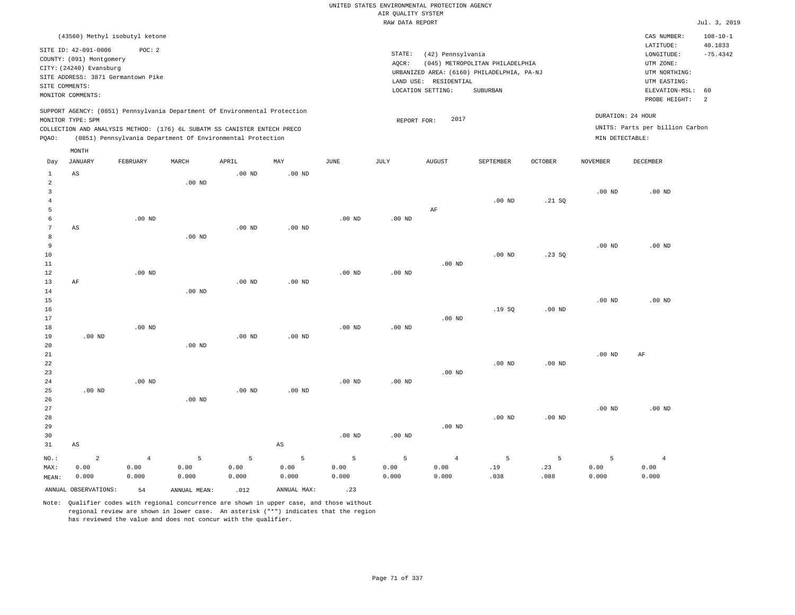|                                                                                                                             |                               |                                |                       |                                                                            |                        |                   | AIR QUALITY SYSTEM                                                                                                                                                                                                      | UNITED STATES ENVIRONMENTAL PROTECTION AGENCY |                       |                |                   |                                    |                           |
|-----------------------------------------------------------------------------------------------------------------------------|-------------------------------|--------------------------------|-----------------------|----------------------------------------------------------------------------|------------------------|-------------------|-------------------------------------------------------------------------------------------------------------------------------------------------------------------------------------------------------------------------|-----------------------------------------------|-----------------------|----------------|-------------------|------------------------------------|---------------------------|
|                                                                                                                             |                               |                                |                       |                                                                            |                        |                   | RAW DATA REPORT                                                                                                                                                                                                         |                                               |                       |                |                   |                                    | Jul. 3, 2019              |
|                                                                                                                             |                               | (43560) Methyl isobutyl ketone |                       |                                                                            |                        |                   |                                                                                                                                                                                                                         |                                               |                       |                |                   | CAS NUMBER:                        | $108 - 10 - 1$<br>40.1833 |
| SITE ID: 42-091-0006<br>POC: 2<br>COUNTY: (091) Montgomery<br>CITY: (24240) Evansburg<br>SITE ADDRESS: 3871 Germantown Pike |                               |                                |                       |                                                                            |                        |                   | LATITUDE:<br>STATE:<br>(42) Pennsylvania<br>LONGITUDE:<br>(045) METROPOLITAN PHILADELPHIA<br>UTM ZONE:<br>AQCR:<br>URBANIZED AREA: (6160) PHILADELPHIA, PA-NJ<br>UTM NORTHING:<br>LAND USE: RESIDENTIAL<br>UTM EASTING: |                                               |                       |                |                   |                                    |                           |
| SITE COMMENTS:                                                                                                              | MONITOR COMMENTS:             |                                |                       |                                                                            |                        |                   |                                                                                                                                                                                                                         | LOCATION SETTING:                             | SUBURBAN              |                |                   | ELEVATION-MSL:                     | 60                        |
|                                                                                                                             |                               |                                |                       | SUPPORT AGENCY: (0851) Pennsylvania Department Of Environmental Protection |                        |                   |                                                                                                                                                                                                                         |                                               |                       |                |                   | PROBE HEIGHT:<br>DURATION: 24 HOUR | 2                         |
|                                                                                                                             | MONITOR TYPE: SPM             |                                |                       |                                                                            |                        |                   | REPORT FOR:                                                                                                                                                                                                             | 2017                                          |                       |                |                   |                                    |                           |
|                                                                                                                             |                               |                                |                       | COLLECTION AND ANALYSIS METHOD: (176) 6L SUBATM SS CANISTER ENTECH PRECO   |                        |                   |                                                                                                                                                                                                                         |                                               |                       |                |                   | UNITS: Parts per billion Carbon    |                           |
| PQAO:                                                                                                                       | MONTH                         |                                |                       | (0851) Pennsylvania Department Of Environmental Protection                 |                        |                   |                                                                                                                                                                                                                         |                                               |                       |                | MIN DETECTABLE:   |                                    |                           |
| Day                                                                                                                         | <b>JANUARY</b>                | FEBRUARY                       | MARCH                 | APRIL                                                                      | MAY                    | <b>JUNE</b>       | JULY                                                                                                                                                                                                                    | <b>AUGUST</b>                                 | SEPTEMBER             | <b>OCTOBER</b> | <b>NOVEMBER</b>   | <b>DECEMBER</b>                    |                           |
| 1<br>$\overline{2}$                                                                                                         | AS                            |                                | $.00$ ND              | .00 <sub>ND</sub>                                                          | .00 <sub>ND</sub>      |                   |                                                                                                                                                                                                                         |                                               |                       |                |                   |                                    |                           |
| $\overline{\mathbf{3}}$<br>$\overline{4}$<br>$\overline{5}$                                                                 |                               |                                |                       |                                                                            |                        |                   |                                                                                                                                                                                                                         | AF                                            | $.00$ ND              | .21 SQ         | $.00$ ND          | $.00$ ND                           |                           |
| 6<br>$7\phantom{.0}$                                                                                                        | $_{\rm AS}$                   | $.00$ ND                       |                       | $.00$ ND                                                                   | .00 <sub>ND</sub>      | $.00$ ND          | $.00$ ND                                                                                                                                                                                                                |                                               |                       |                |                   |                                    |                           |
| 8<br>9<br>10                                                                                                                |                               |                                | $.00$ ND              |                                                                            |                        |                   |                                                                                                                                                                                                                         |                                               | $.00$ ND              | .23SQ          | .00 <sub>ND</sub> | .00 <sub>ND</sub>                  |                           |
| 11<br>12<br>13                                                                                                              | AF                            | $.00$ ND                       |                       | .00 <sub>ND</sub>                                                          | .00 <sub>ND</sub>      | $.00$ ND          | $.00$ ND                                                                                                                                                                                                                | $.00$ ND                                      |                       |                |                   |                                    |                           |
| 14<br>15<br>16                                                                                                              |                               |                                | $.00$ ND              |                                                                            |                        |                   |                                                                                                                                                                                                                         |                                               | .19SQ                 | $.00$ ND       | .00 <sub>ND</sub> | $.00$ ND                           |                           |
| 17<br>18<br>19                                                                                                              | $.00$ ND                      | $.00$ ND                       |                       | .00 <sub>ND</sub>                                                          | $.00$ ND               | .00 <sub>ND</sub> | $.00$ ND                                                                                                                                                                                                                | $.00$ ND                                      |                       |                |                   |                                    |                           |
| 20<br>21<br>22<br>23                                                                                                        |                               |                                | $.00$ ND              |                                                                            |                        |                   |                                                                                                                                                                                                                         | $.00$ ND                                      | $.00$ ND              | $.00$ ND       | .00 <sub>ND</sub> | AF                                 |                           |
| 24<br>25<br>26                                                                                                              | $.00$ ND                      | .00 <sub>ND</sub>              | $.00$ ND              | $.00$ ND                                                                   | $.00$ ND               | $.00$ ND          | .00 <sub>ND</sub>                                                                                                                                                                                                       |                                               |                       |                |                   |                                    |                           |
| 27<br>28<br>29                                                                                                              |                               |                                |                       |                                                                            |                        |                   |                                                                                                                                                                                                                         | $.00$ ND                                      | $.00$ ND              | $.00$ ND       | .00 <sub>ND</sub> | $.00$ ND                           |                           |
| 30<br>31                                                                                                                    | AS                            |                                |                       |                                                                            | $\mathbb{A}\mathbb{S}$ | $.00$ ND          | $.00$ ND                                                                                                                                                                                                                |                                               |                       |                |                   |                                    |                           |
| $NO.$ :<br>MAX:                                                                                                             | $\overline{a}$<br>0.00        | $\,4$<br>0.00                  | 5<br>0.00             | 5<br>0.00                                                                  | 5<br>0.00              | 5<br>0.00         | 5<br>0.00                                                                                                                                                                                                               | $\overline{4}$<br>0.00                        | $\overline{5}$<br>.19 | 5<br>.23       | 5<br>0.00         | $\overline{4}$<br>0.00             |                           |
| MEAN:                                                                                                                       | 0.000<br>ANNUAL OBSERVATIONS: | 0.000<br>54                    | 0.000<br>ANNUAL MEAN: | 0.000<br>.012                                                              | 0.000<br>ANNUAL MAX:   | 0.000<br>.23      | 0.000                                                                                                                                                                                                                   | 0.000                                         | .038                  | .088           | 0.000             | 0.000                              |                           |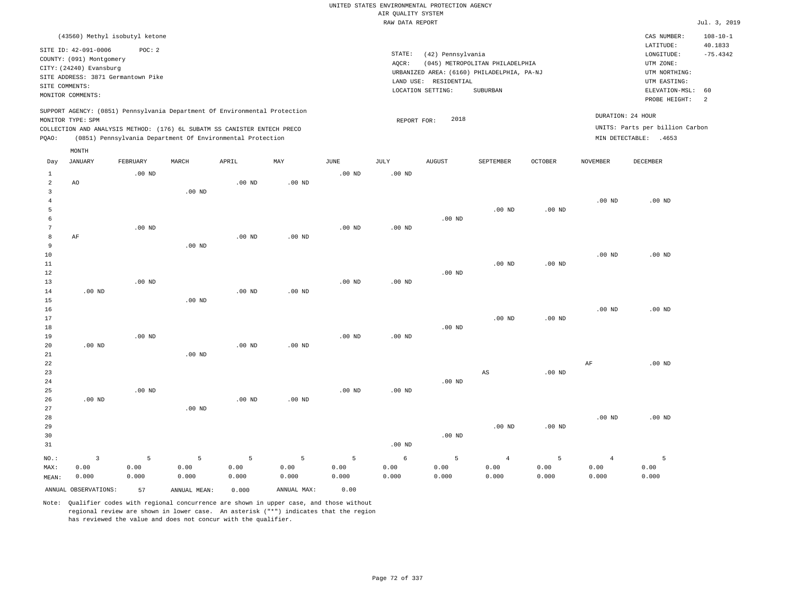|                 |                                                                                                 |                   |                                                            |                   |             |                   | UNITED STATES ENVIRONMENTAL PROTECTION AGENCY |                                            |                                                                               |                   |                   |                                                 |                                         |
|-----------------|-------------------------------------------------------------------------------------------------|-------------------|------------------------------------------------------------|-------------------|-------------|-------------------|-----------------------------------------------|--------------------------------------------|-------------------------------------------------------------------------------|-------------------|-------------------|-------------------------------------------------|-----------------------------------------|
|                 |                                                                                                 |                   |                                                            |                   |             |                   | AIR QUALITY SYSTEM                            |                                            |                                                                               |                   |                   |                                                 |                                         |
|                 |                                                                                                 |                   |                                                            |                   |             |                   | RAW DATA REPORT                               |                                            |                                                                               |                   |                   |                                                 | Jul. 3, 2019                            |
|                 | (43560) Methyl isobutyl ketone<br>SITE ID: 42-091-0006                                          | POC: 2            |                                                            |                   |             |                   | STATE:                                        | (42) Pennsylvania                          |                                                                               |                   |                   | CAS NUMBER:<br>LATITUDE:<br>LONGITUDE:          | $108 - 10 - 1$<br>40.1833<br>$-75.4342$ |
|                 | COUNTY: (091) Montgomery<br>CITY: (24240) Evansburg<br>SITE ADDRESS: 3871 Germantown Pike       |                   |                                                            |                   |             |                   | AQCR:                                         |                                            | (045) METROPOLITAN PHILADELPHIA<br>URBANIZED AREA: (6160) PHILADELPHIA, PA-NJ |                   |                   | UTM ZONE:<br>UTM NORTHING:                      |                                         |
|                 | SITE COMMENTS:<br>MONITOR COMMENTS:                                                             |                   |                                                            |                   |             |                   |                                               | LAND USE: RESIDENTIAL<br>LOCATION SETTING: | SUBURBAN                                                                      |                   |                   | UTM EASTING:<br>ELEVATION-MSL:<br>PROBE HEIGHT: | 60<br>2                                 |
|                 | SUPPORT AGENCY: (0851) Pennsylvania Department Of Environmental Protection<br>MONITOR TYPE: SPM |                   |                                                            |                   |             |                   | REPORT FOR:                                   | 2018                                       |                                                                               |                   |                   | DURATION: 24 HOUR                               |                                         |
|                 | COLLECTION AND ANALYSIS METHOD: (176) 6L SUBATM SS CANISTER ENTECH PRECO                        |                   |                                                            |                   |             |                   |                                               |                                            |                                                                               |                   |                   | UNITS: Parts per billion Carbon                 |                                         |
| PQAO:           |                                                                                                 |                   | (0851) Pennsylvania Department Of Environmental Protection |                   |             |                   |                                               |                                            |                                                                               |                   |                   | MIN DETECTABLE: .4653                           |                                         |
| Day             | MONTH<br><b>JANUARY</b>                                                                         | FEBRUARY          | MARCH                                                      | APRIL             | MAY         | JUNE              | <b>JULY</b>                                   | <b>AUGUST</b>                              | SEPTEMBER                                                                     | OCTOBER           | <b>NOVEMBER</b>   | DECEMBER                                        |                                         |
| $\mathbf{1}$    |                                                                                                 | $.00$ ND          |                                                            |                   |             | .00 <sub>ND</sub> | .00 <sub>ND</sub>                             |                                            |                                                                               |                   |                   |                                                 |                                         |
| 2               | AO                                                                                              |                   |                                                            | $.00$ ND          | $.00$ ND    |                   |                                               |                                            |                                                                               |                   |                   |                                                 |                                         |
| $\overline{3}$  |                                                                                                 |                   | .00 <sub>ND</sub>                                          |                   |             |                   |                                               |                                            |                                                                               |                   |                   |                                                 |                                         |
| $\overline{4}$  |                                                                                                 |                   |                                                            |                   |             |                   |                                               |                                            |                                                                               |                   | $.00$ ND          | $.00$ ND                                        |                                         |
| 5<br>6          |                                                                                                 |                   |                                                            |                   |             |                   |                                               | $.00$ ND                                   | $.00$ ND                                                                      | $.00$ ND          |                   |                                                 |                                         |
| $7\phantom{.0}$ |                                                                                                 | .00 <sub>ND</sub> |                                                            |                   |             | .00 <sub>ND</sub> | .00 <sub>ND</sub>                             |                                            |                                                                               |                   |                   |                                                 |                                         |
| 8               | $\rm{AF}$                                                                                       |                   |                                                            | $.00$ ND          | $.00$ ND    |                   |                                               |                                            |                                                                               |                   |                   |                                                 |                                         |
| 9               |                                                                                                 |                   | $.00$ ND                                                   |                   |             |                   |                                               |                                            |                                                                               |                   |                   |                                                 |                                         |
| 10              |                                                                                                 |                   |                                                            |                   |             |                   |                                               |                                            |                                                                               |                   | $.00$ ND          | $.00$ ND                                        |                                         |
| 11              |                                                                                                 |                   |                                                            |                   |             |                   |                                               |                                            | $.00$ ND                                                                      | .00 <sub>ND</sub> |                   |                                                 |                                         |
| 12              |                                                                                                 |                   |                                                            |                   |             |                   |                                               | $.00$ ND                                   |                                                                               |                   |                   |                                                 |                                         |
| 13              |                                                                                                 | .00 <sub>ND</sub> |                                                            |                   |             | $.00$ ND          | .00 <sub>ND</sub>                             |                                            |                                                                               |                   |                   |                                                 |                                         |
| 14              | $.00$ ND                                                                                        |                   |                                                            | .00 <sub>ND</sub> | $.00$ ND    |                   |                                               |                                            |                                                                               |                   |                   |                                                 |                                         |
| 15              |                                                                                                 |                   | $.00$ ND                                                   |                   |             |                   |                                               |                                            |                                                                               |                   |                   |                                                 |                                         |
| 16              |                                                                                                 |                   |                                                            |                   |             |                   |                                               |                                            |                                                                               |                   | .00 <sub>ND</sub> | $.00$ ND                                        |                                         |
| 17              |                                                                                                 |                   |                                                            |                   |             |                   |                                               |                                            | $.00$ ND                                                                      | $.00$ ND          |                   |                                                 |                                         |
| 18<br>19        |                                                                                                 | $.00$ ND          |                                                            |                   |             | $.00$ ND          | $.00$ ND                                      | $.00$ ND                                   |                                                                               |                   |                   |                                                 |                                         |
| 20              | $.00$ ND                                                                                        |                   |                                                            | $.00$ ND          | $.00$ ND    |                   |                                               |                                            |                                                                               |                   |                   |                                                 |                                         |
| 21              |                                                                                                 |                   | $.00$ ND                                                   |                   |             |                   |                                               |                                            |                                                                               |                   |                   |                                                 |                                         |
| 22              |                                                                                                 |                   |                                                            |                   |             |                   |                                               |                                            |                                                                               |                   | AF                | $.00$ ND                                        |                                         |
| 23              |                                                                                                 |                   |                                                            |                   |             |                   |                                               |                                            | AS                                                                            | $.00$ ND          |                   |                                                 |                                         |
| 24              |                                                                                                 |                   |                                                            |                   |             |                   |                                               | .00 <sub>ND</sub>                          |                                                                               |                   |                   |                                                 |                                         |
| 25              |                                                                                                 | $.00$ ND          |                                                            |                   |             | $.00$ ND          | .00 <sub>ND</sub>                             |                                            |                                                                               |                   |                   |                                                 |                                         |
| 26              | $.00$ ND                                                                                        |                   |                                                            | .00 $ND$          | $.00$ ND    |                   |                                               |                                            |                                                                               |                   |                   |                                                 |                                         |
| 27              |                                                                                                 |                   | $.00$ ND                                                   |                   |             |                   |                                               |                                            |                                                                               |                   |                   |                                                 |                                         |
| 28              |                                                                                                 |                   |                                                            |                   |             |                   |                                               |                                            |                                                                               |                   | $.00$ ND          | $.00$ ND                                        |                                         |
| 29              |                                                                                                 |                   |                                                            |                   |             |                   |                                               |                                            | $.00$ ND                                                                      | $.00$ ND          |                   |                                                 |                                         |
| 30<br>31        |                                                                                                 |                   |                                                            |                   |             |                   | .00 <sub>ND</sub>                             | $.00$ ND                                   |                                                                               |                   |                   |                                                 |                                         |
|                 |                                                                                                 |                   |                                                            |                   |             |                   |                                               |                                            |                                                                               |                   |                   |                                                 |                                         |
| NO.:            | $\overline{3}$                                                                                  | 5                 | 5                                                          | 5                 | 5           | 5                 | 6                                             | 5                                          | $\overline{4}$                                                                | 5                 | $\overline{4}$    | 5                                               |                                         |
| MAX:            | 0.00                                                                                            | 0.00              | 0.00                                                       | 0.00              | 0.00        | 0.00              | 0.00                                          | 0.00                                       | 0.00                                                                          | 0.00              | 0.00              | 0.00                                            |                                         |
| MEAN:           | 0.000                                                                                           | 0.000             | 0.000                                                      | 0.000             | 0.000       | 0.000             | 0.000                                         | 0.000                                      | 0.000                                                                         | 0.000             | 0.000             | 0.000                                           |                                         |
|                 | ANNUAL OBSERVATIONS:                                                                            | 57                | ANNUAL MEAN:                                               | 0.000             | ANNUAL MAX: | 0.00              |                                               |                                            |                                                                               |                   |                   |                                                 |                                         |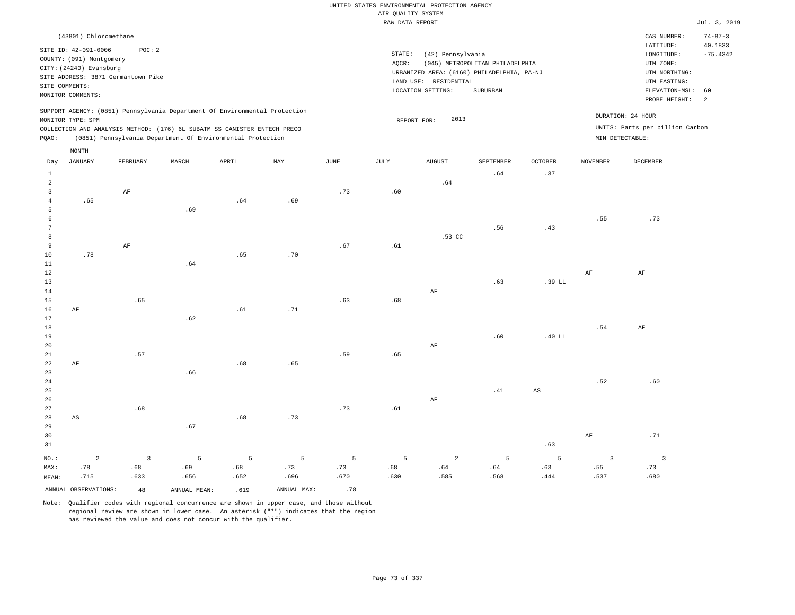#### RAW DATA REPORT JUL. 3, 2019 UNITED STATES ENVIRONMENTAL PROTECTION AGENCY AIR QUALITY SYSTEM

|                            | (43801) Chloromethane                                                                                             |          |       |                                                                                                                                                                                                                      |     |      |                              |                                                       |                                                                                           |                |                                                                                                                     | CAS NUMBER:                     | $74 - 87 - 3$ |
|----------------------------|-------------------------------------------------------------------------------------------------------------------|----------|-------|----------------------------------------------------------------------------------------------------------------------------------------------------------------------------------------------------------------------|-----|------|------------------------------|-------------------------------------------------------|-------------------------------------------------------------------------------------------|----------------|---------------------------------------------------------------------------------------------------------------------|---------------------------------|---------------|
| SITE COMMENTS:             | SITE ID: 42-091-0006<br>COUNTY: (091) Montgomery<br>CITY: (24240) Evansburg<br>SITE ADDRESS: 3871 Germantown Pike | POC: 2   |       |                                                                                                                                                                                                                      |     |      | STATE:<br>AOCR:<br>LAND USE: | (42) Pennsylvania<br>RESIDENTIAL<br>LOCATION SETTING: | (045) METROPOLITAN PHILADELPHIA<br>URBANIZED AREA: (6160) PHILADELPHIA, PA-NJ<br>SUBURBAN |                | 40.1833<br>LATITUDE:<br>$-75.4342$<br>LONGITUDE:<br>UTM ZONE:<br>UTM NORTHING:<br>UTM EASTING:<br>ELEVATION-MSL: 60 |                                 |               |
| MONITOR COMMENTS:          |                                                                                                                   |          |       |                                                                                                                                                                                                                      |     |      |                              |                                                       |                                                                                           |                |                                                                                                                     | PROBE HEIGHT:                   | - 2           |
| MONITOR TYPE: SPM<br>POAO: |                                                                                                                   |          |       | SUPPORT AGENCY: (0851) Pennsylvania Department Of Environmental Protection<br>COLLECTION AND ANALYSIS METHOD: (176) 6L SUBATM SS CANISTER ENTECH PRECO<br>(0851) Pennsylvania Department Of Environmental Protection |     |      | REPORT FOR:                  | 2013                                                  |                                                                                           |                | DURATION: 24 HOUR<br>MIN DETECTABLE:                                                                                | UNITS: Parts per billion Carbon |               |
|                            | MONTH                                                                                                             |          |       |                                                                                                                                                                                                                      |     |      |                              |                                                       |                                                                                           |                |                                                                                                                     |                                 |               |
| Day                        | JANUARY                                                                                                           | FEBRUARY | MARCH | APRIL                                                                                                                                                                                                                | MAY | JUNE | JULY                         | <b>AUGUST</b>                                         | SEPTEMBER                                                                                 | <b>OCTOBER</b> | NOVEMBER                                                                                                            | DECEMBER                        |               |
|                            |                                                                                                                   |          |       |                                                                                                                                                                                                                      |     |      |                              |                                                       | .64                                                                                       | .37            |                                                                                                                     |                                 |               |

| $NO.$ :                 | $\overline{a}$         | $\overline{\mathbf{3}}$      | $5\phantom{.0}$             | $5\overline{)}$ | 5 <sub>1</sub> | $\overline{5}$ | $\overline{5}$                | $\overline{a}$                            | $\overline{5}$                | 5                             | $\mathbf{3}$ | $\overline{\mathbf{3}}$ |
|-------------------------|------------------------|------------------------------|-----------------------------|-----------------|----------------|----------------|-------------------------------|-------------------------------------------|-------------------------------|-------------------------------|--------------|-------------------------|
| $31\,$                  |                        |                              |                             |                 |                |                |                               |                                           |                               | .63                           |              |                         |
| 30                      |                        |                              |                             |                 |                |                |                               |                                           |                               |                               | $\rm{AF}$    | .71                     |
| 29                      |                        |                              | $.67\,$                     |                 |                |                |                               |                                           |                               |                               |              |                         |
| 28                      | $\mathbb{A}\mathbb{S}$ |                              |                             | .68             | .73            |                |                               |                                           |                               |                               |              |                         |
| 27                      |                        | $\footnotesize\substack{68}$ |                             |                 |                | .73            | $\footnotesize\substack{+61}$ |                                           |                               |                               |              |                         |
| 26                      |                        |                              |                             |                 |                |                |                               | $\rm AF$                                  |                               |                               |              |                         |
| 25                      |                        |                              |                             |                 |                |                |                               |                                           | $\footnotesize{\texttt{.41}}$ | $\mathbb{A}\mathbb{S}$        |              |                         |
| 24                      |                        |                              |                             |                 |                |                |                               |                                           |                               |                               | .52          | .60                     |
| 23                      |                        |                              | .66                         |                 |                |                |                               |                                           |                               |                               |              |                         |
| $2\sqrt{2}$             | $\rm{AF}$              |                              |                             | .68             | .65            |                |                               |                                           |                               |                               |              |                         |
| $21\,$                  |                        | .57                          |                             |                 |                | .59            | .65                           |                                           |                               |                               |              |                         |
| 20                      |                        |                              |                             |                 |                |                |                               | $\rm AF$                                  | .60                           | .40 LL                        |              |                         |
| 18<br>19                |                        |                              |                             |                 |                |                |                               |                                           |                               |                               | .54          | $\rm AF$                |
| 17                      |                        |                              | .62                         |                 |                |                |                               |                                           |                               |                               |              |                         |
| 16                      | $\rm AF$               |                              |                             | .61             | .71            |                |                               |                                           |                               |                               |              |                         |
| $15\,$                  |                        | .65                          |                             |                 |                | .63            | .68                           |                                           |                               |                               |              |                         |
| 14                      |                        |                              |                             |                 |                |                |                               | $\rm AF$                                  |                               |                               |              |                         |
| 13                      |                        |                              |                             |                 |                |                |                               |                                           | .63                           | .39 LL                        |              |                         |
| 12                      |                        |                              |                             |                 |                |                |                               |                                           |                               |                               | $\rm{AF}$    | $\rm{AF}$               |
| $11\,$                  |                        |                              | $\boldsymbol{\mathsf{.64}}$ |                 |                |                |                               |                                           |                               |                               |              |                         |
| $10\,$                  | .78                    |                              |                             | .65             | .70            |                |                               |                                           |                               |                               |              |                         |
| 9                       |                        | $\rm AF$                     |                             |                 |                | .67            | $.61\,$                       |                                           |                               |                               |              |                         |
| 8                       |                        |                              |                             |                 |                |                |                               | $.53$ CC                                  |                               |                               |              |                         |
| $7\phantom{.0}$         |                        |                              |                             |                 |                |                |                               |                                           | .56                           | $\footnotesize{\texttt{.43}}$ |              |                         |
| 6                       |                        |                              |                             |                 |                |                |                               |                                           |                               |                               | .55          | .73                     |
| 5                       |                        |                              | .69                         |                 |                |                |                               |                                           |                               |                               |              |                         |
| 3<br>$\overline{4}$     | .65                    | $\rm AF$                     |                             | .64             | .69            | .73            | $.60$                         |                                           |                               |                               |              |                         |
| $\overline{\mathbf{c}}$ |                        |                              |                             |                 |                |                |                               | $% \left( \left( 6\right) \right)$ . $64$ |                               |                               |              |                         |
|                         |                        |                              |                             |                 |                |                |                               |                                           |                               |                               |              |                         |

 .73 .670

ANNUAL OBSERVATIONS:  $48$  ANNUAL MEAN: .619 ANNUAL MAX: .78

 .69 .656

MAX: MEAN:

 .78 .715  .68 .633

Note: Qualifier codes with regional concurrence are shown in upper case, and those without regional review are shown in lower case. An asterisk ("\*") indicates that the region has reviewed the value and does not concur with the qualifier.

 .68 .652  .73 .696

 .68 .630  .64 .585  .64 .568  .63 .444  .55 .537  .73 .680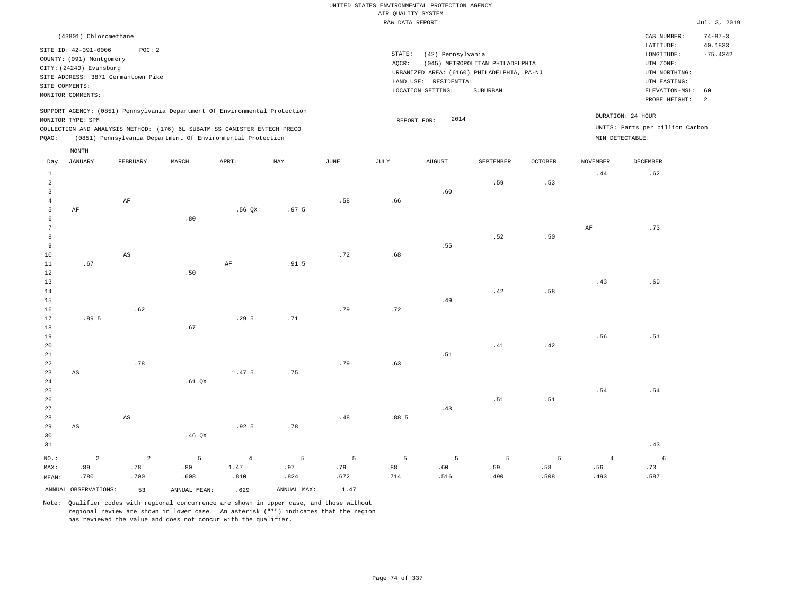#### RAW DATA REPORT Jul. 3, 2019 UNITED STATES ENVIRONMENTAL PROTECTION AGENCY AIR QUALITY SYSTEM

| (43801) Chloromethane                                                                                                                                                                                                                                       |                                                                                                                                                                                 | CAS NUMBER:                                                                                                 | $74 - 87 - 3$         |
|-------------------------------------------------------------------------------------------------------------------------------------------------------------------------------------------------------------------------------------------------------------|---------------------------------------------------------------------------------------------------------------------------------------------------------------------------------|-------------------------------------------------------------------------------------------------------------|-----------------------|
| SITE ID: 42-091-0006<br>POC: 2<br>COUNTY: (091) Montgomery<br>CITY: (24240) Evansburg<br>SITE ADDRESS: 3871 Germantown Pike<br>SITE COMMENTS:<br>MONITOR COMMENTS:                                                                                          | STATE:<br>(42) Pennsylvania<br>(045) METROPOLITAN PHILADELPHIA<br>AOCR:<br>URBANIZED AREA: (6160) PHILADELPHIA, PA-NJ<br>LAND USE: RESIDENTIAL<br>LOCATION SETTING:<br>SUBURBAN | LATITUDE:<br>LONGITUDE:<br>UTM ZONE:<br>UTM NORTHING:<br>UTM EASTING:<br>ELEVATION-MSL: 60<br>PROBE HEIGHT: | 40.1833<br>$-75.4342$ |
| SUPPORT AGENCY: (0851) Pennsylvania Department Of Environmental Protection<br>MONITOR TYPE: SPM<br>COLLECTION AND ANALYSIS METHOD: (176) 6L SUBATM SS CANISTER ENTECH PRECO<br>(0851) Pennsylvania Department Of Environmental Protection<br>POAO:<br>MONTH | DURATION: 24 HOUR<br>2014<br>REPORT FOR:<br>MIN DETECTABLE:                                                                                                                     | UNITS: Parts per billion Carbon                                                                             |                       |

| Day                                 | <b>JANUARY</b>         | FEBRUARY               | MARCH        | APRIL            | MAY              | $_{\rm JUNE}$  | $\mathtt{JULY}$  | AUGUST | SEPTEMBER      | OCTOBER | NOVEMBER       | $\begin{minipage}{.4\linewidth} DECEMBER \end{minipage} \vspace{-0.5em}$ |
|-------------------------------------|------------------------|------------------------|--------------|------------------|------------------|----------------|------------------|--------|----------------|---------|----------------|--------------------------------------------------------------------------|
| $\mathbf{1}$<br>$\overline{a}$<br>3 |                        |                        |              |                  |                  |                |                  | .60    | .59            | .53     | .44            | .62                                                                      |
| $\overline{4}$                      |                        | $\rm AF$               |              |                  |                  | .58            | .66              |        |                |         |                |                                                                          |
| 5                                   | $\rm AF$               |                        |              | .56QX            | .97 <sub>5</sub> |                |                  |        |                |         |                |                                                                          |
| 6                                   |                        |                        | .80          |                  |                  |                |                  |        |                |         |                |                                                                          |
| $7\phantom{.0}$                     |                        |                        |              |                  |                  |                |                  |        |                |         | AF             | .73                                                                      |
| 8                                   |                        |                        |              |                  |                  |                |                  |        | .52            | .50     |                |                                                                          |
| 9                                   |                        |                        |              |                  |                  | .72            |                  | .55    |                |         |                |                                                                          |
| 10<br>11                            | .67                    | $\mathbb{A}\mathbb{S}$ |              | $\rm AF$         | .91 <sub>5</sub> |                | .68              |        |                |         |                |                                                                          |
| 12                                  |                        |                        | .50          |                  |                  |                |                  |        |                |         |                |                                                                          |
| 13                                  |                        |                        |              |                  |                  |                |                  |        |                |         | .43            | .69                                                                      |
| 14                                  |                        |                        |              |                  |                  |                |                  |        | .42            | .58     |                |                                                                          |
| 15                                  |                        |                        |              |                  |                  |                |                  | .49    |                |         |                |                                                                          |
| 16                                  |                        | .62                    |              |                  |                  | .79            | .72              |        |                |         |                |                                                                          |
| 17                                  | .89 5                  |                        |              | .295             | .71              |                |                  |        |                |         |                |                                                                          |
| 18                                  |                        |                        | .67          |                  |                  |                |                  |        |                |         |                |                                                                          |
| 19                                  |                        |                        |              |                  |                  |                |                  |        |                |         | .56            | .51                                                                      |
| 20                                  |                        |                        |              |                  |                  |                |                  |        | .41            | .42     |                |                                                                          |
| 21                                  |                        |                        |              |                  |                  |                |                  | .51    |                |         |                |                                                                          |
| $^{\rm 22}$                         |                        | $.78\,$                |              |                  |                  | .79            | .63              |        |                |         |                |                                                                          |
| 23                                  | $\mathbb{A}\mathbb{S}$ |                        |              | 1.47 5           | .75              |                |                  |        |                |         |                |                                                                          |
| $2\,4$                              |                        |                        | .61 QX       |                  |                  |                |                  |        |                |         |                |                                                                          |
| 25<br>26                            |                        |                        |              |                  |                  |                |                  |        | .51            | .51     | .54            | .54                                                                      |
| 27                                  |                        |                        |              |                  |                  |                |                  | .43    |                |         |                |                                                                          |
| $2\,8$                              |                        | $\mathbb{A}\mathbb{S}$ |              |                  |                  | .48            | .88 <sub>5</sub> |        |                |         |                |                                                                          |
| 29                                  | $\mathbb{A}\mathbb{S}$ |                        |              | .92 <sub>5</sub> | .78              |                |                  |        |                |         |                |                                                                          |
| 30                                  |                        |                        | .46 $QX$     |                  |                  |                |                  |        |                |         |                |                                                                          |
| 31                                  |                        |                        |              |                  |                  |                |                  |        |                |         |                | .43                                                                      |
| $NO.$ :                             | $\overline{a}$         | $\sqrt{2}$             | 5            | $\overline{4}$   | $\sqrt{5}$       | $\overline{5}$ | 5                | 5      | $\overline{5}$ | 5       | $\overline{4}$ | $6\overline{6}$                                                          |
| MAX:                                | .89                    | .78                    | .80          | 1.47             | .97              | .79            | .88              | .60    | .59            | .58     | .56            | .73                                                                      |
| MEAN:                               | .780                   | .700                   | .608         | .810             | .824             | .672           | .714             | .516   | .490           | .508    | .493           | .587                                                                     |
|                                     | ANNUAL OBSERVATIONS:   | 53                     | ANNUAL MEAN: | .629             | ANNUAL MAX:      | 1.47           |                  |        |                |         |                |                                                                          |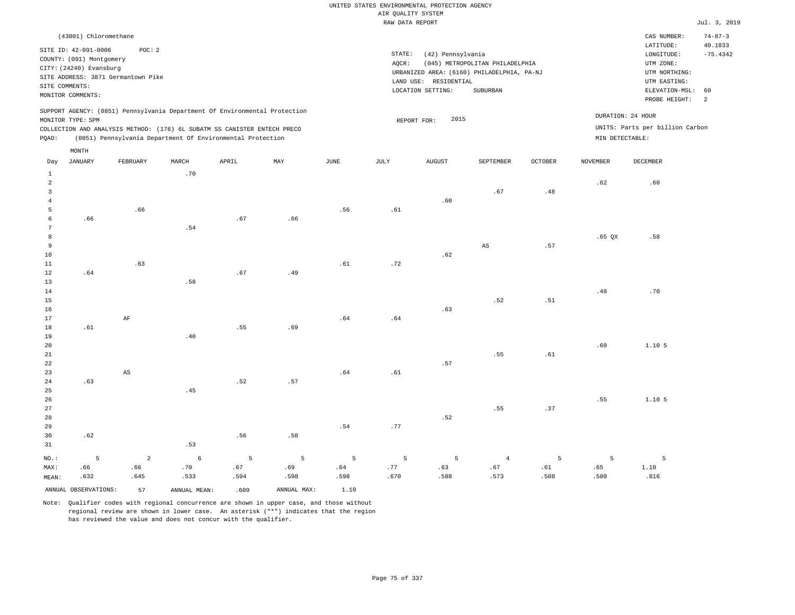|                                                       |                                                                                                                    |                                                                                                                                                        |       |       |     |      | RAW DATA REPORT |                                                                 |                                                                                           |         |                 |                                                                                                          | Jul. 3, 2019                     |
|-------------------------------------------------------|--------------------------------------------------------------------------------------------------------------------|--------------------------------------------------------------------------------------------------------------------------------------------------------|-------|-------|-----|------|-----------------|-----------------------------------------------------------------|-------------------------------------------------------------------------------------------|---------|-----------------|----------------------------------------------------------------------------------------------------------|----------------------------------|
|                                                       | (43801) Chloromethane                                                                                              |                                                                                                                                                        |       |       |     |      |                 |                                                                 |                                                                                           |         |                 | CAS NUMBER:                                                                                              | $74 - 87 - 3$                    |
|                                                       | SITE ID: 42-091-0006<br>COUNTY: (091) Montgomery<br>CITY: (24240) Evansburg<br>SITE COMMENTS:<br>MONITOR COMMENTS: | POC: 2<br>SITE ADDRESS: 3871 Germantown Pike                                                                                                           |       |       |     |      | STATE:<br>AQCR: | (42) Pennsylvania<br>LAND USE: RESIDENTIAL<br>LOCATION SETTING: | (045) METROPOLITAN PHILADELPHIA<br>URBANIZED AREA: (6160) PHILADELPHIA, PA-NJ<br>SUBURBAN |         |                 | LATITUDE:<br>LONGITUDE:<br>UTM ZONE:<br>UTM NORTHING:<br>UTM EASTING:<br>ELEVATION-MSL:<br>PROBE HEIGHT: | 40.1833<br>$-75.4342$<br>60<br>2 |
|                                                       | MONITOR TYPE: SPM                                                                                                  | SUPPORT AGENCY: (0851) Pennsylvania Department Of Environmental Protection<br>COLLECTION AND ANALYSIS METHOD: (176) 6L SUBATM SS CANISTER ENTECH PRECO |       |       |     |      |                 | 2015<br>REPORT FOR:                                             |                                                                                           |         |                 | DURATION: 24 HOUR<br>UNITS: Parts per billion Carbon                                                     |                                  |
| PQAO:                                                 |                                                                                                                    | (0851) Pennsylvania Department Of Environmental Protection                                                                                             |       |       |     |      |                 |                                                                 |                                                                                           |         | MIN DETECTABLE: |                                                                                                          |                                  |
| Day                                                   | MONTH<br>JANUARY                                                                                                   | FEBRUARY                                                                                                                                               | MARCH | APRIL | MAY | JUNE | JULY            | AUGUST                                                          | SEPTEMBER                                                                                 | OCTOBER | NOVEMBER        | DECEMBER                                                                                                 |                                  |
| $\mathbf{1}$<br>$\overline{a}$<br>3<br>$\overline{4}$ |                                                                                                                    |                                                                                                                                                        | .70   |       |     |      |                 | .60                                                             | .67                                                                                       | .48     | .62             | .60                                                                                                      |                                  |
| 5<br>$\epsilon$<br>7                                  | .66                                                                                                                | .66                                                                                                                                                    | .54   | .67   | .66 | .56  | .61             |                                                                 |                                                                                           |         |                 |                                                                                                          |                                  |
| 8<br>9<br>10<br>11                                    |                                                                                                                    | .63                                                                                                                                                    |       |       |     | .61  | .72             | .62                                                             | $_{\rm AS}$                                                                               | .57     | $.65$ QX        | .58                                                                                                      |                                  |
| 12<br>13<br>14                                        | .64                                                                                                                |                                                                                                                                                        | .58   | .67   | .49 |      |                 |                                                                 |                                                                                           |         | .48             | .70                                                                                                      |                                  |
| 15<br>16<br>17<br>18                                  | .61                                                                                                                | $\rm AF$                                                                                                                                               |       | .55   | .69 | .64  | .64             | .63                                                             | .52                                                                                       | .51     |                 |                                                                                                          |                                  |
| 19<br>20<br>21<br>22                                  |                                                                                                                    |                                                                                                                                                        | .40   |       |     |      |                 | .57                                                             | .55                                                                                       | .61     | .60             | 1.105                                                                                                    |                                  |
| 23<br>24<br>25                                        | .63                                                                                                                | $_{\rm AS}$                                                                                                                                            | .45   | .52   | .57 | .64  | .61             |                                                                 |                                                                                           |         |                 |                                                                                                          |                                  |
| 26<br>27<br>28                                        |                                                                                                                    |                                                                                                                                                        |       |       |     |      |                 | .52                                                             | .55                                                                                       | .37     | .55             | 1.10 5                                                                                                   |                                  |
| 29                                                    |                                                                                                                    |                                                                                                                                                        |       |       |     | .54  | .77             |                                                                 |                                                                                           |         |                 |                                                                                                          |                                  |

30 31 .62 NO.: MAX: MEAN: 5 .66 .632 .53 .56 .58 2 .66 .645 6 .70 .533 5 .67 .594 5 .69 .598 5 .64 .598 5 .77 .670 5 .63 .588 4 .67 .573 5 .61 .508 5 .65 .580 5 1.10 .816 ANNUAL OBSERVATIONS: 57 ANNUAL MEAN: .609 ANNUAL MAX: 1.10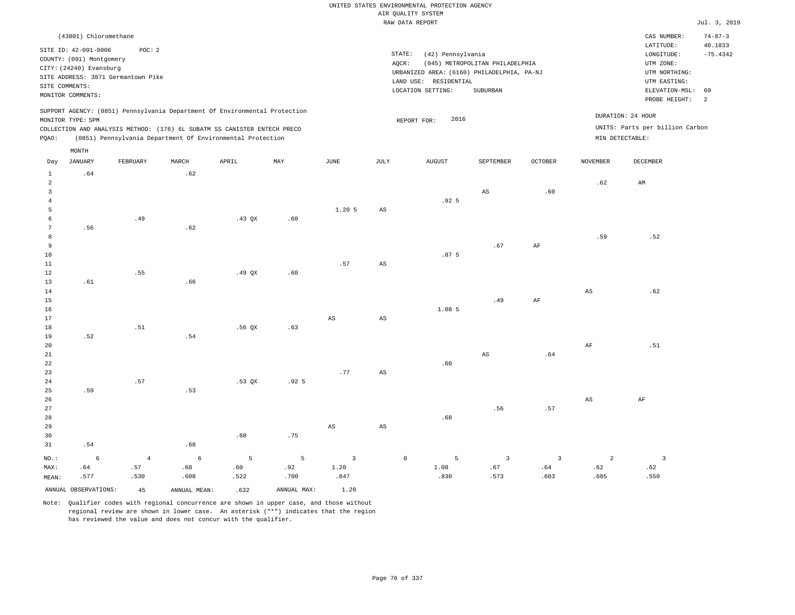|                                                                     |                                                                                                                                                          |                               |                           |                                                                                                                                        |                               |                                |                 | UNITED STATES ENVIRONMENTAL PROTECTION AGENCY<br>AIR QUALITY SYSTEM<br>RAW DATA REPORT                        |                                             |                               |                               |                                                                                                          | Jul. 3, 2019                     |
|---------------------------------------------------------------------|----------------------------------------------------------------------------------------------------------------------------------------------------------|-------------------------------|---------------------------|----------------------------------------------------------------------------------------------------------------------------------------|-------------------------------|--------------------------------|-----------------|---------------------------------------------------------------------------------------------------------------|---------------------------------------------|-------------------------------|-------------------------------|----------------------------------------------------------------------------------------------------------|----------------------------------|
|                                                                     | (43801) Chloromethane                                                                                                                                    |                               |                           |                                                                                                                                        |                               |                                |                 |                                                                                                               |                                             |                               |                               | CAS NUMBER:                                                                                              | $74 - 87 - 3$                    |
|                                                                     | SITE ID: 42-091-0006<br>COUNTY: (091) Montgomery<br>CITY: (24240) Evansburg<br>SITE ADDRESS: 3871 Germantown Pike<br>SITE COMMENTS:<br>MONITOR COMMENTS: | POC: 2                        |                           |                                                                                                                                        |                               |                                | STATE:<br>AOCR: | (42) Pennsylvania<br>URBANIZED AREA: (6160) PHILADELPHIA, PA-NJ<br>LAND USE: RESIDENTIAL<br>LOCATION SETTING: | (045) METROPOLITAN PHILADELPHIA<br>SUBURBAN |                               |                               | LATITUDE:<br>LONGITUDE:<br>UTM ZONE:<br>UTM NORTHING:<br>UTM EASTING:<br>ELEVATION-MSL:<br>PROBE HEIGHT: | 40.1833<br>$-75.4342$<br>60<br>2 |
|                                                                     |                                                                                                                                                          |                               |                           | SUPPORT AGENCY: (0851) Pennsylvania Department Of Environmental Protection                                                             |                               |                                |                 |                                                                                                               |                                             |                               |                               | DURATION: 24 HOUR                                                                                        |                                  |
| PQAO:                                                               | MONITOR TYPE: SPM                                                                                                                                        |                               |                           | COLLECTION AND ANALYSIS METHOD: (176) 6L SUBATM SS CANISTER ENTECH PRECO<br>(0851) Pennsylvania Department Of Environmental Protection |                               |                                |                 | 2016<br>REPORT FOR:                                                                                           |                                             |                               | MIN DETECTABLE:               | UNITS: Parts per billion Carbon                                                                          |                                  |
| Day                                                                 | MONTH<br><b>JANUARY</b>                                                                                                                                  | FEBRUARY                      | MARCH                     | APRIL                                                                                                                                  | MAY                           | JUNE                           | JULY            | AUGUST                                                                                                        | SEPTEMBER                                   | <b>OCTOBER</b>                | <b>NOVEMBER</b>               | DECEMBER                                                                                                 |                                  |
| $\mathbf{1}$<br>$\overline{a}$<br>$\overline{3}$<br>$\sqrt{4}$<br>5 | .64                                                                                                                                                      |                               | .62                       |                                                                                                                                        |                               | 1.20 5                         | AS              | .92 <sub>5</sub>                                                                                              | AS                                          | .60                           | .62                           | AM                                                                                                       |                                  |
| 6<br>$7\phantom{.0}$<br>8<br>9<br>$10$                              | .56                                                                                                                                                      | .49                           | .62                       | $.43$ QX                                                                                                                               | .60                           |                                |                 | .87 <sub>5</sub>                                                                                              | .67                                         | AF                            | .59                           | .52                                                                                                      |                                  |
| $1\,1$<br>12<br>13<br>14<br>15<br>16                                | .61                                                                                                                                                      | .55                           | .66                       | .49QX                                                                                                                                  | .60                           | .57                            | $_{\rm AS}$     | 1.085                                                                                                         | .49                                         | $\rm{AF}$                     | $\mathbb{A}\mathbb{S}$        | .62                                                                                                      |                                  |
| 17<br>18<br>19                                                      | .52                                                                                                                                                      | .51                           | .54                       | $.56$ QX                                                                                                                               | .63                           | AS                             | AS              |                                                                                                               |                                             |                               |                               |                                                                                                          |                                  |
| $20$<br>$2\sqrt{1}$<br>22<br>23                                     |                                                                                                                                                          |                               |                           |                                                                                                                                        |                               | .77                            | AS              | .60                                                                                                           | AS                                          | .64                           | $\rm{AF}$                     | .51                                                                                                      |                                  |
| $2\sqrt{4}$<br>25<br>26<br>27<br>28                                 | .59                                                                                                                                                      | .57                           | .53                       | .53 QX                                                                                                                                 | .92 <sub>5</sub>              |                                |                 | .68                                                                                                           | .56                                         | .57                           | $_{\rm AS}$                   | $\rm AF$                                                                                                 |                                  |
| 29<br>30<br>31                                                      | .54                                                                                                                                                      |                               | .68                       | .60                                                                                                                                    | .75                           | AS                             | AS              |                                                                                                               |                                             |                               |                               |                                                                                                          |                                  |
| NO.:<br>MAX:<br>MEAN:                                               | $\epsilon$<br>.64<br>.577                                                                                                                                | $\overline{4}$<br>.57<br>.530 | $\epsilon$<br>.68<br>.608 | 5<br>.60<br>.522                                                                                                                       | $\overline{5}$<br>.92<br>.700 | $\overline{3}$<br>1.20<br>.847 | $\circ$         | 5<br>1.08<br>.830                                                                                             | $\overline{\mathbf{3}}$<br>.67<br>.573      | $\overline{3}$<br>.64<br>.603 | $\overline{a}$<br>.62<br>.605 | $\overline{\mathbf{3}}$<br>.62<br>.550                                                                   |                                  |
|                                                                     | ANNUAL OBSERVATIONS:                                                                                                                                     | 45                            | ANNUAL, MEAN:             | .632                                                                                                                                   | ANNUAL MAX:                   | 1.20                           |                 |                                                                                                               |                                             |                               |                               |                                                                                                          |                                  |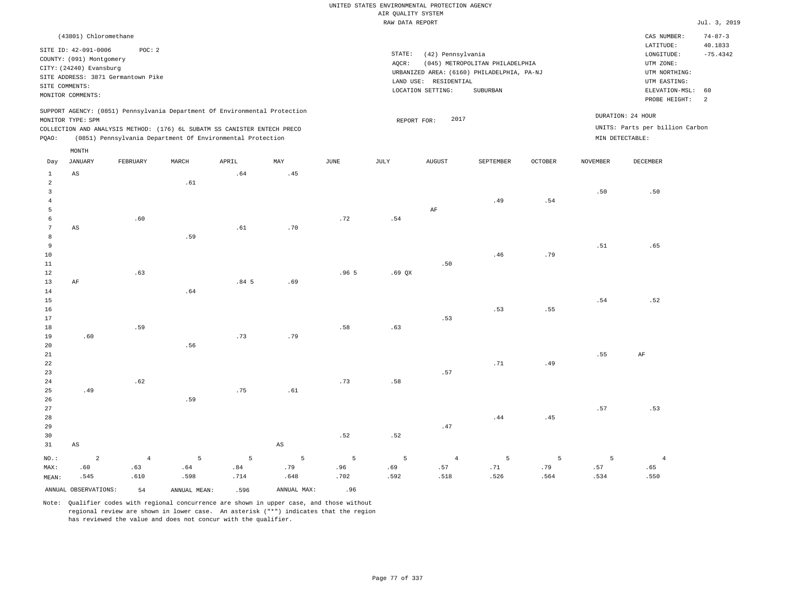|                                                             |                                                                                                                                             |                                              |                                                                                                                                                        |             |                        |                  | UNITED STATES ENVIRONMENTAL PROTECTION AGENCY |                                                                 |                                                                                           |             |                 |                                                                                                                         |                                                                |
|-------------------------------------------------------------|---------------------------------------------------------------------------------------------------------------------------------------------|----------------------------------------------|--------------------------------------------------------------------------------------------------------------------------------------------------------|-------------|------------------------|------------------|-----------------------------------------------|-----------------------------------------------------------------|-------------------------------------------------------------------------------------------|-------------|-----------------|-------------------------------------------------------------------------------------------------------------------------|----------------------------------------------------------------|
|                                                             |                                                                                                                                             |                                              |                                                                                                                                                        |             |                        |                  | AIR QUALITY SYSTEM                            |                                                                 |                                                                                           |             |                 |                                                                                                                         |                                                                |
|                                                             |                                                                                                                                             |                                              |                                                                                                                                                        |             |                        |                  | RAW DATA REPORT                               |                                                                 |                                                                                           |             |                 |                                                                                                                         | Jul. 3, 2019                                                   |
|                                                             | (43801) Chloromethane<br>SITE ID: 42-091-0006<br>COUNTY: (091) Montgomery<br>CITY: (24240) Evansburg<br>SITE COMMENTS:<br>MONITOR COMMENTS: | POC: 2<br>SITE ADDRESS: 3871 Germantown Pike |                                                                                                                                                        |             |                        |                  | STATE:<br>AQCR:                               | (42) Pennsylvania<br>LAND USE: RESIDENTIAL<br>LOCATION SETTING: | (045) METROPOLITAN PHILADELPHIA<br>URBANIZED AREA: (6160) PHILADELPHIA, PA-NJ<br>SUBURBAN |             |                 | CAS NUMBER:<br>LATITUDE:<br>LONGITUDE:<br>UTM ZONE:<br>UTM NORTHING:<br>UTM EASTING:<br>ELEVATION-MSL:<br>PROBE HEIGHT: | $74 - 87 - 3$<br>40.1833<br>$-75.4342$<br>60<br>$\overline{a}$ |
|                                                             | MONITOR TYPE: SPM                                                                                                                           |                                              | SUPPORT AGENCY: (0851) Pennsylvania Department Of Environmental Protection<br>COLLECTION AND ANALYSIS METHOD: (176) 6L SUBATM SS CANISTER ENTECH PRECO |             |                        |                  | REPORT FOR:                                   | 2017                                                            |                                                                                           |             |                 | DURATION: 24 HOUR<br>UNITS: Parts per billion Carbon                                                                    |                                                                |
| PQAO:                                                       |                                                                                                                                             |                                              | (0851) Pennsylvania Department Of Environmental Protection                                                                                             |             |                        |                  |                                               |                                                                 |                                                                                           |             | MIN DETECTABLE: |                                                                                                                         |                                                                |
|                                                             | MONTH                                                                                                                                       |                                              |                                                                                                                                                        |             |                        |                  |                                               |                                                                 |                                                                                           |             |                 |                                                                                                                         |                                                                |
| Day                                                         | JANUARY                                                                                                                                     | FEBRUARY                                     | MARCH                                                                                                                                                  | APRIL       | MAY                    | $_{\rm JUNE}$    | JULY                                          | ${\tt AUGUST}$                                                  | SEPTEMBER                                                                                 | OCTOBER     | <b>NOVEMBER</b> | DECEMBER                                                                                                                |                                                                |
| $\mathbf{1}$                                                | $_{\rm AS}$                                                                                                                                 |                                              |                                                                                                                                                        | .64         | .45                    |                  |                                               |                                                                 |                                                                                           |             |                 |                                                                                                                         |                                                                |
| $\overline{a}$<br>$\overline{\mathbf{3}}$<br>$\overline{4}$ |                                                                                                                                             |                                              | .61                                                                                                                                                    |             |                        |                  |                                               |                                                                 | .49                                                                                       | .54         | .50             | .50                                                                                                                     |                                                                |
| 5                                                           |                                                                                                                                             |                                              |                                                                                                                                                        |             |                        |                  |                                               | $\rm AF$                                                        |                                                                                           |             |                 |                                                                                                                         |                                                                |
| 6                                                           |                                                                                                                                             | .60                                          |                                                                                                                                                        |             |                        | .72              | .54                                           |                                                                 |                                                                                           |             |                 |                                                                                                                         |                                                                |
| 7<br>8                                                      | AS                                                                                                                                          |                                              | .59                                                                                                                                                    | .61         | .70                    |                  |                                               |                                                                 |                                                                                           |             |                 |                                                                                                                         |                                                                |
| 9                                                           |                                                                                                                                             |                                              |                                                                                                                                                        |             |                        |                  |                                               |                                                                 |                                                                                           |             | .51             | .65                                                                                                                     |                                                                |
| 10                                                          |                                                                                                                                             |                                              |                                                                                                                                                        |             |                        |                  |                                               |                                                                 | .46                                                                                       | .79         |                 |                                                                                                                         |                                                                |
| $11\,$                                                      |                                                                                                                                             |                                              |                                                                                                                                                        |             |                        |                  |                                               | .50                                                             |                                                                                           |             |                 |                                                                                                                         |                                                                |
| $1\,2$                                                      |                                                                                                                                             | .63                                          |                                                                                                                                                        |             |                        | .96 <sub>5</sub> | $.69$ QX                                      |                                                                 |                                                                                           |             |                 |                                                                                                                         |                                                                |
| 13<br>14                                                    | $\rm AF$                                                                                                                                    |                                              | .64                                                                                                                                                    | .845        | .69                    |                  |                                               |                                                                 |                                                                                           |             |                 |                                                                                                                         |                                                                |
| 15                                                          |                                                                                                                                             |                                              |                                                                                                                                                        |             |                        |                  |                                               |                                                                 |                                                                                           |             | .54             | .52                                                                                                                     |                                                                |
| 16                                                          |                                                                                                                                             |                                              |                                                                                                                                                        |             |                        |                  |                                               |                                                                 | .53                                                                                       | .55         |                 |                                                                                                                         |                                                                |
| 17                                                          |                                                                                                                                             |                                              |                                                                                                                                                        |             |                        |                  |                                               | .53                                                             |                                                                                           |             |                 |                                                                                                                         |                                                                |
| 18<br>19                                                    | .60                                                                                                                                         | .59                                          |                                                                                                                                                        | .73         | .79                    | .58              | .63                                           |                                                                 |                                                                                           |             |                 |                                                                                                                         |                                                                |
| $20$                                                        |                                                                                                                                             |                                              | .56                                                                                                                                                    |             |                        |                  |                                               |                                                                 |                                                                                           |             |                 |                                                                                                                         |                                                                |
| 21                                                          |                                                                                                                                             |                                              |                                                                                                                                                        |             |                        |                  |                                               |                                                                 |                                                                                           |             | .55             | AF                                                                                                                      |                                                                |
| 22                                                          |                                                                                                                                             |                                              |                                                                                                                                                        |             |                        |                  |                                               |                                                                 | .71                                                                                       | .49         |                 |                                                                                                                         |                                                                |
| 23                                                          |                                                                                                                                             |                                              |                                                                                                                                                        |             |                        |                  |                                               | .57                                                             |                                                                                           |             |                 |                                                                                                                         |                                                                |
| 24<br>25                                                    | .49                                                                                                                                         | .62                                          |                                                                                                                                                        | .75         | .61                    | .73              | .58                                           |                                                                 |                                                                                           |             |                 |                                                                                                                         |                                                                |
| 26                                                          |                                                                                                                                             |                                              | .59                                                                                                                                                    |             |                        |                  |                                               |                                                                 |                                                                                           |             |                 |                                                                                                                         |                                                                |
| 27                                                          |                                                                                                                                             |                                              |                                                                                                                                                        |             |                        |                  |                                               |                                                                 |                                                                                           |             | .57             | .53                                                                                                                     |                                                                |
| 28                                                          |                                                                                                                                             |                                              |                                                                                                                                                        |             |                        |                  |                                               |                                                                 | .44                                                                                       | .45         |                 |                                                                                                                         |                                                                |
| 29                                                          |                                                                                                                                             |                                              |                                                                                                                                                        |             |                        |                  |                                               | .47                                                             |                                                                                           |             |                 |                                                                                                                         |                                                                |
| 30<br>31                                                    | $\mathbb{A}\mathbb{S}$                                                                                                                      |                                              |                                                                                                                                                        |             | $\mathbb{A}\mathbb{S}$ | .52              | .52                                           |                                                                 |                                                                                           |             |                 |                                                                                                                         |                                                                |
|                                                             |                                                                                                                                             |                                              |                                                                                                                                                        |             |                        |                  |                                               |                                                                 |                                                                                           |             |                 |                                                                                                                         |                                                                |
| $NO.$ :                                                     | $\overline{a}$                                                                                                                              | $\overline{4}$                               | 5                                                                                                                                                      | 5           | 5                      | 5                | 5                                             | $\overline{4}$                                                  | $\overline{5}$                                                                            | 5           | 5               | $\overline{4}$                                                                                                          |                                                                |
| MAX:<br>MEAN:                                               | .60<br>.545                                                                                                                                 | .63<br>.610                                  | .64<br>.598                                                                                                                                            | .84<br>.714 | .79<br>.648            | .96<br>.702      | .69<br>.592                                   | .57<br>.518                                                     | .71<br>.526                                                                               | .79<br>.564 | .57<br>.534     | .65<br>.550                                                                                                             |                                                                |
|                                                             |                                                                                                                                             |                                              |                                                                                                                                                        |             |                        |                  |                                               |                                                                 |                                                                                           |             |                 |                                                                                                                         |                                                                |
|                                                             | ANNUAL OBSERVATIONS:                                                                                                                        | 54                                           | ANNUAL MEAN:                                                                                                                                           | .596        | ANNUAL MAX:            | .96              |                                               |                                                                 |                                                                                           |             |                 |                                                                                                                         |                                                                |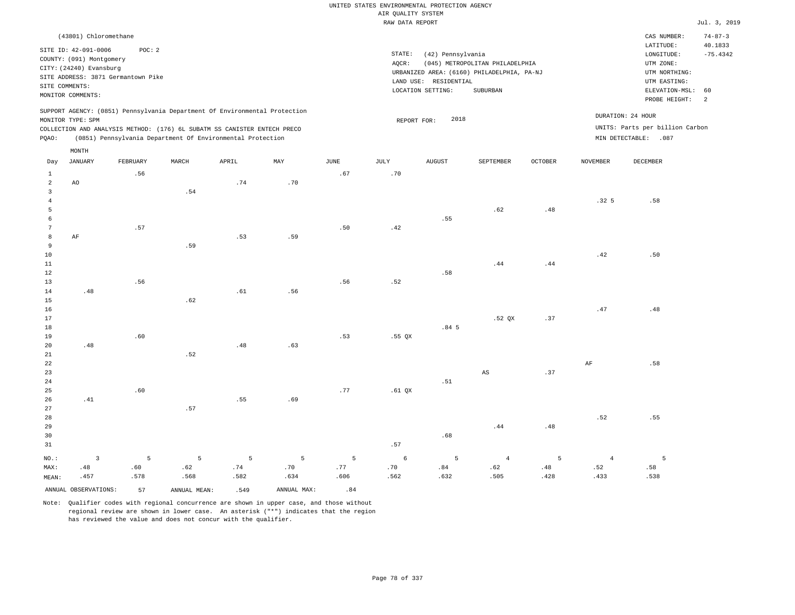|                                |                                                                                                                                            |          |              |                                                                            |             |      | UNITED STATES ENVIRONMENTAL PROTECTION AGENCY |                       |                                                                               |                |                  |                                                                                  |                                        |
|--------------------------------|--------------------------------------------------------------------------------------------------------------------------------------------|----------|--------------|----------------------------------------------------------------------------|-------------|------|-----------------------------------------------|-----------------------|-------------------------------------------------------------------------------|----------------|------------------|----------------------------------------------------------------------------------|----------------------------------------|
|                                |                                                                                                                                            |          |              |                                                                            |             |      | AIR QUALITY SYSTEM                            |                       |                                                                               |                |                  |                                                                                  |                                        |
|                                |                                                                                                                                            |          |              |                                                                            |             |      | RAW DATA REPORT                               |                       |                                                                               |                |                  |                                                                                  | Jul. 3, 2019                           |
|                                | (43801) Chloromethane<br>SITE ID: 42-091-0006<br>COUNTY: (091) Montgomery<br>CITY: (24240) Evansburg<br>SITE ADDRESS: 3871 Germantown Pike | POC: 2   |              |                                                                            |             |      | STATE:<br>AQCR:                               | (42) Pennsylvania     | (045) METROPOLITAN PHILADELPHIA<br>URBANIZED AREA: (6160) PHILADELPHIA, PA-NJ |                |                  | CAS NUMBER:<br>LATITUDE:<br>$\texttt{LONGITUDE}$ :<br>UTM ZONE:<br>UTM NORTHING: | $74 - 87 - 3$<br>40.1833<br>$-75.4342$ |
|                                | SITE COMMENTS:                                                                                                                             |          |              |                                                                            |             |      |                                               | LAND USE: RESIDENTIAL |                                                                               |                |                  | UTM EASTING:                                                                     |                                        |
|                                | MONITOR COMMENTS:                                                                                                                          |          |              |                                                                            |             |      |                                               | LOCATION SETTING:     | <b>SUBURBAN</b>                                                               |                |                  | ELEVATION-MSL:<br>PROBE HEIGHT:                                                  | 60<br>2                                |
|                                | MONITOR TYPE: SPM                                                                                                                          |          |              | SUPPORT AGENCY: (0851) Pennsylvania Department Of Environmental Protection |             |      | REPORT FOR:                                   | 2018                  |                                                                               |                |                  | DURATION: 24 HOUR                                                                |                                        |
|                                |                                                                                                                                            |          |              | COLLECTION AND ANALYSIS METHOD: (176) 6L SUBATM SS CANISTER ENTECH PRECO   |             |      |                                               |                       |                                                                               |                |                  | UNITS: Parts per billion Carbon                                                  |                                        |
| PQAO:                          |                                                                                                                                            |          |              | (0851) Pennsylvania Department Of Environmental Protection                 |             |      |                                               |                       |                                                                               |                |                  | MIN DETECTABLE: .087                                                             |                                        |
|                                | MONTH                                                                                                                                      |          |              |                                                                            |             |      |                                               |                       |                                                                               |                |                  |                                                                                  |                                        |
| Day                            | <b>JANUARY</b>                                                                                                                             | FEBRUARY | MARCH        | APRIL                                                                      | MAY         | JUNE | <b>JULY</b>                                   | <b>AUGUST</b>         | SEPTEMBER                                                                     | <b>OCTOBER</b> | <b>NOVEMBER</b>  | DECEMBER                                                                         |                                        |
| $\mathbf{1}$                   |                                                                                                                                            | .56      |              |                                                                            |             | .67  | .70                                           |                       |                                                                               |                |                  |                                                                                  |                                        |
| $\overline{a}$<br>$\mathbf{3}$ | AO                                                                                                                                         |          | .54          | .74                                                                        | .70         |      |                                               |                       |                                                                               |                |                  |                                                                                  |                                        |
| $\overline{4}$                 |                                                                                                                                            |          |              |                                                                            |             |      |                                               |                       |                                                                               |                | .32 <sub>5</sub> | .58                                                                              |                                        |
| 5                              |                                                                                                                                            |          |              |                                                                            |             |      |                                               |                       | .62                                                                           | .48            |                  |                                                                                  |                                        |
| 6                              |                                                                                                                                            |          |              |                                                                            |             |      |                                               | .55                   |                                                                               |                |                  |                                                                                  |                                        |
| $\boldsymbol{7}$               |                                                                                                                                            | .57      |              |                                                                            |             | .50  | .42                                           |                       |                                                                               |                |                  |                                                                                  |                                        |
| 8                              | AF                                                                                                                                         |          |              | .53                                                                        | .59         |      |                                               |                       |                                                                               |                |                  |                                                                                  |                                        |
| 9                              |                                                                                                                                            |          | .59          |                                                                            |             |      |                                               |                       |                                                                               |                |                  |                                                                                  |                                        |
| 10                             |                                                                                                                                            |          |              |                                                                            |             |      |                                               |                       |                                                                               |                | .42              | .50                                                                              |                                        |
| 11                             |                                                                                                                                            |          |              |                                                                            |             |      |                                               |                       | .44                                                                           | .44            |                  |                                                                                  |                                        |
| 12                             |                                                                                                                                            |          |              |                                                                            |             |      |                                               | .58                   |                                                                               |                |                  |                                                                                  |                                        |
| 13                             |                                                                                                                                            | .56      |              |                                                                            |             | .56  | .52                                           |                       |                                                                               |                |                  |                                                                                  |                                        |
| 14                             | .48                                                                                                                                        |          |              | .61                                                                        | .56         |      |                                               |                       |                                                                               |                |                  |                                                                                  |                                        |
| 15<br>16                       |                                                                                                                                            |          | .62          |                                                                            |             |      |                                               |                       |                                                                               |                | .47              | .48                                                                              |                                        |
| 17                             |                                                                                                                                            |          |              |                                                                            |             |      |                                               |                       | .52 QX                                                                        | .37            |                  |                                                                                  |                                        |
| 18                             |                                                                                                                                            |          |              |                                                                            |             |      |                                               | .845                  |                                                                               |                |                  |                                                                                  |                                        |
| 19                             |                                                                                                                                            | .60      |              |                                                                            |             | .53  | $.55$ QX                                      |                       |                                                                               |                |                  |                                                                                  |                                        |
| 20                             | .48                                                                                                                                        |          |              | .48                                                                        | .63         |      |                                               |                       |                                                                               |                |                  |                                                                                  |                                        |
| 21                             |                                                                                                                                            |          | .52          |                                                                            |             |      |                                               |                       |                                                                               |                |                  |                                                                                  |                                        |
| 22                             |                                                                                                                                            |          |              |                                                                            |             |      |                                               |                       |                                                                               |                | $\rm{AF}$        | .58                                                                              |                                        |
| 23                             |                                                                                                                                            |          |              |                                                                            |             |      |                                               |                       | $\mathbb{A}\mathbb{S}$                                                        | .37            |                  |                                                                                  |                                        |
| 24                             |                                                                                                                                            |          |              |                                                                            |             |      |                                               | .51                   |                                                                               |                |                  |                                                                                  |                                        |
| 25                             |                                                                                                                                            | .60      |              |                                                                            |             | .77  | $.61$ QX                                      |                       |                                                                               |                |                  |                                                                                  |                                        |
| 26                             | .41                                                                                                                                        |          |              | .55                                                                        | .69         |      |                                               |                       |                                                                               |                |                  |                                                                                  |                                        |
| 27                             |                                                                                                                                            |          | .57          |                                                                            |             |      |                                               |                       |                                                                               |                |                  |                                                                                  |                                        |
| 28<br>29                       |                                                                                                                                            |          |              |                                                                            |             |      |                                               |                       | .44                                                                           | .48            | .52              | .55                                                                              |                                        |
| 30                             |                                                                                                                                            |          |              |                                                                            |             |      |                                               | .68                   |                                                                               |                |                  |                                                                                  |                                        |
| 31                             |                                                                                                                                            |          |              |                                                                            |             |      | .57                                           |                       |                                                                               |                |                  |                                                                                  |                                        |
|                                |                                                                                                                                            |          |              |                                                                            |             |      |                                               |                       |                                                                               |                |                  |                                                                                  |                                        |
| NO.:                           | $\overline{3}$                                                                                                                             | 5        | 5            | 5                                                                          | 5           | 5    | 6                                             | 5                     | $\overline{4}$                                                                | 5              | $\overline{4}$   | 5                                                                                |                                        |
| MAX:                           | .48                                                                                                                                        | .60      | .62          | .74                                                                        | .70         | .77  | .70                                           | .84                   | .62                                                                           | .48            | .52              | .58                                                                              |                                        |
| MEAN:                          | .457                                                                                                                                       | .578     | .568         | .582                                                                       | .634        | .606 | .562                                          | .632                  | .505                                                                          | .428           | .433             | .538                                                                             |                                        |
|                                | ANNUAL OBSERVATIONS:                                                                                                                       | 57       | ANNUAL MEAN: | .549                                                                       | ANNUAL MAX: | .84  |                                               |                       |                                                                               |                |                  |                                                                                  |                                        |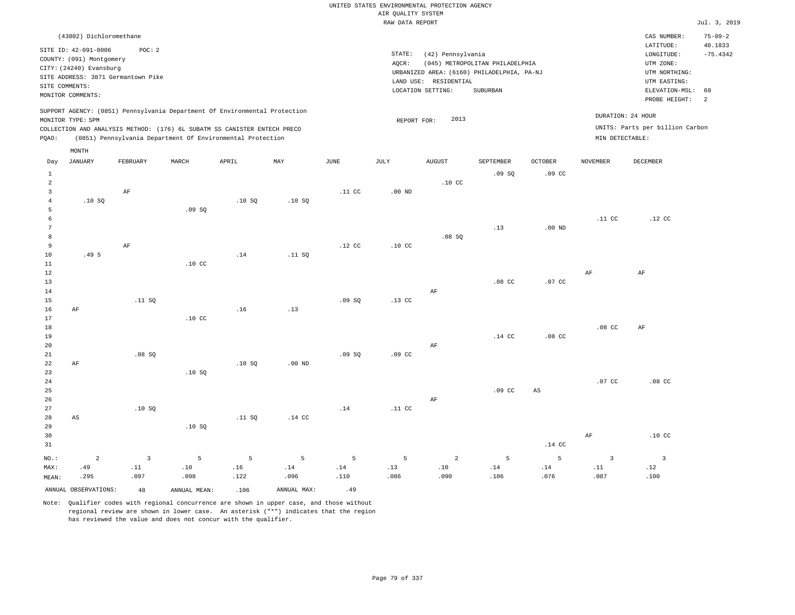|                |                                                 |                                    |                  |                                                                            |        |                  | RAW DATA REPORT  |                                            |                                 |                  |                  |                                        | Jul. 3, 2019                           |
|----------------|-------------------------------------------------|------------------------------------|------------------|----------------------------------------------------------------------------|--------|------------------|------------------|--------------------------------------------|---------------------------------|------------------|------------------|----------------------------------------|----------------------------------------|
|                | (43802) Dichloromethane<br>SITE ID: 42-091-0006 | POC: 2                             |                  |                                                                            |        |                  | STATE:           | (42) Pennsylvania                          |                                 |                  |                  | CAS NUMBER:<br>LATITUDE:<br>LONGITUDE: | $75 - 09 - 2$<br>40.1833<br>$-75.4342$ |
|                | COUNTY: (091) Montgomery                        |                                    |                  |                                                                            |        |                  | AOCR:            |                                            | (045) METROPOLITAN PHILADELPHIA |                  |                  | UTM ZONE:                              |                                        |
|                | CITY: (24240) Evansburg                         |                                    |                  |                                                                            |        |                  |                  | URBANIZED AREA: (6160) PHILADELPHIA, PA-NJ |                                 |                  |                  | UTM NORTHING:                          |                                        |
|                |                                                 | SITE ADDRESS: 3871 Germantown Pike |                  |                                                                            |        |                  |                  | LAND USE: RESIDENTIAL                      |                                 |                  |                  | UTM EASTING:                           |                                        |
|                | SITE COMMENTS:                                  |                                    |                  |                                                                            |        |                  |                  | LOCATION SETTING:                          | SUBURBAN                        |                  |                  | ELEVATION-MSL:                         | 60                                     |
|                | MONITOR COMMENTS:                               |                                    |                  |                                                                            |        |                  |                  |                                            |                                 |                  |                  | PROBE HEIGHT:                          | 2                                      |
|                |                                                 |                                    |                  |                                                                            |        |                  |                  |                                            |                                 |                  |                  |                                        |                                        |
|                |                                                 |                                    |                  | SUPPORT AGENCY: (0851) Pennsylvania Department Of Environmental Protection |        |                  |                  |                                            |                                 |                  |                  | DURATION: 24 HOUR                      |                                        |
|                | MONITOR TYPE: SPM                               |                                    |                  |                                                                            |        |                  | REPORT FOR:      | 2013                                       |                                 |                  |                  |                                        |                                        |
|                |                                                 |                                    |                  | COLLECTION AND ANALYSIS METHOD: (176) 6L SUBATM SS CANISTER ENTECH PRECO   |        |                  |                  |                                            |                                 |                  |                  | UNITS: Parts per billion Carbon        |                                        |
| PQAO:          |                                                 |                                    |                  | (0851) Pennsylvania Department Of Environmental Protection                 |        |                  |                  |                                            |                                 |                  | MIN DETECTABLE:  |                                        |                                        |
|                | MONTH                                           |                                    |                  |                                                                            |        |                  |                  |                                            |                                 |                  |                  |                                        |                                        |
| Day            | JANUARY                                         | FEBRUARY                           | MARCH            | APRIL                                                                      | MAY    | JUNE             | JULY             | AUGUST                                     | SEPTEMBER                       | OCTOBER          | NOVEMBER         | DECEMBER                               |                                        |
| $\mathbf{1}$   |                                                 |                                    |                  |                                                                            |        |                  |                  |                                            | .09SQ                           | .09 <sub>c</sub> |                  |                                        |                                        |
| 2              |                                                 |                                    |                  |                                                                            |        |                  |                  | .10 <sub>C</sub>                           |                                 |                  |                  |                                        |                                        |
| $\overline{3}$ |                                                 | AF                                 |                  |                                                                            |        | .11 CC           | $.00$ ND         |                                            |                                 |                  |                  |                                        |                                        |
| 4              | .10S                                            |                                    |                  | .10S                                                                       | .10S   |                  |                  |                                            |                                 |                  |                  |                                        |                                        |
| 5              |                                                 |                                    | .09SQ            |                                                                            |        |                  |                  |                                            |                                 |                  |                  |                                        |                                        |
| 6              |                                                 |                                    |                  |                                                                            |        |                  |                  |                                            |                                 |                  | .11 <sub>c</sub> | $.12$ CC                               |                                        |
|                |                                                 |                                    |                  |                                                                            |        |                  |                  |                                            | .13                             | $.00$ ND         |                  |                                        |                                        |
| 8              |                                                 |                                    |                  |                                                                            |        |                  |                  | .08SQ                                      |                                 |                  |                  |                                        |                                        |
| 9              |                                                 | AF                                 |                  |                                                                            |        | .12 <sub>c</sub> | .10 <sub>C</sub> |                                            |                                 |                  |                  |                                        |                                        |
| 10             | .49 <sub>5</sub>                                |                                    |                  | .14                                                                        | .11 SQ |                  |                  |                                            |                                 |                  |                  |                                        |                                        |
| 11             |                                                 |                                    | .10 <sub>C</sub> |                                                                            |        |                  |                  |                                            |                                 |                  |                  |                                        |                                        |
| 12             |                                                 |                                    |                  |                                                                            |        |                  |                  |                                            |                                 |                  | AF               | AF                                     |                                        |
| 13             |                                                 |                                    |                  |                                                                            |        |                  |                  |                                            | .08 <sub>c</sub>                | .07 <sub>c</sub> |                  |                                        |                                        |
| 14             |                                                 |                                    |                  |                                                                            |        |                  |                  | AF                                         |                                 |                  |                  |                                        |                                        |
| 15             |                                                 | .11 SQ                             |                  |                                                                            |        | .09SQ            | .13 <sub>c</sub> |                                            |                                 |                  |                  |                                        |                                        |
| 16             | AF                                              |                                    |                  | .16                                                                        | .13    |                  |                  |                                            |                                 |                  |                  |                                        |                                        |
| 17             |                                                 |                                    | .10 <sub>C</sub> |                                                                            |        |                  |                  |                                            |                                 |                  |                  |                                        |                                        |
| 18             |                                                 |                                    |                  |                                                                            |        |                  |                  |                                            |                                 |                  | .08 <sub>c</sub> | $\rm{AF}$                              |                                        |
| 19             |                                                 |                                    |                  |                                                                            |        |                  |                  |                                            | .14 <sub>c</sub>                | .08 <sub>C</sub> |                  |                                        |                                        |
| 20             |                                                 |                                    |                  |                                                                            |        |                  |                  | AF                                         |                                 |                  |                  |                                        |                                        |

21 22 23 24 25 26 27 28 AF AS .08 SQ .10 SQ .10 SQ .10 SQ .11 SQ .00 ND .14 CC .09 SQ .14 .09 CC .11 CC AF .09 CC AS .07 CC .08 CC

29 30 31 NO.: MAX: MEAN: 2 .49 .295 .10 SQ .14 CC AF .10 CC 3 .11 .097 5 .10 .098 5 .16 .122 5 .14 .096 5 .14 .110 5 .13 .086 2 .10 .090 5 .14 .106 5 .14 .076 3 .11 .087 3 .12 .100

ANNUAL OBSERVATIONS:  $48$  ANNUAL MEAN: .106 ANNUAL MAX: .49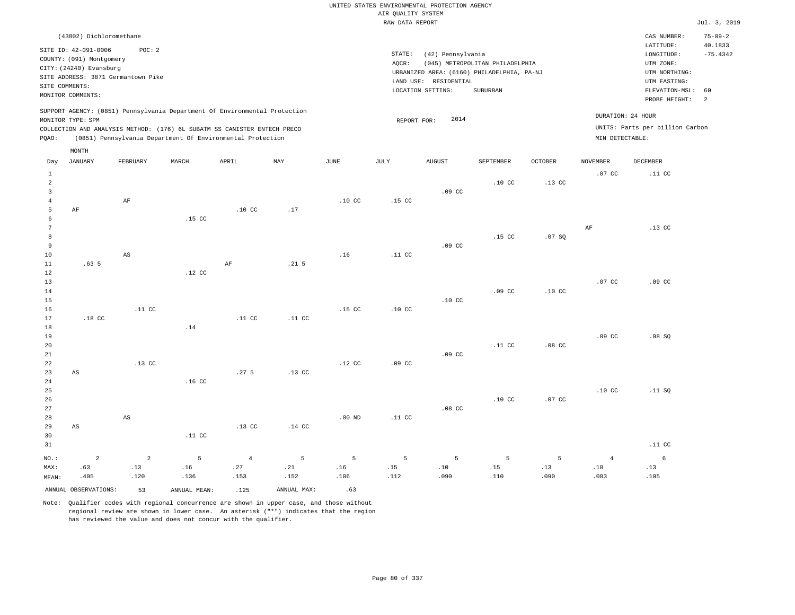#### RAW DATA REPORT Jul. 3, 2019 UNITED STATES ENVIRONMENTAL PROTECTION AGENCY AIR QUALITY SYSTEM

| (43802) Dichloromethane                                                                                                                                                                                                                            |                                                                                                                                                                                 | CAS NUMBER:                                                                                                   | $75 - 09 - 2$         |
|----------------------------------------------------------------------------------------------------------------------------------------------------------------------------------------------------------------------------------------------------|---------------------------------------------------------------------------------------------------------------------------------------------------------------------------------|---------------------------------------------------------------------------------------------------------------|-----------------------|
| POC:2<br>SITE ID: 42-091-0006<br>COUNTY: (091) Montgomery<br>CITY: (24240) Evansburg<br>SITE ADDRESS: 3871 Germantown Pike<br>SITE COMMENTS:<br>MONITOR COMMENTS:                                                                                  | STATE:<br>(42) Pennsylvania<br>(045) METROPOLITAN PHILADELPHIA<br>AOCR:<br>URBANIZED AREA: (6160) PHILADELPHIA, PA-NJ<br>LAND USE: RESIDENTIAL<br>LOCATION SETTING:<br>SUBURBAN | LATITUDE:<br>LONGITUDE:<br>UTM ZONE:<br>UTM NORTHING:<br>UTM EASTING:<br>ELEVATION-MSL: 60<br>PROBE HEIGHT: 2 | 40.1833<br>$-75.4342$ |
| SUPPORT AGENCY: (0851) Pennsylvania Department Of Environmental Protection<br>MONITOR TYPE: SPM<br>COLLECTION AND ANALYSIS METHOD: (176) 6L SUBATM SS CANISTER ENTECH PRECO<br>(0851) Pennsylvania Department Of Environmental Protection<br>POAO: | 2014<br>REPORT FOR:                                                                                                                                                             | DURATION: 24 HOUR<br>UNITS: Parts per billion Carbon<br>MIN DETECTABLE:                                       |                       |

|                                     | MONTH                     |                           |                  |                               |                  |                  |                  |                                           |                  |                  |                                   |                                |
|-------------------------------------|---------------------------|---------------------------|------------------|-------------------------------|------------------|------------------|------------------|-------------------------------------------|------------------|------------------|-----------------------------------|--------------------------------|
| Day                                 | <b>JANUARY</b>            | FEBRUARY                  | MARCH            | APRIL                         | MAY              | $_{\rm JUNE}$    | JULY             | <b>AUGUST</b>                             | SEPTEMBER        | OCTOBER          | <b>NOVEMBER</b>                   | DECEMBER                       |
| $\mathbf{1}$<br>$\overline{a}$<br>3 |                           |                           |                  |                               |                  |                  |                  | .09 <sub>c</sub>                          | .10 <sub>c</sub> | $.13$ CC         | $.07$ CC                          | .11 <sub>c</sub>               |
| $\overline{4}$<br>5<br>6<br>7       | $\rm AF$                  | $\rm{AF}$                 | $.15$ CC         | .10 <sub>C</sub>              | .17              | .10 <sub>C</sub> | .15 <sub>c</sub> |                                           |                  |                  | AF                                | $.13$ CC                       |
| 8<br>9<br>10<br>11                  | .63 <sub>5</sub>          | $\mathbb{A}\mathbb{S}$    |                  | AF                            | .21 <sub>5</sub> | .16              | .11 <sub>c</sub> | .09 <sub>c</sub>                          | .15 <sub>c</sub> | .07SQ            |                                   |                                |
| 12<br>13<br>14<br>15                |                           |                           | $.12$ CC         |                               |                  |                  |                  | $.10$ CC                                  | .09 <sub>c</sub> | .10 <sub>C</sub> | .07 CC                            | .09 <sub>c</sub>               |
| 16<br>17<br>18<br>19                | $.18$ CC                  | .11 <sub>c</sub>          | .14              | .11 <sub>c</sub>              | $.11$ CC         | .15 <sub>c</sub> | .10 <sub>C</sub> |                                           |                  |                  | .09 <sub>c</sub>                  | .08 SQ                         |
| 20<br>21<br>22                      |                           | $.13$ CC                  |                  |                               |                  | .12 <sub>c</sub> | .09 <sub>c</sub> | .09 <sub>c</sub>                          | .11 <sub>c</sub> | $.08$ CC         |                                   |                                |
| 23<br>$2\,4$<br>25<br>26            | $\mathbb{A}\mathbb{S}$    |                           | .16 <sub>C</sub> | .27 <sub>5</sub>              | $.13$ CC         |                  |                  |                                           | .10 <sub>C</sub> | $.07$ CC         | .10 <sub>C</sub>                  | .11 SQ                         |
| 27<br>28<br>29<br>30                | $\mathbb{A}\mathbb{S}$    | $\mathbb{A}\mathbb{S}$    | .11 <sub>C</sub> | $.13$ CC                      | $.14$ CC         | $.00$ ND         | .11 <sub>c</sub> | $.08$ CC                                  |                  |                  |                                   |                                |
| 31                                  |                           |                           |                  |                               |                  |                  |                  |                                           |                  |                  |                                   | .11 <sub>c</sub>               |
| $NO.$ :<br>MAX:<br>MEAN:            | $\sqrt{2}$<br>.63<br>.405 | $\sqrt{2}$<br>.13<br>.120 | 5<br>.16<br>.136 | $\overline{4}$<br>.27<br>.153 | 5<br>.21<br>.152 | 5<br>.16<br>.106 | 5<br>.15<br>.112 | 5<br>$\footnotesize\substack{10}$<br>.090 | 5<br>.15<br>.110 | 5<br>.13<br>.090 | $\overline{4}$<br>$.10\,$<br>.083 | $6\overline{6}$<br>.13<br>.105 |
|                                     | ANNUAL OBSERVATIONS:      | 53                        | ANNUAL MEAN:     | .125                          | ANNUAL MAX:      | .63              |                  |                                           |                  |                  |                                   |                                |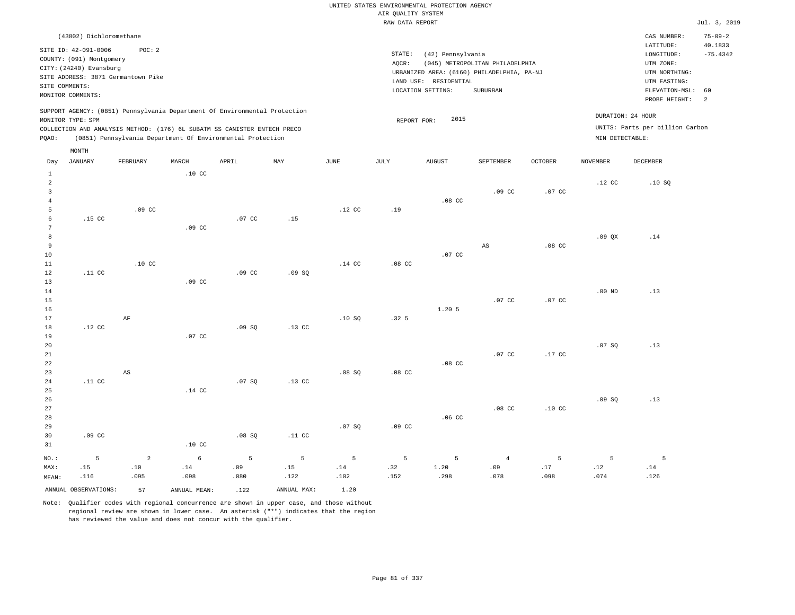#### RAW DATA REPORT JUL. 3, 2019 UNITED STATES ENVIRONMENTAL PROTECTION AGENCY AIR QUALITY SYSTEM

.08 CC

|                | (43802) Dichloromethane  |                                    |                  |                                                                          |                                                                            |      |        |                                            |                                 |                  |                   | CAS NUMBER:                     | $75 - 09 - 2$ |
|----------------|--------------------------|------------------------------------|------------------|--------------------------------------------------------------------------|----------------------------------------------------------------------------|------|--------|--------------------------------------------|---------------------------------|------------------|-------------------|---------------------------------|---------------|
|                | SITE ID: 42-091-0006     | POC:2                              |                  |                                                                          |                                                                            |      |        |                                            |                                 |                  |                   | LATITUDE:                       | 40.1833       |
|                |                          |                                    |                  |                                                                          |                                                                            |      | STATE: | (42) Pennsylvania                          |                                 |                  |                   | LONGITUDE:                      | $-75.4342$    |
|                | COUNTY: (091) Montgomery |                                    |                  |                                                                          |                                                                            |      | AQCR:  |                                            | (045) METROPOLITAN PHILADELPHIA |                  |                   | UTM ZONE:                       |               |
|                | CITY: (24240) Evansburg  |                                    |                  |                                                                          |                                                                            |      |        | URBANIZED AREA: (6160) PHILADELPHIA, PA-NJ |                                 |                  |                   | UTM NORTHING:                   |               |
|                |                          | SITE ADDRESS: 3871 Germantown Pike |                  |                                                                          |                                                                            |      |        | LAND USE:<br>RESIDENTIAL                   |                                 |                  |                   | UTM EASTING:                    |               |
| SITE COMMENTS: |                          |                                    |                  |                                                                          |                                                                            |      |        | LOCATION SETTING:                          | SUBURBAN                        |                  |                   | ELEVATION-MSL: 60               |               |
|                | MONITOR COMMENTS:        |                                    |                  |                                                                          |                                                                            |      |        |                                            |                                 |                  |                   | PROBE HEIGHT:                   | 2             |
|                | MONITOR TYPE: SPM        |                                    |                  | COLLECTION AND ANALYSIS METHOD: (176) 6L SUBATM SS CANISTER ENTECH PRECO | SUPPORT AGENCY: (0851) Pennsylvania Department Of Environmental Protection |      |        | 2015<br>REPORT FOR:                        |                                 |                  | DURATION: 24 HOUR | UNITS: Parts per billion Carbon |               |
| POAO:          |                          |                                    |                  | (0851) Pennsylvania Department Of Environmental Protection               |                                                                            |      |        |                                            |                                 |                  | MIN DETECTABLE:   |                                 |               |
|                | MONTH                    |                                    |                  |                                                                          |                                                                            |      |        |                                            |                                 |                  |                   |                                 |               |
| Day            | JANUARY                  | FEBRUARY                           | MARCH            | APRIL                                                                    | MAY                                                                        | JUNE | JULY   | AUGUST                                     | SEPTEMBER                       | <b>OCTOBER</b>   | NOVEMBER          | DECEMBER                        |               |
|                |                          |                                    | .10 <sub>c</sub> |                                                                          |                                                                            |      |        |                                            |                                 |                  |                   |                                 |               |
|                |                          |                                    |                  |                                                                          |                                                                            |      |        |                                            |                                 |                  | .12 <sub>c</sub>  | .10S                            |               |
|                |                          |                                    |                  |                                                                          |                                                                            |      |        |                                            | .09 <sub>c</sub>                | .07 <sub>c</sub> |                   |                                 |               |

| $NO.$ :    | 5                | $\overline{2}$         | $\epsilon$       | 5                | 5                | 5        | 5                | 5                | $\overline{4}$ | 5        | 5        | 5   |
|------------|------------------|------------------------|------------------|------------------|------------------|----------|------------------|------------------|----------------|----------|----------|-----|
| 31         |                  |                        | .10 <sub>C</sub> |                  |                  |          |                  |                  |                |          |          |     |
| 30         | .09 <sub>c</sub> |                        |                  | .08 SQ           | $.11$ CC         |          |                  |                  |                |          |          |     |
| 29         |                  |                        |                  |                  |                  | .07 SQ   | .09 <sub>c</sub> |                  |                |          |          |     |
| 28         |                  |                        |                  |                  |                  |          |                  | .06 <sub>C</sub> |                |          |          |     |
| 27         |                  |                        |                  |                  |                  |          |                  |                  | $.08$ CC       | $.10$ CC |          |     |
| $26\,$     |                  |                        |                  |                  |                  |          |                  |                  |                |          | .09 SQ   | .13 |
| 25         |                  |                        | $.14$ CC         |                  |                  |          |                  |                  |                |          |          |     |
| 24         | .11 $cc$         |                        |                  | .07 SQ           | $.13$ CC         |          |                  |                  |                |          |          |     |
| $23\,$     |                  | $\mathbb{A}\mathbb{S}$ |                  |                  |                  | .08SQ    | $.08$ CC         |                  |                |          |          |     |
| 22         |                  |                        |                  |                  |                  |          |                  | $.08$ CC         |                |          |          |     |
| $21\,$     |                  |                        |                  |                  |                  |          |                  |                  | $.07$ CC       | $.17$ CC |          |     |
| 20         |                  |                        |                  |                  |                  |          |                  |                  |                |          | .07 SQ   | .13 |
| 19         |                  |                        | $.07$ CC         |                  |                  |          |                  |                  |                |          |          |     |
| 18         | $.12$ CC         |                        |                  | .09SQ            | .13 <sub>C</sub> |          |                  |                  |                |          |          |     |
| 17         |                  | $\rm AF$               |                  |                  |                  | .10S     | .32 <sub>5</sub> |                  |                |          |          |     |
| $16$       |                  |                        |                  |                  |                  |          |                  | 1.20.5           |                |          |          |     |
| $15\,$     |                  |                        |                  |                  |                  |          |                  |                  | $.07$ CC       | .07 $CC$ |          |     |
| $14\,$     |                  |                        |                  |                  |                  |          |                  |                  |                |          | .00 $ND$ | .13 |
| 13         |                  |                        | .09 <sub>c</sub> |                  |                  |          |                  |                  |                |          |          |     |
| 12         | .11 $cc$         | .10 <sub>C</sub>       |                  | .09 <sub>c</sub> | .09 SQ           |          | $.08$ CC         |                  |                |          |          |     |
| $10$<br>11 |                  |                        |                  |                  |                  | $.14$ CC |                  | $.07$ CC         |                |          |          |     |
| 9          |                  |                        |                  |                  |                  |          |                  |                  | AS             | $.08$ CC |          |     |
| 8          |                  |                        |                  |                  |                  |          |                  |                  |                |          | .09QX    | .14 |
| 7          |                  |                        | .09 <sub>c</sub> |                  |                  |          |                  |                  |                |          |          |     |
| 6          | .15 $CC$         |                        |                  | $.07$ CC         | .15              |          |                  |                  |                |          |          |     |
| 5          |                  | .09 <sub>c</sub>       |                  |                  |                  | .12 $CC$ | .19              |                  |                |          |          |     |
|            |                  |                        |                  |                  |                  |          |                  |                  |                |          |          |     |

 .14 .102

ANNUAL OBSERVATIONS: 57 ANNUAL MEAN: .122 ANNUAL MAX: 1.20

 .14 .098

4

MAX: MEAN:

 .15 .116  .10 .095

Note: Qualifier codes with regional concurrence are shown in upper case, and those without regional review are shown in lower case. An asterisk ("\*") indicates that the region has reviewed the value and does not concur with the qualifier.

 .09 .080  .15 .122  .32 .152  1.20 .298  .09 .078  .17 .098  .12 .074  .14 .126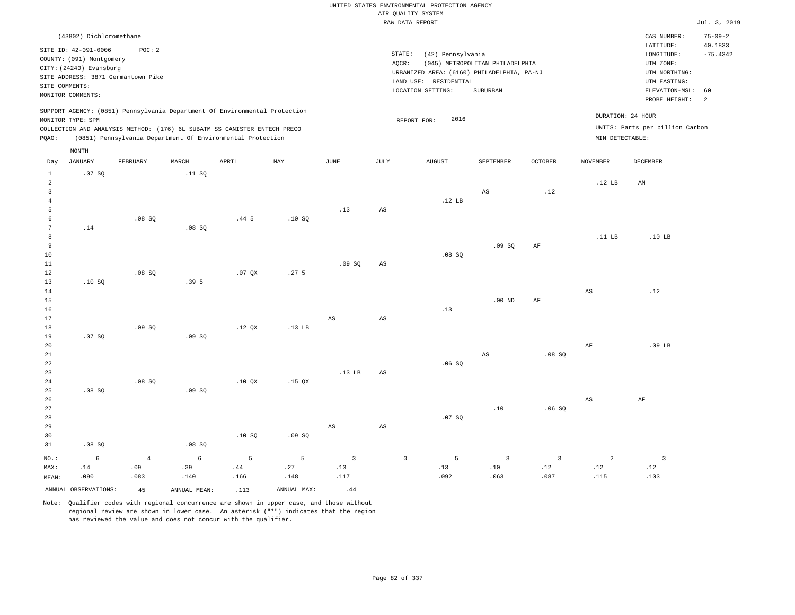|                                                                         |                                                                                                                    |                                              |                                         |                                                                                                                                                                                                                      |                            |                               |                        | UNITED STATES ENVIRONMENTAL PROTECTION AGENCY<br>AIR QUALITY SYSTEM                                           |                                                    |                               |                               |                                                                            |                          |
|-------------------------------------------------------------------------|--------------------------------------------------------------------------------------------------------------------|----------------------------------------------|-----------------------------------------|----------------------------------------------------------------------------------------------------------------------------------------------------------------------------------------------------------------------|----------------------------|-------------------------------|------------------------|---------------------------------------------------------------------------------------------------------------|----------------------------------------------------|-------------------------------|-------------------------------|----------------------------------------------------------------------------|--------------------------|
|                                                                         |                                                                                                                    |                                              |                                         |                                                                                                                                                                                                                      |                            |                               |                        | RAW DATA REPORT                                                                                               |                                                    |                               |                               |                                                                            | Jul. 3, 2019             |
|                                                                         | (43802) Dichloromethane                                                                                            |                                              |                                         |                                                                                                                                                                                                                      |                            |                               |                        |                                                                                                               |                                                    |                               |                               | CAS NUMBER:<br>LATITUDE:                                                   | $75 - 09 - 2$<br>40.1833 |
|                                                                         | SITE ID: 42-091-0006<br>COUNTY: (091) Montgomery<br>CITY: (24240) Evansburg<br>SITE COMMENTS:<br>MONITOR COMMENTS: | POC: 2<br>SITE ADDRESS: 3871 Germantown Pike |                                         |                                                                                                                                                                                                                      |                            |                               | STATE:<br>AOCR:        | (42) Pennsylvania<br>URBANIZED AREA: (6160) PHILADELPHIA, PA-NJ<br>LAND USE: RESIDENTIAL<br>LOCATION SETTING: | (045) METROPOLITAN PHILADELPHIA<br><b>SUBURBAN</b> |                               |                               | LONGITUDE:<br>UTM ZONE:<br>UTM NORTHING:<br>UTM EASTING:<br>ELEVATION-MSL: | $-75.4342$<br>60         |
|                                                                         |                                                                                                                    |                                              |                                         |                                                                                                                                                                                                                      |                            |                               |                        |                                                                                                               |                                                    |                               |                               | PROBE HEIGHT:                                                              | 2                        |
| PQAO:                                                                   | MONITOR TYPE: SPM                                                                                                  |                                              |                                         | SUPPORT AGENCY: (0851) Pennsylvania Department Of Environmental Protection<br>COLLECTION AND ANALYSIS METHOD: (176) 6L SUBATM SS CANISTER ENTECH PRECO<br>(0851) Pennsylvania Department Of Environmental Protection |                            |                               |                        | 2016<br>REPORT FOR:                                                                                           |                                                    |                               | MIN DETECTABLE:               | DURATION: 24 HOUR<br>UNITS: Parts per billion Carbon                       |                          |
| Day                                                                     | MONTH<br>JANUARY                                                                                                   | FEBRUARY                                     | MARCH                                   | APRIL                                                                                                                                                                                                                | MAY                        | <b>JUNE</b>                   | $\mathtt{JULY}$        | ${\tt AUGUST}$                                                                                                | SEPTEMBER                                          | <b>OCTOBER</b>                | <b>NOVEMBER</b>               | <b>DECEMBER</b>                                                            |                          |
| $\mathbf{1}$<br>$\overline{a}$<br>$\overline{\mathbf{3}}$<br>$\sqrt{4}$ | .07 SQ                                                                                                             |                                              | .11 SQ                                  |                                                                                                                                                                                                                      |                            |                               |                        | .12 LB                                                                                                        | $\mathbb{A}\mathbb{S}$                             | .12                           | .12 <sub>LB</sub>             | AM                                                                         |                          |
| 5<br>6<br>$7\phantom{.0}$                                               | .14                                                                                                                | $.08$ SO                                     | .08 SQ                                  | .445                                                                                                                                                                                                                 | .10S                       | .13                           | $_{\rm AS}$            |                                                                                                               |                                                    |                               |                               |                                                                            |                          |
| 8<br>9<br>$10$<br>$1\,1$                                                |                                                                                                                    |                                              |                                         |                                                                                                                                                                                                                      |                            | .09SQ                         | $\mathbb{A}\mathbb{S}$ | .08SQ                                                                                                         | .09SQ                                              | AF                            | .11 $LB$                      | .10 <sub>LB</sub>                                                          |                          |
| 12<br>13<br>14<br>15                                                    | .10S                                                                                                               | .08 SQ                                       | .39 <sub>5</sub>                        | .07QX                                                                                                                                                                                                                | .27 <sub>5</sub>           |                               |                        |                                                                                                               | $.00$ ND                                           | $\rm{AF}$                     | $\mathbb{A}\mathbb{S}$        | .12                                                                        |                          |
| 16<br>17<br>18<br>19                                                    | .07 SQ                                                                                                             | .09S                                         | .09SQ                                   | .12 <sub>QX</sub>                                                                                                                                                                                                    | .13 <sub>LB</sub>          | $\mathbb{A}\mathbb{S}$        | AS                     | .13                                                                                                           |                                                    |                               |                               |                                                                            |                          |
| 20<br>21<br>22<br>23                                                    |                                                                                                                    |                                              |                                         |                                                                                                                                                                                                                      |                            | .13 <sub>LB</sub>             | $\mathbb{A}\mathbb{S}$ | .06SQ                                                                                                         | AS                                                 | .08SQ                         | AF                            | $.09$ LB                                                                   |                          |
| 24<br>25<br>26<br>27                                                    | .08SQ                                                                                                              | .08 SQ                                       | .09S                                    | .10 QX                                                                                                                                                                                                               | $.15$ QX                   |                               |                        |                                                                                                               | .10                                                | .06SQ                         | $\mathbb{A}\mathbb{S}$        | $\rm{AF}$                                                                  |                          |
| 28<br>29<br>30                                                          |                                                                                                                    |                                              |                                         | .10SQ                                                                                                                                                                                                                | .09SQ                      | $\mathbb{A}\mathbb{S}$        | AS                     | .07 SQ                                                                                                        |                                                    |                               |                               |                                                                            |                          |
| 31<br>$NO.$ :<br>MAX:<br>MEAN:                                          | .08SQ<br>$\epsilon$<br>.14<br>.090                                                                                 | $\overline{4}$<br>.09<br>.083                | .08SQ<br>$6\overline{6}$<br>.39<br>.140 | 5<br>.44<br>.166                                                                                                                                                                                                     | $\mathsf S$<br>.27<br>.148 | $\overline{3}$<br>.13<br>.117 |                        | 5<br>$\mathbb O$<br>.13<br>.092                                                                               | $\overline{\mathbf{3}}$<br>.10<br>.063             | $\overline{3}$<br>.12<br>.087 | $\overline{a}$<br>.12<br>.115 | $\overline{\mathbf{3}}$<br>.12<br>.103                                     |                          |
|                                                                         | ANNUAL OBSERVATIONS:                                                                                               | 45                                           | ANNUAL, MEAN:                           | .113                                                                                                                                                                                                                 | ANNUAL MAX:                | .44                           |                        |                                                                                                               |                                                    |                               |                               |                                                                            |                          |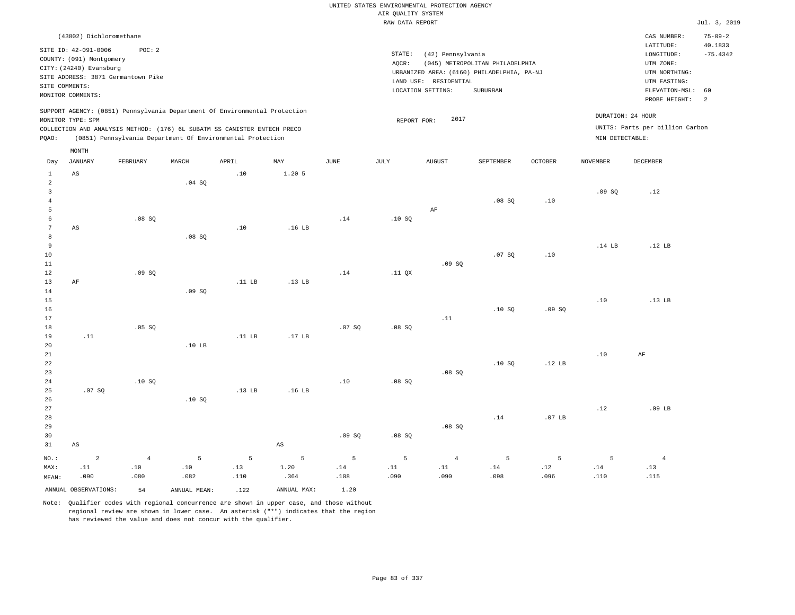|                 |                                                  |                                    |                   |                                                                            |                        |             |                    | UNITED STATES ENVIRONMENTAL PROTECTION AGENCY |                                            |                   |                   |                                 |                          |
|-----------------|--------------------------------------------------|------------------------------------|-------------------|----------------------------------------------------------------------------|------------------------|-------------|--------------------|-----------------------------------------------|--------------------------------------------|-------------------|-------------------|---------------------------------|--------------------------|
|                 |                                                  |                                    |                   |                                                                            |                        |             | AIR QUALITY SYSTEM |                                               |                                            |                   |                   |                                 |                          |
|                 |                                                  |                                    |                   |                                                                            |                        |             | RAW DATA REPORT    |                                               |                                            |                   |                   |                                 | Jul. 3, 2019             |
|                 | (43802) Dichloromethane                          |                                    |                   |                                                                            |                        |             |                    |                                               |                                            |                   |                   | CAS NUMBER:<br>LATITUDE:        | $75 - 09 - 2$<br>40.1833 |
|                 | SITE ID: 42-091-0006<br>COUNTY: (091) Montgomery | POC: 2                             |                   |                                                                            |                        |             | STATE:             | (42) Pennsylvania                             |                                            |                   |                   | LONGITUDE:                      | $-75.4342$               |
|                 | CITY: (24240) Evansburg                          |                                    |                   |                                                                            |                        |             | AQCR:              |                                               | (045) METROPOLITAN PHILADELPHIA            |                   |                   | UTM ZONE:                       |                          |
|                 |                                                  | SITE ADDRESS: 3871 Germantown Pike |                   |                                                                            |                        |             |                    |                                               | URBANIZED AREA: (6160) PHILADELPHIA, PA-NJ |                   |                   | UTM NORTHING:                   |                          |
| SITE COMMENTS:  |                                                  |                                    |                   |                                                                            |                        |             |                    | LAND USE: RESIDENTIAL<br>LOCATION SETTING:    | SUBURBAN                                   |                   |                   | UTM EASTING:<br>ELEVATION-MSL:  | 60                       |
|                 | MONITOR COMMENTS:                                |                                    |                   |                                                                            |                        |             |                    |                                               |                                            |                   |                   | PROBE HEIGHT:                   | 2                        |
|                 |                                                  |                                    |                   | SUPPORT AGENCY: (0851) Pennsylvania Department Of Environmental Protection |                        |             |                    | 2017                                          |                                            |                   |                   | DURATION: 24 HOUR               |                          |
|                 | MONITOR TYPE: SPM                                |                                    |                   | COLLECTION AND ANALYSIS METHOD: (176) 6L SUBATM SS CANISTER ENTECH PRECO   |                        |             | REPORT FOR:        |                                               |                                            |                   |                   | UNITS: Parts per billion Carbon |                          |
| PQAO:           |                                                  |                                    |                   | (0851) Pennsylvania Department Of Environmental Protection                 |                        |             |                    |                                               |                                            |                   | MIN DETECTABLE:   |                                 |                          |
| Day             | MONTH<br><b>JANUARY</b>                          | FEBRUARY                           | MARCH             | APRIL                                                                      | MAY                    | <b>JUNE</b> | <b>JULY</b>        | <b>AUGUST</b>                                 | SEPTEMBER                                  | <b>OCTOBER</b>    | <b>NOVEMBER</b>   | DECEMBER                        |                          |
| $1\,$           | $\mathbb{A}\mathbb{S}$                           |                                    |                   | .10                                                                        | $1.20$ 5               |             |                    |                                               |                                            |                   |                   |                                 |                          |
| $\overline{a}$  |                                                  |                                    | .04 SQ            |                                                                            |                        |             |                    |                                               |                                            |                   |                   |                                 |                          |
| $\overline{3}$  |                                                  |                                    |                   |                                                                            |                        |             |                    |                                               |                                            |                   | .09SQ             | .12                             |                          |
| $\overline{4}$  |                                                  |                                    |                   |                                                                            |                        |             |                    |                                               | .08SQ                                      | .10               |                   |                                 |                          |
| 5               |                                                  |                                    |                   |                                                                            |                        |             |                    | AF                                            |                                            |                   |                   |                                 |                          |
| 6               |                                                  | .08SQ                              |                   |                                                                            |                        | .14         | .10SQ              |                                               |                                            |                   |                   |                                 |                          |
| 7<br>$^{\rm 8}$ | AS                                               |                                    |                   | .10                                                                        | .16 <sub>LB</sub>      |             |                    |                                               |                                            |                   |                   |                                 |                          |
| $\overline{9}$  |                                                  |                                    | .08SQ             |                                                                            |                        |             |                    |                                               |                                            |                   | .14 <sub>LB</sub> | .12 <sub>B</sub>                |                          |
| $10$            |                                                  |                                    |                   |                                                                            |                        |             |                    |                                               | .07 SQ                                     | $.10$             |                   |                                 |                          |
| 11              |                                                  |                                    |                   |                                                                            |                        |             |                    | .09S                                          |                                            |                   |                   |                                 |                          |
| 12              |                                                  | .09SQ                              |                   |                                                                            |                        | .14         | .11 QX             |                                               |                                            |                   |                   |                                 |                          |
| 13              | AF                                               |                                    |                   | $.11$ LB                                                                   | .13 <sub>LB</sub>      |             |                    |                                               |                                            |                   |                   |                                 |                          |
| 14              |                                                  |                                    | .09S              |                                                                            |                        |             |                    |                                               |                                            |                   |                   |                                 |                          |
| 15              |                                                  |                                    |                   |                                                                            |                        |             |                    |                                               |                                            |                   | .10               | .13 LB                          |                          |
| 16              |                                                  |                                    |                   |                                                                            |                        |             |                    |                                               | .10SQ                                      | .09SQ             |                   |                                 |                          |
| 17<br>18        |                                                  | .05 SQ                             |                   |                                                                            |                        | .07SQ       | .08S               | .11                                           |                                            |                   |                   |                                 |                          |
| 19              | .11                                              |                                    |                   | $.11$ LB                                                                   | .17 LB                 |             |                    |                                               |                                            |                   |                   |                                 |                          |
| 20              |                                                  |                                    | .10 <sub>LB</sub> |                                                                            |                        |             |                    |                                               |                                            |                   |                   |                                 |                          |
| 21              |                                                  |                                    |                   |                                                                            |                        |             |                    |                                               |                                            |                   | .10               | AF                              |                          |
| 22              |                                                  |                                    |                   |                                                                            |                        |             |                    |                                               | .10S                                       | .12 <sub>LB</sub> |                   |                                 |                          |
| 23              |                                                  |                                    |                   |                                                                            |                        |             |                    | .08SQ                                         |                                            |                   |                   |                                 |                          |
| 24              |                                                  | .10S                               |                   |                                                                            |                        | .10         | .08S               |                                               |                                            |                   |                   |                                 |                          |
| 25              | .07SQ                                            |                                    |                   | .13 <sub>B</sub>                                                           | .16 <sub>LB</sub>      |             |                    |                                               |                                            |                   |                   |                                 |                          |
| 26<br>27        |                                                  |                                    | .10S              |                                                                            |                        |             |                    |                                               |                                            |                   | .12               | $.09$ LB                        |                          |
| 28              |                                                  |                                    |                   |                                                                            |                        |             |                    |                                               | .14                                        | .07 <sub>LB</sub> |                   |                                 |                          |
| 29              |                                                  |                                    |                   |                                                                            |                        |             |                    | .08SQ                                         |                                            |                   |                   |                                 |                          |
| 30              |                                                  |                                    |                   |                                                                            |                        | .09SQ       | .08 SQ             |                                               |                                            |                   |                   |                                 |                          |
| 31              | AS                                               |                                    |                   |                                                                            | $\mathbb{A}\mathbb{S}$ |             |                    |                                               |                                            |                   |                   |                                 |                          |
| NO.:            | $\overline{a}$                                   | $\overline{4}$                     | 5                 | 5                                                                          | 5                      | 5           | 5                  | $\overline{4}$                                | 5                                          | 5                 | 5                 | $\overline{4}$                  |                          |
| MAX:            | .11                                              | .10                                | .10               | .13                                                                        | 1.20                   | .14         | .11                | .11                                           | .14                                        | .12               | .14               | .13                             |                          |
| MEAN:           | .090                                             | .080                               | .082              | .110                                                                       | .364                   | .108        | .090               | .090                                          | .098                                       | .096              | .110              | .115                            |                          |
|                 | ANNUAL OBSERVATIONS:                             | 54                                 | ANNUAL, MEAN:     | .122                                                                       | ANNUAL MAX:            | 1.20        |                    |                                               |                                            |                   |                   |                                 |                          |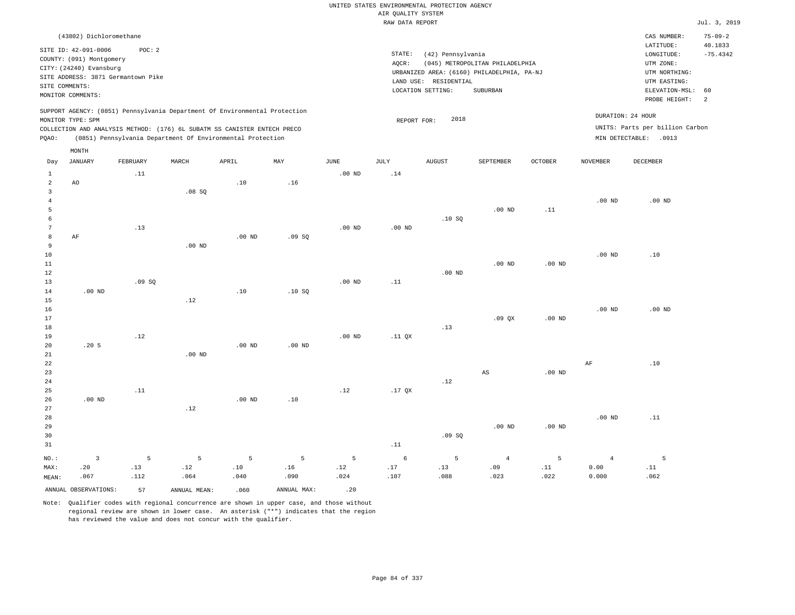|                                  |                                                                                               |          |                                                            |          |             |                   |                    | UNITED STATES ENVIRONMENTAL PROTECTION AGENCY |                                                                               |                |                   |                                                    |                                        |
|----------------------------------|-----------------------------------------------------------------------------------------------|----------|------------------------------------------------------------|----------|-------------|-------------------|--------------------|-----------------------------------------------|-------------------------------------------------------------------------------|----------------|-------------------|----------------------------------------------------|----------------------------------------|
|                                  |                                                                                               |          |                                                            |          |             |                   | AIR QUALITY SYSTEM |                                               |                                                                               |                |                   |                                                    |                                        |
|                                  |                                                                                               |          |                                                            |          |             |                   | RAW DATA REPORT    |                                               |                                                                               |                |                   |                                                    | Jul. 3, 2019                           |
|                                  | (43802) Dichloromethane<br>SITE ID: 42-091-0006                                               | POC: 2   |                                                            |          |             |                   | STATE:             | (42) Pennsylvania                             |                                                                               |                |                   | CAS NUMBER:<br>LATITUDE:<br>$\texttt{LONGITUDE}$ : | $75 - 09 - 2$<br>40.1833<br>$-75.4342$ |
|                                  | COUNTY: (091) Montgomery<br>CITY: (24240) Evansburg<br>SITE ADDRESS: 3871 Germantown Pike     |          |                                                            |          |             |                   | AQCR:              | LAND USE: RESIDENTIAL                         | (045) METROPOLITAN PHILADELPHIA<br>URBANIZED AREA: (6160) PHILADELPHIA, PA-NJ |                |                   | UTM ZONE:<br>UTM NORTHING:<br>UTM EASTING:         |                                        |
|                                  | SITE COMMENTS:<br>MONITOR COMMENTS:                                                           |          |                                                            |          |             |                   |                    | LOCATION SETTING:                             | <b>SUBURBAN</b>                                                               |                |                   | ELEVATION-MSL:                                     | 60                                     |
|                                  | SUPPORT AGENCY: (0851) Pennsylvania Department Of Environmental Protection                    |          |                                                            |          |             |                   |                    |                                               |                                                                               |                |                   | PROBE HEIGHT:<br>DURATION: 24 HOUR                 | 2                                      |
|                                  | MONITOR TYPE: SPM<br>COLLECTION AND ANALYSIS METHOD: (176) 6L SUBATM SS CANISTER ENTECH PRECO |          |                                                            |          |             |                   | REPORT FOR:        | 2018                                          |                                                                               |                |                   | UNITS: Parts per billion Carbon                    |                                        |
| PQAO:                            |                                                                                               |          | (0851) Pennsylvania Department Of Environmental Protection |          |             |                   |                    |                                               |                                                                               |                |                   | MIN DETECTABLE: . 0913                             |                                        |
|                                  | MONTH                                                                                         |          |                                                            |          |             |                   |                    |                                               |                                                                               |                |                   |                                                    |                                        |
| Day                              | <b>JANUARY</b>                                                                                | FEBRUARY | MARCH                                                      | APRIL    | MAY         | <b>JUNE</b>       | JULY               | <b>AUGUST</b>                                 | SEPTEMBER                                                                     | <b>OCTOBER</b> | <b>NOVEMBER</b>   | DECEMBER                                           |                                        |
| $\mathbf{1}$<br>$\overline{a}$   | AO                                                                                            | .11      |                                                            | .10      | .16         | $.00$ ND          | .14                |                                               |                                                                               |                |                   |                                                    |                                        |
| $\overline{3}$<br>$\overline{4}$ |                                                                                               |          | .08SQ                                                      |          |             |                   |                    |                                               |                                                                               |                | $.00$ ND          | $.00$ ND                                           |                                        |
| 5                                |                                                                                               |          |                                                            |          |             |                   |                    |                                               | $.00$ ND                                                                      | .11            |                   |                                                    |                                        |
| 6<br>$7\phantom{.0}$             |                                                                                               | .13      |                                                            |          |             | .00 <sub>ND</sub> | $.00$ ND           | .10S                                          |                                                                               |                |                   |                                                    |                                        |
| 8                                | $\rm{AF}$                                                                                     |          |                                                            | $.00$ ND | .09S        |                   |                    |                                               |                                                                               |                |                   |                                                    |                                        |
| 9                                |                                                                                               |          | $.00$ ND                                                   |          |             |                   |                    |                                               |                                                                               |                |                   |                                                    |                                        |
| 10                               |                                                                                               |          |                                                            |          |             |                   |                    |                                               |                                                                               |                | .00 <sub>ND</sub> | .10                                                |                                        |
| 11<br>12                         |                                                                                               |          |                                                            |          |             |                   |                    | $.00$ ND                                      | $.00$ ND                                                                      | $.00$ ND       |                   |                                                    |                                        |
| 13                               |                                                                                               | .09SQ    |                                                            |          |             | $.00$ ND          | .11                |                                               |                                                                               |                |                   |                                                    |                                        |
| 14                               | $.00$ ND                                                                                      |          |                                                            | .10      | .10SQ       |                   |                    |                                               |                                                                               |                |                   |                                                    |                                        |
| 15                               |                                                                                               |          | .12                                                        |          |             |                   |                    |                                               |                                                                               |                |                   |                                                    |                                        |
| 16                               |                                                                                               |          |                                                            |          |             |                   |                    |                                               |                                                                               |                | $.00$ ND          | $.00$ ND                                           |                                        |
| 17<br>18                         |                                                                                               |          |                                                            |          |             |                   |                    | .13                                           | .09 <sub>OX</sub>                                                             | $.00$ ND       |                   |                                                    |                                        |
| 19                               |                                                                                               | .12      |                                                            |          |             | $.00$ ND          | .11 <sub>OX</sub>  |                                               |                                                                               |                |                   |                                                    |                                        |
| 20                               | .205                                                                                          |          |                                                            | $.00$ ND | $.00$ ND    |                   |                    |                                               |                                                                               |                |                   |                                                    |                                        |
| 21                               |                                                                                               |          | .00 <sub>ND</sub>                                          |          |             |                   |                    |                                               |                                                                               |                |                   |                                                    |                                        |
| 22<br>23                         |                                                                                               |          |                                                            |          |             |                   |                    |                                               | $\mathbb{A}\mathbb{S}$                                                        | $.00$ ND       | $\rm{AF}$         | .10                                                |                                        |
| 24                               |                                                                                               |          |                                                            |          |             |                   |                    | .12                                           |                                                                               |                |                   |                                                    |                                        |
| 25                               |                                                                                               | .11      |                                                            |          |             | .12               | $.17$ QX           |                                               |                                                                               |                |                   |                                                    |                                        |
| 26                               | .00 <sub>ND</sub>                                                                             |          |                                                            | $.00$ ND | .10         |                   |                    |                                               |                                                                               |                |                   |                                                    |                                        |
| 27<br>28                         |                                                                                               |          | .12                                                        |          |             |                   |                    |                                               |                                                                               |                | $.00$ ND          | .11                                                |                                        |
| 29                               |                                                                                               |          |                                                            |          |             |                   |                    |                                               | $.00$ ND                                                                      | $.00$ ND       |                   |                                                    |                                        |
| 30                               |                                                                                               |          |                                                            |          |             |                   |                    | .09SQ                                         |                                                                               |                |                   |                                                    |                                        |
| 31                               |                                                                                               |          |                                                            |          |             |                   | .11                |                                               |                                                                               |                |                   |                                                    |                                        |
| NO.:                             | $\overline{3}$                                                                                | 5        | 5                                                          | 5        | 5           | 5                 | 6                  | 5                                             | $\overline{4}$                                                                | 5              | $\overline{4}$    | 5                                                  |                                        |
| MAX:                             | .20                                                                                           | .13      | .12                                                        | .10      | .16         | .12               | .17                | .13                                           | .09                                                                           | .11            | 0.00              | .11                                                |                                        |
| MEAN:                            | .067                                                                                          | .112     | .064                                                       | .040     | .090        | .024              | .107               | .088                                          | .023                                                                          | .022           | 0.000             | .062                                               |                                        |
|                                  | ANNUAL OBSERVATIONS:                                                                          | 57       | ANNUAL MEAN:                                               | .060     | ANNUAL MAX: | .20               |                    |                                               |                                                                               |                |                   |                                                    |                                        |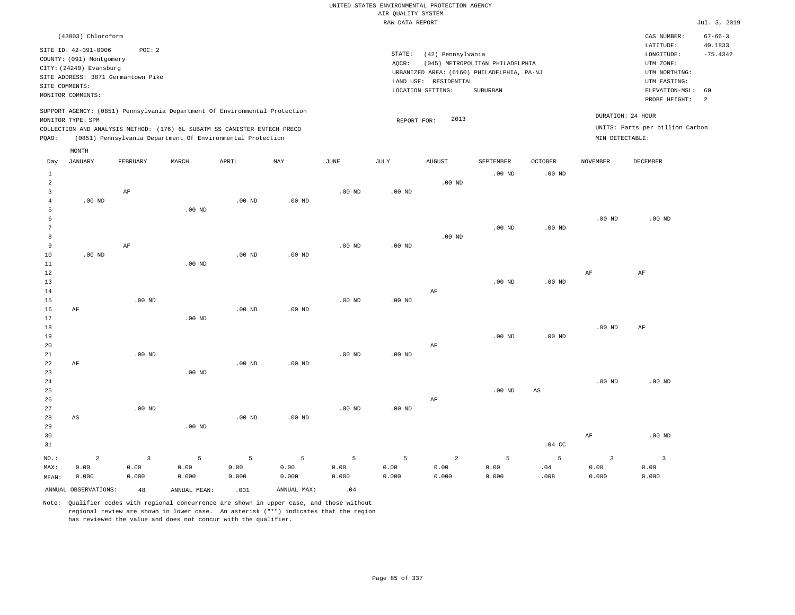|  | UNITED STATES ENVIRONMENTAL PROTECTION AGENCY |  |  |
|--|-----------------------------------------------|--|--|
|  | AIR OUALITY SYSTEM                            |  |  |
|  | RAW DATA REPORT                               |  |  |

Jul. 3, 2019

| (43803) Chloroform                                                              |                                                                          | $67 - 66 - 3$<br>CAS NUMBER:    |
|---------------------------------------------------------------------------------|--------------------------------------------------------------------------|---------------------------------|
| SITE ID: 42-091-0006<br>POC:2                                                   |                                                                          | 40.1833<br>LATITUDE:            |
| COUNTY: (091) Montgomery                                                        | STATE:<br>(42) Pennsylvania                                              | $-75.4342$<br>LONGITUDE:        |
| CITY: (24240) Evansburg                                                         | AOCR:<br>(045) METROPOLITAN PHILADELPHIA                                 | UTM ZONE:                       |
| SITE ADDRESS: 3871 Germantown Pike                                              | URBANIZED AREA: (6160) PHILADELPHIA, PA-NJ                               | UTM NORTHING:                   |
| SITE COMMENTS:                                                                  | LAND USE: RESIDENTIAL                                                    | UTM EASTING:                    |
| MONITOR COMMENTS:                                                               | LOCATION SETTING:<br>SUBURBAN                                            | ELEVATION-MSL: 60               |
|                                                                                 |                                                                          | PROBE HEIGHT:<br>-2             |
| SUPPORT AGENCY: (0851) Pennsylvania Department Of Environmental Protection      | DURATION: 24 HOUR                                                        |                                 |
| MONITOR TYPE: SPM                                                               | 2013<br>REPORT FOR:                                                      |                                 |
| COLLECTION AND ANALYSIS METHOD: (176) 6L SUBATM SS CANISTER ENTECH PRECO        |                                                                          | UNITS: Parts per billion Carbon |
| (0851) Pennsylvania Department Of Environmental Protection<br>POAO:             | MIN DETECTABLE:                                                          |                                 |
| MONTH                                                                           |                                                                          |                                 |
| MARCH<br>ADD TT.<br>MAV<br>TITME.<br>.TITT.V<br>Dav JANIJARY<br><b>FFRPHAPV</b> | <b>ATICITST</b><br><b>SFDTFMRFP</b><br><b>OCTORER</b><br><b>NOVEMBER</b> | <b>DECEMBER</b>                 |

| Day            | JANUARY              | FEBRUARY                | MARCH        | APRIL             | MAY         | $_{\rm JUNE}$  | JULY              | AUGUST         | SEPTEMBER | OCTOBER                | NOVEMBER                | DECEMBER          |
|----------------|----------------------|-------------------------|--------------|-------------------|-------------|----------------|-------------------|----------------|-----------|------------------------|-------------------------|-------------------|
| $\mathbf{1}$   |                      |                         |              |                   |             |                |                   |                | $.00$ ND  | .00 $ND$               |                         |                   |
| $\overline{a}$ |                      |                         |              |                   |             |                |                   | $.00$ ND       |           |                        |                         |                   |
| 3              |                      | $\rm{AF}$               |              |                   |             | $.00$ ND       | .00 $ND$          |                |           |                        |                         |                   |
| $\overline{4}$ | $.00$ ND             |                         |              | .00 <sub>ND</sub> | $.00$ ND    |                |                   |                |           |                        |                         |                   |
| 5              |                      |                         | $.00$ ND     |                   |             |                |                   |                |           |                        |                         |                   |
| 6              |                      |                         |              |                   |             |                |                   |                |           |                        | $.00$ ND                | .00 <sub>ND</sub> |
| 7              |                      |                         |              |                   |             |                |                   |                | $.00$ ND  | $.00$ ND               |                         |                   |
| 8              |                      |                         |              |                   |             |                |                   | $.00$ ND       |           |                        |                         |                   |
| 9              |                      | $\rm AF$                |              |                   |             | $.00$ ND       | $.00$ ND          |                |           |                        |                         |                   |
| 10             | $.00~\mathrm{ND}$    |                         |              | .00 <sub>ND</sub> | $.00$ ND    |                |                   |                |           |                        |                         |                   |
| 11             |                      |                         | $.00$ ND     |                   |             |                |                   |                |           |                        |                         |                   |
| 12             |                      |                         |              |                   |             |                |                   |                |           |                        | $\rm{AF}$               | $\rm{AF}$         |
| $13$           |                      |                         |              |                   |             |                |                   |                | $.00$ ND  | .00 $ND$               |                         |                   |
| $14$           |                      |                         |              |                   |             |                |                   | $\rm AF$       |           |                        |                         |                   |
| 15             |                      | $.00$ ND                |              |                   |             | $.00$ ND       | .00 $ND$          |                |           |                        |                         |                   |
| 16             | AF                   |                         |              | .00 <sub>ND</sub> | .00 $ND$    |                |                   |                |           |                        |                         |                   |
| 17             |                      |                         | $.00$ ND     |                   |             |                |                   |                |           |                        |                         |                   |
| 18             |                      |                         |              |                   |             |                |                   |                |           |                        | .00 $ND$                | AF                |
| 19             |                      |                         |              |                   |             |                |                   |                | $.00$ ND  | $.00$ ND               |                         |                   |
| 20             |                      |                         |              |                   |             |                |                   | $\rm AF$       |           |                        |                         |                   |
| 21             |                      | $.00$ ND                |              |                   |             | $.00$ ND       | .00 <sub>ND</sub> |                |           |                        |                         |                   |
| 22             | $\rm{AF}$            |                         |              | $.00$ ND          | $.00$ ND    |                |                   |                |           |                        |                         |                   |
| 23             |                      |                         | $.00$ ND     |                   |             |                |                   |                |           |                        |                         |                   |
| 24             |                      |                         |              |                   |             |                |                   |                |           |                        | $.00$ ND                | $.00$ ND          |
| 25             |                      |                         |              |                   |             |                |                   |                | .00 $ND$  | $\mathbb{A}\mathbb{S}$ |                         |                   |
| 26             |                      |                         |              |                   |             |                |                   | $\rm AF$       |           |                        |                         |                   |
| 27             |                      | $.00$ ND                |              |                   |             | $.00$ ND       | .00 $ND$          |                |           |                        |                         |                   |
| 28             | AS                   |                         |              | $.00$ ND          | $.00$ ND    |                |                   |                |           |                        |                         |                   |
| 29             |                      |                         | $.00$ ND     |                   |             |                |                   |                |           |                        |                         |                   |
| 30             |                      |                         |              |                   |             |                |                   |                |           |                        | $\rm{AF}$               | $.00$ ND          |
| 31             |                      |                         |              |                   |             |                |                   |                |           | $.04$ CC               |                         |                   |
| $_{\rm NO.}$ : | $\overline{a}$       | $\overline{\mathbf{3}}$ | $\mathsf S$  | 5                 | 5           | $\overline{5}$ | 5                 | $\overline{a}$ | 5         | $\overline{5}$         | $\overline{\mathbf{3}}$ | $\overline{3}$    |
| MAX:           | 0.00                 | 0.00                    | 0.00         | 0.00              | 0.00        | 0.00           | 0.00              | 0.00           | 0.00      | $.04$                  | 0.00                    | 0.00              |
| MEAN:          | 0.000                | 0.000                   | 0.000        | 0.000             | 0.000       | 0.000          | 0.000             | 0.000          | 0.000     | .008                   | 0.000                   | 0.000             |
|                | ANNUAL OBSERVATIONS: | $4\,8$                  | ANNUAL MEAN: | .001              | ANNUAL MAX: | .04            |                   |                |           |                        |                         |                   |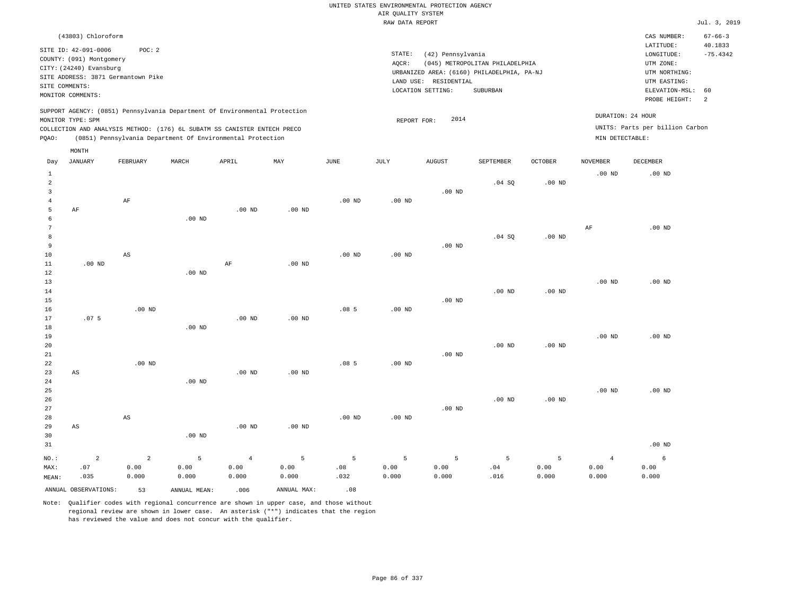|                |                          |                                                                                                                                        |                   |                   |                   |                   |                    | UNITED STATES ENVIRONMENTAL PROTECTION AGENCY |                                            |                   |                   |                                 |                       |
|----------------|--------------------------|----------------------------------------------------------------------------------------------------------------------------------------|-------------------|-------------------|-------------------|-------------------|--------------------|-----------------------------------------------|--------------------------------------------|-------------------|-------------------|---------------------------------|-----------------------|
|                |                          |                                                                                                                                        |                   |                   |                   |                   | AIR QUALITY SYSTEM |                                               |                                            |                   |                   |                                 |                       |
|                |                          |                                                                                                                                        |                   |                   |                   |                   | RAW DATA REPORT    |                                               |                                            |                   |                   |                                 | Jul. 3, 2019          |
|                | (43803) Chloroform       |                                                                                                                                        |                   |                   |                   |                   |                    |                                               |                                            |                   |                   | CAS NUMBER:                     | $67 - 66 - 3$         |
|                | SITE ID: 42-091-0006     | POC: 2                                                                                                                                 |                   |                   |                   |                   | STATE:             | (42) Pennsylvania                             |                                            |                   |                   | LATITUDE:<br>LONGITUDE:         | 40.1833<br>$-75.4342$ |
|                | COUNTY: (091) Montgomery |                                                                                                                                        |                   |                   |                   |                   | AQCR:              |                                               | (045) METROPOLITAN PHILADELPHIA            |                   |                   | UTM ZONE:                       |                       |
|                | CITY: (24240) Evansburg  |                                                                                                                                        |                   |                   |                   |                   |                    |                                               | URBANIZED AREA: (6160) PHILADELPHIA, PA-NJ |                   |                   | UTM NORTHING:                   |                       |
|                |                          | SITE ADDRESS: 3871 Germantown Pike                                                                                                     |                   |                   |                   |                   |                    | LAND USE: RESIDENTIAL                         |                                            |                   |                   | UTM EASTING:                    |                       |
| SITE COMMENTS: |                          |                                                                                                                                        |                   |                   |                   |                   |                    |                                               | SUBURBAN                                   |                   |                   |                                 | 60                    |
|                | MONITOR COMMENTS:        |                                                                                                                                        |                   |                   |                   |                   |                    | LOCATION SETTING:                             |                                            |                   |                   | ELEVATION-MSL:<br>PROBE HEIGHT: | $\overline{a}$        |
|                |                          | SUPPORT AGENCY: (0851) Pennsylvania Department Of Environmental Protection                                                             |                   |                   |                   |                   |                    |                                               |                                            |                   |                   | DURATION: 24 HOUR               |                       |
|                | MONITOR TYPE: SPM        |                                                                                                                                        |                   |                   |                   |                   | REPORT FOR:        | 2014                                          |                                            |                   |                   |                                 |                       |
|                |                          | COLLECTION AND ANALYSIS METHOD: (176) 6L SUBATM SS CANISTER ENTECH PRECO<br>(0851) Pennsylvania Department Of Environmental Protection |                   |                   |                   |                   |                    |                                               |                                            |                   | MIN DETECTABLE:   | UNITS: Parts per billion Carbon |                       |
| PQAO:          |                          |                                                                                                                                        |                   |                   |                   |                   |                    |                                               |                                            |                   |                   |                                 |                       |
| Day            | MONTH<br><b>JANUARY</b>  | FEBRUARY                                                                                                                               | MARCH             | APRIL             | MAY               | <b>JUNE</b>       | <b>JULY</b>        | <b>AUGUST</b>                                 | SEPTEMBER                                  | <b>OCTOBER</b>    | <b>NOVEMBER</b>   | DECEMBER                        |                       |
| $\mathbf{1}$   |                          |                                                                                                                                        |                   |                   |                   |                   |                    |                                               |                                            |                   | .00 <sub>ND</sub> | $.00$ ND                        |                       |
| $\overline{2}$ |                          |                                                                                                                                        |                   |                   |                   |                   |                    |                                               | .04 SQ                                     | .00 <sub>ND</sub> |                   |                                 |                       |
| 3              |                          |                                                                                                                                        |                   |                   |                   |                   |                    | $.00$ ND                                      |                                            |                   |                   |                                 |                       |
| $\overline{4}$ |                          | AF                                                                                                                                     |                   |                   |                   | .00 <sub>ND</sub> | .00 <sub>ND</sub>  |                                               |                                            |                   |                   |                                 |                       |
| 5              | AF                       |                                                                                                                                        |                   | $.00$ ND          | $.00$ ND          |                   |                    |                                               |                                            |                   |                   |                                 |                       |
| 6              |                          |                                                                                                                                        | .00 <sub>ND</sub> |                   |                   |                   |                    |                                               |                                            |                   |                   |                                 |                       |
| $\overline{7}$ |                          |                                                                                                                                        |                   |                   |                   |                   |                    |                                               |                                            |                   | AF                | $.00$ ND                        |                       |
| 8              |                          |                                                                                                                                        |                   |                   |                   |                   |                    |                                               | .04S                                       | .00 <sub>ND</sub> |                   |                                 |                       |
| 9              |                          |                                                                                                                                        |                   |                   |                   |                   |                    | $.00$ ND                                      |                                            |                   |                   |                                 |                       |
| 10             |                          | AS                                                                                                                                     |                   |                   |                   | $.00$ ND          | .00 <sub>ND</sub>  |                                               |                                            |                   |                   |                                 |                       |
| 11             | $.00$ ND                 |                                                                                                                                        |                   | $\rm{AF}$         | $.00$ ND          |                   |                    |                                               |                                            |                   |                   |                                 |                       |
| 12             |                          |                                                                                                                                        | .00 <sub>ND</sub> |                   |                   |                   |                    |                                               |                                            |                   |                   |                                 |                       |
| 13             |                          |                                                                                                                                        |                   |                   |                   |                   |                    |                                               |                                            |                   | .00 <sub>ND</sub> | $.00$ ND                        |                       |
| 14             |                          |                                                                                                                                        |                   |                   |                   |                   |                    |                                               | .00 <sub>ND</sub>                          | .00 <sub>ND</sub> |                   |                                 |                       |
| 15             |                          |                                                                                                                                        |                   |                   |                   |                   |                    | $.00$ ND                                      |                                            |                   |                   |                                 |                       |
| 16             |                          | .00 <sub>ND</sub>                                                                                                                      |                   |                   |                   | .085              | .00 <sub>ND</sub>  |                                               |                                            |                   |                   |                                 |                       |
|                |                          |                                                                                                                                        |                   |                   |                   |                   |                    |                                               |                                            |                   |                   |                                 |                       |
| $17$           | .075                     |                                                                                                                                        |                   | .00 <sub>ND</sub> | $.00$ ND          |                   |                    |                                               |                                            |                   |                   |                                 |                       |
| 18             |                          |                                                                                                                                        | $.00$ ND          |                   |                   |                   |                    |                                               |                                            |                   |                   |                                 |                       |
| 19             |                          |                                                                                                                                        |                   |                   |                   |                   |                    |                                               |                                            |                   | .00 <sub>ND</sub> | $.00$ ND                        |                       |
| 20             |                          |                                                                                                                                        |                   |                   |                   |                   |                    |                                               | $.00$ ND                                   | .00 <sub>ND</sub> |                   |                                 |                       |
| $2\sqrt{1}$    |                          |                                                                                                                                        |                   |                   |                   |                   |                    | .00 <sub>ND</sub>                             |                                            |                   |                   |                                 |                       |
| 22             |                          | $.00$ ND                                                                                                                               |                   |                   |                   | .085              | $.00$ ND           |                                               |                                            |                   |                   |                                 |                       |
| 23             | AS                       |                                                                                                                                        |                   | .00 <sub>ND</sub> | .00 <sub>ND</sub> |                   |                    |                                               |                                            |                   |                   |                                 |                       |
| 24             |                          |                                                                                                                                        | .00 <sub>ND</sub> |                   |                   |                   |                    |                                               |                                            |                   |                   |                                 |                       |
| 25             |                          |                                                                                                                                        |                   |                   |                   |                   |                    |                                               |                                            |                   | .00 <sub>ND</sub> | $.00$ ND                        |                       |
| 26             |                          |                                                                                                                                        |                   |                   |                   |                   |                    |                                               | $.00$ ND                                   | .00 <sub>ND</sub> |                   |                                 |                       |
| 27             |                          |                                                                                                                                        |                   |                   |                   |                   |                    | $.00$ ND                                      |                                            |                   |                   |                                 |                       |
| 28             |                          | AS                                                                                                                                     |                   |                   |                   | $.00$ ND          | $.00$ ND           |                                               |                                            |                   |                   |                                 |                       |
| 29             | AS                       |                                                                                                                                        |                   | .00 <sub>ND</sub> | $.00$ ND          |                   |                    |                                               |                                            |                   |                   |                                 |                       |
| 30             |                          |                                                                                                                                        | $.00$ ND          |                   |                   |                   |                    |                                               |                                            |                   |                   |                                 |                       |
| 31             |                          |                                                                                                                                        |                   |                   |                   |                   |                    |                                               |                                            |                   |                   | $.00$ ND                        |                       |
| $NO.$ :        | $\overline{a}$           | 2                                                                                                                                      | 5                 | $\overline{4}$    | 5                 | 5                 | 5                  | 5                                             | 5                                          | 5                 | $\overline{4}$    | $\epsilon$                      |                       |
| MAX:           | .07                      | 0.00                                                                                                                                   | 0.00              | 0.00              | 0.00              | .08               | 0.00               | 0.00                                          | .04                                        | 0.00              | 0.00              | 0.00                            |                       |
| MEAN:          | .035                     | 0.000                                                                                                                                  | 0.000             | 0.000             | 0.000             | .032              | 0.000              | 0.000                                         | .016                                       | 0.000             | 0.000             | 0.000                           |                       |
|                |                          |                                                                                                                                        |                   |                   |                   |                   |                    |                                               |                                            |                   |                   |                                 |                       |

ANNUAL OBSERVATIONS: 53 ANNUAL MEAN: .006 ANNUAL MAX: .08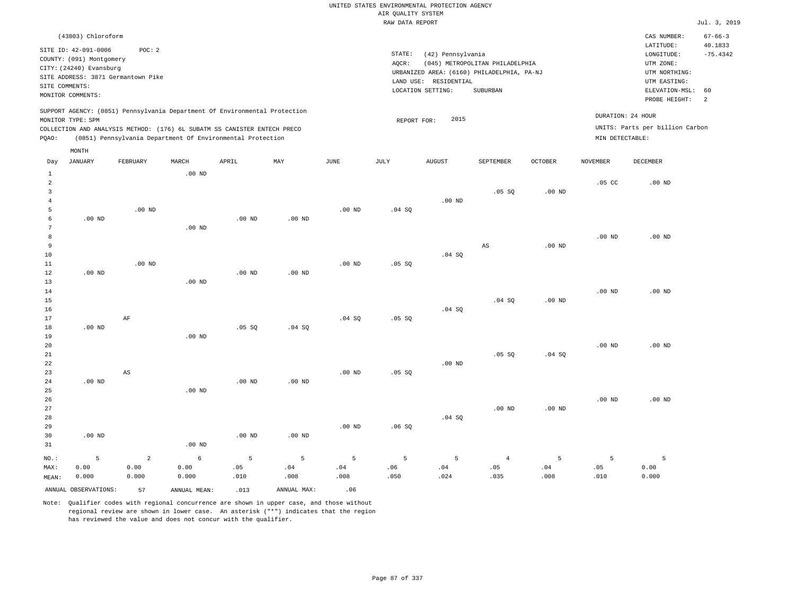|                                            |                                                     |                                                                                                                                        |                    |                   |                  |                  | AIR QUALITY SYSTEM | UNITED STATES ENVIRONMENTAL PROTECTION AGENCY |                                                                               |                   |                   |                                                          |                          |
|--------------------------------------------|-----------------------------------------------------|----------------------------------------------------------------------------------------------------------------------------------------|--------------------|-------------------|------------------|------------------|--------------------|-----------------------------------------------|-------------------------------------------------------------------------------|-------------------|-------------------|----------------------------------------------------------|--------------------------|
|                                            |                                                     |                                                                                                                                        |                    |                   |                  |                  | RAW DATA REPORT    |                                               |                                                                               |                   |                   |                                                          | Jul. 3, 2019             |
|                                            | (43803) Chloroform<br>SITE ID: 42-091-0006          | POC: 2                                                                                                                                 |                    |                   |                  |                  |                    |                                               |                                                                               |                   |                   | CAS NUMBER:<br>LATITUDE:                                 | $67 - 66 - 3$<br>40.1833 |
|                                            | COUNTY: (091) Montgomery<br>CITY: (24240) Evansburg | SITE ADDRESS: 3871 Germantown Pike                                                                                                     |                    |                   |                  |                  | STATE:<br>AQCR:    | (42) Pennsylvania<br>LAND USE: RESIDENTIAL    | (045) METROPOLITAN PHILADELPHIA<br>URBANIZED AREA: (6160) PHILADELPHIA, PA-NJ |                   |                   | LONGITUDE:<br>UTM ZONE:<br>UTM NORTHING:<br>UTM EASTING: | $-75.4342$               |
| SITE COMMENTS:                             | MONITOR COMMENTS:                                   |                                                                                                                                        |                    |                   |                  |                  |                    | LOCATION SETTING:                             | SUBURBAN                                                                      |                   |                   | ELEVATION-MSL:<br>PROBE HEIGHT:                          | 60<br>$\overline{a}$     |
|                                            | MONITOR TYPE: SPM                                   | SUPPORT AGENCY: (0851) Pennsylvania Department Of Environmental Protection                                                             |                    |                   |                  |                  | REPORT FOR:        | 2015                                          |                                                                               |                   |                   | DURATION: 24 HOUR                                        |                          |
| PQAO:                                      |                                                     | COLLECTION AND ANALYSIS METHOD: (176) 6L SUBATM SS CANISTER ENTECH PRECO<br>(0851) Pennsylvania Department Of Environmental Protection |                    |                   |                  |                  |                    |                                               |                                                                               |                   | MIN DETECTABLE:   | UNITS: Parts per billion Carbon                          |                          |
| Day                                        | MONTH<br><b>JANUARY</b>                             | FEBRUARY                                                                                                                               | MARCH              | APRIL             | MAY              | <b>JUNE</b>      | JULY               | <b>AUGUST</b>                                 | SEPTEMBER                                                                     | <b>OCTOBER</b>    | <b>NOVEMBER</b>   | <b>DECEMBER</b>                                          |                          |
| 1<br>$\overline{2}$<br>3<br>$\overline{4}$ |                                                     |                                                                                                                                        | $.00$ ND           |                   |                  |                  |                    | .00 <sub>ND</sub>                             | .05 SQ                                                                        | $.00$ ND          | .05 <sub>c</sub>  | $.00$ ND                                                 |                          |
| 5<br>6<br>$7\phantom{.0}$                  | $.00$ ND                                            | $.00$ ND                                                                                                                               | $.00$ ND           | $.00$ ND          | $.00$ ND         | $.00$ ND         | .04SQ              |                                               |                                                                               |                   |                   |                                                          |                          |
| 8<br>9<br>10<br>11                         |                                                     | $.00$ ND                                                                                                                               |                    |                   |                  | $.00$ ND         | .05 S0             | $.04$ SO                                      | $_{\rm AS}$                                                                   | .00 <sub>ND</sub> | .00 <sub>ND</sub> | $.00$ ND                                                 |                          |
| 12<br>13<br>14<br>15                       | .00 <sub>ND</sub>                                   |                                                                                                                                        | $.00$ ND           | .00 <sub>ND</sub> | $.00$ ND         |                  |                    |                                               | .04 SQ                                                                        | $.00$ ND          | .00 <sub>ND</sub> | $.00$ ND                                                 |                          |
| 16<br>$17$<br>18                           | $.00$ ND                                            | $\rm AF$                                                                                                                               |                    | .05 SQ            | .04 SQ           | .04 SQ           | .05 SQ             | .04 SQ                                        |                                                                               |                   |                   |                                                          |                          |
| 19<br>20<br>21<br>22                       |                                                     |                                                                                                                                        | $.00$ ND           |                   |                  |                  |                    | $.00$ ND                                      | .05 SQ                                                                        | .04 SQ            | .00 <sub>ND</sub> | $.00$ ND                                                 |                          |
| 23<br>24<br>25<br>26                       | $.00$ ND                                            | AS                                                                                                                                     | $.00$ ND           | $.00$ ND          | $.00$ ND         | $.00$ ND         | .05 SQ             |                                               |                                                                               |                   | .00 <sub>ND</sub> | $.00$ ND                                                 |                          |
| 27<br>28<br>29<br>30                       | $.00$ ND                                            |                                                                                                                                        |                    | $.00$ ND          | $.00$ ND         | $.00$ ND         | .06SQ              | $.04$ SO                                      | $.00$ ND                                                                      | .00 <sub>ND</sub> |                   |                                                          |                          |
| 31                                         |                                                     |                                                                                                                                        | $.00$ ND           |                   |                  |                  |                    |                                               |                                                                               |                   |                   |                                                          |                          |
| NO.:<br>MAX:<br>MEAN:                      | 5<br>0.00<br>0.000                                  | $\overline{2}$<br>0.00<br>0.000                                                                                                        | 6<br>0.00<br>0.000 | 5<br>.05<br>.010  | 5<br>.04<br>.008 | 5<br>.04<br>.008 | 5<br>.06<br>.050   | 5<br>.04<br>.024                              | $\overline{4}$<br>.05<br>.035                                                 | 5<br>.04<br>.008  | 5<br>.05<br>.010  | 5<br>0.00<br>0.000                                       |                          |

ANNUAL OBSERVATIONS: 57 ANNUAL MEAN: .013 ANNUAL MAX: .06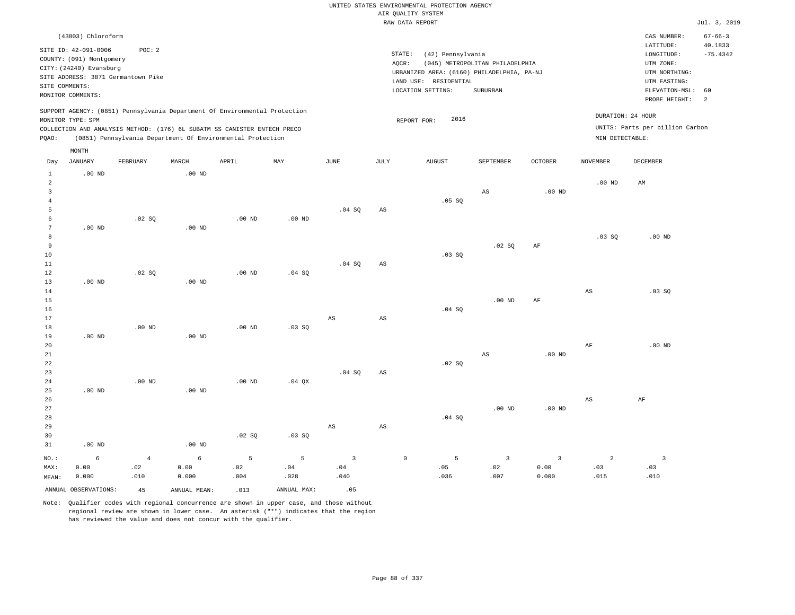|                     |                                                     |                   |                   |                                                                            |                   |                        |                        | UNITED STATES ENVIRONMENTAL PROTECTION AGENCY |                                 |              |                   |                                 |                          |
|---------------------|-----------------------------------------------------|-------------------|-------------------|----------------------------------------------------------------------------|-------------------|------------------------|------------------------|-----------------------------------------------|---------------------------------|--------------|-------------------|---------------------------------|--------------------------|
|                     |                                                     |                   |                   |                                                                            |                   |                        |                        | AIR QUALITY SYSTEM                            |                                 |              |                   |                                 |                          |
|                     |                                                     |                   |                   |                                                                            |                   |                        |                        | RAW DATA REPORT                               |                                 |              |                   |                                 | Jul. 3, 2019             |
|                     | (43803) Chloroform                                  |                   |                   |                                                                            |                   |                        |                        |                                               |                                 |              |                   | CAS NUMBER:<br>LATITUDE:        | $67 - 66 - 3$<br>40.1833 |
|                     | SITE ID: 42-091-0006                                | POC: 2            |                   |                                                                            |                   |                        | STATE:                 | (42) Pennsylvania                             |                                 |              |                   | LONGITUDE:                      | $-75.4342$               |
|                     | COUNTY: (091) Montgomery<br>CITY: (24240) Evansburg |                   |                   |                                                                            |                   |                        | AQCR:                  |                                               | (045) METROPOLITAN PHILADELPHIA |              |                   | UTM ZONE:                       |                          |
|                     | SITE ADDRESS: 3871 Germantown Pike                  |                   |                   |                                                                            |                   |                        |                        | URBANIZED AREA: (6160) PHILADELPHIA, PA-NJ    |                                 |              |                   | UTM NORTHING:                   |                          |
|                     | SITE COMMENTS:                                      |                   |                   |                                                                            |                   |                        |                        | LAND USE: RESIDENTIAL                         |                                 |              |                   | UTM EASTING:                    |                          |
|                     | MONITOR COMMENTS:                                   |                   |                   |                                                                            |                   |                        |                        | LOCATION SETTING:                             | SUBURBAN                        |              |                   | ELEVATION-MSL:<br>PROBE HEIGHT: | 60<br>2                  |
|                     | MONITOR TYPE: SPM                                   |                   |                   | SUPPORT AGENCY: (0851) Pennsylvania Department Of Environmental Protection |                   |                        |                        | 2016                                          |                                 |              | DURATION: 24 HOUR |                                 |                          |
|                     |                                                     |                   |                   | COLLECTION AND ANALYSIS METHOD: (176) 6L SUBATM SS CANISTER ENTECH PRECO   |                   |                        |                        | REPORT FOR:                                   |                                 |              |                   | UNITS: Parts per billion Carbon |                          |
| PQAO:               |                                                     |                   |                   | (0851) Pennsylvania Department Of Environmental Protection                 |                   |                        |                        |                                               |                                 |              | MIN DETECTABLE:   |                                 |                          |
|                     | MONTH                                               |                   |                   |                                                                            |                   |                        |                        |                                               |                                 |              |                   |                                 |                          |
| Day                 | <b>JANUARY</b>                                      | FEBRUARY          | MARCH             | APRIL                                                                      | MAY               | $_{\rm JUNE}$          | <b>JULY</b>            | <b>AUGUST</b>                                 | SEPTEMBER                       | OCTOBER      | <b>NOVEMBER</b>   | <b>DECEMBER</b>                 |                          |
| $\mathbf{1}$<br>2   | $.00$ ND                                            |                   | $.00$ ND          |                                                                            |                   |                        |                        |                                               |                                 |              | .00 <sub>ND</sub> | AM                              |                          |
| $\overline{3}$      |                                                     |                   |                   |                                                                            |                   |                        |                        |                                               | $_{\rm AS}$                     | $.00$ ND     |                   |                                 |                          |
| $\overline{4}$      |                                                     |                   |                   |                                                                            |                   |                        |                        | .05 SQ                                        |                                 |              |                   |                                 |                          |
| 5                   |                                                     |                   |                   |                                                                            |                   | .04SQ                  | AS                     |                                               |                                 |              |                   |                                 |                          |
| 6                   |                                                     | .02 SQ            |                   | $.00$ ND                                                                   | .00 <sub>ND</sub> |                        |                        |                                               |                                 |              |                   |                                 |                          |
| $7\phantom{.0}$     | $.00$ ND                                            |                   | $.00$ ND          |                                                                            |                   |                        |                        |                                               |                                 |              |                   |                                 |                          |
| 8<br>$\overline{9}$ |                                                     |                   |                   |                                                                            |                   |                        |                        |                                               |                                 |              | .03 S             | $.00$ ND                        |                          |
| 10                  |                                                     |                   |                   |                                                                            |                   |                        |                        | .03SQ                                         | .02 SQ                          | AF           |                   |                                 |                          |
| 11                  |                                                     |                   |                   |                                                                            |                   | .04 SQ                 | AS                     |                                               |                                 |              |                   |                                 |                          |
| 12                  |                                                     | .02 S0            |                   | $.00$ ND                                                                   | .04 S0            |                        |                        |                                               |                                 |              |                   |                                 |                          |
| 13                  | $.00$ ND                                            |                   | .00 <sub>ND</sub> |                                                                            |                   |                        |                        |                                               |                                 |              |                   |                                 |                          |
| 14                  |                                                     |                   |                   |                                                                            |                   |                        |                        |                                               |                                 |              | AS                | .03SQ                           |                          |
| 15                  |                                                     |                   |                   |                                                                            |                   |                        |                        |                                               | .00 <sub>ND</sub>               | AF           |                   |                                 |                          |
| 16<br>17            |                                                     |                   |                   |                                                                            |                   | AS                     |                        | .04 SQ                                        |                                 |              |                   |                                 |                          |
| 18                  |                                                     | .00 <sub>ND</sub> |                   | $.00$ ND                                                                   | .03 SQ            |                        | $_{\rm AS}$            |                                               |                                 |              |                   |                                 |                          |
| 19                  | $.00$ ND                                            |                   | $.00$ ND          |                                                                            |                   |                        |                        |                                               |                                 |              |                   |                                 |                          |
| 20                  |                                                     |                   |                   |                                                                            |                   |                        |                        |                                               |                                 |              | $\rm{AF}$         | $.00$ ND                        |                          |
| 21                  |                                                     |                   |                   |                                                                            |                   |                        |                        |                                               | AS                              | $.00$ ND     |                   |                                 |                          |
| 22                  |                                                     |                   |                   |                                                                            |                   |                        |                        | .02 SQ                                        |                                 |              |                   |                                 |                          |
| 23                  |                                                     |                   |                   |                                                                            |                   | .04SQ                  | AS                     |                                               |                                 |              |                   |                                 |                          |
| 24                  |                                                     | $.00$ ND          |                   | $.00$ ND                                                                   | $.04$ QX          |                        |                        |                                               |                                 |              |                   |                                 |                          |
| 25<br>26            | $.00$ ND                                            |                   | $.00$ ND          |                                                                            |                   |                        |                        |                                               |                                 |              | AS                | AF                              |                          |
| 27                  |                                                     |                   |                   |                                                                            |                   |                        |                        |                                               | $.00$ ND                        | $.00$ ND     |                   |                                 |                          |
| 28                  |                                                     |                   |                   |                                                                            |                   |                        |                        | .04 S0                                        |                                 |              |                   |                                 |                          |
| 29                  |                                                     |                   |                   |                                                                            |                   | $\mathbb{A}\mathbb{S}$ | $\mathbb{A}\mathbb{S}$ |                                               |                                 |              |                   |                                 |                          |
| 30                  |                                                     |                   |                   | .02S                                                                       | $.03$ SO          |                        |                        |                                               |                                 |              |                   |                                 |                          |
| 31                  | $.00$ ND                                            |                   | $.00$ ND          |                                                                            |                   |                        |                        |                                               |                                 |              |                   |                                 |                          |
| NO.:                | $\sqrt{6}$                                          | $\sqrt{4}$        | $\epsilon$        | 5                                                                          | 5                 | $\overline{3}$         |                        | $\mathbb O$<br>5                              | $\mathsf 3$                     | $\mathbf{3}$ | $\overline{a}$    | $\overline{\mathbf{3}}$         |                          |
| MAX:                | 0.00                                                | .02               | 0.00              | .02                                                                        | .04               | .04                    |                        | .05                                           | .02                             | 0.00         | .03               | .03                             |                          |
| MEAN:               | 0.000                                               | .010              | 0.000             | .004                                                                       | .028              | .040                   |                        | .036                                          | .007                            | 0.000        | .015              | .010                            |                          |
|                     | ANNUAL OBSERVATIONS:                                | 4.5               | ANNUAL, MEAN:     | .013                                                                       | ANNUAL MAX:       | .05                    |                        |                                               |                                 |              |                   |                                 |                          |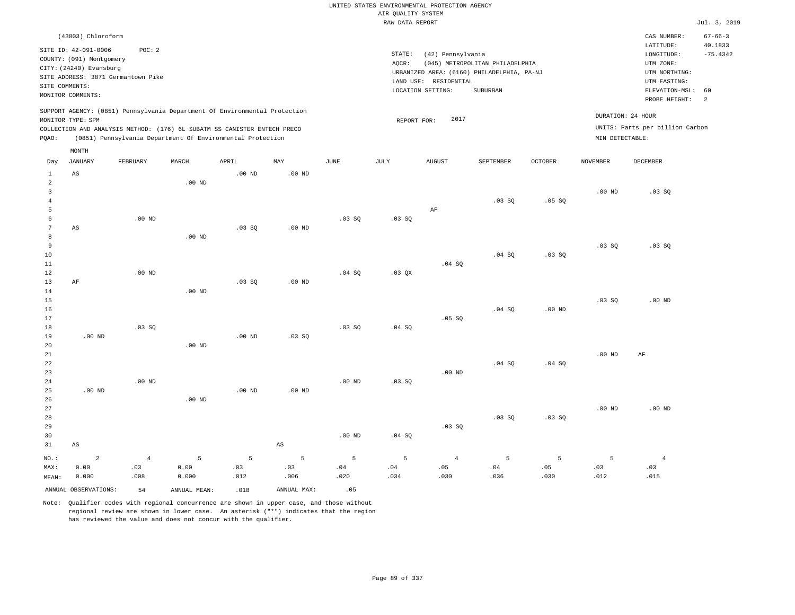|                                |                                                  |                                    |                                                                            |          |                        |                   |                    | UNITED STATES ENVIRONMENTAL PROTECTION AGENCY |                                            |                |                   |                                 |                          |
|--------------------------------|--------------------------------------------------|------------------------------------|----------------------------------------------------------------------------|----------|------------------------|-------------------|--------------------|-----------------------------------------------|--------------------------------------------|----------------|-------------------|---------------------------------|--------------------------|
|                                |                                                  |                                    |                                                                            |          |                        |                   | AIR QUALITY SYSTEM |                                               |                                            |                |                   |                                 |                          |
|                                |                                                  |                                    |                                                                            |          |                        |                   | RAW DATA REPORT    |                                               |                                            |                |                   |                                 | Jul. 3, 2019             |
|                                | (43803) Chloroform                               |                                    |                                                                            |          |                        |                   |                    |                                               |                                            |                |                   | CAS NUMBER:<br>LATITUDE:        | $67 - 66 - 3$<br>40.1833 |
|                                | SITE ID: 42-091-0006<br>COUNTY: (091) Montgomery | POC: 2                             |                                                                            |          |                        |                   | STATE:             | (42) Pennsylvania                             |                                            |                |                   | LONGITUDE:                      | $-75.4342$               |
|                                | CITY: (24240) Evansburg                          |                                    |                                                                            |          |                        |                   | AQCR:              |                                               | (045) METROPOLITAN PHILADELPHIA            |                |                   | UTM ZONE:                       |                          |
|                                |                                                  | SITE ADDRESS: 3871 Germantown Pike |                                                                            |          |                        |                   |                    |                                               | URBANIZED AREA: (6160) PHILADELPHIA, PA-NJ |                |                   | UTM NORTHING:                   |                          |
| SITE COMMENTS:                 |                                                  |                                    |                                                                            |          |                        |                   |                    | LAND USE: RESIDENTIAL<br>LOCATION SETTING:    | SUBURBAN                                   |                |                   | UTM EASTING:<br>ELEVATION-MSL:  | 60                       |
|                                | MONITOR COMMENTS:                                |                                    |                                                                            |          |                        |                   |                    |                                               |                                            |                |                   | PROBE HEIGHT:                   | 2                        |
|                                | MONITOR TYPE: SPM                                |                                    | SUPPORT AGENCY: (0851) Pennsylvania Department Of Environmental Protection |          |                        |                   | REPORT FOR:        | 2017                                          |                                            |                |                   | DURATION: 24 HOUR               |                          |
|                                |                                                  |                                    | COLLECTION AND ANALYSIS METHOD: (176) 6L SUBATM SS CANISTER ENTECH PRECO   |          |                        |                   |                    |                                               |                                            |                |                   | UNITS: Parts per billion Carbon |                          |
| PQAO:                          |                                                  |                                    | (0851) Pennsylvania Department Of Environmental Protection                 |          |                        |                   |                    |                                               |                                            |                | MIN DETECTABLE:   |                                 |                          |
|                                | MONTH                                            |                                    |                                                                            |          |                        |                   |                    |                                               |                                            |                |                   |                                 |                          |
| Day                            | <b>JANUARY</b>                                   | FEBRUARY                           | MARCH                                                                      | APRIL    | MAY                    | JUNE              | JULY               | <b>AUGUST</b>                                 | SEPTEMBER                                  | <b>OCTOBER</b> | <b>NOVEMBER</b>   | <b>DECEMBER</b>                 |                          |
| $\mathbf{1}$<br>$\overline{a}$ | AS                                               |                                    |                                                                            | $.00$ ND | $.00$ ND               |                   |                    |                                               |                                            |                |                   |                                 |                          |
| $\overline{3}$                 |                                                  |                                    | .00 <sub>ND</sub>                                                          |          |                        |                   |                    |                                               |                                            |                | $.00$ ND          | $.03$ SO                        |                          |
| $\overline{4}$                 |                                                  |                                    |                                                                            |          |                        |                   |                    |                                               | .03SQ                                      | .05SQ          |                   |                                 |                          |
| 5                              |                                                  |                                    |                                                                            |          |                        |                   |                    | AF                                            |                                            |                |                   |                                 |                          |
| $\epsilon$                     |                                                  | $.00$ ND                           |                                                                            |          |                        | .03 SQ            | .03 SQ             |                                               |                                            |                |                   |                                 |                          |
| $\overline{7}$                 | AS                                               |                                    |                                                                            | .03SQ    | $.00$ ND               |                   |                    |                                               |                                            |                |                   |                                 |                          |
| 8                              |                                                  |                                    | .00 <sub>ND</sub>                                                          |          |                        |                   |                    |                                               |                                            |                |                   |                                 |                          |
| $\overline{9}$<br>10           |                                                  |                                    |                                                                            |          |                        |                   |                    |                                               | .04 SQ                                     | .03 SQ         | $.03$ SO          | $.03$ SO                        |                          |
| 11                             |                                                  |                                    |                                                                            |          |                        |                   |                    | .04 S0                                        |                                            |                |                   |                                 |                          |
| $1\,2$                         |                                                  | $.00$ ND                           |                                                                            |          |                        | .04 SQ            | .03 QX             |                                               |                                            |                |                   |                                 |                          |
| 13                             | AF                                               |                                    |                                                                            | .03SQ    | $.00$ ND               |                   |                    |                                               |                                            |                |                   |                                 |                          |
| 14                             |                                                  |                                    | $.00$ ND                                                                   |          |                        |                   |                    |                                               |                                            |                |                   |                                 |                          |
| 15                             |                                                  |                                    |                                                                            |          |                        |                   |                    |                                               |                                            |                | .03 SQ            | $.00$ ND                        |                          |
| 16                             |                                                  |                                    |                                                                            |          |                        |                   |                    |                                               | .04 SQ                                     | $.00$ ND       |                   |                                 |                          |
| 17<br>18                       |                                                  | .03SQ                              |                                                                            |          |                        | $.03$ SO          | .04 S0             | .05 SQ                                        |                                            |                |                   |                                 |                          |
| 19                             | $.00$ ND                                         |                                    |                                                                            | $.00$ ND | .03 SQ                 |                   |                    |                                               |                                            |                |                   |                                 |                          |
| 20                             |                                                  |                                    | .00 <sub>ND</sub>                                                          |          |                        |                   |                    |                                               |                                            |                |                   |                                 |                          |
| 21                             |                                                  |                                    |                                                                            |          |                        |                   |                    |                                               |                                            |                | .00 <sub>ND</sub> | $\rm AF$                        |                          |
| 22                             |                                                  |                                    |                                                                            |          |                        |                   |                    |                                               | $.04$ SO                                   | .04 SQ         |                   |                                 |                          |
| 23<br>24                       |                                                  | $.00$ ND                           |                                                                            |          |                        | $.00$ ND          | $.03$ SO           | $.00$ ND                                      |                                            |                |                   |                                 |                          |
| 25                             | $.00$ ND                                         |                                    |                                                                            | $.00$ ND | $.00$ ND               |                   |                    |                                               |                                            |                |                   |                                 |                          |
| 26                             |                                                  |                                    | $.00$ ND                                                                   |          |                        |                   |                    |                                               |                                            |                |                   |                                 |                          |
| 27                             |                                                  |                                    |                                                                            |          |                        |                   |                    |                                               |                                            |                | $.00$ ND          | $.00$ ND                        |                          |
| 28                             |                                                  |                                    |                                                                            |          |                        |                   |                    |                                               | .03 SQ                                     | .03SQ          |                   |                                 |                          |
| 29                             |                                                  |                                    |                                                                            |          |                        |                   |                    | .03SQ                                         |                                            |                |                   |                                 |                          |
| 30                             |                                                  |                                    |                                                                            |          |                        | .00 <sub>ND</sub> | .04 SQ             |                                               |                                            |                |                   |                                 |                          |
| 31                             | $\mathbb{A}\mathbb{S}$                           |                                    |                                                                            |          | $\mathbb{A}\mathbb{S}$ |                   |                    |                                               |                                            |                |                   |                                 |                          |
| NO.:                           | $\overline{c}$                                   | $\overline{4}$                     | 5                                                                          | 5        | 5                      | $\overline{5}$    | 5                  | $\overline{4}$                                | 5                                          | 5              | $\overline{5}$    | $\overline{4}$                  |                          |
| MAX:                           | 0.00                                             | .03                                | 0.00                                                                       | .03      | .03                    | .04               | .04                | .05                                           | .04                                        | .05            | .03               | .03                             |                          |
| MEAN:                          | 0.000                                            | .008                               | 0.000                                                                      | .012     | .006                   | .020              | .034               | .030                                          | .036                                       | .030           | .012              | .015                            |                          |
|                                | ANNUAL OBSERVATIONS:                             | 54                                 | ANNUAL, MEAN:                                                              | .018     | ANNUAL MAX:            | .05               |                    |                                               |                                            |                |                   |                                 |                          |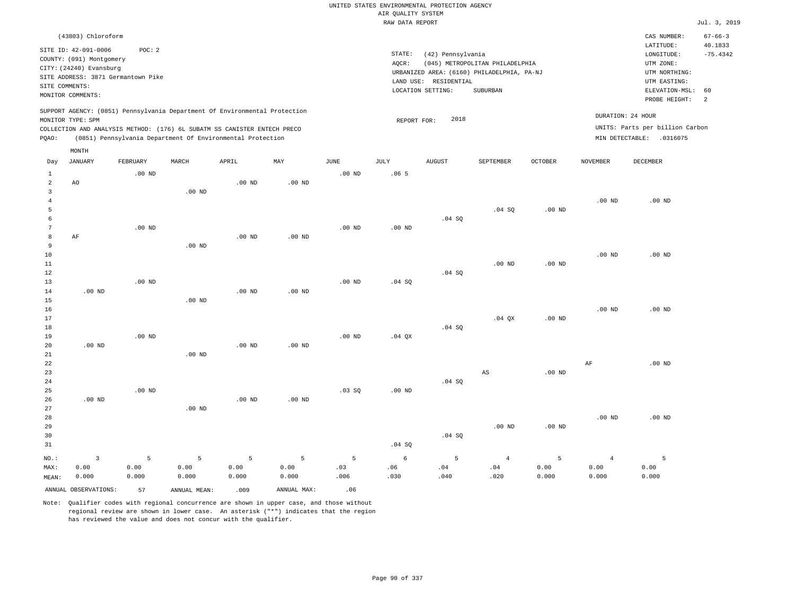|                                                  |                                                                                                                                                                             |                    |                    |                                                            |                    |                   |                                       | UNITED STATES ENVIRONMENTAL PROTECTION AGENCY                   |                                                                                           |                    |                                 |                                                                                                                         |                                                                |
|--------------------------------------------------|-----------------------------------------------------------------------------------------------------------------------------------------------------------------------------|--------------------|--------------------|------------------------------------------------------------|--------------------|-------------------|---------------------------------------|-----------------------------------------------------------------|-------------------------------------------------------------------------------------------|--------------------|---------------------------------|-------------------------------------------------------------------------------------------------------------------------|----------------------------------------------------------------|
|                                                  |                                                                                                                                                                             |                    |                    |                                                            |                    |                   | AIR QUALITY SYSTEM<br>RAW DATA REPORT |                                                                 |                                                                                           |                    |                                 |                                                                                                                         | Jul. 3, 2019                                                   |
|                                                  |                                                                                                                                                                             |                    |                    |                                                            |                    |                   |                                       |                                                                 |                                                                                           |                    |                                 |                                                                                                                         |                                                                |
| SITE COMMENTS:                                   | (43803) Chloroform<br>SITE ID: 42-091-0006<br>COUNTY: (091) Montgomery<br>CITY: (24240) Evansburg<br>SITE ADDRESS: 3871 Germantown Pike<br>MONITOR COMMENTS:                | POC: 2             |                    |                                                            |                    |                   | STATE:<br>AQCR:                       | (42) Pennsylvania<br>LAND USE: RESIDENTIAL<br>LOCATION SETTING: | (045) METROPOLITAN PHILADELPHIA<br>URBANIZED AREA: (6160) PHILADELPHIA, PA-NJ<br>SUBURBAN |                    |                                 | CAS NUMBER:<br>LATITUDE:<br>LONGITUDE:<br>UTM ZONE:<br>UTM NORTHING:<br>UTM EASTING:<br>ELEVATION-MSL:<br>PROBE HEIGHT: | $67 - 66 - 3$<br>40.1833<br>$-75.4342$<br>60<br>$\overline{2}$ |
|                                                  | SUPPORT AGENCY: (0851) Pennsylvania Department Of Environmental Protection<br>MONITOR TYPE: SPM<br>COLLECTION AND ANALYSIS METHOD: (176) 6L SUBATM SS CANISTER ENTECH PRECO |                    |                    |                                                            |                    |                   | REPORT FOR:                           | 2018                                                            |                                                                                           |                    |                                 | DURATION: 24 HOUR<br>UNITS: Parts per billion Carbon                                                                    |                                                                |
| PQAO:                                            |                                                                                                                                                                             |                    |                    | (0851) Pennsylvania Department Of Environmental Protection |                    |                   |                                       |                                                                 |                                                                                           |                    |                                 | MIN DETECTABLE: .0316075                                                                                                |                                                                |
|                                                  | MONTH                                                                                                                                                                       |                    |                    |                                                            |                    |                   |                                       |                                                                 |                                                                                           |                    |                                 |                                                                                                                         |                                                                |
| Day                                              | JANUARY                                                                                                                                                                     | FEBRUARY           | MARCH              | APRIL                                                      | MAY                | JUNE              | JULY                                  | <b>AUGUST</b>                                                   | SEPTEMBER                                                                                 | <b>OCTOBER</b>     | NOVEMBER                        | DECEMBER                                                                                                                |                                                                |
| $\mathbf{1}$<br>$\overline{a}$<br>$\overline{3}$ | AO                                                                                                                                                                          | $.00$ ND           | .00 <sub>ND</sub>  | .00 <sub>ND</sub>                                          | .00 <sub>ND</sub>  | .00 <sub>ND</sub> | .065                                  |                                                                 |                                                                                           |                    |                                 |                                                                                                                         |                                                                |
| $\overline{4}$<br>5<br>6                         |                                                                                                                                                                             |                    |                    |                                                            |                    |                   |                                       | .04 SQ                                                          | .04 SQ                                                                                    | $.00$ ND           | .00 <sub>ND</sub>               | .00 <sub>ND</sub>                                                                                                       |                                                                |
| 7<br>8<br>9                                      | AF                                                                                                                                                                          | $.00$ ND           | $.00$ ND           | $.00$ ND                                                   | $.00$ ND           | $.00$ ND          | $.00$ ND                              |                                                                 |                                                                                           |                    |                                 |                                                                                                                         |                                                                |
| $10$<br>$1\,1$<br>12<br>13                       |                                                                                                                                                                             | $.00$ ND           |                    |                                                            |                    | .00 <sub>ND</sub> | .04 SQ                                | .04 SQ                                                          | .00 <sub>ND</sub>                                                                         | $.00$ ND           | $.00$ ND                        | $.00$ ND                                                                                                                |                                                                |
| $1\,4$<br>15<br>16                               | $.00$ ND                                                                                                                                                                    |                    | $.00$ ND           | .00 <sub>ND</sub>                                          | .00 <sub>ND</sub>  |                   |                                       |                                                                 |                                                                                           |                    | .00 <sub>ND</sub>               | $.00$ ND                                                                                                                |                                                                |
| 17<br>18<br>19                                   |                                                                                                                                                                             | $.00$ ND           |                    |                                                            |                    | $.00$ ND          | $.04$ $OX$                            | .04 SQ                                                          | $.04$ $OX$                                                                                | $.00$ ND           |                                 |                                                                                                                         |                                                                |
| 20<br>21<br>22                                   | $.00$ ND                                                                                                                                                                    |                    | $.00$ ND           | $.00$ ND                                                   | $.00$ ND           |                   |                                       |                                                                 |                                                                                           |                    | AF                              | $.00$ ND                                                                                                                |                                                                |
| 23<br>24<br>25                                   |                                                                                                                                                                             | $.00$ ND           |                    |                                                            |                    | .03SQ             | .00 <sub>ND</sub>                     | .04 SQ                                                          | AS                                                                                        | $.00$ ND           |                                 |                                                                                                                         |                                                                |
| 26<br>27<br>28<br>29<br>30                       | $.00$ ND                                                                                                                                                                    |                    | $.00$ ND           | .00 <sub>ND</sub>                                          | $.00$ ND           |                   |                                       | .04 SQ                                                          | $.00$ ND                                                                                  | $.00$ ND           | $.00$ ND                        | $.00$ ND                                                                                                                |                                                                |
| 31                                               |                                                                                                                                                                             |                    |                    |                                                            |                    |                   | .04SQ                                 |                                                                 |                                                                                           |                    |                                 |                                                                                                                         |                                                                |
| NO.:<br>MAX:<br>MEAN:                            | $\overline{3}$<br>0.00<br>0.000                                                                                                                                             | 5<br>0.00<br>0.000 | 5<br>0.00<br>0.000 | 5<br>0.00<br>0.000                                         | 5<br>0.00<br>0.000 | 5<br>.03<br>.006  | 6<br>.06<br>.030                      | 5<br>.04<br>.040                                                | $\overline{4}$<br>.04<br>.020                                                             | 5<br>0.00<br>0.000 | $\overline{4}$<br>0.00<br>0.000 | 5<br>0.00<br>0.000                                                                                                      |                                                                |
|                                                  | ANNUAL OBSERVATIONS:                                                                                                                                                        | 57                 | ANNUAL MEAN:       | .009                                                       | ANNUAL MAX:        | .06               |                                       |                                                                 |                                                                                           |                    |                                 |                                                                                                                         |                                                                |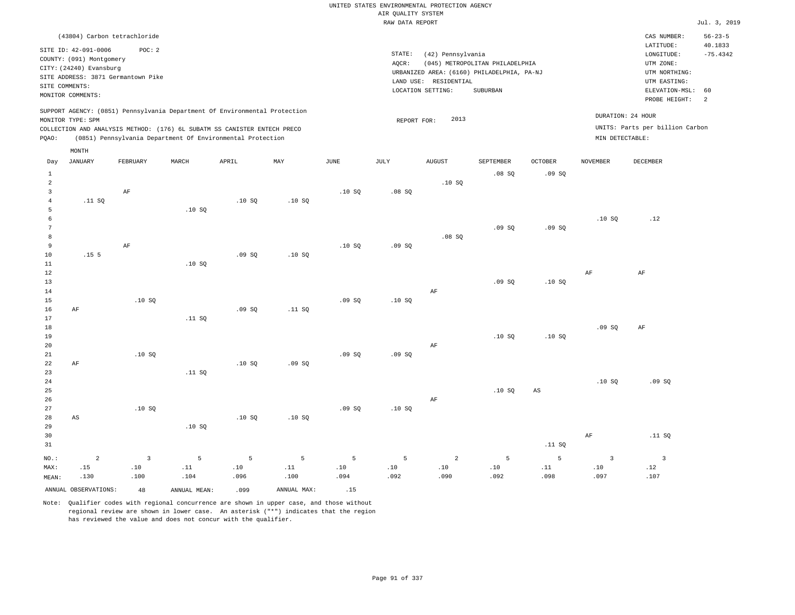#### RAW DATA REPORT Jul. 3, 2019 UNITED STATES ENVIRONMENTAL PROTECTION AGENCY AIR QUALITY SYSTEM

|       |                                                                                                                                                                                                                                           | (43804) Carbon tetrachloride       |       |       |     |      |        |                                            |                                 |                |          | CAS NUMBER:                                                             | $56 - 23 - 5$ |
|-------|-------------------------------------------------------------------------------------------------------------------------------------------------------------------------------------------------------------------------------------------|------------------------------------|-------|-------|-----|------|--------|--------------------------------------------|---------------------------------|----------------|----------|-------------------------------------------------------------------------|---------------|
|       |                                                                                                                                                                                                                                           |                                    |       |       |     |      |        |                                            |                                 |                |          | LATITUDE:                                                               | 40.1833       |
|       | SITE ID: 42-091-0006                                                                                                                                                                                                                      | POC: 2                             |       |       |     |      | STATE: | (42) Pennsylvania                          |                                 |                |          | LONGITUDE:                                                              | $-75.4342$    |
|       | COUNTY: (091) Montgomery                                                                                                                                                                                                                  |                                    |       |       |     |      | AQCR:  |                                            | (045) METROPOLITAN PHILADELPHIA |                |          | UTM ZONE:                                                               |               |
|       | CITY: (24240) Evansburg                                                                                                                                                                                                                   |                                    |       |       |     |      |        | URBANIZED AREA: (6160) PHILADELPHIA, PA-NJ |                                 |                |          | UTM NORTHING:                                                           |               |
|       |                                                                                                                                                                                                                                           | SITE ADDRESS: 3871 Germantown Pike |       |       |     |      |        | RESIDENTIAL<br>LAND USE:                   |                                 |                |          | UTM EASTING:                                                            |               |
|       | SITE COMMENTS:                                                                                                                                                                                                                            |                                    |       |       |     |      |        | LOCATION SETTING:                          | SUBURBAN                        |                |          | ELEVATION-MSL: 60                                                       |               |
|       | MONITOR COMMENTS:                                                                                                                                                                                                                         |                                    |       |       |     |      |        |                                            |                                 |                |          | PROBE HEIGHT:                                                           | 2             |
| POAO: | SUPPORT AGENCY: (0851) Pennsylvania Department Of Environmental Protection<br>MONITOR TYPE: SPM<br>COLLECTION AND ANALYSIS METHOD: (176) 6L SUBATM SS CANISTER ENTECH PRECO<br>(0851) Pennsylvania Department Of Environmental Protection |                                    |       |       |     |      |        | 2013<br>REPORT FOR:                        |                                 |                |          | DURATION: 24 HOUR<br>UNITS: Parts per billion Carbon<br>MIN DETECTABLE: |               |
|       | MONTH                                                                                                                                                                                                                                     |                                    |       |       |     |      |        |                                            |                                 |                |          |                                                                         |               |
| Day   | JANUARY                                                                                                                                                                                                                                   | FEBRUARY                           | MARCH | APRIL | MAY | JUNE | JULY   | <b>AUGUST</b>                              | SEPTEMBER                       | <b>OCTOBER</b> | NOVEMBER | <b>DECEMBER</b>                                                         |               |
|       |                                                                                                                                                                                                                                           |                                    |       |       |     |      |        |                                            | .08S                            | .09SQ          |          |                                                                         |               |
|       |                                                                                                                                                                                                                                           |                                    |       |       |     |      |        | .10S                                       |                                 |                |          |                                                                         |               |
|       |                                                                                                                                                                                                                                           | ΑF                                 |       |       |     | .10S | .08 SQ |                                            |                                 |                |          |                                                                         |               |

|                | _________        |       | _________ |       |        |       |       |        |       |     |
|----------------|------------------|-------|-----------|-------|--------|-------|-------|--------|-------|-----|
| 5 <sup>5</sup> |                  | .10S  |           |       |        |       |       |        |       |     |
| 6              |                  |       |           |       |        |       |       |        | .10SQ | .12 |
| 7              |                  |       |           |       |        |       | .09SQ | .09 SQ |       |     |
| 8 <sup>1</sup> |                  |       |           |       |        | .08SQ |       |        |       |     |
| 9              | AF               |       |           | .10SQ | .09 SQ |       |       |        |       |     |
| 10             | .15 <sub>5</sub> | .09SQ | .10S      |       |        |       |       |        |       |     |

| 11          |    |      | .10S   |       |        |       |       |    |       |       |       |       |
|-------------|----|------|--------|-------|--------|-------|-------|----|-------|-------|-------|-------|
| 12          |    |      |        |       |        |       |       |    |       |       | AF    | AF    |
| 13          |    |      |        |       |        |       |       |    | .09SQ | .10SQ |       |       |
| 14          |    |      |        |       |        |       |       | AF |       |       |       |       |
| 15          |    | .10S |        |       |        | .09SQ | .10S  |    |       |       |       |       |
| 16          | AF |      |        | .09SQ | .11 SQ |       |       |    |       |       |       |       |
| 17          |    |      | .11 SQ |       |        |       |       |    |       |       |       |       |
| 18          |    |      |        |       |        |       |       |    |       |       | .09SQ | AF    |
| 19          |    |      |        |       |        |       |       |    | .10SQ | .10SQ |       |       |
| 20          |    |      |        |       |        |       |       | AF |       |       |       |       |
| $2\sqrt{1}$ |    | .10S |        |       |        | .09SQ | .09SQ |    |       |       |       |       |
| 22          | AF |      |        | .10S  | .09SQ  |       |       |    |       |       |       |       |
| 23          |    |      | .11 SQ |       |        |       |       |    |       |       |       |       |
| $2\sqrt{4}$ |    |      |        |       |        |       |       |    |       |       | .10S  | .09SQ |
| $25\,$      |    |      |        |       |        |       |       |    | .10S  | AS    |       |       |
| 26          |    |      |        |       |        |       |       | AF |       |       |       |       |
| 27          |    | .10S |        |       |        | .09SQ | .10S  |    |       |       |       |       |

| 29    |      |      | .10S |      |                 |      |      |          |         |        |      |        |
|-------|------|------|------|------|-----------------|------|------|----------|---------|--------|------|--------|
| 30    |      |      |      |      |                 |      |      |          |         |        | AF   | .11 SQ |
| 31    |      |      |      |      |                 |      |      |          |         | .11 SQ |      |        |
| NO.:  |      |      |      |      | 2 3 5 5 5 5 5 5 |      |      | $\sim$ 2 | $5 - 5$ | 5      |      |        |
| MAX:  | .15  | .10  | .11  | .10  | .11             | .10  | .10  | .10      | .10     | .11    | .10  | .12    |
| MEAN: | .130 | .100 | .104 | .096 | .100            | .094 | .092 | .090     | .092    | .098   | .097 | .107   |

ANNUAL OBSERVATIONS: 48 ANNUAL MEAN: .099 ANNUAL MAX: .15

4

.11 SQ

28

AS

Note: Qualifier codes with regional concurrence are shown in upper case, and those without regional review are shown in lower case. An asterisk ("\*") indicates that the region has reviewed the value and does not concur with the qualifier.

.10 SQ

.10 SQ

.10 SQ

.10 SQ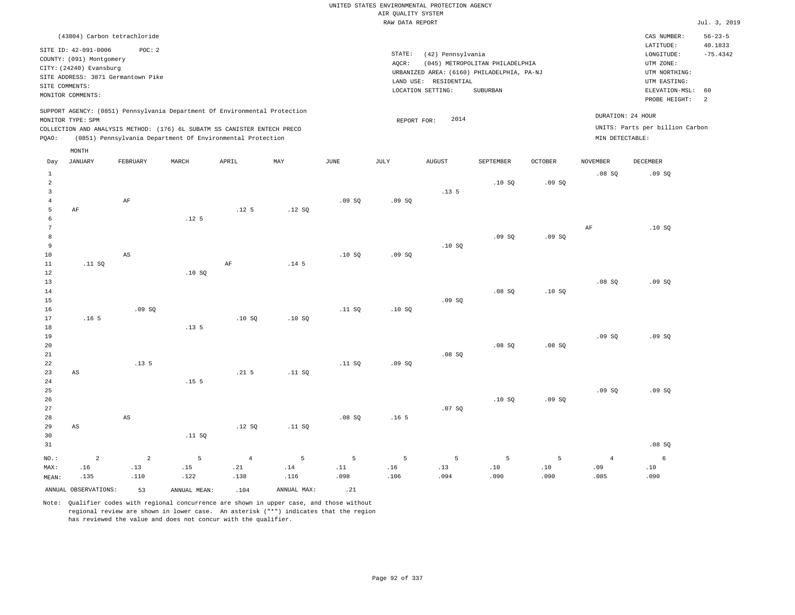#### RAW DATA REPORT Jul. 3, 2019 UNITED STATES ENVIRONMENTAL PROTECTION AGENCY AIR QUALITY SYSTEM

| (43804) Carbon tetrachloride                                                                                                                                                                                                                       |                                                                                                                                                                                    | CAS NUMBER:                                                                                                                   | $56 - 23 - 5$         |
|----------------------------------------------------------------------------------------------------------------------------------------------------------------------------------------------------------------------------------------------------|------------------------------------------------------------------------------------------------------------------------------------------------------------------------------------|-------------------------------------------------------------------------------------------------------------------------------|-----------------------|
| SITE ID: 42-091-0006<br>POC:2<br>COUNTY: (091) Montgomery<br>CITY: (24240) Evansburg<br>SITE ADDRESS: 3871 Germantown Pike<br>SITE COMMENTS:<br>MONITOR COMMENTS:                                                                                  | STATE:<br>(42) Pennsylvania<br>(045) METROPOLITAN PHILADELPHIA<br>AOCR:<br>URBANIZED AREA: (6160) PHILADELPHIA, PA-NJ<br>RESIDENTIAL<br>LAND USE:<br>SUBURBAN<br>LOCATION SETTING: | LATITUDE:<br>LONGITUDE:<br>UTM ZONE:<br>UTM NORTHING:<br>UTM EASTING:<br>ELEVATION-MSL: 60<br>PROBE HEIGHT:<br>$\overline{2}$ | 40.1833<br>$-75.4342$ |
| SUPPORT AGENCY: (0851) Pennsylvania Department Of Environmental Protection<br>MONITOR TYPE: SPM<br>COLLECTION AND ANALYSIS METHOD: (176) 6L SUBATM SS CANISTER ENTECH PRECO<br>(0851) Pennsylvania Department Of Environmental Protection<br>POAO: | 2014<br>REPORT FOR:                                                                                                                                                                | DURATION: 24 HOUR<br>UNITS: Parts per billion Carbon<br>MIN DETECTABLE:                                                       |                       |

|                                                  | MONTH                |                        |                  |                  |                  |               |                  |                  |           |         |                 |          |
|--------------------------------------------------|----------------------|------------------------|------------------|------------------|------------------|---------------|------------------|------------------|-----------|---------|-----------------|----------|
| Day                                              | <b>JANUARY</b>       | FEBRUARY               | MARCH            | APRIL            | MAY              | $_{\rm JUNE}$ | $\mathtt{JULY}$  | <b>AUGUST</b>    | SEPTEMBER | OCTOBER | <b>NOVEMBER</b> | DECEMBER |
| $\mathbf{1}$<br>$\overline{c}$<br>$\overline{3}$ |                      |                        |                  |                  |                  |               |                  | .13 <sub>5</sub> | .10S      | .09SQ   | .08SQ           | .09SQ    |
| $\overline{4}$                                   |                      | AF                     |                  |                  |                  | .09SQ         | .09SQ            |                  |           |         |                 |          |
| 5                                                | AF                   |                        |                  | .12 <sub>5</sub> | .12SQ            |               |                  |                  |           |         |                 |          |
| 6                                                |                      |                        | .12 <sub>5</sub> |                  |                  |               |                  |                  |           |         |                 |          |
| 7                                                |                      |                        |                  |                  |                  |               |                  |                  |           |         | AF              | .10SQ    |
| 8                                                |                      |                        |                  |                  |                  |               |                  |                  | .09SQ     | .09SQ   |                 |          |
| 9<br>10                                          |                      | AS                     |                  |                  |                  | .10S          | .09SQ            | .10S             |           |         |                 |          |
| 11                                               | .11 SQ               |                        |                  | $\rm{AF}$        | .14 <sub>5</sub> |               |                  |                  |           |         |                 |          |
| 12                                               |                      |                        | .10SQ            |                  |                  |               |                  |                  |           |         |                 |          |
| 13                                               |                      |                        |                  |                  |                  |               |                  |                  |           |         | .08SQ           | .09SQ    |
| 14                                               |                      |                        |                  |                  |                  |               |                  |                  | .08SQ     | .10S    |                 |          |
| 15                                               |                      |                        |                  |                  |                  |               |                  | .09SQ            |           |         |                 |          |
| 16                                               |                      | .09SQ                  |                  |                  |                  | .11 SQ        | .10SQ            |                  |           |         |                 |          |
| 17                                               | .16 <sub>5</sub>     |                        |                  | .10S             | .10SQ            |               |                  |                  |           |         |                 |          |
| 18                                               |                      |                        | .13.5            |                  |                  |               |                  |                  |           |         |                 |          |
| 19                                               |                      |                        |                  |                  |                  |               |                  |                  |           |         | .09SQ           | .09SQ    |
| 20                                               |                      |                        |                  |                  |                  |               |                  |                  | .08SQ     | .08SQ   |                 |          |
| 21                                               |                      |                        |                  |                  |                  |               |                  | .08SQ            |           |         |                 |          |
| 22                                               |                      | .13.5                  |                  |                  |                  | .11 SQ        | .09SQ            |                  |           |         |                 |          |
| 23                                               | AS                   |                        |                  | .21 <sub>5</sub> | .11 SQ           |               |                  |                  |           |         |                 |          |
| $2\sqrt{4}$                                      |                      |                        | .15 <sub>5</sub> |                  |                  |               |                  |                  |           |         |                 |          |
| 25                                               |                      |                        |                  |                  |                  |               |                  |                  |           |         | .09SQ           | .09SQ    |
| 26<br>27                                         |                      |                        |                  |                  |                  |               |                  | .07 SQ           | .10S      | .09SQ   |                 |          |
| 28                                               |                      | $\mathbb{A}\mathbb{S}$ |                  |                  |                  | .08SQ         | .16 <sub>5</sub> |                  |           |         |                 |          |
| 29                                               | AS                   |                        |                  | .12 SQ           | .11 SQ           |               |                  |                  |           |         |                 |          |
| 30                                               |                      |                        | .11 SQ           |                  |                  |               |                  |                  |           |         |                 |          |
| 31                                               |                      |                        |                  |                  |                  |               |                  |                  |           |         |                 | .08SQ    |
| $_{\rm NO.}$ :                                   | $\sqrt{2}$           | $\overline{a}$         | 5                | $\overline{4}$   | 5                | 5             | 5                | 5                | 5         | 5       | $\overline{4}$  | $6\,$    |
| MAX:                                             | .16                  | .13                    | .15              | .21              | .14              | .11           | .16              | .13              | .10       | .10     | .09             | $.10$    |
| MEAN:                                            | .135                 | .110                   | .122             | .138             | .116             | .098          | .106             | .094             | .090      | .090    | .085            | .090     |
|                                                  | ANNUAL OBSERVATIONS: | 53                     | ANNUAL MEAN:     | .104             | ANNUAL MAX:      | .21           |                  |                  |           |         |                 |          |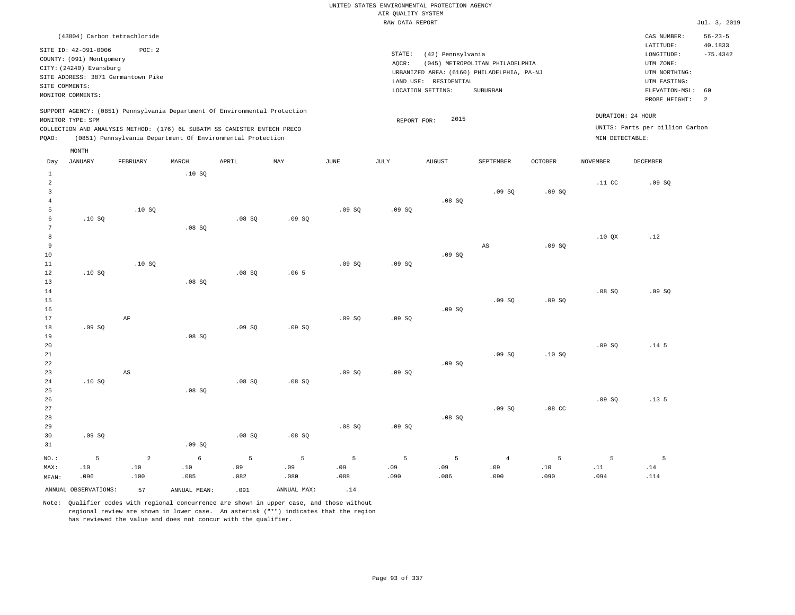#### RAW DATA REPORT JUL. 3, 2019 UNITED STATES ENVIRONMENTAL PROTECTION AGENCY AIR QUALITY SYSTEM

| (43804) Carbon tetrachloride                                                                                                                                                                                                                                                                                                                            | $56 - 23 - 5$<br>CAS NUMBER:                                                                                                                 |
|---------------------------------------------------------------------------------------------------------------------------------------------------------------------------------------------------------------------------------------------------------------------------------------------------------------------------------------------------------|----------------------------------------------------------------------------------------------------------------------------------------------|
| SITE ID: 42-091-0006<br>POC:2<br>STATE:<br>(42) Pennsylvania<br>COUNTY: (091) Montgomery<br>AQCR:<br>(045) METROPOLITAN PHILADELPHIA<br>CITY: (24240) Evansburg<br>URBANIZED AREA: (6160) PHILADELPHIA, PA-NJ<br>SITE ADDRESS: 3871 Germantown Pike<br>RESIDENTIAL<br>LAND USE:<br>SITE COMMENTS:<br>LOCATION SETTING:<br>SUBURBAN<br>MONITOR COMMENTS: | 40.1833<br>LATITUDE:<br>$-75.4342$<br>LONGITUDE:<br>UTM ZONE:<br>UTM NORTHING:<br>UTM EASTING:<br>ELEVATION-MSL:<br>60<br>PROBE HEIGHT:<br>2 |
| SUPPORT AGENCY: (0851) Pennsylvania Department Of Environmental Protection<br>2015<br>MONITOR TYPE: SPM<br>REPORT FOR:<br>COLLECTION AND ANALYSIS METHOD: (176) 6L SUBATM SS CANISTER ENTECH PRECO<br>(0851) Pennsylvania Department Of Environmental Protection<br>POAO:                                                                               | DURATION: 24 HOUR<br>UNITS: Parts per billion Carbon<br>MIN DETECTABLE:                                                                      |
| MONTH                                                                                                                                                                                                                                                                                                                                                   |                                                                                                                                              |
| JUNE<br>JULY<br><b>OCTOBER</b><br>JANUARY<br>APRIL<br>MAY<br><b>AUGUST</b><br>SEPTEMBER<br>NOVEMBER<br>FEBRUARY<br>MARCH<br>Day                                                                                                                                                                                                                         | DECEMBER                                                                                                                                     |
| .10S                                                                                                                                                                                                                                                                                                                                                    | .11 <sub>c</sub><br>.09SQ                                                                                                                    |
| .09S<br>.09SQ                                                                                                                                                                                                                                                                                                                                           |                                                                                                                                              |
| .08 SQ<br>.10S<br>.09S<br>.09S                                                                                                                                                                                                                                                                                                                          |                                                                                                                                              |

.09 SQ

.09 SQ

AS

 $.09 S<sub>0</sub>$ 

.09 SQ

.10 QX

.12

.09 SQ

.14 5

.13 5

5 .14 .114

.08 SQ

.09 SQ

.09 SQ

5 .11 .094

.09 SQ

.10 SQ

.08 CC

5 .10 .090

.09 SQ

.09 SQ

4 .09 .090

.09 SQ

.09 SQ

.08 SQ

5 .09 .086

.09 SQ

.09 SQ

.09 SQ

5 .09 .090

Note: Qualifier codes with regional concurrence are shown in upper case, and those without regional review are shown in lower case. An asterisk ("\*") indicates that the region has reviewed the value and does not concur with the qualifier.

NO.: MAX: MEAN: .10 SQ

.10 SQ

.10 SQ

.08 SQ

.08 SQ

.09 SQ

.06 5

.09 SQ

.09 SQ

.09 SQ

.08 SQ

5 .09 .088

.09 SQ

.08 SQ

.08 SQ

5 .09 .080

.08 SQ

.09 SQ

.08 SQ

.08 SQ

5 .09 .082

.08 SQ

.08 SQ

.08 SQ

.09 SQ

6 .10 .085

ANNUAL OBSERVATIONS:  $57$  ANNUAL MEAN: .091 ANNUAL MAX: .14

AF

AS

2 .10 .100

.09 SQ

.10 SQ

.09 SQ

5 .10 .096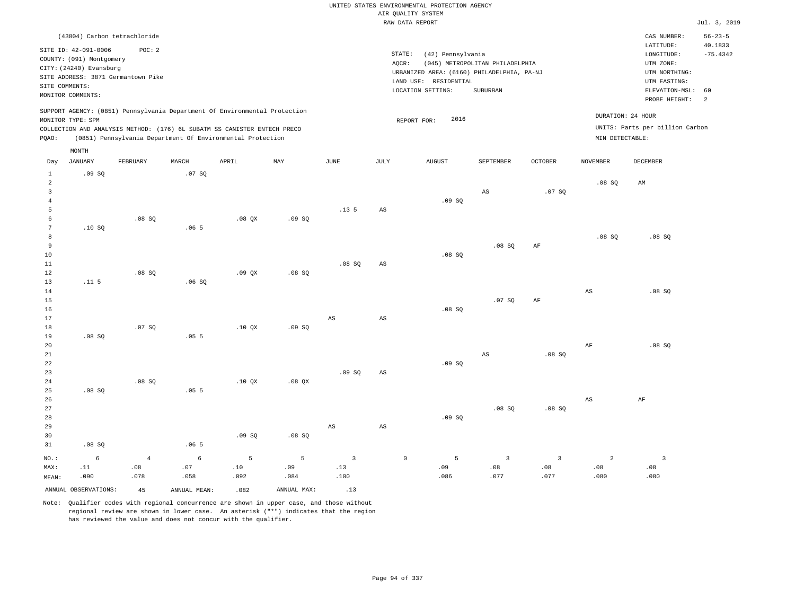|                         |                                                     |                                    |             |                                                                            |             |                         |                        | UNITED STATES ENVIRONMENTAL PROTECTION AGENCY |                                 |                |                        |                                 |                      |
|-------------------------|-----------------------------------------------------|------------------------------------|-------------|----------------------------------------------------------------------------|-------------|-------------------------|------------------------|-----------------------------------------------|---------------------------------|----------------|------------------------|---------------------------------|----------------------|
|                         |                                                     |                                    |             |                                                                            |             |                         |                        | AIR QUALITY SYSTEM<br>RAW DATA REPORT         |                                 |                |                        |                                 | Jul. 3, 2019         |
|                         |                                                     |                                    |             |                                                                            |             |                         |                        |                                               |                                 |                |                        |                                 | $56 - 23 - 5$        |
|                         |                                                     | (43804) Carbon tetrachloride       |             |                                                                            |             |                         |                        |                                               |                                 |                |                        | CAS NUMBER:<br>LATITUDE:        | 40.1833              |
|                         | SITE ID: 42-091-0006                                | POC: 2                             |             |                                                                            |             |                         | STATE:                 | (42) Pennsylvania                             |                                 |                |                        | LONGITUDE:                      | $-75.4342$           |
|                         | COUNTY: (091) Montgomery<br>CITY: (24240) Evansburg |                                    |             |                                                                            |             |                         | AOCR:                  |                                               | (045) METROPOLITAN PHILADELPHIA |                |                        | UTM ZONE:                       |                      |
|                         |                                                     | SITE ADDRESS: 3871 Germantown Pike |             |                                                                            |             |                         |                        | URBANIZED AREA: (6160) PHILADELPHIA, PA-NJ    |                                 |                |                        | UTM NORTHING:                   |                      |
| SITE COMMENTS:          |                                                     |                                    |             |                                                                            |             |                         |                        | LAND USE: RESIDENTIAL                         |                                 |                |                        | UTM EASTING:                    |                      |
|                         | MONITOR COMMENTS:                                   |                                    |             |                                                                            |             |                         |                        | LOCATION SETTING:                             | SUBURBAN                        |                |                        | ELEVATION-MSL:<br>PROBE HEIGHT: | 60<br>$\overline{a}$ |
|                         |                                                     |                                    |             | SUPPORT AGENCY: (0851) Pennsylvania Department Of Environmental Protection |             |                         |                        |                                               |                                 |                |                        |                                 |                      |
|                         | MONITOR TYPE: SPM                                   |                                    |             |                                                                            |             |                         |                        | 2016<br>REPORT FOR:                           |                                 |                | DURATION: 24 HOUR      |                                 |                      |
|                         |                                                     |                                    |             | COLLECTION AND ANALYSIS METHOD: (176) 6L SUBATM SS CANISTER ENTECH PRECO   |             |                         |                        |                                               |                                 |                |                        | UNITS: Parts per billion Carbon |                      |
| PQAO:                   |                                                     |                                    |             | (0851) Pennsylvania Department Of Environmental Protection                 |             |                         |                        |                                               |                                 |                | MIN DETECTABLE:        |                                 |                      |
|                         | MONTH                                               |                                    |             |                                                                            |             |                         |                        |                                               |                                 |                |                        |                                 |                      |
| Day                     | <b>JANUARY</b>                                      | FEBRUARY                           | MARCH       | APRIL                                                                      | MAY         | $_{\rm JUNE}$           | <b>JULY</b>            | <b>AUGUST</b>                                 | SEPTEMBER                       | <b>OCTOBER</b> | <b>NOVEMBER</b>        | <b>DECEMBER</b>                 |                      |
| $1\,$<br>$\overline{a}$ | .09SQ                                               |                                    | .07 SQ      |                                                                            |             |                         |                        |                                               |                                 |                | $.08$ SO               | AM                              |                      |
| $\overline{3}$          |                                                     |                                    |             |                                                                            |             |                         |                        |                                               | AS                              | .07SQ          |                        |                                 |                      |
| $\overline{4}$          |                                                     |                                    |             |                                                                            |             |                         |                        | .09SQ                                         |                                 |                |                        |                                 |                      |
| 5                       |                                                     |                                    |             |                                                                            |             | .13.5                   | $\mathbb{A}\mathbb{S}$ |                                               |                                 |                |                        |                                 |                      |
| 6<br>$7\phantom{.0}$    |                                                     | $.08$ SO                           |             | $.08$ $OX$                                                                 | .09S        |                         |                        |                                               |                                 |                |                        |                                 |                      |
| 8                       | .10SQ                                               |                                    | .065        |                                                                            |             |                         |                        |                                               |                                 |                | .08SQ                  | .08SQ                           |                      |
| 9                       |                                                     |                                    |             |                                                                            |             |                         |                        |                                               | .08S                            | AF             |                        |                                 |                      |
| 10                      |                                                     |                                    |             |                                                                            |             |                         |                        | .08SQ                                         |                                 |                |                        |                                 |                      |
| 11                      |                                                     |                                    |             |                                                                            |             | .08SQ                   | AS                     |                                               |                                 |                |                        |                                 |                      |
| 12                      |                                                     | .08 SQ                             |             | .09QX                                                                      | .08SQ       |                         |                        |                                               |                                 |                |                        |                                 |                      |
| 13                      | .11 <sub>5</sub>                                    |                                    | .06S        |                                                                            |             |                         |                        |                                               |                                 |                |                        |                                 |                      |
| 14<br>15                |                                                     |                                    |             |                                                                            |             |                         |                        |                                               | .07SQ                           | AF             | $\mathbb{A}\mathbb{S}$ | .08SQ                           |                      |
| 16                      |                                                     |                                    |             |                                                                            |             |                         |                        | .08S                                          |                                 |                |                        |                                 |                      |
| 17                      |                                                     |                                    |             |                                                                            |             | $\mathbb{A}\mathbb{S}$  | $\mathbb{A}\mathbb{S}$ |                                               |                                 |                |                        |                                 |                      |
| 18                      |                                                     | .07S                               |             | $.10$ $OX$                                                                 | .09S        |                         |                        |                                               |                                 |                |                        |                                 |                      |
| 19                      | .08SQ                                               |                                    | .055        |                                                                            |             |                         |                        |                                               |                                 |                |                        |                                 |                      |
| 20                      |                                                     |                                    |             |                                                                            |             |                         |                        |                                               |                                 |                | $\rm AF$               | .08SQ                           |                      |
| 21<br>22                |                                                     |                                    |             |                                                                            |             |                         |                        | .09SQ                                         | AS                              | .08 SQ         |                        |                                 |                      |
| 23                      |                                                     |                                    |             |                                                                            |             | .09SQ                   | $\mathbb{A}\mathbb{S}$ |                                               |                                 |                |                        |                                 |                      |
| 24                      |                                                     | .08 SQ                             |             | .10 QX                                                                     | .08 QX      |                         |                        |                                               |                                 |                |                        |                                 |                      |
| 25                      | $.08$ SO                                            |                                    | .055        |                                                                            |             |                         |                        |                                               |                                 |                |                        |                                 |                      |
| 26                      |                                                     |                                    |             |                                                                            |             |                         |                        |                                               |                                 |                | $\mathbb{A}\mathbb{S}$ | $\rm{AF}$                       |                      |
| 27                      |                                                     |                                    |             |                                                                            |             |                         |                        |                                               | .08 SQ                          | .08SQ          |                        |                                 |                      |
| 28                      |                                                     |                                    |             |                                                                            |             |                         |                        | .09SQ                                         |                                 |                |                        |                                 |                      |
| 29<br>30                |                                                     |                                    |             | .09S                                                                       | .08 SQ      | $\mathbb{A}\mathbb{S}$  | $\mathbb{A}\mathbb{S}$ |                                               |                                 |                |                        |                                 |                      |
| 31                      |                                                     |                                    |             |                                                                            |             |                         |                        |                                               |                                 |                |                        |                                 |                      |
|                         |                                                     |                                    |             |                                                                            |             |                         |                        |                                               |                                 |                |                        |                                 |                      |
|                         | .08SQ                                               |                                    | .065        |                                                                            |             |                         |                        |                                               |                                 |                |                        |                                 |                      |
| NO.:                    | 6                                                   | $\bf{4}$                           | $\epsilon$  | 5                                                                          | 5           | $\overline{\mathbf{3}}$ | $\mathbb O$            | 5                                             | $\overline{3}$                  | $\overline{3}$ | $\overline{a}$         | $\overline{\mathbf{3}}$         |                      |
| MAX:<br>MEAN:           | .11<br>.090                                         | .08<br>.078                        | .07<br>.058 | .10<br>.092                                                                | .09<br>.084 | .13<br>.100             |                        | .09<br>.086                                   | .08<br>.077                     | .08<br>.077    | .08<br>.080            | .08<br>.080                     |                      |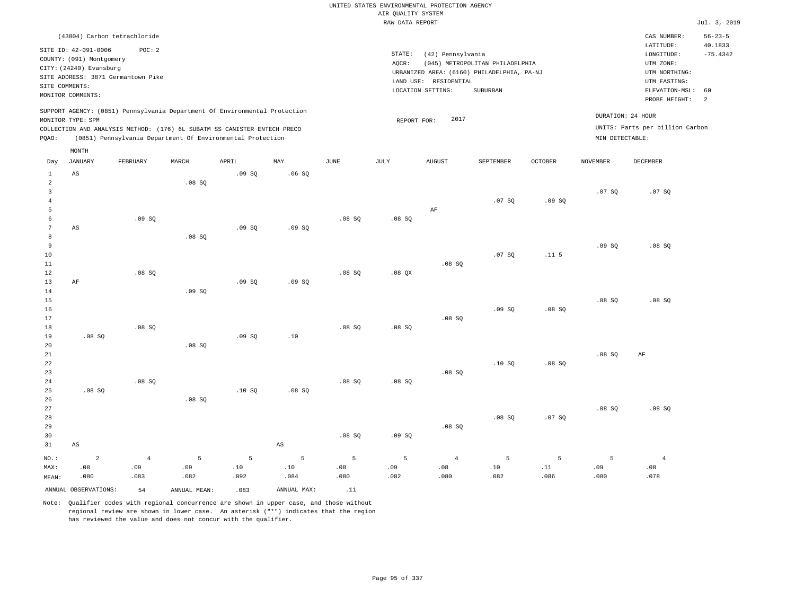|                         |                          |                                    |               |                                                                            |                        |             |                    | UNITED STATES ENVIRONMENTAL PROTECTION AGENCY |                                            |                |                 |                                 |                          |
|-------------------------|--------------------------|------------------------------------|---------------|----------------------------------------------------------------------------|------------------------|-------------|--------------------|-----------------------------------------------|--------------------------------------------|----------------|-----------------|---------------------------------|--------------------------|
|                         |                          |                                    |               |                                                                            |                        |             | AIR QUALITY SYSTEM |                                               |                                            |                |                 |                                 |                          |
|                         |                          |                                    |               |                                                                            |                        |             | RAW DATA REPORT    |                                               |                                            |                |                 |                                 | Jul. 3, 2019             |
|                         |                          | (43804) Carbon tetrachloride       |               |                                                                            |                        |             |                    |                                               |                                            |                |                 | CAS NUMBER:<br>LATITUDE:        | $56 - 23 - 5$<br>40.1833 |
|                         | SITE ID: 42-091-0006     | POC: 2                             |               |                                                                            |                        |             | STATE:             | (42) Pennsylvania                             |                                            |                |                 | LONGITUDE:                      | $-75.4342$               |
|                         | COUNTY: (091) Montgomery |                                    |               |                                                                            |                        |             | AQCR:              |                                               | (045) METROPOLITAN PHILADELPHIA            |                |                 | UTM ZONE:                       |                          |
|                         | CITY: (24240) Evansburg  | SITE ADDRESS: 3871 Germantown Pike |               |                                                                            |                        |             |                    |                                               | URBANIZED AREA: (6160) PHILADELPHIA, PA-NJ |                |                 | UTM NORTHING:                   |                          |
|                         | SITE COMMENTS:           |                                    |               |                                                                            |                        |             |                    | LAND USE: RESIDENTIAL                         |                                            |                |                 | UTM EASTING:                    |                          |
|                         | MONITOR COMMENTS:        |                                    |               |                                                                            |                        |             |                    | LOCATION SETTING:                             | SUBURBAN                                   |                |                 | ELEVATION-MSL:<br>PROBE HEIGHT: | 60<br>2                  |
|                         | MONITOR TYPE: SPM        |                                    |               | SUPPORT AGENCY: (0851) Pennsylvania Department Of Environmental Protection |                        |             | REPORT FOR:        | 2017                                          |                                            |                |                 | DURATION: 24 HOUR               |                          |
|                         |                          |                                    |               | COLLECTION AND ANALYSIS METHOD: (176) 6L SUBATM SS CANISTER ENTECH PRECO   |                        |             |                    |                                               |                                            |                |                 | UNITS: Parts per billion Carbon |                          |
| PQAO:                   |                          |                                    |               | (0851) Pennsylvania Department Of Environmental Protection                 |                        |             |                    |                                               |                                            |                | MIN DETECTABLE: |                                 |                          |
| Day                     | MONTH<br><b>JANUARY</b>  | FEBRUARY                           | MARCH         | APRIL                                                                      | MAY                    | <b>JUNE</b> | JULY               | <b>AUGUST</b>                                 | SEPTEMBER                                  | <b>OCTOBER</b> | <b>NOVEMBER</b> | DECEMBER                        |                          |
|                         |                          |                                    |               |                                                                            |                        |             |                    |                                               |                                            |                |                 |                                 |                          |
| $1\,$<br>$\overline{a}$ | AS                       |                                    | .08SQ         | .09SQ                                                                      | .06SQ                  |             |                    |                                               |                                            |                |                 |                                 |                          |
| $\overline{3}$          |                          |                                    |               |                                                                            |                        |             |                    |                                               |                                            |                | .07SQ           | .07 SQ                          |                          |
| $\overline{4}$          |                          |                                    |               |                                                                            |                        |             |                    |                                               | .07 SQ                                     | .09SQ          |                 |                                 |                          |
| 5                       |                          |                                    |               |                                                                            |                        |             |                    | AF                                            |                                            |                |                 |                                 |                          |
| 6                       |                          | .09SQ                              |               |                                                                            |                        | .08SQ       | .08SQ              |                                               |                                            |                |                 |                                 |                          |
| $7\phantom{.0}$<br>8    | AS                       |                                    |               | .09S                                                                       | .09S                   |             |                    |                                               |                                            |                |                 |                                 |                          |
| 9                       |                          |                                    | .08SQ         |                                                                            |                        |             |                    |                                               |                                            |                | .09SQ           | .08SQ                           |                          |
| $10$                    |                          |                                    |               |                                                                            |                        |             |                    |                                               | .07 SQ                                     | $.11-5$        |                 |                                 |                          |
| 11                      |                          |                                    |               |                                                                            |                        |             |                    | .08S                                          |                                            |                |                 |                                 |                          |
| 12                      |                          | .08SQ                              |               |                                                                            |                        | .08SQ       | $.08$ QX           |                                               |                                            |                |                 |                                 |                          |
| 13                      | AF                       |                                    |               | .09S                                                                       | .09S                   |             |                    |                                               |                                            |                |                 |                                 |                          |
| 14                      |                          |                                    | .09S          |                                                                            |                        |             |                    |                                               |                                            |                |                 |                                 |                          |
| 15                      |                          |                                    |               |                                                                            |                        |             |                    |                                               |                                            |                | .08S            | .08S                            |                          |
| 16                      |                          |                                    |               |                                                                            |                        |             |                    |                                               | .09SQ                                      | .08SQ          |                 |                                 |                          |
| 17                      |                          |                                    |               |                                                                            |                        |             |                    | .08SQ                                         |                                            |                |                 |                                 |                          |
| 18                      |                          | .08SQ                              |               |                                                                            |                        | $.08$ SO    | .08S               |                                               |                                            |                |                 |                                 |                          |
| 19                      | .08SQ                    |                                    |               | .09SQ                                                                      | .10                    |             |                    |                                               |                                            |                |                 |                                 |                          |
| 20                      |                          |                                    | .08S          |                                                                            |                        |             |                    |                                               |                                            |                |                 |                                 |                          |
| 21                      |                          |                                    |               |                                                                            |                        |             |                    |                                               |                                            |                | .08S            | AF                              |                          |
| 22                      |                          |                                    |               |                                                                            |                        |             |                    |                                               | .10SQ                                      | .08SQ          |                 |                                 |                          |
| 23                      |                          |                                    |               |                                                                            |                        |             |                    | .08SQ                                         |                                            |                |                 |                                 |                          |
| 24                      |                          | .08SQ                              |               |                                                                            |                        | .08S        | .08S               |                                               |                                            |                |                 |                                 |                          |
| 25<br>26                | .08SQ                    |                                    | .08S          | .10S                                                                       | .08 SQ                 |             |                    |                                               |                                            |                |                 |                                 |                          |
| 27                      |                          |                                    |               |                                                                            |                        |             |                    |                                               |                                            |                | .08SQ           | .08SQ                           |                          |
| 28                      |                          |                                    |               |                                                                            |                        |             |                    |                                               | $.08$ SO                                   | .07S           |                 |                                 |                          |
| 29                      |                          |                                    |               |                                                                            |                        |             |                    | .08SQ                                         |                                            |                |                 |                                 |                          |
| 30                      |                          |                                    |               |                                                                            |                        | .08SQ       | .09SQ              |                                               |                                            |                |                 |                                 |                          |
| 31                      | $_{\rm AS}$              |                                    |               |                                                                            | $\mathbb{A}\mathbb{S}$ |             |                    |                                               |                                            |                |                 |                                 |                          |
| NO.:                    | $\overline{a}$           | $\overline{4}$                     | 5             | 5                                                                          | 5                      | 5           | 5                  | $\overline{4}$                                | 5                                          | 5              | 5               | $\overline{4}$                  |                          |
| MAX:                    | .08                      | .09                                | .09           | .10                                                                        | .10                    | .08         | .09                | .08                                           | .10                                        | .11            | .09             | .08                             |                          |
| MEAN:                   | .080                     | .083                               | .082          | .092                                                                       | .084                   | .080        | .082               | .080                                          | .082                                       | .086           | .080            | .078                            |                          |
|                         | ANNUAL OBSERVATIONS:     | 54                                 | ANNUAL, MEAN: | .083                                                                       | ANNUAL MAX:            | .11         |                    |                                               |                                            |                |                 |                                 |                          |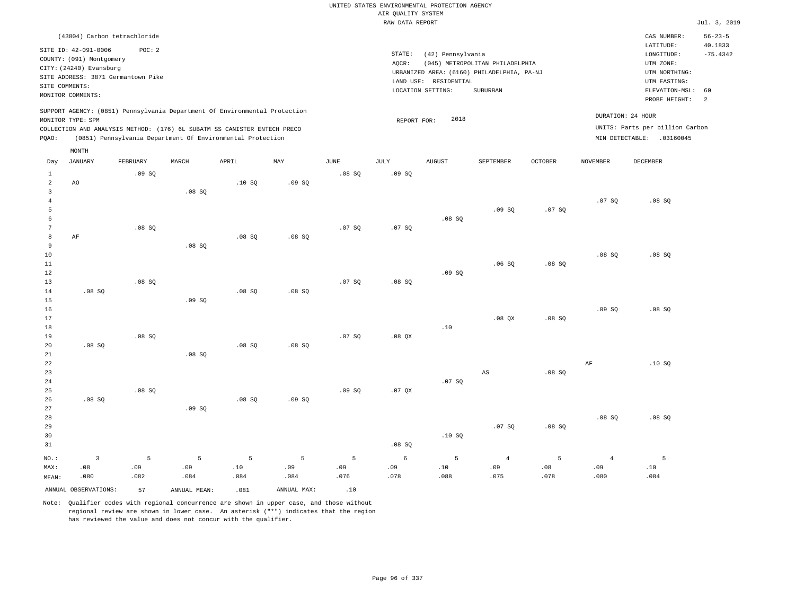|                         |                                                                                                                                                                             |             |              |                                                            |             |             |                    | UNITED STATES ENVIRONMENTAL PROTECTION AGENCY |                                            |                |                 |                                                      |                          |
|-------------------------|-----------------------------------------------------------------------------------------------------------------------------------------------------------------------------|-------------|--------------|------------------------------------------------------------|-------------|-------------|--------------------|-----------------------------------------------|--------------------------------------------|----------------|-----------------|------------------------------------------------------|--------------------------|
|                         |                                                                                                                                                                             |             |              |                                                            |             |             | AIR QUALITY SYSTEM |                                               |                                            |                |                 |                                                      |                          |
|                         |                                                                                                                                                                             |             |              |                                                            |             |             | RAW DATA REPORT    |                                               |                                            |                |                 |                                                      | Jul. 3, 2019             |
|                         | (43804) Carbon tetrachloride<br>SITE ID: 42-091-0006                                                                                                                        | POC: 2      |              |                                                            |             |             |                    |                                               |                                            |                |                 | CAS NUMBER:<br>LATITUDE:                             | $56 - 23 - 5$<br>40.1833 |
|                         | COUNTY: (091) Montgomery                                                                                                                                                    |             |              |                                                            |             |             | STATE:             | (42) Pennsylvania                             |                                            |                |                 | LONGITUDE:                                           | $-75.4342$               |
|                         | CITY: (24240) Evansburg                                                                                                                                                     |             |              |                                                            |             |             | AQCR:              |                                               | (045) METROPOLITAN PHILADELPHIA            |                |                 | UTM ZONE:                                            |                          |
|                         | SITE ADDRESS: 3871 Germantown Pike                                                                                                                                          |             |              |                                                            |             |             |                    |                                               | URBANIZED AREA: (6160) PHILADELPHIA, PA-NJ |                |                 | UTM NORTHING:                                        |                          |
|                         | SITE COMMENTS:                                                                                                                                                              |             |              |                                                            |             |             |                    | LAND USE: RESIDENTIAL                         |                                            |                |                 | UTM EASTING:                                         |                          |
|                         | MONITOR COMMENTS:                                                                                                                                                           |             |              |                                                            |             |             |                    | LOCATION SETTING:                             | SUBURBAN                                   |                |                 | ELEVATION-MSL:<br>PROBE HEIGHT:                      | 60<br>$\overline{a}$     |
|                         | SUPPORT AGENCY: (0851) Pennsylvania Department Of Environmental Protection<br>MONITOR TYPE: SPM<br>COLLECTION AND ANALYSIS METHOD: (176) 6L SUBATM SS CANISTER ENTECH PRECO |             |              |                                                            |             |             | REPORT FOR:        | 2018                                          |                                            |                |                 | DURATION: 24 HOUR<br>UNITS: Parts per billion Carbon |                          |
| PQAO:                   |                                                                                                                                                                             |             |              | (0851) Pennsylvania Department Of Environmental Protection |             |             |                    |                                               |                                            |                |                 | MIN DETECTABLE: .03160045                            |                          |
|                         | MONTH                                                                                                                                                                       |             |              |                                                            |             |             |                    |                                               |                                            |                |                 |                                                      |                          |
| Day                     | <b>JANUARY</b>                                                                                                                                                              | FEBRUARY    | MARCH        | APRIL                                                      | MAY         | <b>JUNE</b> | <b>JULY</b>        | <b>AUGUST</b>                                 | SEPTEMBER                                  | <b>OCTOBER</b> | <b>NOVEMBER</b> | <b>DECEMBER</b>                                      |                          |
| $\mathbf{1}$            |                                                                                                                                                                             | .09SQ       |              |                                                            |             | .08S        | .09SQ              |                                               |                                            |                |                 |                                                      |                          |
| $\overline{2}$          | AO.                                                                                                                                                                         |             |              | .10S                                                       | .09S        |             |                    |                                               |                                            |                |                 |                                                      |                          |
| $\overline{\mathbf{3}}$ |                                                                                                                                                                             |             | .08SQ        |                                                            |             |             |                    |                                               |                                            |                |                 |                                                      |                          |
| $\overline{4}$          |                                                                                                                                                                             |             |              |                                                            |             |             |                    |                                               |                                            |                | .07S            | .08SQ                                                |                          |
| 5                       |                                                                                                                                                                             |             |              |                                                            |             |             |                    |                                               | .09SQ                                      | .07 SQ         |                 |                                                      |                          |
| 6<br>7                  |                                                                                                                                                                             |             |              |                                                            |             |             |                    | .08S                                          |                                            |                |                 |                                                      |                          |
| 8                       | AF                                                                                                                                                                          | .08SQ       |              | .08S                                                       | .08S        | .07 SQ      | .07 SQ             |                                               |                                            |                |                 |                                                      |                          |
| 9                       |                                                                                                                                                                             |             | .08S         |                                                            |             |             |                    |                                               |                                            |                |                 |                                                      |                          |
| 10                      |                                                                                                                                                                             |             |              |                                                            |             |             |                    |                                               |                                            |                | .08S            | .08S                                                 |                          |
| $1\,1$                  |                                                                                                                                                                             |             |              |                                                            |             |             |                    |                                               | .06SQ                                      | .08SQ          |                 |                                                      |                          |
| $1\,2$                  |                                                                                                                                                                             |             |              |                                                            |             |             |                    | .09SQ                                         |                                            |                |                 |                                                      |                          |
| 13                      |                                                                                                                                                                             | .08SQ       |              |                                                            |             | .07 SQ      | .08SQ              |                                               |                                            |                |                 |                                                      |                          |
| 14                      | .08SQ                                                                                                                                                                       |             |              | .08SQ                                                      | .08SQ       |             |                    |                                               |                                            |                |                 |                                                      |                          |
| 15                      |                                                                                                                                                                             |             | .09SQ        |                                                            |             |             |                    |                                               |                                            |                |                 |                                                      |                          |
| 16                      |                                                                                                                                                                             |             |              |                                                            |             |             |                    |                                               |                                            |                | .09SQ           | .08SQ                                                |                          |
| 17                      |                                                                                                                                                                             |             |              |                                                            |             |             |                    |                                               | $.08$ $OX$                                 | .08S           |                 |                                                      |                          |
| 18                      |                                                                                                                                                                             |             |              |                                                            |             |             |                    | .10                                           |                                            |                |                 |                                                      |                          |
| 19                      |                                                                                                                                                                             | .08S        |              |                                                            |             | .07S        | $.08$ $OX$         |                                               |                                            |                |                 |                                                      |                          |
| 20                      | .08SQ                                                                                                                                                                       |             |              | .08SQ                                                      | .08SQ       |             |                    |                                               |                                            |                |                 |                                                      |                          |
| 21                      |                                                                                                                                                                             |             | .08S         |                                                            |             |             |                    |                                               |                                            |                |                 |                                                      |                          |
| 22                      |                                                                                                                                                                             |             |              |                                                            |             |             |                    |                                               |                                            |                | $\rm AF$        | .10S                                                 |                          |
| 23                      |                                                                                                                                                                             |             |              |                                                            |             |             |                    |                                               | AS                                         | .08S           |                 |                                                      |                          |
| 24                      |                                                                                                                                                                             | .08S        |              |                                                            |             |             |                    | .07SQ                                         |                                            |                |                 |                                                      |                          |
| 25<br>26                | .08SQ                                                                                                                                                                       |             |              | .08SQ                                                      | .09S        | .09S        | .07OX              |                                               |                                            |                |                 |                                                      |                          |
| 27                      |                                                                                                                                                                             |             | .09S         |                                                            |             |             |                    |                                               |                                            |                |                 |                                                      |                          |
| 28                      |                                                                                                                                                                             |             |              |                                                            |             |             |                    |                                               |                                            |                | $.08$ SO        | .08S                                                 |                          |
| 29                      |                                                                                                                                                                             |             |              |                                                            |             |             |                    |                                               | .07SQ                                      | .08SQ          |                 |                                                      |                          |
| 30                      |                                                                                                                                                                             |             |              |                                                            |             |             |                    | .10S                                          |                                            |                |                 |                                                      |                          |
| 31                      |                                                                                                                                                                             |             |              |                                                            |             |             | .08SQ              |                                               |                                            |                |                 |                                                      |                          |
|                         |                                                                                                                                                                             |             |              |                                                            |             |             |                    |                                               |                                            |                |                 |                                                      |                          |
| NO.:                    | $\overline{3}$                                                                                                                                                              | 5           | 5            | 5                                                          | 5           | 5           | 6                  | 5                                             | $\overline{4}$                             | 5              | $\overline{4}$  | 5                                                    |                          |
| MAX:                    | .08<br>.080                                                                                                                                                                 | .09<br>.082 | .09<br>.084  | .10<br>.084                                                | .09<br>.084 | .09<br>.076 | .09<br>.078        | .10<br>.088                                   | .09<br>.075                                | .08<br>.078    | .09<br>.080     | $.10$<br>.084                                        |                          |
| MEAN:                   |                                                                                                                                                                             |             |              |                                                            |             |             |                    |                                               |                                            |                |                 |                                                      |                          |
|                         | ANNUAL OBSERVATIONS:                                                                                                                                                        | 57          | ANNUAL MEAN: | .081                                                       | ANNUAL MAX: | .10         |                    |                                               |                                            |                |                 |                                                      |                          |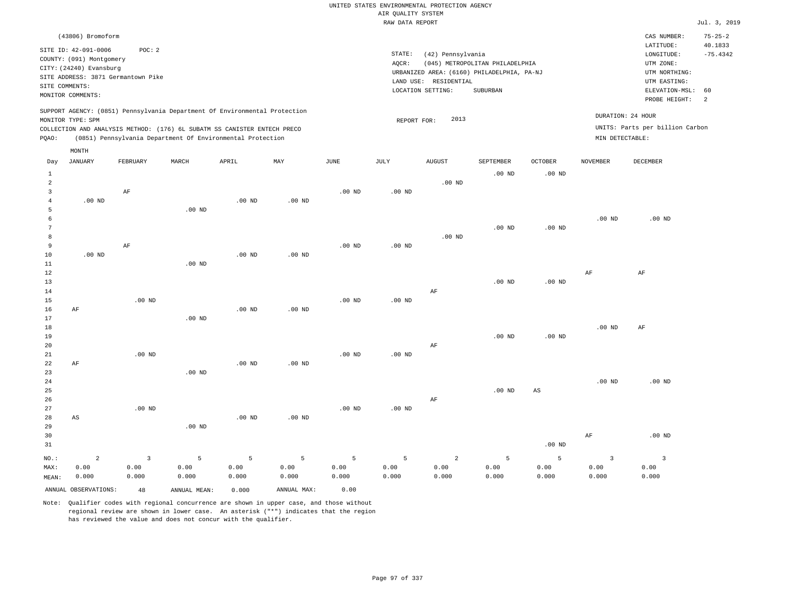| UNITED STATES ENVIRONMENTAL PROTECTION AGENCY |                                 |
|-----------------------------------------------|---------------------------------|
| AIR OUALITY SYSTEM                            |                                 |
| RAW DATA REPORT                               |                                 |
|                                               |                                 |
|                                               |                                 |
|                                               |                                 |
| STATE:                                        | (42) Pennsylvania               |
| AOCR:                                         | (045) METROPOLITAN PHILADELPHIA |

LOCATION SETTING: SUBURBAN

URBANIZED AREA: (6160) PHILADELPHIA, PA-NJ (UTM NORTHING:

LAND USE: RESIDENTIAL

REPORT FOR: 2013

 $Jul. 3, 2019$ 

CAS NUMBER: 75-25-2

 $LONGITUDE: -75.4342$ LATITUDE: 40.1833

PROBE HEIGHT: 2 ELEVATION-MSL: 60

UTM EASTING: UTM ZONE:

DURATION: 24 HOUR

SITE ID: 42-091-0006 POC: 2 COUNTY: (091) Montgomery CITY: (24240) Evansburg SITE ADDRESS: 3871 Germantown Pike SITE COMMENTS: MONITOR COMMENTS:

(43806) Bromoform

SUPPORT AGENCY: (0851) Pennsylvania Department Of Environmental Protection MONITOR TYPE: SPM

COLLECTION AND ANALYSIS METHOD: (176) 6L SUBATM SS CANISTER ENTECH PRECO UNITS: Parts per billion Carbon PQAO: (0851) Pennsylvania Department Of Environmental Protection MIN DETECTABLE: MONTH

| Day                                                        | JANUARY                | FEBRUARY       | $\tt MARCH$   | APRIL             | MAY           | JUNE          | JULY          | AUGUST         | SEPTEMBER         | OCTOBER                | NOVEMBER          | DECEMBER                |
|------------------------------------------------------------|------------------------|----------------|---------------|-------------------|---------------|---------------|---------------|----------------|-------------------|------------------------|-------------------|-------------------------|
| $\mathbf{1}$<br>$\overline{a}$<br>3<br>$\overline{4}$<br>5 | $.00$ ND               | $\rm AF$       | $.00$ ND      | $.00$ ND          | $.00$ ND      | $.00$ ND      | $.00$ ND      | $.00$ ND       | $.00$ ND          | $.00$ ND               |                   |                         |
| 6<br>7<br>$^{\rm 8}$<br>9<br>$10$                          | $.00$ ND               | $\rm AF$       |               | $.00$ ND          | $.00$ ND      | $.00$ ND      | $.00$ ND      | $.00$ ND       | $.00$ ND          | .00 $ND$               | $.00$ ND          | $.00$ ND                |
| $11\,$<br>12<br>13<br>14<br>15                             |                        | $.00$ ND       | $.00$ ND      |                   |               | $.00$ ND      | $.00$ ND      | AF             | $.00$ ND          | .00 $ND$               | $\rm{AF}$         | $\rm{AF}$               |
| 16<br>17<br>18<br>19<br>20<br>21                           | $\rm AF$               | $.00$ ND       | $.00$ ND      | $.00$ ND          | $.00$ ND      | $.00$ ND      | $.00$ ND      | $\rm AF$       | $.00$ ND          | $.00$ ND               | .00 <sub>ND</sub> | $\rm AF$                |
| 22<br>23<br>$2\sqrt{4}$<br>25<br>26                        | $\rm AF$               |                | $.00$ ND      | $.00$ ND          | $.00$ ND      |               |               | $\rm AF$       | .00 <sub>ND</sub> | $\mathbb{A}\mathbb{S}$ | .00 <sub>ND</sub> | $.00$ ND                |
| 27<br>$2\,8$<br>29<br>30<br>31                             | $\mathbb{A}\mathbb{S}$ | $.00$ ND       | $.00$ ND      | .00 <sub>ND</sub> | $.00$ ND      | $.00$ ND      | $.00$ ND      |                |                   | $.00$ ND               | $\rm{AF}$         | $.00$ ND                |
| $NO.$ :                                                    | $\overline{a}$         | $\overline{3}$ | 5             | 5                 | 5             | 5             | 5             | $\overline{a}$ | 5                 | 5                      | 3                 | $\overline{\mathbf{3}}$ |
| MAX:<br>MEAN:                                              | 0.00<br>0.000          | 0.00<br>0.000  | 0.00<br>0.000 | 0.00<br>0.000     | 0.00<br>0.000 | 0.00<br>0.000 | 0.00<br>0.000 | 0.00<br>0.000  | 0.00<br>0.000     | 0.00<br>0.000          | 0.00<br>0.000     | 0.00<br>0.000           |
|                                                            | ANNUAL OBSERVATIONS:   | 48             | ANNUAL MEAN:  | 0.000             | ANNUAL MAX:   | 0.00          |               |                |                   |                        |                   |                         |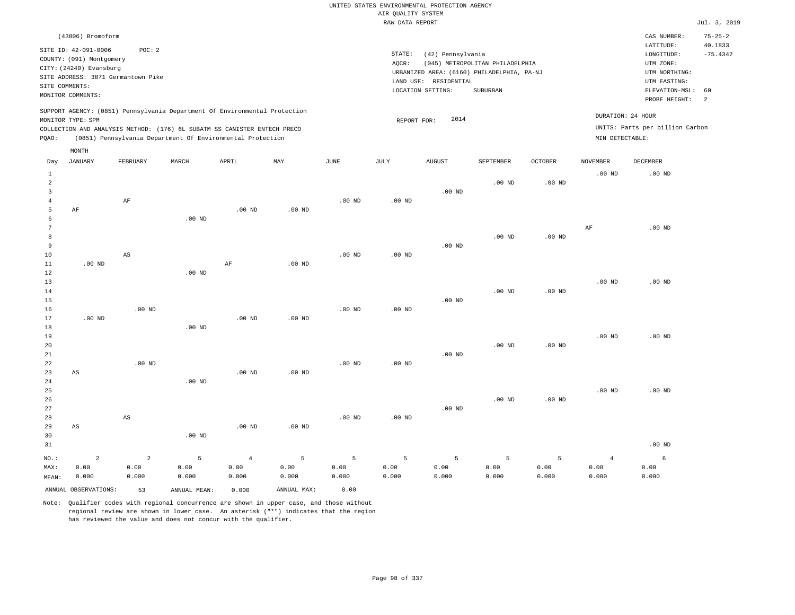|                |                                    |                        |                                                                            |                   |                   |                   |                    | UNITED STATES ENVIRONMENTAL PROTECTION AGENCY |                                            |                   |                   |                                 |                          |
|----------------|------------------------------------|------------------------|----------------------------------------------------------------------------|-------------------|-------------------|-------------------|--------------------|-----------------------------------------------|--------------------------------------------|-------------------|-------------------|---------------------------------|--------------------------|
|                |                                    |                        |                                                                            |                   |                   |                   | AIR QUALITY SYSTEM |                                               |                                            |                   |                   |                                 |                          |
|                |                                    |                        |                                                                            |                   |                   |                   | RAW DATA REPORT    |                                               |                                            |                   |                   |                                 | Jul. 3, 2019             |
|                | (43806) Bromoform                  |                        |                                                                            |                   |                   |                   |                    |                                               |                                            |                   |                   | CAS NUMBER:<br>LATITUDE:        | $75 - 25 - 2$<br>40.1833 |
|                | SITE ID: 42-091-0006               | POC: 2                 |                                                                            |                   |                   |                   | STATE:             | (42) Pennsylvania                             |                                            |                   |                   | LONGITUDE:                      | $-75.4342$               |
|                | COUNTY: (091) Montgomery           |                        |                                                                            |                   |                   |                   | AOCR:              |                                               | (045) METROPOLITAN PHILADELPHIA            |                   |                   | UTM ZONE:                       |                          |
|                | CITY: (24240) Evansburg            |                        |                                                                            |                   |                   |                   |                    |                                               | URBANIZED AREA: (6160) PHILADELPHIA, PA-NJ |                   |                   | UTM NORTHING:                   |                          |
|                | SITE ADDRESS: 3871 Germantown Pike |                        |                                                                            |                   |                   |                   |                    | LAND USE: RESIDENTIAL                         |                                            |                   |                   | UTM EASTING:                    |                          |
| SITE COMMENTS: |                                    |                        |                                                                            |                   |                   |                   |                    | LOCATION SETTING:                             | SUBURBAN                                   |                   |                   | ELEVATION-MSL:                  | 60                       |
|                | MONITOR COMMENTS:                  |                        |                                                                            |                   |                   |                   |                    |                                               |                                            |                   |                   | PROBE HEIGHT:                   | $\overline{a}$           |
|                |                                    |                        | SUPPORT AGENCY: (0851) Pennsylvania Department Of Environmental Protection |                   |                   |                   |                    |                                               |                                            |                   |                   | DURATION: 24 HOUR               |                          |
|                | MONITOR TYPE: SPM                  |                        |                                                                            |                   |                   |                   | REPORT FOR:        | 2014                                          |                                            |                   |                   |                                 |                          |
|                |                                    |                        | COLLECTION AND ANALYSIS METHOD: (176) 6L SUBATM SS CANISTER ENTECH PRECO   |                   |                   |                   |                    |                                               |                                            |                   |                   | UNITS: Parts per billion Carbon |                          |
| PQAO:          |                                    |                        | (0851) Pennsylvania Department Of Environmental Protection                 |                   |                   |                   |                    |                                               |                                            |                   | MIN DETECTABLE:   |                                 |                          |
| Day            | MONTH<br><b>JANUARY</b>            | FEBRUARY               | MARCH                                                                      | APRIL             | MAY               | JUNE              | JULY               | <b>AUGUST</b>                                 | SEPTEMBER                                  | <b>OCTOBER</b>    | <b>NOVEMBER</b>   | DECEMBER                        |                          |
| $\mathbf{1}$   |                                    |                        |                                                                            |                   |                   |                   |                    |                                               |                                            |                   | .00 <sub>ND</sub> | $.00$ ND                        |                          |
| $\overline{a}$ |                                    |                        |                                                                            |                   |                   |                   |                    |                                               | .00 <sub>ND</sub>                          | $.00$ ND          |                   |                                 |                          |
| 3              |                                    |                        |                                                                            |                   |                   |                   |                    | $.00$ ND                                      |                                            |                   |                   |                                 |                          |
| $\overline{4}$ |                                    | $\rm AF$               |                                                                            |                   |                   | .00 <sub>ND</sub> | .00 <sub>ND</sub>  |                                               |                                            |                   |                   |                                 |                          |
| 5              | AF                                 |                        |                                                                            | $.00$ ND          | .00 <sub>ND</sub> |                   |                    |                                               |                                            |                   |                   |                                 |                          |
| 6              |                                    |                        | $.00$ ND                                                                   |                   |                   |                   |                    |                                               |                                            |                   |                   |                                 |                          |
| $\overline{7}$ |                                    |                        |                                                                            |                   |                   |                   |                    |                                               |                                            |                   | $\rm{AF}$         | $.00$ ND                        |                          |
| 8              |                                    |                        |                                                                            |                   |                   |                   |                    |                                               | $.00$ ND                                   | .00 <sub>ND</sub> |                   |                                 |                          |
| 9              |                                    |                        |                                                                            |                   |                   |                   |                    | $.00$ ND                                      |                                            |                   |                   |                                 |                          |
| $10$           |                                    | AS                     |                                                                            |                   |                   | $.00$ ND          | .00 <sub>ND</sub>  |                                               |                                            |                   |                   |                                 |                          |
| 11             | $.00$ ND                           |                        |                                                                            | $\rm AF$          | $.00$ ND          |                   |                    |                                               |                                            |                   |                   |                                 |                          |
| 12             |                                    |                        | $.00$ ND                                                                   |                   |                   |                   |                    |                                               |                                            |                   |                   |                                 |                          |
| 13             |                                    |                        |                                                                            |                   |                   |                   |                    |                                               |                                            |                   | .00 <sub>ND</sub> | $.00$ ND                        |                          |
| 14             |                                    |                        |                                                                            |                   |                   |                   |                    |                                               | $.00$ ND                                   | $.00$ ND          |                   |                                 |                          |
| 15             |                                    | $.00$ ND               |                                                                            |                   |                   |                   | $.00$ ND           | $.00$ ND                                      |                                            |                   |                   |                                 |                          |
| 16<br>17       | $.00$ ND                           |                        |                                                                            | $.00$ ND          | .00 <sub>ND</sub> | $.00$ ND          |                    |                                               |                                            |                   |                   |                                 |                          |
| 18             |                                    |                        | $.00$ ND                                                                   |                   |                   |                   |                    |                                               |                                            |                   |                   |                                 |                          |
| 19             |                                    |                        |                                                                            |                   |                   |                   |                    |                                               |                                            |                   | .00 <sub>ND</sub> | $.00$ ND                        |                          |
| 20             |                                    |                        |                                                                            |                   |                   |                   |                    |                                               | $.00$ ND                                   | $.00$ ND          |                   |                                 |                          |
| $2\sqrt{1}$    |                                    |                        |                                                                            |                   |                   |                   |                    | $.00$ ND                                      |                                            |                   |                   |                                 |                          |
| 22             |                                    | $.00$ ND               |                                                                            |                   |                   | $.00$ ND          | .00 <sub>ND</sub>  |                                               |                                            |                   |                   |                                 |                          |
| 23             | AS                                 |                        |                                                                            | $.00$ ND          | $.00$ ND          |                   |                    |                                               |                                            |                   |                   |                                 |                          |
| 24             |                                    |                        | $.00$ ND                                                                   |                   |                   |                   |                    |                                               |                                            |                   |                   |                                 |                          |
| 25             |                                    |                        |                                                                            |                   |                   |                   |                    |                                               |                                            |                   | .00 <sub>ND</sub> | $.00$ ND                        |                          |
| 26             |                                    |                        |                                                                            |                   |                   |                   |                    |                                               | $.00$ ND                                   | $.00$ ND          |                   |                                 |                          |
| 27             |                                    |                        |                                                                            |                   |                   |                   |                    | $.00$ ND                                      |                                            |                   |                   |                                 |                          |
| 28             |                                    | $\mathbb{A}\mathbb{S}$ |                                                                            |                   |                   | $.00$ ND          | $.00$ ND           |                                               |                                            |                   |                   |                                 |                          |
| 29             | AS                                 |                        |                                                                            | .00 <sub>ND</sub> | .00 <sub>ND</sub> |                   |                    |                                               |                                            |                   |                   |                                 |                          |
| 30             |                                    |                        | $.00$ ND                                                                   |                   |                   |                   |                    |                                               |                                            |                   |                   |                                 |                          |
| 31             |                                    |                        |                                                                            |                   |                   |                   |                    |                                               |                                            |                   |                   | $.00$ ND                        |                          |
| $NO.$ :        | $\overline{a}$                     | 2                      | 5                                                                          | $\overline{4}$    | 5                 | $\overline{5}$    | $\overline{5}$     | 5                                             | 5                                          | 5                 | $\sqrt{4}$        | 6                               |                          |
| MAX:           | 0.00                               | 0.00                   | 0.00                                                                       | 0.00              | 0.00              | 0.00              | 0.00               | 0.00                                          | 0.00                                       | 0.00              | 0.00              | 0.00                            |                          |
| MEAN:          | 0.000                              | 0.000                  | 0.000                                                                      | 0.000             | 0.000             | 0.000             | 0.000              | 0.000                                         | 0.000                                      | 0.000             | 0.000             | 0.000                           |                          |
|                | ANNUAL OBSERVATIONS:               | 53                     | ANNUAL, MEAN:                                                              | 0.000             | ANNUAL MAX:       | 0.00              |                    |                                               |                                            |                   |                   |                                 |                          |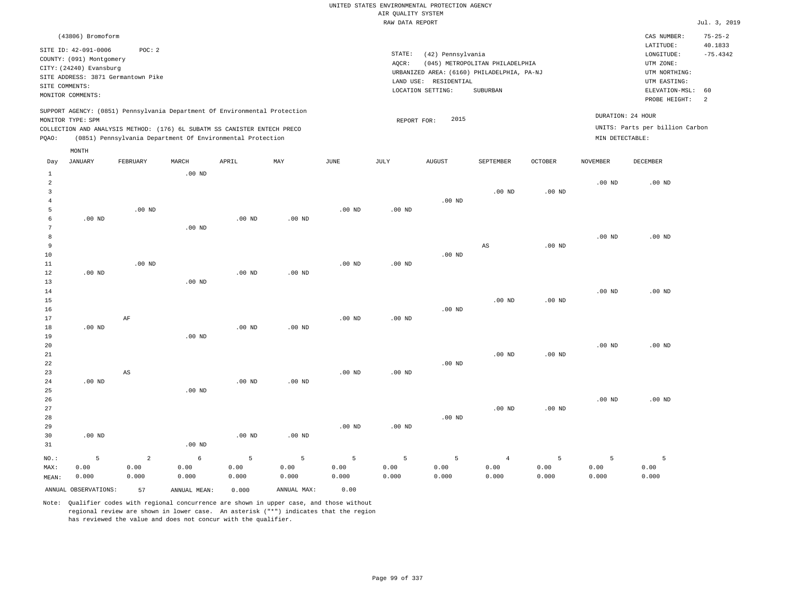| AIR QUALITY SYSTEM<br>RAW DATA REPORT<br>(43806) Bromoform<br>CAS NUMBER:<br>LATITUDE:<br>SITE ID: 42-091-0006<br>POC: 2<br>STATE:<br>(42) Pennsylvania<br>LONGITUDE:<br>COUNTY: (091) Montgomery<br>AOCR:<br>(045) METROPOLITAN PHILADELPHIA<br>UTM ZONE:<br>CITY: (24240) Evansburg<br>URBANIZED AREA: (6160) PHILADELPHIA, PA-NJ<br>UTM NORTHING:<br>SITE ADDRESS: 3871 Germantown Pike<br>LAND USE: RESIDENTIAL<br>UTM EASTING:<br>SITE COMMENTS:<br>LOCATION SETTING:<br>SUBURBAN<br>MONITOR COMMENTS:<br>PROBE HEIGHT:<br>SUPPORT AGENCY: (0851) Pennsylvania Department Of Environmental Protection<br>DURATION: 24 HOUR<br>2015<br>MONITOR TYPE: SPM<br>REPORT FOR:<br>UNITS: Parts per billion Carbon<br>COLLECTION AND ANALYSIS METHOD: (176) 6L SUBATM SS CANISTER ENTECH PRECO<br>(0851) Pennsylvania Department Of Environmental Protection<br>MIN DETECTABLE:<br>PQAO: |                                        |
|--------------------------------------------------------------------------------------------------------------------------------------------------------------------------------------------------------------------------------------------------------------------------------------------------------------------------------------------------------------------------------------------------------------------------------------------------------------------------------------------------------------------------------------------------------------------------------------------------------------------------------------------------------------------------------------------------------------------------------------------------------------------------------------------------------------------------------------------------------------------------------------|----------------------------------------|
|                                                                                                                                                                                                                                                                                                                                                                                                                                                                                                                                                                                                                                                                                                                                                                                                                                                                                      | Jul. 3, 2019                           |
|                                                                                                                                                                                                                                                                                                                                                                                                                                                                                                                                                                                                                                                                                                                                                                                                                                                                                      | $75 - 25 - 2$<br>40.1833               |
|                                                                                                                                                                                                                                                                                                                                                                                                                                                                                                                                                                                                                                                                                                                                                                                                                                                                                      | $-75.4342$                             |
|                                                                                                                                                                                                                                                                                                                                                                                                                                                                                                                                                                                                                                                                                                                                                                                                                                                                                      |                                        |
|                                                                                                                                                                                                                                                                                                                                                                                                                                                                                                                                                                                                                                                                                                                                                                                                                                                                                      |                                        |
|                                                                                                                                                                                                                                                                                                                                                                                                                                                                                                                                                                                                                                                                                                                                                                                                                                                                                      |                                        |
|                                                                                                                                                                                                                                                                                                                                                                                                                                                                                                                                                                                                                                                                                                                                                                                                                                                                                      | ELEVATION-MSL:<br>60<br>$\overline{a}$ |
|                                                                                                                                                                                                                                                                                                                                                                                                                                                                                                                                                                                                                                                                                                                                                                                                                                                                                      |                                        |
|                                                                                                                                                                                                                                                                                                                                                                                                                                                                                                                                                                                                                                                                                                                                                                                                                                                                                      |                                        |
|                                                                                                                                                                                                                                                                                                                                                                                                                                                                                                                                                                                                                                                                                                                                                                                                                                                                                      |                                        |
|                                                                                                                                                                                                                                                                                                                                                                                                                                                                                                                                                                                                                                                                                                                                                                                                                                                                                      |                                        |
| MONTH                                                                                                                                                                                                                                                                                                                                                                                                                                                                                                                                                                                                                                                                                                                                                                                                                                                                                |                                        |
| Day<br><b>JANUARY</b><br>FEBRUARY<br>MARCH<br>APRIL<br>MAY<br>JUNE<br>JULY<br><b>AUGUST</b><br>SEPTEMBER<br><b>OCTOBER</b><br><b>NOVEMBER</b><br>DECEMBER                                                                                                                                                                                                                                                                                                                                                                                                                                                                                                                                                                                                                                                                                                                            |                                        |
| $.00$ ND<br>$\mathbf{1}$<br>$\overline{a}$<br>.00 <sub>ND</sub><br>$.00$ ND                                                                                                                                                                                                                                                                                                                                                                                                                                                                                                                                                                                                                                                                                                                                                                                                          |                                        |
| $.00$ ND<br>$.00$ ND<br>3                                                                                                                                                                                                                                                                                                                                                                                                                                                                                                                                                                                                                                                                                                                                                                                                                                                            |                                        |
| $\overline{4}$<br>$.00$ ND                                                                                                                                                                                                                                                                                                                                                                                                                                                                                                                                                                                                                                                                                                                                                                                                                                                           |                                        |
| 5<br>$.00$ ND<br>$.00$ ND<br>$.00$ ND                                                                                                                                                                                                                                                                                                                                                                                                                                                                                                                                                                                                                                                                                                                                                                                                                                                |                                        |
| 6<br>$.00$ ND<br>$.00$ ND<br>$.00$ ND                                                                                                                                                                                                                                                                                                                                                                                                                                                                                                                                                                                                                                                                                                                                                                                                                                                |                                        |
| 7<br>$.00$ ND                                                                                                                                                                                                                                                                                                                                                                                                                                                                                                                                                                                                                                                                                                                                                                                                                                                                        |                                        |
| 8<br>.00 <sub>ND</sub><br>$.00$ ND                                                                                                                                                                                                                                                                                                                                                                                                                                                                                                                                                                                                                                                                                                                                                                                                                                                   |                                        |
| $\overline{9}$<br>$\mathbb{A}\mathbb{S}$<br>$.00$ ND                                                                                                                                                                                                                                                                                                                                                                                                                                                                                                                                                                                                                                                                                                                                                                                                                                 |                                        |
| 10<br>.00 <sub>ND</sub><br>$.00$ ND<br>$.00$ ND<br>$.00$ ND<br>11                                                                                                                                                                                                                                                                                                                                                                                                                                                                                                                                                                                                                                                                                                                                                                                                                    |                                        |
| 12<br>$.00$ ND<br>.00 <sub>ND</sub><br>.00 <sub>ND</sub>                                                                                                                                                                                                                                                                                                                                                                                                                                                                                                                                                                                                                                                                                                                                                                                                                             |                                        |
| 13<br>$.00$ ND                                                                                                                                                                                                                                                                                                                                                                                                                                                                                                                                                                                                                                                                                                                                                                                                                                                                       |                                        |
| 14<br>.00 <sub>ND</sub><br>$.00$ ND                                                                                                                                                                                                                                                                                                                                                                                                                                                                                                                                                                                                                                                                                                                                                                                                                                                  |                                        |
| 15<br>.00 <sub>ND</sub><br>$.00$ ND                                                                                                                                                                                                                                                                                                                                                                                                                                                                                                                                                                                                                                                                                                                                                                                                                                                  |                                        |
| $.00$ ND<br>16                                                                                                                                                                                                                                                                                                                                                                                                                                                                                                                                                                                                                                                                                                                                                                                                                                                                       |                                        |
| 17<br>AF<br>.00 <sub>ND</sub><br>.00 <sub>ND</sub>                                                                                                                                                                                                                                                                                                                                                                                                                                                                                                                                                                                                                                                                                                                                                                                                                                   |                                        |
| .00 <sub>ND</sub><br>18<br>.00 <sub>ND</sub><br>.00 <sub>ND</sub>                                                                                                                                                                                                                                                                                                                                                                                                                                                                                                                                                                                                                                                                                                                                                                                                                    |                                        |
| 19<br>$.00$ ND<br>20<br>.00 <sub>ND</sub><br>$.00$ ND                                                                                                                                                                                                                                                                                                                                                                                                                                                                                                                                                                                                                                                                                                                                                                                                                                |                                        |
| 21<br>$.00$ ND<br>$.00$ ND                                                                                                                                                                                                                                                                                                                                                                                                                                                                                                                                                                                                                                                                                                                                                                                                                                                           |                                        |
| $.00$ ND<br>22                                                                                                                                                                                                                                                                                                                                                                                                                                                                                                                                                                                                                                                                                                                                                                                                                                                                       |                                        |
| 23<br>AS<br>$.00$ ND<br>$.00$ ND                                                                                                                                                                                                                                                                                                                                                                                                                                                                                                                                                                                                                                                                                                                                                                                                                                                     |                                        |
| .00 $ND$<br>.00 <sub>ND</sub><br>.00 <sub>ND</sub><br>24                                                                                                                                                                                                                                                                                                                                                                                                                                                                                                                                                                                                                                                                                                                                                                                                                             |                                        |
| 25<br>$.00$ ND                                                                                                                                                                                                                                                                                                                                                                                                                                                                                                                                                                                                                                                                                                                                                                                                                                                                       |                                        |
| 26<br>.00 <sub>ND</sub><br>$.00$ ND                                                                                                                                                                                                                                                                                                                                                                                                                                                                                                                                                                                                                                                                                                                                                                                                                                                  |                                        |
| 27<br>$.00$ ND<br>$.00$ ND                                                                                                                                                                                                                                                                                                                                                                                                                                                                                                                                                                                                                                                                                                                                                                                                                                                           |                                        |
| 28<br>.00 <sub>ND</sub>                                                                                                                                                                                                                                                                                                                                                                                                                                                                                                                                                                                                                                                                                                                                                                                                                                                              |                                        |
| 29<br>.00 <sub>ND</sub><br>$.00$ ND<br>.00 <sub>ND</sub><br>.00 <sub>ND</sub><br>30<br>$.00$ ND                                                                                                                                                                                                                                                                                                                                                                                                                                                                                                                                                                                                                                                                                                                                                                                      |                                        |
| 31<br>$.00$ ND                                                                                                                                                                                                                                                                                                                                                                                                                                                                                                                                                                                                                                                                                                                                                                                                                                                                       |                                        |
| $\overline{2}$<br>6<br>5<br>5<br>5<br>5<br>NO.:<br>5<br>5<br>5<br>5<br>$\overline{4}$<br>5                                                                                                                                                                                                                                                                                                                                                                                                                                                                                                                                                                                                                                                                                                                                                                                           |                                        |
| 0.00<br>0.00<br>0.00<br>0.00<br>0.00<br>0.00<br>0.00<br>0.00<br>0.00<br>0.00<br>0.00<br>0.00<br>MAX:                                                                                                                                                                                                                                                                                                                                                                                                                                                                                                                                                                                                                                                                                                                                                                                 |                                        |
| 0.000<br>0.000<br>0.000<br>0.000<br>0.000<br>0.000<br>0.000<br>0.000<br>0.000<br>0.000<br>0.000<br>0.000<br>MEAN:                                                                                                                                                                                                                                                                                                                                                                                                                                                                                                                                                                                                                                                                                                                                                                    |                                        |

ANNUAL OBSERVATIONS: 57 ANNUAL MEAN: 0.000 ANNUAL MAX: 0.00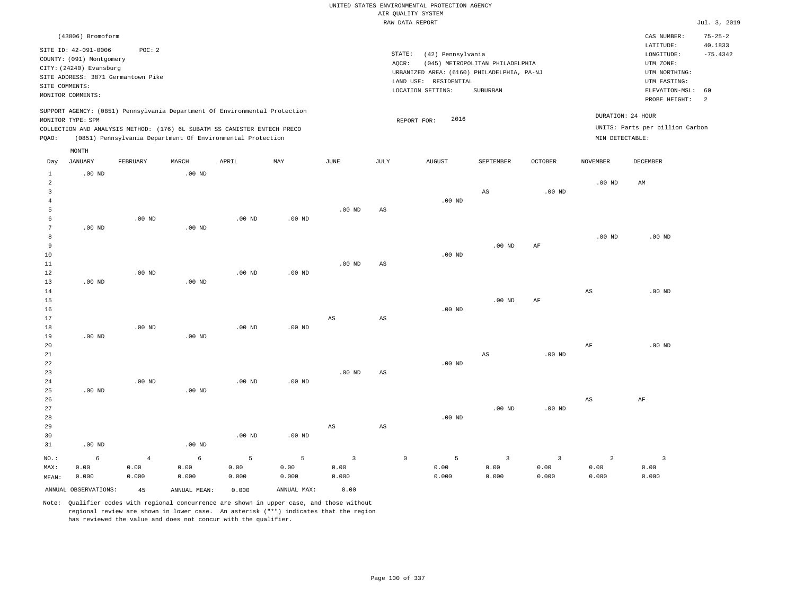|                                  |                                                                             |                             |                                                                            |                    |                    |                                 |                        | UNITED STATES ENVIRONMENTAL PROTECTION AGENCY                       |                                          |                               |                                 |                                          |                          |
|----------------------------------|-----------------------------------------------------------------------------|-----------------------------|----------------------------------------------------------------------------|--------------------|--------------------|---------------------------------|------------------------|---------------------------------------------------------------------|------------------------------------------|-------------------------------|---------------------------------|------------------------------------------|--------------------------|
|                                  |                                                                             |                             |                                                                            |                    |                    |                                 |                        | AIR QUALITY SYSTEM<br>RAW DATA REPORT                               |                                          |                               |                                 |                                          | Jul. 3, 2019             |
|                                  | (43806) Bromoform                                                           |                             |                                                                            |                    |                    |                                 |                        |                                                                     |                                          |                               |                                 | CAS NUMBER:<br>LATITUDE:                 | $75 - 25 - 2$<br>40.1833 |
|                                  | SITE ID: 42-091-0006<br>COUNTY: (091) Montgomery<br>CITY: (24240) Evansburg | POC: 2                      |                                                                            |                    |                    |                                 | STATE:<br>AOCR:        | (42) Pennsylvania                                                   | (045) METROPOLITAN PHILADELPHIA          |                               |                                 | LONGITUDE:<br>UTM ZONE:                  | $-75.4342$               |
|                                  | SITE ADDRESS: 3871 Germantown Pike                                          |                             |                                                                            |                    |                    |                                 |                        | URBANIZED AREA: (6160) PHILADELPHIA, PA-NJ<br>LAND USE: RESIDENTIAL |                                          |                               |                                 | UTM NORTHING:<br>UTM EASTING:            |                          |
|                                  | SITE COMMENTS:<br>MONITOR COMMENTS:                                         |                             |                                                                            |                    |                    |                                 |                        | LOCATION SETTING:                                                   | <b>SUBURBAN</b>                          |                               |                                 | ELEVATION-MSL:<br>PROBE HEIGHT:          | 60<br>2                  |
|                                  | MONITOR TYPE: SPM                                                           |                             | SUPPORT AGENCY: (0851) Pennsylvania Department Of Environmental Protection |                    |                    |                                 |                        | 2016<br>REPORT FOR:                                                 |                                          |                               | DURATION: 24 HOUR               |                                          |                          |
|                                  |                                                                             |                             | COLLECTION AND ANALYSIS METHOD: (176) 6L SUBATM SS CANISTER ENTECH PRECO   |                    |                    |                                 |                        |                                                                     |                                          |                               |                                 | UNITS: Parts per billion Carbon          |                          |
| PQAO:                            |                                                                             |                             | (0851) Pennsylvania Department Of Environmental Protection                 |                    |                    |                                 |                        |                                                                     |                                          |                               | MIN DETECTABLE:                 |                                          |                          |
|                                  | MONTH                                                                       |                             |                                                                            |                    |                    |                                 |                        |                                                                     |                                          |                               |                                 |                                          |                          |
| Day<br>1                         | <b>JANUARY</b><br>$.00$ ND                                                  | FEBRUARY                    | MARCH<br>$.00$ ND                                                          | APRIL              | MAY                | JUNE                            | JULY                   | <b>AUGUST</b>                                                       | SEPTEMBER                                | OCTOBER                       | NOVEMBER                        | DECEMBER                                 |                          |
| $\overline{2}$<br>$\overline{3}$ |                                                                             |                             |                                                                            |                    |                    |                                 |                        |                                                                     | AS                                       | .00 <sub>ND</sub>             | $.00$ ND                        | AM                                       |                          |
| $\overline{4}$<br>5              |                                                                             |                             |                                                                            |                    |                    | $.00$ ND                        | AS                     | $.00$ ND                                                            |                                          |                               |                                 |                                          |                          |
| $\epsilon$<br>$7\phantom{.0}$    | $.00$ ND                                                                    | $.00$ ND                    | $.00$ ND                                                                   | $.00$ ND           | $.00$ ND           |                                 |                        |                                                                     |                                          |                               |                                 |                                          |                          |
| 8<br>9                           |                                                                             |                             |                                                                            |                    |                    |                                 |                        |                                                                     | .00 <sub>ND</sub>                        | AF                            | .00 <sub>ND</sub>               | $.00$ ND                                 |                          |
| 10<br>11                         |                                                                             |                             |                                                                            |                    |                    | $.00$ ND                        | AS                     | $.00$ ND                                                            |                                          |                               |                                 |                                          |                          |
| 12<br>13                         | $.00$ ND                                                                    | $.00$ ND                    | .00 <sub>ND</sub>                                                          | $.00$ ND           | $.00$ ND           |                                 |                        |                                                                     |                                          |                               |                                 |                                          |                          |
| 14<br>15                         |                                                                             |                             |                                                                            |                    |                    |                                 |                        |                                                                     | .00 <sub>ND</sub>                        | $\rm{AF}$                     | AS                              | $.00$ ND                                 |                          |
| 16<br>17                         |                                                                             |                             |                                                                            |                    |                    | AS                              | $\mathbb{A}\mathbb{S}$ | $.00$ ND                                                            |                                          |                               |                                 |                                          |                          |
| 18<br>19                         | $.00$ ND                                                                    | $.00$ ND                    | .00 <sub>ND</sub>                                                          | .00 <sub>ND</sub>  | $.00$ ND           |                                 |                        |                                                                     |                                          |                               |                                 |                                          |                          |
| 20<br>21                         |                                                                             |                             |                                                                            |                    |                    |                                 |                        |                                                                     | AS                                       | $.00$ ND                      | $\rm{AF}$                       | $.00$ ND                                 |                          |
| 22<br>23<br>24                   |                                                                             | .00 <sub>ND</sub>           |                                                                            | $.00$ ND           | .00 <sub>ND</sub>  | $.00$ ND                        | AS                     | $.00$ ND                                                            |                                          |                               |                                 |                                          |                          |
| 25<br>26                         | $.00$ ND                                                                    |                             | $.00$ ND                                                                   |                    |                    |                                 |                        |                                                                     |                                          |                               | AS                              | AF                                       |                          |
| 27<br>28                         |                                                                             |                             |                                                                            |                    |                    |                                 |                        | $.00$ ND                                                            | $.00$ ND                                 | $.00$ ND                      |                                 |                                          |                          |
| 29<br>30                         |                                                                             |                             |                                                                            | $.00$ ND           | $.00$ ND           | $\mathbb{A}\mathbb{S}$          | AS                     |                                                                     |                                          |                               |                                 |                                          |                          |
| 31                               | $.00$ ND                                                                    |                             | $.00$ ND                                                                   |                    |                    |                                 |                        |                                                                     |                                          |                               |                                 |                                          |                          |
| NO.:<br>MAX:<br>MEAN:            | $\epsilon$<br>0.00<br>0.000                                                 | $\sqrt{4}$<br>0.00<br>0.000 | 6<br>0.00<br>0.000                                                         | 5<br>0.00<br>0.000 | 5<br>0.00<br>0.000 | $\overline{3}$<br>0.00<br>0.000 |                        | $\mathbb O$<br>5<br>0.00<br>0.000                                   | $\overline{\mathbf{3}}$<br>0.00<br>0.000 | $\mathbf{3}$<br>0.00<br>0.000 | $\overline{a}$<br>0.00<br>0.000 | $\overline{\mathbf{3}}$<br>0.00<br>0.000 |                          |
|                                  | ANNUAL OBSERVATIONS:                                                        | 45                          | ANNUAL, MEAN:                                                              | 0.000              | ANNUAL MAX:        | 0.00                            |                        |                                                                     |                                          |                               |                                 |                                          |                          |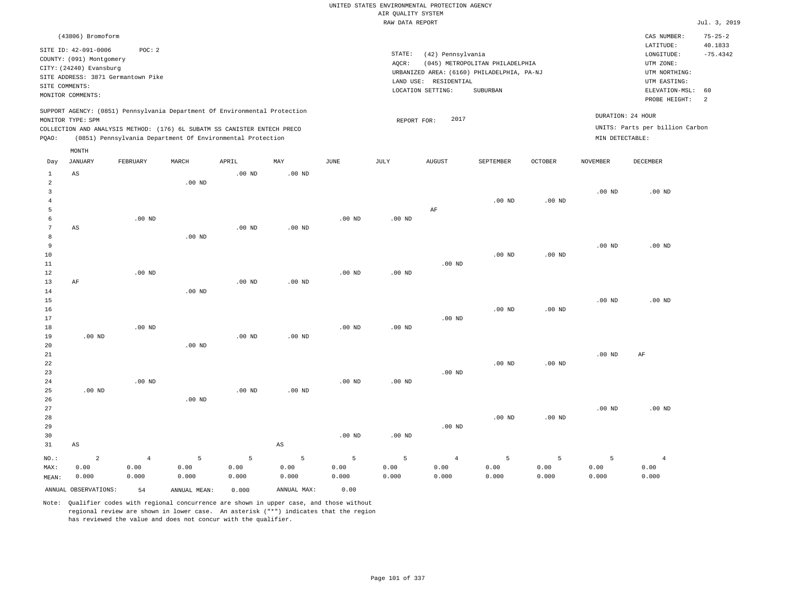|                                |                                                  |                   |                   |                                                                            |                        |                   |                    | UNITED STATES ENVIRONMENTAL PROTECTION AGENCY |                                            |          |                   |                                 |                          |
|--------------------------------|--------------------------------------------------|-------------------|-------------------|----------------------------------------------------------------------------|------------------------|-------------------|--------------------|-----------------------------------------------|--------------------------------------------|----------|-------------------|---------------------------------|--------------------------|
|                                |                                                  |                   |                   |                                                                            |                        |                   | AIR QUALITY SYSTEM |                                               |                                            |          |                   |                                 |                          |
|                                |                                                  |                   |                   |                                                                            |                        |                   | RAW DATA REPORT    |                                               |                                            |          |                   |                                 | Jul. 3, 2019             |
|                                | (43806) Bromoform                                |                   |                   |                                                                            |                        |                   |                    |                                               |                                            |          |                   | CAS NUMBER:<br>LATITUDE:        | $75 - 25 - 2$<br>40.1833 |
|                                | SITE ID: 42-091-0006<br>COUNTY: (091) Montgomery | POC: 2            |                   |                                                                            |                        |                   | STATE:             | (42) Pennsylvania                             |                                            |          |                   | LONGITUDE:                      | $-75.4342$               |
|                                | CITY: (24240) Evansburg                          |                   |                   |                                                                            |                        |                   | AQCR:              |                                               | (045) METROPOLITAN PHILADELPHIA            |          |                   | UTM ZONE:                       |                          |
|                                | SITE ADDRESS: 3871 Germantown Pike               |                   |                   |                                                                            |                        |                   |                    |                                               | URBANIZED AREA: (6160) PHILADELPHIA, PA-NJ |          |                   | UTM NORTHING:                   |                          |
| SITE COMMENTS:                 |                                                  |                   |                   |                                                                            |                        |                   |                    | LAND USE: RESIDENTIAL                         | SUBURBAN                                   |          |                   | UTM EASTING:                    | 60                       |
|                                | MONITOR COMMENTS:                                |                   |                   |                                                                            |                        |                   |                    | LOCATION SETTING:                             |                                            |          |                   | ELEVATION-MSL:<br>PROBE HEIGHT: | 2                        |
|                                |                                                  |                   |                   | SUPPORT AGENCY: (0851) Pennsylvania Department Of Environmental Protection |                        |                   |                    | 2017                                          |                                            |          |                   | DURATION: 24 HOUR               |                          |
|                                | MONITOR TYPE: SPM                                |                   |                   | COLLECTION AND ANALYSIS METHOD: (176) 6L SUBATM SS CANISTER ENTECH PRECO   |                        |                   | REPORT FOR:        |                                               |                                            |          |                   | UNITS: Parts per billion Carbon |                          |
| PQAO:                          |                                                  |                   |                   | (0851) Pennsylvania Department Of Environmental Protection                 |                        |                   |                    |                                               |                                            |          | MIN DETECTABLE:   |                                 |                          |
|                                | MONTH                                            |                   |                   |                                                                            |                        |                   |                    |                                               |                                            |          |                   |                                 |                          |
| Day                            | <b>JANUARY</b>                                   | FEBRUARY          | MARCH             | APRIL                                                                      | MAY                    | <b>JUNE</b>       | <b>JULY</b>        | <b>AUGUST</b>                                 | SEPTEMBER                                  | OCTOBER  | <b>NOVEMBER</b>   | <b>DECEMBER</b>                 |                          |
| $\mathbf{1}$<br>$\overline{2}$ | AS                                               |                   | .00 <sub>ND</sub> | .00 <sub>ND</sub>                                                          | .00 <sub>ND</sub>      |                   |                    |                                               |                                            |          |                   |                                 |                          |
| $\overline{3}$                 |                                                  |                   |                   |                                                                            |                        |                   |                    |                                               |                                            |          | $.00$ ND          | $.00$ ND                        |                          |
| $\overline{4}$                 |                                                  |                   |                   |                                                                            |                        |                   |                    |                                               | .00 <sub>ND</sub>                          | $.00$ ND |                   |                                 |                          |
| 5                              |                                                  |                   |                   |                                                                            |                        |                   |                    | AF                                            |                                            |          |                   |                                 |                          |
| 6                              |                                                  | $.00$ ND          |                   |                                                                            |                        | $.00$ ND          | $.00$ ND           |                                               |                                            |          |                   |                                 |                          |
| 7                              | AS                                               |                   |                   | .00 <sub>ND</sub>                                                          | $.00$ ND               |                   |                    |                                               |                                            |          |                   |                                 |                          |
| 8                              |                                                  |                   | .00 <sub>ND</sub> |                                                                            |                        |                   |                    |                                               |                                            |          |                   |                                 |                          |
| $\overline{9}$                 |                                                  |                   |                   |                                                                            |                        |                   |                    |                                               |                                            |          | $.00$ ND          | $.00$ ND                        |                          |
| 10                             |                                                  |                   |                   |                                                                            |                        |                   |                    |                                               | $.00$ ND                                   | $.00$ ND |                   |                                 |                          |
| 11                             |                                                  | $.00$ ND          |                   |                                                                            |                        | $.00$ ND          | .00 <sub>ND</sub>  | $.00$ ND                                      |                                            |          |                   |                                 |                          |
| 12<br>13                       | $\rm{AF}$                                        |                   |                   | .00 <sub>ND</sub>                                                          | $.00$ ND               |                   |                    |                                               |                                            |          |                   |                                 |                          |
| 14                             |                                                  |                   | .00 <sub>ND</sub> |                                                                            |                        |                   |                    |                                               |                                            |          |                   |                                 |                          |
| 15                             |                                                  |                   |                   |                                                                            |                        |                   |                    |                                               |                                            |          | .00 <sub>ND</sub> | $.00$ ND                        |                          |
| 16                             |                                                  |                   |                   |                                                                            |                        |                   |                    |                                               | $.00$ ND                                   | $.00$ ND |                   |                                 |                          |
| 17                             |                                                  |                   |                   |                                                                            |                        |                   |                    | $.00$ ND                                      |                                            |          |                   |                                 |                          |
| 18                             |                                                  | $.00$ ND          |                   |                                                                            |                        | $.00$ ND          | .00 <sub>ND</sub>  |                                               |                                            |          |                   |                                 |                          |
| 19                             | $.00$ ND                                         |                   |                   | $.00$ ND                                                                   | $.00$ ND               |                   |                    |                                               |                                            |          |                   |                                 |                          |
| 20                             |                                                  |                   | .00 <sub>ND</sub> |                                                                            |                        |                   |                    |                                               |                                            |          |                   |                                 |                          |
| 21<br>22                       |                                                  |                   |                   |                                                                            |                        |                   |                    |                                               | $.00$ ND                                   | $.00$ ND | $.00$ ND          | AF                              |                          |
| 23                             |                                                  |                   |                   |                                                                            |                        |                   |                    | $.00$ ND                                      |                                            |          |                   |                                 |                          |
| 24                             |                                                  | .00 <sub>ND</sub> |                   |                                                                            |                        | .00 <sub>ND</sub> | .00 <sub>ND</sub>  |                                               |                                            |          |                   |                                 |                          |
| 25                             | $.00$ ND                                         |                   |                   | $.00$ ND                                                                   | .00 <sub>ND</sub>      |                   |                    |                                               |                                            |          |                   |                                 |                          |
| 26                             |                                                  |                   | $.00$ ND          |                                                                            |                        |                   |                    |                                               |                                            |          |                   |                                 |                          |
| 27                             |                                                  |                   |                   |                                                                            |                        |                   |                    |                                               |                                            |          | $.00$ ND          | $.00$ ND                        |                          |
| 28                             |                                                  |                   |                   |                                                                            |                        |                   |                    |                                               | .00 <sub>ND</sub>                          | $.00$ ND |                   |                                 |                          |
| 29                             |                                                  |                   |                   |                                                                            |                        |                   |                    | $.00$ ND                                      |                                            |          |                   |                                 |                          |
| 30                             |                                                  |                   |                   |                                                                            |                        | .00 <sub>ND</sub> | .00 <sub>ND</sub>  |                                               |                                            |          |                   |                                 |                          |
| 31                             | $\mathbb{A}\mathbb{S}$                           |                   |                   |                                                                            | $\mathbb{A}\mathbb{S}$ |                   |                    |                                               |                                            |          |                   |                                 |                          |
| NO.:                           | $\overline{a}$                                   | $\overline{4}$    | 5                 | 5                                                                          | 5                      | 5                 | 5                  | $\overline{4}$                                | 5                                          | 5        | 5                 | $\overline{4}$                  |                          |
| MAX:                           | 0.00                                             | 0.00              | 0.00              | 0.00                                                                       | 0.00                   | 0.00              | 0.00               | 0.00                                          | 0.00                                       | 0.00     | 0.00              | 0.00                            |                          |
| MEAN:                          | 0.000                                            | 0.000             | 0.000             | 0.000                                                                      | 0.000                  | 0.000             | 0.000              | 0.000                                         | 0.000                                      | 0.000    | 0.000             | 0.000                           |                          |
|                                | ANNUAL OBSERVATIONS:                             | 54                | ANNUAL, MEAN:     | 0.000                                                                      | ANNUAL MAX:            | 0.00              |                    |                                               |                                            |          |                   |                                 |                          |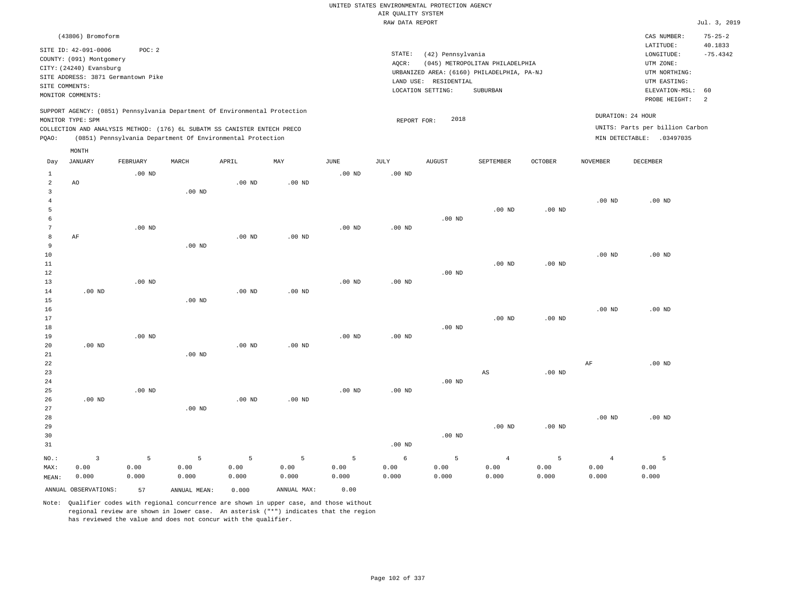|                     |                                                                                                 |                   |                   |                                                            |                   |                   |                                       | UNITED STATES ENVIRONMENTAL PROTECTION AGENCY |                                            |                   |                   |                                 |                       |
|---------------------|-------------------------------------------------------------------------------------------------|-------------------|-------------------|------------------------------------------------------------|-------------------|-------------------|---------------------------------------|-----------------------------------------------|--------------------------------------------|-------------------|-------------------|---------------------------------|-----------------------|
|                     |                                                                                                 |                   |                   |                                                            |                   |                   | AIR QUALITY SYSTEM<br>RAW DATA REPORT |                                               |                                            |                   |                   |                                 | Jul. 3, 2019          |
|                     |                                                                                                 |                   |                   |                                                            |                   |                   |                                       |                                               |                                            |                   |                   |                                 |                       |
|                     | (43806) Bromoform                                                                               |                   |                   |                                                            |                   |                   |                                       |                                               |                                            |                   |                   | CAS NUMBER:                     | $75 - 25 - 2$         |
|                     | SITE ID: 42-091-0006                                                                            | POC: 2            |                   |                                                            |                   |                   | STATE:                                | (42) Pennsylvania                             |                                            |                   |                   | LATITUDE:<br>LONGITUDE:         | 40.1833<br>$-75.4342$ |
|                     | COUNTY: (091) Montgomery                                                                        |                   |                   |                                                            |                   |                   | AQCR:                                 |                                               | (045) METROPOLITAN PHILADELPHIA            |                   |                   | UTM ZONE:                       |                       |
|                     | CITY: (24240) Evansburg                                                                         |                   |                   |                                                            |                   |                   |                                       |                                               | URBANIZED AREA: (6160) PHILADELPHIA, PA-NJ |                   |                   | UTM NORTHING:                   |                       |
| SITE COMMENTS:      | SITE ADDRESS: 3871 Germantown Pike                                                              |                   |                   |                                                            |                   |                   |                                       | LAND USE: RESIDENTIAL                         |                                            |                   |                   | UTM EASTING:                    |                       |
|                     | MONITOR COMMENTS:                                                                               |                   |                   |                                                            |                   |                   |                                       | LOCATION SETTING:                             | <b>SUBURBAN</b>                            |                   |                   | ELEVATION-MSL:                  | 60                    |
|                     |                                                                                                 |                   |                   |                                                            |                   |                   |                                       |                                               |                                            |                   |                   | PROBE HEIGHT:                   | 2                     |
|                     | SUPPORT AGENCY: (0851) Pennsylvania Department Of Environmental Protection<br>MONITOR TYPE: SPM |                   |                   |                                                            |                   |                   | REPORT FOR:                           | 2018                                          |                                            |                   | DURATION: 24 HOUR |                                 |                       |
|                     | COLLECTION AND ANALYSIS METHOD: (176) 6L SUBATM SS CANISTER ENTECH PRECO                        |                   |                   |                                                            |                   |                   |                                       |                                               |                                            |                   |                   | UNITS: Parts per billion Carbon |                       |
| PQAO:               |                                                                                                 |                   |                   | (0851) Pennsylvania Department Of Environmental Protection |                   |                   |                                       |                                               |                                            |                   |                   | MIN DETECTABLE: .03497035       |                       |
|                     | MONTH                                                                                           |                   |                   |                                                            |                   |                   |                                       |                                               |                                            |                   |                   |                                 |                       |
| Day                 | JANUARY                                                                                         | FEBRUARY          | MARCH             | APRIL                                                      | MAY               | JUNE              | JULY                                  | <b>AUGUST</b>                                 | SEPTEMBER                                  | <b>OCTOBER</b>    | NOVEMBER          | DECEMBER                        |                       |
| $\mathbf{1}$        |                                                                                                 | $.00$ ND          |                   |                                                            |                   | .00 <sub>ND</sub> | .00 <sub>ND</sub>                     |                                               |                                            |                   |                   |                                 |                       |
| $\overline{a}$      | AO                                                                                              |                   |                   | .00 <sub>ND</sub>                                          | .00 <sub>ND</sub> |                   |                                       |                                               |                                            |                   |                   |                                 |                       |
| 3                   |                                                                                                 |                   | .00 <sub>ND</sub> |                                                            |                   |                   |                                       |                                               |                                            |                   |                   |                                 |                       |
| $\overline{4}$<br>5 |                                                                                                 |                   |                   |                                                            |                   |                   |                                       |                                               | $.00$ ND                                   | $.00$ ND          | .00 <sub>ND</sub> | .00 <sub>ND</sub>               |                       |
| 6                   |                                                                                                 |                   |                   |                                                            |                   |                   |                                       | .00 <sub>ND</sub>                             |                                            |                   |                   |                                 |                       |
| 7                   |                                                                                                 | $.00$ ND          |                   |                                                            |                   | $.00$ ND          | $.00$ ND                              |                                               |                                            |                   |                   |                                 |                       |
| 8                   | AF                                                                                              |                   |                   | .00 <sub>ND</sub>                                          | .00 <sub>ND</sub> |                   |                                       |                                               |                                            |                   |                   |                                 |                       |
| 9                   |                                                                                                 |                   | $.00$ ND          |                                                            |                   |                   |                                       |                                               |                                            |                   |                   |                                 |                       |
| 10                  |                                                                                                 |                   |                   |                                                            |                   |                   |                                       |                                               |                                            |                   | .00 <sub>ND</sub> | $.00$ ND                        |                       |
| 11                  |                                                                                                 |                   |                   |                                                            |                   |                   |                                       |                                               | .00 <sub>ND</sub>                          | $.00$ ND          |                   |                                 |                       |
| 12<br>13            |                                                                                                 | .00 <sub>ND</sub> |                   |                                                            |                   | .00 <sub>ND</sub> | .00 <sub>ND</sub>                     | $.00$ ND                                      |                                            |                   |                   |                                 |                       |
| 14                  | .00 <sub>ND</sub>                                                                               |                   |                   | .00 <sub>ND</sub>                                          | .00 <sub>ND</sub> |                   |                                       |                                               |                                            |                   |                   |                                 |                       |
| 15                  |                                                                                                 |                   | $.00$ ND          |                                                            |                   |                   |                                       |                                               |                                            |                   |                   |                                 |                       |
| 16                  |                                                                                                 |                   |                   |                                                            |                   |                   |                                       |                                               |                                            |                   | .00 <sub>ND</sub> | $.00$ ND                        |                       |
| 17                  |                                                                                                 |                   |                   |                                                            |                   |                   |                                       |                                               | $.00$ ND                                   | $.00$ ND          |                   |                                 |                       |
| 18                  |                                                                                                 |                   |                   |                                                            |                   |                   |                                       | .00 <sub>ND</sub>                             |                                            |                   |                   |                                 |                       |
| 19                  |                                                                                                 | $.00$ ND          |                   |                                                            |                   | $.00$ ND          | $.00$ ND                              |                                               |                                            |                   |                   |                                 |                       |
| 20                  | .00 <sub>ND</sub>                                                                               |                   |                   | $.00$ ND                                                   | $.00$ ND          |                   |                                       |                                               |                                            |                   |                   |                                 |                       |
| 21<br>22            |                                                                                                 |                   | $.00$ ND          |                                                            |                   |                   |                                       |                                               |                                            |                   | $\rm AF$          | $.00$ ND                        |                       |
| 23                  |                                                                                                 |                   |                   |                                                            |                   |                   |                                       |                                               | AS                                         | $.00$ ND          |                   |                                 |                       |
| 24                  |                                                                                                 |                   |                   |                                                            |                   |                   |                                       | $.00$ ND                                      |                                            |                   |                   |                                 |                       |
| 25                  |                                                                                                 | $.00$ ND          |                   |                                                            |                   | .00 <sub>ND</sub> | .00 <sub>ND</sub>                     |                                               |                                            |                   |                   |                                 |                       |
| 26                  | $.00$ ND                                                                                        |                   |                   | $.00$ ND                                                   | $.00$ ND          |                   |                                       |                                               |                                            |                   |                   |                                 |                       |
| 27                  |                                                                                                 |                   | .00 <sub>ND</sub> |                                                            |                   |                   |                                       |                                               |                                            |                   |                   |                                 |                       |
| 28                  |                                                                                                 |                   |                   |                                                            |                   |                   |                                       |                                               |                                            |                   | .00 <sub>ND</sub> | $.00$ ND                        |                       |
| 29                  |                                                                                                 |                   |                   |                                                            |                   |                   |                                       |                                               | .00 <sub>ND</sub>                          | .00 <sub>ND</sub> |                   |                                 |                       |
| 30<br>31            |                                                                                                 |                   |                   |                                                            |                   |                   | $.00$ ND                              | .00 <sub>ND</sub>                             |                                            |                   |                   |                                 |                       |
|                     |                                                                                                 |                   |                   |                                                            |                   |                   |                                       |                                               |                                            |                   |                   |                                 |                       |
| NO.:                | 3                                                                                               | 5                 | 5                 | 5                                                          | 5                 | 5                 | 6                                     | 5                                             | $\overline{4}$                             | 5                 | $\overline{4}$    | 5                               |                       |
| MAX:                | 0.00<br>0.000                                                                                   | 0.00<br>0.000     | 0.00<br>0.000     | 0.00<br>0.000                                              | 0.00<br>0.000     | 0.00<br>0.000     | 0.00<br>0.000                         | 0.00<br>0.000                                 | 0.00<br>0.000                              | 0.00<br>0.000     | 0.00<br>0.000     | 0.00<br>0.000                   |                       |
| MEAN:               |                                                                                                 |                   |                   |                                                            |                   |                   |                                       |                                               |                                            |                   |                   |                                 |                       |
|                     | ANNUAL OBSERVATIONS:                                                                            | 57                | ANNUAL MEAN:      | 0.000                                                      | ANNUAL MAX:       | 0.00              |                                       |                                               |                                            |                   |                   |                                 |                       |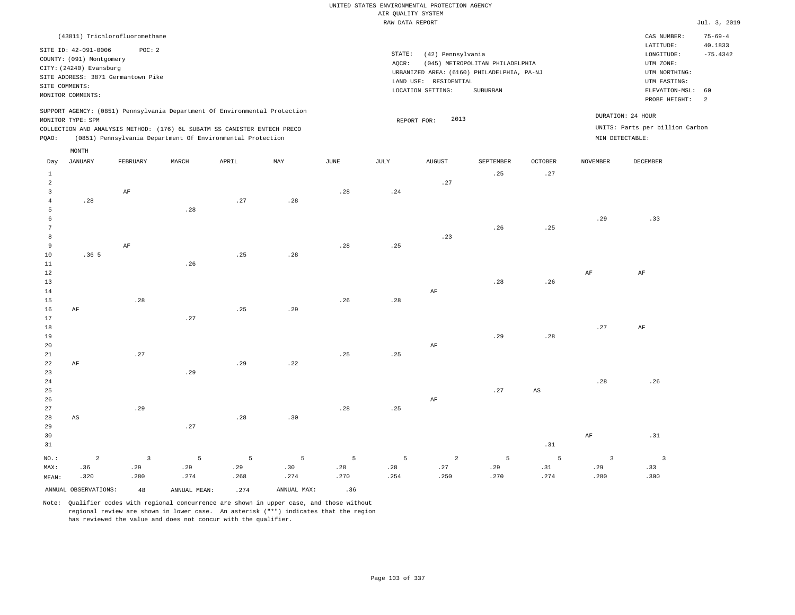#### RAW DATA REPORT Jul. 3, 2019 UNITED STATES ENVIRONMENTAL PROTECTION AGENCY AIR QUALITY SYSTEM

| (43811) Trichlorofluoromethane                                                                                                                                                                                                                     |                                                                                                                                                                                 | CAS NUMBER:                                                                                                 | $75 - 69 - 4$         |
|----------------------------------------------------------------------------------------------------------------------------------------------------------------------------------------------------------------------------------------------------|---------------------------------------------------------------------------------------------------------------------------------------------------------------------------------|-------------------------------------------------------------------------------------------------------------|-----------------------|
| SITE ID: 42-091-0006<br>POC:2<br>COUNTY: (091) Montgomery<br>CITY: (24240) Evansburg<br>SITE ADDRESS: 3871 Germantown Pike<br>SITE COMMENTS:<br>MONITOR COMMENTS:                                                                                  | STATE:<br>(42) Pennsylvania<br>(045) METROPOLITAN PHILADELPHIA<br>AOCR:<br>URBANIZED AREA: (6160) PHILADELPHIA, PA-NJ<br>LAND USE: RESIDENTIAL<br>LOCATION SETTING:<br>SUBURBAN | LATITUDE:<br>LONGITUDE:<br>UTM ZONE:<br>UTM NORTHING:<br>UTM EASTING:<br>ELEVATION-MSL: 60<br>PROBE HEIGHT: | 40.1833<br>$-75.4342$ |
| SUPPORT AGENCY: (0851) Pennsylvania Department Of Environmental Protection<br>MONITOR TYPE: SPM<br>COLLECTION AND ANALYSIS METHOD: (176) 6L SUBATM SS CANISTER ENTECH PRECO<br>(0851) Pennsylvania Department Of Environmental Protection<br>POAO: | 2013<br>REPORT FOR:                                                                                                                                                             | DURATION: 24 HOUR<br>UNITS: Parts per billion Carbon<br>MIN DETECTABLE:                                     |                       |

|                | $\texttt{MONTH}$       |             |              |       |             |               |      |                |           |                        |                              |                         |
|----------------|------------------------|-------------|--------------|-------|-------------|---------------|------|----------------|-----------|------------------------|------------------------------|-------------------------|
| Day            | <b>JANUARY</b>         | FEBRUARY    | MARCH        | APRIL | MAY         | $_{\rm JUNE}$ | JULY | ${\tt AUGUST}$ | SEPTEMBER | <b>OCTOBER</b>         | <b>NOVEMBER</b>              | DECEMBER                |
| $\mathbf{1}$   |                        |             |              |       |             |               |      |                | .25       | .27                    |                              |                         |
| $\overline{a}$ |                        |             |              |       |             |               |      | .27            |           |                        |                              |                         |
| 3              |                        | AF          |              |       |             | .28           | .24  |                |           |                        |                              |                         |
| $\overline{4}$ | .28                    |             |              | .27   | .28         |               |      |                |           |                        |                              |                         |
| 5              |                        |             | .28          |       |             |               |      |                |           |                        |                              |                         |
| 6              |                        |             |              |       |             |               |      |                |           |                        | .29                          | .33                     |
| 7              |                        |             |              |       |             |               |      |                | .26       | .25                    |                              |                         |
| 8              |                        |             |              |       |             |               |      | .23            |           |                        |                              |                         |
| 9              |                        | AF          |              |       |             | .28           | .25  |                |           |                        |                              |                         |
| 10             | .36 <sub>5</sub>       |             |              | .25   | .28         |               |      |                |           |                        |                              |                         |
| 11             |                        |             | .26          |       |             |               |      |                |           |                        |                              |                         |
| 12             |                        |             |              |       |             |               |      |                |           |                        | $\rm{AF}$                    | $\rm AF$                |
| 13             |                        |             |              |       |             |               |      |                | .28       | .26                    |                              |                         |
| 14             |                        |             |              |       |             |               |      | $\rm AF$       |           |                        |                              |                         |
| 15             |                        | .28         |              |       |             | .26           | .28  |                |           |                        |                              |                         |
| 16<br>17       | $\rm{AF}$              |             | .27          | .25   | .29         |               |      |                |           |                        |                              |                         |
| 18             |                        |             |              |       |             |               |      |                |           |                        | $\boldsymbol{\mathcal{.}}27$ | $\rm{AF}$               |
| 19             |                        |             |              |       |             |               |      |                | .29       | .28                    |                              |                         |
| 20             |                        |             |              |       |             |               |      | $\rm{AF}$      |           |                        |                              |                         |
| $2\sqrt{1}$    |                        | .27         |              |       |             | .25           | .25  |                |           |                        |                              |                         |
| 22             | $\rm{AF}$              |             |              | .29   | .22         |               |      |                |           |                        |                              |                         |
| 23             |                        |             | .29          |       |             |               |      |                |           |                        |                              |                         |
| $2\,4$         |                        |             |              |       |             |               |      |                |           |                        | .28                          | .26                     |
| 25             |                        |             |              |       |             |               |      |                | .27       | $\mathbb{A}\mathbb{S}$ |                              |                         |
| 26             |                        |             |              |       |             |               |      | $\rm AF$       |           |                        |                              |                         |
| 27             |                        | .29         |              |       |             | .28           | .25  |                |           |                        |                              |                         |
| 28             | $\mathbb{A}\mathbb{S}$ |             |              | .28   | .30         |               |      |                |           |                        |                              |                         |
| 29             |                        |             | .27          |       |             |               |      |                |           |                        |                              |                         |
| 30             |                        |             |              |       |             |               |      |                |           |                        | $\rm{AF}$                    | .31                     |
| 31             |                        |             |              |       |             |               |      |                |           | $\, . \, 31$           |                              |                         |
| $NO.$ :        | $\overline{a}$         | $\mathsf 3$ | 5            | 5     | 5           | 5             | 5    | $\overline{a}$ | 5         | 5                      | $\overline{\mathbf{3}}$      | $\overline{\mathbf{3}}$ |
| MAX:           | .36                    | .29         | .29          | .29   | .30         | .28           | .28  | .27            | .29       | .31                    | .29                          | .33                     |
| MEAN:          | .320                   | .280        | .274         | .268  | .274        | .270          | .254 | .250           | .270      | .274                   | .280                         | .300                    |
|                | ANNUAL OBSERVATIONS:   | 48          | ANNUAL MEAN: | .274  | ANNUAL MAX: | .36           |      |                |           |                        |                              |                         |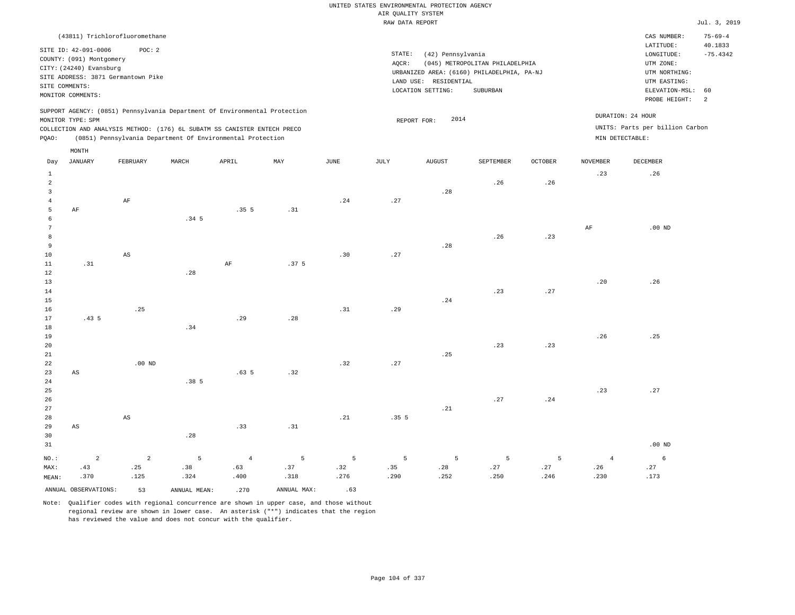|       |                          |                                    |                  |                                                                            |     |      | RAW DATA REPORT |                       |                                            |                |                 |                                 | Jul. 3, 2019   |
|-------|--------------------------|------------------------------------|------------------|----------------------------------------------------------------------------|-----|------|-----------------|-----------------------|--------------------------------------------|----------------|-----------------|---------------------------------|----------------|
|       |                          | (43811) Trichlorofluoromethane     |                  |                                                                            |     |      |                 |                       |                                            |                |                 | CAS NUMBER:                     | $75 - 69 - 4$  |
|       | SITE ID: 42-091-0006     | POC: 2                             |                  |                                                                            |     |      |                 |                       |                                            |                |                 | LATITUDE:                       | 40.1833        |
|       | COUNTY: (091) Montgomery |                                    |                  |                                                                            |     |      | STATE:          | (42) Pennsylvania     |                                            |                |                 | LONGITUDE:                      | $-75.4342$     |
|       | CITY: (24240) Evansburg  |                                    |                  |                                                                            |     |      | AOCR:           |                       | (045) METROPOLITAN PHILADELPHIA            |                |                 | UTM ZONE:                       |                |
|       |                          | SITE ADDRESS: 3871 Germantown Pike |                  |                                                                            |     |      |                 |                       | URBANIZED AREA: (6160) PHILADELPHIA, PA-NJ |                |                 | UTM NORTHING:                   |                |
|       | SITE COMMENTS:           |                                    |                  |                                                                            |     |      |                 | LAND USE: RESIDENTIAL |                                            |                |                 | UTM EASTING:                    |                |
|       | MONITOR COMMENTS:        |                                    |                  |                                                                            |     |      |                 | LOCATION SETTING:     | SUBURBAN                                   |                |                 | ELEVATION-MSL:                  | 60             |
|       |                          |                                    |                  |                                                                            |     |      |                 |                       |                                            |                |                 | PROBE HEIGHT:                   | $\overline{2}$ |
|       | MONITOR TYPE: SPM        |                                    |                  | SUPPORT AGENCY: (0851) Pennsylvania Department Of Environmental Protection |     |      |                 | 2014<br>REPORT FOR:   |                                            |                |                 | DURATION: 24 HOUR               |                |
|       |                          |                                    |                  | COLLECTION AND ANALYSIS METHOD: (176) 6L SUBATM SS CANISTER ENTECH PRECO   |     |      |                 |                       |                                            |                |                 | UNITS: Parts per billion Carbon |                |
| POAO: |                          |                                    |                  | (0851) Pennsylvania Department Of Environmental Protection                 |     |      |                 |                       |                                            |                |                 | MIN DETECTABLE:                 |                |
|       | MONTH                    |                                    |                  |                                                                            |     |      |                 |                       |                                            |                |                 |                                 |                |
| Day   | JANUARY                  | FEBRUARY                           | MARCH            | APRIL                                                                      | MAY | JUNE | JULY            | <b>AUGUST</b>         | SEPTEMBER                                  | <b>OCTOBER</b> | <b>NOVEMBER</b> | DECEMBER                        |                |
|       |                          |                                    |                  |                                                                            |     |      |                 |                       |                                            |                | .23             | .26                             |                |
| 2     |                          |                                    |                  |                                                                            |     |      |                 |                       | .26                                        | .26            |                 |                                 |                |
| 3     |                          |                                    |                  |                                                                            |     |      |                 | .28                   |                                            |                |                 |                                 |                |
|       |                          | AF                                 |                  |                                                                            |     | .24  | .27             |                       |                                            |                |                 |                                 |                |
| 5     | AF                       |                                    |                  | .35 <sub>5</sub>                                                           | .31 |      |                 |                       |                                            |                |                 |                                 |                |
| 6     |                          |                                    | .34 <sub>5</sub> |                                                                            |     |      |                 |                       |                                            |                |                 |                                 |                |
|       |                          |                                    |                  |                                                                            |     |      |                 |                       |                                            |                | AF              | $.00$ ND                        |                |
| 8     |                          |                                    |                  |                                                                            |     |      |                 |                       | .26                                        | .23            |                 |                                 |                |

| $\sim$     |                        |                        |                  |                  |                  |     |      |     | $\cdot$ $ \cdot$ | $\cdot$ $ \cdot$             |     |     |
|------------|------------------------|------------------------|------------------|------------------|------------------|-----|------|-----|------------------|------------------------------|-----|-----|
| 9          |                        |                        |                  |                  |                  |     |      | .28 |                  |                              |     |     |
| $10\,$     |                        | $\mathbb{A}\mathbb{S}$ |                  |                  |                  | .30 | .27  |     |                  |                              |     |     |
| $11\,$     | .31                    |                        |                  | $\rm{AF}$        | .37 <sub>5</sub> |     |      |     |                  |                              |     |     |
| $12$       |                        |                        | .28              |                  |                  |     |      |     |                  |                              |     |     |
| $13\,$     |                        |                        |                  |                  |                  |     |      |     |                  |                              | .20 | .26 |
| $14\,$     |                        |                        |                  |                  |                  |     |      |     | .23              | .27                          |     |     |
| $15\,$     |                        |                        |                  |                  |                  |     |      | .24 |                  |                              |     |     |
| 16         |                        | .25                    |                  |                  |                  | .31 | .29  |     |                  |                              |     |     |
| 17         | .435                   |                        |                  | .29              | .28              |     |      |     |                  |                              |     |     |
| $18\,$     |                        |                        | .34              |                  |                  |     |      |     |                  |                              |     |     |
| 19         |                        |                        |                  |                  |                  |     |      |     |                  |                              | .26 | .25 |
| $20\,$     |                        |                        |                  |                  |                  |     |      |     | .23              | .23                          |     |     |
| $21\,$     |                        |                        |                  |                  |                  |     |      | .25 |                  |                              |     |     |
| 22         |                        | $.00$ ND               |                  |                  |                  | .32 | .27  |     |                  |                              |     |     |
| 23         | $\mathbb{A}\mathbb{S}$ |                        |                  | .63 <sub>5</sub> | .32              |     |      |     |                  |                              |     |     |
| ${\bf 24}$ |                        |                        | .38 <sub>5</sub> |                  |                  |     |      |     |                  |                              |     |     |
| 25         |                        |                        |                  |                  |                  |     |      |     |                  |                              | .23 | .27 |
| 26         |                        |                        |                  |                  |                  |     |      |     | .27              | $\boldsymbol{\mathcal{.}}24$ |     |     |
| $27\,$     |                        |                        |                  |                  |                  |     |      | .21 |                  |                              |     |     |
| 28         |                        | $\mathbb{A}\mathbb{S}$ |                  |                  |                  | .21 | .355 |     |                  |                              |     |     |
| 29         | AS                     |                        |                  | .33              | .31              |     |      |     |                  |                              |     |     |
| 30         |                        |                        | $\overline{28}$  |                  |                  |     |      |     |                  |                              |     |     |

| - - - |                      |      | .            |      |             |      |      |      |             |      |      |          |
|-------|----------------------|------|--------------|------|-------------|------|------|------|-------------|------|------|----------|
| 31    |                      |      |              |      |             |      |      |      |             |      |      | $.00$ ND |
| NO.:  |                      |      | -5           | 4    |             | $-5$ |      |      | $5^{\circ}$ |      |      |          |
| MAX:  | .43                  | .25  | .38          | .63  | .37         | .32  | .35  | .28  | .27         | .27  | .26  | .27      |
| MEAN: | .370                 | .125 | .324         | .400 | .318        | .276 | .290 | .252 | .250        | .246 | .230 | .173     |
|       | ANNUAL OBSERVATIONS: | 53   | ANNUAL MEAN: | .270 | ANNUAL MAX: | .63  |      |      |             |      |      |          |

Note: Qualifier codes with regional concurrence are shown in upper case, and those without regional review are shown in lower case. An asterisk ("\*") indicates that the region

has reviewed the value and does not concur with the qualifier.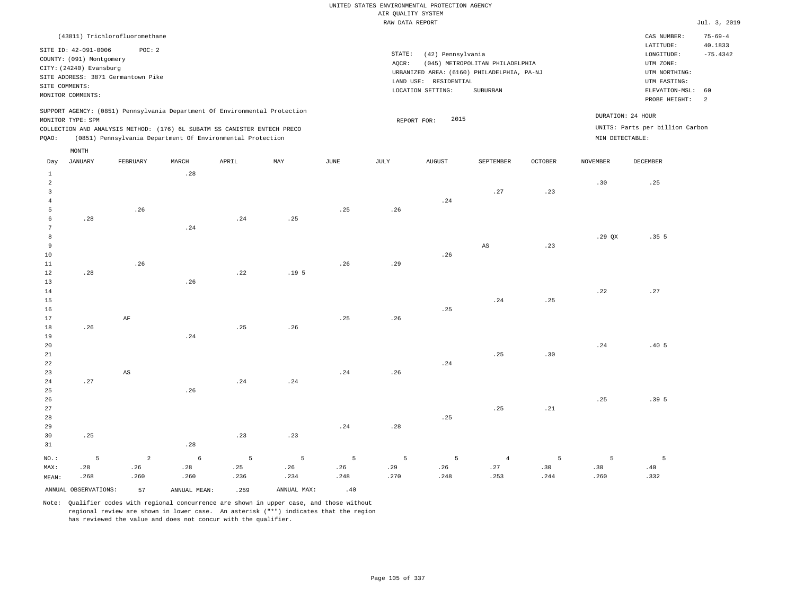|                                           |                                                                                                                    |                                              |                 |                                                                                                                                        |                  |      | RAW DATA REPORT                                                                                             |                                                                                                          |                                               |                |                 |                                                      | Jul. 3, 2019  |
|-------------------------------------------|--------------------------------------------------------------------------------------------------------------------|----------------------------------------------|-----------------|----------------------------------------------------------------------------------------------------------------------------------------|------------------|------|-------------------------------------------------------------------------------------------------------------|----------------------------------------------------------------------------------------------------------|-----------------------------------------------|----------------|-----------------|------------------------------------------------------|---------------|
|                                           |                                                                                                                    | (43811) Trichlorofluoromethane               |                 |                                                                                                                                        |                  |      |                                                                                                             |                                                                                                          |                                               |                |                 | CAS NUMBER:                                          | $75 - 69 - 4$ |
|                                           | SITE ID: 42-091-0006<br>COUNTY: (091) Montgomery<br>CITY: (24240) Evansburg<br>SITE COMMENTS:<br>MONITOR COMMENTS: | POC: 2<br>SITE ADDRESS: 3871 Germantown Pike |                 |                                                                                                                                        |                  |      | STATE:<br>AQCR:<br>URBANIZED AREA: (6160) PHILADELPHIA, PA-NJ<br>LAND USE: RESIDENTIAL<br>LOCATION SETTING: | LATITUDE:<br>LONGITUDE:<br>UTM ZONE:<br>UTM NORTHING:<br>UTM EASTING:<br>ELEVATION-MSL:<br>PROBE HEIGHT: | 40.1833<br>$-75.4342$<br>60<br>$\overline{2}$ |                |                 |                                                      |               |
|                                           |                                                                                                                    |                                              |                 | SUPPORT AGENCY: (0851) Pennsylvania Department Of Environmental Protection                                                             |                  |      |                                                                                                             |                                                                                                          |                                               |                |                 |                                                      |               |
|                                           | MONITOR TYPE: SPM                                                                                                  |                                              |                 |                                                                                                                                        |                  |      |                                                                                                             | 2015<br>REPORT FOR:                                                                                      |                                               |                |                 | DURATION: 24 HOUR<br>UNITS: Parts per billion Carbon |               |
| PQAO:                                     |                                                                                                                    |                                              |                 | COLLECTION AND ANALYSIS METHOD: (176) 6L SUBATM SS CANISTER ENTECH PRECO<br>(0851) Pennsylvania Department Of Environmental Protection |                  |      |                                                                                                             |                                                                                                          |                                               |                | MIN DETECTABLE: |                                                      |               |
|                                           | $\texttt{MONTH}$                                                                                                   |                                              |                 |                                                                                                                                        |                  |      |                                                                                                             |                                                                                                          |                                               |                |                 |                                                      |               |
| Day                                       | <b>JANUARY</b>                                                                                                     | FEBRUARY                                     | MARCH           | APRIL                                                                                                                                  | MAY              | JUNE | $\mathtt{JULY}$                                                                                             | AUGUST                                                                                                   | SEPTEMBER                                     | <b>OCTOBER</b> | <b>NOVEMBER</b> | DECEMBER                                             |               |
| $\mathbf{1}$                              |                                                                                                                    |                                              | .28             |                                                                                                                                        |                  |      |                                                                                                             |                                                                                                          |                                               |                |                 |                                                      |               |
| $\overline{a}$                            |                                                                                                                    |                                              |                 |                                                                                                                                        |                  |      |                                                                                                             |                                                                                                          |                                               |                | .30             | .25                                                  |               |
| $\overline{\mathbf{3}}$<br>$\overline{4}$ |                                                                                                                    |                                              |                 |                                                                                                                                        |                  |      |                                                                                                             | .24                                                                                                      | .27                                           | .23            |                 |                                                      |               |
| 5                                         |                                                                                                                    | .26                                          |                 |                                                                                                                                        |                  | .25  | .26                                                                                                         |                                                                                                          |                                               |                |                 |                                                      |               |
| 6                                         | .28                                                                                                                |                                              |                 | .24                                                                                                                                    | .25              |      |                                                                                                             |                                                                                                          |                                               |                |                 |                                                      |               |
| $7\phantom{.0}$                           |                                                                                                                    |                                              | .24             |                                                                                                                                        |                  |      |                                                                                                             |                                                                                                          |                                               |                |                 |                                                      |               |
| 8                                         |                                                                                                                    |                                              |                 |                                                                                                                                        |                  |      |                                                                                                             |                                                                                                          |                                               |                | $.29$ QX        | .355                                                 |               |
| 9                                         |                                                                                                                    |                                              |                 |                                                                                                                                        |                  |      |                                                                                                             |                                                                                                          | $_{\rm AS}$                                   | .23            |                 |                                                      |               |
| 10<br>11                                  |                                                                                                                    | .26                                          |                 |                                                                                                                                        |                  | .26  | .29                                                                                                         | .26                                                                                                      |                                               |                |                 |                                                      |               |
| 12                                        | .28                                                                                                                |                                              |                 | .22                                                                                                                                    | .19 <sub>5</sub> |      |                                                                                                             |                                                                                                          |                                               |                |                 |                                                      |               |
| 13                                        |                                                                                                                    |                                              | .26             |                                                                                                                                        |                  |      |                                                                                                             |                                                                                                          |                                               |                |                 |                                                      |               |
| 14                                        |                                                                                                                    |                                              |                 |                                                                                                                                        |                  |      |                                                                                                             |                                                                                                          |                                               |                | .22             | .27                                                  |               |
| 15                                        |                                                                                                                    |                                              |                 |                                                                                                                                        |                  |      |                                                                                                             |                                                                                                          | .24                                           | .25            |                 |                                                      |               |
| 16                                        |                                                                                                                    |                                              |                 |                                                                                                                                        |                  |      |                                                                                                             | .25                                                                                                      |                                               |                |                 |                                                      |               |
| 17                                        |                                                                                                                    | $\rm AF$                                     |                 |                                                                                                                                        |                  | .25  | .26                                                                                                         |                                                                                                          |                                               |                |                 |                                                      |               |
| 18<br>19                                  | .26                                                                                                                |                                              | .24             | .25                                                                                                                                    | .26              |      |                                                                                                             |                                                                                                          |                                               |                |                 |                                                      |               |
| 20                                        |                                                                                                                    |                                              |                 |                                                                                                                                        |                  |      |                                                                                                             |                                                                                                          |                                               |                | .24             | .40 <sub>5</sub>                                     |               |
| 21                                        |                                                                                                                    |                                              |                 |                                                                                                                                        |                  |      |                                                                                                             |                                                                                                          | .25                                           | .30            |                 |                                                      |               |
| 22                                        |                                                                                                                    |                                              |                 |                                                                                                                                        |                  |      |                                                                                                             | .24                                                                                                      |                                               |                |                 |                                                      |               |
| 23                                        |                                                                                                                    | $\mathbb{A}\mathbb{S}$                       |                 |                                                                                                                                        |                  | .24  | .26                                                                                                         |                                                                                                          |                                               |                |                 |                                                      |               |
| 24                                        | .27                                                                                                                |                                              |                 | .24                                                                                                                                    | .24              |      |                                                                                                             |                                                                                                          |                                               |                |                 |                                                      |               |
| 25<br>26                                  |                                                                                                                    |                                              | .26             |                                                                                                                                        |                  |      |                                                                                                             |                                                                                                          |                                               |                | .25             | .395                                                 |               |
| 27                                        |                                                                                                                    |                                              |                 |                                                                                                                                        |                  |      |                                                                                                             |                                                                                                          | .25                                           | .21            |                 |                                                      |               |
| 28                                        |                                                                                                                    |                                              |                 |                                                                                                                                        |                  |      |                                                                                                             | .25                                                                                                      |                                               |                |                 |                                                      |               |
| 29                                        |                                                                                                                    |                                              |                 |                                                                                                                                        |                  | .24  | .28                                                                                                         |                                                                                                          |                                               |                |                 |                                                      |               |
| 30                                        | .25                                                                                                                |                                              |                 | .23                                                                                                                                    | .23              |      |                                                                                                             |                                                                                                          |                                               |                |                 |                                                      |               |
| 31                                        |                                                                                                                    |                                              | .28             |                                                                                                                                        |                  |      |                                                                                                             |                                                                                                          |                                               |                |                 |                                                      |               |
| NO.:                                      | 5                                                                                                                  | $\overline{a}$                               | $6\phantom{.}6$ | 5                                                                                                                                      | 5                | 5    | 5                                                                                                           | 5                                                                                                        | $\overline{4}$                                | 5              | 5               | 5                                                    |               |

ANNUAL OBSERVATIONS:  $\begin{array}{ccc} 57 & \text{ANNUAL MEAN:} \\ 259 & \text{ANNUAL MAX:} \end{array}$  .40

 .28 .260

MAX: MEAN:

 .28 .268  .26 .260

Note: Qualifier codes with regional concurrence are shown in upper case, and those without regional review are shown in lower case. An asterisk ("\*") indicates that the region has reviewed the value and does not concur with the qualifier.

 .25 .236  .26 .234

 .26 .248  .29 .270

 .26 .248  .27 .253  .30 .244

 .30 .260  .40 .332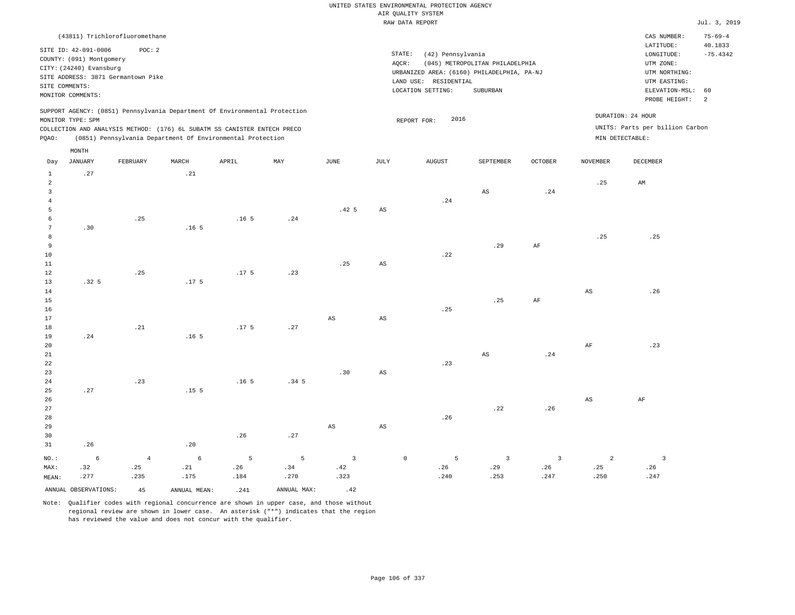|                                                                                                                                                                                                                                                    |                  |                                |                  |                  |                  |                  |                                                                                                                                                                                                                                                                                             | RAW DATA REPORT |                        |           |                 |             | Jul. 3, 2019                                  |
|----------------------------------------------------------------------------------------------------------------------------------------------------------------------------------------------------------------------------------------------------|------------------|--------------------------------|------------------|------------------|------------------|------------------|---------------------------------------------------------------------------------------------------------------------------------------------------------------------------------------------------------------------------------------------------------------------------------------------|-----------------|------------------------|-----------|-----------------|-------------|-----------------------------------------------|
|                                                                                                                                                                                                                                                    |                  | (43811) Trichlorofluoromethane |                  |                  |                  |                  |                                                                                                                                                                                                                                                                                             |                 |                        |           |                 | CAS NUMBER: | $75 - 69 - 4$                                 |
| POC: 2<br>SITE ID: 42-091-0006<br>COUNTY: (091) Montgomery<br>CITY: (24240) Evansburg<br>SITE ADDRESS: 3871 Germantown Pike<br>SITE COMMENTS:<br>MONITOR COMMENTS:                                                                                 |                  |                                |                  |                  |                  |                  | LATITUDE:<br>STATE:<br>(42) Pennsylvania<br>LONGITUDE:<br>(045) METROPOLITAN PHILADELPHIA<br>UTM ZONE:<br>AQCR:<br>URBANIZED AREA: (6160) PHILADELPHIA, PA-NJ<br>UTM NORTHING:<br>LAND USE: RESIDENTIAL<br>UTM EASTING:<br>LOCATION SETTING:<br>SUBURBAN<br>ELEVATION-MSL:<br>PROBE HEIGHT: |                 |                        |           |                 |             | 40.1833<br>$-75.4342$<br>60<br>$\overline{a}$ |
| SUPPORT AGENCY: (0851) Pennsylvania Department Of Environmental Protection<br>MONITOR TYPE: SPM<br>COLLECTION AND ANALYSIS METHOD: (176) 6L SUBATM SS CANISTER ENTECH PRECO<br>(0851) Pennsylvania Department Of Environmental Protection<br>PQAO: |                  |                                |                  |                  |                  |                  | DURATION: 24 HOUR<br>2016<br>REPORT FOR:<br>UNITS: Parts per billion Carbon<br>MIN DETECTABLE:                                                                                                                                                                                              |                 |                        |           |                 |             |                                               |
| Day                                                                                                                                                                                                                                                | MONTH<br>JANUARY | FEBRUARY                       | MARCH            | APRIL            | MAY              | JUNE             | JULY                                                                                                                                                                                                                                                                                        | AUGUST          | SEPTEMBER              | OCTOBER   | <b>NOVEMBER</b> | DECEMBER    |                                               |
| $\mathbf{1}$<br>$\overline{2}$<br>$\overline{3}$<br>$\overline{4}$                                                                                                                                                                                 | .27              |                                | .21              |                  |                  |                  |                                                                                                                                                                                                                                                                                             | .24             | AS                     | .24       | .25             | AM          |                                               |
| 5<br>6<br>7                                                                                                                                                                                                                                        | .30              | .25                            | .16 <sub>5</sub> | .16 <sub>5</sub> | .24              | .42 <sub>5</sub> | AS                                                                                                                                                                                                                                                                                          |                 |                        |           |                 |             |                                               |
| 8<br>9<br>10<br>11                                                                                                                                                                                                                                 |                  |                                |                  |                  |                  | .25              | AS                                                                                                                                                                                                                                                                                          | .22             | .29                    | AF        | .25             | .25         |                                               |
| 12<br>13<br>14                                                                                                                                                                                                                                     | .32 <sub>5</sub> | .25                            | .17 <sub>5</sub> | .17 <sub>5</sub> | .23              |                  |                                                                                                                                                                                                                                                                                             |                 |                        |           | AS              | .26         |                                               |
| 15<br>16<br>17<br>18                                                                                                                                                                                                                               |                  | .21                            |                  | .17 <sub>5</sub> | .27              | $_{\rm AS}$      | AS                                                                                                                                                                                                                                                                                          | .25             | .25                    | $\rm{AF}$ |                 |             |                                               |
| 19<br>20<br>21                                                                                                                                                                                                                                     | .24              |                                | .16 <sub>5</sub> |                  |                  |                  |                                                                                                                                                                                                                                                                                             | .23             | $\mathbb{A}\mathbb{S}$ | .24       | AF              | .23         |                                               |
| 22<br>23<br>24<br>25                                                                                                                                                                                                                               | .27              | .23                            | .15 <sub>5</sub> | .16 <sub>5</sub> | .34 <sub>5</sub> | .30              | AS                                                                                                                                                                                                                                                                                          |                 |                        |           |                 |             |                                               |
| 26                                                                                                                                                                                                                                                 |                  |                                |                  |                  |                  |                  |                                                                                                                                                                                                                                                                                             |                 |                        |           | AS              | AF          |                                               |

 .26 MEAN: 6 .32 .277 .20 .26 .27 AS AS .26 .22 .26 4 .25 .235 6 .21 .175 5 .26 .184 5 .34 .270 3 .42 .323 0 5 .26 .240 3 .29 .253 3 .26 .247 2 .25 .250 .26 .247

Note: Qualifier codes with regional concurrence are shown in upper case, and those without regional review are shown in lower case. An asterisk ("\*") indicates that the region has reviewed the value and does not concur with the qualifier.

ANNUAL OBSERVATIONS:  $45$  ANNUAL MEAN: .241 ANNUAL MAX: .42

NO.: MAX: 3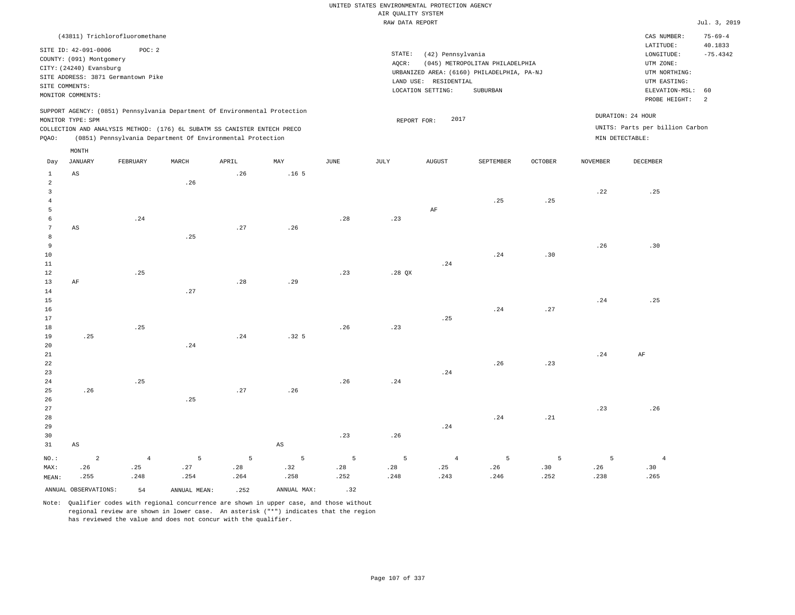|                                                                                                                                                 |                      |                                |       |                                                                            |                           |                                                                     | UNITED STATES ENVIRONMENTAL PROTECTION AGENCY |                |                                                    |                |                 |                          |                          |
|-------------------------------------------------------------------------------------------------------------------------------------------------|----------------------|--------------------------------|-------|----------------------------------------------------------------------------|---------------------------|---------------------------------------------------------------------|-----------------------------------------------|----------------|----------------------------------------------------|----------------|-----------------|--------------------------|--------------------------|
|                                                                                                                                                 |                      |                                |       |                                                                            |                           |                                                                     | AIR QUALITY SYSTEM                            |                |                                                    |                |                 |                          |                          |
|                                                                                                                                                 |                      |                                |       |                                                                            |                           |                                                                     | RAW DATA REPORT                               |                |                                                    |                |                 |                          | Jul. 3, 2019             |
|                                                                                                                                                 |                      | (43811) Trichlorofluoromethane |       |                                                                            |                           |                                                                     |                                               |                |                                                    |                |                 | CAS NUMBER:<br>LATITUDE: | $75 - 69 - 4$<br>40.1833 |
|                                                                                                                                                 | SITE ID: 42-091-0006 | POC: 2                         |       |                                                                            |                           |                                                                     | STATE:                                        | LONGITUDE:     | $-75.4342$                                         |                |                 |                          |                          |
| COUNTY: (091) Montgomery                                                                                                                        |                      |                                |       |                                                                            |                           |                                                                     | AQCR:                                         | UTM ZONE:      |                                                    |                |                 |                          |                          |
| CITY: (24240) Evansburg                                                                                                                         |                      |                                |       |                                                                            |                           |                                                                     |                                               | UTM NORTHING:  |                                                    |                |                 |                          |                          |
| SITE ADDRESS: 3871 Germantown Pike                                                                                                              |                      |                                |       |                                                                            |                           | URBANIZED AREA: (6160) PHILADELPHIA, PA-NJ<br>LAND USE: RESIDENTIAL |                                               |                |                                                    |                |                 | UTM EASTING:             |                          |
| SITE COMMENTS:                                                                                                                                  |                      |                                |       |                                                                            |                           | LOCATION SETTING:<br>SUBURBAN                                       |                                               |                |                                                    |                |                 | ELEVATION-MSL:           | 60                       |
|                                                                                                                                                 | MONITOR COMMENTS:    |                                |       |                                                                            |                           |                                                                     |                                               |                |                                                    |                |                 | PROBE HEIGHT:            | $\overline{a}$           |
|                                                                                                                                                 |                      |                                |       | SUPPORT AGENCY: (0851) Pennsylvania Department Of Environmental Protection |                           |                                                                     |                                               | 2017           |                                                    |                |                 | DURATION: 24 HOUR        |                          |
| MONITOR TYPE: SPM                                                                                                                               |                      |                                |       |                                                                            |                           |                                                                     | REPORT FOR:                                   |                |                                                    |                |                 |                          |                          |
| COLLECTION AND ANALYSIS METHOD: (176) 6L SUBATM SS CANISTER ENTECH PRECO<br>(0851) Pennsylvania Department Of Environmental Protection<br>PQAO: |                      |                                |       |                                                                            |                           |                                                                     |                                               |                | UNITS: Parts per billion Carbon<br>MIN DETECTABLE: |                |                 |                          |                          |
|                                                                                                                                                 | MONTH                |                                |       |                                                                            |                           |                                                                     |                                               |                |                                                    |                |                 |                          |                          |
| Day                                                                                                                                             | <b>JANUARY</b>       | FEBRUARY                       | MARCH | APRIL                                                                      | $\ensuremath{\text{MAX}}$ | <b>JUNE</b>                                                         | $\mathtt{JULY}$                               | <b>AUGUST</b>  | SEPTEMBER                                          | <b>OCTOBER</b> | <b>NOVEMBER</b> | DECEMBER                 |                          |
| $\mathbf{1}$                                                                                                                                    | AS                   |                                |       | .26                                                                        | .16 <sub>5</sub>          |                                                                     |                                               |                |                                                    |                |                 |                          |                          |
| $\overline{a}$                                                                                                                                  |                      |                                | .26   |                                                                            |                           |                                                                     |                                               |                |                                                    |                |                 |                          |                          |
| $\overline{3}$                                                                                                                                  |                      |                                |       |                                                                            |                           |                                                                     |                                               |                |                                                    |                | .22             | .25                      |                          |
| $\bf{4}$                                                                                                                                        |                      |                                |       |                                                                            |                           |                                                                     |                                               |                | .25                                                | .25            |                 |                          |                          |
| 5                                                                                                                                               |                      |                                |       |                                                                            |                           |                                                                     |                                               | AF             |                                                    |                |                 |                          |                          |
| 6                                                                                                                                               |                      | .24                            |       |                                                                            |                           | .28                                                                 | .23                                           |                |                                                    |                |                 |                          |                          |
| $\overline{7}$                                                                                                                                  | AS                   |                                |       | .27                                                                        | .26                       |                                                                     |                                               |                |                                                    |                |                 |                          |                          |
| 8                                                                                                                                               |                      |                                | .25   |                                                                            |                           |                                                                     |                                               |                |                                                    |                |                 |                          |                          |
| $\overline{9}$                                                                                                                                  |                      |                                |       |                                                                            |                           |                                                                     |                                               |                |                                                    |                | .26             | .30                      |                          |
| 10<br>11                                                                                                                                        |                      |                                |       |                                                                            |                           |                                                                     |                                               | .24            | .24                                                | .30            |                 |                          |                          |
| 12                                                                                                                                              |                      | .25                            |       |                                                                            |                           | .23                                                                 | .28 QX                                        |                |                                                    |                |                 |                          |                          |
| 13                                                                                                                                              | AF                   |                                |       | .28                                                                        | .29                       |                                                                     |                                               |                |                                                    |                |                 |                          |                          |
| 14                                                                                                                                              |                      |                                | .27   |                                                                            |                           |                                                                     |                                               |                |                                                    |                |                 |                          |                          |
| 15                                                                                                                                              |                      |                                |       |                                                                            |                           |                                                                     |                                               |                |                                                    |                | .24             | .25                      |                          |
| 16                                                                                                                                              |                      |                                |       |                                                                            |                           |                                                                     |                                               |                | .24                                                | .27            |                 |                          |                          |
| 17                                                                                                                                              |                      |                                |       |                                                                            |                           |                                                                     |                                               | .25            |                                                    |                |                 |                          |                          |
| 18                                                                                                                                              |                      | .25                            |       |                                                                            |                           | .26                                                                 | .23                                           |                |                                                    |                |                 |                          |                          |
| 19                                                                                                                                              | .25                  |                                |       | .24                                                                        | .32 <sub>5</sub>          |                                                                     |                                               |                |                                                    |                |                 |                          |                          |
| 20                                                                                                                                              |                      |                                | .24   |                                                                            |                           |                                                                     |                                               |                |                                                    |                |                 |                          |                          |
| 21                                                                                                                                              |                      |                                |       |                                                                            |                           |                                                                     |                                               |                |                                                    |                | .24             | AF                       |                          |
| 22                                                                                                                                              |                      |                                |       |                                                                            |                           |                                                                     |                                               |                | .26                                                | .23            |                 |                          |                          |
| 23                                                                                                                                              |                      |                                |       |                                                                            |                           |                                                                     |                                               | .24            |                                                    |                |                 |                          |                          |
| 24                                                                                                                                              |                      | .25                            |       |                                                                            |                           | .26                                                                 | .24                                           |                |                                                    |                |                 |                          |                          |
| 25                                                                                                                                              | .26                  |                                |       | .27                                                                        | .26                       |                                                                     |                                               |                |                                                    |                |                 |                          |                          |
| 26                                                                                                                                              |                      |                                | .25   |                                                                            |                           |                                                                     |                                               |                |                                                    |                |                 |                          |                          |
| 27                                                                                                                                              |                      |                                |       |                                                                            |                           |                                                                     |                                               |                |                                                    |                | .23             | .26                      |                          |
| 28                                                                                                                                              |                      |                                |       |                                                                            |                           |                                                                     |                                               |                | .24                                                | .21            |                 |                          |                          |
| 29                                                                                                                                              |                      |                                |       |                                                                            |                           |                                                                     |                                               | .24            |                                                    |                |                 |                          |                          |
| 30                                                                                                                                              |                      |                                |       |                                                                            |                           | .23                                                                 | .26                                           |                |                                                    |                |                 |                          |                          |
| 31                                                                                                                                              | AS                   |                                |       |                                                                            | AS                        |                                                                     |                                               |                |                                                    |                |                 |                          |                          |
| $NO.$ :                                                                                                                                         | $\overline{2}$       | $\overline{4}$                 | 5     | $\overline{5}$                                                             | 5                         | 5                                                                   | 5                                             | $\overline{4}$ | 5                                                  | 5              | 5               | $\overline{4}$           |                          |
| MAX:                                                                                                                                            | .26                  | .25                            | .27   | .28                                                                        | .32                       | .28                                                                 | .28                                           | .25            | .26                                                | .30            | .26             | .30                      |                          |
| MEAN:                                                                                                                                           | .255                 | .248                           | .254  | .264                                                                       | .258                      | .252                                                                | .248                                          | .243           | .246                                               | .252           | .238            | .265                     |                          |

ANNUAL OBSERVATIONS:  $54$  ANNUAL MEAN: .252 ANNUAL MAX: .32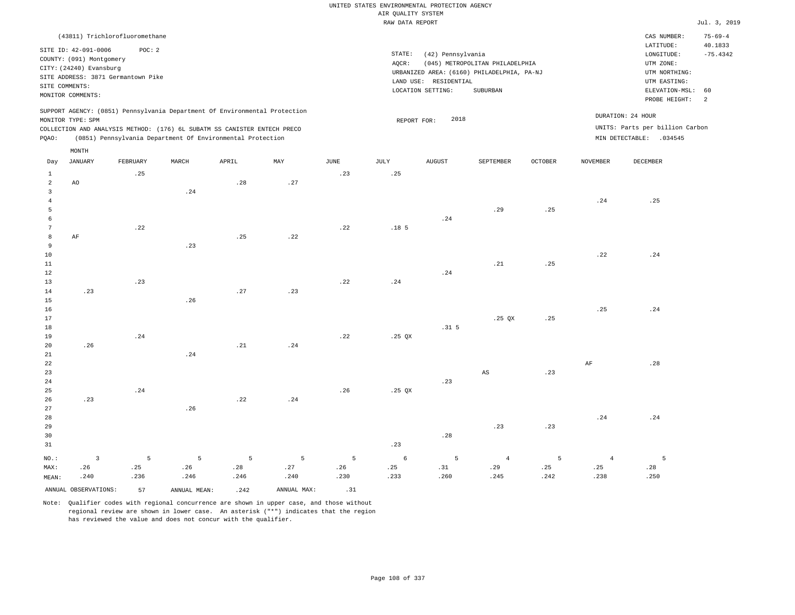|                         |                          |                                    |                                                                            |                |             |                | UNITED STATES ENVIRONMENTAL PROTECTION AGENCY |                       |                                            |                |                 |                                 |                          |
|-------------------------|--------------------------|------------------------------------|----------------------------------------------------------------------------|----------------|-------------|----------------|-----------------------------------------------|-----------------------|--------------------------------------------|----------------|-----------------|---------------------------------|--------------------------|
|                         |                          |                                    |                                                                            |                |             |                | AIR OUALITY SYSTEM                            |                       |                                            |                |                 |                                 | Jul. 3, 2019             |
|                         |                          |                                    |                                                                            |                |             |                | RAW DATA REPORT                               |                       |                                            |                |                 |                                 |                          |
|                         |                          | (43811) Trichlorofluoromethane     |                                                                            |                |             |                |                                               |                       |                                            |                |                 | CAS NUMBER:<br>LATITUDE:        | $75 - 69 - 4$<br>40.1833 |
|                         | SITE ID: 42-091-0006     | POC: 2                             |                                                                            |                |             |                | STATE:                                        | (42) Pennsylvania     |                                            |                |                 | LONGITUDE:                      | $-75.4342$               |
|                         | COUNTY: (091) Montgomery |                                    |                                                                            |                |             |                | AOCR:                                         |                       | (045) METROPOLITAN PHILADELPHIA            |                |                 | UTM ZONE:                       |                          |
|                         | CITY: (24240) Evansburg  | SITE ADDRESS: 3871 Germantown Pike |                                                                            |                |             |                |                                               |                       | URBANIZED AREA: (6160) PHILADELPHIA, PA-NJ |                |                 | UTM NORTHING:                   |                          |
|                         | SITE COMMENTS:           |                                    |                                                                            |                |             |                |                                               | LAND USE: RESIDENTIAL |                                            |                |                 | UTM EASTING:                    |                          |
|                         | MONITOR COMMENTS:        |                                    |                                                                            |                |             |                |                                               | LOCATION SETTING:     | SUBURBAN                                   |                |                 | ELEVATION-MSL:<br>PROBE HEIGHT: | 60<br>$\overline{a}$     |
|                         |                          |                                    | SUPPORT AGENCY: (0851) Pennsylvania Department Of Environmental Protection |                |             |                |                                               |                       |                                            |                |                 | DURATION: 24 HOUR               |                          |
|                         | MONITOR TYPE: SPM        |                                    |                                                                            |                |             |                | REPORT FOR:                                   | 2018                  |                                            |                |                 |                                 |                          |
|                         |                          |                                    | COLLECTION AND ANALYSIS METHOD: (176) 6L SUBATM SS CANISTER ENTECH PRECO   |                |             |                |                                               |                       |                                            |                |                 | UNITS: Parts per billion Carbon |                          |
| PQAO:                   | MONTH                    |                                    | (0851) Pennsylvania Department Of Environmental Protection                 |                |             |                |                                               |                       |                                            |                |                 | MIN DETECTABLE: .034545         |                          |
| Day                     | <b>JANUARY</b>           | FEBRUARY                           | MARCH                                                                      | APRIL          | MAY         | JUNE           | JULY                                          | <b>AUGUST</b>         | SEPTEMBER                                  | <b>OCTOBER</b> | <b>NOVEMBER</b> | DECEMBER                        |                          |
| $\mathbf{1}$            |                          | .25                                |                                                                            |                |             | .23            | .25                                           |                       |                                            |                |                 |                                 |                          |
| $\overline{a}$          | AO                       |                                    |                                                                            | .28            | .27         |                |                                               |                       |                                            |                |                 |                                 |                          |
| $\overline{\mathbf{3}}$ |                          |                                    | .24                                                                        |                |             |                |                                               |                       |                                            |                |                 |                                 |                          |
| $\overline{4}$          |                          |                                    |                                                                            |                |             |                |                                               |                       |                                            |                | .24             | .25                             |                          |
| 5                       |                          |                                    |                                                                            |                |             |                |                                               |                       | .29                                        | .25            |                 |                                 |                          |
| 6                       |                          |                                    |                                                                            |                |             |                |                                               | .24                   |                                            |                |                 |                                 |                          |
| $7\phantom{.0}$         |                          | .22                                |                                                                            |                |             | .22            | .18 <sub>5</sub>                              |                       |                                            |                |                 |                                 |                          |
| 8                       | $\rm{AF}$                |                                    |                                                                            | .25            | .22         |                |                                               |                       |                                            |                |                 |                                 |                          |
| 9                       |                          |                                    | .23                                                                        |                |             |                |                                               |                       |                                            |                |                 |                                 |                          |
| 10                      |                          |                                    |                                                                            |                |             |                |                                               |                       |                                            |                | .22             | .24                             |                          |
| $11\,$                  |                          |                                    |                                                                            |                |             |                |                                               |                       | .21                                        | .25            |                 |                                 |                          |
| 12<br>$13$              |                          | .23                                |                                                                            |                |             | .22            |                                               | .24                   |                                            |                |                 |                                 |                          |
| 14                      | .23                      |                                    |                                                                            | .27            | .23         |                | .24                                           |                       |                                            |                |                 |                                 |                          |
| 15                      |                          |                                    | .26                                                                        |                |             |                |                                               |                       |                                            |                |                 |                                 |                          |
| 16                      |                          |                                    |                                                                            |                |             |                |                                               |                       |                                            |                | .25             | .24                             |                          |
| 17                      |                          |                                    |                                                                            |                |             |                |                                               |                       | $.25$ QX                                   | .25            |                 |                                 |                          |
| 18                      |                          |                                    |                                                                            |                |             |                |                                               | .31 <sub>5</sub>      |                                            |                |                 |                                 |                          |
| 19                      |                          | .24                                |                                                                            |                |             | .22            | $.25$ $OX$                                    |                       |                                            |                |                 |                                 |                          |
| 20                      | .26                      |                                    |                                                                            | .21            | .24         |                |                                               |                       |                                            |                |                 |                                 |                          |
| 21                      |                          |                                    | .24                                                                        |                |             |                |                                               |                       |                                            |                |                 |                                 |                          |
| 22                      |                          |                                    |                                                                            |                |             |                |                                               |                       |                                            |                | $\rm{AF}$       | .28                             |                          |
| 23                      |                          |                                    |                                                                            |                |             |                |                                               |                       | $_{\rm AS}$                                | .23            |                 |                                 |                          |
| 24                      |                          |                                    |                                                                            |                |             |                |                                               | .23                   |                                            |                |                 |                                 |                          |
| 25                      |                          | .24                                |                                                                            |                |             | .26            | $.25$ QX                                      |                       |                                            |                |                 |                                 |                          |
| 26                      | .23                      |                                    |                                                                            | .22            | .24         |                |                                               |                       |                                            |                |                 |                                 |                          |
| 27                      |                          |                                    | .26                                                                        |                |             |                |                                               |                       |                                            |                |                 |                                 |                          |
| 28                      |                          |                                    |                                                                            |                |             |                |                                               |                       |                                            |                | .24             | .24                             |                          |
| 29                      |                          |                                    |                                                                            |                |             |                |                                               |                       | .23                                        | .23            |                 |                                 |                          |
| 30                      |                          |                                    |                                                                            |                |             |                |                                               | .28                   |                                            |                |                 |                                 |                          |
| 31                      |                          |                                    |                                                                            |                |             |                | .23                                           |                       |                                            |                |                 |                                 |                          |
| NO.:                    | $\overline{\mathbf{3}}$  | 5                                  | $5\phantom{.0}$                                                            | $\overline{5}$ | 5           | $\overline{5}$ | $\epsilon$                                    | 5                     | $\,4\,$                                    | 5              | $\sqrt{4}$      | 5                               |                          |
| MAX:                    | .26                      | .25                                | .26                                                                        | .28            | .27         | .26            | .25                                           | .31                   | .29                                        | .25            | .25             | .28                             |                          |
| MEAN:                   | .240                     | .236                               | .246                                                                       | .246           | .240        | .230           | .233                                          | .260                  | .245                                       | .242           | .238            | .250                            |                          |
|                         | ANNUAL OBSERVATIONS:     | 57                                 | ANNUAL MEAN:                                                               | .242           | ANNUAL MAX: | .31            |                                               |                       |                                            |                |                 |                                 |                          |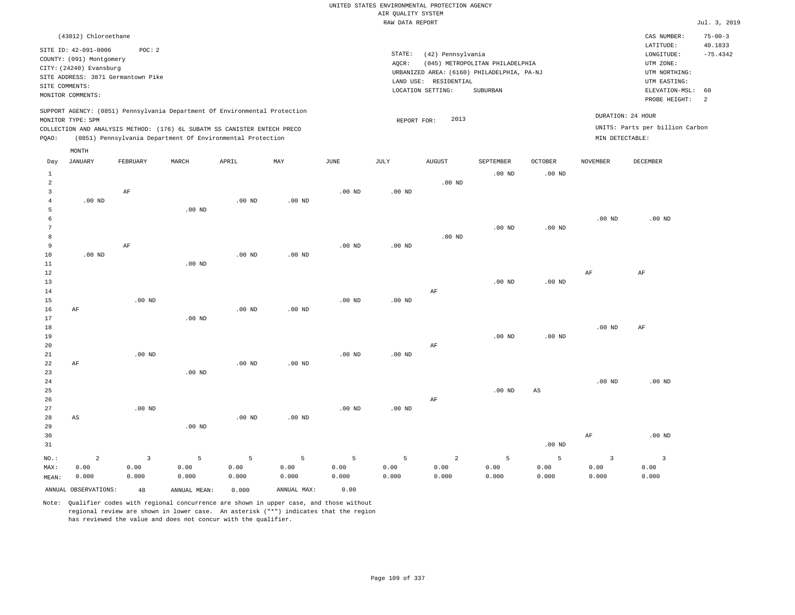| (43812) Chloroethane                                                                                                                                                                                                                                        |                                                                                                                                                                                 | $75 - 00 - 3$<br>CAS NUMBER:                                                                                                                           |
|-------------------------------------------------------------------------------------------------------------------------------------------------------------------------------------------------------------------------------------------------------------|---------------------------------------------------------------------------------------------------------------------------------------------------------------------------------|--------------------------------------------------------------------------------------------------------------------------------------------------------|
| SITE ID: 42-091-0006<br>POC:2<br>COUNTY: (091) Montgomery<br>CITY: (24240) Evansburg<br>SITE ADDRESS: 3871 Germantown Pike<br>SITE COMMENTS:<br>MONITOR COMMENTS:                                                                                           | STATE:<br>(42) Pennsylvania<br>(045) METROPOLITAN PHILADELPHIA<br>AOCR:<br>URBANIZED AREA: (6160) PHILADELPHIA, PA-NJ<br>LAND USE: RESIDENTIAL<br>LOCATION SETTING:<br>SUBURBAN | 40.1833<br>LATITUDE:<br>$-75.4342$<br>LONGITUDE:<br>UTM ZONE:<br>UTM NORTHING:<br>UTM EASTING:<br>ELEVATION-MSL: 60<br>PROBE HEIGHT:<br>$\overline{2}$ |
| SUPPORT AGENCY: (0851) Pennsylvania Department Of Environmental Protection<br>MONITOR TYPE: SPM<br>COLLECTION AND ANALYSIS METHOD: (176) 6L SUBATM SS CANISTER ENTECH PRECO<br>(0851) Pennsylvania Department Of Environmental Protection<br>POAO:<br>MONTH | 2013<br>REPORT FOR:                                                                                                                                                             | DURATION: 24 HOUR<br>UNITS: Parts per billion Carbon<br>MIN DETECTABLE:                                                                                |

| Day            | JANUARY                | FEBRUARY    | MARCH        | APRIL          | MAY         | $_{\rm JUNE}$ | JULY     | <b>AUGUST</b>  | SEPTEMBER      | OCTOBER           | NOVEMBER  | DECEMBER                |
|----------------|------------------------|-------------|--------------|----------------|-------------|---------------|----------|----------------|----------------|-------------------|-----------|-------------------------|
| $\mathbf{1}$   |                        |             |              |                |             |               |          |                | $.00$ ND       | $.00$ ND          |           |                         |
| $\overline{a}$ |                        |             |              |                |             |               |          | $.00$ ND       |                |                   |           |                         |
| 3              |                        | $\rm AF$    |              |                |             | $.00$ ND      | $.00$ ND |                |                |                   |           |                         |
| 4              | $.00$ ND               |             |              | $.00$ ND       | $.00$ ND    |               |          |                |                |                   |           |                         |
| 5              |                        |             | $.00$ ND     |                |             |               |          |                |                |                   |           |                         |
| 6              |                        |             |              |                |             |               |          |                |                |                   | $.00$ ND  | $.00$ ND                |
| 7              |                        |             |              |                |             |               |          |                | $.00$ ND       | $.00$ ND          |           |                         |
| 8              |                        |             |              |                |             |               |          | $.00$ ND       |                |                   |           |                         |
| 9              |                        | $\rm AF$    |              |                |             | $.00$ ND      | $.00$ ND |                |                |                   |           |                         |
| 10             | $.00$ ND               |             |              | $.00$ ND       | $.00$ ND    |               |          |                |                |                   |           |                         |
| 11             |                        |             | $.00$ ND     |                |             |               |          |                |                |                   |           |                         |
| 12             |                        |             |              |                |             |               |          |                |                |                   | $\rm{AF}$ | $\rm AF$                |
| 13             |                        |             |              |                |             |               |          |                | $.00$ ND       | $.00$ ND          |           |                         |
| 14             |                        |             |              |                |             |               |          | AF             |                |                   |           |                         |
| 15             |                        | $.00$ ND    |              |                |             | $.00$ ND      | $.00$ ND |                |                |                   |           |                         |
| 16             | AF                     |             |              | $.00$ ND       | $.00$ ND    |               |          |                |                |                   |           |                         |
| 17             |                        |             | $.00$ ND     |                |             |               |          |                |                |                   |           |                         |
| 18             |                        |             |              |                |             |               |          |                |                |                   | $.00$ ND  | $\rm{AF}$               |
| 19             |                        |             |              |                |             |               |          |                | $.00$ ND       | $.00~\mathrm{ND}$ |           |                         |
| 20             |                        |             |              |                |             |               |          | $\rm AF$       |                |                   |           |                         |
| $2\sqrt{1}$    |                        | $.00$ ND    |              |                |             | $.00$ ND      | $.00$ ND |                |                |                   |           |                         |
| 22             | $\rm AF$               |             |              | $.00$ ND       | $.00$ ND    |               |          |                |                |                   |           |                         |
| 23             |                        |             | $.00$ ND     |                |             |               |          |                |                |                   |           |                         |
| $2\sqrt{4}$    |                        |             |              |                |             |               |          |                |                |                   | $.00$ ND  | $.00$ ND                |
| 25             |                        |             |              |                |             |               |          |                | $.00$ ND       | $_{\rm AS}$       |           |                         |
| 26             |                        |             |              |                |             |               |          | AF             |                |                   |           |                         |
| 27             |                        | $.00$ ND    |              |                |             | $.00$ ND      | $.00$ ND |                |                |                   |           |                         |
| 28             | $\mathbb{A}\mathbb{S}$ |             |              | $.00$ ND       | $.00$ ND    |               |          |                |                |                   |           |                         |
| 29             |                        |             | $.00$ ND     |                |             |               |          |                |                |                   |           |                         |
| 30             |                        |             |              |                |             |               |          |                |                |                   | $\rm{AF}$ | $.00$ ND                |
| 31             |                        |             |              |                |             |               |          |                |                | .00 $ND$          |           |                         |
| $NO.$ :        | $\sqrt{2}$             | $\mathsf 3$ | $\mathsf S$  | $\overline{5}$ | 5           | 5             | 5        | $\overline{a}$ | $\overline{5}$ | 5                 | 3         | $\overline{\mathbf{3}}$ |
| MAX:           | 0.00                   | 0.00        | 0.00         | 0.00           | 0.00        | 0.00          | 0.00     | 0.00           | 0.00           | 0.00              | 0.00      | 0.00                    |
| MEAN:          | 0.000                  | 0.000       | 0.000        | 0.000          | 0.000       | 0.000         | 0.000    | 0.000          | 0.000          | 0.000             | 0.000     | 0.000                   |
|                | ANNUAL OBSERVATIONS:   | 48          | ANNUAL MEAN: | 0.000          | ANNUAL MAX: | 0.00          |          |                |                |                   |           |                         |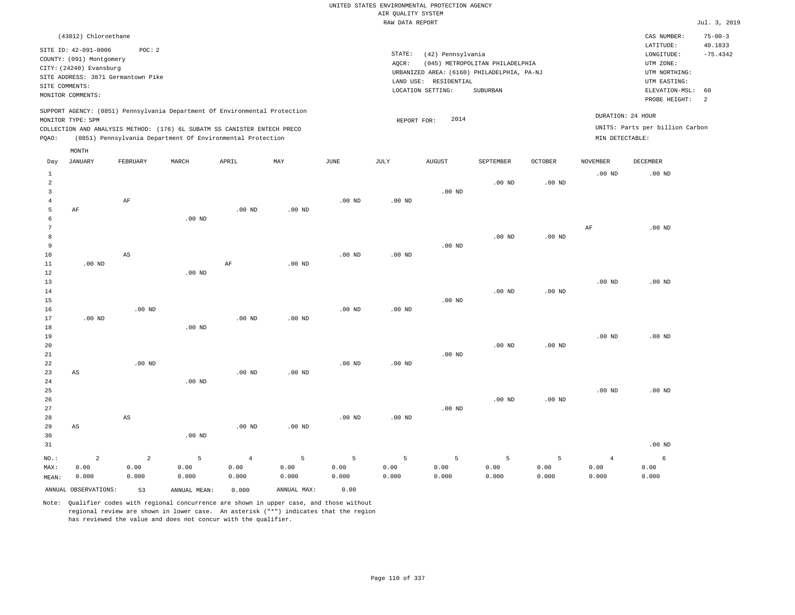|                |                                    |                        |                                                                            |                   |                   |                   |                    | UNITED STATES ENVIRONMENTAL PROTECTION AGENCY |                                            |                   |                   |                                 |               |
|----------------|------------------------------------|------------------------|----------------------------------------------------------------------------|-------------------|-------------------|-------------------|--------------------|-----------------------------------------------|--------------------------------------------|-------------------|-------------------|---------------------------------|---------------|
|                |                                    |                        |                                                                            |                   |                   |                   | AIR OUALITY SYSTEM |                                               |                                            |                   |                   |                                 |               |
|                |                                    |                        |                                                                            |                   |                   |                   | RAW DATA REPORT    |                                               |                                            |                   |                   |                                 | Jul. 3, 2019  |
|                | (43812) Chloroethane               |                        |                                                                            |                   |                   |                   |                    |                                               |                                            |                   |                   | CAS NUMBER:                     | $75 - 00 - 3$ |
|                | SITE ID: 42-091-0006               | POC: 2                 |                                                                            |                   |                   |                   |                    |                                               |                                            |                   |                   | LATITUDE:                       | 40.1833       |
|                | COUNTY: (091) Montgomery           |                        |                                                                            |                   |                   |                   | STATE:             | (42) Pennsylvania                             |                                            |                   |                   | LONGITUDE:                      | $-75.4342$    |
|                | CITY: (24240) Evansburg            |                        |                                                                            |                   |                   |                   | AQCR:              |                                               | (045) METROPOLITAN PHILADELPHIA            |                   |                   | UTM ZONE:                       |               |
|                | SITE ADDRESS: 3871 Germantown Pike |                        |                                                                            |                   |                   |                   |                    |                                               | URBANIZED AREA: (6160) PHILADELPHIA, PA-NJ |                   |                   | UTM NORTHING:                   |               |
| SITE COMMENTS: |                                    |                        |                                                                            |                   |                   |                   |                    | LAND USE: RESIDENTIAL                         |                                            |                   |                   | UTM EASTING:                    |               |
|                | MONITOR COMMENTS:                  |                        |                                                                            |                   |                   |                   |                    | LOCATION SETTING:                             | SUBURBAN                                   |                   |                   | ELEVATION-MSL:<br>PROBE HEIGHT: | 60<br>2       |
|                |                                    |                        | SUPPORT AGENCY: (0851) Pennsylvania Department Of Environmental Protection |                   |                   |                   |                    |                                               |                                            |                   |                   |                                 |               |
|                | MONITOR TYPE: SPM                  |                        |                                                                            |                   |                   |                   | REPORT FOR:        | 2014                                          |                                            |                   |                   | DURATION: 24 HOUR               |               |
|                |                                    |                        | COLLECTION AND ANALYSIS METHOD: (176) 6L SUBATM SS CANISTER ENTECH PRECO   |                   |                   |                   |                    |                                               |                                            |                   | MIN DETECTABLE:   | UNITS: Parts per billion Carbon |               |
| PQAO:          |                                    |                        | (0851) Pennsylvania Department Of Environmental Protection                 |                   |                   |                   |                    |                                               |                                            |                   |                   |                                 |               |
| Day            | MONTH<br><b>JANUARY</b>            | FEBRUARY               | MARCH                                                                      | APRIL             | MAY               | <b>JUNE</b>       | <b>JULY</b>        | <b>AUGUST</b>                                 | SEPTEMBER                                  | <b>OCTOBER</b>    | <b>NOVEMBER</b>   | DECEMBER                        |               |
| $\mathbf{1}$   |                                    |                        |                                                                            |                   |                   |                   |                    |                                               |                                            |                   | .00 <sub>ND</sub> | $.00$ ND                        |               |
| 2              |                                    |                        |                                                                            |                   |                   |                   |                    |                                               | $.00$ ND                                   | .00 <sub>ND</sub> |                   |                                 |               |
| $\overline{3}$ |                                    |                        |                                                                            |                   |                   |                   |                    | .00 <sub>ND</sub>                             |                                            |                   |                   |                                 |               |
| $\overline{4}$ |                                    | AF                     |                                                                            |                   |                   | $.00$ ND          | .00 <sub>ND</sub>  |                                               |                                            |                   |                   |                                 |               |
| 5              | AF                                 |                        |                                                                            | .00 <sub>ND</sub> | .00 <sub>ND</sub> |                   |                    |                                               |                                            |                   |                   |                                 |               |
| 6              |                                    |                        | $.00$ ND                                                                   |                   |                   |                   |                    |                                               |                                            |                   |                   |                                 |               |
| 7              |                                    |                        |                                                                            |                   |                   |                   |                    |                                               |                                            |                   | AF                | $.00$ ND                        |               |
| 8              |                                    |                        |                                                                            |                   |                   |                   |                    |                                               | $.00$ ND                                   | $.00~\mathrm{ND}$ |                   |                                 |               |
| 9              |                                    |                        |                                                                            |                   |                   |                   |                    | $.00$ ND                                      |                                            |                   |                   |                                 |               |
| 10             |                                    | AS                     |                                                                            |                   |                   | .00 <sub>ND</sub> | .00 <sub>ND</sub>  |                                               |                                            |                   |                   |                                 |               |
| $11\,$         | $.00$ ND                           |                        |                                                                            | $\rm AF$          | $.00$ ND          |                   |                    |                                               |                                            |                   |                   |                                 |               |
| 12             |                                    |                        | $.00$ ND                                                                   |                   |                   |                   |                    |                                               |                                            |                   |                   |                                 |               |
| 13             |                                    |                        |                                                                            |                   |                   |                   |                    |                                               |                                            |                   | .00 <sub>ND</sub> | $.00$ ND                        |               |
| 14             |                                    |                        |                                                                            |                   |                   |                   |                    | .00 <sub>ND</sub>                             | .00 <sub>ND</sub>                          | .00 <sub>ND</sub> |                   |                                 |               |
| 15             |                                    | $.00$ ND               |                                                                            |                   |                   | $.00$ ND          |                    |                                               |                                            |                   |                   |                                 |               |
| 16<br>17       | $.00$ ND                           |                        |                                                                            | $.00$ ND          | $.00$ ND          |                   | .00 <sub>ND</sub>  |                                               |                                            |                   |                   |                                 |               |
| $18\,$         |                                    |                        | $.00$ ND                                                                   |                   |                   |                   |                    |                                               |                                            |                   |                   |                                 |               |
| 19             |                                    |                        |                                                                            |                   |                   |                   |                    |                                               |                                            |                   | .00 <sub>ND</sub> | .00 <sub>ND</sub>               |               |
| 20             |                                    |                        |                                                                            |                   |                   |                   |                    |                                               | .00 <sub>ND</sub>                          | .00 <sub>ND</sub> |                   |                                 |               |
| 21             |                                    |                        |                                                                            |                   |                   |                   |                    | .00 <sub>ND</sub>                             |                                            |                   |                   |                                 |               |
| 22             |                                    | $.00$ ND               |                                                                            |                   |                   | $.00$ ND          | $.00$ ND           |                                               |                                            |                   |                   |                                 |               |
| 23             | AS                                 |                        |                                                                            | $.00$ ND          | $.00$ ND          |                   |                    |                                               |                                            |                   |                   |                                 |               |
| $2\,4$         |                                    |                        | $.00$ ND                                                                   |                   |                   |                   |                    |                                               |                                            |                   |                   |                                 |               |
| 25             |                                    |                        |                                                                            |                   |                   |                   |                    |                                               |                                            |                   | .00 <sub>ND</sub> | $.00$ ND                        |               |
| 26             |                                    |                        |                                                                            |                   |                   |                   |                    |                                               | $.00$ ND                                   | $.00$ ND          |                   |                                 |               |
| 27             |                                    |                        |                                                                            |                   |                   |                   |                    | $.00$ ND                                      |                                            |                   |                   |                                 |               |
| $2\,8$         |                                    | $\mathbb{A}\mathbb{S}$ |                                                                            |                   |                   | $.00$ ND          | $.00$ ND           |                                               |                                            |                   |                   |                                 |               |
| 29             | AS                                 |                        |                                                                            | .00 <sub>ND</sub> | .00 <sub>ND</sub> |                   |                    |                                               |                                            |                   |                   |                                 |               |
| 30             |                                    |                        | $.00$ ND                                                                   |                   |                   |                   |                    |                                               |                                            |                   |                   |                                 |               |
| 31             |                                    |                        |                                                                            |                   |                   |                   |                    |                                               |                                            |                   |                   | $.00$ ND                        |               |
| $NO.$ :        | $\overline{a}$                     | 2                      | 5                                                                          | $\overline{4}$    | 5                 | $\overline{5}$    | 5                  | 5                                             | 5                                          | 5                 | $\overline{4}$    | 6                               |               |
| MAX:           | 0.00                               | 0.00                   | 0.00                                                                       | 0.00              | 0.00              | 0.00              | 0.00               | 0.00                                          | 0.00                                       | 0.00              | 0.00              | 0.00                            |               |
| MEAN:          | 0.000                              | 0.000                  | 0.000                                                                      | 0.000             | 0.000             | 0.000             | 0.000              | 0.000                                         | 0.000                                      | 0.000             | 0.000             | 0.000                           |               |
|                | ANNUAL OBSERVATIONS:               | 53                     | ANNUAL, MEAN:                                                              | 0.000             | ANNUAL MAX:       | 0.00              |                    |                                               |                                            |                   |                   |                                 |               |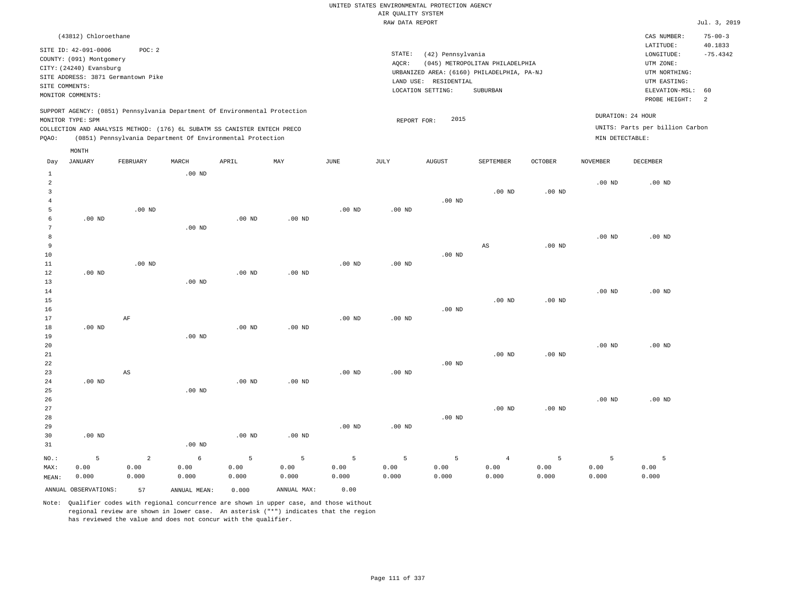|                |                          |                                                                            |                   |                   |                   |                   | AIR QUALITY SYSTEM | UNITED STATES ENVIRONMENTAL PROTECTION AGENCY |                                            |                   |                   |                                 |                          |
|----------------|--------------------------|----------------------------------------------------------------------------|-------------------|-------------------|-------------------|-------------------|--------------------|-----------------------------------------------|--------------------------------------------|-------------------|-------------------|---------------------------------|--------------------------|
|                |                          |                                                                            |                   |                   |                   |                   | RAW DATA REPORT    |                                               |                                            |                   |                   |                                 | Jul. 3, 2019             |
|                |                          |                                                                            |                   |                   |                   |                   |                    |                                               |                                            |                   |                   |                                 |                          |
|                | (43812) Chloroethane     |                                                                            |                   |                   |                   |                   |                    |                                               |                                            |                   |                   | CAS NUMBER:<br>LATITUDE:        | $75 - 00 - 3$<br>40.1833 |
|                | SITE ID: 42-091-0006     | POC: 2                                                                     |                   |                   |                   |                   | STATE:             | (42) Pennsylvania                             |                                            |                   |                   | LONGITUDE:                      | $-75.4342$               |
|                | COUNTY: (091) Montgomery |                                                                            |                   |                   |                   |                   | AQCR:              |                                               | (045) METROPOLITAN PHILADELPHIA            |                   |                   | UTM ZONE:                       |                          |
|                | CITY: (24240) Evansburg  |                                                                            |                   |                   |                   |                   |                    |                                               | URBANIZED AREA: (6160) PHILADELPHIA, PA-NJ |                   |                   | UTM NORTHING:                   |                          |
| SITE COMMENTS: |                          | SITE ADDRESS: 3871 Germantown Pike                                         |                   |                   |                   |                   |                    | LAND USE: RESIDENTIAL                         |                                            |                   |                   | UTM EASTING:                    |                          |
|                | MONITOR COMMENTS:        |                                                                            |                   |                   |                   |                   |                    | LOCATION SETTING:                             | SUBURBAN                                   |                   |                   | ELEVATION-MSL:                  | 60                       |
|                |                          |                                                                            |                   |                   |                   |                   |                    |                                               |                                            |                   |                   | PROBE HEIGHT:                   | 2                        |
|                |                          | SUPPORT AGENCY: (0851) Pennsylvania Department Of Environmental Protection |                   |                   |                   |                   |                    |                                               |                                            |                   |                   | DURATION: 24 HOUR               |                          |
|                | MONITOR TYPE: SPM        |                                                                            |                   |                   |                   |                   | REPORT FOR:        | 2015                                          |                                            |                   |                   |                                 |                          |
|                |                          | COLLECTION AND ANALYSIS METHOD: (176) 6L SUBATM SS CANISTER ENTECH PRECO   |                   |                   |                   |                   |                    |                                               |                                            |                   |                   | UNITS: Parts per billion Carbon |                          |
| PQAO:          |                          | (0851) Pennsylvania Department Of Environmental Protection                 |                   |                   |                   |                   |                    |                                               |                                            |                   | MIN DETECTABLE:   |                                 |                          |
|                | MONTH                    |                                                                            |                   |                   |                   |                   |                    |                                               |                                            |                   |                   |                                 |                          |
| Day            | <b>JANUARY</b>           | FEBRUARY                                                                   | MARCH             | APRIL             | MAX               | $_{\rm JUNE}$     | JULY               | <b>AUGUST</b>                                 | SEPTEMBER                                  | <b>OCTOBER</b>    | <b>NOVEMBER</b>   | DECEMBER                        |                          |
| $\mathbf{1}$   |                          |                                                                            | $.00$ ND          |                   |                   |                   |                    |                                               |                                            |                   |                   |                                 |                          |
| $\overline{a}$ |                          |                                                                            |                   |                   |                   |                   |                    |                                               |                                            |                   | .00 <sub>ND</sub> | $.00$ ND                        |                          |
| 3              |                          |                                                                            |                   |                   |                   |                   |                    |                                               | $.00$ ND                                   | .00 <sub>ND</sub> |                   |                                 |                          |
| $\overline{4}$ |                          |                                                                            |                   |                   |                   |                   |                    | $.00$ ND                                      |                                            |                   |                   |                                 |                          |
| 5              |                          | $.00$ ND                                                                   |                   |                   |                   | $.00$ ND          | $.00$ ND           |                                               |                                            |                   |                   |                                 |                          |
| 6              | $.00$ ND                 |                                                                            |                   | .00 <sub>ND</sub> | .00 <sub>ND</sub> |                   |                    |                                               |                                            |                   |                   |                                 |                          |
| 7              |                          |                                                                            | .00 <sub>ND</sub> |                   |                   |                   |                    |                                               |                                            |                   |                   |                                 |                          |
| 8              |                          |                                                                            |                   |                   |                   |                   |                    |                                               |                                            |                   | .00 <sub>ND</sub> | $.00$ ND                        |                          |
| 9              |                          |                                                                            |                   |                   |                   |                   |                    |                                               | $_{\rm AS}$                                | .00 <sub>ND</sub> |                   |                                 |                          |
| $10$<br>$11\,$ |                          | $.00$ ND                                                                   |                   |                   |                   | $.00$ ND          |                    | $.00$ ND                                      |                                            |                   |                   |                                 |                          |
| 12             | .00 <sub>ND</sub>        |                                                                            |                   | .00 <sub>ND</sub> | $.00$ ND          |                   | .00 <sub>ND</sub>  |                                               |                                            |                   |                   |                                 |                          |
| 13             |                          |                                                                            | $.00$ ND          |                   |                   |                   |                    |                                               |                                            |                   |                   |                                 |                          |
| 14             |                          |                                                                            |                   |                   |                   |                   |                    |                                               |                                            |                   | .00 <sub>ND</sub> | $.00$ ND                        |                          |
| 15             |                          |                                                                            |                   |                   |                   |                   |                    |                                               | $.00$ ND                                   | $.00$ ND          |                   |                                 |                          |
| 16             |                          |                                                                            |                   |                   |                   |                   |                    | .00 <sub>ND</sub>                             |                                            |                   |                   |                                 |                          |
| 17             |                          | AF                                                                         |                   |                   |                   | $.00$ ND          | .00 <sub>ND</sub>  |                                               |                                            |                   |                   |                                 |                          |
| 18             | .00 <sub>ND</sub>        |                                                                            |                   | .00 <sub>ND</sub> | $.00$ ND          |                   |                    |                                               |                                            |                   |                   |                                 |                          |
| 19             |                          |                                                                            | $.00$ ND          |                   |                   |                   |                    |                                               |                                            |                   |                   |                                 |                          |
| 20             |                          |                                                                            |                   |                   |                   |                   |                    |                                               |                                            |                   | .00 <sub>ND</sub> | $.00$ ND                        |                          |
| 21             |                          |                                                                            |                   |                   |                   |                   |                    |                                               | .00 <sub>ND</sub>                          | .00 <sub>ND</sub> |                   |                                 |                          |
| 22             |                          |                                                                            |                   |                   |                   |                   |                    | $.00$ ND                                      |                                            |                   |                   |                                 |                          |
| 23             |                          | AS                                                                         |                   |                   |                   | $.00$ ND          | .00 <sub>ND</sub>  |                                               |                                            |                   |                   |                                 |                          |
| 24             | $.00$ ND                 |                                                                            |                   | $.00$ ND          | $.00$ ND          |                   |                    |                                               |                                            |                   |                   |                                 |                          |
| 25             |                          |                                                                            | $.00$ ND          |                   |                   |                   |                    |                                               |                                            |                   |                   |                                 |                          |
| 26             |                          |                                                                            |                   |                   |                   |                   |                    |                                               |                                            |                   | .00 <sub>ND</sub> | $.00$ ND                        |                          |
| 27             |                          |                                                                            |                   |                   |                   |                   |                    |                                               | .00 <sub>ND</sub>                          | .00 <sub>ND</sub> |                   |                                 |                          |
| 28<br>29       |                          |                                                                            |                   |                   |                   | .00 <sub>ND</sub> | .00 <sub>ND</sub>  | $.00$ ND                                      |                                            |                   |                   |                                 |                          |
| 30             | .00 <sub>ND</sub>        |                                                                            |                   | $.00$ ND          | .00 <sub>ND</sub> |                   |                    |                                               |                                            |                   |                   |                                 |                          |
| 31             |                          |                                                                            | $.00$ ND          |                   |                   |                   |                    |                                               |                                            |                   |                   |                                 |                          |
|                |                          |                                                                            |                   |                   |                   |                   |                    |                                               |                                            |                   |                   |                                 |                          |
| NO.:           | 5                        | $\overline{2}$                                                             | 6                 | 5                 | 5                 | 5                 | 5                  | 5                                             | $\overline{4}$                             | 5                 | 5                 | 5                               |                          |
| MAX:           | 0.00                     | 0.00                                                                       | 0.00              | 0.00              | 0.00              | 0.00              | 0.00               | 0.00                                          | 0.00                                       | 0.00              | 0.00              | 0.00                            |                          |
| MEAN:          | 0.000                    | 0.000                                                                      | 0.000             | 0.000             | 0.000             | 0.000             | 0.000              | 0.000                                         | 0.000                                      | 0.000             | 0.000             | 0.000                           |                          |

ANNUAL OBSERVATIONS: 57 ANNUAL MEAN: 0.000 ANNUAL MAX: 0.00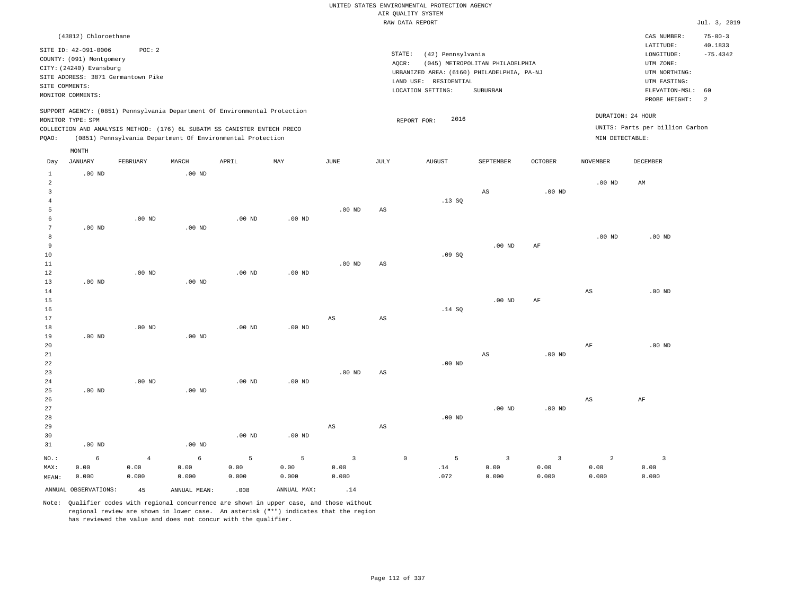|                                |                                                     |                   |                   |                                                                            |                   |                        |                        | UNITED STATES ENVIRONMENTAL PROTECTION AGENCY |                                 |                   |                   |                                 |                          |
|--------------------------------|-----------------------------------------------------|-------------------|-------------------|----------------------------------------------------------------------------|-------------------|------------------------|------------------------|-----------------------------------------------|---------------------------------|-------------------|-------------------|---------------------------------|--------------------------|
|                                |                                                     |                   |                   |                                                                            |                   |                        |                        | AIR QUALITY SYSTEM                            |                                 |                   |                   |                                 |                          |
|                                |                                                     |                   |                   |                                                                            |                   |                        |                        | RAW DATA REPORT                               |                                 |                   |                   |                                 | Jul. 3, 2019             |
|                                | (43812) Chloroethane                                |                   |                   |                                                                            |                   |                        |                        |                                               |                                 |                   |                   | CAS NUMBER:<br>LATITUDE:        | $75 - 00 - 3$<br>40.1833 |
|                                | SITE ID: 42-091-0006                                | POC: 2            |                   |                                                                            |                   |                        |                        | STATE:<br>(42) Pennsylvania                   |                                 |                   |                   | LONGITUDE:                      | $-75.4342$               |
|                                | COUNTY: (091) Montgomery<br>CITY: (24240) Evansburg |                   |                   |                                                                            |                   |                        |                        | AQCR:                                         | (045) METROPOLITAN PHILADELPHIA |                   |                   | UTM ZONE:                       |                          |
|                                | SITE ADDRESS: 3871 Germantown Pike                  |                   |                   |                                                                            |                   |                        |                        | URBANIZED AREA: (6160) PHILADELPHIA, PA-NJ    |                                 |                   |                   | UTM NORTHING:                   |                          |
|                                | SITE COMMENTS:                                      |                   |                   |                                                                            |                   |                        |                        | LAND USE: RESIDENTIAL                         |                                 |                   |                   | UTM EASTING:                    |                          |
|                                | MONITOR COMMENTS:                                   |                   |                   |                                                                            |                   |                        |                        | LOCATION SETTING:                             | SUBURBAN                        |                   |                   | ELEVATION-MSL:<br>PROBE HEIGHT: | 60<br>2                  |
|                                | MONITOR TYPE: SPM                                   |                   |                   | SUPPORT AGENCY: (0851) Pennsylvania Department Of Environmental Protection |                   |                        |                        | 2016<br>REPORT FOR:                           |                                 |                   | DURATION: 24 HOUR |                                 |                          |
|                                |                                                     |                   |                   | COLLECTION AND ANALYSIS METHOD: (176) 6L SUBATM SS CANISTER ENTECH PRECO   |                   |                        |                        |                                               |                                 |                   |                   | UNITS: Parts per billion Carbon |                          |
| PQAO:                          |                                                     |                   |                   | (0851) Pennsylvania Department Of Environmental Protection                 |                   |                        |                        |                                               |                                 |                   | MIN DETECTABLE:   |                                 |                          |
|                                | $\texttt{MONTH}$                                    |                   |                   |                                                                            |                   |                        |                        |                                               |                                 |                   |                   |                                 |                          |
| Day                            | <b>JANUARY</b>                                      | FEBRUARY          | MARCH             | APRIL                                                                      | MAY               | <b>JUNE</b>            | JULY                   | <b>AUGUST</b>                                 | SEPTEMBER                       | OCTOBER           | <b>NOVEMBER</b>   | <b>DECEMBER</b>                 |                          |
| $\mathbf{1}$<br>$\overline{a}$ | $.00$ ND                                            |                   | $.00$ ND          |                                                                            |                   |                        |                        |                                               |                                 |                   | $.00$ ND          | AM                              |                          |
| $\overline{\mathbf{3}}$        |                                                     |                   |                   |                                                                            |                   |                        |                        |                                               | AS                              | .00 <sub>ND</sub> |                   |                                 |                          |
| $\overline{4}$                 |                                                     |                   |                   |                                                                            |                   |                        |                        | .13SQ                                         |                                 |                   |                   |                                 |                          |
| 5                              |                                                     |                   |                   |                                                                            |                   | .00 <sub>ND</sub>      | AS                     |                                               |                                 |                   |                   |                                 |                          |
| 6                              |                                                     | $.00$ ND          |                   | $.00$ ND                                                                   | $.00$ ND          |                        |                        |                                               |                                 |                   |                   |                                 |                          |
| $\overline{7}$                 | $.00$ ND                                            |                   | .00 <sub>ND</sub> |                                                                            |                   |                        |                        |                                               |                                 |                   |                   |                                 |                          |
| 8<br>9                         |                                                     |                   |                   |                                                                            |                   |                        |                        |                                               | .00 <sub>ND</sub>               |                   | .00 <sub>ND</sub> | $.00$ ND                        |                          |
| 10                             |                                                     |                   |                   |                                                                            |                   |                        |                        | .09SQ                                         |                                 | AF                |                   |                                 |                          |
| 11                             |                                                     |                   |                   |                                                                            |                   | $.00$ ND               | $_{\rm AS}$            |                                               |                                 |                   |                   |                                 |                          |
| 12                             |                                                     | $.00$ ND          |                   | $.00$ ND                                                                   | $.00$ ND          |                        |                        |                                               |                                 |                   |                   |                                 |                          |
| 13                             | $.00$ ND                                            |                   | .00 <sub>ND</sub> |                                                                            |                   |                        |                        |                                               |                                 |                   |                   |                                 |                          |
| 14                             |                                                     |                   |                   |                                                                            |                   |                        |                        |                                               |                                 |                   | $_{\rm AS}$       | $.00$ ND                        |                          |
| 15                             |                                                     |                   |                   |                                                                            |                   |                        |                        |                                               | $.00$ ND                        | AF                |                   |                                 |                          |
| 16<br>17                       |                                                     |                   |                   |                                                                            |                   | $\mathbb{A}\mathbb{S}$ | $\mathbb{A}\mathbb{S}$ | .14 SQ                                        |                                 |                   |                   |                                 |                          |
| $1\,8$                         |                                                     | .00 <sub>ND</sub> |                   | .00 <sub>ND</sub>                                                          | .00 <sub>ND</sub> |                        |                        |                                               |                                 |                   |                   |                                 |                          |
| 19                             | $.00$ ND                                            |                   | $.00$ ND          |                                                                            |                   |                        |                        |                                               |                                 |                   |                   |                                 |                          |
| 20                             |                                                     |                   |                   |                                                                            |                   |                        |                        |                                               |                                 |                   | $\rm AF$          | $.00$ ND                        |                          |
| 21                             |                                                     |                   |                   |                                                                            |                   |                        |                        |                                               | AS                              | $.00$ ND          |                   |                                 |                          |
| 22                             |                                                     |                   |                   |                                                                            |                   |                        |                        | $.00$ ND                                      |                                 |                   |                   |                                 |                          |
| 23<br>24                       |                                                     | $.00$ ND          |                   | $.00$ ND                                                                   | $.00$ ND          | $.00$ ND               | AS                     |                                               |                                 |                   |                   |                                 |                          |
| 25                             | $.00$ ND                                            |                   | $.00$ ND          |                                                                            |                   |                        |                        |                                               |                                 |                   |                   |                                 |                          |
| 26                             |                                                     |                   |                   |                                                                            |                   |                        |                        |                                               |                                 |                   | $_{\rm AS}$       | AF                              |                          |
| 27                             |                                                     |                   |                   |                                                                            |                   |                        |                        |                                               | $.00$ ND                        | $.00$ ND          |                   |                                 |                          |
| 28                             |                                                     |                   |                   |                                                                            |                   |                        |                        | $.00$ ND                                      |                                 |                   |                   |                                 |                          |
| 29                             |                                                     |                   |                   |                                                                            |                   | $\mathbb{A}\mathbb{S}$ | $_{\rm AS}$            |                                               |                                 |                   |                   |                                 |                          |
| 30                             |                                                     |                   |                   | $.00$ ND                                                                   | $.00$ ND          |                        |                        |                                               |                                 |                   |                   |                                 |                          |
| 31                             | $.00$ ND                                            |                   | $.00$ ND          |                                                                            |                   |                        |                        |                                               |                                 |                   |                   |                                 |                          |
| NO.:                           | $\epsilon$                                          | $\sqrt{4}$        | $\epsilon$        | 5                                                                          | $\overline{5}$    | $\overline{3}$         |                        | $\mathbb O$<br>5                              | $\overline{3}$                  | $\mathbf{3}$      | $\overline{a}$    | $\overline{\mathbf{3}}$         |                          |
| MAX:                           | 0.00                                                | 0.00              | 0.00              | 0.00                                                                       | 0.00              | 0.00                   |                        | .14                                           | 0.00                            | 0.00              | 0.00              | 0.00                            |                          |
| MEAN:                          | 0.000                                               | 0.000             | 0.000             | 0.000                                                                      | 0.000             | 0.000                  |                        | .072                                          | 0.000                           | 0.000             | 0.000             | 0.000                           |                          |
|                                | ANNUAL OBSERVATIONS:                                | 45                | ANNUAL, MEAN:     | .008                                                                       | ANNUAL MAX:       | .14                    |                        |                                               |                                 |                   |                   |                                 |                          |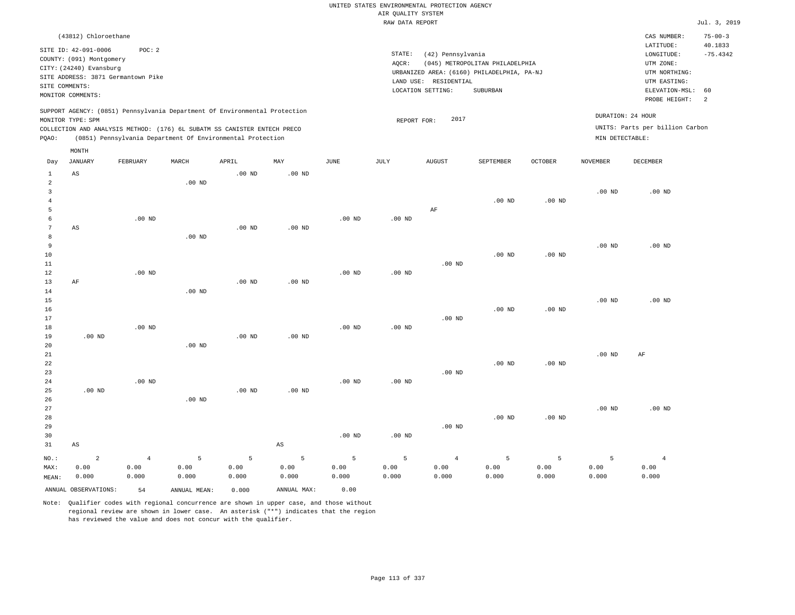|                                |                                                  |                   |                   |                                                                            |                   |                   |                    | UNITED STATES ENVIRONMENTAL PROTECTION AGENCY |                                            |                   |                   |                                 |                          |
|--------------------------------|--------------------------------------------------|-------------------|-------------------|----------------------------------------------------------------------------|-------------------|-------------------|--------------------|-----------------------------------------------|--------------------------------------------|-------------------|-------------------|---------------------------------|--------------------------|
|                                |                                                  |                   |                   |                                                                            |                   |                   | AIR QUALITY SYSTEM |                                               |                                            |                   |                   |                                 |                          |
|                                |                                                  |                   |                   |                                                                            |                   |                   | RAW DATA REPORT    |                                               |                                            |                   |                   |                                 | Jul. 3, 2019             |
|                                | (43812) Chloroethane                             |                   |                   |                                                                            |                   |                   |                    |                                               |                                            |                   |                   | CAS NUMBER:<br>LATITUDE:        | $75 - 00 - 3$<br>40.1833 |
|                                | SITE ID: 42-091-0006<br>COUNTY: (091) Montgomery | POC: 2            |                   |                                                                            |                   |                   | STATE:             | (42) Pennsylvania                             |                                            |                   |                   | LONGITUDE:                      | $-75.4342$               |
|                                | CITY: (24240) Evansburg                          |                   |                   |                                                                            |                   |                   | AQCR:              |                                               | (045) METROPOLITAN PHILADELPHIA            |                   |                   | UTM ZONE:                       |                          |
|                                | SITE ADDRESS: 3871 Germantown Pike               |                   |                   |                                                                            |                   |                   |                    |                                               | URBANIZED AREA: (6160) PHILADELPHIA, PA-NJ |                   |                   | UTM NORTHING:                   |                          |
| SITE COMMENTS:                 |                                                  |                   |                   |                                                                            |                   |                   |                    | LAND USE: RESIDENTIAL<br>LOCATION SETTING:    | SUBURBAN                                   |                   |                   | UTM EASTING:<br>ELEVATION-MSL:  | 60                       |
|                                | MONITOR COMMENTS:                                |                   |                   |                                                                            |                   |                   |                    |                                               |                                            |                   |                   | PROBE HEIGHT:                   | 2                        |
|                                | MONITOR TYPE: SPM                                |                   |                   | SUPPORT AGENCY: (0851) Pennsylvania Department Of Environmental Protection |                   |                   |                    | 2017                                          |                                            |                   |                   | DURATION: 24 HOUR               |                          |
|                                |                                                  |                   |                   | COLLECTION AND ANALYSIS METHOD: (176) 6L SUBATM SS CANISTER ENTECH PRECO   |                   |                   | REPORT FOR:        |                                               |                                            |                   |                   | UNITS: Parts per billion Carbon |                          |
| PQAO:                          |                                                  |                   |                   | (0851) Pennsylvania Department Of Environmental Protection                 |                   |                   |                    |                                               |                                            |                   | MIN DETECTABLE:   |                                 |                          |
|                                | MONTH                                            |                   |                   |                                                                            |                   |                   |                    |                                               |                                            |                   |                   |                                 |                          |
| Day                            | <b>JANUARY</b>                                   | FEBRUARY          | MARCH             | APRIL                                                                      | MAY               | <b>JUNE</b>       | <b>JULY</b>        | <b>AUGUST</b>                                 | SEPTEMBER                                  | <b>OCTOBER</b>    | <b>NOVEMBER</b>   | <b>DECEMBER</b>                 |                          |
| $\mathbf{1}$<br>$\overline{2}$ | AS                                               |                   | .00 <sub>ND</sub> | .00 <sub>ND</sub>                                                          | .00 <sub>ND</sub> |                   |                    |                                               |                                            |                   |                   |                                 |                          |
| $\overline{3}$                 |                                                  |                   |                   |                                                                            |                   |                   |                    |                                               |                                            |                   | $.00$ ND          | $.00$ ND                        |                          |
| $\overline{4}$                 |                                                  |                   |                   |                                                                            |                   |                   |                    |                                               | $.00$ ND                                   | $.00$ ND          |                   |                                 |                          |
| 5                              |                                                  |                   |                   |                                                                            |                   |                   |                    | AF                                            |                                            |                   |                   |                                 |                          |
| 6                              |                                                  | $.00$ ND          |                   |                                                                            |                   | $.00$ ND          | $.00$ ND           |                                               |                                            |                   |                   |                                 |                          |
| 7                              | AS                                               |                   |                   | .00 <sub>ND</sub>                                                          | $.00$ ND          |                   |                    |                                               |                                            |                   |                   |                                 |                          |
| 8                              |                                                  |                   | .00 <sub>ND</sub> |                                                                            |                   |                   |                    |                                               |                                            |                   |                   |                                 |                          |
| $\overline{9}$                 |                                                  |                   |                   |                                                                            |                   |                   |                    |                                               |                                            |                   | $.00$ ND          | $.00$ ND                        |                          |
| 10                             |                                                  |                   |                   |                                                                            |                   |                   |                    |                                               | $.00$ ND                                   | .00 <sub>ND</sub> |                   |                                 |                          |
| 11                             |                                                  |                   |                   |                                                                            |                   |                   |                    | $.00$ ND                                      |                                            |                   |                   |                                 |                          |
| 12<br>13                       | $\rm{AF}$                                        | $.00$ ND          |                   | .00 <sub>ND</sub>                                                          | $.00$ ND          | $.00$ ND          | .00 <sub>ND</sub>  |                                               |                                            |                   |                   |                                 |                          |
| 14                             |                                                  |                   | .00 <sub>ND</sub> |                                                                            |                   |                   |                    |                                               |                                            |                   |                   |                                 |                          |
| 15                             |                                                  |                   |                   |                                                                            |                   |                   |                    |                                               |                                            |                   | .00 <sub>ND</sub> | $.00$ ND                        |                          |
| 16                             |                                                  |                   |                   |                                                                            |                   |                   |                    |                                               | $.00$ ND                                   | $.00$ ND          |                   |                                 |                          |
| 17                             |                                                  |                   |                   |                                                                            |                   |                   |                    | $.00$ ND                                      |                                            |                   |                   |                                 |                          |
| 18                             |                                                  | $.00$ ND          |                   |                                                                            |                   | $.00$ ND          | .00 <sub>ND</sub>  |                                               |                                            |                   |                   |                                 |                          |
| 19                             | $.00$ ND                                         |                   |                   | $.00$ ND                                                                   | $.00$ ND          |                   |                    |                                               |                                            |                   |                   |                                 |                          |
| 20                             |                                                  |                   | .00 <sub>ND</sub> |                                                                            |                   |                   |                    |                                               |                                            |                   |                   |                                 |                          |
| 21                             |                                                  |                   |                   |                                                                            |                   |                   |                    |                                               |                                            |                   | $.00$ ND          | AF                              |                          |
| 22                             |                                                  |                   |                   |                                                                            |                   |                   |                    |                                               | .00 <sub>ND</sub>                          | $.00$ ND          |                   |                                 |                          |
| 23<br>24                       |                                                  | .00 <sub>ND</sub> |                   |                                                                            |                   | .00 <sub>ND</sub> | .00 <sub>ND</sub>  | $.00$ ND                                      |                                            |                   |                   |                                 |                          |
| 25                             | $.00$ ND                                         |                   |                   | $.00$ ND                                                                   | $.00$ ND          |                   |                    |                                               |                                            |                   |                   |                                 |                          |
| 26                             |                                                  |                   | $.00$ ND          |                                                                            |                   |                   |                    |                                               |                                            |                   |                   |                                 |                          |
| 27                             |                                                  |                   |                   |                                                                            |                   |                   |                    |                                               |                                            |                   | $.00$ ND          | $.00$ ND                        |                          |
| 28                             |                                                  |                   |                   |                                                                            |                   |                   |                    |                                               | $.00$ ND                                   | $.00$ ND          |                   |                                 |                          |
| 29                             |                                                  |                   |                   |                                                                            |                   |                   |                    | $.00$ ND                                      |                                            |                   |                   |                                 |                          |
| 30                             |                                                  |                   |                   |                                                                            |                   | .00 <sub>ND</sub> | .00 <sub>ND</sub>  |                                               |                                            |                   |                   |                                 |                          |
| 31                             | $\mathbb{A}\mathbb{S}$                           |                   |                   |                                                                            | $_{\rm AS}$       |                   |                    |                                               |                                            |                   |                   |                                 |                          |
| NO.:                           | $\overline{a}$                                   | $\overline{4}$    | 5                 | 5                                                                          | 5                 | 5                 | 5                  | $\overline{4}$                                | 5                                          | 5                 | 5                 | $\overline{4}$                  |                          |
| MAX:                           | 0.00                                             | 0.00              | 0.00              | 0.00                                                                       | 0.00              | 0.00              | 0.00               | 0.00                                          | 0.00                                       | 0.00              | 0.00              | 0.00                            |                          |
| MEAN:                          | 0.000                                            | 0.000             | 0.000             | 0.000                                                                      | 0.000             | 0.000             | 0.000              | 0.000                                         | 0.000                                      | 0.000             | 0.000             | 0.000                           |                          |
|                                | ANNUAL OBSERVATIONS:                             | 54                | ANNUAL, MEAN:     | 0.000                                                                      | ANNUAL MAX:       | 0.00              |                    |                                               |                                            |                   |                   |                                 |                          |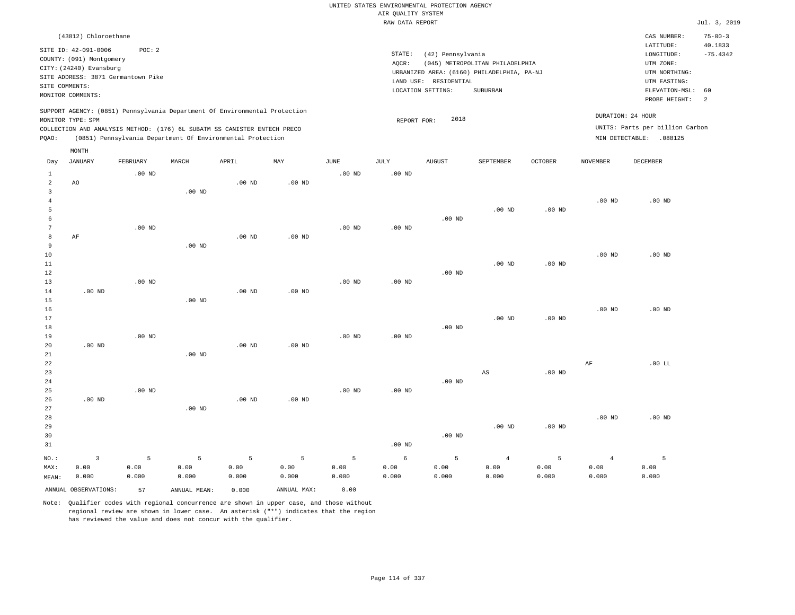|                         |                                                                                                 |                   |                                                            |                   |                   |                   | UNITED STATES ENVIRONMENTAL PROTECTION AGENCY |                       |                                            |                   |                   |                                 |                          |
|-------------------------|-------------------------------------------------------------------------------------------------|-------------------|------------------------------------------------------------|-------------------|-------------------|-------------------|-----------------------------------------------|-----------------------|--------------------------------------------|-------------------|-------------------|---------------------------------|--------------------------|
|                         |                                                                                                 |                   |                                                            |                   |                   |                   | AIR QUALITY SYSTEM                            |                       |                                            |                   |                   |                                 |                          |
|                         |                                                                                                 |                   |                                                            |                   |                   |                   | RAW DATA REPORT                               |                       |                                            |                   |                   |                                 | Jul. 3, 2019             |
|                         | (43812) Chloroethane                                                                            |                   |                                                            |                   |                   |                   |                                               |                       |                                            |                   |                   | CAS NUMBER:<br>LATITUDE:        | $75 - 00 - 3$<br>40.1833 |
|                         | SITE ID: 42-091-0006                                                                            | POC: 2            |                                                            |                   |                   |                   | STATE:                                        | (42) Pennsylvania     |                                            |                   |                   | LONGITUDE:                      | $-75.4342$               |
|                         | COUNTY: (091) Montgomery                                                                        |                   |                                                            |                   |                   |                   | AQCR:                                         |                       | (045) METROPOLITAN PHILADELPHIA            |                   |                   | UTM ZONE:                       |                          |
|                         | CITY: (24240) Evansburg<br>SITE ADDRESS: 3871 Germantown Pike                                   |                   |                                                            |                   |                   |                   |                                               |                       | URBANIZED AREA: (6160) PHILADELPHIA, PA-NJ |                   |                   | UTM NORTHING:                   |                          |
| SITE COMMENTS:          |                                                                                                 |                   |                                                            |                   |                   |                   |                                               | LAND USE: RESIDENTIAL |                                            |                   |                   | UTM EASTING:                    |                          |
|                         | MONITOR COMMENTS:                                                                               |                   |                                                            |                   |                   |                   |                                               | LOCATION SETTING:     | SUBURBAN                                   |                   |                   | ELEVATION-MSL:                  | 60                       |
|                         |                                                                                                 |                   |                                                            |                   |                   |                   |                                               |                       |                                            |                   |                   | PROBE HEIGHT:                   | $\overline{a}$           |
|                         | SUPPORT AGENCY: (0851) Pennsylvania Department Of Environmental Protection<br>MONITOR TYPE: SPM |                   |                                                            |                   |                   |                   | REPORT FOR:                                   | 2018                  |                                            |                   |                   | DURATION: 24 HOUR               |                          |
|                         | COLLECTION AND ANALYSIS METHOD: (176) 6L SUBATM SS CANISTER ENTECH PRECO                        |                   |                                                            |                   |                   |                   |                                               |                       |                                            |                   |                   | UNITS: Parts per billion Carbon |                          |
| PQAO:                   |                                                                                                 |                   | (0851) Pennsylvania Department Of Environmental Protection |                   |                   |                   |                                               |                       |                                            |                   |                   | MIN DETECTABLE: .088125         |                          |
| Day                     | MONTH<br><b>JANUARY</b>                                                                         | FEBRUARY          | MARCH                                                      | APRIL             | MAY               | <b>JUNE</b>       | <b>JULY</b>                                   | <b>AUGUST</b>         | SEPTEMBER                                  | <b>OCTOBER</b>    | <b>NOVEMBER</b>   | <b>DECEMBER</b>                 |                          |
| $\mathbf{1}$            |                                                                                                 | $.00$ ND          |                                                            |                   |                   | $.00$ ND          | .00 <sub>ND</sub>                             |                       |                                            |                   |                   |                                 |                          |
| $\overline{a}$          | A <sub>O</sub>                                                                                  |                   |                                                            | .00 <sub>ND</sub> | $.00$ ND          |                   |                                               |                       |                                            |                   |                   |                                 |                          |
| $\overline{\mathbf{3}}$ |                                                                                                 |                   | $.00$ ND                                                   |                   |                   |                   |                                               |                       |                                            |                   |                   |                                 |                          |
| $\overline{4}$          |                                                                                                 |                   |                                                            |                   |                   |                   |                                               |                       |                                            |                   | $.00$ ND          | $.00$ ND                        |                          |
| 5                       |                                                                                                 |                   |                                                            |                   |                   |                   |                                               |                       | $.00$ ND                                   | .00 <sub>ND</sub> |                   |                                 |                          |
| 6                       |                                                                                                 |                   |                                                            |                   |                   |                   |                                               | $.00$ ND              |                                            |                   |                   |                                 |                          |
| $\overline{7}$          |                                                                                                 | $.00$ ND          |                                                            |                   |                   | .00 <sub>ND</sub> | .00 <sub>ND</sub>                             |                       |                                            |                   |                   |                                 |                          |
| 8                       | AF                                                                                              |                   |                                                            | $.00$ ND          | .00 <sub>ND</sub> |                   |                                               |                       |                                            |                   |                   |                                 |                          |
| $\overline{9}$          |                                                                                                 |                   | $.00$ ND                                                   |                   |                   |                   |                                               |                       |                                            |                   |                   |                                 |                          |
| 10<br>$11\,$            |                                                                                                 |                   |                                                            |                   |                   |                   |                                               |                       | $.00$ ND                                   | $.00$ ND          | $.00$ ND          | $.00$ ND                        |                          |
| 12                      |                                                                                                 |                   |                                                            |                   |                   |                   |                                               | .00 <sub>ND</sub>     |                                            |                   |                   |                                 |                          |
| 13                      |                                                                                                 | .00 <sub>ND</sub> |                                                            |                   |                   | $.00$ ND          | .00 <sub>ND</sub>                             |                       |                                            |                   |                   |                                 |                          |
| 14                      | .00 <sub>ND</sub>                                                                               |                   |                                                            | .00 <sub>ND</sub> | .00 <sub>ND</sub> |                   |                                               |                       |                                            |                   |                   |                                 |                          |
| 15                      |                                                                                                 |                   | $.00$ ND                                                   |                   |                   |                   |                                               |                       |                                            |                   |                   |                                 |                          |
| 16                      |                                                                                                 |                   |                                                            |                   |                   |                   |                                               |                       |                                            |                   | $.00$ ND          | $.00$ ND                        |                          |
| 17                      |                                                                                                 |                   |                                                            |                   |                   |                   |                                               |                       | .00 <sub>ND</sub>                          | $.00$ ND          |                   |                                 |                          |
| 18                      |                                                                                                 |                   |                                                            |                   |                   |                   |                                               | $.00$ ND              |                                            |                   |                   |                                 |                          |
| 19                      |                                                                                                 | .00 <sub>ND</sub> |                                                            |                   |                   | .00 <sub>ND</sub> | .00 <sub>ND</sub>                             |                       |                                            |                   |                   |                                 |                          |
| 20                      | $.00$ ND                                                                                        |                   |                                                            | $.00$ ND          | $.00$ ND          |                   |                                               |                       |                                            |                   |                   |                                 |                          |
| 21<br>22                |                                                                                                 |                   | $.00$ ND                                                   |                   |                   |                   |                                               |                       |                                            |                   |                   | .00 L                           |                          |
| 23                      |                                                                                                 |                   |                                                            |                   |                   |                   |                                               |                       | AS                                         | $.00$ ND          | $\rm AF$          |                                 |                          |
| 24                      |                                                                                                 |                   |                                                            |                   |                   |                   |                                               | $.00$ ND              |                                            |                   |                   |                                 |                          |
| 25                      |                                                                                                 | $.00$ ND          |                                                            |                   |                   | $.00$ ND          | $.00$ ND                                      |                       |                                            |                   |                   |                                 |                          |
| 26                      | $.00$ ND                                                                                        |                   |                                                            | $.00$ ND          | $.00$ ND          |                   |                                               |                       |                                            |                   |                   |                                 |                          |
| 27                      |                                                                                                 |                   | $.00$ ND                                                   |                   |                   |                   |                                               |                       |                                            |                   |                   |                                 |                          |
| 28                      |                                                                                                 |                   |                                                            |                   |                   |                   |                                               |                       |                                            |                   | .00 <sub>ND</sub> | $.00$ ND                        |                          |
| 29                      |                                                                                                 |                   |                                                            |                   |                   |                   |                                               |                       | $.00$ ND                                   | $.00$ ND          |                   |                                 |                          |
| 30                      |                                                                                                 |                   |                                                            |                   |                   |                   |                                               | $.00$ ND              |                                            |                   |                   |                                 |                          |
| 31                      |                                                                                                 |                   |                                                            |                   |                   |                   | .00 <sub>ND</sub>                             |                       |                                            |                   |                   |                                 |                          |
| NO.:                    | $\overline{3}$                                                                                  | 5                 | 5                                                          | 5                 | 5                 | 5                 | 6                                             | 5                     | $\overline{4}$                             | 5                 | $\overline{4}$    | 5                               |                          |
| MAX:                    | 0.00                                                                                            | 0.00              | 0.00                                                       | 0.00              | 0.00              | 0.00              | 0.00                                          | 0.00                  | 0.00                                       | 0.00              | 0.00              | 0.00                            |                          |
| MEAN:                   | 0.000                                                                                           | 0.000             | 0.000                                                      | 0.000             | 0.000             | 0.000             | 0.000                                         | 0.000                 | 0.000                                      | 0.000             | 0.000             | 0.000                           |                          |
|                         | ANNUAL OBSERVATIONS:                                                                            | 57                | ANNUAL MEAN:                                               | 0.000             | ANNUAL MAX:       | 0.00              |                                               |                       |                                            |                   |                   |                                 |                          |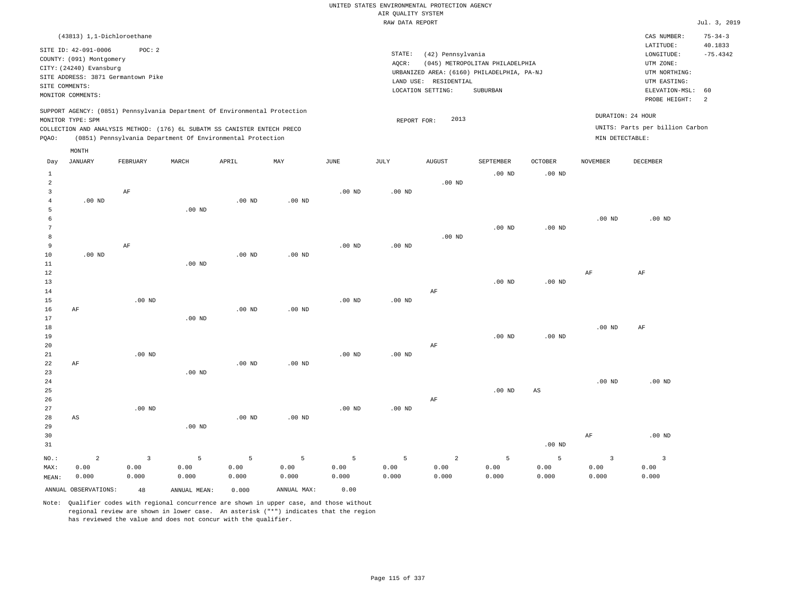|       |                          | (43813) 1,1-Dichloroethane         |       |                                                                          |                                                                            |          |          |                                            |                                 |                |                 | CAS NUMBER:                     | $75 - 34 - 3$ |
|-------|--------------------------|------------------------------------|-------|--------------------------------------------------------------------------|----------------------------------------------------------------------------|----------|----------|--------------------------------------------|---------------------------------|----------------|-----------------|---------------------------------|---------------|
|       | SITE ID: 42-091-0006     | POC:2                              |       |                                                                          |                                                                            |          |          |                                            |                                 |                |                 | LATITUDE:                       | 40.1833       |
|       |                          |                                    |       |                                                                          |                                                                            |          | STATE:   | (42) Pennsylvania                          |                                 |                |                 | LONGITUDE:                      | $-75.4342$    |
|       | COUNTY: (091) Montgomery |                                    |       |                                                                          |                                                                            |          | AQCR:    |                                            | (045) METROPOLITAN PHILADELPHIA |                |                 | UTM ZONE:                       |               |
|       | CITY: (24240) Evansburg  |                                    |       |                                                                          |                                                                            |          |          | URBANIZED AREA: (6160) PHILADELPHIA, PA-NJ |                                 |                |                 | UTM NORTHING:                   |               |
|       |                          | SITE ADDRESS: 3871 Germantown Pike |       |                                                                          |                                                                            |          |          | LAND USE:<br>RESIDENTIAL                   |                                 |                |                 | UTM EASTING:                    |               |
|       | SITE COMMENTS:           |                                    |       |                                                                          |                                                                            |          |          | LOCATION SETTING:                          | SUBURBAN                        |                |                 | ELEVATION-MSL:                  | - 60          |
|       | MONITOR COMMENTS:        |                                    |       |                                                                          |                                                                            |          |          |                                            |                                 |                |                 | PROBE HEIGHT:                   | -2            |
|       |                          |                                    |       |                                                                          | SUPPORT AGENCY: (0851) Pennsylvania Department Of Environmental Protection |          |          |                                            |                                 |                |                 |                                 |               |
|       | MONITOR TYPE: SPM        |                                    |       |                                                                          |                                                                            |          |          | 2013<br>REPORT FOR:                        |                                 |                |                 | DURATION: 24 HOUR               |               |
|       |                          |                                    |       | COLLECTION AND ANALYSIS METHOD: (176) 6L SUBATM SS CANISTER ENTECH PRECO |                                                                            |          |          |                                            |                                 |                |                 | UNITS: Parts per billion Carbon |               |
| POAO: |                          |                                    |       | (0851) Pennsylvania Department Of Environmental Protection               |                                                                            |          |          |                                            |                                 |                | MIN DETECTABLE: |                                 |               |
|       |                          |                                    |       |                                                                          |                                                                            |          |          |                                            |                                 |                |                 |                                 |               |
|       | MONTH                    |                                    |       |                                                                          |                                                                            |          |          |                                            |                                 |                |                 |                                 |               |
| Day   | JANUARY                  | FEBRUARY                           | MARCH | APRIL                                                                    | MAY                                                                        | JUNE     | JULY     | <b>AUGUST</b>                              | SEPTEMBER                       | <b>OCTOBER</b> | <b>NOVEMBER</b> | DECEMBER                        |               |
|       |                          |                                    |       |                                                                          |                                                                            |          |          |                                            | $.00$ ND                        | $.00$ ND       |                 |                                 |               |
| 2     |                          |                                    |       |                                                                          |                                                                            |          |          | $.00$ ND                                   |                                 |                |                 |                                 |               |
|       |                          | ΑF                                 |       |                                                                          |                                                                            | $.00$ ND | $.00$ ND |                                            |                                 |                |                 |                                 |               |

|    | AF                |          |          |                   | $.00$ ND | $.00$ ND |          |                   |                   |          |          |
|----|-------------------|----------|----------|-------------------|----------|----------|----------|-------------------|-------------------|----------|----------|
| 4  | $.00$ ND          |          | $.00$ ND | .00 <sub>ND</sub> |          |          |          |                   |                   |          |          |
| 5  |                   | $.00$ ND |          |                   |          |          |          |                   |                   |          |          |
| 6  |                   |          |          |                   |          |          |          |                   |                   | $.00$ ND | $.00$ ND |
| 7  |                   |          |          |                   |          |          |          | .00 <sub>ND</sub> | .00 <sub>ND</sub> |          |          |
| 8  |                   |          |          |                   |          |          | $.00$ ND |                   |                   |          |          |
|    | AF                |          |          |                   | $.00$ ND | $.00$ ND |          |                   |                   |          |          |
| 10 | .00 <sub>ND</sub> |          | $.00$ ND | $.00$ ND          |          |          |          |                   |                   |          |          |
| 11 |                   | $.00$ ND |          |                   |          |          |          |                   |                   |          |          |

| 12 |    |          |          |          |          |          |          |    |          |             | AF       | AF       |
|----|----|----------|----------|----------|----------|----------|----------|----|----------|-------------|----------|----------|
| 13 |    |          |          |          |          |          |          |    | $.00$ ND | $.00$ ND    |          |          |
| 14 |    |          |          |          |          |          |          | AF |          |             |          |          |
| 15 |    | $.00$ ND |          |          |          | $.00$ ND | $.00$ ND |    |          |             |          |          |
| 16 | AF |          |          | $.00$ ND | $.00$ ND |          |          |    |          |             |          |          |
| 17 |    |          | $.00$ ND |          |          |          |          |    |          |             |          |          |
| 18 |    |          |          |          |          |          |          |    |          |             | $.00$ ND | AF       |
| 19 |    |          |          |          |          |          |          |    | $.00$ ND | $.00$ ND    |          |          |
| 20 |    |          |          |          |          |          |          | AF |          |             |          |          |
| 21 |    | $.00$ ND |          |          |          | $.00$ ND | $.00$ ND |    |          |             |          |          |
| 22 | AF |          |          | $.00$ ND | $.00$ ND |          |          |    |          |             |          |          |
| 23 |    |          | $.00$ ND |          |          |          |          |    |          |             |          |          |
| 24 |    |          |          |          |          |          |          |    |          |             | $.00$ ND | $.00$ ND |
| 25 |    |          |          |          |          |          |          |    | $.00$ ND | $_{\rm AS}$ |          |          |
| 26 |    |          |          |          |          |          |          | AF |          |             |          |          |
| 27 |    | $.00$ ND |          |          |          | $.00$ ND | $.00$ ND |    |          |             |          |          |
| 28 | AS |          |          | $.00$ ND | $.00$ ND |          |          |    |          |             |          |          |
| 29 |    |          | $.00$ ND |          |          |          |          |    |          |             |          |          |

| 30    |          |          |       |       |                                                  |       |       |       |               |          | AF    | $.00$ ND |
|-------|----------|----------|-------|-------|--------------------------------------------------|-------|-------|-------|---------------|----------|-------|----------|
| 31    |          |          |       |       |                                                  |       |       |       |               | $.00$ ND |       |          |
| NO.:  | $\sim$ 2 | $\sim$ 3 |       |       | $5 \qquad 5 \qquad 5 \qquad 5 \qquad 5 \qquad 2$ |       |       |       | $5^{\circ}$ 5 |          |       |          |
| MAX:  | 0.00     | 0.00     | 0.00  | 0.00  | 0.00                                             | 0.00  | 0.00  | 0.00  | 0.00          | 0.00     | 0.00  | 0.00     |
| MEAN: | 0.000    | 0.000    | 0.000 | 0.000 | 0.000                                            | 0.000 | 0.000 | 0.000 | 0.000         | 0.000    | 0.000 | 0.000    |
|       |          |          |       |       |                                                  |       |       |       |               |          |       |          |

ANNUAL OBSERVATIONS: 48 ANNUAL MEAN: 0.000 ANNUAL MAX: 0.00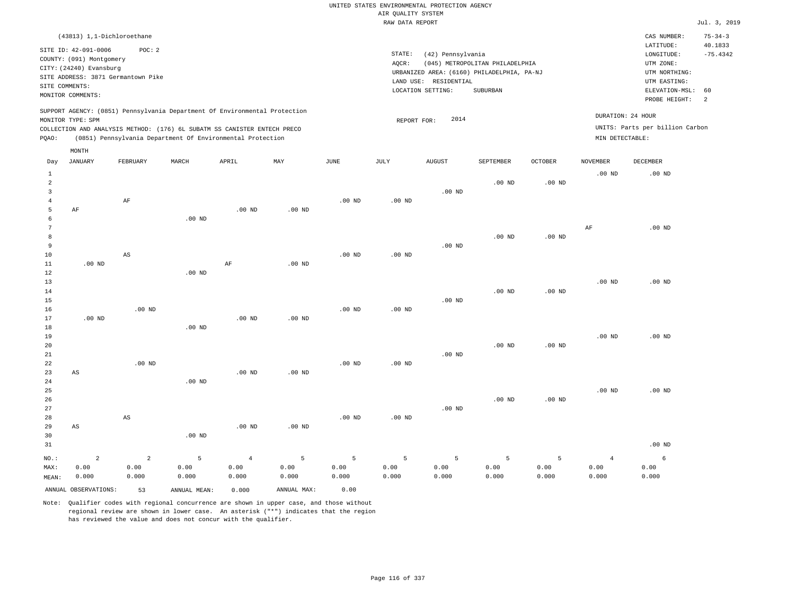| (43813) 1,1-Dichloroethane                                                                                                                                                                                                                         |                                                                                                                                                                                 | CAS NUMBER:                                                                                                 | $75 - 34 - 3$         |
|----------------------------------------------------------------------------------------------------------------------------------------------------------------------------------------------------------------------------------------------------|---------------------------------------------------------------------------------------------------------------------------------------------------------------------------------|-------------------------------------------------------------------------------------------------------------|-----------------------|
| SITE ID: 42-091-0006<br>POC: 2<br>COUNTY: (091) Montgomery<br>CITY: (24240) Evansburg<br>SITE ADDRESS: 3871 Germantown Pike<br>SITE COMMENTS:<br>MONITOR COMMENTS:                                                                                 | STATE:<br>(42) Pennsylvania<br>(045) METROPOLITAN PHILADELPHIA<br>AOCR:<br>URBANIZED AREA: (6160) PHILADELPHIA, PA-NJ<br>LAND USE: RESIDENTIAL<br>LOCATION SETTING:<br>SUBURBAN | LATITUDE:<br>LONGITUDE:<br>UTM ZONE:<br>UTM NORTHING:<br>UTM EASTING:<br>ELEVATION-MSL: 60<br>PROBE HEIGHT: | 40.1833<br>$-75.4342$ |
| SUPPORT AGENCY: (0851) Pennsylvania Department Of Environmental Protection<br>MONITOR TYPE: SPM<br>COLLECTION AND ANALYSIS METHOD: (176) 6L SUBATM SS CANISTER ENTECH PRECO<br>(0851) Pennsylvania Department Of Environmental Protection<br>POAO: | DURATION: 24 HOUR<br>2014<br>REPORT FOR:<br>MIN DETECTABLE:                                                                                                                     | UNITS: Parts per billion Carbon                                                                             |                       |

| Day                                                        | <b>JANUARY</b>                | FEBRUARY               | MARCH                 | APRIL                  | MAY                  | $_{\rm JUNE}$ | JULY      | <b>AUGUST</b> | SEPTEMBER              | OCTOBER   | NOVEMBER               | DECEMBER  |
|------------------------------------------------------------|-------------------------------|------------------------|-----------------------|------------------------|----------------------|---------------|-----------|---------------|------------------------|-----------|------------------------|-----------|
| $\mathbf{1}$<br>$\overline{c}$<br>3<br>$\overline{4}$<br>5 | $\rm AF$                      | $\rm AF$               |                       | .00 $ND$               | $.00$ ND             | $.00$ ND      | $.00$ ND  | $.00$ ND      | $.00$ ND               | $.00$ ND  | $.00$ ND               | $.00$ ND  |
| 6<br>7<br>8<br>9<br>10                                     |                               | AS                     | $.00$ ND              |                        |                      | $.00$ ND      | $.00$ ND  | $.00$ ND      | $.00$ ND               | $.00$ ND  | $\rm{AF}$              | $.00$ ND  |
| 11<br>12<br>13<br>14<br>15<br>16                           | $.00$ ND                      | $.00$ ND               | $.00$ ND              | AF                     | $.00$ ND             | $.00$ ND      | $.00$ ND  | $.00$ ND      | $.00$ ND               | $.00$ ND  | .00 <sub>ND</sub>      | $.00$ ND  |
| 17<br>18<br>19<br>20<br>21                                 | $.00$ ND                      |                        | $.00$ ND              | $.00$ ND               | $.00$ ND             |               |           | $.00$ ND      | $.00$ ND               | $.00$ ND  | $.00$ ND               | $.00$ ND  |
| 22<br>23<br>24<br>25<br>26                                 | $\mathbb{A}\mathbb{S}$        | $.00$ ND               | $.00$ ND              | $.00$ ND               | $.00$ ND             | $.00$ ND      | $.00$ ND  |               | $.00$ ND               | $.00$ ND  | $.00$ ND               | $.00$ ND  |
| 27<br>28<br>29<br>30<br>31                                 | AS                            | AS                     | $.00$ ND              | $.00$ ND               | $.00$ ND             | $.00$ ND      | $.00$ ND  | $.00$ ND      |                        |           |                        | $.00$ ND  |
| NO.:<br>MAX:                                               | $\overline{a}$<br>0.00        | $\overline{a}$<br>0.00 | 5<br>0.00             | $\overline{4}$<br>0.00 | 5<br>0.00            | 5<br>0.00     | 5<br>0.00 | 5<br>0.00     | $\overline{5}$<br>0.00 | 5<br>0.00 | $\overline{4}$<br>0.00 | 6<br>0.00 |
| MEAN:                                                      | 0.000<br>ANNUAL OBSERVATIONS: | 0.000<br>53            | 0.000<br>ANNUAL MEAN: | 0.000<br>0.000         | 0.000<br>ANNUAL MAX: | 0.000<br>0.00 | 0.000     | 0.000         | 0.000                  | 0.000     | 0.000                  | 0.000     |

Note: Qualifier codes with regional concurrence are shown in upper case, and those without regional review are shown in lower case. An asterisk ("\*") indicates that the region has reviewed the value and does not concur with the qualifier.

MONTH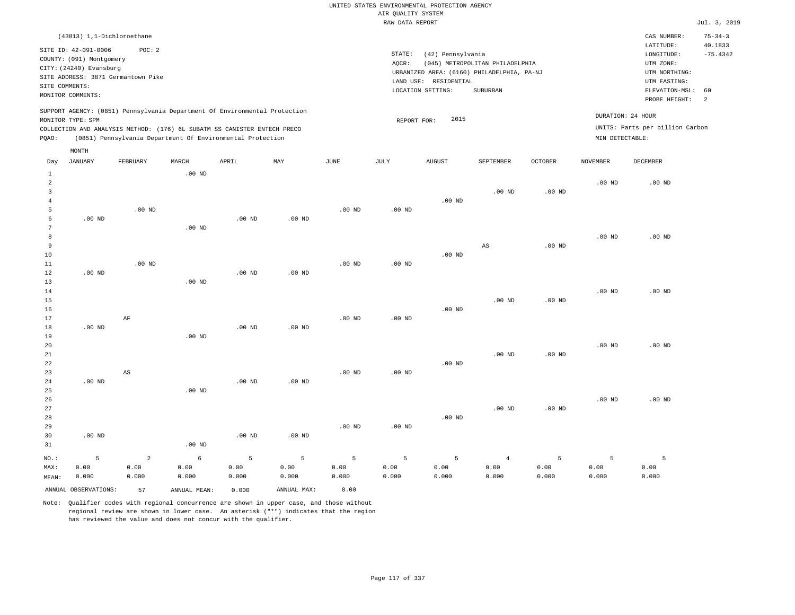|       |                                                                                                                    | (43813) 1,1-Dichloroethane                  |       |                                                                                                                                                                                                                      |     |      |                 |                                                                    |                                                                                           |                |                                      | CAS NUMBER:                                                                                              | $75 - 34 - 3$                 |
|-------|--------------------------------------------------------------------------------------------------------------------|---------------------------------------------|-------|----------------------------------------------------------------------------------------------------------------------------------------------------------------------------------------------------------------------|-----|------|-----------------|--------------------------------------------------------------------|-------------------------------------------------------------------------------------------|----------------|--------------------------------------|----------------------------------------------------------------------------------------------------------|-------------------------------|
|       | SITE ID: 42-091-0006<br>COUNTY: (091) Montgomery<br>CITY: (24240) Evansburg<br>SITE COMMENTS:<br>MONITOR COMMENTS: | POC:2<br>SITE ADDRESS: 3871 Germantown Pike |       |                                                                                                                                                                                                                      |     |      | STATE:<br>AQCR: | (42) Pennsylvania<br>RESIDENTIAL<br>LAND USE:<br>LOCATION SETTING: | (045) METROPOLITAN PHILADELPHIA<br>URBANIZED AREA: (6160) PHILADELPHIA, PA-NJ<br>SUBURBAN |                |                                      | LATITUDE:<br>LONGITUDE:<br>UTM ZONE:<br>UTM NORTHING:<br>UTM EASTING:<br>ELEVATION-MSL:<br>PROBE HEIGHT: | 40.1833<br>$-75.4342$<br>- 60 |
| POAO: | MONITOR TYPE: SPM                                                                                                  |                                             |       | SUPPORT AGENCY: (0851) Pennsylvania Department Of Environmental Protection<br>COLLECTION AND ANALYSIS METHOD: (176) 6L SUBATM SS CANISTER ENTECH PRECO<br>(0851) Pennsylvania Department Of Environmental Protection |     |      |                 | 2015<br>REPORT FOR:                                                |                                                                                           |                | DURATION: 24 HOUR<br>MIN DETECTABLE: | UNITS: Parts per billion Carbon                                                                          |                               |
| Day   | MONTH<br>JANUARY                                                                                                   | FEBRUARY                                    | MARCH | APRIL                                                                                                                                                                                                                | MAY | JUNE | JULY            | <b>AUGUST</b>                                                      | SEPTEMBER                                                                                 | <b>OCTOBER</b> | <b>NOVEMBER</b>                      | DECEMBER                                                                                                 |                               |

| 1                   |                      |                        | $.00$ ND     |          |                 |          |          |                   |                |          |          |          |
|---------------------|----------------------|------------------------|--------------|----------|-----------------|----------|----------|-------------------|----------------|----------|----------|----------|
| $\overline{c}$      |                      |                        |              |          |                 |          |          |                   |                |          | $.00$ ND | $.00$ ND |
| 3                   |                      |                        |              |          |                 |          |          | $.00$ ND          | $.00$ ND       | $.00$ ND |          |          |
| $\overline{4}$<br>5 |                      | $.00$ ND               |              |          |                 | $.00$ ND | $.00$ ND |                   |                |          |          |          |
| 6                   | $.00$ ND             |                        |              | $.00$ ND | $.00$ ND        |          |          |                   |                |          |          |          |
| 7                   |                      |                        | $.00$ ND     |          |                 |          |          |                   |                |          |          |          |
| 8                   |                      |                        |              |          |                 |          |          |                   |                |          | $.00$ ND | $.00$ ND |
| 9                   |                      |                        |              |          |                 |          |          |                   | AS             | $.00$ ND |          |          |
| 10                  |                      |                        |              |          |                 |          |          | .00 $ND$          |                |          |          |          |
| $11\,$              |                      | $.00$ ND               |              |          |                 | $.00$ ND | .00 $ND$ |                   |                |          |          |          |
| 12                  | .00 $ND$             |                        |              | $.00$ ND | $.00$ ND        |          |          |                   |                |          |          |          |
| 13                  |                      |                        | $.00$ ND     |          |                 |          |          |                   |                |          |          |          |
| 14                  |                      |                        |              |          |                 |          |          |                   |                |          | $.00$ ND | $.00$ ND |
| 15                  |                      |                        |              |          |                 |          |          |                   | $.00$ ND       | $.00$ ND |          |          |
| 16                  |                      |                        |              |          |                 |          |          | $.00$ ND          |                |          |          |          |
| 17                  |                      | $\rm AF$               |              |          |                 | $.00$ ND | .00 $ND$ |                   |                |          |          |          |
| 18                  | $.00$ ND             |                        |              | $.00$ ND | $.00$ ND        |          |          |                   |                |          |          |          |
| 19                  |                      |                        | $.00$ ND     |          |                 |          |          |                   |                |          |          |          |
| 20                  |                      |                        |              |          |                 |          |          |                   |                |          | $.00$ ND | $.00$ ND |
| $21\,$              |                      |                        |              |          |                 |          |          |                   | $.00$ ND       | $.00$ ND |          |          |
| 22                  |                      |                        |              |          |                 |          |          | .00 <sub>ND</sub> |                |          |          |          |
| 23                  |                      | $\mathbb{A}\mathbb{S}$ |              |          |                 | $.00$ ND | $.00$ ND |                   |                |          |          |          |
| 24                  | $.00$ ND             |                        |              | $.00$ ND | $.00$ ND        |          |          |                   |                |          |          |          |
| 25                  |                      |                        | $.00$ ND     |          |                 |          |          |                   |                |          |          |          |
| 26                  |                      |                        |              |          |                 |          |          |                   |                |          | $.00$ ND | $.00$ ND |
| 27<br>28            |                      |                        |              |          |                 |          |          | $.00$ ND          | $.00$ ND       | $.00$ ND |          |          |
| 29                  |                      |                        |              |          |                 | $.00$ ND | .00 $ND$ |                   |                |          |          |          |
| 30                  | $.00$ ND             |                        |              | $.00$ ND | $.00{\rm ~ND}$  |          |          |                   |                |          |          |          |
| 31                  |                      |                        | .00 $ND$     |          |                 |          |          |                   |                |          |          |          |
|                     |                      |                        |              |          |                 |          |          |                   |                |          |          |          |
| $NO.$ :             | 5                    | $\overline{a}$         | $\epsilon$   | 5        | $5\phantom{.0}$ | 5        | 5        | 5                 | $\overline{4}$ | 5        | 5        | 5        |
| MAX:                | 0.00                 | 0.00                   | 0.00         | 0.00     | 0.00            | 0.00     | 0.00     | 0.00              | 0.00           | 0.00     | 0.00     | 0.00     |
| MEAN:               | 0.000                | 0.000                  | 0.000        | 0.000    | 0.000           | 0.000    | 0.000    | 0.000             | 0.000          | 0.000    | 0.000    | 0.000    |
|                     | ANNUAL OBSERVATIONS: | 57                     | ANNUAL MEAN: | 0.000    | ANNUAL MAX:     | 0.00     |          |                   |                |          |          |          |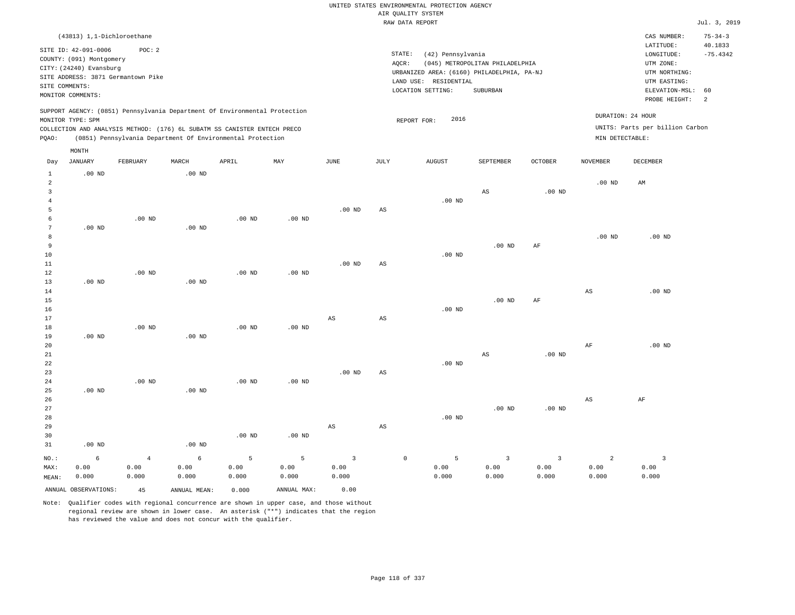| UNITED STATES ENVIRONMENTAL PROTECTION AGENCY |                    |                   |  |  |
|-----------------------------------------------|--------------------|-------------------|--|--|
|                                               | AIR QUALITY SYSTEM |                   |  |  |
|                                               | RAW DATA REPORT    |                   |  |  |
|                                               |                    |                   |  |  |
|                                               |                    |                   |  |  |
|                                               |                    |                   |  |  |
|                                               | STATE:             | (42) Pennsylvania |  |  |

AQCR: (045) METROPOLITAN PHILADELPHIA

URBANIZED AREA: (6160) PHILADELPHIA, PA-NJ (UTM NORTHING:

LOCATION SETTING: SUBURBAN

LAND USE: RESIDENTIAL

REPORT FOR: 2016

 $Jul. 3, 2019$ 

CAS NUMBER: 75-34-3

 $LONGITUDE:$   $-75.4342$ LATITUDE: 40.1833

PROBE HEIGHT: 2 ELEVATION-MSL: 60

UTM EASTING: UTM ZONE:

UNITS: Parts per billion Carbon

DURATION: 24 HOUR

SITE ID: 42-091-0006 POC: 2 COUNTY: (091) Montgomery CITY: (24240) Evansburg SITE ADDRESS: 3871 Germantown Pike SITE COMMENTS: MONITOR COMMENTS:

MONTH

(43813) 1,1-Dichloroethane

SUPPORT AGENCY: (0851) Pennsylvania Department Of Environmental Protection MONITOR TYPE: SPM

COLLECTION AND ANALYSIS METHOD: (176) 6L SUBATM SS CANISTER ENTECH PRECO PQAO: (0851) Pennsylvania Department Of Environmental Protection MIN DETECTABLE:

|                | 11011212             |            |              |          |             |              |                        |                          |                        |                   |                        |                         |
|----------------|----------------------|------------|--------------|----------|-------------|--------------|------------------------|--------------------------|------------------------|-------------------|------------------------|-------------------------|
| Day            | JANUARY              | FEBRUARY   | $\tt MARCH$  | APRIL    | MAY         | JUNE         | JULY                   | <b>AUGUST</b>            | SEPTEMBER              | OCTOBER           | NOVEMBER               | DECEMBER                |
| $\mathbf{1}$   | $.00$ ND             |            | $.00$ ND     |          |             |              |                        |                          |                        |                   |                        |                         |
| $\overline{a}$ |                      |            |              |          |             |              |                        |                          |                        |                   | $.00$ ND               | $\mathbb{A}\mathbb{M}$  |
| 3              |                      |            |              |          |             |              |                        |                          | $\mathbb{A}\mathbb{S}$ | .00 <sub>ND</sub> |                        |                         |
| $\overline{4}$ |                      |            |              |          |             |              |                        | $.00$ ND                 |                        |                   |                        |                         |
| 5              |                      |            |              |          |             | $.00$ ND     | $\mathbb{A}\mathbb{S}$ |                          |                        |                   |                        |                         |
| 6              |                      | $.00$ ND   |              | $.00$ ND | $.00$ ND    |              |                        |                          |                        |                   |                        |                         |
| 7              | $.00$ ND             |            | $.00$ ND     |          |             |              |                        |                          |                        |                   |                        |                         |
| 8              |                      |            |              |          |             |              |                        |                          |                        |                   | .00 $ND$               | $.00$ ND                |
| 9              |                      |            |              |          |             |              |                        |                          | $.00$ ND               | AF                |                        |                         |
| $10$           |                      |            |              |          |             |              |                        | $.00$ ND                 |                        |                   |                        |                         |
| $11\,$         |                      |            |              |          |             | $.00$ ND     | AS                     |                          |                        |                   |                        |                         |
| 12             |                      | $.00$ ND   |              | $.00$ ND | $.00$ ND    |              |                        |                          |                        |                   |                        |                         |
| 13             | $.00$ ND             |            | $.00$ ND     |          |             |              |                        |                          |                        |                   |                        |                         |
| 14             |                      |            |              |          |             |              |                        |                          |                        |                   | $\mathbb{A}\mathbb{S}$ | $.00$ ND                |
| 15             |                      |            |              |          |             |              |                        |                          | $.00$ ND               | $\rm{AF}$         |                        |                         |
| 16             |                      |            |              |          |             |              |                        | $.00$ ND                 |                        |                   |                        |                         |
| 17             |                      |            |              |          |             | AS           | $\mathbb{A}\mathbb{S}$ |                          |                        |                   |                        |                         |
| 18             |                      | $.00$ ND   |              | $.00$ ND | $.00$ ND    |              |                        |                          |                        |                   |                        |                         |
| 19             | $.00$ ND             |            | $.00$ ND     |          |             |              |                        |                          |                        |                   |                        |                         |
| 20             |                      |            |              |          |             |              |                        |                          |                        |                   | $\rm{AF}$              | $.00$ ND                |
| $2\sqrt{1}$    |                      |            |              |          |             |              |                        |                          | $\mathbb{A}\mathbb{S}$ | $.00$ ND          |                        |                         |
| $_{\rm 22}$    |                      |            |              |          |             |              |                        | .00 $ND$                 |                        |                   |                        |                         |
| 23             |                      |            |              |          |             | $.00$ ND     | $\mathbb{A}\mathbb{S}$ |                          |                        |                   |                        |                         |
| $2\sqrt{4}$    |                      | $.00$ ND   |              | $.00$ ND | $.00$ ND    |              |                        |                          |                        |                   |                        |                         |
| 25             | .00 $ND$             |            | $.00$ ND     |          |             |              |                        |                          |                        |                   |                        |                         |
| 26             |                      |            |              |          |             |              |                        |                          |                        |                   | AS                     | $\rm{AF}$               |
| 27             |                      |            |              |          |             |              |                        |                          | $.00$ ND               | .00 <sub>ND</sub> |                        |                         |
| 28             |                      |            |              |          |             |              |                        | $.00$ ND                 |                        |                   |                        |                         |
| 29             |                      |            |              |          |             | AS           | AS                     |                          |                        |                   |                        |                         |
| 30             |                      |            |              | $.00$ ND | $.00$ ND    |              |                        |                          |                        |                   |                        |                         |
| 31             | $.00$ ND             |            | .00 $ND$     |          |             |              |                        |                          |                        |                   |                        |                         |
| $NO.$ :        | 6                    | $\sqrt{4}$ | $\epsilon$   | 5        | 5           | $\mathbf{3}$ |                        | 5<br>$\mathsf{O}\xspace$ | $\mathbf{3}$           | $\mathsf 3$       | $\overline{2}$         | $\overline{\mathbf{3}}$ |
| MAX:           | 0.00                 | 0.00       | 0.00         | 0.00     | 0.00        | 0.00         |                        | 0.00                     | 0.00                   | 0.00              | 0.00                   | 0.00                    |
| MEAN:          | 0.000                | 0.000      | 0.000        | 0.000    | 0.000       | 0.000        |                        | 0.000                    | 0.000                  | 0.000             | 0.000                  | 0.000                   |
|                | ANNUAL OBSERVATIONS: | 45         | ANNUAL MEAN: | 0.000    | ANNUAL MAX: | 0.00         |                        |                          |                        |                   |                        |                         |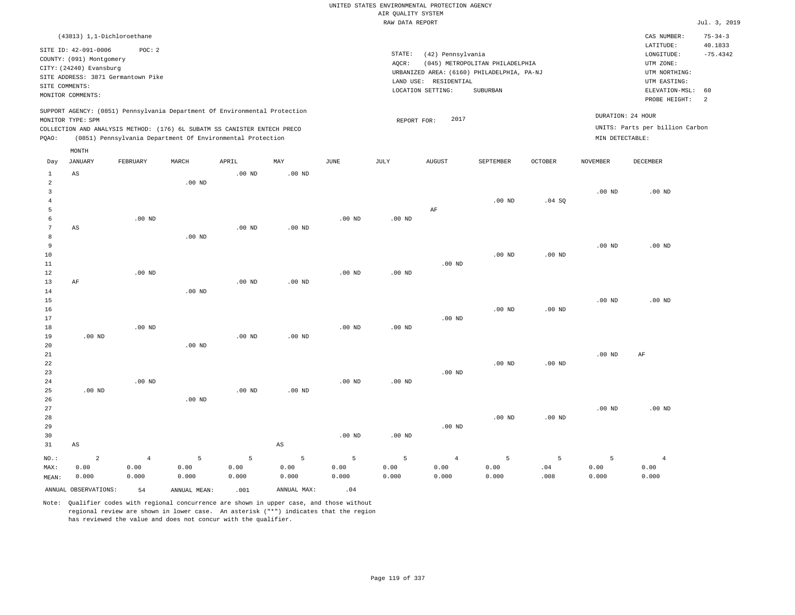|                              |                                                                                                                                |                                              |              |                                                                            |                        |          |                                       | UNITED STATES ENVIRONMENTAL PROTECTION AGENCY                   |                                                                                           |                   |                   |                                                                                                                         |                                                   |
|------------------------------|--------------------------------------------------------------------------------------------------------------------------------|----------------------------------------------|--------------|----------------------------------------------------------------------------|------------------------|----------|---------------------------------------|-----------------------------------------------------------------|-------------------------------------------------------------------------------------------|-------------------|-------------------|-------------------------------------------------------------------------------------------------------------------------|---------------------------------------------------|
|                              |                                                                                                                                |                                              |              |                                                                            |                        |          | AIR QUALITY SYSTEM<br>RAW DATA REPORT |                                                                 |                                                                                           |                   |                   |                                                                                                                         | Jul. 3, 2019                                      |
|                              |                                                                                                                                |                                              |              |                                                                            |                        |          |                                       |                                                                 |                                                                                           |                   |                   |                                                                                                                         |                                                   |
| SITE COMMENTS:               | (43813) 1,1-Dichloroethane<br>SITE ID: 42-091-0006<br>COUNTY: (091) Montgomery<br>CITY: (24240) Evansburg<br>MONITOR COMMENTS: | POC: 2<br>SITE ADDRESS: 3871 Germantown Pike |              |                                                                            |                        |          | STATE:<br>AQCR:                       | (42) Pennsylvania<br>LAND USE: RESIDENTIAL<br>LOCATION SETTING: | (045) METROPOLITAN PHILADELPHIA<br>URBANIZED AREA: (6160) PHILADELPHIA, PA-NJ<br>SUBURBAN |                   |                   | CAS NUMBER:<br>LATITUDE:<br>LONGITUDE:<br>UTM ZONE:<br>UTM NORTHING:<br>UTM EASTING:<br>ELEVATION-MSL:<br>PROBE HEIGHT: | $75 - 34 - 3$<br>40.1833<br>$-75.4342$<br>60<br>2 |
|                              |                                                                                                                                |                                              |              | SUPPORT AGENCY: (0851) Pennsylvania Department Of Environmental Protection |                        |          |                                       |                                                                 |                                                                                           |                   | DURATION: 24 HOUR |                                                                                                                         |                                                   |
|                              | MONITOR TYPE: SPM                                                                                                              |                                              |              |                                                                            |                        |          | REPORT FOR:                           | 2017                                                            |                                                                                           |                   |                   |                                                                                                                         |                                                   |
|                              |                                                                                                                                |                                              |              | COLLECTION AND ANALYSIS METHOD: (176) 6L SUBATM SS CANISTER ENTECH PRECO   |                        |          |                                       |                                                                 |                                                                                           |                   |                   | UNITS: Parts per billion Carbon                                                                                         |                                                   |
| PQAO:                        |                                                                                                                                |                                              |              | (0851) Pennsylvania Department Of Environmental Protection                 |                        |          |                                       |                                                                 |                                                                                           |                   | MIN DETECTABLE:   |                                                                                                                         |                                                   |
|                              | MONTH                                                                                                                          |                                              |              |                                                                            |                        |          |                                       |                                                                 |                                                                                           |                   |                   |                                                                                                                         |                                                   |
| Day                          | JANUARY                                                                                                                        | FEBRUARY                                     | MARCH        | APRIL                                                                      | MAY                    | JUNE     | $_{\rm JULY}$                         | <b>AUGUST</b>                                                   | SEPTEMBER                                                                                 | <b>OCTOBER</b>    | <b>NOVEMBER</b>   | DECEMBER                                                                                                                |                                                   |
| $\mathbf{1}$                 | AS                                                                                                                             |                                              |              | $.00$ ND                                                                   | $.00$ ND               |          |                                       |                                                                 |                                                                                           |                   |                   |                                                                                                                         |                                                   |
| $\sqrt{2}$<br>$\overline{3}$ |                                                                                                                                |                                              | $.00$ ND     |                                                                            |                        |          |                                       |                                                                 |                                                                                           |                   | $.00$ ND          | $.00$ ND                                                                                                                |                                                   |
| $\overline{4}$               |                                                                                                                                |                                              |              |                                                                            |                        |          |                                       |                                                                 | .00 <sub>ND</sub>                                                                         | .04SQ             |                   |                                                                                                                         |                                                   |
| 5                            |                                                                                                                                |                                              |              |                                                                            |                        |          |                                       | AF                                                              |                                                                                           |                   |                   |                                                                                                                         |                                                   |
| 6                            |                                                                                                                                | $.00$ ND                                     |              |                                                                            |                        | $.00$ ND | .00 <sub>ND</sub>                     |                                                                 |                                                                                           |                   |                   |                                                                                                                         |                                                   |
| $\overline{7}$               | AS                                                                                                                             |                                              |              | .00 <sub>ND</sub>                                                          | .00 <sub>ND</sub>      |          |                                       |                                                                 |                                                                                           |                   |                   |                                                                                                                         |                                                   |
| 8                            |                                                                                                                                |                                              | $.00$ ND     |                                                                            |                        |          |                                       |                                                                 |                                                                                           |                   |                   |                                                                                                                         |                                                   |
| 9                            |                                                                                                                                |                                              |              |                                                                            |                        |          |                                       |                                                                 |                                                                                           |                   | .00 <sub>ND</sub> | $.00$ ND                                                                                                                |                                                   |
| $10$                         |                                                                                                                                |                                              |              |                                                                            |                        |          |                                       |                                                                 | $.00$ ND                                                                                  | .00 <sub>ND</sub> |                   |                                                                                                                         |                                                   |
| 11                           |                                                                                                                                |                                              |              |                                                                            |                        |          |                                       | $.00$ ND                                                        |                                                                                           |                   |                   |                                                                                                                         |                                                   |
| 12<br>13                     | AF                                                                                                                             | $.00$ ND                                     |              | .00 <sub>ND</sub>                                                          | .00 <sub>ND</sub>      | $.00$ ND | $.00$ ND                              |                                                                 |                                                                                           |                   |                   |                                                                                                                         |                                                   |
| 14                           |                                                                                                                                |                                              | $.00$ ND     |                                                                            |                        |          |                                       |                                                                 |                                                                                           |                   |                   |                                                                                                                         |                                                   |
| 15                           |                                                                                                                                |                                              |              |                                                                            |                        |          |                                       |                                                                 |                                                                                           |                   | .00 <sub>ND</sub> | $.00$ ND                                                                                                                |                                                   |
| 16                           |                                                                                                                                |                                              |              |                                                                            |                        |          |                                       |                                                                 | $.00$ ND                                                                                  | $.00$ ND          |                   |                                                                                                                         |                                                   |
| 17                           |                                                                                                                                |                                              |              |                                                                            |                        |          |                                       | $.00$ ND                                                        |                                                                                           |                   |                   |                                                                                                                         |                                                   |
| 18                           |                                                                                                                                | $.00$ ND                                     |              |                                                                            |                        | $.00$ ND | .00 <sub>ND</sub>                     |                                                                 |                                                                                           |                   |                   |                                                                                                                         |                                                   |
| 19                           | $.00$ ND                                                                                                                       |                                              |              | $.00$ ND                                                                   | $.00$ ND               |          |                                       |                                                                 |                                                                                           |                   |                   |                                                                                                                         |                                                   |
| 20<br>21                     |                                                                                                                                |                                              | $.00$ ND     |                                                                            |                        |          |                                       |                                                                 |                                                                                           |                   | .00 <sub>ND</sub> | AF                                                                                                                      |                                                   |
| 22                           |                                                                                                                                |                                              |              |                                                                            |                        |          |                                       |                                                                 | $.00$ ND                                                                                  | $.00$ ND          |                   |                                                                                                                         |                                                   |
| 23                           |                                                                                                                                |                                              |              |                                                                            |                        |          |                                       | $.00$ ND                                                        |                                                                                           |                   |                   |                                                                                                                         |                                                   |
| 24                           |                                                                                                                                | .00 <sub>ND</sub>                            |              |                                                                            |                        | $.00$ ND | $.00$ ND                              |                                                                 |                                                                                           |                   |                   |                                                                                                                         |                                                   |
| 25                           | $.00$ ND                                                                                                                       |                                              |              | .00 <sub>ND</sub>                                                          | .00 <sub>ND</sub>      |          |                                       |                                                                 |                                                                                           |                   |                   |                                                                                                                         |                                                   |
| 26                           |                                                                                                                                |                                              | $.00$ ND     |                                                                            |                        |          |                                       |                                                                 |                                                                                           |                   |                   |                                                                                                                         |                                                   |
| $2\,7$                       |                                                                                                                                |                                              |              |                                                                            |                        |          |                                       |                                                                 |                                                                                           |                   | .00 <sub>ND</sub> | $.00$ ND                                                                                                                |                                                   |
| 28                           |                                                                                                                                |                                              |              |                                                                            |                        |          |                                       |                                                                 | $.00$ ND                                                                                  | $.00$ ND          |                   |                                                                                                                         |                                                   |
| 29<br>30                     |                                                                                                                                |                                              |              |                                                                            |                        | $.00$ ND | $.00$ ND                              | $.00$ ND                                                        |                                                                                           |                   |                   |                                                                                                                         |                                                   |
| 31                           | $\mathbb{A}\mathbb{S}$                                                                                                         |                                              |              |                                                                            | $\mathbb{A}\mathbb{S}$ |          |                                       |                                                                 |                                                                                           |                   |                   |                                                                                                                         |                                                   |
|                              |                                                                                                                                |                                              |              |                                                                            |                        |          |                                       |                                                                 |                                                                                           |                   |                   |                                                                                                                         |                                                   |
| NO.:                         | $\overline{a}$                                                                                                                 | $\,4$                                        | 5            | 5                                                                          | 5                      | 5        | 5                                     | $\overline{4}$                                                  | $\overline{5}$                                                                            | 5                 | 5                 | $\overline{4}$                                                                                                          |                                                   |
| MAX:                         | 0.00                                                                                                                           | 0.00                                         | 0.00         | 0.00                                                                       | 0.00                   | 0.00     | 0.00                                  | 0.00                                                            | 0.00                                                                                      | .04               | 0.00              | 0.00                                                                                                                    |                                                   |
| MEAN:                        | 0.000                                                                                                                          | 0.000                                        | 0.000        | 0.000                                                                      | 0.000                  | 0.000    | 0.000                                 | 0.000                                                           | 0.000                                                                                     | .008              | 0.000             | 0.000                                                                                                                   |                                                   |
|                              | ANNUAL OBSERVATIONS:                                                                                                           | 54                                           | ANNUAL MEAN: | .001                                                                       | ANNUAL MAX:            | .04      |                                       |                                                                 |                                                                                           |                   |                   |                                                                                                                         |                                                   |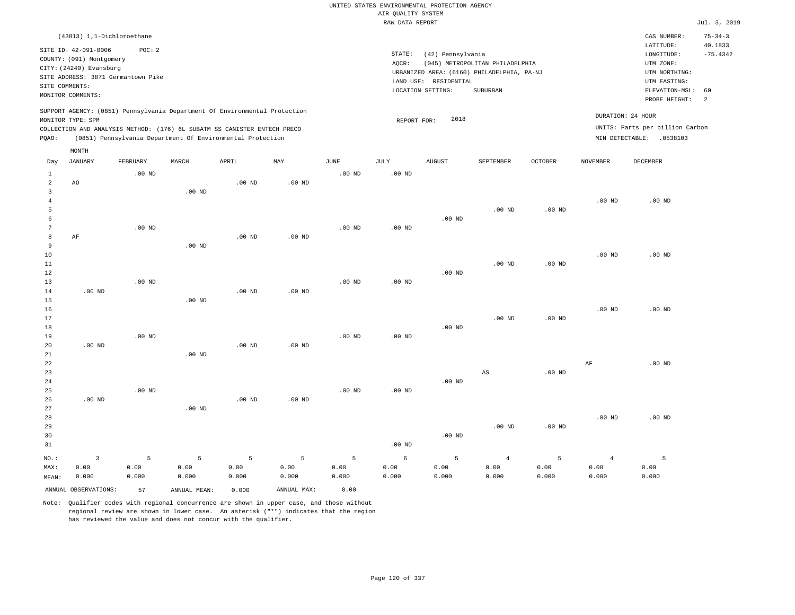|                |                                                                                                 |                   |                                                            |                   |                   |                   |                    | UNITED STATES ENVIRONMENTAL PROTECTION AGENCY |                                            |          |                 |                                 |                          |
|----------------|-------------------------------------------------------------------------------------------------|-------------------|------------------------------------------------------------|-------------------|-------------------|-------------------|--------------------|-----------------------------------------------|--------------------------------------------|----------|-----------------|---------------------------------|--------------------------|
|                |                                                                                                 |                   |                                                            |                   |                   |                   | AIR QUALITY SYSTEM |                                               |                                            |          |                 |                                 |                          |
|                |                                                                                                 |                   |                                                            |                   |                   |                   | RAW DATA REPORT    |                                               |                                            |          |                 |                                 | Jul. 3, 2019             |
|                | (43813) 1,1-Dichloroethane<br>SITE ID: 42-091-0006                                              | POC: 2            |                                                            |                   |                   |                   |                    |                                               |                                            |          |                 | CAS NUMBER:<br>LATITUDE:        | $75 - 34 - 3$<br>40.1833 |
|                | COUNTY: (091) Montgomery                                                                        |                   |                                                            |                   |                   |                   | STATE:             | (42) Pennsylvania                             |                                            |          |                 | $\texttt{LONGITUDE}$ :          | $-75.4342$               |
|                | CITY: (24240) Evansburg                                                                         |                   |                                                            |                   |                   |                   | AQCR:              |                                               | (045) METROPOLITAN PHILADELPHIA            |          |                 | UTM ZONE:                       |                          |
|                | SITE ADDRESS: 3871 Germantown Pike                                                              |                   |                                                            |                   |                   |                   |                    |                                               | URBANIZED AREA: (6160) PHILADELPHIA, PA-NJ |          |                 | UTM NORTHING:                   |                          |
|                | SITE COMMENTS:                                                                                  |                   |                                                            |                   |                   |                   |                    | LAND USE: RESIDENTIAL                         |                                            |          |                 | UTM EASTING:                    |                          |
|                | MONITOR COMMENTS:                                                                               |                   |                                                            |                   |                   |                   |                    | LOCATION SETTING:                             | SUBURBAN                                   |          |                 | ELEVATION-MSL:<br>PROBE HEIGHT: | 60<br>2                  |
|                | SUPPORT AGENCY: (0851) Pennsylvania Department Of Environmental Protection<br>MONITOR TYPE: SPM |                   |                                                            |                   |                   |                   | REPORT FOR:        | 2018                                          |                                            |          |                 | DURATION: 24 HOUR               |                          |
|                | COLLECTION AND ANALYSIS METHOD: (176) 6L SUBATM SS CANISTER ENTECH PRECO                        |                   |                                                            |                   |                   |                   |                    |                                               |                                            |          |                 | UNITS: Parts per billion Carbon |                          |
| PQAO:          |                                                                                                 |                   | (0851) Pennsylvania Department Of Environmental Protection |                   |                   |                   |                    |                                               |                                            |          |                 | MIN DETECTABLE: .0538103        |                          |
| Day            | MONTH<br><b>JANUARY</b>                                                                         | FEBRUARY          | MARCH                                                      | APRIL             | MAY               | <b>JUNE</b>       | <b>JULY</b>        | AUGUST                                        | SEPTEMBER                                  | OCTOBER  | <b>NOVEMBER</b> | <b>DECEMBER</b>                 |                          |
| 1              |                                                                                                 | $.00$ ND          |                                                            |                   |                   | $.00$ ND          | .00 <sub>ND</sub>  |                                               |                                            |          |                 |                                 |                          |
| $\overline{2}$ | AO                                                                                              |                   |                                                            | $.00$ ND          | $.00$ ND          |                   |                    |                                               |                                            |          |                 |                                 |                          |
| $\overline{3}$ |                                                                                                 |                   | .00 <sub>ND</sub>                                          |                   |                   |                   |                    |                                               |                                            |          |                 |                                 |                          |
| $\overline{4}$ |                                                                                                 |                   |                                                            |                   |                   |                   |                    |                                               |                                            |          | $.00$ ND        | $.00$ ND                        |                          |
| 5              |                                                                                                 |                   |                                                            |                   |                   |                   |                    |                                               | .00 <sub>ND</sub>                          | $.00$ ND |                 |                                 |                          |
| 6              |                                                                                                 |                   |                                                            |                   |                   |                   |                    | $.00$ ND                                      |                                            |          |                 |                                 |                          |
| $\overline{7}$ |                                                                                                 | .00 <sub>ND</sub> |                                                            |                   |                   | $.00$ ND          | $.00$ ND           |                                               |                                            |          |                 |                                 |                          |
| 8              | AF                                                                                              |                   |                                                            | .00 <sub>ND</sub> | $.00$ ND          |                   |                    |                                               |                                            |          |                 |                                 |                          |
| 9              |                                                                                                 |                   | $.00$ ND                                                   |                   |                   |                   |                    |                                               |                                            |          |                 |                                 |                          |
| 10             |                                                                                                 |                   |                                                            |                   |                   |                   |                    |                                               |                                            |          | $.00$ ND        | $.00$ ND                        |                          |
| 11             |                                                                                                 |                   |                                                            |                   |                   |                   |                    |                                               | .00 <sub>ND</sub>                          | $.00$ ND |                 |                                 |                          |
| 12<br>13       |                                                                                                 | $.00$ ND          |                                                            |                   |                   | .00 <sub>ND</sub> | .00 <sub>ND</sub>  | $.00$ ND                                      |                                            |          |                 |                                 |                          |
| 14             | $.00$ ND                                                                                        |                   |                                                            | $.00$ ND          | $.00$ ND          |                   |                    |                                               |                                            |          |                 |                                 |                          |
| 15             |                                                                                                 |                   | $.00$ ND                                                   |                   |                   |                   |                    |                                               |                                            |          |                 |                                 |                          |
| 16             |                                                                                                 |                   |                                                            |                   |                   |                   |                    |                                               |                                            |          | $.00$ ND        | $.00$ ND                        |                          |
| 17             |                                                                                                 |                   |                                                            |                   |                   |                   |                    |                                               | $.00$ ND                                   | $.00$ ND |                 |                                 |                          |
| 18             |                                                                                                 |                   |                                                            |                   |                   |                   |                    | $.00$ ND                                      |                                            |          |                 |                                 |                          |
| 19             |                                                                                                 | $.00$ ND          |                                                            |                   |                   | $.00$ ND          | .00 <sub>ND</sub>  |                                               |                                            |          |                 |                                 |                          |
| 20             | $.00$ ND                                                                                        |                   |                                                            | $.00$ ND          | .00 <sub>ND</sub> |                   |                    |                                               |                                            |          |                 |                                 |                          |
| 21             |                                                                                                 |                   | $.00$ ND                                                   |                   |                   |                   |                    |                                               |                                            |          |                 |                                 |                          |
| 22             |                                                                                                 |                   |                                                            |                   |                   |                   |                    |                                               |                                            |          | $\rm AF$        | $.00$ ND                        |                          |
| 23             |                                                                                                 |                   |                                                            |                   |                   |                   |                    |                                               | AS                                         | $.00$ ND |                 |                                 |                          |
| 24             |                                                                                                 |                   |                                                            |                   |                   |                   |                    | $.00$ ND                                      |                                            |          |                 |                                 |                          |
| 25             | $.00$ ND                                                                                        | $.00$ ND          |                                                            | $.00$ ND          | .00 <sub>ND</sub> | $.00$ ND          | .00 <sub>ND</sub>  |                                               |                                            |          |                 |                                 |                          |
| 26<br>27       |                                                                                                 |                   | $.00$ ND                                                   |                   |                   |                   |                    |                                               |                                            |          |                 |                                 |                          |
| 28             |                                                                                                 |                   |                                                            |                   |                   |                   |                    |                                               |                                            |          | $.00$ ND        | $.00$ ND                        |                          |
| 29             |                                                                                                 |                   |                                                            |                   |                   |                   |                    |                                               | $.00$ ND                                   | $.00$ ND |                 |                                 |                          |
| 30             |                                                                                                 |                   |                                                            |                   |                   |                   |                    | $.00$ ND                                      |                                            |          |                 |                                 |                          |
| 31             |                                                                                                 |                   |                                                            |                   |                   |                   | $.00$ ND           |                                               |                                            |          |                 |                                 |                          |
| NO.:           | $\overline{\mathbf{3}}$                                                                         | 5                 | 5                                                          | 5                 | 5                 | 5                 | $\epsilon$         | 5                                             | $\overline{4}$                             | 5        | $\overline{4}$  | 5                               |                          |
| MAX:           | 0.00                                                                                            | 0.00              | 0.00                                                       | 0.00              | 0.00              | 0.00              | 0.00               | 0.00                                          | 0.00                                       | 0.00     | 0.00            | 0.00                            |                          |
| MEAN:          | 0.000                                                                                           | 0.000             | 0.000                                                      | 0.000             | 0.000             | 0.000             | 0.000              | 0.000                                         | 0.000                                      | 0.000    | 0.000           | 0.000                           |                          |
|                | ANNUAL OBSERVATIONS:                                                                            | 57                | ANNUAL MEAN:                                               | 0.000             | ANNUAL MAX:       | 0.00              |                    |                                               |                                            |          |                 |                                 |                          |
|                |                                                                                                 |                   |                                                            |                   |                   |                   |                    |                                               |                                            |          |                 |                                 |                          |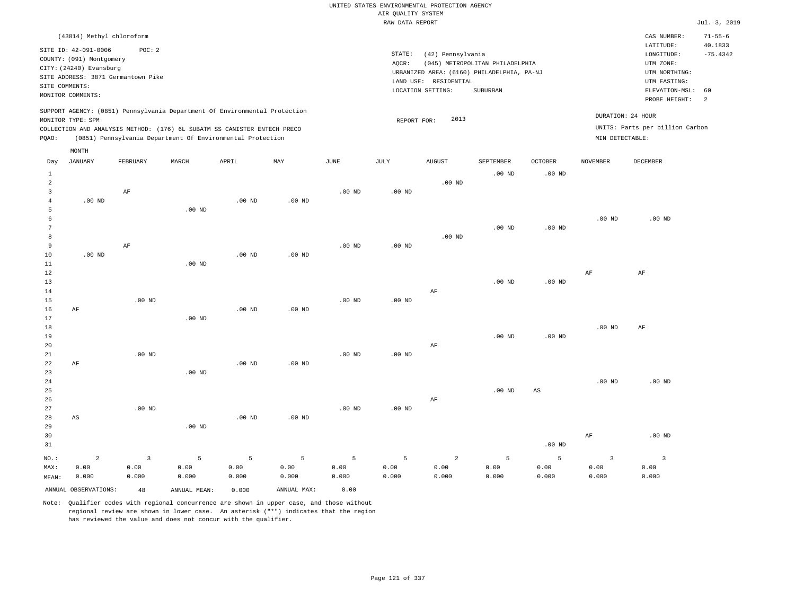| (43814) Methyl chloroform                                                                                                                                                            |          |       |                                                            |     |      |                              |                                                       |                                                                                           |                     |                                      | CAS NUMBER:                                                                                                 | $71 - 55 - 6$                           |
|--------------------------------------------------------------------------------------------------------------------------------------------------------------------------------------|----------|-------|------------------------------------------------------------|-----|------|------------------------------|-------------------------------------------------------|-------------------------------------------------------------------------------------------|---------------------|--------------------------------------|-------------------------------------------------------------------------------------------------------------|-----------------------------------------|
| SITE ID: 42-091-0006<br>COUNTY: (091) Montgomery<br>CITY: (24240) Evansburg<br>SITE ADDRESS: 3871 Germantown Pike<br>SITE COMMENTS:<br>MONITOR COMMENTS:                             | POC:2    |       |                                                            |     |      | STATE:<br>AOCR:<br>LAND USE: | (42) Pennsylvania<br>RESIDENTIAL<br>LOCATION SETTING: | (045) METROPOLITAN PHILADELPHIA<br>URBANIZED AREA: (6160) PHILADELPHIA, PA-NJ<br>SUBURBAN |                     |                                      | LATITUDE:<br>LONGITUDE:<br>UTM ZONE:<br>UTM NORTHING:<br>UTM EASTING:<br>ELEVATION-MSL: 60<br>PROBE HEIGHT: | 40.1833<br>$-75.4342$<br>$\overline{2}$ |
| SUPPORT AGENCY: (0851) Pennsylvania Department Of Environmental Protection<br>MONITOR TYPE: SPM<br>COLLECTION AND ANALYSIS METHOD: (176) 6L SUBATM SS CANISTER ENTECH PRECO<br>POAO: |          |       | (0851) Pennsylvania Department Of Environmental Protection |     |      | REPORT FOR:                  | 2013                                                  |                                                                                           |                     | DURATION: 24 HOUR<br>MIN DETECTABLE: | UNITS: Parts per billion Carbon                                                                             |                                         |
| MONTH<br>JANUARY<br>Day                                                                                                                                                              | FEBRUARY | MARCH | APRIL                                                      | MAY | JUNE | JULY                         | AUGUST                                                | SEPTEMBER<br>$.00$ ND                                                                     | OCTOBER<br>$.00$ ND | NOVEMBER                             | DECEMBER                                                                                                    |                                         |

| MAX:           | 0.00                   | 0.00         | 0.00           | 0.00     | 0.00        | 0.00     | 0.00     | 0.00           | 0.00                            | 0.00                                    | 0.00              | 0.00                    |
|----------------|------------------------|--------------|----------------|----------|-------------|----------|----------|----------------|---------------------------------|-----------------------------------------|-------------------|-------------------------|
| $_{\rm NO.}$ : | $\mathbf 2$            | $\mathbf{3}$ | $\overline{5}$ | 5        | $\mathsf S$ | 5        | 5        | $\overline{a}$ | $\overline{5}$                  | 5                                       | $\overline{3}$    | $\overline{\mathbf{3}}$ |
| 31             |                        |              |                |          |             |          |          |                |                                 | .00 $ND$                                |                   |                         |
| 30             |                        |              |                |          |             |          |          |                |                                 |                                         | AF                | .00 $ND$                |
| 29             |                        |              | $.00$ ND       |          |             |          |          |                |                                 |                                         |                   |                         |
| 28             | $\mathbb{A}\mathbb{S}$ |              |                | $.00$ ND | $.00$ ND    |          |          |                |                                 |                                         |                   |                         |
| 27             |                        | $.00$ ND     |                |          |             | $.00$ ND | .00 $ND$ |                |                                 |                                         |                   |                         |
| 26             |                        |              |                |          |             |          |          | $\rm AF$       |                                 |                                         |                   |                         |
| 25             |                        |              |                |          |             |          |          |                | $.00$ ND                        | $_{\rm AS}$                             |                   |                         |
| $2\sqrt{4}$    |                        |              |                |          |             |          |          |                |                                 |                                         | $.00~\mathrm{ND}$ | $.00$ ND                |
| 23             |                        |              | $.00$ ND       |          |             |          |          |                |                                 |                                         |                   |                         |
| 22             | AF                     |              |                | $.00$ ND | $.00$ ND    |          |          |                |                                 |                                         |                   |                         |
| 21             |                        | $.00$ ND     |                |          |             | $.00$ ND | .00 $ND$ |                |                                 |                                         |                   |                         |
| 20             |                        |              |                |          |             |          |          | $\rm{AF}$      |                                 |                                         |                   |                         |
| 19             |                        |              |                |          |             |          |          |                | $.00$ ND                        | .00 $ND$                                |                   |                         |
| 18             |                        |              |                |          |             |          |          |                |                                 |                                         | $.00$ ND          | $\rm AF$                |
| 17             |                        |              | $.00$ ND       |          |             |          |          |                |                                 |                                         |                   |                         |
| 16             | $\rm{AF}$              |              |                | .00 $ND$ | $.00$ ND    |          |          |                |                                 |                                         |                   |                         |
| 15             |                        | $.00$ ND     |                |          |             | $.00$ ND | $.00$ ND |                |                                 |                                         |                   |                         |
| 14             |                        |              |                |          |             |          |          | $\rm AF$       |                                 |                                         |                   |                         |
| 13             |                        |              |                |          |             |          |          |                | $.00$ ND                        | .00 $ND$                                |                   |                         |
| 12             |                        |              |                |          |             |          |          |                |                                 |                                         | $\rm{AF}$         | $\rm AF$                |
| 11             |                        |              | $.00$ ND       |          |             |          |          |                |                                 |                                         |                   |                         |
| 10             | $.00$ ND               |              |                | .00 $ND$ | $.00$ ND    |          |          |                |                                 |                                         |                   |                         |
| 9              |                        | AF           |                |          |             | $.00$ ND | $.00$ ND |                |                                 |                                         |                   |                         |
| 8              |                        |              |                |          |             |          |          | $.00$ ND       |                                 |                                         |                   |                         |
| 7              |                        |              |                |          |             |          |          |                | $.00$ ND                        | .00 $ND$                                |                   |                         |
| 6              |                        |              |                |          |             |          |          |                |                                 |                                         | $.00$ ND          | $.00$ ND                |
| 4<br>5         |                        |              | $.00$ ND       | .00 $ND$ | $.00$ ND    |          |          |                |                                 |                                         |                   |                         |
| 3              | .00 $ND$               | $\rm AF$     |                |          |             | $.00$ ND | $.00$ ND |                |                                 |                                         |                   |                         |
| $\overline{a}$ |                        |              |                |          |             |          |          | .00 $ND$       |                                 |                                         |                   |                         |
|                |                        |              |                |          |             |          |          |                | $\cdot$ $\circ$ $\cdot$ $\cdot$ | $\cdot$ $\cdot$ $\cdot$ $\cdot$ $\cdot$ |                   |                         |

Note: Qualifier codes with regional concurrence are shown in upper case, and those without regional review are shown in lower case. An asterisk ("\*") indicates that the region has reviewed the value and does not concur with the qualifier.

ANNUAL OBSERVATIONS: 48 ANNUAL MEAN: 0.000 ANNUAL MAX: 0.00

0.000

0.000

0.000

0.000

MEAN: 0.000

0.000

0.000

0.000

0.000

0.000

0.000

0.000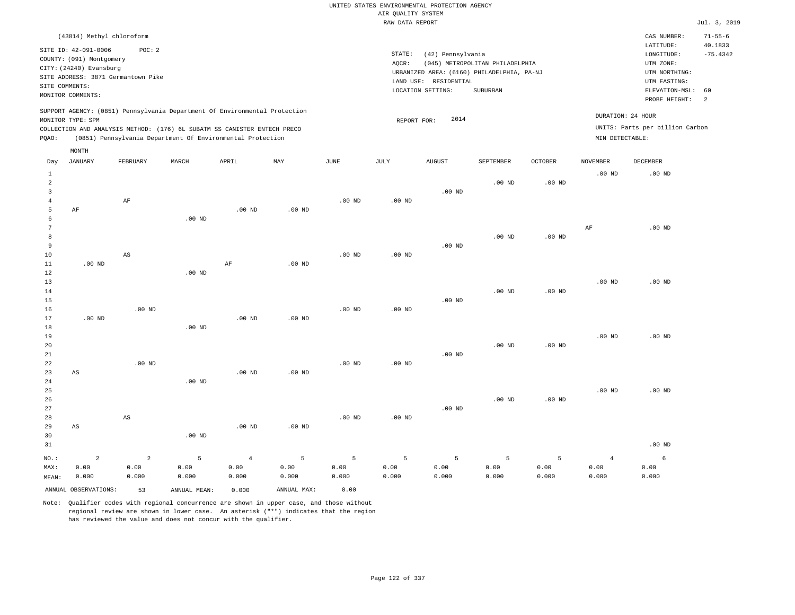| (43814) Methyl chloroform                                                                                                                                                                                                                          |                                                                                                                                                                                 | CAS NUMBER:                                                                                                 | $71 - 55 - 6$         |
|----------------------------------------------------------------------------------------------------------------------------------------------------------------------------------------------------------------------------------------------------|---------------------------------------------------------------------------------------------------------------------------------------------------------------------------------|-------------------------------------------------------------------------------------------------------------|-----------------------|
| SITE ID: 42-091-0006<br>POC:2<br>COUNTY: (091) Montgomery<br>CITY: (24240) Evansburg<br>SITE ADDRESS: 3871 Germantown Pike<br>SITE COMMENTS:<br>MONITOR COMMENTS:                                                                                  | STATE:<br>(42) Pennsylvania<br>(045) METROPOLITAN PHILADELPHIA<br>AOCR:<br>URBANIZED AREA: (6160) PHILADELPHIA, PA-NJ<br>LAND USE: RESIDENTIAL<br>SUBURBAN<br>LOCATION SETTING: | LATITUDE:<br>LONGITUDE:<br>UTM ZONE:<br>UTM NORTHING:<br>UTM EASTING:<br>ELEVATION-MSL: 60<br>PROBE HEIGHT: | 40.1833<br>$-75.4342$ |
| SUPPORT AGENCY: (0851) Pennsylvania Department Of Environmental Protection<br>MONITOR TYPE: SPM<br>COLLECTION AND ANALYSIS METHOD: (176) 6L SUBATM SS CANISTER ENTECH PRECO<br>(0851) Pennsylvania Department Of Environmental Protection<br>POAO: | 2014<br>REPORT FOR:                                                                                                                                                             | DURATION: 24 HOUR<br>UNITS: Parts per billion Carbon<br>MIN DETECTABLE:                                     |                       |

|                                 | MONTH                  |                        |              |                   |             |          |          |          |                   |          |                |          |
|---------------------------------|------------------------|------------------------|--------------|-------------------|-------------|----------|----------|----------|-------------------|----------|----------------|----------|
| Day                             | JANUARY                | FEBRUARY               | $\tt MARCH$  | APRIL             | MAY         | JUNE     | JULY     | AUGUST   | SEPTEMBER         | OCTOBER  | NOVEMBER       | DECEMBER |
| $\mathbf{1}$<br>$\sqrt{2}$<br>3 |                        |                        |              |                   |             |          |          | $.00$ ND | $.00$ ND          | $.00$ ND | $.00$ ND       | $.00$ ND |
| $\overline{4}$                  |                        | AF                     |              |                   |             | $.00$ ND | $.00$ ND |          |                   |          |                |          |
| 5                               | AF                     |                        |              | $.00$ ND          | $.00$ ND    |          |          |          |                   |          |                |          |
| 6                               |                        |                        | .00 $ND$     |                   |             |          |          |          |                   |          |                |          |
| 7                               |                        |                        |              |                   |             |          |          |          |                   |          | $\rm{AF}$      | $.00$ ND |
| 8                               |                        |                        |              |                   |             |          |          |          | $.00$ ND          | $.00$ ND |                |          |
| 9                               |                        | AS                     |              |                   |             |          |          | $.00$ ND |                   |          |                |          |
| 10<br>11                        | $.00$ ND               |                        |              | $\rm AF$          | $.00$ ND    | $.00$ ND | $.00$ ND |          |                   |          |                |          |
| 12                              |                        |                        | $.00$ ND     |                   |             |          |          |          |                   |          |                |          |
| 13                              |                        |                        |              |                   |             |          |          |          |                   |          | $.00$ ND       | $.00$ ND |
| 14                              |                        |                        |              |                   |             |          |          |          | .00 <sub>ND</sub> | $.00$ ND |                |          |
| 15                              |                        |                        |              |                   |             |          |          | $.00$ ND |                   |          |                |          |
| 16                              |                        | $.00$ ND               |              |                   |             | $.00$ ND | $.00$ ND |          |                   |          |                |          |
| 17                              | $.00$ ND               |                        |              | $.00$ ND          | .00 $ND$    |          |          |          |                   |          |                |          |
| 18                              |                        |                        | $.00$ ND     |                   |             |          |          |          |                   |          |                |          |
| 19                              |                        |                        |              |                   |             |          |          |          |                   |          | $.00$ ND       | $.00$ ND |
| 20                              |                        |                        |              |                   |             |          |          |          | .00 <sub>ND</sub> | $.00$ ND |                |          |
| 21                              |                        |                        |              |                   |             |          |          | $.00$ ND |                   |          |                |          |
| 22                              |                        | $.00$ ND               |              |                   |             | $.00$ ND | $.00$ ND |          |                   |          |                |          |
| 23                              | $\mathbb{A}\mathbb{S}$ |                        |              | .00 <sub>ND</sub> | $.00$ ND    |          |          |          |                   |          |                |          |
| 24                              |                        |                        | $.00$ ND     |                   |             |          |          |          |                   |          |                |          |
| 25<br>26                        |                        |                        |              |                   |             |          |          |          | .00 <sub>ND</sub> | $.00$ ND | $.00$ ND       | $.00$ ND |
| 27                              |                        |                        |              |                   |             |          |          | $.00$ ND |                   |          |                |          |
| 28                              |                        | $\mathbb{A}\mathbb{S}$ |              |                   |             | $.00$ ND | $.00$ ND |          |                   |          |                |          |
| 29                              | AS                     |                        |              | $.00$ ND          | $.00$ ND    |          |          |          |                   |          |                |          |
| 30                              |                        |                        | $.00$ ND     |                   |             |          |          |          |                   |          |                |          |
| 31                              |                        |                        |              |                   |             |          |          |          |                   |          |                | $.00$ ND |
| $NO.$ :                         | $\overline{a}$         | $\overline{a}$         | 5            | $\overline{4}$    | 5           | 5        | 5        | 5        | 5                 | 5        | $\overline{4}$ | 6        |
| MAX:                            | 0.00                   | 0.00                   | 0.00         | 0.00              | 0.00        | 0.00     | 0.00     | 0.00     | 0.00              | 0.00     | 0.00           | 0.00     |
| MEAN:                           | 0.000                  | 0.000                  | 0.000        | 0.000             | 0.000       | 0.000    | 0.000    | 0.000    | 0.000             | 0.000    | 0.000          | 0.000    |
|                                 | ANNUAL OBSERVATIONS:   | 53                     | ANNUAL MEAN: | 0.000             | ANNUAL MAX: | 0.00     |          |          |                   |          |                |          |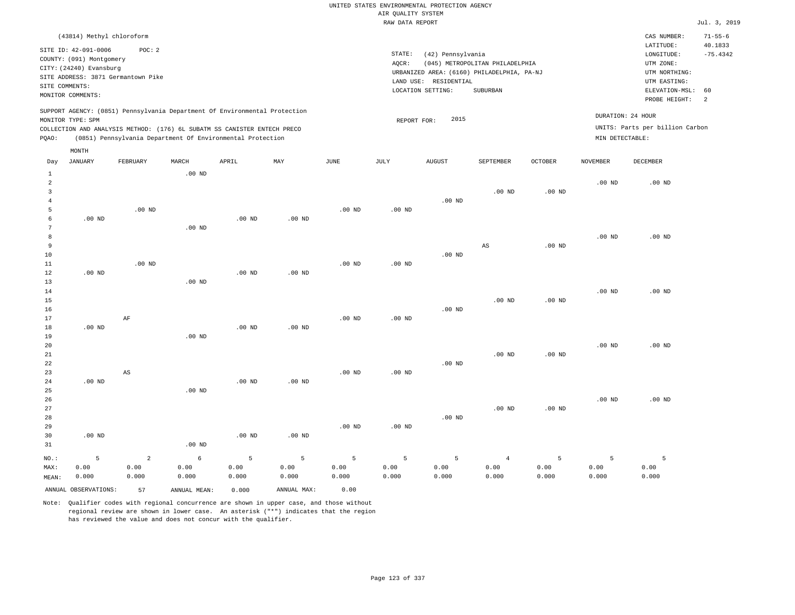|                                                                     | (43814) Methyl chloroform          |          |       |                                                                          |                                                                            |      |      |                                            |                                 |                |                   | CAS NUMBER:                     | $71 - 55 - 6$ |
|---------------------------------------------------------------------|------------------------------------|----------|-------|--------------------------------------------------------------------------|----------------------------------------------------------------------------|------|------|--------------------------------------------|---------------------------------|----------------|-------------------|---------------------------------|---------------|
|                                                                     | SITE ID: 42-091-0006               | POC:2    |       |                                                                          |                                                                            |      |      |                                            |                                 |                |                   | LATITUDE:                       | 40.1833       |
|                                                                     | COUNTY: (091) Montgomery           |          |       |                                                                          |                                                                            |      |      | STATE:<br>(42) Pennsylvania                |                                 |                |                   | LONGITUDE:                      | $-75.4342$    |
|                                                                     |                                    |          |       |                                                                          |                                                                            |      |      | AOCR:                                      | (045) METROPOLITAN PHILADELPHIA |                |                   | UTM ZONE:                       |               |
|                                                                     | CITY: (24240) Evansburg            |          |       |                                                                          |                                                                            |      |      | URBANIZED AREA: (6160) PHILADELPHIA, PA-NJ |                                 |                |                   | UTM NORTHING:                   |               |
|                                                                     | SITE ADDRESS: 3871 Germantown Pike |          |       |                                                                          |                                                                            |      |      | RESIDENTIAL<br>LAND USE:                   |                                 |                |                   | UTM EASTING:                    |               |
| SITE COMMENTS:                                                      |                                    |          |       |                                                                          |                                                                            |      |      | LOCATION SETTING:                          | SUBURBAN                        |                |                   | ELEVATION-MSL: 60               |               |
|                                                                     | MONITOR COMMENTS:                  |          |       |                                                                          |                                                                            |      |      |                                            |                                 |                |                   |                                 |               |
|                                                                     |                                    |          |       |                                                                          |                                                                            |      |      |                                            |                                 |                |                   | PROBE HEIGHT:                   | -2            |
|                                                                     |                                    |          |       |                                                                          | SUPPORT AGENCY: (0851) Pennsylvania Department Of Environmental Protection |      |      |                                            |                                 |                |                   |                                 |               |
|                                                                     | MONITOR TYPE: SPM                  |          |       |                                                                          |                                                                            |      |      | 2015<br>REPORT FOR:                        |                                 |                | DURATION: 24 HOUR |                                 |               |
|                                                                     |                                    |          |       | COLLECTION AND ANALYSIS METHOD: (176) 6L SUBATM SS CANISTER ENTECH PRECO |                                                                            |      |      |                                            |                                 |                |                   | UNITS: Parts per billion Carbon |               |
| (0851) Pennsylvania Department Of Environmental Protection<br>POAO: |                                    |          |       |                                                                          |                                                                            |      |      |                                            |                                 |                | MIN DETECTABLE:   |                                 |               |
|                                                                     | MONTH                              |          |       |                                                                          |                                                                            |      |      |                                            |                                 |                |                   |                                 |               |
| Day                                                                 | JANUARY                            | FEBRUARY | MARCH | APRIL                                                                    | MAY                                                                        | JUNE | JULY | <b>AUGUST</b>                              | SEPTEMBER                       | <b>OCTOBER</b> | NOVEMBER          | DECEMBER                        |               |
|                                                                     |                                    |          |       |                                                                          |                                                                            |      |      |                                            |                                 |                |                   |                                 |               |

|                | ANNUAL OBSERVATIONS: | 57                     | ANNUAL MEAN:  | 0.000         | ANNUAL MAX:   | 0.00          |                   |               |                   |                   |               |               |
|----------------|----------------------|------------------------|---------------|---------------|---------------|---------------|-------------------|---------------|-------------------|-------------------|---------------|---------------|
| MAX:<br>MEAN:  | 0.00<br>0.000        | 0.00<br>0.000          | 0.00<br>0.000 | 0.00<br>0.000 | 0.00<br>0.000 | 0.00<br>0.000 | 0.00<br>0.000     | 0.00<br>0.000 | 0.00<br>0.000     | 0.00<br>0.000     | 0.00<br>0.000 | 0.00<br>0.000 |
| $_{\rm NO.}$ : | 5                    | $\overline{a}$         | $\epsilon$    | 5             | 5             | 5             | 5                 | 5             | $\overline{4}$    | 5                 | 5             | 5             |
| 31             |                      |                        | $.00$ ND      |               |               |               |                   |               |                   |                   |               |               |
| 30             | $.00$ ND             |                        |               | .00 $ND$      | $.00$ ND      |               |                   |               |                   |                   |               |               |
| 29             |                      |                        |               |               |               | $.00$ ND      | .00 <sub>ND</sub> |               |                   |                   |               |               |
| 28             |                      |                        |               |               |               |               |                   | $.00$ ND      |                   |                   |               |               |
| 27             |                      |                        |               |               |               |               |                   |               | .00 <sub>ND</sub> | .00 <sub>ND</sub> |               |               |
| 26             |                      |                        |               |               |               |               |                   |               |                   |                   | $.00$ ND      | $.00$ ND      |
| 25             |                      |                        | $.00$ ND      |               |               |               |                   |               |                   |                   |               |               |
| 24             | $.00$ ND             |                        |               | $.00$ ND      | $.00$ ND      |               |                   |               |                   |                   |               |               |
| 23             |                      | $\mathbb{A}\mathbb{S}$ |               |               |               | $.00$ ND      | $.00$ ND          |               |                   |                   |               |               |
| 22             |                      |                        |               |               |               |               |                   | $.00$ ND      |                   |                   |               |               |
| 21             |                      |                        |               |               |               |               |                   |               | .00 <sub>ND</sub> | .00 <sub>ND</sub> |               |               |
| 20             |                      |                        |               |               |               |               |                   |               |                   |                   | $.00$ ND      | $.00$ ND      |
| 19             |                      |                        | $.00$ ND      |               |               |               |                   |               |                   |                   |               |               |
| 18             | $.00$ ND             |                        |               | .00 $ND$      | $.00$ ND      |               |                   |               |                   |                   |               |               |
| 16<br>17       |                      | AF                     |               |               |               | $.00$ ND      | $.00$ ND          | $.00$ ND      |                   |                   |               |               |
| 15             |                      |                        |               |               |               |               |                   |               | $.00$ ND          | .00 <sub>ND</sub> |               |               |
| 14             |                      |                        |               |               |               |               |                   |               |                   |                   | $.00$ ND      | $.00$ ND      |
| 13             |                      |                        | $.00$ ND      |               |               |               |                   |               |                   |                   |               |               |
| 12             | $.00$ ND             |                        |               | .00 $ND$      | $.00$ ND      |               |                   |               |                   |                   |               |               |
| 11             |                      | $.00$ ND               |               |               |               | $.00$ ND      | $.00$ ND          |               |                   |                   |               |               |
| 10             |                      |                        |               |               |               |               |                   | $.00$ ND      |                   |                   |               |               |
| 9              |                      |                        |               |               |               |               |                   |               | AS                | $.00$ ND          |               |               |
| 8              |                      |                        |               |               |               |               |                   |               |                   |                   | $.00$ ND      | $.00$ ND      |
| 7              |                      |                        | $.00$ ND      |               |               |               |                   |               |                   |                   |               |               |
| 6              | $.00$ ND             |                        |               | $.00$ ND      | $.00$ ND      |               |                   |               |                   |                   |               |               |
| 5              |                      | $.00$ ND               |               |               |               | $.00$ ND      | $.00$ ND          |               |                   |                   |               |               |
| $\overline{4}$ |                      |                        |               |               |               |               |                   | $.00$ ND      |                   |                   |               |               |
| 3              |                      |                        |               |               |               |               |                   |               | $.00$ ND          | .00 <sub>ND</sub> |               |               |
| 2              |                      |                        |               |               |               |               |                   |               |                   |                   | $.00$ ND      | $.00$ ND      |
| $\mathbf{1}$   |                      |                        | $.00$ ND      |               |               |               |                   |               |                   |                   |               |               |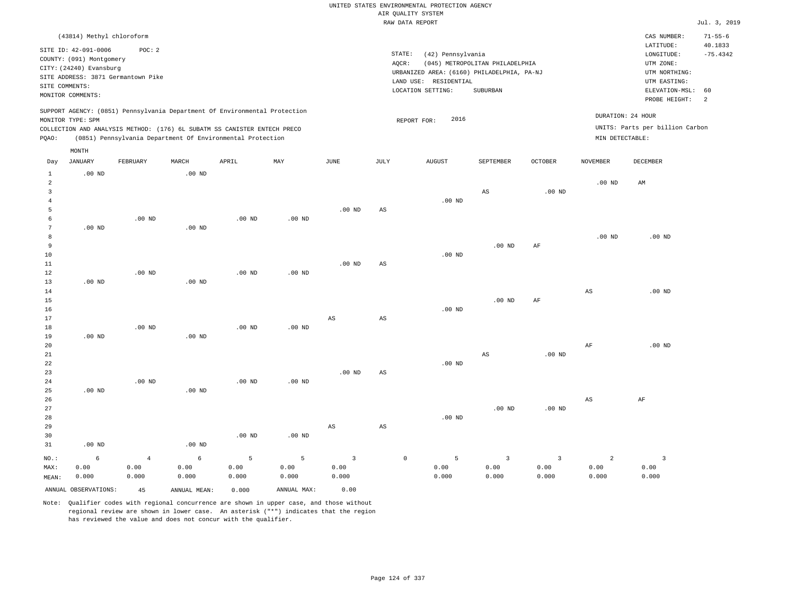|                                  |                                    |                |               |                                                                            |                   |                         |                        | UNITED STATES ENVIRONMENTAL PROTECTION AGENCY |                                 |                   |                        |                                 |                |
|----------------------------------|------------------------------------|----------------|---------------|----------------------------------------------------------------------------|-------------------|-------------------------|------------------------|-----------------------------------------------|---------------------------------|-------------------|------------------------|---------------------------------|----------------|
|                                  |                                    |                |               |                                                                            |                   |                         |                        | AIR QUALITY SYSTEM<br>RAW DATA REPORT         |                                 |                   |                        |                                 | Jul. 3, 2019   |
|                                  |                                    |                |               |                                                                            |                   |                         |                        |                                               |                                 |                   |                        |                                 |                |
|                                  | (43814) Methyl chloroform          |                |               |                                                                            |                   |                         |                        |                                               |                                 |                   |                        | CAS NUMBER:                     | $71 - 55 - 6$  |
|                                  | SITE ID: 42-091-0006               | POC: 2         |               |                                                                            |                   |                         |                        |                                               |                                 |                   |                        | LATITUDE:                       | 40.1833        |
|                                  | COUNTY: (091) Montgomery           |                |               |                                                                            |                   |                         | STATE:<br>AQCR:        | (42) Pennsylvania                             | (045) METROPOLITAN PHILADELPHIA |                   |                        | LONGITUDE:<br>UTM ZONE:         | $-75.4342$     |
|                                  | CITY: (24240) Evansburg            |                |               |                                                                            |                   |                         |                        | URBANIZED AREA: (6160) PHILADELPHIA, PA-NJ    |                                 |                   |                        | UTM NORTHING:                   |                |
|                                  | SITE ADDRESS: 3871 Germantown Pike |                |               |                                                                            |                   |                         |                        | LAND USE: RESIDENTIAL                         |                                 |                   |                        | UTM EASTING:                    |                |
| SITE COMMENTS:                   |                                    |                |               |                                                                            |                   |                         |                        | LOCATION SETTING:                             | <b>SUBURBAN</b>                 |                   |                        | ELEVATION-MSL:                  | 60             |
|                                  | MONITOR COMMENTS:                  |                |               |                                                                            |                   |                         |                        |                                               |                                 |                   |                        | PROBE HEIGHT:                   | $\overline{a}$ |
|                                  |                                    |                |               | SUPPORT AGENCY: (0851) Pennsylvania Department Of Environmental Protection |                   |                         |                        |                                               |                                 |                   |                        |                                 |                |
|                                  | MONITOR TYPE: SPM                  |                |               |                                                                            |                   |                         |                        | 2016<br>REPORT FOR:                           |                                 |                   |                        | DURATION: 24 HOUR               |                |
|                                  |                                    |                |               | COLLECTION AND ANALYSIS METHOD: (176) 6L SUBATM SS CANISTER ENTECH PRECO   |                   |                         |                        |                                               |                                 |                   |                        | UNITS: Parts per billion Carbon |                |
| PQAO:                            |                                    |                |               | (0851) Pennsylvania Department Of Environmental Protection                 |                   |                         |                        |                                               |                                 |                   | MIN DETECTABLE:        |                                 |                |
|                                  | MONTH                              |                |               |                                                                            |                   |                         |                        |                                               |                                 |                   |                        |                                 |                |
| Day                              | <b>JANUARY</b>                     | FEBRUARY       | MARCH         | APRIL                                                                      | MAY               | JUNE                    | JULY                   | <b>AUGUST</b>                                 | SEPTEMBER                       | <b>OCTOBER</b>    | <b>NOVEMBER</b>        | DECEMBER                        |                |
| $\mathbf{1}$                     | $.00$ ND                           |                | $.00$ ND      |                                                                            |                   |                         |                        |                                               |                                 |                   |                        |                                 |                |
| $\overline{a}$                   |                                    |                |               |                                                                            |                   |                         |                        |                                               |                                 |                   | .00 <sub>ND</sub>      | AM                              |                |
| 3                                |                                    |                |               |                                                                            |                   |                         |                        |                                               | $_{\rm AS}$                     | .00 <sub>ND</sub> |                        |                                 |                |
| $\overline{4}$<br>$\overline{5}$ |                                    |                |               |                                                                            |                   | .00 <sub>ND</sub>       | $\mathbb{A}\mathbb{S}$ | $.00$ ND                                      |                                 |                   |                        |                                 |                |
| 6                                |                                    | $.00$ ND       |               | $.00$ ND                                                                   | $.00$ ND          |                         |                        |                                               |                                 |                   |                        |                                 |                |
| 7                                | $.00$ ND                           |                | $.00$ ND      |                                                                            |                   |                         |                        |                                               |                                 |                   |                        |                                 |                |
| 8                                |                                    |                |               |                                                                            |                   |                         |                        |                                               |                                 |                   | .00 <sub>ND</sub>      | $.00$ ND                        |                |
| 9                                |                                    |                |               |                                                                            |                   |                         |                        |                                               | .00 <sub>ND</sub>               | AF                |                        |                                 |                |
| 10                               |                                    |                |               |                                                                            |                   |                         |                        | $.00$ ND                                      |                                 |                   |                        |                                 |                |
| 11                               |                                    |                |               |                                                                            |                   | $.00$ ND                | AS                     |                                               |                                 |                   |                        |                                 |                |
| 12                               |                                    | $.00$ ND       |               | $.00$ ND                                                                   | $.00$ ND          |                         |                        |                                               |                                 |                   |                        |                                 |                |
| 13                               | $.00$ ND                           |                | $.00$ ND      |                                                                            |                   |                         |                        |                                               |                                 |                   |                        |                                 |                |
| 14<br>$15$                       |                                    |                |               |                                                                            |                   |                         |                        |                                               | $.00$ ND                        | AF                | $\mathbb{A}\mathbb{S}$ | $.00$ ND                        |                |
| 16                               |                                    |                |               |                                                                            |                   |                         |                        | $.00$ ND                                      |                                 |                   |                        |                                 |                |
| 17                               |                                    |                |               |                                                                            |                   | AS                      | AS                     |                                               |                                 |                   |                        |                                 |                |
| 18                               |                                    | $.00$ ND       |               | $.00$ ND                                                                   | $.00$ ND          |                         |                        |                                               |                                 |                   |                        |                                 |                |
| 19                               | .00 <sub>ND</sub>                  |                | $.00$ ND      |                                                                            |                   |                         |                        |                                               |                                 |                   |                        |                                 |                |
| 20                               |                                    |                |               |                                                                            |                   |                         |                        |                                               |                                 |                   | AF                     | $.00$ ND                        |                |
| 21                               |                                    |                |               |                                                                            |                   |                         |                        |                                               | $_{\rm AS}$                     | .00 <sub>ND</sub> |                        |                                 |                |
| 22                               |                                    |                |               |                                                                            |                   |                         |                        | $.00$ ND                                      |                                 |                   |                        |                                 |                |
| 23                               |                                    |                |               |                                                                            |                   | $.00$ ND                | $_{\rm AS}$            |                                               |                                 |                   |                        |                                 |                |
| 24<br>25                         | $.00$ ND                           | $.00$ ND       | $.00$ ND      | .00 <sub>ND</sub>                                                          | .00 <sub>ND</sub> |                         |                        |                                               |                                 |                   |                        |                                 |                |
| 26                               |                                    |                |               |                                                                            |                   |                         |                        |                                               |                                 |                   | $_{\rm AS}$            | $\rm{AF}$                       |                |
| 27                               |                                    |                |               |                                                                            |                   |                         |                        |                                               | $.00$ ND                        | $.00$ ND          |                        |                                 |                |
| 28                               |                                    |                |               |                                                                            |                   |                         |                        | $.00$ ND                                      |                                 |                   |                        |                                 |                |
| 29                               |                                    |                |               |                                                                            |                   | $\mathbb{A}\mathbb{S}$  | $\mathbb{A}\mathbb{S}$ |                                               |                                 |                   |                        |                                 |                |
| 30                               |                                    |                |               | $.00$ ND                                                                   | $.00$ ND          |                         |                        |                                               |                                 |                   |                        |                                 |                |
| 31                               | $.00$ ND                           |                | $.00$ ND      |                                                                            |                   |                         |                        |                                               |                                 |                   |                        |                                 |                |
| NO.:                             | 6                                  | $\overline{4}$ | 6             | 5                                                                          | 5                 | $\overline{\mathbf{3}}$ | $\mathbb O$            | 5                                             | $\overline{3}$                  | $\overline{3}$    | $\overline{a}$         | $\overline{\mathbf{3}}$         |                |
| MAX:                             | 0.00                               | 0.00           | 0.00          | 0.00                                                                       | 0.00              | 0.00                    |                        | 0.00                                          | 0.00                            | 0.00              | 0.00                   | 0.00                            |                |
| MEAN:                            | 0.000                              | 0.000          | 0.000         | 0.000                                                                      | 0.000             | 0.000                   |                        | 0.000                                         | 0.000                           | 0.000             | 0.000                  | 0.000                           |                |
|                                  | ANNUAL OBSERVATIONS:               | 45             | ANNUAL, MEAN: | 0.000                                                                      | ANNUAL MAX:       | 0.00                    |                        |                                               |                                 |                   |                        |                                 |                |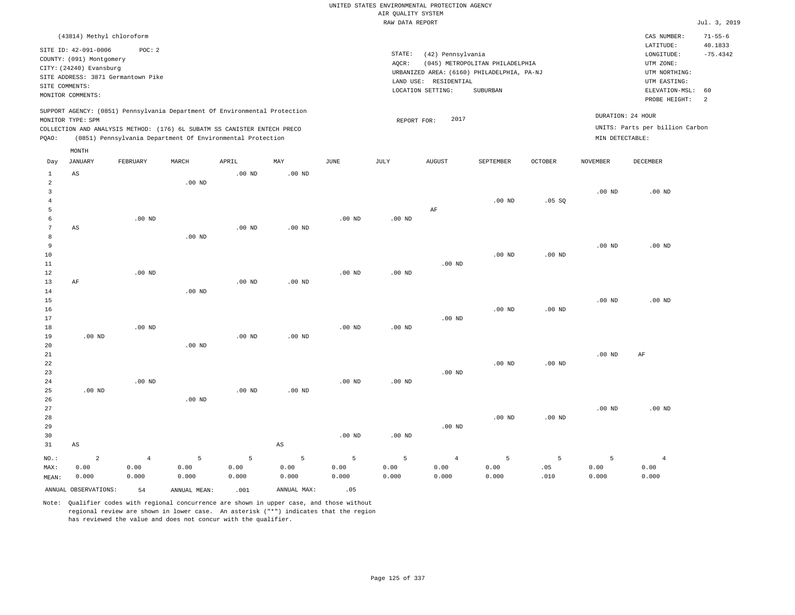|                                                        |                                                                                                                                     |                        |                        |                                                                                                                                        |                        |              |                                       | UNITED STATES ENVIRONMENTAL PROTECTION AGENCY |                                                                               |                   |                   |                                                                       |                       |
|--------------------------------------------------------|-------------------------------------------------------------------------------------------------------------------------------------|------------------------|------------------------|----------------------------------------------------------------------------------------------------------------------------------------|------------------------|--------------|---------------------------------------|-----------------------------------------------|-------------------------------------------------------------------------------|-------------------|-------------------|-----------------------------------------------------------------------|-----------------------|
|                                                        |                                                                                                                                     |                        |                        |                                                                                                                                        |                        |              | AIR QUALITY SYSTEM<br>RAW DATA REPORT |                                               |                                                                               |                   |                   |                                                                       | Jul. 3, 2019          |
|                                                        | (43814) Methyl chloroform                                                                                                           |                        |                        |                                                                                                                                        |                        |              |                                       |                                               |                                                                               |                   |                   | CAS NUMBER:                                                           | $71 - 55 - 6$         |
|                                                        | SITE ID: 42-091-0006<br>COUNTY: (091) Montgomery<br>CITY: (24240) Evansburg<br>SITE ADDRESS: 3871 Germantown Pike<br>SITE COMMENTS: | POC: 2                 |                        |                                                                                                                                        |                        |              | STATE:<br>AQCR:                       | (42) Pennsylvania<br>LAND USE: RESIDENTIAL    | (045) METROPOLITAN PHILADELPHIA<br>URBANIZED AREA: (6160) PHILADELPHIA, PA-NJ |                   |                   | LATITUDE:<br>LONGITUDE:<br>UTM ZONE:<br>UTM NORTHING:<br>UTM EASTING: | 40.1833<br>$-75.4342$ |
|                                                        | MONITOR COMMENTS:                                                                                                                   |                        |                        |                                                                                                                                        |                        |              |                                       | LOCATION SETTING:                             | SUBURBAN                                                                      |                   |                   | ELEVATION-MSL:                                                        | 60                    |
|                                                        | MONITOR TYPE: SPM                                                                                                                   |                        |                        | SUPPORT AGENCY: (0851) Pennsylvania Department Of Environmental Protection                                                             |                        |              | REPORT FOR:                           | 2017                                          |                                                                               |                   |                   | PROBE HEIGHT:<br>DURATION: 24 HOUR                                    | 2                     |
| PQAO:                                                  |                                                                                                                                     |                        |                        | COLLECTION AND ANALYSIS METHOD: (176) 6L SUBATM SS CANISTER ENTECH PRECO<br>(0851) Pennsylvania Department Of Environmental Protection |                        |              |                                       |                                               |                                                                               |                   | MIN DETECTABLE:   | UNITS: Parts per billion Carbon                                       |                       |
| Day                                                    | $\texttt{MONTH}$<br><b>JANUARY</b>                                                                                                  | FEBRUARY               | MARCH                  | APRIL                                                                                                                                  | MAY                    | JUNE         | JULY                                  | <b>AUGUST</b>                                 | SEPTEMBER                                                                     | OCTOBER           | <b>NOVEMBER</b>   | DECEMBER                                                              |                       |
| $\mathbf{1}$<br>$\overline{a}$<br>$\mathbf{3}$         | $_{\rm AS}$                                                                                                                         |                        | $.00$ ND               | $.00$ ND                                                                                                                               | $.00$ ND               |              |                                       |                                               |                                                                               |                   | .00 <sub>ND</sub> | $.00$ ND                                                              |                       |
| $\bf{4}$<br>5<br>6                                     |                                                                                                                                     | $.00$ ND               |                        |                                                                                                                                        |                        | $.00$ ND     | $.00$ ND                              | AF                                            | $.00$ ND                                                                      | .05 SQ            |                   |                                                                       |                       |
| $\overline{7}$<br>$\mathbf{8}$<br>$\overline{9}$<br>10 | AS                                                                                                                                  |                        | .00 <sub>ND</sub>      | $.00$ ND                                                                                                                               | $.00$ ND               |              |                                       |                                               | .00 <sub>ND</sub>                                                             | $.00$ ND          | .00 <sub>ND</sub> | $.00$ ND                                                              |                       |
| 11<br>12<br>13                                         | $\rm AF$                                                                                                                            | $.00$ ND               |                        | $.00$ ND                                                                                                                               | .00 <sub>ND</sub>      | $.00$ ND     | $.00$ ND                              | $.00$ ND                                      |                                                                               |                   |                   |                                                                       |                       |
| 14<br>15<br>16<br>17                                   |                                                                                                                                     |                        | $.00$ ND               |                                                                                                                                        |                        |              |                                       | .00 <sub>ND</sub>                             | $.00$ ND                                                                      | $.00$ ND          | .00 <sub>ND</sub> | $.00$ ND                                                              |                       |
| 18<br>19<br>20                                         | $.00$ ND                                                                                                                            | $.00$ ND               | $.00$ ND               | $.00$ ND                                                                                                                               | $.00$ ND               | $.00$ ND     | $.00$ ND                              |                                               |                                                                               |                   |                   |                                                                       |                       |
| 21<br>22<br>23<br>24                                   |                                                                                                                                     | $.00$ ND               |                        |                                                                                                                                        |                        | $.00$ ND     | $.00$ ND                              | $.00$ ND                                      | $.00$ ND                                                                      | .00 <sub>ND</sub> | .00 <sub>ND</sub> | AF                                                                    |                       |
| 25<br>26<br>27                                         | $.00$ ND                                                                                                                            |                        | .00 <sub>ND</sub>      | $.00$ ND                                                                                                                               | $.00$ ND               |              |                                       |                                               |                                                                               |                   | .00 <sub>ND</sub> | $.00$ ND                                                              |                       |
| 28<br>29<br>30<br>31                                   | $_{\rm AS}$                                                                                                                         |                        |                        |                                                                                                                                        | $\mathbb{A}\mathbb{S}$ | $.00$ ND     | $.00$ ND                              | $.00$ ND                                      | $.00$ ND                                                                      | $.00$ ND          |                   |                                                                       |                       |
| NO.:<br>MAX:                                           | $\overline{a}$<br>0.00                                                                                                              | $\overline{4}$<br>0.00 | 5<br>0.00              | 5<br>0.00                                                                                                                              | 5<br>0.00              | 5<br>0.00    | 5<br>0.00                             | $\overline{4}$<br>0.00                        | 5<br>0.00                                                                     | 5<br>.05          | 5<br>0.00         | $\overline{4}$<br>0.00                                                |                       |
| MEAN:                                                  | 0.000<br>ANNUAL OBSERVATIONS:                                                                                                       | 0.000<br>54            | 0.000<br>ANNUAL, MEAN: | 0.000<br>.001                                                                                                                          | 0.000<br>ANNUAL MAX:   | 0.000<br>.05 | 0.000                                 | 0.000                                         | 0.000                                                                         | .010              | 0.000             | 0.000                                                                 |                       |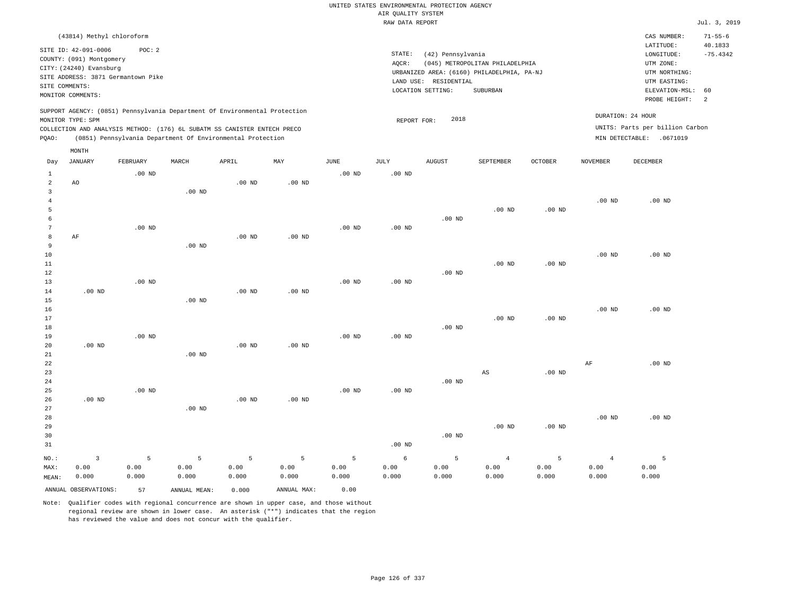|                     |                                    |          |                   |                                                                            |                   |                   | UNITED STATES ENVIRONMENTAL PROTECTION AGENCY |                                            |                                            |                   |                   |                                 |               |
|---------------------|------------------------------------|----------|-------------------|----------------------------------------------------------------------------|-------------------|-------------------|-----------------------------------------------|--------------------------------------------|--------------------------------------------|-------------------|-------------------|---------------------------------|---------------|
|                     |                                    |          |                   |                                                                            |                   |                   | AIR QUALITY SYSTEM                            |                                            |                                            |                   |                   |                                 |               |
|                     |                                    |          |                   |                                                                            |                   |                   | RAW DATA REPORT                               |                                            |                                            |                   |                   |                                 | Jul. 3, 2019  |
|                     | (43814) Methyl chloroform          |          |                   |                                                                            |                   |                   |                                               |                                            |                                            |                   |                   | CAS NUMBER:                     | $71 - 55 - 6$ |
|                     | SITE ID: 42-091-0006               | POC: 2   |                   |                                                                            |                   |                   |                                               |                                            |                                            |                   |                   | LATITUDE:                       | 40.1833       |
|                     | COUNTY: (091) Montgomery           |          |                   |                                                                            |                   |                   | STATE:                                        | (42) Pennsylvania                          |                                            |                   |                   | LONGITUDE:                      | $-75.4342$    |
|                     | CITY: (24240) Evansburg            |          |                   |                                                                            |                   |                   | AOCR:                                         |                                            | (045) METROPOLITAN PHILADELPHIA            |                   |                   | UTM ZONE:                       |               |
|                     | SITE ADDRESS: 3871 Germantown Pike |          |                   |                                                                            |                   |                   |                                               |                                            | URBANIZED AREA: (6160) PHILADELPHIA, PA-NJ |                   |                   | UTM NORTHING:                   |               |
|                     | SITE COMMENTS:                     |          |                   |                                                                            |                   |                   |                                               | LAND USE: RESIDENTIAL<br>LOCATION SETTING: | SUBURBAN                                   |                   |                   | UTM EASTING:<br>ELEVATION-MSL:  | 60            |
|                     | MONITOR COMMENTS:                  |          |                   |                                                                            |                   |                   |                                               |                                            |                                            |                   |                   | PROBE HEIGHT:                   | 2             |
|                     |                                    |          |                   | SUPPORT AGENCY: (0851) Pennsylvania Department Of Environmental Protection |                   |                   |                                               |                                            |                                            |                   |                   |                                 |               |
|                     | MONITOR TYPE: SPM                  |          |                   |                                                                            |                   |                   | REPORT FOR:                                   | 2018                                       |                                            |                   |                   | DURATION: 24 HOUR               |               |
|                     |                                    |          |                   | COLLECTION AND ANALYSIS METHOD: (176) 6L SUBATM SS CANISTER ENTECH PRECO   |                   |                   |                                               |                                            |                                            |                   |                   | UNITS: Parts per billion Carbon |               |
| PQAO:               |                                    |          |                   | (0851) Pennsylvania Department Of Environmental Protection                 |                   |                   |                                               |                                            |                                            |                   |                   | MIN DETECTABLE: .0671019        |               |
|                     | MONTH                              |          |                   |                                                                            |                   |                   |                                               |                                            |                                            |                   |                   |                                 |               |
| Day                 | <b>JANUARY</b>                     | FEBRUARY | MARCH             | APRIL                                                                      | MAY               | <b>JUNE</b>       | <b>JULY</b>                                   | <b>AUGUST</b>                              | SEPTEMBER                                  | <b>OCTOBER</b>    | <b>NOVEMBER</b>   | <b>DECEMBER</b>                 |               |
| 1<br>$\overline{a}$ | AO                                 | $.00$ ND |                   | $.00$ ND                                                                   | $.00$ ND          | $.00$ ND          | $.00$ ND                                      |                                            |                                            |                   |                   |                                 |               |
| 3                   |                                    |          | .00 <sub>ND</sub> |                                                                            |                   |                   |                                               |                                            |                                            |                   |                   |                                 |               |
| $\overline{4}$      |                                    |          |                   |                                                                            |                   |                   |                                               |                                            |                                            |                   | .00 <sub>ND</sub> | $.00$ ND                        |               |
| 5                   |                                    |          |                   |                                                                            |                   |                   |                                               |                                            | $.00$ ND                                   | .00 <sub>ND</sub> |                   |                                 |               |
| 6                   |                                    |          |                   |                                                                            |                   |                   |                                               | $.00$ ND                                   |                                            |                   |                   |                                 |               |
| $7\phantom{.0}$     |                                    | $.00$ ND |                   |                                                                            |                   | .00 $ND$          | $.00$ ND                                      |                                            |                                            |                   |                   |                                 |               |
| $^{\rm 8}$          | AF                                 |          |                   | .00 <sub>ND</sub>                                                          | .00 <sub>ND</sub> |                   |                                               |                                            |                                            |                   |                   |                                 |               |
| 9                   |                                    |          | $.00$ ND          |                                                                            |                   |                   |                                               |                                            |                                            |                   |                   |                                 |               |
| 10                  |                                    |          |                   |                                                                            |                   |                   |                                               |                                            |                                            |                   | .00 <sub>ND</sub> | $.00$ ND                        |               |
| 11<br>12            |                                    |          |                   |                                                                            |                   |                   |                                               | $.00$ ND                                   | $.00$ ND                                   | $.00$ ND          |                   |                                 |               |
| 13                  |                                    | $.00$ ND |                   |                                                                            |                   | .00 <sub>ND</sub> | .00 <sub>ND</sub>                             |                                            |                                            |                   |                   |                                 |               |
| 14                  | $.00$ ND                           |          |                   | $.00$ ND                                                                   | $.00$ ND          |                   |                                               |                                            |                                            |                   |                   |                                 |               |
| 15                  |                                    |          | $.00$ ND          |                                                                            |                   |                   |                                               |                                            |                                            |                   |                   |                                 |               |
| 16                  |                                    |          |                   |                                                                            |                   |                   |                                               |                                            |                                            |                   | $.00$ ND          | $.00$ ND                        |               |
| 17                  |                                    |          |                   |                                                                            |                   |                   |                                               |                                            | $.00$ ND                                   | $.00$ ND          |                   |                                 |               |
| 18                  |                                    |          |                   |                                                                            |                   |                   |                                               | $.00$ ND                                   |                                            |                   |                   |                                 |               |
| 19                  | $.00$ ND                           | $.00$ ND |                   | .00 <sub>ND</sub>                                                          | .00 <sub>ND</sub> | $.00$ ND          | $.00$ ND                                      |                                            |                                            |                   |                   |                                 |               |
| 20<br>21            |                                    |          | .00 <sub>ND</sub> |                                                                            |                   |                   |                                               |                                            |                                            |                   |                   |                                 |               |
| 22                  |                                    |          |                   |                                                                            |                   |                   |                                               |                                            |                                            |                   | AF                | $.00$ ND                        |               |
| 23                  |                                    |          |                   |                                                                            |                   |                   |                                               |                                            | $_{\rm AS}$                                | .00 <sub>ND</sub> |                   |                                 |               |
| 24                  |                                    |          |                   |                                                                            |                   |                   |                                               | $.00$ ND                                   |                                            |                   |                   |                                 |               |
| 25                  |                                    | $.00$ ND |                   |                                                                            |                   | $.00$ ND          | $.00$ ND                                      |                                            |                                            |                   |                   |                                 |               |
| 26                  | .00 <sub>ND</sub>                  |          |                   | .00 <sub>ND</sub>                                                          | .00 <sub>ND</sub> |                   |                                               |                                            |                                            |                   |                   |                                 |               |
| 27                  |                                    |          | .00 <sub>ND</sub> |                                                                            |                   |                   |                                               |                                            |                                            |                   |                   |                                 |               |
| 28                  |                                    |          |                   |                                                                            |                   |                   |                                               |                                            |                                            |                   | $.00$ ND          | $.00$ ND                        |               |
| 29                  |                                    |          |                   |                                                                            |                   |                   |                                               |                                            | .00 $ND$                                   | $.00$ ND          |                   |                                 |               |
| 30<br>31            |                                    |          |                   |                                                                            |                   |                   | $.00$ ND                                      | $.00$ ND                                   |                                            |                   |                   |                                 |               |
|                     |                                    |          |                   |                                                                            |                   |                   |                                               |                                            |                                            |                   |                   |                                 |               |
| NO.:                | $\overline{\mathbf{3}}$            | 5        | 5                 | 5                                                                          | 5                 | 5                 | $\epsilon$                                    | 5                                          | $\overline{4}$                             | 5                 | $\overline{4}$    | 5                               |               |
| MAX:                | 0.00                               | 0.00     | 0.00              | 0.00                                                                       | 0.00              | 0.00              | 0.00                                          | 0.00                                       | 0.00                                       | 0.00              | 0.00              | 0.00                            |               |
| MEAN:               | 0.000                              | 0.000    | 0.000             | 0.000                                                                      | 0.000             | 0.000             | 0.000                                         | 0.000                                      | 0.000                                      | 0.000             | 0.000             | 0.000                           |               |
|                     | ANNUAL OBSERVATIONS:               | 57       | ANNUAL MEAN:      | 0.000                                                                      | ANNUAL MAX:       | 0.00              |                                               |                                            |                                            |                   |                   |                                 |               |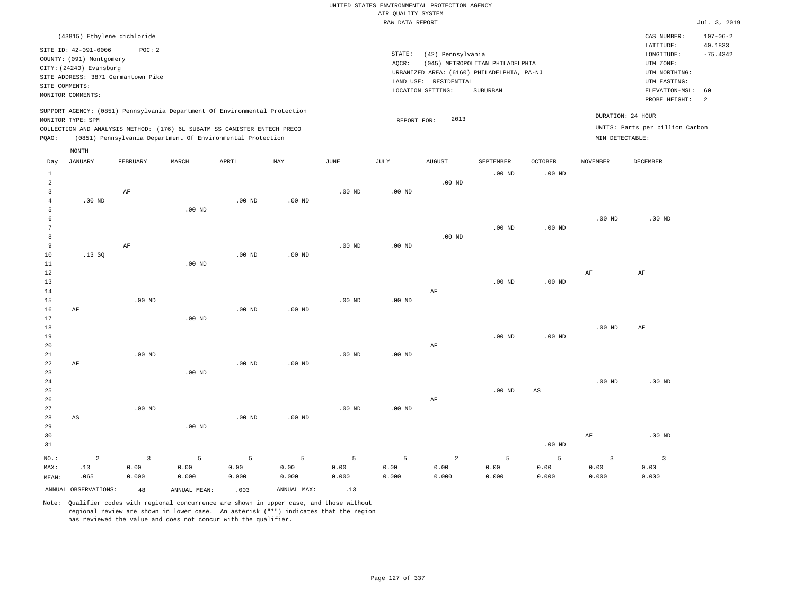|                                                                                                              | (43815) Ethylene dichloride        |          |                                                                            |          |          |          |                   |                   |                                            |          |                   | CAS NUMBER:                     | $107 - 06 - 2$ |
|--------------------------------------------------------------------------------------------------------------|------------------------------------|----------|----------------------------------------------------------------------------|----------|----------|----------|-------------------|-------------------|--------------------------------------------|----------|-------------------|---------------------------------|----------------|
|                                                                                                              | SITE ID: 42-091-0006               | POC: 2   |                                                                            |          |          |          |                   |                   |                                            |          |                   | LATITUDE:                       | 40.1833        |
|                                                                                                              | COUNTY: (091) Montgomery           |          |                                                                            |          |          |          | STATE:            | (42) Pennsylvania |                                            |          |                   | LONGITUDE:                      | $-75.4342$     |
|                                                                                                              | CITY: (24240) Evansburg            |          |                                                                            |          |          |          | AOCR:             |                   | (045) METROPOLITAN PHILADELPHIA            |          |                   | UTM ZONE:                       |                |
|                                                                                                              | SITE ADDRESS: 3871 Germantown Pike |          |                                                                            |          |          |          |                   |                   | URBANIZED AREA: (6160) PHILADELPHIA, PA-NJ |          |                   | UTM NORTHING:                   |                |
|                                                                                                              | SITE COMMENTS:                     |          |                                                                            |          |          |          | LAND USE:         | RESIDENTIAL       |                                            |          |                   | UTM EASTING:                    |                |
|                                                                                                              | MONITOR COMMENTS:                  |          |                                                                            |          |          |          |                   | LOCATION SETTING: | SUBURBAN                                   |          |                   | ELEVATION-MSL:                  | 60             |
|                                                                                                              |                                    |          |                                                                            |          |          |          |                   |                   |                                            |          |                   | PROBE HEIGHT:                   | -2             |
|                                                                                                              |                                    |          | SUPPORT AGENCY: (0851) Pennsylvania Department Of Environmental Protection |          |          |          |                   | 2013              |                                            |          | DURATION: 24 HOUR |                                 |                |
| MONITOR TYPE: SPM<br>REPORT FOR:<br>COLLECTION AND ANALYSIS METHOD: (176) 6L SUBATM SS CANISTER ENTECH PRECO |                                    |          |                                                                            |          |          |          |                   |                   |                                            |          |                   | UNITS: Parts per billion Carbon |                |
| (0851) Pennsylvania Department Of Environmental Protection<br>MIN DETECTABLE:<br>POAO:                       |                                    |          |                                                                            |          |          |          |                   |                   |                                            |          |                   |                                 |                |
|                                                                                                              |                                    |          |                                                                            |          |          |          |                   |                   |                                            |          |                   |                                 |                |
|                                                                                                              | MONTH                              |          |                                                                            |          |          |          |                   |                   |                                            |          |                   |                                 |                |
| Day                                                                                                          | JANUARY                            | FEBRUARY | MARCH                                                                      | APRIL    | MAY      | JUNE     | JULY              | <b>AUGUST</b>     | SEPTEMBER                                  | OCTOBER  | <b>NOVEMBER</b>   | DECEMBER                        |                |
|                                                                                                              |                                    |          |                                                                            |          |          |          |                   |                   | $.00$ ND                                   | $.00$ ND |                   |                                 |                |
| $\overline{2}$                                                                                               |                                    |          |                                                                            |          |          |          |                   | .00 <sub>ND</sub> |                                            |          |                   |                                 |                |
|                                                                                                              |                                    | AF       |                                                                            |          |          | $.00$ ND | .00 <sub>ND</sub> |                   |                                            |          |                   |                                 |                |
|                                                                                                              | $.00$ ND                           |          |                                                                            | $.00$ ND | $.00$ ND |          |                   |                   |                                            |          |                   |                                 |                |
|                                                                                                              |                                    |          | $.00$ ND                                                                   |          |          |          |                   |                   |                                            |          |                   |                                 |                |
|                                                                                                              |                                    |          |                                                                            |          |          |          |                   |                   |                                            |          | $.00$ ND          | $.00$ ND                        |                |
| 7                                                                                                            |                                    |          |                                                                            |          |          |          |                   |                   | $.00$ ND                                   | $.00$ ND |                   |                                 |                |

| 8           |       |          |          |          |          |          |          | $.00$ ND |          |          |          |    |
|-------------|-------|----------|----------|----------|----------|----------|----------|----------|----------|----------|----------|----|
| 9           |       | AF       |          |          |          | $.00$ ND | $.00$ ND |          |          |          |          |    |
| 10          | .13SQ |          |          | $.00$ ND | $.00$ ND |          |          |          |          |          |          |    |
| $1\,1$      |       |          | $.00$ ND |          |          |          |          |          |          |          |          |    |
| $1\,2$      |       |          |          |          |          |          |          |          |          |          | AF       | AF |
| 13          |       |          |          |          |          |          |          |          | $.00$ ND | $.00$ ND |          |    |
| $1\,4$      |       |          |          |          |          |          |          | AF       |          |          |          |    |
| $15\,$      |       | $.00$ ND |          |          |          | $.00$ ND | $.00$ ND |          |          |          |          |    |
| 16          | AF    |          |          | $.00$ ND | $.00$ ND |          |          |          |          |          |          |    |
| 17          |       |          | $.00$ ND |          |          |          |          |          |          |          |          |    |
| $1\,8$      |       |          |          |          |          |          |          |          |          |          | $.00$ ND | AF |
| 19          |       |          |          |          |          |          |          |          | $.00$ ND | $.00$ ND |          |    |
| 20          |       |          |          |          |          |          |          | AF       |          |          |          |    |
| $2\sqrt{1}$ |       | $.00$ ND |          |          |          | $.00$ ND | $.00$ ND |          |          |          |          |    |
| $2\sqrt{2}$ | AF    |          |          | $.00$ ND | $.00$ ND |          |          |          |          |          |          |    |
| 23          |       |          | $.00$ ND |          |          |          |          |          |          |          |          |    |

| 24 |          |                                   |  |               | .00 <sub>ND</sub> | $.00$ ND |
|----|----------|-----------------------------------|--|---------------|-------------------|----------|
| 25 |          |                                   |  | $.00$ ND $AS$ |                   |          |
| 26 |          |                                   |  |               |                   |          |
| 27 | $.00$ ND | $.00 \text{ ND}$ $.00 \text{ ND}$ |  |               |                   |          |

| 28    | AS                   |       |              | $.00$ ND | $.00$ ND    |       |       |       |       |                   |       |          |
|-------|----------------------|-------|--------------|----------|-------------|-------|-------|-------|-------|-------------------|-------|----------|
| 29    |                      |       | $.00$ ND     |          |             |       |       |       |       |                   |       |          |
| 30    |                      |       |              |          |             |       |       |       |       |                   | AF    | $.00$ ND |
| 31    |                      |       |              |          |             |       |       |       |       | .00 <sub>ND</sub> |       |          |
| NO.:  | ∠                    |       |              |          |             |       |       |       |       |                   |       |          |
| MAX:  | .13                  | 0.00  | 0.00         | 0.00     | 0.00        | 0.00  | 0.00  | 0.00  | 0.00  | 0.00              | 0.00  | 0.00     |
| MEAN: | .065                 | 0.000 | 0.000        | 0.000    | 0.000       | 0.000 | 0.000 | 0.000 | 0.000 | 0.000             | 0.000 | 0.000    |
|       | ANNUAL OBSERVATIONS: | 48    | ANNUAL MEAN: | .003     | ANNUAL MAX: | .13   |       |       |       |                   |       |          |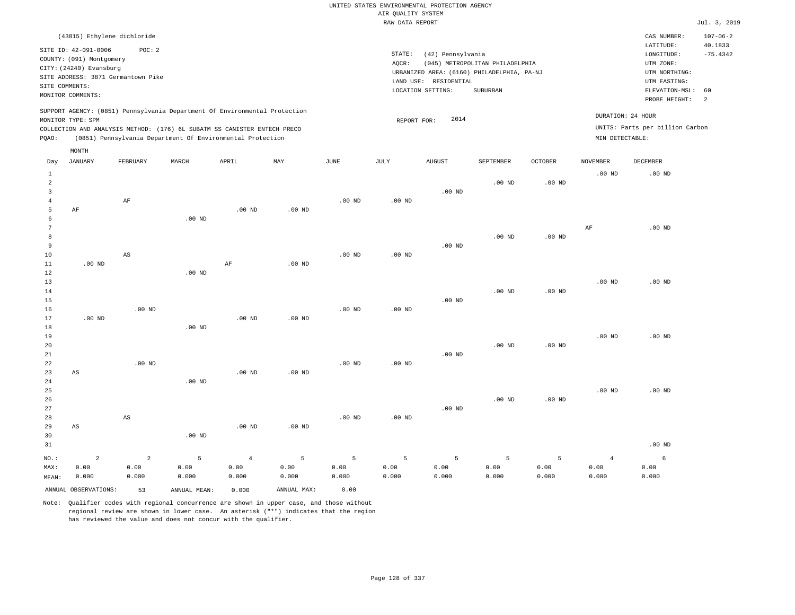| (43815) Ethylene dichloride                                                |                                            | CAS NUMBER:                     | $107 - 06 - 2$             |
|----------------------------------------------------------------------------|--------------------------------------------|---------------------------------|----------------------------|
| SITE ID: 42-091-0006<br>POC: 2                                             |                                            | LATITUDE:                       | 40.1833                    |
| COUNTY: (091) Montgomery                                                   | STATE:<br>(42) Pennsylvania                | LONGITUDE:                      | $-75.4342$                 |
|                                                                            | (045) METROPOLITAN PHILADELPHIA<br>AOCR:   | UTM ZONE:                       |                            |
| CITY: (24240) Evansburg<br>SITE ADDRESS: 3871 Germantown Pike              | URBANIZED AREA: (6160) PHILADELPHIA, PA-NJ | UTM NORTHING:                   |                            |
| SITE COMMENTS:                                                             | RESIDENTIAL<br>LAND USE:                   | UTM EASTING:                    |                            |
| MONITOR COMMENTS:                                                          | LOCATION SETTING:<br>SUBURBAN              | ELEVATION-MSL: 60               |                            |
|                                                                            |                                            | PROBE HEIGHT:                   | $\overline{\phantom{0}}^2$ |
| SUPPORT AGENCY: (0851) Pennsylvania Department Of Environmental Protection |                                            |                                 |                            |
| MONITOR TYPE: SPM                                                          | 2014<br>REPORT FOR:                        | DURATION: 24 HOUR               |                            |
| COLLECTION AND ANALYSIS METHOD: (176) 6L SUBATM SS CANISTER ENTECH PRECO   |                                            | UNITS: Parts per billion Carbon |                            |
| (0851) Pennsylvania Department Of Environmental Protection<br>POAO:        |                                            | MIN DETECTABLE:                 |                            |
| MONTH                                                                      |                                            |                                 |                            |

| Day                    | <b>JANUARY</b>         | FEBRUARY               | MARCH             | APRIL          | MAY            | $\mathtt{JUNE}$ | JULY              | <b>AUGUST</b> | SEPTEMBER      | OCTOBER  | <b>NOVEMBER</b> | DECEMBER |
|------------------------|------------------------|------------------------|-------------------|----------------|----------------|-----------------|-------------------|---------------|----------------|----------|-----------------|----------|
| $\mathbf{1}$<br>2<br>3 |                        |                        |                   |                |                |                 |                   | $.00$ ND      | $.00$ ND       | $.00$ ND | $.00$ ND        | $.00$ ND |
| $\overline{4}$         |                        | $\rm AF$               |                   |                |                | $.00$ ND        | .00 <sub>ND</sub> |               |                |          |                 |          |
| 5                      | $\rm AF$               |                        | .00 <sub>ND</sub> | $.00$ ND       | $.00$ ND       |                 |                   |               |                |          |                 |          |
| 6<br>7                 |                        |                        |                   |                |                |                 |                   |               |                |          | $\rm{AF}$       | $.00$ ND |
| 8                      |                        |                        |                   |                |                |                 |                   |               | $.00$ ND       | $.00$ ND |                 |          |
| 9                      |                        |                        |                   |                |                |                 |                   | $.00$ ND      |                |          |                 |          |
| $10$                   |                        | $\mathbb{A}\mathbb{S}$ |                   |                |                | $.00$ ND        | $.00$ ND          |               |                |          |                 |          |
| 11                     | $.00$ ND               |                        |                   | $\rm AF$       | $.00$ ND       |                 |                   |               |                |          |                 |          |
| 12                     |                        |                        | .00 <sub>ND</sub> |                |                |                 |                   |               |                |          |                 |          |
| 13                     |                        |                        |                   |                |                |                 |                   |               |                |          | $.00$ ND        | $.00$ ND |
| 14                     |                        |                        |                   |                |                |                 |                   |               | $.00$ ND       | $.00$ ND |                 |          |
| 15                     |                        |                        |                   |                |                |                 |                   | $.00$ ND      |                |          |                 |          |
| 16                     |                        | $.00$ ND               |                   |                |                | $.00$ ND        | $.00$ ND          |               |                |          |                 |          |
| 17                     | $.00$ ND               |                        |                   | $.00$ ND       | $.00$ ND       |                 |                   |               |                |          |                 |          |
| 18                     |                        |                        | .00 <sub>ND</sub> |                |                |                 |                   |               |                |          |                 |          |
| 19                     |                        |                        |                   |                |                |                 |                   |               |                |          | $.00$ ND        | $.00$ ND |
| $20\,$                 |                        |                        |                   |                |                |                 |                   |               | $.00$ ND       | $.00$ ND |                 |          |
| $2\sqrt{1}$            |                        |                        |                   |                |                |                 |                   | $.00$ ND      |                |          |                 |          |
| 22                     |                        | $.00$ ND               |                   |                |                | $.00$ ND        | $.00$ ND          |               |                |          |                 |          |
| 23                     | AS                     |                        |                   | $.00$ ND       | $.00$ ND       |                 |                   |               |                |          |                 |          |
| 24                     |                        |                        | .00 <sub>ND</sub> |                |                |                 |                   |               |                |          |                 |          |
| 25                     |                        |                        |                   |                |                |                 |                   |               |                |          | $.00$ ND        | $.00$ ND |
| 26<br>27               |                        |                        |                   |                |                |                 |                   | $.00$ ND      | $.00$ ND       | $.00$ ND |                 |          |
| 28                     |                        | $\mathbb{A}\mathbb{S}$ |                   |                |                | $.00$ ND        | $.00$ ND          |               |                |          |                 |          |
| 29                     | $\mathbb{A}\mathbb{S}$ |                        |                   | $.00$ ND       | $.00$ ND       |                 |                   |               |                |          |                 |          |
| 30                     |                        |                        | .00 <sub>ND</sub> |                |                |                 |                   |               |                |          |                 |          |
| 31                     |                        |                        |                   |                |                |                 |                   |               |                |          |                 | $.00$ ND |
|                        |                        |                        |                   |                |                |                 |                   |               |                |          |                 |          |
| $NO.$ :                | $\overline{a}$         | $\overline{a}$         | 5                 | $\overline{4}$ | $\overline{5}$ | 5               | 5                 | 5             | $\overline{5}$ | 5        | $\overline{4}$  | 6        |
| MAX:                   | 0.00                   | 0.00                   | 0.00              | 0.00           | 0.00           | 0.00            | 0.00              | 0.00          | 0.00           | 0.00     | 0.00            | 0.00     |
| MEAN:                  | 0.000                  | 0.000                  | 0.000             | 0.000          | 0.000          | 0.000           | 0.000             | 0.000         | 0.000          | 0.000    | 0.000           | 0.000    |
|                        | ANNUAL OBSERVATIONS:   | 53                     | ANNUAL MEAN:      | 0.000          | ANNUAL MAX:    | 0.00            |                   |               |                |          |                 |          |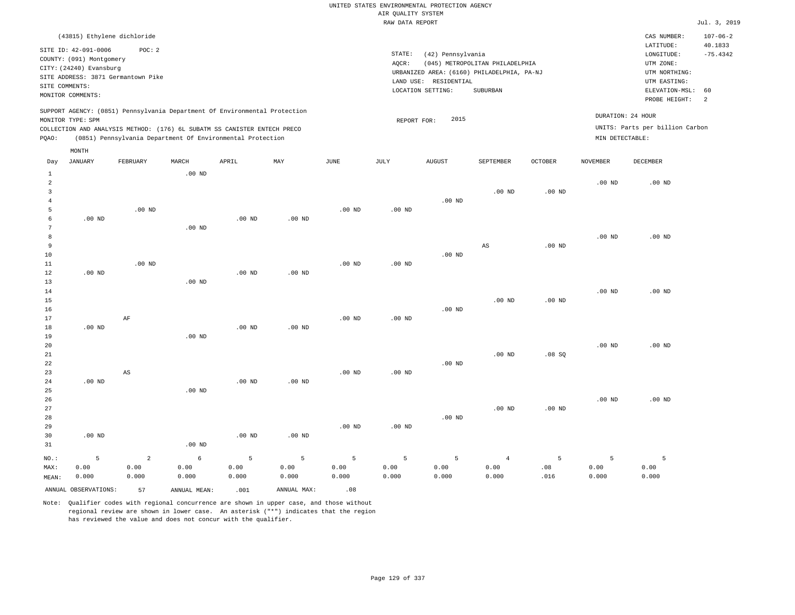## UNITED STATES ENVIRONMENTAL PROTECTION AGENCY AIR QUALITY SYSTEM

|       |                             |                                    |          |                                                                            |                   |                   | RAW DATA REPORT |                                            |                                 |                   |                   |                                 | Jul. 3, 2019   |
|-------|-----------------------------|------------------------------------|----------|----------------------------------------------------------------------------|-------------------|-------------------|-----------------|--------------------------------------------|---------------------------------|-------------------|-------------------|---------------------------------|----------------|
|       | (43815) Ethylene dichloride |                                    |          |                                                                            |                   |                   |                 |                                            |                                 |                   |                   | CAS NUMBER:                     | $107 - 06 - 2$ |
|       | SITE ID: 42-091-0006        | POC: 2                             |          |                                                                            |                   |                   |                 |                                            |                                 |                   |                   | LATITUDE:                       | 40.1833        |
|       |                             |                                    |          |                                                                            |                   |                   | STATE:          | (42) Pennsylvania                          |                                 |                   |                   | LONGITUDE:                      | $-75.4342$     |
|       | COUNTY: (091) Montgomery    |                                    |          |                                                                            |                   |                   | AQCR:           |                                            | (045) METROPOLITAN PHILADELPHIA |                   |                   | UTM ZONE:                       |                |
|       | CITY: (24240) Evansburg     | SITE ADDRESS: 3871 Germantown Pike |          |                                                                            |                   |                   |                 | URBANIZED AREA: (6160) PHILADELPHIA, PA-NJ |                                 |                   |                   | UTM NORTHING:                   |                |
|       |                             |                                    |          |                                                                            |                   |                   |                 | LAND USE: RESIDENTIAL                      |                                 |                   |                   | UTM EASTING:                    |                |
|       | SITE COMMENTS:              |                                    |          |                                                                            |                   |                   |                 | LOCATION SETTING:                          | SUBURBAN                        |                   |                   | ELEVATION-MSL: 60               |                |
|       | MONITOR COMMENTS:           |                                    |          |                                                                            |                   |                   |                 |                                            |                                 |                   |                   | PROBE HEIGHT:                   | $\overline{2}$ |
|       |                             |                                    |          | SUPPORT AGENCY: (0851) Pennsylvania Department Of Environmental Protection |                   |                   |                 |                                            |                                 |                   |                   |                                 |                |
|       | MONITOR TYPE: SPM           |                                    |          |                                                                            |                   |                   | REPORT FOR:     | 2015                                       |                                 |                   |                   | DURATION: 24 HOUR               |                |
|       |                             |                                    |          | COLLECTION AND ANALYSIS METHOD: (176) 6L SUBATM SS CANISTER ENTECH PRECO   |                   |                   |                 |                                            |                                 |                   |                   | UNITS: Parts per billion Carbon |                |
| POAO: |                             |                                    |          | (0851) Pennsylvania Department Of Environmental Protection                 |                   |                   |                 |                                            |                                 |                   | MIN DETECTABLE:   |                                 |                |
|       |                             |                                    |          |                                                                            |                   |                   |                 |                                            |                                 |                   |                   |                                 |                |
|       | MONTH                       |                                    |          |                                                                            |                   |                   |                 |                                            |                                 |                   |                   |                                 |                |
| Day   | JANUARY                     | FEBRUARY                           | MARCH    | APRIL                                                                      | MAY               | JUNE              | JULY            | <b>AUGUST</b>                              | SEPTEMBER                       | <b>OCTOBER</b>    | <b>NOVEMBER</b>   | <b>DECEMBER</b>                 |                |
|       |                             |                                    | $.00$ ND |                                                                            |                   |                   |                 |                                            |                                 |                   |                   |                                 |                |
| 2     |                             |                                    |          |                                                                            |                   |                   |                 |                                            |                                 |                   | .00 <sub>ND</sub> | $.00$ ND                        |                |
|       |                             |                                    |          |                                                                            |                   |                   |                 |                                            | $.00$ ND                        | .00 <sub>ND</sub> |                   |                                 |                |
|       |                             |                                    |          |                                                                            |                   |                   |                 | $.00$ ND                                   |                                 |                   |                   |                                 |                |
|       |                             | $.00$ ND                           |          |                                                                            |                   | $.00$ ND          | $.00$ ND        |                                            |                                 |                   |                   |                                 |                |
|       | $.00$ ND                    |                                    |          | $.00$ ND                                                                   | $.00$ ND          |                   |                 |                                            |                                 |                   |                   |                                 |                |
| 7     |                             |                                    | $.00$ ND |                                                                            |                   |                   |                 |                                            |                                 |                   |                   |                                 |                |
| 8     |                             |                                    |          |                                                                            |                   |                   |                 |                                            |                                 |                   | .00 <sub>ND</sub> | $.00$ ND                        |                |
| 9     |                             |                                    |          |                                                                            |                   |                   |                 |                                            | AS                              | .00 <sub>ND</sub> |                   |                                 |                |
| 10    |                             |                                    |          |                                                                            |                   |                   |                 | $.00$ ND                                   |                                 |                   |                   |                                 |                |
| 11    |                             | $.00$ ND                           |          |                                                                            |                   | .00 <sub>ND</sub> | $.00$ ND        |                                            |                                 |                   |                   |                                 |                |
| 12    | $.00$ ND                    |                                    |          | $.00$ ND                                                                   | .00 <sub>ND</sub> |                   |                 |                                            |                                 |                   |                   |                                 |                |
| 13    |                             |                                    | $.00$ ND |                                                                            |                   |                   |                 |                                            |                                 |                   |                   |                                 |                |
| 14    |                             |                                    |          |                                                                            |                   |                   |                 |                                            |                                 |                   | .00 <sub>ND</sub> | $.00$ ND                        |                |
| 15    |                             |                                    |          |                                                                            |                   |                   |                 |                                            | $.00$ ND                        | .00 <sub>ND</sub> |                   |                                 |                |
| 16    |                             |                                    |          |                                                                            |                   |                   |                 | $.00$ ND                                   |                                 |                   |                   |                                 |                |

17 18 19 20 21 22 23 24 25 26 27 28 29 30 31 .00 ND .00 ND .00 ND NO.: 5 AF AS .00 ND .00 ND .00 ND .00 ND .00 ND .00 ND .00 ND .00 ND .00 ND .00 ND .00 ND .00 ND .00 ND .00 ND .00 ND .00 ND .00 ND .00 ND .00 ND .08 SQ .00 ND .00 ND .00 ND .00 ND .00 ND 2 5

MAX: MEAN: 0.00 0.000 0.00 0.000 6 0.00 0.000 5 0.00 0.000 5 0.00 0.000 5 0.00 0.000 5 0.00 0.000 5 0.00 0.000 4 0.00 0.000 5 .08 .016 5 0.00 0.000 0.00 0.000 ANNUAL OBSERVATIONS: 57 ANNUAL MEAN: .001 ANNUAL MAX: .08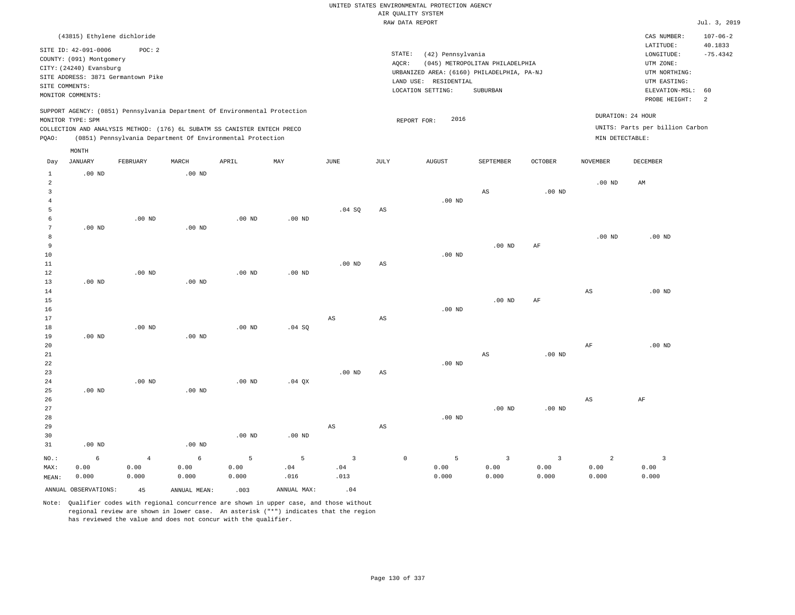|                                              | (43815) Ethylene dichloride                                                                                                                              |                                 |                    |                                                                                                                                                                                                                      |                   |                               |                        |                                                                                                                         |                                             |                                          |                                      | CAS NUMBER:                                                                             | $107 - 06 - 2$              |
|----------------------------------------------|----------------------------------------------------------------------------------------------------------------------------------------------------------|---------------------------------|--------------------|----------------------------------------------------------------------------------------------------------------------------------------------------------------------------------------------------------------------|-------------------|-------------------------------|------------------------|-------------------------------------------------------------------------------------------------------------------------|---------------------------------------------|------------------------------------------|--------------------------------------|-----------------------------------------------------------------------------------------|-----------------------------|
|                                              | SITE ID: 42-091-0006<br>COUNTY: (091) Montgomery<br>CITY: (24240) Evansburg<br>SITE ADDRESS: 3871 Germantown Pike<br>SITE COMMENTS:<br>MONITOR COMMENTS: | POC: 2                          |                    |                                                                                                                                                                                                                      |                   |                               | AQCR:                  | STATE:<br>(42) Pennsylvania<br>URBANIZED AREA: (6160) PHILADELPHIA, PA-NJ<br>LAND USE: RESIDENTIAL<br>LOCATION SETTING: | (045) METROPOLITAN PHILADELPHIA<br>SUBURBAN |                                          |                                      | LATITUDE:<br>LONGITUDE:<br>UTM ZONE:<br>UTM NORTHING:<br>UTM EASTING:<br>ELEVATION-MSL: | 40.1833<br>$-75.4342$<br>60 |
| PQAO:                                        | MONITOR TYPE: SPM                                                                                                                                        |                                 |                    | SUPPORT AGENCY: (0851) Pennsylvania Department Of Environmental Protection<br>COLLECTION AND ANALYSIS METHOD: (176) 6L SUBATM SS CANISTER ENTECH PRECO<br>(0851) Pennsylvania Department Of Environmental Protection |                   |                               |                        | 2016<br>REPORT FOR:                                                                                                     |                                             |                                          | DURATION: 24 HOUR<br>MIN DETECTABLE: | PROBE HEIGHT:<br>UNITS: Parts per billion Carbon                                        | $\overline{2}$              |
|                                              | MONTH                                                                                                                                                    |                                 |                    |                                                                                                                                                                                                                      |                   |                               |                        |                                                                                                                         |                                             |                                          |                                      |                                                                                         |                             |
| Day                                          | JANUARY                                                                                                                                                  | FEBRUARY                        | MARCH              | APRIL                                                                                                                                                                                                                | MAY               | JUNE                          | JULY                   | <b>AUGUST</b>                                                                                                           | SEPTEMBER                                   | OCTOBER                                  | NOVEMBER                             | DECEMBER                                                                                |                             |
| $\mathbf{1}$<br>$\overline{\mathbf{c}}$<br>3 | $.00$ ND                                                                                                                                                 |                                 | $.00$ ND           |                                                                                                                                                                                                                      |                   |                               |                        |                                                                                                                         | $\mathbb{A}\mathbb{S}$                      | $.00$ ND                                 | $.00$ ND                             | AM                                                                                      |                             |
| $\overline{4}$<br>5<br>6                     |                                                                                                                                                          | .00 <sub>ND</sub>               |                    | $.00$ ND                                                                                                                                                                                                             | .00 <sub>ND</sub> | .04 SQ                        | AS                     | $.00$ ND                                                                                                                |                                             |                                          |                                      |                                                                                         |                             |
| $\overline{7}$<br>8<br>9                     | $.00$ ND                                                                                                                                                 |                                 | $.00$ ND           |                                                                                                                                                                                                                      |                   |                               |                        |                                                                                                                         | $.00$ ND                                    | AF                                       | .00 <sub>ND</sub>                    | $.00$ ND                                                                                |                             |
| 10<br>11<br>12                               |                                                                                                                                                          | $.00$ ND                        |                    | .00 <sub>ND</sub>                                                                                                                                                                                                    | $.00$ ND          | .00 <sub>ND</sub>             | AS                     | $.00$ ND                                                                                                                |                                             |                                          |                                      |                                                                                         |                             |
| 13<br>14<br>15<br>16                         | .00 <sub>ND</sub>                                                                                                                                        |                                 | $.00$ ND           |                                                                                                                                                                                                                      |                   |                               |                        | .00 <sub>ND</sub>                                                                                                       | $.00$ ND                                    | AF                                       | $_{\rm AS}$                          | $.00$ ND                                                                                |                             |
| 17<br>18<br>19                               | $.00$ ND                                                                                                                                                 | $.00$ ND                        | .00 <sub>ND</sub>  | $.00$ ND                                                                                                                                                                                                             | .04 SQ            | $\mathbb{A}\mathbb{S}$        | $\mathbb{A}\mathbb{S}$ |                                                                                                                         |                                             |                                          |                                      |                                                                                         |                             |
| 20<br>21<br>22                               |                                                                                                                                                          |                                 |                    |                                                                                                                                                                                                                      |                   |                               |                        | $.00$ ND                                                                                                                | $\mathbb{A}\mathbb{S}$                      | .00 <sub>ND</sub>                        | AF                                   | $.00$ ND                                                                                |                             |
| 23<br>24<br>25                               | .00 <sub>ND</sub>                                                                                                                                        | .00 <sub>ND</sub>               | $.00$ ND           | $.00$ ND                                                                                                                                                                                                             | $.04$ QX          | $.00$ ND                      | AS                     |                                                                                                                         |                                             |                                          |                                      |                                                                                         |                             |
| 26<br>27<br>28                               |                                                                                                                                                          |                                 |                    |                                                                                                                                                                                                                      |                   |                               |                        | .00 <sub>ND</sub>                                                                                                       | $.00$ ND                                    | $.00$ ND                                 | $_{\rm AS}$                          | $\rm{AF}$                                                                               |                             |
| 29<br>30<br>31                               | $.00$ ND                                                                                                                                                 |                                 | $.00$ ND           | $.00$ ND                                                                                                                                                                                                             | $.00$ ND          | $\mathbb{A}\mathbb{S}$        | $\mathbb{A}\mathbb{S}$ |                                                                                                                         |                                             |                                          |                                      |                                                                                         |                             |
| NO.:<br>MAX:<br>MEAN:                        | 6<br>0.00<br>0.000                                                                                                                                       | $\overline{4}$<br>0.00<br>0.000 | 6<br>0.00<br>0.000 | 5<br>0.00<br>0.000                                                                                                                                                                                                   | 5<br>.04<br>.016  | $\overline{3}$<br>.04<br>.013 |                        | $\mathbb O$<br>5<br>0.00<br>0.000                                                                                       | $\overline{3}$<br>0.00<br>0.000             | $\overline{\mathbf{3}}$<br>0.00<br>0.000 | 2<br>0.00<br>0.000                   | $\overline{3}$<br>0.00<br>0.000                                                         |                             |
|                                              | ANNUAL OBSERVATIONS:                                                                                                                                     | 45                              | ANNUAL MEAN:       | .003                                                                                                                                                                                                                 | ANNUAL MAX:       | .04                           |                        |                                                                                                                         |                                             |                                          |                                      |                                                                                         |                             |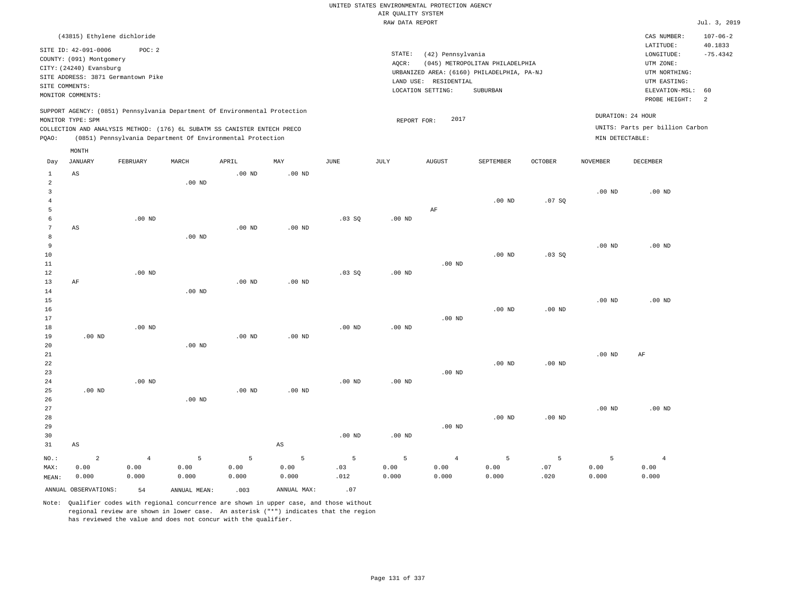|                                       |                                                                                                  |                                                                             |          |                                                                                                                                        |                        |             | UNITED STATES ENVIRONMENTAL PROTECTION AGENCY<br>AIR OUALITY SYSTEM |                                                                 |                                                                                                  |                   |                   |                                                                                                                         |                                                    |
|---------------------------------------|--------------------------------------------------------------------------------------------------|-----------------------------------------------------------------------------|----------|----------------------------------------------------------------------------------------------------------------------------------------|------------------------|-------------|---------------------------------------------------------------------|-----------------------------------------------------------------|--------------------------------------------------------------------------------------------------|-------------------|-------------------|-------------------------------------------------------------------------------------------------------------------------|----------------------------------------------------|
|                                       |                                                                                                  |                                                                             |          |                                                                                                                                        |                        |             | RAW DATA REPORT                                                     |                                                                 |                                                                                                  |                   |                   |                                                                                                                         | Jul. 3, 2019                                       |
| SITE COMMENTS:                        | SITE ID: 42-091-0006<br>COUNTY: (091) Montgomery<br>CITY: (24240) Evansburg<br>MONITOR COMMENTS: | (43815) Ethylene dichloride<br>POC: 2<br>SITE ADDRESS: 3871 Germantown Pike |          |                                                                                                                                        |                        |             | STATE:<br>AQCR:                                                     | (42) Pennsylvania<br>LAND USE: RESIDENTIAL<br>LOCATION SETTING: | (045) METROPOLITAN PHILADELPHIA<br>URBANIZED AREA: (6160) PHILADELPHIA, PA-NJ<br><b>SUBURBAN</b> |                   |                   | CAS NUMBER:<br>LATITUDE:<br>LONGITUDE:<br>UTM ZONE:<br>UTM NORTHING:<br>UTM EASTING:<br>ELEVATION-MSL:<br>PROBE HEIGHT: | $107 - 06 - 2$<br>40.1833<br>$-75.4342$<br>60<br>2 |
|                                       |                                                                                                  |                                                                             |          | SUPPORT AGENCY: (0851) Pennsylvania Department Of Environmental Protection                                                             |                        |             |                                                                     |                                                                 |                                                                                                  |                   |                   | DURATION: 24 HOUR                                                                                                       |                                                    |
|                                       | MONITOR TYPE: SPM                                                                                |                                                                             |          |                                                                                                                                        |                        |             | REPORT FOR:                                                         | 2017                                                            |                                                                                                  |                   |                   | UNITS: Parts per billion Carbon                                                                                         |                                                    |
| PQAO:                                 |                                                                                                  |                                                                             |          | COLLECTION AND ANALYSIS METHOD: (176) 6L SUBATM SS CANISTER ENTECH PRECO<br>(0851) Pennsylvania Department Of Environmental Protection |                        |             |                                                                     |                                                                 |                                                                                                  |                   | MIN DETECTABLE:   |                                                                                                                         |                                                    |
|                                       |                                                                                                  |                                                                             |          |                                                                                                                                        |                        |             |                                                                     |                                                                 |                                                                                                  |                   |                   |                                                                                                                         |                                                    |
| Day                                   | MONTH<br><b>JANUARY</b>                                                                          | FEBRUARY                                                                    | MARCH    | APRIL                                                                                                                                  | MAY                    | <b>JUNE</b> | JULY                                                                | <b>AUGUST</b>                                                   | SEPTEMBER                                                                                        | <b>OCTOBER</b>    | <b>NOVEMBER</b>   | <b>DECEMBER</b>                                                                                                         |                                                    |
| $\mathbf{1}$                          | AS                                                                                               |                                                                             |          | .00 <sub>ND</sub>                                                                                                                      | $.00$ ND               |             |                                                                     |                                                                 |                                                                                                  |                   |                   |                                                                                                                         |                                                    |
| 2<br>$\overline{3}$<br>$\overline{4}$ |                                                                                                  |                                                                             | $.00$ ND |                                                                                                                                        |                        |             |                                                                     |                                                                 | $.00$ ND                                                                                         | .07SQ             | .00 <sub>ND</sub> | .00 <sub>ND</sub>                                                                                                       |                                                    |
| 5                                     |                                                                                                  |                                                                             |          |                                                                                                                                        |                        |             |                                                                     | AF                                                              |                                                                                                  |                   |                   |                                                                                                                         |                                                    |
| $\epsilon$                            |                                                                                                  | $.00$ ND                                                                    |          |                                                                                                                                        |                        | .03SQ       | .00 <sub>ND</sub>                                                   |                                                                 |                                                                                                  |                   |                   |                                                                                                                         |                                                    |
| $7\phantom{.0}$                       | $_{\rm AS}$                                                                                      |                                                                             |          | .00 <sub>ND</sub>                                                                                                                      | .00 <sub>ND</sub>      |             |                                                                     |                                                                 |                                                                                                  |                   |                   |                                                                                                                         |                                                    |
| 8<br>9                                |                                                                                                  |                                                                             | $.00$ ND |                                                                                                                                        |                        |             |                                                                     |                                                                 |                                                                                                  |                   | .00 <sub>ND</sub> | $.00$ ND                                                                                                                |                                                    |
| $10$                                  |                                                                                                  |                                                                             |          |                                                                                                                                        |                        |             |                                                                     |                                                                 | $.00$ ND                                                                                         | .03SQ             |                   |                                                                                                                         |                                                    |
| $1\,1$                                |                                                                                                  |                                                                             |          |                                                                                                                                        |                        |             |                                                                     | $.00$ ND                                                        |                                                                                                  |                   |                   |                                                                                                                         |                                                    |
| 12                                    |                                                                                                  | $.00$ ND                                                                    |          |                                                                                                                                        |                        | .03SQ       | $.00$ ND                                                            |                                                                 |                                                                                                  |                   |                   |                                                                                                                         |                                                    |
| 13                                    | AF                                                                                               |                                                                             |          | $.00$ ND                                                                                                                               | $.00$ ND               |             |                                                                     |                                                                 |                                                                                                  |                   |                   |                                                                                                                         |                                                    |
| 14<br>15                              |                                                                                                  |                                                                             | $.00$ ND |                                                                                                                                        |                        |             |                                                                     |                                                                 |                                                                                                  |                   | $.00$ ND          | $.00$ ND                                                                                                                |                                                    |
| 16                                    |                                                                                                  |                                                                             |          |                                                                                                                                        |                        |             |                                                                     |                                                                 | $.00$ ND                                                                                         | $.00$ ND          |                   |                                                                                                                         |                                                    |
| 17                                    |                                                                                                  |                                                                             |          |                                                                                                                                        |                        |             |                                                                     | $.00$ ND                                                        |                                                                                                  |                   |                   |                                                                                                                         |                                                    |
| 18                                    |                                                                                                  | $.00$ ND                                                                    |          |                                                                                                                                        |                        | $.00$ ND    | .00 <sub>ND</sub>                                                   |                                                                 |                                                                                                  |                   |                   |                                                                                                                         |                                                    |
| 19                                    | $.00$ ND                                                                                         |                                                                             |          | $.00$ ND                                                                                                                               | $.00$ ND               |             |                                                                     |                                                                 |                                                                                                  |                   |                   |                                                                                                                         |                                                    |
| 20                                    |                                                                                                  |                                                                             | $.00$ ND |                                                                                                                                        |                        |             |                                                                     |                                                                 |                                                                                                  |                   |                   |                                                                                                                         |                                                    |
| 21<br>22                              |                                                                                                  |                                                                             |          |                                                                                                                                        |                        |             |                                                                     |                                                                 | .00 <sub>ND</sub>                                                                                | $.00$ ND          | .00 <sub>ND</sub> | AF                                                                                                                      |                                                    |
| 23                                    |                                                                                                  |                                                                             |          |                                                                                                                                        |                        |             |                                                                     | $.00$ ND                                                        |                                                                                                  |                   |                   |                                                                                                                         |                                                    |
| 24                                    |                                                                                                  | $.00$ ND                                                                    |          |                                                                                                                                        |                        | $.00$ ND    | .00 <sub>ND</sub>                                                   |                                                                 |                                                                                                  |                   |                   |                                                                                                                         |                                                    |
| 25                                    | $.00$ ND                                                                                         |                                                                             |          | $.00$ ND                                                                                                                               | $.00$ ND               |             |                                                                     |                                                                 |                                                                                                  |                   |                   |                                                                                                                         |                                                    |
| 26                                    |                                                                                                  |                                                                             | $.00$ ND |                                                                                                                                        |                        |             |                                                                     |                                                                 |                                                                                                  |                   |                   |                                                                                                                         |                                                    |
| 27<br>28                              |                                                                                                  |                                                                             |          |                                                                                                                                        |                        |             |                                                                     |                                                                 | $.00$ ND                                                                                         | .00 <sub>ND</sub> | .00 <sub>ND</sub> | $.00$ ND                                                                                                                |                                                    |
| 29                                    |                                                                                                  |                                                                             |          |                                                                                                                                        |                        |             |                                                                     | $.00$ ND                                                        |                                                                                                  |                   |                   |                                                                                                                         |                                                    |
| 30                                    |                                                                                                  |                                                                             |          |                                                                                                                                        |                        | $.00$ ND    | $.00$ ND                                                            |                                                                 |                                                                                                  |                   |                   |                                                                                                                         |                                                    |
| 31                                    | AS                                                                                               |                                                                             |          |                                                                                                                                        | $\mathbb{A}\mathbb{S}$ |             |                                                                     |                                                                 |                                                                                                  |                   |                   |                                                                                                                         |                                                    |
| $NO.$ :                               | $\overline{a}$                                                                                   | $\overline{4}$                                                              | 5        | 5                                                                                                                                      | 5                      | 5           | 5                                                                   | $\overline{4}$                                                  | 5                                                                                                | 5                 | 5                 | $\overline{4}$                                                                                                          |                                                    |
| MAX:                                  | 0.00                                                                                             | 0.00                                                                        | 0.00     | 0.00                                                                                                                                   | 0.00                   | .03         | 0.00                                                                | 0.00                                                            | 0.00                                                                                             | .07               | 0.00              | 0.00                                                                                                                    |                                                    |
| MEAN:                                 | 0.000                                                                                            | 0.000                                                                       | 0.000    | 0.000                                                                                                                                  | 0.000                  | .012        | 0.000                                                               | 0.000                                                           | 0.000                                                                                            | .020              | 0.000             | 0.000                                                                                                                   |                                                    |

ANNUAL OBSERVATIONS:  $54$  ANNUAL MEAN: .003 ANNUAL MAX: .07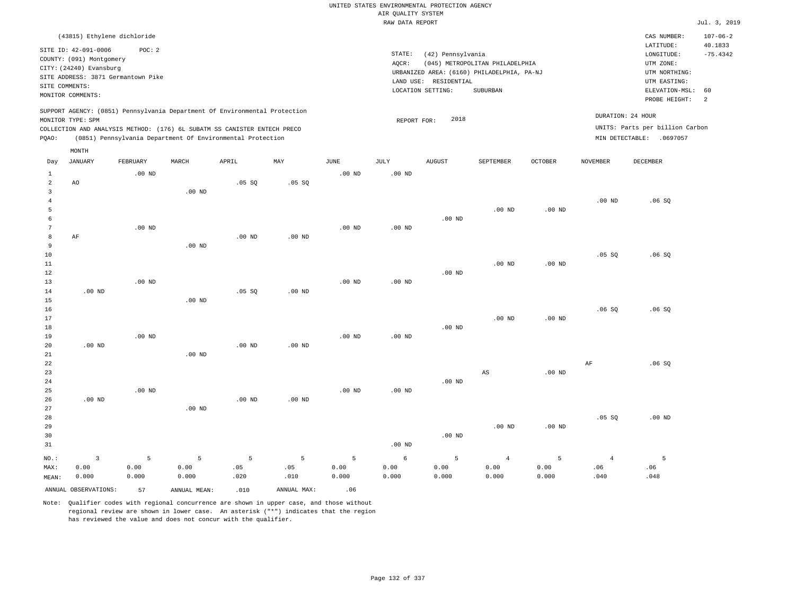|                     |                                                                                                                                                                             |                   |                   |                                                            |                   |                   |                    | UNITED STATES ENVIRONMENTAL PROTECTION AGENCY |                                            |          |                 |                                                      |                           |
|---------------------|-----------------------------------------------------------------------------------------------------------------------------------------------------------------------------|-------------------|-------------------|------------------------------------------------------------|-------------------|-------------------|--------------------|-----------------------------------------------|--------------------------------------------|----------|-----------------|------------------------------------------------------|---------------------------|
|                     |                                                                                                                                                                             |                   |                   |                                                            |                   |                   | AIR QUALITY SYSTEM |                                               |                                            |          |                 |                                                      |                           |
|                     |                                                                                                                                                                             |                   |                   |                                                            |                   |                   | RAW DATA REPORT    |                                               |                                            |          |                 |                                                      | Jul. 3, 2019              |
|                     | (43815) Ethylene dichloride                                                                                                                                                 |                   |                   |                                                            |                   |                   |                    |                                               |                                            |          |                 | CAS NUMBER:<br>LATITUDE:                             | $107 - 06 - 2$<br>40.1833 |
|                     | SITE ID: 42-091-0006<br>COUNTY: (091) Montgomery                                                                                                                            | POC: 2            |                   |                                                            |                   |                   | STATE:             | (42) Pennsylvania                             |                                            |          |                 | $\texttt{LONGITUDE}$ :                               | $-75.4342$                |
|                     | CITY: (24240) Evansburg                                                                                                                                                     |                   |                   |                                                            |                   |                   | AOCR:              |                                               | (045) METROPOLITAN PHILADELPHIA            |          |                 | UTM ZONE:                                            |                           |
|                     | SITE ADDRESS: 3871 Germantown Pike                                                                                                                                          |                   |                   |                                                            |                   |                   |                    |                                               | URBANIZED AREA: (6160) PHILADELPHIA, PA-NJ |          |                 | UTM NORTHING:                                        |                           |
|                     | SITE COMMENTS:                                                                                                                                                              |                   |                   |                                                            |                   |                   |                    | LAND USE: RESIDENTIAL                         |                                            |          |                 | UTM EASTING:                                         |                           |
|                     | MONITOR COMMENTS:                                                                                                                                                           |                   |                   |                                                            |                   |                   |                    | LOCATION SETTING:                             | SUBURBAN                                   |          |                 | ELEVATION-MSL:<br>PROBE HEIGHT:                      | 60<br>$\overline{a}$      |
|                     | SUPPORT AGENCY: (0851) Pennsylvania Department Of Environmental Protection<br>MONITOR TYPE: SPM<br>COLLECTION AND ANALYSIS METHOD: (176) 6L SUBATM SS CANISTER ENTECH PRECO |                   |                   |                                                            |                   |                   | REPORT FOR:        | 2018                                          |                                            |          |                 | DURATION: 24 HOUR<br>UNITS: Parts per billion Carbon |                           |
| PQAO:               |                                                                                                                                                                             |                   |                   | (0851) Pennsylvania Department Of Environmental Protection |                   |                   |                    |                                               |                                            |          |                 | MIN DETECTABLE: .0697057                             |                           |
|                     | MONTH                                                                                                                                                                       |                   |                   |                                                            |                   |                   |                    |                                               |                                            |          |                 |                                                      |                           |
| Day                 | <b>JANUARY</b>                                                                                                                                                              | FEBRUARY          | MARCH             | APRIL                                                      | MAY               | <b>JUNE</b>       | JULY               | <b>AUGUST</b>                                 | SEPTEMBER                                  | OCTOBER  | <b>NOVEMBER</b> | <b>DECEMBER</b>                                      |                           |
| $\mathbf{1}$        |                                                                                                                                                                             | $.00$ ND          |                   |                                                            |                   | .00 <sub>ND</sub> | .00 <sub>ND</sub>  |                                               |                                            |          |                 |                                                      |                           |
| 2<br>$\overline{3}$ | AO                                                                                                                                                                          |                   |                   | .05 SQ                                                     | .05 SQ            |                   |                    |                                               |                                            |          |                 |                                                      |                           |
| $\overline{4}$      |                                                                                                                                                                             |                   | $.00$ ND          |                                                            |                   |                   |                    |                                               |                                            |          | $.00$ ND        | .06SQ                                                |                           |
| 5                   |                                                                                                                                                                             |                   |                   |                                                            |                   |                   |                    |                                               | $.00$ ND                                   | $.00$ ND |                 |                                                      |                           |
| 6                   |                                                                                                                                                                             |                   |                   |                                                            |                   |                   |                    | $.00$ ND                                      |                                            |          |                 |                                                      |                           |
| $\overline{7}$      |                                                                                                                                                                             | $.00$ ND          |                   |                                                            |                   | $.00$ ND          | $.00$ ND           |                                               |                                            |          |                 |                                                      |                           |
| 8                   | AF                                                                                                                                                                          |                   |                   | $.00$ ND                                                   | .00 <sub>ND</sub> |                   |                    |                                               |                                            |          |                 |                                                      |                           |
| 9                   |                                                                                                                                                                             |                   | $.00$ ND          |                                                            |                   |                   |                    |                                               |                                            |          |                 |                                                      |                           |
| 10                  |                                                                                                                                                                             |                   |                   |                                                            |                   |                   |                    |                                               |                                            |          | $.05$ SO        | .06S                                                 |                           |
| $1\,1$              |                                                                                                                                                                             |                   |                   |                                                            |                   |                   |                    |                                               | $.00$ ND                                   | $.00$ ND |                 |                                                      |                           |
| 12                  |                                                                                                                                                                             |                   |                   |                                                            |                   |                   |                    | $.00$ ND                                      |                                            |          |                 |                                                      |                           |
| 13                  |                                                                                                                                                                             | $.00$ ND          |                   |                                                            |                   | .00 <sub>ND</sub> | .00 <sub>ND</sub>  |                                               |                                            |          |                 |                                                      |                           |
| 14                  | $.00$ ND                                                                                                                                                                    |                   |                   | $.05$ SO                                                   | $.00$ ND          |                   |                    |                                               |                                            |          |                 |                                                      |                           |
| 15                  |                                                                                                                                                                             |                   | $.00$ ND          |                                                            |                   |                   |                    |                                               |                                            |          |                 |                                                      |                           |
| 16                  |                                                                                                                                                                             |                   |                   |                                                            |                   |                   |                    |                                               |                                            |          | .06SQ           | .06S                                                 |                           |
| 17                  |                                                                                                                                                                             |                   |                   |                                                            |                   |                   |                    |                                               | .00 <sub>ND</sub>                          | $.00$ ND |                 |                                                      |                           |
| 18<br>19            |                                                                                                                                                                             | $.00$ ND          |                   |                                                            |                   | $.00$ ND          | $.00$ ND           | $.00$ ND                                      |                                            |          |                 |                                                      |                           |
| 20                  | $.00$ ND                                                                                                                                                                    |                   |                   | $.00$ ND                                                   | $.00$ ND          |                   |                    |                                               |                                            |          |                 |                                                      |                           |
| 21                  |                                                                                                                                                                             |                   | $.00$ ND          |                                                            |                   |                   |                    |                                               |                                            |          |                 |                                                      |                           |
| 22                  |                                                                                                                                                                             |                   |                   |                                                            |                   |                   |                    |                                               |                                            |          | AF              | .06S                                                 |                           |
| 23                  |                                                                                                                                                                             |                   |                   |                                                            |                   |                   |                    |                                               | $\mathbb{A}\mathbb{S}$                     | $.00$ ND |                 |                                                      |                           |
| 24                  |                                                                                                                                                                             |                   |                   |                                                            |                   |                   |                    | $.00$ ND                                      |                                            |          |                 |                                                      |                           |
| 25                  |                                                                                                                                                                             | .00 <sub>ND</sub> |                   |                                                            |                   | $.00$ ND          | $.00$ ND           |                                               |                                            |          |                 |                                                      |                           |
| 26                  | .00 <sub>ND</sub>                                                                                                                                                           |                   |                   | .00 <sub>ND</sub>                                          | $.00$ ND          |                   |                    |                                               |                                            |          |                 |                                                      |                           |
| 27                  |                                                                                                                                                                             |                   | .00 <sub>ND</sub> |                                                            |                   |                   |                    |                                               |                                            |          |                 |                                                      |                           |
| 28                  |                                                                                                                                                                             |                   |                   |                                                            |                   |                   |                    |                                               |                                            |          | .05 SQ          | $.00$ ND                                             |                           |
| 29                  |                                                                                                                                                                             |                   |                   |                                                            |                   |                   |                    |                                               | .00 <sub>ND</sub>                          | $.00$ ND |                 |                                                      |                           |
| 30                  |                                                                                                                                                                             |                   |                   |                                                            |                   |                   |                    | $.00$ ND                                      |                                            |          |                 |                                                      |                           |
| 31                  |                                                                                                                                                                             |                   |                   |                                                            |                   |                   | $.00$ ND           |                                               |                                            |          |                 |                                                      |                           |
| NO.:                | $\overline{\mathbf{3}}$                                                                                                                                                     | 5                 | $\overline{5}$    | 5                                                          | $\overline{5}$    | 5                 | 6                  | 5                                             | $\overline{4}$                             | 5        | $\overline{4}$  | 5                                                    |                           |
| MAX:                | 0.00                                                                                                                                                                        | 0.00              | 0.00              | .05                                                        | .05               | 0.00              | 0.00               | 0.00                                          | 0.00                                       | 0.00     | .06             | .06                                                  |                           |
| MEAN:               | 0.000                                                                                                                                                                       | 0.000             | 0.000             | .020                                                       | .010              | 0.000             | 0.000              | 0.000                                         | 0.000                                      | 0.000    | .040            | .048                                                 |                           |
|                     | ANNUAL OBSERVATIONS:                                                                                                                                                        | 57                | ANNUAL, MEAN:     | .010                                                       | ANNUAL MAX:       | .06               |                    |                                               |                                            |          |                 |                                                      |                           |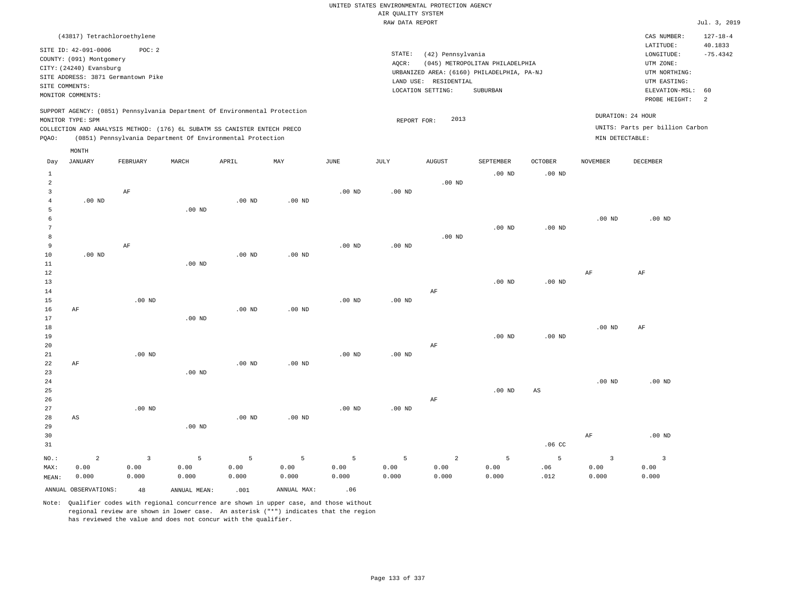# UNITED STATES ENVIRONMENTAL PROTECTION AGENCY AIR QUALITY SYSTEM

|                                                         |                                                                                                                    |                                              |          |                                                                                                                                                                                                                      |                   |          | RAW DATA REPORT |                                                                 |                                                                                           |                   |                   |                                                                                                          | Jul. 3, 2019                                  |
|---------------------------------------------------------|--------------------------------------------------------------------------------------------------------------------|----------------------------------------------|----------|----------------------------------------------------------------------------------------------------------------------------------------------------------------------------------------------------------------------|-------------------|----------|-----------------|-----------------------------------------------------------------|-------------------------------------------------------------------------------------------|-------------------|-------------------|----------------------------------------------------------------------------------------------------------|-----------------------------------------------|
|                                                         | (43817) Tetrachloroethylene                                                                                        |                                              |          |                                                                                                                                                                                                                      |                   |          |                 |                                                                 |                                                                                           |                   |                   | CAS NUMBER:                                                                                              | $127 - 18 - 4$                                |
|                                                         | SITE ID: 42-091-0006<br>COUNTY: (091) Montgomery<br>CITY: (24240) Evansburg<br>SITE COMMENTS:<br>MONITOR COMMENTS: | POC: 2<br>SITE ADDRESS: 3871 Germantown Pike |          |                                                                                                                                                                                                                      |                   |          | STATE:<br>AQCR: | (42) Pennsylvania<br>LAND USE: RESIDENTIAL<br>LOCATION SETTING: | (045) METROPOLITAN PHILADELPHIA<br>URBANIZED AREA: (6160) PHILADELPHIA, PA-NJ<br>SUBURBAN |                   |                   | LATITUDE:<br>LONGITUDE:<br>UTM ZONE:<br>UTM NORTHING:<br>UTM EASTING:<br>ELEVATION-MSL:<br>PROBE HEIGHT: | 40.1833<br>$-75.4342$<br>60<br>$\overline{a}$ |
| PQAO:                                                   | MONITOR TYPE: SPM                                                                                                  |                                              |          | SUPPORT AGENCY: (0851) Pennsylvania Department Of Environmental Protection<br>COLLECTION AND ANALYSIS METHOD: (176) 6L SUBATM SS CANISTER ENTECH PRECO<br>(0851) Pennsylvania Department Of Environmental Protection |                   |          | REPORT FOR:     | 2013                                                            |                                                                                           |                   | MIN DETECTABLE:   | DURATION: 24 HOUR<br>UNITS: Parts per billion Carbon                                                     |                                               |
| Day                                                     | MONTH<br><b>JANUARY</b>                                                                                            | FEBRUARY                                     | MARCH    | APRIL                                                                                                                                                                                                                | MAY               | JUNE     | JULY            | <b>AUGUST</b>                                                   | SEPTEMBER                                                                                 | <b>OCTOBER</b>    | <b>NOVEMBER</b>   | <b>DECEMBER</b>                                                                                          |                                               |
| $\mathbf{1}$                                            |                                                                                                                    |                                              |          |                                                                                                                                                                                                                      |                   |          |                 |                                                                 | $.00$ ND                                                                                  | .00 <sub>ND</sub> |                   |                                                                                                          |                                               |
| $\overline{2}$<br>$\overline{3}$<br>$\overline{4}$<br>5 | $.00$ ND                                                                                                           | AF                                           | $.00$ ND | $.00$ ND                                                                                                                                                                                                             | $.00$ ND          | $.00$ ND | $.00$ ND        | $.00$ ND                                                        |                                                                                           |                   |                   |                                                                                                          |                                               |
| 6<br>7                                                  |                                                                                                                    |                                              |          |                                                                                                                                                                                                                      |                   |          |                 |                                                                 | $.00$ ND                                                                                  | .00 <sub>ND</sub> | .00 <sub>ND</sub> | $.00$ ND                                                                                                 |                                               |
| 8<br>9<br>10<br>$11\,$                                  | $.00$ ND                                                                                                           | AF                                           | $.00$ ND | $.00$ ND                                                                                                                                                                                                             | $.00$ ND          | $.00$ ND | $.00$ ND        | $.00$ ND                                                        |                                                                                           |                   |                   |                                                                                                          |                                               |
| 12<br>13<br>14                                          |                                                                                                                    |                                              |          |                                                                                                                                                                                                                      |                   |          |                 | AF                                                              | $.00$ ND                                                                                  | .00 <sub>ND</sub> | $\rm AF$          | AF                                                                                                       |                                               |
| 15<br>16<br>17<br>18                                    | AF                                                                                                                 | $.00$ ND                                     | $.00$ ND | $.00$ ND                                                                                                                                                                                                             | .00 <sub>ND</sub> | $.00$ ND | $.00$ ND        |                                                                 |                                                                                           |                   | .00 <sub>ND</sub> | AF                                                                                                       |                                               |
| 19<br>20<br>21                                          |                                                                                                                    | $.00$ ND                                     |          |                                                                                                                                                                                                                      |                   | $.00$ ND | $.00$ ND        | AF                                                              | $.00$ ND                                                                                  | .00 <sub>ND</sub> |                   |                                                                                                          |                                               |
| 22<br>23<br>24<br>25                                    | AF                                                                                                                 |                                              | $.00$ ND | $.00$ ND                                                                                                                                                                                                             | .00 <sub>ND</sub> |          |                 |                                                                 | $.00$ ND                                                                                  | $_{\rm AS}$       | $.00$ ND          | $.00$ ND                                                                                                 |                                               |
| 26<br>27<br>28                                          | AS                                                                                                                 | $.00$ ND                                     |          | $.00$ ND                                                                                                                                                                                                             | .00 <sub>ND</sub> | $.00$ ND | $.00$ ND        | AF                                                              |                                                                                           |                   |                   |                                                                                                          |                                               |
| 29                                                      |                                                                                                                    |                                              | $.00$ ND |                                                                                                                                                                                                                      |                   |          |                 |                                                                 |                                                                                           |                   |                   |                                                                                                          |                                               |

30 31 NO.: MAX: MEAN: 2 0.00 0.000 .06 CC AF .00 ND 3 0.00 0.000 5 0.00 0.000 5 0.00 0.000 5 0.00 0.000 5 0.00 0.000 5 0.00 0.000 2 0.00 0.000 5 0.00 0.000 5 .06 .012 3 0.00 0.000 3 0.00 0.000 ANNUAL OBSERVATIONS:  $48$  ANNUAL MEAN: .001 ANNUAL MAX: .06

Note: Qualifier codes with regional concurrence are shown in upper case, and those without

regional review are shown in lower case. An asterisk ("\*") indicates that the region

has reviewed the value and does not concur with the qualifier.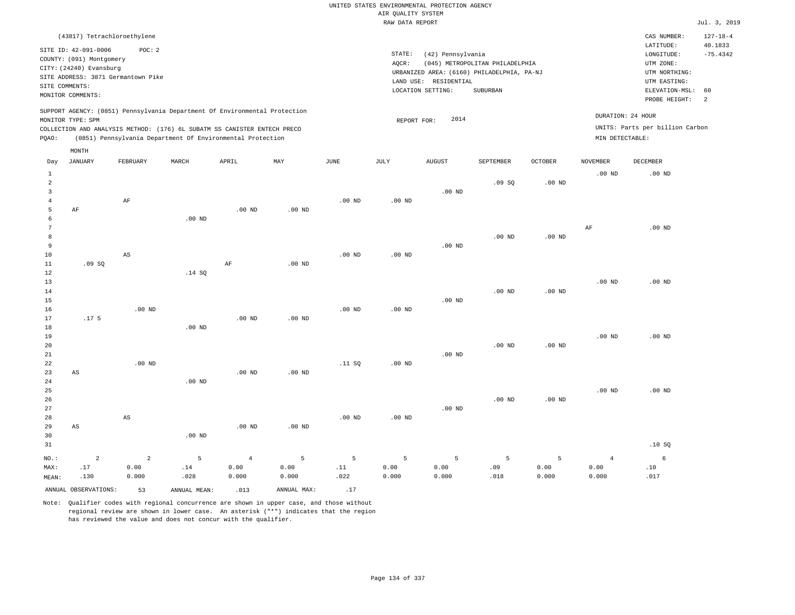| (43817) Tetrachloroethylene                                                                                                                                                                                                                                 |                                                                                                                                                                                 | CAS NUMBER:                                                                                                 | $127 - 18 - 4$        |
|-------------------------------------------------------------------------------------------------------------------------------------------------------------------------------------------------------------------------------------------------------------|---------------------------------------------------------------------------------------------------------------------------------------------------------------------------------|-------------------------------------------------------------------------------------------------------------|-----------------------|
| SITE ID: 42-091-0006<br>POC:2<br>COUNTY: (091) Montgomery<br>CITY: (24240) Evansburg<br>SITE ADDRESS: 3871 Germantown Pike<br>SITE COMMENTS:<br>MONITOR COMMENTS:                                                                                           | STATE:<br>(42) Pennsylvania<br>(045) METROPOLITAN PHILADELPHIA<br>AOCR:<br>URBANIZED AREA: (6160) PHILADELPHIA, PA-NJ<br>LAND USE: RESIDENTIAL<br>LOCATION SETTING:<br>SUBURBAN | LATITUDE:<br>LONGITUDE:<br>UTM ZONE:<br>UTM NORTHING:<br>UTM EASTING:<br>ELEVATION-MSL: 60<br>PROBE HEIGHT: | 40.1833<br>$-75.4342$ |
| SUPPORT AGENCY: (0851) Pennsylvania Department Of Environmental Protection<br>MONITOR TYPE: SPM<br>COLLECTION AND ANALYSIS METHOD: (176) 6L SUBATM SS CANISTER ENTECH PRECO<br>(0851) Pennsylvania Department Of Environmental Protection<br>POAO:<br>MONTH | DURATION: 24 HOUR<br>2014<br>REPORT FOR:<br>MIN DETECTABLE:                                                                                                                     | UNITS: Parts per billion Carbon                                                                             |                       |

| Day                 | JANUARY          | FEBRUARY       | MARCH    | APRIL          | $_{\rm MAY}$ | $_{\rm JUNE}$ | $\mathtt{JULY}$ | AUGUST   | SEPTEMBER | OCTOBER  | NOVEMBER       | $\tt DECEMBER$ |
|---------------------|------------------|----------------|----------|----------------|--------------|---------------|-----------------|----------|-----------|----------|----------------|----------------|
| 1<br>$\overline{a}$ |                  |                |          |                |              |               |                 |          | .09SQ     | $.00$ ND | $.00$ ND       | $.00$ ND       |
| 3                   |                  |                |          |                |              |               |                 | $.00$ ND |           |          |                |                |
| $\overline{4}$      |                  | $\rm AF$       |          |                |              | $.00$ ND      | $.00{\rm ~ND}$  |          |           |          |                |                |
| 5                   | AF               |                |          | $.00$ ND       | $.00$ ND     |               |                 |          |           |          |                |                |
| 6                   |                  |                | $.00$ ND |                |              |               |                 |          |           |          |                |                |
| 7                   |                  |                |          |                |              |               |                 |          |           |          | AF             | $.00$ ND       |
| 8<br>9              |                  |                |          |                |              |               |                 | $.00$ ND | $.00$ ND  | $.00$ ND |                |                |
| 10                  |                  | $_{\rm AS}$    |          |                |              | $.00$ ND      | $.00$ ND        |          |           |          |                |                |
| 11                  | .09SQ            |                |          | $\rm AF$       | $.00$ ND     |               |                 |          |           |          |                |                |
| 12                  |                  |                | .14 SQ   |                |              |               |                 |          |           |          |                |                |
| 13                  |                  |                |          |                |              |               |                 |          |           |          | $.00$ ND       | $.00$ ND       |
| 14                  |                  |                |          |                |              |               |                 |          | $.00$ ND  | $.00$ ND |                |                |
| 15                  |                  |                |          |                |              |               |                 | $.00$ ND |           |          |                |                |
| 16                  |                  | $.00$ ND       |          |                |              | .00 $ND$      | .00 $ND$        |          |           |          |                |                |
| 17                  | .17 <sub>5</sub> |                |          | $.00$ ND       | $.00$ ND     |               |                 |          |           |          |                |                |
| 18                  |                  |                | .00 $ND$ |                |              |               |                 |          |           |          |                |                |
| 19                  |                  |                |          |                |              |               |                 |          |           |          | $.00$ ND       | $.00$ ND       |
| 20                  |                  |                |          |                |              |               |                 |          | $.00$ ND  | $.00$ ND |                |                |
| 21                  |                  |                |          |                |              |               |                 | $.00$ ND |           |          |                |                |
| 22                  |                  | $.00$ ND       |          |                |              | .11 SQ        | $.00$ ND        |          |           |          |                |                |
| 23                  | $_{\rm AS}$      |                |          | $.00$ ND       | $.00$ ND     |               |                 |          |           |          |                |                |
| 24                  |                  |                | $.00$ ND |                |              |               |                 |          |           |          |                |                |
| 25                  |                  |                |          |                |              |               |                 |          |           |          | $.00$ ND       | $.00$ ND       |
| 26                  |                  |                |          |                |              |               |                 |          | $.00$ ND  | $.00$ ND |                |                |
| 27                  |                  |                |          |                |              |               |                 | .00 $ND$ |           |          |                |                |
| 28<br>29            |                  | $_{\rm AS}$    |          |                |              | $.00$ ND      | $.00$ ND        |          |           |          |                |                |
| 30                  | $_{\rm AS}$      |                | .00 $ND$ | $.00$ ND       | .00 $ND$     |               |                 |          |           |          |                |                |
| 31                  |                  |                |          |                |              |               |                 |          |           |          |                | .10SQ          |
|                     |                  |                |          |                |              |               |                 |          |           |          |                |                |
| $NO.$ :             | $\overline{a}$   | $\overline{a}$ | 5        | $\overline{4}$ | 5            | 5             | 5               | 5        | 5         | 5        | $\overline{4}$ | 6              |
| MAX:                | .17              | 0.00           | $.14\,$  | 0.00           | 0.00         | .11           | 0.00            | 0.00     | .09       | 0.00     | 0.00           | .10            |
| MEAN:               | .130             | 0.000          | .028     | 0.000          | 0.000        | .022          | 0.000           | 0.000    | .018      | 0.000    | 0.000          | .017           |
|                     |                  |                |          |                |              | $\sim$ $-$    |                 |          |           |          |                |                |

ANNUAL OBSERVATIONS:  $\begin{array}{ccc} 53 & 3 \\ 53 & 53 \end{array}$  ANNUAL MEAN: .013 ANNUAL MAX: .17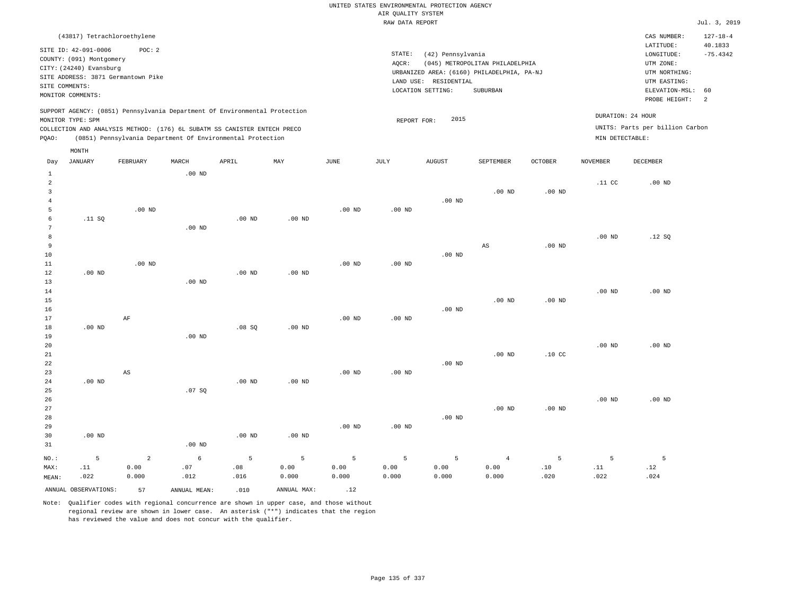|       |                          | (43817) Tetrachloroethylene                                                |                   |                   |          |                   |                   |                                            |                                 |                |                   | CAS NUMBER:                     | $127 - 18 - 4$ |
|-------|--------------------------|----------------------------------------------------------------------------|-------------------|-------------------|----------|-------------------|-------------------|--------------------------------------------|---------------------------------|----------------|-------------------|---------------------------------|----------------|
|       | SITE ID: 42-091-0006     | POC: 2                                                                     |                   |                   |          |                   |                   |                                            |                                 |                |                   | LATITUDE:                       | 40.1833        |
|       | COUNTY: (091) Montgomery |                                                                            |                   |                   |          |                   | STATE:            | (42) Pennsylvania                          |                                 |                |                   | LONGITUDE:                      | $-75.4342$     |
|       | CITY: (24240) Evansburg  |                                                                            |                   |                   |          |                   | AOCR:             |                                            | (045) METROPOLITAN PHILADELPHIA |                |                   | UTM ZONE:                       |                |
|       |                          | SITE ADDRESS: 3871 Germantown Pike                                         |                   |                   |          |                   |                   | URBANIZED AREA: (6160) PHILADELPHIA, PA-NJ |                                 |                |                   | UTM NORTHING:                   |                |
|       |                          |                                                                            |                   |                   |          |                   | LAND USE:         | RESIDENTIAL                                |                                 |                |                   | UTM EASTING:                    |                |
|       | SITE COMMENTS:           |                                                                            |                   |                   |          |                   |                   | LOCATION SETTING:                          | SUBURBAN                        |                |                   | ELEVATION-MSL:                  | 60             |
|       | MONITOR COMMENTS:        |                                                                            |                   |                   |          |                   |                   |                                            |                                 |                |                   | PROBE HEIGHT:                   | 2              |
|       |                          | SUPPORT AGENCY: (0851) Pennsylvania Department Of Environmental Protection |                   |                   |          |                   |                   |                                            |                                 |                |                   |                                 |                |
|       | MONITOR TYPE: SPM        |                                                                            |                   |                   |          |                   |                   | 2015                                       |                                 |                | DURATION: 24 HOUR |                                 |                |
|       |                          | COLLECTION AND ANALYSIS METHOD: (176) 6L SUBATM SS CANISTER ENTECH PRECO   |                   |                   |          |                   | REPORT FOR:       |                                            |                                 |                |                   | UNITS: Parts per billion Carbon |                |
|       |                          |                                                                            |                   |                   |          |                   |                   |                                            |                                 |                |                   |                                 |                |
| POAO: |                          | (0851) Pennsylvania Department Of Environmental Protection                 |                   |                   |          |                   |                   |                                            |                                 |                | MIN DETECTABLE:   |                                 |                |
|       | MONTH                    |                                                                            |                   |                   |          |                   |                   |                                            |                                 |                |                   |                                 |                |
| Day   | JANUARY                  | FEBRUARY                                                                   | MARCH             | APRIL             | MAY      | JUNE              | JULY              | <b>AUGUST</b>                              | SEPTEMBER                       | <b>OCTOBER</b> | <b>NOVEMBER</b>   | <b>DECEMBER</b>                 |                |
|       |                          |                                                                            | $.00$ ND          |                   |          |                   |                   |                                            |                                 |                |                   |                                 |                |
|       |                          |                                                                            |                   |                   |          |                   |                   |                                            |                                 |                | .11 <sub>c</sub>  | $.00$ ND                        |                |
|       |                          |                                                                            |                   |                   |          |                   |                   |                                            | $.00$ ND                        | $.00$ ND       |                   |                                 |                |
|       |                          |                                                                            |                   |                   |          |                   |                   | $.00$ ND                                   |                                 |                |                   |                                 |                |
|       |                          | .00 <sub>ND</sub>                                                          |                   |                   |          | .00 <sub>ND</sub> | .00 <sub>ND</sub> |                                            |                                 |                |                   |                                 |                |
|       |                          |                                                                            |                   |                   |          |                   |                   |                                            |                                 |                |                   |                                 |                |
|       | .11 SQ                   |                                                                            |                   | .00 <sub>ND</sub> | $.00$ ND |                   |                   |                                            |                                 |                |                   |                                 |                |
|       |                          |                                                                            | .00 <sub>ND</sub> |                   |          |                   |                   |                                            |                                 |                |                   |                                 |                |

| 8      |          |          |          |          |          |          |                   |          |                   |          | $.00$ ND | .12S     |
|--------|----------|----------|----------|----------|----------|----------|-------------------|----------|-------------------|----------|----------|----------|
| 9      |          |          |          |          |          |          |                   |          | AS                | $.00$ ND |          |          |
| 10     |          |          |          |          |          |          |                   | $.00$ ND |                   |          |          |          |
| $11\,$ |          | $.00$ ND |          |          |          | $.00$ ND | .00 <sub>ND</sub> |          |                   |          |          |          |
| 12     | $.00$ ND |          |          | $.00$ ND | $.00$ ND |          |                   |          |                   |          |          |          |
| 13     |          |          | $.00$ ND |          |          |          |                   |          |                   |          |          |          |
| 14     |          |          |          |          |          |          |                   |          |                   |          | $.00$ ND | $.00$ ND |
| 15     |          |          |          |          |          |          |                   |          | .00 <sub>ND</sub> | $.00$ ND |          |          |

.00 ND

 0.00 0.000  0.00 0.000  .10 .020  .11 .022  .12 .024

| 17 | AF       |          |          |          | $.00$ ND | $.00$ ND |          |          |                  |          |          |
|----|----------|----------|----------|----------|----------|----------|----------|----------|------------------|----------|----------|
| 18 | $.00$ ND |          | .08SQ    | $.00$ ND |          |          |          |          |                  |          |          |
| 19 |          | $.00$ ND |          |          |          |          |          |          |                  |          |          |
| 20 |          |          |          |          |          |          |          |          |                  | $.00$ ND | $.00$ ND |
| 21 |          |          |          |          |          |          |          | $.00$ ND | .10 <sub>C</sub> |          |          |
| 22 |          |          |          |          |          |          | $.00$ ND |          |                  |          |          |
| 23 | AS       |          |          |          | $.00$ ND | $.00$ ND |          |          |                  |          |          |
| 24 | $.00$ ND |          | $.00$ ND | $.00$ ND |          |          |          |          |                  |          |          |
| 25 |          | .07SQ    |          |          |          |          |          |          |                  |          |          |

| 26   |                   |          |          |             |          |          |          |          |                |          | $.00$ ND | $.00$ ND |
|------|-------------------|----------|----------|-------------|----------|----------|----------|----------|----------------|----------|----------|----------|
| 27   |                   |          |          |             |          |          |          |          | $.00$ ND       | $.00$ ND |          |          |
| 28   |                   |          |          |             |          |          |          | $.00$ ND |                |          |          |          |
| 29   |                   |          |          |             |          | $.00$ ND | $.00$ ND |          |                |          |          |          |
| 30   | .00 <sub>ND</sub> |          |          | $.00$ ND    | $.00$ ND |          |          |          |                |          |          |          |
| 31   |                   |          | $.00$ ND |             |          |          |          |          |                |          |          |          |
| NO.: |                   | $\sim$ 2 | 6        | $5^{\circ}$ | $5 - 5$  | $5 - 5$  | 5.       | $5 - 5$  | $\overline{4}$ |          |          |          |

0.00

MEAN: .022 0.000 .012 .016 0.000 0.000 0.000 ANNUAL OBSERVATIONS: 57 ANNUAL MEAN: .010 ANNUAL MAX: .12

.08

0.00

Note: Qualifier codes with regional concurrence are shown in upper case, and those without regional review are shown in lower case. An asterisk ("\*") indicates that the region has reviewed the value and does not concur with the qualifier.

.07

16

MAX:

.11

0.00

0.00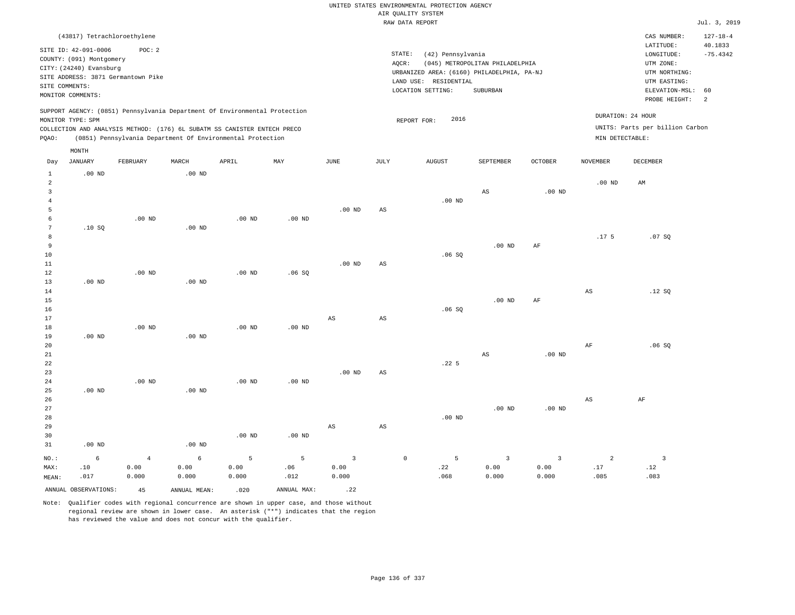|                                |                             |                                    |                   |                                                                            |                   |                   |                        | UNITED STATES ENVIRONMENTAL PROTECTION AGENCY |                                 |                |                        |                                     |                       |
|--------------------------------|-----------------------------|------------------------------------|-------------------|----------------------------------------------------------------------------|-------------------|-------------------|------------------------|-----------------------------------------------|---------------------------------|----------------|------------------------|-------------------------------------|-----------------------|
|                                |                             |                                    |                   |                                                                            |                   |                   |                        | AIR QUALITY SYSTEM                            |                                 |                |                        |                                     |                       |
|                                |                             |                                    |                   |                                                                            |                   |                   |                        | RAW DATA REPORT                               |                                 |                |                        |                                     | Jul. 3, 2019          |
|                                | (43817) Tetrachloroethylene |                                    |                   |                                                                            |                   |                   |                        |                                               |                                 |                |                        | CAS NUMBER:                         | $127 - 18 - 4$        |
|                                | SITE ID: 42-091-0006        | POC: 2                             |                   |                                                                            |                   |                   | STATE:                 | (42) Pennsylvania                             |                                 |                |                        | LATITUDE:<br>$\texttt{LONGITUDE}$ : | 40.1833<br>$-75.4342$ |
|                                | COUNTY: (091) Montgomery    |                                    |                   |                                                                            |                   |                   | AOCR:                  |                                               | (045) METROPOLITAN PHILADELPHIA |                |                        | UTM ZONE:                           |                       |
|                                | CITY: (24240) Evansburg     |                                    |                   |                                                                            |                   |                   |                        | URBANIZED AREA: (6160) PHILADELPHIA, PA-NJ    |                                 |                |                        | UTM NORTHING:                       |                       |
|                                |                             | SITE ADDRESS: 3871 Germantown Pike |                   |                                                                            |                   |                   |                        | LAND USE: RESIDENTIAL                         |                                 |                |                        | UTM EASTING:                        |                       |
|                                | SITE COMMENTS:              |                                    |                   |                                                                            |                   |                   |                        | LOCATION SETTING:                             | SUBURBAN                        |                |                        | ELEVATION-MSL:                      | 60                    |
|                                | MONITOR COMMENTS:           |                                    |                   |                                                                            |                   |                   |                        |                                               |                                 |                |                        | PROBE HEIGHT:                       | $\overline{a}$        |
|                                |                             |                                    |                   | SUPPORT AGENCY: (0851) Pennsylvania Department Of Environmental Protection |                   |                   |                        |                                               |                                 |                |                        | DURATION: 24 HOUR                   |                       |
|                                | MONITOR TYPE: SPM           |                                    |                   |                                                                            |                   |                   |                        | 2016<br>REPORT FOR:                           |                                 |                |                        |                                     |                       |
|                                |                             |                                    |                   | COLLECTION AND ANALYSIS METHOD: (176) 6L SUBATM SS CANISTER ENTECH PRECO   |                   |                   |                        |                                               |                                 |                |                        | UNITS: Parts per billion Carbon     |                       |
| PQAO:                          |                             |                                    |                   | (0851) Pennsylvania Department Of Environmental Protection                 |                   |                   |                        |                                               |                                 |                | MIN DETECTABLE:        |                                     |                       |
|                                | MONTH                       |                                    |                   | APRIL                                                                      |                   |                   |                        |                                               | SEPTEMBER                       | <b>OCTOBER</b> |                        | <b>DECEMBER</b>                     |                       |
| Day                            | <b>JANUARY</b>              | FEBRUARY                           | MARCH             |                                                                            | MAY               | JUNE              | JULY                   | <b>AUGUST</b>                                 |                                 |                | <b>NOVEMBER</b>        |                                     |                       |
| $\mathbf{1}$<br>$\overline{a}$ | .00 <sub>ND</sub>           |                                    | .00 <sub>ND</sub> |                                                                            |                   |                   |                        |                                               |                                 |                | $.00$ ND               | $\mathbb{A}\mathbb{M}$              |                       |
| $\overline{3}$                 |                             |                                    |                   |                                                                            |                   |                   |                        |                                               | AS                              | $.00$ ND       |                        |                                     |                       |
| $\overline{4}$                 |                             |                                    |                   |                                                                            |                   |                   |                        | $.00$ ND                                      |                                 |                |                        |                                     |                       |
| 5                              |                             |                                    |                   |                                                                            |                   | .00 <sub>ND</sub> | AS                     |                                               |                                 |                |                        |                                     |                       |
| 6                              |                             | $.00$ ND                           |                   | $.00$ ND                                                                   | .00 <sub>ND</sub> |                   |                        |                                               |                                 |                |                        |                                     |                       |
| $\overline{7}$                 | .10SQ                       |                                    | $.00$ ND          |                                                                            |                   |                   |                        |                                               |                                 |                |                        |                                     |                       |
| 8                              |                             |                                    |                   |                                                                            |                   |                   |                        |                                               |                                 |                | .17 <sub>5</sub>       | .07S                                |                       |
| 9                              |                             |                                    |                   |                                                                            |                   |                   |                        |                                               | $.00$ ND                        | $\rm{AF}$      |                        |                                     |                       |
| $10$<br>$11\,$                 |                             |                                    |                   |                                                                            |                   | .00 <sub>ND</sub> | $_{\rm AS}$            | .06SQ                                         |                                 |                |                        |                                     |                       |
| 12                             |                             | $.00$ ND                           |                   | $.00$ ND                                                                   | .06SQ             |                   |                        |                                               |                                 |                |                        |                                     |                       |
| 13                             | $.00$ ND                    |                                    | $.00$ ND          |                                                                            |                   |                   |                        |                                               |                                 |                |                        |                                     |                       |
| 14                             |                             |                                    |                   |                                                                            |                   |                   |                        |                                               |                                 |                | $\mathbb{A}\mathbb{S}$ | .12S                                |                       |
| 15                             |                             |                                    |                   |                                                                            |                   |                   |                        |                                               | $.00$ ND                        | AF             |                        |                                     |                       |
| 16                             |                             |                                    |                   |                                                                            |                   |                   |                        | .06SQ                                         |                                 |                |                        |                                     |                       |
| 17                             |                             |                                    |                   |                                                                            |                   | $_{\rm AS}$       | $\mathbb{A}\mathbb{S}$ |                                               |                                 |                |                        |                                     |                       |
| 18                             |                             | .00 <sub>ND</sub>                  |                   | .00 <sub>ND</sub>                                                          | .00 <sub>ND</sub> |                   |                        |                                               |                                 |                |                        |                                     |                       |
| 19<br>20                       | $.00$ ND                    |                                    | $.00$ ND          |                                                                            |                   |                   |                        |                                               |                                 |                | AF                     | .06S                                |                       |
| $2\sqrt{1}$                    |                             |                                    |                   |                                                                            |                   |                   |                        |                                               | $_{\rm AS}$                     | $.00$ ND       |                        |                                     |                       |
| 22                             |                             |                                    |                   |                                                                            |                   |                   |                        | .225                                          |                                 |                |                        |                                     |                       |
| 23                             |                             |                                    |                   |                                                                            |                   | .00 <sub>ND</sub> | $_{\rm AS}$            |                                               |                                 |                |                        |                                     |                       |
| 24                             |                             | $.00$ ND                           |                   | $.00$ ND                                                                   | $.00$ ND          |                   |                        |                                               |                                 |                |                        |                                     |                       |
| 25                             | $.00$ ND                    |                                    | $.00$ ND          |                                                                            |                   |                   |                        |                                               |                                 |                |                        |                                     |                       |
| 26                             |                             |                                    |                   |                                                                            |                   |                   |                        |                                               |                                 |                | $\mathbb{A}\mathbb{S}$ | $\rm AF$                            |                       |
| 27                             |                             |                                    |                   |                                                                            |                   |                   |                        |                                               | $.00$ ND                        | $.00$ ND       |                        |                                     |                       |
| 28                             |                             |                                    |                   |                                                                            |                   |                   |                        | $.00$ ND                                      |                                 |                |                        |                                     |                       |
| 29<br>30                       |                             |                                    |                   | .00 <sub>ND</sub>                                                          | .00 <sub>ND</sub> | $_{\rm AS}$       | $\mathbb{A}\mathbb{S}$ |                                               |                                 |                |                        |                                     |                       |
| 31                             | $.00$ ND                    |                                    | .00 <sub>ND</sub> |                                                                            |                   |                   |                        |                                               |                                 |                |                        |                                     |                       |
|                                |                             |                                    |                   |                                                                            |                   |                   |                        |                                               |                                 |                |                        |                                     |                       |
| NO.:                           | 6                           | $\overline{4}$                     | $\epsilon$        | 5                                                                          | 5                 | $\overline{3}$    | $\mathbb O$            | 5                                             | $\overline{3}$                  | $\overline{3}$ | $\overline{a}$         | $\overline{3}$                      |                       |
| MAX:<br>MEAN:                  | .10<br>.017                 | 0.00<br>0.000                      | 0.00<br>0.000     | 0.00<br>0.000                                                              | .06<br>.012       | 0.00<br>0.000     |                        | .22<br>.068                                   | 0.00<br>0.000                   | 0.00<br>0.000  | .17<br>.085            | .12<br>.083                         |                       |
|                                |                             |                                    |                   |                                                                            |                   |                   |                        |                                               |                                 |                |                        |                                     |                       |
|                                | ANNUAL OBSERVATIONS:        | 45                                 | ANNUAL, MEAN:     | .020                                                                       | ANNUAL MAX:       | .22               |                        |                                               |                                 |                |                        |                                     |                       |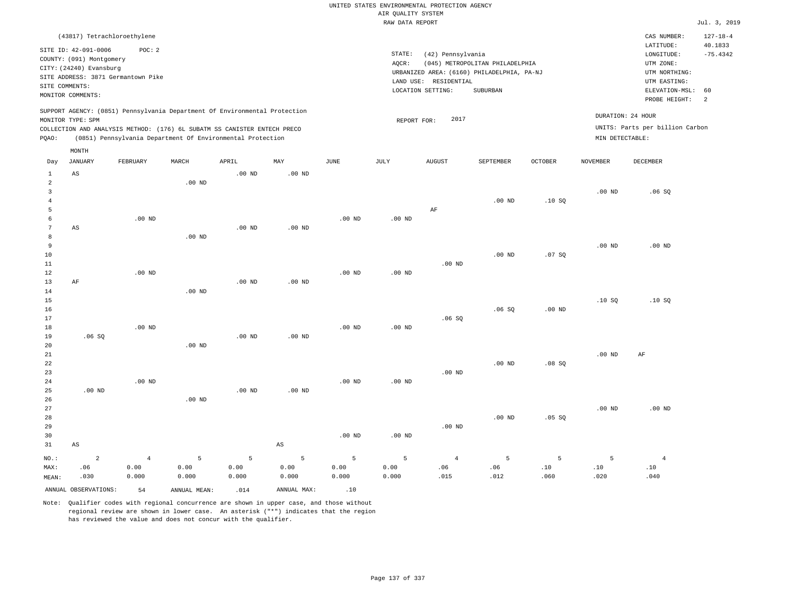|                |                                                     |                   |                                                                            |                   |                        |                   |                    | UNITED STATES ENVIRONMENTAL PROTECTION AGENCY |                                            |                   |                   |                                        |                                         |
|----------------|-----------------------------------------------------|-------------------|----------------------------------------------------------------------------|-------------------|------------------------|-------------------|--------------------|-----------------------------------------------|--------------------------------------------|-------------------|-------------------|----------------------------------------|-----------------------------------------|
|                |                                                     |                   |                                                                            |                   |                        |                   | AIR QUALITY SYSTEM |                                               |                                            |                   |                   |                                        |                                         |
|                |                                                     |                   |                                                                            |                   |                        |                   | RAW DATA REPORT    |                                               |                                            |                   |                   |                                        | Jul. 3, 2019                            |
|                | (43817) Tetrachloroethylene<br>SITE ID: 42-091-0006 | POC: 2            |                                                                            |                   |                        |                   | STATE:             | (42) Pennsylvania                             |                                            |                   |                   | CAS NUMBER:<br>LATITUDE:<br>LONGITUDE: | $127 - 18 - 4$<br>40.1833<br>$-75.4342$ |
|                | COUNTY: (091) Montgomery                            |                   |                                                                            |                   |                        |                   | AQCR:              |                                               | (045) METROPOLITAN PHILADELPHIA            |                   |                   | UTM ZONE:                              |                                         |
|                | CITY: (24240) Evansburg                             |                   |                                                                            |                   |                        |                   |                    |                                               | URBANIZED AREA: (6160) PHILADELPHIA, PA-NJ |                   |                   | UTM NORTHING:                          |                                         |
|                | SITE ADDRESS: 3871 Germantown Pike                  |                   |                                                                            |                   |                        |                   |                    | LAND USE: RESIDENTIAL                         |                                            |                   |                   | UTM EASTING:                           |                                         |
| SITE COMMENTS: |                                                     |                   |                                                                            |                   |                        |                   |                    | LOCATION SETTING:                             | SUBURBAN                                   |                   |                   | ELEVATION-MSL:                         | 60                                      |
|                | MONITOR COMMENTS:                                   |                   |                                                                            |                   |                        |                   |                    |                                               |                                            |                   |                   | PROBE HEIGHT:                          | 2                                       |
|                | MONITOR TYPE: SPM                                   |                   | SUPPORT AGENCY: (0851) Pennsylvania Department Of Environmental Protection |                   |                        |                   | REPORT FOR:        | 2017                                          |                                            |                   |                   | DURATION: 24 HOUR                      |                                         |
|                |                                                     |                   | COLLECTION AND ANALYSIS METHOD: (176) 6L SUBATM SS CANISTER ENTECH PRECO   |                   |                        |                   |                    |                                               |                                            |                   |                   | UNITS: Parts per billion Carbon        |                                         |
| PQAO:          |                                                     |                   | (0851) Pennsylvania Department Of Environmental Protection                 |                   |                        |                   |                    |                                               |                                            |                   | MIN DETECTABLE:   |                                        |                                         |
|                | MONTH                                               |                   |                                                                            |                   |                        |                   |                    |                                               |                                            |                   |                   |                                        |                                         |
| Day            | <b>JANUARY</b>                                      | FEBRUARY          | MARCH                                                                      | APRIL             | MAY                    | $_{\rm JUNE}$     | JULY               | <b>AUGUST</b>                                 | SEPTEMBER                                  | <b>OCTOBER</b>    | <b>NOVEMBER</b>   | <b>DECEMBER</b>                        |                                         |
| $1\,$          | $\mathbb{A}\mathbb{S}$                              |                   |                                                                            | $.00$ ND          | .00 <sub>ND</sub>      |                   |                    |                                               |                                            |                   |                   |                                        |                                         |
| $\overline{a}$ |                                                     |                   | $.00$ ND                                                                   |                   |                        |                   |                    |                                               |                                            |                   |                   |                                        |                                         |
| $\mathbf{3}$   |                                                     |                   |                                                                            |                   |                        |                   |                    |                                               |                                            |                   | .00 <sub>ND</sub> | .06SQ                                  |                                         |
| $\overline{4}$ |                                                     |                   |                                                                            |                   |                        |                   |                    |                                               | $.00$ ND                                   | .10S              |                   |                                        |                                         |
| 5<br>6         |                                                     |                   |                                                                            |                   |                        |                   |                    | AF                                            |                                            |                   |                   |                                        |                                         |
| $\overline{7}$ |                                                     | $.00$ ND          |                                                                            | .00 <sub>ND</sub> | .00 <sub>ND</sub>      | $.00$ ND          | $.00$ ND           |                                               |                                            |                   |                   |                                        |                                         |
| 8              | AS                                                  |                   | $.00$ ND                                                                   |                   |                        |                   |                    |                                               |                                            |                   |                   |                                        |                                         |
| 9              |                                                     |                   |                                                                            |                   |                        |                   |                    |                                               |                                            |                   | $.00$ ND          | $.00$ ND                               |                                         |
| 10             |                                                     |                   |                                                                            |                   |                        |                   |                    |                                               | $.00$ ND                                   | .07S              |                   |                                        |                                         |
| $11\,$         |                                                     |                   |                                                                            |                   |                        |                   |                    | $.00$ ND                                      |                                            |                   |                   |                                        |                                         |
| 12             |                                                     | $.00$ ND          |                                                                            |                   |                        | $.00$ ND          | .00 <sub>ND</sub>  |                                               |                                            |                   |                   |                                        |                                         |
| 13             | AF                                                  |                   |                                                                            | $.00$ ND          | $.00$ ND               |                   |                    |                                               |                                            |                   |                   |                                        |                                         |
| 14             |                                                     |                   | $.00$ ND                                                                   |                   |                        |                   |                    |                                               |                                            |                   |                   |                                        |                                         |
| 15             |                                                     |                   |                                                                            |                   |                        |                   |                    |                                               |                                            |                   | .10S              | .10S                                   |                                         |
| 16             |                                                     |                   |                                                                            |                   |                        |                   |                    |                                               | .06SQ                                      | .00 <sub>ND</sub> |                   |                                        |                                         |
| 17             |                                                     |                   |                                                                            |                   |                        |                   |                    | .06S                                          |                                            |                   |                   |                                        |                                         |
| 18             |                                                     | $.00$ ND          |                                                                            |                   |                        | $.00$ ND          | .00 <sub>ND</sub>  |                                               |                                            |                   |                   |                                        |                                         |
| 19             | .06S                                                |                   |                                                                            | $.00$ ND          | $.00$ ND               |                   |                    |                                               |                                            |                   |                   |                                        |                                         |
| 20             |                                                     |                   | $.00$ ND                                                                   |                   |                        |                   |                    |                                               |                                            |                   |                   |                                        |                                         |
| 21             |                                                     |                   |                                                                            |                   |                        |                   |                    |                                               | .00 <sub>ND</sub>                          |                   | .00 <sub>ND</sub> | AF                                     |                                         |
| 22<br>23       |                                                     |                   |                                                                            |                   |                        |                   |                    | $.00$ ND                                      |                                            | .08SQ             |                   |                                        |                                         |
| 24             |                                                     | .00 <sub>ND</sub> |                                                                            |                   |                        | .00 <sub>ND</sub> | $.00$ ND           |                                               |                                            |                   |                   |                                        |                                         |
| 25             | $.00$ ND                                            |                   |                                                                            | $.00$ ND          | $.00$ ND               |                   |                    |                                               |                                            |                   |                   |                                        |                                         |
| 26             |                                                     |                   | $.00$ ND                                                                   |                   |                        |                   |                    |                                               |                                            |                   |                   |                                        |                                         |
| 27             |                                                     |                   |                                                                            |                   |                        |                   |                    |                                               |                                            |                   | .00 <sub>ND</sub> | $.00$ ND                               |                                         |
| 28             |                                                     |                   |                                                                            |                   |                        |                   |                    |                                               | $.00$ ND                                   | .05S              |                   |                                        |                                         |
| 29             |                                                     |                   |                                                                            |                   |                        |                   |                    | $.00$ ND                                      |                                            |                   |                   |                                        |                                         |
| 30             |                                                     |                   |                                                                            |                   |                        | $.00$ ND          | $.00$ ND           |                                               |                                            |                   |                   |                                        |                                         |
| 31             | $_{\rm AS}$                                         |                   |                                                                            |                   | $\mathbb{A}\mathbb{S}$ |                   |                    |                                               |                                            |                   |                   |                                        |                                         |
| NO.:           | $\overline{a}$                                      | $\overline{4}$    | 5                                                                          | 5                 | 5                      | 5                 | 5                  | $\overline{4}$                                | 5                                          | 5                 | 5                 | $\overline{4}$                         |                                         |
| MAX:           | .06                                                 | 0.00              | 0.00                                                                       | 0.00              | 0.00                   | 0.00              | 0.00               | .06                                           | .06                                        | .10               | .10               | .10                                    |                                         |
| MEAN:          | .030                                                | 0.000             | 0.000                                                                      | 0.000             | 0.000                  | 0.000             | 0.000              | .015                                          | .012                                       | .060              | .020              | .040                                   |                                         |
|                | ANNUAL OBSERVATIONS:                                | 54                | ANNUAL, MEAN:                                                              | .014              | ANNUAL MAX:            | .10               |                    |                                               |                                            |                   |                   |                                        |                                         |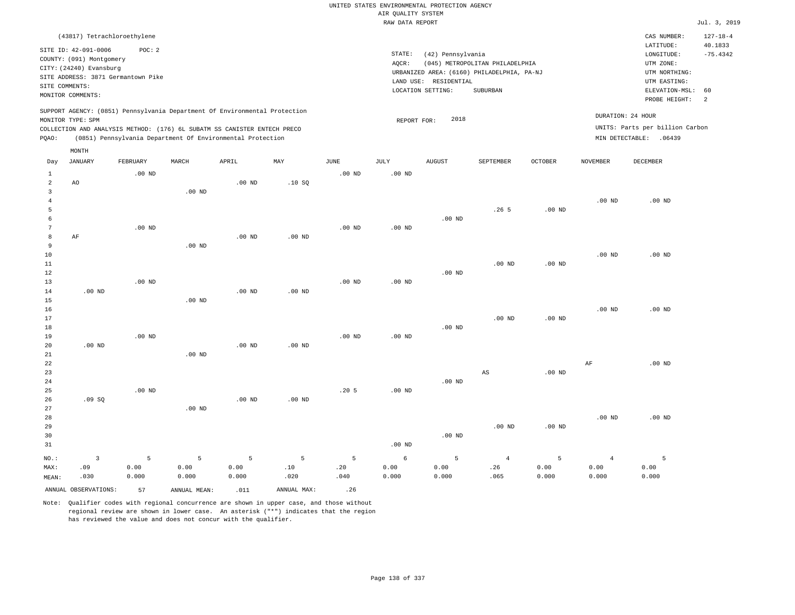|                                                                                                                                                                    |                                                                          |                   |                   |                                                            |             |                   |                                       | UNITED STATES ENVIRONMENTAL PROTECTION AGENCY                                                                                                    |                   |                                                                                                                |                   |                                 |                |
|--------------------------------------------------------------------------------------------------------------------------------------------------------------------|--------------------------------------------------------------------------|-------------------|-------------------|------------------------------------------------------------|-------------|-------------------|---------------------------------------|--------------------------------------------------------------------------------------------------------------------------------------------------|-------------------|----------------------------------------------------------------------------------------------------------------|-------------------|---------------------------------|----------------|
|                                                                                                                                                                    |                                                                          |                   |                   |                                                            |             |                   | AIR QUALITY SYSTEM<br>RAW DATA REPORT |                                                                                                                                                  |                   |                                                                                                                |                   |                                 | Jul. 3, 2019   |
|                                                                                                                                                                    | (43817) Tetrachloroethylene                                              |                   |                   |                                                            |             |                   |                                       |                                                                                                                                                  |                   |                                                                                                                |                   | CAS NUMBER:                     | $127 - 18 - 4$ |
| SITE ID: 42-091-0006<br>POC: 2<br>COUNTY: (091) Montgomery<br>CITY: (24240) Evansburg<br>SITE ADDRESS: 3871 Germantown Pike<br>SITE COMMENTS:<br>MONITOR COMMENTS: |                                                                          |                   |                   |                                                            |             |                   | STATE:<br>AQCR:                       | (42) Pennsylvania<br>(045) METROPOLITAN PHILADELPHIA<br>URBANIZED AREA: (6160) PHILADELPHIA, PA-NJ<br>LAND USE: RESIDENTIAL<br>LOCATION SETTING: |                   | LATITUDE:<br>LONGITUDE:<br>UTM ZONE:<br>UTM NORTHING:<br>UTM EASTING:<br>ELEVATION-MSL:<br>60<br>PROBE HEIGHT: |                   |                                 |                |
| SUPPORT AGENCY: (0851) Pennsylvania Department Of Environmental Protection                                                                                         |                                                                          |                   |                   |                                                            |             |                   |                                       |                                                                                                                                                  |                   |                                                                                                                | DURATION: 24 HOUR | $\overline{a}$                  |                |
|                                                                                                                                                                    | MONITOR TYPE: SPM                                                        |                   |                   |                                                            |             |                   | REPORT FOR:                           | 2018                                                                                                                                             |                   |                                                                                                                |                   | UNITS: Parts per billion Carbon |                |
| PQAO:                                                                                                                                                              | COLLECTION AND ANALYSIS METHOD: (176) 6L SUBATM SS CANISTER ENTECH PRECO |                   |                   | (0851) Pennsylvania Department Of Environmental Protection |             |                   |                                       |                                                                                                                                                  |                   |                                                                                                                |                   | MIN DETECTABLE: .06439          |                |
|                                                                                                                                                                    | MONTH                                                                    |                   |                   |                                                            |             |                   |                                       |                                                                                                                                                  |                   |                                                                                                                |                   |                                 |                |
| Day                                                                                                                                                                | <b>JANUARY</b>                                                           | FEBRUARY          | MARCH             | APRIL                                                      | MAY         | <b>JUNE</b>       | JULY                                  | <b>AUGUST</b>                                                                                                                                    | SEPTEMBER         | <b>OCTOBER</b>                                                                                                 | <b>NOVEMBER</b>   | <b>DECEMBER</b>                 |                |
| $\mathbf{1}$                                                                                                                                                       |                                                                          | .00 <sub>ND</sub> |                   |                                                            |             | $.00$ ND          | .00 <sub>ND</sub>                     |                                                                                                                                                  |                   |                                                                                                                |                   |                                 |                |
| $\overline{a}$                                                                                                                                                     | AO                                                                       |                   |                   | $.00$ ND                                                   | .10S        |                   |                                       |                                                                                                                                                  |                   |                                                                                                                |                   |                                 |                |
| $\overline{3}$<br>$\overline{4}$                                                                                                                                   |                                                                          |                   | .00 <sub>ND</sub> |                                                            |             |                   |                                       |                                                                                                                                                  |                   |                                                                                                                | $.00$ ND          | $.00$ ND                        |                |
| 5                                                                                                                                                                  |                                                                          |                   |                   |                                                            |             |                   |                                       |                                                                                                                                                  | .26 <sub>5</sub>  | .00 <sub>ND</sub>                                                                                              |                   |                                 |                |
| 6                                                                                                                                                                  |                                                                          |                   |                   |                                                            |             |                   |                                       | $.00$ ND                                                                                                                                         |                   |                                                                                                                |                   |                                 |                |
| $7\phantom{.0}$                                                                                                                                                    |                                                                          | .00 <sub>ND</sub> |                   |                                                            |             | .00 <sub>ND</sub> | .00 <sub>ND</sub>                     |                                                                                                                                                  |                   |                                                                                                                |                   |                                 |                |
| $^{\rm 8}$                                                                                                                                                         | AF                                                                       |                   |                   | .00 <sub>ND</sub>                                          | $.00$ ND    |                   |                                       |                                                                                                                                                  |                   |                                                                                                                |                   |                                 |                |
| 9                                                                                                                                                                  |                                                                          |                   | $.00$ ND          |                                                            |             |                   |                                       |                                                                                                                                                  |                   |                                                                                                                |                   |                                 |                |
| $10$                                                                                                                                                               |                                                                          |                   |                   |                                                            |             |                   |                                       |                                                                                                                                                  |                   |                                                                                                                | .00 <sub>ND</sub> | .00 <sub>ND</sub>               |                |
| 11<br>12                                                                                                                                                           |                                                                          |                   |                   |                                                            |             |                   |                                       |                                                                                                                                                  | $.00$ ND          | $.00$ ND                                                                                                       |                   |                                 |                |
| 13                                                                                                                                                                 |                                                                          | $.00$ ND          |                   |                                                            |             | $.00$ ND          | $.00$ ND                              | .00 <sub>ND</sub>                                                                                                                                |                   |                                                                                                                |                   |                                 |                |
| 14                                                                                                                                                                 | $.00$ ND                                                                 |                   |                   | $.00$ ND                                                   | $.00$ ND    |                   |                                       |                                                                                                                                                  |                   |                                                                                                                |                   |                                 |                |
| 15                                                                                                                                                                 |                                                                          |                   | $.00$ ND          |                                                            |             |                   |                                       |                                                                                                                                                  |                   |                                                                                                                |                   |                                 |                |
| 16                                                                                                                                                                 |                                                                          |                   |                   |                                                            |             |                   |                                       |                                                                                                                                                  |                   |                                                                                                                | $.00$ ND          | $.00$ ND                        |                |
| 17                                                                                                                                                                 |                                                                          |                   |                   |                                                            |             |                   |                                       |                                                                                                                                                  | .00 <sub>ND</sub> | $.00$ ND                                                                                                       |                   |                                 |                |
| 18                                                                                                                                                                 |                                                                          |                   |                   |                                                            |             |                   |                                       | $.00$ ND                                                                                                                                         |                   |                                                                                                                |                   |                                 |                |
| 19                                                                                                                                                                 | $.00$ ND                                                                 | $.00$ ND          |                   | .00 <sub>ND</sub>                                          | $.00$ ND    | $.00$ ND          | $.00$ ND                              |                                                                                                                                                  |                   |                                                                                                                |                   |                                 |                |
| 20<br>21                                                                                                                                                           |                                                                          |                   | $.00$ ND          |                                                            |             |                   |                                       |                                                                                                                                                  |                   |                                                                                                                |                   |                                 |                |
| 22                                                                                                                                                                 |                                                                          |                   |                   |                                                            |             |                   |                                       |                                                                                                                                                  |                   |                                                                                                                | $\rm AF$          | $.00$ ND                        |                |
| 23                                                                                                                                                                 |                                                                          |                   |                   |                                                            |             |                   |                                       |                                                                                                                                                  | AS                | $.00$ ND                                                                                                       |                   |                                 |                |
| 24                                                                                                                                                                 |                                                                          |                   |                   |                                                            |             |                   |                                       | $.00$ ND                                                                                                                                         |                   |                                                                                                                |                   |                                 |                |
| 25                                                                                                                                                                 |                                                                          | $.00$ ND          |                   |                                                            |             | .205              | $.00$ ND                              |                                                                                                                                                  |                   |                                                                                                                |                   |                                 |                |
| 26                                                                                                                                                                 | .09S                                                                     |                   |                   | $.00$ ND                                                   | $.00$ ND    |                   |                                       |                                                                                                                                                  |                   |                                                                                                                |                   |                                 |                |
| 27<br>28                                                                                                                                                           |                                                                          |                   | $.00$ ND          |                                                            |             |                   |                                       |                                                                                                                                                  |                   |                                                                                                                | $.00$ ND          | $.00$ ND                        |                |
| 29                                                                                                                                                                 |                                                                          |                   |                   |                                                            |             |                   |                                       |                                                                                                                                                  | .00 <sub>ND</sub> | $.00$ ND                                                                                                       |                   |                                 |                |
| 30                                                                                                                                                                 |                                                                          |                   |                   |                                                            |             |                   |                                       | $.00$ ND                                                                                                                                         |                   |                                                                                                                |                   |                                 |                |
| 31                                                                                                                                                                 |                                                                          |                   |                   |                                                            |             |                   | .00 <sub>ND</sub>                     |                                                                                                                                                  |                   |                                                                                                                |                   |                                 |                |
| NO.:                                                                                                                                                               | $\overline{3}$                                                           | 5                 | 5                 | 5                                                          | 5           | 5                 | 6                                     | 5                                                                                                                                                | $\overline{4}$    | 5                                                                                                              | $\overline{4}$    | 5                               |                |
| MAX:                                                                                                                                                               | .09                                                                      | 0.00              | 0.00              | 0.00                                                       | .10         | .20               | 0.00                                  | 0.00                                                                                                                                             | .26               | 0.00                                                                                                           | 0.00              | 0.00                            |                |
| MEAN:                                                                                                                                                              | .030                                                                     | 0.000             | 0.000             | 0.000                                                      | .020        | .040              | 0.000                                 | 0.000                                                                                                                                            | .065              | 0.000                                                                                                          | 0.000             | 0.000                           |                |
|                                                                                                                                                                    | ANNUAL OBSERVATIONS:                                                     | 57                | ANNUAL MEAN:      | .011                                                       | ANNUAL MAX: | .26               |                                       |                                                                                                                                                  |                   |                                                                                                                |                   |                                 |                |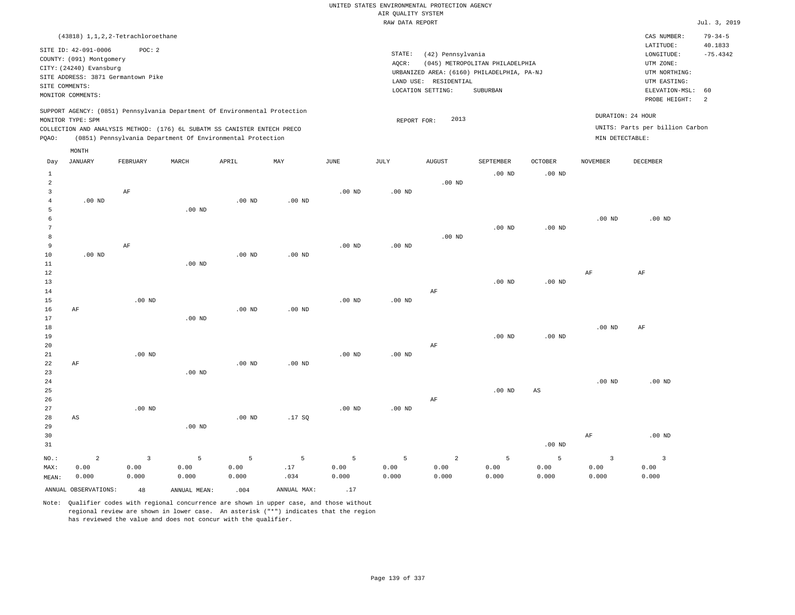|                | (43818) 1, 1, 2, 2-Tetrachloroethane |                |                   |                                                                            |                   |                   |                   |                                            |                            |                   |                   | CAS NUMBER:                     | $79 - 34 - 5$ |  |
|----------------|--------------------------------------|----------------|-------------------|----------------------------------------------------------------------------|-------------------|-------------------|-------------------|--------------------------------------------|----------------------------|-------------------|-------------------|---------------------------------|---------------|--|
|                | SITE ID: 42-091-0006                 | POC: 2         |                   |                                                                            |                   |                   |                   |                                            |                            |                   |                   | LATITUDE:                       | 40.1833       |  |
|                | COUNTY: (091) Montgomery             |                |                   |                                                                            |                   |                   | STATE:            | (42) Pennsylvania                          |                            |                   |                   | LONGITUDE:                      | $-75.4342$    |  |
|                | CITY: (24240) Evansburg              |                |                   |                                                                            |                   |                   | AOCR:             | (045) METROPOLITAN PHILADELPHIA            | UTM ZONE:<br>UTM NORTHING: |                   |                   |                                 |               |  |
|                | SITE ADDRESS: 3871 Germantown Pike   |                |                   |                                                                            |                   |                   |                   | URBANIZED AREA: (6160) PHILADELPHIA, PA-NJ |                            |                   |                   |                                 |               |  |
|                | SITE COMMENTS:                       |                |                   |                                                                            |                   |                   |                   | LAND USE: RESIDENTIAL<br>LOCATION SETTING: |                            |                   |                   |                                 | 60            |  |
|                | MONITOR COMMENTS:                    |                |                   |                                                                            |                   |                   |                   |                                            | SUBURBAN                   |                   |                   | ELEVATION-MSL:<br>PROBE HEIGHT: | 2             |  |
|                |                                      |                |                   | SUPPORT AGENCY: (0851) Pennsylvania Department Of Environmental Protection |                   |                   |                   |                                            |                            |                   |                   |                                 |               |  |
|                | MONITOR TYPE: SPM                    |                |                   |                                                                            |                   |                   | REPORT FOR:       | 2013                                       |                            |                   | DURATION: 24 HOUR |                                 |               |  |
|                |                                      |                |                   | COLLECTION AND ANALYSIS METHOD: (176) 6L SUBATM SS CANISTER ENTECH PRECO   |                   |                   |                   |                                            |                            |                   |                   | UNITS: Parts per billion Carbon |               |  |
| PQAO:          |                                      |                |                   | (0851) Pennsylvania Department Of Environmental Protection                 |                   |                   |                   |                                            |                            |                   | MIN DETECTABLE:   |                                 |               |  |
|                | MONTH                                |                |                   |                                                                            |                   |                   |                   |                                            |                            |                   |                   |                                 |               |  |
| Day            | <b>JANUARY</b>                       | FEBRUARY       | MARCH             | APRIL                                                                      | MAY               | JUNE              | JULY              | <b>AUGUST</b>                              | SEPTEMBER                  | <b>OCTOBER</b>    | <b>NOVEMBER</b>   | DECEMBER                        |               |  |
| $\mathbf{1}$   |                                      |                |                   |                                                                            |                   |                   |                   |                                            | $.00$ ND                   | $.00$ ND          |                   |                                 |               |  |
| $\sqrt{2}$     |                                      |                |                   |                                                                            |                   |                   |                   | $.00$ ND                                   |                            |                   |                   |                                 |               |  |
| 3              |                                      | AF             |                   |                                                                            |                   | $.00$ ND          | $.00$ ND          |                                            |                            |                   |                   |                                 |               |  |
| $\overline{4}$ | $.00$ ND                             |                |                   | $.00$ ND                                                                   | $.00$ ND          |                   |                   |                                            |                            |                   |                   |                                 |               |  |
| 5              |                                      |                | $.00$ ND          |                                                                            |                   |                   |                   |                                            |                            |                   |                   |                                 |               |  |
| $\epsilon$     |                                      |                |                   |                                                                            |                   |                   |                   |                                            |                            |                   | $.00$ ND          | $.00$ ND                        |               |  |
| 7              |                                      |                |                   |                                                                            |                   |                   |                   |                                            | $.00$ ND                   | $.00$ ND          |                   |                                 |               |  |
| 8              |                                      |                |                   |                                                                            |                   |                   |                   | $.00$ ND                                   |                            |                   |                   |                                 |               |  |
| 9              |                                      | $\rm{AF}$      |                   |                                                                            |                   | .00 <sub>ND</sub> | .00 <sub>ND</sub> |                                            |                            |                   |                   |                                 |               |  |
| $10$           | $.00$ ND                             |                |                   | $.00$ ND                                                                   | $.00$ ND          |                   |                   |                                            |                            |                   |                   |                                 |               |  |
| 11             |                                      |                | .00 <sub>ND</sub> |                                                                            |                   |                   |                   |                                            |                            |                   |                   |                                 |               |  |
| 12<br>13       |                                      |                |                   |                                                                            |                   |                   |                   |                                            | .00 <sub>ND</sub>          | .00 <sub>ND</sub> | $\rm{AF}$         | $\rm{AF}$                       |               |  |
| 14             |                                      |                |                   |                                                                            |                   |                   |                   | AF                                         |                            |                   |                   |                                 |               |  |
| 15             |                                      | $.00$ ND       |                   |                                                                            |                   | .00 <sub>ND</sub> | $.00$ ND          |                                            |                            |                   |                   |                                 |               |  |
| 16             | AF                                   |                |                   | $.00$ ND                                                                   | $.00$ ND          |                   |                   |                                            |                            |                   |                   |                                 |               |  |
| 17             |                                      |                | .00 <sub>ND</sub> |                                                                            |                   |                   |                   |                                            |                            |                   |                   |                                 |               |  |
| 18             |                                      |                |                   |                                                                            |                   |                   |                   |                                            |                            |                   | .00 <sub>ND</sub> | AF                              |               |  |
| 19             |                                      |                |                   |                                                                            |                   |                   |                   |                                            | $.00$ ND                   | $.00$ ND          |                   |                                 |               |  |
| 20             |                                      |                |                   |                                                                            |                   |                   |                   | AF                                         |                            |                   |                   |                                 |               |  |
| 21             |                                      | $.00$ ND       |                   |                                                                            |                   | .00 <sub>ND</sub> | $.00$ ND          |                                            |                            |                   |                   |                                 |               |  |
| 22             | AF                                   |                |                   | .00 <sub>ND</sub>                                                          | .00 <sub>ND</sub> |                   |                   |                                            |                            |                   |                   |                                 |               |  |
| 23             |                                      |                | $.00$ ND          |                                                                            |                   |                   |                   |                                            |                            |                   |                   |                                 |               |  |
| 24             |                                      |                |                   |                                                                            |                   |                   |                   |                                            |                            |                   | .00 <sub>ND</sub> | $.00$ ND                        |               |  |
| 25             |                                      |                |                   |                                                                            |                   |                   |                   |                                            | $.00$ ND                   | $_{\rm AS}$       |                   |                                 |               |  |
| 26             |                                      |                |                   |                                                                            |                   |                   |                   | AF                                         |                            |                   |                   |                                 |               |  |
| 27<br>28       |                                      | $.00$ ND       |                   | .00 <sub>ND</sub>                                                          | .17SQ             | .00 <sub>ND</sub> | $.00$ ND          |                                            |                            |                   |                   |                                 |               |  |
| 29             | AS                                   |                | $.00$ ND          |                                                                            |                   |                   |                   |                                            |                            |                   |                   |                                 |               |  |
| 30             |                                      |                |                   |                                                                            |                   |                   |                   |                                            |                            |                   | AF                | $.00$ ND                        |               |  |
| 31             |                                      |                |                   |                                                                            |                   |                   |                   |                                            |                            | $.00$ ND          |                   |                                 |               |  |
|                |                                      |                |                   |                                                                            |                   |                   |                   |                                            |                            |                   |                   |                                 |               |  |
| NO.:           | $\overline{a}$                       | $\overline{3}$ | 5                 | 5                                                                          | 5                 | 5                 | 5                 | 2                                          | $\overline{5}$             | 5                 | $\overline{3}$    | $\overline{\mathbf{3}}$         |               |  |
| MAX:           | 0.00                                 | 0.00           | 0.00              | 0.00                                                                       | .17               | 0.00              | 0.00              | 0.00                                       | 0.00                       | 0.00              | 0.00              | 0.00                            |               |  |
| MEAN:          | 0.000                                | 0.000          | 0.000             | 0.000                                                                      | .034              | 0.000             | 0.000             | 0.000                                      | 0.000                      | 0.000             | 0.000             | 0.000                           |               |  |
|                | ANNUAL OBSERVATIONS:                 | 48             | ANNUAL MEAN:      | .004                                                                       | ANNUAL MAX:       | .17               |                   |                                            |                            |                   |                   |                                 |               |  |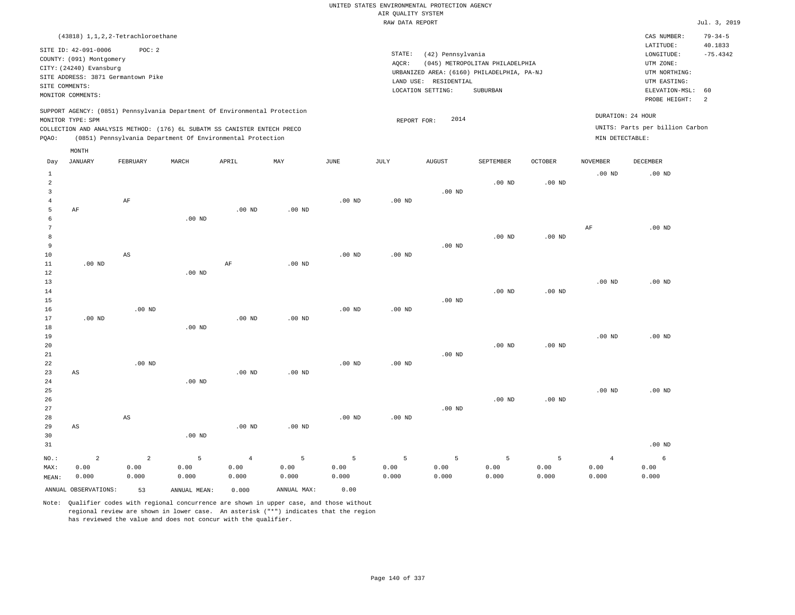| (43818) 1, 1, 2, 2-Tetrachloroethane                                                                                                                                                                                                                        |                                                                                                                                                                                 | CAS NUMBER:                                                                                                 | $79 - 34 - 5$                           |
|-------------------------------------------------------------------------------------------------------------------------------------------------------------------------------------------------------------------------------------------------------------|---------------------------------------------------------------------------------------------------------------------------------------------------------------------------------|-------------------------------------------------------------------------------------------------------------|-----------------------------------------|
| SITE ID: 42-091-0006<br>POC:2<br>COUNTY: (091) Montgomery<br>CITY: (24240) Evansburg<br>SITE ADDRESS: 3871 Germantown Pike<br>SITE COMMENTS:<br>MONITOR COMMENTS:                                                                                           | STATE:<br>(42) Pennsylvania<br>(045) METROPOLITAN PHILADELPHIA<br>AOCR:<br>URBANIZED AREA: (6160) PHILADELPHIA, PA-NJ<br>LAND USE: RESIDENTIAL<br>LOCATION SETTING:<br>SUBURBAN | LATITUDE:<br>LONGITUDE:<br>UTM ZONE:<br>UTM NORTHING:<br>UTM EASTING:<br>ELEVATION-MSL: 60<br>PROBE HEIGHT: | 40.1833<br>$-75.4342$<br>$\overline{2}$ |
| SUPPORT AGENCY: (0851) Pennsylvania Department Of Environmental Protection<br>MONITOR TYPE: SPM<br>COLLECTION AND ANALYSIS METHOD: (176) 6L SUBATM SS CANISTER ENTECH PRECO<br>(0851) Pennsylvania Department Of Environmental Protection<br>POAO:<br>MONTH | 2014<br>REPORT FOR:                                                                                                                                                             | DURATION: 24 HOUR<br>UNITS: Parts per billion Carbon<br>MIN DETECTABLE:                                     |                                         |

| Day                                                   | <b>JANUARY</b>         | FEBRUARY               | MARCH        | APRIL          | MAY            | $_{\rm JUNE}$ | $\mathtt{JULY}$ | <b>AUGUST</b> | SEPTEMBER   | OCTOBER  | <b>NOVEMBER</b> | DECEMBER |
|-------------------------------------------------------|------------------------|------------------------|--------------|----------------|----------------|---------------|-----------------|---------------|-------------|----------|-----------------|----------|
| $\mathbf{1}$<br>$\overline{c}$<br>3<br>$\overline{4}$ |                        | $\rm AF$               |              |                |                | $.00$ ND      | $.00$ ND        | $.00$ ND      | $.00$ ND    | $.00$ ND | $.00$ ND        | $.00$ ND |
| 5                                                     | AF                     |                        |              | $.00$ ND       | $.00$ ND       |               |                 |               |             |          |                 |          |
| 6<br>7                                                |                        |                        | $.00$ ND     |                |                |               |                 |               |             |          | AF              | $.00$ ND |
| 8                                                     |                        |                        |              |                |                |               |                 |               | $.00$ ND    | $.00$ ND |                 |          |
| 9                                                     |                        |                        |              |                |                |               |                 | $.00$ ND      |             |          |                 |          |
| 10                                                    |                        | $\mathbb{A}\mathbb{S}$ |              |                |                | $.00$ ND      | $.00$ ND        |               |             |          |                 |          |
| 11                                                    | $.00$ ND               |                        |              | $\rm AF$       | $.00$ ND       |               |                 |               |             |          |                 |          |
| 12                                                    |                        |                        | $.00$ ND     |                |                |               |                 |               |             |          |                 |          |
| 13                                                    |                        |                        |              |                |                |               |                 |               |             |          | $.00$ ND        | $.00$ ND |
| 14<br>15                                              |                        |                        |              |                |                |               |                 | $.00$ ND      | $.00$ ND    | $.00$ ND |                 |          |
| $16$                                                  |                        | $.00$ ND               |              |                |                | $.00$ ND      | $.00$ ND        |               |             |          |                 |          |
| 17                                                    | .00 $ND$               |                        |              | .00 $ND$       | $.00$ ND       |               |                 |               |             |          |                 |          |
| 18                                                    |                        |                        | $.00$ ND     |                |                |               |                 |               |             |          |                 |          |
| 19                                                    |                        |                        |              |                |                |               |                 |               |             |          | $.00$ ND        | $.00$ ND |
| 20                                                    |                        |                        |              |                |                |               |                 |               | $.00$ ND    | $.00$ ND |                 |          |
| 21                                                    |                        |                        |              |                |                |               |                 | $.00$ ND      |             |          |                 |          |
| $2\sqrt{2}$<br>23                                     | AS                     | $.00$ ND               |              | .00 $ND$       | $.00$ ND       | $.00$ ND      | $.00$ ND        |               |             |          |                 |          |
| $2\sqrt{4}$                                           |                        |                        | $.00$ ND     |                |                |               |                 |               |             |          |                 |          |
| 25                                                    |                        |                        |              |                |                |               |                 |               |             |          | $.00$ ND        | $.00$ ND |
| 26                                                    |                        |                        |              |                |                |               |                 |               | $.00$ ND    | $.00$ ND |                 |          |
| 27                                                    |                        |                        |              |                |                |               |                 | $.00$ ND      |             |          |                 |          |
| 28                                                    |                        | AS                     |              |                |                | $.00$ ND      | $.00$ ND        |               |             |          |                 |          |
| 29                                                    | $\mathbb{A}\mathbb{S}$ |                        |              | $.00$ ND       | $.00$ ND       |               |                 |               |             |          |                 |          |
| 30                                                    |                        |                        | $.00$ ND     |                |                |               |                 |               |             |          |                 |          |
| 31                                                    |                        |                        |              |                |                |               |                 |               |             |          |                 | $.00$ ND |
| $NO.$ :                                               | $\overline{a}$         | $\overline{a}$         | $\mathsf S$  | $\overline{4}$ | $\overline{5}$ | 5             | 5               | 5             | $\mathsf S$ | 5        | $\overline{4}$  | 6        |
| MAX:                                                  | 0.00                   | 0.00                   | 0.00         | 0.00           | 0.00           | 0.00          | 0.00            | 0.00          | 0.00        | 0.00     | 0.00            | 0.00     |
| MEAN:                                                 | 0.000                  | 0.000                  | 0.000        | 0.000          | 0.000          | 0.000         | 0.000           | 0.000         | 0.000       | 0.000    | 0.000           | 0.000    |
|                                                       | ANNUAL OBSERVATIONS:   | 53                     | ANNUAL MEAN: | 0.000          | ANNUAL MAX:    | 0.00          |                 |               |             |          |                 |          |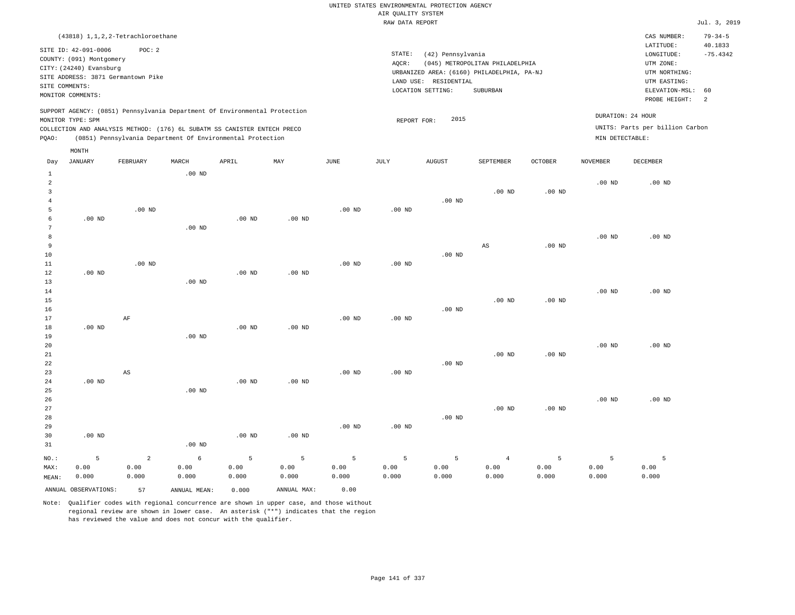UNITED STATES ENVIRONMENTAL PROTECTION AGENCY AIR QUALITY SYSTEM

|                                                                                                                                                                    |                   |                                                                                                                                        |                   |                   |                   |                   | RAW DATA REPORT                                                                                                                                                                                                                                                                             |                   |           |                   |                   |                                 | Jul. 3, 2019             |
|--------------------------------------------------------------------------------------------------------------------------------------------------------------------|-------------------|----------------------------------------------------------------------------------------------------------------------------------------|-------------------|-------------------|-------------------|-------------------|---------------------------------------------------------------------------------------------------------------------------------------------------------------------------------------------------------------------------------------------------------------------------------------------|-------------------|-----------|-------------------|-------------------|---------------------------------|--------------------------|
|                                                                                                                                                                    |                   | (43818) 1, 1, 2, 2-Tetrachloroethane                                                                                                   |                   |                   |                   |                   |                                                                                                                                                                                                                                                                                             |                   |           |                   |                   | CAS NUMBER:                     | $79 - 34 - 5$<br>40.1833 |
| SITE ID: 42-091-0006<br>POC: 2<br>COUNTY: (091) Montgomery<br>CITY: (24240) Evansburg<br>SITE ADDRESS: 3871 Germantown Pike<br>SITE COMMENTS:<br>MONITOR COMMENTS: |                   |                                                                                                                                        |                   |                   |                   |                   | LATITUDE:<br>STATE:<br>(42) Pennsylvania<br>LONGITUDE:<br>AOCR:<br>(045) METROPOLITAN PHILADELPHIA<br>UTM ZONE:<br>URBANIZED AREA: (6160) PHILADELPHIA, PA-NJ<br>UTM NORTHING:<br>LAND USE: RESIDENTIAL<br>UTM EASTING:<br>SUBURBAN<br>LOCATION SETTING:<br>ELEVATION-MSL:<br>PROBE HEIGHT: |                   |           |                   |                   |                                 |                          |
|                                                                                                                                                                    |                   | SUPPORT AGENCY: (0851) Pennsylvania Department Of Environmental Protection                                                             |                   |                   |                   |                   |                                                                                                                                                                                                                                                                                             | 2015              |           |                   |                   | DURATION: 24 HOUR               |                          |
| PQAO:                                                                                                                                                              | MONITOR TYPE: SPM | COLLECTION AND ANALYSIS METHOD: (176) 6L SUBATM SS CANISTER ENTECH PRECO<br>(0851) Pennsylvania Department Of Environmental Protection |                   |                   |                   |                   | REPORT FOR:                                                                                                                                                                                                                                                                                 |                   |           |                   | MIN DETECTABLE:   | UNITS: Parts per billion Carbon |                          |
|                                                                                                                                                                    | MONTH             |                                                                                                                                        |                   |                   |                   |                   |                                                                                                                                                                                                                                                                                             |                   |           |                   |                   |                                 |                          |
| Day                                                                                                                                                                | JANUARY           | FEBRUARY                                                                                                                               | MARCH             | APRIL             | MAY               | JUNE              | JULY                                                                                                                                                                                                                                                                                        | <b>AUGUST</b>     | SEPTEMBER | <b>OCTOBER</b>    | <b>NOVEMBER</b>   | DECEMBER                        |                          |
| $\mathbf{1}$<br>$\overline{a}$<br>3<br>4                                                                                                                           |                   |                                                                                                                                        | $.00$ ND          |                   |                   |                   |                                                                                                                                                                                                                                                                                             | .00 <sub>ND</sub> | $.00$ ND  | .00 <sub>ND</sub> | .00 <sub>ND</sub> | $.00$ ND                        |                          |
| 5<br>6<br>7<br>8                                                                                                                                                   | $.00$ ND          | $.00$ ND                                                                                                                               | $.00$ ND          | $.00$ ND          | $.00$ ND          | $.00$ ND          | $.00$ ND                                                                                                                                                                                                                                                                                    |                   |           |                   | .00 <sub>ND</sub> | $.00$ ND                        |                          |
| 9<br>10<br>11                                                                                                                                                      |                   | $.00$ ND                                                                                                                               |                   |                   |                   | $.00$ ND          | $.00$ ND                                                                                                                                                                                                                                                                                    | .00 <sub>ND</sub> | AS        | .00 <sub>ND</sub> |                   |                                 |                          |
| 12<br>13<br>14                                                                                                                                                     | $.00$ ND          |                                                                                                                                        | $.00$ ND          | .00 <sub>ND</sub> | .00 <sub>ND</sub> |                   |                                                                                                                                                                                                                                                                                             |                   |           |                   | .00 <sub>ND</sub> | $.00$ ND                        |                          |
| 15<br>16<br>17<br>18                                                                                                                                               | .00 <sub>ND</sub> | AF                                                                                                                                     |                   | $.00$ ND          | $.00$ ND          | $.00$ ND          | $.00$ ND                                                                                                                                                                                                                                                                                    | $.00$ ND          | $.00$ ND  | .00 <sub>ND</sub> |                   |                                 |                          |
| 19<br>20<br>21<br>22                                                                                                                                               |                   |                                                                                                                                        | $.00$ ND          |                   |                   |                   |                                                                                                                                                                                                                                                                                             | $.00$ ND          | $.00$ ND  | $.00$ ND          | .00 <sub>ND</sub> | $.00$ ND                        |                          |
| 23<br>24<br>25                                                                                                                                                     | $.00$ ND          | $_{\rm AS}$                                                                                                                            | .00 <sub>ND</sub> | $.00$ ND          | $.00$ ND          | .00 <sub>ND</sub> | .00 <sub>ND</sub>                                                                                                                                                                                                                                                                           |                   |           |                   |                   |                                 |                          |
| 26<br>27<br>28<br>29                                                                                                                                               |                   |                                                                                                                                        |                   |                   |                   | $.00$ ND          | .00 <sub>ND</sub>                                                                                                                                                                                                                                                                           | $.00$ ND          | $.00$ ND  | $.00$ ND          | .00 <sub>ND</sub> | $.00$ ND                        |                          |
| 30<br>31                                                                                                                                                           | $.00$ ND          |                                                                                                                                        | $.00$ ND          | .00 <sub>ND</sub> | .00 <sub>ND</sub> |                   |                                                                                                                                                                                                                                                                                             |                   |           |                   |                   |                                 |                          |

NO.: MAX: MEAN: 5 0.00 0.000 2 0.00 0.000 6 0.00 0.000 5 0.00 0.000 5 0.00 0.000 5 0.00 0.000 5 0.00 0.000 5 0.00 0.000 4 0.00 0.000 5 0.00 0.000 5 0.00 0.000 5 0.00 0.000 ANNUAL OBSERVATIONS: 57 ANNUAL MEAN: 0.000 ANNUAL MAX: 0.00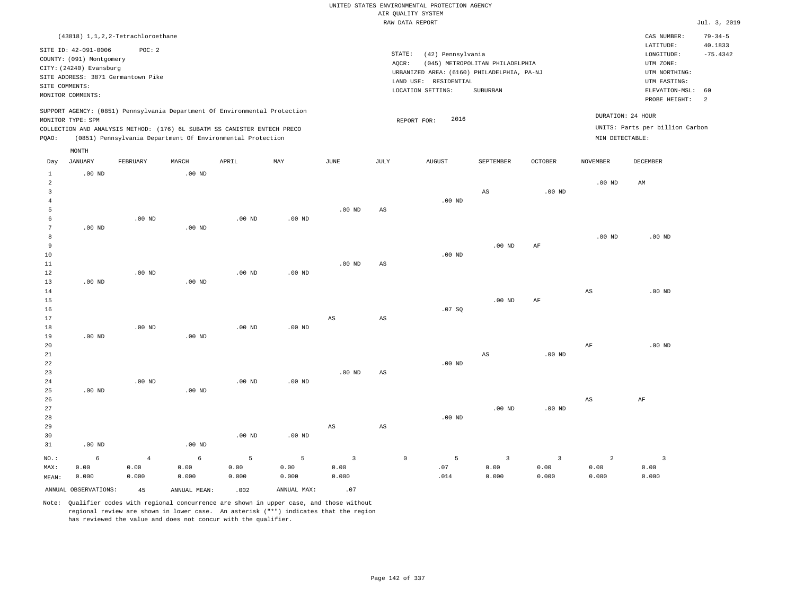UNITED STATES ENVIRONMENTAL PROTECTION AGENCY AIR QUALITY SYSTEM

|                                                                                                                                                                    |                                      |                                 |                                                                                                                                                                                                                      |                    |                    |                                 |                        | RAW DATA REPORT                                                                                                                                            |                                 |                                 |                                                                                                                                              |                                          | Jul. 3, 2019  |
|--------------------------------------------------------------------------------------------------------------------------------------------------------------------|--------------------------------------|---------------------------------|----------------------------------------------------------------------------------------------------------------------------------------------------------------------------------------------------------------------|--------------------|--------------------|---------------------------------|------------------------|------------------------------------------------------------------------------------------------------------------------------------------------------------|---------------------------------|---------------------------------|----------------------------------------------------------------------------------------------------------------------------------------------|------------------------------------------|---------------|
|                                                                                                                                                                    | (43818) 1, 1, 2, 2-Tetrachloroethane |                                 |                                                                                                                                                                                                                      |                    |                    |                                 |                        |                                                                                                                                                            |                                 |                                 |                                                                                                                                              | CAS NUMBER:                              | $79 - 34 - 5$ |
| SITE ID: 42-091-0006<br>POC: 2<br>COUNTY: (091) Montgomery<br>CITY: (24240) Evansburg<br>SITE ADDRESS: 3871 Germantown Pike<br>SITE COMMENTS:<br>MONITOR COMMENTS: |                                      |                                 |                                                                                                                                                                                                                      |                    |                    |                                 | AQCR:                  | STATE:<br>(42) Pennsylvania<br>(045) METROPOLITAN PHILADELPHIA<br>URBANIZED AREA: (6160) PHILADELPHIA, PA-NJ<br>LAND USE: RESIDENTIAL<br>LOCATION SETTING: |                                 |                                 | LATITUDE:<br>40.1833<br>$-75.4342$<br>LONGITUDE:<br>UTM ZONE:<br>UTM NORTHING:<br>UTM EASTING:<br>ELEVATION-MSL:<br>60<br>PROBE HEIGHT:<br>2 |                                          |               |
| PQAO:                                                                                                                                                              | MONITOR TYPE: SPM                    |                                 | SUPPORT AGENCY: (0851) Pennsylvania Department Of Environmental Protection<br>COLLECTION AND ANALYSIS METHOD: (176) 6L SUBATM SS CANISTER ENTECH PRECO<br>(0851) Pennsylvania Department Of Environmental Protection |                    |                    |                                 |                        | 2016<br>REPORT FOR:                                                                                                                                        |                                 |                                 | DURATION: 24 HOUR<br>MIN DETECTABLE:                                                                                                         | UNITS: Parts per billion Carbon          |               |
|                                                                                                                                                                    | MONTH                                |                                 |                                                                                                                                                                                                                      |                    |                    |                                 |                        |                                                                                                                                                            |                                 |                                 |                                                                                                                                              |                                          |               |
| Day                                                                                                                                                                | <b>JANUARY</b>                       | FEBRUARY                        | MARCH                                                                                                                                                                                                                | APRIL              | MAY                | JUNE                            | JULY                   | <b>AUGUST</b>                                                                                                                                              | SEPTEMBER                       | OCTOBER                         | <b>NOVEMBER</b>                                                                                                                              | DECEMBER                                 |               |
| $\mathbf{1}$<br>$\overline{a}$<br>3                                                                                                                                | $.00$ ND                             |                                 | $.00$ ND                                                                                                                                                                                                             |                    |                    |                                 |                        |                                                                                                                                                            | $_{\rm AS}$                     | .00 <sub>ND</sub>               | .00 <sub>ND</sub>                                                                                                                            | AM                                       |               |
| 4<br>5<br>6                                                                                                                                                        |                                      | $.00$ ND                        |                                                                                                                                                                                                                      | $.00$ ND           | $.00$ ND           | $.00$ ND                        | $\mathbb{A}\mathbb{S}$ | $.00$ ND                                                                                                                                                   |                                 |                                 |                                                                                                                                              |                                          |               |
| 7<br>8<br>9<br>10                                                                                                                                                  | $.00$ ND                             |                                 | $.00$ ND                                                                                                                                                                                                             |                    |                    |                                 |                        | $.00$ ND                                                                                                                                                   | $.00$ ND                        | AF                              | .00 <sub>ND</sub>                                                                                                                            | $.00$ ND                                 |               |
| $11\,$<br>12<br>13<br>14                                                                                                                                           | .00 <sub>ND</sub>                    | $.00$ ND                        | $.00$ ND                                                                                                                                                                                                             | $.00$ ND           | $.00$ ND           | $.00$ ND                        | $\mathbb{A}\mathbb{S}$ |                                                                                                                                                            |                                 |                                 | $_{\rm AS}$                                                                                                                                  | $.00$ ND                                 |               |
| 15<br>16<br>17                                                                                                                                                     |                                      |                                 |                                                                                                                                                                                                                      |                    |                    | $_{\rm AS}$                     | $_{\rm AS}$            | .07 SQ                                                                                                                                                     | .00 <sub>ND</sub>               | AF                              |                                                                                                                                              |                                          |               |
| 18<br>19<br>20                                                                                                                                                     | $.00$ ND                             | $.00$ ND                        | $.00$ ND                                                                                                                                                                                                             | $.00$ ND           | .00 <sub>ND</sub>  |                                 |                        |                                                                                                                                                            |                                 |                                 | $\rm{AF}$                                                                                                                                    | $.00$ ND                                 |               |
| 21<br>22<br>23<br>24                                                                                                                                               |                                      | $.00$ ND                        |                                                                                                                                                                                                                      | $.00$ ND           | $.00$ ND           | .00 <sub>ND</sub>               | $\mathbb{A}\mathbb{S}$ | $.00$ ND                                                                                                                                                   | $_{\rm AS}$                     | .00 <sub>ND</sub>               |                                                                                                                                              |                                          |               |
| 25<br>26<br>27<br>28                                                                                                                                               | $.00$ ND                             |                                 | $.00$ ND                                                                                                                                                                                                             |                    |                    |                                 |                        | $.00$ ND                                                                                                                                                   | $.00$ ND                        | .00 <sub>ND</sub>               | $\mathbb{A}\mathbb{S}$                                                                                                                       | AF                                       |               |
| 29<br>30<br>31                                                                                                                                                     | $.00$ ND                             |                                 | .00 <sub>ND</sub>                                                                                                                                                                                                    | $.00$ ND           | $.00$ ND           | AS                              | $\mathbb{A}\mathbb{S}$ |                                                                                                                                                            |                                 |                                 |                                                                                                                                              |                                          |               |
| NO.:<br>MAX:<br>MEAN:                                                                                                                                              | 6<br>0.00<br>0.000                   | $\overline{4}$<br>0.00<br>0.000 | $6\phantom{.}6$<br>0.00<br>0.000                                                                                                                                                                                     | 5<br>0.00<br>0.000 | 5<br>0.00<br>0.000 | $\overline{3}$<br>0.00<br>0.000 |                        | $\mathbb O$<br>5<br>.07<br>.014                                                                                                                            | $\overline{3}$<br>0.00<br>0.000 | $\overline{3}$<br>0.00<br>0.000 | $\overline{a}$<br>0.00<br>0.000                                                                                                              | $\overline{\mathbf{3}}$<br>0.00<br>0.000 |               |
|                                                                                                                                                                    | ANNUAL OBSERVATIONS:                 | 45                              | ANNUAL MEAN:                                                                                                                                                                                                         | .002               | ANNUAL MAX:        | .07                             |                        |                                                                                                                                                            |                                 |                                 |                                                                                                                                              |                                          |               |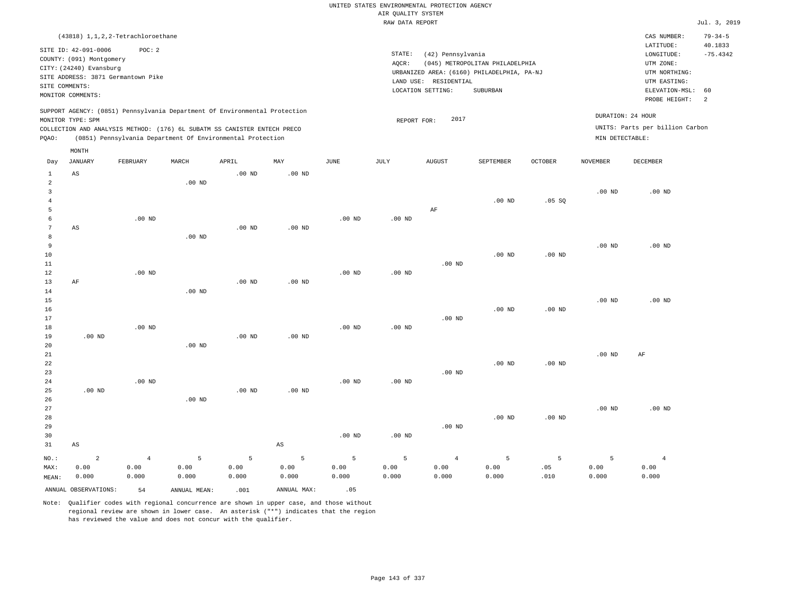|                                  |                                                  |                   |                |                                                                            |                        |                   |                    | UNITED STATES ENVIRONMENTAL PROTECTION AGENCY |                                            |                   |                   |                                 |                          |
|----------------------------------|--------------------------------------------------|-------------------|----------------|----------------------------------------------------------------------------|------------------------|-------------------|--------------------|-----------------------------------------------|--------------------------------------------|-------------------|-------------------|---------------------------------|--------------------------|
|                                  |                                                  |                   |                |                                                                            |                        |                   | AIR QUALITY SYSTEM |                                               |                                            |                   |                   |                                 |                          |
|                                  |                                                  |                   |                |                                                                            |                        |                   | RAW DATA REPORT    |                                               |                                            |                   |                   |                                 | Jul. 3, 2019             |
|                                  | (43818) 1, 1, 2, 2-Tetrachloroethane             | POC: 2            |                |                                                                            |                        |                   |                    |                                               |                                            |                   |                   | CAS NUMBER:<br>LATITUDE:        | $79 - 34 - 5$<br>40.1833 |
|                                  | SITE ID: 42-091-0006<br>COUNTY: (091) Montgomery |                   |                |                                                                            |                        |                   | STATE:             | (42) Pennsylvania                             |                                            |                   |                   | LONGITUDE:                      | $-75.4342$               |
|                                  | CITY: (24240) Evansburg                          |                   |                |                                                                            |                        |                   | AQCR:              |                                               | (045) METROPOLITAN PHILADELPHIA            |                   |                   | UTM ZONE:                       |                          |
|                                  | SITE ADDRESS: 3871 Germantown Pike               |                   |                |                                                                            |                        |                   |                    |                                               | URBANIZED AREA: (6160) PHILADELPHIA, PA-NJ |                   |                   | UTM NORTHING:                   |                          |
| SITE COMMENTS:                   |                                                  |                   |                |                                                                            |                        |                   |                    | LAND USE: RESIDENTIAL<br>LOCATION SETTING:    | SUBURBAN                                   |                   |                   | UTM EASTING:<br>ELEVATION-MSL:  | 60                       |
|                                  | MONITOR COMMENTS:                                |                   |                |                                                                            |                        |                   |                    |                                               |                                            |                   |                   | PROBE HEIGHT:                   | 2                        |
|                                  | MONITOR TYPE: SPM                                |                   |                | SUPPORT AGENCY: (0851) Pennsylvania Department Of Environmental Protection |                        |                   |                    | 2017                                          |                                            |                   |                   | DURATION: 24 HOUR               |                          |
|                                  |                                                  |                   |                | COLLECTION AND ANALYSIS METHOD: (176) 6L SUBATM SS CANISTER ENTECH PRECO   |                        |                   | REPORT FOR:        |                                               |                                            |                   |                   | UNITS: Parts per billion Carbon |                          |
| PQAO:                            |                                                  |                   |                | (0851) Pennsylvania Department Of Environmental Protection                 |                        |                   | MIN DETECTABLE:    |                                               |                                            |                   |                   |                                 |                          |
|                                  | MONTH                                            |                   |                |                                                                            |                        |                   |                    |                                               |                                            |                   |                   |                                 |                          |
| Day                              | <b>JANUARY</b>                                   | FEBRUARY          | MARCH          | APRIL                                                                      | MAY                    | $_{\rm JUNE}$     | <b>JULY</b>        | <b>AUGUST</b>                                 | SEPTEMBER                                  | <b>OCTOBER</b>    | <b>NOVEMBER</b>   | DECEMBER                        |                          |
| $\mathbf{1}$                     | AS                                               |                   |                | $.00$ ND                                                                   | .00 <sub>ND</sub>      |                   |                    |                                               |                                            |                   |                   |                                 |                          |
| $\overline{a}$<br>$\overline{3}$ |                                                  |                   | $.00$ ND       |                                                                            |                        |                   |                    |                                               |                                            |                   |                   |                                 |                          |
| $\overline{4}$                   |                                                  |                   |                |                                                                            |                        |                   |                    |                                               | $.00$ ND                                   | .05S              | .00 <sub>ND</sub> | $.00$ ND                        |                          |
| 5                                |                                                  |                   |                |                                                                            |                        |                   |                    | AF                                            |                                            |                   |                   |                                 |                          |
| 6                                |                                                  | $.00$ ND          |                |                                                                            |                        | .00 <sub>ND</sub> | .00 <sub>ND</sub>  |                                               |                                            |                   |                   |                                 |                          |
| $\overline{7}$                   | $_{\rm AS}$                                      |                   |                | $.00$ ND                                                                   | $.00$ ND               |                   |                    |                                               |                                            |                   |                   |                                 |                          |
| 8                                |                                                  |                   | $.00$ ND       |                                                                            |                        |                   |                    |                                               |                                            |                   |                   |                                 |                          |
| 9                                |                                                  |                   |                |                                                                            |                        |                   |                    |                                               |                                            |                   | .00 <sub>ND</sub> | .00 <sub>ND</sub>               |                          |
| 10                               |                                                  |                   |                |                                                                            |                        |                   |                    |                                               | $.00$ ND                                   | $.00$ ND          |                   |                                 |                          |
| 11                               |                                                  | .00 <sub>ND</sub> |                |                                                                            |                        | .00 <sub>ND</sub> |                    | $.00$ ND                                      |                                            |                   |                   |                                 |                          |
| 12<br>13                         | AF                                               |                   |                | .00 <sub>ND</sub>                                                          | .00 <sub>ND</sub>      |                   | $.00$ ND           |                                               |                                            |                   |                   |                                 |                          |
| 14                               |                                                  |                   | $.00$ ND       |                                                                            |                        |                   |                    |                                               |                                            |                   |                   |                                 |                          |
| 15                               |                                                  |                   |                |                                                                            |                        |                   |                    |                                               |                                            |                   | .00 <sub>ND</sub> | $.00$ ND                        |                          |
| 16                               |                                                  |                   |                |                                                                            |                        |                   |                    |                                               | $.00$ ND                                   | $.00$ ND          |                   |                                 |                          |
| 17                               |                                                  |                   |                |                                                                            |                        |                   |                    | $.00$ ND                                      |                                            |                   |                   |                                 |                          |
| $18$                             |                                                  | $.00$ ND          |                |                                                                            |                        | $.00$ ND          | $.00$ ND           |                                               |                                            |                   |                   |                                 |                          |
| 19                               | $.00$ ND                                         |                   |                | .00 <sub>ND</sub>                                                          | .00 <sub>ND</sub>      |                   |                    |                                               |                                            |                   |                   |                                 |                          |
| 20                               |                                                  |                   | $.00$ ND       |                                                                            |                        |                   |                    |                                               |                                            |                   |                   |                                 |                          |
| 21<br>22                         |                                                  |                   |                |                                                                            |                        |                   |                    |                                               | $.00$ ND                                   | .00 <sub>ND</sub> | .00 <sub>ND</sub> | AF                              |                          |
| 23                               |                                                  |                   |                |                                                                            |                        |                   |                    | $.00$ ND                                      |                                            |                   |                   |                                 |                          |
| 24                               |                                                  | $.00$ ND          |                |                                                                            |                        | .00 <sub>ND</sub> | .00 <sub>ND</sub>  |                                               |                                            |                   |                   |                                 |                          |
| 25                               | $.00$ ND                                         |                   |                | $.00$ ND                                                                   | $.00$ ND               |                   |                    |                                               |                                            |                   |                   |                                 |                          |
| 26                               |                                                  |                   | $.00$ ND       |                                                                            |                        |                   |                    |                                               |                                            |                   |                   |                                 |                          |
| 27                               |                                                  |                   |                |                                                                            |                        |                   |                    |                                               |                                            |                   | .00 <sub>ND</sub> | $.00$ ND                        |                          |
| 28                               |                                                  |                   |                |                                                                            |                        |                   |                    |                                               | .00 <sub>ND</sub>                          | $.00$ ND          |                   |                                 |                          |
| 29                               |                                                  |                   |                |                                                                            |                        |                   |                    | $.00$ ND                                      |                                            |                   |                   |                                 |                          |
| 30                               |                                                  |                   |                |                                                                            |                        | $.00$ ND          | $.00$ ND           |                                               |                                            |                   |                   |                                 |                          |
| 31                               | $\mathbb{A}\mathbb{S}$                           |                   |                |                                                                            | $\mathbb{A}\mathbb{S}$ |                   |                    |                                               |                                            |                   |                   |                                 |                          |
| NO.:                             | $\overline{a}$                                   | $\,4$             | $\overline{5}$ | 5                                                                          | 5                      | 5                 | 5                  | $\overline{4}$                                | 5                                          | 5                 | $\overline{5}$    | $\overline{4}$                  |                          |
| MAX:                             | 0.00                                             | 0.00              | 0.00           | 0.00                                                                       | 0.00                   | 0.00              | 0.00               | 0.00                                          | 0.00                                       | .05               | 0.00              | 0.00                            |                          |
| MEAN:                            | 0.000                                            | 0.000             | 0.000          | 0.000                                                                      | 0.000                  | 0.000             | 0.000              | 0.000                                         | 0.000                                      | .010              | 0.000             | 0.000                           |                          |
|                                  | ANNUAL OBSERVATIONS:                             | 54                | ANNUAL, MEAN:  | .001                                                                       | ANNUAL MAX:            | .05               |                    |                                               |                                            |                   |                   |                                 |                          |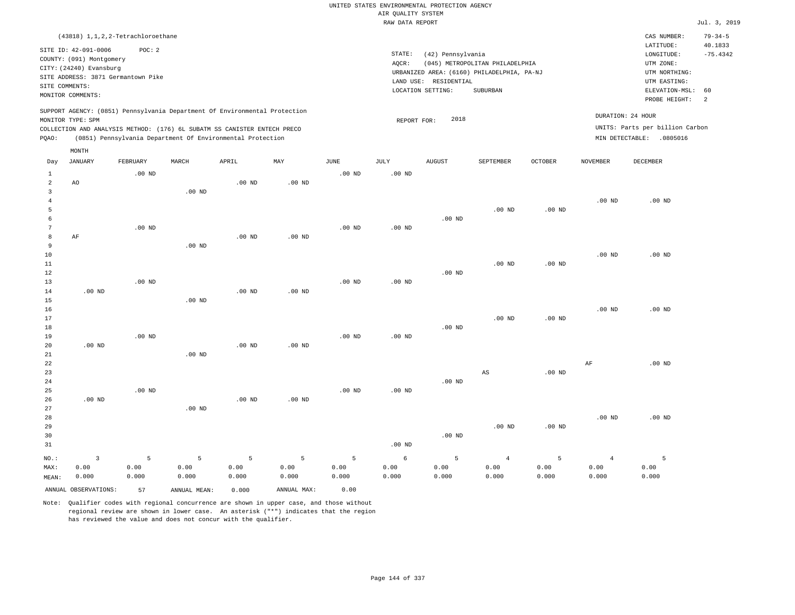RAW DATA REPORT Jul. 3, 2019 UNITED STATES ENVIRONMENTAL PROTECTION AGENCY AIR QUALITY SYSTEM (43818) 1,1,2,2-Tetrachloroethane STATE: (42) Pennsylvania CAS NUMBER: 79-34-5 SITE ID: 42-091-0006 POC: 2 AQCR: (045) METROPOLITAN PHILADELPHIA COUNTY: (091) Montgomery CITY: (24240) Evansburg  $LONGITUDE: -75.4342$ LATITUDE: 40.1833 LOCATION SETTING: SUBURBAN SITE ADDRESS: 3871 Germantown Pike LAND USE: RESIDENTIAL SITE COMMENTS: MONITOR COMMENTS: PROBE HEIGHT: 2 ELEVATION-MSL: 60 URBANIZED AREA: (6160) PHILADELPHIA, PA-NJ (UTM NORTHING: UTM EASTING: UTM ZONE: SUPPORT AGENCY: (0851) Pennsylvania Department Of Environmental Protection MONITOR TYPE: SPM COLLECTION AND ANALYSIS METHOD: (176) 6L SUBATM SS CANISTER ENTECH PRECO REPORT FOR: 2018 UNITS: Parts per billion Carbon PQAO: (0851) Pennsylvania Department Of Environmental Protection DURATION: 24 HOUR MIN DETECTABLE: .0805016 1 2 3 4 5 6 7 8 9 10 11 12 13 14 15 16 17 18 19  $20$ 21 22 23 24 25 26 27 28 29 30 31 AO AF .00 ND .00 ND .00 ND NO.: MAX: MEAN: 3 0.00 0.000 .00 ND .00 ND .00 ND .00 ND .00 ND .00 ND .00 ND .00 ND .00 ND .00 ND .00 ND .00 ND .00 ND .00 ND .00 ND .00 ND .00 ND .00 ND .00 ND .00 ND .00 ND .00 ND .00 ND .00 ND .00 ND .00 ND .00 ND .00 ND .00 ND .00 ND .00 ND .00 ND .00 ND .00 ND .00 ND .00 ND .00 ND .00 ND .00 ND AS .00 ND .00 ND .00 ND .00 ND .00 ND .00 ND .00 ND .00 ND .00 ND AF .00 ND .00 ND .00 ND .00 ND .00 ND .00 ND 5 0.00 0.000 5 0.00 0.000 5 0.00 0.000 5 0.00 0.000 5 0.00 0.000 6 0.00 0.000 5 0.00 0.000 4 0.00 0.000 5 0.00 0.000 4 0.00 0.000 5 0.00 0.000 ANNUAL OBSERVATIONS: 57 ANNUAL MEAN: 0.000 ANNUAL MAX: 0.00 Day JANUARY FEBRUARY MARCH APRIL MAY JUNE JULY AUGUST SEPTEMBER OCTOBER NOVEMBER DECEMBER MONTH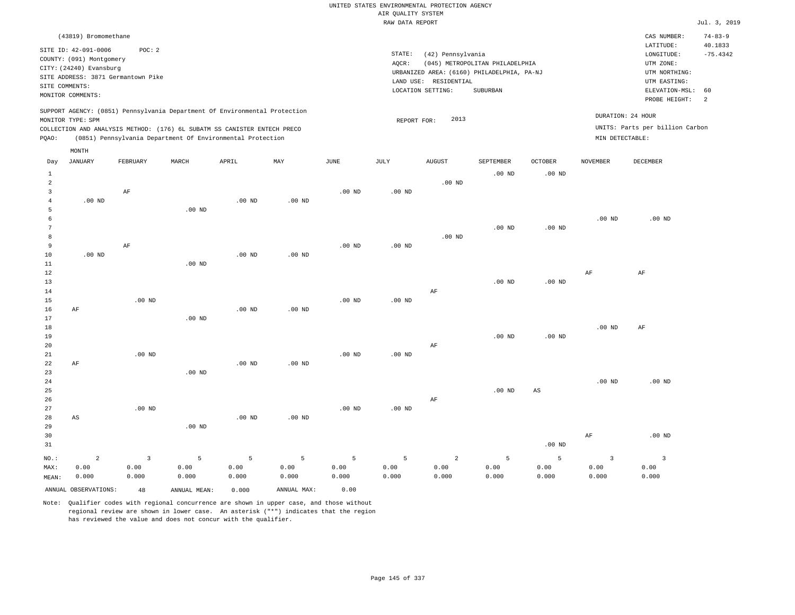|  |                    | UNITED STATES ENVIRONMENTAL PROTECTION AGENCY |  |
|--|--------------------|-----------------------------------------------|--|
|  | AIR OUALITY SYSTEM |                                               |  |
|  | RAW DATA REPORT    |                                               |  |

|                         |                          |                                    |                   |                                                                            |          |          | RAW DATA REPORT |                       |                                            |                   |                   |                                 | Jul. 3, 2019   |
|-------------------------|--------------------------|------------------------------------|-------------------|----------------------------------------------------------------------------|----------|----------|-----------------|-----------------------|--------------------------------------------|-------------------|-------------------|---------------------------------|----------------|
|                         | (43819) Bromomethane     |                                    |                   |                                                                            |          |          |                 |                       |                                            |                   |                   | CAS NUMBER:                     | $74 - 83 - 9$  |
|                         | SITE ID: 42-091-0006     | POC: 2                             |                   |                                                                            |          |          |                 |                       |                                            |                   |                   | LATITUDE:                       | 40.1833        |
|                         | COUNTY: (091) Montgomery |                                    |                   |                                                                            |          |          | STATE:          | (42) Pennsylvania     |                                            |                   |                   | LONGITUDE:                      | $-75.4342$     |
|                         | CITY: (24240) Evansburg  |                                    |                   |                                                                            |          |          | AOCR:           |                       | (045) METROPOLITAN PHILADELPHIA            |                   |                   | UTM ZONE:                       |                |
|                         |                          | SITE ADDRESS: 3871 Germantown Pike |                   |                                                                            |          |          |                 |                       | URBANIZED AREA: (6160) PHILADELPHIA, PA-NJ |                   |                   | UTM NORTHING:                   |                |
|                         | SITE COMMENTS:           |                                    |                   |                                                                            |          |          |                 | LAND USE: RESIDENTIAL |                                            |                   |                   | UTM EASTING:                    |                |
|                         | MONITOR COMMENTS:        |                                    |                   |                                                                            |          |          |                 | LOCATION SETTING:     | SUBURBAN                                   |                   |                   | ELEVATION-MSL:                  | 60             |
|                         |                          |                                    |                   |                                                                            |          |          |                 |                       |                                            |                   |                   | PROBE HEIGHT:                   | $\overline{2}$ |
|                         |                          |                                    |                   | SUPPORT AGENCY: (0851) Pennsylvania Department Of Environmental Protection |          |          |                 |                       |                                            |                   |                   | DURATION: 24 HOUR               |                |
|                         | MONITOR TYPE: SPM        |                                    |                   |                                                                            |          |          | REPORT FOR:     | 2013                  |                                            |                   |                   |                                 |                |
|                         |                          |                                    |                   | COLLECTION AND ANALYSIS METHOD: (176) 6L SUBATM SS CANISTER ENTECH PRECO   |          |          |                 |                       |                                            |                   |                   | UNITS: Parts per billion Carbon |                |
| PQAO:                   |                          |                                    |                   | (0851) Pennsylvania Department Of Environmental Protection                 |          |          |                 |                       |                                            |                   | MIN DETECTABLE:   |                                 |                |
|                         | MONTH                    |                                    |                   |                                                                            |          |          |                 |                       |                                            |                   |                   |                                 |                |
| Day                     | JANUARY                  | FEBRUARY                           | MARCH             | APRIL                                                                      | MAY      | JUNE     | JULY            | <b>AUGUST</b>         | SEPTEMBER                                  | <b>OCTOBER</b>    | <b>NOVEMBER</b>   | DECEMBER                        |                |
| 1                       |                          |                                    |                   |                                                                            |          |          |                 |                       | $.00$ ND                                   | $.00$ ND          |                   |                                 |                |
| $\overline{a}$          |                          |                                    |                   |                                                                            |          |          |                 | $.00$ ND              |                                            |                   |                   |                                 |                |
| $\overline{\mathbf{3}}$ |                          | AF                                 |                   |                                                                            |          | $.00$ ND | $.00$ ND        |                       |                                            |                   |                   |                                 |                |
| $\overline{4}$          | $.00$ ND                 |                                    |                   | $.00$ ND                                                                   | $.00$ ND |          |                 |                       |                                            |                   |                   |                                 |                |
| 5                       |                          |                                    | .00 <sub>ND</sub> |                                                                            |          |          |                 |                       |                                            |                   |                   |                                 |                |
| 6                       |                          |                                    |                   |                                                                            |          |          |                 |                       |                                            |                   | $.00$ ND          | $.00$ ND                        |                |
| 7                       |                          |                                    |                   |                                                                            |          |          |                 |                       | $.00$ ND                                   | .00 <sub>ND</sub> |                   |                                 |                |
| 8                       |                          |                                    |                   |                                                                            |          |          |                 | $.00$ ND              |                                            |                   |                   |                                 |                |
| 9                       |                          | AF                                 |                   |                                                                            |          | $.00$ ND | $.00$ ND        |                       |                                            |                   |                   |                                 |                |
| 10                      | $.00$ ND                 |                                    |                   | $.00$ ND                                                                   | $.00$ ND |          |                 |                       |                                            |                   |                   |                                 |                |
| 11                      |                          |                                    | $.00$ ND          |                                                                            |          |          |                 |                       |                                            |                   |                   |                                 |                |
| 12                      |                          |                                    |                   |                                                                            |          |          |                 |                       |                                            |                   | AF                | AF                              |                |
| 13                      |                          |                                    |                   |                                                                            |          |          |                 |                       | $.00$ ND                                   | $.00$ ND          |                   |                                 |                |
| 14                      |                          |                                    |                   |                                                                            |          |          |                 | AF                    |                                            |                   |                   |                                 |                |
| 15                      |                          | $.00$ ND                           |                   |                                                                            |          | $.00$ ND | $.00$ ND        |                       |                                            |                   |                   |                                 |                |
| 16                      | AF                       |                                    |                   | $.00$ ND                                                                   | $.00$ ND |          |                 |                       |                                            |                   |                   |                                 |                |
| 17                      |                          |                                    | $.00$ ND          |                                                                            |          |          |                 |                       |                                            |                   |                   |                                 |                |
| 18                      |                          |                                    |                   |                                                                            |          |          |                 |                       |                                            |                   | .00 <sub>ND</sub> | AF                              |                |
| 19                      |                          |                                    |                   |                                                                            |          |          |                 |                       | $.00$ ND                                   | $.00$ ND          |                   |                                 |                |
| 20                      |                          |                                    |                   |                                                                            |          |          |                 | AF                    |                                            |                   |                   |                                 |                |
| 21                      |                          | $.00$ ND                           |                   |                                                                            |          | $.00$ ND | $.00$ ND        |                       |                                            |                   |                   |                                 |                |
| 22                      | AF                       |                                    |                   | $.00$ ND                                                                   | $.00$ ND |          |                 |                       |                                            |                   |                   |                                 |                |
| 23                      |                          |                                    | $.00$ ND          |                                                                            |          |          |                 |                       |                                            |                   |                   |                                 |                |
| 24<br>25                |                          |                                    |                   |                                                                            |          |          |                 |                       | $.00$ ND                                   | $_{\rm AS}$       | .00 <sub>ND</sub> | $.00$ ND                        |                |
| 26                      |                          |                                    |                   |                                                                            |          |          |                 | AF                    |                                            |                   |                   |                                 |                |
| 27                      |                          | $.00$ ND                           |                   |                                                                            |          | $.00$ ND | $.00$ ND        |                       |                                            |                   |                   |                                 |                |
|                         |                          |                                    |                   |                                                                            |          |          |                 |                       |                                            |                   |                   |                                 |                |

28 29 30 31 AS NO.: MAX: MEAN: 2 0.00 0.000 .00 ND .00 ND .00 ND .00 ND AF .00 ND 3 0.00 0.000 5 0.00 0.000 5 0.00 0.000 5 0.00 0.000 5 0.00 0.000 5 0.00 0.000 2 0.00 0.000 5 0.00 0.000 5 0.00 0.000 3 0.00 0.000 3 0.00 0.000 ANNUAL OBSERVATIONS: 48 ANNUAL MEAN: 0.000 ANNUAL MAX: 0.00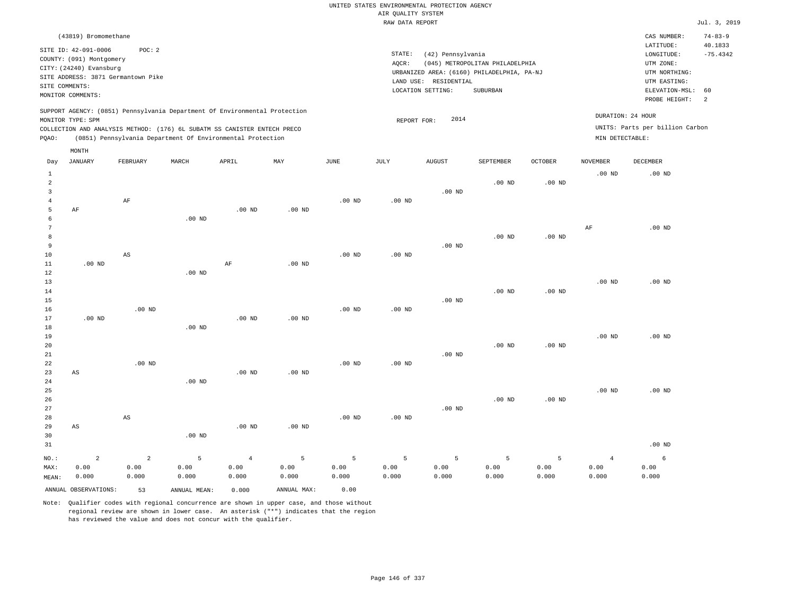|                |                                                  |                                                                            |                   |                |                   |                   |                    | UNITED STATES ENVIRONMENTAL PROTECTION AGENCY |                                            |                   |                   |                                 |                |
|----------------|--------------------------------------------------|----------------------------------------------------------------------------|-------------------|----------------|-------------------|-------------------|--------------------|-----------------------------------------------|--------------------------------------------|-------------------|-------------------|---------------------------------|----------------|
|                |                                                  |                                                                            |                   |                |                   |                   | AIR OUALITY SYSTEM |                                               |                                            |                   |                   |                                 |                |
|                |                                                  |                                                                            |                   |                |                   |                   | RAW DATA REPORT    |                                               |                                            |                   |                   |                                 | Jul. 3, 2019   |
|                | (43819) Bromomethane                             |                                                                            |                   |                |                   |                   |                    |                                               |                                            |                   |                   | CAS NUMBER:                     | $74 - 83 - 9$  |
|                |                                                  |                                                                            |                   |                |                   |                   |                    |                                               |                                            |                   |                   | LATITUDE:                       | 40.1833        |
|                | SITE ID: 42-091-0006<br>COUNTY: (091) Montgomery | POC: 2                                                                     |                   |                |                   |                   | STATE:             | (42) Pennsylvania                             |                                            |                   |                   | $\texttt{LONGITUDE}$ :          | $-75.4342$     |
|                | CITY: (24240) Evansburg                          |                                                                            |                   |                |                   |                   | AOCR:              |                                               | (045) METROPOLITAN PHILADELPHIA            |                   |                   | UTM ZONE:                       |                |
|                |                                                  | SITE ADDRESS: 3871 Germantown Pike                                         |                   |                |                   |                   |                    |                                               | URBANIZED AREA: (6160) PHILADELPHIA, PA-NJ |                   |                   | UTM NORTHING:                   |                |
| SITE COMMENTS: |                                                  |                                                                            |                   |                |                   |                   |                    | LAND USE: RESIDENTIAL                         |                                            |                   |                   | UTM EASTING:                    |                |
|                | MONITOR COMMENTS:                                |                                                                            |                   |                |                   |                   |                    | LOCATION SETTING:                             | SUBURBAN                                   |                   |                   | ELEVATION-MSL:                  | 60             |
|                |                                                  |                                                                            |                   |                |                   |                   |                    |                                               |                                            |                   |                   | PROBE HEIGHT:                   | $\overline{2}$ |
|                |                                                  | SUPPORT AGENCY: (0851) Pennsylvania Department Of Environmental Protection |                   |                |                   |                   |                    |                                               |                                            |                   |                   | DURATION: 24 HOUR               |                |
|                | MONITOR TYPE: SPM                                |                                                                            |                   |                |                   |                   | REPORT FOR:        | 2014                                          |                                            |                   |                   |                                 |                |
|                |                                                  | COLLECTION AND ANALYSIS METHOD: (176) 6L SUBATM SS CANISTER ENTECH PRECO   |                   |                |                   |                   |                    |                                               |                                            |                   |                   | UNITS: Parts per billion Carbon |                |
| PQAO:          |                                                  | (0851) Pennsylvania Department Of Environmental Protection                 |                   |                |                   |                   |                    |                                               |                                            |                   | MIN DETECTABLE:   |                                 |                |
|                | MONTH                                            |                                                                            |                   |                |                   |                   |                    |                                               |                                            |                   |                   |                                 |                |
| Day            | <b>JANUARY</b>                                   | FEBRUARY                                                                   | MARCH             | APRIL          | MAY               | JUNE              | JULY               | <b>AUGUST</b>                                 | SEPTEMBER                                  | <b>OCTOBER</b>    | <b>NOVEMBER</b>   | <b>DECEMBER</b>                 |                |
| $\mathbf{1}$   |                                                  |                                                                            |                   |                |                   |                   |                    |                                               |                                            |                   | .00 <sub>ND</sub> | $.00$ ND                        |                |
| $\overline{a}$ |                                                  |                                                                            |                   |                |                   |                   |                    |                                               | $.00$ ND                                   | .00 <sub>ND</sub> |                   |                                 |                |
| $\overline{3}$ |                                                  |                                                                            |                   |                |                   |                   |                    | $.00$ ND                                      |                                            |                   |                   |                                 |                |
| $\overline{4}$ |                                                  | AF                                                                         |                   |                |                   | $.00$ ND          | $.00$ ND           |                                               |                                            |                   |                   |                                 |                |
| 5              | AF                                               |                                                                            |                   | $.00$ ND       | $.00$ ND          |                   |                    |                                               |                                            |                   |                   |                                 |                |
| 6<br>7         |                                                  |                                                                            | $.00$ ND          |                |                   |                   |                    |                                               |                                            |                   |                   |                                 |                |
| 8              |                                                  |                                                                            |                   |                |                   |                   |                    |                                               | $.00$ ND                                   |                   | $\rm AF$          | $.00$ ND                        |                |
| 9              |                                                  |                                                                            |                   |                |                   |                   |                    | .00 <sub>ND</sub>                             |                                            | .00 <sub>ND</sub> |                   |                                 |                |
| 10             |                                                  | $_{\rm AS}$                                                                |                   |                |                   | .00 <sub>ND</sub> | $.00$ ND           |                                               |                                            |                   |                   |                                 |                |
| 11             | .00 <sub>ND</sub>                                |                                                                            |                   | AF             | .00 <sub>ND</sub> |                   |                    |                                               |                                            |                   |                   |                                 |                |
| 12             |                                                  |                                                                            | $.00$ ND          |                |                   |                   |                    |                                               |                                            |                   |                   |                                 |                |
| 13             |                                                  |                                                                            |                   |                |                   |                   |                    |                                               |                                            |                   | .00 <sub>ND</sub> | .00 <sub>ND</sub>               |                |
| 14             |                                                  |                                                                            |                   |                |                   |                   |                    |                                               | $.00$ ND                                   | $.00$ ND          |                   |                                 |                |
| 15             |                                                  |                                                                            |                   |                |                   |                   |                    | .00 <sub>ND</sub>                             |                                            |                   |                   |                                 |                |
| 16             |                                                  | $.00$ ND                                                                   |                   |                |                   | $.00$ ND          | $.00$ ND           |                                               |                                            |                   |                   |                                 |                |
| 17             | $.00$ ND                                         |                                                                            |                   | $.00$ ND       | .00 <sub>ND</sub> |                   |                    |                                               |                                            |                   |                   |                                 |                |
| 18             |                                                  |                                                                            | $.00$ ND          |                |                   |                   |                    |                                               |                                            |                   |                   |                                 |                |
| 19             |                                                  |                                                                            |                   |                |                   |                   |                    |                                               |                                            |                   | .00 <sub>ND</sub> | .00 <sub>ND</sub>               |                |
| 20             |                                                  |                                                                            |                   |                |                   |                   |                    |                                               | $.00$ ND                                   | $.00$ ND          |                   |                                 |                |
| 21             |                                                  |                                                                            |                   |                |                   |                   |                    | .00 <sub>ND</sub>                             |                                            |                   |                   |                                 |                |
| $2\sqrt{2}$    |                                                  | $.00$ ND                                                                   |                   |                |                   | .00 <sub>ND</sub> | .00 <sub>ND</sub>  |                                               |                                            |                   |                   |                                 |                |
| 23             | AS                                               |                                                                            |                   | $.00$ ND       | $.00$ ND          |                   |                    |                                               |                                            |                   |                   |                                 |                |
| 24             |                                                  |                                                                            | .00 <sub>ND</sub> |                |                   |                   |                    |                                               |                                            |                   |                   |                                 |                |
| 25             |                                                  |                                                                            |                   |                |                   |                   |                    |                                               |                                            |                   | .00 <sub>ND</sub> | $.00$ ND                        |                |
| 26<br>27       |                                                  |                                                                            |                   |                |                   |                   |                    | $.00$ ND                                      | .00 <sub>ND</sub>                          | .00 <sub>ND</sub> |                   |                                 |                |
| 28             |                                                  | $\mathbb{A}\mathbb{S}$                                                     |                   |                |                   | .00 <sub>ND</sub> | .00 <sub>ND</sub>  |                                               |                                            |                   |                   |                                 |                |
| 29             | AS                                               |                                                                            |                   | $.00$ ND       | $.00$ ND          |                   |                    |                                               |                                            |                   |                   |                                 |                |
| 30             |                                                  |                                                                            | $.00$ ND          |                |                   |                   |                    |                                               |                                            |                   |                   |                                 |                |
| 31             |                                                  |                                                                            |                   |                |                   |                   |                    |                                               |                                            |                   |                   | $.00$ ND                        |                |
|                |                                                  |                                                                            |                   |                |                   |                   |                    |                                               |                                            |                   |                   |                                 |                |
| NO.:           | $\overline{2}$                                   | $\overline{a}$                                                             | 5                 | $\overline{4}$ | $\overline{5}$    | 5                 | 5                  | 5                                             | 5                                          | 5                 | $\overline{4}$    | $\epsilon$                      |                |
| MAX:           | 0.00<br>0.000                                    | 0.00<br>0.000                                                              | 0.00<br>0.000     | 0.00<br>0.000  | 0.00<br>0.000     | 0.00<br>0.000     | 0.00<br>0.000      | 0.00<br>0.000                                 | 0.00<br>0.000                              | 0.00<br>0.000     | 0.00<br>0.000     | 0.00<br>0.000                   |                |
| MEAN:          |                                                  |                                                                            |                   |                |                   |                   |                    |                                               |                                            |                   |                   |                                 |                |

ANNUAL OBSERVATIONS: 53 ANNUAL MEAN: 0.000 ANNUAL MAX: 0.00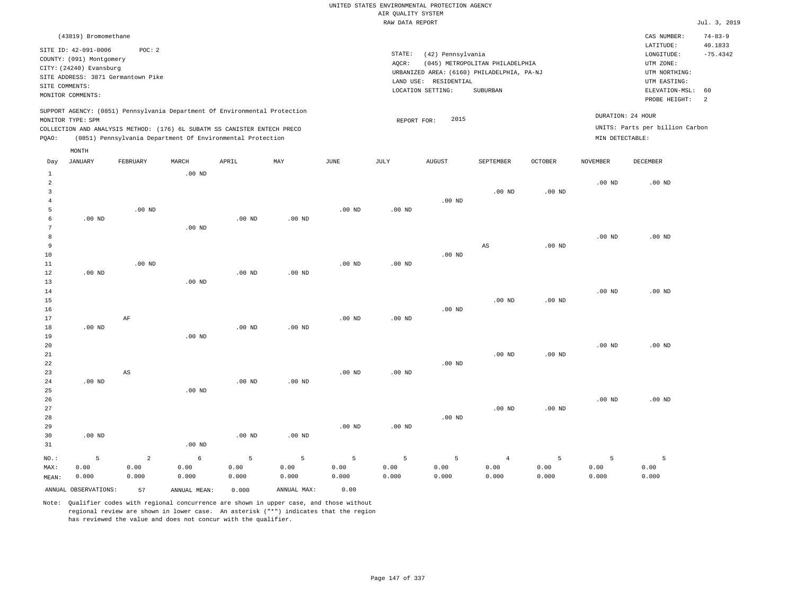|                         |                                                  |                                                                            |          |                   |                   |          | AIR QUALITY SYSTEM | UNITED STATES ENVIRONMENTAL PROTECTION AGENCY |                                            |                   |                   |                                 |                          |
|-------------------------|--------------------------------------------------|----------------------------------------------------------------------------|----------|-------------------|-------------------|----------|--------------------|-----------------------------------------------|--------------------------------------------|-------------------|-------------------|---------------------------------|--------------------------|
|                         |                                                  |                                                                            |          |                   |                   |          | RAW DATA REPORT    |                                               |                                            |                   |                   |                                 | Jul. 3, 2019             |
|                         | (43819) Bromomethane                             |                                                                            |          |                   |                   |          |                    |                                               |                                            |                   |                   | CAS NUMBER:<br>LATITUDE:        | $74 - 83 - 9$<br>40.1833 |
|                         | SITE ID: 42-091-0006<br>COUNTY: (091) Montgomery | POC: 2                                                                     |          |                   |                   |          | STATE:             | (42) Pennsylvania                             |                                            |                   |                   | LONGITUDE:                      | $-75.4342$               |
|                         | CITY: (24240) Evansburg                          |                                                                            |          |                   |                   |          | AQCR:              |                                               | (045) METROPOLITAN PHILADELPHIA            |                   |                   | UTM ZONE:                       |                          |
|                         |                                                  | SITE ADDRESS: 3871 Germantown Pike                                         |          |                   |                   |          |                    |                                               | URBANIZED AREA: (6160) PHILADELPHIA, PA-NJ |                   |                   | UTM NORTHING:                   |                          |
| SITE COMMENTS:          |                                                  |                                                                            |          |                   |                   |          |                    | LAND USE: RESIDENTIAL                         |                                            |                   |                   | UTM EASTING:                    |                          |
|                         | MONITOR COMMENTS:                                |                                                                            |          |                   |                   |          |                    | LOCATION SETTING:                             | <b>SUBURBAN</b>                            |                   |                   | ELEVATION-MSL:<br>PROBE HEIGHT: | 60<br>2                  |
|                         |                                                  | SUPPORT AGENCY: (0851) Pennsylvania Department Of Environmental Protection |          |                   |                   |          |                    |                                               |                                            |                   |                   |                                 |                          |
|                         | MONITOR TYPE: SPM                                |                                                                            |          |                   |                   |          | REPORT FOR:        | 2015                                          |                                            |                   |                   | DURATION: 24 HOUR               |                          |
|                         |                                                  | COLLECTION AND ANALYSIS METHOD: (176) 6L SUBATM SS CANISTER ENTECH PRECO   |          |                   |                   |          |                    |                                               |                                            |                   |                   | UNITS: Parts per billion Carbon |                          |
| PQAO:                   |                                                  | (0851) Pennsylvania Department Of Environmental Protection                 |          |                   |                   |          |                    |                                               |                                            |                   | MIN DETECTABLE:   |                                 |                          |
|                         | MONTH                                            |                                                                            |          |                   |                   |          |                    |                                               |                                            |                   |                   |                                 |                          |
| Day                     | <b>JANUARY</b>                                   | FEBRUARY                                                                   | MARCH    | APRIL             | $_{\rm MAY}$      | JUNE     | JULY               | <b>AUGUST</b>                                 | SEPTEMBER                                  | <b>OCTOBER</b>    | <b>NOVEMBER</b>   | DECEMBER                        |                          |
| $\mathbf{1}$            |                                                  |                                                                            | $.00$ ND |                   |                   |          |                    |                                               |                                            |                   |                   |                                 |                          |
| $\overline{a}$          |                                                  |                                                                            |          |                   |                   |          |                    |                                               |                                            |                   | .00 <sub>ND</sub> | $.00$ ND                        |                          |
| $\overline{\mathbf{3}}$ |                                                  |                                                                            |          |                   |                   |          |                    |                                               | .00 <sub>ND</sub>                          | .00 <sub>ND</sub> |                   |                                 |                          |
| $\overline{4}$          |                                                  |                                                                            |          |                   |                   |          |                    | $.00$ ND                                      |                                            |                   |                   |                                 |                          |
| 5<br>6                  | .00 <sub>ND</sub>                                | $.00$ ND                                                                   |          | .00 <sub>ND</sub> | .00 <sub>ND</sub> | $.00$ ND | $.00$ ND           |                                               |                                            |                   |                   |                                 |                          |
| 7                       |                                                  |                                                                            | $.00$ ND |                   |                   |          |                    |                                               |                                            |                   |                   |                                 |                          |
| 8                       |                                                  |                                                                            |          |                   |                   |          |                    |                                               |                                            |                   | .00 <sub>ND</sub> | $.00$ ND                        |                          |
| 9                       |                                                  |                                                                            |          |                   |                   |          |                    |                                               | $_{\rm AS}$                                | $.00$ ND          |                   |                                 |                          |
| 10                      |                                                  |                                                                            |          |                   |                   |          |                    | $.00$ ND                                      |                                            |                   |                   |                                 |                          |
| 11                      |                                                  | $.00$ ND                                                                   |          |                   |                   | $.00$ ND | $.00$ ND           |                                               |                                            |                   |                   |                                 |                          |
| 12                      | $.00$ ND                                         |                                                                            |          | $.00$ ND          | $.00$ ND          |          |                    |                                               |                                            |                   |                   |                                 |                          |
| 13                      |                                                  |                                                                            | $.00$ ND |                   |                   |          |                    |                                               |                                            |                   |                   |                                 |                          |
| $1\,4$                  |                                                  |                                                                            |          |                   |                   |          |                    |                                               |                                            |                   | $.00$ ND          | $.00$ ND                        |                          |
| 15                      |                                                  |                                                                            |          |                   |                   |          |                    |                                               | $.00$ ND                                   | $.00$ ND          |                   |                                 |                          |
| 16                      |                                                  |                                                                            |          |                   |                   |          |                    | $.00$ ND                                      |                                            |                   |                   |                                 |                          |
| 17<br>18                | $.00$ ND                                         | AF                                                                         |          | .00 <sub>ND</sub> | .00 <sub>ND</sub> | $.00$ ND | $.00$ ND           |                                               |                                            |                   |                   |                                 |                          |
| 19                      |                                                  |                                                                            | $.00$ ND |                   |                   |          |                    |                                               |                                            |                   |                   |                                 |                          |
| 20                      |                                                  |                                                                            |          |                   |                   |          |                    |                                               |                                            |                   | .00 <sub>ND</sub> | $.00$ ND                        |                          |
| 21                      |                                                  |                                                                            |          |                   |                   |          |                    |                                               | $.00$ ND                                   | $.00$ ND          |                   |                                 |                          |
| 22                      |                                                  |                                                                            |          |                   |                   |          |                    | $.00$ ND                                      |                                            |                   |                   |                                 |                          |
| 23                      |                                                  | AS                                                                         |          |                   |                   | $.00$ ND | $.00$ ND           |                                               |                                            |                   |                   |                                 |                          |
| 24                      | $.00$ ND                                         |                                                                            |          | $.00$ ND          | $.00$ ND          |          |                    |                                               |                                            |                   |                   |                                 |                          |
| 25                      |                                                  |                                                                            | $.00$ ND |                   |                   |          |                    |                                               |                                            |                   |                   |                                 |                          |
| 26                      |                                                  |                                                                            |          |                   |                   |          |                    |                                               |                                            |                   | $.00$ ND          | $.00$ ND                        |                          |
| 27                      |                                                  |                                                                            |          |                   |                   |          |                    |                                               | .00 <sub>ND</sub>                          | $.00$ ND          |                   |                                 |                          |
| 28                      |                                                  |                                                                            |          |                   |                   |          |                    | $.00$ ND                                      |                                            |                   |                   |                                 |                          |
| 29                      |                                                  |                                                                            |          |                   |                   | $.00$ ND | $.00$ ND           |                                               |                                            |                   |                   |                                 |                          |
| 30                      | $.00$ ND                                         |                                                                            |          | $.00$ ND          | .00 <sub>ND</sub> |          |                    |                                               |                                            |                   |                   |                                 |                          |
| 31                      |                                                  |                                                                            | $.00$ ND |                   |                   |          |                    |                                               |                                            |                   |                   |                                 |                          |
| NO.:                    | 5                                                | $\overline{a}$                                                             | 6        | 5                 | 5                 | 5        | 5                  | 5                                             | $\overline{4}$                             | 5                 | 5                 | 5                               |                          |
| MAX:                    | 0.00                                             | 0.00                                                                       | 0.00     | 0.00              | 0.00              | 0.00     | 0.00               | 0.00                                          | 0.00                                       | 0.00              | 0.00              | 0.00                            |                          |
| MEAN:                   | 0.000                                            | 0.000                                                                      | 0.000    | 0.000             | 0.000             | 0.000    | 0.000              | 0.000                                         | 0.000                                      | 0.000             | 0.000             | 0.000                           |                          |

ANNUAL OBSERVATIONS: 57 ANNUAL MEAN: 0.000 ANNUAL MAX: 0.00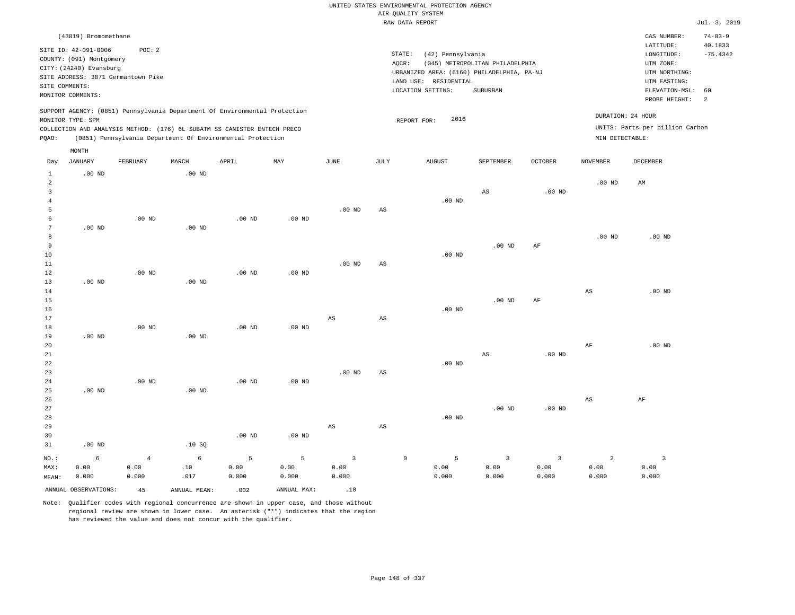|                                                      |                                                                                                                                        |                             |                                                                                                                                                                                                                      |                    |                    |                                          |                 | UNITED STATES ENVIRONMENTAL PROTECTION AGENCY                                                                 |                                                    |                               |                                      |                                                                                                          |                                  |
|------------------------------------------------------|----------------------------------------------------------------------------------------------------------------------------------------|-----------------------------|----------------------------------------------------------------------------------------------------------------------------------------------------------------------------------------------------------------------|--------------------|--------------------|------------------------------------------|-----------------|---------------------------------------------------------------------------------------------------------------|----------------------------------------------------|-------------------------------|--------------------------------------|----------------------------------------------------------------------------------------------------------|----------------------------------|
|                                                      |                                                                                                                                        |                             |                                                                                                                                                                                                                      |                    |                    |                                          |                 | AIR QUALITY SYSTEM<br>RAW DATA REPORT                                                                         |                                                    |                               |                                      |                                                                                                          | Jul. 3, 2019                     |
|                                                      | (43819) Bromomethane                                                                                                                   |                             |                                                                                                                                                                                                                      |                    |                    |                                          |                 |                                                                                                               |                                                    |                               |                                      | CAS NUMBER:                                                                                              | $74 - 83 - 9$                    |
| SITE COMMENTS:                                       | SITE ID: 42-091-0006<br>COUNTY: (091) Montgomery<br>CITY: (24240) Evansburg<br>SITE ADDRESS: 3871 Germantown Pike<br>MONITOR COMMENTS: | POC: 2                      |                                                                                                                                                                                                                      |                    |                    |                                          | STATE:<br>AQCR: | (42) Pennsylvania<br>URBANIZED AREA: (6160) PHILADELPHIA, PA-NJ<br>LAND USE: RESIDENTIAL<br>LOCATION SETTING: | (045) METROPOLITAN PHILADELPHIA<br><b>SUBURBAN</b> |                               |                                      | LATITUDE:<br>LONGITUDE:<br>UTM ZONE:<br>UTM NORTHING:<br>UTM EASTING:<br>ELEVATION-MSL:<br>PROBE HEIGHT: | 40.1833<br>$-75.4342$<br>60<br>2 |
| PQAO:                                                | MONITOR TYPE: SPM                                                                                                                      |                             | SUPPORT AGENCY: (0851) Pennsylvania Department Of Environmental Protection<br>COLLECTION AND ANALYSIS METHOD: (176) 6L SUBATM SS CANISTER ENTECH PRECO<br>(0851) Pennsylvania Department Of Environmental Protection |                    |                    |                                          |                 | 2016<br>REPORT FOR:                                                                                           |                                                    |                               | DURATION: 24 HOUR<br>MIN DETECTABLE: | UNITS: Parts per billion Carbon                                                                          |                                  |
|                                                      | MONTH                                                                                                                                  |                             |                                                                                                                                                                                                                      |                    |                    |                                          |                 |                                                                                                               |                                                    |                               |                                      |                                                                                                          |                                  |
| Day                                                  | JANUARY                                                                                                                                | FEBRUARY                    | MARCH                                                                                                                                                                                                                | APRIL              | MAY                | JUNE                                     | <b>JULY</b>     | <b>AUGUST</b>                                                                                                 | SEPTEMBER                                          | OCTOBER                       | <b>NOVEMBER</b>                      | <b>DECEMBER</b>                                                                                          |                                  |
| $\mathbf{1}$<br>$\sqrt{2}$<br>$\overline{3}$         | .00 <sub>ND</sub>                                                                                                                      |                             | $.00$ ND                                                                                                                                                                                                             |                    |                    |                                          |                 |                                                                                                               | AS                                                 | $.00$ ND                      | $.00$ ND                             | $\mathbb{A}\mathbb{M}$                                                                                   |                                  |
| $\overline{4}$<br>5<br>$\epsilon$<br>$7\phantom{.0}$ | $.00$ ND                                                                                                                               | .00 <sub>ND</sub>           | $.00$ ND                                                                                                                                                                                                             | $.00$ ND           | .00 <sub>ND</sub>  | $.00$ ND                                 | AS              | $.00$ ND                                                                                                      |                                                    |                               |                                      |                                                                                                          |                                  |
| 8<br>$\overline{9}$<br>10<br>11                      |                                                                                                                                        |                             |                                                                                                                                                                                                                      |                    |                    | .00 <sub>ND</sub>                        | AS              | $.00$ ND                                                                                                      | $.00$ ND                                           | AF                            | .00 <sub>ND</sub>                    | $.00$ ND                                                                                                 |                                  |
| 12<br>13<br>14<br>15<br>16                           | $.00$ ND                                                                                                                               | $.00$ ND                    | $.00$ ND                                                                                                                                                                                                             | $.00$ ND           | $.00$ ND           |                                          |                 | $.00$ ND                                                                                                      | $.00$ ND                                           | $\rm{AF}$                     | AS                                   | $.00$ ND                                                                                                 |                                  |
| 17<br>18<br>19                                       | $.00$ ND                                                                                                                               | $.00$ ND                    | $.00$ ND                                                                                                                                                                                                             | .00 <sub>ND</sub>  | $.00$ ND           | AS                                       | $_{\rm AS}$     |                                                                                                               |                                                    |                               |                                      |                                                                                                          |                                  |
| 20<br>21<br>22<br>23                                 |                                                                                                                                        |                             |                                                                                                                                                                                                                      |                    |                    | .00 <sub>ND</sub>                        | AS              | $.00$ ND                                                                                                      | AS                                                 | $.00$ ND                      | $\rm AF$                             | $.00$ ND                                                                                                 |                                  |
| 24<br>25<br>26<br>27                                 | $.00$ ND                                                                                                                               | .00 <sub>ND</sub>           | $.00$ ND                                                                                                                                                                                                             | .00 <sub>ND</sub>  | $.00$ ND           |                                          |                 |                                                                                                               | $.00$ ND                                           | .00 <sub>ND</sub>             | AS                                   | AF                                                                                                       |                                  |
| 28<br>29<br>30<br>31                                 | $.00$ ND                                                                                                                               |                             | .10SQ                                                                                                                                                                                                                | $.00$ ND           | $.00$ ND           | $\mathbb{A}\mathbb{S}$                   | $_{\rm AS}$     | $.00$ ND                                                                                                      |                                                    |                               |                                      |                                                                                                          |                                  |
| NO.:<br>MAX:<br>MEAN:                                | $\epsilon$<br>0.00<br>0.000                                                                                                            | $\sqrt{4}$<br>0.00<br>0.000 | $\epsilon$<br>.10<br>.017                                                                                                                                                                                            | 5<br>0.00<br>0.000 | 5<br>0.00<br>0.000 | $\overline{\mathbf{3}}$<br>0.00<br>0.000 |                 | $\mathbb O$<br>5<br>0.00<br>0.000                                                                             | $\overline{\mathbf{3}}$<br>0.00<br>0.000           | $\mathbf{3}$<br>0.00<br>0.000 | $\overline{a}$<br>0.00<br>0.000      | $\overline{\mathbf{3}}$<br>0.00<br>0.000                                                                 |                                  |
|                                                      | ANNUAL OBSERVATIONS:                                                                                                                   | 45                          | ANNUAL, MEAN:                                                                                                                                                                                                        | .002               | ANNUAL MAX:        | .10                                      |                 |                                                                                                               |                                                    |                               |                                      |                                                                                                          |                                  |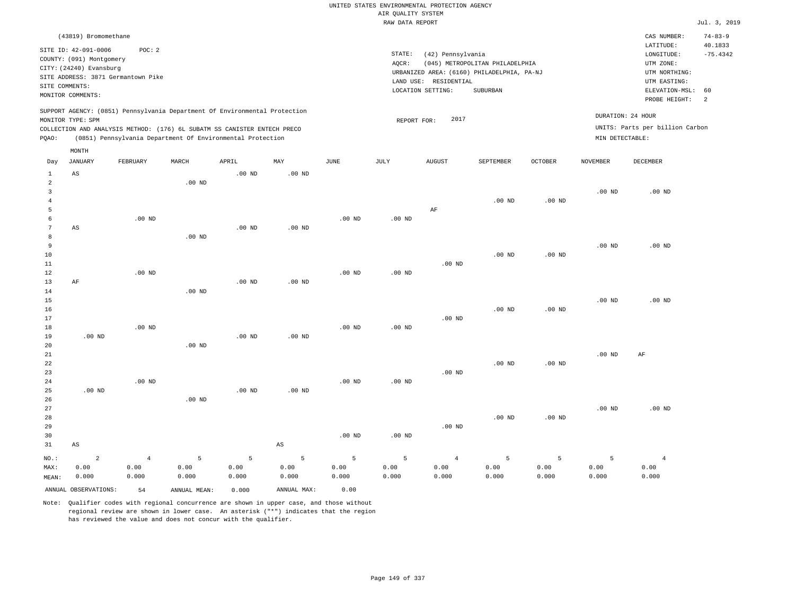|                   |                                                  |                |                   |                                                                            |             |                   |                    | UNITED STATES ENVIRONMENTAL PROTECTION AGENCY |                                            |                   |                   |                                 |                          |
|-------------------|--------------------------------------------------|----------------|-------------------|----------------------------------------------------------------------------|-------------|-------------------|--------------------|-----------------------------------------------|--------------------------------------------|-------------------|-------------------|---------------------------------|--------------------------|
|                   |                                                  |                |                   |                                                                            |             |                   | AIR QUALITY SYSTEM |                                               |                                            |                   |                   |                                 |                          |
|                   |                                                  |                |                   |                                                                            |             |                   | RAW DATA REPORT    |                                               |                                            |                   |                   |                                 | Jul. 3, 2019             |
|                   | (43819) Bromomethane                             |                |                   |                                                                            |             |                   |                    |                                               |                                            |                   |                   | CAS NUMBER:<br>LATITUDE:        | $74 - 83 - 9$<br>40.1833 |
|                   | SITE ID: 42-091-0006<br>COUNTY: (091) Montgomery | POC: 2         |                   |                                                                            |             |                   | STATE:             | (42) Pennsylvania                             |                                            |                   |                   | LONGITUDE:                      | $-75.4342$               |
|                   | CITY: (24240) Evansburg                          |                |                   |                                                                            |             |                   | AQCR:              |                                               | (045) METROPOLITAN PHILADELPHIA            |                   |                   | UTM ZONE:                       |                          |
|                   | SITE ADDRESS: 3871 Germantown Pike               |                |                   |                                                                            |             |                   |                    |                                               | URBANIZED AREA: (6160) PHILADELPHIA, PA-NJ |                   |                   | UTM NORTHING:                   |                          |
| SITE COMMENTS:    |                                                  |                |                   |                                                                            |             |                   |                    | LAND USE: RESIDENTIAL<br>LOCATION SETTING:    | SUBURBAN                                   |                   |                   | UTM EASTING:<br>ELEVATION-MSL:  | 60                       |
|                   | MONITOR COMMENTS:                                |                |                   |                                                                            |             |                   |                    |                                               |                                            |                   |                   | PROBE HEIGHT:                   | 2                        |
|                   | MONITOR TYPE: SPM                                |                |                   | SUPPORT AGENCY: (0851) Pennsylvania Department Of Environmental Protection |             |                   |                    | 2017                                          |                                            |                   |                   | DURATION: 24 HOUR               |                          |
|                   |                                                  |                |                   | COLLECTION AND ANALYSIS METHOD: (176) 6L SUBATM SS CANISTER ENTECH PRECO   |             |                   | REPORT FOR:        |                                               |                                            |                   |                   | UNITS: Parts per billion Carbon |                          |
| PQAO:             |                                                  |                |                   | (0851) Pennsylvania Department Of Environmental Protection                 |             |                   |                    |                                               |                                            |                   | MIN DETECTABLE:   |                                 |                          |
|                   | MONTH                                            |                |                   |                                                                            |             |                   |                    |                                               |                                            |                   |                   |                                 |                          |
| Day               | <b>JANUARY</b>                                   | FEBRUARY       | MARCH             | APRIL                                                                      | MAY         | <b>JUNE</b>       | <b>JULY</b>        | <b>AUGUST</b>                                 | SEPTEMBER                                  | OCTOBER           | <b>NOVEMBER</b>   | <b>DECEMBER</b>                 |                          |
| $\mathbf{1}$<br>2 | AS                                               |                |                   | .00 <sub>ND</sub>                                                          | $.00$ ND    |                   |                    |                                               |                                            |                   |                   |                                 |                          |
| $\overline{3}$    |                                                  |                | .00 <sub>ND</sub> |                                                                            |             |                   |                    |                                               |                                            |                   | $.00$ ND          | $.00$ ND                        |                          |
| $\overline{4}$    |                                                  |                |                   |                                                                            |             |                   |                    |                                               | $.00$ ND                                   | $.00$ ND          |                   |                                 |                          |
| 5                 |                                                  |                |                   |                                                                            |             |                   |                    | AF                                            |                                            |                   |                   |                                 |                          |
| 6                 |                                                  | $.00$ ND       |                   |                                                                            |             | $.00$ ND          | $.00$ ND           |                                               |                                            |                   |                   |                                 |                          |
| 7                 | AS                                               |                |                   | .00 <sub>ND</sub>                                                          | $.00$ ND    |                   |                    |                                               |                                            |                   |                   |                                 |                          |
| 8                 |                                                  |                | .00 <sub>ND</sub> |                                                                            |             |                   |                    |                                               |                                            |                   |                   |                                 |                          |
| $\overline{9}$    |                                                  |                |                   |                                                                            |             |                   |                    |                                               |                                            |                   | $.00$ ND          | $.00$ ND                        |                          |
| 10                |                                                  |                |                   |                                                                            |             |                   |                    |                                               | $.00$ ND                                   | .00 <sub>ND</sub> |                   |                                 |                          |
| 11                |                                                  | $.00$ ND       |                   |                                                                            |             | $.00$ ND          | .00 <sub>ND</sub>  | $.00$ ND                                      |                                            |                   |                   |                                 |                          |
| 12<br>13          | $\rm{AF}$                                        |                |                   | .00 <sub>ND</sub>                                                          | $.00$ ND    |                   |                    |                                               |                                            |                   |                   |                                 |                          |
| 14                |                                                  |                | $.00$ ND          |                                                                            |             |                   |                    |                                               |                                            |                   |                   |                                 |                          |
| 15                |                                                  |                |                   |                                                                            |             |                   |                    |                                               |                                            |                   | .00 <sub>ND</sub> | $.00$ ND                        |                          |
| 16                |                                                  |                |                   |                                                                            |             |                   |                    |                                               | $.00$ ND                                   | $.00$ ND          |                   |                                 |                          |
| 17                |                                                  |                |                   |                                                                            |             |                   |                    | $.00$ ND                                      |                                            |                   |                   |                                 |                          |
| 18                |                                                  | $.00$ ND       |                   |                                                                            |             | $.00$ ND          | .00 <sub>ND</sub>  |                                               |                                            |                   |                   |                                 |                          |
| 19                | $.00$ ND                                         |                |                   | $.00$ ND                                                                   | $.00$ ND    |                   |                    |                                               |                                            |                   |                   |                                 |                          |
| 20                |                                                  |                | $.00$ ND          |                                                                            |             |                   |                    |                                               |                                            |                   |                   |                                 |                          |
| 21<br>22          |                                                  |                |                   |                                                                            |             |                   |                    |                                               | $.00$ ND                                   | $.00$ ND          | $.00$ ND          | AF                              |                          |
| 23                |                                                  |                |                   |                                                                            |             |                   |                    | $.00$ ND                                      |                                            |                   |                   |                                 |                          |
| 24                |                                                  | $.00$ ND       |                   |                                                                            |             | .00 <sub>ND</sub> | .00 <sub>ND</sub>  |                                               |                                            |                   |                   |                                 |                          |
| 25                | $.00$ ND                                         |                |                   | $.00$ ND                                                                   | $.00$ ND    |                   |                    |                                               |                                            |                   |                   |                                 |                          |
| 26                |                                                  |                | $.00$ ND          |                                                                            |             |                   |                    |                                               |                                            |                   |                   |                                 |                          |
| 27                |                                                  |                |                   |                                                                            |             |                   |                    |                                               |                                            |                   | $.00$ ND          | $.00$ ND                        |                          |
| 28                |                                                  |                |                   |                                                                            |             |                   |                    |                                               | $.00$ ND                                   | $.00$ ND          |                   |                                 |                          |
| 29                |                                                  |                |                   |                                                                            |             |                   |                    | $.00$ ND                                      |                                            |                   |                   |                                 |                          |
| 30                |                                                  |                |                   |                                                                            |             | .00 <sub>ND</sub> | .00 <sub>ND</sub>  |                                               |                                            |                   |                   |                                 |                          |
| 31                | $\mathbb{A}\mathbb{S}$                           |                |                   |                                                                            | $_{\rm AS}$ |                   |                    |                                               |                                            |                   |                   |                                 |                          |
| NO.:              | $\overline{a}$                                   | $\overline{4}$ | 5                 | 5                                                                          | 5           | 5                 | 5                  | $\overline{4}$                                | 5                                          | 5                 | 5                 | $\overline{4}$                  |                          |
| MAX:              | 0.00                                             | 0.00           | 0.00              | 0.00                                                                       | 0.00        | 0.00              | 0.00               | 0.00                                          | 0.00                                       | 0.00              | 0.00              | 0.00                            |                          |
| MEAN:             | 0.000                                            | 0.000          | 0.000             | 0.000                                                                      | 0.000       | 0.000             | 0.000              | 0.000                                         | 0.000                                      | 0.000             | 0.000             | 0.000                           |                          |
|                   | ANNUAL OBSERVATIONS:                             | 54             | ANNUAL, MEAN:     | 0.000                                                                      | ANNUAL MAX: | 0.00              |                    |                                               |                                            |                   |                   |                                 |                          |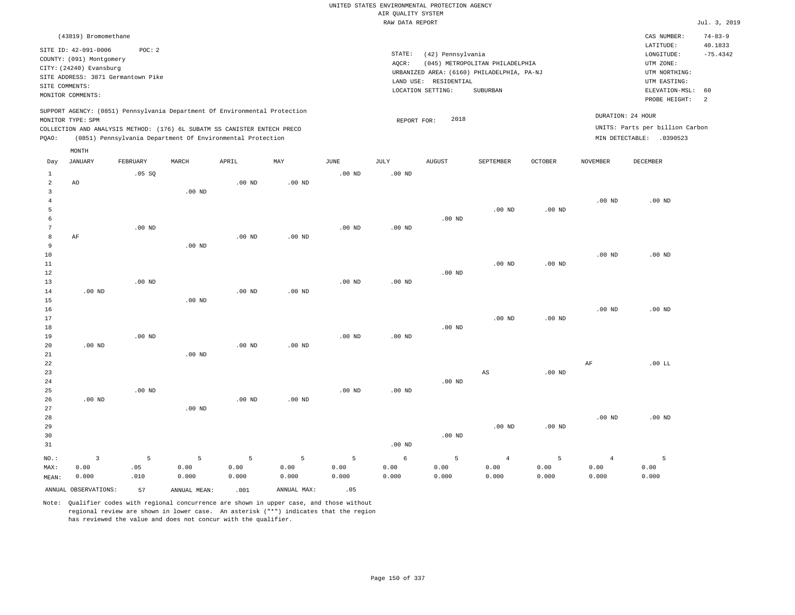|                                  |                                                                                                                                                                |          |                   |                                                            |                        |                        |                                       | UNITED STATES ENVIRONMENTAL PROTECTION AGENCY                   |                                                                                           |                |                        |                                                                                                                         |                                                   |
|----------------------------------|----------------------------------------------------------------------------------------------------------------------------------------------------------------|----------|-------------------|------------------------------------------------------------|------------------------|------------------------|---------------------------------------|-----------------------------------------------------------------|-------------------------------------------------------------------------------------------|----------------|------------------------|-------------------------------------------------------------------------------------------------------------------------|---------------------------------------------------|
|                                  |                                                                                                                                                                |          |                   |                                                            |                        |                        | AIR QUALITY SYSTEM<br>RAW DATA REPORT |                                                                 |                                                                                           |                |                        |                                                                                                                         | Jul. 3, 2019                                      |
|                                  |                                                                                                                                                                |          |                   |                                                            |                        |                        |                                       |                                                                 |                                                                                           |                |                        |                                                                                                                         |                                                   |
| SITE COMMENTS:                   | (43819) Bromomethane<br>SITE ID: 42-091-0006<br>COUNTY: (091) Montgomery<br>CITY: (24240) Evansburg<br>SITE ADDRESS: 3871 Germantown Pike<br>MONITOR COMMENTS: | POC: 2   |                   |                                                            |                        |                        | $\texttt{STATE}$ :<br>AQCR:           | (42) Pennsylvania<br>LAND USE: RESIDENTIAL<br>LOCATION SETTING: | (045) METROPOLITAN PHILADELPHIA<br>URBANIZED AREA: (6160) PHILADELPHIA, PA-NJ<br>SUBURBAN |                |                        | CAS NUMBER:<br>LATITUDE:<br>LONGITUDE:<br>UTM ZONE:<br>UTM NORTHING:<br>UTM EASTING:<br>ELEVATION-MSL:<br>PROBE HEIGHT: | $74 - 83 - 9$<br>40.1833<br>$-75.4342$<br>60<br>2 |
|                                  | SUPPORT AGENCY: (0851) Pennsylvania Department Of Environmental Protection<br>MONITOR TYPE: SPM                                                                |          |                   |                                                            |                        |                        | REPORT FOR:                           | 2018                                                            |                                                                                           |                | DURATION: 24 HOUR      |                                                                                                                         |                                                   |
|                                  | COLLECTION AND ANALYSIS METHOD: (176) 6L SUBATM SS CANISTER ENTECH PRECO                                                                                       |          |                   |                                                            |                        |                        |                                       |                                                                 |                                                                                           |                |                        | UNITS: Parts per billion Carbon                                                                                         |                                                   |
| PQAO:                            |                                                                                                                                                                |          |                   | (0851) Pennsylvania Department Of Environmental Protection |                        |                        |                                       |                                                                 |                                                                                           |                |                        | MIN DETECTABLE: .0390523                                                                                                |                                                   |
|                                  | MONTH                                                                                                                                                          |          |                   |                                                            |                        |                        |                                       |                                                                 |                                                                                           |                |                        |                                                                                                                         |                                                   |
| Day                              | <b>JANUARY</b>                                                                                                                                                 | FEBRUARY | MARCH             | APRIL                                                      | MAY                    | JUNE                   | JULY                                  | <b>AUGUST</b>                                                   | SEPTEMBER                                                                                 | <b>OCTOBER</b> | <b>NOVEMBER</b>        | DECEMBER                                                                                                                |                                                   |
| $\mathbf{1}$                     |                                                                                                                                                                | .05S     |                   |                                                            |                        | $.00$ ND               | $.00$ ND                              |                                                                 |                                                                                           |                |                        |                                                                                                                         |                                                   |
| $\overline{2}$                   | AO                                                                                                                                                             |          |                   | $.00$ ND                                                   | $.00$ ND               |                        |                                       |                                                                 |                                                                                           |                |                        |                                                                                                                         |                                                   |
| $\overline{3}$<br>$\overline{4}$ |                                                                                                                                                                |          | $.00$ ND          |                                                            |                        |                        |                                       |                                                                 |                                                                                           |                | .00 <sub>ND</sub>      | $.00$ ND                                                                                                                |                                                   |
| 5                                |                                                                                                                                                                |          |                   |                                                            |                        |                        |                                       |                                                                 | $.00$ ND                                                                                  | $.00$ ND       |                        |                                                                                                                         |                                                   |
| 6                                |                                                                                                                                                                |          |                   |                                                            |                        |                        |                                       | .00 <sub>ND</sub>                                               |                                                                                           |                |                        |                                                                                                                         |                                                   |
| 7                                |                                                                                                                                                                | $.00$ ND |                   |                                                            |                        | $.00$ ND               | $.00$ ND                              |                                                                 |                                                                                           |                |                        |                                                                                                                         |                                                   |
| 8                                | $\rm AF$                                                                                                                                                       |          |                   | .00 <sub>ND</sub>                                          | .00 <sub>ND</sub>      |                        |                                       |                                                                 |                                                                                           |                |                        |                                                                                                                         |                                                   |
| $\overline{9}$                   |                                                                                                                                                                |          | $.00$ ND          |                                                            |                        |                        |                                       |                                                                 |                                                                                           |                |                        |                                                                                                                         |                                                   |
| 10                               |                                                                                                                                                                |          |                   |                                                            |                        |                        |                                       |                                                                 |                                                                                           |                | $.00$ ND               | $.00$ ND                                                                                                                |                                                   |
| 11                               |                                                                                                                                                                |          |                   |                                                            |                        |                        |                                       |                                                                 | $.00$ ND                                                                                  | $.00$ ND       |                        |                                                                                                                         |                                                   |
| 12<br>13                         |                                                                                                                                                                | $.00$ ND |                   |                                                            |                        | .00 <sub>ND</sub>      | .00 <sub>ND</sub>                     | $.00$ ND                                                        |                                                                                           |                |                        |                                                                                                                         |                                                   |
| 14                               | $.00$ ND                                                                                                                                                       |          |                   | $.00$ ND                                                   | $.00$ ND               |                        |                                       |                                                                 |                                                                                           |                |                        |                                                                                                                         |                                                   |
| 15                               |                                                                                                                                                                |          | .00 <sub>ND</sub> |                                                            |                        |                        |                                       |                                                                 |                                                                                           |                |                        |                                                                                                                         |                                                   |
| 16                               |                                                                                                                                                                |          |                   |                                                            |                        |                        |                                       |                                                                 |                                                                                           |                | $.00$ ND               | $.00$ ND                                                                                                                |                                                   |
| 17                               |                                                                                                                                                                |          |                   |                                                            |                        |                        |                                       |                                                                 | $.00$ ND                                                                                  | $.00$ ND       |                        |                                                                                                                         |                                                   |
| 18                               |                                                                                                                                                                |          |                   |                                                            |                        |                        |                                       | $.00$ ND                                                        |                                                                                           |                |                        |                                                                                                                         |                                                   |
| 19                               |                                                                                                                                                                | $.00$ ND |                   |                                                            |                        | $.00$ ND               | .00 <sub>ND</sub>                     |                                                                 |                                                                                           |                |                        |                                                                                                                         |                                                   |
| 20<br>21                         | $.00$ ND                                                                                                                                                       |          | .00 <sub>ND</sub> | $.00$ ND                                                   | $.00$ ND               |                        |                                       |                                                                 |                                                                                           |                |                        |                                                                                                                         |                                                   |
| 22                               |                                                                                                                                                                |          |                   |                                                            |                        |                        |                                       |                                                                 |                                                                                           |                | $\rm{AF}$              | $.00$ LL                                                                                                                |                                                   |
| 23                               |                                                                                                                                                                |          |                   |                                                            |                        |                        |                                       |                                                                 | AS                                                                                        | $.00$ ND       |                        |                                                                                                                         |                                                   |
| 24                               |                                                                                                                                                                |          |                   |                                                            |                        |                        |                                       | $.00$ ND                                                        |                                                                                           |                |                        |                                                                                                                         |                                                   |
| 25                               |                                                                                                                                                                | $.00$ ND |                   |                                                            |                        | .00 <sub>ND</sub>      | .00 <sub>ND</sub>                     |                                                                 |                                                                                           |                |                        |                                                                                                                         |                                                   |
| 26                               | $.00$ ND                                                                                                                                                       |          |                   | $.00$ ND                                                   | $.00$ ND               |                        |                                       |                                                                 |                                                                                           |                |                        |                                                                                                                         |                                                   |
| 27                               |                                                                                                                                                                |          | $.00$ ND          |                                                            |                        |                        |                                       |                                                                 |                                                                                           |                |                        |                                                                                                                         |                                                   |
| 28                               |                                                                                                                                                                |          |                   |                                                            |                        |                        |                                       |                                                                 | $.00$ ND                                                                                  | $.00$ ND       | $.00$ ND               | $.00$ ND                                                                                                                |                                                   |
| 29<br>30                         |                                                                                                                                                                |          |                   |                                                            |                        |                        |                                       | .00 <sub>ND</sub>                                               |                                                                                           |                |                        |                                                                                                                         |                                                   |
| 31                               |                                                                                                                                                                |          |                   |                                                            |                        |                        | .00 <sub>ND</sub>                     |                                                                 |                                                                                           |                |                        |                                                                                                                         |                                                   |
|                                  |                                                                                                                                                                |          |                   |                                                            |                        |                        |                                       |                                                                 |                                                                                           |                |                        |                                                                                                                         |                                                   |
| NO.:<br>MAX:                     | $\overline{3}$<br>0.00                                                                                                                                         | 5<br>.05 | 5<br>0.00         | 5<br>0.00                                                  | $\overline{5}$<br>0.00 | $\overline{5}$<br>0.00 | 6<br>0.00                             | 5<br>0.00                                                       | $\overline{4}$<br>0.00                                                                    | 5<br>0.00      | $\overline{4}$<br>0.00 | 5<br>0.00                                                                                                               |                                                   |
| MEAN:                            | 0.000                                                                                                                                                          | .010     | 0.000             | 0.000                                                      | 0.000                  | 0.000                  | 0.000                                 | 0.000                                                           | 0.000                                                                                     | 0.000          | 0.000                  | 0.000                                                                                                                   |                                                   |
|                                  |                                                                                                                                                                |          |                   |                                                            |                        |                        |                                       |                                                                 |                                                                                           |                |                        |                                                                                                                         |                                                   |
|                                  | ANNUAL OBSERVATIONS:                                                                                                                                           | 57       | ANNUAL MEAN:      | .001                                                       | ANNUAL MAX:            | .05                    |                                       |                                                                 |                                                                                           |                |                        |                                                                                                                         |                                                   |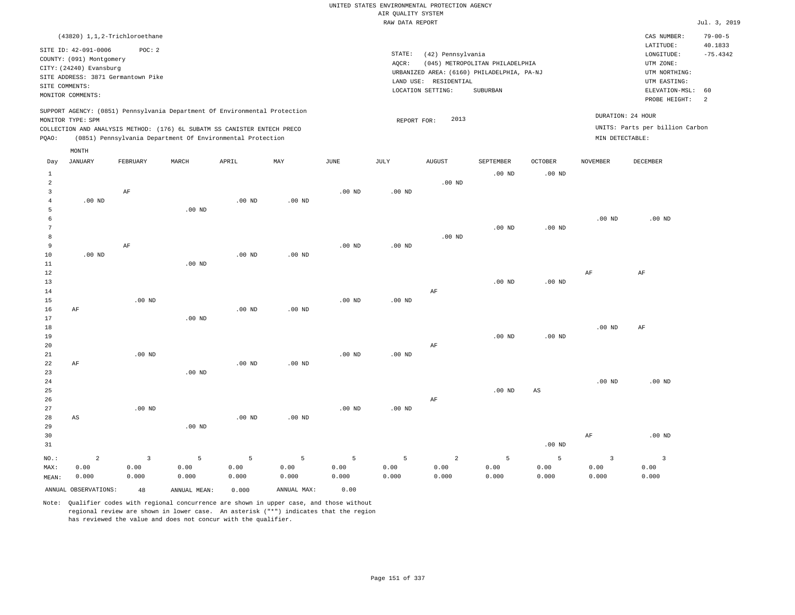|                |                          | (43820) 1,1,2-Trichloroethane      |       |                                                                          |                                                                            |          |          |                                            |                                 |                |          | CAS NUMBER:                     | $79 - 00 - 5$ |
|----------------|--------------------------|------------------------------------|-------|--------------------------------------------------------------------------|----------------------------------------------------------------------------|----------|----------|--------------------------------------------|---------------------------------|----------------|----------|---------------------------------|---------------|
|                | SITE ID: 42-091-0006     | POC:2                              |       |                                                                          |                                                                            |          |          |                                            |                                 |                |          | LATITUDE:                       | 40.1833       |
|                |                          |                                    |       |                                                                          |                                                                            |          | STATE:   | (42) Pennsylvania                          |                                 |                |          | LONGITUDE:                      | $-75.4342$    |
|                | COUNTY: (091) Montgomery |                                    |       |                                                                          |                                                                            |          | AQCR:    |                                            | (045) METROPOLITAN PHILADELPHIA |                |          | UTM ZONE:                       |               |
|                | CITY: (24240) Evansburg  | SITE ADDRESS: 3871 Germantown Pike |       |                                                                          |                                                                            |          |          | URBANIZED AREA: (6160) PHILADELPHIA, PA-NJ |                                 |                |          | UTM NORTHING:                   |               |
|                |                          |                                    |       |                                                                          |                                                                            |          |          | RESIDENTIAL<br>LAND USE:                   |                                 |                |          | UTM EASTING:                    |               |
| SITE COMMENTS: |                          |                                    |       |                                                                          |                                                                            |          |          | LOCATION SETTING:                          | SUBURBAN                        |                |          | ELEVATION-MSL:                  | 60            |
|                | MONITOR COMMENTS:        |                                    |       |                                                                          |                                                                            |          |          |                                            |                                 |                |          | PROBE HEIGHT:                   | -2            |
|                |                          |                                    |       |                                                                          | SUPPORT AGENCY: (0851) Pennsylvania Department Of Environmental Protection |          |          |                                            |                                 |                |          |                                 |               |
|                | MONITOR TYPE: SPM        |                                    |       |                                                                          |                                                                            |          |          | 2013<br>REPORT FOR:                        |                                 |                |          | DURATION: 24 HOUR               |               |
|                |                          |                                    |       | COLLECTION AND ANALYSIS METHOD: (176) 6L SUBATM SS CANISTER ENTECH PRECO |                                                                            |          |          |                                            |                                 |                |          | UNITS: Parts per billion Carbon |               |
| POAO:          |                          |                                    |       | (0851) Pennsylvania Department Of Environmental Protection               |                                                                            |          |          |                                            |                                 |                |          | MIN DETECTABLE:                 |               |
|                |                          |                                    |       |                                                                          |                                                                            |          |          |                                            |                                 |                |          |                                 |               |
|                | MONTH                    |                                    |       |                                                                          |                                                                            |          |          |                                            |                                 |                |          |                                 |               |
| Day            | JANUARY                  | FEBRUARY                           | MARCH | APRIL                                                                    | MAY                                                                        | JUNE     | JULY     | AUGUST                                     | SEPTEMBER                       | <b>OCTOBER</b> | NOVEMBER | DECEMBER                        |               |
|                |                          |                                    |       |                                                                          |                                                                            |          |          |                                            | $.00$ ND                        | $.00$ ND       |          |                                 |               |
| 2              |                          |                                    |       |                                                                          |                                                                            |          |          | $.00$ ND                                   |                                 |                |          |                                 |               |
|                |                          | AF                                 |       |                                                                          |                                                                            | $.00$ ND | $.00$ ND |                                            |                                 |                |          |                                 |               |

| 4            | $.00$ ND |          | .00 <sub>ND</sub> | $.00$ ND          |                   |          |          |                   |          |          |          |
|--------------|----------|----------|-------------------|-------------------|-------------------|----------|----------|-------------------|----------|----------|----------|
|              |          | $.00$ ND |                   |                   |                   |          |          |                   |          |          |          |
| 6            |          |          |                   |                   |                   |          |          |                   |          | $.00$ ND | $.00$ ND |
| $\mathbf{r}$ |          |          |                   |                   |                   |          |          | .00 <sub>ND</sub> | $.00$ ND |          |          |
| 8            |          |          |                   |                   |                   |          | $.00$ ND |                   |          |          |          |
| 9            | AF       |          |                   |                   | .00 <sub>ND</sub> | $.00$ ND |          |                   |          |          |          |
| 10           | $.00$ ND |          | $.00$ ND          | .00 <sub>ND</sub> |                   |          |          |                   |          |          |          |

| $12$        |    |          |          |          |          |          |          |    |          |          | AF       | AF       |
|-------------|----|----------|----------|----------|----------|----------|----------|----|----------|----------|----------|----------|
| 13          |    |          |          |          |          |          |          |    | $.00$ ND | $.00$ ND |          |          |
| 14          |    |          |          |          |          |          |          | AF |          |          |          |          |
| 15          |    | $.00$ ND |          |          |          | $.00$ ND | $.00$ ND |    |          |          |          |          |
| $16$        | AF |          |          | $.00$ ND | $.00$ ND |          |          |    |          |          |          |          |
| 17          |    |          | $.00$ ND |          |          |          |          |    |          |          |          |          |
| 18          |    |          |          |          |          |          |          |    |          |          | $.00$ ND | AF       |
| 19          |    |          |          |          |          |          |          |    | $.00$ ND | $.00$ ND |          |          |
| 20          |    |          |          |          |          |          |          | AF |          |          |          |          |
| 21          |    | $.00$ ND |          |          |          | $.00$ ND | $.00$ ND |    |          |          |          |          |
| $^{\rm 22}$ | AF |          |          | $.00$ ND | $.00$ ND |          |          |    |          |          |          |          |
| 23          |    |          | $.00$ ND |          |          |          |          |    |          |          |          |          |
| 24          |    |          |          |          |          |          |          |    |          |          | $.00$ ND | $.00$ ND |
| 25          |    |          |          |          |          |          |          |    | $.00$ ND | AS       |          |          |
| 26          |    |          |          |          |          |          |          | AF |          |          |          |          |
| 27          |    | $.00$ ND |          |          |          | $.00$ ND | $.00$ ND |    |          |          |          |          |
| 28          | AS |          |          | $.00$ ND | $.00$ ND |          |          |    |          |          |          |          |
| 29          |    |          | $.00$ ND |          |          |          |          |    |          |          |          |          |
| 30          |    |          |          |          |          |          |          |    |          |          | AF       | $.00$ ND |

| --    |       |       |       |       |       |       |       |       |       |          | .                            | .     |
|-------|-------|-------|-------|-------|-------|-------|-------|-------|-------|----------|------------------------------|-------|
| 31    |       |       |       |       |       |       |       |       |       | $.00$ ND |                              |       |
|       |       |       |       |       |       |       |       |       |       |          | NO.: 2 3 5 5 5 5 5 2 5 5 3 3 |       |
| MAX:  | 0.00  | 0.00  | 0.00  | 0.00  | 0.00  | 0.00  | 0.00  | 0.00  | 0.00  | 0.00     | 0.00                         | 0.00  |
| MEAN: | 0.000 | 0.000 | 0.000 | 0.000 | 0.000 | 0.000 | 0.000 | 0.000 | 0.000 | 0.000    | 0.000                        | 0.000 |
|       |       |       |       |       |       |       |       |       |       |          |                              |       |

ANNUAL OBSERVATIONS: 48 ANNUAL MEAN: 0.000 ANNUAL MAX: 0.00

.00 ND

11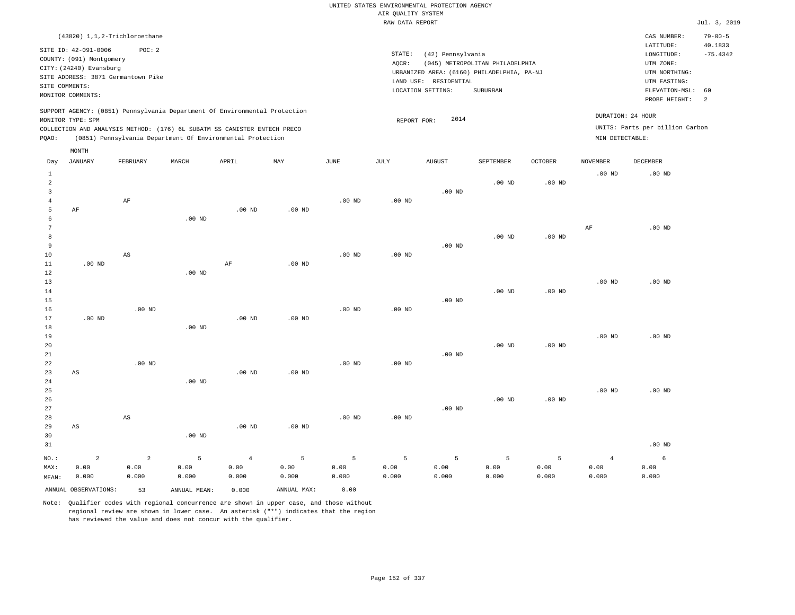| (43820) 1,1,2-Trichloroethane                                                                                                                                                                                                                               |                                                                                                                                                                                    | CAS NUMBER:                                                                                                 | $79 - 00 - 5$                           |
|-------------------------------------------------------------------------------------------------------------------------------------------------------------------------------------------------------------------------------------------------------------|------------------------------------------------------------------------------------------------------------------------------------------------------------------------------------|-------------------------------------------------------------------------------------------------------------|-----------------------------------------|
| SITE ID: 42-091-0006<br>POC: 2<br>COUNTY: (091) Montgomery<br>CITY: (24240) Evansburg<br>SITE ADDRESS: 3871 Germantown Pike<br>SITE COMMENTS:<br>MONITOR COMMENTS:                                                                                          | STATE:<br>(42) Pennsylvania<br>(045) METROPOLITAN PHILADELPHIA<br>AOCR:<br>URBANIZED AREA: (6160) PHILADELPHIA, PA-NJ<br>RESIDENTIAL<br>LAND USE:<br>LOCATION SETTING:<br>SUBURBAN | LATITUDE:<br>LONGITUDE:<br>UTM ZONE:<br>UTM NORTHING:<br>UTM EASTING:<br>ELEVATION-MSL: 60<br>PROBE HEIGHT: | 40.1833<br>$-75.4342$<br>$\overline{2}$ |
| SUPPORT AGENCY: (0851) Pennsylvania Department Of Environmental Protection<br>MONITOR TYPE: SPM<br>COLLECTION AND ANALYSIS METHOD: (176) 6L SUBATM SS CANISTER ENTECH PRECO<br>(0851) Pennsylvania Department Of Environmental Protection<br>POAO:<br>MONTH | 2014<br>REPORT FOR:<br>MIN DETECTABLE:                                                                                                                                             | DURATION: 24 HOUR<br>UNITS: Parts per billion Carbon                                                        |                                         |

| Day            | <b>JANUARY</b>         | FEBRUARY               | MARCH          | APRIL          | MAY         | $_{\rm JUNE}$   | JULY              | AUGUST          | SEPTEMBER         | OCTOBER  | NOVEMBER       | DECEMBER          |
|----------------|------------------------|------------------------|----------------|----------------|-------------|-----------------|-------------------|-----------------|-------------------|----------|----------------|-------------------|
| $\mathbf{1}$   |                        |                        |                |                |             |                 |                   |                 |                   |          | $.00$ ND       | .00 <sub>ND</sub> |
| $\overline{a}$ |                        |                        |                |                |             |                 |                   |                 | $.00$ ND          | .00 $ND$ |                |                   |
| 3              |                        |                        |                |                |             |                 |                   | $.00$ ND        |                   |          |                |                   |
| $\overline{4}$ |                        | $\rm{AF}$              |                |                |             | .00 $ND$        | $.00$ ND          |                 |                   |          |                |                   |
| 5              | $\rm AF$               |                        |                | $.00$ ND       | $.00$ ND    |                 |                   |                 |                   |          |                |                   |
| 6              |                        |                        | $.00$ ND       |                |             |                 |                   |                 |                   |          |                |                   |
| 7              |                        |                        |                |                |             |                 |                   |                 |                   |          | AF             | $.00$ ND          |
| 8              |                        |                        |                |                |             |                 |                   |                 | .00 <sub>ND</sub> | $.00$ ND |                |                   |
| 9              |                        |                        |                |                |             |                 |                   | $.00$ ND        |                   |          |                |                   |
| 10             |                        | $\mathbb{A}\mathbb{S}$ |                |                |             | $.00$ ND        | .00 <sub>ND</sub> |                 |                   |          |                |                   |
| 11<br>12       | $.00$ ND               |                        | $.00$ ND       | $\rm AF$       | $.00$ ND    |                 |                   |                 |                   |          |                |                   |
| 13             |                        |                        |                |                |             |                 |                   |                 |                   |          | $.00$ ND       | $.00$ ND          |
| 14             |                        |                        |                |                |             |                 |                   |                 | $.00$ ND          | $.00$ ND |                |                   |
| 15             |                        |                        |                |                |             |                 |                   | $.00$ ND        |                   |          |                |                   |
| 16             |                        | $.00$ ND               |                |                |             | $.00$ ND        | $.00$ ND          |                 |                   |          |                |                   |
| 17             | $.00$ ND               |                        |                | $.00$ ND       | $.00$ ND    |                 |                   |                 |                   |          |                |                   |
| 18             |                        |                        | $.00$ ND       |                |             |                 |                   |                 |                   |          |                |                   |
| 19             |                        |                        |                |                |             |                 |                   |                 |                   |          | $.00$ ND       | $.00$ ND          |
| 20             |                        |                        |                |                |             |                 |                   |                 | $.00$ ND          | $.00$ ND |                |                   |
| 21             |                        |                        |                |                |             |                 |                   | $.00$ ND        |                   |          |                |                   |
| 22             |                        | $.00$ ND               |                |                |             | $.00$ ND        | $.00$ ND          |                 |                   |          |                |                   |
| 23             | $\mathbb{A}\mathbb{S}$ |                        |                | $.00$ ND       | $.00$ ND    |                 |                   |                 |                   |          |                |                   |
| 24             |                        |                        | $.00$ ND       |                |             |                 |                   |                 |                   |          |                |                   |
| 25             |                        |                        |                |                |             |                 |                   |                 |                   |          | $.00$ ND       | $.00$ ND          |
| 26             |                        |                        |                |                |             |                 |                   |                 | $.00$ ND          | $.00$ ND |                |                   |
| 27             |                        |                        |                |                |             |                 |                   | $.00$ ND        |                   |          |                |                   |
| 28             |                        | $\mathbb{A}\mathbb{S}$ |                |                |             | $.00$ ND        | $.00$ ND          |                 |                   |          |                |                   |
| 29             | AS                     |                        |                | $.00$ ND       | .00 $ND$    |                 |                   |                 |                   |          |                |                   |
| 30             |                        |                        | $.00$ ND       |                |             |                 |                   |                 |                   |          |                |                   |
| 31             |                        |                        |                |                |             |                 |                   |                 |                   |          |                | $.00$ ND          |
| $NO.$ :        | $\overline{a}$         | $\overline{a}$         | $\overline{5}$ | $\overline{4}$ | $\,$ 5 $\,$ | $5\phantom{.0}$ | $5\phantom{.0}$   | $5\phantom{.0}$ | 5                 | 5        | $\overline{4}$ | 6                 |
| MAX:           | 0.00                   | 0.00                   | 0.00           | 0.00           | 0.00        | 0.00            | 0.00              | 0.00            | 0.00              | 0.00     | 0.00           | 0.00              |
| MEAN:          | 0.000                  | 0.000                  | 0.000          | 0.000          | 0.000       | 0.000           | 0.000             | 0.000           | 0.000             | 0.000    | 0.000          | 0.000             |
|                | ANNUAL OBSERVATIONS:   | 53                     | ANNUAL MEAN:   | 0.000          | ANNUAL MAX: | 0.00            |                   |                 |                   |          |                |                   |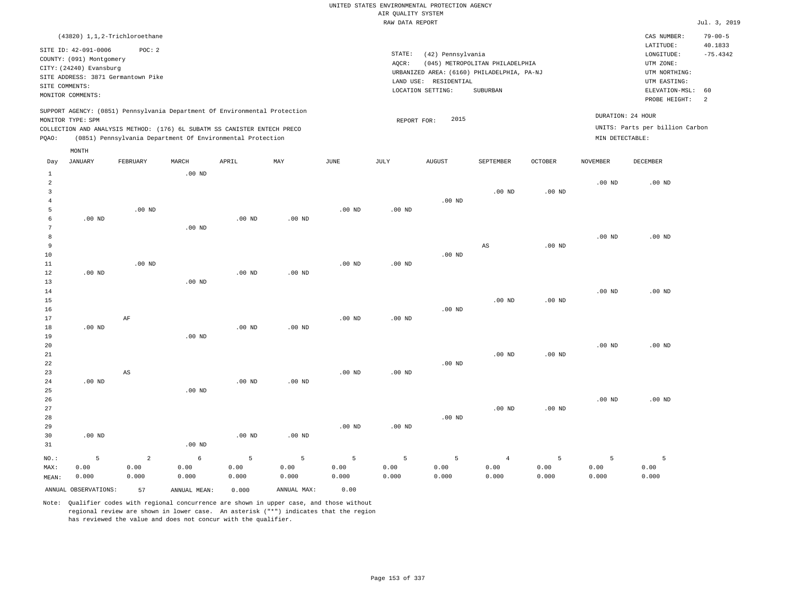|       |                                                                                                                    | (43820) 1,1,2-Trichloroethane                                                                                                                                                                                        |                   |       |     |      |                              |                                                                                                     |                                             |                |                 | CAS NUMBER:                                                                                                 | $79 - 00 - 5$               |
|-------|--------------------------------------------------------------------------------------------------------------------|----------------------------------------------------------------------------------------------------------------------------------------------------------------------------------------------------------------------|-------------------|-------|-----|------|------------------------------|-----------------------------------------------------------------------------------------------------|---------------------------------------------|----------------|-----------------|-------------------------------------------------------------------------------------------------------------|-----------------------------|
|       | SITE ID: 42-091-0006<br>COUNTY: (091) Montgomery<br>CITY: (24240) Evansburg<br>SITE COMMENTS:<br>MONITOR COMMENTS: | POC: 2<br>SITE ADDRESS: 3871 Germantown Pike                                                                                                                                                                         |                   |       |     |      | STATE:<br>AQCR:<br>LAND USE: | (42) Pennsylvania<br>URBANIZED AREA: (6160) PHILADELPHIA, PA-NJ<br>RESIDENTIAL<br>LOCATION SETTING: | (045) METROPOLITAN PHILADELPHIA<br>SUBURBAN |                |                 | LATITUDE:<br>LONGITUDE:<br>UTM ZONE:<br>UTM NORTHING:<br>UTM EASTING:<br>ELEVATION-MSL: 60<br>PROBE HEIGHT: | 40.1833<br>$-75.4342$<br>-2 |
| POAO: | MONITOR TYPE: SPM                                                                                                  | SUPPORT AGENCY: (0851) Pennsylvania Department Of Environmental Protection<br>COLLECTION AND ANALYSIS METHOD: (176) 6L SUBATM SS CANISTER ENTECH PRECO<br>(0851) Pennsylvania Department Of Environmental Protection |                   |       |     |      |                              | 2015<br>REPORT FOR:                                                                                 |                                             |                | MIN DETECTABLE: | DURATION: 24 HOUR<br>UNITS: Parts per billion Carbon                                                        |                             |
| Day   | MONTH<br>JANUARY                                                                                                   | FEBRUARY                                                                                                                                                                                                             | MARCH<br>$.00$ ND | APRIL | MAY | JUNE | JULY                         | AUGUST                                                                                              | SEPTEMBER                                   | <b>OCTOBER</b> | NOVEMBER        | DECEMBER                                                                                                    |                             |

| $\overline{a}$ |          |                |            |          |          |             |          |          |                   |                   | $.00$ ND | $.00$ ND |
|----------------|----------|----------------|------------|----------|----------|-------------|----------|----------|-------------------|-------------------|----------|----------|
| 3              |          |                |            |          |          |             |          |          | .00 <sub>ND</sub> | .00 <sub>ND</sub> |          |          |
| $\overline{4}$ |          |                |            |          |          |             |          | $.00$ ND |                   |                   |          |          |
| 5              |          | $.00$ ND       |            |          |          | $.00$ ND    | $.00$ ND |          |                   |                   |          |          |
| 6              | $.00$ ND |                |            | $.00$ ND | $.00$ ND |             |          |          |                   |                   |          |          |
| 7              |          |                | $.00$ ND   |          |          |             |          |          |                   |                   |          |          |
| 8              |          |                |            |          |          |             |          |          |                   |                   | $.00$ ND | $.00$ ND |
| 9              |          |                |            |          |          |             |          |          | AS                | $.00$ ND          |          |          |
| 10             |          |                |            |          |          |             |          | $.00$ ND |                   |                   |          |          |
| 11             |          | $.00$ ND       |            |          |          | $.00$ ND    | $.00$ ND |          |                   |                   |          |          |
| 12             | $.00$ ND |                |            | .00 $ND$ | .00 $ND$ |             |          |          |                   |                   |          |          |
| 13             |          |                | $.00$ ND   |          |          |             |          |          |                   |                   |          |          |
| 14             |          |                |            |          |          |             |          |          |                   |                   | .00 $ND$ | $.00$ ND |
| 15<br>16       |          |                |            |          |          |             |          | $.00$ ND | $.00$ ND          | .00 <sub>ND</sub> |          |          |
| 17             |          | AF             |            |          |          | $.00$ ND    | $.00$ ND |          |                   |                   |          |          |
| 18             | $.00$ ND |                |            | $.00$ ND | $.00$ ND |             |          |          |                   |                   |          |          |
| 19             |          |                | $.00$ ND   |          |          |             |          |          |                   |                   |          |          |
| 20             |          |                |            |          |          |             |          |          |                   |                   | $.00$ ND | $.00$ ND |
| 21             |          |                |            |          |          |             |          |          | .00 <sub>ND</sub> | .00 <sub>ND</sub> |          |          |
| 22             |          |                |            |          |          |             |          | $.00$ ND |                   |                   |          |          |
| 23             |          | AS             |            |          |          | $.00$ ND    | $.00$ ND |          |                   |                   |          |          |
| 24             | $.00$ ND |                |            | $.00$ ND | $.00$ ND |             |          |          |                   |                   |          |          |
| 25             |          |                | $.00$ ND   |          |          |             |          |          |                   |                   |          |          |
| 26             |          |                |            |          |          |             |          |          |                   |                   | $.00$ ND | $.00$ ND |
| 27             |          |                |            |          |          |             |          |          | .00 <sub>ND</sub> | $.00$ ND          |          |          |
| 28             |          |                |            |          |          |             |          | .00 $ND$ |                   |                   |          |          |
| 29             |          |                |            |          |          | $.00$ ND    | $.00$ ND |          |                   |                   |          |          |
| 30             | $.00$ ND |                |            | $.00$ ND | $.00$ ND |             |          |          |                   |                   |          |          |
| 31             |          |                | .00 $ND$   |          |          |             |          |          |                   |                   |          |          |
| $_{\rm NO.}$ : | 5        | $\overline{a}$ | $\epsilon$ | 5        | 5        | $\mathsf S$ | 5        | 5        | $\overline{4}$    | 5                 | 5        | 5        |
| MAX:           | 0.00     | 0.00           | 0.00       | 0.00     | 0.00     | 0.00        | 0.00     | 0.00     | 0.00              | 0.00              | 0.00     | 0.00     |
| MEAN:          | 0.000    | 0.000          | 0.000      | 0.000    | 0.000    | 0.000       | 0.000    | 0.000    | 0.000             | 0.000             | 0.000    | 0.000    |

ANNUAL OBSERVATIONS: 57 ANNUAL MEAN: 0.000 ANNUAL MAX: 0.00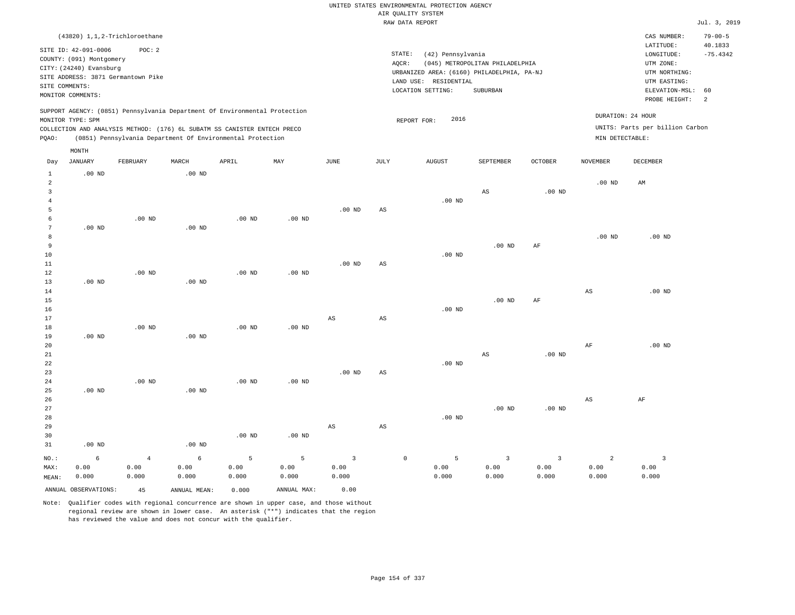| SITE COMMENTS:                                                          | (43820) 1,1,2-Trichloroethane<br>SITE ID: 42-091-0006<br>COUNTY: (091) Montgomery<br>CITY: (24240) Evansburg<br>SITE ADDRESS: 3871 Germantown Pike<br>MONITOR COMMENTS: | POC: 2                                |                                    |                                                                                                                                                                                                                      |                                                |                                                  |                        | STATE:<br>(42) Pennsylvania<br>AQCR:<br>URBANIZED AREA: (6160) PHILADELPHIA, PA-NJ<br>LAND USE: RESIDENTIAL<br>LOCATION SETTING: | (045) METROPOLITAN PHILADELPHIA<br>SUBURBAN |                                 |                                      | CAS NUMBER:<br>LATITUDE:<br>LONGITUDE:<br>UTM ZONE:<br>UTM NORTHING:<br>UTM EASTING:<br>ELEVATION-MSL:<br>PROBE HEIGHT: | $79 - 00 - 5$<br>40.1833<br>$-75.4342$<br>60<br>$\overline{2}$ |
|-------------------------------------------------------------------------|-------------------------------------------------------------------------------------------------------------------------------------------------------------------------|---------------------------------------|------------------------------------|----------------------------------------------------------------------------------------------------------------------------------------------------------------------------------------------------------------------|------------------------------------------------|--------------------------------------------------|------------------------|----------------------------------------------------------------------------------------------------------------------------------|---------------------------------------------|---------------------------------|--------------------------------------|-------------------------------------------------------------------------------------------------------------------------|----------------------------------------------------------------|
| PQAO:                                                                   | MONITOR TYPE: SPM                                                                                                                                                       |                                       |                                    | SUPPORT AGENCY: (0851) Pennsylvania Department Of Environmental Protection<br>COLLECTION AND ANALYSIS METHOD: (176) 6L SUBATM SS CANISTER ENTECH PRECO<br>(0851) Pennsylvania Department Of Environmental Protection |                                                |                                                  |                        | 2016<br>REPORT FOR:                                                                                                              |                                             |                                 | DURATION: 24 HOUR<br>MIN DETECTABLE: | UNITS: Parts per billion Carbon                                                                                         |                                                                |
|                                                                         | MONTH                                                                                                                                                                   |                                       |                                    |                                                                                                                                                                                                                      |                                                |                                                  |                        |                                                                                                                                  |                                             |                                 |                                      |                                                                                                                         |                                                                |
| Day                                                                     | <b>JANUARY</b>                                                                                                                                                          | FEBRUARY                              | MARCH                              | APRIL                                                                                                                                                                                                                | MAY                                            | JUNE                                             | JULY                   | <b>AUGUST</b>                                                                                                                    | SEPTEMBER                                   | OCTOBER                         | NOVEMBER                             | <b>DECEMBER</b>                                                                                                         |                                                                |
| $\,1\,$<br>$\overline{a}$<br>$\overline{3}$<br>$\overline{4}$<br>5<br>6 | $.00$ ND                                                                                                                                                                | $.00$ ND                              | .00 <sub>ND</sub>                  | $.00$ ND                                                                                                                                                                                                             | $.00$ ND                                       | .00 <sub>ND</sub>                                | $\mathbb{A}\mathbb{S}$ | .00 <sub>ND</sub>                                                                                                                | AS                                          | $.00$ ND                        | $.00$ ND                             | AM                                                                                                                      |                                                                |
| $7\phantom{.0}$<br>8<br>9<br>10<br>11<br>12                             | $.00$ ND                                                                                                                                                                | $.00$ ND                              | $.00$ ND                           | $.00$ ND                                                                                                                                                                                                             | .00 <sub>ND</sub>                              | .00 <sub>ND</sub>                                | AS                     | $.00$ ND                                                                                                                         | $.00$ ND                                    | AF                              | $.00$ ND                             | $.00$ ND                                                                                                                |                                                                |
| 13<br>14<br>15<br>16<br>17                                              | $.00$ ND                                                                                                                                                                |                                       | $.00$ ND                           |                                                                                                                                                                                                                      |                                                | $\mathbb{A}\mathbb{S}$                           | $\mathbb{A}\mathbb{S}$ | $.00$ ND                                                                                                                         | $.00$ ND                                    | AF                              | AS                                   | $.00$ ND                                                                                                                |                                                                |
| 18<br>19<br>20<br>21<br>22<br>23                                        | $.00$ ND                                                                                                                                                                | $.00$ ND                              | $.00$ ND                           | .00 <sub>ND</sub>                                                                                                                                                                                                    | $.00$ ND                                       | $.00$ ND                                         | $_{\rm AS}$            | $.00$ ND                                                                                                                         | AS                                          | $.00$ ND                        | AF                                   | $.00$ ND                                                                                                                |                                                                |
| 24<br>25<br>26<br>27<br>28<br>29                                        | $.00$ ND                                                                                                                                                                | $.00$ ND                              | $.00$ ND                           | .00 <sub>ND</sub>                                                                                                                                                                                                    | $.00$ ND                                       | $_{\rm AS}$                                      | $\mathbb{A}\mathbb{S}$ | .00 <sub>ND</sub>                                                                                                                | .00 <sub>ND</sub>                           | $.00$ ND                        | $_{\rm AS}$                          | AF                                                                                                                      |                                                                |
| 30<br>31                                                                | .00 <sub>ND</sub>                                                                                                                                                       |                                       | .00 <sub>ND</sub>                  | $.00$ ND                                                                                                                                                                                                             | $.00$ ND                                       |                                                  |                        |                                                                                                                                  |                                             |                                 |                                      |                                                                                                                         |                                                                |
| NO.:<br>MAX:<br>MEAN:                                                   | 6<br>0.00<br>0.000<br>ANNUAL OBSERVATIONS:                                                                                                                              | $\overline{4}$<br>0.00<br>0.000<br>45 | 6<br>0.00<br>0.000<br>ANNUAL MEAN: | 5<br>0.00<br>0.000<br>0.000                                                                                                                                                                                          | $\overline{5}$<br>0.00<br>0.000<br>ANNUAL MAX: | $\overline{\mathbf{3}}$<br>0.00<br>0.000<br>0.00 |                        | $\circ$<br>5<br>0.00<br>0.000                                                                                                    | $\overline{3}$<br>0.00<br>0.000             | $\overline{3}$<br>0.00<br>0.000 | 2<br>0.00<br>0.000                   | $\overline{\mathbf{3}}$<br>0.00<br>0.000                                                                                |                                                                |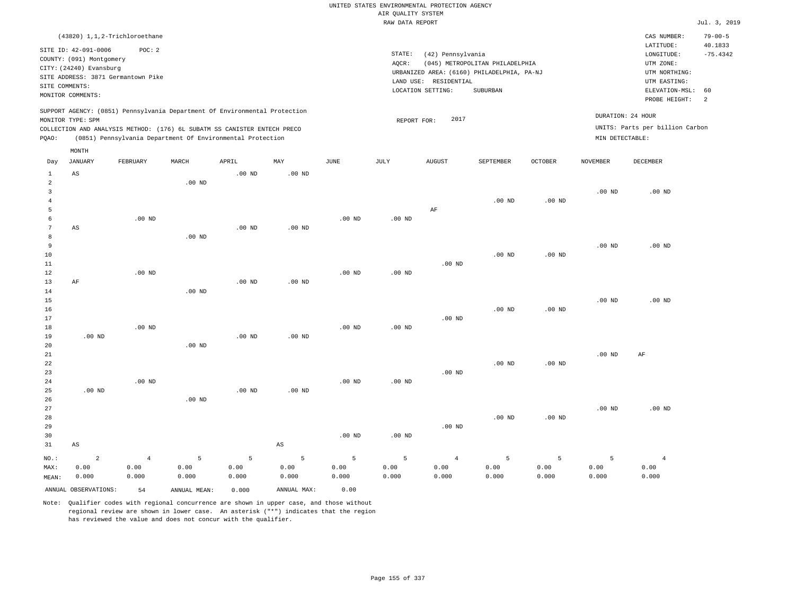|                     |                                                     |                   |                   |                                                                            |                        |                   | AIR QUALITY SYSTEM | UNITED STATES ENVIRONMENTAL PROTECTION AGENCY |                                            |                |                   |                                 |                          |
|---------------------|-----------------------------------------------------|-------------------|-------------------|----------------------------------------------------------------------------|------------------------|-------------------|--------------------|-----------------------------------------------|--------------------------------------------|----------------|-------------------|---------------------------------|--------------------------|
|                     |                                                     |                   |                   |                                                                            |                        |                   | RAW DATA REPORT    |                                               |                                            |                |                   |                                 | Jul. 3, 2019             |
|                     | (43820) 1, 1, 2-Trichloroethane                     |                   |                   |                                                                            |                        |                   |                    |                                               |                                            |                |                   | CAS NUMBER:<br>LATITUDE:        | $79 - 00 - 5$<br>40.1833 |
|                     | SITE ID: 42-091-0006                                | POC: 2            |                   |                                                                            |                        |                   | STATE:             | (42) Pennsylvania                             |                                            |                |                   | $\texttt{LONGITUDE}$ :          | $-75.4342$               |
|                     | COUNTY: (091) Montgomery<br>CITY: (24240) Evansburg |                   |                   |                                                                            |                        |                   | AQCR:              |                                               | (045) METROPOLITAN PHILADELPHIA            |                |                   | UTM ZONE:                       |                          |
|                     | SITE ADDRESS: 3871 Germantown Pike                  |                   |                   |                                                                            |                        |                   |                    |                                               | URBANIZED AREA: (6160) PHILADELPHIA, PA-NJ |                |                   | UTM NORTHING:                   |                          |
|                     | SITE COMMENTS:                                      |                   |                   |                                                                            |                        |                   |                    | LAND USE: RESIDENTIAL<br>LOCATION SETTING:    | SUBURBAN                                   |                |                   | UTM EASTING:<br>ELEVATION-MSL:  | 60                       |
|                     | MONITOR COMMENTS:                                   |                   |                   |                                                                            |                        |                   |                    |                                               |                                            |                |                   | PROBE HEIGHT:                   | 2                        |
|                     |                                                     |                   |                   | SUPPORT AGENCY: (0851) Pennsylvania Department Of Environmental Protection |                        |                   |                    |                                               |                                            |                |                   |                                 |                          |
|                     | MONITOR TYPE: SPM                                   |                   |                   |                                                                            |                        |                   | REPORT FOR:        | 2017                                          |                                            |                | DURATION: 24 HOUR |                                 |                          |
|                     |                                                     |                   |                   | COLLECTION AND ANALYSIS METHOD: (176) 6L SUBATM SS CANISTER ENTECH PRECO   |                        |                   |                    |                                               |                                            |                |                   | UNITS: Parts per billion Carbon |                          |
| PQAO:               |                                                     |                   |                   | (0851) Pennsylvania Department Of Environmental Protection                 |                        |                   |                    |                                               |                                            |                | MIN DETECTABLE:   |                                 |                          |
| Day                 | MONTH<br><b>JANUARY</b>                             | FEBRUARY          | MARCH             | APRIL                                                                      | MAY                    | $_{\rm JUNE}$     | JULY               | <b>AUGUST</b>                                 | SEPTEMBER                                  | <b>OCTOBER</b> | <b>NOVEMBER</b>   | DECEMBER                        |                          |
| $\mathbf{1}$        | AS                                                  |                   |                   | .00 <sub>ND</sub>                                                          | .00 <sub>ND</sub>      |                   |                    |                                               |                                            |                |                   |                                 |                          |
| $\overline{a}$<br>3 |                                                     |                   | $.00$ ND          |                                                                            |                        |                   |                    |                                               |                                            |                | .00 <sub>ND</sub> | $.00$ ND                        |                          |
| $\overline{4}$      |                                                     |                   |                   |                                                                            |                        |                   |                    |                                               | .00 <sub>ND</sub>                          | $.00$ ND       |                   |                                 |                          |
| 5                   |                                                     |                   |                   |                                                                            |                        |                   |                    | AF                                            |                                            |                |                   |                                 |                          |
| 6                   |                                                     | .00 <sub>ND</sub> |                   |                                                                            |                        | .00 <sub>ND</sub> | $.00$ ND           |                                               |                                            |                |                   |                                 |                          |
| 7<br>8              | AS                                                  |                   | .00 <sub>ND</sub> | $.00$ ND                                                                   | .00 <sub>ND</sub>      |                   |                    |                                               |                                            |                |                   |                                 |                          |
| 9                   |                                                     |                   |                   |                                                                            |                        |                   |                    |                                               |                                            |                | .00 <sub>ND</sub> | $.00$ ND                        |                          |
| 10                  |                                                     |                   |                   |                                                                            |                        |                   |                    |                                               | $.00$ ND                                   | $.00$ ND       |                   |                                 |                          |
| 11                  |                                                     |                   |                   |                                                                            |                        |                   |                    | .00 <sub>ND</sub>                             |                                            |                |                   |                                 |                          |
| 12<br>13            | AF                                                  | $.00$ ND          |                   | .00 <sub>ND</sub>                                                          | .00 <sub>ND</sub>      | $.00$ ND          | $.00$ ND           |                                               |                                            |                |                   |                                 |                          |
| 14                  |                                                     |                   | $.00$ ND          |                                                                            |                        |                   |                    |                                               |                                            |                |                   |                                 |                          |
| $15$                |                                                     |                   |                   |                                                                            |                        |                   |                    |                                               |                                            |                | .00 <sub>ND</sub> | $.00$ ND                        |                          |
| 16                  |                                                     |                   |                   |                                                                            |                        |                   |                    |                                               | $.00$ ND                                   | $.00$ ND       |                   |                                 |                          |
| 17<br>18            |                                                     | $.00$ ND          |                   |                                                                            |                        | .00 <sub>ND</sub> | $.00$ ND           | $.00$ ND                                      |                                            |                |                   |                                 |                          |
| 19                  | $.00$ ND                                            |                   |                   | $.00$ ND                                                                   | $.00$ ND               |                   |                    |                                               |                                            |                |                   |                                 |                          |
| 20                  |                                                     |                   | $.00$ ND          |                                                                            |                        |                   |                    |                                               |                                            |                |                   |                                 |                          |
| 21                  |                                                     |                   |                   |                                                                            |                        |                   |                    |                                               |                                            |                | .00 <sub>ND</sub> | AF                              |                          |
| 22<br>23            |                                                     |                   |                   |                                                                            |                        |                   |                    | $.00$ ND                                      | $.00$ ND                                   | $.00$ ND       |                   |                                 |                          |
| 24                  |                                                     | $.00$ ND          |                   |                                                                            |                        | .00 <sub>ND</sub> | .00 <sub>ND</sub>  |                                               |                                            |                |                   |                                 |                          |
| 25                  | .00 <sub>ND</sub>                                   |                   |                   | .00 <sub>ND</sub>                                                          | .00 <sub>ND</sub>      |                   |                    |                                               |                                            |                |                   |                                 |                          |
| 26                  |                                                     |                   | $.00$ ND          |                                                                            |                        |                   |                    |                                               |                                            |                |                   |                                 |                          |
| 27<br>28            |                                                     |                   |                   |                                                                            |                        |                   |                    |                                               | .00 <sub>ND</sub>                          | $.00$ ND       | .00 <sub>ND</sub> | $.00$ ND                        |                          |
| 29                  |                                                     |                   |                   |                                                                            |                        |                   |                    | $.00$ ND                                      |                                            |                |                   |                                 |                          |
| 30                  |                                                     |                   |                   |                                                                            |                        | $.00$ ND          | $.00$ ND           |                                               |                                            |                |                   |                                 |                          |
| 31                  | $_{\rm AS}$                                         |                   |                   |                                                                            | $\mathbb{A}\mathbb{S}$ |                   |                    |                                               |                                            |                |                   |                                 |                          |
| NO.:                | $\overline{a}$                                      | $\overline{4}$    | $\overline{5}$    | 5                                                                          | 5                      | 5                 | 5                  | $\overline{4}$                                | $\overline{5}$                             | 5              | $\overline{5}$    | $\overline{4}$                  |                          |
| MAX:                | 0.00                                                | 0.00              | 0.00              | 0.00                                                                       | 0.00                   | 0.00              | 0.00               | 0.00                                          | 0.00                                       | 0.00           | 0.00              | 0.00                            |                          |
| MEAN:               | 0.000                                               | 0.000             | 0.000             | 0.000                                                                      | 0.000                  | 0.000             | 0.000              | 0.000                                         | 0.000                                      | 0.000          | 0.000             | 0.000                           |                          |
|                     | ANNUAL OBSERVATIONS:                                | 54                | ANNUAL, MEAN:     | 0.000                                                                      | ANNUAL MAX:            | 0.00              |                    |                                               |                                            |                |                   |                                 |                          |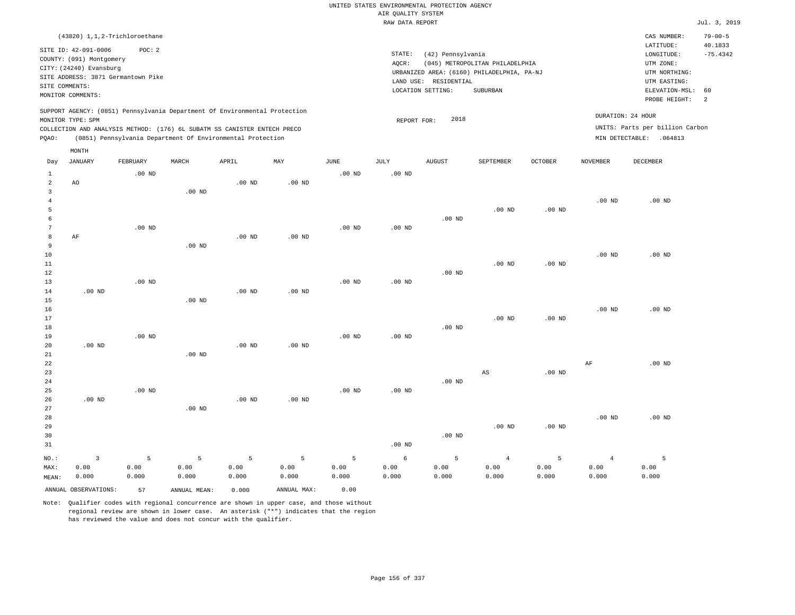| AIR QUALITY SYSTEM<br>RAW DATA REPORT<br>(43820) 1,1,2-Trichloroethane<br>CAS NUMBER:<br>$79 - 00 - 5$<br>LATITUDE:<br>40.1833<br>SITE ID: 42-091-0006<br>POC: 2<br>STATE:<br>(42) Pennsylvania<br>LONGITUDE:<br>$-75.4342$<br>COUNTY: (091) Montgomery<br>AQCR:<br>(045) METROPOLITAN PHILADELPHIA<br>UTM ZONE:<br>CITY: (24240) Evansburg<br>URBANIZED AREA: (6160) PHILADELPHIA, PA-NJ<br>UTM NORTHING:<br>SITE ADDRESS: 3871 Germantown Pike<br>LAND USE: RESIDENTIAL<br>UTM EASTING:<br>SITE COMMENTS:<br>ELEVATION-MSL:<br>LOCATION SETTING:<br>SUBURBAN<br>60<br>MONITOR COMMENTS:<br>PROBE HEIGHT:<br><sup>2</sup><br>SUPPORT AGENCY: (0851) Pennsylvania Department Of Environmental Protection<br>DURATION: 24 HOUR<br>2018<br>MONITOR TYPE: SPM<br>REPORT FOR:<br>UNITS: Parts per billion Carbon<br>COLLECTION AND ANALYSIS METHOD: (176) 6L SUBATM SS CANISTER ENTECH PRECO<br>(0851) Pennsylvania Department Of Environmental Protection<br>MIN DETECTABLE: . 064813<br>PQAO:<br>MONTH<br>JANUARY<br>APRIL<br>$_{\rm MAY}$<br>$_{\rm JUNE}$<br><b>JULY</b><br><b>AUGUST</b><br>OCTOBER<br>DECEMBER<br>FEBRUARY<br>MARCH<br>SEPTEMBER<br><b>NOVEMBER</b><br>Day<br>$\mathbf{1}$<br>$.00$ ND<br>$.00$ ND<br>$.00$ ND<br>$\overline{a}$<br>.00 <sub>ND</sub><br>$.00$ ND<br>AO<br>$\mathbf{3}$<br>.00 <sub>ND</sub><br>$\overline{4}$<br>$.00$ ND<br>$.00$ ND<br>5<br>.00 <sub>ND</sub><br>$.00$ ND<br>$.00$ ND<br>6<br>$\overline{7}$<br>$.00$ ND<br>$.00$ ND<br>$.00$ ND<br>8<br>AF<br>$.00$ ND<br>$.00$ ND<br>$\overline{9}$<br>.00 <sub>ND</sub><br>10<br>.00 <sub>ND</sub><br>$.00$ ND<br>.00 <sub>ND</sub><br>11<br>.00 <sub>ND</sub><br>12<br>$.00$ ND<br>$.00$ ND<br>13<br>$.00$ ND<br>$.00$ ND<br>$.00$ ND<br>$.00$ ND<br>.00 <sub>ND</sub><br>14<br>$.00$ ND<br>15<br>16<br>.00 <sub>ND</sub><br>$.00$ ND<br>17<br>$.00$ ND<br>.00 <sub>ND</sub><br>$.00$ ND<br>18<br>19<br>$.00$ ND<br>$.00$ ND<br>$.00$ ND<br>.00 <sub>ND</sub><br>$.00$ ND<br>.00 <sub>ND</sub><br>20<br>21<br>$.00$ ND<br>$\rm{AF}$<br>$.00$ ND<br>22<br>23<br>$\mathbb{A}\mathbb{S}$<br>$.00$ ND<br>$.00$ ND<br>24<br>25<br>.00 <sub>ND</sub><br>$.00$ ND<br>$.00$ ND<br>.00 <sub>ND</sub><br>$.00$ ND<br>.00 <sub>ND</sub><br>26<br>27<br>$.00$ ND<br>28<br>$.00$ ND<br>$.00$ ND<br>.00 <sub>ND</sub><br>29<br>$.00$ ND<br>30<br>$.00$ ND<br>31<br>$.00$ ND<br>$\overline{5}$<br>5<br>5<br>$\overline{3}$<br>5<br>5<br>5<br>6<br>5<br>$\overline{5}$<br>$\overline{4}$<br>$\overline{4}$<br>NO.: |      |      |      |      |      |      |      | UNITED STATES ENVIRONMENTAL PROTECTION AGENCY |      |      |      |      |      |              |
|---------------------------------------------------------------------------------------------------------------------------------------------------------------------------------------------------------------------------------------------------------------------------------------------------------------------------------------------------------------------------------------------------------------------------------------------------------------------------------------------------------------------------------------------------------------------------------------------------------------------------------------------------------------------------------------------------------------------------------------------------------------------------------------------------------------------------------------------------------------------------------------------------------------------------------------------------------------------------------------------------------------------------------------------------------------------------------------------------------------------------------------------------------------------------------------------------------------------------------------------------------------------------------------------------------------------------------------------------------------------------------------------------------------------------------------------------------------------------------------------------------------------------------------------------------------------------------------------------------------------------------------------------------------------------------------------------------------------------------------------------------------------------------------------------------------------------------------------------------------------------------------------------------------------------------------------------------------------------------------------------------------------------------------------------------------------------------------------------------------------------------------------------------------------------------------------------------------------------------------------------------------------------------------------------------------------------------------------------------------------------------------------------------------------------------------------------------------------------------------------|------|------|------|------|------|------|------|-----------------------------------------------|------|------|------|------|------|--------------|
|                                                                                                                                                                                                                                                                                                                                                                                                                                                                                                                                                                                                                                                                                                                                                                                                                                                                                                                                                                                                                                                                                                                                                                                                                                                                                                                                                                                                                                                                                                                                                                                                                                                                                                                                                                                                                                                                                                                                                                                                                                                                                                                                                                                                                                                                                                                                                                                                                                                                                             |      |      |      |      |      |      |      |                                               |      |      |      |      |      |              |
|                                                                                                                                                                                                                                                                                                                                                                                                                                                                                                                                                                                                                                                                                                                                                                                                                                                                                                                                                                                                                                                                                                                                                                                                                                                                                                                                                                                                                                                                                                                                                                                                                                                                                                                                                                                                                                                                                                                                                                                                                                                                                                                                                                                                                                                                                                                                                                                                                                                                                             |      |      |      |      |      |      |      |                                               |      |      |      |      |      | Jul. 3, 2019 |
|                                                                                                                                                                                                                                                                                                                                                                                                                                                                                                                                                                                                                                                                                                                                                                                                                                                                                                                                                                                                                                                                                                                                                                                                                                                                                                                                                                                                                                                                                                                                                                                                                                                                                                                                                                                                                                                                                                                                                                                                                                                                                                                                                                                                                                                                                                                                                                                                                                                                                             |      |      |      |      |      |      |      |                                               |      |      |      |      |      |              |
|                                                                                                                                                                                                                                                                                                                                                                                                                                                                                                                                                                                                                                                                                                                                                                                                                                                                                                                                                                                                                                                                                                                                                                                                                                                                                                                                                                                                                                                                                                                                                                                                                                                                                                                                                                                                                                                                                                                                                                                                                                                                                                                                                                                                                                                                                                                                                                                                                                                                                             |      |      |      |      |      |      |      |                                               |      |      |      |      |      |              |
|                                                                                                                                                                                                                                                                                                                                                                                                                                                                                                                                                                                                                                                                                                                                                                                                                                                                                                                                                                                                                                                                                                                                                                                                                                                                                                                                                                                                                                                                                                                                                                                                                                                                                                                                                                                                                                                                                                                                                                                                                                                                                                                                                                                                                                                                                                                                                                                                                                                                                             |      |      |      |      |      |      |      |                                               |      |      |      |      |      |              |
|                                                                                                                                                                                                                                                                                                                                                                                                                                                                                                                                                                                                                                                                                                                                                                                                                                                                                                                                                                                                                                                                                                                                                                                                                                                                                                                                                                                                                                                                                                                                                                                                                                                                                                                                                                                                                                                                                                                                                                                                                                                                                                                                                                                                                                                                                                                                                                                                                                                                                             |      |      |      |      |      |      |      |                                               |      |      |      |      |      |              |
|                                                                                                                                                                                                                                                                                                                                                                                                                                                                                                                                                                                                                                                                                                                                                                                                                                                                                                                                                                                                                                                                                                                                                                                                                                                                                                                                                                                                                                                                                                                                                                                                                                                                                                                                                                                                                                                                                                                                                                                                                                                                                                                                                                                                                                                                                                                                                                                                                                                                                             |      |      |      |      |      |      |      |                                               |      |      |      |      |      |              |
|                                                                                                                                                                                                                                                                                                                                                                                                                                                                                                                                                                                                                                                                                                                                                                                                                                                                                                                                                                                                                                                                                                                                                                                                                                                                                                                                                                                                                                                                                                                                                                                                                                                                                                                                                                                                                                                                                                                                                                                                                                                                                                                                                                                                                                                                                                                                                                                                                                                                                             |      |      |      |      |      |      |      |                                               |      |      |      |      |      |              |
|                                                                                                                                                                                                                                                                                                                                                                                                                                                                                                                                                                                                                                                                                                                                                                                                                                                                                                                                                                                                                                                                                                                                                                                                                                                                                                                                                                                                                                                                                                                                                                                                                                                                                                                                                                                                                                                                                                                                                                                                                                                                                                                                                                                                                                                                                                                                                                                                                                                                                             |      |      |      |      |      |      |      |                                               |      |      |      |      |      |              |
|                                                                                                                                                                                                                                                                                                                                                                                                                                                                                                                                                                                                                                                                                                                                                                                                                                                                                                                                                                                                                                                                                                                                                                                                                                                                                                                                                                                                                                                                                                                                                                                                                                                                                                                                                                                                                                                                                                                                                                                                                                                                                                                                                                                                                                                                                                                                                                                                                                                                                             |      |      |      |      |      |      |      |                                               |      |      |      |      |      |              |
|                                                                                                                                                                                                                                                                                                                                                                                                                                                                                                                                                                                                                                                                                                                                                                                                                                                                                                                                                                                                                                                                                                                                                                                                                                                                                                                                                                                                                                                                                                                                                                                                                                                                                                                                                                                                                                                                                                                                                                                                                                                                                                                                                                                                                                                                                                                                                                                                                                                                                             |      |      |      |      |      |      |      |                                               |      |      |      |      |      |              |
|                                                                                                                                                                                                                                                                                                                                                                                                                                                                                                                                                                                                                                                                                                                                                                                                                                                                                                                                                                                                                                                                                                                                                                                                                                                                                                                                                                                                                                                                                                                                                                                                                                                                                                                                                                                                                                                                                                                                                                                                                                                                                                                                                                                                                                                                                                                                                                                                                                                                                             |      |      |      |      |      |      |      |                                               |      |      |      |      |      |              |
|                                                                                                                                                                                                                                                                                                                                                                                                                                                                                                                                                                                                                                                                                                                                                                                                                                                                                                                                                                                                                                                                                                                                                                                                                                                                                                                                                                                                                                                                                                                                                                                                                                                                                                                                                                                                                                                                                                                                                                                                                                                                                                                                                                                                                                                                                                                                                                                                                                                                                             |      |      |      |      |      |      |      |                                               |      |      |      |      |      |              |
|                                                                                                                                                                                                                                                                                                                                                                                                                                                                                                                                                                                                                                                                                                                                                                                                                                                                                                                                                                                                                                                                                                                                                                                                                                                                                                                                                                                                                                                                                                                                                                                                                                                                                                                                                                                                                                                                                                                                                                                                                                                                                                                                                                                                                                                                                                                                                                                                                                                                                             |      |      |      |      |      |      |      |                                               |      |      |      |      |      |              |
|                                                                                                                                                                                                                                                                                                                                                                                                                                                                                                                                                                                                                                                                                                                                                                                                                                                                                                                                                                                                                                                                                                                                                                                                                                                                                                                                                                                                                                                                                                                                                                                                                                                                                                                                                                                                                                                                                                                                                                                                                                                                                                                                                                                                                                                                                                                                                                                                                                                                                             |      |      |      |      |      |      |      |                                               |      |      |      |      |      |              |
|                                                                                                                                                                                                                                                                                                                                                                                                                                                                                                                                                                                                                                                                                                                                                                                                                                                                                                                                                                                                                                                                                                                                                                                                                                                                                                                                                                                                                                                                                                                                                                                                                                                                                                                                                                                                                                                                                                                                                                                                                                                                                                                                                                                                                                                                                                                                                                                                                                                                                             |      |      |      |      |      |      |      |                                               |      |      |      |      |      |              |
|                                                                                                                                                                                                                                                                                                                                                                                                                                                                                                                                                                                                                                                                                                                                                                                                                                                                                                                                                                                                                                                                                                                                                                                                                                                                                                                                                                                                                                                                                                                                                                                                                                                                                                                                                                                                                                                                                                                                                                                                                                                                                                                                                                                                                                                                                                                                                                                                                                                                                             |      |      |      |      |      |      |      |                                               |      |      |      |      |      |              |
|                                                                                                                                                                                                                                                                                                                                                                                                                                                                                                                                                                                                                                                                                                                                                                                                                                                                                                                                                                                                                                                                                                                                                                                                                                                                                                                                                                                                                                                                                                                                                                                                                                                                                                                                                                                                                                                                                                                                                                                                                                                                                                                                                                                                                                                                                                                                                                                                                                                                                             |      |      |      |      |      |      |      |                                               |      |      |      |      |      |              |
|                                                                                                                                                                                                                                                                                                                                                                                                                                                                                                                                                                                                                                                                                                                                                                                                                                                                                                                                                                                                                                                                                                                                                                                                                                                                                                                                                                                                                                                                                                                                                                                                                                                                                                                                                                                                                                                                                                                                                                                                                                                                                                                                                                                                                                                                                                                                                                                                                                                                                             |      |      |      |      |      |      |      |                                               |      |      |      |      |      |              |
|                                                                                                                                                                                                                                                                                                                                                                                                                                                                                                                                                                                                                                                                                                                                                                                                                                                                                                                                                                                                                                                                                                                                                                                                                                                                                                                                                                                                                                                                                                                                                                                                                                                                                                                                                                                                                                                                                                                                                                                                                                                                                                                                                                                                                                                                                                                                                                                                                                                                                             |      |      |      |      |      |      |      |                                               |      |      |      |      |      |              |
|                                                                                                                                                                                                                                                                                                                                                                                                                                                                                                                                                                                                                                                                                                                                                                                                                                                                                                                                                                                                                                                                                                                                                                                                                                                                                                                                                                                                                                                                                                                                                                                                                                                                                                                                                                                                                                                                                                                                                                                                                                                                                                                                                                                                                                                                                                                                                                                                                                                                                             |      |      |      |      |      |      |      |                                               |      |      |      |      |      |              |
|                                                                                                                                                                                                                                                                                                                                                                                                                                                                                                                                                                                                                                                                                                                                                                                                                                                                                                                                                                                                                                                                                                                                                                                                                                                                                                                                                                                                                                                                                                                                                                                                                                                                                                                                                                                                                                                                                                                                                                                                                                                                                                                                                                                                                                                                                                                                                                                                                                                                                             |      |      |      |      |      |      |      |                                               |      |      |      |      |      |              |
|                                                                                                                                                                                                                                                                                                                                                                                                                                                                                                                                                                                                                                                                                                                                                                                                                                                                                                                                                                                                                                                                                                                                                                                                                                                                                                                                                                                                                                                                                                                                                                                                                                                                                                                                                                                                                                                                                                                                                                                                                                                                                                                                                                                                                                                                                                                                                                                                                                                                                             |      |      |      |      |      |      |      |                                               |      |      |      |      |      |              |
|                                                                                                                                                                                                                                                                                                                                                                                                                                                                                                                                                                                                                                                                                                                                                                                                                                                                                                                                                                                                                                                                                                                                                                                                                                                                                                                                                                                                                                                                                                                                                                                                                                                                                                                                                                                                                                                                                                                                                                                                                                                                                                                                                                                                                                                                                                                                                                                                                                                                                             |      |      |      |      |      |      |      |                                               |      |      |      |      |      |              |
|                                                                                                                                                                                                                                                                                                                                                                                                                                                                                                                                                                                                                                                                                                                                                                                                                                                                                                                                                                                                                                                                                                                                                                                                                                                                                                                                                                                                                                                                                                                                                                                                                                                                                                                                                                                                                                                                                                                                                                                                                                                                                                                                                                                                                                                                                                                                                                                                                                                                                             |      |      |      |      |      |      |      |                                               |      |      |      |      |      |              |
|                                                                                                                                                                                                                                                                                                                                                                                                                                                                                                                                                                                                                                                                                                                                                                                                                                                                                                                                                                                                                                                                                                                                                                                                                                                                                                                                                                                                                                                                                                                                                                                                                                                                                                                                                                                                                                                                                                                                                                                                                                                                                                                                                                                                                                                                                                                                                                                                                                                                                             |      |      |      |      |      |      |      |                                               |      |      |      |      |      |              |
|                                                                                                                                                                                                                                                                                                                                                                                                                                                                                                                                                                                                                                                                                                                                                                                                                                                                                                                                                                                                                                                                                                                                                                                                                                                                                                                                                                                                                                                                                                                                                                                                                                                                                                                                                                                                                                                                                                                                                                                                                                                                                                                                                                                                                                                                                                                                                                                                                                                                                             |      |      |      |      |      |      |      |                                               |      |      |      |      |      |              |
|                                                                                                                                                                                                                                                                                                                                                                                                                                                                                                                                                                                                                                                                                                                                                                                                                                                                                                                                                                                                                                                                                                                                                                                                                                                                                                                                                                                                                                                                                                                                                                                                                                                                                                                                                                                                                                                                                                                                                                                                                                                                                                                                                                                                                                                                                                                                                                                                                                                                                             |      |      |      |      |      |      |      |                                               |      |      |      |      |      |              |
|                                                                                                                                                                                                                                                                                                                                                                                                                                                                                                                                                                                                                                                                                                                                                                                                                                                                                                                                                                                                                                                                                                                                                                                                                                                                                                                                                                                                                                                                                                                                                                                                                                                                                                                                                                                                                                                                                                                                                                                                                                                                                                                                                                                                                                                                                                                                                                                                                                                                                             |      |      |      |      |      |      |      |                                               |      |      |      |      |      |              |
|                                                                                                                                                                                                                                                                                                                                                                                                                                                                                                                                                                                                                                                                                                                                                                                                                                                                                                                                                                                                                                                                                                                                                                                                                                                                                                                                                                                                                                                                                                                                                                                                                                                                                                                                                                                                                                                                                                                                                                                                                                                                                                                                                                                                                                                                                                                                                                                                                                                                                             |      |      |      |      |      |      |      |                                               |      |      |      |      |      |              |
|                                                                                                                                                                                                                                                                                                                                                                                                                                                                                                                                                                                                                                                                                                                                                                                                                                                                                                                                                                                                                                                                                                                                                                                                                                                                                                                                                                                                                                                                                                                                                                                                                                                                                                                                                                                                                                                                                                                                                                                                                                                                                                                                                                                                                                                                                                                                                                                                                                                                                             |      |      |      |      |      |      |      |                                               |      |      |      |      |      |              |
|                                                                                                                                                                                                                                                                                                                                                                                                                                                                                                                                                                                                                                                                                                                                                                                                                                                                                                                                                                                                                                                                                                                                                                                                                                                                                                                                                                                                                                                                                                                                                                                                                                                                                                                                                                                                                                                                                                                                                                                                                                                                                                                                                                                                                                                                                                                                                                                                                                                                                             |      |      |      |      |      |      |      |                                               |      |      |      |      |      |              |
|                                                                                                                                                                                                                                                                                                                                                                                                                                                                                                                                                                                                                                                                                                                                                                                                                                                                                                                                                                                                                                                                                                                                                                                                                                                                                                                                                                                                                                                                                                                                                                                                                                                                                                                                                                                                                                                                                                                                                                                                                                                                                                                                                                                                                                                                                                                                                                                                                                                                                             |      |      |      |      |      |      |      |                                               |      |      |      |      |      |              |
|                                                                                                                                                                                                                                                                                                                                                                                                                                                                                                                                                                                                                                                                                                                                                                                                                                                                                                                                                                                                                                                                                                                                                                                                                                                                                                                                                                                                                                                                                                                                                                                                                                                                                                                                                                                                                                                                                                                                                                                                                                                                                                                                                                                                                                                                                                                                                                                                                                                                                             |      |      |      |      |      |      |      |                                               |      |      |      |      |      |              |
|                                                                                                                                                                                                                                                                                                                                                                                                                                                                                                                                                                                                                                                                                                                                                                                                                                                                                                                                                                                                                                                                                                                                                                                                                                                                                                                                                                                                                                                                                                                                                                                                                                                                                                                                                                                                                                                                                                                                                                                                                                                                                                                                                                                                                                                                                                                                                                                                                                                                                             |      |      |      |      |      |      |      |                                               |      |      |      |      |      |              |
|                                                                                                                                                                                                                                                                                                                                                                                                                                                                                                                                                                                                                                                                                                                                                                                                                                                                                                                                                                                                                                                                                                                                                                                                                                                                                                                                                                                                                                                                                                                                                                                                                                                                                                                                                                                                                                                                                                                                                                                                                                                                                                                                                                                                                                                                                                                                                                                                                                                                                             |      |      |      |      |      |      |      |                                               |      |      |      |      |      |              |
|                                                                                                                                                                                                                                                                                                                                                                                                                                                                                                                                                                                                                                                                                                                                                                                                                                                                                                                                                                                                                                                                                                                                                                                                                                                                                                                                                                                                                                                                                                                                                                                                                                                                                                                                                                                                                                                                                                                                                                                                                                                                                                                                                                                                                                                                                                                                                                                                                                                                                             |      |      |      |      |      |      |      |                                               |      |      |      |      |      |              |
|                                                                                                                                                                                                                                                                                                                                                                                                                                                                                                                                                                                                                                                                                                                                                                                                                                                                                                                                                                                                                                                                                                                                                                                                                                                                                                                                                                                                                                                                                                                                                                                                                                                                                                                                                                                                                                                                                                                                                                                                                                                                                                                                                                                                                                                                                                                                                                                                                                                                                             |      |      |      |      |      |      |      |                                               |      |      |      |      |      |              |
|                                                                                                                                                                                                                                                                                                                                                                                                                                                                                                                                                                                                                                                                                                                                                                                                                                                                                                                                                                                                                                                                                                                                                                                                                                                                                                                                                                                                                                                                                                                                                                                                                                                                                                                                                                                                                                                                                                                                                                                                                                                                                                                                                                                                                                                                                                                                                                                                                                                                                             |      |      |      |      |      |      |      |                                               |      |      |      |      |      |              |
|                                                                                                                                                                                                                                                                                                                                                                                                                                                                                                                                                                                                                                                                                                                                                                                                                                                                                                                                                                                                                                                                                                                                                                                                                                                                                                                                                                                                                                                                                                                                                                                                                                                                                                                                                                                                                                                                                                                                                                                                                                                                                                                                                                                                                                                                                                                                                                                                                                                                                             |      |      |      |      |      |      |      |                                               |      |      |      |      |      |              |
|                                                                                                                                                                                                                                                                                                                                                                                                                                                                                                                                                                                                                                                                                                                                                                                                                                                                                                                                                                                                                                                                                                                                                                                                                                                                                                                                                                                                                                                                                                                                                                                                                                                                                                                                                                                                                                                                                                                                                                                                                                                                                                                                                                                                                                                                                                                                                                                                                                                                                             |      |      |      |      |      |      |      |                                               |      |      |      |      |      |              |
|                                                                                                                                                                                                                                                                                                                                                                                                                                                                                                                                                                                                                                                                                                                                                                                                                                                                                                                                                                                                                                                                                                                                                                                                                                                                                                                                                                                                                                                                                                                                                                                                                                                                                                                                                                                                                                                                                                                                                                                                                                                                                                                                                                                                                                                                                                                                                                                                                                                                                             |      |      |      |      |      |      |      |                                               |      |      |      |      |      |              |
|                                                                                                                                                                                                                                                                                                                                                                                                                                                                                                                                                                                                                                                                                                                                                                                                                                                                                                                                                                                                                                                                                                                                                                                                                                                                                                                                                                                                                                                                                                                                                                                                                                                                                                                                                                                                                                                                                                                                                                                                                                                                                                                                                                                                                                                                                                                                                                                                                                                                                             |      |      |      |      |      |      |      |                                               |      |      |      |      |      |              |
|                                                                                                                                                                                                                                                                                                                                                                                                                                                                                                                                                                                                                                                                                                                                                                                                                                                                                                                                                                                                                                                                                                                                                                                                                                                                                                                                                                                                                                                                                                                                                                                                                                                                                                                                                                                                                                                                                                                                                                                                                                                                                                                                                                                                                                                                                                                                                                                                                                                                                             |      |      |      |      |      |      |      |                                               |      |      |      |      |      |              |
|                                                                                                                                                                                                                                                                                                                                                                                                                                                                                                                                                                                                                                                                                                                                                                                                                                                                                                                                                                                                                                                                                                                                                                                                                                                                                                                                                                                                                                                                                                                                                                                                                                                                                                                                                                                                                                                                                                                                                                                                                                                                                                                                                                                                                                                                                                                                                                                                                                                                                             | MAX: | 0.00 | 0.00 | 0.00 | 0.00 | 0.00 | 0.00 | 0.00                                          | 0.00 | 0.00 | 0.00 | 0.00 | 0.00 |              |
| 0.000<br>0.000<br>0.000<br>0.000<br>0.000<br>0.000<br>0.000<br>0.000<br>0.000<br>0.000<br>0.000<br>0.000<br>MEAN:                                                                                                                                                                                                                                                                                                                                                                                                                                                                                                                                                                                                                                                                                                                                                                                                                                                                                                                                                                                                                                                                                                                                                                                                                                                                                                                                                                                                                                                                                                                                                                                                                                                                                                                                                                                                                                                                                                                                                                                                                                                                                                                                                                                                                                                                                                                                                                           |      |      |      |      |      |      |      |                                               |      |      |      |      |      |              |
| ANNUAL OBSERVATIONS:<br>ANNUAL MAX:<br>0.00<br>57<br>0.000<br>ANNUAL MEAN:                                                                                                                                                                                                                                                                                                                                                                                                                                                                                                                                                                                                                                                                                                                                                                                                                                                                                                                                                                                                                                                                                                                                                                                                                                                                                                                                                                                                                                                                                                                                                                                                                                                                                                                                                                                                                                                                                                                                                                                                                                                                                                                                                                                                                                                                                                                                                                                                                  |      |      |      |      |      |      |      |                                               |      |      |      |      |      |              |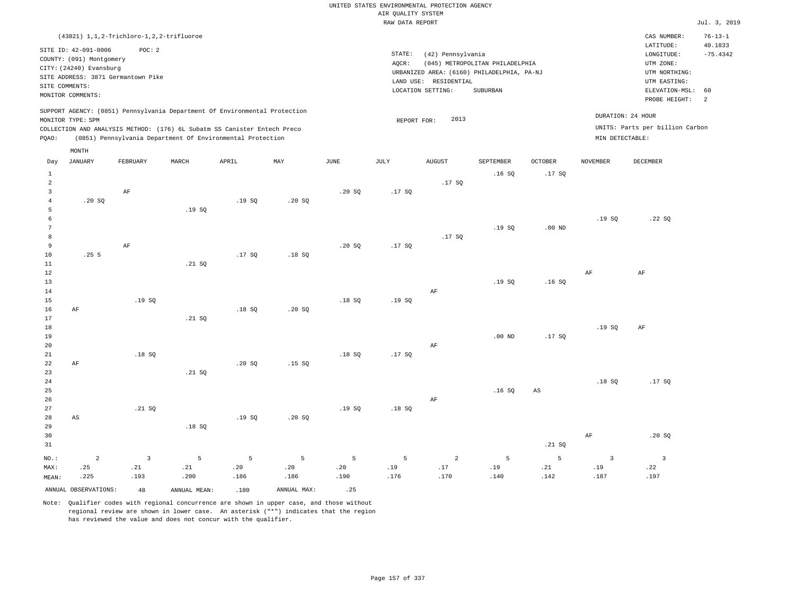UNITED STATES ENVIRONMENTAL PROTECTION AGENCY AIR QUALITY SYSTEM

|                |                          |                                              |        |                                                                            |              |               | RAW DATA REPORT |                       |                                            |                   |                 |                                 | Jul. 3, 2019             |
|----------------|--------------------------|----------------------------------------------|--------|----------------------------------------------------------------------------|--------------|---------------|-----------------|-----------------------|--------------------------------------------|-------------------|-----------------|---------------------------------|--------------------------|
|                |                          | (43821) 1, 1, 2-Trichloro-1, 2, 2-trifluoroe |        |                                                                            |              |               |                 |                       |                                            |                   |                 | CAS NUMBER:<br>LATITUDE:        | $76 - 13 - 1$<br>40.1833 |
|                | SITE ID: 42-091-0006     | POC: 2                                       |        |                                                                            |              |               | STATE:          | (42) Pennsylvania     |                                            |                   |                 | LONGITUDE:                      | $-75.4342$               |
|                | COUNTY: (091) Montgomery |                                              |        |                                                                            |              |               | AOCR:           |                       | (045) METROPOLITAN PHILADELPHIA            |                   |                 | UTM ZONE:                       |                          |
|                | CITY: (24240) Evansburg  |                                              |        |                                                                            |              |               |                 |                       | URBANIZED AREA: (6160) PHILADELPHIA, PA-NJ |                   |                 | UTM NORTHING:                   |                          |
|                | SITE COMMENTS:           | SITE ADDRESS: 3871 Germantown Pike           |        |                                                                            |              |               |                 | LAND USE: RESIDENTIAL |                                            |                   |                 | UTM EASTING:                    |                          |
|                | MONITOR COMMENTS:        |                                              |        |                                                                            |              |               |                 | LOCATION SETTING:     | SUBURBAN                                   |                   |                 | ELEVATION-MSL:                  | 60                       |
|                |                          |                                              |        |                                                                            |              |               |                 |                       |                                            |                   |                 | PROBE HEIGHT:                   | 2                        |
|                |                          |                                              |        | SUPPORT AGENCY: (0851) Pennsylvania Department Of Environmental Protection |              |               |                 |                       |                                            |                   |                 | DURATION: 24 HOUR               |                          |
|                | MONITOR TYPE: SPM        |                                              |        |                                                                            |              |               | REPORT FOR:     | 2013                  |                                            |                   |                 | UNITS: Parts per billion Carbon |                          |
|                |                          |                                              |        | COLLECTION AND ANALYSIS METHOD: (176) 6L Subatm SS Canister Entech Preco   |              |               |                 |                       |                                            |                   |                 |                                 |                          |
| PQAO:          |                          |                                              |        | (0851) Pennsylvania Department Of Environmental Protection                 |              |               |                 |                       |                                            |                   | MIN DETECTABLE: |                                 |                          |
| Day            | MONTH<br><b>JANUARY</b>  | FEBRUARY                                     | MARCH  | APRIL                                                                      | $_{\rm MAY}$ | $_{\rm JUNE}$ | JULY            | <b>AUGUST</b>         | SEPTEMBER                                  | OCTOBER           | <b>NOVEMBER</b> | <b>DECEMBER</b>                 |                          |
| $\mathbf{1}$   |                          |                                              |        |                                                                            |              |               |                 |                       | .16S                                       | .17S              |                 |                                 |                          |
| $\overline{a}$ |                          |                                              |        |                                                                            |              |               |                 | .17SQ                 |                                            |                   |                 |                                 |                          |
| 3              |                          | AF                                           |        |                                                                            |              | .20S          | .17SQ           |                       |                                            |                   |                 |                                 |                          |
| $\overline{4}$ | .20S                     |                                              |        | .19S                                                                       | .20S         |               |                 |                       |                                            |                   |                 |                                 |                          |
| 5              |                          |                                              | .19SQ  |                                                                            |              |               |                 |                       |                                            |                   |                 |                                 |                          |
| 6              |                          |                                              |        |                                                                            |              |               |                 |                       |                                            |                   | .19SQ           | .22SQ                           |                          |
| 7              |                          |                                              |        |                                                                            |              |               |                 |                       | .19SQ                                      | .00 <sub>ND</sub> |                 |                                 |                          |
| 8              |                          |                                              |        |                                                                            |              |               |                 | .17S                  |                                            |                   |                 |                                 |                          |
| 9<br>10        | .255                     | $\rm{AF}$                                    |        | .17SQ                                                                      | .18S         | .20SQ         | .17SQ           |                       |                                            |                   |                 |                                 |                          |
| 11             |                          |                                              | .21 S0 |                                                                            |              |               |                 |                       |                                            |                   |                 |                                 |                          |
| 12             |                          |                                              |        |                                                                            |              |               |                 |                       |                                            |                   | $\rm{AF}$       | AF                              |                          |
| 13             |                          |                                              |        |                                                                            |              |               |                 |                       | .19S                                       | .16S              |                 |                                 |                          |
| 14             |                          |                                              |        |                                                                            |              |               |                 | AF                    |                                            |                   |                 |                                 |                          |
| 15             |                          | .19S                                         |        |                                                                            |              | .18S          | .19SQ           |                       |                                            |                   |                 |                                 |                          |
| 16             | $\rm{AF}$                |                                              |        | .18SQ                                                                      | .20 SQ       |               |                 |                       |                                            |                   |                 |                                 |                          |
| 17             |                          |                                              | .21 SQ |                                                                            |              |               |                 |                       |                                            |                   |                 |                                 |                          |
| 18<br>19       |                          |                                              |        |                                                                            |              |               |                 |                       | $.00$ ND                                   | .17SQ             | .19S            | AF                              |                          |
| 20             |                          |                                              |        |                                                                            |              |               |                 | AF                    |                                            |                   |                 |                                 |                          |
| 21             |                          | .18S                                         |        |                                                                            |              | .18S          | .17S            |                       |                                            |                   |                 |                                 |                          |
| 22             | AF                       |                                              |        | .20S                                                                       | .15S         |               |                 |                       |                                            |                   |                 |                                 |                          |
| 23             |                          |                                              | .21 S0 |                                                                            |              |               |                 |                       |                                            |                   |                 |                                 |                          |
| 24             |                          |                                              |        |                                                                            |              |               |                 |                       |                                            |                   | .18S            | .17S                            |                          |
| 25             |                          |                                              |        |                                                                            |              |               |                 |                       | .16S                                       | $_{\rm AS}$       |                 |                                 |                          |
| 26             |                          |                                              |        |                                                                            |              |               |                 | $\rm AF$              |                                            |                   |                 |                                 |                          |
| 27<br>28       |                          | .21 SQ                                       |        |                                                                            |              | .19S          | .18S            |                       |                                            |                   |                 |                                 |                          |
| 29             | AS                       |                                              | .18SQ  | .19SQ                                                                      | .20 SQ       |               |                 |                       |                                            |                   |                 |                                 |                          |
| 30             |                          |                                              |        |                                                                            |              |               |                 |                       |                                            |                   | AF              | .20SQ                           |                          |
| 31             |                          |                                              |        |                                                                            |              |               |                 |                       |                                            | .21 SQ            |                 |                                 |                          |
|                |                          |                                              |        |                                                                            |              |               |                 |                       |                                            | 5                 |                 |                                 |                          |
| NO.:           | $\overline{a}$           | $\overline{\mathbf{3}}$                      | 5      | 5                                                                          | 5            | 5             | 5               | $\overline{a}$        | 5                                          |                   | $\overline{3}$  | $\overline{3}$                  |                          |

ANNUAL OBSERVATIONS:  $48$  ANNUAL MEAN: .180 ANNUAL MAX: .25

 .21 .200

MAX: MEAN:

 .25 .225

 .21 .193

Note: Qualifier codes with regional concurrence are shown in upper case, and those without regional review are shown in lower case. An asterisk ("\*") indicates that the region has reviewed the value and does not concur with the qualifier.

 .20 .186  .20 .186

 .20 .190

 .19 .176

 .17 .170

 .19 .140  .21 .142  .19 .187  .22 .197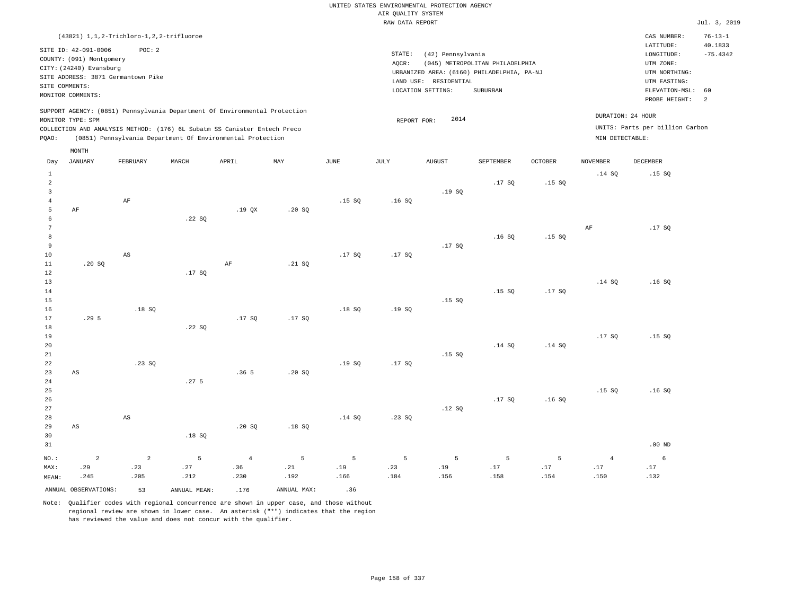| $(43821)$ 1, 1, 2-Trichloro-1, 2, 2-trifluoroe                                                                                                                                                                                                              |                                                                                                                                                                                 | CAS NUMBER:                                                                                                 | $76 - 13 - 1$                 |
|-------------------------------------------------------------------------------------------------------------------------------------------------------------------------------------------------------------------------------------------------------------|---------------------------------------------------------------------------------------------------------------------------------------------------------------------------------|-------------------------------------------------------------------------------------------------------------|-------------------------------|
| SITE ID: 42-091-0006<br>POC:2<br>COUNTY: (091) Montgomery<br>CITY: (24240) Evansburg<br>SITE ADDRESS: 3871 Germantown Pike<br>SITE COMMENTS:<br>MONITOR COMMENTS:                                                                                           | STATE:<br>(42) Pennsylvania<br>(045) METROPOLITAN PHILADELPHIA<br>AOCR:<br>URBANIZED AREA: (6160) PHILADELPHIA, PA-NJ<br>LAND USE: RESIDENTIAL<br>LOCATION SETTING:<br>SUBURBAN | LATITUDE:<br>LONGITUDE:<br>UTM ZONE:<br>UTM NORTHING:<br>UTM EASTING:<br>ELEVATION-MSL: 60<br>PROBE HEIGHT: | 40.1833<br>$-75.4342$<br>- 2. |
| SUPPORT AGENCY: (0851) Pennsylvania Department Of Environmental Protection<br>MONITOR TYPE: SPM<br>COLLECTION AND ANALYSIS METHOD: (176) 6L Subatm SS Canister Entech Preco<br>(0851) Pennsylvania Department Of Environmental Protection<br>POAO:<br>MONTH | 2014<br>REPORT FOR:                                                                                                                                                             | DURATION: 24 HOUR<br>UNITS: Parts per billion Carbon<br>MIN DETECTABLE:                                     |                               |

| Day            | <b>JANUARY</b>         | FEBRUARY               | MARCH            | ${\tt APRIL}$  | MAY         | JUNE   | $\mathtt{JULY}$ | ${\tt AUGUST}$ | SEPTEMBER | OCTOBER | $\,$ NOVEMBER  | DECEMBER        |
|----------------|------------------------|------------------------|------------------|----------------|-------------|--------|-----------------|----------------|-----------|---------|----------------|-----------------|
| $\mathbf{1}$   |                        |                        |                  |                |             |        |                 |                |           |         | .14 SQ         | .15S            |
| $\overline{a}$ |                        |                        |                  |                |             |        |                 |                | .17SQ     | .15SQ   |                |                 |
| 3              |                        |                        |                  |                |             |        |                 | .19SQ          |           |         |                |                 |
| $\overline{4}$ |                        | $\rm{AF}$              |                  |                |             | .15 SQ | .16SQ           |                |           |         |                |                 |
| 5              | $\rm AF$               |                        |                  | .19QX          | .20SQ       |        |                 |                |           |         |                |                 |
| 6              |                        |                        | .22 SQ           |                |             |        |                 |                |           |         |                |                 |
| $\overline{7}$ |                        |                        |                  |                |             |        |                 |                |           |         | AF             | .17SQ           |
| 8              |                        |                        |                  |                |             |        |                 |                | .16SQ     | .15SQ   |                |                 |
| 9              |                        |                        |                  |                |             |        |                 | .17SQ          |           |         |                |                 |
| $10$           |                        | $\mathbb{A}\mathbb{S}$ |                  |                |             | .17SQ  | .17SQ           |                |           |         |                |                 |
| $11\,$         | .20 SQ                 |                        |                  | $\rm AF$       | .21 SQ      |        |                 |                |           |         |                |                 |
| 12             |                        |                        | .17SQ            |                |             |        |                 |                |           |         |                |                 |
| 13             |                        |                        |                  |                |             |        |                 |                |           |         | .14 SQ         | .16S            |
| 14<br>15       |                        |                        |                  |                |             |        |                 | .15 SQ         | .15SQ     | .17SQ   |                |                 |
| 16             |                        | .18S                   |                  |                |             | .18S   | .19SQ           |                |           |         |                |                 |
| 17             | .29 <sub>5</sub>       |                        |                  | .17SQ          | .17SQ       |        |                 |                |           |         |                |                 |
| 18             |                        |                        | .22 SQ           |                |             |        |                 |                |           |         |                |                 |
| 19             |                        |                        |                  |                |             |        |                 |                |           |         | .17SQ          | .15SQ           |
| 20             |                        |                        |                  |                |             |        |                 |                | .14 SQ    | .14 SQ  |                |                 |
| 21             |                        |                        |                  |                |             |        |                 | .15S           |           |         |                |                 |
| 22             |                        | .23SQ                  |                  |                |             | .19SQ  | .17SQ           |                |           |         |                |                 |
| 23             | $\mathbb{A}\mathbb{S}$ |                        |                  | .365           | .20SQ       |        |                 |                |           |         |                |                 |
| 24             |                        |                        | .27 <sub>5</sub> |                |             |        |                 |                |           |         |                |                 |
| 25             |                        |                        |                  |                |             |        |                 |                |           |         | .15S           | .16SQ           |
| 26             |                        |                        |                  |                |             |        |                 |                | .17SQ     | .16SQ   |                |                 |
| 27             |                        |                        |                  |                |             |        |                 | .12SQ          |           |         |                |                 |
| 28             |                        | $\mathbb{A}\mathbb{S}$ |                  |                |             | .14 SQ | .23SQ           |                |           |         |                |                 |
| 29             | $\mathbb{A}\mathbb{S}$ |                        |                  | .20 SQ         | .18SQ       |        |                 |                |           |         |                |                 |
| 30             |                        |                        | .18SQ            |                |             |        |                 |                |           |         |                |                 |
| 31             |                        |                        |                  |                |             |        |                 |                |           |         |                | $.00$ ND        |
| $NO.$ :        | $\overline{a}$         | $\overline{a}$         | 5                | $\overline{4}$ | 5           | 5      | 5               | 5              | 5         | 5       | $\overline{4}$ | $6\overline{6}$ |
| MAX:           | .29                    | .23                    | .27              | .36            | .21         | $.19$  | .23             | $.19$          | $.17\,$   | $.17\,$ | $.17\,$        | .17             |
| MEAN:          | .245                   | .205                   | .212             | .230           | .192        | .166   | .184            | .156           | .158      | .154    | .150           | .132            |
|                | ANNUAL OBSERVATIONS:   | 53                     | ANNUAL MEAN:     | .176           | ANNUAL MAX: | .36    |                 |                |           |         |                |                 |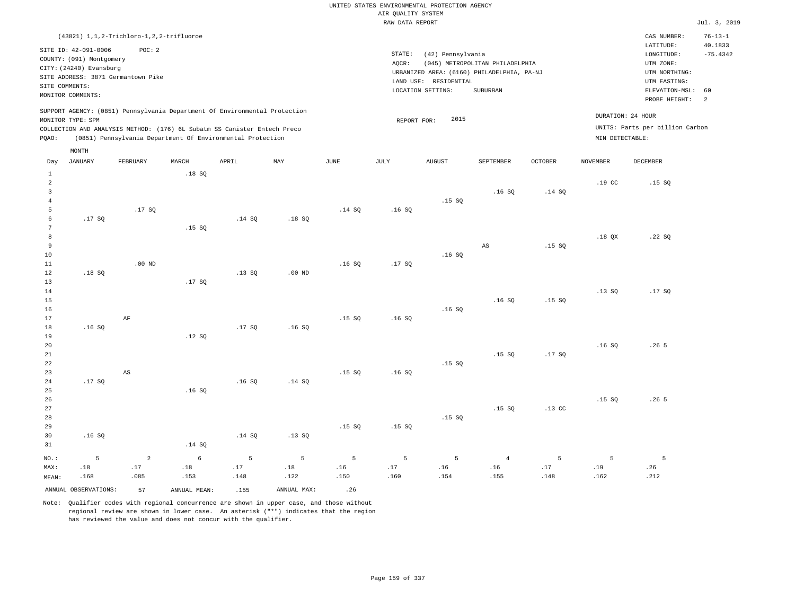|                                                                                               | (43821) 1, 1, 2-Trichloro-1, 2, 2-trifluoroe                                                                                                             |                                     |                                           |                                                                                                                                                                                                                      |                                 |                                                                 |                                                                                           |                  |                               |                                                                                                          |                                  | CAS NUMBER:                                          | $76 - 13 - 1$ |
|-----------------------------------------------------------------------------------------------|----------------------------------------------------------------------------------------------------------------------------------------------------------|-------------------------------------|-------------------------------------------|----------------------------------------------------------------------------------------------------------------------------------------------------------------------------------------------------------------------|---------------------------------|-----------------------------------------------------------------|-------------------------------------------------------------------------------------------|------------------|-------------------------------|----------------------------------------------------------------------------------------------------------|----------------------------------|------------------------------------------------------|---------------|
|                                                                                               | SITE ID: 42-091-0006<br>COUNTY: (091) Montgomery<br>CITY: (24240) Evansburg<br>SITE ADDRESS: 3871 Germantown Pike<br>SITE COMMENTS:<br>MONITOR COMMENTS: | POC: 2                              |                                           |                                                                                                                                                                                                                      |                                 | (42) Pennsylvania<br>LAND USE: RESIDENTIAL<br>LOCATION SETTING: | (045) METROPOLITAN PHILADELPHIA<br>URBANIZED AREA: (6160) PHILADELPHIA, PA-NJ<br>SUBURBAN |                  |                               | LATITUDE:<br>LONGITUDE:<br>UTM ZONE:<br>UTM NORTHING:<br>UTM EASTING:<br>ELEVATION-MSL:<br>PROBE HEIGHT: | 40.1833<br>$-75.4342$<br>60<br>2 |                                                      |               |
| PQAO:                                                                                         | MONITOR TYPE: SPM<br>MONTH                                                                                                                               |                                     |                                           | SUPPORT AGENCY: (0851) Pennsylvania Department Of Environmental Protection<br>COLLECTION AND ANALYSIS METHOD: (176) 6L Subatm SS Canister Entech Preco<br>(0851) Pennsylvania Department Of Environmental Protection |                                 |                                                                 | REPORT FOR:                                                                               | 2015             |                               |                                                                                                          | MIN DETECTABLE:                  | DURATION: 24 HOUR<br>UNITS: Parts per billion Carbon |               |
| Day                                                                                           | <b>JANUARY</b>                                                                                                                                           | FEBRUARY                            | MARCH                                     | APRIL                                                                                                                                                                                                                | MAY                             | <b>JUNE</b>                                                     | JULY                                                                                      | <b>AUGUST</b>    | SEPTEMBER                     | <b>OCTOBER</b>                                                                                           | <b>NOVEMBER</b>                  | <b>DECEMBER</b>                                      |               |
| $\mathbf 1$<br>$\overline{a}$<br>$\overline{\mathbf{3}}$<br>$\overline{4}$<br>5<br>$\epsilon$ | .17SQ                                                                                                                                                    | .17SQ                               | .18SQ                                     | .14S                                                                                                                                                                                                                 | .18S                            | .14 SQ                                                          | .16S                                                                                      | .15S             | .16S                          | .14 SQ                                                                                                   | .19 <sub>c</sub>                 | .15S                                                 |               |
| $7\phantom{.0}$<br>8<br>9<br>10<br>11<br>12                                                   | .18SQ                                                                                                                                                    | $.00$ ND                            | .15SQ                                     | .13SQ                                                                                                                                                                                                                | .00 <sub>ND</sub>               | .16S                                                            | .17SQ                                                                                     | .16S             | $_{\rm AS}$                   | .15SQ                                                                                                    | .18 QX                           | .22SQ                                                |               |
| 13<br>14<br>$15$<br>16<br>17<br>18                                                            | .16S                                                                                                                                                     | $\rm{AF}$                           | .17SQ                                     | .17SQ                                                                                                                                                                                                                | .16S                            | .15S                                                            | .16S                                                                                      | .16S             | .16S                          | .15SQ                                                                                                    | .13SQ                            | .17SQ                                                |               |
| 19<br>20<br>21<br>22<br>23<br>24                                                              | .17SQ                                                                                                                                                    | $\mathbb{A}\mathbb{S}$              | .12S                                      | .16SQ                                                                                                                                                                                                                | .14 SQ                          | .15S                                                            | .16S                                                                                      | .15S             | .15SQ                         | .17SQ                                                                                                    | .16SQ                            | .265                                                 |               |
| 25<br>26<br>27<br>28<br>29<br>30<br>31                                                        | .16S                                                                                                                                                     |                                     | .16S<br>.14SQ                             | .14SQ                                                                                                                                                                                                                | .13SQ                           | .15S                                                            | .15 SQ                                                                                    | .15SQ            | .15SQ                         | .13 <sub>c</sub>                                                                                         | .15S                             | .26 <sub>5</sub>                                     |               |
| NO.:<br>MAX:<br>MEAN:                                                                         | 5<br>.18<br>.168<br>ANNUAL OBSERVATIONS:                                                                                                                 | $\overline{a}$<br>.17<br>.085<br>57 | $\epsilon$<br>.18<br>.153<br>ANNUAL MEAN: | 5<br>.17<br>.148<br>.155                                                                                                                                                                                             | 5<br>.18<br>.122<br>ANNUAL MAX: | 5<br>.16<br>.150<br>.26                                         | 5<br>.17<br>.160                                                                          | 5<br>.16<br>.154 | $\overline{4}$<br>.16<br>.155 | 5<br>.17<br>.148                                                                                         | 5<br>.19<br>.162                 | 5<br>.26<br>.212                                     |               |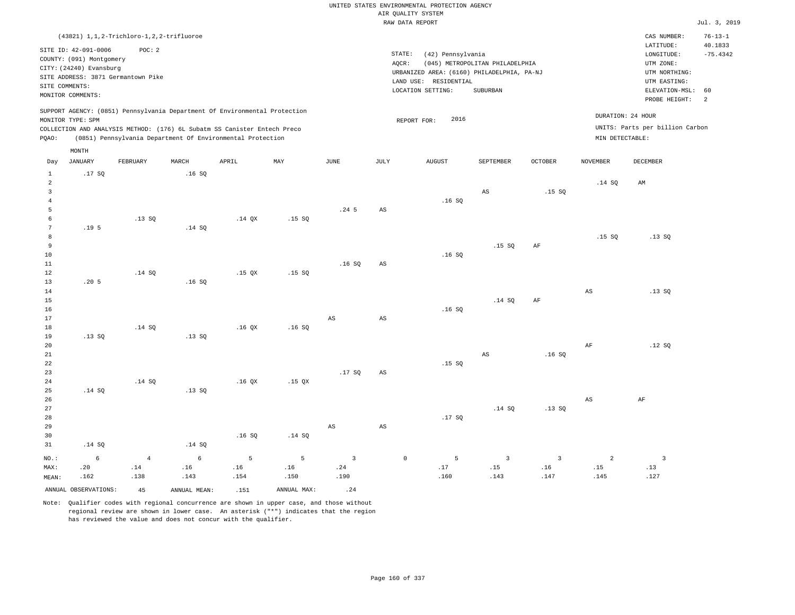UNITED STATES ENVIRONMENTAL PROTECTION AGENCY AIR QUALITY SYSTEM

|                                                  |                                                                                                                    |                                              |              |                                                                                                                                                                                                                      |             |                  |                        | RAW DATA REPORT                                                                                               |                                                    |                |                 |                                                                                                          | Jul. 3, 2019                                  |
|--------------------------------------------------|--------------------------------------------------------------------------------------------------------------------|----------------------------------------------|--------------|----------------------------------------------------------------------------------------------------------------------------------------------------------------------------------------------------------------------|-------------|------------------|------------------------|---------------------------------------------------------------------------------------------------------------|----------------------------------------------------|----------------|-----------------|----------------------------------------------------------------------------------------------------------|-----------------------------------------------|
|                                                  |                                                                                                                    | (43821) 1, 1, 2-Trichloro-1, 2, 2-trifluoroe |              |                                                                                                                                                                                                                      |             |                  |                        |                                                                                                               |                                                    |                |                 | CAS NUMBER:                                                                                              | $76 - 13 - 1$                                 |
|                                                  | SITE ID: 42-091-0006<br>COUNTY: (091) Montgomery<br>CITY: (24240) Evansburg<br>SITE COMMENTS:<br>MONITOR COMMENTS: | POC: 2<br>SITE ADDRESS: 3871 Germantown Pike |              |                                                                                                                                                                                                                      |             |                  | STATE:<br>AQCR:        | (42) Pennsylvania<br>URBANIZED AREA: (6160) PHILADELPHIA, PA-NJ<br>LAND USE: RESIDENTIAL<br>LOCATION SETTING: | (045) METROPOLITAN PHILADELPHIA<br><b>SUBURBAN</b> |                |                 | LATITUDE:<br>LONGITUDE:<br>UTM ZONE:<br>UTM NORTHING:<br>UTM EASTING:<br>ELEVATION-MSL:<br>PROBE HEIGHT: | 40.1833<br>$-75.4342$<br>60<br>$\overline{2}$ |
| PQAO:                                            | MONITOR TYPE: SPM                                                                                                  |                                              |              | SUPPORT AGENCY: (0851) Pennsylvania Department Of Environmental Protection<br>COLLECTION AND ANALYSIS METHOD: (176) 6L Subatm SS Canister Entech Preco<br>(0851) Pennsylvania Department Of Environmental Protection |             |                  |                        | 2016<br>REPORT FOR:                                                                                           |                                                    |                | MIN DETECTABLE: | DURATION: 24 HOUR<br>UNITS: Parts per billion Carbon                                                     |                                               |
|                                                  | MONTH                                                                                                              |                                              |              |                                                                                                                                                                                                                      |             |                  |                        |                                                                                                               |                                                    |                |                 |                                                                                                          |                                               |
| Day                                              | <b>JANUARY</b>                                                                                                     | FEBRUARY                                     | MARCH        | APRIL                                                                                                                                                                                                                | MAY         | <b>JUNE</b>      | JULY                   | <b>AUGUST</b>                                                                                                 | <b>SEPTEMBER</b>                                   | <b>OCTOBER</b> | <b>NOVEMBER</b> | <b>DECEMBER</b>                                                                                          |                                               |
| $\mathbf{1}$<br>$\overline{a}$<br>$\overline{3}$ | .17SQ                                                                                                              |                                              | .16SQ        |                                                                                                                                                                                                                      |             |                  |                        |                                                                                                               | $_{\rm AS}$                                        | .15S           | .14SQ           | AM                                                                                                       |                                               |
| $\overline{4}$<br>5                              |                                                                                                                    |                                              |              |                                                                                                                                                                                                                      |             | .24 <sub>5</sub> | $\mathbb{A}\mathbb{S}$ | .16S                                                                                                          |                                                    |                |                 |                                                                                                          |                                               |
| 6<br>$\overline{7}$                              | .19 <sub>5</sub>                                                                                                   | .13S                                         | .14 SQ       | .14O X                                                                                                                                                                                                               | .15SQ       |                  |                        |                                                                                                               |                                                    |                |                 |                                                                                                          |                                               |
| 8<br>9<br>10                                     |                                                                                                                    |                                              |              |                                                                                                                                                                                                                      |             |                  |                        | .16SQ                                                                                                         | .15S                                               | AF             | .15SQ           | .13SQ                                                                                                    |                                               |
| 11<br>12                                         |                                                                                                                    | .14 S0                                       |              | .15 <sub>OX</sub>                                                                                                                                                                                                    | .15S        | .16S             | AS                     |                                                                                                               |                                                    |                |                 |                                                                                                          |                                               |
| 13<br>14<br>15<br>16                             | .205                                                                                                               |                                              | .16S         |                                                                                                                                                                                                                      |             |                  |                        | .16SQ                                                                                                         | .14 SQ                                             | $\rm AF$       | AS              | .13S                                                                                                     |                                               |
| 17                                               |                                                                                                                    |                                              |              |                                                                                                                                                                                                                      |             | AS               | AS                     |                                                                                                               |                                                    |                |                 |                                                                                                          |                                               |
| 18<br>19                                         | .13SQ                                                                                                              | .14 SQ                                       | .13SQ        | .16 <sub>QX</sub>                                                                                                                                                                                                    | .16S        |                  |                        |                                                                                                               |                                                    |                |                 |                                                                                                          |                                               |
| 20<br>21<br>22<br>23                             |                                                                                                                    |                                              |              |                                                                                                                                                                                                                      |             | .17S             | AS                     | .15S                                                                                                          | $_{\rm AS}$                                        | .16SQ          | AF              | .12S                                                                                                     |                                               |
| 24<br>25<br>26                                   | .14 S0                                                                                                             | .14 SQ                                       | .13SQ        | .16QX                                                                                                                                                                                                                | $.15$ QX    |                  |                        |                                                                                                               |                                                    |                | AS              | AF                                                                                                       |                                               |
| 27<br>28<br>29<br>30<br>31                       | .14 S0                                                                                                             |                                              | .14 SQ       | .16SQ                                                                                                                                                                                                                | .14 SQ      | $_{\rm AS}$      | $\mathbb{A}\mathbb{S}$ | .17SQ                                                                                                         | .14 SQ                                             | .13SQ          |                 |                                                                                                          |                                               |
| NO.:                                             |                                                                                                                    | $\overline{4}$                               | $\epsilon$   | 5                                                                                                                                                                                                                    | 5           | $\overline{3}$   |                        | $\mathbb O$<br>5                                                                                              | $\overline{3}$                                     | $\overline{3}$ | 2               | $\overline{\mathbf{3}}$                                                                                  |                                               |
| MAX:<br>MEAN:                                    | 6<br>.20<br>.162                                                                                                   | .14<br>.138                                  | .16<br>.143  | .16<br>.154                                                                                                                                                                                                          | .16<br>.150 | .24<br>.190      |                        | .17<br>.160                                                                                                   | .15<br>.143                                        | .16<br>.147    | .15<br>.145     | .13<br>.127                                                                                              |                                               |
|                                                  | ANNUAL OBSERVATIONS:                                                                                               | 45                                           | ANNUAL MEAN: | .151                                                                                                                                                                                                                 | ANNUAL MAX: | .24              |                        |                                                                                                               |                                                    |                |                 |                                                                                                          |                                               |
|                                                  |                                                                                                                    |                                              |              |                                                                                                                                                                                                                      |             |                  |                        |                                                                                                               |                                                    |                |                 |                                                                                                          |                                               |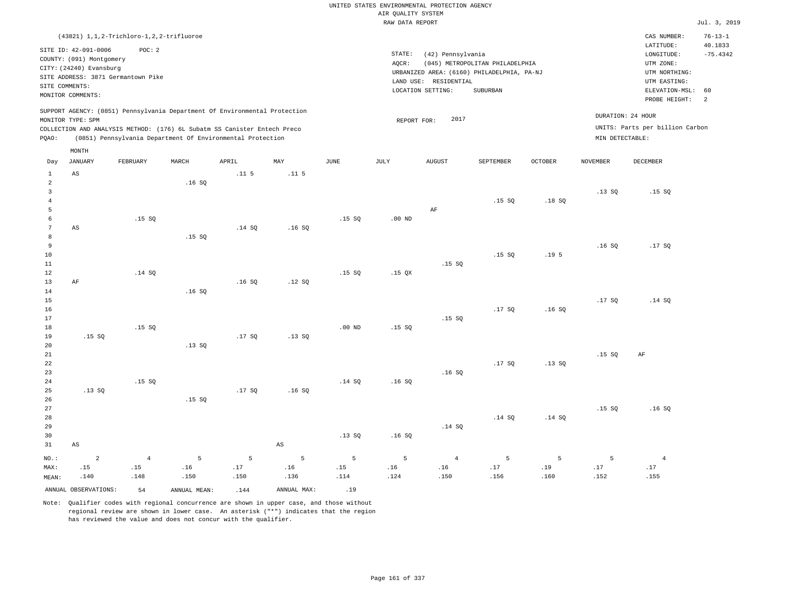|                |                          |                                              |                |                                                                            |                        |             | UNITED STATES ENVIRONMENTAL PROTECTION AGENCY |                       |                                            |                  |                 |                                 |                |
|----------------|--------------------------|----------------------------------------------|----------------|----------------------------------------------------------------------------|------------------------|-------------|-----------------------------------------------|-----------------------|--------------------------------------------|------------------|-----------------|---------------------------------|----------------|
|                |                          |                                              |                |                                                                            |                        |             | AIR QUALITY SYSTEM<br>RAW DATA REPORT         |                       |                                            |                  |                 |                                 | Jul. 3, 2019   |
|                |                          |                                              |                |                                                                            |                        |             |                                               |                       |                                            |                  |                 |                                 |                |
|                |                          | (43821) 1, 1, 2-Trichloro-1, 2, 2-trifluoroe |                |                                                                            |                        |             |                                               |                       |                                            |                  |                 | CAS NUMBER:                     | $76 - 13 - 1$  |
|                | SITE ID: 42-091-0006     | POC: 2                                       |                |                                                                            |                        |             | STATE:                                        |                       |                                            |                  |                 | LATITUDE:                       | 40.1833        |
|                | COUNTY: (091) Montgomery |                                              |                |                                                                            |                        |             | AQCR:                                         | (42) Pennsylvania     | (045) METROPOLITAN PHILADELPHIA            |                  |                 | LONGITUDE:<br>UTM ZONE:         | $-75.4342$     |
|                | CITY: (24240) Evansburg  |                                              |                |                                                                            |                        |             |                                               |                       | URBANIZED AREA: (6160) PHILADELPHIA, PA-NJ |                  |                 | UTM NORTHING:                   |                |
|                |                          | SITE ADDRESS: 3871 Germantown Pike           |                |                                                                            |                        |             |                                               | LAND USE: RESIDENTIAL |                                            |                  |                 | UTM EASTING:                    |                |
|                | SITE COMMENTS:           |                                              |                |                                                                            |                        |             |                                               | LOCATION SETTING:     | <b>SUBURBAN</b>                            |                  |                 | ELEVATION-MSL:                  | 60             |
|                | MONITOR COMMENTS:        |                                              |                |                                                                            |                        |             |                                               |                       |                                            |                  |                 | PROBE HEIGHT:                   | $\overline{a}$ |
|                |                          |                                              |                | SUPPORT AGENCY: (0851) Pennsylvania Department Of Environmental Protection |                        |             |                                               |                       |                                            |                  |                 |                                 |                |
|                | MONITOR TYPE: SPM        |                                              |                |                                                                            |                        |             | REPORT FOR:                                   | 2017                  |                                            |                  |                 | DURATION: 24 HOUR               |                |
|                |                          |                                              |                | COLLECTION AND ANALYSIS METHOD: (176) 6L Subatm SS Canister Entech Preco   |                        |             |                                               |                       |                                            |                  |                 | UNITS: Parts per billion Carbon |                |
| PQAO:          |                          |                                              |                | (0851) Pennsylvania Department Of Environmental Protection                 |                        |             |                                               |                       |                                            |                  | MIN DETECTABLE: |                                 |                |
|                | MONTH                    |                                              |                |                                                                            |                        |             |                                               |                       |                                            |                  |                 |                                 |                |
| Day            | <b>JANUARY</b>           | FEBRUARY                                     | MARCH          | APRIL                                                                      | MAY                    | <b>JUNE</b> | <b>JULY</b>                                   | <b>AUGUST</b>         | SEPTEMBER                                  | <b>OCTOBER</b>   | <b>NOVEMBER</b> | DECEMBER                        |                |
| $\mathbf{1}$   | $_{\rm AS}$              |                                              |                | .11 <sub>5</sub>                                                           | .11 <sub>5</sub>       |             |                                               |                       |                                            |                  |                 |                                 |                |
| $\overline{a}$ |                          |                                              | .16SQ          |                                                                            |                        |             |                                               |                       |                                            |                  |                 |                                 |                |
| 3              |                          |                                              |                |                                                                            |                        |             |                                               |                       |                                            |                  | .13SQ           | .15S                            |                |
| $\overline{4}$ |                          |                                              |                |                                                                            |                        |             |                                               |                       | .15S                                       | .18S             |                 |                                 |                |
| 5              |                          |                                              |                |                                                                            |                        |             |                                               | $\rm AF$              |                                            |                  |                 |                                 |                |
| 6<br>7         | $\mathbb{A}\mathbb{S}$   | .15S                                         |                | .14 SQ                                                                     | .16SQ                  | .15S        | $.00$ ND                                      |                       |                                            |                  |                 |                                 |                |
| 8              |                          |                                              | .15S           |                                                                            |                        |             |                                               |                       |                                            |                  |                 |                                 |                |
| $\,9$          |                          |                                              |                |                                                                            |                        |             |                                               |                       |                                            |                  | .16S            | .17SQ                           |                |
| 10             |                          |                                              |                |                                                                            |                        |             |                                               |                       | .15 S0                                     | .19 <sub>5</sub> |                 |                                 |                |
| 11             |                          |                                              |                |                                                                            |                        |             |                                               | .15S                  |                                            |                  |                 |                                 |                |
| 12             |                          | .14 SQ                                       |                |                                                                            |                        | .15 SO      | $.15$ QX                                      |                       |                                            |                  |                 |                                 |                |
| 13             | AF                       |                                              |                | .16S                                                                       | .12S                   |             |                                               |                       |                                            |                  |                 |                                 |                |
| 14             |                          |                                              | .16S           |                                                                            |                        |             |                                               |                       |                                            |                  |                 |                                 |                |
| 15             |                          |                                              |                |                                                                            |                        |             |                                               |                       |                                            |                  | .17 SO          | .14 SQ                          |                |
| 16             |                          |                                              |                |                                                                            |                        |             |                                               |                       | .17S                                       | .16S             |                 |                                 |                |
| 17             |                          |                                              |                |                                                                            |                        |             |                                               | .15S                  |                                            |                  |                 |                                 |                |
| 18<br>19       | .15S                     | .15SQ                                        |                | .17SQ                                                                      | .13SQ                  | $.00$ ND    | .15S                                          |                       |                                            |                  |                 |                                 |                |
| 20             |                          |                                              | .13SQ          |                                                                            |                        |             |                                               |                       |                                            |                  |                 |                                 |                |
| 21             |                          |                                              |                |                                                                            |                        |             |                                               |                       |                                            |                  | .15SQ           | AF                              |                |
| 22             |                          |                                              |                |                                                                            |                        |             |                                               |                       | .17S                                       | .13S             |                 |                                 |                |
| 23             |                          |                                              |                |                                                                            |                        |             |                                               | .16SQ                 |                                            |                  |                 |                                 |                |
| 24             |                          | .15SQ                                        |                |                                                                            |                        | .14 SQ      | .16S                                          |                       |                                            |                  |                 |                                 |                |
| 25             | .13SQ                    |                                              |                | .17S                                                                       | .16S                   |             |                                               |                       |                                            |                  |                 |                                 |                |
| 26             |                          |                                              | .15S           |                                                                            |                        |             |                                               |                       |                                            |                  |                 |                                 |                |
| 27             |                          |                                              |                |                                                                            |                        |             |                                               |                       |                                            |                  | .15S            | .16S                            |                |
| 28             |                          |                                              |                |                                                                            |                        |             |                                               |                       | .14 SQ                                     | .14SQ            |                 |                                 |                |
| 29<br>30       |                          |                                              |                |                                                                            |                        | .13S        | .16S                                          | .14 SQ                |                                            |                  |                 |                                 |                |
| 31             | $_{\rm AS}$              |                                              |                |                                                                            | $\mathbb{A}\mathbb{S}$ |             |                                               |                       |                                            |                  |                 |                                 |                |
|                |                          |                                              |                |                                                                            |                        |             |                                               |                       |                                            |                  |                 |                                 |                |
| NO.:           | $\overline{a}$           | $\overline{4}$                               | $\overline{5}$ | 5                                                                          | $\overline{5}$         | 5           | 5                                             | $\overline{4}$        | 5                                          | 5                | $\overline{5}$  | $\overline{4}$                  |                |
| MAX:           | .15                      | .15                                          | .16            | .17                                                                        | .16                    | .15         | .16                                           | .16<br>.150           | .17                                        | .19              | .17             | .17                             |                |
| MEAN:          | .140                     | .148                                         | .150           | .150                                                                       | .136                   | .114        | .124                                          |                       | .156                                       | .160             | .152            | .155                            |                |
|                | ANNUAL OBSERVATIONS:     | 54                                           | ANNUAL, MEAN:  | .144                                                                       | ANNUAL MAX:            | .19         |                                               |                       |                                            |                  |                 |                                 |                |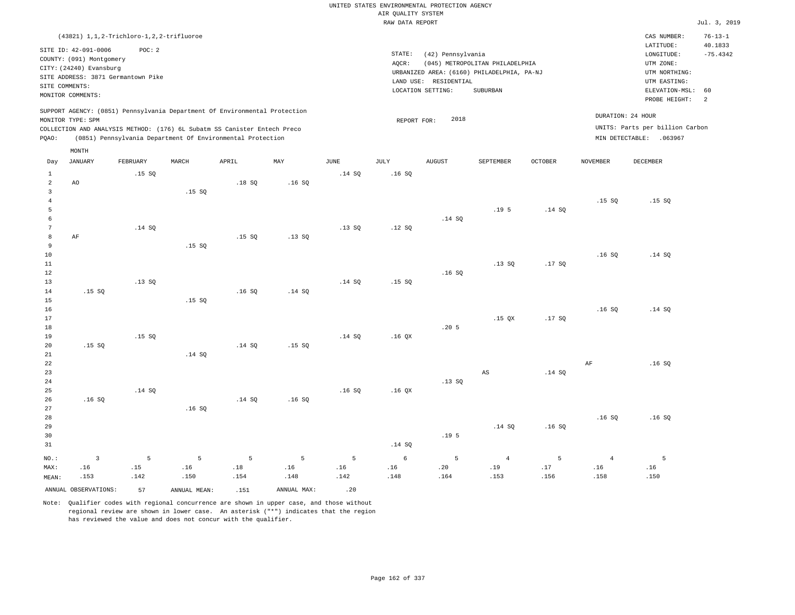|                |                          |                                              |       |                                                                            |        |             |                    | UNITED STATES ENVIRONMENTAL PROTECTION AGENCY |                                            |                |                 |                                 |               |
|----------------|--------------------------|----------------------------------------------|-------|----------------------------------------------------------------------------|--------|-------------|--------------------|-----------------------------------------------|--------------------------------------------|----------------|-----------------|---------------------------------|---------------|
|                |                          |                                              |       |                                                                            |        |             | AIR QUALITY SYSTEM |                                               |                                            |                |                 |                                 |               |
|                |                          |                                              |       |                                                                            |        |             | RAW DATA REPORT    |                                               |                                            |                |                 |                                 | Jul. 3, 20    |
|                |                          | (43821) 1, 1, 2-Trichloro-1, 2, 2-trifluoroe |       |                                                                            |        |             |                    |                                               |                                            |                |                 | CAS NUMBER:                     | $76 - 13 - 1$ |
|                | SITE ID: 42-091-0006     | POC: 2                                       |       |                                                                            |        |             |                    |                                               |                                            |                |                 | LATITUDE:                       | 40.1833       |
|                | COUNTY: (091) Montgomery |                                              |       |                                                                            |        |             | STATE:             | (42) Pennsylvania                             |                                            |                |                 | LONGITUDE:                      | $-75.4342$    |
|                | CITY: (24240) Evansburg  |                                              |       |                                                                            |        |             | AQCR:              |                                               | (045) METROPOLITAN PHILADELPHIA            |                |                 | UTM ZONE:                       |               |
|                |                          | SITE ADDRESS: 3871 Germantown Pike           |       |                                                                            |        |             |                    |                                               | URBANIZED AREA: (6160) PHILADELPHIA, PA-NJ |                |                 | UTM NORTHING:                   |               |
|                | SITE COMMENTS:           |                                              |       |                                                                            |        |             |                    | LAND USE: RESIDENTIAL                         |                                            |                |                 | UTM EASTING:                    |               |
|                | MONITOR COMMENTS:        |                                              |       |                                                                            |        |             |                    | LOCATION SETTING:                             | SUBURBAN                                   |                |                 | ELEVATION-MSL: 60               |               |
|                |                          |                                              |       |                                                                            |        |             |                    |                                               |                                            |                |                 | PROBE HEIGHT:                   | - 2           |
|                |                          |                                              |       | SUPPORT AGENCY: (0851) Pennsylvania Department Of Environmental Protection |        |             |                    |                                               |                                            |                |                 |                                 |               |
|                | MONITOR TYPE: SPM        |                                              |       |                                                                            |        |             | REPORT FOR:        | 2018                                          |                                            |                |                 | DURATION: 24 HOUR               |               |
|                |                          |                                              |       | COLLECTION AND ANALYSIS METHOD: (176) 6L Subatm SS Canister Entech Preco   |        |             |                    |                                               |                                            |                |                 | UNITS: Parts per billion Carbon |               |
| PQAO:          |                          |                                              |       | (0851) Pennsylvania Department Of Environmental Protection                 |        |             |                    |                                               |                                            |                |                 | MIN DETECTABLE: .063967         |               |
|                | MONTH                    |                                              |       |                                                                            |        |             |                    |                                               |                                            |                |                 |                                 |               |
| Day            | <b>JANUARY</b>           | FEBRUARY                                     | MARCH | APRIL                                                                      | MAY    | <b>JUNE</b> | JULY               | <b>AUGUST</b>                                 | SEPTEMBER                                  | <b>OCTOBER</b> | <b>NOVEMBER</b> | DECEMBER                        |               |
| $\mathbf{1}$   |                          | .15S                                         |       |                                                                            |        | .14 S0      | .16S               |                                               |                                            |                |                 |                                 |               |
| 2              | AO                       |                                              |       | .18S                                                                       | .16SQ  |             |                    |                                               |                                            |                |                 |                                 |               |
| 3              |                          |                                              | .15SQ |                                                                            |        |             |                    |                                               |                                            |                |                 |                                 |               |
| $\overline{4}$ |                          |                                              |       |                                                                            |        |             |                    |                                               |                                            |                | .15S            | .15S                            |               |
| 5              |                          |                                              |       |                                                                            |        |             |                    |                                               | .19 <sub>5</sub>                           | .14SQ          |                 |                                 |               |
| 6              |                          |                                              |       |                                                                            |        |             |                    | .14S                                          |                                            |                |                 |                                 |               |
| 7              |                          | .14 S0                                       |       |                                                                            |        | .13S        | .12S               |                                               |                                            |                |                 |                                 |               |
| 8              | AF                       |                                              |       | .15S                                                                       | .13S   |             |                    |                                               |                                            |                |                 |                                 |               |
| 9              |                          |                                              | .15SQ |                                                                            |        |             |                    |                                               |                                            |                |                 |                                 |               |
| 10             |                          |                                              |       |                                                                            |        |             |                    |                                               |                                            |                | .16S            | .14 S0                          |               |
| 11             |                          |                                              |       |                                                                            |        |             |                    |                                               | .13SQ                                      | .17SQ          |                 |                                 |               |
| 12             |                          |                                              |       |                                                                            |        |             |                    | .16S                                          |                                            |                |                 |                                 |               |
| 13             |                          | .13S                                         |       |                                                                            |        | .14S        | .15S               |                                               |                                            |                |                 |                                 |               |
| 14             | .15S                     |                                              |       | .16S                                                                       | .14 S0 |             |                    |                                               |                                            |                |                 |                                 |               |
| 15             |                          |                                              | .15SQ |                                                                            |        |             |                    |                                               |                                            |                |                 |                                 |               |
| 16             |                          |                                              |       |                                                                            |        |             |                    |                                               |                                            |                | .16S            | .14 S0                          |               |
| 17             |                          |                                              |       |                                                                            |        |             |                    |                                               | $.15$ QX                                   | .17SQ          |                 |                                 |               |
| 18             |                          |                                              |       |                                                                            |        |             |                    | .20 <sub>5</sub>                              |                                            |                |                 |                                 |               |

Jul. 3, 2019

5

| 18          |       |        |        |        |        |        |                   | .205             |        |        |      |       |
|-------------|-------|--------|--------|--------|--------|--------|-------------------|------------------|--------|--------|------|-------|
| 19          |       | .15 SQ |        |        |        | .14 SQ | .16QX             |                  |        |        |      |       |
| 20          | .15SQ |        |        | .14 SQ | .15 SQ |        |                   |                  |        |        |      |       |
| $2\sqrt{1}$ |       |        | .14 SQ |        |        |        |                   |                  |        |        |      |       |
| $2\sqrt{2}$ |       |        |        |        |        |        |                   |                  |        |        | AF   | .16S  |
| 23          |       |        |        |        |        |        |                   |                  | AS     | .14 SQ |      |       |
| $2\,4$      |       |        |        |        |        |        |                   | .13SQ            |        |        |      |       |
| $25\,$      |       | .14 SQ |        |        |        | .16S   | .16 <sub>QX</sub> |                  |        |        |      |       |
| 26          | .16S  |        |        | .14 SQ | .16S   |        |                   |                  |        |        |      |       |
| 27          |       |        | .16S   |        |        |        |                   |                  |        |        |      |       |
| 28          |       |        |        |        |        |        |                   |                  |        |        | .16S | .16SQ |
| 29          |       |        |        |        |        |        |                   |                  | .14 SQ | .16S   |      |       |
| 30          |       |        |        |        |        |        |                   | .19 <sub>5</sub> |        |        |      |       |
| 21          |       |        |        |        |        |        | 14.00             |                  |        |        |      |       |

| 31    |  |  |  | .14 SO |  |  |  |  |                                                                            |      |  |
|-------|--|--|--|--------|--|--|--|--|----------------------------------------------------------------------------|------|--|
|       |  |  |  |        |  |  |  |  | NO.: 3 5 5 5 5 5 5 6 5 4 5 4                                               |      |  |
|       |  |  |  |        |  |  |  |  |                                                                            |      |  |
| MEAN: |  |  |  |        |  |  |  |  | 158. 156. 153. 164. 164. 142. 142. 142. 148. 159. 154. 150. 150. 142. 153. | .150 |  |

ANNUAL OBSERVATIONS: 57 ANNUAL MEAN: .151 ANNUAL MAX: .20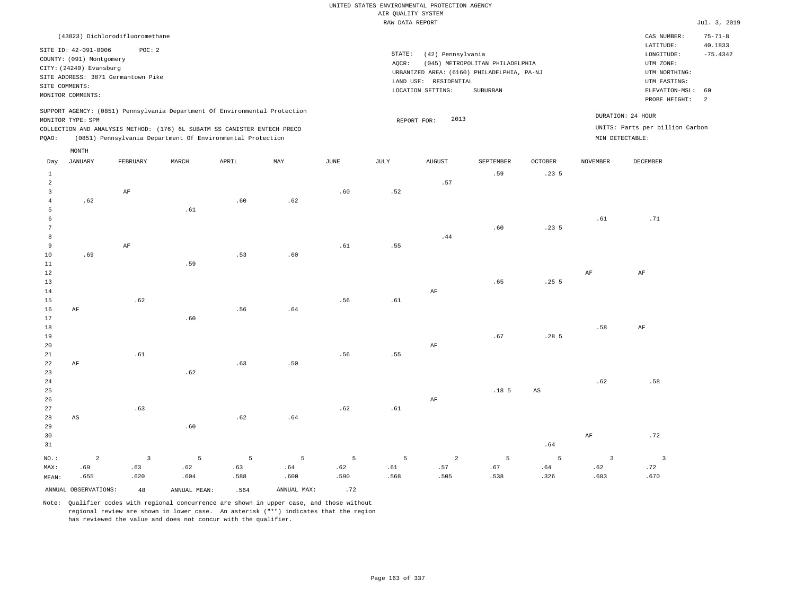| (43823) Dichlorodifluoromethane                                                                 |                                            | CAS NUMBER:                     | $75 - 71 - 8$ |
|-------------------------------------------------------------------------------------------------|--------------------------------------------|---------------------------------|---------------|
| SITE ID: 42-091-0006<br>POC:2                                                                   |                                            | LATITUDE:                       | 40.1833       |
| COUNTY: (091) Montgomery                                                                        | STATE:<br>(42) Pennsylvania                | LONGITUDE:                      | $-75.4342$    |
| CITY: (24240) Evansburg                                                                         | (045) METROPOLITAN PHILADELPHIA<br>AOCR:   | UTM ZONE:                       |               |
| SITE ADDRESS: 3871 Germantown Pike                                                              | URBANIZED AREA: (6160) PHILADELPHIA, PA-NJ | UTM NORTHING:                   |               |
| SITE COMMENTS:                                                                                  | LAND USE: RESIDENTIAL                      | UTM EASTING:                    |               |
| MONITOR COMMENTS:                                                                               | LOCATION SETTING:<br>SUBURBAN              | ELEVATION-MSL: 60               |               |
|                                                                                                 |                                            | PROBE HEIGHT:                   |               |
| SUPPORT AGENCY: (0851) Pennsylvania Department Of Environmental Protection<br>MONITOR TYPE: SPM | 2013<br>REPORT FOR:                        | DURATION: 24 HOUR               |               |
| COLLECTION AND ANALYSIS METHOD: (176) 6L SUBATM SS CANISTER ENTECH PRECO                        |                                            | UNITS: Parts per billion Carbon |               |
| POAO:<br>(0851) Pennsylvania Department Of Environmental Protection                             |                                            | MIN DETECTABLE:                 |               |

|                 | $\texttt{MONTH}$       |                |              |       |             |      |         |               |                  |                  |                 |                         |
|-----------------|------------------------|----------------|--------------|-------|-------------|------|---------|---------------|------------------|------------------|-----------------|-------------------------|
| Day             | JANUARY                | FEBRUARY       | MARCH        | APRIL | MAY         | JUNE | JULY    | <b>AUGUST</b> | SEPTEMBER        | OCTOBER          | <b>NOVEMBER</b> | <b>DECEMBER</b>         |
| $\mathbf{1}$    |                        |                |              |       |             |      |         |               | .59              | .235             |                 |                         |
| 2               |                        |                |              |       |             |      |         | .57           |                  |                  |                 |                         |
| $\overline{3}$  |                        | $\rm{AF}$      |              |       |             | .60  | .52     |               |                  |                  |                 |                         |
| $\overline{4}$  | .62                    |                |              | .60   | .62         |      |         |               |                  |                  |                 |                         |
| 5               |                        |                | .61          |       |             |      |         |               |                  |                  |                 |                         |
| $\epsilon$      |                        |                |              |       |             |      |         |               |                  |                  | .61             | .71                     |
| $7\phantom{.0}$ |                        |                |              |       |             |      |         |               | .60              | .235             |                 |                         |
| 8               |                        |                |              |       |             |      |         | .44           |                  |                  |                 |                         |
| $\overline{9}$  |                        | $\rm{AF}$      |              |       |             | .61  | .55     |               |                  |                  |                 |                         |
| 10              | .69                    |                |              | .53   | .60         |      |         |               |                  |                  |                 |                         |
| 11              |                        |                | .59          |       |             |      |         |               |                  |                  |                 |                         |
| 12              |                        |                |              |       |             |      |         |               |                  |                  | $\rm{AF}$       | $\rm AF$                |
| 13              |                        |                |              |       |             |      |         |               | .65              | .255             |                 |                         |
| 14              |                        |                |              |       |             |      |         | $\rm AF$      |                  |                  |                 |                         |
| 15              |                        | .62            |              |       |             | .56  | $.61\,$ |               |                  |                  |                 |                         |
| 16              | $\rm{AF}$              |                |              | .56   | $.64\,$     |      |         |               |                  |                  |                 |                         |
| 17              |                        |                | .60          |       |             |      |         |               |                  |                  |                 |                         |
| 18              |                        |                |              |       |             |      |         |               |                  |                  | .58             | AF                      |
| 19              |                        |                |              |       |             |      |         |               | .67              | .28 <sub>5</sub> |                 |                         |
| 20              |                        |                |              |       |             |      |         | $\rm AF$      |                  |                  |                 |                         |
| 21              |                        | .61            |              |       |             | .56  | .55     |               |                  |                  |                 |                         |
| 22              | $\rm{AF}$              |                |              | .63   | .50         |      |         |               |                  |                  |                 |                         |
| 23              |                        |                | .62          |       |             |      |         |               |                  |                  |                 |                         |
| 24              |                        |                |              |       |             |      |         |               |                  |                  | .62             | .58                     |
| 25              |                        |                |              |       |             |      |         |               | .18 <sub>5</sub> | $_{\rm AS}$      |                 |                         |
| 26<br>27        |                        | .63            |              |       |             | .62  | .61     | $\rm AF$      |                  |                  |                 |                         |
| 28              | $\mathbb{A}\mathbb{S}$ |                |              | .62   | .64         |      |         |               |                  |                  |                 |                         |
| 29              |                        |                | .60          |       |             |      |         |               |                  |                  |                 |                         |
| 30              |                        |                |              |       |             |      |         |               |                  |                  | $\rm{AF}$       | .72                     |
| 31              |                        |                |              |       |             |      |         |               |                  | .64              |                 |                         |
|                 |                        |                |              |       |             |      |         |               |                  |                  |                 |                         |
| NO.:            | $\overline{2}$         | $\overline{3}$ | 5            | 5     | 5           | 5    | 5       | 2             | 5                | 5                | $\overline{3}$  | $\overline{\mathbf{3}}$ |
| MAX:            | .69                    | .63            | .62          | .63   | .64         | .62  | .61     | .57           | .67              | .64              | .62             | .72                     |
| MEAN:           | .655                   | .620           | .604         | .588  | .600        | .590 | .568    | .505          | .538             | .326             | .603            | .670                    |
|                 | ANNUAL OBSERVATIONS:   | 48             | ANNUAL MEAN: | .564  | ANNUAL MAX: | .72  |         |               |                  |                  |                 |                         |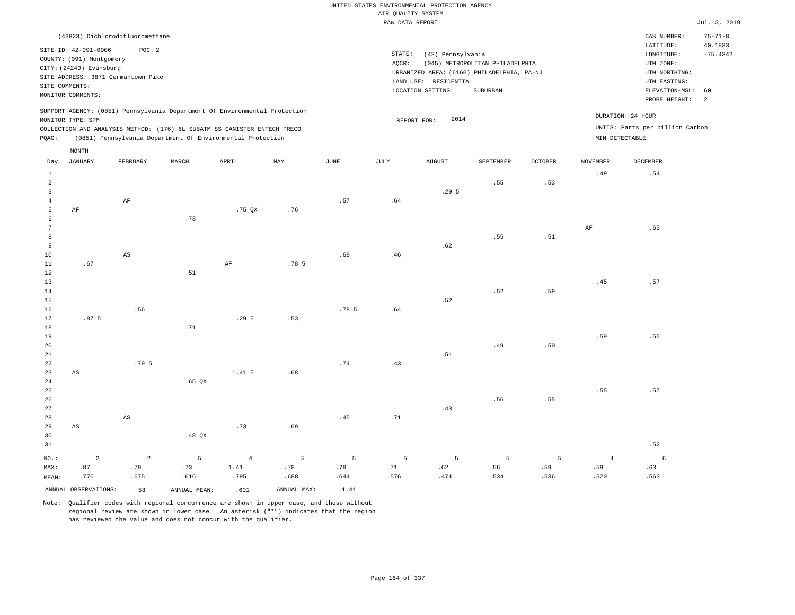| (43823) Dichlorodifluoromethane                                                                                                                                                                                                                             |                                                                                                                                                                                    | CAS NUMBER:                                                                                                 | $75 - 71 - 8$         |
|-------------------------------------------------------------------------------------------------------------------------------------------------------------------------------------------------------------------------------------------------------------|------------------------------------------------------------------------------------------------------------------------------------------------------------------------------------|-------------------------------------------------------------------------------------------------------------|-----------------------|
| SITE ID: 42-091-0006<br>POC:2<br>COUNTY: (091) Montgomery<br>CITY: (24240) Evansburg<br>SITE ADDRESS: 3871 Germantown Pike<br>SITE COMMENTS:<br>MONITOR COMMENTS:                                                                                           | STATE:<br>(42) Pennsylvania<br>(045) METROPOLITAN PHILADELPHIA<br>AOCR:<br>URBANIZED AREA: (6160) PHILADELPHIA, PA-NJ<br>RESIDENTIAL<br>LAND USE:<br>LOCATION SETTING:<br>SUBURBAN | LATITUDE:<br>LONGITUDE:<br>UTM ZONE:<br>UTM NORTHING:<br>UTM EASTING:<br>ELEVATION-MSL: 60<br>PROBE HEIGHT: | 40.1833<br>$-75.4342$ |
| SUPPORT AGENCY: (0851) Pennsylvania Department Of Environmental Protection<br>MONITOR TYPE: SPM<br>COLLECTION AND ANALYSIS METHOD: (176) 6L SUBATM SS CANISTER ENTECH PRECO<br>(0851) Pennsylvania Department Of Environmental Protection<br>POAO:<br>MONTH | DURATION: 24 HOUR<br>2014<br>REPORT FOR:<br>MIN DETECTABLE:                                                                                                                        | UNITS: Parts per billion Carbon                                                                             |                       |

| Day             | JANUARY                | FEBRUARY               | MARCH        | APRIL          | MAY              | $\operatorname{JUNE}$ | JULY           | ${\tt AUGUST}$ | SEPTEMBER   | $\mathtt{OCTOBER}$ | <b>NOVEMBER</b> | DECEMBER        |
|-----------------|------------------------|------------------------|--------------|----------------|------------------|-----------------------|----------------|----------------|-------------|--------------------|-----------------|-----------------|
| $\mathbf{1}$    |                        |                        |              |                |                  |                       |                |                |             |                    | .49             | .54             |
| 2               |                        |                        |              |                |                  |                       |                |                | .55         | .53                |                 |                 |
| 3               |                        |                        |              |                |                  |                       |                | .295           |             |                    |                 |                 |
| $\overline{4}$  |                        | $\rm{AF}$              |              |                |                  | .57                   | .64            |                |             |                    |                 |                 |
| 5               | $\rm{AF}$              |                        |              | .75 QX         | .76              |                       |                |                |             |                    |                 |                 |
| 6               |                        |                        | .73          |                |                  |                       |                |                |             |                    |                 |                 |
| $7\phantom{.0}$ |                        |                        |              |                |                  |                       |                |                |             |                    | AF              | .63             |
| 8               |                        |                        |              |                |                  |                       |                |                | .55         | .51                |                 |                 |
| 9               |                        |                        |              |                |                  |                       |                | .62            |             |                    |                 |                 |
| 10              |                        | $\mathbb{A}\mathbb{S}$ |              |                |                  | .68                   | .46            |                |             |                    |                 |                 |
| 11              | .67                    |                        |              | $\rm AF$       | .78 <sub>5</sub> |                       |                |                |             |                    |                 |                 |
| 12              |                        |                        | .51          |                |                  |                       |                |                |             |                    |                 |                 |
| 13              |                        |                        |              |                |                  |                       |                |                |             |                    | .45             | .57             |
| 14              |                        |                        |              |                |                  |                       |                |                | .52         | .59                |                 |                 |
| 15              |                        |                        |              |                |                  |                       |                | .52            |             |                    |                 |                 |
| 16              | .87 <sub>5</sub>       | .56                    |              | .295           | .53              | .78 <sub>5</sub>      | $\,$ . $6\,4$  |                |             |                    |                 |                 |
| 17<br>18        |                        |                        | .71          |                |                  |                       |                |                |             |                    |                 |                 |
| 19              |                        |                        |              |                |                  |                       |                |                |             |                    | .59             | .55             |
| $20\,$          |                        |                        |              |                |                  |                       |                |                | .49         | .50                |                 |                 |
| 21              |                        |                        |              |                |                  |                       |                | .51            |             |                    |                 |                 |
| $2\sqrt{2}$     |                        | .79 5                  |              |                |                  | .74                   | .43            |                |             |                    |                 |                 |
| 23              | $\mathbb{A}\mathbb{S}$ |                        |              | 1.41 5         | .68              |                       |                |                |             |                    |                 |                 |
| 24              |                        |                        | $.65$ QX     |                |                  |                       |                |                |             |                    |                 |                 |
| 25              |                        |                        |              |                |                  |                       |                |                |             |                    | .55             | .57             |
| $26\,$          |                        |                        |              |                |                  |                       |                |                | .56         | .55                |                 |                 |
| 27              |                        |                        |              |                |                  |                       |                | .43            |             |                    |                 |                 |
| 28              |                        | $\mathbb{A}\mathbb{S}$ |              |                |                  | .45                   | .71            |                |             |                    |                 |                 |
| 29              | $_{\rm AS}$            |                        |              | .73            | .69              |                       |                |                |             |                    |                 |                 |
| 30              |                        |                        | .48 $QX$     |                |                  |                       |                |                |             |                    |                 |                 |
| 31              |                        |                        |              |                |                  |                       |                |                |             |                    |                 | .52             |
| $_{\rm NO.}$ :  | $\sqrt{2}$             | $\overline{a}$         | $\mathsf S$  | $\overline{4}$ | $\mathsf S$      | $\,$ 5 $\,$           | $\overline{5}$ | $\mathsf S$    | $\mathsf S$ | 5                  | $\overline{4}$  | $6\overline{6}$ |
| MAX:            | .87                    | .79                    | .73          | 1.41           | .78              | .78                   | .71            | .62            | .56         | .59                | .59             | .63             |
| MEAN:           | .770                   | .675                   | .616         | .795           | .688             | .644                  | .576           | .474           | .534        | .536               | .520            | .563            |
|                 | ANNUAL OBSERVATIONS:   | 53                     | ANNUAL MEAN: | .601           | ANNUAL MAX:      | 1.41                  |                |                |             |                    |                 |                 |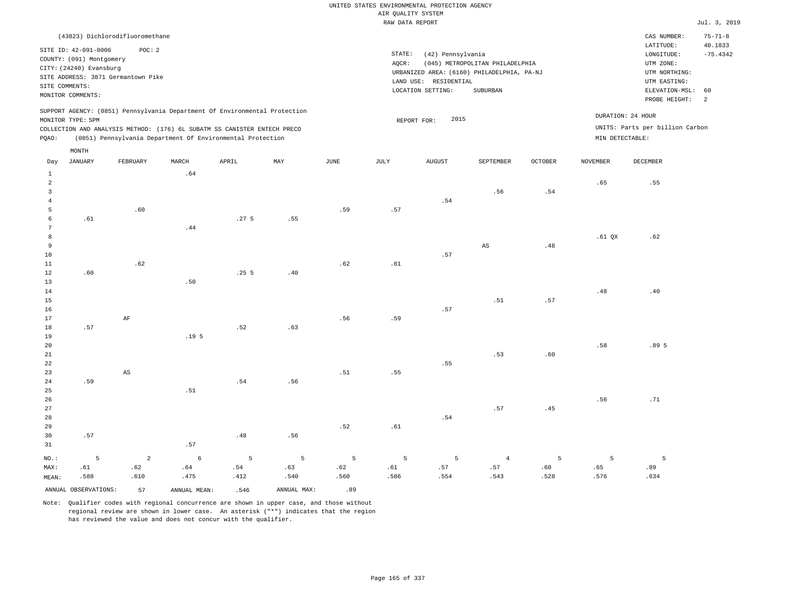## UNITED STATES ENVIRONMENTAL PROTECTION AGENCY AIR QUALITY SYSTEM

|                |                                    |          |       |                                                                            |     |      | RAW DATA REPORT |                                            |                                 |         |                 |                                 | Jul. 3, 2019  |
|----------------|------------------------------------|----------|-------|----------------------------------------------------------------------------|-----|------|-----------------|--------------------------------------------|---------------------------------|---------|-----------------|---------------------------------|---------------|
|                | (43823) Dichlorodifluoromethane    |          |       |                                                                            |     |      |                 |                                            |                                 |         |                 | CAS NUMBER:                     | $75 - 71 - 8$ |
|                | SITE ID: 42-091-0006               | POC: 2   |       |                                                                            |     |      |                 |                                            |                                 |         |                 | LATITUDE:                       | 40.1833       |
|                | COUNTY: (091) Montgomery           |          |       |                                                                            |     |      | STATE:          | (42) Pennsylvania                          |                                 |         |                 | LONGITUDE:                      | $-75.4342$    |
|                | CITY: (24240) Evansburg            |          |       |                                                                            |     |      | AQCR:           |                                            | (045) METROPOLITAN PHILADELPHIA |         |                 | UTM ZONE:                       |               |
|                | SITE ADDRESS: 3871 Germantown Pike |          |       |                                                                            |     |      |                 | URBANIZED AREA: (6160) PHILADELPHIA, PA-NJ |                                 |         |                 | UTM NORTHING:                   |               |
|                | SITE COMMENTS:                     |          |       |                                                                            |     |      |                 | LAND USE: RESIDENTIAL                      |                                 |         |                 | UTM EASTING:                    |               |
|                | MONITOR COMMENTS:                  |          |       |                                                                            |     |      |                 | LOCATION SETTING:                          | SUBURBAN                        |         |                 | ELEVATION-MSL: 60               |               |
|                |                                    |          |       |                                                                            |     |      |                 |                                            |                                 |         |                 | PROBE HEIGHT:                   | -2            |
|                |                                    |          |       | SUPPORT AGENCY: (0851) Pennsylvania Department Of Environmental Protection |     |      |                 |                                            |                                 |         |                 |                                 |               |
|                | MONITOR TYPE: SPM                  |          |       |                                                                            |     |      |                 | 2015<br>REPORT FOR:                        |                                 |         |                 | DURATION: 24 HOUR               |               |
|                |                                    |          |       | COLLECTION AND ANALYSIS METHOD: (176) 6L SUBATM SS CANISTER ENTECH PRECO   |     |      |                 |                                            |                                 |         |                 | UNITS: Parts per billion Carbon |               |
| POAO:          |                                    |          |       | (0851) Pennsylvania Department Of Environmental Protection                 |     |      |                 |                                            |                                 |         | MIN DETECTABLE: |                                 |               |
|                | MONTH                              |          |       |                                                                            |     |      |                 |                                            |                                 |         |                 |                                 |               |
| Day            | JANUARY                            | FEBRUARY | MARCH | APRIL                                                                      | MAY | JUNE | JULY            | <b>AUGUST</b>                              | SEPTEMBER                       | OCTOBER | <b>NOVEMBER</b> | DECEMBER                        |               |
| 1              |                                    |          | .64   |                                                                            |     |      |                 |                                            |                                 |         |                 |                                 |               |
| $\overline{2}$ |                                    |          |       |                                                                            |     |      |                 |                                            |                                 |         | .65             | .55                             |               |
| -3             |                                    |          |       |                                                                            |     |      |                 |                                            | .56                             | .54     |                 |                                 |               |
|                |                                    |          |       |                                                                            |     |      |                 | .54                                        |                                 |         |                 |                                 |               |
| 5              |                                    | .60      |       |                                                                            |     | .59  | .57             |                                            |                                 |         |                 |                                 |               |
| 6              | .61                                |          |       | .27 <sub>5</sub>                                                           | .55 |      |                 |                                            |                                 |         |                 |                                 |               |
|                |                                    |          | .44   |                                                                            |     |      |                 |                                            |                                 |         |                 |                                 |               |
| 8              |                                    |          |       |                                                                            |     |      |                 |                                            |                                 |         | $.61$ QX        | .62                             |               |
| 9              |                                    |          |       |                                                                            |     |      |                 |                                            | AS                              | .48     |                 |                                 |               |
| 10             |                                    |          |       |                                                                            |     |      |                 | .57                                        |                                 |         |                 |                                 |               |
| 11             |                                    | .62      |       |                                                                            |     | .62  | .61             |                                            |                                 |         |                 |                                 |               |
| 12             | .60                                |          |       | .255                                                                       | .40 |      |                 |                                            |                                 |         |                 |                                 |               |
| 13             |                                    |          | .50   |                                                                            |     |      |                 |                                            |                                 |         |                 |                                 |               |
| 14             |                                    |          |       |                                                                            |     |      |                 |                                            |                                 |         | .48             | .40                             |               |

.51

.57

16 17 18 19 20 21 .57 AF .19 5 .52 .63 .56 .59 .57 .53 .60 .58 .89 5

| 22    |         |                         |                |                 |       |             |                | .55     |      |      |      |      |
|-------|---------|-------------------------|----------------|-----------------|-------|-------------|----------------|---------|------|------|------|------|
| 23    |         | AS                      |                |                 |       | .51         | .55            |         |      |      |      |      |
| 24    | .59     |                         |                | .54             | .56   |             |                |         |      |      |      |      |
| 25    |         |                         | .51            |                 |       |             |                |         |      |      |      |      |
| 26    |         |                         |                |                 |       |             |                |         |      |      | .56  | .71  |
| 27    |         |                         |                |                 |       |             |                |         | .57  | .45  |      |      |
| 28    |         |                         |                |                 |       |             |                | .54     |      |      |      |      |
| 29    |         |                         |                |                 |       | .52         | .61            |         |      |      |      |      |
| 30    | .57     |                         |                | .48             | .56   |             |                |         |      |      |      |      |
| 31    |         |                         | .57            |                 |       |             |                |         |      |      |      |      |
| NO.:  | $5 - 5$ | $\overline{\mathbf{2}}$ | 6 <sup>6</sup> | $5\overline{)}$ | $5 -$ | $5^{\circ}$ | 5 <sup>5</sup> | $5 - 5$ | 4    | 5    | 5    | -5   |
| MAX:  | .61     | .62                     | .64            | .54             | .63   | .62         | .61            | .57     | .57  | .60  | .65  | .89  |
| MEAN: | .588    | .610                    | .475           | .412            | .540  | .560        | .586           | .554    | .543 | .528 | .576 | .634 |

ANNUAL OBSERVATIONS: 57 ANNUAL MEAN: .546 ANNUAL MAX: .89 Note: Qualifier codes with regional concurrence are shown in upper case, and those without

regional review are shown in lower case. An asterisk ("\*") indicates that the region

has reviewed the value and does not concur with the qualifier.

15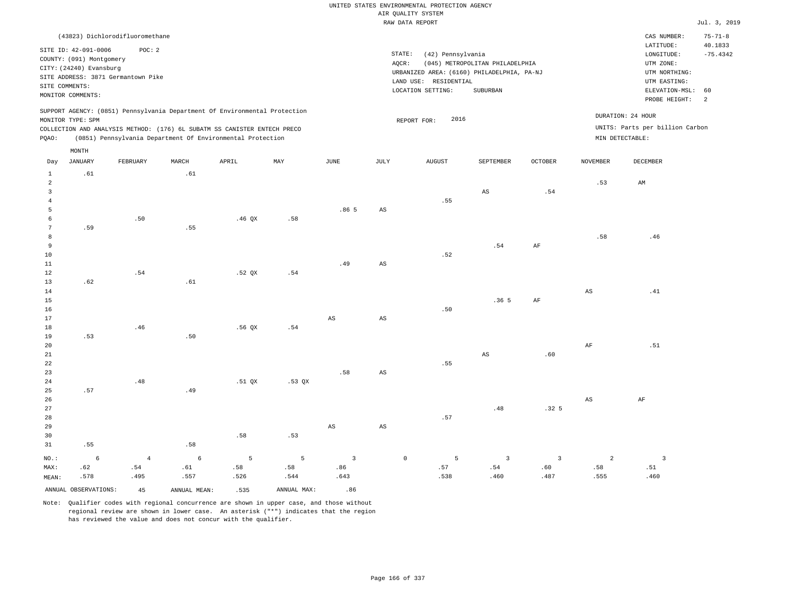|                                                                | (43823) Dichlorodifluoromethane                                                                                                                          |            |                                                                                                                                                                                                                      |                   |             |                                                                                                                                                                                 |                        |                     |                         |                         |                 | CAS NUMBER:<br>$\mathtt{LATITUDE}$                                    | $75 - 71 - 8$                                      |
|----------------------------------------------------------------|----------------------------------------------------------------------------------------------------------------------------------------------------------|------------|----------------------------------------------------------------------------------------------------------------------------------------------------------------------------------------------------------------------|-------------------|-------------|---------------------------------------------------------------------------------------------------------------------------------------------------------------------------------|------------------------|---------------------|-------------------------|-------------------------|-----------------|-----------------------------------------------------------------------|----------------------------------------------------|
|                                                                | SITE ID: 42-091-0006<br>COUNTY: (091) Montgomery<br>CITY: (24240) Evansburg<br>SITE ADDRESS: 3871 Germantown Pike<br>SITE COMMENTS:<br>MONITOR COMMENTS: | POC: 2     |                                                                                                                                                                                                                      |                   |             | STATE:<br>(42) Pennsylvania<br>(045) METROPOLITAN PHILADELPHIA<br>AQCR:<br>URBANIZED AREA: (6160) PHILADELPHIA, PA-NJ<br>LAND USE: RESIDENTIAL<br>LOCATION SETTING:<br>SUBURBAN |                        |                     |                         |                         |                 |                                                                       | 40.1833<br>$-75.4342$<br>ELEVATION-MSL:<br>60<br>2 |
| PQAO:                                                          | MONITOR TYPE: SPM                                                                                                                                        |            | SUPPORT AGENCY: (0851) Pennsylvania Department Of Environmental Protection<br>COLLECTION AND ANALYSIS METHOD: (176) 6L SUBATM SS CANISTER ENTECH PRECO<br>(0851) Pennsylvania Department Of Environmental Protection |                   |             |                                                                                                                                                                                 |                        | 2016<br>REPORT FOR: |                         |                         | MIN DETECTABLE: | PROBE HEIGHT:<br>DURATION: 24 HOUR<br>UNITS: Parts per billion Carbon |                                                    |
| Day                                                            | MONTH<br><b>JANUARY</b>                                                                                                                                  | FEBRUARY   | MARCH                                                                                                                                                                                                                | APRIL             | MAY         | <b>JUNE</b>                                                                                                                                                                     | JULY                   | <b>AUGUST</b>       | SEPTEMBER               | OCTOBER                 | <b>NOVEMBER</b> | <b>DECEMBER</b>                                                       |                                                    |
|                                                                |                                                                                                                                                          |            |                                                                                                                                                                                                                      |                   |             |                                                                                                                                                                                 |                        |                     |                         |                         |                 |                                                                       |                                                    |
| $\mathbf{1}$<br>$\overline{a}$<br>$\overline{3}$<br>$\sqrt{4}$ | .61                                                                                                                                                      |            | .61                                                                                                                                                                                                                  |                   |             |                                                                                                                                                                                 |                        | .55                 | $\mathbb{A}\mathbb{S}$  | .54                     | .53             | AM                                                                    |                                                    |
| 5                                                              |                                                                                                                                                          |            |                                                                                                                                                                                                                      |                   |             | .865                                                                                                                                                                            | $_{\rm AS}$            |                     |                         |                         |                 |                                                                       |                                                    |
| $\epsilon$<br>$7\phantom{.0}$                                  | .59                                                                                                                                                      | .50        | .55                                                                                                                                                                                                                  | .46 $QX$          | .58         |                                                                                                                                                                                 |                        |                     |                         |                         |                 |                                                                       |                                                    |
| 8<br>9                                                         |                                                                                                                                                          |            |                                                                                                                                                                                                                      |                   |             |                                                                                                                                                                                 |                        |                     | .54                     | AF                      | .58             | .46                                                                   |                                                    |
| $10$<br>11                                                     |                                                                                                                                                          |            |                                                                                                                                                                                                                      |                   |             | .49                                                                                                                                                                             | $_{\rm AS}$            | .52                 |                         |                         |                 |                                                                       |                                                    |
| 12                                                             |                                                                                                                                                          | .54        |                                                                                                                                                                                                                      | .52 <sub>QX</sub> | .54         |                                                                                                                                                                                 |                        |                     |                         |                         |                 |                                                                       |                                                    |
| 13                                                             | .62                                                                                                                                                      |            | .61                                                                                                                                                                                                                  |                   |             |                                                                                                                                                                                 |                        |                     |                         |                         |                 |                                                                       |                                                    |
| 14<br>15<br>16                                                 |                                                                                                                                                          |            |                                                                                                                                                                                                                      |                   |             |                                                                                                                                                                                 |                        | .50                 | .365                    | AF                      | AS              | .41                                                                   |                                                    |
| 17<br>$1\,8$                                                   |                                                                                                                                                          | .46        |                                                                                                                                                                                                                      | .56QX             | .54         | $\mathbb{A}\mathbb{S}$                                                                                                                                                          | AS                     |                     |                         |                         |                 |                                                                       |                                                    |
| 19                                                             | .53                                                                                                                                                      |            | .50                                                                                                                                                                                                                  |                   |             |                                                                                                                                                                                 |                        |                     |                         |                         |                 |                                                                       |                                                    |
| 20<br>21<br>22                                                 |                                                                                                                                                          |            |                                                                                                                                                                                                                      |                   |             |                                                                                                                                                                                 |                        | .55                 | $\mathbb{A}\mathbb{S}$  | .60                     | AF              | .51                                                                   |                                                    |
| 23                                                             |                                                                                                                                                          |            |                                                                                                                                                                                                                      |                   |             | .58                                                                                                                                                                             | $_{\rm AS}$            |                     |                         |                         |                 |                                                                       |                                                    |
| 24                                                             |                                                                                                                                                          | .48        |                                                                                                                                                                                                                      | .51 $QX$          | .53 QX      |                                                                                                                                                                                 |                        |                     |                         |                         |                 |                                                                       |                                                    |
| 25                                                             | .57                                                                                                                                                      |            | .49                                                                                                                                                                                                                  |                   |             |                                                                                                                                                                                 |                        |                     |                         |                         |                 |                                                                       |                                                    |
| 26<br>27                                                       |                                                                                                                                                          |            |                                                                                                                                                                                                                      |                   |             |                                                                                                                                                                                 |                        |                     | .48                     | .32 <sub>5</sub>        | AS              | AF                                                                    |                                                    |
| $2\,8$                                                         |                                                                                                                                                          |            |                                                                                                                                                                                                                      |                   |             |                                                                                                                                                                                 |                        | .57                 |                         |                         |                 |                                                                       |                                                    |
| 29                                                             |                                                                                                                                                          |            |                                                                                                                                                                                                                      |                   |             | $_{\rm AS}$                                                                                                                                                                     | $\mathbb{A}\mathbb{S}$ |                     |                         |                         |                 |                                                                       |                                                    |
| 30<br>31                                                       | .55                                                                                                                                                      |            | .58                                                                                                                                                                                                                  | .58               | .53         |                                                                                                                                                                                 |                        |                     |                         |                         |                 |                                                                       |                                                    |
|                                                                | 6                                                                                                                                                        | $\sqrt{4}$ | 6                                                                                                                                                                                                                    | 5                 | 5           | $\overline{\mathbf{3}}$                                                                                                                                                         |                        | $\mathbb O$<br>5    | $\overline{\mathbf{3}}$ | $\overline{\mathbf{3}}$ | $\overline{a}$  | $\overline{\mathbf{3}}$                                               |                                                    |
| $NO.$ :<br>MAX:                                                | .62                                                                                                                                                      | .54        | .61                                                                                                                                                                                                                  | .58               | .58         | .86                                                                                                                                                                             |                        | .57                 | .54                     | .60                     | .58             | .51                                                                   |                                                    |
| MEAN:                                                          | .578                                                                                                                                                     | .495       | .557                                                                                                                                                                                                                 | .526              | .544        | .643                                                                                                                                                                            |                        | .538                | .460                    | .487                    | .555            | .460                                                                  |                                                    |
|                                                                | ANNUAL OBSERVATIONS:                                                                                                                                     | 45         | ANNUAL MEAN:                                                                                                                                                                                                         | .535              | ANNUAL MAX: | .86                                                                                                                                                                             |                        |                     |                         |                         |                 |                                                                       |                                                    |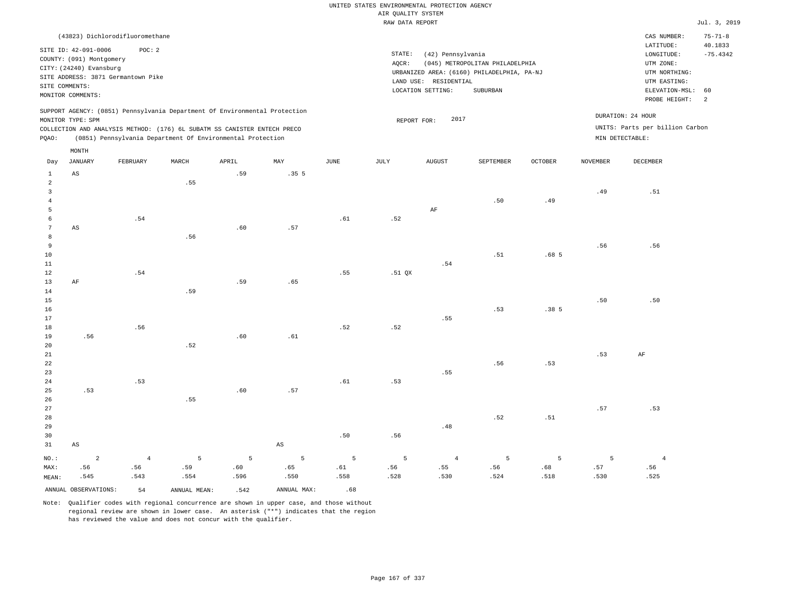|                 |                          |                                    |       |                                                                            |                        |      | UNITED STATES ENVIRONMENTAL PROTECTION AGENCY |                       |                                            |                  |                 |                                 |                |
|-----------------|--------------------------|------------------------------------|-------|----------------------------------------------------------------------------|------------------------|------|-----------------------------------------------|-----------------------|--------------------------------------------|------------------|-----------------|---------------------------------|----------------|
|                 |                          |                                    |       |                                                                            |                        |      | AIR QUALITY SYSTEM                            |                       |                                            |                  |                 |                                 |                |
|                 |                          |                                    |       |                                                                            |                        |      | RAW DATA REPORT                               |                       |                                            |                  |                 |                                 | Jul. 3, 2019   |
|                 |                          | (43823) Dichlorodifluoromethane    |       |                                                                            |                        |      |                                               |                       |                                            |                  |                 | CAS NUMBER:                     | $75 - 71 - 8$  |
|                 |                          |                                    |       |                                                                            |                        |      |                                               |                       |                                            |                  |                 | LATITUDE:                       | 40.1833        |
|                 | SITE ID: 42-091-0006     | POC: 2                             |       |                                                                            |                        |      | $\texttt{STATE}{}:$                           | (42) Pennsylvania     |                                            |                  |                 | LONGITUDE:                      | $-75.4342$     |
|                 | COUNTY: (091) Montgomery |                                    |       |                                                                            |                        |      | AQCR:                                         |                       | (045) METROPOLITAN PHILADELPHIA            |                  |                 | UTM ZONE:                       |                |
|                 | CITY: (24240) Evansburg  | SITE ADDRESS: 3871 Germantown Pike |       |                                                                            |                        |      |                                               |                       | URBANIZED AREA: (6160) PHILADELPHIA, PA-NJ |                  |                 | UTM NORTHING:                   |                |
| SITE COMMENTS:  |                          |                                    |       |                                                                            |                        |      |                                               | LAND USE: RESIDENTIAL |                                            |                  |                 | UTM EASTING:                    |                |
|                 | MONITOR COMMENTS:        |                                    |       |                                                                            |                        |      |                                               | LOCATION SETTING:     | SUBURBAN                                   |                  |                 | ELEVATION-MSL:                  | 60             |
|                 |                          |                                    |       |                                                                            |                        |      |                                               |                       |                                            |                  |                 | PROBE HEIGHT:                   | $\overline{a}$ |
|                 |                          |                                    |       | SUPPORT AGENCY: (0851) Pennsylvania Department Of Environmental Protection |                        |      |                                               | 2017                  |                                            |                  |                 | DURATION: 24 HOUR               |                |
|                 | MONITOR TYPE: SPM        |                                    |       | COLLECTION AND ANALYSIS METHOD: (176) 6L SUBATM SS CANISTER ENTECH PRECO   |                        |      | REPORT FOR:                                   |                       |                                            |                  |                 | UNITS: Parts per billion Carbon |                |
| PQAO:           |                          |                                    |       | (0851) Pennsylvania Department Of Environmental Protection                 |                        |      |                                               |                       |                                            |                  |                 | MIN DETECTABLE:                 |                |
|                 | MONTH                    |                                    |       |                                                                            |                        |      |                                               |                       |                                            |                  |                 |                                 |                |
| Day             | <b>JANUARY</b>           | FEBRUARY                           | MARCH | APRIL                                                                      | MAY                    | JUNE | JULY                                          | <b>AUGUST</b>         | SEPTEMBER                                  | <b>OCTOBER</b>   | <b>NOVEMBER</b> | <b>DECEMBER</b>                 |                |
| $\mathbf{1}$    | $_{\rm AS}$              |                                    |       | .59                                                                        | .35 <sub>5</sub>       |      |                                               |                       |                                            |                  |                 |                                 |                |
| $\overline{a}$  |                          |                                    | .55   |                                                                            |                        |      |                                               |                       |                                            |                  |                 |                                 |                |
| 3               |                          |                                    |       |                                                                            |                        |      |                                               |                       |                                            |                  | .49             | .51                             |                |
| $\overline{4}$  |                          |                                    |       |                                                                            |                        |      |                                               |                       | .50                                        | .49              |                 |                                 |                |
| 5               |                          |                                    |       |                                                                            |                        |      |                                               | AF                    |                                            |                  |                 |                                 |                |
| 6               |                          | .54                                |       |                                                                            |                        | .61  | .52                                           |                       |                                            |                  |                 |                                 |                |
| $7\phantom{.0}$ | AS                       |                                    |       | .60                                                                        | .57                    |      |                                               |                       |                                            |                  |                 |                                 |                |
| 8               |                          |                                    | .56   |                                                                            |                        |      |                                               |                       |                                            |                  |                 |                                 |                |
| $\overline{9}$  |                          |                                    |       |                                                                            |                        |      |                                               |                       |                                            |                  | .56             | .56                             |                |
| 10              |                          |                                    |       |                                                                            |                        |      |                                               |                       | .51                                        | .68 <sub>5</sub> |                 |                                 |                |
| 11              |                          |                                    |       |                                                                            |                        |      |                                               | .54                   |                                            |                  |                 |                                 |                |
| 12              |                          | .54                                |       |                                                                            |                        | .55  | .51 QX                                        |                       |                                            |                  |                 |                                 |                |
| 13              | AF                       |                                    |       | .59                                                                        | .65                    |      |                                               |                       |                                            |                  |                 |                                 |                |
| 14              |                          |                                    | .59   |                                                                            |                        |      |                                               |                       |                                            |                  |                 |                                 |                |
| 15              |                          |                                    |       |                                                                            |                        |      |                                               |                       |                                            |                  | .50             | .50                             |                |
| 16              |                          |                                    |       |                                                                            |                        |      |                                               | .55                   | .53                                        | .385             |                 |                                 |                |
| 17<br>18        |                          | .56                                |       |                                                                            |                        | .52  |                                               |                       |                                            |                  |                 |                                 |                |
| 19              |                          |                                    |       | .60                                                                        | .61                    |      | .52                                           |                       |                                            |                  |                 |                                 |                |
| 20              | .56                      |                                    | .52   |                                                                            |                        |      |                                               |                       |                                            |                  |                 |                                 |                |
| 21              |                          |                                    |       |                                                                            |                        |      |                                               |                       |                                            |                  | .53             | AF                              |                |
| $2\sqrt{2}$     |                          |                                    |       |                                                                            |                        |      |                                               |                       | .56                                        | .53              |                 |                                 |                |
| 23              |                          |                                    |       |                                                                            |                        |      |                                               | .55                   |                                            |                  |                 |                                 |                |
| 24              |                          | .53                                |       |                                                                            |                        | .61  | .53                                           |                       |                                            |                  |                 |                                 |                |
| 25              | .53                      |                                    |       | .60                                                                        | .57                    |      |                                               |                       |                                            |                  |                 |                                 |                |
| 26              |                          |                                    | .55   |                                                                            |                        |      |                                               |                       |                                            |                  |                 |                                 |                |
| 27              |                          |                                    |       |                                                                            |                        |      |                                               |                       |                                            |                  | .57             | .53                             |                |
| 28              |                          |                                    |       |                                                                            |                        |      |                                               |                       | .52                                        | .51              |                 |                                 |                |
| 29              |                          |                                    |       |                                                                            |                        |      |                                               | .48                   |                                            |                  |                 |                                 |                |
| 30              |                          |                                    |       |                                                                            |                        | .50  | .56                                           |                       |                                            |                  |                 |                                 |                |
| 31              | $_{\rm AS}$              |                                    |       |                                                                            | $\mathbb{A}\mathbb{S}$ |      |                                               |                       |                                            |                  |                 |                                 |                |
| $NO.$ :         | $\overline{2}$           | $\overline{4}$                     | 5     | 5                                                                          | 5                      | 5    | 5                                             | $\overline{4}$        | 5                                          | 5                | 5               | $\overline{4}$                  |                |
| MAX:            | .56                      | .56                                | .59   | .60                                                                        | .65                    | .61  | .56                                           | .55                   | .56                                        | .68              | .57             | .56                             |                |
| MEAN:           | .545                     | .543                               | .554  | .596                                                                       | .550                   | .558 | .528                                          | .530                  | .524                                       | .518             | .530            | .525                            |                |
|                 |                          |                                    |       |                                                                            |                        |      |                                               |                       |                                            |                  |                 |                                 |                |

ANNUAL OBSERVATIONS:  $54$  ANNUAL MEAN: .542 ANNUAL MAX: .68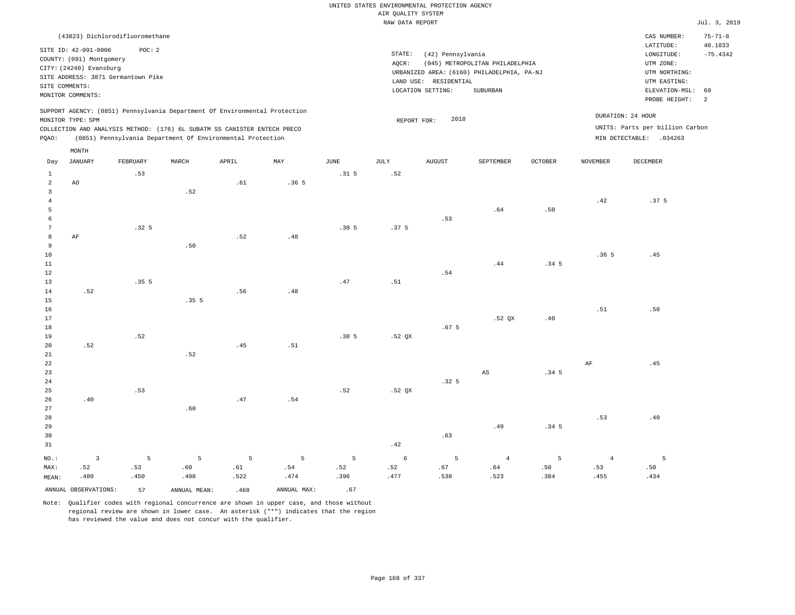|                         |                          |                                    |                |                                                                            |                |                  | UNITED STATES ENVIRONMENTAL PROTECTION AGENCY |                       |                                            |                  |                 |                                 |                      |
|-------------------------|--------------------------|------------------------------------|----------------|----------------------------------------------------------------------------|----------------|------------------|-----------------------------------------------|-----------------------|--------------------------------------------|------------------|-----------------|---------------------------------|----------------------|
|                         |                          |                                    |                |                                                                            |                |                  | AIR QUALITY SYSTEM                            |                       |                                            |                  |                 |                                 |                      |
|                         |                          |                                    |                |                                                                            |                |                  | RAW DATA REPORT                               |                       |                                            |                  |                 |                                 | Jul. 3, 2019         |
|                         |                          | (43823) Dichlorodifluoromethane    |                |                                                                            |                |                  |                                               |                       |                                            |                  |                 | CAS NUMBER:                     | $75 - 71 - 8$        |
|                         | SITE ID: 42-091-0006     | POC: 2                             |                |                                                                            |                |                  |                                               |                       |                                            |                  |                 | LATITUDE:                       | 40.1833              |
|                         | COUNTY: (091) Montgomery |                                    |                |                                                                            |                |                  | STATE:                                        | (42) Pennsylvania     |                                            |                  |                 | LONGITUDE:                      | $-75.4342$           |
|                         | CITY: (24240) Evansburg  |                                    |                |                                                                            |                |                  | AQCR:                                         |                       | (045) METROPOLITAN PHILADELPHIA            |                  |                 | UTM ZONE:                       |                      |
|                         |                          | SITE ADDRESS: 3871 Germantown Pike |                |                                                                            |                |                  |                                               |                       | URBANIZED AREA: (6160) PHILADELPHIA, PA-NJ |                  |                 | UTM NORTHING:                   |                      |
|                         | SITE COMMENTS:           |                                    |                |                                                                            |                |                  |                                               | LAND USE: RESIDENTIAL |                                            |                  |                 | UTM EASTING:                    |                      |
|                         | MONITOR COMMENTS:        |                                    |                |                                                                            |                |                  |                                               | LOCATION SETTING:     | SUBURBAN                                   |                  |                 | ELEVATION-MSL:<br>PROBE HEIGHT: | 60<br>$\overline{a}$ |
|                         |                          |                                    |                | SUPPORT AGENCY: (0851) Pennsylvania Department Of Environmental Protection |                |                  |                                               |                       |                                            |                  |                 |                                 |                      |
|                         | MONITOR TYPE: SPM        |                                    |                |                                                                            |                |                  | REPORT FOR:                                   | 2018                  |                                            |                  |                 | DURATION: 24 HOUR               |                      |
|                         |                          |                                    |                | COLLECTION AND ANALYSIS METHOD: (176) 6L SUBATM SS CANISTER ENTECH PRECO   |                |                  |                                               |                       |                                            |                  |                 | UNITS: Parts per billion Carbon |                      |
| PQAO:                   |                          |                                    |                | (0851) Pennsylvania Department Of Environmental Protection                 |                |                  |                                               |                       |                                            |                  |                 | MIN DETECTABLE: .034263         |                      |
| Day                     | MONTH<br><b>JANUARY</b>  | FEBRUARY                           | MARCH          | APRIL                                                                      | MAY            | <b>JUNE</b>      | $\mathtt{JULY}$                               | <b>AUGUST</b>         | SEPTEMBER                                  | OCTOBER          | <b>NOVEMBER</b> | DECEMBER                        |                      |
| $\mathbf{1}$            |                          | .53                                |                |                                                                            |                | .31 <sub>5</sub> | .52                                           |                       |                                            |                  |                 |                                 |                      |
| $\sqrt{2}$              | A0                       |                                    |                | .61                                                                        | .365           |                  |                                               |                       |                                            |                  |                 |                                 |                      |
| $\overline{\mathbf{3}}$ |                          |                                    | .52            |                                                                            |                |                  |                                               |                       |                                            |                  |                 |                                 |                      |
| $\overline{4}$          |                          |                                    |                |                                                                            |                |                  |                                               |                       |                                            |                  | .42             | .37 <sub>5</sub>                |                      |
| 5                       |                          |                                    |                |                                                                            |                |                  |                                               |                       | .64                                        | .50              |                 |                                 |                      |
| $\epsilon$              |                          |                                    |                |                                                                            |                |                  |                                               | .53                   |                                            |                  |                 |                                 |                      |
| 7                       |                          | .32 <sub>5</sub>                   |                |                                                                            |                | .305             | .37 <sub>5</sub>                              |                       |                                            |                  |                 |                                 |                      |
| $^{\rm 8}$              | AF                       |                                    |                | .52                                                                        | .48            |                  |                                               |                       |                                            |                  |                 |                                 |                      |
| 9                       |                          |                                    | .50            |                                                                            |                |                  |                                               |                       |                                            |                  |                 |                                 |                      |
| $10$                    |                          |                                    |                |                                                                            |                |                  |                                               |                       |                                            |                  | .365            | .45                             |                      |
| $1\,1$                  |                          |                                    |                |                                                                            |                |                  |                                               |                       | .44                                        | .34 <sub>5</sub> |                 |                                 |                      |
| $1\,2$                  |                          |                                    |                |                                                                            |                |                  |                                               | .54                   |                                            |                  |                 |                                 |                      |
| 13                      |                          | .355                               |                |                                                                            |                | .47              | .51                                           |                       |                                            |                  |                 |                                 |                      |
| $14$                    | .52                      |                                    |                | .56                                                                        | .48            |                  |                                               |                       |                                            |                  |                 |                                 |                      |
| $15$<br>16              |                          |                                    | .355           |                                                                            |                |                  |                                               |                       |                                            |                  | .51             | .50                             |                      |
| 17                      |                          |                                    |                |                                                                            |                |                  |                                               |                       | .52 QX                                     | .40              |                 |                                 |                      |
| 18                      |                          |                                    |                |                                                                            |                |                  |                                               | .67 <sub>5</sub>      |                                            |                  |                 |                                 |                      |
| 19                      |                          | .52                                |                |                                                                            |                | .385             | .52 QX                                        |                       |                                            |                  |                 |                                 |                      |
| 20                      | .52                      |                                    |                | .45                                                                        | .51            |                  |                                               |                       |                                            |                  |                 |                                 |                      |
| $21\,$                  |                          |                                    | .52            |                                                                            |                |                  |                                               |                       |                                            |                  |                 |                                 |                      |
| 22                      |                          |                                    |                |                                                                            |                |                  |                                               |                       |                                            |                  | $\rm AF$        | .45                             |                      |
| 23                      |                          |                                    |                |                                                                            |                |                  |                                               |                       | $\mathbb{A}\mathbb{S}$                     | .34 <sub>5</sub> |                 |                                 |                      |
| 24                      |                          |                                    |                |                                                                            |                |                  |                                               | .32 <sub>5</sub>      |                                            |                  |                 |                                 |                      |
| 25                      |                          | .53                                |                |                                                                            |                | .52              | .52 QX                                        |                       |                                            |                  |                 |                                 |                      |
| 26                      | .40                      |                                    |                | .47                                                                        | .54            |                  |                                               |                       |                                            |                  |                 |                                 |                      |
| 27                      |                          |                                    | .60            |                                                                            |                |                  |                                               |                       |                                            |                  |                 |                                 |                      |
| 28                      |                          |                                    |                |                                                                            |                |                  |                                               |                       |                                            |                  | .53             | .40                             |                      |
| 29                      |                          |                                    |                |                                                                            |                |                  |                                               |                       | .49                                        | .34 <sub>5</sub> |                 |                                 |                      |
| 30                      |                          |                                    |                |                                                                            |                |                  |                                               | .63                   |                                            |                  |                 |                                 |                      |
| 31                      |                          |                                    |                |                                                                            |                |                  | .42                                           |                       |                                            |                  |                 |                                 |                      |
| NO.:                    | $\overline{\mathbf{3}}$  | 5                                  | $\overline{5}$ | $5\phantom{.0}$                                                            | $\overline{5}$ | $\mathsf S$      | 6                                             | 5                     | $\overline{4}$                             | 5                | $\overline{4}$  | $\overline{5}$                  |                      |
| MAX:                    | .52                      | .53                                | .60            | .61                                                                        | .54            | .52              | .52                                           | .67                   | .64                                        | .50              | .53             | .50                             |                      |
| MEAN:                   | .480                     | .450                               | .498           | .522                                                                       | .474           | .396             | .477                                          | .538                  | .523                                       | .384             | .455            | .434                            |                      |
|                         | ANNUAL OBSERVATIONS:     | 57                                 | ANNUAL MEAN:   | .468                                                                       | ANNUAL MAX:    | .67              |                                               |                       |                                            |                  |                 |                                 |                      |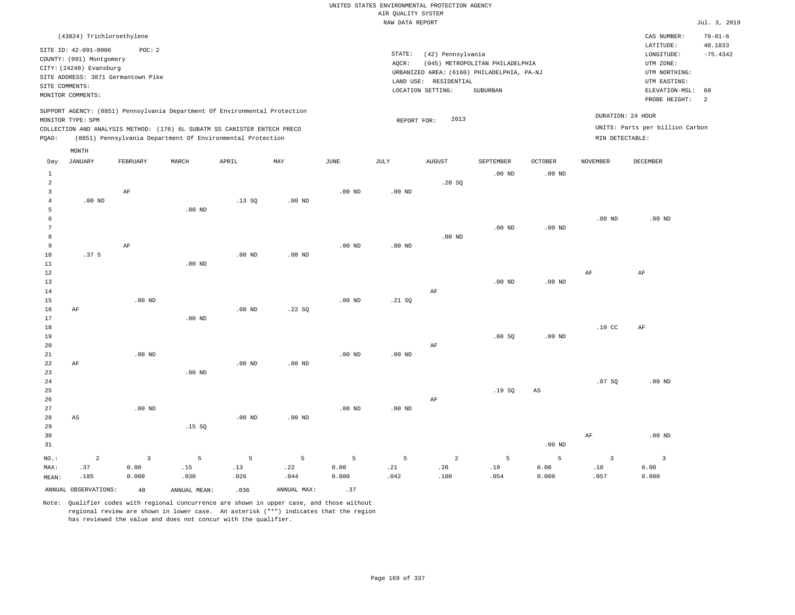| (43824) Trichloroethylene                                                                                                                                                                                                                                   |                                                                                                                                                                                 | CAS NUMBER:                                                                                                 | $79 - 01 - 6$                     |
|-------------------------------------------------------------------------------------------------------------------------------------------------------------------------------------------------------------------------------------------------------------|---------------------------------------------------------------------------------------------------------------------------------------------------------------------------------|-------------------------------------------------------------------------------------------------------------|-----------------------------------|
| SITE ID: 42-091-0006<br>POC: 2<br>COUNTY: (091) Montgomery<br>CITY: (24240) Evansburg<br>SITE ADDRESS: 3871 Germantown Pike<br>SITE COMMENTS:<br>MONITOR COMMENTS:                                                                                          | STATE:<br>(42) Pennsylvania<br>AOCR:<br>(045) METROPOLITAN PHILADELPHIA<br>URBANIZED AREA: (6160) PHILADELPHIA, PA-NJ<br>LAND USE: RESIDENTIAL<br>SUBURBAN<br>LOCATION SETTING: | LATITUDE:<br>LONGITUDE:<br>UTM ZONE:<br>UTM NORTHING:<br>UTM EASTING:<br>ELEVATION-MSL: 60<br>PROBE HEIGHT: | 40.1833<br>$-75.4342$<br>$\sim$ 2 |
| SUPPORT AGENCY: (0851) Pennsylvania Department Of Environmental Protection<br>MONITOR TYPE: SPM<br>COLLECTION AND ANALYSIS METHOD: (176) 6L SUBATM SS CANISTER ENTECH PRECO<br>(0851) Pennsylvania Department Of Environmental Protection<br>POAO:<br>MONTH | 2013<br>REPORT FOR:                                                                                                                                                             | DURATION: 24 HOUR<br>UNITS: Parts per billion Carbon<br>MIN DETECTABLE:                                     |                                   |

| Day             | JANUARY                | FEBRUARY                | MARCH        | APRIL             | MAY            | JUNE              | JULY     | AUGUST            | SEPTEMBER      | OCTOBER           | NOVEMBER                | DECEMBER                 |
|-----------------|------------------------|-------------------------|--------------|-------------------|----------------|-------------------|----------|-------------------|----------------|-------------------|-------------------------|--------------------------|
| $\mathbf{1}$    |                        |                         |              |                   |                |                   |          |                   | $.00$ ND       | $.00$ ND          |                         |                          |
| $\overline{a}$  |                        |                         |              |                   |                |                   |          | .20SQ             |                |                   |                         |                          |
| 3               |                        | $\rm AF$                |              |                   |                | $.00$ ND          | $.00$ ND |                   |                |                   |                         |                          |
| $\overline{4}$  | $.00$ ND               |                         |              | .13SQ             | $.00$ ND       |                   |          |                   |                |                   |                         |                          |
| 5               |                        |                         | $.00$ ND     |                   |                |                   |          |                   |                |                   |                         |                          |
| 6               |                        |                         |              |                   |                |                   |          |                   |                |                   | $.00$ ND                | $.00$ ND                 |
| $7\phantom{.0}$ |                        |                         |              |                   |                |                   |          |                   | $.00$ ND       | .00 <sub>ND</sub> |                         |                          |
| 8               |                        |                         |              |                   |                |                   |          | $.00~\mathrm{ND}$ |                |                   |                         |                          |
| 9               |                        | $\rm AF$                |              |                   |                | $.00$ ND          | .00 $ND$ |                   |                |                   |                         |                          |
| 10              | .37 <sub>5</sub>       |                         |              | $.00$ ND          | $.00$ ND       |                   |          |                   |                |                   |                         |                          |
| 11              |                        |                         | $.00$ ND     |                   |                |                   |          |                   |                |                   |                         |                          |
| $12$            |                        |                         |              |                   |                |                   |          |                   |                |                   | $\rm{AF}$               | $\rm AF$                 |
| $13$            |                        |                         |              |                   |                |                   |          |                   | $.00$ ND       | $.00$ ND          |                         |                          |
| $14$            |                        |                         |              |                   |                |                   |          | $\rm AF$          |                |                   |                         |                          |
| 15              |                        | $.00$ ND                |              |                   |                | $.00$ ND          | .21 SQ   |                   |                |                   |                         |                          |
| 16              | $\rm{AF}$              |                         |              | .00 <sub>ND</sub> | .22 SQ         |                   |          |                   |                |                   |                         |                          |
| 17              |                        |                         | $.00$ ND     |                   |                |                   |          |                   |                |                   |                         |                          |
| 18              |                        |                         |              |                   |                |                   |          |                   |                |                   | .10 <sub>C</sub>        | AF                       |
| 19              |                        |                         |              |                   |                |                   |          |                   | .08 SQ         | .00 <sub>ND</sub> |                         |                          |
| 20              |                        |                         |              |                   |                |                   |          | $\rm{AF}$         |                |                   |                         |                          |
| 21              |                        | $.00$ ND                |              |                   |                | .00 <sub>ND</sub> | $.00$ ND |                   |                |                   |                         |                          |
| 22              | $\rm{AF}$              |                         |              | .00 <sub>ND</sub> | $.00$ ND       |                   |          |                   |                |                   |                         |                          |
| 23              |                        |                         | $.00$ ND     |                   |                |                   |          |                   |                |                   |                         |                          |
| 24              |                        |                         |              |                   |                |                   |          |                   |                |                   | .07SQ                   | $.00$ ND                 |
| 25              |                        |                         |              |                   |                |                   |          |                   | .19SQ          | AS                |                         |                          |
| 26              |                        |                         |              |                   |                |                   |          | $\rm AF$          |                |                   |                         |                          |
| 27              |                        | $.00$ ND                |              |                   |                | .00 <sub>ND</sub> | $.00$ ND |                   |                |                   |                         |                          |
| 28              | $\mathbb{A}\mathbb{S}$ |                         |              | $.00$ ND          | $.00$ ND       |                   |          |                   |                |                   |                         |                          |
| 29              |                        |                         | .15 SQ       |                   |                |                   |          |                   |                |                   |                         |                          |
| 30              |                        |                         |              |                   |                |                   |          |                   |                |                   | $\rm{AF}$               | $.00$ ND                 |
| 31              |                        |                         |              |                   |                |                   |          |                   |                | $.00$ ND          |                         |                          |
| $_{\rm NO.}$ :  | $\sqrt{2}$             | $\overline{\mathbf{3}}$ | 5            | $\mathsf S$       | $\overline{5}$ | $\,$ 5            | 5        | $\overline{a}$    | $\overline{5}$ | 5                 | $\overline{\mathbf{3}}$ | $\overline{\phantom{a}}$ |
| MAX:            | .37                    | 0.00                    | .15          | .13               | .22            | 0.00              | .21      | .20               | .19            | 0.00              | .10                     | 0.00                     |
| MEAN:           | .185                   | 0.000                   | .030         | .026              | .044           | 0.000             | .042     | .100              | .054           | 0.000             | .057                    | 0.000                    |
|                 | ANNUAL OBSERVATIONS:   | 48                      | ANNUAL MEAN: | .036              | ANNUAL MAX:    | .37               |          |                   |                |                   |                         |                          |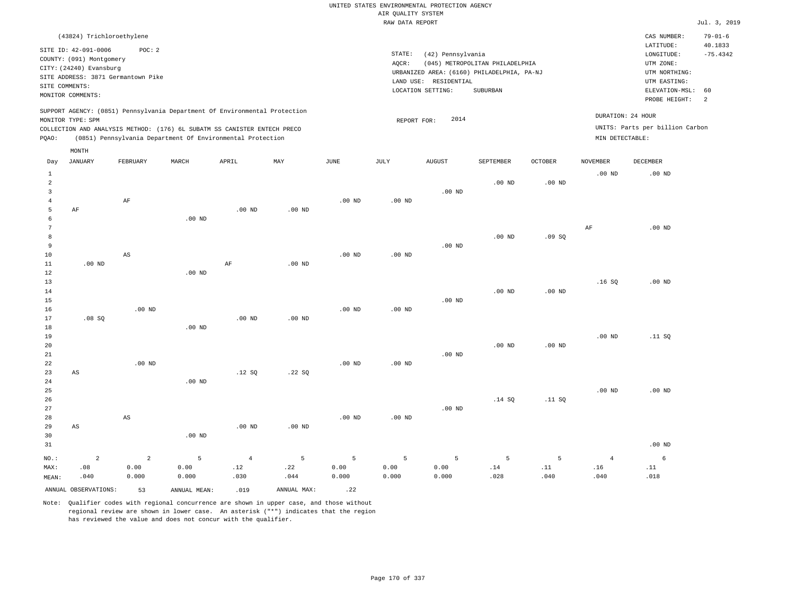| (43824) Trichloroethylene                                                                                                                                                                                                                          |                                                                                                                                                                                 | CAS NUMBER:                                                                                                 | $79 - 01 - 6$                           |
|----------------------------------------------------------------------------------------------------------------------------------------------------------------------------------------------------------------------------------------------------|---------------------------------------------------------------------------------------------------------------------------------------------------------------------------------|-------------------------------------------------------------------------------------------------------------|-----------------------------------------|
| SITE ID: 42-091-0006<br>POC:2<br>COUNTY: (091) Montgomery<br>CITY: (24240) Evansburg<br>SITE ADDRESS: 3871 Germantown Pike<br>SITE COMMENTS:<br>MONITOR COMMENTS:                                                                                  | STATE:<br>(42) Pennsylvania<br>(045) METROPOLITAN PHILADELPHIA<br>AOCR:<br>URBANIZED AREA: (6160) PHILADELPHIA, PA-NJ<br>LAND USE: RESIDENTIAL<br>LOCATION SETTING:<br>SUBURBAN | LATITUDE:<br>LONGITUDE:<br>UTM ZONE:<br>UTM NORTHING:<br>UTM EASTING:<br>ELEVATION-MSL: 60<br>PROBE HEIGHT: | 40.1833<br>$-75.4342$<br>$\overline{2}$ |
| SUPPORT AGENCY: (0851) Pennsylvania Department Of Environmental Protection<br>MONITOR TYPE: SPM<br>COLLECTION AND ANALYSIS METHOD: (176) 6L SUBATM SS CANISTER ENTECH PRECO<br>(0851) Pennsylvania Department Of Environmental Protection<br>POAO: | 2014<br>REPORT FOR:<br>MIN DETECTABLE:                                                                                                                                          | DURATION: 24 HOUR<br>UNITS: Parts per billion Carbon                                                        |                                         |

| Day                                                        | <b>JANUARY</b>                | FEBRUARY                        | MARCH              | APRIL                     | MAY              | $_{\rm JUNE}$      | $\mathtt{JULY}$    | <b>AUGUST</b>      | SEPTEMBER         | OCTOBER                                   | <b>NOVEMBER</b>               | DECEMBER          |
|------------------------------------------------------------|-------------------------------|---------------------------------|--------------------|---------------------------|------------------|--------------------|--------------------|--------------------|-------------------|-------------------------------------------|-------------------------------|-------------------|
| $\mathbf{1}$<br>$\overline{a}$<br>3<br>$\overline{4}$<br>5 | AF                            | $\rm AF$                        |                    | $.00$ ND                  | $.00$ ND         | $.00$ ND           | $.00$ ND           | $.00$ ND           | $.00$ ND          | $.00$ ND                                  | $.00$ ND                      | .00 <sub>ND</sub> |
| 6<br>7<br>8<br>9<br>$10$                                   |                               | $\mathbb{A}\mathbb{S}$          | $.00$ ND           |                           |                  | $.00$ ND           | $.00$ ND           | $.00$ ND           | .00 <sub>ND</sub> | .09SQ                                     | AF                            | $.00$ ND          |
| 11<br>12<br>13<br>14<br>15<br>16                           | $.00$ ND                      | .00 $ND$                        | $.00$ ND           | $\rm AF$                  | $.00$ ND         | $.00$ ND           | $.00$ ND           | $.00$ ND           | $.00$ ND          | $.00$ ND                                  | .16SQ                         | $.00$ ND          |
| 17<br>18<br>19<br>20<br>$2\sqrt{1}$<br>22                  | .08SQ                         | $.00$ ND                        | $.00$ ND           | $.00$ ND                  | $.00$ ND         | $.00$ ND           | .00 <sub>ND</sub>  | $.00$ ND           | .00 <sub>ND</sub> | $.00$ ND                                  | $.00$ ND                      | .11 SQ            |
| 23<br>24<br>25<br>26<br>27                                 | $\mathbb{A}\mathbb{S}$        |                                 | $.00$ ND           | .12 SQ                    | .22SQ            |                    |                    | $.00$ ND           | .14SQ             | .11 SQ                                    | $.00$ ND                      | $.00$ ND          |
| 28<br>29<br>30<br>31                                       | $\mathbb{A}\mathbb{S}$        | $\mathbb{A}\mathbb{S}$          | $.00$ ND           | .00 <sub>ND</sub>         | $.00$ ND         | $.00$ ND           | .00 <sub>ND</sub>  |                    |                   |                                           |                               | $.00$ ND          |
| $NO.$ :<br>MAX:<br>MEAN:                                   | $\overline{a}$<br>.08<br>.040 | $\overline{a}$<br>0.00<br>0.000 | 5<br>0.00<br>0.000 | $\sqrt{4}$<br>.12<br>.030 | 5<br>.22<br>.044 | 5<br>0.00<br>0.000 | 5<br>0.00<br>0.000 | 5<br>0.00<br>0.000 | 5<br>.14<br>.028  | 5<br>$\footnotesize\substack{11}$<br>.040 | $\overline{4}$<br>.16<br>.040 | 6<br>.11<br>.018  |
|                                                            | ANNUAL OBSERVATIONS:          | 53                              | ANNUAL MEAN:       | .019                      | ANNUAL MAX:      | .22                |                    |                    |                   |                                           |                               |                   |

Note: Qualifier codes with regional concurrence are shown in upper case, and those without regional review are shown in lower case. An asterisk ("\*") indicates that the region has reviewed the value and does not concur with the qualifier.

MONTH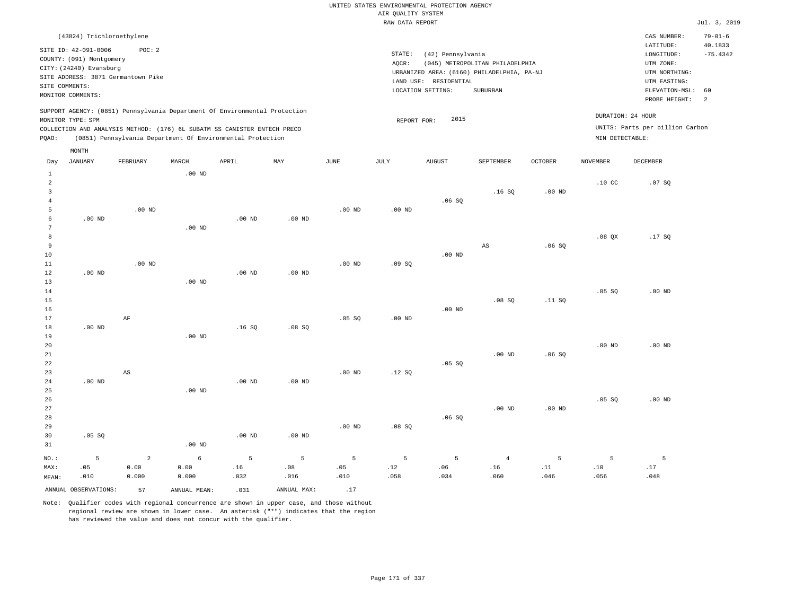### RAW DATA REPORT **FOULD ASSESSED ASSESSED ASSESSED.** The set of the set of the set of the set of the set of the set of the set of the set of the set of the set of the set of the set of the set of the set of the set of the s UNITED STATES ENVIRONMENTAL PROTECTION AGENCY AIR QUALITY SYSTEM

| (43824) Trichloroethylene                                                                                                                                                                                                                                   |                                                                                                                                                                                    | CAS NUMBER:                                                                                                                   | $79 - 01 - 6$         |
|-------------------------------------------------------------------------------------------------------------------------------------------------------------------------------------------------------------------------------------------------------------|------------------------------------------------------------------------------------------------------------------------------------------------------------------------------------|-------------------------------------------------------------------------------------------------------------------------------|-----------------------|
| SITE ID: 42-091-0006<br>POC:2<br>COUNTY: (091) Montgomery<br>CITY: (24240) Evansburg<br>SITE ADDRESS: 3871 Germantown Pike<br>SITE COMMENTS:<br>MONITOR COMMENTS:                                                                                           | STATE:<br>(42) Pennsylvania<br>(045) METROPOLITAN PHILADELPHIA<br>AOCR:<br>URBANIZED AREA: (6160) PHILADELPHIA, PA-NJ<br>RESIDENTIAL<br>LAND USE:<br>LOCATION SETTING:<br>SUBURBAN | LATITUDE:<br>LONGITUDE:<br>UTM ZONE:<br>UTM NORTHING:<br>UTM EASTING:<br>ELEVATION-MSL: 60<br>PROBE HEIGHT:<br>$\overline{2}$ | 40.1833<br>$-75.4342$ |
| SUPPORT AGENCY: (0851) Pennsylvania Department Of Environmental Protection<br>MONITOR TYPE: SPM<br>COLLECTION AND ANALYSIS METHOD: (176) 6L SUBATM SS CANISTER ENTECH PRECO<br>(0851) Pennsylvania Department Of Environmental Protection<br>POAO:<br>MONTH | 2015<br>REPORT FOR:                                                                                                                                                                | DURATION: 24 HOUR<br>UNITS: Parts per billion Carbon<br>MIN DETECTABLE:                                                       |                       |

| Day            | <b>JANUARY</b>       | FEBRUARY       | $\tt MARCH$  | APRIL          | MAY               | $_{\rm JUNE}$ | JULY       | AUGUST   | SEPTEMBER              | $OCTOBER$                    | NOVEMBER         | DECEMBER |
|----------------|----------------------|----------------|--------------|----------------|-------------------|---------------|------------|----------|------------------------|------------------------------|------------------|----------|
| $\mathbf{1}$   |                      |                | $.00$ ND     |                |                   |               |            |          |                        |                              |                  |          |
| $\overline{c}$ |                      |                |              |                |                   |               |            |          |                        |                              | .10 <sub>c</sub> | .07 SQ   |
| 3              |                      |                |              |                |                   |               |            |          | .16SQ                  | $.00$ ND                     |                  |          |
| $\overline{4}$ |                      |                |              |                |                   |               |            | .06SQ    |                        |                              |                  |          |
| 5              |                      | $.00$ ND       |              |                |                   | $.00$ ND      | $.00$ ND   |          |                        |                              |                  |          |
| 6              | $.00$ ND             |                |              | $.00$ ND       | .00 <sub>ND</sub> |               |            |          |                        |                              |                  |          |
| 7              |                      |                | $.00$ ND     |                |                   |               |            |          |                        |                              |                  |          |
| 8              |                      |                |              |                |                   |               |            |          |                        |                              | $.08$ QX         | .17 SQ   |
| 9              |                      |                |              |                |                   |               |            |          | $\mathbb{A}\mathbb{S}$ | .06SQ                        |                  |          |
| 10             |                      |                |              |                |                   |               |            | $.00$ ND |                        |                              |                  |          |
| 11             |                      | $.00$ ND       |              |                |                   | $.00$ ND      | .09SQ      |          |                        |                              |                  |          |
| 12             | $.00$ ND             |                |              | $.00$ ND       | .00 <sub>ND</sub> |               |            |          |                        |                              |                  |          |
| 13             |                      |                | $.00$ ND     |                |                   |               |            |          |                        |                              |                  |          |
| $14\,$         |                      |                |              |                |                   |               |            |          |                        |                              | .05 SQ           | $.00$ ND |
| 15             |                      |                |              |                |                   |               |            |          | .08SQ                  | .11 SQ                       |                  |          |
| 16<br>17       |                      | $\rm AF$       |              |                |                   |               |            | $.00$ ND |                        |                              |                  |          |
| 18             |                      |                |              |                |                   | .05 SQ        | $.00$ ND   |          |                        |                              |                  |          |
| 19             | $.00$ ND             |                | $.00$ ND     | .16SQ          | .08SQ             |               |            |          |                        |                              |                  |          |
| 20             |                      |                |              |                |                   |               |            |          |                        |                              | $.00$ ND         | $.00$ ND |
| $2\sqrt{1}$    |                      |                |              |                |                   |               |            |          | $.00$ ND               | .06SQ                        |                  |          |
| 22             |                      |                |              |                |                   |               |            | .05 SQ   |                        |                              |                  |          |
| 23             |                      | AS             |              |                |                   | $.00$ ND      | .12SQ      |          |                        |                              |                  |          |
| 24             | $.00$ ND             |                |              | $.00$ ND       | .00 <sub>ND</sub> |               |            |          |                        |                              |                  |          |
| 25             |                      |                | $.00$ ND     |                |                   |               |            |          |                        |                              |                  |          |
| 26             |                      |                |              |                |                   |               |            |          |                        |                              | .05SQ            | $.00$ ND |
| 27             |                      |                |              |                |                   |               |            |          | .00 <sub>ND</sub>      | .00 <sub>ND</sub>            |                  |          |
| 28             |                      |                |              |                |                   |               |            | .06SQ    |                        |                              |                  |          |
| 29             |                      |                |              |                |                   | $.00$ ND      | .08SQ      |          |                        |                              |                  |          |
| 30             | .05 SQ               |                |              | $.00$ ND       | .00 <sub>ND</sub> |               |            |          |                        |                              |                  |          |
| 31             |                      |                | $.00$ ND     |                |                   |               |            |          |                        |                              |                  |          |
| $_{\rm NO.}$ : | $\overline{5}$       | $\overline{a}$ | $\epsilon$   | $\overline{5}$ | 5                 | 5             | $\sqrt{5}$ | 5        | $\overline{4}$         | 5                            | 5                | 5        |
| MAX:           | .05                  | 0.00           | 0.00         | $.16\,$        | .08               | .05           | .12        | .06      | $.16\,$                | $\footnotesize\substack{11}$ | $.10\,$          | $.17\,$  |
| MEAN:          | .010                 | 0.000          | 0.000        | .032           | .016              | .010          | .058       | .034     | .060                   | .046                         | .056             | .048     |
|                | ANNUAL OBSERVATIONS: | 57             | ANNUAL MEAN: | .031           | ANNUAL MAX:       | .17           |            |          |                        |                              |                  |          |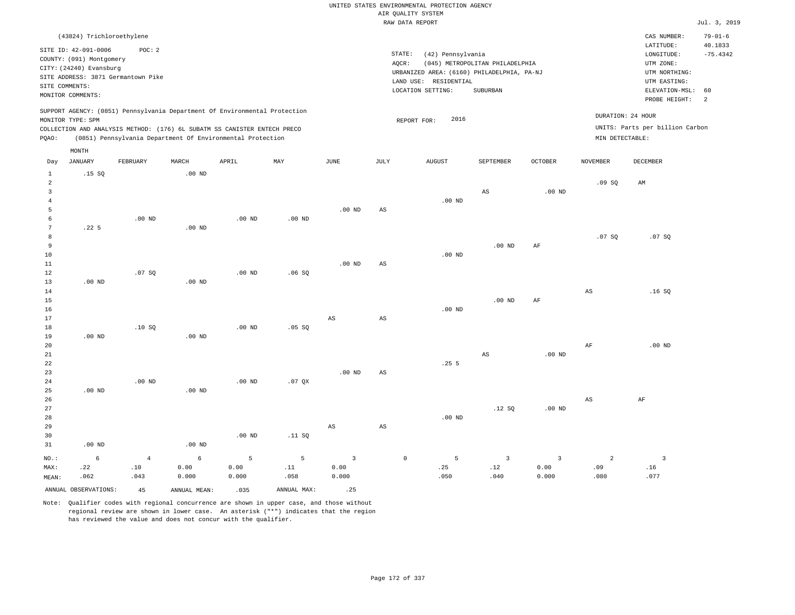# UNITED STATES ENVIRONMENTAL PROTECTION AGENCY AIR QUALITY SYSTEM

|                                |                                                                                                                    |                                              |                   |                                                                            |          |                        |                 | RAW DATA REPORT                                                                                               |                                             |                |                 |                                                                                                          | Jul. 3, 2019                                  |
|--------------------------------|--------------------------------------------------------------------------------------------------------------------|----------------------------------------------|-------------------|----------------------------------------------------------------------------|----------|------------------------|-----------------|---------------------------------------------------------------------------------------------------------------|---------------------------------------------|----------------|-----------------|----------------------------------------------------------------------------------------------------------|-----------------------------------------------|
|                                | (43824) Trichloroethylene                                                                                          |                                              |                   |                                                                            |          |                        |                 |                                                                                                               |                                             |                |                 | CAS NUMBER:                                                                                              | $79 - 01 - 6$                                 |
|                                | SITE ID: 42-091-0006<br>COUNTY: (091) Montgomery<br>CITY: (24240) Evansburg<br>SITE COMMENTS:<br>MONITOR COMMENTS: | POC: 2<br>SITE ADDRESS: 3871 Germantown Pike |                   |                                                                            |          |                        | STATE:<br>AQCR: | (42) Pennsylvania<br>URBANIZED AREA: (6160) PHILADELPHIA, PA-NJ<br>LAND USE: RESIDENTIAL<br>LOCATION SETTING: | (045) METROPOLITAN PHILADELPHIA<br>SUBURBAN |                |                 | LATITUDE:<br>LONGITUDE:<br>UTM ZONE:<br>UTM NORTHING:<br>UTM EASTING:<br>ELEVATION-MSL:<br>PROBE HEIGHT: | 40.1833<br>$-75.4342$<br>60<br>$\overline{2}$ |
|                                |                                                                                                                    |                                              |                   | SUPPORT AGENCY: (0851) Pennsylvania Department Of Environmental Protection |          |                        |                 |                                                                                                               |                                             |                |                 | DURATION: 24 HOUR                                                                                        |                                               |
|                                | MONITOR TYPE: SPM                                                                                                  |                                              |                   | COLLECTION AND ANALYSIS METHOD: (176) 6L SUBATM SS CANISTER ENTECH PRECO   |          |                        |                 | 2016<br>REPORT FOR:                                                                                           |                                             |                |                 | UNITS: Parts per billion Carbon                                                                          |                                               |
| PQAO:                          |                                                                                                                    |                                              |                   | (0851) Pennsylvania Department Of Environmental Protection                 |          |                        |                 |                                                                                                               |                                             |                | MIN DETECTABLE: |                                                                                                          |                                               |
|                                | $\texttt{MONTH}$                                                                                                   |                                              |                   |                                                                            |          |                        |                 |                                                                                                               |                                             |                |                 |                                                                                                          |                                               |
| Day                            | <b>JANUARY</b>                                                                                                     | FEBRUARY                                     | MARCH             | APRIL                                                                      | MAY      | $\operatorname{JUNE}$  | $\mathtt{JULY}$ | <b>AUGUST</b>                                                                                                 | SEPTEMBER                                   | <b>OCTOBER</b> | <b>NOVEMBER</b> | DECEMBER                                                                                                 |                                               |
| $\mathbf{1}$<br>$\overline{a}$ | .15S                                                                                                               |                                              | $.00$ ND          |                                                                            |          |                        |                 |                                                                                                               |                                             |                | .09SQ           | AM                                                                                                       |                                               |
| $\overline{3}$                 |                                                                                                                    |                                              |                   |                                                                            |          |                        |                 |                                                                                                               | AS                                          | $.00$ ND       |                 |                                                                                                          |                                               |
| $\overline{4}$<br>5            |                                                                                                                    |                                              |                   |                                                                            |          | $.00$ ND               | AS              | $.00$ ND                                                                                                      |                                             |                |                 |                                                                                                          |                                               |
| 6                              |                                                                                                                    | $.00$ ND                                     |                   | $.00$ ND                                                                   | $.00$ ND |                        |                 |                                                                                                               |                                             |                |                 |                                                                                                          |                                               |
| $7\overline{ }$                | .22 <sub>5</sub>                                                                                                   |                                              | $.00$ ND          |                                                                            |          |                        |                 |                                                                                                               |                                             |                |                 |                                                                                                          |                                               |
| 8<br>9                         |                                                                                                                    |                                              |                   |                                                                            |          |                        |                 |                                                                                                               | .00 <sub>ND</sub>                           | $\rm{AF}$      | .07SQ           | .07SQ                                                                                                    |                                               |
| 10                             |                                                                                                                    |                                              |                   |                                                                            |          |                        |                 | $.00$ ND                                                                                                      |                                             |                |                 |                                                                                                          |                                               |
| 11                             |                                                                                                                    |                                              |                   |                                                                            |          | $.00$ ND               | AS              |                                                                                                               |                                             |                |                 |                                                                                                          |                                               |
| 12<br>13                       | $.00$ ND                                                                                                           | .07 SQ                                       | $.00$ ND          | $.00$ ND                                                                   | .06SQ    |                        |                 |                                                                                                               |                                             |                |                 |                                                                                                          |                                               |
| 14                             |                                                                                                                    |                                              |                   |                                                                            |          |                        |                 |                                                                                                               |                                             |                | AS              | .16S                                                                                                     |                                               |
| 15                             |                                                                                                                    |                                              |                   |                                                                            |          |                        |                 |                                                                                                               | .00 <sub>ND</sub>                           | $\rm{AF}$      |                 |                                                                                                          |                                               |
| 16<br>17                       |                                                                                                                    |                                              |                   |                                                                            |          | $_{\rm AS}$            | AS              | $.00$ ND                                                                                                      |                                             |                |                 |                                                                                                          |                                               |
| 18                             |                                                                                                                    | .10S                                         |                   | $.00$ ND                                                                   | .05 SQ   |                        |                 |                                                                                                               |                                             |                |                 |                                                                                                          |                                               |
| 19<br>20                       | $.00$ ND                                                                                                           |                                              | .00 <sub>ND</sub> |                                                                            |          |                        |                 |                                                                                                               |                                             |                |                 | $.00$ ND                                                                                                 |                                               |
| 21                             |                                                                                                                    |                                              |                   |                                                                            |          |                        |                 |                                                                                                               | $_{\rm AS}$                                 | $.00$ ND       | AF              |                                                                                                          |                                               |
| 22                             |                                                                                                                    |                                              |                   |                                                                            |          |                        |                 | .255                                                                                                          |                                             |                |                 |                                                                                                          |                                               |
| 23                             |                                                                                                                    |                                              |                   |                                                                            |          | $.00$ ND               | AS              |                                                                                                               |                                             |                |                 |                                                                                                          |                                               |
| 24<br>25                       | $.00$ ND                                                                                                           | $.00$ ND                                     | $.00$ ND          | $.00$ ND                                                                   | $.07$ QX |                        |                 |                                                                                                               |                                             |                |                 |                                                                                                          |                                               |
| 26                             |                                                                                                                    |                                              |                   |                                                                            |          |                        |                 |                                                                                                               |                                             |                | $_{\rm AS}$     | $\rm{AF}$                                                                                                |                                               |
| 27                             |                                                                                                                    |                                              |                   |                                                                            |          |                        |                 |                                                                                                               | .12S                                        | $.00$ ND       |                 |                                                                                                          |                                               |
| 28<br>29                       |                                                                                                                    |                                              |                   |                                                                            |          | $\mathbb{A}\mathbb{S}$ | AS              | $.00$ ND                                                                                                      |                                             |                |                 |                                                                                                          |                                               |
| 30                             |                                                                                                                    |                                              |                   | $.00$ ND                                                                   | .11 SQ   |                        |                 |                                                                                                               |                                             |                |                 |                                                                                                          |                                               |
| 31                             | .00 <sub>ND</sub>                                                                                                  |                                              | $.00$ ND          |                                                                            |          |                        |                 |                                                                                                               |                                             |                |                 |                                                                                                          |                                               |

NO.: MAX: MEAN: 6 .22 .062 4 .10 .043 6 0.00 0.000 5 0.00 0.000 5 .11 .058 3 0.00 0.000 0 5 .25 .050 3 .12 .040 3 0.00 0.000 2 .09 .080 3 .16 .077 ANNUAL OBSERVATIONS:  $45$  ANNUAL MEAN: .035 ANNUAL MAX: .25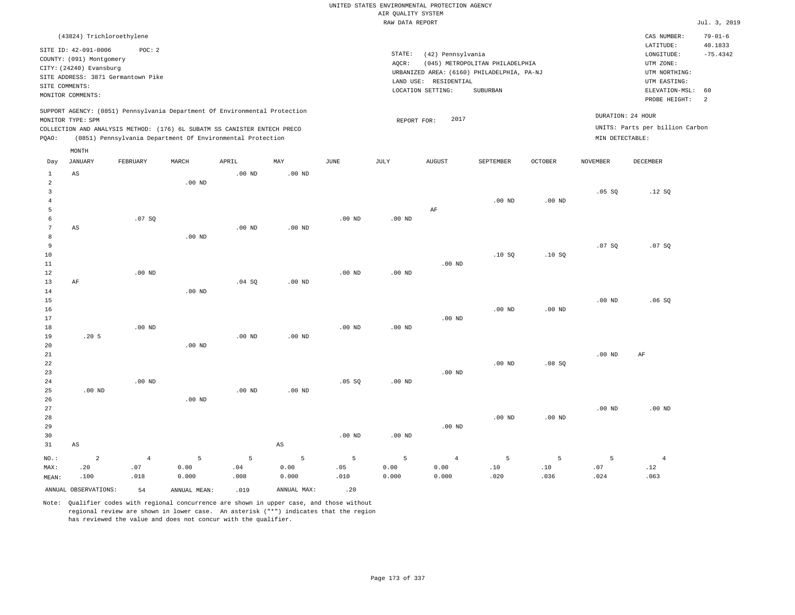|                                                    |                                                                                                                                                 |                                              |                    |                                                                                                                                        |                        |                  | AIR OUALITY SYSTEM<br>RAW DATA REPORT | UNITED STATES ENVIRONMENTAL PROTECTION AGENCY                   |                                                                                           |                   |                   |                                                                                                                         | Jul. 3, 2019                                      |
|----------------------------------------------------|-------------------------------------------------------------------------------------------------------------------------------------------------|----------------------------------------------|--------------------|----------------------------------------------------------------------------------------------------------------------------------------|------------------------|------------------|---------------------------------------|-----------------------------------------------------------------|-------------------------------------------------------------------------------------------|-------------------|-------------------|-------------------------------------------------------------------------------------------------------------------------|---------------------------------------------------|
|                                                    |                                                                                                                                                 |                                              |                    |                                                                                                                                        |                        |                  |                                       |                                                                 |                                                                                           |                   |                   |                                                                                                                         |                                                   |
|                                                    | (43824) Trichloroethylene<br>SITE ID: 42-091-0006<br>COUNTY: (091) Montgomery<br>CITY: (24240) Evansburg<br>SITE COMMENTS:<br>MONITOR COMMENTS: | POC: 2<br>SITE ADDRESS: 3871 Germantown Pike |                    |                                                                                                                                        |                        |                  | STATE:<br>AOCR:                       | (42) Pennsylvania<br>LAND USE: RESIDENTIAL<br>LOCATION SETTING: | (045) METROPOLITAN PHILADELPHIA<br>URBANIZED AREA: (6160) PHILADELPHIA, PA-NJ<br>SUBURBAN |                   |                   | CAS NUMBER:<br>LATITUDE:<br>LONGITUDE:<br>UTM ZONE:<br>UTM NORTHING:<br>UTM EASTING:<br>ELEVATION-MSL:<br>PROBE HEIGHT: | $79 - 01 - 6$<br>40.1833<br>$-75.4342$<br>60<br>2 |
|                                                    |                                                                                                                                                 |                                              |                    | SUPPORT AGENCY: (0851) Pennsylvania Department Of Environmental Protection                                                             |                        |                  |                                       |                                                                 |                                                                                           |                   | DURATION: 24 HOUR |                                                                                                                         |                                                   |
| PQAO:                                              | MONITOR TYPE: SPM                                                                                                                               |                                              |                    | COLLECTION AND ANALYSIS METHOD: (176) 6L SUBATM SS CANISTER ENTECH PRECO<br>(0851) Pennsylvania Department Of Environmental Protection |                        |                  | REPORT FOR:                           | 2017                                                            |                                                                                           |                   | MIN DETECTABLE:   | UNITS: Parts per billion Carbon                                                                                         |                                                   |
| Day                                                | MONTH<br><b>JANUARY</b>                                                                                                                         | FEBRUARY                                     | MARCH              | APRIL                                                                                                                                  | $_{\rm MAY}$           | JUNE             | JULY                                  | AUGUST                                                          | SEPTEMBER                                                                                 | <b>OCTOBER</b>    | NOVEMBER          | DECEMBER                                                                                                                |                                                   |
| 1                                                  | AS                                                                                                                                              |                                              |                    | .00 <sub>ND</sub>                                                                                                                      | $.00$ ND               |                  |                                       |                                                                 |                                                                                           |                   |                   |                                                                                                                         |                                                   |
| $\overline{a}$<br>$\overline{3}$<br>$\overline{4}$ |                                                                                                                                                 |                                              | $.00$ ND           |                                                                                                                                        |                        |                  |                                       |                                                                 | $.00$ ND                                                                                  | .00 <sub>ND</sub> | $.05$ SO          | .12S                                                                                                                    |                                                   |
| 5<br>6<br>$7\phantom{.0}$<br>8                     | AS                                                                                                                                              | .07SQ                                        | $.00$ ND           | $.00$ ND                                                                                                                               | $.00$ ND               | $.00$ ND         | $.00$ ND                              | AF                                                              |                                                                                           |                   |                   |                                                                                                                         |                                                   |
| 9<br>10<br>$1\,1$<br>12                            |                                                                                                                                                 | $.00$ ND                                     |                    |                                                                                                                                        |                        | $.00$ ND         | $.00$ ND                              | $.00$ ND                                                        | .10S                                                                                      | .10S              | .07SQ             | .07 SQ                                                                                                                  |                                                   |
| 13<br>14<br>15                                     | AF                                                                                                                                              |                                              | $.00$ ND           | .04SQ                                                                                                                                  | .00 <sub>ND</sub>      |                  |                                       |                                                                 |                                                                                           |                   | .00 <sub>ND</sub> | .06SQ                                                                                                                   |                                                   |
| 16<br>17<br>18<br>19                               | .20 <sub>5</sub>                                                                                                                                | $.00$ ND                                     |                    | $.00$ ND                                                                                                                               | .00 <sub>ND</sub>      | $.00$ ND         | .00 <sub>ND</sub>                     | .00 <sub>ND</sub>                                               | .00 <sub>ND</sub>                                                                         | $.00$ ND          |                   |                                                                                                                         |                                                   |
| 20<br>21<br>22<br>23                               |                                                                                                                                                 |                                              | $.00$ ND           |                                                                                                                                        |                        |                  |                                       | $.00$ ND                                                        | $.00$ ND                                                                                  | .08SQ             | .00 <sub>ND</sub> | AF                                                                                                                      |                                                   |
| 24<br>25<br>26                                     | $.00$ ND                                                                                                                                        | $.00$ ND                                     | $.00$ ND           | .00 <sub>ND</sub>                                                                                                                      | .00 <sub>ND</sub>      | .05SQ            | .00 <sub>ND</sub>                     |                                                                 |                                                                                           |                   |                   |                                                                                                                         |                                                   |
| 27<br>28<br>29<br>30                               |                                                                                                                                                 |                                              |                    |                                                                                                                                        |                        | $.00$ ND         | $.00$ ND                              | .00 <sub>ND</sub>                                               | $.00$ ND                                                                                  | $.00$ ND          | $.00$ ND          | $.00$ ND                                                                                                                |                                                   |
| 31                                                 | $_{\rm AS}$                                                                                                                                     |                                              |                    |                                                                                                                                        | $\mathbb{A}\mathbb{S}$ |                  |                                       |                                                                 |                                                                                           |                   |                   |                                                                                                                         |                                                   |
| NO.:<br>MAX:<br>MEAN:                              | $\overline{a}$<br>.20<br>.100                                                                                                                   | $\overline{4}$<br>.07<br>.018                | 5<br>0.00<br>0.000 | 5<br>.04<br>.008                                                                                                                       | 5<br>0.00<br>0.000     | 5<br>.05<br>.010 | 5<br>0.00<br>0.000                    | $\overline{4}$<br>0.00<br>0.000                                 | $\overline{5}$<br>.10<br>.020                                                             | 5<br>.10<br>.036  | 5<br>.07<br>.024  | $\overline{4}$<br>.12<br>.063                                                                                           |                                                   |
|                                                    | ANNUAL OBSERVATIONS:                                                                                                                            | 54                                           | ANNUAL MEAN:       | .019                                                                                                                                   | ANNUAL MAX:            | .20              |                                       |                                                                 |                                                                                           |                   |                   |                                                                                                                         |                                                   |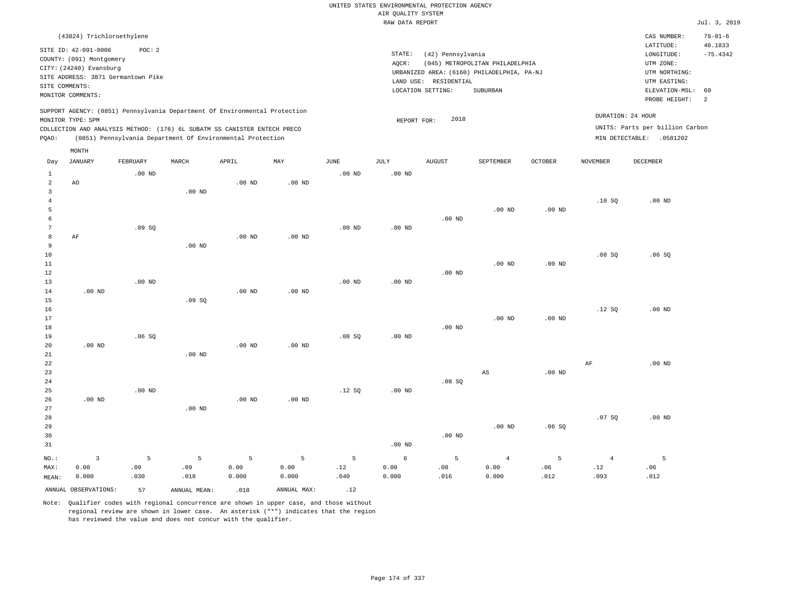|                 |                           |                                                                            |                   |                   |                   |                   |                    | UNITED STATES ENVIRONMENTAL PROTECTION AGENCY |                                            |                |                 |                                 |                       |
|-----------------|---------------------------|----------------------------------------------------------------------------|-------------------|-------------------|-------------------|-------------------|--------------------|-----------------------------------------------|--------------------------------------------|----------------|-----------------|---------------------------------|-----------------------|
|                 |                           |                                                                            |                   |                   |                   |                   | AIR QUALITY SYSTEM |                                               |                                            |                |                 |                                 |                       |
|                 |                           |                                                                            |                   |                   |                   |                   | RAW DATA REPORT    |                                               |                                            |                |                 |                                 | Jul. 3, 2019          |
|                 | (43824) Trichloroethylene |                                                                            |                   |                   |                   |                   |                    |                                               |                                            |                |                 | CAS NUMBER:                     | $79 - 01 - 6$         |
|                 | SITE ID: 42-091-0006      | POC: 2                                                                     |                   |                   |                   |                   | STATE:             |                                               |                                            |                |                 | LATITUDE:                       | 40.1833<br>$-75.4342$ |
|                 | COUNTY: (091) Montgomery  |                                                                            |                   |                   |                   |                   | AOCR:              | (42) Pennsylvania                             | (045) METROPOLITAN PHILADELPHIA            |                |                 | LONGITUDE:<br>UTM ZONE:         |                       |
|                 | CITY: (24240) Evansburg   |                                                                            |                   |                   |                   |                   |                    |                                               | URBANIZED AREA: (6160) PHILADELPHIA, PA-NJ |                |                 | UTM NORTHING:                   |                       |
|                 |                           | SITE ADDRESS: 3871 Germantown Pike                                         |                   |                   |                   |                   |                    | LAND USE: RESIDENTIAL                         |                                            |                |                 | UTM EASTING:                    |                       |
|                 | SITE COMMENTS:            |                                                                            |                   |                   |                   |                   |                    | LOCATION SETTING:                             | SUBURBAN                                   |                |                 | ELEVATION-MSL:                  | 60                    |
|                 | MONITOR COMMENTS:         |                                                                            |                   |                   |                   |                   |                    |                                               |                                            |                |                 | PROBE HEIGHT:                   | 2                     |
|                 |                           | SUPPORT AGENCY: (0851) Pennsylvania Department Of Environmental Protection |                   |                   |                   |                   |                    |                                               |                                            |                |                 | DURATION: 24 HOUR               |                       |
|                 | MONITOR TYPE: SPM         |                                                                            |                   |                   |                   |                   | REPORT FOR:        | 2018                                          |                                            |                |                 | UNITS: Parts per billion Carbon |                       |
|                 |                           | COLLECTION AND ANALYSIS METHOD: (176) 6L SUBATM SS CANISTER ENTECH PRECO   |                   |                   |                   |                   |                    |                                               |                                            |                |                 |                                 |                       |
| PQAO:           |                           | (0851) Pennsylvania Department Of Environmental Protection                 |                   |                   |                   |                   |                    |                                               |                                            |                |                 | MIN DETECTABLE: .0581202        |                       |
| Day             | MONTH<br><b>JANUARY</b>   | FEBRUARY                                                                   | MARCH             | APRIL             | MAY               | <b>JUNE</b>       | <b>JULY</b>        | <b>AUGUST</b>                                 | SEPTEMBER                                  | <b>OCTOBER</b> | <b>NOVEMBER</b> | <b>DECEMBER</b>                 |                       |
| $\mathbf{1}$    |                           | $.00$ ND                                                                   |                   |                   |                   | $.00$ ND          | $.00$ ND           |                                               |                                            |                |                 |                                 |                       |
| $\overline{a}$  | AO                        |                                                                            |                   | $.00$ ND          | $.00$ ND          |                   |                    |                                               |                                            |                |                 |                                 |                       |
| $\mathsf 3$     |                           |                                                                            | .00 <sub>ND</sub> |                   |                   |                   |                    |                                               |                                            |                |                 |                                 |                       |
| $\overline{4}$  |                           |                                                                            |                   |                   |                   |                   |                    |                                               |                                            |                | .10S            | $.00$ ND                        |                       |
| 5               |                           |                                                                            |                   |                   |                   |                   |                    |                                               | $.00$ ND                                   | $.00$ ND       |                 |                                 |                       |
| 6               |                           |                                                                            |                   |                   |                   |                   |                    | $.00$ ND                                      |                                            |                |                 |                                 |                       |
| $7\phantom{.0}$ |                           | .09SQ                                                                      |                   |                   |                   | $.00$ ND          | $.00$ ND           |                                               |                                            |                |                 |                                 |                       |
| $^{\rm 8}$<br>9 | AF                        |                                                                            | $.00$ ND          | .00 <sub>ND</sub> | .00 <sub>ND</sub> |                   |                    |                                               |                                            |                |                 |                                 |                       |
| 10              |                           |                                                                            |                   |                   |                   |                   |                    |                                               |                                            |                | .08 SQ          | .06SQ                           |                       |
| 11              |                           |                                                                            |                   |                   |                   |                   |                    |                                               | $.00$ ND                                   | $.00$ ND       |                 |                                 |                       |
| 12              |                           |                                                                            |                   |                   |                   |                   |                    | $.00$ ND                                      |                                            |                |                 |                                 |                       |
| 13              |                           | .00 <sub>ND</sub>                                                          |                   |                   |                   | .00 <sub>ND</sub> | .00 <sub>ND</sub>  |                                               |                                            |                |                 |                                 |                       |
| 14              | $.00$ ND                  |                                                                            |                   | $.00$ ND          | $.00$ ND          |                   |                    |                                               |                                            |                |                 |                                 |                       |
| 15              |                           |                                                                            | .09S              |                   |                   |                   |                    |                                               |                                            |                |                 |                                 |                       |
| 16              |                           |                                                                            |                   |                   |                   |                   |                    |                                               |                                            |                | .12S            | $.00$ ND                        |                       |
| 17<br>18        |                           |                                                                            |                   |                   |                   |                   |                    | $.00$ ND                                      | $.00$ ND                                   | $.00$ ND       |                 |                                 |                       |
| 19              |                           | .06S                                                                       |                   |                   |                   | .08S              | $.00$ ND           |                                               |                                            |                |                 |                                 |                       |
| 20              | .00 <sub>ND</sub>         |                                                                            |                   | .00 <sub>ND</sub> | .00 <sub>ND</sub> |                   |                    |                                               |                                            |                |                 |                                 |                       |
| 21              |                           |                                                                            | .00 <sub>ND</sub> |                   |                   |                   |                    |                                               |                                            |                |                 |                                 |                       |
| 22              |                           |                                                                            |                   |                   |                   |                   |                    |                                               |                                            |                | AF              | $.00$ ND                        |                       |
| 23              |                           |                                                                            |                   |                   |                   |                   |                    |                                               | $_{\rm AS}$                                | $.00$ ND       |                 |                                 |                       |
| 24              |                           |                                                                            |                   |                   |                   |                   |                    | .08S                                          |                                            |                |                 |                                 |                       |
| 25              |                           | .00 <sub>ND</sub>                                                          |                   |                   |                   | .12S              | $.00$ ND           |                                               |                                            |                |                 |                                 |                       |
| 26<br>27        | $.00$ ND                  |                                                                            | .00 <sub>ND</sub> | .00 <sub>ND</sub> | .00 <sub>ND</sub> |                   |                    |                                               |                                            |                |                 |                                 |                       |
| 28              |                           |                                                                            |                   |                   |                   |                   |                    |                                               |                                            |                | .07S            | $.00$ ND                        |                       |
| 29              |                           |                                                                            |                   |                   |                   |                   |                    |                                               | .00 $ND$                                   | .06SQ          |                 |                                 |                       |
| 30              |                           |                                                                            |                   |                   |                   |                   |                    | $.00$ ND                                      |                                            |                |                 |                                 |                       |
| 31              |                           |                                                                            |                   |                   |                   |                   | $.00$ ND           |                                               |                                            |                |                 |                                 |                       |
| NO.:            | $\overline{\mathbf{3}}$   | 5                                                                          | 5                 | 5                 | 5                 | 5                 | $\epsilon$         | 5                                             | $\,4\,$                                    | 5              | $\overline{4}$  | 5                               |                       |
| MAX:            | 0.00                      | .09                                                                        | .09               | 0.00              | 0.00              | .12               | 0.00               | .08                                           | 0.00                                       | .06            | .12             | .06                             |                       |
| MEAN:           | 0.000                     | .030                                                                       | .018              | 0.000             | 0.000             | .040              | 0.000              | .016                                          | 0.000                                      | .012           | .093            | .012                            |                       |
|                 | ANNUAL OBSERVATIONS:      | 57                                                                         | ANNUAL MEAN:      | .018              | ANNUAL MAX:       | .12               |                    |                                               |                                            |                |                 |                                 |                       |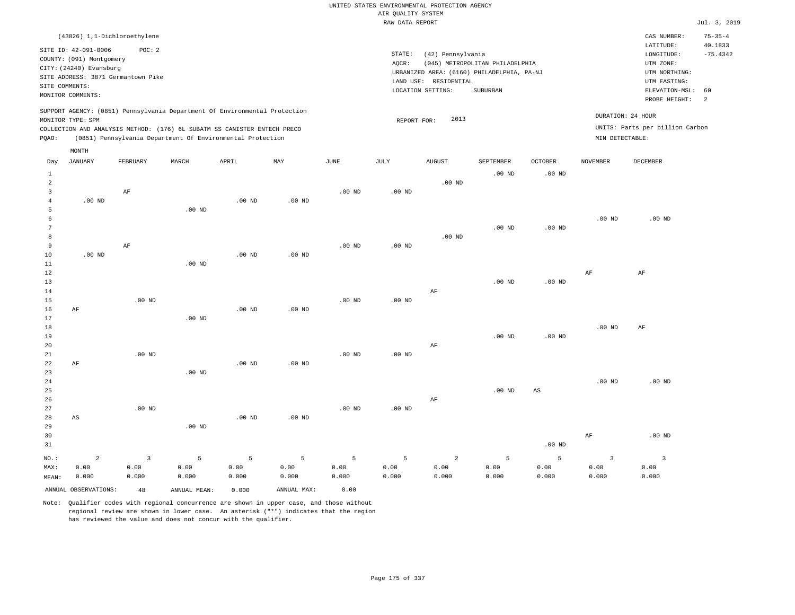|                | (43826) 1,1-Dichloroethylene                                                                                                                                                                                                              |          |       |       |     |      |                 |                                                                    |                                                                                           |                |                 | CAS NUMBER:                                                                                                 | $75 - 35 - 4$                |
|----------------|-------------------------------------------------------------------------------------------------------------------------------------------------------------------------------------------------------------------------------------------|----------|-------|-------|-----|------|-----------------|--------------------------------------------------------------------|-------------------------------------------------------------------------------------------|----------------|-----------------|-------------------------------------------------------------------------------------------------------------|------------------------------|
| SITE COMMENTS: | SITE ID: 42-091-0006<br>COUNTY: (091) Montgomery<br>CITY: (24240) Evansburg<br>SITE ADDRESS: 3871 Germantown Pike<br>MONITOR COMMENTS:                                                                                                    | POC:2    |       |       |     |      | STATE:<br>AOCR: | (42) Pennsylvania<br>RESIDENTIAL<br>LAND USE:<br>LOCATION SETTING: | (045) METROPOLITAN PHILADELPHIA<br>URBANIZED AREA: (6160) PHILADELPHIA, PA-NJ<br>SUBURBAN |                |                 | LATITUDE:<br>LONGITUDE:<br>UTM ZONE:<br>UTM NORTHING:<br>UTM EASTING:<br>ELEVATION-MSL: 60<br>PROBE HEIGHT: | 40.1833<br>$-75.4342$<br>- 2 |
| POAO:          | SUPPORT AGENCY: (0851) Pennsylvania Department Of Environmental Protection<br>MONITOR TYPE: SPM<br>COLLECTION AND ANALYSIS METHOD: (176) 6L SUBATM SS CANISTER ENTECH PRECO<br>(0851) Pennsylvania Department Of Environmental Protection |          |       |       |     |      |                 | 2013<br>REPORT FOR:                                                |                                                                                           |                | MIN DETECTABLE: | DURATION: 24 HOUR<br>UNITS: Parts per billion Carbon                                                        |                              |
| Day            | MONTH<br>JANUARY                                                                                                                                                                                                                          | FEBRUARY | MARCH | APRIL | MAY | JUNE | JULY            | <b>AUGUST</b>                                                      | SEPTEMBER                                                                                 | <b>OCTOBER</b> | <b>NOVEMBER</b> | DECEMBER                                                                                                    |                              |
|                |                                                                                                                                                                                                                                           |          |       |       |     |      |                 |                                                                    |                                                                                           |                |                 |                                                                                                             |                              |
|                |                                                                                                                                                                                                                                           |          |       |       |     |      |                 |                                                                    | $.00$ ND                                                                                  | $.00$ ND       |                 |                                                                                                             |                              |
| $\overline{2}$ |                                                                                                                                                                                                                                           |          |       |       |     |      |                 | $.00$ ND                                                           |                                                                                           |                |                 |                                                                                                             |                              |

.00 ND

.00 ND

| 4  | $.00$ ND |          | $.00$ ND | $.00$ ND |          |          |          |          |          |          |          |
|----|----------|----------|----------|----------|----------|----------|----------|----------|----------|----------|----------|
| 5  |          | $.00$ ND |          |          |          |          |          |          |          |          |          |
| 6  |          |          |          |          |          |          |          |          |          | $.00$ ND | $.00$ ND |
| 7  |          |          |          |          |          |          |          | $.00$ ND | $.00$ ND |          |          |
| 8  |          |          |          |          |          |          | $.00$ ND |          |          |          |          |
| 9  | AF       |          |          |          | $.00$ ND | $.00$ ND |          |          |          |          |          |
| 10 | $.00$ ND |          | $.00$ ND | $.00$ ND |          |          |          |          |          |          |          |
| 11 |          | $.00$ ND |          |          |          |          |          |          |          |          |          |
| 12 |          |          |          |          |          |          |          |          |          | AF       | AF       |
| 13 |          |          |          |          |          |          |          | $.00$ ND | $.00$ ND |          |          |
| 14 |          |          |          |          |          |          | AF       |          |          |          |          |

.00 ND

| 16 | AF |          |          | $.00$ ND | $.00$ ND |          |          |    |          |          |          |    |
|----|----|----------|----------|----------|----------|----------|----------|----|----------|----------|----------|----|
| 17 |    |          | $.00$ ND |          |          |          |          |    |          |          |          |    |
| 18 |    |          |          |          |          |          |          |    |          |          | $.00$ ND | AF |
| 19 |    |          |          |          |          |          |          |    | $.00$ ND | $.00$ ND |          |    |
| 20 |    |          |          |          |          |          |          | AF |          |          |          |    |
| 21 |    | $.00$ ND |          |          |          | $.00$ ND | $.00$ ND |    |          |          |          |    |
| 22 | AF |          |          | $.00$ ND | $.00$ ND |          |          |    |          |          |          |    |
| 23 |    |          | $.00$ ND |          |          |          |          |    |          |          |          |    |

.00 ND

| 24 |                   |                   |                  |    |                     | .00 <sub>ND</sub> | $.00$ ND |
|----|-------------------|-------------------|------------------|----|---------------------|-------------------|----------|
| 25 |                   |                   |                  |    | $.00 \text{ ND}$ AS |                   |          |
| 26 |                   |                   |                  | AF |                     |                   |          |
| 27 | .00 <sub>ND</sub> | .00 <sub>ND</sub> | $.00 \text{ ND}$ |    |                     |                   |          |

| 28    | AS                   |       |              | $.00$ ND | $.00$ ND    |       |       |       |       |          |       |          |
|-------|----------------------|-------|--------------|----------|-------------|-------|-------|-------|-------|----------|-------|----------|
| 29    |                      |       | $.00$ ND     |          |             |       |       |       |       |          |       |          |
| 30    |                      |       |              |          |             |       |       |       |       |          | AF    | $.00$ ND |
| 31    |                      |       |              |          |             |       |       |       |       | $.00$ ND |       |          |
| NO.:  |                      |       |              |          | -5          |       | - 5   | 2     |       |          |       |          |
| MAX:  | 0.00                 | 0.00  | 0.00         | 0.00     | 0.00        | 0.00  | 0.00  | 0.00  | 0.00  | 0.00     | 0.00  | 0.00     |
| MEAN: | 0.000                | 0.000 | 0.000        | 0.000    | 0.000       | 0.000 | 0.000 | 0.000 | 0.000 | 0.000    | 0.000 | 0.000    |
|       | ANNUAL OBSERVATIONS: | 48    | ANNUAL MEAN: | 0.000    | ANNUAL MAX: | 0.00  |       |       |       |          |       |          |

Note: Qualifier codes with regional concurrence are shown in upper case, and those without regional review are shown in lower case. An asterisk ("\*") indicates that the region

has reviewed the value and does not concur with the qualifier.

3

AF

.00 ND

15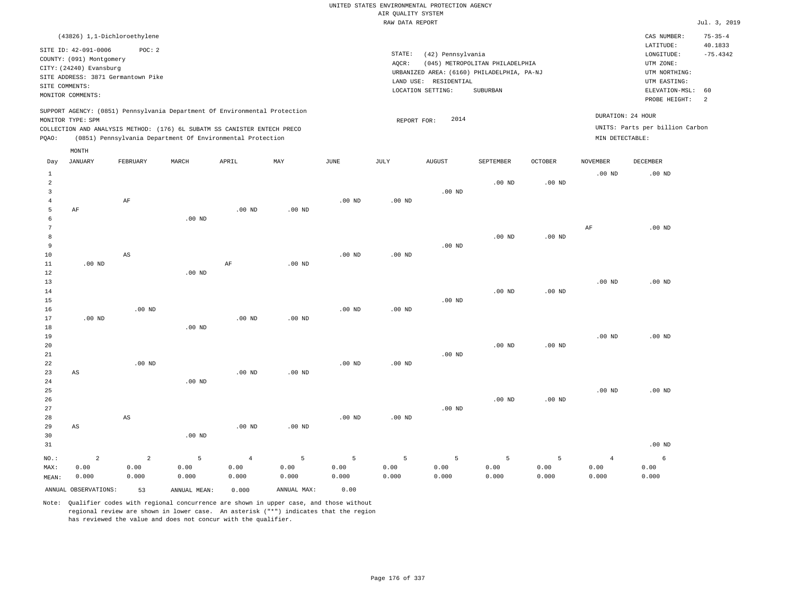| (43826) 1,1-Dichloroethylene                                                                                                                                                                                                                                |                                                                                                                                                                                    | CAS NUMBER:                                                                                                 | $75 - 35 - 4$                           |
|-------------------------------------------------------------------------------------------------------------------------------------------------------------------------------------------------------------------------------------------------------------|------------------------------------------------------------------------------------------------------------------------------------------------------------------------------------|-------------------------------------------------------------------------------------------------------------|-----------------------------------------|
| SITE ID: 42-091-0006<br>POC: 2<br>COUNTY: (091) Montgomery<br>CITY: (24240) Evansburg<br>SITE ADDRESS: 3871 Germantown Pike<br>SITE COMMENTS:<br>MONITOR COMMENTS:                                                                                          | STATE:<br>(42) Pennsylvania<br>(045) METROPOLITAN PHILADELPHIA<br>AOCR:<br>URBANIZED AREA: (6160) PHILADELPHIA, PA-NJ<br>RESIDENTIAL<br>LAND USE:<br>LOCATION SETTING:<br>SUBURBAN | LATITUDE:<br>LONGITUDE:<br>UTM ZONE:<br>UTM NORTHING:<br>UTM EASTING:<br>ELEVATION-MSL: 60<br>PROBE HEIGHT: | 40.1833<br>$-75.4342$<br>$\overline{2}$ |
| SUPPORT AGENCY: (0851) Pennsylvania Department Of Environmental Protection<br>MONITOR TYPE: SPM<br>COLLECTION AND ANALYSIS METHOD: (176) 6L SUBATM SS CANISTER ENTECH PRECO<br>(0851) Pennsylvania Department Of Environmental Protection<br>POAO:<br>MONTH | DURATION: 24 HOUR<br>2014<br>REPORT FOR:<br>MIN DETECTABLE:                                                                                                                        | UNITS: Parts per billion Carbon                                                                             |                                         |

| Day                                                        | <b>JANUARY</b>              | FEBRUARY                        | MARCH              | APRIL                           | MAY                | <b>JUNE</b>        | $\mathtt{JULY}$    | <b>AUGUST</b>      | SEPTEMBER          | OCTOBER            | <b>NOVEMBER</b>                 | DECEMBER           |
|------------------------------------------------------------|-----------------------------|---------------------------------|--------------------|---------------------------------|--------------------|--------------------|--------------------|--------------------|--------------------|--------------------|---------------------------------|--------------------|
| $\mathbf{1}$<br>$\overline{a}$<br>3<br>$\overline{4}$<br>5 | $\rm AF$                    | $\rm AF$                        |                    | $.00$ ND                        | $.00$ ND           | $.00$ ND           | $.00$ ND           | $.00$ ND           | $.00$ ND           | $.00$ ND           | .00 <sub>ND</sub>               | $.00$ ND           |
| 6<br>7<br>8<br>9<br>10                                     |                             | AS                              | $.00$ ND           |                                 |                    | $.00$ ND           | $.00$ ND           | $.00$ ND           | $.00$ ND           | .00 <sub>ND</sub>  | AF                              | $.00$ ND           |
| 11<br>12<br>13<br>14<br>15<br>16                           | $.00$ ND                    | $.00$ ND                        | $.00$ ND           | $\rm AF$                        | $.00$ ND           | $.00$ ND           | $.00$ ND           | $.00$ ND           | $.00$ ND           | $.00$ ND           | $.00$ ND                        | .00 <sub>ND</sub>  |
| 17<br>18<br>19<br>20<br>21<br>$2\sqrt{2}$                  | $.00$ ND                    | $.00$ ND                        | $.00$ ND           | $.00$ ND                        | $.00$ ND           | $.00$ ND           | $.00$ ND           | $.00$ ND           | $.00$ ND           | $.00$ ND           | $.00$ ND                        | $.00$ ND           |
| 23<br>$2\,4$<br>25<br>26<br>27                             | $\mathbb{A}\mathbb{S}$      |                                 | $.00$ ND           | $.00$ ND                        | $.00$ ND           |                    |                    | $.00$ ND           | $.00$ ND           | .00 $ND$           | $.00$ ND                        | $.00$ ND           |
| 28<br>29<br>30<br>31                                       | $\mathbb{A}\mathbb{S}$      | AS                              | $.00$ ND           | $.00$ ND                        | $.00$ ND           | $.00$ ND           | $.00$ ND           |                    |                    |                    |                                 | $.00$ ND           |
| $NO.$ :<br>MAX:<br>MEAN:                                   | $\sqrt{2}$<br>0.00<br>0.000 | $\overline{a}$<br>0.00<br>0.000 | 5<br>0.00<br>0.000 | $\overline{4}$<br>0.00<br>0.000 | 5<br>0.00<br>0.000 | 5<br>0.00<br>0.000 | 5<br>0.00<br>0.000 | 5<br>0.00<br>0.000 | 5<br>0.00<br>0.000 | 5<br>0.00<br>0.000 | $\overline{4}$<br>0.00<br>0.000 | 6<br>0.00<br>0.000 |
|                                                            | ANNUAL OBSERVATIONS:        | 53                              | ANNUAL MEAN:       | 0.000                           | ANNUAL MAX:        | 0.00               |                    |                    |                    |                    |                                 |                    |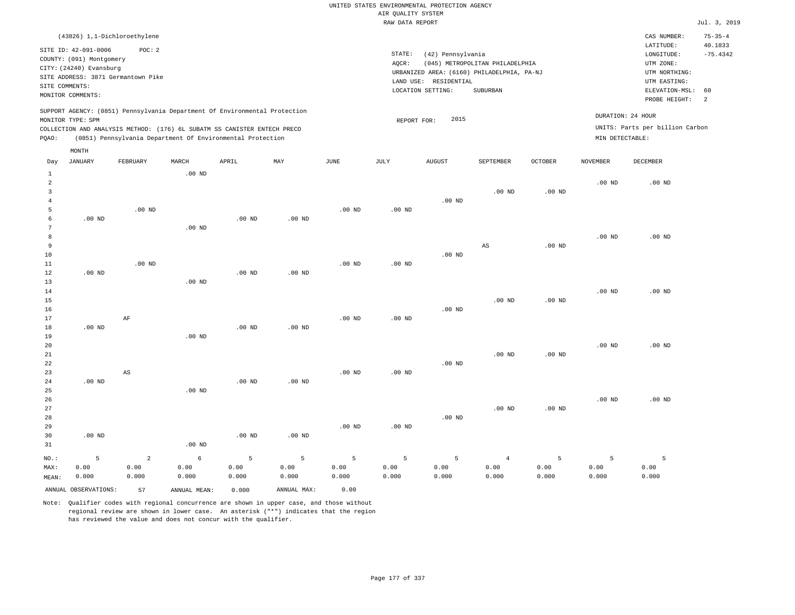|                                                                                                                                                                                                                                                    | (43826) 1,1-Dichloroethylene                                                                                      |          |          |       |     |      |                              |                                                                                                     |                                             |                |                                            | CAS NUMBER:                                          | $75 - 35 - 4$ |
|----------------------------------------------------------------------------------------------------------------------------------------------------------------------------------------------------------------------------------------------------|-------------------------------------------------------------------------------------------------------------------|----------|----------|-------|-----|------|------------------------------|-----------------------------------------------------------------------------------------------------|---------------------------------------------|----------------|--------------------------------------------|------------------------------------------------------|---------------|
| SITE COMMENTS:                                                                                                                                                                                                                                     | SITE ID: 42-091-0006<br>COUNTY: (091) Montgomery<br>CITY: (24240) Evansburg<br>SITE ADDRESS: 3871 Germantown Pike | POC:2    |          |       |     |      | STATE:<br>AQCR:<br>LAND USE: | (42) Pennsylvania<br>URBANIZED AREA: (6160) PHILADELPHIA, PA-NJ<br>RESIDENTIAL<br>LOCATION SETTING: | (045) METROPOLITAN PHILADELPHIA<br>SUBURBAN |                | 40.1833<br>$-75.4342$<br>ELEVATION-MSL: 60 |                                                      |               |
|                                                                                                                                                                                                                                                    | MONITOR COMMENTS:                                                                                                 |          |          |       |     |      |                              |                                                                                                     |                                             |                |                                            | PROBE HEIGHT:                                        | -2            |
| SUPPORT AGENCY: (0851) Pennsylvania Department Of Environmental Protection<br>MONITOR TYPE: SPM<br>COLLECTION AND ANALYSIS METHOD: (176) 6L SUBATM SS CANISTER ENTECH PRECO<br>(0851) Pennsylvania Department Of Environmental Protection<br>POAO: |                                                                                                                   |          |          |       |     |      |                              | 2015<br>REPORT FOR:                                                                                 |                                             |                | MIN DETECTABLE:                            | DURATION: 24 HOUR<br>UNITS: Parts per billion Carbon |               |
|                                                                                                                                                                                                                                                    | MONTH                                                                                                             |          |          |       |     |      |                              |                                                                                                     |                                             |                |                                            |                                                      |               |
| Day                                                                                                                                                                                                                                                | JANUARY                                                                                                           | FEBRUARY | MARCH    | APRIL | MAY | JUNE | JULY                         | <b>AUGUST</b>                                                                                       | SEPTEMBER                                   | <b>OCTOBER</b> | NOVEMBER                                   | <b>DECEMBER</b>                                      |               |
|                                                                                                                                                                                                                                                    |                                                                                                                   |          | $.00$ ND |       |     |      |                              |                                                                                                     |                                             |                |                                            |                                                      |               |
|                                                                                                                                                                                                                                                    |                                                                                                                   |          |          |       |     |      |                              |                                                                                                     |                                             |                | $00 \text{ MP}$                            | $00 \text{ MP}$                                      |               |

| $\overline{\mathbf{c}}$ |          |             |            |          |          |                   |          |          |                        |                   | .00 $ND$ | $.00$ ND |
|-------------------------|----------|-------------|------------|----------|----------|-------------------|----------|----------|------------------------|-------------------|----------|----------|
| 3                       |          |             |            |          |          |                   |          |          | $.00$ ND               | .00 <sub>ND</sub> |          |          |
| 4                       |          |             |            |          |          |                   |          | $.00$ ND |                        |                   |          |          |
| 5                       |          | $.00$ ND    |            |          |          | $.00$ ND          | $.00$ ND |          |                        |                   |          |          |
| 6                       | $.00$ ND |             |            | $.00$ ND | $.00$ ND |                   |          |          |                        |                   |          |          |
| 7                       |          |             | $.00$ ND   |          |          |                   |          |          |                        |                   |          |          |
| 8                       |          |             |            |          |          |                   |          |          |                        |                   | $.00$ ND | $.00$ ND |
| 9                       |          |             |            |          |          |                   |          |          | $\mathbb{A}\mathbb{S}$ | $.00$ ND          |          |          |
| 10                      |          |             |            |          |          |                   |          | $.00$ ND |                        |                   |          |          |
| 11                      |          | $.00$ ND    |            |          |          | $.00$ ND          | $.00$ ND |          |                        |                   |          |          |
| 12<br>13                | .00 $ND$ |             | $.00$ ND   | .00 $ND$ | $.00$ ND |                   |          |          |                        |                   |          |          |
| 14                      |          |             |            |          |          |                   |          |          |                        |                   | $.00$ ND | $.00$ ND |
| 15                      |          |             |            |          |          |                   |          |          | $.00$ ND               | .00 <sub>ND</sub> |          |          |
| 16                      |          |             |            |          |          |                   |          | .00 $ND$ |                        |                   |          |          |
| 17                      |          | $\rm AF$    |            |          |          | $.00$ ND          | $.00$ ND |          |                        |                   |          |          |
| 18                      | $.00$ ND |             |            | .00 $ND$ | $.00$ ND |                   |          |          |                        |                   |          |          |
| 19                      |          |             | $.00$ ND   |          |          |                   |          |          |                        |                   |          |          |
| 20                      |          |             |            |          |          |                   |          |          |                        |                   | $.00$ ND | $.00$ ND |
| 21                      |          |             |            |          |          |                   |          |          | $.00$ ND               | .00 <sub>ND</sub> |          |          |
| 22                      |          |             |            |          |          |                   |          | $.00$ ND |                        |                   |          |          |
| 23                      |          | AS          |            |          |          | $.00$ ND          | $.00$ ND |          |                        |                   |          |          |
| 24                      | $.00$ ND |             |            | $.00$ ND | $.00$ ND |                   |          |          |                        |                   |          |          |
| 25                      |          |             | $.00$ ND   |          |          |                   |          |          |                        |                   |          |          |
| 26                      |          |             |            |          |          |                   |          |          |                        |                   | $.00$ ND | $.00$ ND |
| 27                      |          |             |            |          |          |                   |          |          | $.00$ ND               | $.00$ ND          |          |          |
| 28                      |          |             |            |          |          |                   |          | .00 $ND$ |                        |                   |          |          |
| 29                      |          |             |            |          |          | .00 <sub>ND</sub> | $.00$ ND |          |                        |                   |          |          |
| 30                      | $.00$ ND |             |            | .00 $ND$ | $.00$ ND |                   |          |          |                        |                   |          |          |
| 31                      |          |             | $.00$ ND   |          |          |                   |          |          |                        |                   |          |          |
| $_{\rm NO.}$ :          | 5        | $\mathbf 2$ | $\epsilon$ | 5        | 5        | 5                 | 5        | 5        | $\overline{4}$         | 5                 | 5        | 5        |
| MAX:                    | 0.00     | 0.00        | 0.00       | 0.00     | 0.00     | 0.00              | 0.00     | 0.00     | 0.00                   | 0.00              | 0.00     | 0.00     |
| MEAN:                   | 0.000    | 0.000       | 0.000      | 0.000    | 0.000    | 0.000             | 0.000    | 0.000    | 0.000                  | 0.000             | 0.000    | 0.000    |

ANNUAL OBSERVATIONS: 57 ANNUAL MEAN: 0.000 ANNUAL MAX: 0.00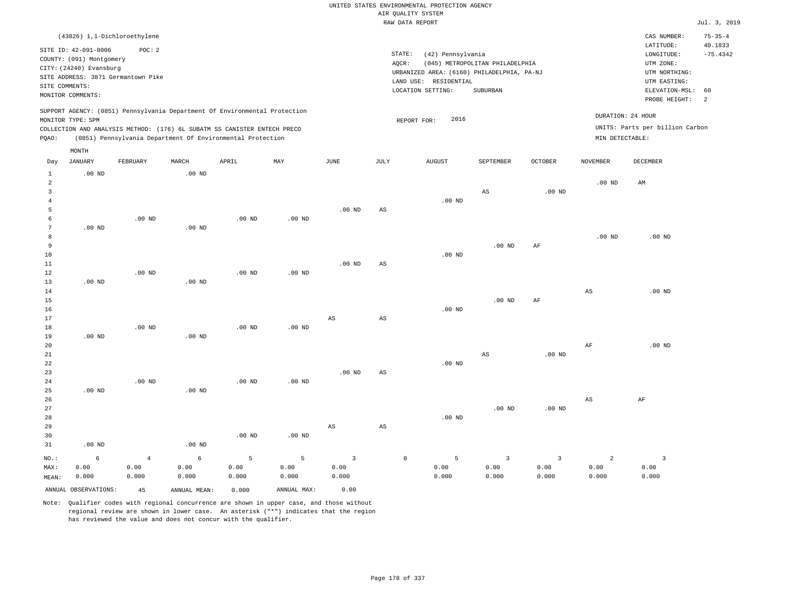|                                  |                              |                                    |                   |                                                                            |           |                        |                        | ----- ------ ---- ---- |                       |                                            |                        |                        |                                 |                       |
|----------------------------------|------------------------------|------------------------------------|-------------------|----------------------------------------------------------------------------|-----------|------------------------|------------------------|------------------------|-----------------------|--------------------------------------------|------------------------|------------------------|---------------------------------|-----------------------|
|                                  | (43826) 1,1-Dichloroethylene |                                    |                   |                                                                            |           |                        |                        |                        |                       |                                            |                        |                        | CAS NUMBER:                     | $75 - 35 - 4$         |
|                                  | SITE ID: 42-091-0006         | POC: 2                             |                   |                                                                            |           |                        |                        | STATE:                 | (42) Pennsylvania     |                                            |                        |                        | LATITUDE:<br>LONGITUDE:         | 40.1833<br>$-75.4342$ |
|                                  | COUNTY: (091) Montgomery     |                                    |                   |                                                                            |           |                        |                        | AQCR:                  |                       | (045) METROPOLITAN PHILADELPHIA            |                        |                        | UTM ZONE:                       |                       |
|                                  | CITY: (24240) Evansburg      |                                    |                   |                                                                            |           |                        |                        |                        |                       | URBANIZED AREA: (6160) PHILADELPHIA, PA-NJ |                        |                        | UTM NORTHING:                   |                       |
|                                  |                              | SITE ADDRESS: 3871 Germantown Pike |                   |                                                                            |           |                        |                        |                        | LAND USE: RESIDENTIAL |                                            |                        |                        | UTM EASTING:                    |                       |
|                                  | SITE COMMENTS:               |                                    |                   |                                                                            |           |                        |                        | LOCATION SETTING:      |                       | SUBURBAN                                   |                        |                        | ELEVATION-MSL:                  | 60                    |
|                                  | MONITOR COMMENTS:            |                                    |                   |                                                                            |           |                        |                        |                        |                       |                                            |                        |                        | PROBE HEIGHT:                   | $\overline{a}$        |
|                                  |                              |                                    |                   | SUPPORT AGENCY: (0851) Pennsylvania Department Of Environmental Protection |           |                        |                        |                        |                       |                                            |                        |                        | DURATION: 24 HOUR               |                       |
|                                  | MONITOR TYPE: SPM            |                                    |                   |                                                                            |           |                        |                        | REPORT FOR:            | 2016                  |                                            |                        |                        | UNITS: Parts per billion Carbon |                       |
|                                  |                              |                                    |                   | COLLECTION AND ANALYSIS METHOD: (176) 6L SUBATM SS CANISTER ENTECH PRECO   |           |                        |                        |                        |                       |                                            |                        |                        |                                 |                       |
| PQAO:                            |                              |                                    |                   | (0851) Pennsylvania Department Of Environmental Protection                 |           |                        |                        |                        |                       |                                            |                        | MIN DETECTABLE:        |                                 |                       |
|                                  | MONTH                        |                                    |                   |                                                                            |           |                        |                        |                        |                       |                                            |                        |                        |                                 |                       |
| Day                              | <b>JANUARY</b>               | FEBRUARY                           | MARCH             | APRIL                                                                      | MAY       | JUNE                   | JULY                   |                        | <b>AUGUST</b>         | SEPTEMBER                                  | <b>OCTOBER</b>         | <b>NOVEMBER</b>        | DECEMBER                        |                       |
| $\mathbf{1}$                     | .00 <sub>ND</sub>            |                                    | $.00$ ND          |                                                                            |           |                        |                        |                        |                       |                                            |                        |                        |                                 |                       |
| $\overline{a}$                   |                              |                                    |                   |                                                                            |           |                        |                        |                        |                       |                                            |                        | .00 <sub>ND</sub>      | AM                              |                       |
| $\overline{3}$<br>$\overline{4}$ |                              |                                    |                   |                                                                            |           |                        |                        |                        |                       | AS                                         | $.00$ ND               |                        |                                 |                       |
| 5                                |                              |                                    |                   |                                                                            |           | $.00$ ND               | $\mathbb{A}\mathbb{S}$ |                        | $.00$ ND              |                                            |                        |                        |                                 |                       |
| 6                                |                              | $.00$ ND                           |                   | $.00$ ND                                                                   | $.00$ ND  |                        |                        |                        |                       |                                            |                        |                        |                                 |                       |
| $\overline{7}$                   | $.00$ ND                     |                                    | $.00$ ND          |                                                                            |           |                        |                        |                        |                       |                                            |                        |                        |                                 |                       |
| 8                                |                              |                                    |                   |                                                                            |           |                        |                        |                        |                       |                                            |                        | .00 <sub>ND</sub>      | $.00$ ND                        |                       |
| 9                                |                              |                                    |                   |                                                                            |           |                        |                        |                        |                       | $.00$ ND                                   | AF                     |                        |                                 |                       |
| $10$                             |                              |                                    |                   |                                                                            |           |                        |                        |                        | $.00$ ND              |                                            |                        |                        |                                 |                       |
| 11                               |                              |                                    |                   |                                                                            |           | .00 <sub>ND</sub>      | $_{\rm AS}$            |                        |                       |                                            |                        |                        |                                 |                       |
| 12                               |                              | $.00$ ND                           |                   | $.00$ ND                                                                   | $.00$ ND  |                        |                        |                        |                       |                                            |                        |                        |                                 |                       |
| 13                               | .00 <sub>ND</sub>            |                                    | $.00$ ND          |                                                                            |           |                        |                        |                        |                       |                                            |                        |                        |                                 |                       |
| 14                               |                              |                                    |                   |                                                                            |           |                        |                        |                        |                       |                                            |                        | $\mathbb{A}\mathbb{S}$ | $.00$ ND                        |                       |
| 15                               |                              |                                    |                   |                                                                            |           |                        |                        |                        |                       | .00 <sub>ND</sub>                          | AF                     |                        |                                 |                       |
| 16                               |                              |                                    |                   |                                                                            |           |                        |                        |                        | .00 <sub>ND</sub>     |                                            |                        |                        |                                 |                       |
| 17                               |                              |                                    |                   |                                                                            |           | $\mathbb{A}\mathbb{S}$ | $\mathbb{A}\mathbb{S}$ |                        |                       |                                            |                        |                        |                                 |                       |
| 18                               |                              | $.00$ ND                           |                   | .00 <sub>ND</sub>                                                          | $.00$ ND  |                        |                        |                        |                       |                                            |                        |                        |                                 |                       |
| 19                               | $.00$ ND                     |                                    | .00 <sub>ND</sub> |                                                                            |           |                        |                        |                        |                       |                                            |                        |                        |                                 |                       |
| 20                               |                              |                                    |                   |                                                                            |           |                        |                        |                        |                       |                                            |                        | AF                     | $.00$ ND                        |                       |
| 21                               |                              |                                    |                   |                                                                            |           |                        |                        |                        |                       | AS                                         | $.00$ ND               |                        |                                 |                       |
| 22                               |                              |                                    |                   |                                                                            |           |                        |                        |                        | $.00$ ND              |                                            |                        |                        |                                 |                       |
| 23                               |                              |                                    |                   |                                                                            |           | .00 <sub>ND</sub>      | AS                     |                        |                       |                                            |                        |                        |                                 |                       |
| 24                               |                              | $.00$ ND                           |                   | $.00$ ND                                                                   | $.00$ ND  |                        |                        |                        |                       |                                            |                        |                        |                                 |                       |
| 25                               | $.00$ ND                     |                                    | $.00$ ND          |                                                                            |           |                        |                        |                        |                       |                                            |                        |                        |                                 |                       |
| 26                               |                              |                                    |                   |                                                                            |           |                        |                        |                        |                       |                                            |                        | $_{\rm AS}$            | $\rm{AF}$                       |                       |
| 27                               |                              |                                    |                   |                                                                            |           |                        |                        |                        |                       | $.00$ ND                                   | $.00$ ND               |                        |                                 |                       |
| 28                               |                              |                                    |                   |                                                                            |           |                        |                        |                        | $.00$ ND              |                                            |                        |                        |                                 |                       |
| 29<br>30                         |                              |                                    |                   | $.00$ ND                                                                   |           | AS                     | $\mathbb{A}\mathbb{S}$ |                        |                       |                                            |                        |                        |                                 |                       |
| 31                               | .00 <sub>ND</sub>            |                                    | $.00$ ND          |                                                                            | $.00$ ND  |                        |                        |                        |                       |                                            |                        |                        |                                 |                       |
|                                  |                              |                                    |                   |                                                                            |           |                        |                        |                        |                       |                                            |                        |                        |                                 |                       |
| NO.:<br>MAX:                     | 6<br>0.00                    | $\overline{4}$<br>0.00             | 6<br>0.00         | 5<br>0.00                                                                  | 5<br>0.00 | $\overline{3}$<br>0.00 |                        | $\mathbb O$            | 5<br>0.00             | $\overline{\mathbf{3}}$<br>0.00            | $\overline{3}$<br>0.00 | $\overline{a}$<br>0.00 | $\overline{\mathbf{3}}$<br>0.00 |                       |
| MEAN:                            | 0.000                        | 0.000                              | 0.000             | 0.000                                                                      | 0.000     | 0.000                  |                        |                        | 0.000                 | 0.000                                      | 0.000                  | 0.000                  | 0.000                           |                       |
|                                  |                              |                                    |                   |                                                                            |           |                        |                        |                        |                       |                                            |                        |                        |                                 |                       |

ANNUAL OBSERVATIONS: 45 ANNUAL MEAN: 0.000 ANNUAL MAX: 0.00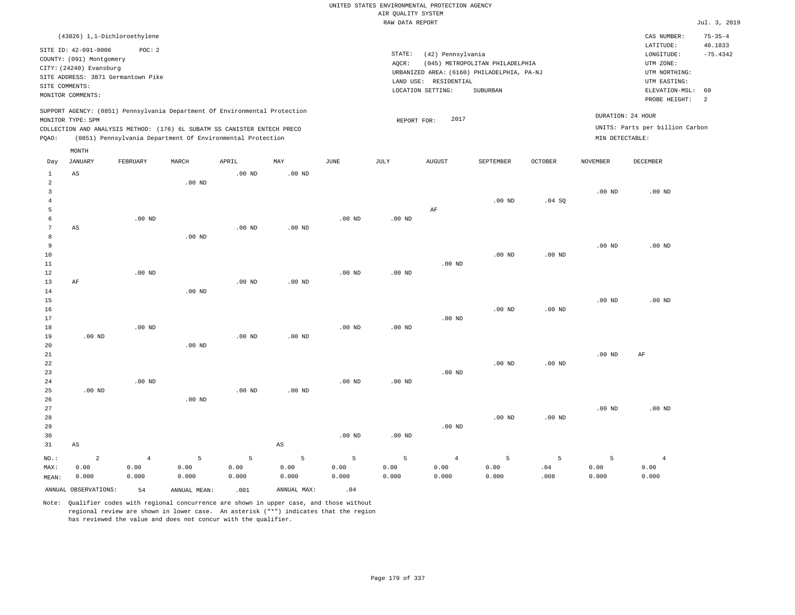|                            |                                                                             |                                        |              |                                                                            |                        |          |                                       | UNITED STATES ENVIRONMENTAL PROTECTION AGENCY |                                                                               |                   |                   |                                                                      |                                        |
|----------------------------|-----------------------------------------------------------------------------|----------------------------------------|--------------|----------------------------------------------------------------------------|------------------------|----------|---------------------------------------|-----------------------------------------------|-------------------------------------------------------------------------------|-------------------|-------------------|----------------------------------------------------------------------|----------------------------------------|
|                            |                                                                             |                                        |              |                                                                            |                        |          | AIR QUALITY SYSTEM<br>RAW DATA REPORT |                                               |                                                                               |                   |                   |                                                                      | Jul. 3, 2019                           |
|                            |                                                                             |                                        |              |                                                                            |                        |          |                                       |                                               |                                                                               |                   |                   |                                                                      |                                        |
|                            | SITE ID: 42-091-0006<br>COUNTY: (091) Montgomery<br>CITY: (24240) Evansburg | (43826) 1,1-Dichloroethylene<br>POC: 2 |              |                                                                            |                        |          | STATE:<br>AQCR:                       | (42) Pennsylvania                             | (045) METROPOLITAN PHILADELPHIA<br>URBANIZED AREA: (6160) PHILADELPHIA, PA-NJ |                   |                   | CAS NUMBER:<br>LATITUDE:<br>LONGITUDE:<br>UTM ZONE:<br>UTM NORTHING: | $75 - 35 - 4$<br>40.1833<br>$-75.4342$ |
|                            |                                                                             | SITE ADDRESS: 3871 Germantown Pike     |              |                                                                            |                        |          |                                       | LAND USE: RESIDENTIAL                         |                                                                               |                   |                   | UTM EASTING:                                                         |                                        |
| SITE COMMENTS:             |                                                                             |                                        |              |                                                                            |                        |          |                                       | LOCATION SETTING:                             | SUBURBAN                                                                      |                   |                   | ELEVATION-MSL:                                                       | 60                                     |
|                            | MONITOR COMMENTS:                                                           |                                        |              |                                                                            |                        |          |                                       |                                               |                                                                               |                   |                   | PROBE HEIGHT:                                                        | 2                                      |
|                            | MONITOR TYPE: SPM                                                           |                                        |              | SUPPORT AGENCY: (0851) Pennsylvania Department Of Environmental Protection |                        |          | REPORT FOR:                           | 2017                                          |                                                                               |                   | DURATION: 24 HOUR |                                                                      |                                        |
|                            |                                                                             |                                        |              | COLLECTION AND ANALYSIS METHOD: (176) 6L SUBATM SS CANISTER ENTECH PRECO   |                        |          |                                       |                                               |                                                                               |                   |                   | UNITS: Parts per billion Carbon                                      |                                        |
| PQAO:                      |                                                                             |                                        |              | (0851) Pennsylvania Department Of Environmental Protection                 |                        |          |                                       |                                               |                                                                               |                   | MIN DETECTABLE:   |                                                                      |                                        |
|                            | MONTH                                                                       |                                        |              |                                                                            |                        |          |                                       |                                               |                                                                               |                   |                   |                                                                      |                                        |
| Day                        | JANUARY                                                                     | FEBRUARY                               | MARCH        | APRIL                                                                      | MAY                    | JUNE     | $_{\rm JULY}$                         | AUGUST                                        | SEPTEMBER                                                                     | <b>OCTOBER</b>    | <b>NOVEMBER</b>   | <b>DECEMBER</b>                                                      |                                        |
| $\mathbf{1}$<br>$\sqrt{2}$ | AS                                                                          |                                        | $.00$ ND     | $.00$ ND                                                                   | $.00$ ND               |          |                                       |                                               |                                                                               |                   |                   |                                                                      |                                        |
| $\overline{3}$             |                                                                             |                                        |              |                                                                            |                        |          |                                       |                                               |                                                                               |                   | $.00$ ND          | $.00$ ND                                                             |                                        |
| $\overline{4}$             |                                                                             |                                        |              |                                                                            |                        |          |                                       |                                               | .00 <sub>ND</sub>                                                             | .04SQ             |                   |                                                                      |                                        |
| 5                          |                                                                             |                                        |              |                                                                            |                        |          |                                       | AF                                            |                                                                               |                   |                   |                                                                      |                                        |
| 6                          |                                                                             | $.00$ ND                               |              |                                                                            |                        | $.00$ ND | .00 <sub>ND</sub>                     |                                               |                                                                               |                   |                   |                                                                      |                                        |
| 7                          | AS                                                                          |                                        |              | .00 <sub>ND</sub>                                                          | .00 <sub>ND</sub>      |          |                                       |                                               |                                                                               |                   |                   |                                                                      |                                        |
| 8                          |                                                                             |                                        | $.00$ ND     |                                                                            |                        |          |                                       |                                               |                                                                               |                   |                   |                                                                      |                                        |
| 9                          |                                                                             |                                        |              |                                                                            |                        |          |                                       |                                               |                                                                               |                   | .00 <sub>ND</sub> | $.00$ ND                                                             |                                        |
| $10$                       |                                                                             |                                        |              |                                                                            |                        |          |                                       |                                               | $.00$ ND                                                                      | .00 <sub>ND</sub> |                   |                                                                      |                                        |
| 11<br>12                   |                                                                             | $.00$ ND                               |              |                                                                            |                        | $.00$ ND | $.00$ ND                              | $.00$ ND                                      |                                                                               |                   |                   |                                                                      |                                        |
| 13                         | AF                                                                          |                                        |              | .00 <sub>ND</sub>                                                          | .00 <sub>ND</sub>      |          |                                       |                                               |                                                                               |                   |                   |                                                                      |                                        |
| 14                         |                                                                             |                                        | $.00$ ND     |                                                                            |                        |          |                                       |                                               |                                                                               |                   |                   |                                                                      |                                        |
| 15                         |                                                                             |                                        |              |                                                                            |                        |          |                                       |                                               |                                                                               |                   | .00 <sub>ND</sub> | $.00$ ND                                                             |                                        |
| 16                         |                                                                             |                                        |              |                                                                            |                        |          |                                       |                                               | $.00$ ND                                                                      | $.00$ ND          |                   |                                                                      |                                        |
| 17                         |                                                                             |                                        |              |                                                                            |                        |          |                                       | $.00$ ND                                      |                                                                               |                   |                   |                                                                      |                                        |
| 18                         |                                                                             | $.00$ ND                               |              |                                                                            |                        | $.00$ ND | .00 <sub>ND</sub>                     |                                               |                                                                               |                   |                   |                                                                      |                                        |
| 19                         | $.00$ ND                                                                    |                                        |              | $.00$ ND                                                                   | $.00$ ND               |          |                                       |                                               |                                                                               |                   |                   |                                                                      |                                        |
| 20<br>21                   |                                                                             |                                        | $.00$ ND     |                                                                            |                        |          |                                       |                                               |                                                                               |                   | .00 <sub>ND</sub> | AF                                                                   |                                        |
| 22                         |                                                                             |                                        |              |                                                                            |                        |          |                                       |                                               | $.00$ ND                                                                      | $.00$ ND          |                   |                                                                      |                                        |
| 23                         |                                                                             |                                        |              |                                                                            |                        |          |                                       | $.00$ ND                                      |                                                                               |                   |                   |                                                                      |                                        |
| 24                         |                                                                             | .00 <sub>ND</sub>                      |              |                                                                            |                        | $.00$ ND | $.00$ ND                              |                                               |                                                                               |                   |                   |                                                                      |                                        |
| 25                         | $.00$ ND                                                                    |                                        |              | .00 <sub>ND</sub>                                                          | .00 <sub>ND</sub>      |          |                                       |                                               |                                                                               |                   |                   |                                                                      |                                        |
| 26                         |                                                                             |                                        | $.00$ ND     |                                                                            |                        |          |                                       |                                               |                                                                               |                   |                   |                                                                      |                                        |
| $2\,7$                     |                                                                             |                                        |              |                                                                            |                        |          |                                       |                                               |                                                                               |                   | .00 <sub>ND</sub> | $.00$ ND                                                             |                                        |
| 28                         |                                                                             |                                        |              |                                                                            |                        |          |                                       |                                               | $.00$ ND                                                                      | $.00$ ND          |                   |                                                                      |                                        |
| 29                         |                                                                             |                                        |              |                                                                            |                        |          |                                       | $.00$ ND                                      |                                                                               |                   |                   |                                                                      |                                        |
| 30                         |                                                                             |                                        |              |                                                                            |                        | $.00$ ND | $.00$ ND                              |                                               |                                                                               |                   |                   |                                                                      |                                        |
| 31                         | $\mathbb{A}\mathbb{S}$                                                      |                                        |              |                                                                            | $\mathbb{A}\mathbb{S}$ |          |                                       |                                               |                                                                               |                   |                   |                                                                      |                                        |
| NO.:                       | $\overline{a}$                                                              | $\,4$                                  | 5            | 5                                                                          | 5                      | 5        | 5                                     | $\overline{4}$                                | $\overline{5}$                                                                | 5                 | 5                 | $\overline{4}$                                                       |                                        |
| MAX:                       | 0.00                                                                        | 0.00                                   | 0.00         | 0.00                                                                       | 0.00                   | 0.00     | 0.00                                  | 0.00                                          | 0.00                                                                          | .04               | 0.00              | 0.00                                                                 |                                        |
| MEAN:                      | 0.000                                                                       | 0.000                                  | 0.000        | 0.000                                                                      | 0.000                  | 0.000    | 0.000                                 | 0.000                                         | 0.000                                                                         | .008              | 0.000             | 0.000                                                                |                                        |
|                            | ANNUAL OBSERVATIONS:                                                        | 54                                     | ANNUAL MEAN: | .001                                                                       | ANNUAL MAX:            | .04      |                                       |                                               |                                                                               |                   |                   |                                                                      |                                        |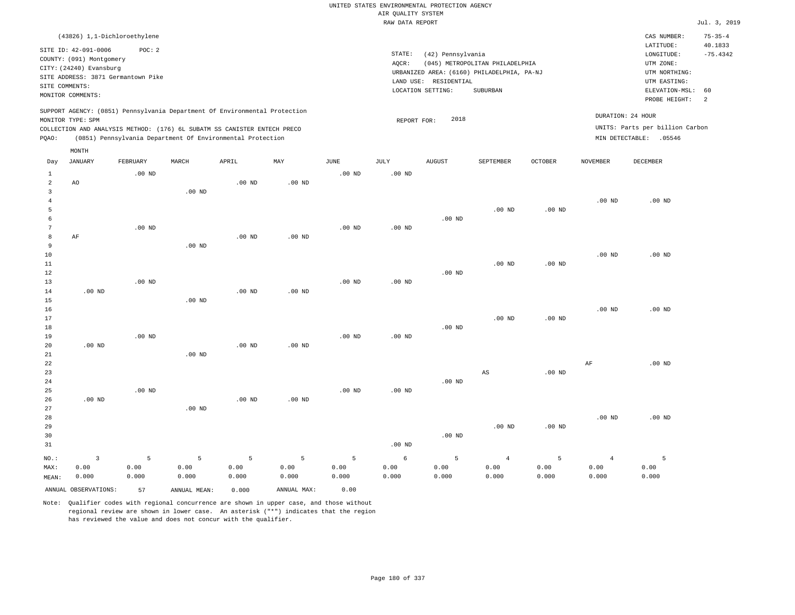|                |                                                                            |                   |                   |                                                            |                   |                   | UNITED STATES ENVIRONMENTAL PROTECTION AGENCY |                       |                                            |          |                 |                                 |                          |
|----------------|----------------------------------------------------------------------------|-------------------|-------------------|------------------------------------------------------------|-------------------|-------------------|-----------------------------------------------|-----------------------|--------------------------------------------|----------|-----------------|---------------------------------|--------------------------|
|                |                                                                            |                   |                   |                                                            |                   |                   | AIR QUALITY SYSTEM                            |                       |                                            |          |                 |                                 |                          |
|                |                                                                            |                   |                   |                                                            |                   |                   | RAW DATA REPORT                               |                       |                                            |          |                 |                                 | Jul. 3, 2019             |
|                | (43826) 1,1-Dichloroethylene                                               | POC: 2            |                   |                                                            |                   |                   |                                               |                       |                                            |          |                 | CAS NUMBER:<br>LATITUDE:        | $75 - 35 - 4$<br>40.1833 |
|                | SITE ID: 42-091-0006<br>COUNTY: (091) Montgomery                           |                   |                   |                                                            |                   |                   | STATE:                                        | (42) Pennsylvania     |                                            |          |                 | $\texttt{LONGITUDE}$ :          | $-75.4342$               |
|                | CITY: (24240) Evansburg                                                    |                   |                   |                                                            |                   |                   | AQCR:                                         |                       | (045) METROPOLITAN PHILADELPHIA            |          |                 | UTM ZONE:                       |                          |
|                | SITE ADDRESS: 3871 Germantown Pike                                         |                   |                   |                                                            |                   |                   |                                               |                       | URBANIZED AREA: (6160) PHILADELPHIA, PA-NJ |          |                 | UTM NORTHING:                   |                          |
|                | SITE COMMENTS:                                                             |                   |                   |                                                            |                   |                   |                                               | LAND USE: RESIDENTIAL |                                            |          |                 | UTM EASTING:                    |                          |
|                | MONITOR COMMENTS:                                                          |                   |                   |                                                            |                   |                   |                                               | LOCATION SETTING:     | SUBURBAN                                   |          |                 | ELEVATION-MSL:<br>PROBE HEIGHT: | 60<br>2                  |
|                | SUPPORT AGENCY: (0851) Pennsylvania Department Of Environmental Protection |                   |                   |                                                            |                   |                   |                                               |                       |                                            |          |                 | DURATION: 24 HOUR               |                          |
|                | MONITOR TYPE: SPM                                                          |                   |                   |                                                            |                   |                   | REPORT FOR:                                   | 2018                  |                                            |          |                 | UNITS: Parts per billion Carbon |                          |
|                | COLLECTION AND ANALYSIS METHOD: (176) 6L SUBATM SS CANISTER ENTECH PRECO   |                   |                   |                                                            |                   |                   |                                               |                       |                                            |          |                 |                                 |                          |
| PQAO:          |                                                                            |                   |                   | (0851) Pennsylvania Department Of Environmental Protection |                   |                   |                                               |                       |                                            |          |                 | MIN DETECTABLE: .05546          |                          |
| Day            | MONTH<br><b>JANUARY</b>                                                    | FEBRUARY          | MARCH             | APRIL                                                      | MAY               | <b>JUNE</b>       | <b>JULY</b>                                   | AUGUST                | SEPTEMBER                                  | OCTOBER  | <b>NOVEMBER</b> | <b>DECEMBER</b>                 |                          |
| 1              |                                                                            | $.00$ ND          |                   |                                                            |                   | $.00$ ND          | .00 <sub>ND</sub>                             |                       |                                            |          |                 |                                 |                          |
| $\overline{2}$ | AO                                                                         |                   |                   | $.00$ ND                                                   | $.00$ ND          |                   |                                               |                       |                                            |          |                 |                                 |                          |
| $\overline{3}$ |                                                                            |                   | .00 <sub>ND</sub> |                                                            |                   |                   |                                               |                       |                                            |          |                 |                                 |                          |
| $\overline{4}$ |                                                                            |                   |                   |                                                            |                   |                   |                                               |                       |                                            |          | $.00$ ND        | $.00$ ND                        |                          |
| 5              |                                                                            |                   |                   |                                                            |                   |                   |                                               |                       | $.00$ ND                                   | $.00$ ND |                 |                                 |                          |
| 6              |                                                                            |                   |                   |                                                            |                   |                   |                                               | $.00$ ND              |                                            |          |                 |                                 |                          |
| $\overline{7}$ |                                                                            | .00 <sub>ND</sub> |                   |                                                            |                   | $.00$ ND          | $.00$ ND                                      |                       |                                            |          |                 |                                 |                          |
| 8              | AF                                                                         |                   |                   | .00 <sub>ND</sub>                                          | $.00$ ND          |                   |                                               |                       |                                            |          |                 |                                 |                          |
| 9              |                                                                            |                   | $.00$ ND          |                                                            |                   |                   |                                               |                       |                                            |          |                 |                                 |                          |
| 10             |                                                                            |                   |                   |                                                            |                   |                   |                                               |                       |                                            |          | $.00$ ND        | .00 <sub>ND</sub>               |                          |
| 11             |                                                                            |                   |                   |                                                            |                   |                   |                                               |                       | $.00$ ND                                   | $.00$ ND |                 |                                 |                          |
| 12<br>13       |                                                                            | $.00$ ND          |                   |                                                            |                   | .00 <sub>ND</sub> | .00 <sub>ND</sub>                             | $.00$ ND              |                                            |          |                 |                                 |                          |
| 14             | $.00$ ND                                                                   |                   |                   | $.00$ ND                                                   | $.00$ ND          |                   |                                               |                       |                                            |          |                 |                                 |                          |
| 15             |                                                                            |                   | $.00$ ND          |                                                            |                   |                   |                                               |                       |                                            |          |                 |                                 |                          |
| 16             |                                                                            |                   |                   |                                                            |                   |                   |                                               |                       |                                            |          | $.00$ ND        | $.00$ ND                        |                          |
| 17             |                                                                            |                   |                   |                                                            |                   |                   |                                               |                       | $.00$ ND                                   | $.00$ ND |                 |                                 |                          |
| 18             |                                                                            |                   |                   |                                                            |                   |                   |                                               | $.00$ ND              |                                            |          |                 |                                 |                          |
| 19             |                                                                            | $.00$ ND          |                   |                                                            |                   | $.00$ ND          | .00 <sub>ND</sub>                             |                       |                                            |          |                 |                                 |                          |
| 20             | .00 <sub>ND</sub>                                                          |                   |                   | $.00$ ND                                                   | .00 <sub>ND</sub> |                   |                                               |                       |                                            |          |                 |                                 |                          |
| 21             |                                                                            |                   | $.00$ ND          |                                                            |                   |                   |                                               |                       |                                            |          |                 |                                 |                          |
| 22             |                                                                            |                   |                   |                                                            |                   |                   |                                               |                       |                                            |          | $\rm AF$        | $.00$ ND                        |                          |
| 23             |                                                                            |                   |                   |                                                            |                   |                   |                                               |                       | AS                                         | $.00$ ND |                 |                                 |                          |
| 24             |                                                                            |                   |                   |                                                            |                   |                   |                                               | $.00$ ND              |                                            |          |                 |                                 |                          |
| 25             |                                                                            | $.00$ ND          |                   |                                                            |                   | $.00$ ND          | .00 <sub>ND</sub>                             |                       |                                            |          |                 |                                 |                          |
| 26             | .00 <sub>ND</sub>                                                          |                   |                   | $.00$ ND                                                   | .00 <sub>ND</sub> |                   |                                               |                       |                                            |          |                 |                                 |                          |
| 27             |                                                                            |                   | $.00$ ND          |                                                            |                   |                   |                                               |                       |                                            |          |                 |                                 |                          |
| 28<br>29       |                                                                            |                   |                   |                                                            |                   |                   |                                               |                       | $.00$ ND                                   | $.00$ ND | $.00$ ND        | $.00$ ND                        |                          |
| 30             |                                                                            |                   |                   |                                                            |                   |                   |                                               | $.00$ ND              |                                            |          |                 |                                 |                          |
| 31             |                                                                            |                   |                   |                                                            |                   |                   | $.00$ ND                                      |                       |                                            |          |                 |                                 |                          |
|                |                                                                            |                   |                   |                                                            |                   |                   |                                               |                       |                                            |          |                 |                                 |                          |
| NO.:           | $\overline{\mathbf{3}}$                                                    | 5                 | 5                 | 5                                                          | 5                 | 5                 | $\epsilon$                                    | 5                     | $\overline{4}$                             | 5        | $\overline{4}$  | 5                               |                          |
| MAX:           | 0.00                                                                       | 0.00              | 0.00              | 0.00                                                       | 0.00              | 0.00              | 0.00                                          | 0.00                  | 0.00                                       | 0.00     | 0.00            | 0.00                            |                          |
| MEAN:          | 0.000                                                                      | 0.000             | 0.000             | 0.000                                                      | 0.000             | 0.000             | 0.000                                         | 0.000                 | 0.000                                      | 0.000    | 0.000           | 0.000                           |                          |
|                | ANNUAL OBSERVATIONS:                                                       | 57                | ANNUAL MEAN:      | 0.000                                                      | ANNUAL MAX:       | 0.00              |                                               |                       |                                            |          |                 |                                 |                          |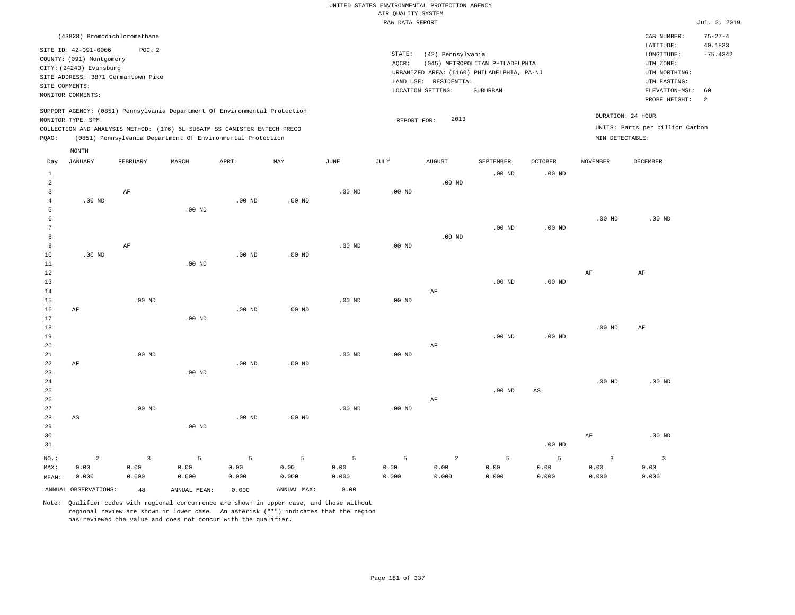|       | (43828) Bromodichloromethane       |          |                                                                            |          |          |          |             |                   |                                            |                |                 | CAS NUMBER:                     | $75 - 27 - 4$ |
|-------|------------------------------------|----------|----------------------------------------------------------------------------|----------|----------|----------|-------------|-------------------|--------------------------------------------|----------------|-----------------|---------------------------------|---------------|
|       | SITE ID: 42-091-0006               | POC:2    |                                                                            |          |          |          |             |                   |                                            |                |                 | LATITUDE:                       | 40.1833       |
|       | COUNTY: (091) Montgomery           |          |                                                                            |          |          |          | STATE:      | (42) Pennsylvania |                                            |                |                 | LONGITUDE:                      | $-75.4342$    |
|       | CITY: (24240) Evansburg            |          |                                                                            |          |          |          | AOCR:       |                   | (045) METROPOLITAN PHILADELPHIA            |                |                 | UTM ZONE:                       |               |
|       | SITE ADDRESS: 3871 Germantown Pike |          |                                                                            |          |          |          |             |                   | URBANIZED AREA: (6160) PHILADELPHIA, PA-NJ |                |                 | UTM NORTHING:                   |               |
|       | SITE COMMENTS:                     |          |                                                                            |          |          |          | LAND USE:   | RESIDENTIAL       |                                            |                |                 | UTM EASTING:                    |               |
|       | MONITOR COMMENTS:                  |          |                                                                            |          |          |          |             | LOCATION SETTING: | SUBURBAN                                   |                |                 | ELEVATION-MSL:                  | 60            |
|       |                                    |          |                                                                            |          |          |          |             |                   |                                            |                |                 | PROBE HEIGHT:                   | -2            |
|       |                                    |          | SUPPORT AGENCY: (0851) Pennsylvania Department Of Environmental Protection |          |          |          |             |                   |                                            |                |                 | DURATION: 24 HOUR               |               |
|       | MONITOR TYPE: SPM                  |          |                                                                            |          |          |          | REPORT FOR: | 2013              |                                            |                |                 |                                 |               |
|       |                                    |          | COLLECTION AND ANALYSIS METHOD: (176) 6L SUBATM SS CANISTER ENTECH PRECO   |          |          |          |             |                   |                                            |                |                 | UNITS: Parts per billion Carbon |               |
| POAO: |                                    |          | (0851) Pennsylvania Department Of Environmental Protection                 |          |          |          |             |                   |                                            |                |                 | MIN DETECTABLE:                 |               |
|       | MONTH                              |          |                                                                            |          |          |          |             |                   |                                            |                |                 |                                 |               |
| Day   | <b>JANUARY</b>                     | FEBRUARY | MARCH                                                                      | APRIL    | MAY      | JUNE     | JULY        | <b>AUGUST</b>     | SEPTEMBER                                  | <b>OCTOBER</b> | <b>NOVEMBER</b> | DECEMBER                        |               |
|       |                                    |          |                                                                            |          |          |          |             |                   | $.00$ ND                                   | $.00$ ND       |                 |                                 |               |
| 2     |                                    |          |                                                                            |          |          |          |             | $.00$ ND          |                                            |                |                 |                                 |               |
|       |                                    | AF       |                                                                            |          |          | $.00$ ND | $.00$ ND    |                   |                                            |                |                 |                                 |               |
| 4     | $.00$ ND                           |          |                                                                            | $.00$ ND | $.00$ ND |          |             |                   |                                            |                |                 |                                 |               |
| 5     |                                    |          | $.00$ ND                                                                   |          |          |          |             |                   |                                            |                |                 |                                 |               |

 6 7 8 9 AF .00 ND .00 ND .00 ND .00 ND .00 ND .00 ND .00 ND

| $1\,1$      |    |          | $.00$ ND |          |          |          |          |    |          |          |          |          |
|-------------|----|----------|----------|----------|----------|----------|----------|----|----------|----------|----------|----------|
| $1\,2$      |    |          |          |          |          |          |          |    |          |          | AF       | AF       |
| $1\,3$      |    |          |          |          |          |          |          |    | $.00$ ND | $.00$ ND |          |          |
| $1\,4$      |    |          |          |          |          |          |          | AF |          |          |          |          |
| $15$        |    | $.00$ ND |          |          |          | $.00$ ND | $.00$ ND |    |          |          |          |          |
| 16          | AF |          |          | $.00$ ND | $.00$ ND |          |          |    |          |          |          |          |
| 17          |    |          | .00 $ND$ |          |          |          |          |    |          |          |          |          |
| $1\,8$      |    |          |          |          |          |          |          |    |          |          | $.00$ ND | AF       |
| 19          |    |          |          |          |          |          |          |    | $.00$ ND | $.00$ ND |          |          |
| 20          |    |          |          |          |          |          |          | AF |          |          |          |          |
| $2\sqrt{1}$ |    | $.00$ ND |          |          |          | $.00$ ND | $.00$ ND |    |          |          |          |          |
| 22          | AF |          |          | $.00$ ND | $.00$ ND |          |          |    |          |          |          |          |
| 23          |    |          | $.00$ ND |          |          |          |          |    |          |          |          |          |
| 24          |    |          |          |          |          |          |          |    |          |          | $.00$ ND | $.00$ ND |
| 25          |    |          |          |          |          |          |          |    | $.00$ ND | AS       |          |          |

| ້               |          |                |                   |          |          |        |    | שט טט.<br>$\sim$ $\sim$ $\sim$ $\sim$ | - 21.D<br>$\sim$ |  |  |
|-----------------|----------|----------------|-------------------|----------|----------|--------|----|---------------------------------------|------------------|--|--|
| 26              |          |                |                   |          |          |        | AF |                                       |                  |  |  |
| 27              | $.00$ ND |                |                   |          | $.00$ ND | .00 ND |    |                                       |                  |  |  |
| 28 AS           |          |                | .00 <sub>ND</sub> | $.00$ ND |          |        |    |                                       |                  |  |  |
| 20 <sup>o</sup> |          | $00 \text{ m}$ |                   |          |          |        |    |                                       |                  |  |  |

| 29<br>30 |          |                            | $.00$ ND       |       |                      |               |       |                |       |          | AF    | .00 <sub>ND</sub> |
|----------|----------|----------------------------|----------------|-------|----------------------|---------------|-------|----------------|-------|----------|-------|-------------------|
| 31       |          |                            |                |       |                      |               |       |                |       | $.00$ ND |       |                   |
| NO.:     | $\sim$ 2 | $\overline{\phantom{a}}$ 3 | 5 <sub>1</sub> |       | $5 \hspace{1.5cm} 5$ | $5 \t 5 \t 5$ |       | $\overline{2}$ | $5 -$ | -5       |       |                   |
| MAX:     | 0.00     | 0.00                       | 0.00           | 0.00  | 0.00                 | 0.00          | 0.00  | 0.00           | 0.00  | 0.00     | 0.00  | 0.00              |
| MEAN:    | 0.000    | 0.000                      | 0.000          | 0.000 | 0.000                | 0.000         | 0.000 | 0.000          | 0.000 | 0.000    | 0.000 | 0.000             |

ANNUAL OBSERVATIONS: 48 ANNUAL MEAN: 0.000 ANNUAL MAX: 0.00

10

.00 ND

Note: Qualifier codes with regional concurrence are shown in upper case, and those without regional review are shown in lower case. An asterisk ("\*") indicates that the region has reviewed the value and does not concur with the qualifier.

.00 ND

.00 ND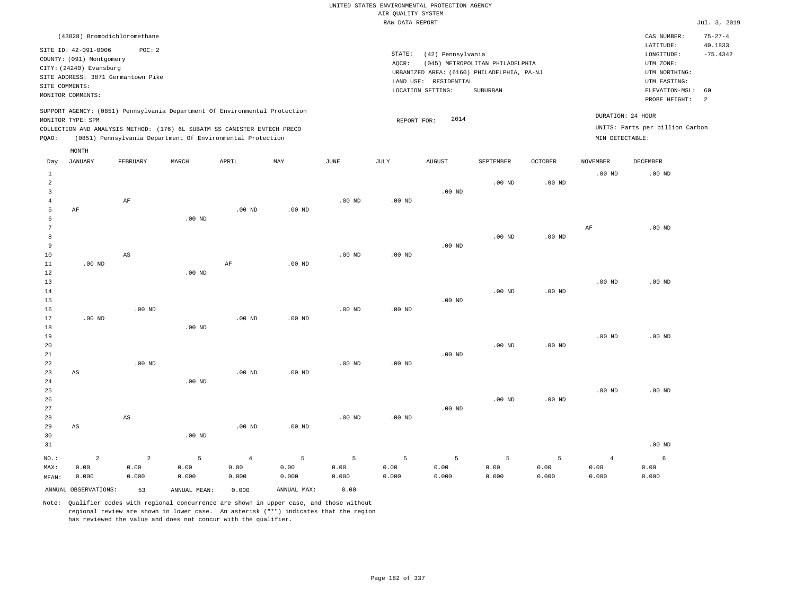| (43828) Bromodichloromethane                                                                                                                                                                                                                                |                                                                                                                                                                                    | CAS NUMBER:                                                                                                 | $75 - 27 - 4$                |
|-------------------------------------------------------------------------------------------------------------------------------------------------------------------------------------------------------------------------------------------------------------|------------------------------------------------------------------------------------------------------------------------------------------------------------------------------------|-------------------------------------------------------------------------------------------------------------|------------------------------|
| SITE ID: 42-091-0006<br>POC: 2<br>COUNTY: (091) Montgomery<br>CITY: (24240) Evansburg<br>SITE ADDRESS: 3871 Germantown Pike<br>SITE COMMENTS:<br>MONITOR COMMENTS:                                                                                          | STATE:<br>(42) Pennsylvania<br>AOCR:<br>(045) METROPOLITAN PHILADELPHIA<br>URBANIZED AREA: (6160) PHILADELPHIA, PA-NJ<br>LAND USE:<br>RESIDENTIAL<br>LOCATION SETTING:<br>SUBURBAN | LATITUDE:<br>LONGITUDE:<br>UTM ZONE:<br>UTM NORTHING:<br>UTM EASTING:<br>ELEVATION-MSL: 60<br>PROBE HEIGHT: | 40.1833<br>$-75.4342$<br>- 2 |
| SUPPORT AGENCY: (0851) Pennsylvania Department Of Environmental Protection<br>MONITOR TYPE: SPM<br>COLLECTION AND ANALYSIS METHOD: (176) 6L SUBATM SS CANISTER ENTECH PRECO<br>(0851) Pennsylvania Department Of Environmental Protection<br>POAO:<br>MONTH | 2014<br>REPORT FOR:                                                                                                                                                                | DURATION: 24 HOUR<br>UNITS: Parts per billion Carbon<br>MIN DETECTABLE:                                     |                              |

| Day            | JANUARY                | FEBRUARY               | MARCH           | APRIL          | MAY         | JUNE              | JULY     | AUGUST          | SEPTEMBER | OCTOBER  | NOVEMBER       | DECEMBER          |
|----------------|------------------------|------------------------|-----------------|----------------|-------------|-------------------|----------|-----------------|-----------|----------|----------------|-------------------|
| $\mathbf{1}$   |                        |                        |                 |                |             |                   |          |                 |           |          | $.00$ ND       | .00 <sub>ND</sub> |
| $\sqrt{2}$     |                        |                        |                 |                |             |                   |          |                 | $.00$ ND  | $.00$ ND |                |                   |
| 3              |                        |                        |                 |                |             |                   |          | $.00$ ND        |           |          |                |                   |
| $\overline{4}$ |                        | $\rm AF$               |                 |                |             | $.00$ ND          | .00 $ND$ |                 |           |          |                |                   |
| 5              | $\rm{AF}$              |                        |                 | $.00$ ND       | $.00$ ND    |                   |          |                 |           |          |                |                   |
| 6              |                        |                        | $.00$ ND        |                |             |                   |          |                 |           |          |                |                   |
| 7              |                        |                        |                 |                |             |                   |          |                 |           |          | $\rm{AF}$      | .00 <sub>ND</sub> |
| 8              |                        |                        |                 |                |             |                   |          |                 | $.00$ ND  | $.00$ ND |                |                   |
| 9              |                        |                        |                 |                |             |                   |          | $.00$ ND        |           |          |                |                   |
| 10             |                        | $\mathbb{A}\mathbb{S}$ |                 |                |             | .00 <sub>ND</sub> | .00 $ND$ |                 |           |          |                |                   |
| $11\,$         | $.00$ ND               |                        |                 | $\rm AF$       | $.00$ ND    |                   |          |                 |           |          |                |                   |
| $1\,2$         |                        |                        | $.00$ ND        |                |             |                   |          |                 |           |          |                |                   |
| 13             |                        |                        |                 |                |             |                   |          |                 |           |          | $.00$ ND       | .00 <sub>ND</sub> |
| 14             |                        |                        |                 |                |             |                   |          |                 | $.00$ ND  | $.00$ ND |                |                   |
| 15             |                        |                        |                 |                |             |                   |          | $.00$ ND        |           |          |                |                   |
| 16             |                        | $.00$ ND               |                 |                |             | $.00$ ND          | $.00$ ND |                 |           |          |                |                   |
| 17             | $.00$ ND               |                        |                 | $.00$ ND       | $.00$ ND    |                   |          |                 |           |          |                |                   |
| 18             |                        |                        | $.00$ ND        |                |             |                   |          |                 |           |          |                |                   |
| 19             |                        |                        |                 |                |             |                   |          |                 |           |          | $.00$ ND       | .00 <sub>ND</sub> |
| 20             |                        |                        |                 |                |             |                   |          |                 | $.00$ ND  | .00 $ND$ |                |                   |
| 21             |                        |                        |                 |                |             |                   |          | $.00$ ND        |           |          |                |                   |
| 22             |                        | $.00$ ND               |                 |                |             | $.00$ ND          | $.00$ ND |                 |           |          |                |                   |
| 23             | $\mathbb{A}\mathbb{S}$ |                        |                 | $.00$ ND       | $.00$ ND    |                   |          |                 |           |          |                |                   |
| 24<br>25       |                        |                        | $.00$ ND        |                |             |                   |          |                 |           |          | $.00$ ND       | .00 <sub>ND</sub> |
| 26             |                        |                        |                 |                |             |                   |          |                 | $.00$ ND  | $.00$ ND |                |                   |
| 27             |                        |                        |                 |                |             |                   |          | $.00$ ND        |           |          |                |                   |
| 28             |                        | $\mathbb{A}\mathbb{S}$ |                 |                |             | $.00$ ND          | .00 $ND$ |                 |           |          |                |                   |
| 29             | AS                     |                        |                 | $.00$ ND       | $.00$ ND    |                   |          |                 |           |          |                |                   |
| 30             |                        |                        | $.00$ ND        |                |             |                   |          |                 |           |          |                |                   |
| 31             |                        |                        |                 |                |             |                   |          |                 |           |          |                | $.00$ ND          |
|                |                        |                        |                 |                |             |                   |          |                 |           |          |                |                   |
| $NO.$ :        | $\sqrt{2}$             | $\sqrt{2}$             | $5\phantom{.0}$ | $\overline{4}$ | 5           | $\overline{5}$    | 5        | $5\phantom{.0}$ | 5         | 5        | $\overline{4}$ | 6                 |
| MAX:           | 0.00                   | 0.00                   | 0.00            | 0.00           | 0.00        | 0.00              | 0.00     | 0.00            | 0.00      | 0.00     | 0.00           | 0.00              |
| MEAN:          | 0.000                  | 0.000                  | 0.000           | 0.000          | 0.000       | 0.000             | 0.000    | 0.000           | 0.000     | 0.000    | 0.000          | 0.000             |
|                | ANNUAL OBSERVATIONS:   | 53                     | ANNUAL MEAN:    | 0.000          | ANNUAL MAX: | 0.00              |          |                 |           |          |                |                   |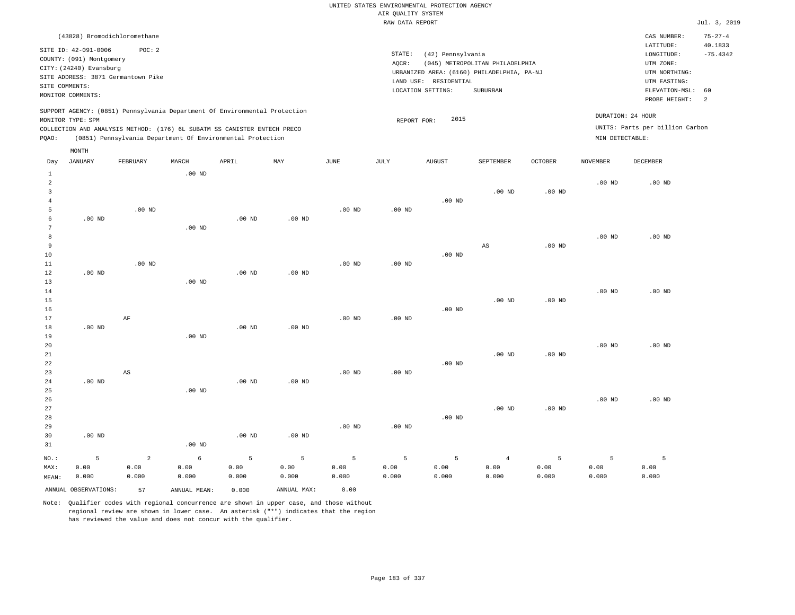|       |                                                                                                                    | (43828) Bromodichloromethane                                                                                                           |          |       |                                                                            |          |                              |                                                       |                                                                                           |          |                 | CAS NUMBER:                                                                                              | $75 - 27 - 4$                    |
|-------|--------------------------------------------------------------------------------------------------------------------|----------------------------------------------------------------------------------------------------------------------------------------|----------|-------|----------------------------------------------------------------------------|----------|------------------------------|-------------------------------------------------------|-------------------------------------------------------------------------------------------|----------|-----------------|----------------------------------------------------------------------------------------------------------|----------------------------------|
|       | SITE ID: 42-091-0006<br>COUNTY: (091) Montgomery<br>CITY: (24240) Evansburg<br>SITE COMMENTS:<br>MONITOR COMMENTS: | POC:2<br>SITE ADDRESS: 3871 Germantown Pike                                                                                            |          |       |                                                                            |          | STATE:<br>AOCR:<br>LAND USE: | (42) Pennsylvania<br>RESIDENTIAL<br>LOCATION SETTING: | (045) METROPOLITAN PHILADELPHIA<br>URBANIZED AREA: (6160) PHILADELPHIA, PA-NJ<br>SUBURBAN |          |                 | LATITUDE:<br>LONGITUDE:<br>UTM ZONE:<br>UTM NORTHING:<br>UTM EASTING:<br>ELEVATION-MSL:<br>PROBE HEIGHT: | 40.1833<br>$-75.4342$<br>60<br>2 |
| POAO: | MONITOR TYPE: SPM                                                                                                  | COLLECTION AND ANALYSIS METHOD: (176) 6L SUBATM SS CANISTER ENTECH PRECO<br>(0851) Pennsylvania Department Of Environmental Protection |          |       | SUPPORT AGENCY: (0851) Pennsylvania Department Of Environmental Protection |          |                              | 2015<br>REPORT FOR:                                   |                                                                                           |          | MIN DETECTABLE: | DURATION: 24 HOUR<br>UNITS: Parts per billion Carbon                                                     |                                  |
|       | MONTH                                                                                                              |                                                                                                                                        |          |       |                                                                            |          |                              |                                                       |                                                                                           |          |                 |                                                                                                          |                                  |
| Day   | JANUARY                                                                                                            | FEBRUARY                                                                                                                               | MARCH    | APRIL | MAY                                                                        | JUNE     | JULY                         | <b>AUGUST</b>                                         | <b>SEPTEMBER</b>                                                                          | OCTOBER  | <b>NOVEMBER</b> | DECEMBER                                                                                                 |                                  |
|       |                                                                                                                    |                                                                                                                                        | $.00$ ND |       |                                                                            |          |                              |                                                       |                                                                                           |          |                 |                                                                                                          |                                  |
|       |                                                                                                                    |                                                                                                                                        |          |       |                                                                            |          |                              |                                                       |                                                                                           |          | $.00$ ND        | $.00$ ND                                                                                                 |                                  |
|       |                                                                                                                    |                                                                                                                                        |          |       |                                                                            |          |                              |                                                       | $.00$ ND                                                                                  | $.00$ ND |                 |                                                                                                          |                                  |
|       |                                                                                                                    |                                                                                                                                        |          |       |                                                                            |          |                              | $.00$ ND                                              |                                                                                           |          |                 |                                                                                                          |                                  |
|       |                                                                                                                    | $.00$ ND                                                                                                                               |          |       |                                                                            | $.00$ ND | $.00$ ND                     |                                                       |                                                                                           |          |                 |                                                                                                          |                                  |

| 6      | $.00$ ND |          |          | $.00$ ND | $.00$ ND |          |          |          |          |          |          |          |
|--------|----------|----------|----------|----------|----------|----------|----------|----------|----------|----------|----------|----------|
| 7      |          |          | $.00$ ND |          |          |          |          |          |          |          |          |          |
| 8      |          |          |          |          |          |          |          |          |          |          | $.00$ ND | $.00$ ND |
| 9      |          |          |          |          |          |          |          |          | AS       | $.00$ ND |          |          |
| 10     |          |          |          |          |          |          |          | $.00$ ND |          |          |          |          |
| $11\,$ |          | $.00$ ND |          |          |          | $.00$ ND | $.00$ ND |          |          |          |          |          |
| $12\,$ | $.00$ ND |          |          | $.00$ ND | $.00$ ND |          |          |          |          |          |          |          |
| 13     |          |          | $.00$ ND |          |          |          |          |          |          |          |          |          |
| $14\,$ |          |          |          |          |          |          |          |          |          |          | $.00$ ND | $.00$ ND |
| $15\,$ |          |          |          |          |          |          |          |          | $.00$ ND | $.00$ ND |          |          |
| 16     |          |          |          |          |          |          |          | $.00$ ND |          |          |          |          |
| 17     |          | AF       |          |          |          | $.00$ ND | $.00$ ND |          |          |          |          |          |
| 18     | $.00$ ND |          |          | $.00$ ND | $.00$ ND |          |          |          |          |          |          |          |
| 19     |          |          | $.00$ ND |          |          |          |          |          |          |          |          |          |
| 20     |          |          |          |          |          |          |          |          |          |          | $.00$ ND | $.00$ ND |
| 21     |          |          |          |          |          |          |          |          | $.00$ ND | $.00$ ND |          |          |
| 22     |          |          |          |          |          |          |          | $.00$ ND |          |          |          |          |
| 23     |          | AS       |          |          |          | $.00$ ND | $.00$ ND |          |          |          |          |          |

| 24      | $.00$ ND |       |          | $.00$ ND | $.00$ ND |          |          |          |          |          |          |          |
|---------|----------|-------|----------|----------|----------|----------|----------|----------|----------|----------|----------|----------|
| 25      |          |       | $.00$ ND |          |          |          |          |          |          |          |          |          |
| 26      |          |       |          |          |          |          |          |          |          |          | $.00$ ND | $.00$ ND |
| 27      |          |       |          |          |          |          |          |          | $.00$ ND | $.00$ ND |          |          |
| 28      |          |       |          |          |          |          |          | $.00$ ND |          |          |          |          |
| 29      |          |       |          |          |          | $.00$ ND | $.00$ ND |          |          |          |          |          |
| 30      | $.00$ ND |       |          | $.00$ ND | $.00$ ND |          |          |          |          |          |          |          |
| 31      |          |       | $.00$ ND |          |          |          |          |          |          |          |          |          |
| $NO.$ : | 5        | 2     | 6        | 5        | 5        | 5        | 5        | 5        | 4        | 5        | 5        | 5        |
| MAX:    | 0.00     | 0.00  | 0.00     | 0.00     | 0.00     | 0.00     | 0.00     | 0.00     | 0.00     | 0.00     | 0.00     | 0.00     |
| MEAN:   | 0.000    | 0.000 | 0.000    | 0.000    | 0.000    | 0.000    | 0.000    | 0.000    | 0.000    | 0.000    | 0.000    | 0.000    |

ANNUAL OBSERVATIONS: 57 ANNUAL MEAN: 0.000 ANNUAL MAX: 0.00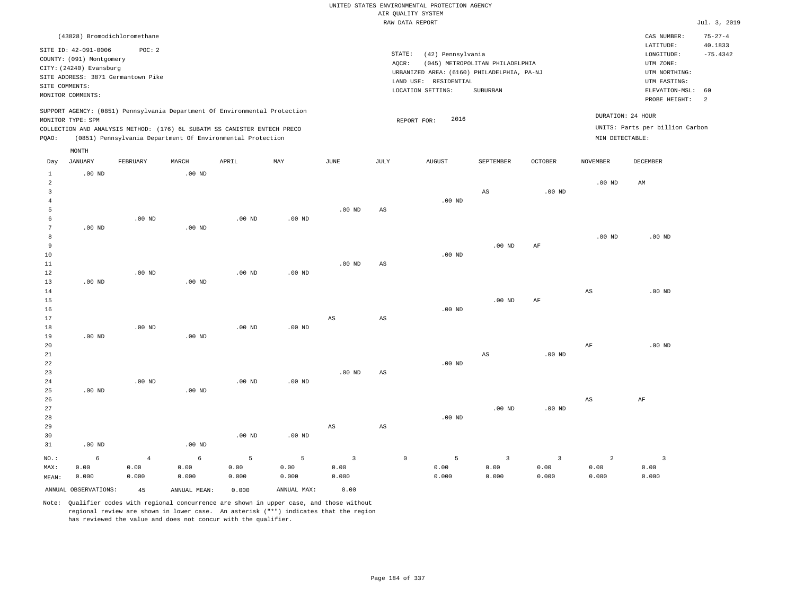|  | UNITED STATES ENVIRONMENTAL PROTECTION AGENCY |  |  |
|--|-----------------------------------------------|--|--|
|  | AIR OUALITY SYSTEM                            |  |  |
|  | RAW DATA REPORT                               |  |  |
|  |                                               |  |  |

Jul. 3, 2019

|       | (43828) Bromodichloromethane                                               |                   |                   |                                                            |                   |          |        |                                            |                                 |                   |                   | CAS NUMBER:                     | $75 - 27 - 4$ |
|-------|----------------------------------------------------------------------------|-------------------|-------------------|------------------------------------------------------------|-------------------|----------|--------|--------------------------------------------|---------------------------------|-------------------|-------------------|---------------------------------|---------------|
|       | SITE ID: 42-091-0006                                                       | POC: 2            |                   |                                                            |                   |          |        |                                            |                                 |                   |                   | LATITUDE:                       | 40.1833       |
|       | COUNTY: (091) Montgomery                                                   |                   |                   |                                                            |                   |          | STATE: | (42) Pennsylvania                          |                                 |                   |                   | LONGITUDE:                      | $-75.4342$    |
|       | CITY: (24240) Evansburg                                                    |                   |                   |                                                            |                   |          | AOCR:  |                                            | (045) METROPOLITAN PHILADELPHIA |                   |                   | UTM ZONE:                       |               |
|       | SITE ADDRESS: 3871 Germantown Pike                                         |                   |                   |                                                            |                   |          |        | URBANIZED AREA: (6160) PHILADELPHIA, PA-NJ |                                 |                   |                   | UTM NORTHING:                   |               |
|       | SITE COMMENTS:                                                             |                   |                   |                                                            |                   |          |        | LAND USE: RESIDENTIAL                      |                                 |                   |                   | UTM EASTING:                    |               |
|       | MONITOR COMMENTS:                                                          |                   |                   |                                                            |                   |          |        | LOCATION SETTING:                          | SUBURBAN                        |                   |                   | ELEVATION-MSL:                  | 60            |
|       |                                                                            |                   |                   |                                                            |                   |          |        |                                            |                                 |                   |                   | PROBE HEIGHT:                   | -2            |
|       | SUPPORT AGENCY: (0851) Pennsylvania Department Of Environmental Protection |                   |                   |                                                            |                   |          |        |                                            |                                 |                   |                   |                                 |               |
|       | MONITOR TYPE: SPM                                                          |                   |                   |                                                            |                   |          |        | 2016<br>REPORT FOR:                        |                                 |                   | DURATION: 24 HOUR |                                 |               |
|       | COLLECTION AND ANALYSIS METHOD: (176) 6L SUBATM SS CANISTER ENTECH PRECO   |                   |                   |                                                            |                   |          |        |                                            |                                 |                   |                   | UNITS: Parts per billion Carbon |               |
| POAO: |                                                                            |                   |                   | (0851) Pennsylvania Department Of Environmental Protection |                   |          |        |                                            |                                 |                   | MIN DETECTABLE:   |                                 |               |
|       | MONTH                                                                      |                   |                   |                                                            |                   |          |        |                                            |                                 |                   |                   |                                 |               |
| Day   | JANUARY                                                                    | FEBRUARY          | MARCH             | APRIL                                                      | MAY               | JUNE     | JULY   | <b>AUGUST</b>                              | SEPTEMBER                       | <b>OCTOBER</b>    | <b>NOVEMBER</b>   | DECEMBER                        |               |
|       | $.00$ ND                                                                   |                   | $.00$ ND          |                                                            |                   |          |        |                                            |                                 |                   |                   |                                 |               |
| 2     |                                                                            |                   |                   |                                                            |                   |          |        |                                            |                                 |                   | $.00$ ND          | AM                              |               |
|       |                                                                            |                   |                   |                                                            |                   |          |        |                                            | AS                              | .00 <sub>ND</sub> |                   |                                 |               |
|       |                                                                            |                   |                   |                                                            |                   |          |        | .00 <sub>ND</sub>                          |                                 |                   |                   |                                 |               |
|       |                                                                            |                   |                   |                                                            |                   | $.00$ ND | AS     |                                            |                                 |                   |                   |                                 |               |
|       |                                                                            | .00 <sub>ND</sub> |                   | .00 <sub>ND</sub>                                          | .00 <sub>ND</sub> |          |        |                                            |                                 |                   |                   |                                 |               |
|       | $.00$ ND                                                                   |                   | $.00$ ND          |                                                            |                   |          |        |                                            |                                 |                   |                   |                                 |               |
|       |                                                                            |                   |                   |                                                            |                   |          |        |                                            |                                 |                   | $.00$ ND          | $.00$ ND                        |               |
| -9    |                                                                            |                   |                   |                                                            |                   |          |        |                                            | $.00$ ND                        | AF                |                   |                                 |               |
| 10    |                                                                            |                   |                   |                                                            |                   |          |        | $.00$ ND                                   |                                 |                   |                   |                                 |               |
| 11    |                                                                            |                   |                   |                                                            |                   | $.00$ ND | AS     |                                            |                                 |                   |                   |                                 |               |
| 12    |                                                                            | $.00$ ND          |                   | $.00$ ND                                                   | $.00$ ND          |          |        |                                            |                                 |                   |                   |                                 |               |
| 13    | .00 <sub>ND</sub>                                                          |                   | .00 <sub>ND</sub> |                                                            |                   |          |        |                                            |                                 |                   |                   |                                 |               |

|          |          |          |          |          |          |             | $.00$ ND | $.00$ ND | AF       | AS | .00 $ND$ |
|----------|----------|----------|----------|----------|----------|-------------|----------|----------|----------|----|----------|
| $.00$ ND | $.00$ ND | $.00$ ND | $.00$ ND | $.00$ ND | AS       | AS          |          |          |          |    |          |
|          |          |          |          |          |          |             | $.00$ ND | AS       | $.00$ ND | AF | .00 $ND$ |
| $.00$ ND | $.00$ ND | .00 $ND$ | $.00$ ND | $.00$ ND | $.00$ ND | $_{\rm AS}$ |          |          |          |    |          |
|          |          |          |          |          |          |             | .00 $ND$ | $.00$ ND | $.00$ ND | AS | AF       |
| $.00$ ND |          | $.00$ ND | $.00$ ND | $.00$ ND | AS       | AS          |          |          |          |    |          |

| NO.:  | $6 - 6$              |       | $4\qquad 6$  |       | 5 5 3 0 5 3 |       |       |       |       |       |       |
|-------|----------------------|-------|--------------|-------|-------------|-------|-------|-------|-------|-------|-------|
| MAX:  | 0.00                 | 0.00  | 0.00         | 0.00  | 0.00        | 0.00  | 0.00  | 0.00  | 0.00  | 0.00  | 0.00  |
| MEAN: | 0.000                | 0.000 | 0.000        | 0.000 | 0.000       | 0.000 | 0.000 | 0.000 | 0.000 | 0.000 | 0.000 |
|       | ANNUAL OBSERVATIONS: | 45    | ANNUAL MEAN: | 0.000 | ANNUAL MAX: | 0.00  |       |       |       |       |       |

Note: Qualifier codes with regional concurrence are shown in upper case, and those without regional review are shown in lower case. An asterisk ("\*") indicates that the region has reviewed the value and does not concur with the qualifier.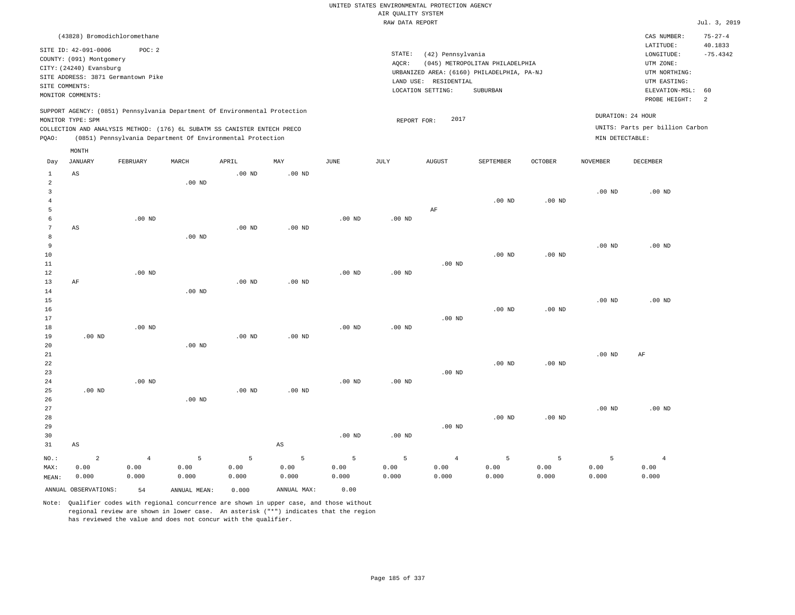|                            |                                                                                                                                  |                                              |              |                                                                            |                        |          |                                       | UNITED STATES ENVIRONMENTAL PROTECTION AGENCY                   |                                                                                           |                    |                   |                                                                                                                         |                                                   |
|----------------------------|----------------------------------------------------------------------------------------------------------------------------------|----------------------------------------------|--------------|----------------------------------------------------------------------------|------------------------|----------|---------------------------------------|-----------------------------------------------------------------|-------------------------------------------------------------------------------------------|--------------------|-------------------|-------------------------------------------------------------------------------------------------------------------------|---------------------------------------------------|
|                            |                                                                                                                                  |                                              |              |                                                                            |                        |          | AIR QUALITY SYSTEM<br>RAW DATA REPORT |                                                                 |                                                                                           |                    |                   |                                                                                                                         | Jul. 3, 2019                                      |
|                            |                                                                                                                                  |                                              |              |                                                                            |                        |          |                                       |                                                                 |                                                                                           |                    |                   |                                                                                                                         |                                                   |
| SITE COMMENTS:             | (43828) Bromodichloromethane<br>SITE ID: 42-091-0006<br>COUNTY: (091) Montgomery<br>CITY: (24240) Evansburg<br>MONITOR COMMENTS: | POC: 2<br>SITE ADDRESS: 3871 Germantown Pike |              |                                                                            |                        |          | STATE:<br>AQCR:                       | (42) Pennsylvania<br>LAND USE: RESIDENTIAL<br>LOCATION SETTING: | (045) METROPOLITAN PHILADELPHIA<br>URBANIZED AREA: (6160) PHILADELPHIA, PA-NJ<br>SUBURBAN |                    |                   | CAS NUMBER:<br>LATITUDE:<br>LONGITUDE:<br>UTM ZONE:<br>UTM NORTHING:<br>UTM EASTING:<br>ELEVATION-MSL:<br>PROBE HEIGHT: | $75 - 27 - 4$<br>40.1833<br>$-75.4342$<br>60<br>2 |
|                            |                                                                                                                                  |                                              |              | SUPPORT AGENCY: (0851) Pennsylvania Department Of Environmental Protection |                        |          |                                       |                                                                 |                                                                                           |                    |                   |                                                                                                                         |                                                   |
|                            | MONITOR TYPE: SPM                                                                                                                |                                              |              |                                                                            |                        |          | REPORT FOR:                           | 2017                                                            |                                                                                           |                    | DURATION: 24 HOUR |                                                                                                                         |                                                   |
|                            |                                                                                                                                  |                                              |              | COLLECTION AND ANALYSIS METHOD: (176) 6L SUBATM SS CANISTER ENTECH PRECO   |                        |          |                                       |                                                                 |                                                                                           |                    |                   | UNITS: Parts per billion Carbon                                                                                         |                                                   |
| PQAO:                      |                                                                                                                                  |                                              |              | (0851) Pennsylvania Department Of Environmental Protection                 |                        |          |                                       |                                                                 |                                                                                           |                    | MIN DETECTABLE:   |                                                                                                                         |                                                   |
|                            | MONTH                                                                                                                            |                                              |              |                                                                            |                        |          |                                       |                                                                 |                                                                                           |                    |                   |                                                                                                                         |                                                   |
| Day                        | JANUARY                                                                                                                          | FEBRUARY                                     | MARCH        | APRIL                                                                      | MAY                    | JUNE     | $_{\rm JULY}$                         | AUGUST                                                          | SEPTEMBER                                                                                 | $\mathtt{OCTOBER}$ | <b>NOVEMBER</b>   | <b>DECEMBER</b>                                                                                                         |                                                   |
| $\mathbf{1}$<br>$\sqrt{2}$ | AS                                                                                                                               |                                              | $.00$ ND     | $.00$ ND                                                                   | $.00$ ND               |          |                                       |                                                                 |                                                                                           |                    |                   |                                                                                                                         |                                                   |
| $\overline{3}$             |                                                                                                                                  |                                              |              |                                                                            |                        |          |                                       |                                                                 |                                                                                           |                    | $.00$ ND          | $.00$ ND                                                                                                                |                                                   |
| $\overline{4}$             |                                                                                                                                  |                                              |              |                                                                            |                        |          |                                       |                                                                 | $.00$ ND                                                                                  | .00 <sub>ND</sub>  |                   |                                                                                                                         |                                                   |
| 5                          |                                                                                                                                  |                                              |              |                                                                            |                        |          |                                       | AF                                                              |                                                                                           |                    |                   |                                                                                                                         |                                                   |
| 6<br>7                     | AS                                                                                                                               | $.00$ ND                                     |              | .00 <sub>ND</sub>                                                          | .00 <sub>ND</sub>      | $.00$ ND | .00 <sub>ND</sub>                     |                                                                 |                                                                                           |                    |                   |                                                                                                                         |                                                   |
| 8                          |                                                                                                                                  |                                              | $.00$ ND     |                                                                            |                        |          |                                       |                                                                 |                                                                                           |                    |                   |                                                                                                                         |                                                   |
| 9                          |                                                                                                                                  |                                              |              |                                                                            |                        |          |                                       |                                                                 |                                                                                           |                    | .00 <sub>ND</sub> | $.00$ ND                                                                                                                |                                                   |
| $10$                       |                                                                                                                                  |                                              |              |                                                                            |                        |          |                                       |                                                                 | $.00$ ND                                                                                  | .00 <sub>ND</sub>  |                   |                                                                                                                         |                                                   |
| 11                         |                                                                                                                                  |                                              |              |                                                                            |                        |          |                                       | $.00$ ND                                                        |                                                                                           |                    |                   |                                                                                                                         |                                                   |
| 12                         |                                                                                                                                  | $.00$ ND                                     |              |                                                                            |                        | $.00$ ND | $.00$ ND                              |                                                                 |                                                                                           |                    |                   |                                                                                                                         |                                                   |
| 13                         | AF                                                                                                                               |                                              |              | .00 <sub>ND</sub>                                                          | .00 <sub>ND</sub>      |          |                                       |                                                                 |                                                                                           |                    |                   |                                                                                                                         |                                                   |
| 14<br>15                   |                                                                                                                                  |                                              | $.00$ ND     |                                                                            |                        |          |                                       |                                                                 |                                                                                           |                    | .00 <sub>ND</sub> | $.00$ ND                                                                                                                |                                                   |
| 16                         |                                                                                                                                  |                                              |              |                                                                            |                        |          |                                       |                                                                 | .00 <sub>ND</sub>                                                                         | $.00$ ND           |                   |                                                                                                                         |                                                   |
| 17                         |                                                                                                                                  |                                              |              |                                                                            |                        |          |                                       | $.00$ ND                                                        |                                                                                           |                    |                   |                                                                                                                         |                                                   |
| 18                         |                                                                                                                                  | $.00$ ND                                     |              |                                                                            |                        | $.00$ ND | $.00$ ND                              |                                                                 |                                                                                           |                    |                   |                                                                                                                         |                                                   |
| 19                         | $.00$ ND                                                                                                                         |                                              |              | $.00$ ND                                                                   | $.00$ ND               |          |                                       |                                                                 |                                                                                           |                    |                   |                                                                                                                         |                                                   |
| 20                         |                                                                                                                                  |                                              | $.00$ ND     |                                                                            |                        |          |                                       |                                                                 |                                                                                           |                    |                   |                                                                                                                         |                                                   |
| 21                         |                                                                                                                                  |                                              |              |                                                                            |                        |          |                                       |                                                                 |                                                                                           |                    | .00 <sub>ND</sub> | AF                                                                                                                      |                                                   |
| 22<br>23                   |                                                                                                                                  |                                              |              |                                                                            |                        |          |                                       | $.00$ ND                                                        | $.00$ ND                                                                                  | $.00$ ND           |                   |                                                                                                                         |                                                   |
| 24                         |                                                                                                                                  | $.00$ ND                                     |              |                                                                            |                        | $.00$ ND | $.00$ ND                              |                                                                 |                                                                                           |                    |                   |                                                                                                                         |                                                   |
| 25                         | $.00$ ND                                                                                                                         |                                              |              | .00 <sub>ND</sub>                                                          | .00 <sub>ND</sub>      |          |                                       |                                                                 |                                                                                           |                    |                   |                                                                                                                         |                                                   |
| 26                         |                                                                                                                                  |                                              | $.00$ ND     |                                                                            |                        |          |                                       |                                                                 |                                                                                           |                    |                   |                                                                                                                         |                                                   |
| $2\,7$                     |                                                                                                                                  |                                              |              |                                                                            |                        |          |                                       |                                                                 |                                                                                           |                    | .00 <sub>ND</sub> | $.00$ ND                                                                                                                |                                                   |
| 28                         |                                                                                                                                  |                                              |              |                                                                            |                        |          |                                       |                                                                 | $.00$ ND                                                                                  | $.00$ ND           |                   |                                                                                                                         |                                                   |
| 29                         |                                                                                                                                  |                                              |              |                                                                            |                        |          |                                       | $.00$ ND                                                        |                                                                                           |                    |                   |                                                                                                                         |                                                   |
| 30                         |                                                                                                                                  |                                              |              |                                                                            |                        | $.00$ ND | $.00$ ND                              |                                                                 |                                                                                           |                    |                   |                                                                                                                         |                                                   |
| 31                         | AS                                                                                                                               |                                              |              |                                                                            | $\mathbb{A}\mathbb{S}$ |          |                                       |                                                                 |                                                                                           |                    |                   |                                                                                                                         |                                                   |
| NO.:                       | $\overline{a}$                                                                                                                   | $\,4$                                        | 5            | 5                                                                          | 5                      | 5        | 5                                     | $\overline{4}$                                                  | $\overline{5}$                                                                            | 5                  | 5                 | $\overline{4}$                                                                                                          |                                                   |
| MAX:                       | 0.00                                                                                                                             | 0.00                                         | 0.00         | 0.00                                                                       | 0.00                   | 0.00     | 0.00                                  | 0.00                                                            | 0.00                                                                                      | 0.00               | 0.00              | 0.00                                                                                                                    |                                                   |
| MEAN:                      | 0.000                                                                                                                            | 0.000                                        | 0.000        | 0.000                                                                      | 0.000                  | 0.000    | 0.000                                 | 0.000                                                           | 0.000                                                                                     | 0.000              | 0.000             | 0.000                                                                                                                   |                                                   |
|                            | ANNUAL OBSERVATIONS:                                                                                                             | 54                                           | ANNUAL MEAN: | 0.000                                                                      | ANNUAL MAX:            | 0.00     |                                       |                                                                 |                                                                                           |                    |                   |                                                                                                                         |                                                   |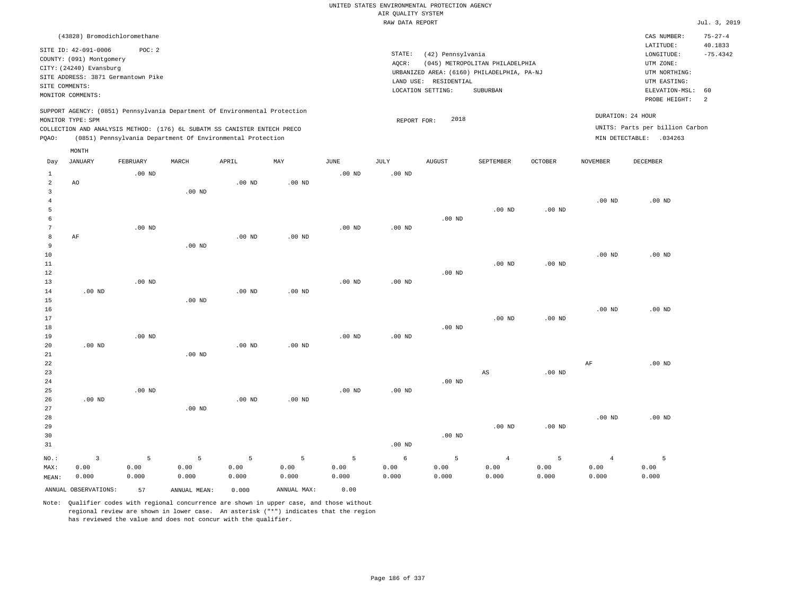|                |                                                                                                 |                   |                                                            |                   |                   |                   | UNITED STATES ENVIRONMENTAL PROTECTION AGENCY |                       |                                            |          |                 |                                 |                          |
|----------------|-------------------------------------------------------------------------------------------------|-------------------|------------------------------------------------------------|-------------------|-------------------|-------------------|-----------------------------------------------|-----------------------|--------------------------------------------|----------|-----------------|---------------------------------|--------------------------|
|                |                                                                                                 |                   |                                                            |                   |                   |                   | AIR QUALITY SYSTEM                            |                       |                                            |          |                 |                                 |                          |
|                |                                                                                                 |                   |                                                            |                   |                   |                   | RAW DATA REPORT                               |                       |                                            |          |                 |                                 | Jul. 3, 2019             |
|                | (43828) Bromodichloromethane<br>SITE ID: 42-091-0006                                            | POC: 2            |                                                            |                   |                   |                   |                                               |                       |                                            |          |                 | CAS NUMBER:<br>LATITUDE:        | $75 - 27 - 4$<br>40.1833 |
|                | COUNTY: (091) Montgomery                                                                        |                   |                                                            |                   |                   |                   | STATE:                                        | (42) Pennsylvania     |                                            |          |                 | $\texttt{LONGITUDE}$ :          | $-75.4342$               |
|                | CITY: (24240) Evansburg                                                                         |                   |                                                            |                   |                   |                   | AQCR:                                         |                       | (045) METROPOLITAN PHILADELPHIA            |          |                 | UTM ZONE:                       |                          |
|                | SITE ADDRESS: 3871 Germantown Pike                                                              |                   |                                                            |                   |                   |                   |                                               |                       | URBANIZED AREA: (6160) PHILADELPHIA, PA-NJ |          |                 | UTM NORTHING:                   |                          |
| SITE COMMENTS: |                                                                                                 |                   |                                                            |                   |                   |                   |                                               | LAND USE: RESIDENTIAL |                                            |          |                 | UTM EASTING:                    |                          |
|                | MONITOR COMMENTS:                                                                               |                   |                                                            |                   |                   |                   |                                               | LOCATION SETTING:     | SUBURBAN                                   |          |                 | ELEVATION-MSL:<br>PROBE HEIGHT: | 60<br>2                  |
|                | SUPPORT AGENCY: (0851) Pennsylvania Department Of Environmental Protection<br>MONITOR TYPE: SPM |                   |                                                            |                   |                   |                   | REPORT FOR:                                   | 2018                  |                                            |          |                 | DURATION: 24 HOUR               |                          |
|                | COLLECTION AND ANALYSIS METHOD: (176) 6L SUBATM SS CANISTER ENTECH PRECO                        |                   |                                                            |                   |                   |                   |                                               |                       |                                            |          |                 | UNITS: Parts per billion Carbon |                          |
| PQAO:          |                                                                                                 |                   | (0851) Pennsylvania Department Of Environmental Protection |                   |                   |                   |                                               |                       |                                            |          |                 | MIN DETECTABLE: .034263         |                          |
| Day            | MONTH<br><b>JANUARY</b>                                                                         | FEBRUARY          | MARCH                                                      | APRIL             | MAY               | <b>JUNE</b>       | <b>JULY</b>                                   | AUGUST                | SEPTEMBER                                  | OCTOBER  | <b>NOVEMBER</b> | <b>DECEMBER</b>                 |                          |
| 1              |                                                                                                 | $.00$ ND          |                                                            |                   |                   | $.00$ ND          | .00 <sub>ND</sub>                             |                       |                                            |          |                 |                                 |                          |
| $\overline{2}$ | AO                                                                                              |                   |                                                            | $.00$ ND          | $.00$ ND          |                   |                                               |                       |                                            |          |                 |                                 |                          |
| $\overline{3}$ |                                                                                                 |                   | .00 <sub>ND</sub>                                          |                   |                   |                   |                                               |                       |                                            |          |                 |                                 |                          |
| $\overline{4}$ |                                                                                                 |                   |                                                            |                   |                   |                   |                                               |                       |                                            |          | $.00$ ND        | $.00$ ND                        |                          |
| 5              |                                                                                                 |                   |                                                            |                   |                   |                   |                                               |                       | .00 <sub>ND</sub>                          | $.00$ ND |                 |                                 |                          |
| 6              |                                                                                                 |                   |                                                            |                   |                   |                   |                                               | $.00$ ND              |                                            |          |                 |                                 |                          |
| $\overline{7}$ |                                                                                                 | .00 <sub>ND</sub> |                                                            |                   |                   | $.00$ ND          | $.00$ ND                                      |                       |                                            |          |                 |                                 |                          |
| 8              | AF                                                                                              |                   |                                                            | .00 <sub>ND</sub> | $.00$ ND          |                   |                                               |                       |                                            |          |                 |                                 |                          |
| 9              |                                                                                                 |                   | $.00$ ND                                                   |                   |                   |                   |                                               |                       |                                            |          |                 |                                 |                          |
| 10             |                                                                                                 |                   |                                                            |                   |                   |                   |                                               |                       |                                            |          | $.00$ ND        | .00 <sub>ND</sub>               |                          |
| 11             |                                                                                                 |                   |                                                            |                   |                   |                   |                                               |                       | .00 <sub>ND</sub>                          | $.00$ ND |                 |                                 |                          |
| 12<br>13       |                                                                                                 | .00 <sub>ND</sub> |                                                            |                   |                   | .00 <sub>ND</sub> | .00 <sub>ND</sub>                             | $.00$ ND              |                                            |          |                 |                                 |                          |
| 14             | $.00$ ND                                                                                        |                   |                                                            | $.00$ ND          | .00 <sub>ND</sub> |                   |                                               |                       |                                            |          |                 |                                 |                          |
| 15             |                                                                                                 |                   | $.00$ ND                                                   |                   |                   |                   |                                               |                       |                                            |          |                 |                                 |                          |
| 16             |                                                                                                 |                   |                                                            |                   |                   |                   |                                               |                       |                                            |          | $.00$ ND        | $.00$ ND                        |                          |
| 17             |                                                                                                 |                   |                                                            |                   |                   |                   |                                               |                       | $.00$ ND                                   | $.00$ ND |                 |                                 |                          |
| 18             |                                                                                                 |                   |                                                            |                   |                   |                   |                                               | $.00$ ND              |                                            |          |                 |                                 |                          |
| 19             |                                                                                                 | $.00$ ND          |                                                            |                   |                   | $.00$ ND          | .00 <sub>ND</sub>                             |                       |                                            |          |                 |                                 |                          |
| 20             | .00 <sub>ND</sub>                                                                               |                   |                                                            | $.00$ ND          | .00 <sub>ND</sub> |                   |                                               |                       |                                            |          |                 |                                 |                          |
| $21\,$         |                                                                                                 |                   | $.00$ ND                                                   |                   |                   |                   |                                               |                       |                                            |          |                 |                                 |                          |
| 22             |                                                                                                 |                   |                                                            |                   |                   |                   |                                               |                       |                                            |          | $\rm AF$        | $.00$ ND                        |                          |
| 23             |                                                                                                 |                   |                                                            |                   |                   |                   |                                               |                       | AS                                         | $.00$ ND |                 |                                 |                          |
| 24             |                                                                                                 |                   |                                                            |                   |                   |                   |                                               | $.00$ ND              |                                            |          |                 |                                 |                          |
| 25             | .00 <sub>ND</sub>                                                                               | $.00$ ND          |                                                            | $.00$ ND          | .00 <sub>ND</sub> | $.00$ ND          | .00 <sub>ND</sub>                             |                       |                                            |          |                 |                                 |                          |
| 26<br>27       |                                                                                                 |                   | .00 <sub>ND</sub>                                          |                   |                   |                   |                                               |                       |                                            |          |                 |                                 |                          |
| 28             |                                                                                                 |                   |                                                            |                   |                   |                   |                                               |                       |                                            |          | $.00$ ND        | $.00$ ND                        |                          |
| 29             |                                                                                                 |                   |                                                            |                   |                   |                   |                                               |                       | $.00$ ND                                   | $.00$ ND |                 |                                 |                          |
| 30             |                                                                                                 |                   |                                                            |                   |                   |                   |                                               | $.00$ ND              |                                            |          |                 |                                 |                          |
| 31             |                                                                                                 |                   |                                                            |                   |                   |                   | $.00$ ND                                      |                       |                                            |          |                 |                                 |                          |
| NO.:           | $\overline{\mathbf{3}}$                                                                         | 5                 | 5                                                          | 5                 | 5                 | 5                 | $\epsilon$                                    | 5                     | $\overline{4}$                             | 5        | $\overline{4}$  | 5                               |                          |
| MAX:           | 0.00                                                                                            | 0.00              | 0.00                                                       | 0.00              | 0.00              | 0.00              | 0.00                                          | 0.00                  | 0.00                                       | 0.00     | 0.00            | 0.00                            |                          |
| MEAN:          | 0.000                                                                                           | 0.000             | 0.000                                                      | 0.000             | 0.000             | 0.000             | 0.000                                         | 0.000                 | 0.000                                      | 0.000    | 0.000           | 0.000                           |                          |
|                | ANNUAL OBSERVATIONS:                                                                            | 57                | ANNUAL MEAN:                                               | 0.000             | ANNUAL MAX:       | 0.00              |                                               |                       |                                            |          |                 |                                 |                          |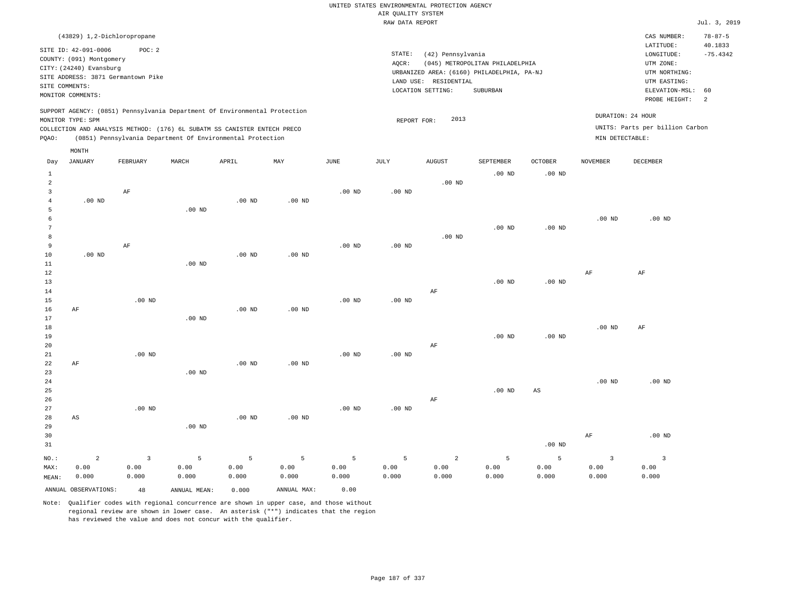|       | (43829) 1,2-Dichloropropane                                                                                                                              |          |       |                                                                                                                                                                                                                      |     |      |                 |                                                                    |                                                                                           |                            |                 | CAS NUMBER:                                                                              | $78 - 87 - 5$ |
|-------|----------------------------------------------------------------------------------------------------------------------------------------------------------|----------|-------|----------------------------------------------------------------------------------------------------------------------------------------------------------------------------------------------------------------------|-----|------|-----------------|--------------------------------------------------------------------|-------------------------------------------------------------------------------------------|----------------------------|-----------------|------------------------------------------------------------------------------------------|---------------|
|       | SITE ID: 42-091-0006<br>COUNTY: (091) Montgomery<br>CITY: (24240) Evansburg<br>SITE ADDRESS: 3871 Germantown Pike<br>SITE COMMENTS:<br>MONITOR COMMENTS: | POC:2    |       |                                                                                                                                                                                                                      |     |      | STATE:<br>AQCR: | (42) Pennsylvania<br>LAND USE:<br>RESIDENTIAL<br>LOCATION SETTING: | (045) METROPOLITAN PHILADELPHIA<br>URBANIZED AREA: (6160) PHILADELPHIA, PA-NJ<br>SUBURBAN |                            |                 | 40.1833<br>$-75.4342$<br>ELEVATION-MSL:<br>- 60<br>2                                     |               |
| POAO: | MONITOR TYPE: SPM                                                                                                                                        |          |       | SUPPORT AGENCY: (0851) Pennsylvania Department Of Environmental Protection<br>COLLECTION AND ANALYSIS METHOD: (176) 6L SUBATM SS CANISTER ENTECH PRECO<br>(0851) Pennsylvania Department Of Environmental Protection |     |      |                 | 2013<br>REPORT FOR:                                                |                                                                                           |                            |                 | PROBE HEIGHT:<br>DURATION: 24 HOUR<br>UNITS: Parts per billion Carbon<br>MIN DETECTABLE: |               |
| Day   | MONTH<br>JANUARY                                                                                                                                         | FEBRUARY | MARCH | APRIL                                                                                                                                                                                                                | MAY | JUNE | JULY            | <b>AUGUST</b>                                                      | SEPTEMBER<br>$.00$ ND                                                                     | <b>OCTOBER</b><br>$.00$ ND | <b>NOVEMBER</b> | DECEMBER                                                                                 |               |
|       |                                                                                                                                                          |          |       |                                                                                                                                                                                                                      |     |      |                 | $.00$ ND                                                           |                                                                                           |                            |                 |                                                                                          |               |

.00 ND

| 4           | .00 $ND$ |          |          | .00 $ND$ | .00 $ND$ |          |          |          |          |                        |          |          |
|-------------|----------|----------|----------|----------|----------|----------|----------|----------|----------|------------------------|----------|----------|
| 5           |          |          | $.00$ ND |          |          |          |          |          |          |                        |          |          |
| 6           |          |          |          |          |          |          |          |          |          |                        | .00 $ND$ | .00 $ND$ |
| 7           |          |          |          |          |          |          |          |          | $.00$ ND | $.00$ ND               |          |          |
| 8           |          |          |          |          |          |          |          | .00 $ND$ |          |                        |          |          |
| 9           |          | AF       |          |          |          | .00 $ND$ | .00 $ND$ |          |          |                        |          |          |
| $10$        | .00 $ND$ |          |          | $.00$ ND | $.00$ ND |          |          |          |          |                        |          |          |
| $11\,$      |          |          | $.00$ ND |          |          |          |          |          |          |                        |          |          |
| 12          |          |          |          |          |          |          |          |          |          |                        | AF       | $\rm AF$ |
| 13          |          |          |          |          |          |          |          |          | $.00$ ND | $.00$ ND               |          |          |
| 14          |          |          |          |          |          |          |          | AF       |          |                        |          |          |
| 15          |          | .00 $ND$ |          | .00 $ND$ |          | $.00$ ND | $.00$ ND |          |          |                        |          |          |
| 16<br>17    | AF       |          | $.00$ ND |          | $.00$ ND |          |          |          |          |                        |          |          |
| 18          |          |          |          |          |          |          |          |          |          |                        | .00 $ND$ | $\rm AF$ |
| 19          |          |          |          |          |          |          |          |          | $.00$ ND | $.00$ ND               |          |          |
| 20          |          |          |          |          |          |          |          | $\rm AF$ |          |                        |          |          |
| 21          |          | .00 $ND$ |          |          |          | $.00$ ND | $.00$ ND |          |          |                        |          |          |
| 22          | $\rm AF$ |          |          | $.00$ ND | .00 $ND$ |          |          |          |          |                        |          |          |
| 23          |          |          | $.00$ ND |          |          |          |          |          |          |                        |          |          |
| $2\sqrt{4}$ |          |          |          |          |          |          |          |          |          |                        | .00 $ND$ | .00 $ND$ |
| 25          |          |          |          |          |          |          |          |          | .00 $ND$ | $\mathbb{A}\mathbb{S}$ |          |          |
| 26          |          |          |          |          |          |          |          | AF       |          |                        |          |          |
| 27          |          | .00 $ND$ |          |          |          | $.00$ ND | $.00$ ND |          |          |                        |          |          |
| 28          | AS       |          |          | $.00$ ND | $.00$ ND |          |          |          |          |                        |          |          |
| 29          |          |          | $.00$ ND |          |          |          |          |          |          |                        |          |          |

.00 ND

30 31 NO.: MAX: MEAN: 2 0.00 0.000 .00 ND AF .00 ND 3 0.00 0.000 5 0.00 0.000 5 0.00 0.000 5 0.00 0.000 5 0.00 0.000 5 0.00 0.000 2 0.00 0.000 5 0.00 0.000 5 0.00 0.000 3 0.00 0.000 3 0.00 0.000

ANNUAL OBSERVATIONS: 48 ANNUAL MEAN: 0.000 ANNUAL MAX: 0.00

 3 4

AF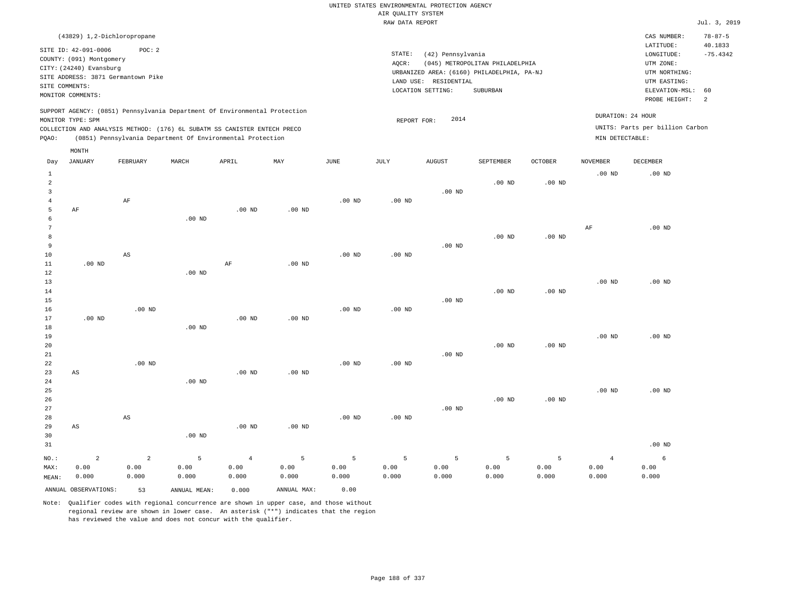| (43829) 1,2-Dichloropropane                                                                                                                                                                                                                        |                                                                                                                                                                                 | CAS NUMBER:                                                                                                 | $78 - 87 - 5$                           |
|----------------------------------------------------------------------------------------------------------------------------------------------------------------------------------------------------------------------------------------------------|---------------------------------------------------------------------------------------------------------------------------------------------------------------------------------|-------------------------------------------------------------------------------------------------------------|-----------------------------------------|
| SITE ID: 42-091-0006<br>POC:2<br>COUNTY: (091) Montgomery<br>CITY: (24240) Evansburg<br>SITE ADDRESS: 3871 Germantown Pike<br>SITE COMMENTS:<br>MONITOR COMMENTS:                                                                                  | STATE:<br>(42) Pennsylvania<br>(045) METROPOLITAN PHILADELPHIA<br>AOCR:<br>URBANIZED AREA: (6160) PHILADELPHIA, PA-NJ<br>LAND USE: RESIDENTIAL<br>LOCATION SETTING:<br>SUBURBAN | LATITUDE:<br>LONGITUDE:<br>UTM ZONE:<br>UTM NORTHING:<br>UTM EASTING:<br>ELEVATION-MSL: 60<br>PROBE HEIGHT: | 40.1833<br>$-75.4342$<br>$\overline{2}$ |
| SUPPORT AGENCY: (0851) Pennsylvania Department Of Environmental Protection<br>MONITOR TYPE: SPM<br>COLLECTION AND ANALYSIS METHOD: (176) 6L SUBATM SS CANISTER ENTECH PRECO<br>(0851) Pennsylvania Department Of Environmental Protection<br>POAO: | DURATION: 24 HOUR<br>2014<br>REPORT FOR:<br>MIN DETECTABLE:                                                                                                                     | UNITS: Parts per billion Carbon                                                                             |                                         |

| Day                                                        | <b>JANUARY</b>                  | FEBRUARY                        | MARCH                           | APRIL                           | MAY                | JUNE               | $\mathtt{JULY}$    | <b>AUGUST</b>      | SEPTEMBER                    | OCTOBER            | NOVEMBER                        | DECEMBER           |
|------------------------------------------------------------|---------------------------------|---------------------------------|---------------------------------|---------------------------------|--------------------|--------------------|--------------------|--------------------|------------------------------|--------------------|---------------------------------|--------------------|
| $\mathbf{1}$<br>$\overline{a}$<br>3<br>$\overline{4}$<br>5 | AF                              | $\rm AF$                        |                                 | $.00$ ND                        | $.00$ ND           | $.00$ ND           | $.00$ ND           | $.00$ ND           | $.00$ ND                     | $.00$ ND           | $.00$ ND                        | $.00$ ND           |
| 6<br>7<br>8<br>9<br>10                                     |                                 | AS                              | $.00$ ND                        |                                 |                    | $.00$ ND           | $.00$ ND           | $.00$ ND           | $.00$ ND                     | $.00$ ND           | AF                              | $.00$ ND           |
| 11<br>12<br>13<br>14<br>15                                 | $.00$ ND                        |                                 | $.00$ ND                        | $\rm AF$                        | $.00$ ND           |                    |                    | $.00$ ND           | $.00$ ND                     | $.00$ ND           | $.00$ ND                        | $.00$ ND           |
| 16<br>17<br>18<br>19<br>20                                 | $.00$ ND                        | $.00$ ND                        | $.00$ ND                        | $.00$ ND                        | $.00$ ND           | $.00$ ND           | $.00$ ND           |                    | $.00$ ND                     | $.00$ ND           | $.00$ ND                        | $.00$ ND           |
| 21<br>22<br>23<br>24<br>25                                 | AS                              | $.00$ ND                        | $.00$ ND                        | .00 <sub>ND</sub>               | $.00$ ND           | $.00$ ND           | .00 <sub>ND</sub>  | $.00$ ND           |                              |                    | $.00$ ND                        | $.00$ ND           |
| 26<br>27<br>28<br>29<br>30                                 | AS                              | AS                              | $.00$ ND                        | .00 <sub>ND</sub>               | $.00$ ND           | $.00$ ND           | $.00$ ND           | $.00$ ND           | $.00$ ND                     | $.00$ ND           |                                 |                    |
| 31                                                         |                                 |                                 |                                 |                                 |                    |                    |                    |                    |                              |                    |                                 | $.00$ ND           |
| $NO.$ :<br>MAX:<br>MEAN:                                   | $\overline{a}$<br>0.00<br>0.000 | $\overline{a}$<br>0.00<br>0.000 | $\overline{5}$<br>0.00<br>0.000 | $\overline{4}$<br>0.00<br>0.000 | 5<br>0.00<br>0.000 | 5<br>0.00<br>0.000 | 5<br>0.00<br>0.000 | 5<br>0.00<br>0.000 | $\mathsf S$<br>0.00<br>0.000 | 5<br>0.00<br>0.000 | $\overline{4}$<br>0.00<br>0.000 | 6<br>0.00<br>0.000 |
|                                                            | ANNUAL OBSERVATIONS:            | 53                              | ANNUAL MEAN:                    | 0.000                           | ANNUAL MAX:        | 0.00               |                    |                    |                              |                    |                                 |                    |

Note: Qualifier codes with regional concurrence are shown in upper case, and those without regional review are shown in lower case. An asterisk ("\*") indicates that the region has reviewed the value and does not concur with the qualifier.

MONTH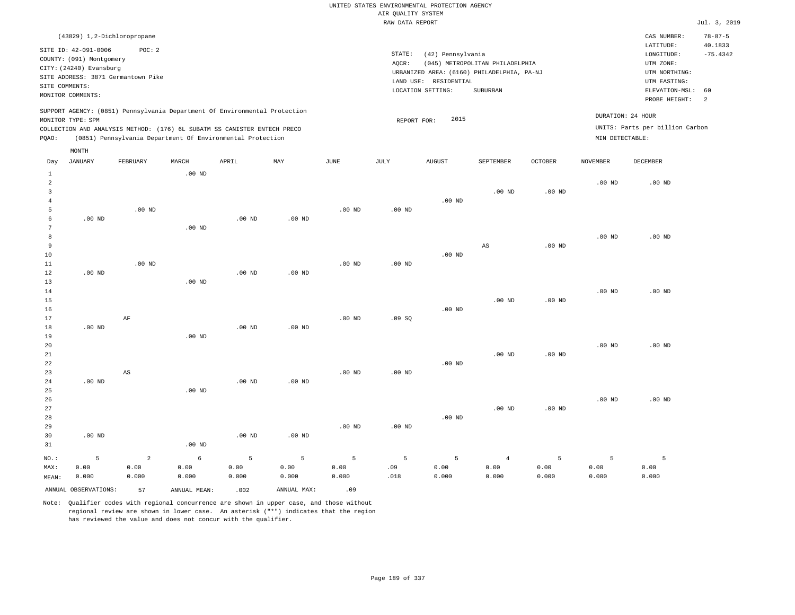## UNITED STATES ENVIRONMENTAL PROTECTION AGENCY AIR QUALITY SYSTEM

|       |                                                                                                                    |                                              |          |                                                                                                                                                                                                                      |          |          | RAW DATA REPORT              |                                                       |                                                                                           |          |                                      |                                                                                                          | Jul. 3, 2019                     |
|-------|--------------------------------------------------------------------------------------------------------------------|----------------------------------------------|----------|----------------------------------------------------------------------------------------------------------------------------------------------------------------------------------------------------------------------|----------|----------|------------------------------|-------------------------------------------------------|-------------------------------------------------------------------------------------------|----------|--------------------------------------|----------------------------------------------------------------------------------------------------------|----------------------------------|
|       | (43829) 1,2-Dichloropropane                                                                                        |                                              |          |                                                                                                                                                                                                                      |          |          |                              |                                                       |                                                                                           |          |                                      | CAS NUMBER:                                                                                              | $78 - 87 - 5$                    |
|       | SITE ID: 42-091-0006<br>COUNTY: (091) Montgomery<br>CITY: (24240) Evansburg<br>SITE COMMENTS:<br>MONITOR COMMENTS: | POC: 2<br>SITE ADDRESS: 3871 Germantown Pike |          |                                                                                                                                                                                                                      |          |          | STATE:<br>AOCR:<br>LAND USE: | (42) Pennsylvania<br>RESIDENTIAL<br>LOCATION SETTING: | (045) METROPOLITAN PHILADELPHIA<br>URBANIZED AREA: (6160) PHILADELPHIA, PA-NJ<br>SUBURBAN |          |                                      | LATITUDE:<br>LONGITUDE:<br>UTM ZONE:<br>UTM NORTHING:<br>UTM EASTING:<br>ELEVATION-MSL:<br>PROBE HEIGHT: | 40.1833<br>$-75.4342$<br>60<br>2 |
| POAO: | MONITOR TYPE: SPM<br>MONTH                                                                                         |                                              |          | SUPPORT AGENCY: (0851) Pennsylvania Department Of Environmental Protection<br>COLLECTION AND ANALYSIS METHOD: (176) 6L SUBATM SS CANISTER ENTECH PRECO<br>(0851) Pennsylvania Department Of Environmental Protection |          |          | REPORT FOR:                  | 2015                                                  |                                                                                           |          | DURATION: 24 HOUR<br>MIN DETECTABLE: | UNITS: Parts per billion Carbon                                                                          |                                  |
| Day   | JANUARY                                                                                                            | FEBRUARY                                     | MARCH    | APRIL                                                                                                                                                                                                                | MAY      | JUNE     | JULY                         | <b>AUGUST</b>                                         | <b>SEPTEMBER</b>                                                                          | OCTOBER  | NOVEMBER                             | DECEMBER                                                                                                 |                                  |
|       |                                                                                                                    |                                              | $.00$ ND |                                                                                                                                                                                                                      |          |          |                              | $.00$ ND                                              | $.00$ ND                                                                                  | $.00$ ND | .00 <sub>ND</sub>                    | $.00$ ND                                                                                                 |                                  |
|       |                                                                                                                    | .00 <sub>ND</sub>                            |          |                                                                                                                                                                                                                      |          | $.00$ ND | .00 <sub>ND</sub>            |                                                       |                                                                                           |          |                                      |                                                                                                          |                                  |
| q     | $.00$ ND                                                                                                           |                                              | $.00$ ND | $.00$ ND                                                                                                                                                                                                             | $.00$ ND |          |                              |                                                       | AS                                                                                        | $.00$ ND | $.00$ ND                             | $.00$ ND                                                                                                 |                                  |

|                         | ANNUAL OBSERVATIONS: | 57                     | ANNUAL MEAN:  | .002          | ANNUAL MAX:   | .09               |                   |               |                |               |                  |               |
|-------------------------|----------------------|------------------------|---------------|---------------|---------------|-------------------|-------------------|---------------|----------------|---------------|------------------|---------------|
| MAX:<br>MEAN:           | 0.00<br>0.000        | 0.00<br>0.000          | 0.00<br>0.000 | 0.00<br>0.000 | 0.00<br>0.000 | 0.00<br>0.000     | .09<br>.018       | 0.00<br>0.000 | 0.00<br>0.000  | 0.00<br>0.000 | 0.00<br>0.000    | 0.00<br>0.000 |
| NO.:                    | 5                    | $\overline{a}$         | 6             | 5             | 5             | 5                 | 5                 | 5             | $\overline{4}$ | $\mathsf S$   | 5                | 5             |
| 31                      |                      |                        | $.00$ ND      |               |               |                   |                   |               |                |               |                  |               |
| 30                      | $.00$ ND             |                        |               | $.00$ ND      | $.00$ ND      |                   |                   |               |                |               |                  |               |
| 29                      |                      |                        |               |               |               | .00 <sub>ND</sub> | $.00$ ND          |               |                |               |                  |               |
| 28                      |                      |                        |               |               |               |                   |                   | $.00$ ND      |                |               |                  |               |
| 27                      |                      |                        |               |               |               |                   |                   |               | $.00$ ND       | $.00$ ND      |                  |               |
| 26                      |                      |                        |               |               |               |                   |                   |               |                |               | $.00$ ND         | $.00$ ND      |
| 25                      |                      |                        | $.00$ ND      |               |               |                   |                   |               |                |               |                  |               |
| 24                      | $.00$ ND             |                        |               | $.00$ ND      | $.00$ ND      |                   |                   |               |                |               |                  |               |
| 23                      |                      | $\mathbb{A}\mathbb{S}$ |               |               |               | $.00$ ND          | $.00$ ND          |               |                |               |                  |               |
| 22                      |                      |                        |               |               |               |                   |                   | $.00$ ND      |                |               |                  |               |
| 21                      |                      |                        |               |               |               |                   |                   |               | $.00$ ND       | $.00$ ND      |                  |               |
| 20                      |                      |                        |               |               |               |                   |                   |               |                |               | $.00$ ND         | $.00$ ND      |
| 19                      |                      |                        | $.00$ ND      |               |               |                   |                   |               |                |               |                  |               |
| $18\,$                  | $.00$ ND             |                        |               | $.00$ ND      | $.00$ ND      |                   |                   |               |                |               |                  |               |
| 17                      |                      | $\rm AF$               |               |               |               | $.00$ ND          | .09SQ             |               |                |               |                  |               |
| 16                      |                      |                        |               |               |               |                   |                   | $.00$ ND      |                |               |                  |               |
| 15                      |                      |                        |               |               |               |                   |                   |               | $.00$ ND       | $.00$ ND      |                  |               |
| 14                      |                      |                        |               |               |               |                   |                   |               |                |               | $.00$ ND         | $.00$ ND      |
| 13                      |                      |                        | $.00$ ND      |               |               |                   |                   |               |                |               |                  |               |
| 12                      | $.00$ ND             |                        |               | $.00$ ND      | $.00$ ND      |                   |                   |               |                |               |                  |               |
| $10$<br>$11\,$          |                      | $.00$ ND               |               |               |               | .00 <sub>ND</sub> | .00 <sub>ND</sub> | .00 $ND$      |                |               |                  |               |
| 9                       |                      |                        |               |               |               |                   |                   |               | $_{\rm AS}$    | $.00$ ND      |                  |               |
| 8                       |                      |                        |               |               |               |                   |                   |               |                |               | $.00$ ND         | $.00$ ND      |
| 7                       |                      |                        | $.00$ ND      |               |               |                   |                   |               |                |               |                  |               |
| 6                       | $.00$ ND             |                        |               | $.00$ ND      | $.00$ ND      |                   |                   |               |                |               |                  |               |
| 5                       |                      | $.00$ ND               |               |               |               | $.00$ ND          | $.00$ ND          |               |                |               |                  |               |
| $\overline{4}$          |                      |                        |               |               |               |                   |                   | $.00$ ND      |                |               |                  |               |
| $\overline{\mathbf{3}}$ |                      |                        |               |               |               |                   |                   |               | $.00$ ND       | $.00$ ND      |                  |               |
| $\sim$                  |                      |                        |               |               |               |                   |                   |               |                |               | .00 <sub>W</sub> | .001w         |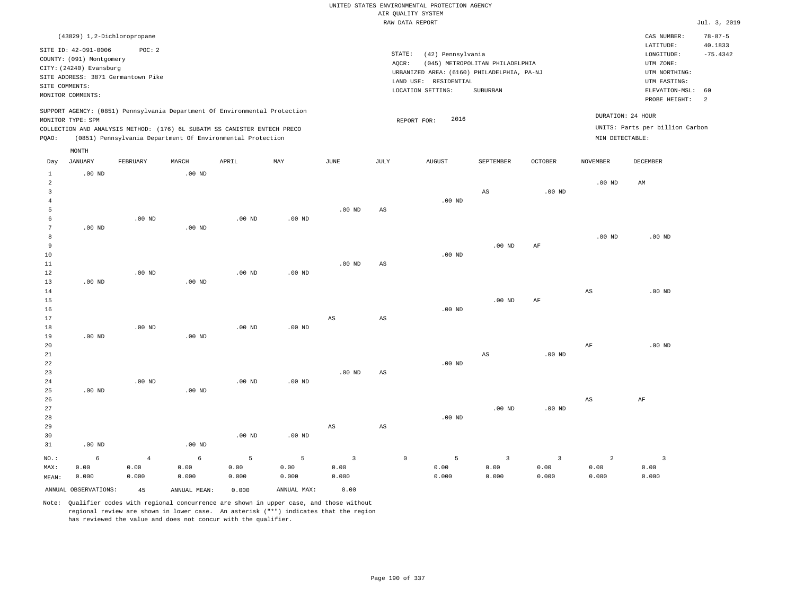| UNITED STATES ENVIRONMENTAL PROTECTION AGENCY |  |
|-----------------------------------------------|--|
| AIR OUALITY SYSTEM                            |  |
| RAW DATA REPORT                               |  |
|                                               |  |

Jul. 3, 2019

|                                  | (43829) 1,2-Dichloropropane        |                |                                                                            |                   |                   |                        |                        |                                            |                                 |                         |                        | CAS NUMBER:                     | $78 - 87 - 5$  |
|----------------------------------|------------------------------------|----------------|----------------------------------------------------------------------------|-------------------|-------------------|------------------------|------------------------|--------------------------------------------|---------------------------------|-------------------------|------------------------|---------------------------------|----------------|
|                                  | SITE ID: 42-091-0006               | POC: 2         |                                                                            |                   |                   |                        |                        | STATE:                                     |                                 |                         |                        | LATITUDE:                       | 40.1833        |
|                                  | COUNTY: (091) Montgomery           |                |                                                                            |                   |                   |                        |                        | (42) Pennsylvania<br>AQCR:                 | (045) METROPOLITAN PHILADELPHIA |                         |                        | LONGITUDE:<br>UTM ZONE:         | $-75.4342$     |
|                                  | CITY: (24240) Evansburg            |                |                                                                            |                   |                   |                        |                        | URBANIZED AREA: (6160) PHILADELPHIA, PA-NJ |                                 |                         |                        | UTM NORTHING:                   |                |
|                                  | SITE ADDRESS: 3871 Germantown Pike |                |                                                                            |                   |                   |                        |                        | LAND USE: RESIDENTIAL                      |                                 |                         |                        | UTM EASTING:                    |                |
| SITE COMMENTS:                   |                                    |                |                                                                            |                   |                   |                        |                        | LOCATION SETTING:                          | SUBURBAN                        |                         |                        | ELEVATION-MSL:                  | 60             |
|                                  | MONITOR COMMENTS:                  |                |                                                                            |                   |                   |                        |                        |                                            |                                 |                         |                        | PROBE HEIGHT:                   | $\overline{2}$ |
|                                  |                                    |                | SUPPORT AGENCY: (0851) Pennsylvania Department Of Environmental Protection |                   |                   |                        |                        |                                            |                                 |                         | DURATION: 24 HOUR      |                                 |                |
|                                  | MONITOR TYPE: SPM                  |                |                                                                            |                   |                   |                        |                        | 2016<br>REPORT FOR:                        |                                 |                         |                        | UNITS: Parts per billion Carbon |                |
|                                  |                                    |                | COLLECTION AND ANALYSIS METHOD: (176) 6L SUBATM SS CANISTER ENTECH PRECO   |                   |                   |                        |                        |                                            |                                 |                         |                        |                                 |                |
| PQAO:                            |                                    |                | (0851) Pennsylvania Department Of Environmental Protection                 |                   |                   |                        |                        |                                            |                                 |                         | MIN DETECTABLE:        |                                 |                |
|                                  | MONTH                              |                |                                                                            |                   |                   |                        |                        |                                            |                                 |                         |                        |                                 |                |
| Day                              | <b>JANUARY</b>                     | FEBRUARY       | MARCH                                                                      | APRIL             | MAY               | $_{\rm JUNE}$          | $\mathtt{JULY}$        | <b>AUGUST</b>                              | SEPTEMBER                       | OCTOBER                 | <b>NOVEMBER</b>        | <b>DECEMBER</b>                 |                |
| $\mathbf{1}$                     | $.00$ ND                           |                | $.00$ ND                                                                   |                   |                   |                        |                        |                                            |                                 |                         |                        |                                 |                |
| $\overline{a}$<br>$\overline{3}$ |                                    |                |                                                                            |                   |                   |                        |                        |                                            |                                 | .00 <sub>ND</sub>       | $.00$ ND               | AM                              |                |
| $\overline{4}$                   |                                    |                |                                                                            |                   |                   |                        |                        | $.00$ ND                                   | AS                              |                         |                        |                                 |                |
| 5                                |                                    |                |                                                                            |                   |                   | .00 <sub>ND</sub>      | $\mathbb{A}\mathbb{S}$ |                                            |                                 |                         |                        |                                 |                |
| 6                                |                                    | $.00$ ND       |                                                                            | $.00$ ND          | $.00$ ND          |                        |                        |                                            |                                 |                         |                        |                                 |                |
| $7\phantom{.0}$                  | $.00$ ND                           |                | $.00$ ND                                                                   |                   |                   |                        |                        |                                            |                                 |                         |                        |                                 |                |
| 8                                |                                    |                |                                                                            |                   |                   |                        |                        |                                            |                                 |                         | $.00$ ND               | $.00$ ND                        |                |
| 9                                |                                    |                |                                                                            |                   |                   |                        |                        |                                            | .00 <sub>ND</sub>               | AF                      |                        |                                 |                |
| 10                               |                                    |                |                                                                            |                   |                   |                        |                        | $.00$ ND                                   |                                 |                         |                        |                                 |                |
| 11                               |                                    |                |                                                                            |                   |                   | .00 <sub>ND</sub>      | AS                     |                                            |                                 |                         |                        |                                 |                |
| 12                               |                                    | $.00$ ND       |                                                                            | $.00$ ND          | $.00$ ND          |                        |                        |                                            |                                 |                         |                        |                                 |                |
| 13                               | $.00$ ND                           |                | .00 <sub>ND</sub>                                                          |                   |                   |                        |                        |                                            |                                 |                         |                        |                                 |                |
| 14                               |                                    |                |                                                                            |                   |                   |                        |                        |                                            |                                 |                         | $\mathbb{A}\mathbb{S}$ | $.00$ ND                        |                |
| 15                               |                                    |                |                                                                            |                   |                   |                        |                        |                                            | .00 <sub>ND</sub>               | AF                      |                        |                                 |                |
| 16                               |                                    |                |                                                                            |                   |                   |                        |                        | .00 <sub>ND</sub>                          |                                 |                         |                        |                                 |                |
| 17                               |                                    |                |                                                                            |                   |                   | AS                     | AS                     |                                            |                                 |                         |                        |                                 |                |
| $1\,8$                           |                                    | $.00$ ND       |                                                                            | .00 <sub>ND</sub> | .00 <sub>ND</sub> |                        |                        |                                            |                                 |                         |                        |                                 |                |
| 19                               | $.00$ ND                           |                | .00 <sub>ND</sub>                                                          |                   |                   |                        |                        |                                            |                                 |                         |                        |                                 |                |
| 20<br>21                         |                                    |                |                                                                            |                   |                   |                        |                        |                                            | AS                              | $.00$ ND                | $\rm{AF}$              | .00 <sub>ND</sub>               |                |
| 22                               |                                    |                |                                                                            |                   |                   |                        |                        | $.00$ ND                                   |                                 |                         |                        |                                 |                |
| 23                               |                                    |                |                                                                            |                   |                   | .00 <sub>ND</sub>      | $_{\rm AS}$            |                                            |                                 |                         |                        |                                 |                |
| 24                               |                                    | $.00$ ND       |                                                                            | $.00$ ND          | $.00$ ND          |                        |                        |                                            |                                 |                         |                        |                                 |                |
| 25                               | $.00$ ND                           |                | .00 <sub>ND</sub>                                                          |                   |                   |                        |                        |                                            |                                 |                         |                        |                                 |                |
| 26                               |                                    |                |                                                                            |                   |                   |                        |                        |                                            |                                 |                         | $_{\rm AS}$            | AF                              |                |
| 27                               |                                    |                |                                                                            |                   |                   |                        |                        |                                            | .00 <sub>ND</sub>               | .00 <sub>ND</sub>       |                        |                                 |                |
| 28                               |                                    |                |                                                                            |                   |                   |                        |                        | .00 <sub>ND</sub>                          |                                 |                         |                        |                                 |                |
| 29                               |                                    |                |                                                                            |                   |                   | $\mathbb{A}\mathbb{S}$ | $_{\rm AS}$            |                                            |                                 |                         |                        |                                 |                |
| 30                               |                                    |                |                                                                            | $.00$ ND          | .00 $ND$          |                        |                        |                                            |                                 |                         |                        |                                 |                |
| 31                               | $.00$ ND                           |                | $.00$ ND                                                                   |                   |                   |                        |                        |                                            |                                 |                         |                        |                                 |                |
| NO.:                             | $\epsilon$                         | $\overline{4}$ | 6                                                                          | $\overline{5}$    | 5                 | $\overline{3}$         |                        | $\mathbb O$<br>5                           | $\overline{\mathbf{3}}$         | $\overline{\mathbf{3}}$ | $\overline{a}$         | $\overline{3}$                  |                |
| MAX:                             | 0.00                               | 0.00           | 0.00                                                                       | 0.00              | 0.00              | 0.00                   |                        | 0.00                                       | 0.00                            | 0.00                    | 0.00                   | 0.00                            |                |
| MEAN:                            | 0.000                              | 0.000          | 0.000                                                                      | 0.000             | 0.000             | 0.000                  |                        | 0.000                                      | 0.000                           | 0.000                   | 0.000                  | 0.000                           |                |
|                                  | ANNUAL OBSERVATIONS:               | 45             | ANNUAL, MEAN:                                                              | 0.000             | ANNUAL MAX:       | 0.00                   |                        |                                            |                                 |                         |                        |                                 |                |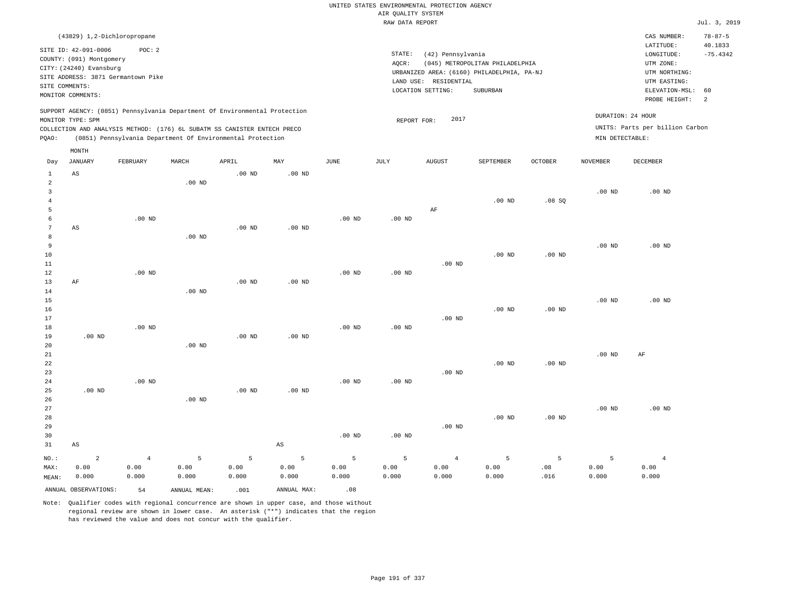|                                                             |                                                                                                                                                                       |                                 |                    |                                                                                                                                        |                        |                    |                                       | UNITED STATES ENVIRONMENTAL PROTECTION AGENCY                   |                                                                                           |                   |                                      |                                                                                                        |                                              |
|-------------------------------------------------------------|-----------------------------------------------------------------------------------------------------------------------------------------------------------------------|---------------------------------|--------------------|----------------------------------------------------------------------------------------------------------------------------------------|------------------------|--------------------|---------------------------------------|-----------------------------------------------------------------|-------------------------------------------------------------------------------------------|-------------------|--------------------------------------|--------------------------------------------------------------------------------------------------------|----------------------------------------------|
|                                                             |                                                                                                                                                                       |                                 |                    |                                                                                                                                        |                        |                    | AIR QUALITY SYSTEM<br>RAW DATA REPORT |                                                                 |                                                                                           |                   |                                      |                                                                                                        | Jul. 3, 2019                                 |
|                                                             |                                                                                                                                                                       |                                 |                    |                                                                                                                                        |                        |                    |                                       |                                                                 |                                                                                           |                   |                                      |                                                                                                        |                                              |
| SITE COMMENTS:                                              | (43829) 1,2-Dichloropropane<br>SITE ID: 42-091-0006<br>COUNTY: (091) Montgomery<br>CITY: (24240) Evansburg<br>SITE ADDRESS: 3871 Germantown Pike<br>MONITOR COMMENTS: | POC: 2                          |                    |                                                                                                                                        |                        |                    | STATE:<br>AQCR:                       | (42) Pennsylvania<br>LAND USE: RESIDENTIAL<br>LOCATION SETTING: | (045) METROPOLITAN PHILADELPHIA<br>URBANIZED AREA: (6160) PHILADELPHIA, PA-NJ<br>SUBURBAN |                   |                                      | CAS NUMBER:<br>LATITUDE:<br>LONGITUDE:<br>UTM ZONE:<br>UTM NORTHING:<br>UTM EASTING:<br>ELEVATION-MSL: | $78 - 87 - 5$<br>40.1833<br>$-75.4342$<br>60 |
|                                                             |                                                                                                                                                                       |                                 |                    | SUPPORT AGENCY: (0851) Pennsylvania Department Of Environmental Protection                                                             |                        |                    |                                       |                                                                 |                                                                                           |                   |                                      | PROBE HEIGHT:                                                                                          | 2                                            |
| PQAO:                                                       | MONITOR TYPE: SPM                                                                                                                                                     |                                 |                    | COLLECTION AND ANALYSIS METHOD: (176) 6L SUBATM SS CANISTER ENTECH PRECO<br>(0851) Pennsylvania Department Of Environmental Protection |                        |                    | REPORT FOR:                           | 2017                                                            |                                                                                           |                   | DURATION: 24 HOUR<br>MIN DETECTABLE: | UNITS: Parts per billion Carbon                                                                        |                                              |
| Day                                                         | MONTH<br><b>JANUARY</b>                                                                                                                                               | FEBRUARY                        | MARCH              | APRIL                                                                                                                                  | MAY                    | JUNE               | JULY                                  | <b>AUGUST</b>                                                   | SEPTEMBER                                                                                 | <b>OCTOBER</b>    | NOVEMBER                             | DECEMBER                                                                                               |                                              |
| 1                                                           | AS                                                                                                                                                                    |                                 |                    | $.00$ ND                                                                                                                               | $.00$ ND               |                    |                                       |                                                                 |                                                                                           |                   |                                      |                                                                                                        |                                              |
| $\overline{a}$<br>$\overline{\mathbf{3}}$<br>$\overline{4}$ |                                                                                                                                                                       |                                 | $.00$ ND           |                                                                                                                                        |                        |                    |                                       |                                                                 | .00 <sub>ND</sub>                                                                         | .08SQ             | $.00$ ND                             | $.00$ ND                                                                                               |                                              |
| 5<br>6<br>$\overline{7}$<br>$\mathbf{a}$                    | AS                                                                                                                                                                    | $.00$ ND                        | $.00$ ND           | $.00$ ND                                                                                                                               | .00 <sub>ND</sub>      | $.00$ ND           | $.00$ ND                              | AF                                                              |                                                                                           |                   |                                      |                                                                                                        |                                              |
| $\overline{9}$<br>10<br>$1\,1$                              |                                                                                                                                                                       |                                 |                    |                                                                                                                                        |                        |                    |                                       | $.00$ ND                                                        | $.00$ ND                                                                                  | $.00$ ND          | .00 <sub>ND</sub>                    | $.00$ ND                                                                                               |                                              |
| 12<br>13<br>14<br>15                                        | $\rm AF$                                                                                                                                                              | $.00$ ND                        | $.00$ ND           | .00 <sub>ND</sub>                                                                                                                      | $.00$ ND               | $.00$ ND           | $.00$ ND                              |                                                                 |                                                                                           |                   | .00 <sub>ND</sub>                    | $.00$ ND                                                                                               |                                              |
| 16<br>17<br>$1\,8$                                          |                                                                                                                                                                       | $.00$ ND                        |                    |                                                                                                                                        |                        | $.00$ ND           | .00 <sub>ND</sub>                     | $.00$ ND                                                        | $.00$ ND                                                                                  | $.00$ ND          |                                      |                                                                                                        |                                              |
| 19<br>20<br>21                                              | $.00$ ND                                                                                                                                                              |                                 | $.00$ ND           | $.00$ ND                                                                                                                               | $.00$ ND               |                    |                                       |                                                                 |                                                                                           |                   | .00 <sub>ND</sub>                    | AF                                                                                                     |                                              |
| 22<br>23<br>24<br>25                                        | $.00$ ND                                                                                                                                                              | $.00$ ND                        |                    | $.00$ ND                                                                                                                               | .00 <sub>ND</sub>      | $.00$ ND           | $.00$ ND                              | $.00$ ND                                                        | $.00$ ND                                                                                  | .00 <sub>ND</sub> |                                      |                                                                                                        |                                              |
| 26<br>27<br>28                                              |                                                                                                                                                                       |                                 | .00 <sub>ND</sub>  |                                                                                                                                        |                        |                    |                                       |                                                                 | $.00$ ND                                                                                  | $.00$ ND          | .00 <sub>ND</sub>                    | .00 <sub>ND</sub>                                                                                      |                                              |
| 29<br>30<br>31                                              | $\mathbb{A}\mathbb{S}$                                                                                                                                                |                                 |                    |                                                                                                                                        | $\mathbb{A}\mathbb{S}$ | $.00$ ND           | $.00$ ND                              | $.00$ ND                                                        |                                                                                           |                   |                                      |                                                                                                        |                                              |
| NO.:<br>MAX:<br>MEAN:                                       | $\overline{c}$<br>0.00<br>0.000                                                                                                                                       | $\overline{4}$<br>0.00<br>0.000 | 5<br>0.00<br>0.000 | 5<br>0.00<br>0.000                                                                                                                     | 5<br>0.00<br>0.000     | 5<br>0.00<br>0.000 | 5<br>0.00<br>0.000                    | $\overline{4}$<br>0.00<br>0.000                                 | 5<br>0.00<br>0.000                                                                        | 5<br>.08<br>.016  | 5<br>0.00<br>0.000                   | $\overline{4}$<br>0.00<br>0.000                                                                        |                                              |
|                                                             | ANNUAL OBSERVATIONS:                                                                                                                                                  | 54                              | ANNUAL MEAN:       | .001                                                                                                                                   | ANNUAL MAX:            | .08                |                                       |                                                                 |                                                                                           |                   |                                      |                                                                                                        |                                              |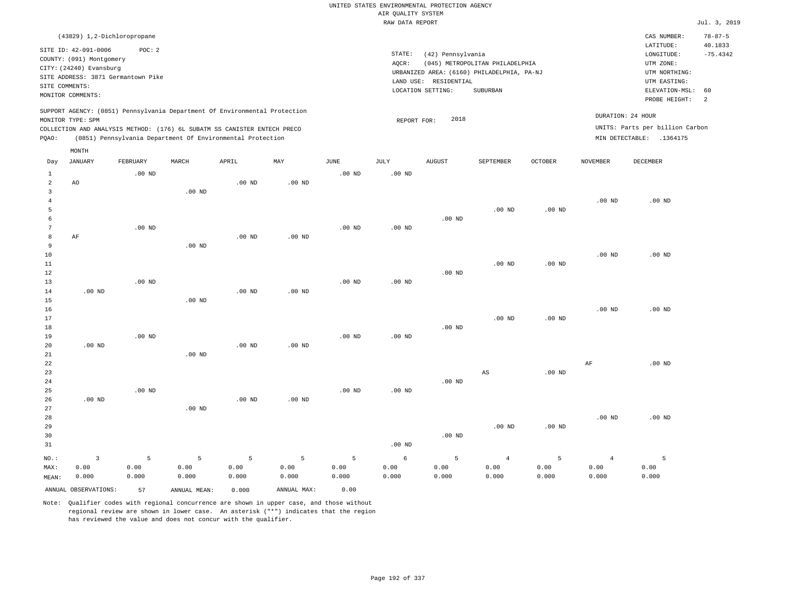| AIR QUALITY SYSTEM<br>Jul. 3, 2019<br>RAW DATA REPORT<br>(43829) 1,2-Dichloropropane<br>CAS NUMBER:<br>$78 - 87 - 5$<br>LATITUDE:<br>40.1833<br>SITE ID: 42-091-0006<br>POC: 2<br>STATE:<br>(42) Pennsylvania<br>$-75.4342$<br>LONGITUDE:<br>COUNTY: (091) Montgomery<br>(045) METROPOLITAN PHILADELPHIA<br>AOCR:<br>UTM ZONE:<br>CITY: (24240) Evansburg<br>URBANIZED AREA: (6160) PHILADELPHIA, PA-NJ<br>UTM NORTHING:<br>SITE ADDRESS: 3871 Germantown Pike<br>LAND USE: RESIDENTIAL<br>UTM EASTING:<br>SITE COMMENTS:<br>ELEVATION-MSL:<br>LOCATION SETTING:<br>SUBURBAN<br>60<br>MONITOR COMMENTS:<br>PROBE HEIGHT:<br>2<br>SUPPORT AGENCY: (0851) Pennsylvania Department Of Environmental Protection<br>DURATION: 24 HOUR<br>2018<br>MONITOR TYPE: SPM<br>REPORT FOR:<br>UNITS: Parts per billion Carbon<br>COLLECTION AND ANALYSIS METHOD: (176) 6L SUBATM SS CANISTER ENTECH PRECO<br>MIN DETECTABLE: .1364175<br>PQAO:<br>(0851) Pennsylvania Department Of Environmental Protection<br>MONTH<br>APRIL<br><b>JANUARY</b><br>FEBRUARY<br>MARCH<br>MAY<br><b>JUNE</b><br>JULY<br><b>AUGUST</b><br>SEPTEMBER<br><b>OCTOBER</b><br><b>NOVEMBER</b><br><b>DECEMBER</b><br>Day<br>.00 <sub>ND</sub><br>$.00$ ND<br>$\mathbf{1}$<br>$.00$ ND<br>$\overline{2}$<br>.00 <sub>ND</sub><br>$.00$ ND<br>AO<br>$\overline{3}$<br>.00 <sub>ND</sub><br>$\overline{4}$<br>.00 <sub>ND</sub><br>.00 <sub>ND</sub><br>$\overline{5}$<br>$.00$ ND<br>.00 <sub>ND</sub><br>6<br>$.00$ ND<br>$7\phantom{.0}$<br>$.00$ ND<br>$.00$ ND<br>$.00$ ND<br>8<br>AF<br>$.00$ ND<br>$.00$ ND<br>9<br>$.00$ ND<br>$10$<br>$.00$ ND<br>$.00$ ND<br>11<br>$.00$ ND<br>$.00$ ND<br>$.00$ ND<br>12<br>.00 <sub>ND</sub><br>$.00$ ND<br>$.00$ ND<br>13<br>14<br>.00 <sub>ND</sub><br>$.00$ ND<br>$.00$ ND<br>.00 <sub>ND</sub><br>15<br>$.00$ ND<br>$.00$ ND<br>16 |
|-------------------------------------------------------------------------------------------------------------------------------------------------------------------------------------------------------------------------------------------------------------------------------------------------------------------------------------------------------------------------------------------------------------------------------------------------------------------------------------------------------------------------------------------------------------------------------------------------------------------------------------------------------------------------------------------------------------------------------------------------------------------------------------------------------------------------------------------------------------------------------------------------------------------------------------------------------------------------------------------------------------------------------------------------------------------------------------------------------------------------------------------------------------------------------------------------------------------------------------------------------------------------------------------------------------------------------------------------------------------------------------------------------------------------------------------------------------------------------------------------------------------------------------------------------------------------------------------------------------------------------------------------------------------------------------------------------------------------------------------------------------------------------------------------------------------------------------------|
|                                                                                                                                                                                                                                                                                                                                                                                                                                                                                                                                                                                                                                                                                                                                                                                                                                                                                                                                                                                                                                                                                                                                                                                                                                                                                                                                                                                                                                                                                                                                                                                                                                                                                                                                                                                                                                           |
|                                                                                                                                                                                                                                                                                                                                                                                                                                                                                                                                                                                                                                                                                                                                                                                                                                                                                                                                                                                                                                                                                                                                                                                                                                                                                                                                                                                                                                                                                                                                                                                                                                                                                                                                                                                                                                           |
|                                                                                                                                                                                                                                                                                                                                                                                                                                                                                                                                                                                                                                                                                                                                                                                                                                                                                                                                                                                                                                                                                                                                                                                                                                                                                                                                                                                                                                                                                                                                                                                                                                                                                                                                                                                                                                           |
|                                                                                                                                                                                                                                                                                                                                                                                                                                                                                                                                                                                                                                                                                                                                                                                                                                                                                                                                                                                                                                                                                                                                                                                                                                                                                                                                                                                                                                                                                                                                                                                                                                                                                                                                                                                                                                           |
|                                                                                                                                                                                                                                                                                                                                                                                                                                                                                                                                                                                                                                                                                                                                                                                                                                                                                                                                                                                                                                                                                                                                                                                                                                                                                                                                                                                                                                                                                                                                                                                                                                                                                                                                                                                                                                           |
|                                                                                                                                                                                                                                                                                                                                                                                                                                                                                                                                                                                                                                                                                                                                                                                                                                                                                                                                                                                                                                                                                                                                                                                                                                                                                                                                                                                                                                                                                                                                                                                                                                                                                                                                                                                                                                           |
|                                                                                                                                                                                                                                                                                                                                                                                                                                                                                                                                                                                                                                                                                                                                                                                                                                                                                                                                                                                                                                                                                                                                                                                                                                                                                                                                                                                                                                                                                                                                                                                                                                                                                                                                                                                                                                           |
|                                                                                                                                                                                                                                                                                                                                                                                                                                                                                                                                                                                                                                                                                                                                                                                                                                                                                                                                                                                                                                                                                                                                                                                                                                                                                                                                                                                                                                                                                                                                                                                                                                                                                                                                                                                                                                           |
|                                                                                                                                                                                                                                                                                                                                                                                                                                                                                                                                                                                                                                                                                                                                                                                                                                                                                                                                                                                                                                                                                                                                                                                                                                                                                                                                                                                                                                                                                                                                                                                                                                                                                                                                                                                                                                           |
|                                                                                                                                                                                                                                                                                                                                                                                                                                                                                                                                                                                                                                                                                                                                                                                                                                                                                                                                                                                                                                                                                                                                                                                                                                                                                                                                                                                                                                                                                                                                                                                                                                                                                                                                                                                                                                           |
|                                                                                                                                                                                                                                                                                                                                                                                                                                                                                                                                                                                                                                                                                                                                                                                                                                                                                                                                                                                                                                                                                                                                                                                                                                                                                                                                                                                                                                                                                                                                                                                                                                                                                                                                                                                                                                           |
|                                                                                                                                                                                                                                                                                                                                                                                                                                                                                                                                                                                                                                                                                                                                                                                                                                                                                                                                                                                                                                                                                                                                                                                                                                                                                                                                                                                                                                                                                                                                                                                                                                                                                                                                                                                                                                           |
|                                                                                                                                                                                                                                                                                                                                                                                                                                                                                                                                                                                                                                                                                                                                                                                                                                                                                                                                                                                                                                                                                                                                                                                                                                                                                                                                                                                                                                                                                                                                                                                                                                                                                                                                                                                                                                           |
|                                                                                                                                                                                                                                                                                                                                                                                                                                                                                                                                                                                                                                                                                                                                                                                                                                                                                                                                                                                                                                                                                                                                                                                                                                                                                                                                                                                                                                                                                                                                                                                                                                                                                                                                                                                                                                           |
|                                                                                                                                                                                                                                                                                                                                                                                                                                                                                                                                                                                                                                                                                                                                                                                                                                                                                                                                                                                                                                                                                                                                                                                                                                                                                                                                                                                                                                                                                                                                                                                                                                                                                                                                                                                                                                           |
|                                                                                                                                                                                                                                                                                                                                                                                                                                                                                                                                                                                                                                                                                                                                                                                                                                                                                                                                                                                                                                                                                                                                                                                                                                                                                                                                                                                                                                                                                                                                                                                                                                                                                                                                                                                                                                           |
|                                                                                                                                                                                                                                                                                                                                                                                                                                                                                                                                                                                                                                                                                                                                                                                                                                                                                                                                                                                                                                                                                                                                                                                                                                                                                                                                                                                                                                                                                                                                                                                                                                                                                                                                                                                                                                           |
|                                                                                                                                                                                                                                                                                                                                                                                                                                                                                                                                                                                                                                                                                                                                                                                                                                                                                                                                                                                                                                                                                                                                                                                                                                                                                                                                                                                                                                                                                                                                                                                                                                                                                                                                                                                                                                           |
|                                                                                                                                                                                                                                                                                                                                                                                                                                                                                                                                                                                                                                                                                                                                                                                                                                                                                                                                                                                                                                                                                                                                                                                                                                                                                                                                                                                                                                                                                                                                                                                                                                                                                                                                                                                                                                           |
|                                                                                                                                                                                                                                                                                                                                                                                                                                                                                                                                                                                                                                                                                                                                                                                                                                                                                                                                                                                                                                                                                                                                                                                                                                                                                                                                                                                                                                                                                                                                                                                                                                                                                                                                                                                                                                           |
|                                                                                                                                                                                                                                                                                                                                                                                                                                                                                                                                                                                                                                                                                                                                                                                                                                                                                                                                                                                                                                                                                                                                                                                                                                                                                                                                                                                                                                                                                                                                                                                                                                                                                                                                                                                                                                           |
|                                                                                                                                                                                                                                                                                                                                                                                                                                                                                                                                                                                                                                                                                                                                                                                                                                                                                                                                                                                                                                                                                                                                                                                                                                                                                                                                                                                                                                                                                                                                                                                                                                                                                                                                                                                                                                           |
|                                                                                                                                                                                                                                                                                                                                                                                                                                                                                                                                                                                                                                                                                                                                                                                                                                                                                                                                                                                                                                                                                                                                                                                                                                                                                                                                                                                                                                                                                                                                                                                                                                                                                                                                                                                                                                           |
|                                                                                                                                                                                                                                                                                                                                                                                                                                                                                                                                                                                                                                                                                                                                                                                                                                                                                                                                                                                                                                                                                                                                                                                                                                                                                                                                                                                                                                                                                                                                                                                                                                                                                                                                                                                                                                           |
|                                                                                                                                                                                                                                                                                                                                                                                                                                                                                                                                                                                                                                                                                                                                                                                                                                                                                                                                                                                                                                                                                                                                                                                                                                                                                                                                                                                                                                                                                                                                                                                                                                                                                                                                                                                                                                           |
|                                                                                                                                                                                                                                                                                                                                                                                                                                                                                                                                                                                                                                                                                                                                                                                                                                                                                                                                                                                                                                                                                                                                                                                                                                                                                                                                                                                                                                                                                                                                                                                                                                                                                                                                                                                                                                           |
|                                                                                                                                                                                                                                                                                                                                                                                                                                                                                                                                                                                                                                                                                                                                                                                                                                                                                                                                                                                                                                                                                                                                                                                                                                                                                                                                                                                                                                                                                                                                                                                                                                                                                                                                                                                                                                           |
|                                                                                                                                                                                                                                                                                                                                                                                                                                                                                                                                                                                                                                                                                                                                                                                                                                                                                                                                                                                                                                                                                                                                                                                                                                                                                                                                                                                                                                                                                                                                                                                                                                                                                                                                                                                                                                           |
| 17<br>$.00$ ND<br>$.00$ ND                                                                                                                                                                                                                                                                                                                                                                                                                                                                                                                                                                                                                                                                                                                                                                                                                                                                                                                                                                                                                                                                                                                                                                                                                                                                                                                                                                                                                                                                                                                                                                                                                                                                                                                                                                                                                |
| $.00$ ND<br>18                                                                                                                                                                                                                                                                                                                                                                                                                                                                                                                                                                                                                                                                                                                                                                                                                                                                                                                                                                                                                                                                                                                                                                                                                                                                                                                                                                                                                                                                                                                                                                                                                                                                                                                                                                                                                            |
| 19<br>$.00$ ND<br>$.00$ ND<br>$.00$ ND                                                                                                                                                                                                                                                                                                                                                                                                                                                                                                                                                                                                                                                                                                                                                                                                                                                                                                                                                                                                                                                                                                                                                                                                                                                                                                                                                                                                                                                                                                                                                                                                                                                                                                                                                                                                    |
| $.00$ ND<br>$.00$ ND<br>$.00$ ND<br>20                                                                                                                                                                                                                                                                                                                                                                                                                                                                                                                                                                                                                                                                                                                                                                                                                                                                                                                                                                                                                                                                                                                                                                                                                                                                                                                                                                                                                                                                                                                                                                                                                                                                                                                                                                                                    |
| 21<br>.00 <sub>ND</sub>                                                                                                                                                                                                                                                                                                                                                                                                                                                                                                                                                                                                                                                                                                                                                                                                                                                                                                                                                                                                                                                                                                                                                                                                                                                                                                                                                                                                                                                                                                                                                                                                                                                                                                                                                                                                                   |
| $2\sqrt{2}$<br>$\rm{AF}$<br>$.00$ ND                                                                                                                                                                                                                                                                                                                                                                                                                                                                                                                                                                                                                                                                                                                                                                                                                                                                                                                                                                                                                                                                                                                                                                                                                                                                                                                                                                                                                                                                                                                                                                                                                                                                                                                                                                                                      |
| 23<br>.00 <sub>ND</sub><br>AS<br>$.00$ ND                                                                                                                                                                                                                                                                                                                                                                                                                                                                                                                                                                                                                                                                                                                                                                                                                                                                                                                                                                                                                                                                                                                                                                                                                                                                                                                                                                                                                                                                                                                                                                                                                                                                                                                                                                                                 |
| 24<br>$.00$ ND<br>$.00$ ND<br>25<br>$.00$ ND                                                                                                                                                                                                                                                                                                                                                                                                                                                                                                                                                                                                                                                                                                                                                                                                                                                                                                                                                                                                                                                                                                                                                                                                                                                                                                                                                                                                                                                                                                                                                                                                                                                                                                                                                                                              |
| .00 <sub>ND</sub><br>.00 <sub>ND</sub><br>.00 <sub>ND</sub><br>26                                                                                                                                                                                                                                                                                                                                                                                                                                                                                                                                                                                                                                                                                                                                                                                                                                                                                                                                                                                                                                                                                                                                                                                                                                                                                                                                                                                                                                                                                                                                                                                                                                                                                                                                                                         |
| 27<br>.00 <sub>ND</sub>                                                                                                                                                                                                                                                                                                                                                                                                                                                                                                                                                                                                                                                                                                                                                                                                                                                                                                                                                                                                                                                                                                                                                                                                                                                                                                                                                                                                                                                                                                                                                                                                                                                                                                                                                                                                                   |
| 28<br>$.00$ ND<br>$.00$ ND                                                                                                                                                                                                                                                                                                                                                                                                                                                                                                                                                                                                                                                                                                                                                                                                                                                                                                                                                                                                                                                                                                                                                                                                                                                                                                                                                                                                                                                                                                                                                                                                                                                                                                                                                                                                                |
| $.00$ ND<br>.00 <sub>ND</sub><br>29                                                                                                                                                                                                                                                                                                                                                                                                                                                                                                                                                                                                                                                                                                                                                                                                                                                                                                                                                                                                                                                                                                                                                                                                                                                                                                                                                                                                                                                                                                                                                                                                                                                                                                                                                                                                       |
| 30<br>$.00$ ND                                                                                                                                                                                                                                                                                                                                                                                                                                                                                                                                                                                                                                                                                                                                                                                                                                                                                                                                                                                                                                                                                                                                                                                                                                                                                                                                                                                                                                                                                                                                                                                                                                                                                                                                                                                                                            |
| .00 <sub>ND</sub><br>31                                                                                                                                                                                                                                                                                                                                                                                                                                                                                                                                                                                                                                                                                                                                                                                                                                                                                                                                                                                                                                                                                                                                                                                                                                                                                                                                                                                                                                                                                                                                                                                                                                                                                                                                                                                                                   |
| 5<br>5<br>5<br>5<br>5<br>$\overline{\mathbf{3}}$<br>5<br>5<br>$\epsilon$<br>5<br>$\overline{4}$<br>$\overline{4}$<br>NO.:                                                                                                                                                                                                                                                                                                                                                                                                                                                                                                                                                                                                                                                                                                                                                                                                                                                                                                                                                                                                                                                                                                                                                                                                                                                                                                                                                                                                                                                                                                                                                                                                                                                                                                                 |
| 0.00<br>0.00<br>0.00<br>0.00<br>0.00<br>0.00<br>0.00<br>0.00<br>0.00<br>0.00<br>0.00<br>0.00<br>MAX:                                                                                                                                                                                                                                                                                                                                                                                                                                                                                                                                                                                                                                                                                                                                                                                                                                                                                                                                                                                                                                                                                                                                                                                                                                                                                                                                                                                                                                                                                                                                                                                                                                                                                                                                      |
| 0.000<br>0.000<br>0.000<br>0.000<br>0.000<br>0.000<br>0.000<br>0.000<br>0.000<br>0.000<br>0.000<br>0.000<br>MEAN:                                                                                                                                                                                                                                                                                                                                                                                                                                                                                                                                                                                                                                                                                                                                                                                                                                                                                                                                                                                                                                                                                                                                                                                                                                                                                                                                                                                                                                                                                                                                                                                                                                                                                                                         |
| ANNUAL OBSERVATIONS:<br>ANNUAL MAX:<br>0.00<br>57<br>0.000<br>ANNUAL MEAN:                                                                                                                                                                                                                                                                                                                                                                                                                                                                                                                                                                                                                                                                                                                                                                                                                                                                                                                                                                                                                                                                                                                                                                                                                                                                                                                                                                                                                                                                                                                                                                                                                                                                                                                                                                |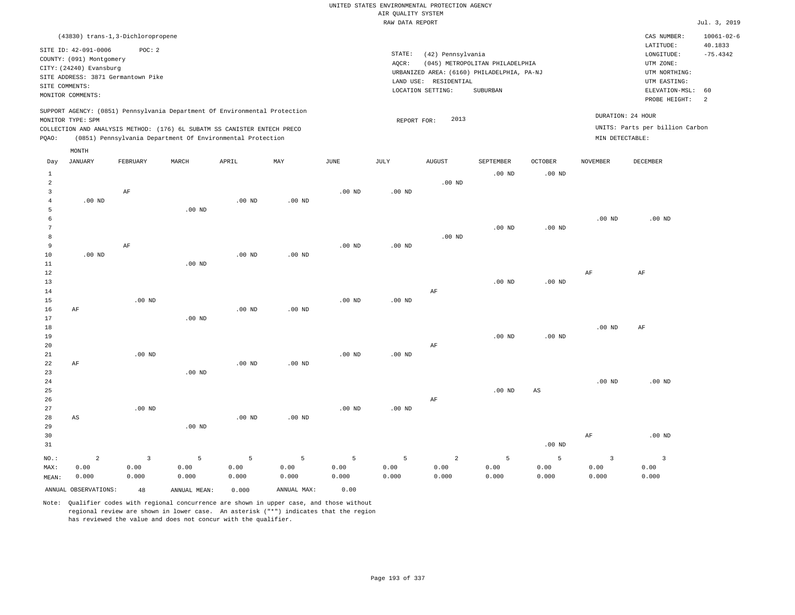| (43830) trans-1,3-Dichloropropene                                                                                                                                | $10061 - 02 - 6$<br>CAS NUMBER:<br>40.1833              |
|------------------------------------------------------------------------------------------------------------------------------------------------------------------|---------------------------------------------------------|
| SITE ID: 42-091-0006<br>POC: 2<br>STATE:<br>(42) Pennsylvania<br>COUNTY: (091) Montgomery<br>AQCR:<br>(045) METROPOLITAN PHILADELPHIA<br>CITY: (24240) Evansburg | LATITUDE:<br>$-75.4342$<br>LONGITUDE:<br>UTM ZONE:      |
| URBANIZED AREA: (6160) PHILADELPHIA, PA-NJ<br>SITE ADDRESS: 3871 Germantown Pike                                                                                 | UTM NORTHING:                                           |
| LAND USE: RESIDENTIAL<br>SITE COMMENTS:                                                                                                                          | UTM EASTING:                                            |
| LOCATION SETTING:<br>SUBURBAN<br>MONITOR COMMENTS:                                                                                                               | ELEVATION-MSL:<br>60<br>PROBE HEIGHT:<br>$\overline{c}$ |
| SUPPORT AGENCY: (0851) Pennsylvania Department Of Environmental Protection<br>2013                                                                               | DURATION: 24 HOUR                                       |
| MONITOR TYPE: SPM<br>REPORT FOR:<br>COLLECTION AND ANALYSIS METHOD: (176) 6L SUBATM SS CANISTER ENTECH PRECO                                                     | UNITS: Parts per billion Carbon                         |
| MIN DETECTABLE:<br>PQAO:<br>(0851) Pennsylvania Department Of Environmental Protection                                                                           |                                                         |
| MONTH                                                                                                                                                            |                                                         |
| <b>JANUARY</b><br>FEBRUARY<br>MARCH<br>APRIL<br>MAY<br><b>JUNE</b><br>JULY<br><b>AUGUST</b><br>SEPTEMBER<br><b>OCTOBER</b><br><b>NOVEMBER</b><br>Day             | <b>DECEMBER</b>                                         |
| $.00$ ND<br>.00 <sub>ND</sub><br>$\mathbf{1}$                                                                                                                    |                                                         |
| $\overline{2}$<br>$.00$ ND                                                                                                                                       |                                                         |
| $\overline{3}$<br>AF<br>$.00$ ND<br>$.00$ ND                                                                                                                     |                                                         |
| $.00$ ND<br>$.00$ ND<br>$.00$ ND<br>$\overline{4}$                                                                                                               |                                                         |
| 5<br>$.00$ ND                                                                                                                                                    |                                                         |
| .00 <sub>ND</sub><br>6                                                                                                                                           | $.00$ ND                                                |
| 7<br>$.00$ ND<br>.00 <sub>ND</sub>                                                                                                                               |                                                         |
| $.00$ ND<br>8                                                                                                                                                    |                                                         |
| 9<br>AF<br>$.00$ ND<br>$.00$ ND                                                                                                                                  |                                                         |
| $10$<br>$.00$ ND<br>$.00$ ND<br>$.00$ ND                                                                                                                         |                                                         |
| 11<br>.00 <sub>ND</sub>                                                                                                                                          |                                                         |
| 12<br>$\rm AF$                                                                                                                                                   | AF                                                      |
| 13<br>$.00$ ND<br>$.00$ ND                                                                                                                                       |                                                         |
| $\rm AF$<br>14                                                                                                                                                   |                                                         |
| $.00$ ND<br>15<br>.00 <sub>ND</sub><br>$.00$ ND                                                                                                                  |                                                         |
| $.00$ ND<br>16<br>AF<br>$.00$ ND                                                                                                                                 |                                                         |
| 17<br>$.00$ ND                                                                                                                                                   |                                                         |
| 18<br>$.00$ ND                                                                                                                                                   | AF                                                      |
| 19<br>$.00$ ND<br>.00 <sub>ND</sub><br>20<br>AF                                                                                                                  |                                                         |
| 21<br>$.00$ ND<br>.00 <sub>ND</sub><br>$.00$ ND                                                                                                                  |                                                         |
| 22<br>.00 <sub>ND</sub><br>AF<br>$.00$ ND                                                                                                                        |                                                         |
| 23<br>$.00$ ND                                                                                                                                                   |                                                         |
| 24<br>.00 <sub>ND</sub>                                                                                                                                          | $.00$ ND                                                |
| 25<br>$.00$ ND<br>$\mathbb{A}\mathbb{S}$                                                                                                                         |                                                         |
| 26<br>AF                                                                                                                                                         |                                                         |
| 27<br>$.00$ ND<br>.00 <sub>ND</sub><br>$.00$ ND                                                                                                                  |                                                         |
| $.00$ ND<br>.00 <sub>ND</sub><br>28<br>AS                                                                                                                        |                                                         |
| 29<br>.00 <sub>ND</sub>                                                                                                                                          |                                                         |
| 30<br>$\rm{AF}$                                                                                                                                                  | $.00$ ND                                                |
| 31<br>.00 <sub>ND</sub>                                                                                                                                          |                                                         |
| $\overline{a}$<br>$\overline{3}$<br>$\overline{5}$<br>5<br>5<br>$\overline{a}$<br>5<br>5<br>5<br>5<br>$\overline{3}$<br>NO.:                                     | $\overline{\mathbf{3}}$                                 |
| 0.00<br>0.00<br>0.00<br>0.00<br>0.00<br>0.00<br>0.00<br>0.00<br>0.00<br>0.00<br>0.00<br>MAX:                                                                     | 0.00                                                    |
| 0.000<br>0.000<br>0.000<br>0.000<br>0.000<br>0.000<br>0.000<br>0.000<br>0.000<br>0.000<br>0.000<br>MEAN:                                                         | 0.000                                                   |

ANNUAL OBSERVATIONS: 48 ANNUAL MEAN: 0.000 ANNUAL MAX: 0.00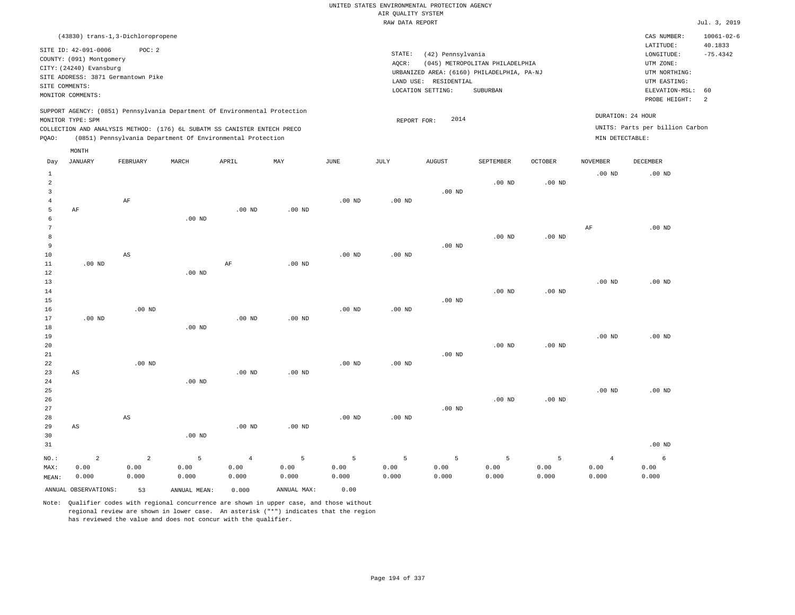|                |                                    |             |                                                                            |                   |                   |          |                    | UNITED STATES ENVIRONMENTAL PROTECTION AGENCY |                                            |                |                   |                                 |                             |
|----------------|------------------------------------|-------------|----------------------------------------------------------------------------|-------------------|-------------------|----------|--------------------|-----------------------------------------------|--------------------------------------------|----------------|-------------------|---------------------------------|-----------------------------|
|                |                                    |             |                                                                            |                   |                   |          | AIR QUALITY SYSTEM |                                               |                                            |                |                   |                                 |                             |
|                |                                    |             |                                                                            |                   |                   |          | RAW DATA REPORT    |                                               |                                            |                |                   |                                 | Jul. 3, 2019                |
|                | (43830) trans-1,3-Dichloropropene  |             |                                                                            |                   |                   |          |                    |                                               |                                            |                |                   | CAS NUMBER:<br>LATITUDE:        | $10061 - 02 - 6$<br>40.1833 |
|                | SITE ID: 42-091-0006               | POC: 2      |                                                                            |                   |                   |          | STATE:             | (42) Pennsylvania                             |                                            |                |                   | LONGITUDE:                      | $-75.4342$                  |
|                | COUNTY: (091) Montgomery           |             |                                                                            |                   |                   |          | AOCR:              |                                               | (045) METROPOLITAN PHILADELPHIA            |                |                   | UTM ZONE:                       |                             |
|                | CITY: (24240) Evansburg            |             |                                                                            |                   |                   |          |                    |                                               | URBANIZED AREA: (6160) PHILADELPHIA, PA-NJ |                |                   | UTM NORTHING:                   |                             |
|                | SITE ADDRESS: 3871 Germantown Pike |             |                                                                            |                   |                   |          |                    | LAND USE: RESIDENTIAL                         |                                            |                |                   | UTM EASTING:                    |                             |
|                | SITE COMMENTS:                     |             |                                                                            |                   |                   |          |                    | LOCATION SETTING:                             | SUBURBAN                                   |                |                   | ELEVATION-MSL:                  | 60                          |
|                | MONITOR COMMENTS:                  |             |                                                                            |                   |                   |          |                    |                                               |                                            |                |                   | PROBE HEIGHT:                   | $\overline{2}$              |
|                |                                    |             | SUPPORT AGENCY: (0851) Pennsylvania Department Of Environmental Protection |                   |                   |          |                    |                                               |                                            |                |                   |                                 |                             |
|                | MONITOR TYPE: SPM                  |             |                                                                            |                   |                   |          | REPORT FOR:        | 2014                                          |                                            |                |                   | DURATION: 24 HOUR               |                             |
|                |                                    |             | COLLECTION AND ANALYSIS METHOD: (176) 6L SUBATM SS CANISTER ENTECH PRECO   |                   |                   |          |                    |                                               |                                            |                |                   | UNITS: Parts per billion Carbon |                             |
| PQAO:          |                                    |             | (0851) Pennsylvania Department Of Environmental Protection                 |                   |                   |          |                    |                                               |                                            |                | MIN DETECTABLE:   |                                 |                             |
|                | MONTH                              |             |                                                                            |                   |                   |          |                    |                                               |                                            |                |                   |                                 |                             |
| Day            | JANUARY                            | FEBRUARY    | MARCH                                                                      | APRIL             | MAY               | JUNE     | <b>JULY</b>        | AUGUST                                        | SEPTEMBER                                  | <b>OCTOBER</b> | NOVEMBER          | DECEMBER                        |                             |
| $\mathbf{1}$   |                                    |             |                                                                            |                   |                   |          |                    |                                               |                                            |                | $.00$ ND          | $.00$ ND                        |                             |
| $\overline{a}$ |                                    |             |                                                                            |                   |                   |          |                    |                                               | $.00$ ND                                   | $.00$ ND       |                   |                                 |                             |
| 3              |                                    |             |                                                                            |                   |                   |          |                    | $.00$ ND                                      |                                            |                |                   |                                 |                             |
| $\overline{4}$ |                                    | AF          |                                                                            |                   |                   | $.00$ ND | .00 <sub>ND</sub>  |                                               |                                            |                |                   |                                 |                             |
| 5              | AF                                 |             |                                                                            | .00 <sub>ND</sub> | .00 <sub>ND</sub> |          |                    |                                               |                                            |                |                   |                                 |                             |
| 6              |                                    |             | .00 <sub>ND</sub>                                                          |                   |                   |          |                    |                                               |                                            |                |                   |                                 |                             |
| 7              |                                    |             |                                                                            |                   |                   |          |                    |                                               |                                            |                | AF                | $.00$ ND                        |                             |
| 8              |                                    |             |                                                                            |                   |                   |          |                    |                                               | $.00$ ND                                   | $.00$ ND       |                   |                                 |                             |
| 9              |                                    |             |                                                                            |                   |                   |          |                    | $.00$ ND                                      |                                            |                |                   |                                 |                             |
| 10             |                                    | $_{\rm AS}$ |                                                                            |                   |                   | $.00$ ND | .00 <sub>ND</sub>  |                                               |                                            |                |                   |                                 |                             |
| 11             | $.00$ ND                           |             |                                                                            | AF                | .00 <sub>ND</sub> |          |                    |                                               |                                            |                |                   |                                 |                             |
| 12             |                                    |             | $.00$ ND                                                                   |                   |                   |          |                    |                                               |                                            |                |                   |                                 |                             |
| 13             |                                    |             |                                                                            |                   |                   |          |                    |                                               |                                            |                | $.00$ ND          | $.00$ ND                        |                             |
| 14             |                                    |             |                                                                            |                   |                   |          |                    |                                               | $.00$ ND                                   | $.00$ ND       |                   |                                 |                             |
| 15             |                                    |             |                                                                            |                   |                   |          |                    | $.00$ ND                                      |                                            |                |                   |                                 |                             |
| 16             |                                    | $.00$ ND    |                                                                            |                   |                   | $.00$ ND | .00 <sub>ND</sub>  |                                               |                                            |                |                   |                                 |                             |
| 17             | $.00$ ND                           |             |                                                                            | .00 <sub>ND</sub> | .00 <sub>ND</sub> |          |                    |                                               |                                            |                |                   |                                 |                             |
| 18             |                                    |             | $.00$ ND                                                                   |                   |                   |          |                    |                                               |                                            |                |                   |                                 |                             |
| 19             |                                    |             |                                                                            |                   |                   |          |                    |                                               |                                            |                | .00 <sub>ND</sub> | $.00$ ND                        |                             |
| 20             |                                    |             |                                                                            |                   |                   |          |                    |                                               | $.00$ ND                                   | $.00$ ND       |                   |                                 |                             |
| 21             |                                    |             |                                                                            |                   |                   |          |                    | .00 <sub>ND</sub>                             |                                            |                |                   |                                 |                             |
| 22             |                                    | $.00$ ND    |                                                                            |                   |                   | $.00$ ND | $.00$ ND           |                                               |                                            |                |                   |                                 |                             |
| 23             | AS                                 |             |                                                                            | .00 <sub>ND</sub> | $.00$ ND          |          |                    |                                               |                                            |                |                   |                                 |                             |
| 24             |                                    |             | $.00$ ND                                                                   |                   |                   |          |                    |                                               |                                            |                |                   |                                 |                             |
| 25             |                                    |             |                                                                            |                   |                   |          |                    |                                               |                                            |                | $.00$ ND          | $.00$ ND                        |                             |
| 26             |                                    |             |                                                                            |                   |                   |          |                    |                                               | $.00$ ND                                   | $.00$ ND       |                   |                                 |                             |
| 27             |                                    |             |                                                                            |                   |                   |          |                    | $.00$ ND                                      |                                            |                |                   |                                 |                             |

.00 ND

5 0.00 0.000

ANNUAL OBSERVATIONS: 53 ANNUAL MEAN: 0.000 ANNUAL MAX: 0.00

.00 ND

4 0.00 0.000

.00 ND

5 0.00 0.000

.00 ND

5 0.00 0.000

AS

2 0.00 0.000

AS

2 0.00 0.000

NO.: MAX: MEAN:

.00 ND

5 0.00 0.000

5 0.00 0.000

5 0.00 0.000

5 0.00 0.000

.00 ND

6 0.00 0.000

4 0.00 0.000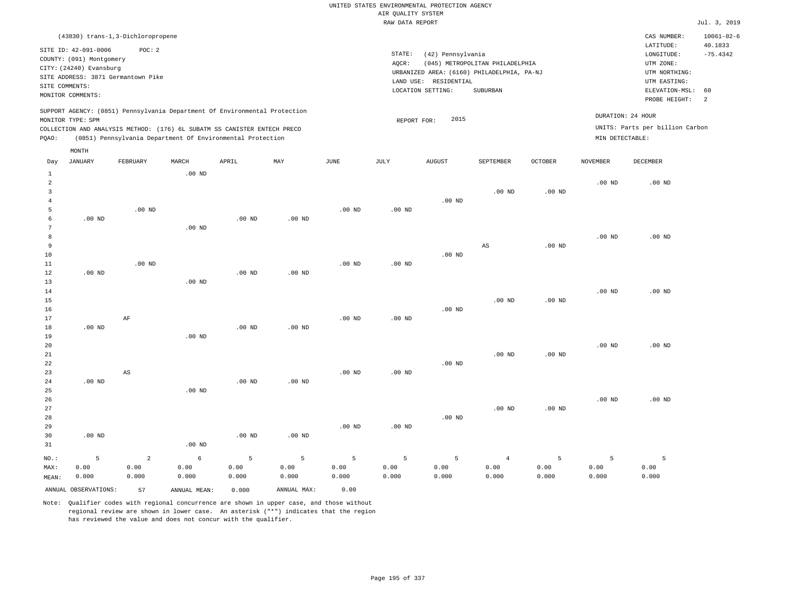|                     |                          |                                    |                   |                                                                            |                   |                       | UNITED STATES ENVIRONMENTAL PROTECTION AGENCY<br>AIR QUALITY SYSTEM |                       |                                            |                   |                   |                                 |                       |
|---------------------|--------------------------|------------------------------------|-------------------|----------------------------------------------------------------------------|-------------------|-----------------------|---------------------------------------------------------------------|-----------------------|--------------------------------------------|-------------------|-------------------|---------------------------------|-----------------------|
|                     |                          |                                    |                   |                                                                            |                   |                       | RAW DATA REPORT                                                     |                       |                                            |                   |                   |                                 | Jul. 3, 2019          |
|                     |                          | (43830) trans-1,3-Dichloropropene  |                   |                                                                            |                   |                       |                                                                     |                       |                                            |                   |                   | CAS NUMBER:                     | $10061 - 02 - 6$      |
|                     | SITE ID: 42-091-0006     | POC: 2                             |                   |                                                                            |                   |                       | STATE:                                                              | (42) Pennsylvania     |                                            |                   |                   | LATITUDE:<br>LONGITUDE:         | 40.1833<br>$-75.4342$ |
|                     | COUNTY: (091) Montgomery |                                    |                   |                                                                            |                   |                       | AOCR:                                                               |                       | (045) METROPOLITAN PHILADELPHIA            |                   |                   | UTM ZONE:                       |                       |
|                     | CITY: (24240) Evansburg  |                                    |                   |                                                                            |                   |                       |                                                                     |                       | URBANIZED AREA: (6160) PHILADELPHIA, PA-NJ |                   |                   | UTM NORTHING:                   |                       |
|                     |                          | SITE ADDRESS: 3871 Germantown Pike |                   |                                                                            |                   |                       |                                                                     | LAND USE: RESIDENTIAL |                                            |                   |                   | UTM EASTING:                    |                       |
|                     | SITE COMMENTS:           |                                    |                   |                                                                            |                   |                       |                                                                     | LOCATION SETTING:     | <b>SUBURBAN</b>                            |                   |                   | ELEVATION-MSL:                  | 60                    |
|                     | MONITOR COMMENTS:        |                                    |                   |                                                                            |                   |                       |                                                                     |                       |                                            |                   |                   | PROBE HEIGHT:                   | 2                     |
|                     | MONITOR TYPE: SPM        |                                    |                   | SUPPORT AGENCY: (0851) Pennsylvania Department Of Environmental Protection |                   |                       |                                                                     | 2015                  |                                            |                   |                   | DURATION: 24 HOUR               |                       |
|                     |                          |                                    |                   | COLLECTION AND ANALYSIS METHOD: (176) 6L SUBATM SS CANISTER ENTECH PRECO   |                   |                       | REPORT FOR:                                                         |                       |                                            |                   |                   | UNITS: Parts per billion Carbon |                       |
| PQAO:               |                          |                                    |                   | (0851) Pennsylvania Department Of Environmental Protection                 |                   |                       |                                                                     |                       |                                            |                   | MIN DETECTABLE:   |                                 |                       |
|                     | MONTH                    |                                    |                   |                                                                            |                   |                       |                                                                     |                       |                                            |                   |                   |                                 |                       |
| Day                 | <b>JANUARY</b>           | FEBRUARY                           | MARCH             | APRIL                                                                      | MAY               | $\operatorname{JUNE}$ | JULY                                                                | <b>AUGUST</b>         | SEPTEMBER                                  | OCTOBER           | <b>NOVEMBER</b>   | DECEMBER                        |                       |
| $\mathbf{1}$        |                          |                                    | .00 <sub>ND</sub> |                                                                            |                   |                       |                                                                     |                       |                                            |                   |                   |                                 |                       |
| $\overline{a}$<br>3 |                          |                                    |                   |                                                                            |                   |                       |                                                                     |                       |                                            |                   | $.00$ ND          | .00 <sub>ND</sub>               |                       |
| $\overline{4}$      |                          |                                    |                   |                                                                            |                   |                       |                                                                     | $.00$ ND              | $.00$ ND                                   | .00 <sub>ND</sub> |                   |                                 |                       |
| $\overline{5}$      |                          | .00 <sub>ND</sub>                  |                   |                                                                            |                   | $.00$ ND              | $.00$ ND                                                            |                       |                                            |                   |                   |                                 |                       |
| 6                   | $.00$ ND                 |                                    |                   | $.00$ ND                                                                   | $.00$ ND          |                       |                                                                     |                       |                                            |                   |                   |                                 |                       |
| $7\phantom{.0}$     |                          |                                    | $.00$ ND          |                                                                            |                   |                       |                                                                     |                       |                                            |                   |                   |                                 |                       |
| $^{\rm 8}$          |                          |                                    |                   |                                                                            |                   |                       |                                                                     |                       |                                            |                   | .00 <sub>ND</sub> | $.00$ ND                        |                       |
| 9                   |                          |                                    |                   |                                                                            |                   |                       |                                                                     |                       | $\mathbb{A}\mathbb{S}$                     | $.00$ ND          |                   |                                 |                       |
| 10                  |                          |                                    |                   |                                                                            |                   |                       |                                                                     | $.00$ ND              |                                            |                   |                   |                                 |                       |
| 11                  |                          | $.00$ ND                           |                   |                                                                            |                   | $.00$ ND              | $.00$ ND                                                            |                       |                                            |                   |                   |                                 |                       |
| 12                  | $.00$ ND                 |                                    |                   | .00 <sub>ND</sub>                                                          | $.00$ ND          |                       |                                                                     |                       |                                            |                   |                   |                                 |                       |
| 13                  |                          |                                    | .00 <sub>ND</sub> |                                                                            |                   |                       |                                                                     |                       |                                            |                   | .00 <sub>ND</sub> | $.00$ ND                        |                       |
| 14<br>15            |                          |                                    |                   |                                                                            |                   |                       |                                                                     |                       | $.00$ ND                                   | $.00$ ND          |                   |                                 |                       |
| 16                  |                          |                                    |                   |                                                                            |                   |                       |                                                                     | $.00$ ND              |                                            |                   |                   |                                 |                       |
| 17                  |                          | $\rm AF$                           |                   |                                                                            |                   | .00 <sub>ND</sub>     | $.00$ ND                                                            |                       |                                            |                   |                   |                                 |                       |
| 18                  | $.00$ ND                 |                                    |                   | .00 <sub>ND</sub>                                                          | .00 <sub>ND</sub> |                       |                                                                     |                       |                                            |                   |                   |                                 |                       |
| 19                  |                          |                                    | $.00$ ND          |                                                                            |                   |                       |                                                                     |                       |                                            |                   |                   |                                 |                       |
| 20                  |                          |                                    |                   |                                                                            |                   |                       |                                                                     |                       |                                            |                   | .00 <sub>ND</sub> | $.00$ ND                        |                       |
| 21                  |                          |                                    |                   |                                                                            |                   |                       |                                                                     |                       | $.00$ ND                                   | $.00$ ND          |                   |                                 |                       |
| 22                  |                          |                                    |                   |                                                                            |                   |                       |                                                                     | $.00$ ND              |                                            |                   |                   |                                 |                       |
| 23                  |                          | AS                                 |                   |                                                                            |                   | .00 <sub>ND</sub>     | $.00$ ND                                                            |                       |                                            |                   |                   |                                 |                       |
| 24                  | $.00$ ND                 |                                    |                   | $.00$ ND                                                                   | $.00$ ND          |                       |                                                                     |                       |                                            |                   |                   |                                 |                       |
| 25                  |                          |                                    | $.00$ ND          |                                                                            |                   |                       |                                                                     |                       |                                            |                   | .00 <sub>ND</sub> | $.00$ ND                        |                       |
| 26<br>27            |                          |                                    |                   |                                                                            |                   |                       |                                                                     |                       | $.00$ ND                                   | .00 <sub>ND</sub> |                   |                                 |                       |
| 28                  |                          |                                    |                   |                                                                            |                   |                       |                                                                     | $.00$ ND              |                                            |                   |                   |                                 |                       |
| 29                  |                          |                                    |                   |                                                                            |                   | .00 <sub>ND</sub>     | $.00$ ND                                                            |                       |                                            |                   |                   |                                 |                       |
| 30                  | $.00$ ND                 |                                    |                   | .00 <sub>ND</sub>                                                          | $.00$ ND          |                       |                                                                     |                       |                                            |                   |                   |                                 |                       |
| 31                  |                          |                                    | $.00$ ND          |                                                                            |                   |                       |                                                                     |                       |                                            |                   |                   |                                 |                       |
| NO.:                | 5                        | $\overline{2}$                     | 6                 | 5                                                                          | 5                 | 5                     | 5                                                                   | 5                     | $\overline{4}$                             | 5                 | 5                 | 5                               |                       |

MEAN: 0.000 0.000 0.000 0.00 0.000 0.000 0.000 0.000 ANNUAL OBSERVATIONS: 57 ANNUAL MEAN: 0.000 ANNUAL MAX: 0.00

0.00

0.00

Note: Qualifier codes with regional concurrence are shown in upper case, and those without regional review are shown in lower case. An asterisk ("\*") indicates that the region has reviewed the value and does not concur with the qualifier.

0.00

NO.: MAX:

0.00

0.00

0.00

 0.00 0.000

 0.00 0.000

 0.00 0.000

 0.00 0.000  0.00 0.000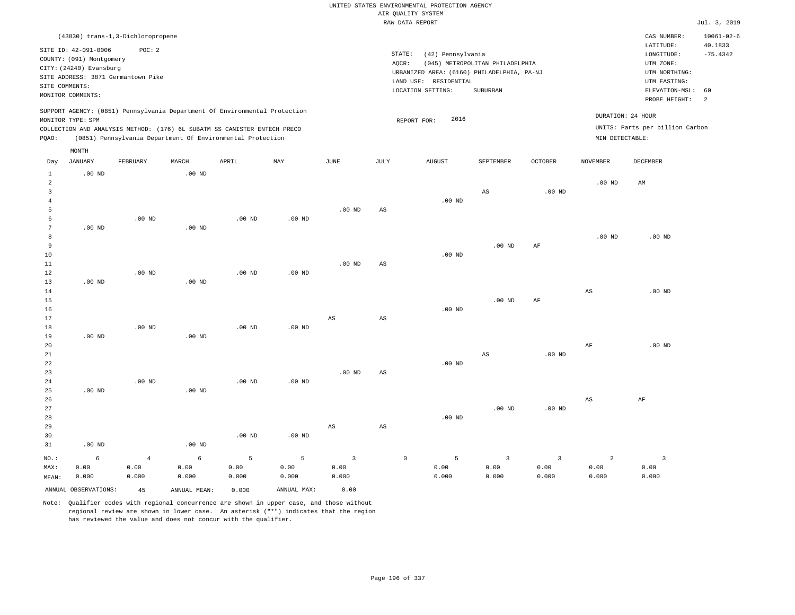|                                  |                                    |                   |               |                                                                            |                   |                   |                        | UNITED STATES ENVIRONMENTAL PROTECTION AGENCY |                                 |                   |                        |                                 |                  |
|----------------------------------|------------------------------------|-------------------|---------------|----------------------------------------------------------------------------|-------------------|-------------------|------------------------|-----------------------------------------------|---------------------------------|-------------------|------------------------|---------------------------------|------------------|
|                                  |                                    |                   |               |                                                                            |                   |                   |                        | AIR QUALITY SYSTEM                            |                                 |                   |                        |                                 |                  |
|                                  |                                    |                   |               |                                                                            |                   |                   |                        | RAW DATA REPORT                               |                                 |                   |                        |                                 | Jul. 3, 2019     |
|                                  | (43830) trans-1,3-Dichloropropene  |                   |               |                                                                            |                   |                   |                        |                                               |                                 |                   |                        | CAS NUMBER:                     | $10061 - 02 - 6$ |
|                                  | SITE ID: 42-091-0006               | POC: 2            |               |                                                                            |                   |                   |                        |                                               |                                 |                   |                        | LATITUDE:                       | 40.1833          |
|                                  | COUNTY: (091) Montgomery           |                   |               |                                                                            |                   |                   | STATE:                 | (42) Pennsylvania                             |                                 |                   |                        | LONGITUDE:                      | $-75.4342$       |
|                                  | CITY: (24240) Evansburg            |                   |               |                                                                            |                   |                   | AQCR:                  | URBANIZED AREA: (6160) PHILADELPHIA, PA-NJ    | (045) METROPOLITAN PHILADELPHIA |                   |                        | UTM ZONE:<br>UTM NORTHING:      |                  |
|                                  | SITE ADDRESS: 3871 Germantown Pike |                   |               |                                                                            |                   |                   |                        | LAND USE: RESIDENTIAL                         |                                 |                   |                        | UTM EASTING:                    |                  |
| SITE COMMENTS:                   |                                    |                   |               |                                                                            |                   |                   |                        | LOCATION SETTING:                             | <b>SUBURBAN</b>                 |                   |                        | ELEVATION-MSL:                  | 60               |
|                                  | MONITOR COMMENTS:                  |                   |               |                                                                            |                   |                   |                        |                                               |                                 |                   |                        | PROBE HEIGHT:                   | $\overline{a}$   |
|                                  |                                    |                   |               | SUPPORT AGENCY: (0851) Pennsylvania Department Of Environmental Protection |                   |                   |                        |                                               |                                 |                   |                        |                                 |                  |
|                                  | MONITOR TYPE: SPM                  |                   |               |                                                                            |                   |                   |                        | 2016<br>REPORT FOR:                           |                                 |                   |                        | DURATION: 24 HOUR               |                  |
|                                  |                                    |                   |               | COLLECTION AND ANALYSIS METHOD: (176) 6L SUBATM SS CANISTER ENTECH PRECO   |                   |                   |                        |                                               |                                 |                   |                        | UNITS: Parts per billion Carbon |                  |
| PQAO:                            |                                    |                   |               | (0851) Pennsylvania Department Of Environmental Protection                 |                   |                   |                        |                                               |                                 |                   | MIN DETECTABLE:        |                                 |                  |
|                                  | MONTH                              |                   |               |                                                                            |                   |                   |                        |                                               |                                 |                   |                        |                                 |                  |
| Day                              | <b>JANUARY</b>                     | FEBRUARY          | MARCH         | APRIL                                                                      | MAY               | <b>JUNE</b>       | <b>JULY</b>            | <b>AUGUST</b>                                 | SEPTEMBER                       | <b>OCTOBER</b>    | <b>NOVEMBER</b>        | <b>DECEMBER</b>                 |                  |
| $\mathbf{1}$                     | $.00$ ND                           |                   | $.00$ ND      |                                                                            |                   |                   |                        |                                               |                                 |                   |                        |                                 |                  |
| $\overline{2}$                   |                                    |                   |               |                                                                            |                   |                   |                        |                                               |                                 |                   | $.00$ ND               | AM                              |                  |
| $\overline{3}$<br>$\overline{4}$ |                                    |                   |               |                                                                            |                   |                   |                        | $.00$ ND                                      | AS                              | .00 <sub>ND</sub> |                        |                                 |                  |
| 5                                |                                    |                   |               |                                                                            |                   | .00 <sub>ND</sub> | $_{\rm AS}$            |                                               |                                 |                   |                        |                                 |                  |
| -6                               |                                    | $.00$ ND          |               | .00 <sub>ND</sub>                                                          | $.00$ ND          |                   |                        |                                               |                                 |                   |                        |                                 |                  |
| $\overline{7}$                   | $.00$ ND                           |                   | $.00$ ND      |                                                                            |                   |                   |                        |                                               |                                 |                   |                        |                                 |                  |
| 8                                |                                    |                   |               |                                                                            |                   |                   |                        |                                               |                                 |                   | $.00$ ND               | $.00$ ND                        |                  |
| 9                                |                                    |                   |               |                                                                            |                   |                   |                        |                                               | $.00$ ND                        | AF                |                        |                                 |                  |
| 10                               |                                    |                   |               |                                                                            |                   |                   |                        | $.00$ ND                                      |                                 |                   |                        |                                 |                  |
| $11\,$                           |                                    |                   |               |                                                                            |                   | $.00$ ND          | $_{\rm AS}$            |                                               |                                 |                   |                        |                                 |                  |
| 12                               |                                    | $.00$ ND          |               | .00 <sub>ND</sub>                                                          | $.00$ ND          |                   |                        |                                               |                                 |                   |                        |                                 |                  |
| 13                               | $.00$ ND                           |                   | $.00$ ND      |                                                                            |                   |                   |                        |                                               |                                 |                   |                        |                                 |                  |
| 14                               |                                    |                   |               |                                                                            |                   |                   |                        |                                               |                                 |                   | $\mathbb{A}\mathbb{S}$ | $.00$ ND                        |                  |
| 15<br>16                         |                                    |                   |               |                                                                            |                   |                   |                        | $.00$ ND                                      | $.00$ ND                        | AF                |                        |                                 |                  |
| 17                               |                                    |                   |               |                                                                            |                   | $_{\rm AS}$       | AS                     |                                               |                                 |                   |                        |                                 |                  |
| 18                               |                                    | $.00$ ND          |               | $.00$ ND                                                                   | $.00$ ND          |                   |                        |                                               |                                 |                   |                        |                                 |                  |
| 19                               | $.00$ ND                           |                   | $.00$ ND      |                                                                            |                   |                   |                        |                                               |                                 |                   |                        |                                 |                  |
| 20                               |                                    |                   |               |                                                                            |                   |                   |                        |                                               |                                 |                   | AF                     | $.00$ ND                        |                  |
| $2\sqrt{1}$                      |                                    |                   |               |                                                                            |                   |                   |                        |                                               | $\mathbb{A}\mathbb{S}$          | .00 <sub>ND</sub> |                        |                                 |                  |
| 22                               |                                    |                   |               |                                                                            |                   |                   |                        | $.00$ ND                                      |                                 |                   |                        |                                 |                  |
| 23                               |                                    |                   |               |                                                                            |                   | .00 <sub>ND</sub> | $\mathbb{A}\mathbb{S}$ |                                               |                                 |                   |                        |                                 |                  |
| 24                               |                                    | .00 <sub>ND</sub> |               | .00 <sub>ND</sub>                                                          | .00 <sub>ND</sub> |                   |                        |                                               |                                 |                   |                        |                                 |                  |
| 25                               | $.00$ ND                           |                   | $.00$ ND      |                                                                            |                   |                   |                        |                                               |                                 |                   |                        |                                 |                  |
| 26<br>27                         |                                    |                   |               |                                                                            |                   |                   |                        |                                               | .00 <sub>ND</sub>               | .00 <sub>ND</sub> | $_{\rm AS}$            | $\rm AF$                        |                  |
| $2\,8$                           |                                    |                   |               |                                                                            |                   |                   |                        | $.00$ ND                                      |                                 |                   |                        |                                 |                  |
| 29                               |                                    |                   |               |                                                                            |                   | AS                | AS                     |                                               |                                 |                   |                        |                                 |                  |
| 30                               |                                    |                   |               | $.00$ ND                                                                   | $.00$ ND          |                   |                        |                                               |                                 |                   |                        |                                 |                  |
| 31                               | .00 <sub>ND</sub>                  |                   | $.00$ ND      |                                                                            |                   |                   |                        |                                               |                                 |                   |                        |                                 |                  |
| $NO.$ :                          | 6                                  | $\overline{4}$    | $\epsilon$    | 5                                                                          | $\overline{5}$    | $\overline{3}$    |                        | 5<br>$\mathsf{O}$                             | $\overline{3}$                  | $\overline{3}$    | $\overline{a}$         | $\mathbf{3}$                    |                  |
| MAX:                             | 0.00                               | 0.00              | 0.00          | 0.00                                                                       | 0.00              | 0.00              |                        | 0.00                                          | 0.00                            | 0.00              | 0.00                   | 0.00                            |                  |
| MEAN:                            | 0.000                              | 0.000             | 0.000         | 0.000                                                                      | 0.000             | 0.000             |                        | 0.000                                         | 0.000                           | 0.000             | 0.000                  | 0.000                           |                  |
|                                  | ANNUAL OBSERVATIONS:               | 4.5               | ANNUAL, MEAN: | 0.000                                                                      | ANNUAL MAX:       | 0.00              |                        |                                               |                                 |                   |                        |                                 |                  |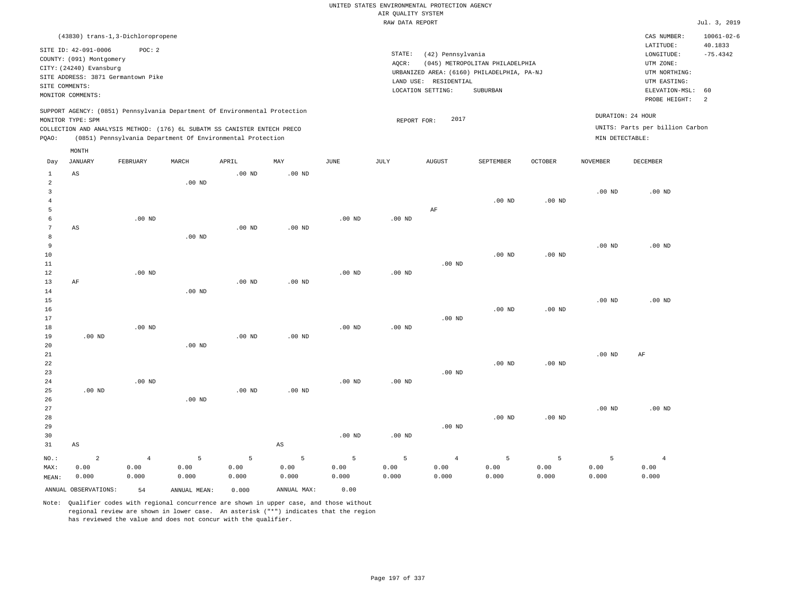|                                            |                                                                                                                                                        |                                 |                    |                                                                                                                                                                                                                      |                        |                    |                             | UNITED STATES ENVIRONMENTAL PROTECTION AGENCY |                                                                               |                    |                                      |                                                                                      |                                           |
|--------------------------------------------|--------------------------------------------------------------------------------------------------------------------------------------------------------|---------------------------------|--------------------|----------------------------------------------------------------------------------------------------------------------------------------------------------------------------------------------------------------------|------------------------|--------------------|-----------------------------|-----------------------------------------------|-------------------------------------------------------------------------------|--------------------|--------------------------------------|--------------------------------------------------------------------------------------|-------------------------------------------|
|                                            |                                                                                                                                                        |                                 |                    |                                                                                                                                                                                                                      |                        |                    | AIR QUALITY SYSTEM          |                                               |                                                                               |                    |                                      |                                                                                      |                                           |
|                                            |                                                                                                                                                        |                                 |                    |                                                                                                                                                                                                                      |                        |                    | RAW DATA REPORT             |                                               |                                                                               |                    |                                      |                                                                                      | Jul. 3, 2019                              |
|                                            | (43830) trans-1,3-Dichloropropene<br>SITE ID: 42-091-0006<br>COUNTY: (091) Montgomery<br>CITY: (24240) Evansburg<br>SITE ADDRESS: 3871 Germantown Pike | POC: 2                          |                    |                                                                                                                                                                                                                      |                        |                    | $\texttt{STATE}$ :<br>AQCR: | (42) Pennsylvania<br>LAND USE: RESIDENTIAL    | (045) METROPOLITAN PHILADELPHIA<br>URBANIZED AREA: (6160) PHILADELPHIA, PA-NJ |                    |                                      | CAS NUMBER:<br>LATITUDE:<br>LONGITUDE:<br>UTM ZONE:<br>UTM NORTHING:<br>UTM EASTING: | $10061 - 02 - 6$<br>40.1833<br>$-75.4342$ |
| SITE COMMENTS:                             |                                                                                                                                                        |                                 |                    |                                                                                                                                                                                                                      |                        |                    |                             | LOCATION SETTING:                             | SUBURBAN                                                                      |                    |                                      | ELEVATION-MSL:                                                                       | 60                                        |
|                                            | MONITOR COMMENTS:                                                                                                                                      |                                 |                    |                                                                                                                                                                                                                      |                        |                    |                             |                                               |                                                                               |                    |                                      | PROBE HEIGHT:                                                                        | 2                                         |
| PQAO:                                      | MONITOR TYPE: SPM                                                                                                                                      |                                 |                    | SUPPORT AGENCY: (0851) Pennsylvania Department Of Environmental Protection<br>COLLECTION AND ANALYSIS METHOD: (176) 6L SUBATM SS CANISTER ENTECH PRECO<br>(0851) Pennsylvania Department Of Environmental Protection |                        |                    | REPORT FOR:                 | 2017                                          |                                                                               |                    | DURATION: 24 HOUR<br>MIN DETECTABLE: | UNITS: Parts per billion Carbon                                                      |                                           |
|                                            | MONTH                                                                                                                                                  |                                 |                    |                                                                                                                                                                                                                      |                        |                    |                             |                                               |                                                                               |                    |                                      |                                                                                      |                                           |
| Day                                        | JANUARY                                                                                                                                                | FEBRUARY                        | MARCH              | APRIL                                                                                                                                                                                                                | MAY                    | $_{\rm JUNE}$      | $\mathtt{JULY}$             | <b>AUGUST</b>                                 | SEPTEMBER                                                                     | <b>OCTOBER</b>     | <b>NOVEMBER</b>                      | <b>DECEMBER</b>                                                                      |                                           |
| $\mathbf{1}$<br>$\sqrt{2}$<br>$\mathbf{3}$ | $\mathbb{A}\mathbb{S}$                                                                                                                                 |                                 | $.00$ ND           | $.00$ ND                                                                                                                                                                                                             | .00 <sub>ND</sub>      |                    |                             |                                               |                                                                               |                    | $.00$ ND                             | $.00$ ND                                                                             |                                           |
| $\overline{4}$<br>5<br>6<br>$\overline{7}$ | AS                                                                                                                                                     | $.00$ ND                        |                    | $.00$ ND                                                                                                                                                                                                             | .00 <sub>ND</sub>      | $.00$ ND           | .00 <sub>ND</sub>           | AF                                            | $.00$ ND                                                                      | $.00$ ND           |                                      |                                                                                      |                                           |
| 8<br>9<br>10<br>11<br>12                   |                                                                                                                                                        | .00 <sub>ND</sub>               | $.00$ ND           |                                                                                                                                                                                                                      |                        | .00 <sub>ND</sub>  | $.00$ ND                    | $.00$ ND                                      | $.00$ ND                                                                      | $.00$ ND           | $.00$ ND                             | $.00$ ND                                                                             |                                           |
| 13<br>14<br>15<br>16                       | AF                                                                                                                                                     |                                 | .00 <sub>ND</sub>  | .00 <sub>ND</sub>                                                                                                                                                                                                    | $.00$ ND               |                    |                             |                                               | $.00$ ND                                                                      | .00 <sub>ND</sub>  | .00 <sub>ND</sub>                    | $.00$ ND                                                                             |                                           |
| 17<br>18<br>19<br>20                       | $.00$ ND                                                                                                                                               | $.00$ ND                        | $.00$ ND           | $.00$ ND                                                                                                                                                                                                             | $.00$ ND               | $.00$ ND           | .00 <sub>ND</sub>           | $.00$ ND                                      |                                                                               |                    |                                      |                                                                                      |                                           |
| 21<br>22<br>23<br>24                       |                                                                                                                                                        | $.00$ ND                        |                    |                                                                                                                                                                                                                      |                        | $.00$ ND           | .00 <sub>ND</sub>           | $.00$ ND                                      | $.00$ ND                                                                      | $.00$ ND           | $.00$ ND                             | AF                                                                                   |                                           |
| 25<br>26<br>27<br>28                       | $.00$ ND                                                                                                                                               |                                 | $.00$ ND           | $.00$ ND                                                                                                                                                                                                             | $.00$ ND               |                    |                             |                                               | $.00$ ND                                                                      | $.00$ ND           | .00 <sub>ND</sub>                    | $.00$ ND                                                                             |                                           |
| 29<br>30<br>31                             | $_{\rm AS}$                                                                                                                                            |                                 |                    |                                                                                                                                                                                                                      | $\mathbb{A}\mathbb{S}$ | $.00$ ND           | $.00$ ND                    | $.00$ ND                                      |                                                                               |                    |                                      |                                                                                      |                                           |
| NO.:<br>MAX:<br>MEAN:                      | $\overline{a}$<br>0.00<br>0.000                                                                                                                        | $\overline{4}$<br>0.00<br>0.000 | 5<br>0.00<br>0.000 | 5<br>0.00<br>0.000                                                                                                                                                                                                   | 5<br>0.00<br>0.000     | 5<br>0.00<br>0.000 | 5<br>0.00<br>0.000          | $\overline{4}$<br>0.00<br>0.000               | 5<br>0.00<br>0.000                                                            | 5<br>0.00<br>0.000 | 5<br>0.00<br>0.000                   | $\overline{4}$<br>0.00<br>0.000                                                      |                                           |
|                                            | ANNUAL OBSERVATIONS:                                                                                                                                   | 54                              | ANNUAL, MEAN:      | 0.000                                                                                                                                                                                                                | ANNUAL MAX:            | 0.00               |                             |                                               |                                                                               |                    |                                      |                                                                                      |                                           |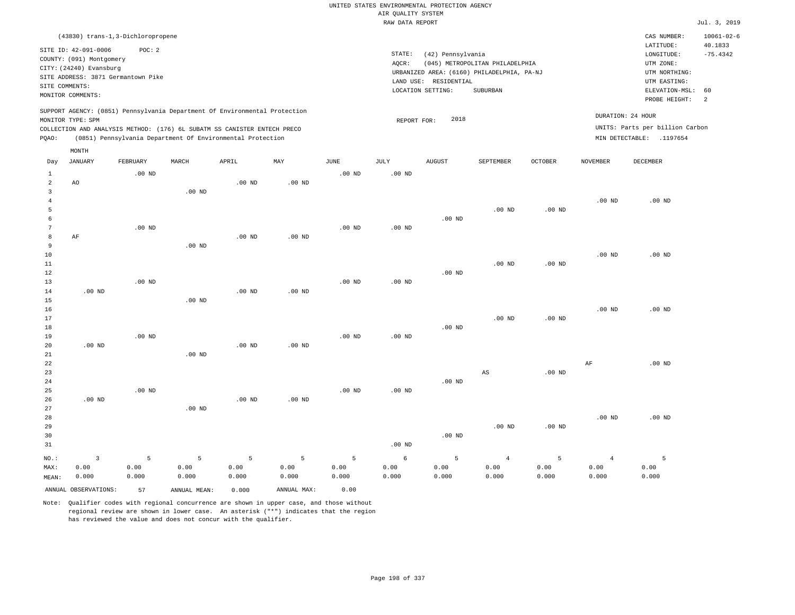|                                  |                                                                            |                   |                                                            |          |             |                   |                    | UNITED STATES ENVIRONMENTAL PROTECTION AGENCY |                                            |                |                   |                                 |                  |
|----------------------------------|----------------------------------------------------------------------------|-------------------|------------------------------------------------------------|----------|-------------|-------------------|--------------------|-----------------------------------------------|--------------------------------------------|----------------|-------------------|---------------------------------|------------------|
|                                  |                                                                            |                   |                                                            |          |             |                   | AIR QUALITY SYSTEM |                                               |                                            |                |                   |                                 |                  |
|                                  |                                                                            |                   |                                                            |          |             |                   | RAW DATA REPORT    |                                               |                                            |                |                   |                                 | Jul. 3, 2019     |
|                                  | (43830) trans-1,3-Dichloropropene                                          |                   |                                                            |          |             |                   |                    |                                               |                                            |                |                   | CAS NUMBER:                     | $10061 - 02 - 6$ |
|                                  | SITE ID: 42-091-0006                                                       | POC: 2            |                                                            |          |             |                   |                    |                                               |                                            |                |                   | LATITUDE:                       | 40.1833          |
|                                  | COUNTY: (091) Montgomery                                                   |                   |                                                            |          |             |                   | STATE:             | (42) Pennsylvania                             |                                            |                |                   | LONGITUDE:                      | $-75.4342$       |
|                                  | CITY: (24240) Evansburg                                                    |                   |                                                            |          |             |                   | AOCR:              |                                               | (045) METROPOLITAN PHILADELPHIA            |                |                   | UTM ZONE:                       |                  |
|                                  | SITE ADDRESS: 3871 Germantown Pike                                         |                   |                                                            |          |             |                   |                    | LAND USE: RESIDENTIAL                         | URBANIZED AREA: (6160) PHILADELPHIA, PA-NJ |                |                   | UTM NORTHING:<br>UTM EASTING:   |                  |
| SITE COMMENTS:                   |                                                                            |                   |                                                            |          |             |                   |                    | LOCATION SETTING:                             | SUBURBAN                                   |                |                   | ELEVATION-MSL:                  | 60               |
|                                  | MONITOR COMMENTS:                                                          |                   |                                                            |          |             |                   |                    |                                               |                                            |                |                   | PROBE HEIGHT:                   | 2                |
|                                  | SUPPORT AGENCY: (0851) Pennsylvania Department Of Environmental Protection |                   |                                                            |          |             |                   |                    |                                               |                                            |                |                   |                                 |                  |
|                                  | MONITOR TYPE: SPM                                                          |                   |                                                            |          |             |                   | REPORT FOR:        | 2018                                          |                                            |                |                   | DURATION: 24 HOUR               |                  |
|                                  | COLLECTION AND ANALYSIS METHOD: (176) 6L SUBATM SS CANISTER ENTECH PRECO   |                   |                                                            |          |             |                   |                    |                                               |                                            |                |                   | UNITS: Parts per billion Carbon |                  |
| PQAO:                            |                                                                            |                   | (0851) Pennsylvania Department Of Environmental Protection |          |             |                   |                    |                                               |                                            |                |                   | MIN DETECTABLE: .1197654        |                  |
|                                  | MONTH                                                                      |                   |                                                            |          |             |                   |                    |                                               |                                            |                |                   |                                 |                  |
| Day                              | <b>JANUARY</b>                                                             | FEBRUARY          | MARCH                                                      | APRIL    | MAY         | JUNE              | JULY               | <b>AUGUST</b>                                 | SEPTEMBER                                  | <b>OCTOBER</b> | <b>NOVEMBER</b>   | <b>DECEMBER</b>                 |                  |
| 1                                |                                                                            | $.00$ ND          |                                                            |          |             | .00 <sub>ND</sub> | $.00$ ND           |                                               |                                            |                |                   |                                 |                  |
| $\overline{a}$                   | AO                                                                         |                   |                                                            | $.00$ ND | $.00$ ND    |                   |                    |                                               |                                            |                |                   |                                 |                  |
| $\overline{3}$<br>$\overline{4}$ |                                                                            |                   | .00 <sub>ND</sub>                                          |          |             |                   |                    |                                               |                                            |                | .00 <sub>ND</sub> | $.00$ ND                        |                  |
| 5                                |                                                                            |                   |                                                            |          |             |                   |                    |                                               | .00 <sub>ND</sub>                          | $.00$ ND       |                   |                                 |                  |
| 6                                |                                                                            |                   |                                                            |          |             |                   |                    | $.00$ ND                                      |                                            |                |                   |                                 |                  |
| $7\phantom{.0}$                  |                                                                            | .00 <sub>ND</sub> |                                                            |          |             | $.00$ ND          | $.00$ ND           |                                               |                                            |                |                   |                                 |                  |
| 8                                | AF                                                                         |                   |                                                            | $.00$ ND | $.00$ ND    |                   |                    |                                               |                                            |                |                   |                                 |                  |
| 9                                |                                                                            |                   | .00 <sub>ND</sub>                                          |          |             |                   |                    |                                               |                                            |                |                   |                                 |                  |
| 10                               |                                                                            |                   |                                                            |          |             |                   |                    |                                               |                                            |                | .00 <sub>ND</sub> | $.00$ ND                        |                  |
| 11                               |                                                                            |                   |                                                            |          |             |                   |                    |                                               | .00 <sub>ND</sub>                          | $.00$ ND       |                   |                                 |                  |
| 12                               |                                                                            |                   |                                                            |          |             |                   |                    | $.00$ ND                                      |                                            |                |                   |                                 |                  |
| 13                               |                                                                            | $.00 \text{ ND}$  |                                                            |          |             | .00 <sub>ND</sub> | $.00$ ND           |                                               |                                            |                |                   |                                 |                  |
| 14<br>15                         | $.00$ ND                                                                   |                   | $.00$ ND                                                   | $.00$ ND | $.00$ ND    |                   |                    |                                               |                                            |                |                   |                                 |                  |
| 16                               |                                                                            |                   |                                                            |          |             |                   |                    |                                               |                                            |                | .00 <sub>ND</sub> | $.00$ ND                        |                  |
| 17                               |                                                                            |                   |                                                            |          |             |                   |                    |                                               | $.00$ ND                                   | $.00$ ND       |                   |                                 |                  |
| 18                               |                                                                            |                   |                                                            |          |             |                   |                    | $.00$ ND                                      |                                            |                |                   |                                 |                  |
| 19                               |                                                                            | $.00$ ND          |                                                            |          |             | .00 <sub>ND</sub> | $.00$ ND           |                                               |                                            |                |                   |                                 |                  |
| 20                               | $.00$ ND                                                                   |                   |                                                            | $.00$ ND | $.00$ ND    |                   |                    |                                               |                                            |                |                   |                                 |                  |
| 21                               |                                                                            |                   | .00 <sub>ND</sub>                                          |          |             |                   |                    |                                               |                                            |                |                   |                                 |                  |
| 22                               |                                                                            |                   |                                                            |          |             |                   |                    |                                               |                                            |                | $\rm{AF}$         | $.00$ ND                        |                  |
| 23                               |                                                                            |                   |                                                            |          |             |                   |                    |                                               | $\mathbb{A}\mathbb{S}$                     | $.00$ ND       |                   |                                 |                  |
| 24<br>25                         |                                                                            | $.00$ ND          |                                                            |          |             | .00 <sub>ND</sub> | $.00$ ND           | $.00$ ND                                      |                                            |                |                   |                                 |                  |
| 26                               | $.00$ ND                                                                   |                   |                                                            | $.00$ ND | $.00$ ND    |                   |                    |                                               |                                            |                |                   |                                 |                  |
| 27                               |                                                                            |                   | $.00$ ND                                                   |          |             |                   |                    |                                               |                                            |                |                   |                                 |                  |
| 28                               |                                                                            |                   |                                                            |          |             |                   |                    |                                               |                                            |                | .00 <sub>ND</sub> | $.00$ ND                        |                  |
| 29                               |                                                                            |                   |                                                            |          |             |                   |                    |                                               | $.00$ ND                                   | $.00$ ND       |                   |                                 |                  |
| 30                               |                                                                            |                   |                                                            |          |             |                   |                    | $.00$ ND                                      |                                            |                |                   |                                 |                  |
| 31                               |                                                                            |                   |                                                            |          |             |                   | $.00$ ND           |                                               |                                            |                |                   |                                 |                  |
| NO.:                             | $\overline{\mathbf{3}}$                                                    | 5                 | 5                                                          | 5        | 5           | 5                 | 6                  | 5                                             | $\overline{4}$                             | 5              | $\overline{4}$    | 5                               |                  |
| MAX:                             | 0.00                                                                       | 0.00              | 0.00                                                       | 0.00     | 0.00        | 0.00              | 0.00               | 0.00                                          | 0.00                                       | 0.00           | 0.00              | 0.00                            |                  |
| MEAN:                            | 0.000                                                                      | 0.000             | 0.000                                                      | 0.000    | 0.000       | 0.000             | 0.000              | 0.000                                         | 0.000                                      | 0.000          | 0.000             | 0.000                           |                  |
|                                  | ANNUAL OBSERVATIONS:                                                       | 57                | ANNUAL MEAN:                                               | 0.000    | ANNUAL MAX: | 0.00              |                    |                                               |                                            |                |                   |                                 |                  |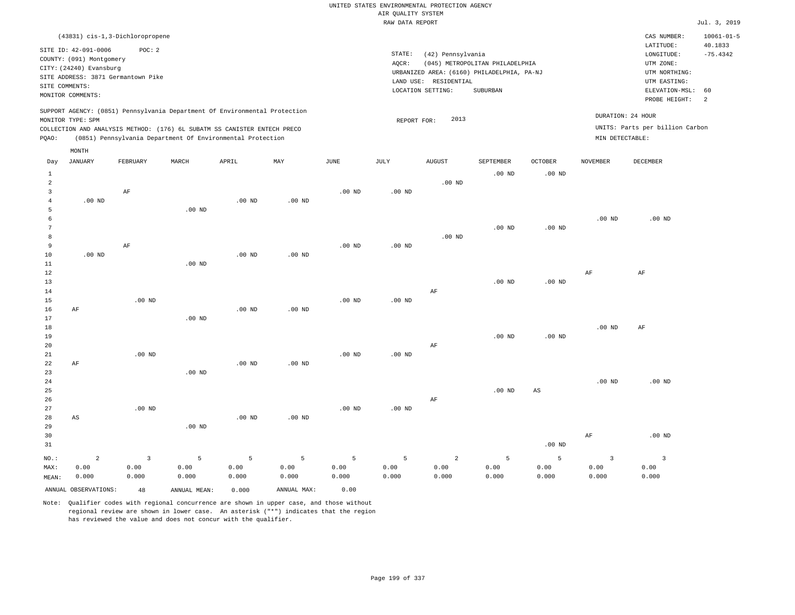|                |                          |                                                                            |                   |          |                   |                   |                    | UNITED STATES ENVIRONMENTAL PROTECTION AGENCY |                                 |                   |                   |                                 |                             |
|----------------|--------------------------|----------------------------------------------------------------------------|-------------------|----------|-------------------|-------------------|--------------------|-----------------------------------------------|---------------------------------|-------------------|-------------------|---------------------------------|-----------------------------|
|                |                          |                                                                            |                   |          |                   |                   | AIR QUALITY SYSTEM |                                               |                                 |                   |                   |                                 |                             |
|                |                          |                                                                            |                   |          |                   |                   | RAW DATA REPORT    |                                               |                                 |                   |                   |                                 | Jul. 3, 2019                |
|                |                          | (43831) cis-1,3-Dichloropropene                                            |                   |          |                   |                   |                    |                                               |                                 |                   |                   | CAS NUMBER:<br>LATITUDE:        | $10061 - 01 - 5$<br>40.1833 |
|                | SITE ID: 42-091-0006     | POC: 2                                                                     |                   |          |                   |                   | STATE:             | (42) Pennsylvania                             |                                 |                   |                   | LONGITUDE:                      | $-75.4342$                  |
|                | COUNTY: (091) Montgomery |                                                                            |                   |          |                   |                   | AQCR:              |                                               | (045) METROPOLITAN PHILADELPHIA |                   |                   | UTM ZONE:                       |                             |
|                | CITY: (24240) Evansburg  |                                                                            |                   |          |                   |                   |                    | URBANIZED AREA: (6160) PHILADELPHIA, PA-NJ    |                                 |                   |                   | UTM NORTHING:                   |                             |
| SITE COMMENTS: |                          | SITE ADDRESS: 3871 Germantown Pike                                         |                   |          |                   |                   |                    | LAND USE: RESIDENTIAL                         |                                 |                   |                   | UTM EASTING:                    |                             |
|                | MONITOR COMMENTS:        |                                                                            |                   |          |                   |                   |                    | LOCATION SETTING:                             | <b>SUBURBAN</b>                 |                   |                   | ELEVATION-MSL:                  | 60                          |
|                |                          |                                                                            |                   |          |                   |                   |                    |                                               |                                 |                   |                   | PROBE HEIGHT:                   | 2                           |
|                | MONITOR TYPE: SPM        | SUPPORT AGENCY: (0851) Pennsylvania Department Of Environmental Protection |                   |          |                   |                   | REPORT FOR:        | 2013                                          |                                 |                   |                   | DURATION: 24 HOUR               |                             |
|                |                          | COLLECTION AND ANALYSIS METHOD: (176) 6L SUBATM SS CANISTER ENTECH PRECO   |                   |          |                   |                   |                    |                                               |                                 |                   |                   | UNITS: Parts per billion Carbon |                             |
| PQAO:          |                          | (0851) Pennsylvania Department Of Environmental Protection                 |                   |          |                   |                   |                    |                                               |                                 |                   | MIN DETECTABLE:   |                                 |                             |
|                | MONTH                    |                                                                            |                   |          |                   |                   |                    |                                               |                                 |                   |                   |                                 |                             |
| Day            | <b>JANUARY</b>           | FEBRUARY                                                                   | MARCH             | APRIL    | MAY               | <b>JUNE</b>       | JULY               | <b>AUGUST</b>                                 | SEPTEMBER                       | <b>OCTOBER</b>    | <b>NOVEMBER</b>   | DECEMBER                        |                             |
| <sup>1</sup>   |                          |                                                                            |                   |          |                   |                   |                    |                                               | $.00$ ND                        | $.00$ ND          |                   |                                 |                             |
| $\overline{a}$ |                          |                                                                            |                   |          |                   |                   |                    | $.00$ ND                                      |                                 |                   |                   |                                 |                             |
| 3              |                          | AF                                                                         |                   |          |                   | $.00$ ND          | $.00$ ND           |                                               |                                 |                   |                   |                                 |                             |
| $\overline{4}$ | $.00$ ND                 |                                                                            |                   | $.00$ ND | .00 <sub>ND</sub> |                   |                    |                                               |                                 |                   |                   |                                 |                             |
| 5              |                          |                                                                            | $.00$ ND          |          |                   |                   |                    |                                               |                                 |                   |                   |                                 |                             |
| 6              |                          |                                                                            |                   |          |                   |                   |                    |                                               |                                 |                   | .00 <sub>ND</sub> | $.00$ ND                        |                             |
| 7              |                          |                                                                            |                   |          |                   |                   |                    |                                               | $.00$ ND                        | $.00$ ND          |                   |                                 |                             |
| 8              |                          |                                                                            |                   |          |                   |                   |                    | .00 <sub>ND</sub>                             |                                 |                   |                   |                                 |                             |
| 9              |                          | AF                                                                         |                   |          |                   | .00 <sub>ND</sub> | .00 <sub>ND</sub>  |                                               |                                 |                   |                   |                                 |                             |
| 10             | $.00$ ND                 |                                                                            |                   | $.00$ ND | $.00$ ND          |                   |                    |                                               |                                 |                   |                   |                                 |                             |
| 11             |                          |                                                                            | $.00$ ND          |          |                   |                   |                    |                                               |                                 |                   |                   |                                 |                             |
| 12<br>13       |                          |                                                                            |                   |          |                   |                   |                    |                                               | $.00$ ND                        | $.00$ ND          | AF                | AF                              |                             |
| 14             |                          |                                                                            |                   |          |                   |                   |                    | AF                                            |                                 |                   |                   |                                 |                             |
| 15             |                          | $.00$ ND                                                                   |                   |          |                   | .00 <sub>ND</sub> | $.00$ ND           |                                               |                                 |                   |                   |                                 |                             |
| 16             | AF                       |                                                                            |                   | $.00$ ND | $.00$ ND          |                   |                    |                                               |                                 |                   |                   |                                 |                             |
| 17             |                          |                                                                            | $.00$ ND          |          |                   |                   |                    |                                               |                                 |                   |                   |                                 |                             |
| 18             |                          |                                                                            |                   |          |                   |                   |                    |                                               |                                 |                   | .00 <sub>ND</sub> | AF                              |                             |
| 19             |                          |                                                                            |                   |          |                   |                   |                    |                                               | $.00$ ND                        | .00 <sub>ND</sub> |                   |                                 |                             |
| 20             |                          |                                                                            |                   |          |                   |                   |                    | AF                                            |                                 |                   |                   |                                 |                             |
| 21             |                          | $.00$ ND                                                                   |                   |          |                   | $.00$ ND          | .00 <sub>ND</sub>  |                                               |                                 |                   |                   |                                 |                             |
| 22<br>23       | AF                       |                                                                            | .00 <sub>ND</sub> | $.00$ ND | $.00$ ND          |                   |                    |                                               |                                 |                   |                   |                                 |                             |
| 24             |                          |                                                                            |                   |          |                   |                   |                    |                                               |                                 |                   | $.00$ ND          | $.00$ ND                        |                             |
| 25             |                          |                                                                            |                   |          |                   |                   |                    |                                               | $.00$ ND                        | AS                |                   |                                 |                             |
| 26             |                          |                                                                            |                   |          |                   |                   |                    | $\rm{AF}$                                     |                                 |                   |                   |                                 |                             |
| 27             |                          | $.00$ ND                                                                   |                   |          |                   | .00 <sub>ND</sub> | $.00$ ND           |                                               |                                 |                   |                   |                                 |                             |
| 28             | AS                       |                                                                            |                   | $.00$ ND | $.00$ ND          |                   |                    |                                               |                                 |                   |                   |                                 |                             |
| 29             |                          |                                                                            | $.00$ ND          |          |                   |                   |                    |                                               |                                 |                   |                   |                                 |                             |
| 30             |                          |                                                                            |                   |          |                   |                   |                    |                                               |                                 |                   | AF                | $.00$ ND                        |                             |
| 31             |                          |                                                                            |                   |          |                   |                   |                    |                                               |                                 | $.00$ ND          |                   |                                 |                             |
| NO.:           | 2                        | $\overline{\mathbf{3}}$                                                    | 5                 | 5        | 5                 | 5                 | 5                  | $\overline{a}$                                | 5                               | 5                 | 3                 | $\overline{3}$                  |                             |
| MAX:           | 0.00                     | 0.00                                                                       | 0.00              | 0.00     | 0.00              | 0.00              | 0.00               | 0.00                                          | 0.00                            | 0.00              | 0.00              | 0.00                            |                             |
| MEAN:          | 0.000                    | 0.000                                                                      | 0.000             | 0.000    | 0.000             | 0.000             | 0.000              | 0.000                                         | 0.000                           | 0.000             | 0.000             | 0.000                           |                             |

Note: Qualifier codes with regional concurrence are shown in upper case, and those without regional review are shown in lower case. An asterisk ("\*") indicates that the region

ANNUAL OBSERVATIONS: 48 ANNUAL MEAN: 0.000 ANNUAL MAX: 0.00

has reviewed the value and does not concur with the qualifier.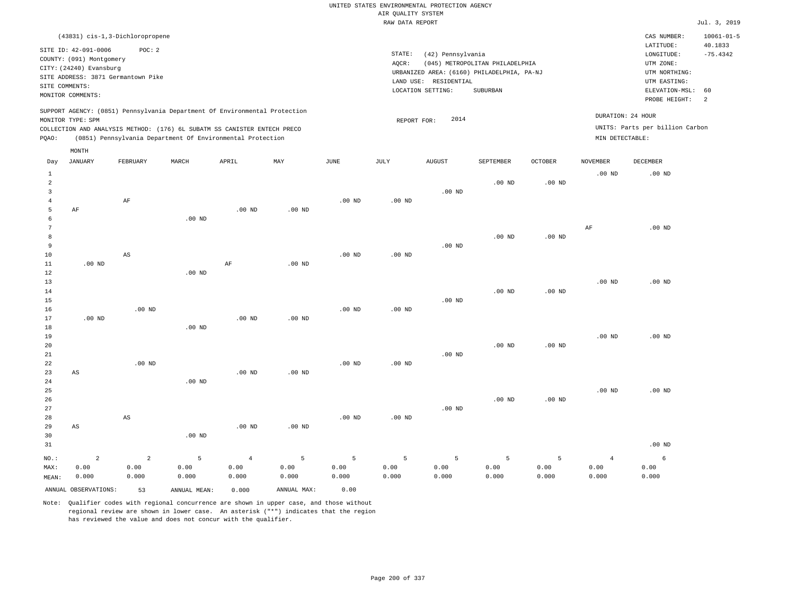|                                     |                                                         |                                 |                                                                            |                                 |                    |                    |                    | UNITED STATES ENVIRONMENTAL PROTECTION AGENCY |                                                                               |                    |                                 |                                          |                             |
|-------------------------------------|---------------------------------------------------------|---------------------------------|----------------------------------------------------------------------------|---------------------------------|--------------------|--------------------|--------------------|-----------------------------------------------|-------------------------------------------------------------------------------|--------------------|---------------------------------|------------------------------------------|-----------------------------|
|                                     |                                                         |                                 |                                                                            |                                 |                    |                    | AIR QUALITY SYSTEM |                                               |                                                                               |                    |                                 |                                          |                             |
|                                     |                                                         |                                 |                                                                            |                                 |                    |                    | RAW DATA REPORT    |                                               |                                                                               |                    |                                 |                                          | Jul. 3, 2019                |
|                                     | (43831) cis-1,3-Dichloropropene<br>SITE ID: 42-091-0006 | POC: 2                          |                                                                            |                                 |                    |                    |                    |                                               |                                                                               |                    |                                 | CAS NUMBER:<br>LATITUDE:                 | $10061 - 01 - 5$<br>40.1833 |
|                                     | COUNTY: (091) Montgomery<br>CITY: (24240) Evansburg     |                                 |                                                                            |                                 |                    |                    | STATE:<br>AOCR:    | (42) Pennsylvania                             | (045) METROPOLITAN PHILADELPHIA<br>URBANIZED AREA: (6160) PHILADELPHIA, PA-NJ |                    |                                 | LONGITUDE:<br>UTM ZONE:<br>UTM NORTHING: | $-75.4342$                  |
| SITE COMMENTS:                      | SITE ADDRESS: 3871 Germantown Pike<br>MONITOR COMMENTS: |                                 |                                                                            |                                 |                    |                    |                    | LAND USE: RESIDENTIAL<br>LOCATION SETTING:    | SUBURBAN                                                                      |                    |                                 | UTM EASTING:<br>ELEVATION-MSL:           | 60                          |
|                                     | MONITOR TYPE: SPM                                       |                                 | SUPPORT AGENCY: (0851) Pennsylvania Department Of Environmental Protection |                                 |                    |                    | REPORT FOR:        | 2014                                          |                                                                               |                    |                                 | PROBE HEIGHT:<br>DURATION: 24 HOUR       | $\overline{a}$              |
|                                     |                                                         |                                 | COLLECTION AND ANALYSIS METHOD: (176) 6L SUBATM SS CANISTER ENTECH PRECO   |                                 |                    |                    |                    |                                               |                                                                               |                    |                                 | UNITS: Parts per billion Carbon          |                             |
| PQAO:                               |                                                         |                                 | (0851) Pennsylvania Department Of Environmental Protection                 |                                 |                    |                    |                    |                                               |                                                                               |                    | MIN DETECTABLE:                 |                                          |                             |
|                                     | MONTH                                                   |                                 |                                                                            |                                 |                    |                    |                    |                                               |                                                                               |                    |                                 |                                          |                             |
| Day                                 | <b>JANUARY</b>                                          | FEBRUARY                        | MARCH                                                                      | APRIL                           | MAY                | JUNE               | JULY               | <b>AUGUST</b>                                 | SEPTEMBER                                                                     | OCTOBER            | <b>NOVEMBER</b>                 | DECEMBER                                 |                             |
| $\mathbf{1}$<br>$\overline{a}$<br>3 |                                                         |                                 |                                                                            |                                 |                    |                    |                    | $.00$ ND                                      | $.00$ ND                                                                      | .00 <sub>ND</sub>  | .00 <sub>ND</sub>               | $.00$ ND                                 |                             |
| $\overline{4}$<br>5                 | AF                                                      | AF                              |                                                                            | $.00$ ND                        | $.00$ ND           | .00 <sub>ND</sub>  | .00 <sub>ND</sub>  |                                               |                                                                               |                    |                                 |                                          |                             |
| 6<br>$\overline{7}$                 |                                                         |                                 | $.00$ ND                                                                   |                                 |                    |                    |                    |                                               |                                                                               |                    | AF                              | $.00$ ND                                 |                             |
| 8<br>$\,9$                          |                                                         |                                 |                                                                            |                                 |                    |                    |                    | $.00$ ND                                      | $.00$ ND                                                                      | $.00$ ND           |                                 |                                          |                             |
| 10<br>$11\,$                        | $.00$ ND                                                | AS                              |                                                                            | $\rm{AF}$                       | $.00$ ND           | $.00$ ND           | $.00$ ND           |                                               |                                                                               |                    |                                 |                                          |                             |
| 12<br>13<br>$1\,4$                  |                                                         |                                 | $.00$ ND                                                                   |                                 |                    |                    |                    |                                               | $.00$ ND                                                                      | .00 <sub>ND</sub>  | .00 <sub>ND</sub>               | $.00$ ND                                 |                             |
| 15<br>16                            |                                                         | $.00$ ND                        |                                                                            |                                 |                    | $.00$ ND           | .00 <sub>ND</sub>  | $.00$ ND                                      |                                                                               |                    |                                 |                                          |                             |
| $17$<br>18                          | $.00$ ND                                                |                                 | $.00$ ND                                                                   | .00 <sub>ND</sub>               | .00 <sub>ND</sub>  |                    |                    |                                               |                                                                               |                    |                                 |                                          |                             |
| 19<br>20<br>21                      |                                                         |                                 |                                                                            |                                 |                    |                    |                    | $.00$ ND                                      | $.00$ ND                                                                      | .00 <sub>ND</sub>  | .00 <sub>ND</sub>               | $.00$ ND                                 |                             |
| 22<br>23                            | AS                                                      | $.00$ ND                        |                                                                            | .00 <sub>ND</sub>               | $.00$ ND           | .00 <sub>ND</sub>  | $.00$ ND           |                                               |                                                                               |                    |                                 |                                          |                             |
| 24<br>25                            |                                                         |                                 | .00 <sub>ND</sub>                                                          |                                 |                    |                    |                    |                                               |                                                                               |                    | .00 <sub>ND</sub>               | $.00$ ND                                 |                             |
| 26<br>27                            |                                                         |                                 |                                                                            |                                 |                    |                    |                    | $.00$ ND                                      | $.00$ ND                                                                      | .00 <sub>ND</sub>  |                                 |                                          |                             |
| 28<br>29<br>30                      | AS                                                      | $\mathbb{A}\mathbb{S}$          | $.00$ ND                                                                   | .00 <sub>ND</sub>               | $.00$ ND           | .00 <sub>ND</sub>  | $.00$ ND           |                                               |                                                                               |                    |                                 |                                          |                             |
| 31                                  |                                                         |                                 |                                                                            |                                 |                    |                    |                    |                                               |                                                                               |                    |                                 | .00 <sub>ND</sub>                        |                             |
| NO.:<br>MAX:<br>MEAN:               | $\overline{2}$<br>0.00<br>0.000                         | $\overline{a}$<br>0.00<br>0.000 | 5<br>0.00<br>0.000                                                         | $\overline{4}$<br>0.00<br>0.000 | 5<br>0.00<br>0.000 | 5<br>0.00<br>0.000 | 5<br>0.00<br>0.000 | 5<br>0.00<br>0.000                            | 5<br>0.00<br>0.000                                                            | 5<br>0.00<br>0.000 | $\overline{4}$<br>0.00<br>0.000 | 6<br>0.00<br>0.000                       |                             |
|                                     | ANNUAL OBSERVATIONS:                                    | 53                              | ANNUAL, MEAN:                                                              | 0.000                           | ANNUAL MAX:        | 0.00               |                    |                                               |                                                                               |                    |                                 |                                          |                             |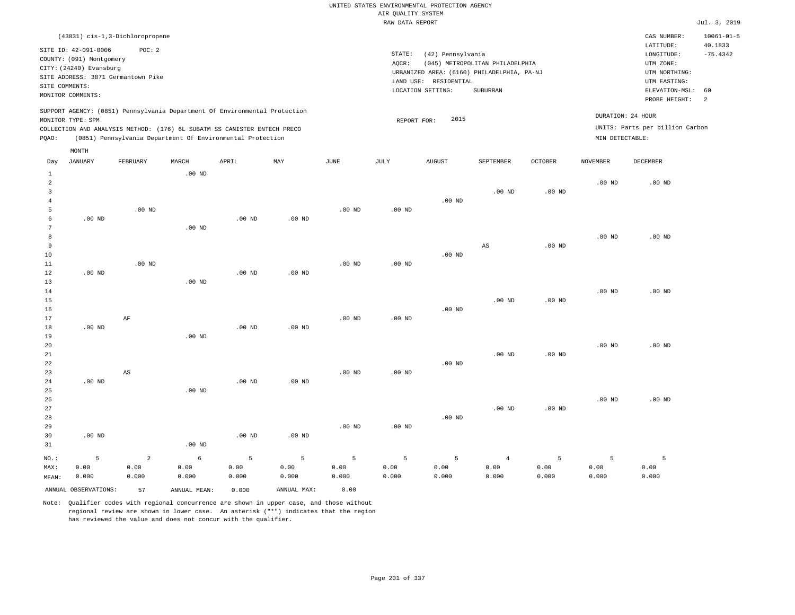|                                  |                          |                                                                            |                   |                   |                   |                   | AIR QUALITY SYSTEM | UNITED STATES ENVIRONMENTAL PROTECTION AGENCY |                                            |                   |                   |                                 |                             |
|----------------------------------|--------------------------|----------------------------------------------------------------------------|-------------------|-------------------|-------------------|-------------------|--------------------|-----------------------------------------------|--------------------------------------------|-------------------|-------------------|---------------------------------|-----------------------------|
|                                  |                          |                                                                            |                   |                   |                   |                   | RAW DATA REPORT    |                                               |                                            |                   |                   |                                 | Jul. 3, 2019                |
|                                  |                          |                                                                            |                   |                   |                   |                   |                    |                                               |                                            |                   |                   |                                 |                             |
|                                  | SITE ID: 42-091-0006     | (43831) cis-1, 3-Dichloropropene<br>POC: 2                                 |                   |                   |                   |                   |                    |                                               |                                            |                   |                   | CAS NUMBER:<br>LATITUDE:        | $10061 - 01 - 5$<br>40.1833 |
|                                  | COUNTY: (091) Montgomery |                                                                            |                   |                   |                   |                   | STATE:             | (42) Pennsylvania                             |                                            |                   |                   | LONGITUDE:                      | $-75.4342$                  |
|                                  | CITY: (24240) Evansburg  |                                                                            |                   |                   |                   |                   | AOCR:              |                                               | (045) METROPOLITAN PHILADELPHIA            |                   |                   | UTM ZONE:                       |                             |
|                                  |                          | SITE ADDRESS: 3871 Germantown Pike                                         |                   |                   |                   |                   |                    | LAND USE: RESIDENTIAL                         | URBANIZED AREA: (6160) PHILADELPHIA, PA-NJ |                   |                   | UTM NORTHING:                   |                             |
| SITE COMMENTS:                   |                          |                                                                            |                   |                   |                   |                   |                    | LOCATION SETTING:                             | SUBURBAN                                   |                   |                   | UTM EASTING:<br>ELEVATION-MSL:  | 60                          |
|                                  | MONITOR COMMENTS:        |                                                                            |                   |                   |                   |                   |                    |                                               |                                            |                   |                   | PROBE HEIGHT:                   | 2                           |
|                                  |                          | SUPPORT AGENCY: (0851) Pennsylvania Department Of Environmental Protection |                   |                   |                   |                   |                    |                                               |                                            |                   |                   |                                 |                             |
|                                  | MONITOR TYPE: SPM        |                                                                            |                   |                   |                   |                   | REPORT FOR:        | 2015                                          |                                            |                   | DURATION: 24 HOUR |                                 |                             |
|                                  |                          | COLLECTION AND ANALYSIS METHOD: (176) 6L SUBATM SS CANISTER ENTECH PRECO   |                   |                   |                   |                   |                    |                                               |                                            |                   |                   | UNITS: Parts per billion Carbon |                             |
| PQAO:                            |                          | (0851) Pennsylvania Department Of Environmental Protection                 |                   |                   |                   |                   |                    |                                               |                                            |                   | MIN DETECTABLE:   |                                 |                             |
|                                  | MONTH                    |                                                                            |                   |                   |                   |                   |                    |                                               |                                            |                   |                   |                                 |                             |
| Day                              | <b>JANUARY</b>           | FEBRUARY                                                                   | MARCH             | APRIL             | MAY               | <b>JUNE</b>       | <b>JULY</b>        | <b>AUGUST</b>                                 | <b>SEPTEMBER</b>                           | <b>OCTOBER</b>    | <b>NOVEMBER</b>   | DECEMBER                        |                             |
| $\mathbf{1}$                     |                          |                                                                            | $.00$ ND          |                   |                   |                   |                    |                                               |                                            |                   |                   |                                 |                             |
| $\overline{a}$<br>$\overline{3}$ |                          |                                                                            |                   |                   |                   |                   |                    |                                               | $.00$ ND                                   | .00 <sub>ND</sub> | .00 <sub>ND</sub> | $.00$ ND                        |                             |
| $\overline{4}$                   |                          |                                                                            |                   |                   |                   |                   |                    | $.00$ ND                                      |                                            |                   |                   |                                 |                             |
| 5                                |                          | .00 <sub>ND</sub>                                                          |                   |                   |                   | .00 <sub>ND</sub> | $.00$ ND           |                                               |                                            |                   |                   |                                 |                             |
| 6                                | $.00$ ND                 |                                                                            |                   | $.00$ ND          | $.00$ ND          |                   |                    |                                               |                                            |                   |                   |                                 |                             |
| 7                                |                          |                                                                            | $.00$ ND          |                   |                   |                   |                    |                                               |                                            |                   |                   |                                 |                             |
| 8                                |                          |                                                                            |                   |                   |                   |                   |                    |                                               |                                            |                   | $.00$ ND          | $.00$ ND                        |                             |
| 9                                |                          |                                                                            |                   |                   |                   |                   |                    |                                               | $\mathbb{A}\mathbb{S}$                     | $.00$ ND          |                   |                                 |                             |
| 10                               |                          |                                                                            |                   |                   |                   |                   |                    | $.00$ ND                                      |                                            |                   |                   |                                 |                             |
| 11                               |                          | $.00$ ND                                                                   |                   |                   |                   | .00 <sub>ND</sub> | .00 <sub>ND</sub>  |                                               |                                            |                   |                   |                                 |                             |
| $1\,2$<br>13                     | $.00$ ND                 |                                                                            | $.00$ ND          | .00 <sub>ND</sub> | .00 <sub>ND</sub> |                   |                    |                                               |                                            |                   |                   |                                 |                             |
| 14                               |                          |                                                                            |                   |                   |                   |                   |                    |                                               |                                            |                   | .00 <sub>ND</sub> | .00 <sub>ND</sub>               |                             |
| 15                               |                          |                                                                            |                   |                   |                   |                   |                    |                                               | $.00$ ND                                   | $.00$ ND          |                   |                                 |                             |
| 16                               |                          |                                                                            |                   |                   |                   |                   |                    | $.00$ ND                                      |                                            |                   |                   |                                 |                             |
| 17                               |                          | AF                                                                         |                   |                   |                   | .00 <sub>ND</sub> | .00 <sub>ND</sub>  |                                               |                                            |                   |                   |                                 |                             |
| 18                               | $.00$ ND                 |                                                                            |                   | $.00$ ND          | $.00$ ND          |                   |                    |                                               |                                            |                   |                   |                                 |                             |
| 19                               |                          |                                                                            | .00 <sub>ND</sub> |                   |                   |                   |                    |                                               |                                            |                   |                   |                                 |                             |
| 20                               |                          |                                                                            |                   |                   |                   |                   |                    |                                               |                                            |                   | .00 <sub>ND</sub> | $.00$ ND                        |                             |
| 21<br>22                         |                          |                                                                            |                   |                   |                   |                   |                    | .00 <sub>ND</sub>                             | $.00$ ND                                   | $.00$ ND          |                   |                                 |                             |
| 23                               |                          | AS                                                                         |                   |                   |                   | $.00$ ND          | $.00$ ND           |                                               |                                            |                   |                   |                                 |                             |
| 24                               | $.00$ ND                 |                                                                            |                   | .00 <sub>ND</sub> | $.00$ ND          |                   |                    |                                               |                                            |                   |                   |                                 |                             |
| 25                               |                          |                                                                            | $.00$ ND          |                   |                   |                   |                    |                                               |                                            |                   |                   |                                 |                             |
| 26                               |                          |                                                                            |                   |                   |                   |                   |                    |                                               |                                            |                   | .00 <sub>ND</sub> | $.00$ ND                        |                             |
| 27                               |                          |                                                                            |                   |                   |                   |                   |                    |                                               | $.00$ ND                                   | .00 <sub>ND</sub> |                   |                                 |                             |
| 28                               |                          |                                                                            |                   |                   |                   |                   |                    | $.00$ ND                                      |                                            |                   |                   |                                 |                             |
| 29                               |                          |                                                                            |                   |                   |                   | .00 <sub>ND</sub> | $.00$ ND           |                                               |                                            |                   |                   |                                 |                             |
| 30                               | $.00$ ND                 |                                                                            |                   | $.00$ ND          | $.00$ ND          |                   |                    |                                               |                                            |                   |                   |                                 |                             |
| 31                               |                          |                                                                            | $.00$ ND          |                   |                   |                   |                    |                                               |                                            |                   |                   |                                 |                             |
| NO.:                             | 5                        | $\overline{2}$                                                             | 6                 | 5                 | 5                 | 5                 | 5                  | 5                                             | $\overline{4}$                             | 5                 | 5                 | 5                               |                             |
| MAX:                             | 0.00                     | 0.00                                                                       | 0.00              | 0.00              | 0.00              | 0.00              | 0.00               | 0.00                                          | 0.00                                       | 0.00              | 0.00              | 0.00                            |                             |
| MEAN:                            | 0.000                    | 0.000                                                                      | 0.000             | 0.000             | 0.000             | 0.000             | 0.000              | 0.000                                         | 0.000                                      | 0.000             | 0.000             | 0.000                           |                             |

ANNUAL OBSERVATIONS: 57 ANNUAL MEAN: 0.000 ANNUAL MAX: 0.00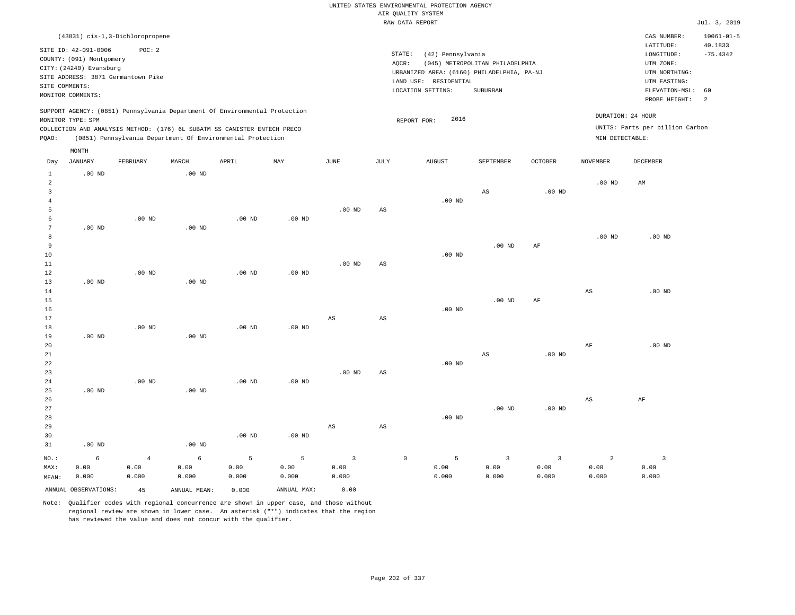|                                                                       |                                                                                                  |                                                                                  |                                    |                                                                                                                                                                                                                      |                                   |                                         |                        | UNITED STATES ENVIRONMENTAL PROTECTION AGENCY                                                                 |                                             |                                 |                                      |                                                                                                        |                                                 |
|-----------------------------------------------------------------------|--------------------------------------------------------------------------------------------------|----------------------------------------------------------------------------------|------------------------------------|----------------------------------------------------------------------------------------------------------------------------------------------------------------------------------------------------------------------|-----------------------------------|-----------------------------------------|------------------------|---------------------------------------------------------------------------------------------------------------|---------------------------------------------|---------------------------------|--------------------------------------|--------------------------------------------------------------------------------------------------------|-------------------------------------------------|
|                                                                       |                                                                                                  |                                                                                  |                                    |                                                                                                                                                                                                                      |                                   |                                         |                        | AIR OUALITY SYSTEM<br>RAW DATA REPORT                                                                         |                                             |                                 |                                      |                                                                                                        | Jul. 3, 2019                                    |
|                                                                       |                                                                                                  |                                                                                  |                                    |                                                                                                                                                                                                                      |                                   |                                         |                        |                                                                                                               |                                             |                                 |                                      |                                                                                                        |                                                 |
| SITE COMMENTS:                                                        | SITE ID: 42-091-0006<br>COUNTY: (091) Montgomery<br>CITY: (24240) Evansburg<br>MONITOR COMMENTS: | (43831) cis-1, 3-Dichloropropene<br>POC: 2<br>SITE ADDRESS: 3871 Germantown Pike |                                    |                                                                                                                                                                                                                      |                                   |                                         | STATE:<br>AQCR:        | (42) Pennsylvania<br>URBANIZED AREA: (6160) PHILADELPHIA, PA-NJ<br>LAND USE: RESIDENTIAL<br>LOCATION SETTING: | (045) METROPOLITAN PHILADELPHIA<br>SUBURBAN |                                 |                                      | CAS NUMBER:<br>LATITUDE:<br>LONGITUDE:<br>UTM ZONE:<br>UTM NORTHING:<br>UTM EASTING:<br>ELEVATION-MSL: | $10061 - 01 - 5$<br>40.1833<br>$-75.4342$<br>60 |
|                                                                       |                                                                                                  |                                                                                  |                                    |                                                                                                                                                                                                                      |                                   |                                         |                        |                                                                                                               |                                             |                                 |                                      | PROBE HEIGHT:                                                                                          | 2                                               |
| PQAO:                                                                 | MONITOR TYPE: SPM                                                                                |                                                                                  |                                    | SUPPORT AGENCY: (0851) Pennsylvania Department Of Environmental Protection<br>COLLECTION AND ANALYSIS METHOD: (176) 6L SUBATM SS CANISTER ENTECH PRECO<br>(0851) Pennsylvania Department Of Environmental Protection |                                   |                                         |                        | 2016<br>REPORT FOR:                                                                                           |                                             |                                 | DURATION: 24 HOUR<br>MIN DETECTABLE: | UNITS: Parts per billion Carbon                                                                        |                                                 |
|                                                                       | MONTH                                                                                            |                                                                                  |                                    |                                                                                                                                                                                                                      |                                   |                                         |                        |                                                                                                               |                                             |                                 |                                      |                                                                                                        |                                                 |
| Day                                                                   | <b>JANUARY</b>                                                                                   | FEBRUARY                                                                         | MARCH                              | APRIL                                                                                                                                                                                                                | MAY                               | $_{\rm JUNE}$                           | JULY                   | <b>AUGUST</b>                                                                                                 | SEPTEMBER                                   | <b>OCTOBER</b>                  | <b>NOVEMBER</b>                      | DECEMBER                                                                                               |                                                 |
| 1<br>$\overline{a}$<br>$\overline{\mathbf{3}}$<br>$\overline{4}$<br>5 | $.00$ ND                                                                                         |                                                                                  | $.00$ ND                           |                                                                                                                                                                                                                      |                                   | $.00$ ND                                | AS                     | .00 $ND$                                                                                                      | $_{\rm AS}$                                 | .00 <sub>ND</sub>               | $.00$ ND                             | AM                                                                                                     |                                                 |
| 6<br>$7\phantom{.0}$<br>8<br>$\overline{9}$<br>10<br>11               | $.00$ ND                                                                                         | $.00$ ND                                                                         | .00 <sub>ND</sub>                  | $.00$ ND                                                                                                                                                                                                             | $.00$ ND                          | $.00$ ND                                | AS                     | .00 <sub>ND</sub>                                                                                             | $.00$ ND                                    | AF                              | $.00$ ND                             | $.00$ ND                                                                                               |                                                 |
| $1\,2$<br>13<br>14<br>15<br>16<br>17                                  | $.00$ ND                                                                                         | $.00$ ND                                                                         | $.00$ ND                           | .00 <sub>ND</sub>                                                                                                                                                                                                    | $.00$ ND                          | AS                                      | $\mathbb{A}\mathbb{S}$ | .00 <sub>ND</sub>                                                                                             | $.00$ ND                                    | $\rm{AF}$                       | $_{\rm AS}$                          | $.00$ ND                                                                                               |                                                 |
| 18<br>19<br>20<br>$2\sqrt{1}$<br>22                                   | $.00$ ND                                                                                         | $.00$ ND                                                                         | .00 <sub>ND</sub>                  | $.00$ ND                                                                                                                                                                                                             | $.00$ ND                          |                                         |                        | .00 <sub>ND</sub>                                                                                             | $\mathbb{A}\mathbb{S}$                      | $.00$ ND                        | AF                                   | $.00$ ND                                                                                               |                                                 |
| 23<br>24<br>25<br>26<br>27                                            | $.00$ ND                                                                                         | $.00$ ND                                                                         | $.00$ ND                           | .00 <sub>ND</sub>                                                                                                                                                                                                    | $.00$ ND                          | $.00$ ND                                | $_{\rm AS}$            |                                                                                                               | $.00$ ND                                    | .00 <sub>ND</sub>               | $_{\rm AS}$                          | AF                                                                                                     |                                                 |
| 28<br>29<br>30<br>31                                                  | $.00$ ND                                                                                         |                                                                                  | .00 <sub>ND</sub>                  | $.00$ ND                                                                                                                                                                                                             | $.00$ ND                          | AS                                      | AS                     | $.00$ ND                                                                                                      |                                             |                                 |                                      |                                                                                                        |                                                 |
| NO.:<br>MAX:<br>MEAN:                                                 | 6<br>0.00<br>0.000<br>ANNUAL OBSERVATIONS:                                                       | $\overline{4}$<br>0.00<br>0.000<br>45                                            | 6<br>0.00<br>0.000<br>ANNUAL MEAN: | 5<br>0.00<br>0.000<br>0.000                                                                                                                                                                                          | 5<br>0.00<br>0.000<br>ANNUAL MAX: | $\overline{3}$<br>0.00<br>0.000<br>0.00 |                        | 5<br>$\mathbb O$<br>0.00<br>0.000                                                                             | $\overline{\mathbf{3}}$<br>0.00<br>0.000    | $\overline{3}$<br>0.00<br>0.000 | 2<br>0.00<br>0.000                   | $\ensuremath{\mathsf{3}}$<br>0.00<br>0.000                                                             |                                                 |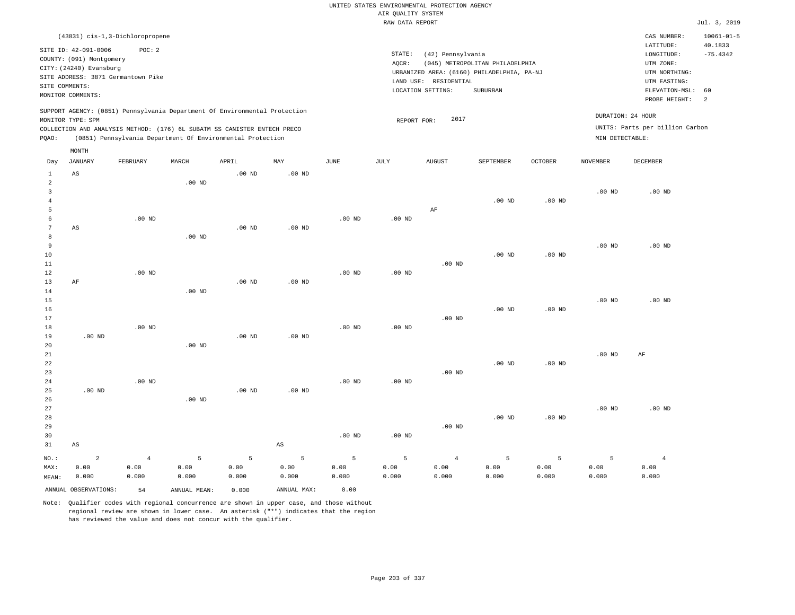|                                  |                                    |                |               |                                                                            |             |                   |                    | UNITED STATES ENVIRONMENTAL PROTECTION AGENCY |                                            |                   |                   |                                 |                             |
|----------------------------------|------------------------------------|----------------|---------------|----------------------------------------------------------------------------|-------------|-------------------|--------------------|-----------------------------------------------|--------------------------------------------|-------------------|-------------------|---------------------------------|-----------------------------|
|                                  |                                    |                |               |                                                                            |             |                   | AIR OUALITY SYSTEM |                                               |                                            |                   |                   |                                 |                             |
|                                  |                                    |                |               |                                                                            |             |                   | RAW DATA REPORT    |                                               |                                            |                   |                   |                                 | Jul. 3, 2019                |
|                                  | (43831) cis-1,3-Dichloropropene    |                |               |                                                                            |             |                   |                    |                                               |                                            |                   |                   | CAS NUMBER:<br>LATITUDE:        | $10061 - 01 - 5$<br>40.1833 |
|                                  | SITE ID: 42-091-0006               | POC: 2         |               |                                                                            |             |                   | STATE:             | (42) Pennsylvania                             |                                            |                   |                   | LONGITUDE:                      | $-75.4342$                  |
|                                  | COUNTY: (091) Montgomery           |                |               |                                                                            |             |                   | AOCR:              |                                               | (045) METROPOLITAN PHILADELPHIA            |                   |                   | UTM ZONE:                       |                             |
|                                  | CITY: (24240) Evansburg            |                |               |                                                                            |             |                   |                    |                                               | URBANIZED AREA: (6160) PHILADELPHIA, PA-NJ |                   |                   | UTM NORTHING:                   |                             |
| SITE COMMENTS:                   | SITE ADDRESS: 3871 Germantown Pike |                |               |                                                                            |             |                   |                    | LAND USE: RESIDENTIAL                         |                                            |                   |                   | UTM EASTING:                    |                             |
|                                  | MONITOR COMMENTS:                  |                |               |                                                                            |             |                   |                    | LOCATION SETTING:                             | SUBURBAN                                   |                   |                   | ELEVATION-MSL:                  | 60                          |
|                                  |                                    |                |               | SUPPORT AGENCY: (0851) Pennsylvania Department Of Environmental Protection |             |                   |                    |                                               |                                            |                   |                   | PROBE HEIGHT:                   | 2                           |
|                                  | MONITOR TYPE: SPM                  |                |               |                                                                            |             |                   | REPORT FOR:        | 2017                                          |                                            |                   |                   | DURATION: 24 HOUR               |                             |
|                                  |                                    |                |               | COLLECTION AND ANALYSIS METHOD: (176) 6L SUBATM SS CANISTER ENTECH PRECO   |             |                   |                    |                                               |                                            |                   |                   | UNITS: Parts per billion Carbon |                             |
| PQAO:                            |                                    |                |               | (0851) Pennsylvania Department Of Environmental Protection                 |             |                   |                    |                                               |                                            |                   | MIN DETECTABLE:   |                                 |                             |
|                                  | MONTH                              |                |               |                                                                            |             |                   |                    |                                               |                                            |                   |                   |                                 |                             |
| Day                              | <b>JANUARY</b>                     | FEBRUARY       | MARCH         | APRIL                                                                      | MAY         | <b>JUNE</b>       | JULY               | <b>AUGUST</b>                                 | SEPTEMBER                                  | <b>OCTOBER</b>    | <b>NOVEMBER</b>   | <b>DECEMBER</b>                 |                             |
| $\mathbf{1}$                     | AS                                 |                |               | $.00$ ND                                                                   | $.00$ ND    |                   |                    |                                               |                                            |                   |                   |                                 |                             |
| 2                                |                                    |                | $.00$ ND      |                                                                            |             |                   |                    |                                               |                                            |                   |                   |                                 |                             |
| $\overline{3}$<br>$\overline{4}$ |                                    |                |               |                                                                            |             |                   |                    |                                               | $.00$ ND                                   | $.00$ ND          | .00 <sub>ND</sub> | $.00$ ND                        |                             |
| 5                                |                                    |                |               |                                                                            |             |                   |                    | AF                                            |                                            |                   |                   |                                 |                             |
| 6                                |                                    | $.00$ ND       |               |                                                                            |             | $.00$ ND          | .00 <sub>ND</sub>  |                                               |                                            |                   |                   |                                 |                             |
| 7                                | AS                                 |                |               | $.00$ ND                                                                   | $.00$ ND    |                   |                    |                                               |                                            |                   |                   |                                 |                             |
| 8                                |                                    |                | $.00$ ND      |                                                                            |             |                   |                    |                                               |                                            |                   |                   |                                 |                             |
| 9                                |                                    |                |               |                                                                            |             |                   |                    |                                               |                                            |                   | $.00$ ND          | $.00$ ND                        |                             |
| 10                               |                                    |                |               |                                                                            |             |                   |                    |                                               | $.00$ ND                                   | $.00$ ND          |                   |                                 |                             |
| 11                               |                                    |                |               |                                                                            |             |                   |                    | $.00$ ND                                      |                                            |                   |                   |                                 |                             |
| 12                               |                                    | $.00$ ND       |               |                                                                            |             | .00 <sub>ND</sub> | .00 <sub>ND</sub>  |                                               |                                            |                   |                   |                                 |                             |
| 13<br>14                         | AF                                 |                | $.00$ ND      | $.00$ ND                                                                   | $.00$ ND    |                   |                    |                                               |                                            |                   |                   |                                 |                             |
| 15                               |                                    |                |               |                                                                            |             |                   |                    |                                               |                                            |                   | $.00$ ND          | $.00$ ND                        |                             |
| 16                               |                                    |                |               |                                                                            |             |                   |                    |                                               | $.00$ ND                                   | .00 <sub>ND</sub> |                   |                                 |                             |
| 17                               |                                    |                |               |                                                                            |             |                   |                    | $.00$ ND                                      |                                            |                   |                   |                                 |                             |
| 18                               |                                    | $.00$ ND       |               |                                                                            |             | .00 <sub>ND</sub> | .00 <sub>ND</sub>  |                                               |                                            |                   |                   |                                 |                             |
| 19                               | $.00$ ND                           |                |               | $.00$ ND                                                                   | $.00$ ND    |                   |                    |                                               |                                            |                   |                   |                                 |                             |
| 20                               |                                    |                | $.00$ ND      |                                                                            |             |                   |                    |                                               |                                            |                   |                   |                                 |                             |
| 21                               |                                    |                |               |                                                                            |             |                   |                    |                                               |                                            |                   | .00 <sub>ND</sub> | AF                              |                             |
| 22                               |                                    |                |               |                                                                            |             |                   |                    | $.00$ ND                                      | .00 <sub>ND</sub>                          | .00 <sub>ND</sub> |                   |                                 |                             |
| 23<br>24                         |                                    | $.00$ ND       |               |                                                                            |             | $.00$ ND          | $.00$ ND           |                                               |                                            |                   |                   |                                 |                             |
| 25                               | $.00$ ND                           |                |               | $.00$ ND                                                                   | $.00$ ND    |                   |                    |                                               |                                            |                   |                   |                                 |                             |
| 26                               |                                    |                | $.00$ ND      |                                                                            |             |                   |                    |                                               |                                            |                   |                   |                                 |                             |
| 27                               |                                    |                |               |                                                                            |             |                   |                    |                                               |                                            |                   | .00 <sub>ND</sub> | $.00$ ND                        |                             |
| 28                               |                                    |                |               |                                                                            |             |                   |                    |                                               | $.00$ ND                                   | .00 <sub>ND</sub> |                   |                                 |                             |
| 29                               |                                    |                |               |                                                                            |             |                   |                    | $.00$ ND                                      |                                            |                   |                   |                                 |                             |
| 30                               |                                    |                |               |                                                                            |             | $.00$ ND          | .00 <sub>ND</sub>  |                                               |                                            |                   |                   |                                 |                             |
| 31                               | $_{\rm AS}$                        |                |               |                                                                            | $_{\rm AS}$ |                   |                    |                                               |                                            |                   |                   |                                 |                             |
| $NO.$ :                          | $\overline{2}$                     | $\overline{4}$ | 5             | 5                                                                          | 5           | 5                 | 5                  | $\overline{4}$                                | 5                                          | 5                 | 5                 | $\overline{4}$                  |                             |
| MAX:                             | 0.00                               | 0.00           | 0.00          | 0.00                                                                       | 0.00        | 0.00              | 0.00               | 0.00                                          | 0.00                                       | 0.00              | 0.00              | 0.00                            |                             |
| MEAN:                            | 0.000                              | 0.000          | 0.000         | 0.000                                                                      | 0.000       | 0.000             | 0.000              | 0.000                                         | 0.000                                      | 0.000             | 0.000             | 0.000                           |                             |
|                                  | ANNUAL OBSERVATIONS:               | 54             | ANNUAL, MEAN: | 0.000                                                                      | ANNUAL MAX: | 0.00              |                    |                                               |                                            |                   |                   |                                 |                             |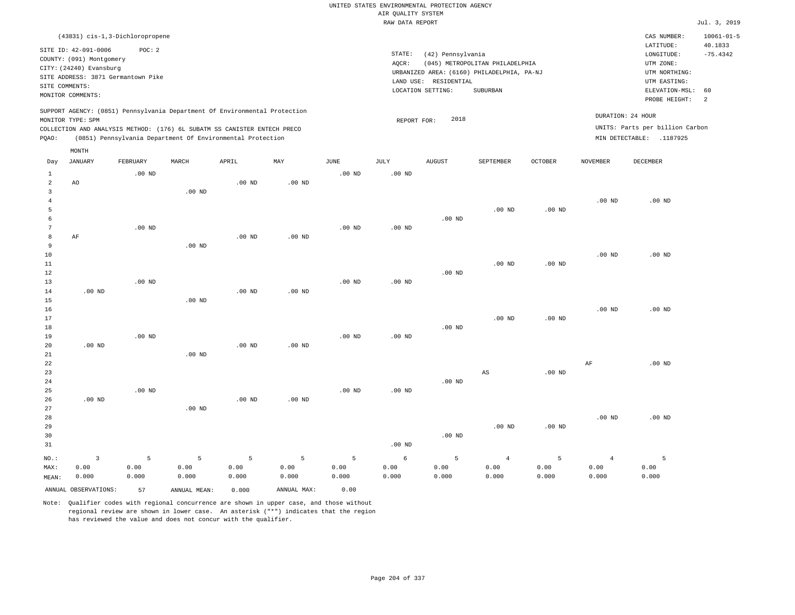|                |                                                                                                 |                   |               |                                                            |                   |                   |                                       | UNITED STATES ENVIRONMENTAL PROTECTION AGENCY |                                            |                   |                   |                                 |                             |
|----------------|-------------------------------------------------------------------------------------------------|-------------------|---------------|------------------------------------------------------------|-------------------|-------------------|---------------------------------------|-----------------------------------------------|--------------------------------------------|-------------------|-------------------|---------------------------------|-----------------------------|
|                |                                                                                                 |                   |               |                                                            |                   |                   | AIR QUALITY SYSTEM<br>RAW DATA REPORT |                                               |                                            |                   |                   |                                 | Jul. 3, 2019                |
|                |                                                                                                 |                   |               |                                                            |                   |                   |                                       |                                               |                                            |                   |                   |                                 |                             |
|                | (43831) cis-1, 3-Dichloropropene                                                                | POC: 2            |               |                                                            |                   |                   |                                       |                                               |                                            |                   |                   | CAS NUMBER:<br>LATITUDE:        | $10061 - 01 - 5$<br>40.1833 |
|                | SITE ID: 42-091-0006<br>COUNTY: (091) Montgomery                                                |                   |               |                                                            |                   |                   | STATE:                                | (42) Pennsylvania                             |                                            |                   |                   | LONGITUDE:                      | $-75.4342$                  |
|                | CITY: (24240) Evansburg                                                                         |                   |               |                                                            |                   |                   | AQCR:                                 |                                               | (045) METROPOLITAN PHILADELPHIA            |                   |                   | UTM ZONE:                       |                             |
|                | SITE ADDRESS: 3871 Germantown Pike                                                              |                   |               |                                                            |                   |                   |                                       |                                               | URBANIZED AREA: (6160) PHILADELPHIA, PA-NJ |                   |                   | UTM NORTHING:                   |                             |
| SITE COMMENTS: |                                                                                                 |                   |               |                                                            |                   |                   |                                       | LAND USE: RESIDENTIAL                         |                                            |                   |                   | UTM EASTING:                    |                             |
|                | MONITOR COMMENTS:                                                                               |                   |               |                                                            |                   |                   |                                       | LOCATION SETTING:                             | SUBURBAN                                   |                   |                   | ELEVATION-MSL:<br>PROBE HEIGHT: | 60<br>2                     |
|                | SUPPORT AGENCY: (0851) Pennsylvania Department Of Environmental Protection<br>MONITOR TYPE: SPM |                   |               |                                                            |                   |                   | REPORT FOR:                           | 2018                                          |                                            |                   |                   | DURATION: 24 HOUR               |                             |
|                | COLLECTION AND ANALYSIS METHOD: (176) 6L SUBATM SS CANISTER ENTECH PRECO                        |                   |               |                                                            |                   |                   |                                       |                                               |                                            |                   |                   | UNITS: Parts per billion Carbon |                             |
| PQAO:          |                                                                                                 |                   |               | (0851) Pennsylvania Department Of Environmental Protection |                   |                   |                                       |                                               |                                            |                   |                   | MIN DETECTABLE: .1187925        |                             |
| Day            | MONTH<br><b>JANUARY</b>                                                                         | FEBRUARY          | MARCH         | APRIL                                                      | MAY               | <b>JUNE</b>       | <b>JULY</b>                           | <b>AUGUST</b>                                 | SEPTEMBER                                  | <b>OCTOBER</b>    | <b>NOVEMBER</b>   | DECEMBER                        |                             |
| $\mathbf{1}$   |                                                                                                 | $.00$ ND          |               |                                                            |                   | .00 <sub>ND</sub> | $.00$ ND                              |                                               |                                            |                   |                   |                                 |                             |
| $\overline{a}$ | AO                                                                                              |                   |               | .00 <sub>ND</sub>                                          | .00 <sub>ND</sub> |                   |                                       |                                               |                                            |                   |                   |                                 |                             |
| 3              |                                                                                                 |                   | $.00$ ND      |                                                            |                   |                   |                                       |                                               |                                            |                   |                   |                                 |                             |
| 4              |                                                                                                 |                   |               |                                                            |                   |                   |                                       |                                               |                                            |                   | .00 <sub>ND</sub> | $.00$ ND                        |                             |
| 5              |                                                                                                 |                   |               |                                                            |                   |                   |                                       |                                               | $.00$ ND                                   | .00 <sub>ND</sub> |                   |                                 |                             |
| 6              |                                                                                                 |                   |               |                                                            |                   |                   |                                       | $.00$ ND                                      |                                            |                   |                   |                                 |                             |
| 7              |                                                                                                 | $.00$ ND          |               |                                                            |                   | $.00$ ND          | .00 <sub>ND</sub>                     |                                               |                                            |                   |                   |                                 |                             |
| 8              | AF                                                                                              |                   |               | $.00$ ND                                                   | $.00$ ND          |                   |                                       |                                               |                                            |                   |                   |                                 |                             |
| 9<br>10        |                                                                                                 |                   | $.00$ ND      |                                                            |                   |                   |                                       |                                               |                                            |                   | $.00$ ND          | $.00$ ND                        |                             |
| $11\,$         |                                                                                                 |                   |               |                                                            |                   |                   |                                       |                                               | $.00$ ND                                   | $.00$ ND          |                   |                                 |                             |
| 12             |                                                                                                 |                   |               |                                                            |                   |                   |                                       | $.00$ ND                                      |                                            |                   |                   |                                 |                             |
| 13             |                                                                                                 | .00 <sub>ND</sub> |               |                                                            |                   | $.00$ ND          | $.00$ ND                              |                                               |                                            |                   |                   |                                 |                             |
| 14             | $.00$ ND                                                                                        |                   |               | .00 <sub>ND</sub>                                          | .00 <sub>ND</sub> |                   |                                       |                                               |                                            |                   |                   |                                 |                             |
| 15             |                                                                                                 |                   | $.00$ ND      |                                                            |                   |                   |                                       |                                               |                                            |                   |                   |                                 |                             |
| 16             |                                                                                                 |                   |               |                                                            |                   |                   |                                       |                                               |                                            |                   | $.00$ ND          | $.00$ ND                        |                             |
| 17             |                                                                                                 |                   |               |                                                            |                   |                   |                                       |                                               | $.00$ ND                                   | .00 <sub>ND</sub> |                   |                                 |                             |
| 18<br>19       |                                                                                                 | $.00$ ND          |               |                                                            |                   | .00 <sub>ND</sub> | .00 <sub>ND</sub>                     | $.00$ ND                                      |                                            |                   |                   |                                 |                             |
| 20             | $.00$ ND                                                                                        |                   |               | $.00$ ND                                                   | .00 <sub>ND</sub> |                   |                                       |                                               |                                            |                   |                   |                                 |                             |
| 21             |                                                                                                 |                   | $.00$ ND      |                                                            |                   |                   |                                       |                                               |                                            |                   |                   |                                 |                             |
| 22             |                                                                                                 |                   |               |                                                            |                   |                   |                                       |                                               |                                            |                   | $\rm AF$          | .00 <sub>ND</sub>               |                             |
| 23             |                                                                                                 |                   |               |                                                            |                   |                   |                                       |                                               | AS                                         | .00 <sub>ND</sub> |                   |                                 |                             |
| 24             |                                                                                                 |                   |               |                                                            |                   |                   |                                       | $.00$ ND                                      |                                            |                   |                   |                                 |                             |
| 25             |                                                                                                 | $.00$ ND          |               |                                                            |                   | .00 <sub>ND</sub> | $.00$ ND                              |                                               |                                            |                   |                   |                                 |                             |
| 26             | $.00$ ND                                                                                        |                   |               | $.00$ ND                                                   | $.00$ ND          |                   |                                       |                                               |                                            |                   |                   |                                 |                             |
| 27             |                                                                                                 |                   | $.00$ ND      |                                                            |                   |                   |                                       |                                               |                                            |                   |                   |                                 |                             |
| 28             |                                                                                                 |                   |               |                                                            |                   |                   |                                       |                                               |                                            |                   | .00 <sub>ND</sub> | $.00$ ND                        |                             |
| 29<br>30       |                                                                                                 |                   |               |                                                            |                   |                   |                                       | .00 <sub>ND</sub>                             | $.00$ ND                                   | .00 <sub>ND</sub> |                   |                                 |                             |
| 31             |                                                                                                 |                   |               |                                                            |                   |                   | $.00$ ND                              |                                               |                                            |                   |                   |                                 |                             |
|                |                                                                                                 |                   |               |                                                            |                   |                   |                                       |                                               |                                            |                   |                   |                                 |                             |
| NO.:           | $\overline{3}$                                                                                  | 5                 | 5             | 5                                                          | 5                 | 5                 | 6                                     | 5                                             | $\overline{4}$                             | 5                 | $\overline{4}$    | 5                               |                             |
| MAX:           | 0.00<br>0.000                                                                                   | 0.00<br>0.000     | 0.00<br>0.000 | 0.00<br>0.000                                              | 0.00<br>0.000     | 0.00<br>0.000     | 0.00<br>0.000                         | 0.00<br>0.000                                 | 0.00<br>0.000                              | 0.00<br>0.000     | 0.00<br>0.000     | 0.00<br>0.000                   |                             |
| MEAN:          |                                                                                                 |                   |               |                                                            |                   |                   |                                       |                                               |                                            |                   |                   |                                 |                             |
|                | ANNUAL OBSERVATIONS:                                                                            | 57                | ANNUAL MEAN:  | 0.000                                                      | ANNUAL MAX:       | 0.00              |                                       |                                               |                                            |                   |                   |                                 |                             |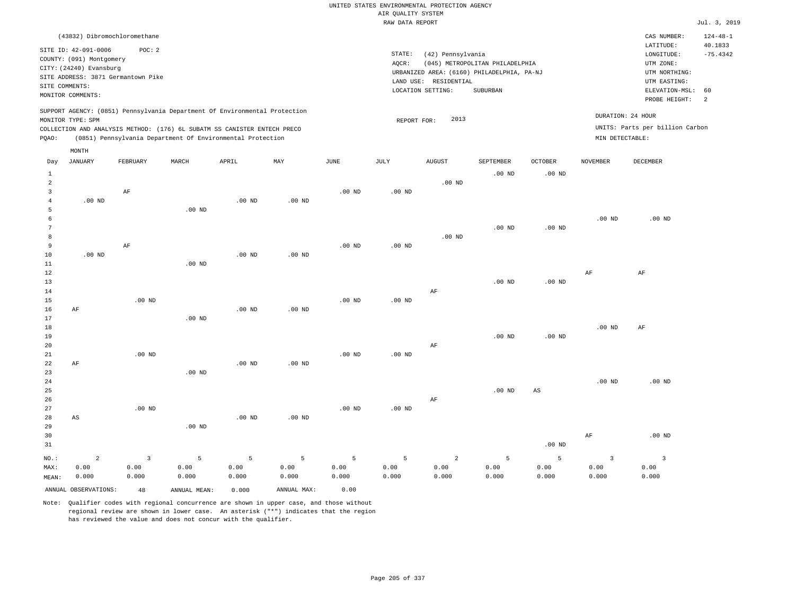# UNITED STATES ENVIRONMENTAL PROTECTION AGENCY AIR QUALITY SYSTEM

|              |                                    |          |                                                                            |                   |          |             | RAW DATA REPORT |                       |                                            |                   |                   |                                 | Jul. 3, 2019   |
|--------------|------------------------------------|----------|----------------------------------------------------------------------------|-------------------|----------|-------------|-----------------|-----------------------|--------------------------------------------|-------------------|-------------------|---------------------------------|----------------|
|              | (43832) Dibromochloromethane       |          |                                                                            |                   |          |             |                 |                       |                                            |                   |                   | CAS NUMBER:                     | $124 - 48 - 1$ |
|              | SITE ID: 42-091-0006               | POC: 2   |                                                                            |                   |          |             |                 |                       |                                            |                   |                   | LATITUDE:                       | 40.1833        |
|              | COUNTY: (091) Montgomery           |          |                                                                            |                   |          |             | STATE:          | (42) Pennsylvania     |                                            |                   |                   | LONGITUDE:                      | $-75.4342$     |
|              | CITY: (24240) Evansburg            |          |                                                                            |                   |          |             | AOCR:           |                       | (045) METROPOLITAN PHILADELPHIA            |                   |                   | UTM ZONE:                       |                |
|              | SITE ADDRESS: 3871 Germantown Pike |          |                                                                            |                   |          |             |                 |                       | URBANIZED AREA: (6160) PHILADELPHIA, PA-NJ |                   |                   | UTM NORTHING:                   |                |
|              | SITE COMMENTS:                     |          |                                                                            |                   |          |             |                 | LAND USE: RESIDENTIAL |                                            |                   |                   | UTM EASTING:                    |                |
|              | MONITOR COMMENTS:                  |          |                                                                            |                   |          |             |                 | LOCATION SETTING:     | SUBURBAN                                   |                   |                   | ELEVATION-MSL:                  | 60             |
|              |                                    |          |                                                                            |                   |          |             |                 |                       |                                            |                   |                   | PROBE HEIGHT:                   | -2             |
|              | MONITOR TYPE: SPM                  |          | SUPPORT AGENCY: (0851) Pennsylvania Department Of Environmental Protection |                   |          |             | REPORT FOR:     | 2013                  |                                            |                   |                   | DURATION: 24 HOUR               |                |
|              |                                    |          | COLLECTION AND ANALYSIS METHOD: (176) 6L SUBATM SS CANISTER ENTECH PRECO   |                   |          |             |                 |                       |                                            |                   |                   | UNITS: Parts per billion Carbon |                |
| POAO:        |                                    |          | (0851) Pennsylvania Department Of Environmental Protection                 |                   |          |             |                 |                       |                                            |                   | MIN DETECTABLE:   |                                 |                |
|              | MONTH                              |          |                                                                            |                   |          |             |                 |                       |                                            |                   |                   |                                 |                |
| Day          | JANUARY                            | FEBRUARY | MARCH                                                                      | APRIL             | MAY      | <b>JUNE</b> | JULY            | <b>AUGUST</b>         | SEPTEMBER                                  | <b>OCTOBER</b>    | NOVEMBER          | DECEMBER                        |                |
| $\mathbf{1}$ |                                    |          |                                                                            |                   |          |             |                 |                       | $.00$ ND                                   | .00 <sub>ND</sub> |                   |                                 |                |
| 2            |                                    |          |                                                                            |                   |          |             |                 | .00 <sub>ND</sub>     |                                            |                   |                   |                                 |                |
| $\mathbf{R}$ |                                    | AF       |                                                                            |                   |          | $.00$ ND    | $.00$ ND        |                       |                                            |                   |                   |                                 |                |
|              | $.00$ ND                           |          |                                                                            | .00 <sub>ND</sub> | $.00$ ND |             |                 |                       |                                            |                   |                   |                                 |                |
|              |                                    |          | $.00$ ND                                                                   |                   |          |             |                 |                       |                                            |                   |                   |                                 |                |
|              |                                    |          |                                                                            |                   |          |             |                 |                       |                                            |                   | .00 <sub>ND</sub> | $.00$ ND                        |                |
|              |                                    |          |                                                                            |                   |          |             |                 |                       | $.00$ ND                                   | .00 <sub>ND</sub> |                   |                                 |                |
| 8            |                                    |          |                                                                            |                   |          |             |                 | $.00$ ND              |                                            |                   |                   |                                 |                |
| 9            |                                    | AF       |                                                                            |                   |          | $.00$ ND    | $.00$ ND        |                       |                                            |                   |                   |                                 |                |
| 10           | $.00$ ND                           |          |                                                                            | .00 <sub>ND</sub> | $.00$ ND |             |                 |                       |                                            |                   |                   |                                 |                |
| 11           |                                    |          | $.00$ ND                                                                   |                   |          |             |                 |                       |                                            |                   |                   |                                 |                |
| 12           |                                    |          |                                                                            |                   |          |             |                 |                       |                                            |                   | AF                | AF                              |                |

13 14 15 16 17 18 19 20 21 22 23 24 25 AF AF .00 ND .00 ND .00 ND .00 ND .00 ND .00 ND .00 ND .00 ND .00 ND .00 ND .00 ND .00 ND AF AF .00 ND .00 ND .00 ND .00 ND .00 ND AS .00 ND .00 ND AF .00 ND

26 27 28 29 30 31 AS NO.: MAX: MEAN: 2 0.00 0.000 .00 ND .00 ND .00 ND .00 ND .00 ND .00 ND AF .00 ND AF .00 ND 3 0.00 0.000 5 0.00 0.000 5 0.00 0.000 5 0.00 0.000 5 0.00 0.000 5 0.00 0.000 2 0.00 0.000 5 0.00 0.000 5 0.00 0.000 3 0.00 0.000 3 0.00 0.000

Note: Qualifier codes with regional concurrence are shown in upper case, and those without regional review are shown in lower case. An asterisk ("\*") indicates that the region has reviewed the value and does not concur with the qualifier.

ANNUAL OBSERVATIONS: 48 ANNUAL MEAN: 0.000 ANNUAL MAX: 0.00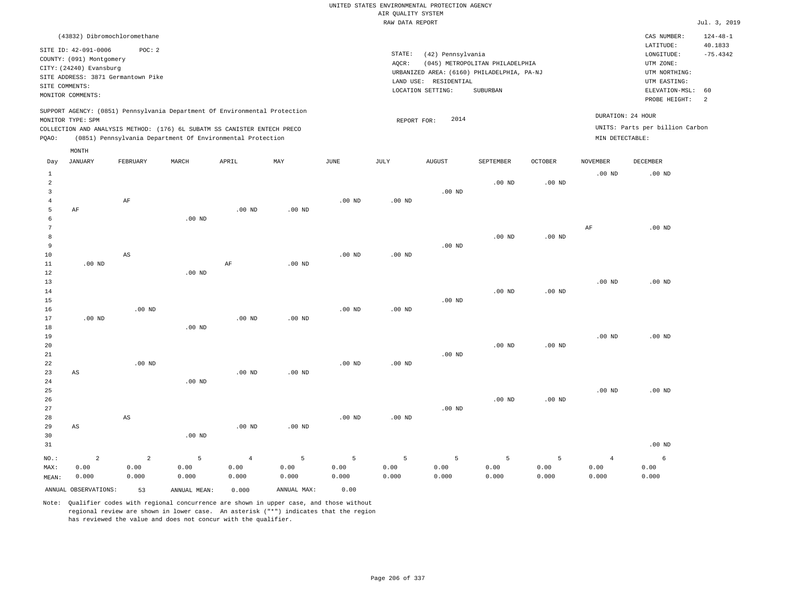| (43832) Dibromochloromethane                                                                                                                                                                                                                       |                                                                                                                       | CAS NUMBER:                                                             | $124 - 48 - 1$        |
|----------------------------------------------------------------------------------------------------------------------------------------------------------------------------------------------------------------------------------------------------|-----------------------------------------------------------------------------------------------------------------------|-------------------------------------------------------------------------|-----------------------|
| SITE ID: 42-091-0006<br>POC: 2<br>COUNTY: (091) Montgomery<br>CITY: (24240) Evansburg<br>SITE ADDRESS: 3871 Germantown Pike                                                                                                                        | STATE:<br>(42) Pennsylvania<br>AOCR:<br>(045) METROPOLITAN PHILADELPHIA<br>URBANIZED AREA: (6160) PHILADELPHIA, PA-NJ | LATITUDE:<br>LONGITUDE:<br>UTM ZONE:<br>UTM NORTHING:                   | 40.1833<br>$-75.4342$ |
| SITE COMMENTS:<br>MONITOR COMMENTS:                                                                                                                                                                                                                | RESIDENTIAL<br>LAND USE:<br>SUBURBAN<br>LOCATION SETTING:                                                             | UTM EASTING:<br>ELEVATION-MSL: 60<br>PROBE HEIGHT: 2                    |                       |
| SUPPORT AGENCY: (0851) Pennsylvania Department Of Environmental Protection<br>MONITOR TYPE: SPM<br>COLLECTION AND ANALYSIS METHOD: (176) 6L SUBATM SS CANISTER ENTECH PRECO<br>(0851) Pennsylvania Department Of Environmental Protection<br>POAO: | 2014<br>REPORT FOR:                                                                                                   | DURATION: 24 HOUR<br>UNITS: Parts per billion Carbon<br>MIN DETECTABLE: |                       |
| MONTH                                                                                                                                                                                                                                              |                                                                                                                       |                                                                         |                       |

| Day                                           | <b>JANUARY</b>         | FEBRUARY               | MARCH         | APRIL          | MAY               | $_{\rm JUNE}$     | JULY              | <b>AUGUST</b> | SEPTEMBER     | OCTOBER       | <b>NOVEMBER</b> | DECEMBER      |
|-----------------------------------------------|------------------------|------------------------|---------------|----------------|-------------------|-------------------|-------------------|---------------|---------------|---------------|-----------------|---------------|
| $\mathbf{1}$<br>$\overline{a}$<br>3<br>4<br>5 | $\rm AF$               | $\rm AF$               |               | .00 $ND$       | $.00$ ND          | $.00$ ND          | $.00$ ND          | $.00$ ND      | $.00$ ND      | $.00$ ND      | $.00$ ND        | $.00$ ND      |
| 6<br>7<br>8<br>9<br>10                        |                        | $\mathbb{A}\mathbb{S}$ | $.00$ ND      |                |                   | .00 <sub>ND</sub> | .00 <sub>ND</sub> | $.00$ ND      | $.00$ ND      | .00 $ND$      | $\rm AF$        | $.00$ ND      |
| 11<br>12<br>13<br>14<br>15<br>16              | $.00$ ND               | $.00$ ND               | $.00$ ND      | $\rm AF$       | $.00$ ND          | $.00$ ND          | .00 <sub>ND</sub> | $.00$ ND      | $.00$ ND      | $.00$ ND      | $.00$ ND        | $.00$ ND      |
| 17<br>18<br>19<br>20<br>21                    | $.00$ ND               |                        | $.00$ ND      | $.00$ ND       | $.00$ ND          |                   |                   | $.00$ ND      | $.00$ ND      | $.00$ ND      | $.00$ ND        | $.00$ ND      |
| 22<br>23<br>24<br>25<br>26                    | AS                     | $.00$ ND               | $.00$ ND      | $.00$ ND       | .00 <sub>ND</sub> | .00 <sub>ND</sub> | .00 <sub>ND</sub> |               | $.00$ ND      | $.00$ ND      | $.00$ ND        | $.00$ ND      |
| 27<br>28<br>29<br>30<br>31                    | $\mathbb{A}\mathbb{S}$ | $\mathbb{A}\mathbb{S}$ | $.00$ ND      | $.00$ ND       | $.00$ ND          | $.00$ ND          | $.00$ ND          | $.00$ ND      |               |               |                 | $.00$ ND      |
| $NO.$ :                                       | $\overline{a}$         | $\overline{a}$         | 5             | $\overline{4}$ | 5                 | 5                 | 5                 | 5             | 5             | 5             | $\overline{4}$  | 6             |
| MAX:<br>MEAN:                                 | 0.00<br>0.000          | 0.00<br>0.000          | 0.00<br>0.000 | 0.00<br>0.000  | 0.00<br>0.000     | 0.00<br>0.000     | 0.00<br>0.000     | 0.00<br>0.000 | 0.00<br>0.000 | 0.00<br>0.000 | 0.00<br>0.000   | 0.00<br>0.000 |
|                                               | ANNUAL OBSERVATIONS:   | 53                     | ANNUAL MEAN:  | 0.000          | ANNUAL MAX:       | 0.00              |                   |               |               |               |                 |               |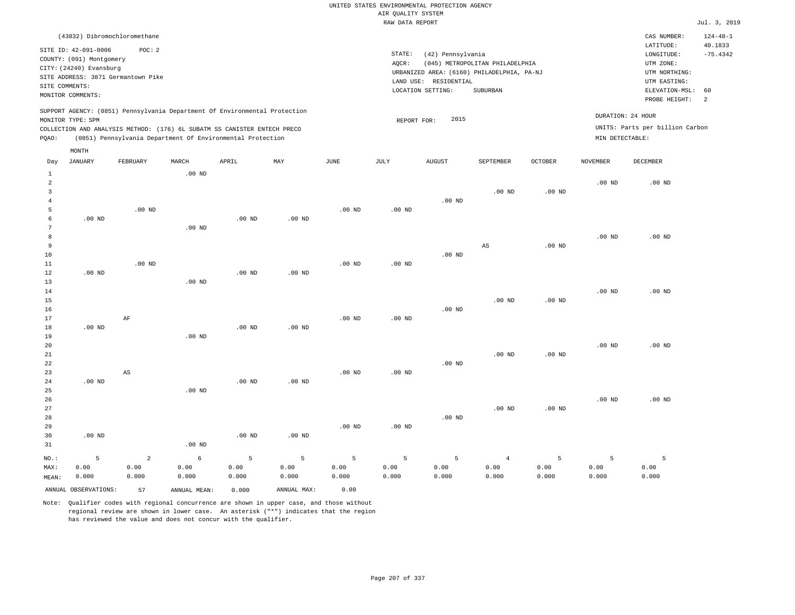## UNITED STATES ENVIRONMENTAL PROTECTION AGENCY AIR QUALITY SYSTEM

|              |                          |                                                                            |          |          |          |          | RAW DATA REPORT   |                       |                                            |          |                   |                                 | Jul. 3, 2019          |
|--------------|--------------------------|----------------------------------------------------------------------------|----------|----------|----------|----------|-------------------|-----------------------|--------------------------------------------|----------|-------------------|---------------------------------|-----------------------|
|              |                          | (43832) Dibromochloromethane                                               |          |          |          |          |                   |                       |                                            |          |                   | CAS NUMBER:                     | $124 - 48 - 1$        |
|              | SITE ID: 42-091-0006     | POC: 2                                                                     |          |          |          |          | STATE:            | (42) Pennsylvania     |                                            |          |                   | LATITUDE:<br>LONGITUDE:         | 40.1833<br>$-75.4342$ |
|              | COUNTY: (091) Montgomery |                                                                            |          |          |          |          | AQCR:             |                       | (045) METROPOLITAN PHILADELPHIA            |          |                   | UTM ZONE:                       |                       |
|              | CITY: (24240) Evansburg  |                                                                            |          |          |          |          |                   |                       | URBANIZED AREA: (6160) PHILADELPHIA, PA-NJ |          |                   | UTM NORTHING:                   |                       |
|              |                          | SITE ADDRESS: 3871 Germantown Pike                                         |          |          |          |          |                   | LAND USE: RESIDENTIAL |                                            |          |                   | UTM EASTING:                    |                       |
|              | SITE COMMENTS:           |                                                                            |          |          |          |          |                   | LOCATION SETTING:     | SUBURBAN                                   |          |                   | ELEVATION-MSL:                  | 60                    |
|              | MONITOR COMMENTS:        |                                                                            |          |          |          |          |                   |                       |                                            |          |                   | PROBE HEIGHT:                   | 2                     |
|              |                          | SUPPORT AGENCY: (0851) Pennsylvania Department Of Environmental Protection |          |          |          |          |                   |                       |                                            |          |                   |                                 |                       |
|              | MONITOR TYPE: SPM        |                                                                            |          |          |          |          | REPORT FOR:       | 2015                  |                                            |          |                   | DURATION: 24 HOUR               |                       |
|              |                          | COLLECTION AND ANALYSIS METHOD: (176) 6L SUBATM SS CANISTER ENTECH PRECO   |          |          |          |          |                   |                       |                                            |          |                   | UNITS: Parts per billion Carbon |                       |
| PQAO:        |                          | (0851) Pennsylvania Department Of Environmental Protection                 |          |          |          |          |                   |                       |                                            |          | MIN DETECTABLE:   |                                 |                       |
|              | MONTH                    |                                                                            |          |          |          |          |                   |                       |                                            |          |                   |                                 |                       |
| Day          | <b>JANUARY</b>           | FEBRUARY                                                                   | MARCH    | APRIL    | MAY      | JUNE     | JULY              | AUGUST                | SEPTEMBER                                  | OCTOBER  | NOVEMBER          | DECEMBER                        |                       |
| $\mathbf{1}$ |                          |                                                                            | $.00$ ND |          |          |          |                   |                       |                                            |          |                   |                                 |                       |
| 2            |                          |                                                                            |          |          |          |          |                   |                       |                                            |          | .00 <sub>ND</sub> | $.00$ ND                        |                       |
| 3            |                          |                                                                            |          |          |          |          |                   |                       | $.00$ ND                                   | $.00$ ND |                   |                                 |                       |
| 4            |                          |                                                                            |          |          |          |          |                   | $.00$ ND              |                                            |          |                   |                                 |                       |
| 5            |                          | $.00$ ND                                                                   |          |          |          | $.00$ ND | $.00$ ND          |                       |                                            |          |                   |                                 |                       |
| -6           | $.00$ ND                 |                                                                            |          | $.00$ ND | $.00$ ND |          |                   |                       |                                            |          |                   |                                 |                       |
| 8            |                          |                                                                            | $.00$ ND |          |          |          |                   |                       |                                            |          |                   |                                 |                       |
| 9            |                          |                                                                            |          |          |          |          |                   |                       | AS                                         | $.00$ ND | .00 <sub>ND</sub> | $.00$ ND                        |                       |
| 10           |                          |                                                                            |          |          |          |          |                   | $.00$ ND              |                                            |          |                   |                                 |                       |
| 11           |                          | $.00$ ND                                                                   |          |          |          | $.00$ ND | $.00$ ND          |                       |                                            |          |                   |                                 |                       |
| 12           | $.00$ ND                 |                                                                            |          | $.00$ ND | $.00$ ND |          |                   |                       |                                            |          |                   |                                 |                       |
| 13           |                          |                                                                            | $.00$ ND |          |          |          |                   |                       |                                            |          |                   |                                 |                       |
| 14           |                          |                                                                            |          |          |          |          |                   |                       |                                            |          | .00 <sub>ND</sub> | $.00$ ND                        |                       |
| 15           |                          |                                                                            |          |          |          |          |                   |                       | $.00$ ND                                   | $.00$ ND |                   |                                 |                       |
| 16           |                          |                                                                            |          |          |          |          |                   | $.00$ ND              |                                            |          |                   |                                 |                       |
| 17           |                          | AF                                                                         |          |          |          | $.00$ ND | .00 <sub>ND</sub> |                       |                                            |          |                   |                                 |                       |
| 18           | $.00$ ND                 |                                                                            |          | $.00$ ND | $.00$ ND |          |                   |                       |                                            |          |                   |                                 |                       |
| 19           |                          |                                                                            | $.00$ ND |          |          |          |                   |                       |                                            |          |                   |                                 |                       |
| 20           |                          |                                                                            |          |          |          |          |                   |                       |                                            |          | .00 <sub>ND</sub> | $.00$ ND                        |                       |
| 21           |                          |                                                                            |          |          |          |          |                   |                       | $.00$ ND                                   | $.00$ ND |                   |                                 |                       |
| 22           |                          |                                                                            |          |          |          |          |                   | $.00$ ND              |                                            |          |                   |                                 |                       |
| 23           |                          | AS                                                                         |          |          |          | $.00$ ND | $.00$ ND          |                       |                                            |          |                   |                                 |                       |
| 24           | $.00$ ND                 |                                                                            |          | $.00$ ND | $.00$ ND |          |                   |                       |                                            |          |                   |                                 |                       |
| 25           |                          |                                                                            | $.00$ ND |          |          |          |                   |                       |                                            |          |                   |                                 |                       |
| 26           |                          |                                                                            |          |          |          |          |                   |                       |                                            |          | $.00$ ND          | $.00$ ND                        |                       |

27 28 29 30 31 .00 ND NO.: MAX: MEAN: 5 0.00 0.000 .00 ND .00 ND .00 ND .00 ND .00 ND .00 ND .00 ND .00 ND 2 0.00 0.000 6 0.00 0.000 5 0.00 0.000 5 0.00 0.000 5 0.00 0.000 5 0.00 0.000 5 0.00 0.000 4 0.00 0.000 5 0.00 0.000 5 0.00 0.000 5 0.00 0.000 ANNUAL OBSERVATIONS: 57 ANNUAL MEAN: 0.000 ANNUAL MAX: 0.00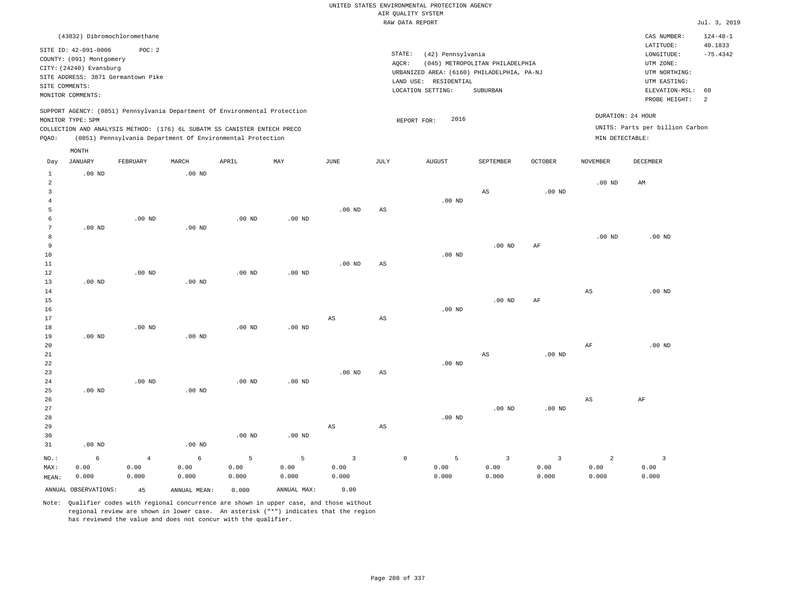# UNITED STATES ENVIRONMENTAL PROTECTION AGENCY AIR QUALITY SYSTEM

|                                  |                                                                                                                    |                                              |                   |                                                                                                                                        |          |                                                                                                                                                                                 |             | RAW DATA REPORT     |                         |                         |                   |                                 | Jul. 3, 2019                                         |
|----------------------------------|--------------------------------------------------------------------------------------------------------------------|----------------------------------------------|-------------------|----------------------------------------------------------------------------------------------------------------------------------------|----------|---------------------------------------------------------------------------------------------------------------------------------------------------------------------------------|-------------|---------------------|-------------------------|-------------------------|-------------------|---------------------------------|------------------------------------------------------|
|                                  |                                                                                                                    | (43832) Dibromochloromethane                 |                   |                                                                                                                                        |          |                                                                                                                                                                                 |             |                     |                         |                         |                   | CAS NUMBER:<br>LATITUDE:        | $124 - 48 - 1$<br>40.1833                            |
|                                  | SITE ID: 42-091-0006<br>COUNTY: (091) Montgomery<br>CITY: (24240) Evansburg<br>SITE COMMENTS:<br>MONITOR COMMENTS: | POC: 2<br>SITE ADDRESS: 3871 Germantown Pike |                   |                                                                                                                                        |          | STATE:<br>(42) Pennsylvania<br>AQCR:<br>(045) METROPOLITAN PHILADELPHIA<br>URBANIZED AREA: (6160) PHILADELPHIA, PA-NJ<br>LAND USE: RESIDENTIAL<br>LOCATION SETTING:<br>SUBURBAN |             |                     |                         |                         |                   |                                 | $-75.4342$<br>ELEVATION-MSL:<br>60<br>$\overline{2}$ |
|                                  |                                                                                                                    |                                              |                   | SUPPORT AGENCY: (0851) Pennsylvania Department Of Environmental Protection                                                             |          |                                                                                                                                                                                 |             |                     |                         |                         | DURATION: 24 HOUR |                                 |                                                      |
|                                  | MONITOR TYPE: SPM                                                                                                  |                                              |                   |                                                                                                                                        |          |                                                                                                                                                                                 |             | 2016<br>REPORT FOR: |                         |                         |                   | UNITS: Parts per billion Carbon |                                                      |
| PQAO:                            |                                                                                                                    |                                              |                   | COLLECTION AND ANALYSIS METHOD: (176) 6L SUBATM SS CANISTER ENTECH PRECO<br>(0851) Pennsylvania Department Of Environmental Protection |          |                                                                                                                                                                                 |             |                     |                         |                         | MIN DETECTABLE:   |                                 |                                                      |
|                                  |                                                                                                                    |                                              |                   |                                                                                                                                        |          |                                                                                                                                                                                 |             |                     |                         |                         |                   |                                 |                                                      |
| Day                              | MONTH<br>JANUARY                                                                                                   | FEBRUARY                                     | MARCH             | APRIL                                                                                                                                  | MAY      | $_{\rm JUNE}$                                                                                                                                                                   | JULY        | <b>AUGUST</b>       | SEPTEMBER               | OCTOBER                 | <b>NOVEMBER</b>   | DECEMBER                        |                                                      |
| $\mathbf{1}$                     | $.00$ ND                                                                                                           |                                              | $.00$ ND          |                                                                                                                                        |          |                                                                                                                                                                                 |             |                     |                         |                         |                   |                                 |                                                      |
| $\overline{a}$<br>$\overline{3}$ |                                                                                                                    |                                              |                   |                                                                                                                                        |          |                                                                                                                                                                                 |             |                     | AS                      | $.00$ ND                | $.00$ ND          | AM                              |                                                      |
| $\,4\,$<br>5                     |                                                                                                                    |                                              |                   |                                                                                                                                        |          | $.00$ ND                                                                                                                                                                        | AS          | $.00$ ND            |                         |                         |                   |                                 |                                                      |
| 6                                |                                                                                                                    | $.00$ ND                                     |                   | $.00$ ND                                                                                                                               | $.00$ ND |                                                                                                                                                                                 |             |                     |                         |                         |                   |                                 |                                                      |
| $7\phantom{.0}$                  | $.00$ ND                                                                                                           |                                              | $.00$ ND          |                                                                                                                                        |          |                                                                                                                                                                                 |             |                     |                         |                         |                   |                                 |                                                      |
| 8<br>9                           |                                                                                                                    |                                              |                   |                                                                                                                                        |          |                                                                                                                                                                                 |             |                     |                         |                         | $.00$ ND          | $.00$ ND                        |                                                      |
| 10                               |                                                                                                                    |                                              |                   |                                                                                                                                        |          |                                                                                                                                                                                 |             | $.00$ ND            | $.00$ ND                | AF                      |                   |                                 |                                                      |
| 11                               |                                                                                                                    |                                              |                   |                                                                                                                                        |          | $.00$ ND                                                                                                                                                                        | AS          |                     |                         |                         |                   |                                 |                                                      |
| 12                               |                                                                                                                    | $.00$ ND                                     |                   | $.00$ ND                                                                                                                               | $.00$ ND |                                                                                                                                                                                 |             |                     |                         |                         |                   |                                 |                                                      |
| 13                               | $.00$ ND                                                                                                           |                                              | $.00$ ND          |                                                                                                                                        |          |                                                                                                                                                                                 |             |                     |                         |                         |                   |                                 |                                                      |
| 14                               |                                                                                                                    |                                              |                   |                                                                                                                                        |          |                                                                                                                                                                                 |             |                     |                         |                         | $_{\rm AS}$       | $.00$ ND                        |                                                      |
| $15$                             |                                                                                                                    |                                              |                   |                                                                                                                                        |          |                                                                                                                                                                                 |             |                     | $.00$ ND                | $\rm{AF}$               |                   |                                 |                                                      |
| 16                               |                                                                                                                    |                                              |                   |                                                                                                                                        |          |                                                                                                                                                                                 |             | $.00$ ND            |                         |                         |                   |                                 |                                                      |
| 17                               |                                                                                                                    |                                              |                   |                                                                                                                                        |          | AS                                                                                                                                                                              | AS          |                     |                         |                         |                   |                                 |                                                      |
| 18<br>19                         | $.00$ ND                                                                                                           | $.00$ ND                                     | $.00$ ND          | $.00$ ND                                                                                                                               | $.00$ ND |                                                                                                                                                                                 |             |                     |                         |                         |                   |                                 |                                                      |
| 20                               |                                                                                                                    |                                              |                   |                                                                                                                                        |          |                                                                                                                                                                                 |             |                     |                         |                         | $\rm{AF}$         | $.00$ ND                        |                                                      |
| 21                               |                                                                                                                    |                                              |                   |                                                                                                                                        |          |                                                                                                                                                                                 |             |                     | $\mathbb{A}\mathbb{S}$  | $.00$ ND                |                   |                                 |                                                      |
| 22                               |                                                                                                                    |                                              |                   |                                                                                                                                        |          |                                                                                                                                                                                 |             | $.00$ ND            |                         |                         |                   |                                 |                                                      |
| 23                               |                                                                                                                    |                                              |                   |                                                                                                                                        |          | $.00$ ND                                                                                                                                                                        | AS          |                     |                         |                         |                   |                                 |                                                      |
| 24                               |                                                                                                                    | $.00$ ND                                     |                   | $.00$ ND                                                                                                                               | $.00$ ND |                                                                                                                                                                                 |             |                     |                         |                         |                   |                                 |                                                      |
| 25                               | $.00$ ND                                                                                                           |                                              | $.00$ ND          |                                                                                                                                        |          |                                                                                                                                                                                 |             |                     |                         |                         |                   |                                 |                                                      |
| 26                               |                                                                                                                    |                                              |                   |                                                                                                                                        |          |                                                                                                                                                                                 |             |                     |                         |                         | $_{\rm AS}$       | $\rm AF$                        |                                                      |
| 27<br>28                         |                                                                                                                    |                                              |                   |                                                                                                                                        |          |                                                                                                                                                                                 |             | $.00$ ND            | $.00$ ND                | $.00$ ND                |                   |                                 |                                                      |
| 29                               |                                                                                                                    |                                              |                   |                                                                                                                                        |          | $_{\rm AS}$                                                                                                                                                                     | $_{\rm AS}$ |                     |                         |                         |                   |                                 |                                                      |
| 30                               |                                                                                                                    |                                              |                   | .00 <sub>ND</sub>                                                                                                                      | $.00$ ND |                                                                                                                                                                                 |             |                     |                         |                         |                   |                                 |                                                      |
| 31                               | $.00$ ND                                                                                                           |                                              | .00 <sub>ND</sub> |                                                                                                                                        |          |                                                                                                                                                                                 |             |                     |                         |                         |                   |                                 |                                                      |
| NO.:                             | 6                                                                                                                  | $\overline{4}$                               | 6                 | 5                                                                                                                                      | 5        | $\overline{3}$                                                                                                                                                                  |             | $\mathbb O$<br>5    | $\overline{\mathbf{3}}$ | $\overline{\mathbf{3}}$ | $\overline{a}$    | $\overline{3}$                  |                                                      |
| MAX:                             | 0.00                                                                                                               | 0.00                                         | 0.00              | 0.00                                                                                                                                   | 0.00     | 0.00                                                                                                                                                                            |             | 0.00                | 0.00                    | 0.00                    | 0.00              | 0.00                            |                                                      |
| MEAN:                            | 0.000                                                                                                              | 0.000                                        | 0.000             | 0.000                                                                                                                                  | 0.000    | 0.000                                                                                                                                                                           |             | 0.000               | 0.000                   | 0.000                   | 0.000             | 0.000                           |                                                      |

ANNUAL OBSERVATIONS: 45 ANNUAL MEAN: 0.000 ANNUAL MAX: 0.00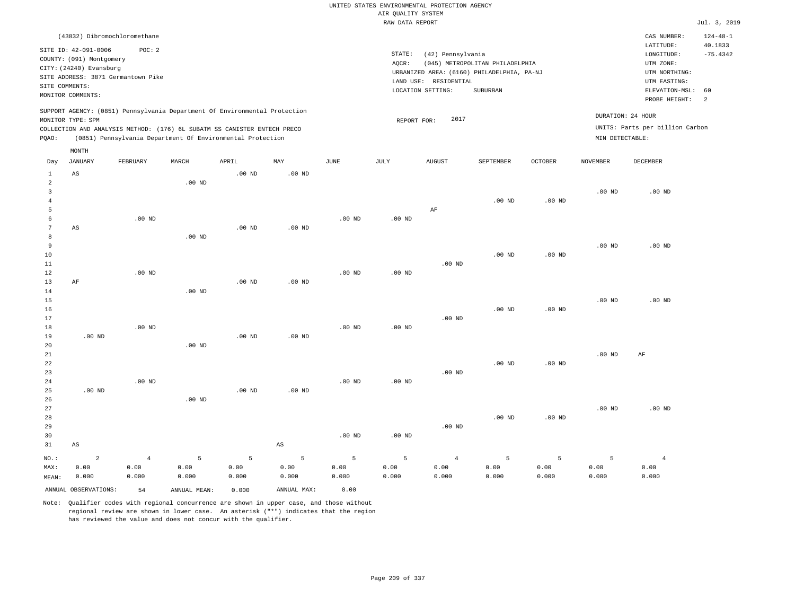|                     |                                     |                |                                                                            |                   |                        |          |                    | UNITED STATES ENVIRONMENTAL PROTECTION AGENCY |                                            |                |                   |                                 |                           |
|---------------------|-------------------------------------|----------------|----------------------------------------------------------------------------|-------------------|------------------------|----------|--------------------|-----------------------------------------------|--------------------------------------------|----------------|-------------------|---------------------------------|---------------------------|
|                     |                                     |                |                                                                            |                   |                        |          | AIR QUALITY SYSTEM |                                               |                                            |                |                   |                                 |                           |
|                     |                                     |                |                                                                            |                   |                        |          | RAW DATA REPORT    |                                               |                                            |                |                   |                                 | Jul. 3, 2019              |
|                     | (43832) Dibromochloromethane        |                |                                                                            |                   |                        |          |                    |                                               |                                            |                |                   | CAS NUMBER:<br>LATITUDE:        | $124 - 48 - 1$<br>40.1833 |
|                     | SITE ID: 42-091-0006                | POC: 2         |                                                                            |                   |                        |          | STATE:             | (42) Pennsylvania                             |                                            |                |                   | LONGITUDE:                      | $-75.4342$                |
|                     | COUNTY: (091) Montgomery            |                |                                                                            |                   |                        |          | AOCR:              |                                               | (045) METROPOLITAN PHILADELPHIA            |                |                   | UTM ZONE:                       |                           |
|                     | CITY: (24240) Evansburg             |                |                                                                            |                   |                        |          |                    |                                               | URBANIZED AREA: (6160) PHILADELPHIA, PA-NJ |                |                   | UTM NORTHING:                   |                           |
|                     | SITE ADDRESS: 3871 Germantown Pike  |                |                                                                            |                   |                        |          |                    | LAND USE: RESIDENTIAL                         |                                            |                |                   | UTM EASTING:                    |                           |
|                     | SITE COMMENTS:<br>MONITOR COMMENTS: |                |                                                                            |                   |                        |          |                    | LOCATION SETTING:                             | SUBURBAN                                   |                |                   | ELEVATION-MSL:                  | 60                        |
|                     |                                     |                |                                                                            |                   |                        |          |                    |                                               |                                            |                |                   | PROBE HEIGHT:                   | $\overline{a}$            |
|                     |                                     |                | SUPPORT AGENCY: (0851) Pennsylvania Department Of Environmental Protection |                   |                        |          |                    |                                               |                                            |                |                   |                                 |                           |
|                     | MONITOR TYPE: SPM                   |                |                                                                            |                   |                        |          | REPORT FOR:        | 2017                                          |                                            |                | DURATION: 24 HOUR |                                 |                           |
|                     |                                     |                | COLLECTION AND ANALYSIS METHOD: (176) 6L SUBATM SS CANISTER ENTECH PRECO   |                   |                        |          |                    |                                               |                                            |                |                   | UNITS: Parts per billion Carbon |                           |
| PQAO:               |                                     |                | (0851) Pennsylvania Department Of Environmental Protection                 |                   |                        |          |                    |                                               |                                            |                | MIN DETECTABLE:   |                                 |                           |
|                     | MONTH                               |                |                                                                            |                   |                        |          |                    |                                               |                                            |                |                   |                                 |                           |
| Day                 | <b>JANUARY</b>                      | FEBRUARY       | MARCH                                                                      | APRIL             | MAY                    | JUNE     | JULY               | <b>AUGUST</b>                                 | SEPTEMBER                                  | <b>OCTOBER</b> | <b>NOVEMBER</b>   | DECEMBER                        |                           |
| $\mathbf{1}$        | AS                                  |                |                                                                            | .00 <sub>ND</sub> | $.00$ ND               |          |                    |                                               |                                            |                |                   |                                 |                           |
| $\overline{a}$      |                                     |                | $.00$ ND                                                                   |                   |                        |          |                    |                                               |                                            |                |                   |                                 |                           |
| 3                   |                                     |                |                                                                            |                   |                        |          |                    |                                               |                                            |                | .00 <sub>ND</sub> | $.00$ ND                        |                           |
| $\overline{4}$      |                                     |                |                                                                            |                   |                        |          |                    |                                               | .00 <sub>ND</sub>                          | $.00$ ND       |                   |                                 |                           |
| 5                   |                                     |                |                                                                            |                   |                        |          |                    | AF                                            |                                            |                |                   |                                 |                           |
| 6<br>$\overline{7}$ |                                     | $.00$ ND       |                                                                            |                   |                        | $.00$ ND | $.00$ ND           |                                               |                                            |                |                   |                                 |                           |
| 8                   | AS                                  |                | $.00$ ND                                                                   | .00 <sub>ND</sub> | $.00$ ND               |          |                    |                                               |                                            |                |                   |                                 |                           |
| 9                   |                                     |                |                                                                            |                   |                        |          |                    |                                               |                                            |                | .00 <sub>ND</sub> | $.00$ ND                        |                           |
| $10$                |                                     |                |                                                                            |                   |                        |          |                    |                                               | .00 <sub>ND</sub>                          | $.00$ ND       |                   |                                 |                           |
| 11                  |                                     |                |                                                                            |                   |                        |          |                    | $.00$ ND                                      |                                            |                |                   |                                 |                           |
| 12                  |                                     | $.00$ ND       |                                                                            |                   |                        | $.00$ ND | $.00$ ND           |                                               |                                            |                |                   |                                 |                           |
| 13                  | $\rm{AF}$                           |                |                                                                            | $.00$ ND          | $.00$ ND               |          |                    |                                               |                                            |                |                   |                                 |                           |
| 14                  |                                     |                | $.00$ ND                                                                   |                   |                        |          |                    |                                               |                                            |                |                   |                                 |                           |
| 15                  |                                     |                |                                                                            |                   |                        |          |                    |                                               |                                            |                | .00 <sub>ND</sub> | $.00$ ND                        |                           |
| 16                  |                                     |                |                                                                            |                   |                        |          |                    |                                               | $.00$ ND                                   | $.00$ ND       |                   |                                 |                           |
| 17                  |                                     |                |                                                                            |                   |                        |          |                    | $.00$ ND                                      |                                            |                |                   |                                 |                           |
| 18<br>19            | $.00$ ND                            | $.00$ ND       |                                                                            | .00 <sub>ND</sub> | $.00$ ND               | $.00$ ND | $.00$ ND           |                                               |                                            |                |                   |                                 |                           |
| 20                  |                                     |                | $.00$ ND                                                                   |                   |                        |          |                    |                                               |                                            |                |                   |                                 |                           |
| $2\sqrt{1}$         |                                     |                |                                                                            |                   |                        |          |                    |                                               |                                            |                | .00 <sub>ND</sub> | $\rm{AF}$                       |                           |
| 22                  |                                     |                |                                                                            |                   |                        |          |                    |                                               | .00 <sub>ND</sub>                          | $.00$ ND       |                   |                                 |                           |
| 23                  |                                     |                |                                                                            |                   |                        |          |                    | $.00$ ND                                      |                                            |                |                   |                                 |                           |
| $2\,4$              |                                     | $.00$ ND       |                                                                            |                   |                        | $.00$ ND | $.00$ ND           |                                               |                                            |                |                   |                                 |                           |
| 25                  | $.00$ ND                            |                |                                                                            | $.00$ ND          | $.00$ ND               |          |                    |                                               |                                            |                |                   |                                 |                           |
| 26                  |                                     |                | $.00$ ND                                                                   |                   |                        |          |                    |                                               |                                            |                |                   |                                 |                           |
| 27                  |                                     |                |                                                                            |                   |                        |          |                    |                                               |                                            |                | .00 <sub>ND</sub> | $.00$ ND                        |                           |
| 28                  |                                     |                |                                                                            |                   |                        |          |                    |                                               | $.00$ ND                                   | $.00$ ND       |                   |                                 |                           |
| 29<br>30            |                                     |                |                                                                            |                   |                        | $.00$ ND | .00 <sub>ND</sub>  | .00 <sub>ND</sub>                             |                                            |                |                   |                                 |                           |
|                     |                                     |                |                                                                            |                   | $\mathbb{A}\mathbb{S}$ |          |                    |                                               |                                            |                |                   |                                 |                           |
| 31                  | AS                                  |                |                                                                            |                   |                        |          |                    |                                               |                                            |                |                   |                                 |                           |
| $NO.$ :             | $\overline{2}$                      | $\overline{4}$ | 5                                                                          | 5                 | 5                      | 5        | 5                  | $\overline{4}$                                | 5                                          | 5              | 5                 | $\overline{4}$                  |                           |
| MAX:                | 0.00                                | 0.00           | 0.00                                                                       | 0.00              | 0.00                   | 0.00     | 0.00               | 0.00                                          | 0.00                                       | 0.00           | 0.00              | 0.00                            |                           |
| MEAN:               | 0.000                               | 0.000          | 0.000                                                                      | 0.000             | 0.000                  | 0.000    | 0.000              | 0.000                                         | 0.000                                      | 0.000          | 0.000             | 0.000                           |                           |
|                     | ANNUAL OBSERVATIONS:                | 54             | ANNUAL, MEAN:                                                              | 0.000             | ANNUAL MAX:            | 0.00     |                    |                                               |                                            |                |                   |                                 |                           |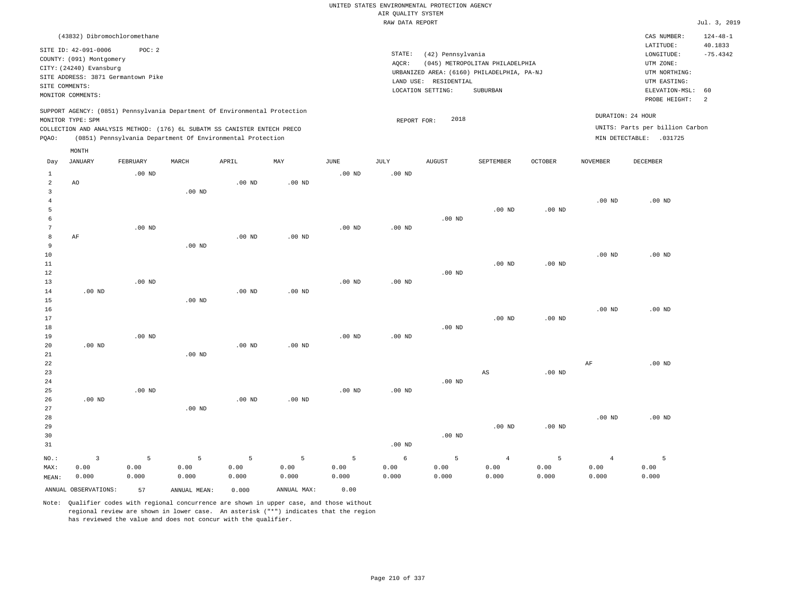|                     |                                                      |          |                                                                            |                   |                   |          | UNITED STATES ENVIRONMENTAL PROTECTION AGENCY |                                            |                                            |                   |                   |                                 |                           |
|---------------------|------------------------------------------------------|----------|----------------------------------------------------------------------------|-------------------|-------------------|----------|-----------------------------------------------|--------------------------------------------|--------------------------------------------|-------------------|-------------------|---------------------------------|---------------------------|
|                     |                                                      |          |                                                                            |                   |                   |          | AIR QUALITY SYSTEM                            |                                            |                                            |                   |                   |                                 |                           |
|                     |                                                      |          |                                                                            |                   |                   |          | RAW DATA REPORT                               |                                            |                                            |                   |                   |                                 | Jul. 3, 2019              |
|                     | (43832) Dibromochloromethane<br>SITE ID: 42-091-0006 | POC: 2   |                                                                            |                   |                   |          |                                               |                                            |                                            |                   |                   | CAS NUMBER:<br>LATITUDE:        | $124 - 48 - 1$<br>40.1833 |
|                     | COUNTY: (091) Montgomery                             |          |                                                                            |                   |                   |          | STATE:                                        | (42) Pennsylvania                          |                                            |                   |                   | LONGITUDE:                      | $-75.4342$                |
|                     | CITY: (24240) Evansburg                              |          |                                                                            |                   |                   |          | AOCR:                                         |                                            | (045) METROPOLITAN PHILADELPHIA            |                   |                   | UTM ZONE:                       |                           |
|                     | SITE ADDRESS: 3871 Germantown Pike                   |          |                                                                            |                   |                   |          |                                               |                                            | URBANIZED AREA: (6160) PHILADELPHIA, PA-NJ |                   |                   | UTM NORTHING:                   |                           |
| SITE COMMENTS:      |                                                      |          |                                                                            |                   |                   |          |                                               | LAND USE: RESIDENTIAL<br>LOCATION SETTING: | <b>SUBURBAN</b>                            |                   |                   | UTM EASTING:<br>ELEVATION-MSL:  | 60                        |
|                     | MONITOR COMMENTS:                                    |          |                                                                            |                   |                   |          |                                               |                                            |                                            |                   |                   | PROBE HEIGHT:                   | 2                         |
|                     | MONITOR TYPE: SPM                                    |          | SUPPORT AGENCY: (0851) Pennsylvania Department Of Environmental Protection |                   |                   |          | REPORT FOR:                                   | 2018                                       |                                            |                   |                   | DURATION: 24 HOUR               |                           |
|                     |                                                      |          | COLLECTION AND ANALYSIS METHOD: (176) 6L SUBATM SS CANISTER ENTECH PRECO   |                   |                   |          |                                               |                                            |                                            |                   |                   | UNITS: Parts per billion Carbon |                           |
| PQAO:               |                                                      |          | (0851) Pennsylvania Department Of Environmental Protection                 |                   |                   |          |                                               |                                            |                                            |                   |                   | MIN DETECTABLE: .031725         |                           |
|                     | MONTH                                                |          |                                                                            |                   |                   |          |                                               |                                            |                                            |                   |                   |                                 |                           |
| Day                 | <b>JANUARY</b>                                       | FEBRUARY | MARCH                                                                      | APRIL             | MAY               | JUNE     | JULY                                          | <b>AUGUST</b>                              | SEPTEMBER                                  | OCTOBER           | NOVEMBER          | DECEMBER                        |                           |
| $\mathbf{1}$        |                                                      | $.00$ ND |                                                                            |                   |                   | $.00$ ND | .00 <sub>ND</sub>                             |                                            |                                            |                   |                   |                                 |                           |
| $\overline{a}$<br>3 | AO                                                   |          | $.00$ ND                                                                   | $.00$ ND          | $.00$ ND          |          |                                               |                                            |                                            |                   |                   |                                 |                           |
| $\bf{4}$            |                                                      |          |                                                                            |                   |                   |          |                                               |                                            |                                            |                   | $.00$ ND          | $.00$ ND                        |                           |
| 5                   |                                                      |          |                                                                            |                   |                   |          |                                               |                                            | $.00$ ND                                   | $.00$ ND          |                   |                                 |                           |
| 6                   |                                                      |          |                                                                            |                   |                   |          |                                               | $.00$ ND                                   |                                            |                   |                   |                                 |                           |
| 7                   |                                                      | $.00$ ND |                                                                            |                   |                   | $.00$ ND | $.00$ ND                                      |                                            |                                            |                   |                   |                                 |                           |
| 8                   | AF                                                   |          |                                                                            | $.00$ ND          | $.00$ ND          |          |                                               |                                            |                                            |                   |                   |                                 |                           |
| $\overline{9}$      |                                                      |          | $.00$ ND                                                                   |                   |                   |          |                                               |                                            |                                            |                   |                   |                                 |                           |
| $10$                |                                                      |          |                                                                            |                   |                   |          |                                               |                                            |                                            |                   | .00 <sub>ND</sub> | $.00$ ND                        |                           |
| 11                  |                                                      |          |                                                                            |                   |                   |          |                                               |                                            | .00 <sub>ND</sub>                          | $.00$ ND          |                   |                                 |                           |
| 12                  |                                                      |          |                                                                            |                   |                   |          |                                               | $.00$ ND                                   |                                            |                   |                   |                                 |                           |
| 13                  |                                                      | $.00$ ND |                                                                            |                   |                   | $.00$ ND | .00 <sub>ND</sub>                             |                                            |                                            |                   |                   |                                 |                           |
| 14                  | $.00$ ND                                             |          |                                                                            | .00 <sub>ND</sub> | $.00$ ND          |          |                                               |                                            |                                            |                   |                   |                                 |                           |
| 15                  |                                                      |          | $.00$ ND                                                                   |                   |                   |          |                                               |                                            |                                            |                   |                   |                                 |                           |
| 16                  |                                                      |          |                                                                            |                   |                   |          |                                               |                                            |                                            |                   | .00 <sub>ND</sub> | $.00$ ND                        |                           |
| 17                  |                                                      |          |                                                                            |                   |                   |          |                                               |                                            | $.00$ ND                                   | .00 <sub>ND</sub> |                   |                                 |                           |
| 18                  |                                                      |          |                                                                            |                   |                   |          |                                               | $.00$ ND                                   |                                            |                   |                   |                                 |                           |
| 19                  |                                                      | $.00$ ND |                                                                            |                   |                   | $.00$ ND | .00 <sub>ND</sub>                             |                                            |                                            |                   |                   |                                 |                           |
| 20                  | $.00$ ND                                             |          | $.00$ ND                                                                   | $.00$ ND          | .00 <sub>ND</sub> |          |                                               |                                            |                                            |                   |                   |                                 |                           |
| 21<br>22            |                                                      |          |                                                                            |                   |                   |          |                                               |                                            |                                            |                   | AF                | $.00$ ND                        |                           |
| 23                  |                                                      |          |                                                                            |                   |                   |          |                                               |                                            | AS                                         | $.00$ ND          |                   |                                 |                           |
| 24                  |                                                      |          |                                                                            |                   |                   |          |                                               | $.00$ ND                                   |                                            |                   |                   |                                 |                           |
| 25                  |                                                      | $.00$ ND |                                                                            |                   |                   | $.00$ ND | .00 <sub>ND</sub>                             |                                            |                                            |                   |                   |                                 |                           |
| 26                  | .00 <sub>ND</sub>                                    |          |                                                                            | $.00$ ND          | $.00$ ND          |          |                                               |                                            |                                            |                   |                   |                                 |                           |
| 27                  |                                                      |          | $.00$ ND                                                                   |                   |                   |          |                                               |                                            |                                            |                   |                   |                                 |                           |
| 28                  |                                                      |          |                                                                            |                   |                   |          |                                               |                                            |                                            |                   | $.00$ ND          | $.00$ ND                        |                           |
| 29                  |                                                      |          |                                                                            |                   |                   |          |                                               |                                            | $.00$ ND                                   | $.00$ ND          |                   |                                 |                           |
| 30                  |                                                      |          |                                                                            |                   |                   |          |                                               | $.00$ ND                                   |                                            |                   |                   |                                 |                           |
| 31                  |                                                      |          |                                                                            |                   |                   |          | $.00$ ND                                      |                                            |                                            |                   |                   |                                 |                           |
| NO.:                | $\overline{3}$                                       | 5        | 5                                                                          | 5                 | 5                 | 5        | 6                                             | 5                                          | $\overline{4}$                             | 5                 | $\overline{4}$    | 5                               |                           |
| MAX:                | 0.00                                                 | 0.00     | 0.00                                                                       | 0.00              | 0.00              | 0.00     | 0.00                                          | 0.00                                       | 0.00                                       | 0.00              | 0.00              | 0.00                            |                           |
| MEAN:               | 0.000                                                | 0.000    | 0.000                                                                      | 0.000             | 0.000             | 0.000    | 0.000                                         | 0.000                                      | 0.000                                      | 0.000             | 0.000             | 0.000                           |                           |
|                     | ANNUAL OBSERVATIONS:                                 | 57       | ANNUAL MEAN:                                                               | 0.000             | ANNUAL MAX:       | 0.00     |                                               |                                            |                                            |                   |                   |                                 |                           |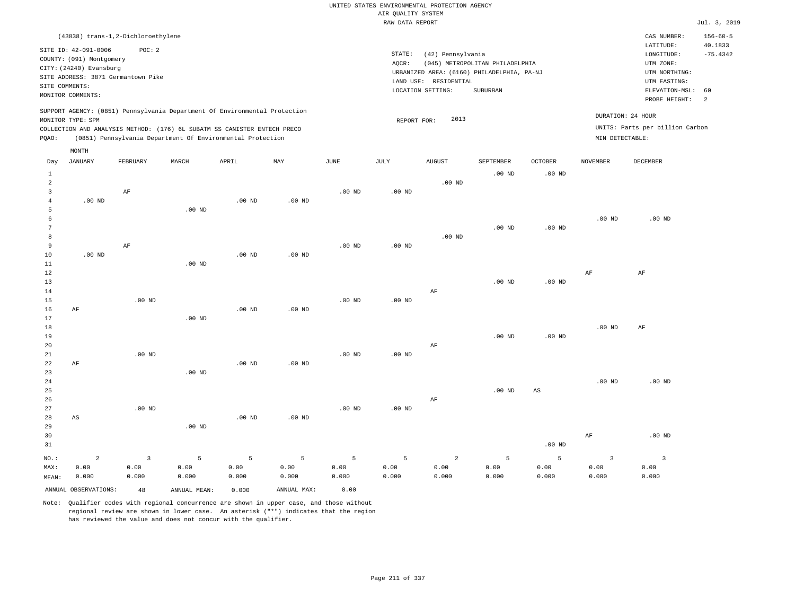|                 |                                                                             | (43838) trans-1,2-Dichloroethylene                                                                                                     |                   |               |               |                   |                   |                   |                                                                               |                   |                   | CAS NUMBER:<br>LATITUDE:                 | $156 - 60 - 5$<br>40.1833 |
|-----------------|-----------------------------------------------------------------------------|----------------------------------------------------------------------------------------------------------------------------------------|-------------------|---------------|---------------|-------------------|-------------------|-------------------|-------------------------------------------------------------------------------|-------------------|-------------------|------------------------------------------|---------------------------|
|                 | SITE ID: 42-091-0006<br>COUNTY: (091) Montgomery<br>CITY: (24240) Evansburg | POC: 2<br>SITE ADDRESS: 3871 Germantown Pike                                                                                           |                   |               |               |                   | STATE:<br>AQCR:   | (42) Pennsylvania | (045) METROPOLITAN PHILADELPHIA<br>URBANIZED AREA: (6160) PHILADELPHIA, PA-NJ |                   |                   | LONGITUDE:<br>UTM ZONE:<br>UTM NORTHING: | $-75.4342$                |
|                 | SITE COMMENTS:                                                              |                                                                                                                                        |                   |               |               |                   | LAND USE:         | RESIDENTIAL       |                                                                               |                   |                   | UTM EASTING:                             |                           |
|                 | MONITOR COMMENTS:                                                           |                                                                                                                                        |                   |               |               |                   |                   | LOCATION SETTING: | SUBURBAN                                                                      |                   |                   | ELEVATION-MSL:<br>PROBE HEIGHT:          | 60<br>$\overline{2}$      |
|                 |                                                                             | SUPPORT AGENCY: (0851) Pennsylvania Department Of Environmental Protection                                                             |                   |               |               |                   |                   |                   |                                                                               |                   |                   | DURATION: 24 HOUR                        |                           |
|                 | MONITOR TYPE: SPM                                                           |                                                                                                                                        |                   |               |               |                   | REPORT FOR:       | 2013              |                                                                               |                   |                   | UNITS: Parts per billion Carbon          |                           |
|                 |                                                                             | COLLECTION AND ANALYSIS METHOD: (176) 6L SUBATM SS CANISTER ENTECH PRECO<br>(0851) Pennsylvania Department Of Environmental Protection |                   |               |               |                   |                   |                   |                                                                               |                   | MIN DETECTABLE:   |                                          |                           |
| PQAO:           |                                                                             |                                                                                                                                        |                   |               |               |                   |                   |                   |                                                                               |                   |                   |                                          |                           |
| Day             | MONTH<br><b>JANUARY</b>                                                     | FEBRUARY                                                                                                                               | MARCH             | APRIL         | MAY           | $_{\rm JUNE}$     | JULY              | <b>AUGUST</b>     | SEPTEMBER                                                                     | <b>OCTOBER</b>    | <b>NOVEMBER</b>   | <b>DECEMBER</b>                          |                           |
| $\mathbf{1}$    |                                                                             |                                                                                                                                        |                   |               |               |                   |                   |                   | $.00$ ND                                                                      | $.00$ ND          |                   |                                          |                           |
| $\overline{a}$  |                                                                             |                                                                                                                                        |                   |               |               |                   |                   | $.00$ ND          |                                                                               |                   |                   |                                          |                           |
| 3               |                                                                             | AF                                                                                                                                     |                   |               |               | .00 <sub>ND</sub> | .00 <sub>ND</sub> |                   |                                                                               |                   |                   |                                          |                           |
| $\overline{4}$  | $.00$ ND                                                                    |                                                                                                                                        |                   | $.00$ ND      | .00 $ND$      |                   |                   |                   |                                                                               |                   |                   |                                          |                           |
| 5               |                                                                             |                                                                                                                                        | $.00$ ND          |               |               |                   |                   |                   |                                                                               |                   |                   |                                          |                           |
| 6               |                                                                             |                                                                                                                                        |                   |               |               |                   |                   |                   |                                                                               |                   | $.00$ ND          | $.00$ ND                                 |                           |
| $7\phantom{.0}$ |                                                                             |                                                                                                                                        |                   |               |               |                   |                   |                   | .00 <sub>ND</sub>                                                             | .00 <sub>ND</sub> |                   |                                          |                           |
| 8               |                                                                             |                                                                                                                                        |                   |               |               |                   |                   | $.00$ ND          |                                                                               |                   |                   |                                          |                           |
| 9               |                                                                             | AF                                                                                                                                     |                   |               |               | .00 <sub>ND</sub> | .00 <sub>ND</sub> |                   |                                                                               |                   |                   |                                          |                           |
| 10<br>11        | $.00$ ND                                                                    |                                                                                                                                        | $.00$ ND          | $.00$ ND      | $.00$ ND      |                   |                   |                   |                                                                               |                   |                   |                                          |                           |
| 12              |                                                                             |                                                                                                                                        |                   |               |               |                   |                   |                   |                                                                               |                   | $\rm{AF}$         | $\rm AF$                                 |                           |
| 13              |                                                                             |                                                                                                                                        |                   |               |               |                   |                   |                   | $.00$ ND                                                                      | $.00$ ND          |                   |                                          |                           |
| 14              |                                                                             |                                                                                                                                        |                   |               |               |                   |                   | AF                |                                                                               |                   |                   |                                          |                           |
| 15              |                                                                             | $.00$ ND                                                                                                                               |                   |               |               | .00 <sub>ND</sub> | .00 <sub>ND</sub> |                   |                                                                               |                   |                   |                                          |                           |
| 16              | AF                                                                          |                                                                                                                                        |                   | $.00$ ND      | $.00$ ND      |                   |                   |                   |                                                                               |                   |                   |                                          |                           |
| 17              |                                                                             |                                                                                                                                        | $.00$ ND          |               |               |                   |                   |                   |                                                                               |                   |                   |                                          |                           |
| 18              |                                                                             |                                                                                                                                        |                   |               |               |                   |                   |                   |                                                                               |                   | .00 <sub>ND</sub> | AF                                       |                           |
| 19              |                                                                             |                                                                                                                                        |                   |               |               |                   |                   |                   | $.00$ ND                                                                      | .00 <sub>ND</sub> |                   |                                          |                           |
| 20<br>21        |                                                                             | $.00$ ND                                                                                                                               |                   |               |               | $.00$ ND          | .00 <sub>ND</sub> | AF                |                                                                               |                   |                   |                                          |                           |
| 22              | AF                                                                          |                                                                                                                                        |                   | $.00$ ND      | $.00$ ND      |                   |                   |                   |                                                                               |                   |                   |                                          |                           |
| 23              |                                                                             |                                                                                                                                        | $.00$ ND          |               |               |                   |                   |                   |                                                                               |                   |                   |                                          |                           |
| $2\,4$          |                                                                             |                                                                                                                                        |                   |               |               |                   |                   |                   |                                                                               |                   | $.00$ ND          | .00 <sub>ND</sub>                        |                           |
| 25              |                                                                             |                                                                                                                                        |                   |               |               |                   |                   |                   | .00 <sub>ND</sub>                                                             | AS                |                   |                                          |                           |
| 26              |                                                                             |                                                                                                                                        |                   |               |               |                   |                   | AF                |                                                                               |                   |                   |                                          |                           |
| 27              |                                                                             | $.00$ ND                                                                                                                               |                   |               |               | .00 <sub>ND</sub> | .00 <sub>ND</sub> |                   |                                                                               |                   |                   |                                          |                           |
| 28              | $\mathbb{A}\mathbb{S}$                                                      |                                                                                                                                        |                   | $.00$ ND      | $.00$ ND      |                   |                   |                   |                                                                               |                   |                   |                                          |                           |
| 29              |                                                                             |                                                                                                                                        | .00 <sub>ND</sub> |               |               |                   |                   |                   |                                                                               |                   |                   |                                          |                           |
| 30<br>31        |                                                                             |                                                                                                                                        |                   |               |               |                   |                   |                   |                                                                               | .00 <sub>ND</sub> | AF                | $.00$ ND                                 |                           |
|                 |                                                                             |                                                                                                                                        |                   |               |               |                   |                   |                   |                                                                               |                   |                   |                                          |                           |
| NO.:            | $\overline{a}$                                                              | $\overline{3}$                                                                                                                         | 5                 | 5             | 5             | 5                 | 5                 | 2                 | $\overline{5}$                                                                | 5                 | $\overline{3}$    | $\overline{\mathbf{3}}$                  |                           |
| MAX:            | 0.00<br>0.000                                                               | 0.00<br>0.000                                                                                                                          | 0.00<br>0.000     | 0.00<br>0.000 | 0.00<br>0.000 | 0.00<br>0.000     | 0.00<br>0.000     | 0.00<br>0.000     | 0.00<br>0.000                                                                 | 0.00<br>0.000     | 0.00<br>0.000     | 0.00<br>0.000                            |                           |
| MEAN:           |                                                                             |                                                                                                                                        |                   |               |               |                   |                   |                   |                                                                               |                   |                   |                                          |                           |

Note: Qualifier codes with regional concurrence are shown in upper case, and those without regional review are shown in lower case. An asterisk ("\*") indicates that the region has reviewed the value and does not concur with the qualifier.

ANNUAL OBSERVATIONS: 48 ANNUAL MEAN: 0.000 ANNUAL MAX: 0.00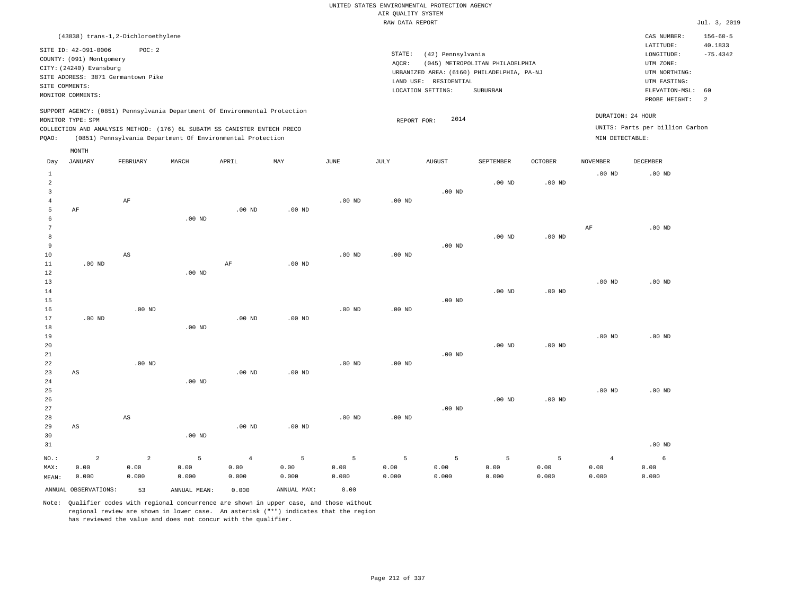| (43838) trans-1,2-Dichloroethylene                                                                                                                                                                                                                          |                                                                                                                                                                                    | CAS NUMBER:                                                                                                                   | $156 - 60 - 5$        |
|-------------------------------------------------------------------------------------------------------------------------------------------------------------------------------------------------------------------------------------------------------------|------------------------------------------------------------------------------------------------------------------------------------------------------------------------------------|-------------------------------------------------------------------------------------------------------------------------------|-----------------------|
| SITE ID: 42-091-0006<br>POC:2<br>COUNTY: (091) Montgomery<br>CITY: (24240) Evansburg<br>SITE ADDRESS: 3871 Germantown Pike<br>SITE COMMENTS:<br>MONITOR COMMENTS:                                                                                           | STATE:<br>(42) Pennsylvania<br>(045) METROPOLITAN PHILADELPHIA<br>AOCR:<br>URBANIZED AREA: (6160) PHILADELPHIA, PA-NJ<br>RESIDENTIAL<br>LAND USE:<br>LOCATION SETTING:<br>SUBURBAN | LATITUDE:<br>LONGITUDE:<br>UTM ZONE:<br>UTM NORTHING:<br>UTM EASTING:<br>ELEVATION-MSL: 60<br>PROBE HEIGHT:<br>$\overline{2}$ | 40.1833<br>$-75.4342$ |
| SUPPORT AGENCY: (0851) Pennsylvania Department Of Environmental Protection<br>MONITOR TYPE: SPM<br>COLLECTION AND ANALYSIS METHOD: (176) 6L SUBATM SS CANISTER ENTECH PRECO<br>(0851) Pennsylvania Department Of Environmental Protection<br>POAO:<br>MONTH | 2014<br>REPORT FOR:                                                                                                                                                                | DURATION: 24 HOUR<br>UNITS: Parts per billion Carbon<br>MIN DETECTABLE:                                                       |                       |

| Day                                                        | <b>JANUARY</b>                  | FEBRUARY                        | $\tt MARCH$        | APRIL                       | MAY                | JUNE               | $\mathtt{JULY}$    | ${\tt AUGUST}$     | SEPTEMBER          | OCTOBER            | NOVEMBER                        | DECEMBER           |
|------------------------------------------------------------|---------------------------------|---------------------------------|--------------------|-----------------------------|--------------------|--------------------|--------------------|--------------------|--------------------|--------------------|---------------------------------|--------------------|
| $\mathbf{1}$<br>$\overline{a}$<br>3<br>$\overline{4}$<br>5 | AF                              | $\rm AF$                        |                    | $.00$ ND                    | $.00$ ND           | $.00$ ND           | $.00$ ND           | $.00$ ND           | $.00$ ND           | $.00$ ND           | $.00$ ND                        | $.00$ ND           |
| 6<br>7<br>8<br>9<br>$10$                                   |                                 | $\mathbb{A}\mathbb{S}$          | $.00$ ND           |                             |                    | $.00$ ND           | .00 $ND$           | $.00$ ND           | $.00$ ND           | $.00$ ND           | $\rm AF$                        | $.00$ ND           |
| $11\,$<br>12<br>13<br>14<br>15<br>16                       | $.00$ ND                        | $.00$ ND                        | $.00$ ND           | $\rm{AF}$                   | $.00$ ND           | $.00$ ND           | $.00$ ND           | $.00$ ND           | $.00$ ND           | $.00$ ND           | $.00$ ND                        | $.00$ ND           |
| 17<br>18<br>19<br>20<br>21<br>22                           | $.00$ ND                        | $.00$ ND                        | $.00$ ND           | $.00$ ND                    | $.00$ ND           | $.00$ ND           | $.00$ ND           | $.00$ ND           | $.00$ ND           | $.00$ ND           | $.00$ ND                        | $.00$ ND           |
| 23<br>$2\sqrt{4}$<br>$25\,$<br>$26\,$<br>27                | AS                              |                                 | $.00$ ND           | $.00$ ND                    | $.00$ ND           |                    |                    | $.00$ ND           | $.00$ ND           | $.00$ ND           | $.00$ ND                        | $.00$ ND           |
| 28<br>29<br>30<br>31                                       | AS                              | $\mathbb{A}\mathbb{S}$          | $.00$ ND           | $.00$ ND                    | $.00$ ND           | $.00$ ND           | $.00$ ND           |                    |                    |                    |                                 | $.00$ ND           |
| $NO.$ :<br>MAX:<br>MEAN:                                   | $\overline{a}$<br>0.00<br>0.000 | $\overline{a}$<br>0.00<br>0.000 | 5<br>0.00<br>0.000 | $\sqrt{4}$<br>0.00<br>0.000 | 5<br>0.00<br>0.000 | 5<br>0.00<br>0.000 | 5<br>0.00<br>0.000 | 5<br>0.00<br>0.000 | 5<br>0.00<br>0.000 | 5<br>0.00<br>0.000 | $\overline{4}$<br>0.00<br>0.000 | 6<br>0.00<br>0.000 |
|                                                            | ANNUAL OBSERVATIONS:            | 53                              | ANNUAL MEAN:       | 0.000                       | ANNUAL MAX:        | 0.00               |                    |                    |                    |                    |                                 |                    |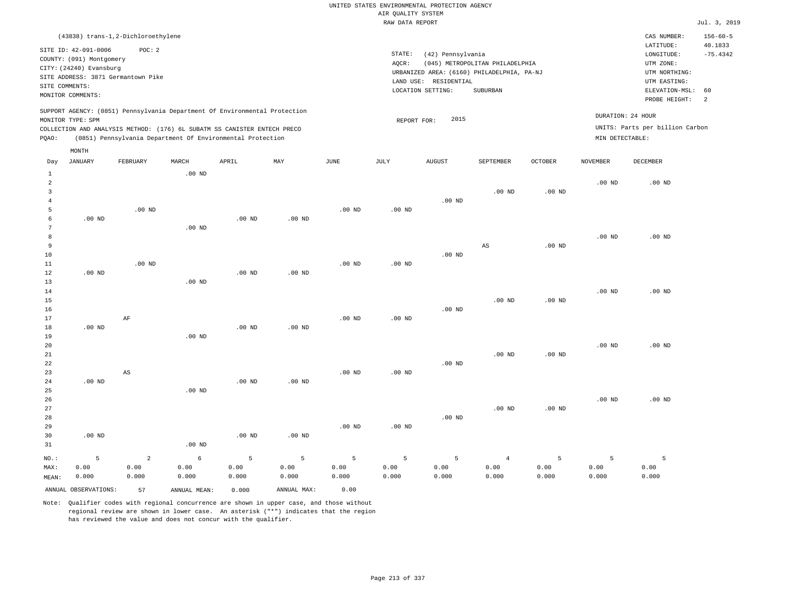UNITED STATES ENVIRONMENTAL PROTECTION AGENCY AIR QUALITY SYSTEM

|                                    |                   |                                                                            |          |                   |                   |          | RAW DATA REPORT                            |                                 |                                 |                       |                   |                   | Jul. 3, 2019   |
|------------------------------------|-------------------|----------------------------------------------------------------------------|----------|-------------------|-------------------|----------|--------------------------------------------|---------------------------------|---------------------------------|-----------------------|-------------------|-------------------|----------------|
|                                    |                   | (43838) trans-1,2-Dichloroethylene                                         |          |                   |                   |          |                                            |                                 |                                 |                       |                   | CAS NUMBER:       | $156 - 60 - 5$ |
| SITE ID: 42-091-0006<br>POC: 2     |                   |                                                                            |          |                   |                   |          | STATE:                                     | (42) Pennsylvania               | LATITUDE:<br>LONGITUDE:         | 40.1833<br>$-75.4342$ |                   |                   |                |
| COUNTY: (091) Montgomery           |                   |                                                                            |          |                   |                   |          | AQCR:                                      | (045) METROPOLITAN PHILADELPHIA | UTM ZONE:                       |                       |                   |                   |                |
| CITY: (24240) Evansburg            |                   |                                                                            |          |                   |                   |          | URBANIZED AREA: (6160) PHILADELPHIA, PA-NJ | UTM NORTHING:                   |                                 |                       |                   |                   |                |
| SITE ADDRESS: 3871 Germantown Pike |                   |                                                                            |          |                   |                   |          |                                            | LAND USE: RESIDENTIAL           |                                 |                       |                   | UTM EASTING:      |                |
| SITE COMMENTS:                     |                   |                                                                            |          |                   |                   |          |                                            | LOCATION SETTING:               | SUBURBAN                        |                       | ELEVATION-MSL:    | 60                |                |
|                                    | MONITOR COMMENTS: |                                                                            |          |                   |                   |          |                                            |                                 |                                 |                       |                   | PROBE HEIGHT:     | 2              |
|                                    | MONITOR TYPE: SPM | SUPPORT AGENCY: (0851) Pennsylvania Department Of Environmental Protection |          |                   |                   |          |                                            | 2015                            |                                 |                       |                   | DURATION: 24 HOUR |                |
|                                    |                   | COLLECTION AND ANALYSIS METHOD: (176) 6L SUBATM SS CANISTER ENTECH PRECO   |          |                   |                   |          | REPORT FOR:                                |                                 | UNITS: Parts per billion Carbon |                       |                   |                   |                |
| PQAO:                              |                   | (0851) Pennsylvania Department Of Environmental Protection                 |          |                   |                   |          |                                            |                                 |                                 |                       | MIN DETECTABLE:   |                   |                |
|                                    | MONTH             |                                                                            |          |                   |                   |          |                                            |                                 |                                 |                       |                   |                   |                |
| Day                                | JANUARY           | FEBRUARY                                                                   | MARCH    | APRIL             | MAY               | JUNE     | JULY                                       | AUGUST                          | SEPTEMBER                       | <b>OCTOBER</b>        | <b>NOVEMBER</b>   | <b>DECEMBER</b>   |                |
| $\mathbf{1}$                       |                   |                                                                            | $.00$ ND |                   |                   |          |                                            |                                 |                                 |                       |                   |                   |                |
| $\overline{a}$                     |                   |                                                                            |          |                   |                   |          |                                            |                                 |                                 |                       | .00 <sub>ND</sub> | $.00$ ND          |                |
| $\overline{\mathbf{3}}$            |                   |                                                                            |          |                   |                   |          |                                            |                                 | .00 <sub>ND</sub>               | .00 <sub>ND</sub>     |                   |                   |                |
| $\overline{4}$<br>5                |                   |                                                                            |          |                   |                   |          |                                            | $.00$ ND                        |                                 |                       |                   |                   |                |
| 6                                  | $.00$ ND          | $.00$ ND                                                                   |          | $.00$ ND          | $.00$ ND          | $.00$ ND | $.00$ ND                                   |                                 |                                 |                       |                   |                   |                |
| 7                                  |                   |                                                                            | $.00$ ND |                   |                   |          |                                            |                                 |                                 |                       |                   |                   |                |
| 8                                  |                   |                                                                            |          |                   |                   |          |                                            |                                 |                                 |                       | .00 <sub>ND</sub> | $.00$ ND          |                |
| 9                                  |                   |                                                                            |          |                   |                   |          |                                            |                                 | AS                              | $.00$ ND              |                   |                   |                |
| 10                                 |                   |                                                                            |          |                   |                   |          |                                            | $.00$ ND                        |                                 |                       |                   |                   |                |
| 11                                 |                   | $.00$ ND                                                                   |          |                   |                   | $.00$ ND | $.00$ ND                                   |                                 |                                 |                       |                   |                   |                |
| 12                                 | $.00$ ND          |                                                                            |          | .00 <sub>ND</sub> | .00 <sub>ND</sub> |          |                                            |                                 |                                 |                       |                   |                   |                |
| 13                                 |                   |                                                                            | $.00$ ND |                   |                   |          |                                            |                                 |                                 |                       |                   |                   |                |
| 14                                 |                   |                                                                            |          |                   |                   |          |                                            |                                 |                                 |                       | .00 <sub>ND</sub> | $.00$ ND          |                |
| 15                                 |                   |                                                                            |          |                   |                   |          |                                            |                                 | $.00$ ND                        | $.00$ ND              |                   |                   |                |
| 16                                 |                   |                                                                            |          |                   |                   |          |                                            | .00 <sub>ND</sub>               |                                 |                       |                   |                   |                |
| 17                                 |                   | AF                                                                         |          |                   |                   | $.00$ ND | $.00$ ND                                   |                                 |                                 |                       |                   |                   |                |
| 18                                 | $.00$ ND          |                                                                            |          | $.00$ ND          | .00 <sub>ND</sub> |          |                                            |                                 |                                 |                       |                   |                   |                |
| 19                                 |                   |                                                                            | $.00$ ND |                   |                   |          |                                            |                                 |                                 |                       |                   |                   |                |
| 20                                 |                   |                                                                            |          |                   |                   |          |                                            |                                 |                                 |                       | $.00$ ND          | $.00$ ND          |                |
| 21                                 |                   |                                                                            |          |                   |                   |          |                                            |                                 | .00 <sub>ND</sub>               | $.00$ ND              |                   |                   |                |
| 22                                 |                   |                                                                            |          |                   |                   |          |                                            | .00 <sub>ND</sub>               |                                 |                       |                   |                   |                |
| 23                                 |                   | $\mathbb{A}\mathbb{S}$                                                     |          |                   |                   | $.00$ ND | $.00$ ND                                   |                                 |                                 |                       |                   |                   |                |
| 24                                 | $.00$ ND          |                                                                            |          | .00 <sub>ND</sub> | .00 <sub>ND</sub> |          |                                            |                                 |                                 |                       |                   |                   |                |
| 25                                 |                   |                                                                            | $.00$ ND |                   |                   |          |                                            |                                 |                                 |                       |                   |                   |                |
| 26                                 |                   |                                                                            |          |                   |                   |          |                                            |                                 |                                 |                       | .00 <sub>ND</sub> | $.00$ ND          |                |
| 27                                 |                   |                                                                            |          |                   |                   |          |                                            |                                 | .00 <sub>ND</sub>               | $.00$ ND              |                   |                   |                |
| 28                                 |                   |                                                                            |          |                   |                   |          |                                            | .00 <sub>ND</sub>               |                                 |                       |                   |                   |                |
| 29                                 |                   |                                                                            |          |                   |                   | $.00$ ND | $.00$ ND                                   |                                 |                                 |                       |                   |                   |                |
| 30<br>31                           | $.00$ ND          |                                                                            | $.00$ ND | $.00$ ND          | $.00$ ND          |          |                                            |                                 |                                 |                       |                   |                   |                |
|                                    |                   |                                                                            |          |                   |                   |          |                                            |                                 |                                 |                       |                   |                   |                |

NO.: MAX: MEAN: 5 0.00 0.000 2 0.00 0.000 6 0.00 0.000 5 0.00 0.000 5 0.00 0.000 5 0.00 0.000 5 0.00 0.000 5 0.00 0.000 4 0.00 0.000 5 0.00 0.000 5 0.00 0.000 5 0.00 0.000 ANNUAL OBSERVATIONS: 57 ANNUAL MEAN: 0.000 ANNUAL MAX: 0.00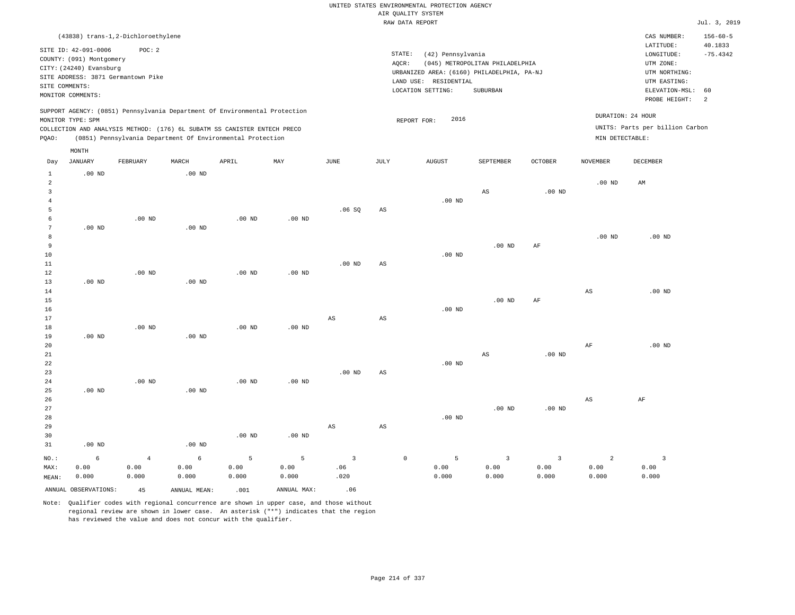|                                                                                                                                        | (43838) trans-1,2-Dichloroethylene |                   |              |                   |             |                        |                        |                                                                  |                         |                                 |                        | CAS NUMBER:       | $156 - 60 - 5$ |
|----------------------------------------------------------------------------------------------------------------------------------------|------------------------------------|-------------------|--------------|-------------------|-------------|------------------------|------------------------|------------------------------------------------------------------|-------------------------|---------------------------------|------------------------|-------------------|----------------|
| SITE ID: 42-091-0006<br>POC: 2                                                                                                         |                                    |                   |              |                   |             |                        |                        | STATE:                                                           | LATITUDE:               | 40.1833                         |                        |                   |                |
| COUNTY: (091) Montgomery                                                                                                               |                                    |                   |              |                   |             |                        |                        | (42) Pennsylvania<br>$AQCR$ :<br>(045) METROPOLITAN PHILADELPHIA | LONGITUDE:<br>UTM ZONE: | $-75.4342$                      |                        |                   |                |
| CITY: (24240) Evansburg                                                                                                                |                                    |                   |              |                   |             |                        |                        | URBANIZED AREA: (6160) PHILADELPHIA, PA-NJ                       | UTM NORTHING:           |                                 |                        |                   |                |
| SITE ADDRESS: 3871 Germantown Pike                                                                                                     |                                    |                   |              |                   |             |                        |                        | LAND USE: RESIDENTIAL                                            | UTM EASTING:            |                                 |                        |                   |                |
| SITE COMMENTS:                                                                                                                         |                                    |                   |              |                   |             |                        |                        | LOCATION SETTING:                                                | ELEVATION-MSL:          | 60                              |                        |                   |                |
|                                                                                                                                        | MONITOR COMMENTS:                  |                   |              |                   |             |                        |                        |                                                                  | SUBURBAN                |                                 |                        | PROBE HEIGHT:     | 2              |
| SUPPORT AGENCY: (0851) Pennsylvania Department Of Environmental Protection                                                             |                                    |                   |              |                   |             |                        |                        |                                                                  |                         | DURATION: 24 HOUR               |                        |                   |                |
| MONITOR TYPE: SPM                                                                                                                      |                                    |                   |              |                   |             |                        |                        | 2016<br>REPORT FOR:                                              |                         | UNITS: Parts per billion Carbon |                        |                   |                |
| COLLECTION AND ANALYSIS METHOD: (176) 6L SUBATM SS CANISTER ENTECH PRECO<br>(0851) Pennsylvania Department Of Environmental Protection |                                    |                   |              |                   |             |                        |                        |                                                                  |                         |                                 | MIN DETECTABLE:        |                   |                |
| PQAO:                                                                                                                                  |                                    |                   |              |                   |             |                        |                        |                                                                  |                         |                                 |                        |                   |                |
|                                                                                                                                        | MONTH                              |                   |              |                   |             |                        |                        |                                                                  |                         |                                 |                        |                   |                |
| Day                                                                                                                                    | $_{\rm JANUARY}$                   | FEBRUARY          | MARCH        | APRIL             | MAY         | <b>JUNE</b>            | JULY                   | <b>AUGUST</b>                                                    | SEPTEMBER               | <b>OCTOBER</b>                  | <b>NOVEMBER</b>        | DECEMBER          |                |
| $1\,$                                                                                                                                  | $.00$ ND                           |                   | $.00$ ND     |                   |             |                        |                        |                                                                  |                         |                                 |                        |                   |                |
| $\overline{a}$                                                                                                                         |                                    |                   |              |                   |             |                        |                        |                                                                  |                         |                                 | $.00$ ND               | AM                |                |
| $\mathbf{3}$<br>$\overline{4}$                                                                                                         |                                    |                   |              |                   |             |                        |                        | $.00$ ND                                                         | AS                      | $.00$ ND                        |                        |                   |                |
| 5                                                                                                                                      |                                    |                   |              |                   |             | .06SQ                  | AS                     |                                                                  |                         |                                 |                        |                   |                |
| 6                                                                                                                                      |                                    | .00 <sub>ND</sub> |              | $.00$ ND          | $.00$ ND    |                        |                        |                                                                  |                         |                                 |                        |                   |                |
| $\overline{7}$                                                                                                                         | $.00$ ND                           |                   | $.00$ ND     |                   |             |                        |                        |                                                                  |                         |                                 |                        |                   |                |
| 8                                                                                                                                      |                                    |                   |              |                   |             |                        |                        |                                                                  |                         |                                 | $.00$ ND               | $.00$ ND          |                |
| 9                                                                                                                                      |                                    |                   |              |                   |             |                        |                        |                                                                  | .00 <sub>ND</sub>       | AF                              |                        |                   |                |
| 10                                                                                                                                     |                                    |                   |              |                   |             |                        |                        | $.00$ ND                                                         |                         |                                 |                        |                   |                |
| 11                                                                                                                                     |                                    |                   |              |                   |             | $.00$ ND               | AS                     |                                                                  |                         |                                 |                        |                   |                |
| 12                                                                                                                                     |                                    | $.00$ ND          |              | $.00$ ND          | $.00$ ND    |                        |                        |                                                                  |                         |                                 |                        |                   |                |
| 13                                                                                                                                     | $.00$ ND                           |                   | .00 $ND$     |                   |             |                        |                        |                                                                  |                         |                                 |                        |                   |                |
| 14                                                                                                                                     |                                    |                   |              |                   |             |                        |                        |                                                                  |                         |                                 | $_{\rm AS}$            | $.00$ ND          |                |
| 15<br>16                                                                                                                               |                                    |                   |              |                   |             |                        |                        | $.00$ ND                                                         | $.00$ ND                | AF                              |                        |                   |                |
| 17                                                                                                                                     |                                    |                   |              |                   |             | $\mathbb{A}\mathbb{S}$ | $\mathbb{A}\mathbb{S}$ |                                                                  |                         |                                 |                        |                   |                |
| 18                                                                                                                                     |                                    | $.00$ ND          |              | .00 <sub>ND</sub> | $.00$ ND    |                        |                        |                                                                  |                         |                                 |                        |                   |                |
| 19                                                                                                                                     | $.00$ ND                           |                   | $.00$ ND     |                   |             |                        |                        |                                                                  |                         |                                 |                        |                   |                |
| 20                                                                                                                                     |                                    |                   |              |                   |             |                        |                        |                                                                  |                         |                                 | $\rm{AF}$              | .00 <sub>ND</sub> |                |
| 21                                                                                                                                     |                                    |                   |              |                   |             |                        |                        |                                                                  | AS                      | .00 <sub>ND</sub>               |                        |                   |                |
| 22                                                                                                                                     |                                    |                   |              |                   |             |                        |                        | $.00$ ND                                                         |                         |                                 |                        |                   |                |
| 23                                                                                                                                     |                                    |                   |              |                   |             | $.00$ ND               | $\mathbb{A}\mathbb{S}$ |                                                                  |                         |                                 |                        |                   |                |
| 24                                                                                                                                     |                                    | $.00$ ND          |              | $.00$ ND          | $.00$ ND    |                        |                        |                                                                  |                         |                                 |                        |                   |                |
| 25                                                                                                                                     | $.00$ ND                           |                   | $.00$ ND     |                   |             |                        |                        |                                                                  |                         |                                 |                        |                   |                |
| 26                                                                                                                                     |                                    |                   |              |                   |             |                        |                        |                                                                  |                         |                                 | $\mathbb{A}\mathbb{S}$ | AF                |                |
| 27<br>28                                                                                                                               |                                    |                   |              |                   |             |                        |                        | $.00$ ND                                                         | $.00$ ND                | .00 <sub>ND</sub>               |                        |                   |                |
| 29                                                                                                                                     |                                    |                   |              |                   |             | $_{\rm AS}$            | AS                     |                                                                  |                         |                                 |                        |                   |                |
| 30                                                                                                                                     |                                    |                   |              | $.00$ ND          | $.00$ ND    |                        |                        |                                                                  |                         |                                 |                        |                   |                |
| 31                                                                                                                                     | $.00$ ND                           |                   | $.00$ ND     |                   |             |                        |                        |                                                                  |                         |                                 |                        |                   |                |
| NO.:                                                                                                                                   | 6                                  | $\overline{4}$    | 6            | 5                 | 5           | $\overline{3}$         |                        | $\mathbb O$<br>5                                                 | $\overline{3}$          | $\overline{3}$                  | 2                      | $\overline{3}$    |                |
| MAX:                                                                                                                                   | 0.00                               | 0.00              | 0.00         | 0.00              | 0.00        | .06                    |                        | 0.00                                                             | 0.00                    | 0.00                            | 0.00                   | 0.00              |                |
| MEAN:                                                                                                                                  | 0.000                              | 0.000             | 0.000        | 0.000             | 0.000       | .020                   |                        | 0.000                                                            | 0.000                   | 0.000                           | 0.000                  | 0.000             |                |
|                                                                                                                                        | ANNUAL OBSERVATIONS:               | 45                | ANNUAL MEAN: | .001              | ANNUAL MAX: | .06                    |                        |                                                                  |                         |                                 |                        |                   |                |
|                                                                                                                                        |                                    |                   |              |                   |             |                        |                        |                                                                  |                         |                                 |                        |                   |                |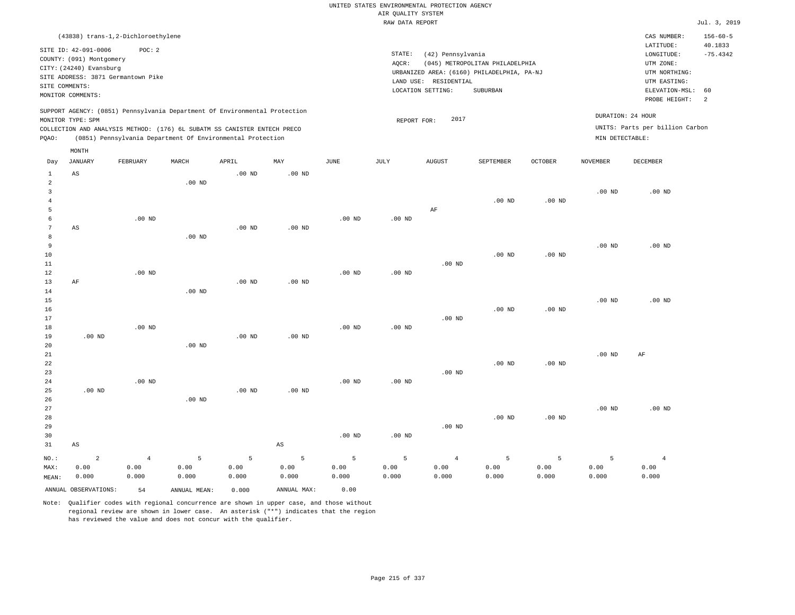RAW DATA REPORT **FOULD ASSESSED ASSESSED A**  $Jul. 3, 2019$ UNITED STATES ENVIRONMENTAL PROTECTION AGENCY AIR QUALITY SYSTEM (43838) trans-1,2-Dichloroethylene STATE: (42) Pennsylvania CAS NUMBER: 156-60-5 SITE ID: 42-091-0006 POC: 2 AQCR: (045) METROPOLITAN PHILADELPHIA COUNTY: (091) Montgomery CITY: (24240) Evansburg  $LONGITUDE: -75.4342$ LATITUDE: 40.1833 LOCATION SETTING: SUBURBAN SITE ADDRESS: 3871 Germantown Pike LAND USE: RESIDENTIAL SITE COMMENTS: MONITOR COMMENTS: PROBE HEIGHT: 2 ELEVATION-MSL: 60 URBANIZED AREA: (6160) PHILADELPHIA, PA-NJ (UTM NORTHING: UTM EASTING: UTM ZONE: SUPPORT AGENCY: (0851) Pennsylvania Department Of Environmental Protection MONITOR TYPE: SPM COLLECTION AND ANALYSIS METHOD: (176) 6L SUBATM SS CANISTER ENTECH PRECO REPORT FOR: 2017 UNITS: Parts per billion Carbon PQAO: (0851) Pennsylvania Department Of Environmental Protection MIN DETECTABLE: DURATION: 24 HOUR 1 2 3 4 5 6 7 8 9 10 11 12 13 14 15 16 17 18 19  $20$ 21 22 23 24 25 26 27 28 29 30 31  $\Delta$ S AS AF .00 ND .00 ND AS NO.: MAX: MEAN: 2 0.00 0.000 .00 ND .00 ND .00 ND .00 ND .00 ND .00 ND .00 ND .00 ND .00 ND .00 ND .00 ND .00 ND .00 ND .00 ND .00 ND .00 ND .00 ND .00 ND .00 ND AS .00 ND .00 ND .00 ND .00 ND .00 ND .00 ND .00 ND .00 ND .00 ND .00 ND AF .00 ND .00 ND .00 ND .00 ND .00 ND .00 ND .00 ND .00 ND .00 ND .00 ND .00 ND .00 ND .00 ND .00 ND .00 ND .00 ND .00 ND .00 ND .00 ND .00 ND .00 ND .00 ND AF .00 ND 4 0.00 0.000 5 0.00 0.000 5 0.00 0.000 5 0.00 0.000 5 0.00 0.000 5 0.00 0.000 4 0.00 0.000 5 0.00 0.000 5 0.00 0.000 5 0.00 0.000 4 0.00 0.000 Day JANUARY FEBRUARY MARCH APRIL MAY JUNE JULY AUGUST SEPTEMBER OCTOBER NOVEMBER DECEMBER MONTH

Note: Qualifier codes with regional concurrence are shown in upper case, and those without regional review are shown in lower case. An asterisk ("\*") indicates that the region has reviewed the value and does not concur with the qualifier.

ANNUAL OBSERVATIONS: 54 ANNUAL MEAN: 0.000 ANNUAL MAX: 0.00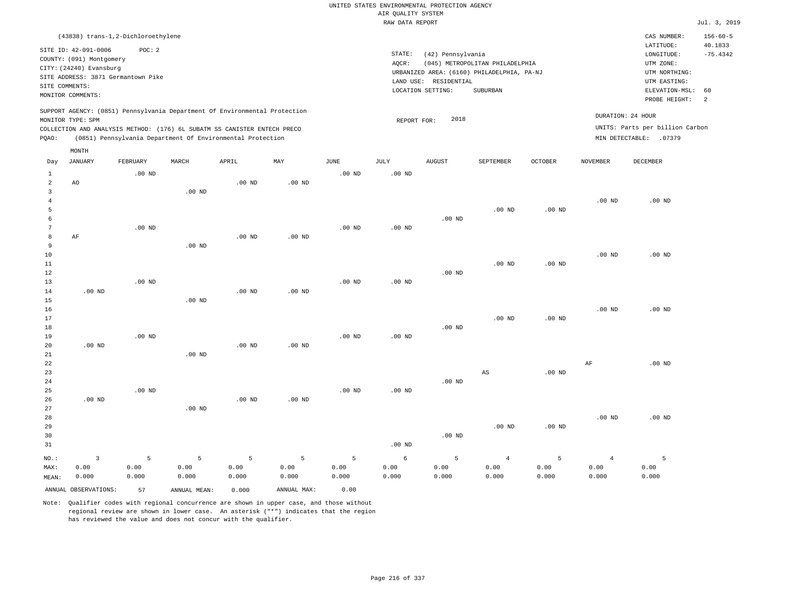RAW DATA REPORT Jul. 3, 2019 UNITED STATES ENVIRONMENTAL PROTECTION AGENCY AIR QUALITY SYSTEM (43838) trans-1,2-Dichloroethylene STATE: (42) Pennsylvania CAS NUMBER: 156-60-5 SITE ID: 42-091-0006 POC: 2 AQCR: (045) METROPOLITAN PHILADELPHIA COUNTY: (091) Montgomery CITY: (24240) Evansburg  $LONGITUDE: -75.4342$ LATITUDE: 40.1833 LOCATION SETTING: SUBURBAN SITE ADDRESS: 3871 Germantown Pike LAND USE: RESIDENTIAL SITE COMMENTS: MONITOR COMMENTS: PROBE HEIGHT: 2 ELEVATION-MSL: 60 URBANIZED AREA: (6160) PHILADELPHIA, PA-NJ (UTM NORTHING: UTM EASTING: UTM ZONE: SUPPORT AGENCY: (0851) Pennsylvania Department Of Environmental Protection MONITOR TYPE: SPM COLLECTION AND ANALYSIS METHOD: (176) 6L SUBATM SS CANISTER ENTECH PRECO REPORT FOR: 2018 UNITS: Parts per billion Carbon PQAO: (0851) Pennsylvania Department Of Environmental Protection DURATION: 24 HOUR MIN DETECTABLE: .07379 1 2 3 4 5 6 7 8 9 10 11 12 13 14 15 16 17 18 19  $20$ 21 22 23 24 25 26 27 28 29 30 31 AO AF .00 ND .00 ND .00 ND NO.: MAX: MEAN: 3 0.00 0.000 .00 ND .00 ND .00 ND .00 ND .00 ND .00 ND .00 ND .00 ND .00 ND .00 ND .00 ND .00 ND .00 ND .00 ND .00 ND .00 ND .00 ND .00 ND .00 ND .00 ND .00 ND .00 ND .00 ND .00 ND .00 ND .00 ND .00 ND .00 ND .00 ND .00 ND .00 ND .00 ND .00 ND .00 ND .00 ND .00 ND .00 ND .00 ND .00 ND AS .00 ND .00 ND .00 ND .00 ND .00 ND .00 ND .00 ND .00 ND .00 ND AF .00 ND .00 ND .00 ND .00 ND .00 ND .00 ND 5 0.00 0.000 5 0.00 0.000 5 0.00 0.000 5 0.00 0.000 5 0.00 0.000 6 0.00 0.000 5 0.00 0.000 4 0.00 0.000 5 0.00 0.000 4 0.00 0.000 5 0.00 0.000 ANNUAL OBSERVATIONS: 57 ANNUAL MEAN: 0.000 ANNUAL MAX: 0.00 Day JANUARY FEBRUARY MARCH APRIL MAY JUNE JULY AUGUST SEPTEMBER OCTOBER NOVEMBER DECEMBER MONTH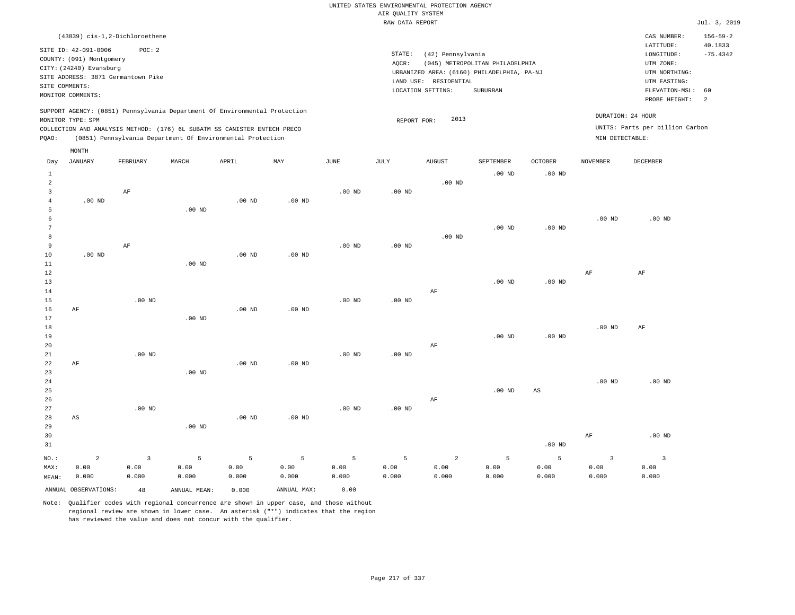|                                                                                                                                             | (43839) cis-1,2-Dichloroethene     |          |                                                                          |          |          |          |           |                   |                                            |          |                 | CAS NUMBER:                     | $156 - 59 - 2$ |
|---------------------------------------------------------------------------------------------------------------------------------------------|------------------------------------|----------|--------------------------------------------------------------------------|----------|----------|----------|-----------|-------------------|--------------------------------------------|----------|-----------------|---------------------------------|----------------|
|                                                                                                                                             | SITE ID: 42-091-0006               | POC: 2   |                                                                          |          |          |          |           |                   |                                            |          |                 | LATITUDE:                       | 40.1833        |
|                                                                                                                                             | COUNTY: (091) Montgomery           |          |                                                                          |          |          |          | STATE:    | (42) Pennsylvania |                                            |          |                 | LONGITUDE:                      | $-75.4342$     |
|                                                                                                                                             | CITY: (24240) Evansburg            |          |                                                                          |          |          |          | AQCR:     |                   | (045) METROPOLITAN PHILADELPHIA            |          |                 | UTM ZONE:                       |                |
|                                                                                                                                             | SITE ADDRESS: 3871 Germantown Pike |          |                                                                          |          |          |          |           |                   | URBANIZED AREA: (6160) PHILADELPHIA, PA-NJ |          |                 | UTM NORTHING:                   |                |
|                                                                                                                                             | SITE COMMENTS:                     |          |                                                                          |          |          |          | LAND USE: | RESIDENTIAL       |                                            |          |                 | UTM EASTING:                    |                |
|                                                                                                                                             | MONITOR COMMENTS:                  |          |                                                                          |          |          |          |           | LOCATION SETTING: | SUBURBAN                                   |          |                 | ELEVATION-MSL:                  | 60             |
|                                                                                                                                             |                                    |          |                                                                          |          |          |          |           |                   |                                            |          |                 | PROBE HEIGHT:                   | - 2            |
| SUPPORT AGENCY: (0851) Pennsylvania Department Of Environmental Protection<br>DURATION: 24 HOUR<br>2013<br>MONITOR TYPE: SPM<br>REPORT FOR: |                                    |          |                                                                          |          |          |          |           |                   |                                            |          |                 |                                 |                |
|                                                                                                                                             |                                    |          | COLLECTION AND ANALYSIS METHOD: (176) 6L SUBATM SS CANISTER ENTECH PRECO |          |          |          |           |                   |                                            |          |                 | UNITS: Parts per billion Carbon |                |
| POAO:                                                                                                                                       |                                    |          | (0851) Pennsylvania Department Of Environmental Protection               |          |          |          |           |                   |                                            |          | MIN DETECTABLE: |                                 |                |
|                                                                                                                                             | MONTH                              |          |                                                                          |          |          |          |           |                   |                                            |          |                 |                                 |                |
| Day                                                                                                                                         | JANUARY                            | FEBRUARY | MARCH                                                                    | APRIL    | MAY      | JUNE     | JULY      | <b>AUGUST</b>     | <b>SEPTEMBER</b>                           | OCTOBER  | <b>NOVEMBER</b> | DECEMBER                        |                |
|                                                                                                                                             |                                    |          |                                                                          |          |          |          |           |                   | $.00$ ND                                   | $.00$ ND |                 |                                 |                |
| $\overline{2}$                                                                                                                              |                                    |          |                                                                          |          |          |          |           | $.00$ ND          |                                            |          |                 |                                 |                |
|                                                                                                                                             |                                    | AF       |                                                                          |          |          | $.00$ ND | $.00$ ND  |                   |                                            |          |                 |                                 |                |
|                                                                                                                                             | $.00$ ND                           |          |                                                                          | $.00$ ND | $.00$ ND |          |           |                   |                                            |          |                 |                                 |                |
|                                                                                                                                             |                                    |          | $.00$ ND                                                                 |          |          |          |           |                   |                                            |          |                 |                                 |                |

 6 7 8 9 AF .00 ND .00 ND .00 ND .00 ND .00 ND .00 ND .00 ND

| 10          | $.00$ ND |          |          | $.00$ ND | $.00$ ND |          |          |    |          |          |          |    |  |
|-------------|----------|----------|----------|----------|----------|----------|----------|----|----------|----------|----------|----|--|
| 11          |          |          | $.00$ ND |          |          |          |          |    |          |          |          |    |  |
| 12          |          |          |          |          |          |          |          |    |          |          | AF       | AF |  |
| 13          |          |          |          |          |          |          |          |    | $.00$ ND | $.00$ ND |          |    |  |
| 14          |          |          |          |          |          |          |          | AF |          |          |          |    |  |
| 15          |          | $.00$ ND |          |          |          | $.00$ ND | $.00$ ND |    |          |          |          |    |  |
| 16          | AF       |          |          | $.00$ ND | $.00$ ND |          |          |    |          |          |          |    |  |
| 17          |          |          | $.00$ ND |          |          |          |          |    |          |          |          |    |  |
| 18          |          |          |          |          |          |          |          |    |          |          | $.00$ ND | AF |  |
| 19          |          |          |          |          |          |          |          |    | $.00$ ND | $.00$ ND |          |    |  |
| 20          |          |          |          |          |          |          |          | AF |          |          |          |    |  |
| $2\sqrt{1}$ |          | $.00$ ND |          |          |          | $.00$ ND | $.00$ ND |    |          |          |          |    |  |
| 22          | AF       |          |          | $.00$ ND | $.00$ ND |          |          |    |          |          |          |    |  |
| 23          |          |          | $.00$ ND |          |          |          |          |    |          |          |          |    |  |

| د ۲۰ | . UU ND |    |          |    |          |          |
|------|---------|----|----------|----|----------|----------|
| 24   |         |    |          |    | $.00$ ND | $.00$ ND |
| 25   |         |    | $.00$ ND | AS |          |          |
| 26   |         | AF |          |    |          |          |

| 27    |       | $.00$ ND |          |          |          | $.00$ ND | $.00$ ND |       |       |          |       |          |
|-------|-------|----------|----------|----------|----------|----------|----------|-------|-------|----------|-------|----------|
| 28    | AS    |          |          | $.00$ ND | $.00$ ND |          |          |       |       |          |       |          |
| 29    |       |          | $.00$ ND |          |          |          |          |       |       |          |       |          |
| 30    |       |          |          |          |          |          |          |       |       |          | AF    | $.00$ ND |
| 31    |       |          |          |          |          |          |          |       |       | $.00$ ND |       |          |
| NO.∶  | 2     |          | 5        | 5        | 5        |          | -5       | 2     |       |          |       |          |
| : MAX | 0.00  | 0.00     | 0.00     | 0.00     | 0.00     | 0.00     | 0.00     | 0.00  | 0.00  | 0.00     | 0.00  | 0.00     |
| MEAN: | 0.000 | 0.000    | 0.000    | 0.000    | 0.000    | 0.000    | 0.000    | 0.000 | 0.000 | 0.000    | 0.000 | 0.000    |
|       |       |          |          |          |          |          |          |       |       |          |       |          |

ANNUAL OBSERVATIONS: 48 ANNUAL MEAN: 0.000 ANNUAL MAX: 0.00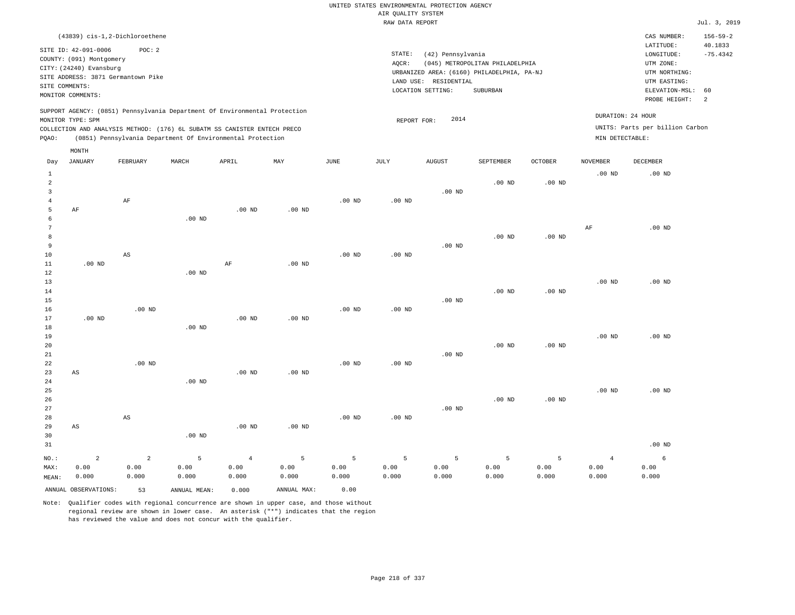| (43839) cis-1,2-Dichloroethene                                                                                                                                                                                                                     |                                                                                                                                                                                 | CAS NUMBER:                                                                                                   | $156 - 59 - 2$        |
|----------------------------------------------------------------------------------------------------------------------------------------------------------------------------------------------------------------------------------------------------|---------------------------------------------------------------------------------------------------------------------------------------------------------------------------------|---------------------------------------------------------------------------------------------------------------|-----------------------|
| SITE ID: 42-091-0006<br>POC:2<br>COUNTY: (091) Montgomery<br>CITY: (24240) Evansburg<br>SITE ADDRESS: 3871 Germantown Pike<br>SITE COMMENTS:<br>MONITOR COMMENTS:                                                                                  | STATE:<br>(42) Pennsylvania<br>(045) METROPOLITAN PHILADELPHIA<br>AOCR:<br>URBANIZED AREA: (6160) PHILADELPHIA, PA-NJ<br>LAND USE: RESIDENTIAL<br>SUBURBAN<br>LOCATION SETTING: | LATITUDE:<br>LONGITUDE:<br>UTM ZONE:<br>UTM NORTHING:<br>UTM EASTING:<br>ELEVATION-MSL: 60<br>PROBE HEIGHT: 2 | 40.1833<br>$-75.4342$ |
| SUPPORT AGENCY: (0851) Pennsylvania Department Of Environmental Protection<br>MONITOR TYPE: SPM<br>COLLECTION AND ANALYSIS METHOD: (176) 6L SUBATM SS CANISTER ENTECH PRECO<br>(0851) Pennsylvania Department Of Environmental Protection<br>POAO: | 2014<br>REPORT FOR:                                                                                                                                                             | DURATION: 24 HOUR<br>UNITS: Parts per billion Carbon<br>MIN DETECTABLE:                                       |                       |

|                                     | MONTH                           |                                 |                    |                                 |                    |                    |                    |                    |                    |                    |                                 |                    |
|-------------------------------------|---------------------------------|---------------------------------|--------------------|---------------------------------|--------------------|--------------------|--------------------|--------------------|--------------------|--------------------|---------------------------------|--------------------|
| Day                                 | <b>JANUARY</b>                  | FEBRUARY                        | MARCH              | APRIL                           | MAY                | $_{\rm JUNE}$      | JULY               | <b>AUGUST</b>      | SEPTEMBER          | OCTOBER            | <b>NOVEMBER</b>                 | DECEMBER           |
| $\mathbf{1}$<br>$\overline{a}$<br>3 |                                 |                                 |                    |                                 |                    |                    |                    | $.00$ ND           | .00 <sub>ND</sub>  | .00 <sub>ND</sub>  | $.00$ ND                        | $.00$ ND           |
| $\overline{4}$<br>5<br>6            | $\rm AF$                        | $\rm AF$                        | .00 <sub>ND</sub>  | $.00$ ND                        | $.00$ ND           | $.00$ ND           | $.00$ ND           |                    |                    |                    |                                 |                    |
| 7<br>8<br>9                         |                                 |                                 |                    |                                 |                    |                    |                    | $.00$ ND           | $.00$ ND           | $.00$ ND           | AF                              | $.00$ ND           |
| $10$<br>11<br>12                    | $.00$ ND                        | $\mathbb{A}\mathbb{S}$          | $.00$ ND           | AF                              | $.00$ ND           | $.00$ ND           | $.00$ ND           |                    |                    |                    |                                 |                    |
| 13<br>14<br>15                      |                                 |                                 |                    |                                 |                    |                    |                    | $.00$ ND           | $.00$ ND           | $.00$ ND           | $.00$ ND                        | $.00$ ND           |
| 16<br>17<br>18                      | $.00$ ND                        | $.00$ ND                        | $.00$ ND           | $.00$ ND                        | $.00$ ND           | $.00$ ND           | $.00$ ND           |                    |                    |                    |                                 |                    |
| 19<br>20<br>21                      |                                 |                                 |                    |                                 |                    |                    |                    | $.00$ ND           | $.00$ ND           | $.00$ ND           | $.00$ ND                        | $.00$ ND           |
| 22<br>23<br>24                      | $\mathbb{A}\mathbb{S}$          | $.00$ ND                        | $.00$ ND           | .00 <sub>ND</sub>               | $.00$ ND           | $.00$ ND           | $.00$ ND           |                    |                    |                    |                                 |                    |
| 25<br>26<br>27                      |                                 |                                 |                    |                                 |                    |                    |                    | $.00$ ND           | $.00$ ND           | $.00$ ND           | $.00$ ND                        | .00 <sub>ND</sub>  |
| 28<br>29<br>30                      | AS                              | $\mathbb{A}\mathbb{S}$          | $.00$ ND           | $.00$ ND                        | .00 $ND$           | $.00$ ND           | $.00$ ND           |                    |                    |                    |                                 |                    |
| 31                                  |                                 |                                 |                    |                                 |                    |                    |                    |                    |                    |                    |                                 | $.00$ ND           |
| NO.:<br>MAX:<br>MEAN:               | $\overline{a}$<br>0.00<br>0.000 | $\overline{a}$<br>0.00<br>0.000 | 5<br>0.00<br>0.000 | $\overline{4}$<br>0.00<br>0.000 | 5<br>0.00<br>0.000 | 5<br>0.00<br>0.000 | 5<br>0.00<br>0.000 | 5<br>0.00<br>0.000 | 5<br>0.00<br>0.000 | 5<br>0.00<br>0.000 | $\overline{4}$<br>0.00<br>0.000 | 6<br>0.00<br>0.000 |
|                                     | ANNUAL OBSERVATIONS:            | 53                              | ANNUAL MEAN:       | 0.000                           | ANNUAL MAX:        | 0.00               |                    |                    |                    |                    |                                 |                    |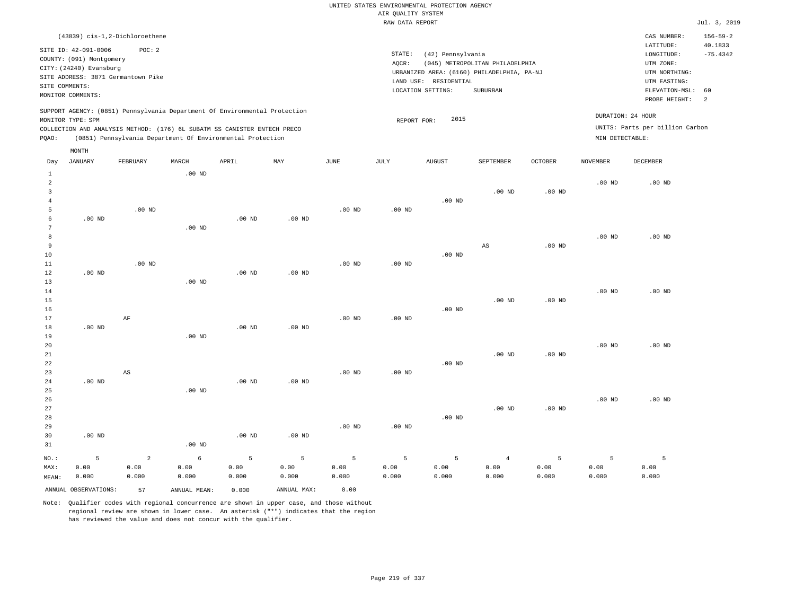| (43839) cis-1,2-Dichloroethene                                             |                                                            |       |     |      |        |                       |                                            |         |                   | CAS NUMBER:                     | $156 - 59 - 2$        |
|----------------------------------------------------------------------------|------------------------------------------------------------|-------|-----|------|--------|-----------------------|--------------------------------------------|---------|-------------------|---------------------------------|-----------------------|
| SITE ID: 42-091-0006                                                       | POC:2                                                      |       |     |      | STATE: | (42) Pennsylvania     |                                            |         |                   | LATITUDE:<br>LONGITUDE:         | 40.1833<br>$-75.4342$ |
| COUNTY: (091) Montgomery                                                   |                                                            |       |     |      |        |                       |                                            |         |                   |                                 |                       |
| CITY: (24240) Evansburg                                                    |                                                            |       |     |      | AOCR:  |                       | (045) METROPOLITAN PHILADELPHIA            |         |                   | UTM ZONE:                       |                       |
| SITE ADDRESS: 3871 Germantown Pike                                         |                                                            |       |     |      |        |                       | URBANIZED AREA: (6160) PHILADELPHIA, PA-NJ |         |                   | UTM NORTHING:                   |                       |
| SITE COMMENTS:                                                             |                                                            |       |     |      |        | LAND USE: RESIDENTIAL |                                            |         |                   | UTM EASTING:                    |                       |
|                                                                            |                                                            |       |     |      |        | LOCATION SETTING:     | SUBURBAN                                   |         |                   | ELEVATION-MSL: 60               |                       |
| MONITOR COMMENTS:                                                          |                                                            |       |     |      |        |                       |                                            |         |                   | PROBE HEIGHT:                   | $\overline{2}$        |
| SUPPORT AGENCY: (0851) Pennsylvania Department Of Environmental Protection |                                                            |       |     |      |        |                       |                                            |         | DURATION: 24 HOUR |                                 |                       |
| MONITOR TYPE: SPM                                                          |                                                            |       |     |      |        | 2015<br>REPORT FOR:   |                                            |         |                   |                                 |                       |
| COLLECTION AND ANALYSIS METHOD: (176) 6L SUBATM SS CANISTER ENTECH PRECO   |                                                            |       |     |      |        |                       |                                            |         |                   | UNITS: Parts per billion Carbon |                       |
| POAO:                                                                      | (0851) Pennsylvania Department Of Environmental Protection |       |     |      |        |                       |                                            |         | MIN DETECTABLE:   |                                 |                       |
| MONTH                                                                      |                                                            |       |     |      |        |                       |                                            |         |                   |                                 |                       |
| JANUARY<br>Day                                                             | MARCH<br>FEBRUARY                                          | APRIL | MAY | JUNE | JULY   | AUGUST                | SEPTEMBER                                  | OCTOBER | <b>NOVEMBER</b>   | DECEMBER                        |                       |

| 1                   |                      |                        | $.00$ ND     |          |             |                |                   |             |                   |                   |          |          |
|---------------------|----------------------|------------------------|--------------|----------|-------------|----------------|-------------------|-------------|-------------------|-------------------|----------|----------|
| $\overline{a}$      |                      |                        |              |          |             |                |                   |             |                   |                   | $.00$ ND | $.00$ ND |
| 3                   |                      |                        |              |          |             |                |                   |             | $.00$ ND          | .00 <sub>ND</sub> |          |          |
| $\overline{4}$<br>5 |                      |                        |              |          |             |                |                   | $.00$ ND    |                   |                   |          |          |
|                     | $.00$ ND             | $.00$ ND               |              | $.00$ ND | $.00$ ND    | $.00$ ND       | $.00$ ND          |             |                   |                   |          |          |
| 6<br>7              |                      |                        | $.00$ ND     |          |             |                |                   |             |                   |                   |          |          |
| 8                   |                      |                        |              |          |             |                |                   |             |                   |                   | $.00$ ND | $.00$ ND |
| 9                   |                      |                        |              |          |             |                |                   |             | AS                | $.00$ ND          |          |          |
| 10                  |                      |                        |              |          |             |                |                   | $.00$ ND    |                   |                   |          |          |
| $11\,$              |                      | .00 $ND$               |              |          |             | $.00$ ND       | $.00$ ND          |             |                   |                   |          |          |
| 12                  | $.00$ ND             |                        |              | .00 $ND$ | $.00$ ND    |                |                   |             |                   |                   |          |          |
| 13                  |                      |                        | $.00$ ND     |          |             |                |                   |             |                   |                   |          |          |
| 14                  |                      |                        |              |          |             |                |                   |             |                   |                   | $.00$ ND | $.00$ ND |
| 15                  |                      |                        |              |          |             |                |                   |             | $.00$ ND          | .00 <sub>ND</sub> |          |          |
| 16                  |                      |                        |              |          |             |                |                   | $.00$ ND    |                   |                   |          |          |
| 17                  |                      | $\rm AF$               |              |          |             | $.00$ ND       | $.00$ ND          |             |                   |                   |          |          |
| 18                  | .00 $ND$             |                        |              | .00 $ND$ | $.00$ ND    |                |                   |             |                   |                   |          |          |
| 19                  |                      |                        | $.00$ ND     |          |             |                |                   |             |                   |                   |          |          |
| 20                  |                      |                        |              |          |             |                |                   |             |                   |                   | $.00$ ND | $.00$ ND |
| 21                  |                      |                        |              |          |             |                |                   |             | .00 <sub>ND</sub> | $.00$ ND          |          |          |
| 22                  |                      |                        |              |          |             |                |                   | $.00$ ND    |                   |                   |          |          |
| 23<br>24            | $.00$ ND             | $\mathbb{A}\mathbb{S}$ |              | $.00$ ND | $.00$ ND    | $.00$ ND       | $.00$ ND          |             |                   |                   |          |          |
| 25                  |                      |                        | $.00$ ND     |          |             |                |                   |             |                   |                   |          |          |
| 26                  |                      |                        |              |          |             |                |                   |             |                   |                   | $.00$ ND | $.00$ ND |
| 27                  |                      |                        |              |          |             |                |                   |             | .00 <sub>ND</sub> | .00 <sub>ND</sub> |          |          |
| 28                  |                      |                        |              |          |             |                |                   | $.00$ ND    |                   |                   |          |          |
| 29                  |                      |                        |              |          |             | $.00$ ND       | .00 <sub>ND</sub> |             |                   |                   |          |          |
| 30                  | $.00$ ND             |                        |              | $.00$ ND | $.00$ ND    |                |                   |             |                   |                   |          |          |
| 31                  |                      |                        | .00 $ND$     |          |             |                |                   |             |                   |                   |          |          |
| $NO.$ :             | $5\phantom{.0}$      | $\overline{a}$         | $\epsilon$   | 5        | 5           | $\overline{5}$ | $\mathsf S$       | $\mathsf S$ | $\overline{4}$    | 5                 | 5        | 5        |
| MAX:                | 0.00                 | 0.00                   | 0.00         | 0.00     | 0.00        | 0.00           | 0.00              | 0.00        | 0.00              | 0.00              | 0.00     | 0.00     |
| MEAN:               | 0.000                | 0.000                  | 0.000        | 0.000    | 0.000       | 0.000          | 0.000             | 0.000       | 0.000             | 0.000             | 0.000    | 0.000    |
|                     | ANNUAL OBSERVATIONS: | 57                     | ANNUAL MEAN: | 0.000    | ANNUAL MAX: | 0.00           |                   |             |                   |                   |          |          |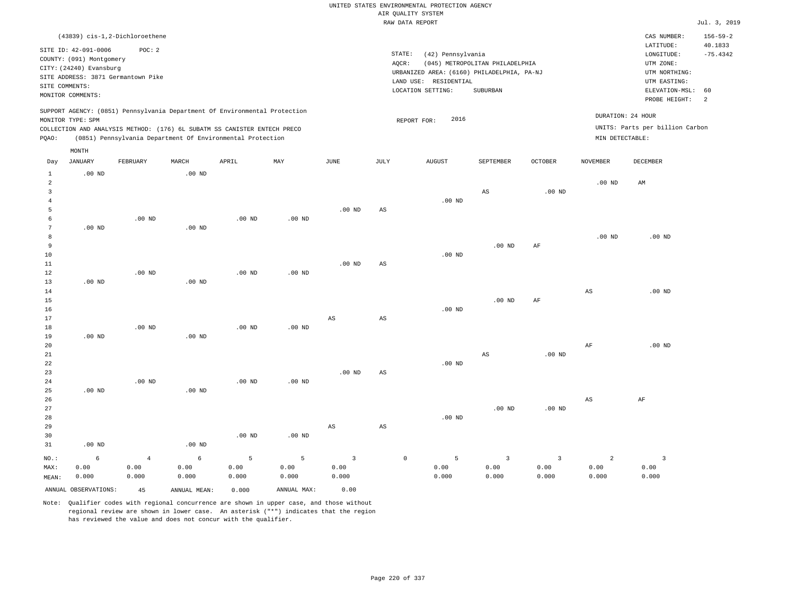|                         |                          |                                                                            |                   |                   |          |                   |                        | RAW DATA REPORT                            |                                 |                   |                   |                                 | Jul. 3, 2019   |
|-------------------------|--------------------------|----------------------------------------------------------------------------|-------------------|-------------------|----------|-------------------|------------------------|--------------------------------------------|---------------------------------|-------------------|-------------------|---------------------------------|----------------|
|                         |                          | (43839) cis-1,2-Dichloroethene                                             |                   |                   |          |                   |                        |                                            |                                 |                   |                   | CAS NUMBER:                     | $156 - 59 - 2$ |
|                         | SITE ID: 42-091-0006     | POC: 2                                                                     |                   |                   |          |                   |                        |                                            |                                 |                   |                   | LATITUDE:                       | 40.1833        |
|                         | COUNTY: (091) Montgomery |                                                                            |                   |                   |          |                   | STATE:                 | (42) Pennsylvania                          |                                 |                   |                   | LONGITUDE:                      | $-75.4342$     |
|                         |                          |                                                                            |                   |                   |          |                   | AOCR:                  |                                            | (045) METROPOLITAN PHILADELPHIA |                   |                   | UTM ZONE:                       |                |
|                         | CITY: (24240) Evansburg  |                                                                            |                   |                   |          |                   |                        | URBANIZED AREA: (6160) PHILADELPHIA, PA-NJ |                                 |                   |                   | UTM NORTHING:                   |                |
|                         |                          | SITE ADDRESS: 3871 Germantown Pike                                         |                   |                   |          |                   |                        | LAND USE: RESIDENTIAL                      |                                 |                   |                   | UTM EASTING:                    |                |
|                         | SITE COMMENTS:           |                                                                            |                   |                   |          |                   |                        | LOCATION SETTING:                          | SUBURBAN                        |                   |                   | ELEVATION-MSL:                  | 60             |
|                         | MONITOR COMMENTS:        |                                                                            |                   |                   |          |                   |                        |                                            |                                 |                   |                   | PROBE HEIGHT:                   | 2              |
|                         |                          | SUPPORT AGENCY: (0851) Pennsylvania Department Of Environmental Protection |                   |                   |          |                   |                        |                                            |                                 |                   |                   |                                 |                |
|                         | MONITOR TYPE: SPM        |                                                                            |                   |                   |          |                   |                        | 2016<br>REPORT FOR:                        |                                 |                   |                   | DURATION: 24 HOUR               |                |
|                         |                          | COLLECTION AND ANALYSIS METHOD: (176) 6L SUBATM SS CANISTER ENTECH PRECO   |                   |                   |          |                   |                        |                                            |                                 |                   |                   | UNITS: Parts per billion Carbon |                |
| PQAO:                   |                          | (0851) Pennsylvania Department Of Environmental Protection                 |                   |                   |          |                   |                        |                                            |                                 |                   | MIN DETECTABLE:   |                                 |                |
|                         | MONTH                    |                                                                            |                   |                   |          |                   |                        |                                            |                                 |                   |                   |                                 |                |
| Day                     | <b>JANUARY</b>           | FEBRUARY                                                                   | MARCH             | APRIL             | MAY      | <b>JUNE</b>       | JULY                   | <b>AUGUST</b>                              | SEPTEMBER                       | <b>OCTOBER</b>    | <b>NOVEMBER</b>   | DECEMBER                        |                |
| $\mathbf{1}$            | $.00$ ND                 |                                                                            | $.00$ ND          |                   |          |                   |                        |                                            |                                 |                   |                   |                                 |                |
| $\overline{a}$          |                          |                                                                            |                   |                   |          |                   |                        |                                            |                                 |                   | .00 <sub>ND</sub> | AM                              |                |
| $\overline{\mathbf{3}}$ |                          |                                                                            |                   |                   |          |                   |                        |                                            | $\mathbb{A}\mathbb{S}$          | .00 <sub>ND</sub> |                   |                                 |                |
| $\,4\,$                 |                          |                                                                            |                   |                   |          |                   |                        | $.00$ ND                                   |                                 |                   |                   |                                 |                |
| 5                       |                          |                                                                            |                   |                   |          | .00 <sub>ND</sub> | $\mathbb{A}\mathbb{S}$ |                                            |                                 |                   |                   |                                 |                |
| 6                       |                          | $.00$ ND                                                                   |                   | .00 <sub>ND</sub> | $.00$ ND |                   |                        |                                            |                                 |                   |                   |                                 |                |
| $7\phantom{.0}$         | $.00$ ND                 |                                                                            | $.00$ ND          |                   |          |                   |                        |                                            |                                 |                   |                   |                                 |                |
| 8                       |                          |                                                                            |                   |                   |          |                   |                        |                                            |                                 |                   | .00 <sub>ND</sub> | .00 <sub>ND</sub>               |                |
| 9                       |                          |                                                                            |                   |                   |          |                   |                        |                                            | $.00$ ND                        | AF                |                   |                                 |                |
| 10                      |                          |                                                                            |                   |                   |          |                   |                        | $.00$ ND                                   |                                 |                   |                   |                                 |                |
| 11                      |                          |                                                                            |                   |                   |          | $.00$ ND          | $\mathbb{A}\mathbb{S}$ |                                            |                                 |                   |                   |                                 |                |
| 12<br>13                | $.00$ ND                 | $.00$ ND                                                                   | $.00$ ND          | $.00$ ND          | $.00$ ND |                   |                        |                                            |                                 |                   |                   |                                 |                |
| 14                      |                          |                                                                            |                   |                   |          |                   |                        |                                            |                                 |                   |                   | $.00$ ND                        |                |
| 15                      |                          |                                                                            |                   |                   |          |                   |                        |                                            | $.00$ ND                        | $\rm{AF}$         | $_{\rm AS}$       |                                 |                |
| 16                      |                          |                                                                            |                   |                   |          |                   |                        | .00 <sub>ND</sub>                          |                                 |                   |                   |                                 |                |
| 17                      |                          |                                                                            |                   |                   |          | AS                | $\mathbb{A}\mathbb{S}$ |                                            |                                 |                   |                   |                                 |                |
| 18                      |                          | $.00$ ND                                                                   |                   | .00 <sub>ND</sub> | $.00$ ND |                   |                        |                                            |                                 |                   |                   |                                 |                |
| 19                      | $.00$ ND                 |                                                                            | $.00$ ND          |                   |          |                   |                        |                                            |                                 |                   |                   |                                 |                |
| 20                      |                          |                                                                            |                   |                   |          |                   |                        |                                            |                                 |                   | AF                | .00 <sub>ND</sub>               |                |
| 21                      |                          |                                                                            |                   |                   |          |                   |                        |                                            | AS                              | .00 <sub>ND</sub> |                   |                                 |                |
| 22                      |                          |                                                                            |                   |                   |          |                   |                        | $.00$ ND                                   |                                 |                   |                   |                                 |                |
| 23                      |                          |                                                                            |                   |                   |          | $.00$ ND          | AS                     |                                            |                                 |                   |                   |                                 |                |
| 24                      |                          | $.00$ ND                                                                   |                   | $.00$ ND          | $.00$ ND |                   |                        |                                            |                                 |                   |                   |                                 |                |
| 25                      | $.00$ ND                 |                                                                            | .00 <sub>ND</sub> |                   |          |                   |                        |                                            |                                 |                   |                   |                                 |                |
| 26                      |                          |                                                                            |                   |                   |          |                   |                        |                                            |                                 |                   | $_{\rm AS}$       | AF                              |                |
| 27                      |                          |                                                                            |                   |                   |          |                   |                        |                                            | $.00$ ND                        | .00 <sub>ND</sub> |                   |                                 |                |
| 28                      |                          |                                                                            |                   |                   |          |                   |                        | $.00$ ND                                   |                                 |                   |                   |                                 |                |
| 29                      |                          |                                                                            |                   |                   |          | AS                | $\mathbb{A}\mathbb{S}$ |                                            |                                 |                   |                   |                                 |                |
| 30                      |                          |                                                                            |                   | $.00$ ND          | $.00$ ND |                   |                        |                                            |                                 |                   |                   |                                 |                |
| 31                      | $.00$ ND                 |                                                                            | .00 <sub>ND</sub> |                   |          |                   |                        |                                            |                                 |                   |                   |                                 |                |
| NO.:                    | 6                        | $\overline{4}$                                                             | 6                 | 5                 | 5        | $\overline{3}$    | $\mathbb O$            | 5                                          | $\overline{3}$                  | $\overline{3}$    | $\overline{a}$    | $\overline{\mathbf{3}}$         |                |
| MAX:                    | 0.00                     | 0.00                                                                       | 0.00              | 0.00              | 0.00     | 0.00              |                        | 0.00                                       | 0.00                            | 0.00              | 0.00              | 0.00                            |                |

Note: Qualifier codes with regional concurrence are shown in upper case, and those without regional review are shown in lower case. An asterisk ("\*") indicates that the region has reviewed the value and does not concur with the qualifier.

0.000

0.000

0.000

0.000

ANNUAL OBSERVATIONS: 45 ANNUAL MEAN: 0.000 ANNUAL MAX: 0.00

MEAN:

0.000

0.000

0.000

0.000

0.000

0.000

0.000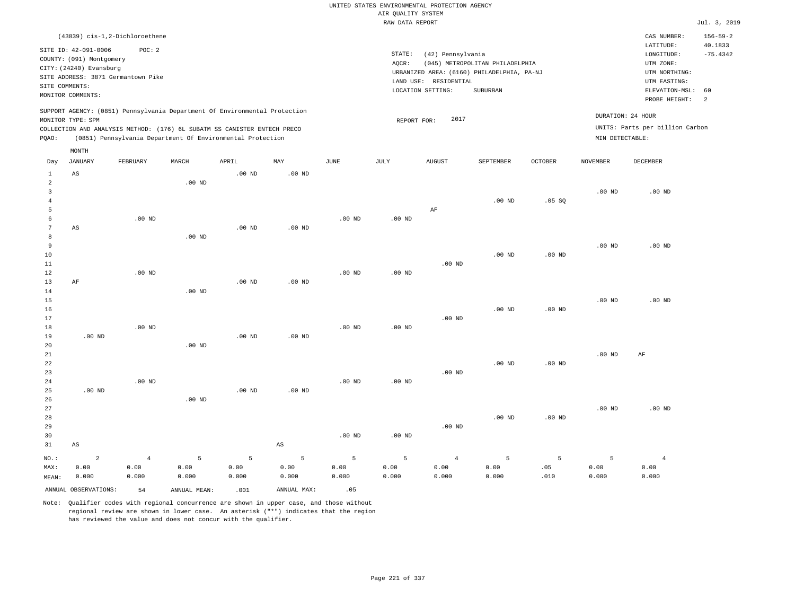|                                  |                                    |                |               |                                                                            |                        |                   |                     | UNITED STATES ENVIRONMENTAL PROTECTION AGENCY |                                            |                   |                   |                                 |                |
|----------------------------------|------------------------------------|----------------|---------------|----------------------------------------------------------------------------|------------------------|-------------------|---------------------|-----------------------------------------------|--------------------------------------------|-------------------|-------------------|---------------------------------|----------------|
|                                  |                                    |                |               |                                                                            |                        |                   | AIR QUALITY SYSTEM  |                                               |                                            |                   |                   |                                 |                |
|                                  |                                    |                |               |                                                                            |                        |                   | RAW DATA REPORT     |                                               |                                            |                   |                   |                                 | Jul. 3, 2019   |
|                                  | (43839) cis-1,2-Dichloroethene     |                |               |                                                                            |                        |                   |                     |                                               |                                            |                   |                   | CAS NUMBER:                     | $156 - 59 - 2$ |
|                                  | SITE ID: 42-091-0006               | POC: 2         |               |                                                                            |                        |                   |                     |                                               |                                            |                   |                   | LATITUDE:                       | 40.1833        |
|                                  | COUNTY: (091) Montgomery           |                |               |                                                                            |                        |                   | $\texttt{STATE}{}:$ | (42) Pennsylvania                             |                                            |                   |                   | LONGITUDE:                      | $-75.4342$     |
|                                  | CITY: (24240) Evansburg            |                |               |                                                                            |                        |                   | AQCR:               |                                               | (045) METROPOLITAN PHILADELPHIA            |                   |                   | UTM ZONE:                       |                |
|                                  | SITE ADDRESS: 3871 Germantown Pike |                |               |                                                                            |                        |                   |                     |                                               | URBANIZED AREA: (6160) PHILADELPHIA, PA-NJ |                   |                   | UTM NORTHING:<br>UTM EASTING:   |                |
|                                  | SITE COMMENTS:                     |                |               |                                                                            |                        |                   |                     | LAND USE: RESIDENTIAL<br>LOCATION SETTING:    | SUBURBAN                                   |                   |                   | ELEVATION-MSL:                  | 60             |
|                                  | MONITOR COMMENTS:                  |                |               |                                                                            |                        |                   |                     |                                               |                                            |                   |                   | PROBE HEIGHT:                   | 2              |
|                                  |                                    |                |               | SUPPORT AGENCY: (0851) Pennsylvania Department Of Environmental Protection |                        |                   |                     |                                               |                                            |                   |                   | DURATION: 24 HOUR               |                |
|                                  | MONITOR TYPE: SPM                  |                |               |                                                                            |                        |                   | REPORT FOR:         | 2017                                          |                                            |                   |                   |                                 |                |
|                                  |                                    |                |               | COLLECTION AND ANALYSIS METHOD: (176) 6L SUBATM SS CANISTER ENTECH PRECO   |                        |                   |                     |                                               |                                            |                   |                   | UNITS: Parts per billion Carbon |                |
| PQAO:                            |                                    |                |               | (0851) Pennsylvania Department Of Environmental Protection                 |                        |                   |                     |                                               |                                            |                   | MIN DETECTABLE:   |                                 |                |
|                                  | MONTH                              |                |               |                                                                            |                        |                   |                     |                                               |                                            |                   |                   |                                 |                |
| Day                              | <b>JANUARY</b>                     | FEBRUARY       | MARCH         | APRIL                                                                      | $\texttt{MAX}$         | JUNE              | JULY                | <b>AUGUST</b>                                 | SEPTEMBER                                  | <b>OCTOBER</b>    | <b>NOVEMBER</b>   | DECEMBER                        |                |
| $\mathbf{1}$                     | $_{\rm AS}$                        |                |               | $.00$ ND                                                                   | .00 <sub>ND</sub>      |                   |                     |                                               |                                            |                   |                   |                                 |                |
| $\overline{a}$<br>$\overline{3}$ |                                    |                | $.00$ ND      |                                                                            |                        |                   |                     |                                               |                                            |                   |                   |                                 |                |
| $\overline{4}$                   |                                    |                |               |                                                                            |                        |                   |                     |                                               | $.00$ ND                                   | .05SQ             | .00 <sub>ND</sub> | .00 <sub>ND</sub>               |                |
| 5                                |                                    |                |               |                                                                            |                        |                   |                     | AF                                            |                                            |                   |                   |                                 |                |
| 6                                |                                    | $.00$ ND       |               |                                                                            |                        | $.00$ ND          | $.00$ ND            |                                               |                                            |                   |                   |                                 |                |
| 7                                | $\mathbb{A}\mathbb{S}$             |                |               | .00 <sub>ND</sub>                                                          | .00 <sub>ND</sub>      |                   |                     |                                               |                                            |                   |                   |                                 |                |
| 8                                |                                    |                | $.00$ ND      |                                                                            |                        |                   |                     |                                               |                                            |                   |                   |                                 |                |
| $\overline{9}$                   |                                    |                |               |                                                                            |                        |                   |                     |                                               |                                            |                   | .00 <sub>ND</sub> | $.00$ ND                        |                |
| 10                               |                                    |                |               |                                                                            |                        |                   |                     |                                               | $.00$ ND                                   | $.00$ ND          |                   |                                 |                |
| 11                               |                                    |                |               |                                                                            |                        |                   |                     | .00 <sub>ND</sub>                             |                                            |                   |                   |                                 |                |
| 12<br>13                         | AF                                 | $.00$ ND       |               | $.00$ ND                                                                   | $.00$ ND               | .00 <sub>ND</sub> | .00 <sub>ND</sub>   |                                               |                                            |                   |                   |                                 |                |
| 14                               |                                    |                | $.00$ ND      |                                                                            |                        |                   |                     |                                               |                                            |                   |                   |                                 |                |
| 15                               |                                    |                |               |                                                                            |                        |                   |                     |                                               |                                            |                   | .00 <sub>ND</sub> | $.00$ ND                        |                |
| 16                               |                                    |                |               |                                                                            |                        |                   |                     |                                               | $.00$ ND                                   | $.00$ ND          |                   |                                 |                |
| 17                               |                                    |                |               |                                                                            |                        |                   |                     | $.00$ ND                                      |                                            |                   |                   |                                 |                |
| 18                               |                                    | $.00$ ND       |               |                                                                            |                        | $.00$ ND          | .00 <sub>ND</sub>   |                                               |                                            |                   |                   |                                 |                |
| 19                               | .00 <sub>ND</sub>                  |                |               | .00 <sub>ND</sub>                                                          | .00 <sub>ND</sub>      |                   |                     |                                               |                                            |                   |                   |                                 |                |
| 20                               |                                    |                | $.00$ ND      |                                                                            |                        |                   |                     |                                               |                                            |                   |                   |                                 |                |
| $2\sqrt{1}$                      |                                    |                |               |                                                                            |                        |                   |                     |                                               |                                            |                   | .00 <sub>ND</sub> | $\rm AF$                        |                |
| 22<br>23                         |                                    |                |               |                                                                            |                        |                   |                     | .00 <sub>ND</sub>                             | $.00$ ND                                   | .00 <sub>ND</sub> |                   |                                 |                |
| 24                               |                                    | $.00$ ND       |               |                                                                            |                        | .00 <sub>ND</sub> | .00 <sub>ND</sub>   |                                               |                                            |                   |                   |                                 |                |
| 25                               | $.00$ ND                           |                |               | $.00$ ND                                                                   | $.00$ ND               |                   |                     |                                               |                                            |                   |                   |                                 |                |
| 26                               |                                    |                | $.00$ ND      |                                                                            |                        |                   |                     |                                               |                                            |                   |                   |                                 |                |
| 27                               |                                    |                |               |                                                                            |                        |                   |                     |                                               |                                            |                   | .00 <sub>ND</sub> | $.00$ ND                        |                |
| 28                               |                                    |                |               |                                                                            |                        |                   |                     |                                               | $.00$ ND                                   | $.00$ ND          |                   |                                 |                |
| 29                               |                                    |                |               |                                                                            |                        |                   |                     | .00 <sub>ND</sub>                             |                                            |                   |                   |                                 |                |
| 30                               |                                    |                |               |                                                                            |                        | $.00$ ND          | $.00$ ND            |                                               |                                            |                   |                   |                                 |                |
| 31                               | AS                                 |                |               |                                                                            | $\mathbb{A}\mathbb{S}$ |                   |                     |                                               |                                            |                   |                   |                                 |                |
| $NO.$ :                          | $\overline{2}$                     | $\overline{4}$ | $\sqrt{5}$    | 5                                                                          | $\overline{5}$         | 5                 | 5                   | $\overline{4}$                                | 5                                          | 5                 | 5                 | $\overline{4}$                  |                |
| MAX:                             | 0.00                               | 0.00           | 0.00          | 0.00                                                                       | 0.00                   | 0.00              | 0.00                | 0.00                                          | 0.00                                       | .05               | 0.00              | 0.00                            |                |
| MEAN:                            | 0.000                              | 0.000          | 0.000         | 0.000                                                                      | 0.000                  | 0.000             | 0.000               | 0.000                                         | 0.000                                      | .010              | 0.000             | 0.000                           |                |
|                                  | ANNUAL OBSERVATIONS:               | 54             | ANNUAL, MEAN: | .001                                                                       | ANNUAL MAX:            | .05               |                     |                                               |                                            |                   |                   |                                 |                |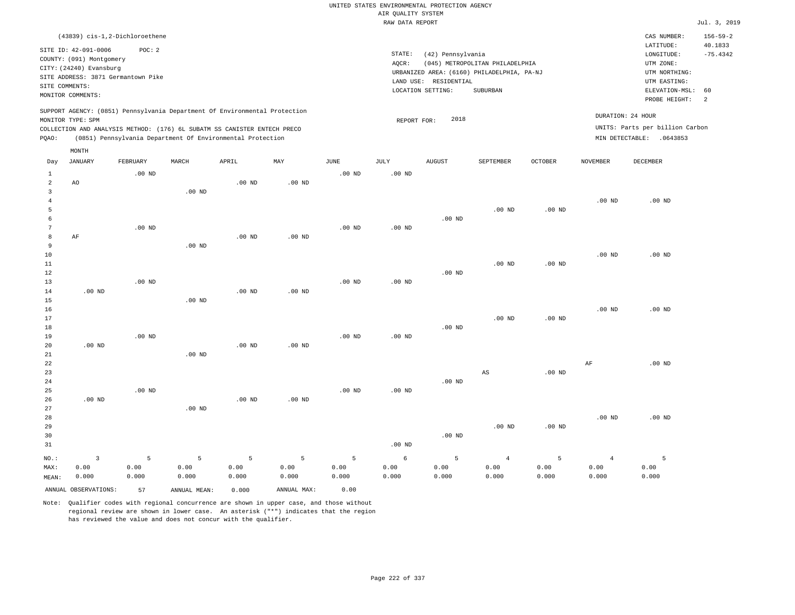|                                  |                                    |          |              |                                                                            |                   |                   | UNITED STATES ENVIRONMENTAL PROTECTION AGENCY |                       |                                            |                |                   |                                 |                           |
|----------------------------------|------------------------------------|----------|--------------|----------------------------------------------------------------------------|-------------------|-------------------|-----------------------------------------------|-----------------------|--------------------------------------------|----------------|-------------------|---------------------------------|---------------------------|
|                                  |                                    |          |              |                                                                            |                   |                   | AIR QUALITY SYSTEM                            |                       |                                            |                |                   |                                 |                           |
|                                  |                                    |          |              |                                                                            |                   |                   | RAW DATA REPORT                               |                       |                                            |                |                   |                                 | Jul. 3, 2019              |
|                                  | (43839) cis-1,2-Dichloroethene     |          |              |                                                                            |                   |                   |                                               |                       |                                            |                |                   | CAS NUMBER:<br>LATITUDE:        | $156 - 59 - 2$<br>40.1833 |
|                                  | SITE ID: 42-091-0006               | POC: 2   |              |                                                                            |                   |                   | STATE:                                        | (42) Pennsylvania     |                                            |                |                   | LONGITUDE:                      | $-75.4342$                |
|                                  | COUNTY: (091) Montgomery           |          |              |                                                                            |                   |                   | AQCR:                                         |                       | (045) METROPOLITAN PHILADELPHIA            |                |                   | UTM ZONE:                       |                           |
|                                  | CITY: (24240) Evansburg            |          |              |                                                                            |                   |                   |                                               |                       | URBANIZED AREA: (6160) PHILADELPHIA, PA-NJ |                |                   | UTM NORTHING:                   |                           |
| SITE COMMENTS:                   | SITE ADDRESS: 3871 Germantown Pike |          |              |                                                                            |                   |                   |                                               | LAND USE: RESIDENTIAL |                                            |                |                   | UTM EASTING:                    |                           |
|                                  | MONITOR COMMENTS:                  |          |              |                                                                            |                   |                   |                                               | LOCATION SETTING:     | <b>SUBURBAN</b>                            |                |                   | ELEVATION-MSL:                  | 60                        |
|                                  |                                    |          |              |                                                                            |                   |                   |                                               |                       |                                            |                |                   | PROBE HEIGHT:                   | 2                         |
|                                  | MONITOR TYPE: SPM                  |          |              | SUPPORT AGENCY: (0851) Pennsylvania Department Of Environmental Protection |                   |                   | REPORT FOR:                                   | 2018                  |                                            |                |                   | DURATION: 24 HOUR               |                           |
|                                  |                                    |          |              | COLLECTION AND ANALYSIS METHOD: (176) 6L SUBATM SS CANISTER ENTECH PRECO   |                   |                   |                                               |                       |                                            |                |                   | UNITS: Parts per billion Carbon |                           |
| PQAO:                            |                                    |          |              | (0851) Pennsylvania Department Of Environmental Protection                 |                   |                   |                                               |                       |                                            |                |                   | MIN DETECTABLE: .0643853        |                           |
|                                  | MONTH                              |          |              |                                                                            |                   |                   |                                               |                       |                                            |                |                   |                                 |                           |
| Day                              | <b>JANUARY</b>                     | FEBRUARY | MARCH        | APRIL                                                                      | $_{\rm MAY}$      | JUNE              | JULY                                          | AUGUST                | SEPTEMBER                                  | <b>OCTOBER</b> | NOVEMBER          | DECEMBER                        |                           |
| $\mathbf{1}$                     |                                    | $.00$ ND |              |                                                                            |                   | .00 <sub>ND</sub> | $.00$ ND                                      |                       |                                            |                |                   |                                 |                           |
| $\overline{a}$                   | AO                                 |          |              | $.00$ ND                                                                   | .00 <sub>ND</sub> |                   |                                               |                       |                                            |                |                   |                                 |                           |
| $\overline{3}$<br>$\overline{4}$ |                                    |          | $.00$ ND     |                                                                            |                   |                   |                                               |                       |                                            |                | $.00$ ND          |                                 |                           |
| 5                                |                                    |          |              |                                                                            |                   |                   |                                               |                       | $.00$ ND                                   | $.00$ ND       |                   | $.00$ ND                        |                           |
| 6                                |                                    |          |              |                                                                            |                   |                   |                                               | $.00$ ND              |                                            |                |                   |                                 |                           |
| $\overline{7}$                   |                                    | $.00$ ND |              |                                                                            |                   | $.00$ ND          | $.00$ ND                                      |                       |                                            |                |                   |                                 |                           |
| 8                                | AF                                 |          |              | $.00$ ND                                                                   | $.00$ ND          |                   |                                               |                       |                                            |                |                   |                                 |                           |
| 9                                |                                    |          | $.00$ ND     |                                                                            |                   |                   |                                               |                       |                                            |                |                   |                                 |                           |
| $10$                             |                                    |          |              |                                                                            |                   |                   |                                               |                       |                                            |                | .00 <sub>ND</sub> | $.00$ ND                        |                           |
| 11                               |                                    |          |              |                                                                            |                   |                   |                                               |                       | $.00$ ND                                   | $.00$ ND       |                   |                                 |                           |
| 12                               |                                    |          |              |                                                                            |                   |                   |                                               | $.00$ ND              |                                            |                |                   |                                 |                           |
| 13                               |                                    | $.00$ ND |              |                                                                            |                   | $.00$ ND          | .00 <sub>ND</sub>                             |                       |                                            |                |                   |                                 |                           |
| 14                               | .00 <sub>ND</sub>                  |          |              | .00 <sub>ND</sub>                                                          | .00 <sub>ND</sub> |                   |                                               |                       |                                            |                |                   |                                 |                           |
| $15$                             |                                    |          | $.00$ ND     |                                                                            |                   |                   |                                               |                       |                                            |                |                   |                                 |                           |
| 16                               |                                    |          |              |                                                                            |                   |                   |                                               |                       |                                            |                | $.00$ ND          | $.00$ ND                        |                           |
| 17                               |                                    |          |              |                                                                            |                   |                   |                                               |                       | $.00$ ND                                   | $.00$ ND       |                   |                                 |                           |
| 18                               |                                    |          |              |                                                                            |                   |                   |                                               | $.00$ ND              |                                            |                |                   |                                 |                           |
| 19                               |                                    | $.00$ ND |              |                                                                            |                   | $.00$ ND          | $.00$ ND                                      |                       |                                            |                |                   |                                 |                           |
| 20                               | .00 <sub>ND</sub>                  |          | $.00$ ND     | .00 <sub>ND</sub>                                                          | .00 <sub>ND</sub> |                   |                                               |                       |                                            |                |                   |                                 |                           |
| 21<br>22                         |                                    |          |              |                                                                            |                   |                   |                                               |                       |                                            |                | AF                | $.00$ ND                        |                           |
| 23                               |                                    |          |              |                                                                            |                   |                   |                                               |                       | AS                                         | $.00$ ND       |                   |                                 |                           |
| 24                               |                                    |          |              |                                                                            |                   |                   |                                               | $.00$ ND              |                                            |                |                   |                                 |                           |
| 25                               |                                    | $.00$ ND |              |                                                                            |                   | .00 <sub>ND</sub> | .00 <sub>ND</sub>                             |                       |                                            |                |                   |                                 |                           |
| 26                               | .00 <sub>ND</sub>                  |          |              | .00 <sub>ND</sub>                                                          | .00 <sub>ND</sub> |                   |                                               |                       |                                            |                |                   |                                 |                           |
| 27                               |                                    |          | $.00$ ND     |                                                                            |                   |                   |                                               |                       |                                            |                |                   |                                 |                           |
| 28                               |                                    |          |              |                                                                            |                   |                   |                                               |                       |                                            |                | $.00$ ND          | $.00$ ND                        |                           |
| 29                               |                                    |          |              |                                                                            |                   |                   |                                               |                       | $.00$ ND                                   | $.00$ ND       |                   |                                 |                           |
| 30                               |                                    |          |              |                                                                            |                   |                   |                                               | $.00$ ND              |                                            |                |                   |                                 |                           |
| 31                               |                                    |          |              |                                                                            |                   |                   | $.00$ ND                                      |                       |                                            |                |                   |                                 |                           |
| NO.:                             | $\overline{3}$                     | 5        | 5            | 5                                                                          | 5                 | 5                 | 6                                             | 5                     | $\overline{4}$                             | 5              | $\overline{4}$    | 5                               |                           |
| MAX:                             | 0.00                               | 0.00     | 0.00         | 0.00                                                                       | 0.00              | 0.00              | 0.00                                          | 0.00                  | 0.00                                       | 0.00           | 0.00              | 0.00                            |                           |
| MEAN:                            | 0.000                              | 0.000    | 0.000        | 0.000                                                                      | 0.000             | 0.000             | 0.000                                         | 0.000                 | 0.000                                      | 0.000          | 0.000             | 0.000                           |                           |
|                                  | ANNUAL OBSERVATIONS:               | 57       | ANNUAL MEAN: | 0.000                                                                      | ANNUAL MAX:       | 0.00              |                                               |                       |                                            |                |                   |                                 |                           |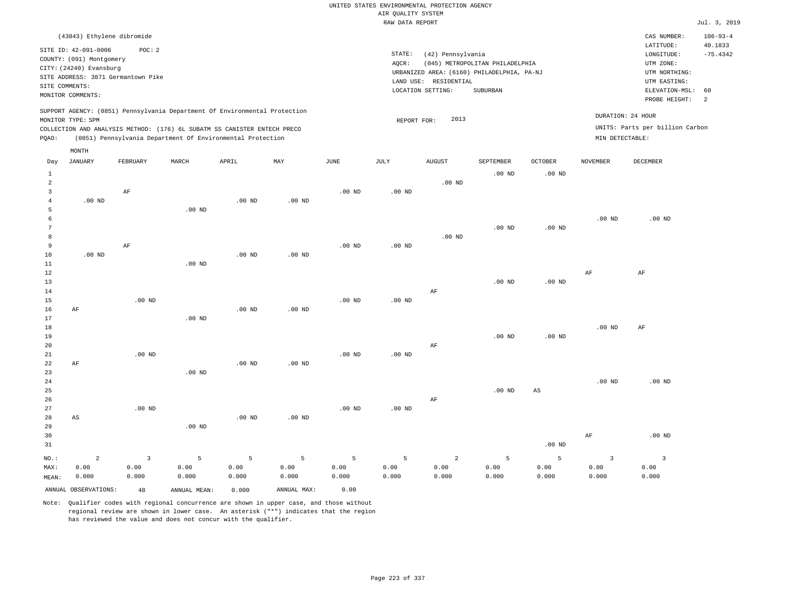|       | (43843) Ethylene dibromide                                                                                                          |          |       |                                                            |                                                                            |      |                 |                                                                                             |                                             |          |                 | CAS NUMBER:                                                           | $106 - 93 - 4$        |
|-------|-------------------------------------------------------------------------------------------------------------------------------------|----------|-------|------------------------------------------------------------|----------------------------------------------------------------------------|------|-----------------|---------------------------------------------------------------------------------------------|---------------------------------------------|----------|-----------------|-----------------------------------------------------------------------|-----------------------|
|       | SITE ID: 42-091-0006<br>COUNTY: (091) Montgomery<br>CITY: (24240) Evansburg<br>SITE ADDRESS: 3871 Germantown Pike<br>SITE COMMENTS: | POC: 2   |       |                                                            |                                                                            |      | STATE:<br>AOCR: | (42) Pennsylvania<br>URBANIZED AREA: (6160) PHILADELPHIA, PA-NJ<br>RESIDENTIAL<br>LAND USE: | (045) METROPOLITAN PHILADELPHIA<br>SUBURBAN |          |                 | LATITUDE:<br>LONGITUDE:<br>UTM ZONE:<br>UTM NORTHING:<br>UTM EASTING: | 40.1833<br>$-75.4342$ |
|       | MONITOR COMMENTS:                                                                                                                   |          |       |                                                            |                                                                            |      |                 | LOCATION SETTING:                                                                           |                                             |          |                 | ELEVATION-MSL: 60<br>PROBE HEIGHT:                                    | $\overline{2}$        |
| POAO: | MONITOR TYPE: SPM<br>COLLECTION AND ANALYSIS METHOD: (176) 6L SUBATM SS CANISTER ENTECH PRECO                                       |          |       | (0851) Pennsylvania Department Of Environmental Protection | SUPPORT AGENCY: (0851) Pennsylvania Department Of Environmental Protection |      |                 | 2013<br>REPORT FOR:                                                                         |                                             |          | MIN DETECTABLE: | DURATION: 24 HOUR<br>UNITS: Parts per billion Carbon                  |                       |
| Day   | MONTH<br>JANUARY                                                                                                                    | FEBRUARY | MARCH | APRIL                                                      | MAY                                                                        | JUNE | JULY            | <b>AUGUST</b>                                                                               | SEPTEMBER                                   | OCTOBER  | NOVEMBER        | DECEMBER                                                              |                       |
|       |                                                                                                                                     |          |       |                                                            |                                                                            |      |                 |                                                                                             |                                             |          |                 |                                                                       |                       |
|       |                                                                                                                                     |          |       |                                                            |                                                                            |      |                 |                                                                                             | $.00$ ND                                    | $.00$ ND |                 |                                                                       |                       |

| $\overline{a}$ |                        |                         |          |          |          |          |                   | $.00$ ND   |                   |          |           |                |
|----------------|------------------------|-------------------------|----------|----------|----------|----------|-------------------|------------|-------------------|----------|-----------|----------------|
| 3              |                        | $\rm AF$                |          |          |          | $.00$ ND | $.00$ ND          |            |                   |          |           |                |
| 4              | $.00$ ND               |                         |          | $.00$ ND | $.00$ ND |          |                   |            |                   |          |           |                |
| 5              |                        |                         | $.00$ ND |          |          |          |                   |            |                   |          |           |                |
| 6              |                        |                         |          |          |          |          |                   |            |                   |          | $.00$ ND  | $.00$ ND       |
| 7              |                        |                         |          |          |          |          |                   |            | $.00$ ND          | $.00$ ND |           |                |
| 8              |                        |                         |          |          |          |          |                   | $.00$ ND   |                   |          |           |                |
| 9              |                        | $\rm AF$                |          |          |          | $.00$ ND | $.00$ ND          |            |                   |          |           |                |
| 10             | $.00$ ND               |                         |          | $.00$ ND | $.00$ ND |          |                   |            |                   |          |           |                |
| 11             |                        |                         | $.00$ ND |          |          |          |                   |            |                   |          |           |                |
| 12             |                        |                         |          |          |          |          |                   |            |                   |          | $\rm{AF}$ | $\rm AF$       |
| 13             |                        |                         |          |          |          |          |                   |            | $.00$ ND          | $.00$ ND |           |                |
| 14             |                        |                         |          |          |          |          |                   | $\rm AF$   |                   |          |           |                |
| 15             |                        | $.00$ ND                |          |          |          | $.00$ ND | .00 <sub>ND</sub> |            |                   |          |           |                |
| 16             | $\rm AF$               |                         |          | $.00$ ND | $.00$ ND |          |                   |            |                   |          |           |                |
| 17             |                        |                         | $.00$ ND |          |          |          |                   |            |                   |          |           |                |
| 18             |                        |                         |          |          |          |          |                   |            |                   |          | $.00$ ND  | $\rm AF$       |
| 19             |                        |                         |          |          |          |          |                   |            | $.00$ ND          | $.00$ ND |           |                |
| 20             |                        |                         |          |          |          |          |                   | AF         |                   |          |           |                |
| 21             |                        | $.00$ ND                |          |          |          | $.00$ ND | .00 <sub>ND</sub> |            |                   |          |           |                |
| 22             | $\rm AF$               |                         |          | $.00$ ND | $.00$ ND |          |                   |            |                   |          |           |                |
| 23             |                        |                         | $.00$ ND |          |          |          |                   |            |                   |          |           |                |
| $2\sqrt{4}$    |                        |                         |          |          |          |          |                   |            |                   |          | $.00$ ND  | $.00$ ND       |
| 25             |                        |                         |          |          |          |          |                   |            | .00 <sub>ND</sub> | AS       |           |                |
| 26             |                        |                         |          |          |          |          |                   | $\rm AF$   |                   |          |           |                |
| 27             |                        | .00 $ND$                |          |          |          | $.00$ ND | .00 <sub>ND</sub> |            |                   |          |           |                |
| 28             | $\mathbb{A}\mathbb{S}$ |                         |          | $.00$ ND | $.00$ ND |          |                   |            |                   |          |           |                |
| 29             |                        |                         | $.00$ ND |          |          |          |                   |            |                   |          |           |                |
| 30             |                        |                         |          |          |          |          |                   |            |                   |          | $\rm{AF}$ | $.00$ ND       |
| 31             |                        |                         |          |          |          |          |                   |            |                   | $.00$ ND |           |                |
| $_{\rm NO.}$ : | $\overline{a}$         | $\overline{\mathbf{3}}$ | 5        | 5        | 5        | 5        | 5                 | $\sqrt{2}$ | $\overline{5}$    | 5        | 3         | $\overline{3}$ |
| MAX:           | 0.00                   | 0.00                    | 0.00     | 0.00     | 0.00     | 0.00     | 0.00              | 0.00       | 0.00              | 0.00     | 0.00      | 0.00           |
| MEAN:          | 0.000                  | 0.000                   | 0.000    | 0.000    | 0.000    | 0.000    | 0.000             | 0.000      | 0.000             | 0.000    | 0.000     | 0.000          |

Note: Qualifier codes with regional concurrence are shown in upper case, and those without regional review are shown in lower case. An asterisk ("\*") indicates that the region has reviewed the value and does not concur with the qualifier.

ANNUAL OBSERVATIONS: 48 ANNUAL MEAN: 0.000 ANNUAL MAX: 0.00

MEAN: 0.000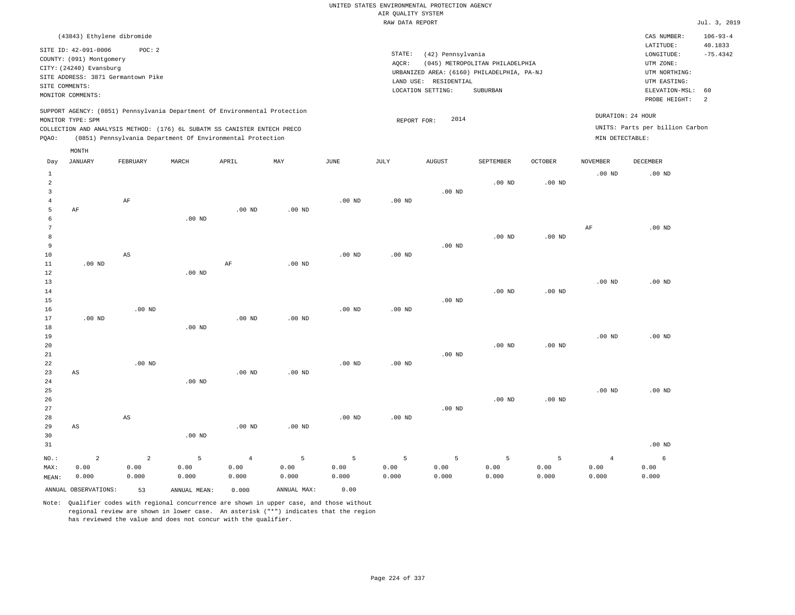| (43843) Ethylene dibromide                                                                                                                                                                                                                         |                                                                                                                                                                                 | CAS NUMBER:<br>$106 - 93 - 4$                                                                                                          |
|----------------------------------------------------------------------------------------------------------------------------------------------------------------------------------------------------------------------------------------------------|---------------------------------------------------------------------------------------------------------------------------------------------------------------------------------|----------------------------------------------------------------------------------------------------------------------------------------|
| SITE ID: 42-091-0006<br>POC:2<br>COUNTY: (091) Montgomery<br>CITY: (24240) Evansburg<br>SITE ADDRESS: 3871 Germantown Pike<br>SITE COMMENTS:<br>MONITOR COMMENTS:                                                                                  | STATE:<br>(42) Pennsylvania<br>(045) METROPOLITAN PHILADELPHIA<br>AOCR:<br>URBANIZED AREA: (6160) PHILADELPHIA, PA-NJ<br>LAND USE: RESIDENTIAL<br>SUBURBAN<br>LOCATION SETTING: | 40.1833<br>LATITUDE:<br>$-75.4342$<br>LONGITUDE:<br>UTM ZONE:<br>UTM NORTHING:<br>UTM EASTING:<br>ELEVATION-MSL: 60<br>PROBE HEIGHT: 2 |
| SUPPORT AGENCY: (0851) Pennsylvania Department Of Environmental Protection<br>MONITOR TYPE: SPM<br>COLLECTION AND ANALYSIS METHOD: (176) 6L SUBATM SS CANISTER ENTECH PRECO<br>(0851) Pennsylvania Department Of Environmental Protection<br>POAO: | 2014<br>REPORT FOR:                                                                                                                                                             | DURATION: 24 HOUR<br>UNITS: Parts per billion Carbon<br>MIN DETECTABLE:                                                                |

|                                     | MONTH                  |                        |              |                   |             |                 |                |               |                   |                   |                 |                   |
|-------------------------------------|------------------------|------------------------|--------------|-------------------|-------------|-----------------|----------------|---------------|-------------------|-------------------|-----------------|-------------------|
| Day                                 | <b>JANUARY</b>         | FEBRUARY               | MARCH        | APRIL             | MAY         | $\mathtt{JUNE}$ | JULY           | <b>AUGUST</b> | SEPTEMBER         | OCTOBER           | <b>NOVEMBER</b> | DECEMBER          |
| $\mathbf{1}$<br>$\overline{a}$<br>3 |                        |                        |              |                   |             |                 |                | $.00$ ND      | .00 <sub>ND</sub> | .00 <sub>ND</sub> | $.00$ ND        | $.00$ ND          |
| $\overline{4}$                      |                        | $\rm AF$               |              |                   |             | $.00$ ND        | $.00$ ND       |               |                   |                   |                 |                   |
| 5                                   | $\rm AF$               |                        |              | .00 <sub>ND</sub> | $.00$ ND    |                 |                |               |                   |                   |                 |                   |
| 6                                   |                        |                        | $.00$ ND     |                   |             |                 |                |               |                   |                   |                 |                   |
| 7                                   |                        |                        |              |                   |             |                 |                |               |                   |                   | AF              | $.00$ ND          |
| 8                                   |                        |                        |              |                   |             |                 |                |               | $.00$ ND          | $.00$ ND          |                 |                   |
| 9<br>10                             |                        | $\mathbb{A}\mathbb{S}$ |              |                   |             | $.00$ ND        |                | $.00$ ND      |                   |                   |                 |                   |
| 11                                  | $.00$ ND               |                        |              | $\rm AF$          | $.00$ ND    |                 | .00 $ND$       |               |                   |                   |                 |                   |
| 12                                  |                        |                        | $.00$ ND     |                   |             |                 |                |               |                   |                   |                 |                   |
| 13                                  |                        |                        |              |                   |             |                 |                |               |                   |                   | $.00$ ND        | .00 <sub>ND</sub> |
| 14                                  |                        |                        |              |                   |             |                 |                |               | $.00$ ND          | $.00$ ND          |                 |                   |
| 15                                  |                        |                        |              |                   |             |                 |                | $.00$ ND      |                   |                   |                 |                   |
| 16                                  |                        | $.00$ ND               |              |                   |             | $.00$ ND        | $.00$ ND       |               |                   |                   |                 |                   |
| 17                                  | $.00$ ND               |                        |              | .00 <sub>ND</sub> | $.00$ ND    |                 |                |               |                   |                   |                 |                   |
| 18                                  |                        |                        | .00 $ND$     |                   |             |                 |                |               |                   |                   |                 |                   |
| 19                                  |                        |                        |              |                   |             |                 |                |               |                   |                   | $.00$ ND        | $.00$ ND          |
| 20                                  |                        |                        |              |                   |             |                 |                |               | $.00$ ND          | $.00$ ND          |                 |                   |
| 21                                  |                        |                        |              |                   |             |                 |                | $.00$ ND      |                   |                   |                 |                   |
| 22                                  |                        | $.00$ ND               |              |                   |             | $.00$ ND        | $.00$ ND       |               |                   |                   |                 |                   |
| 23                                  | $\mathbb{A}\mathbb{S}$ |                        |              | .00 <sub>ND</sub> | $.00$ ND    |                 |                |               |                   |                   |                 |                   |
| 24                                  |                        |                        | $.00$ ND     |                   |             |                 |                |               |                   |                   |                 |                   |
| 25<br>26                            |                        |                        |              |                   |             |                 |                |               | $.00$ ND          |                   | $.00$ ND        | $.00$ ND          |
| 27                                  |                        |                        |              |                   |             |                 |                | $.00$ ND      |                   | $.00$ ND          |                 |                   |
| 28                                  |                        | $\mathbb{A}\mathbb{S}$ |              |                   |             | $.00$ ND        | $.00$ ND       |               |                   |                   |                 |                   |
| 29                                  | $\mathbb{A}\mathbb{S}$ |                        |              | .00 <sub>ND</sub> | .00 $ND$    |                 |                |               |                   |                   |                 |                   |
| 30                                  |                        |                        | $.00$ ND     |                   |             |                 |                |               |                   |                   |                 |                   |
| 31                                  |                        |                        |              |                   |             |                 |                |               |                   |                   |                 | $.00$ ND          |
| NO.:                                | $\overline{a}$         | $\overline{a}$         | 5            | $\overline{4}$    | 5           | 5               | $\overline{5}$ | 5             | 5                 | 5                 | $\overline{4}$  | 6                 |
| MAX:                                | 0.00                   | 0.00                   | 0.00         | 0.00              | 0.00        | 0.00            | 0.00           | 0.00          | 0.00              | 0.00              | 0.00            | 0.00              |
| MEAN:                               | 0.000                  | 0.000                  | 0.000        | 0.000             | 0.000       | 0.000           | 0.000          | 0.000         | 0.000             | 0.000             | 0.000           | 0.000             |
|                                     | ANNUAL OBSERVATIONS:   | 53                     | ANNUAL MEAN: | 0.000             | ANNUAL MAX: | 0.00            |                |               |                   |                   |                 |                   |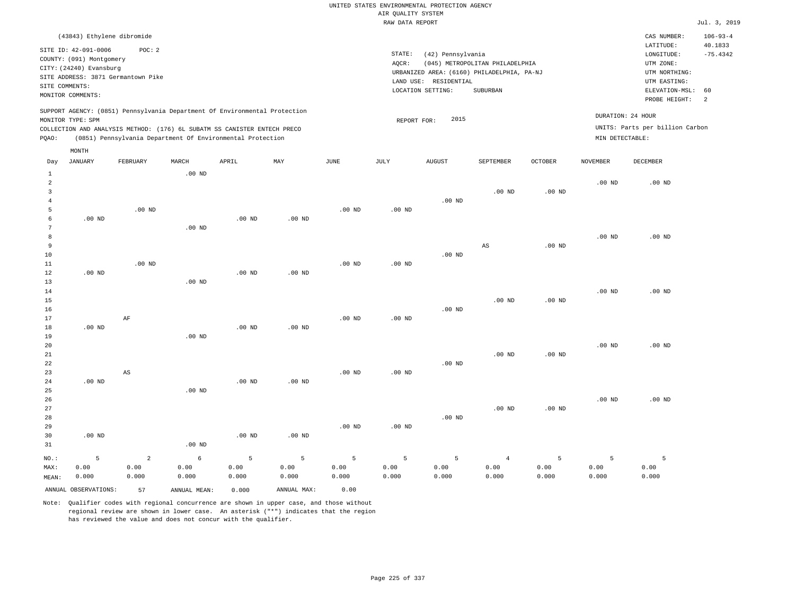| (43843) Ethylene dibromide                                                                      |          |       |                                                            |     |             |      |                       |                                            |         |                   | CAS NUMBER:                     | $106 - 93 - 4$        |
|-------------------------------------------------------------------------------------------------|----------|-------|------------------------------------------------------------|-----|-------------|------|-----------------------|--------------------------------------------|---------|-------------------|---------------------------------|-----------------------|
| SITE ID: 42-091-0006                                                                            | POC: 2   |       |                                                            |     |             |      | STATE:                | (42) Pennsylvania                          |         |                   | LATITUDE:<br>LONGITUDE:         | 40.1833<br>$-75.4342$ |
| COUNTY: (091) Montgomery                                                                        |          |       |                                                            |     |             |      | AOCR:                 | (045) METROPOLITAN PHILADELPHIA            |         |                   | UTM ZONE:                       |                       |
| CITY: (24240) Evansburg                                                                         |          |       |                                                            |     |             |      |                       | URBANIZED AREA: (6160) PHILADELPHIA, PA-NJ |         |                   | UTM NORTHING:                   |                       |
| SITE ADDRESS: 3871 Germantown Pike                                                              |          |       |                                                            |     |             |      | LAND USE: RESIDENTIAL |                                            |         |                   | UTM EASTING:                    |                       |
| SITE COMMENTS:                                                                                  |          |       |                                                            |     |             |      | LOCATION SETTING:     | SUBURBAN                                   |         |                   | ELEVATION-MSL: 60               |                       |
| MONITOR COMMENTS:                                                                               |          |       |                                                            |     |             |      |                       |                                            |         |                   | PROBE HEIGHT:                   | -2                    |
| SUPPORT AGENCY: (0851) Pennsylvania Department Of Environmental Protection<br>MONITOR TYPE: SPM |          |       |                                                            |     |             |      | REPORT FOR:           | 2015                                       |         | DURATION: 24 HOUR |                                 |                       |
| COLLECTION AND ANALYSIS METHOD: (176) 6L SUBATM SS CANISTER ENTECH PRECO                        |          |       |                                                            |     |             |      |                       |                                            |         |                   | UNITS: Parts per billion Carbon |                       |
| POAO:                                                                                           |          |       | (0851) Pennsylvania Department Of Environmental Protection |     |             |      |                       |                                            |         | MIN DETECTABLE:   |                                 |                       |
| MONTH                                                                                           |          |       |                                                            |     |             |      |                       |                                            |         |                   |                                 |                       |
| JANUARY<br>Day                                                                                  | FEBRUARY | MARCH | APRIL                                                      | MAY | <b>JUNE</b> | JULY | <b>AUGUST</b>         | <b>SEPTEMBER</b>                           | OCTOBER | NOVEMBER          | DECEMBER                        |                       |

| $1\,$               |                      |                        | $.00$ ND     |                   |             |          |                   |          |                        |          |                |                   |
|---------------------|----------------------|------------------------|--------------|-------------------|-------------|----------|-------------------|----------|------------------------|----------|----------------|-------------------|
| $\overline{a}$      |                      |                        |              |                   |             |          |                   |          |                        |          | $.00$ ND       | $.00$ ND          |
| 3                   |                      |                        |              |                   |             |          |                   | $.00$ ND | $.00$ ND               | .00 $ND$ |                |                   |
| $\overline{4}$<br>5 |                      | $.00$ ND               |              |                   |             | $.00$ ND | $.00$ ND          |          |                        |          |                |                   |
| 6                   | $.00$ ND             |                        |              | .00 $ND$          | $.00$ ND    |          |                   |          |                        |          |                |                   |
| 7                   |                      |                        | $.00$ ND     |                   |             |          |                   |          |                        |          |                |                   |
| 8                   |                      |                        |              |                   |             |          |                   |          |                        |          | $.00$ ND       | $.00$ ND          |
| 9                   |                      |                        |              |                   |             |          |                   |          | $\mathbb{A}\mathbb{S}$ | $.00$ ND |                |                   |
| 10                  |                      |                        |              |                   |             |          |                   | $.00$ ND |                        |          |                |                   |
| $11\,$              |                      | $.00$ ND               |              |                   |             | $.00$ ND | $.00$ ND          |          |                        |          |                |                   |
| 12                  | $.00$ ND             |                        |              | .00 <sub>ND</sub> | $.00$ ND    |          |                   |          |                        |          |                |                   |
| 13                  |                      |                        | $.00$ ND     |                   |             |          |                   |          |                        |          |                |                   |
| 14                  |                      |                        |              |                   |             |          |                   |          |                        |          | $.00$ ND       | $.00$ ND          |
| 15                  |                      |                        |              |                   |             |          |                   |          | $.00$ ND               | $.00$ ND |                |                   |
| 16                  |                      |                        |              |                   |             |          |                   | $.00$ ND |                        |          |                |                   |
| 17                  |                      | $\rm{AF}$              |              |                   |             | $.00$ ND | $.00$ ND          |          |                        |          |                |                   |
| 18                  | .00 $ND$             |                        |              | $.00$ ND          | $.00$ ND    |          |                   |          |                        |          |                |                   |
| 19                  |                      |                        | $.00$ ND     |                   |             |          |                   |          |                        |          |                |                   |
| 20                  |                      |                        |              |                   |             |          |                   |          |                        |          | $.00$ ND       | $.00~\mathrm{ND}$ |
| $21\,$              |                      |                        |              |                   |             |          |                   |          | $.00$ ND               | $.00$ ND |                |                   |
| 22<br>23            |                      | $\mathbb{A}\mathbb{S}$ |              |                   |             | $.00$ ND | $.00$ ND          | .00 $ND$ |                        |          |                |                   |
| 24                  | .00 <sub>ND</sub>    |                        |              | .00 <sub>ND</sub> | $.00$ ND    |          |                   |          |                        |          |                |                   |
| 25                  |                      |                        | $.00$ ND     |                   |             |          |                   |          |                        |          |                |                   |
| 26                  |                      |                        |              |                   |             |          |                   |          |                        |          | $.00$ ND       | $.00$ ND          |
| 27                  |                      |                        |              |                   |             |          |                   |          | $.00$ ND               | $.00$ ND |                |                   |
| 28                  |                      |                        |              |                   |             |          |                   | $.00$ ND |                        |          |                |                   |
| 29                  |                      |                        |              |                   |             | $.00$ ND | .00 <sub>ND</sub> |          |                        |          |                |                   |
| 30                  | $.00~\mathrm{ND}$    |                        |              | .00 <sub>ND</sub> | $.00$ ND    |          |                   |          |                        |          |                |                   |
| 31                  |                      |                        | .00 $ND$     |                   |             |          |                   |          |                        |          |                |                   |
| $NO.$ :             | 5                    | $\overline{a}$         | $\epsilon$   | 5                 | 5           | 5        | $5\phantom{.0}$   | 5        | $\overline{4}$         | 5        | $\overline{5}$ | - 5               |
| MAX:                | 0.00                 | 0.00                   | 0.00         | 0.00              | 0.00        | 0.00     | 0.00              | 0.00     | 0.00                   | 0.00     | 0.00           | 0.00              |
| MEAN:               | 0.000                | 0.000                  | 0.000        | 0.000             | 0.000       | 0.000    | 0.000             | 0.000    | 0.000                  | 0.000    | 0.000          | 0.000             |
|                     | ANNUAL OBSERVATIONS: | 57                     | ANNUAL MEAN: | 0.000             | ANNUAL MAX: | 0.00     |                   |          |                        |          |                |                   |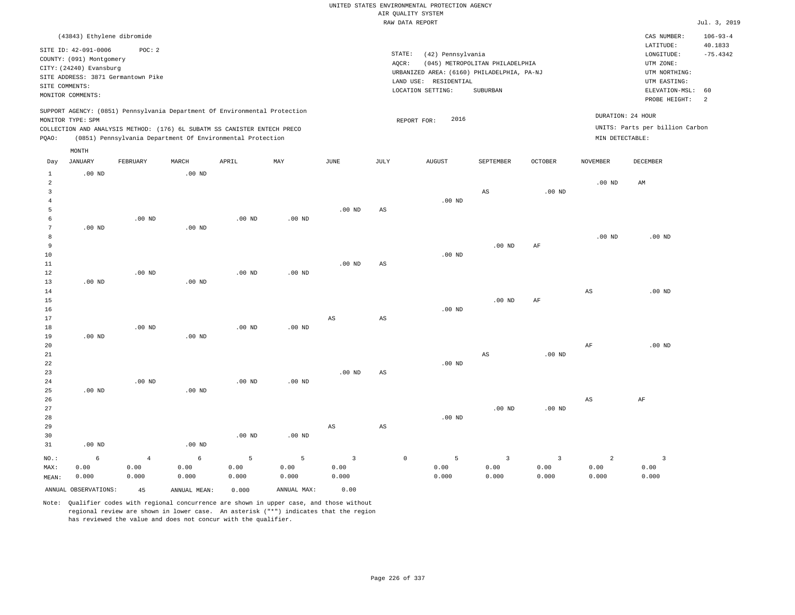|                 | (43843) Ethylene dibromide |                                    |                   |                                                                            |                   |                         |                        |                                            |                                 |                   |                        | CAS NUMBER:                     | $106 - 93 - 4$ |
|-----------------|----------------------------|------------------------------------|-------------------|----------------------------------------------------------------------------|-------------------|-------------------------|------------------------|--------------------------------------------|---------------------------------|-------------------|------------------------|---------------------------------|----------------|
|                 | SITE ID: 42-091-0006       | POC: 2                             |                   |                                                                            |                   |                         |                        |                                            |                                 |                   |                        | LATITUDE:                       | 40.1833        |
|                 | COUNTY: (091) Montgomery   |                                    |                   |                                                                            |                   |                         |                        | STATE:<br>(42) Pennsylvania                |                                 |                   |                        | LONGITUDE:                      | $-75.4342$     |
|                 | CITY: (24240) Evansburg    |                                    |                   |                                                                            |                   |                         |                        | AQCR:                                      | (045) METROPOLITAN PHILADELPHIA |                   |                        | UTM ZONE:                       |                |
|                 |                            | SITE ADDRESS: 3871 Germantown Pike |                   |                                                                            |                   |                         |                        | URBANIZED AREA: (6160) PHILADELPHIA, PA-NJ |                                 |                   |                        | UTM NORTHING:                   |                |
|                 | SITE COMMENTS:             |                                    |                   |                                                                            |                   |                         |                        | LAND USE: RESIDENTIAL                      |                                 |                   |                        | UTM EASTING:                    |                |
|                 | MONITOR COMMENTS:          |                                    |                   |                                                                            |                   |                         |                        | LOCATION SETTING:                          | SUBURBAN                        |                   |                        | ELEVATION-MSL:<br>PROBE HEIGHT: | 60<br>2        |
|                 |                            |                                    |                   | SUPPORT AGENCY: (0851) Pennsylvania Department Of Environmental Protection |                   |                         |                        |                                            |                                 |                   |                        |                                 |                |
|                 | MONITOR TYPE: SPM          |                                    |                   |                                                                            |                   |                         |                        | 2016<br>REPORT FOR:                        |                                 |                   |                        | DURATION: 24 HOUR               |                |
|                 |                            |                                    |                   | COLLECTION AND ANALYSIS METHOD: (176) 6L SUBATM SS CANISTER ENTECH PRECO   |                   |                         |                        |                                            |                                 |                   |                        | UNITS: Parts per billion Carbon |                |
| PQAO:           |                            |                                    |                   | (0851) Pennsylvania Department Of Environmental Protection                 |                   |                         |                        |                                            |                                 |                   | MIN DETECTABLE:        |                                 |                |
|                 | MONTH                      |                                    |                   |                                                                            |                   |                         |                        |                                            |                                 |                   |                        |                                 |                |
| Day             | <b>JANUARY</b>             | FEBRUARY                           | MARCH             | APRIL                                                                      | MAY               | $_{\rm JUNE}$           | <b>JULY</b>            | <b>AUGUST</b>                              | SEPTEMBER                       | <b>OCTOBER</b>    | <b>NOVEMBER</b>        | <b>DECEMBER</b>                 |                |
| $\mathbf{1}$    | .00 <sub>ND</sub>          |                                    | .00 <sub>ND</sub> |                                                                            |                   |                         |                        |                                            |                                 |                   |                        |                                 |                |
| $\overline{a}$  |                            |                                    |                   |                                                                            |                   |                         |                        |                                            |                                 |                   | .00 <sub>ND</sub>      | AM                              |                |
| $\overline{3}$  |                            |                                    |                   |                                                                            |                   |                         |                        |                                            | $\mathbb{A}\mathbb{S}$          | $.00$ ND          |                        |                                 |                |
| $\overline{4}$  |                            |                                    |                   |                                                                            |                   |                         |                        | $.00$ ND                                   |                                 |                   |                        |                                 |                |
| 5<br>6          |                            | $.00$ ND                           |                   | $.00$ ND                                                                   |                   | $.00$ ND                | $\mathbb{A}\mathbb{S}$ |                                            |                                 |                   |                        |                                 |                |
| $7\phantom{.0}$ | $.00$ ND                   |                                    | $.00$ ND          |                                                                            | .00 <sub>ND</sub> |                         |                        |                                            |                                 |                   |                        |                                 |                |
| 8               |                            |                                    |                   |                                                                            |                   |                         |                        |                                            |                                 |                   | .00 <sub>ND</sub>      | $.00$ ND                        |                |
| 9               |                            |                                    |                   |                                                                            |                   |                         |                        |                                            | .00 <sub>ND</sub>               | AF                |                        |                                 |                |
| 10              |                            |                                    |                   |                                                                            |                   |                         |                        | $.00$ ND                                   |                                 |                   |                        |                                 |                |
| $11\,$          |                            |                                    |                   |                                                                            |                   | $.00$ ND                | $_{\rm AS}$            |                                            |                                 |                   |                        |                                 |                |
| 12              |                            | $.00$ ND                           |                   | $.00$ ND                                                                   | $.00$ ND          |                         |                        |                                            |                                 |                   |                        |                                 |                |
| 13              | .00 <sub>ND</sub>          |                                    | $.00$ ND          |                                                                            |                   |                         |                        |                                            |                                 |                   |                        |                                 |                |
| 14              |                            |                                    |                   |                                                                            |                   |                         |                        |                                            |                                 |                   | $\mathbb{A}\mathbb{S}$ | $.00$ ND                        |                |
| 15              |                            |                                    |                   |                                                                            |                   |                         |                        |                                            | $.00$ ND                        | AF                |                        |                                 |                |
| 16              |                            |                                    |                   |                                                                            |                   |                         |                        | $.00$ ND                                   |                                 |                   |                        |                                 |                |
| 17              |                            |                                    |                   |                                                                            |                   | AS                      | $\mathbb{A}\mathbb{S}$ |                                            |                                 |                   |                        |                                 |                |
| 18              |                            | $.00$ ND                           |                   | .00 <sub>ND</sub>                                                          | $.00$ ND          |                         |                        |                                            |                                 |                   |                        |                                 |                |
| 19              | $.00$ ND                   |                                    | $.00$ ND          |                                                                            |                   |                         |                        |                                            |                                 |                   |                        |                                 |                |
| 20              |                            |                                    |                   |                                                                            |                   |                         |                        |                                            |                                 |                   | AF                     | $.00$ ND                        |                |
| 21              |                            |                                    |                   |                                                                            |                   |                         |                        |                                            | $_{\rm AS}$                     | .00 <sub>ND</sub> |                        |                                 |                |
| $\bf{22}$       |                            |                                    |                   |                                                                            |                   |                         |                        | $.00$ ND                                   |                                 |                   |                        |                                 |                |
| 23<br>24        |                            | $.00$ ND                           |                   | $.00$ ND                                                                   | $.00$ ND          | $.00$ ND                | AS                     |                                            |                                 |                   |                        |                                 |                |
| 25              | $.00$ ND                   |                                    | $.00$ ND          |                                                                            |                   |                         |                        |                                            |                                 |                   |                        |                                 |                |
| 26              |                            |                                    |                   |                                                                            |                   |                         |                        |                                            |                                 |                   | $_{\rm AS}$            | AF                              |                |
| 27              |                            |                                    |                   |                                                                            |                   |                         |                        |                                            | .00 <sub>ND</sub>               | .00 <sub>ND</sub> |                        |                                 |                |
| 28              |                            |                                    |                   |                                                                            |                   |                         |                        | $.00$ ND                                   |                                 |                   |                        |                                 |                |
| 29              |                            |                                    |                   |                                                                            |                   | $_{\rm AS}$             | $\mathbb{A}\mathbb{S}$ |                                            |                                 |                   |                        |                                 |                |
| 30              |                            |                                    |                   | $.00$ ND                                                                   | $.00$ ND          |                         |                        |                                            |                                 |                   |                        |                                 |                |
| 31              | $.00$ ND                   |                                    | $.00$ ND          |                                                                            |                   |                         |                        |                                            |                                 |                   |                        |                                 |                |
| $NO.$ :         | $\epsilon$                 | $\overline{4}$                     | $\epsilon$        | 5                                                                          | 5                 | $\overline{\mathbf{3}}$ |                        | 5<br>$\mathbb O$                           | $\overline{3}$                  | $\overline{3}$    | $\overline{a}$         | $\overline{3}$                  |                |
| MAX:            | 0.00                       | 0.00                               | 0.00              | 0.00                                                                       | 0.00              | 0.00                    |                        | 0.00                                       | 0.00                            | 0.00              | 0.00                   | 0.00                            |                |
| MEAN:           | 0.000                      | 0.000                              | 0.000             | 0.000                                                                      | 0.000             | 0.000                   |                        | 0.000                                      | 0.000                           | 0.000             | 0.000                  | 0.000                           |                |
|                 |                            |                                    |                   |                                                                            |                   |                         |                        |                                            |                                 |                   |                        |                                 |                |

ANNUAL OBSERVATIONS: 45 ANNUAL MEAN: 0.000 ANNUAL MAX: 0.00 Note: Qualifier codes with regional concurrence are shown in upper case, and those without

regional review are shown in lower case. An asterisk ("\*") indicates that the region

has reviewed the value and does not concur with the qualifier.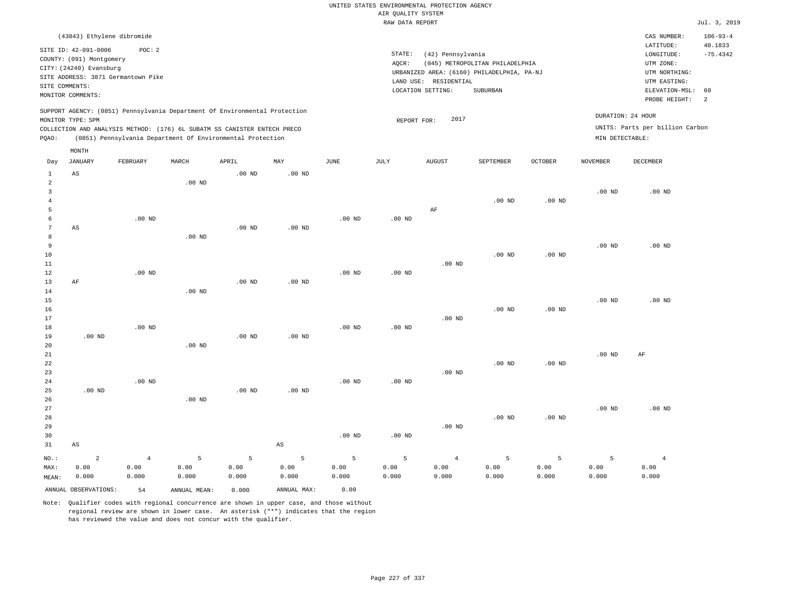|                                                             |                                                                                                  |                                              |                    |                                                                                                                                        |                        |                    | AIR QUALITY SYSTEM<br>RAW DATA REPORT | UNITED STATES ENVIRONMENTAL PROTECTION AGENCY                   |                                                                                           |                    |                    |                                                                                                          | Jul. 3, 2019                     |
|-------------------------------------------------------------|--------------------------------------------------------------------------------------------------|----------------------------------------------|--------------------|----------------------------------------------------------------------------------------------------------------------------------------|------------------------|--------------------|---------------------------------------|-----------------------------------------------------------------|-------------------------------------------------------------------------------------------|--------------------|--------------------|----------------------------------------------------------------------------------------------------------|----------------------------------|
|                                                             | (43843) Ethylene dibromide                                                                       |                                              |                    |                                                                                                                                        |                        |                    |                                       |                                                                 |                                                                                           |                    |                    | CAS NUMBER:                                                                                              | $106 - 93 - 4$                   |
| SITE COMMENTS:                                              | SITE ID: 42-091-0006<br>COUNTY: (091) Montgomery<br>CITY: (24240) Evansburg<br>MONITOR COMMENTS: | POC: 2<br>SITE ADDRESS: 3871 Germantown Pike |                    |                                                                                                                                        |                        |                    | STATE:<br>AQCR:                       | (42) Pennsylvania<br>LAND USE: RESIDENTIAL<br>LOCATION SETTING: | (045) METROPOLITAN PHILADELPHIA<br>URBANIZED AREA: (6160) PHILADELPHIA, PA-NJ<br>SUBURBAN |                    |                    | LATITUDE:<br>LONGITUDE:<br>UTM ZONE:<br>UTM NORTHING:<br>UTM EASTING:<br>ELEVATION-MSL:<br>PROBE HEIGHT: | 40.1833<br>$-75.4342$<br>60<br>2 |
|                                                             |                                                                                                  |                                              |                    | SUPPORT AGENCY: (0851) Pennsylvania Department Of Environmental Protection                                                             |                        |                    |                                       |                                                                 |                                                                                           |                    | DURATION: 24 HOUR  |                                                                                                          |                                  |
| PQAO:                                                       | MONITOR TYPE: SPM                                                                                |                                              |                    | COLLECTION AND ANALYSIS METHOD: (176) 6L SUBATM SS CANISTER ENTECH PRECO<br>(0851) Pennsylvania Department Of Environmental Protection |                        |                    | REPORT FOR:                           | 2017                                                            |                                                                                           |                    | MIN DETECTABLE:    | UNITS: Parts per billion Carbon                                                                          |                                  |
| Day                                                         | MONTH<br><b>JANUARY</b>                                                                          | FEBRUARY                                     | MARCH              | APRIL                                                                                                                                  | MAY                    | $_{\rm JUNE}$      | JULY                                  | ${\tt AUGUST}$                                                  | SEPTEMBER                                                                                 | <b>OCTOBER</b>     | <b>NOVEMBER</b>    | <b>DECEMBER</b>                                                                                          |                                  |
| 1                                                           | AS                                                                                               |                                              |                    | .00 <sub>ND</sub>                                                                                                                      | $.00$ ND               |                    |                                       |                                                                 |                                                                                           |                    |                    |                                                                                                          |                                  |
| $\overline{a}$<br>$\overline{\mathbf{3}}$<br>$\overline{4}$ |                                                                                                  |                                              | $.00$ ND           |                                                                                                                                        |                        |                    |                                       |                                                                 | $.00$ ND                                                                                  | $.00$ ND           | $.00$ ND           | $.00$ ND                                                                                                 |                                  |
| 5<br>6<br>$7\phantom{.0}$                                   | AS                                                                                               | $.00$ ND                                     |                    | .00 <sub>ND</sub>                                                                                                                      | $.00$ ND               | .00 <sub>ND</sub>  | $.00$ ND                              | AF                                                              |                                                                                           |                    |                    |                                                                                                          |                                  |
| 8<br>9<br>$10$<br>$1\,1$                                    |                                                                                                  |                                              | $.00$ ND           |                                                                                                                                        |                        |                    |                                       | $.00$ ND                                                        | $.00$ ND                                                                                  | .00 <sub>ND</sub>  | .00 <sub>ND</sub>  | $.00$ ND                                                                                                 |                                  |
| 12<br>13<br>14                                              | AF                                                                                               | .00 <sub>ND</sub>                            | .00 <sub>ND</sub>  | .00 <sub>ND</sub>                                                                                                                      | .00 <sub>ND</sub>      | $.00$ ND           | $.00$ ND                              |                                                                 |                                                                                           |                    |                    |                                                                                                          |                                  |
| 15<br>16<br>17<br>18                                        |                                                                                                  | $.00$ ND                                     |                    |                                                                                                                                        |                        | .00 <sub>ND</sub>  | .00 <sub>ND</sub>                     | $.00$ ND                                                        | $.00$ ND                                                                                  | $.00$ ND           | .00 <sub>ND</sub>  | $.00$ ND                                                                                                 |                                  |
| 19<br>20<br>21                                              | $.00$ ND                                                                                         |                                              | $.00$ ND           | $.00$ ND                                                                                                                               | $.00$ ND               |                    |                                       |                                                                 |                                                                                           |                    | $.00$ ND           | AF                                                                                                       |                                  |
| 22<br>23<br>24                                              |                                                                                                  | $.00$ ND                                     |                    |                                                                                                                                        |                        | $.00$ ND           | .00 <sub>ND</sub>                     | $.00$ ND                                                        | $.00$ ND                                                                                  | $.00$ ND           |                    |                                                                                                          |                                  |
| 25<br>26<br>27<br>28                                        | .00 <sub>ND</sub>                                                                                |                                              | $.00$ ND           | .00 <sub>ND</sub>                                                                                                                      | .00 <sub>ND</sub>      |                    |                                       |                                                                 | $.00$ ND                                                                                  | $.00$ ND           | .00 <sub>ND</sub>  | $.00$ ND                                                                                                 |                                  |
| 29<br>30<br>31                                              | AS                                                                                               |                                              |                    |                                                                                                                                        | $\mathbb{A}\mathbb{S}$ | $.00$ ND           | $.00$ ND                              | $.00$ ND                                                        |                                                                                           |                    |                    |                                                                                                          |                                  |
| $NO.$ :<br>MAX:<br>MEAN:                                    | $\overline{\mathbf{c}}$<br>0.00<br>0.000                                                         | $\,4$<br>0.00<br>0.000                       | 5<br>0.00<br>0.000 | 5<br>0.00<br>0.000                                                                                                                     | 5<br>0.00<br>0.000     | 5<br>0.00<br>0.000 | 5<br>0.00<br>0.000                    | $\overline{4}$<br>0.00<br>0.000                                 | $\overline{5}$<br>0.00<br>0.000                                                           | 5<br>0.00<br>0.000 | 5<br>0.00<br>0.000 | $\overline{4}$<br>0.00<br>0.000                                                                          |                                  |
|                                                             | ANNUAL OBSERVATIONS:                                                                             | 54                                           | ANNUAL MEAN:       | 0.000                                                                                                                                  | ANNUAL MAX:            | 0.00               |                                       |                                                                 |                                                                                           |                    |                    |                                                                                                          |                                  |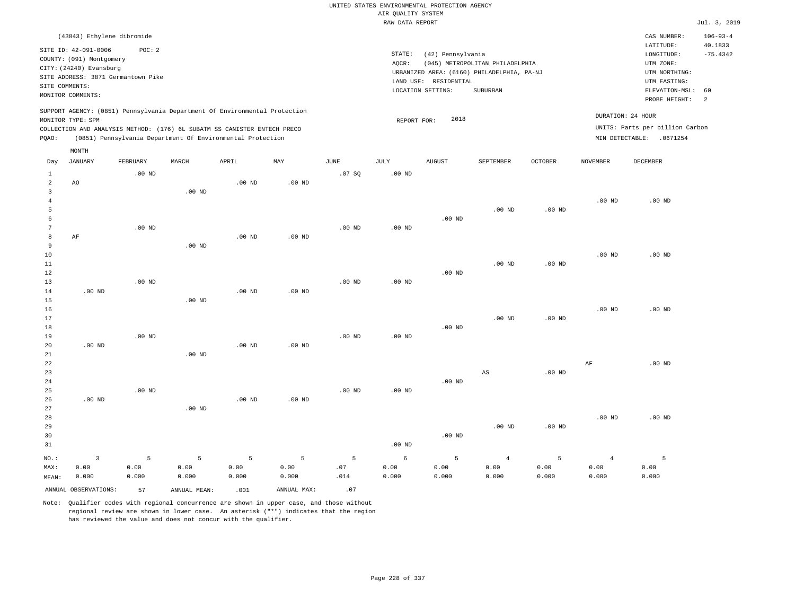|                                                  |                                                                                                                                                                             |                    |                                                            |                    |                    |                  | UNITED STATES ENVIRONMENTAL PROTECTION AGENCY |                       |                                                                               |                    |                                 |                                                                                  |                                         |
|--------------------------------------------------|-----------------------------------------------------------------------------------------------------------------------------------------------------------------------------|--------------------|------------------------------------------------------------|--------------------|--------------------|------------------|-----------------------------------------------|-----------------------|-------------------------------------------------------------------------------|--------------------|---------------------------------|----------------------------------------------------------------------------------|-----------------------------------------|
|                                                  |                                                                                                                                                                             |                    |                                                            |                    |                    |                  | AIR QUALITY SYSTEM                            |                       |                                                                               |                    |                                 |                                                                                  |                                         |
|                                                  |                                                                                                                                                                             |                    |                                                            |                    |                    |                  | RAW DATA REPORT                               |                       |                                                                               |                    |                                 |                                                                                  | Jul. 3, 2019                            |
|                                                  | (43843) Ethylene dibromide<br>SITE ID: 42-091-0006<br>COUNTY: (091) Montgomery<br>CITY: (24240) Evansburg<br>SITE ADDRESS: 3871 Germantown Pike                             | POC: 2             |                                                            |                    |                    |                  | STATE:<br>AQCR:                               | (42) Pennsylvania     | (045) METROPOLITAN PHILADELPHIA<br>URBANIZED AREA: (6160) PHILADELPHIA, PA-NJ |                    |                                 | CAS NUMBER:<br>LATITUDE:<br>LONGITUDE:<br>UTM ZONE:<br>UTM NORTHING:             | $106 - 93 - 4$<br>40.1833<br>$-75.4342$ |
| SITE COMMENTS:                                   |                                                                                                                                                                             |                    |                                                            |                    |                    |                  |                                               | LAND USE: RESIDENTIAL |                                                                               |                    |                                 | UTM EASTING:                                                                     |                                         |
|                                                  | MONITOR COMMENTS:                                                                                                                                                           |                    |                                                            |                    |                    |                  |                                               | LOCATION SETTING:     | <b>SUBURBAN</b>                                                               |                    |                                 | ELEVATION-MSL:<br>PROBE HEIGHT:                                                  | 60<br>2                                 |
| PQAO:                                            | SUPPORT AGENCY: (0851) Pennsylvania Department Of Environmental Protection<br>MONITOR TYPE: SPM<br>COLLECTION AND ANALYSIS METHOD: (176) 6L SUBATM SS CANISTER ENTECH PRECO |                    | (0851) Pennsylvania Department Of Environmental Protection |                    |                    |                  | REPORT FOR:                                   | 2018                  |                                                                               |                    |                                 | DURATION: 24 HOUR<br>UNITS: Parts per billion Carbon<br>MIN DETECTABLE: .0671254 |                                         |
| Day                                              | MONTH<br><b>JANUARY</b>                                                                                                                                                     | FEBRUARY           | MARCH                                                      | APRIL              | MAY                | JUNE             | JULY                                          | <b>AUGUST</b>         | SEPTEMBER                                                                     | OCTOBER            | <b>NOVEMBER</b>                 | <b>DECEMBER</b>                                                                  |                                         |
| $\mathbf{1}$<br>$\overline{a}$                   | AO                                                                                                                                                                          | $.00$ ND           |                                                            | $.00$ ND           | $.00$ ND           | .07S             | $.00$ ND                                      |                       |                                                                               |                    |                                 |                                                                                  |                                         |
| 3<br>$\overline{4}$<br>5<br>6<br>$7\phantom{.0}$ |                                                                                                                                                                             |                    | $.00$ ND                                                   |                    |                    |                  |                                               | $.00$ ND              | $.00$ ND                                                                      | $.00$ ND           | $.00$ ND                        | $.00$ ND                                                                         |                                         |
| 8<br>9<br>$10$                                   | AF                                                                                                                                                                          | $.00$ ND           | $.00$ ND                                                   | $.00$ ND           | $.00$ ND           | $.00$ ND         | .00 <sub>ND</sub>                             |                       |                                                                               |                    | .00 <sub>ND</sub>               | $.00$ ND                                                                         |                                         |
| 11<br>12<br>13<br>14                             | $.00$ ND                                                                                                                                                                    | $.00$ ND           |                                                            | $.00$ ND           | $.00$ ND           | $.00$ ND         | $.00$ ND                                      | $.00$ ND              | $.00$ ND                                                                      | $.00$ ND           |                                 |                                                                                  |                                         |
| 15<br>16<br>17<br>18                             |                                                                                                                                                                             |                    | $.00$ ND                                                   |                    |                    |                  |                                               | $.00$ ND              | .00 <sub>ND</sub>                                                             | .00 <sub>ND</sub>  | .00 <sub>ND</sub>               | $.00$ ND                                                                         |                                         |
| 19<br>20<br>21<br>22                             | $.00$ ND                                                                                                                                                                    | $.00$ ND           | $.00$ ND                                                   | $.00$ ND           | $.00$ ND           | $.00$ ND         | $.00$ ND                                      |                       |                                                                               |                    | AF                              | $.00$ ND                                                                         |                                         |
| 23<br>24<br>25<br>26                             | $.00$ ND                                                                                                                                                                    | $.00$ ND           |                                                            | $.00$ ND           | $.00$ ND           | $.00$ ND         | $.00$ ND                                      | $.00$ ND              | $_{\rm AS}$                                                                   | $.00$ ND           |                                 |                                                                                  |                                         |
| 27<br>28<br>29<br>30<br>31                       |                                                                                                                                                                             |                    | $.00$ ND                                                   |                    |                    |                  | $.00$ ND                                      | $.00$ ND              | $.00$ ND                                                                      | $.00$ ND           | $.00$ ND                        | $.00$ ND                                                                         |                                         |
| NO.:<br>MAX:<br>MEAN:                            | $\overline{3}$<br>0.00<br>0.000                                                                                                                                             | 5<br>0.00<br>0.000 | 5<br>0.00<br>0.000                                         | 5<br>0.00<br>0.000 | 5<br>0.00<br>0.000 | 5<br>.07<br>.014 | 6<br>0.00<br>0.000                            | 5<br>0.00<br>0.000    | $\overline{4}$<br>0.00<br>0.000                                               | 5<br>0.00<br>0.000 | $\overline{4}$<br>0.00<br>0.000 | 5<br>0.00<br>0.000                                                               |                                         |
|                                                  | ANNUAL OBSERVATIONS:                                                                                                                                                        | 57                 | ANNUAL MEAN:                                               | .001               | ANNUAL MAX:        | .07              |                                               |                       |                                                                               |                    |                                 |                                                                                  |                                         |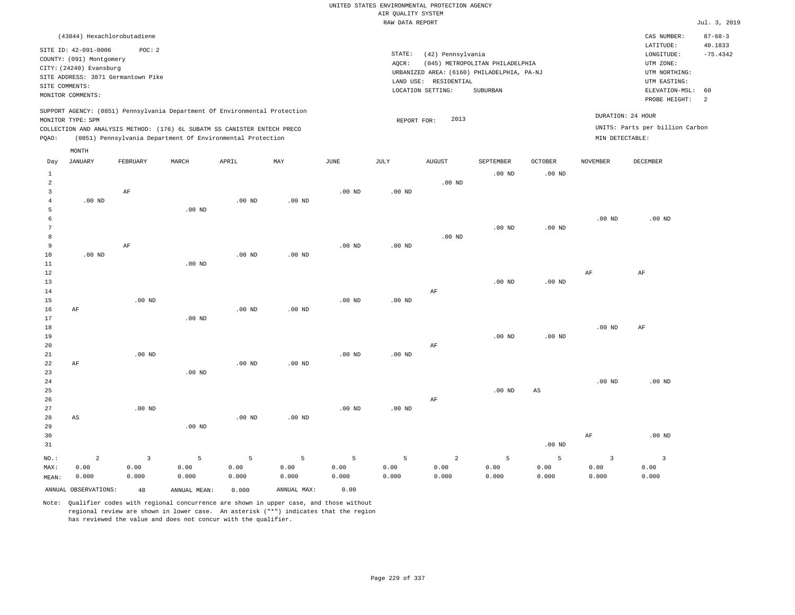|                                                                            | (43844) Hexachlorobutadiene                                |       |       |     |      |        |                          |                                            |                |          | CAS NUMBER:                     | $87 - 68 - 3$ |
|----------------------------------------------------------------------------|------------------------------------------------------------|-------|-------|-----|------|--------|--------------------------|--------------------------------------------|----------------|----------|---------------------------------|---------------|
| SITE ID: 42-091-0006                                                       | POC:2                                                      |       |       |     |      |        |                          |                                            |                |          | LATITUDE:                       | 40.1833       |
|                                                                            |                                                            |       |       |     |      | STATE: | (42) Pennsylvania        |                                            |                |          | LONGITUDE:                      | $-75.4342$    |
| COUNTY: (091) Montgomery                                                   |                                                            |       |       |     |      | AQCR:  |                          | (045) METROPOLITAN PHILADELPHIA            |                |          | UTM ZONE:                       |               |
| CITY: (24240) Evansburg<br>SITE ADDRESS: 3871 Germantown Pike              |                                                            |       |       |     |      |        |                          | URBANIZED AREA: (6160) PHILADELPHIA, PA-NJ |                |          | UTM NORTHING:                   |               |
|                                                                            |                                                            |       |       |     |      |        | LAND USE:<br>RESIDENTIAL |                                            |                |          | UTM EASTING:                    |               |
| SITE COMMENTS:<br>MONITOR COMMENTS:                                        |                                                            |       |       |     |      |        | LOCATION SETTING:        | SUBURBAN                                   |                |          | ELEVATION-MSL: 60               |               |
|                                                                            |                                                            |       |       |     |      |        |                          |                                            |                |          | PROBE HEIGHT:                   | - 2           |
| SUPPORT AGENCY: (0851) Pennsylvania Department Of Environmental Protection |                                                            |       |       |     |      |        |                          |                                            |                |          | DURATION: 24 HOUR               |               |
| MONITOR TYPE: SPM                                                          |                                                            |       |       |     |      |        | 2013<br>REPORT FOR:      |                                            |                |          |                                 |               |
| COLLECTION AND ANALYSIS METHOD: (176) 6L SUBATM SS CANISTER ENTECH PRECO   |                                                            |       |       |     |      |        |                          |                                            |                |          | UNITS: Parts per billion Carbon |               |
| POAO:                                                                      | (0851) Pennsylvania Department Of Environmental Protection |       |       |     |      |        |                          |                                            |                |          | MIN DETECTABLE:                 |               |
| MONTH                                                                      |                                                            |       |       |     |      |        |                          |                                            |                |          |                                 |               |
| JANUARY<br>Day                                                             | FEBRUARY                                                   | MARCH | APRIL | MAY | JUNE | JULY   | <b>AUGUST</b>            | SEPTEMBER                                  | <b>OCTOBER</b> | NOVEMBER | DECEMBER                        |               |
|                                                                            |                                                            |       |       |     |      |        |                          | $.00$ ND                                   | $.00$ ND       |          |                                 |               |
|                                                                            |                                                            |       |       |     |      |        | $.00$ ND                 |                                            |                |          |                                 |               |

| 3           |                        | $\rm AF$       |          |                |          | .00 <sub>ND</sub> | .00 <sub>ND</sub> |                |          |                        |                         |                         |
|-------------|------------------------|----------------|----------|----------------|----------|-------------------|-------------------|----------------|----------|------------------------|-------------------------|-------------------------|
| 4           | .00 $ND$               |                |          | $.00$ ND       | $.00$ ND |                   |                   |                |          |                        |                         |                         |
| 5           |                        |                | $.00$ ND |                |          |                   |                   |                |          |                        |                         |                         |
| 6           |                        |                |          |                |          |                   |                   |                |          |                        | $.00$ ND                | $.00$ ND                |
| 7           |                        |                |          |                |          |                   |                   |                | $.00$ ND | .00 <sub>ND</sub>      |                         |                         |
| 8           |                        |                |          |                |          |                   |                   | .00 $ND$       |          |                        |                         |                         |
| 9           |                        | $\rm AF$       |          |                |          | $.00$ ND          | $.00$ ND          |                |          |                        |                         |                         |
| 10          | $.00$ ND               |                |          | $.00$ ND       | $.00$ ND |                   |                   |                |          |                        |                         |                         |
| 11          |                        |                | $.00$ ND |                |          |                   |                   |                |          |                        |                         |                         |
| 12          |                        |                |          |                |          |                   |                   |                |          |                        | $\rm{AF}$               | $\rm{AF}$               |
| 13          |                        |                |          |                |          |                   |                   |                | $.00$ ND | .00 <sub>ND</sub>      |                         |                         |
| 14          |                        |                |          |                |          |                   |                   | $\rm AF$       |          |                        |                         |                         |
| 15          |                        | .00 $ND$       |          |                |          | .00 <sub>ND</sub> | $.00$ ND          |                |          |                        |                         |                         |
| 16          | $\rm AF$               |                |          | $.00{\rm ~ND}$ | $.00$ ND |                   |                   |                |          |                        |                         |                         |
| 17          |                        |                | .00 $ND$ |                |          |                   |                   |                |          |                        |                         |                         |
| 18          |                        |                |          |                |          |                   |                   |                |          |                        | $.00$ ND                | AF                      |
| 19          |                        |                |          |                |          |                   |                   |                | $.00$ ND | .00 <sub>ND</sub>      |                         |                         |
| 20          |                        |                |          |                |          |                   |                   | $\rm AF$       |          |                        |                         |                         |
| 21          |                        | $.00$ ND       |          |                |          | $.00$ ND          | $.00$ ND          |                |          |                        |                         |                         |
| 22          | $\rm AF$               |                |          | $.00$ ND       | $.00$ ND |                   |                   |                |          |                        |                         |                         |
| 23          |                        |                | $.00$ ND |                |          |                   |                   |                |          |                        |                         |                         |
| $2\sqrt{4}$ |                        |                |          |                |          |                   |                   |                |          |                        | .00 $ND$                | $.00$ ND                |
| 25          |                        |                |          |                |          |                   |                   |                | $.00$ ND | $\mathbb{A}\mathbb{S}$ |                         |                         |
| 26          |                        |                |          |                |          |                   |                   | $\rm AF$       |          |                        |                         |                         |
| 27          |                        | $.00$ ND       |          |                |          | $.00$ ND          | $.00$ ND          |                |          |                        |                         |                         |
| 28          | $\mathbb{A}\mathbb{S}$ |                |          | .00 $ND$       | .00 $ND$ |                   |                   |                |          |                        |                         |                         |
| 29          |                        |                | $.00$ ND |                |          |                   |                   |                |          |                        |                         |                         |
| 30          |                        |                |          |                |          |                   |                   |                |          |                        | $\rm{AF}$               | $.00$ ND                |
| 31          |                        |                |          |                |          |                   |                   |                |          | $.00$ ND               |                         |                         |
| $NO.$ :     | $\overline{a}$         | $\overline{3}$ | 5        | 5              | 5        | 5                 | 5                 | $\overline{a}$ | 5        | 5                      | $\overline{\mathbf{3}}$ | $\overline{\mathbf{3}}$ |
| MAX:        | 0.00                   | 0.00           | 0.00     | 0.00           | 0.00     | 0.00              | 0.00              | 0.00           | 0.00     | 0.00                   | 0.00                    | 0.00                    |
| MEAN:       | 0.000                  | 0.000          | 0.000    | 0.000          | 0.000    | 0.000             | 0.000             | 0.000          | 0.000    | 0.000                  | 0.000                   | 0.000                   |

Note: Qualifier codes with regional concurrence are shown in upper case, and those without regional review are shown in lower case. An asterisk ("\*") indicates that the region has reviewed the value and does not concur with the qualifier.

ANNUAL OBSERVATIONS: 48 ANNUAL MEAN: 0.000 ANNUAL MAX: 0.00

MEAN: 0.000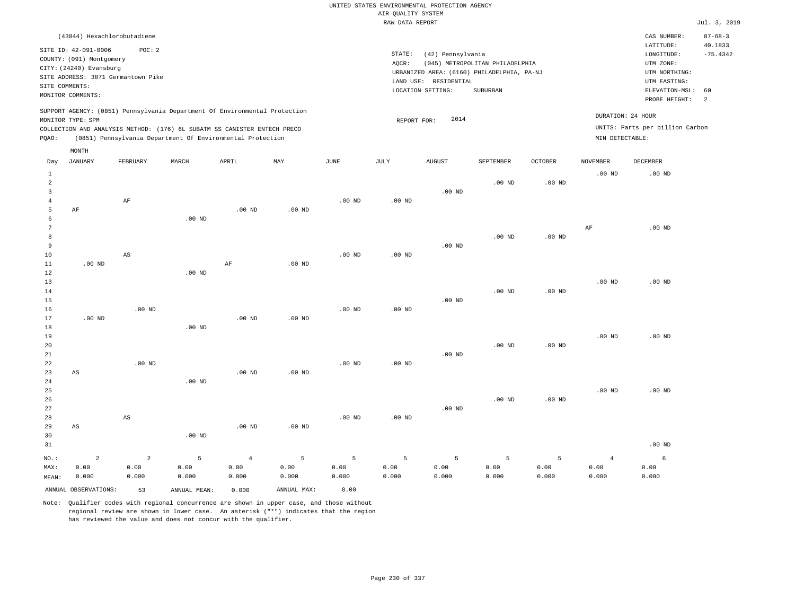| (43844) Hexachlorobutadiene                                                                                                                                                                                                                                 |                                                                                                                                                                                 | CAS NUMBER:                                                                                                 | $87 - 68 - 3$         |
|-------------------------------------------------------------------------------------------------------------------------------------------------------------------------------------------------------------------------------------------------------------|---------------------------------------------------------------------------------------------------------------------------------------------------------------------------------|-------------------------------------------------------------------------------------------------------------|-----------------------|
| SITE ID: 42-091-0006<br>POC: 2<br>COUNTY: (091) Montgomery<br>CITY: (24240) Evansburg<br>SITE ADDRESS: 3871 Germantown Pike<br>SITE COMMENTS:<br>MONITOR COMMENTS:                                                                                          | STATE:<br>(42) Pennsylvania<br>(045) METROPOLITAN PHILADELPHIA<br>AOCR:<br>URBANIZED AREA: (6160) PHILADELPHIA, PA-NJ<br>LAND USE: RESIDENTIAL<br>LOCATION SETTING:<br>SUBURBAN | LATITUDE:<br>LONGITUDE:<br>UTM ZONE:<br>UTM NORTHING:<br>UTM EASTING:<br>ELEVATION-MSL: 60<br>PROBE HEIGHT: | 40.1833<br>$-75.4342$ |
| SUPPORT AGENCY: (0851) Pennsylvania Department Of Environmental Protection<br>MONITOR TYPE: SPM<br>COLLECTION AND ANALYSIS METHOD: (176) 6L SUBATM SS CANISTER ENTECH PRECO<br>(0851) Pennsylvania Department Of Environmental Protection<br>POAO:<br>MONTH | DURATION: 24 HOUR<br>2014<br>REPORT FOR:<br>MIN DETECTABLE:                                                                                                                     | UNITS: Parts per billion Carbon                                                                             |                       |

| Day                            | JANUARY                | FEBRUARY               | $\tt MARCH$       | APRIL          | MAY         | $_{\rm JUNE}$ | $\mathtt{JULY}$ | AUGUST   | SEPTEMBER   | $\mathtt{OCTOBER}$ | $\,$ NOVEMBER  | DECEMBER |
|--------------------------------|------------------------|------------------------|-------------------|----------------|-------------|---------------|-----------------|----------|-------------|--------------------|----------------|----------|
| $\mathbf{1}$<br>$\overline{a}$ |                        |                        |                   |                |             |               |                 |          | $.00$ ND    | $.00$ ND           | $.00$ ND       | $.00$ ND |
| 3                              |                        |                        |                   |                |             |               |                 | $.00$ ND |             |                    |                |          |
| $\overline{4}$                 |                        | $\rm AF$               |                   |                |             | $.00$ ND      | $.00$ ND        |          |             |                    |                |          |
| 5                              | $\rm AF$               |                        |                   | $.00$ ND       | $.00$ ND    |               |                 |          |             |                    |                |          |
| 6                              |                        |                        | .00 <sub>ND</sub> |                |             |               |                 |          |             |                    |                |          |
| 7                              |                        |                        |                   |                |             |               |                 |          |             |                    | $\rm{AF}$      | $.00$ ND |
| 8                              |                        |                        |                   |                |             |               |                 |          | $.00$ ND    | $.00$ ND           |                |          |
| 9                              |                        |                        |                   |                |             |               |                 | $.00$ ND |             |                    |                |          |
| 10                             |                        | AS                     |                   |                |             | $.00$ ND      | $.00$ ND        |          |             |                    |                |          |
| $11\,$                         | $.00$ ND               |                        |                   | $\rm AF$       | $.00$ ND    |               |                 |          |             |                    |                |          |
| $1\,2$                         |                        |                        | .00 <sub>ND</sub> |                |             |               |                 |          |             |                    |                |          |
| 13<br>$14\,$                   |                        |                        |                   |                |             |               |                 |          | $.00$ ND    |                    | $.00$ ND       | $.00$ ND |
| 15                             |                        |                        |                   |                |             |               |                 | $.00$ ND |             | $.00$ ND           |                |          |
| 16                             |                        | $.00$ ND               |                   |                |             | $.00$ ND      | $.00$ ND        |          |             |                    |                |          |
| 17                             | $.00$ ND               |                        |                   | $.00$ ND       | $.00$ ND    |               |                 |          |             |                    |                |          |
| 18                             |                        |                        | .00 <sub>ND</sub> |                |             |               |                 |          |             |                    |                |          |
| 19                             |                        |                        |                   |                |             |               |                 |          |             |                    | $.00$ ND       | $.00$ ND |
| 20                             |                        |                        |                   |                |             |               |                 |          | $.00$ ND    | $.00$ ND           |                |          |
| 21                             |                        |                        |                   |                |             |               |                 | $.00$ ND |             |                    |                |          |
| $2\sqrt{2}$                    |                        | $.00$ ND               |                   |                |             | $.00$ ND      | $.00$ ND        |          |             |                    |                |          |
| 23                             | AS                     |                        |                   | $.00$ ND       | $.00$ ND    |               |                 |          |             |                    |                |          |
| 24                             |                        |                        | .00 <sub>ND</sub> |                |             |               |                 |          |             |                    |                |          |
| 25                             |                        |                        |                   |                |             |               |                 |          |             |                    | $.00$ ND       | $.00$ ND |
| $26\,$                         |                        |                        |                   |                |             |               |                 |          | $.00$ ND    | $.00$ ND           |                |          |
| 27                             |                        |                        |                   |                |             |               |                 | $.00$ ND |             |                    |                |          |
| 28<br>29                       | $\mathbb{A}\mathbb{S}$ | $\mathbb{A}\mathbb{S}$ |                   | $.00$ ND       | $.00$ ND    | $.00$ ND      | $.00$ ND        |          |             |                    |                |          |
| 30                             |                        |                        | .00 <sub>ND</sub> |                |             |               |                 |          |             |                    |                |          |
| 31                             |                        |                        |                   |                |             |               |                 |          |             |                    |                | $.00$ ND |
|                                |                        |                        |                   |                |             |               |                 |          |             |                    |                |          |
| $NO.$ :                        | $\sqrt{2}$             | $\overline{a}$         | 5                 | $\overline{4}$ | $\mathsf S$ | $\mathsf S$   | 5               | 5        | $\mathsf S$ | 5                  | $\overline{4}$ | 6        |
| MAX:                           | 0.00                   | 0.00                   | 0.00              | 0.00           | 0.00        | 0.00          | 0.00            | 0.00     | 0.00        | 0.00               | 0.00           | 0.00     |
| MEAN:                          | 0.000                  | 0.000                  | 0.000             | 0.000          | 0.000       | 0.000         | 0.000           | 0.000    | 0.000       | 0.000              | 0.000          | 0.000    |
|                                | ANNUAL OBSERVATIONS:   | 53                     | ANNUAL MEAN:      | 0.000          | ANNUAL MAX: | 0.00          |                 |          |             |                    |                |          |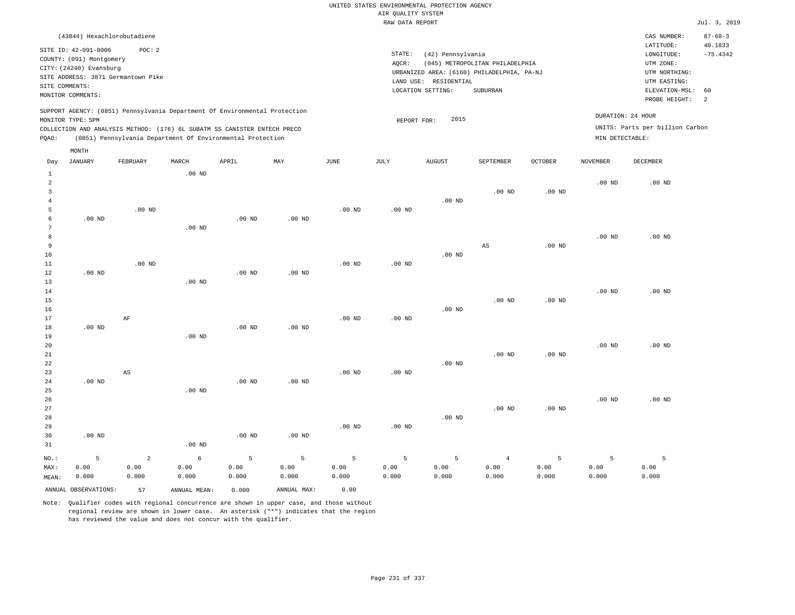| (43844) Hexachlorobutadiene                                                                                                                                                          |                                                            |                   |       |     |      |                              |                                                                                                     |                                             |                 |                                                      | CAS NUMBER:                                                                                                 | $87 - 68 - 3$               |
|--------------------------------------------------------------------------------------------------------------------------------------------------------------------------------------|------------------------------------------------------------|-------------------|-------|-----|------|------------------------------|-----------------------------------------------------------------------------------------------------|---------------------------------------------|-----------------|------------------------------------------------------|-------------------------------------------------------------------------------------------------------------|-----------------------------|
| SITE ID: 42-091-0006<br>COUNTY: (091) Montgomery<br>CITY: (24240) Evansburg<br>SITE ADDRESS: 3871 Germantown Pike<br>SITE COMMENTS:<br>MONITOR COMMENTS:                             | POC:2                                                      |                   |       |     |      | STATE:<br>AOCR:<br>LAND USE: | (42) Pennsylvania<br>URBANIZED AREA: (6160) PHILADELPHIA, PA-NJ<br>RESIDENTIAL<br>LOCATION SETTING: | (045) METROPOLITAN PHILADELPHIA<br>SUBURBAN |                 |                                                      | LATITUDE:<br>LONGITUDE:<br>UTM ZONE:<br>UTM NORTHING:<br>UTM EASTING:<br>ELEVATION-MSL: 60<br>PROBE HEIGHT: | 40.1833<br>$-75.4342$<br>-2 |
| SUPPORT AGENCY: (0851) Pennsylvania Department Of Environmental Protection<br>MONITOR TYPE: SPM<br>COLLECTION AND ANALYSIS METHOD: (176) 6L SUBATM SS CANISTER ENTECH PRECO<br>POAO: | (0851) Pennsylvania Department Of Environmental Protection |                   |       |     |      | 2015<br>REPORT FOR:          |                                                                                                     |                                             | MIN DETECTABLE: | DURATION: 24 HOUR<br>UNITS: Parts per billion Carbon |                                                                                                             |                             |
| MONTH<br>JANUARY<br>Day                                                                                                                                                              | FEBRUARY                                                   | MARCH<br>$.00$ ND | APRIL | MAY | JUNE | JULY                         | <b>AUGUST</b>                                                                                       | SEPTEMBER                                   | <b>OCTOBER</b>  | NOVEMBER                                             | DECEMBER                                                                                                    |                             |

|                     | ANNUAL OBSERVATIONS: | 57             | ANNUAL MEAN:                            | 0.000             | ANNUAL MAX:   | 0.00              |                   |               |                        |               |               |                   |
|---------------------|----------------------|----------------|-----------------------------------------|-------------------|---------------|-------------------|-------------------|---------------|------------------------|---------------|---------------|-------------------|
| MAX:<br>MEAN:       | 0.00<br>0.000        | 0.00<br>0.000  | 0.00<br>0.000                           | 0.00<br>0.000     | 0.00<br>0.000 | 0.00<br>0.000     | 0.00<br>0.000     | 0.00<br>0.000 | 0.00<br>0.000          | 0.00<br>0.000 | 0.00<br>0.000 | 0.00<br>0.000     |
| $NO.$ :             | 5                    | $\overline{a}$ | $\epsilon$                              | 5                 | 5             | 5                 | 5                 | 5             | $\overline{4}$         | 5             | 5             | 5                 |
| 31                  |                      |                | $.00$ ND                                |                   |               |                   |                   |               |                        |               |               |                   |
| 30                  | $.00$ ND             |                |                                         | $.00$ ND          | .00 $ND$      |                   |                   |               |                        |               |               |                   |
| 29                  |                      |                |                                         |                   |               | .00 <sub>ND</sub> | .00 <sub>ND</sub> |               |                        |               |               |                   |
| 28                  |                      |                |                                         |                   |               |                   |                   | $.00$ ND      |                        |               |               |                   |
| 27                  |                      |                |                                         |                   |               |                   |                   |               | $.00$ ND               | $.00$ ND      |               |                   |
| 26                  |                      |                |                                         |                   |               |                   |                   |               |                        |               | $.00$ ND      | .00 <sub>ND</sub> |
| 25                  |                      |                | $.00$ ND                                |                   |               |                   |                   |               |                        |               |               |                   |
| 24                  | $.00$ ND             |                |                                         | .00 <sub>ND</sub> | $.00$ ND      |                   |                   |               |                        |               |               |                   |
| 23                  |                      | $_{\rm AS}$    |                                         |                   |               | $.00$ ND          | .00 <sub>ND</sub> |               |                        |               |               |                   |
| 22                  |                      |                |                                         |                   |               |                   |                   | $.00$ ND      |                        |               |               |                   |
| 21                  |                      |                |                                         |                   |               |                   |                   |               | $.00$ ND               | $.00$ ND      |               |                   |
| 20                  |                      |                |                                         |                   |               |                   |                   |               |                        |               | $.00$ ND      | $.00$ ND          |
| 19                  |                      |                | $.00$ ND                                |                   |               |                   |                   |               |                        |               |               |                   |
| 18                  | .00 $ND$             |                |                                         | $.00$ ND          | $.00$ ND      |                   |                   |               |                        |               |               |                   |
| 17                  |                      | $\rm{AF}$      |                                         |                   |               | .00 <sub>ND</sub> | $.00$ ND          |               |                        |               |               |                   |
| 16                  |                      |                |                                         |                   |               |                   |                   | .00 $ND$      |                        |               |               |                   |
| 15                  |                      |                |                                         |                   |               |                   |                   |               | $.00$ ND               | $.00$ ND      |               |                   |
| $14$                |                      |                |                                         |                   |               |                   |                   |               |                        |               | $.00$ ND      | $.00$ ND          |
| 13                  |                      |                | $.00$ ND                                |                   |               |                   |                   |               |                        |               |               |                   |
| 12                  | $.00$ ND             |                |                                         | $.00$ ND          | $.00$ ND      |                   |                   |               |                        |               |               |                   |
| $11\,$              |                      | $.00$ ND       |                                         |                   |               | $.00$ ND          | $.00$ ND          |               |                        |               |               |                   |
| 10                  |                      |                |                                         |                   |               |                   |                   | $.00$ ND      |                        |               |               |                   |
| 9                   |                      |                |                                         |                   |               |                   |                   |               | $\mathbb{A}\mathbb{S}$ | $.00$ ND      |               |                   |
| 8                   |                      |                |                                         |                   |               |                   |                   |               |                        |               | $.00$ ND      | $.00$ ND          |
| 7                   |                      |                | $.00$ ND                                |                   |               |                   |                   |               |                        |               |               |                   |
| 6                   | $.00$ ND             |                |                                         | .00 <sub>ND</sub> | $.00$ ND      |                   |                   |               |                        |               |               |                   |
| $\overline{4}$<br>5 |                      | $.00$ ND       |                                         |                   |               | $.00$ ND          | .00 <sub>ND</sub> | $.00$ ND      |                        |               |               |                   |
| 3                   |                      |                |                                         |                   |               |                   |                   |               | $.00$ ND               | $.00$ ND      |               |                   |
| $\overline{a}$      |                      |                |                                         |                   |               |                   |                   |               |                        |               | $.00$ ND      | $.00$ ND          |
|                     |                      |                | $\cdot$ $\cdot$ $\cdot$ $\cdot$ $\cdot$ |                   |               |                   |                   |               |                        |               |               |                   |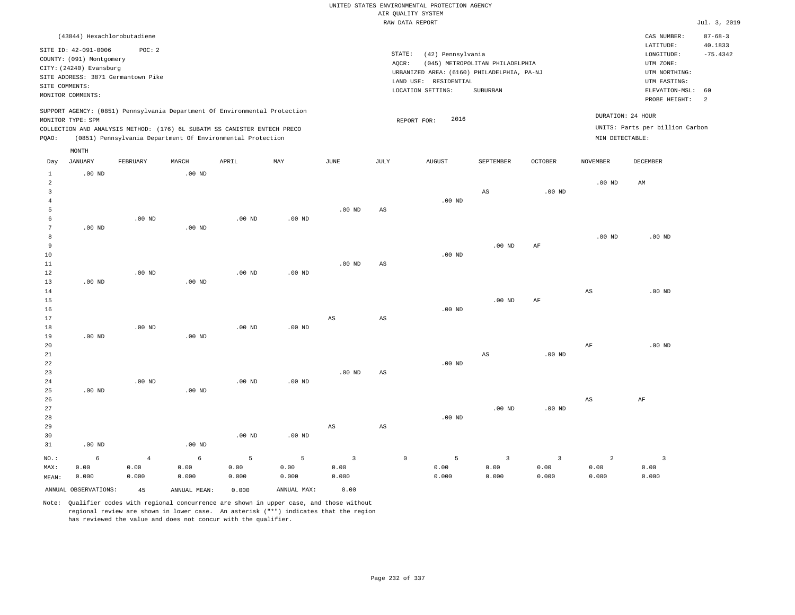|                                  |                                                     |                                    |                            |                                                                                                                                        |                   |                        |                        | UNITED STATES ENVIRONMENTAL PROTECTION AGENCY                   |                                 |                |                   |                                        |                                        |
|----------------------------------|-----------------------------------------------------|------------------------------------|----------------------------|----------------------------------------------------------------------------------------------------------------------------------------|-------------------|------------------------|------------------------|-----------------------------------------------------------------|---------------------------------|----------------|-------------------|----------------------------------------|----------------------------------------|
|                                  |                                                     |                                    |                            |                                                                                                                                        |                   |                        |                        | AIR QUALITY SYSTEM                                              |                                 |                |                   |                                        |                                        |
|                                  |                                                     |                                    |                            |                                                                                                                                        |                   |                        |                        | RAW DATA REPORT                                                 |                                 |                |                   |                                        | Jul. 3, 2019                           |
|                                  | (43844) Hexachlorobutadiene<br>SITE ID: 42-091-0006 | POC: 2                             |                            |                                                                                                                                        |                   |                        | STATE:                 |                                                                 |                                 |                |                   | CAS NUMBER:<br>LATITUDE:<br>LONGITUDE: | $87 - 68 - 3$<br>40.1833<br>$-75.4342$ |
|                                  | COUNTY: (091) Montgomery<br>CITY: (24240) Evansburg |                                    |                            |                                                                                                                                        |                   |                        | AOCR:                  | (42) Pennsylvania<br>URBANIZED AREA: (6160) PHILADELPHIA, PA-NJ | (045) METROPOLITAN PHILADELPHIA |                |                   | UTM ZONE:<br>UTM NORTHING:             |                                        |
|                                  | SITE COMMENTS:<br>MONITOR COMMENTS:                 | SITE ADDRESS: 3871 Germantown Pike |                            |                                                                                                                                        |                   |                        |                        | LAND USE: RESIDENTIAL<br>LOCATION SETTING:                      | SUBURBAN                        |                |                   | UTM EASTING:<br>ELEVATION-MSL:         | 60                                     |
|                                  |                                                     |                                    |                            | SUPPORT AGENCY: (0851) Pennsylvania Department Of Environmental Protection                                                             |                   |                        |                        | 2016                                                            |                                 |                |                   | PROBE HEIGHT:<br>DURATION: 24 HOUR     | 2                                      |
|                                  | MONITOR TYPE: SPM                                   |                                    |                            |                                                                                                                                        |                   |                        |                        | REPORT FOR:                                                     |                                 |                |                   | UNITS: Parts per billion Carbon        |                                        |
|                                  |                                                     |                                    |                            | COLLECTION AND ANALYSIS METHOD: (176) 6L SUBATM SS CANISTER ENTECH PRECO<br>(0851) Pennsylvania Department Of Environmental Protection |                   |                        |                        |                                                                 |                                 |                | MIN DETECTABLE:   |                                        |                                        |
| PQAO:                            |                                                     |                                    |                            |                                                                                                                                        |                   |                        |                        |                                                                 |                                 |                |                   |                                        |                                        |
|                                  | MONTH                                               |                                    |                            |                                                                                                                                        |                   |                        |                        |                                                                 |                                 |                |                   |                                        |                                        |
| Day<br>$\mathbf{1}$              | <b>JANUARY</b><br>$.00$ ND                          | FEBRUARY                           | MARCH<br>.00 <sub>ND</sub> | APRIL                                                                                                                                  | MAY               | <b>JUNE</b>            | <b>JULY</b>            | <b>AUGUST</b>                                                   | SEPTEMBER                       | <b>OCTOBER</b> | <b>NOVEMBER</b>   | <b>DECEMBER</b>                        |                                        |
| $\overline{a}$<br>$\overline{3}$ |                                                     |                                    |                            |                                                                                                                                        |                   |                        |                        |                                                                 | AS                              | $.00$ ND       | $.00$ ND          | AM                                     |                                        |
| $\overline{4}$<br>5<br>6         |                                                     | $.00$ ND                           |                            | $.00$ ND                                                                                                                               | $.00$ ND          | .00 <sub>ND</sub>      | AS                     | $.00$ ND                                                        |                                 |                |                   |                                        |                                        |
| 7<br>8<br>9                      | $.00$ ND                                            |                                    | $.00$ ND                   |                                                                                                                                        |                   |                        |                        |                                                                 | $.00$ ND                        | AF             | .00 <sub>ND</sub> | $.00$ ND                               |                                        |
| 10<br>11                         |                                                     |                                    |                            |                                                                                                                                        |                   | .00 <sub>ND</sub>      | $_{\rm AS}$            | $.00$ ND                                                        |                                 |                |                   |                                        |                                        |
| 12<br>13<br>14                   | $.00$ ND                                            | $.00$ ND                           | $.00$ ND                   | $.00$ ND                                                                                                                               | $.00$ ND          |                        |                        |                                                                 |                                 |                | $_{\rm AS}$       | $.00$ ND                               |                                        |
| 15<br>16<br>17                   |                                                     |                                    |                            |                                                                                                                                        |                   | $\mathbb{A}\mathbb{S}$ | $\mathbb{A}\mathbb{S}$ | $.00$ ND                                                        | $.00$ ND                        | AF             |                   |                                        |                                        |
| 18<br>19<br>20                   | $.00$ ND                                            | $.00$ ND                           | $.00$ ND                   | $.00$ ND                                                                                                                               | .00 <sub>ND</sub> |                        |                        |                                                                 |                                 |                | AF                | $.00$ ND                               |                                        |
| 21<br>22<br>23                   |                                                     |                                    |                            |                                                                                                                                        |                   | $.00$ ND               | $\mathbb{A}\mathbb{S}$ | $.00$ ND                                                        | $\mathbb{A}\mathbb{S}$          | $.00$ ND       |                   |                                        |                                        |
| 24<br>25<br>26                   | .00 <sub>ND</sub>                                   | $.00$ ND                           | $.00$ ND                   | $.00$ ND                                                                                                                               | $.00$ ND          |                        |                        |                                                                 |                                 |                | AS                | AF                                     |                                        |
| 27<br>28<br>29                   |                                                     |                                    |                            |                                                                                                                                        |                   | $\mathbb{A}\mathbb{S}$ | AS                     | $.00$ ND                                                        | $.00$ ND                        | $.00$ ND       |                   |                                        |                                        |
| 30                               |                                                     |                                    |                            | .00 <sub>ND</sub>                                                                                                                      | $.00$ ND          |                        |                        |                                                                 |                                 |                |                   |                                        |                                        |

31 .00 ND NO.: MAX: MEAN: 6 0.00 0.000 .00 ND 4 0.00 0.000 6 0.00 0.000 5 0.00 0.000 5 0.00 0.000 3 0.00 0.000 0 5 0.00 0.000 3 0.00 0.000 3 0.00 0.000 2 0.00 0.000 3 0.00 0.000 ANNUAL OBSERVATIONS: 45 ANNUAL MEAN: 0.000 ANNUAL MAX: 0.00

Note: Qualifier codes with regional concurrence are shown in upper case, and those without regional review are shown in lower case. An asterisk ("\*") indicates that the region has reviewed the value and does not concur with the qualifier.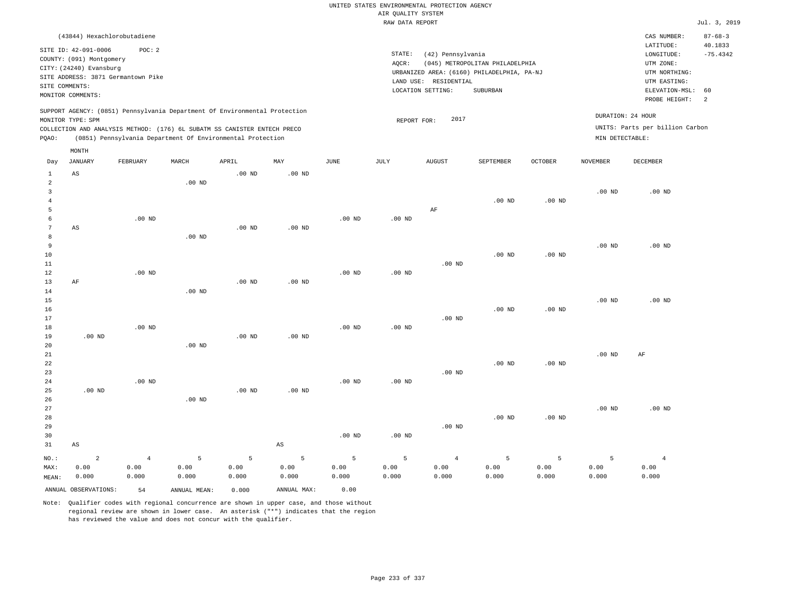|                                       |                                                                                                                                                                       |                        |                    |                                                                                                                                        |                        |                    | AIR QUALITY SYSTEM<br>RAW DATA REPORT | UNITED STATES ENVIRONMENTAL PROTECTION AGENCY                   |                                                                                           |                    |                                      |                                                                                                                         | Jul. 3, 2019                                      |
|---------------------------------------|-----------------------------------------------------------------------------------------------------------------------------------------------------------------------|------------------------|--------------------|----------------------------------------------------------------------------------------------------------------------------------------|------------------------|--------------------|---------------------------------------|-----------------------------------------------------------------|-------------------------------------------------------------------------------------------|--------------------|--------------------------------------|-------------------------------------------------------------------------------------------------------------------------|---------------------------------------------------|
|                                       |                                                                                                                                                                       |                        |                    |                                                                                                                                        |                        |                    |                                       |                                                                 |                                                                                           |                    |                                      |                                                                                                                         |                                                   |
| SITE COMMENTS:                        | (43844) Hexachlorobutadiene<br>SITE ID: 42-091-0006<br>COUNTY: (091) Montgomery<br>CITY: (24240) Evansburg<br>SITE ADDRESS: 3871 Germantown Pike<br>MONITOR COMMENTS: | POC: 2                 |                    |                                                                                                                                        |                        |                    | STATE:<br>AOCR:                       | (42) Pennsylvania<br>LAND USE: RESIDENTIAL<br>LOCATION SETTING: | (045) METROPOLITAN PHILADELPHIA<br>URBANIZED AREA: (6160) PHILADELPHIA, PA-NJ<br>SUBURBAN |                    |                                      | CAS NUMBER:<br>LATITUDE:<br>LONGITUDE:<br>UTM ZONE:<br>UTM NORTHING:<br>UTM EASTING:<br>ELEVATION-MSL:<br>PROBE HEIGHT: | $87 - 68 - 3$<br>40.1833<br>$-75.4342$<br>60<br>2 |
|                                       |                                                                                                                                                                       |                        |                    | SUPPORT AGENCY: (0851) Pennsylvania Department Of Environmental Protection                                                             |                        |                    |                                       |                                                                 |                                                                                           |                    |                                      |                                                                                                                         |                                                   |
| PQAO:                                 | MONITOR TYPE: SPM                                                                                                                                                     |                        |                    | COLLECTION AND ANALYSIS METHOD: (176) 6L SUBATM SS CANISTER ENTECH PRECO<br>(0851) Pennsylvania Department Of Environmental Protection |                        |                    | REPORT FOR:                           | 2017                                                            |                                                                                           |                    | DURATION: 24 HOUR<br>MIN DETECTABLE: | UNITS: Parts per billion Carbon                                                                                         |                                                   |
| Day                                   | MONTH<br><b>JANUARY</b>                                                                                                                                               | FEBRUARY               | MARCH              | APRIL                                                                                                                                  | MAY                    | JUNE               | JULY                                  | AUGUST                                                          | SEPTEMBER                                                                                 | <b>OCTOBER</b>     | NOVEMBER                             | DECEMBER                                                                                                                |                                                   |
| 1<br>$\overline{a}$                   | $_{\rm AS}$                                                                                                                                                           |                        | $.00$ ND           | .00 <sub>ND</sub>                                                                                                                      | .00 <sub>ND</sub>      |                    |                                       |                                                                 |                                                                                           |                    |                                      |                                                                                                                         |                                                   |
| $\overline{3}$<br>$\overline{4}$<br>5 |                                                                                                                                                                       |                        |                    |                                                                                                                                        |                        |                    |                                       | AF                                                              | $.00$ ND                                                                                  | .00 <sub>ND</sub>  | .00 <sub>ND</sub>                    | $.00$ ND                                                                                                                |                                                   |
| 6<br>$7\phantom{.0}$<br>8             | AS                                                                                                                                                                    | $.00$ ND               | $.00$ ND           | $.00$ ND                                                                                                                               | $.00$ ND               | $.00~\mathrm{ND}$  | $.00$ ND                              |                                                                 |                                                                                           |                    |                                      |                                                                                                                         |                                                   |
| 9<br>10<br>11                         |                                                                                                                                                                       |                        |                    |                                                                                                                                        |                        |                    |                                       | $.00$ ND                                                        | $.00$ ND                                                                                  | $.00$ ND           | .00 <sub>ND</sub>                    | .00 <sub>ND</sub>                                                                                                       |                                                   |
| 12<br>13<br>14<br>15                  | AF                                                                                                                                                                    | $.00$ ND               | $.00$ ND           | .00 <sub>ND</sub>                                                                                                                      | .00 <sub>ND</sub>      | $.00$ ND           | $.00$ ND                              |                                                                 |                                                                                           |                    | .00 <sub>ND</sub>                    | $.00$ ND                                                                                                                |                                                   |
| 16<br>17<br>18                        |                                                                                                                                                                       | $.00$ ND               |                    |                                                                                                                                        |                        | $.00$ ND           | .00 <sub>ND</sub>                     | $.00$ ND                                                        | $.00$ ND                                                                                  | $.00$ ND           |                                      |                                                                                                                         |                                                   |
| 19<br>20<br>21<br>22                  | $.00$ ND                                                                                                                                                              |                        | $.00$ ND           | .00 <sub>ND</sub>                                                                                                                      | $.00$ ND               |                    |                                       |                                                                 | $.00$ ND                                                                                  | $.00$ ND           | .00 <sub>ND</sub>                    | AF                                                                                                                      |                                                   |
| 23<br>24<br>25<br>26                  | $.00$ ND                                                                                                                                                              | $.00$ ND               | $.00$ ND           | .00 <sub>ND</sub>                                                                                                                      | .00 <sub>ND</sub>      | $.00$ ND           | .00 <sub>ND</sub>                     | $.00$ ND                                                        |                                                                                           |                    |                                      |                                                                                                                         |                                                   |
| 27<br>28<br>29                        |                                                                                                                                                                       |                        |                    |                                                                                                                                        |                        |                    |                                       | $.00$ ND                                                        | $.00$ ND                                                                                  | $.00$ ND           | .00 <sub>ND</sub>                    | $.00$ ND                                                                                                                |                                                   |
| 30<br>31                              | AS                                                                                                                                                                    |                        |                    |                                                                                                                                        | $\mathbb{A}\mathbb{S}$ | $.00$ ND           | $.00$ ND                              |                                                                 |                                                                                           |                    |                                      |                                                                                                                         |                                                   |
| NO.:<br>MAX:<br>MEAN:                 | $\sqrt{2}$<br>0.00<br>0.000                                                                                                                                           | $\,4$<br>0.00<br>0.000 | 5<br>0.00<br>0.000 | 5<br>0.00<br>0.000                                                                                                                     | 5<br>0.00<br>0.000     | 5<br>0.00<br>0.000 | 5<br>0.00<br>0.000                    | $\overline{4}$<br>0.00<br>0.000                                 | $\overline{5}$<br>0.00<br>0.000                                                           | 5<br>0.00<br>0.000 | 5<br>0.00<br>0.000                   | $\overline{4}$<br>0.00<br>0.000                                                                                         |                                                   |
|                                       | ANNUAL OBSERVATIONS:                                                                                                                                                  | 54                     | ANNUAL MEAN:       | 0.000                                                                                                                                  | ANNUAL MAX:            | 0.00               |                                       |                                                                 |                                                                                           |                    |                                      |                                                                                                                         |                                                   |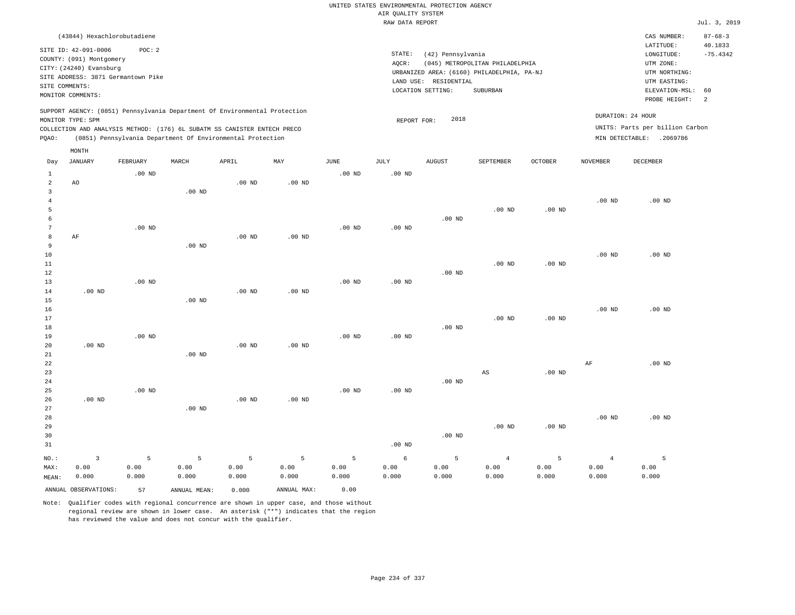|                     |                                                                                               |                   |                   |                                                            |                   |                   | UNITED STATES ENVIRONMENTAL PROTECTION AGENCY |                       |                                            |                   |                   |                                 |                          |
|---------------------|-----------------------------------------------------------------------------------------------|-------------------|-------------------|------------------------------------------------------------|-------------------|-------------------|-----------------------------------------------|-----------------------|--------------------------------------------|-------------------|-------------------|---------------------------------|--------------------------|
|                     |                                                                                               |                   |                   |                                                            |                   |                   | AIR QUALITY SYSTEM                            |                       |                                            |                   |                   |                                 |                          |
|                     |                                                                                               |                   |                   |                                                            |                   |                   | RAW DATA REPORT                               |                       |                                            |                   |                   |                                 | Jul. 3, 2019             |
|                     | (43844) Hexachlorobutadiene<br>SITE ID: 42-091-0006                                           | POC: 2            |                   |                                                            |                   |                   |                                               |                       |                                            |                   |                   | CAS NUMBER:<br>LATITUDE:        | $87 - 68 - 3$<br>40.1833 |
|                     | COUNTY: (091) Montgomery                                                                      |                   |                   |                                                            |                   |                   | STATE:                                        | (42) Pennsylvania     |                                            |                   |                   | LONGITUDE:                      | $-75.4342$               |
|                     | CITY: (24240) Evansburg                                                                       |                   |                   |                                                            |                   |                   | AOCR:                                         |                       | (045) METROPOLITAN PHILADELPHIA            |                   |                   | UTM ZONE:                       |                          |
|                     | SITE ADDRESS: 3871 Germantown Pike                                                            |                   |                   |                                                            |                   |                   |                                               |                       | URBANIZED AREA: (6160) PHILADELPHIA, PA-NJ |                   |                   | UTM NORTHING:                   |                          |
|                     | SITE COMMENTS:                                                                                |                   |                   |                                                            |                   |                   |                                               | LAND USE: RESIDENTIAL |                                            |                   |                   | UTM EASTING:                    |                          |
|                     | MONITOR COMMENTS:                                                                             |                   |                   |                                                            |                   |                   |                                               | LOCATION SETTING:     | SUBURBAN                                   |                   |                   | ELEVATION-MSL:<br>PROBE HEIGHT: | 60<br>2                  |
|                     | SUPPORT AGENCY: (0851) Pennsylvania Department Of Environmental Protection                    |                   |                   |                                                            |                   |                   |                                               |                       |                                            |                   |                   | DURATION: 24 HOUR               |                          |
|                     | MONITOR TYPE: SPM<br>COLLECTION AND ANALYSIS METHOD: (176) 6L SUBATM SS CANISTER ENTECH PRECO |                   |                   |                                                            |                   |                   | REPORT FOR:                                   | 2018                  |                                            |                   |                   | UNITS: Parts per billion Carbon |                          |
| PQAO:               |                                                                                               |                   |                   | (0851) Pennsylvania Department Of Environmental Protection |                   |                   |                                               |                       |                                            |                   |                   | MIN DETECTABLE: .2069786        |                          |
|                     | MONTH                                                                                         |                   |                   |                                                            |                   |                   |                                               |                       |                                            |                   |                   |                                 |                          |
| Day                 | <b>JANUARY</b>                                                                                | FEBRUARY          | MARCH             | APRIL                                                      | MAY               | <b>JUNE</b>       | JULY                                          | <b>AUGUST</b>         | SEPTEMBER                                  | <b>OCTOBER</b>    | <b>NOVEMBER</b>   | <b>DECEMBER</b>                 |                          |
| $\mathbf{1}$        |                                                                                               | $.00$ ND          |                   |                                                            |                   | .00 <sub>ND</sub> | $.00$ ND                                      |                       |                                            |                   |                   |                                 |                          |
| $\overline{2}$      | AO                                                                                            |                   |                   | .00 <sub>ND</sub>                                          | $.00$ ND          |                   |                                               |                       |                                            |                   |                   |                                 |                          |
| $\overline{3}$      |                                                                                               |                   | .00 <sub>ND</sub> |                                                            |                   |                   |                                               |                       |                                            |                   |                   |                                 |                          |
| $\overline{4}$<br>5 |                                                                                               |                   |                   |                                                            |                   |                   |                                               |                       | $.00$ ND                                   | .00 <sub>ND</sub> | .00 <sub>ND</sub> | .00 <sub>ND</sub>               |                          |
| 6                   |                                                                                               |                   |                   |                                                            |                   |                   |                                               | $.00$ ND              |                                            |                   |                   |                                 |                          |
| $7\phantom{.0}$     |                                                                                               | $.00$ ND          |                   |                                                            |                   | $.00$ ND          | $.00$ ND                                      |                       |                                            |                   |                   |                                 |                          |
| 8                   | AF                                                                                            |                   |                   | $.00$ ND                                                   | $.00$ ND          |                   |                                               |                       |                                            |                   |                   |                                 |                          |
| 9                   |                                                                                               |                   | $.00$ ND          |                                                            |                   |                   |                                               |                       |                                            |                   |                   |                                 |                          |
| $10$                |                                                                                               |                   |                   |                                                            |                   |                   |                                               |                       |                                            |                   | $.00$ ND          | $.00$ ND                        |                          |
| 11                  |                                                                                               |                   |                   |                                                            |                   |                   |                                               |                       | $.00$ ND                                   | $.00$ ND          |                   |                                 |                          |
| 12                  |                                                                                               |                   |                   |                                                            |                   |                   |                                               | $.00$ ND              |                                            |                   |                   |                                 |                          |
| 13                  |                                                                                               | .00 <sub>ND</sub> |                   |                                                            |                   | $.00$ ND          | $.00$ ND                                      |                       |                                            |                   |                   |                                 |                          |
| 14                  | .00 <sub>ND</sub>                                                                             |                   |                   | $.00$ ND                                                   | $.00$ ND          |                   |                                               |                       |                                            |                   |                   |                                 |                          |
| 15                  |                                                                                               |                   | .00 <sub>ND</sub> |                                                            |                   |                   |                                               |                       |                                            |                   |                   |                                 |                          |
| 16                  |                                                                                               |                   |                   |                                                            |                   |                   |                                               |                       |                                            |                   | $.00$ ND          | $.00$ ND                        |                          |
| 17                  |                                                                                               |                   |                   |                                                            |                   |                   |                                               |                       | $.00$ ND                                   | $.00$ ND          |                   |                                 |                          |
| 18<br>19            |                                                                                               | $.00$ ND          |                   |                                                            |                   | $.00$ ND          | $.00$ ND                                      | $.00$ ND              |                                            |                   |                   |                                 |                          |
| 20                  | $.00$ ND                                                                                      |                   |                   | $.00$ ND                                                   | $.00$ ND          |                   |                                               |                       |                                            |                   |                   |                                 |                          |
| 21                  |                                                                                               |                   | .00 <sub>ND</sub> |                                                            |                   |                   |                                               |                       |                                            |                   |                   |                                 |                          |
| $2\sqrt{2}$         |                                                                                               |                   |                   |                                                            |                   |                   |                                               |                       |                                            |                   | $\rm{AF}$         | $.00$ ND                        |                          |
| 23                  |                                                                                               |                   |                   |                                                            |                   |                   |                                               |                       | AS                                         | $.00$ ND          |                   |                                 |                          |
| 24                  |                                                                                               |                   |                   |                                                            |                   |                   |                                               | $.00$ ND              |                                            |                   |                   |                                 |                          |
| 25                  |                                                                                               | $.00$ ND          |                   |                                                            |                   | $.00$ ND          | $.00$ ND                                      |                       |                                            |                   |                   |                                 |                          |
| 26                  | .00 <sub>ND</sub>                                                                             |                   |                   | .00 <sub>ND</sub>                                          | .00 <sub>ND</sub> |                   |                                               |                       |                                            |                   |                   |                                 |                          |
| 27                  |                                                                                               |                   | .00 <sub>ND</sub> |                                                            |                   |                   |                                               |                       |                                            |                   |                   |                                 |                          |
| 28                  |                                                                                               |                   |                   |                                                            |                   |                   |                                               |                       |                                            |                   | $.00$ ND          | $.00$ ND                        |                          |
| 29                  |                                                                                               |                   |                   |                                                            |                   |                   |                                               |                       | $.00$ ND                                   | $.00$ ND          |                   |                                 |                          |
| 30                  |                                                                                               |                   |                   |                                                            |                   |                   |                                               | $.00$ ND              |                                            |                   |                   |                                 |                          |
| 31                  |                                                                                               |                   |                   |                                                            |                   |                   | .00 <sub>ND</sub>                             |                       |                                            |                   |                   |                                 |                          |
| NO.:                | $\overline{\mathbf{3}}$                                                                       | 5                 | 5                 | 5                                                          | 5                 | 5                 | $\epsilon$                                    | 5                     | $\overline{4}$                             | 5                 | $\overline{4}$    | 5                               |                          |
| MAX:                | 0.00                                                                                          | 0.00              | 0.00              | 0.00                                                       | 0.00              | 0.00              | 0.00                                          | 0.00                  | 0.00                                       | 0.00              | 0.00              | 0.00                            |                          |
| MEAN:               | 0.000                                                                                         | 0.000             | 0.000             | 0.000                                                      | 0.000             | 0.000             | 0.000                                         | 0.000                 | 0.000                                      | 0.000             | 0.000             | 0.000                           |                          |
|                     | ANNUAL OBSERVATIONS:                                                                          | 57                | ANNUAL MEAN:      | 0.000                                                      | ANNUAL MAX:       | 0.00              |                                               |                       |                                            |                   |                   |                                 |                          |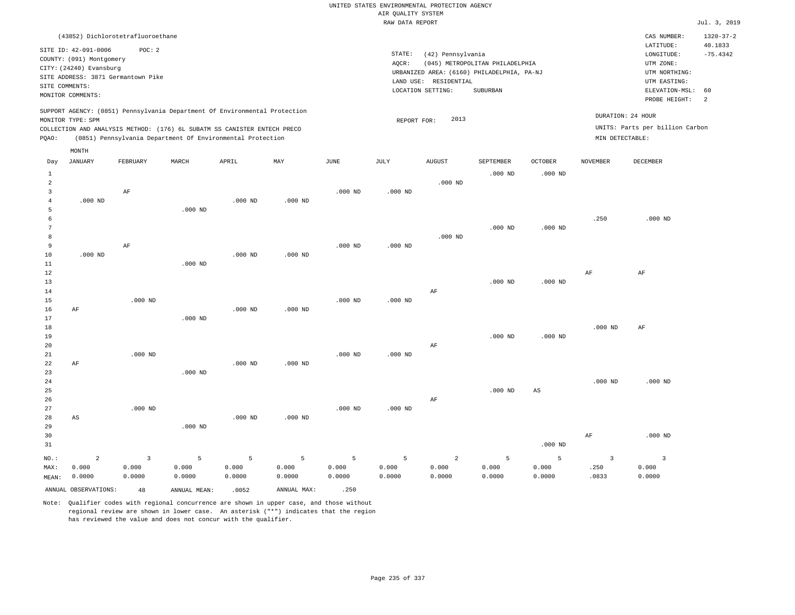|                         |                                                                            |                         |              |                                                            |             |           | RAW DATA REPORT |                       |                                            |                        |                 |                                 | Jul. 3, 2019    |
|-------------------------|----------------------------------------------------------------------------|-------------------------|--------------|------------------------------------------------------------|-------------|-----------|-----------------|-----------------------|--------------------------------------------|------------------------|-----------------|---------------------------------|-----------------|
|                         | (43852) Dichlorotetrafluoroethane                                          |                         |              |                                                            |             |           |                 |                       |                                            |                        |                 | CAS NUMBER:                     | $1320 - 37 - 2$ |
|                         |                                                                            |                         |              |                                                            |             |           |                 |                       |                                            |                        |                 | LATITUDE:                       | 40.1833         |
|                         | SITE ID: 42-091-0006                                                       | POC: 2                  |              |                                                            |             |           | STATE:          | (42) Pennsylvania     |                                            |                        |                 | LONGITUDE:                      | $-75.4342$      |
|                         | COUNTY: (091) Montgomery                                                   |                         |              |                                                            |             |           | AQCR:           |                       | (045) METROPOLITAN PHILADELPHIA            |                        |                 | UTM ZONE:                       |                 |
|                         | CITY: (24240) Evansburg                                                    |                         |              |                                                            |             |           |                 |                       | URBANIZED AREA: (6160) PHILADELPHIA, PA-NJ |                        |                 | UTM NORTHING:                   |                 |
|                         | SITE ADDRESS: 3871 Germantown Pike                                         |                         |              |                                                            |             |           |                 | LAND USE: RESIDENTIAL |                                            |                        |                 | UTM EASTING:                    |                 |
| SITE COMMENTS:          |                                                                            |                         |              |                                                            |             |           |                 | LOCATION SETTING:     | SUBURBAN                                   |                        |                 | ELEVATION-MSL:                  | 60              |
|                         | MONITOR COMMENTS:                                                          |                         |              |                                                            |             |           |                 |                       |                                            |                        |                 | PROBE HEIGHT:                   | $\overline{a}$  |
|                         | SUPPORT AGENCY: (0851) Pennsylvania Department Of Environmental Protection |                         |              |                                                            |             |           |                 |                       |                                            |                        |                 | DURATION: 24 HOUR               |                 |
|                         | MONITOR TYPE: SPM                                                          |                         |              |                                                            |             |           | REPORT FOR:     | 2013                  |                                            |                        |                 |                                 |                 |
|                         | COLLECTION AND ANALYSIS METHOD: (176) 6L SUBATM SS CANISTER ENTECH PRECO   |                         |              |                                                            |             |           |                 |                       |                                            |                        |                 | UNITS: Parts per billion Carbon |                 |
| PQAO:                   |                                                                            |                         |              | (0851) Pennsylvania Department Of Environmental Protection |             |           |                 |                       |                                            |                        | MIN DETECTABLE: |                                 |                 |
|                         | MONTH                                                                      |                         |              |                                                            |             |           |                 |                       |                                            |                        |                 |                                 |                 |
| Day                     | <b>JANUARY</b>                                                             | FEBRUARY                | MARCH        | APRIL                                                      | MAY         | JUNE      | JULY            | <b>AUGUST</b>         | SEPTEMBER                                  | OCTOBER                | <b>NOVEMBER</b> | DECEMBER                        |                 |
| $1\,$                   |                                                                            |                         |              |                                                            |             |           |                 |                       | $.000$ ND                                  | $.000$ ND              |                 |                                 |                 |
| 2                       |                                                                            |                         |              |                                                            |             |           |                 | $.000$ ND             |                                            |                        |                 |                                 |                 |
| $\overline{\mathbf{3}}$ |                                                                            | AF                      |              |                                                            |             | $.000$ ND | $.000$ ND       |                       |                                            |                        |                 |                                 |                 |
| $\overline{4}$          | $.000$ ND                                                                  |                         |              | $.000$ ND                                                  | $.000$ ND   |           |                 |                       |                                            |                        |                 |                                 |                 |
| 5                       |                                                                            |                         | $.000$ ND    |                                                            |             |           |                 |                       |                                            |                        |                 |                                 |                 |
| 6                       |                                                                            |                         |              |                                                            |             |           |                 |                       |                                            |                        | .250            | $.000$ ND                       |                 |
| $\overline{7}$          |                                                                            |                         |              |                                                            |             |           |                 |                       | $.000$ ND                                  | $.000$ ND              |                 |                                 |                 |
| 8                       |                                                                            |                         |              |                                                            |             |           |                 | $.000$ ND             |                                            |                        |                 |                                 |                 |
| 9                       |                                                                            | AF                      |              |                                                            |             | $.000$ ND | $.000$ ND       |                       |                                            |                        |                 |                                 |                 |
| 10                      | $.000$ ND                                                                  |                         |              | $.000$ ND                                                  | $.000$ ND   |           |                 |                       |                                            |                        |                 |                                 |                 |
| 11                      |                                                                            |                         | $.000$ ND    |                                                            |             |           |                 |                       |                                            |                        |                 |                                 |                 |
| 12                      |                                                                            |                         |              |                                                            |             |           |                 |                       |                                            |                        | AF              | $\rm{AF}$                       |                 |
| 13                      |                                                                            |                         |              |                                                            |             |           |                 |                       | $.000$ ND                                  | $.000$ ND              |                 |                                 |                 |
| 14                      |                                                                            |                         |              |                                                            |             |           |                 | AF                    |                                            |                        |                 |                                 |                 |
| 15                      |                                                                            | $.000$ ND               |              |                                                            |             | $.000$ ND | $.000$ ND       |                       |                                            |                        |                 |                                 |                 |
| 16                      | AF                                                                         |                         |              | $.000$ ND                                                  | $.000$ ND   |           |                 |                       |                                            |                        |                 |                                 |                 |
| 17                      |                                                                            |                         | $.000$ ND    |                                                            |             |           |                 |                       |                                            |                        |                 |                                 |                 |
| 18                      |                                                                            |                         |              |                                                            |             |           |                 |                       |                                            |                        | $.000$ ND       | $\rm{AF}$                       |                 |
| 19                      |                                                                            |                         |              |                                                            |             |           |                 |                       | $.000$ ND                                  | $.000$ ND              |                 |                                 |                 |
| 20                      |                                                                            |                         |              |                                                            |             |           |                 | AF                    |                                            |                        |                 |                                 |                 |
| 21                      |                                                                            | $.000$ ND               |              |                                                            |             | $.000$ ND | $.000$ ND       |                       |                                            |                        |                 |                                 |                 |
| 22                      | AF                                                                         |                         |              | $.000$ ND                                                  | $.000$ ND   |           |                 |                       |                                            |                        |                 |                                 |                 |
| 23                      |                                                                            |                         | $.000$ ND    |                                                            |             |           |                 |                       |                                            |                        |                 |                                 |                 |
| 24                      |                                                                            |                         |              |                                                            |             |           |                 |                       |                                            |                        | $.000$ ND       | $.000$ ND                       |                 |
| 25                      |                                                                            |                         |              |                                                            |             |           |                 |                       | $.000$ ND                                  | $\mathbb{A}\mathbb{S}$ |                 |                                 |                 |
| 26                      |                                                                            |                         |              |                                                            |             |           |                 | AF                    |                                            |                        |                 |                                 |                 |
| 27                      |                                                                            | $.000$ ND               |              |                                                            |             | $.000$ ND | $.000$ ND       |                       |                                            |                        |                 |                                 |                 |
| 28                      | AS                                                                         |                         |              | $.000$ ND                                                  | $.000$ ND   |           |                 |                       |                                            |                        |                 |                                 |                 |
| 29                      |                                                                            |                         | $.000$ ND    |                                                            |             |           |                 |                       |                                            |                        |                 |                                 |                 |
| 30                      |                                                                            |                         |              |                                                            |             |           |                 |                       |                                            |                        | $\rm AF$        | $.000$ ND                       |                 |
| 31                      |                                                                            |                         |              |                                                            |             |           |                 |                       |                                            | $.000$ ND              |                 |                                 |                 |
| NO.:                    | $\overline{a}$                                                             | $\overline{\mathbf{3}}$ | 5            | 5                                                          | 5           | 5         | 5               | $\overline{a}$        | 5                                          | 5                      | $\overline{3}$  | $\overline{\mathbf{3}}$         |                 |
| MAX:                    | 0.000                                                                      | 0.000                   | 0.000        | 0.000                                                      | 0.000       | 0.000     | 0.000           | 0.000                 | 0.000                                      | 0.000                  | .250            | 0.000                           |                 |
| MEAN:                   | 0.0000                                                                     | 0.0000                  | 0.0000       | 0.0000                                                     | 0.0000      | 0.0000    | 0.0000          | 0.0000                | 0.0000                                     | 0.0000                 | .0833           | 0.0000                          |                 |
|                         | ANNUAL OBSERVATIONS:                                                       | 48                      | ANNUAL MEAN: | .0052                                                      | ANNUAL MAX: | .250      |                 |                       |                                            |                        |                 |                                 |                 |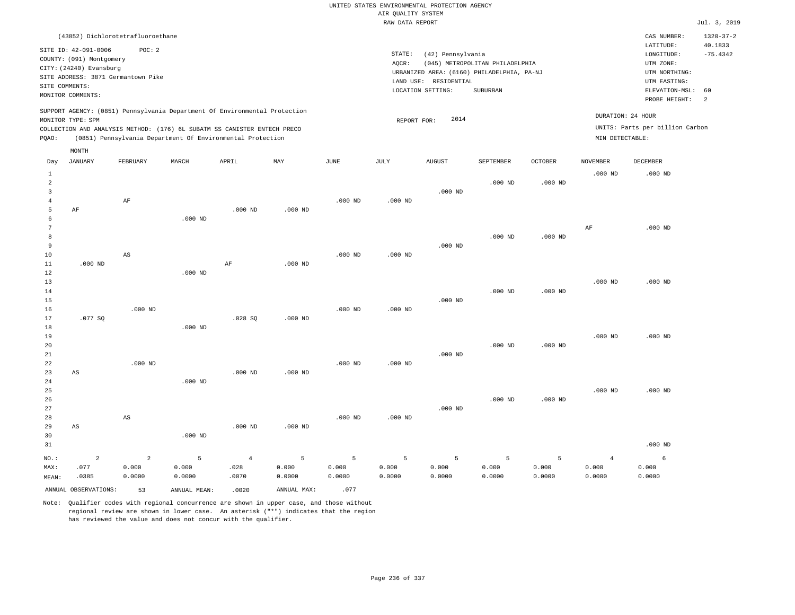|                         |                                                                            |                        |              |                                                            |             |           | RAW DATA REPORT |                       |                                            |           |                 |                                 | Jul. 3, 2019    |
|-------------------------|----------------------------------------------------------------------------|------------------------|--------------|------------------------------------------------------------|-------------|-----------|-----------------|-----------------------|--------------------------------------------|-----------|-----------------|---------------------------------|-----------------|
|                         | (43852) Dichlorotetrafluoroethane                                          |                        |              |                                                            |             |           |                 |                       |                                            |           |                 | CAS NUMBER:                     | $1320 - 37 - 2$ |
|                         |                                                                            | POC: 2                 |              |                                                            |             |           |                 |                       |                                            |           |                 | LATITUDE:                       | 40.1833         |
|                         | SITE ID: 42-091-0006                                                       |                        |              |                                                            |             |           | STATE:          | (42) Pennsylvania     |                                            |           |                 | LONGITUDE:                      | $-75.4342$      |
|                         | COUNTY: (091) Montgomery                                                   |                        |              |                                                            |             |           | AQCR:           |                       | (045) METROPOLITAN PHILADELPHIA            |           |                 | UTM ZONE:                       |                 |
|                         | CITY: (24240) Evansburg                                                    |                        |              |                                                            |             |           |                 |                       | URBANIZED AREA: (6160) PHILADELPHIA, PA-NJ |           |                 | UTM NORTHING:                   |                 |
|                         | SITE ADDRESS: 3871 Germantown Pike                                         |                        |              |                                                            |             |           |                 | LAND USE: RESIDENTIAL |                                            |           |                 | UTM EASTING:                    |                 |
|                         | SITE COMMENTS:                                                             |                        |              |                                                            |             |           |                 | LOCATION SETTING:     | SUBURBAN                                   |           |                 | ELEVATION-MSL:                  | 60              |
|                         | MONITOR COMMENTS:                                                          |                        |              |                                                            |             |           |                 |                       |                                            |           |                 | PROBE HEIGHT:                   | $\overline{a}$  |
|                         | SUPPORT AGENCY: (0851) Pennsylvania Department Of Environmental Protection |                        |              |                                                            |             |           |                 |                       |                                            |           |                 | DURATION: 24 HOUR               |                 |
|                         | MONITOR TYPE: SPM                                                          |                        |              |                                                            |             |           | REPORT FOR:     | 2014                  |                                            |           |                 |                                 |                 |
|                         | COLLECTION AND ANALYSIS METHOD: (176) 6L SUBATM SS CANISTER ENTECH PRECO   |                        |              |                                                            |             |           |                 |                       |                                            |           |                 | UNITS: Parts per billion Carbon |                 |
| PQAO:                   |                                                                            |                        |              | (0851) Pennsylvania Department Of Environmental Protection |             |           |                 |                       |                                            |           | MIN DETECTABLE: |                                 |                 |
|                         | MONTH                                                                      |                        |              |                                                            |             |           |                 |                       |                                            |           |                 |                                 |                 |
| Day                     | <b>JANUARY</b>                                                             | FEBRUARY               | MARCH        | APRIL                                                      | MAY         | JUNE      | JULY            | <b>AUGUST</b>         | SEPTEMBER                                  | OCTOBER   | <b>NOVEMBER</b> | <b>DECEMBER</b>                 |                 |
| $\mathbf{1}$            |                                                                            |                        |              |                                                            |             |           |                 |                       |                                            |           | $.000$ ND       | $.000$ ND                       |                 |
| $\mathfrak{D}$          |                                                                            |                        |              |                                                            |             |           |                 |                       | $.000$ ND                                  | $.000$ ND |                 |                                 |                 |
| $\overline{\mathbf{3}}$ |                                                                            |                        |              |                                                            |             |           |                 | $.000$ ND             |                                            |           |                 |                                 |                 |
| $\overline{4}$          |                                                                            | $\rm{AF}$              |              |                                                            |             | $.000$ ND | $.000$ ND       |                       |                                            |           |                 |                                 |                 |
| 5                       | AF                                                                         |                        |              | $.000$ ND                                                  | $.000$ ND   |           |                 |                       |                                            |           |                 |                                 |                 |
| 6                       |                                                                            |                        | $.000$ ND    |                                                            |             |           |                 |                       |                                            |           |                 |                                 |                 |
| $\overline{7}$          |                                                                            |                        |              |                                                            |             |           |                 |                       |                                            |           | AF              | $.000$ ND                       |                 |
| 8                       |                                                                            |                        |              |                                                            |             |           |                 |                       | $.000$ ND                                  | $.000$ ND |                 |                                 |                 |
| 9                       |                                                                            |                        |              |                                                            |             |           |                 | $.000$ ND             |                                            |           |                 |                                 |                 |
| 10                      |                                                                            | $_{\rm AS}$            |              |                                                            |             | $.000$ ND | $.000$ ND       |                       |                                            |           |                 |                                 |                 |
| 11                      | $.000$ ND                                                                  |                        |              | $\rm AF$                                                   | $.000$ ND   |           |                 |                       |                                            |           |                 |                                 |                 |
| 12                      |                                                                            |                        | $.000$ ND    |                                                            |             |           |                 |                       |                                            |           |                 |                                 |                 |
| 13                      |                                                                            |                        |              |                                                            |             |           |                 |                       |                                            |           | $.000$ ND       | $.000$ ND                       |                 |
| 14                      |                                                                            |                        |              |                                                            |             |           |                 |                       | $.000$ ND                                  | $.000$ ND |                 |                                 |                 |
| 15                      |                                                                            |                        |              |                                                            |             |           |                 | $.000$ ND             |                                            |           |                 |                                 |                 |
| 16                      |                                                                            | $.000$ ND              |              |                                                            |             | $.000$ ND | $.000$ ND       |                       |                                            |           |                 |                                 |                 |
| 17                      | .077SQ                                                                     |                        |              | .028SQ                                                     | $.000$ ND   |           |                 |                       |                                            |           |                 |                                 |                 |
| 18                      |                                                                            |                        | $.000$ ND    |                                                            |             |           |                 |                       |                                            |           |                 |                                 |                 |
| 19                      |                                                                            |                        |              |                                                            |             |           |                 |                       |                                            |           | $.000$ ND       | $.000$ ND                       |                 |
|                         |                                                                            |                        |              |                                                            |             |           |                 |                       |                                            |           |                 |                                 |                 |
| 20                      |                                                                            |                        |              |                                                            |             |           |                 |                       | $.000$ ND                                  | $.000$ ND |                 |                                 |                 |
| 21                      |                                                                            |                        |              |                                                            |             |           |                 | $.000$ ND             |                                            |           |                 |                                 |                 |
| 22                      |                                                                            | $.000$ ND              |              |                                                            |             | $.000$ ND | $.000$ ND       |                       |                                            |           |                 |                                 |                 |
| 23                      | AS                                                                         |                        |              | $.000$ ND                                                  | $.000$ ND   |           |                 |                       |                                            |           |                 |                                 |                 |
| 24                      |                                                                            |                        | $.000$ ND    |                                                            |             |           |                 |                       |                                            |           |                 |                                 |                 |
| 25                      |                                                                            |                        |              |                                                            |             |           |                 |                       |                                            |           | $.000$ ND       | $.000$ ND                       |                 |
| 26                      |                                                                            |                        |              |                                                            |             |           |                 |                       | $.000$ ND                                  | $.000$ ND |                 |                                 |                 |
| 27                      |                                                                            |                        |              |                                                            |             |           |                 | $.000$ ND             |                                            |           |                 |                                 |                 |
| 28                      |                                                                            | $\mathbb{A}\mathbb{S}$ |              |                                                            |             | $.000$ ND | $.000$ ND       |                       |                                            |           |                 |                                 |                 |
| 29                      | AS                                                                         |                        |              | $.000$ ND                                                  | $.000$ ND   |           |                 |                       |                                            |           |                 |                                 |                 |
| 30                      |                                                                            |                        | $.000$ ND    |                                                            |             |           |                 |                       |                                            |           |                 |                                 |                 |
| 31                      |                                                                            |                        |              |                                                            |             |           |                 |                       |                                            |           |                 | $.000$ ND                       |                 |
| NO.:                    | $\overline{a}$                                                             | $\overline{a}$         | 5            | $\overline{4}$                                             | 5           | 5         | 5               | 5                     | 5                                          | 5         | $\overline{4}$  | 6                               |                 |
| MAX:                    | .077                                                                       | 0.000                  | 0.000        | .028                                                       | 0.000       | 0.000     | 0.000           | 0.000                 | 0.000                                      | 0.000     | 0.000           | 0.000                           |                 |
| MEAN:                   | .0385                                                                      | 0.0000                 | 0.0000       | .0070                                                      | 0.0000      | 0.0000    | 0.0000          | 0.0000                | 0.0000                                     | 0.0000    | 0.0000          | 0.0000                          |                 |
|                         | ANNUAL OBSERVATIONS:                                                       | 53                     | ANNUAL MEAN: | .0020                                                      | ANNUAL MAX: | .077      |                 |                       |                                            |           |                 |                                 |                 |
|                         |                                                                            |                        |              |                                                            |             |           |                 |                       |                                            |           |                 |                                 |                 |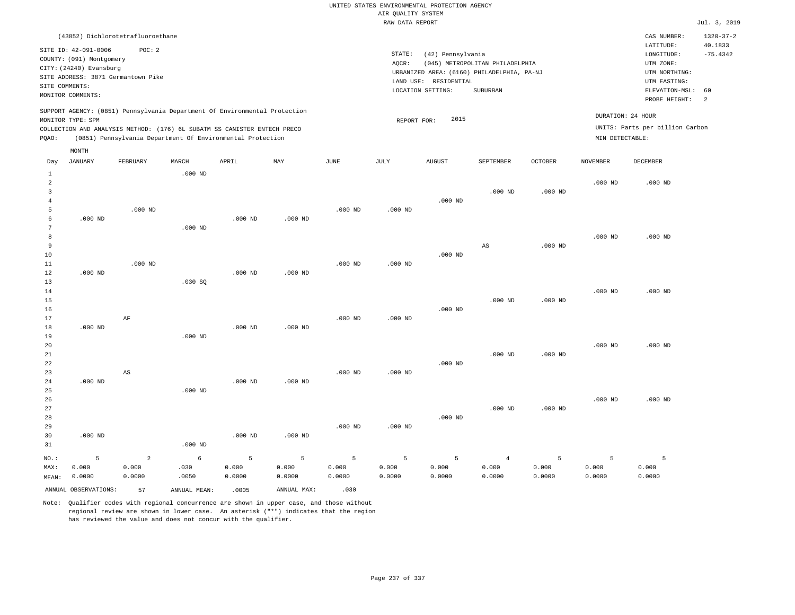|                |                                                                            |                 |               |                                                            |                 |                 | RAW DATA REPORT    |                       |                                            |                 |                 |                                 | Jul. 3, 2019    |
|----------------|----------------------------------------------------------------------------|-----------------|---------------|------------------------------------------------------------|-----------------|-----------------|--------------------|-----------------------|--------------------------------------------|-----------------|-----------------|---------------------------------|-----------------|
|                | (43852) Dichlorotetrafluoroethane                                          |                 |               |                                                            |                 |                 |                    |                       |                                            |                 |                 | CAS NUMBER:                     | $1320 - 37 - 2$ |
|                |                                                                            |                 |               |                                                            |                 |                 |                    |                       |                                            |                 |                 | LATITUDE:                       | 40.1833         |
|                | SITE ID: 42-091-0006                                                       | POC: 2          |               |                                                            |                 |                 | STATE:             | (42) Pennsylvania     |                                            |                 |                 | $\texttt{LONGITUDE}$ :          | $-75.4342$      |
|                | COUNTY: (091) Montgomery                                                   |                 |               |                                                            |                 |                 | AQCR:              |                       | (045) METROPOLITAN PHILADELPHIA            |                 |                 | UTM ZONE:                       |                 |
|                | CITY: (24240) Evansburg                                                    |                 |               |                                                            |                 |                 |                    |                       | URBANIZED AREA: (6160) PHILADELPHIA, PA-NJ |                 |                 | UTM NORTHING:                   |                 |
|                | SITE ADDRESS: 3871 Germantown Pike                                         |                 |               |                                                            |                 |                 |                    | LAND USE: RESIDENTIAL |                                            |                 |                 | UTM EASTING:                    |                 |
|                | SITE COMMENTS:                                                             |                 |               |                                                            |                 |                 |                    | LOCATION SETTING:     | <b>SUBURBAN</b>                            |                 |                 | ELEVATION-MSL:                  | 60              |
|                | MONITOR COMMENTS:                                                          |                 |               |                                                            |                 |                 |                    |                       |                                            |                 |                 | PROBE HEIGHT:                   | 2               |
|                | SUPPORT AGENCY: (0851) Pennsylvania Department Of Environmental Protection |                 |               |                                                            |                 |                 |                    |                       |                                            |                 |                 | DURATION: 24 HOUR               |                 |
|                | MONITOR TYPE: SPM                                                          |                 |               |                                                            |                 |                 | REPORT FOR:        | 2015                  |                                            |                 |                 |                                 |                 |
|                | COLLECTION AND ANALYSIS METHOD: (176) 6L SUBATM SS CANISTER ENTECH PRECO   |                 |               |                                                            |                 |                 |                    |                       |                                            |                 |                 | UNITS: Parts per billion Carbon |                 |
| PQAO:          |                                                                            |                 |               | (0851) Pennsylvania Department Of Environmental Protection |                 |                 |                    |                       |                                            |                 | MIN DETECTABLE: |                                 |                 |
|                | MONTH                                                                      |                 |               |                                                            |                 |                 |                    |                       |                                            |                 |                 |                                 |                 |
| Day            | <b>JANUARY</b>                                                             | FEBRUARY        | MARCH         | APRIL                                                      | MAY             | JUNE            | JULY               | <b>AUGUST</b>         | SEPTEMBER                                  | OCTOBER         | <b>NOVEMBER</b> | DECEMBER                        |                 |
| $\mathbf{1}$   |                                                                            |                 | $.000$ ND     |                                                            |                 |                 |                    |                       |                                            |                 |                 |                                 |                 |
| 2              |                                                                            |                 |               |                                                            |                 |                 |                    |                       |                                            |                 | $.000$ ND       | $.000$ ND                       |                 |
| $\overline{3}$ |                                                                            |                 |               |                                                            |                 |                 |                    |                       | $.000$ ND                                  | $.000$ ND       |                 |                                 |                 |
| 4              |                                                                            |                 |               |                                                            |                 |                 |                    | $.000$ ND             |                                            |                 |                 |                                 |                 |
| 5              |                                                                            | $.000$ ND       |               |                                                            |                 | $.000$ ND       | $.000$ ND          |                       |                                            |                 |                 |                                 |                 |
| 6              | $.000$ ND                                                                  |                 |               | $.000$ ND                                                  | $.000$ ND       |                 |                    |                       |                                            |                 |                 |                                 |                 |
| $\overline{7}$ |                                                                            |                 | $.000$ ND     |                                                            |                 |                 |                    |                       |                                            |                 |                 |                                 |                 |
| 8              |                                                                            |                 |               |                                                            |                 |                 |                    |                       |                                            |                 | $.000$ ND       | $.000$ ND                       |                 |
| 9              |                                                                            |                 |               |                                                            |                 |                 |                    |                       | AS                                         | $.000$ ND       |                 |                                 |                 |
| 10             |                                                                            |                 |               |                                                            |                 |                 |                    | $.000$ ND             |                                            |                 |                 |                                 |                 |
| 11             |                                                                            | $.000$ ND       |               |                                                            |                 | $.000$ ND       | $.000$ ND          |                       |                                            |                 |                 |                                 |                 |
| 12             | $.000$ ND                                                                  |                 |               | $.000$ ND                                                  | $.000$ ND       |                 |                    |                       |                                            |                 |                 |                                 |                 |
| 13             |                                                                            |                 | .030SQ        |                                                            |                 |                 |                    |                       |                                            |                 |                 |                                 |                 |
| 14             |                                                                            |                 |               |                                                            |                 |                 |                    |                       |                                            |                 | $.000$ ND       | $.000$ ND                       |                 |
| 15             |                                                                            |                 |               |                                                            |                 |                 |                    |                       | $.000$ ND                                  | $.000$ ND       |                 |                                 |                 |
| 16             |                                                                            |                 |               |                                                            |                 |                 |                    | $.000$ ND             |                                            |                 |                 |                                 |                 |
| 17             |                                                                            | $\rm AF$        |               |                                                            |                 | $.000$ ND       | $.000$ ND          |                       |                                            |                 |                 |                                 |                 |
| 18             | $.000$ ND                                                                  |                 |               | $.000$ ND                                                  | $.000$ ND       |                 |                    |                       |                                            |                 |                 |                                 |                 |
| 19             |                                                                            |                 | $.000$ ND     |                                                            |                 |                 |                    |                       |                                            |                 |                 |                                 |                 |
| 20             |                                                                            |                 |               |                                                            |                 |                 |                    |                       |                                            |                 | $.000$ ND       | $.000$ ND                       |                 |
| 21             |                                                                            |                 |               |                                                            |                 |                 |                    |                       | $.000$ ND                                  | $.000$ ND       |                 |                                 |                 |
| 22             |                                                                            |                 |               |                                                            |                 |                 |                    | $.000$ ND             |                                            |                 |                 |                                 |                 |
| 23             |                                                                            | AS              |               |                                                            |                 | $.000$ ND       | .000 <sub>ND</sub> |                       |                                            |                 |                 |                                 |                 |
| 24             | $.000$ ND                                                                  |                 |               | $.000$ ND                                                  | $.000$ ND       |                 |                    |                       |                                            |                 |                 |                                 |                 |
| 25             |                                                                            |                 | $.000$ ND     |                                                            |                 |                 |                    |                       |                                            |                 |                 |                                 |                 |
| 26             |                                                                            |                 |               |                                                            |                 |                 |                    |                       |                                            |                 | $.000$ ND       | $.000$ ND                       |                 |
| 27             |                                                                            |                 |               |                                                            |                 |                 |                    |                       | $.000$ ND                                  | $.000$ ND       |                 |                                 |                 |
| 28             |                                                                            |                 |               |                                                            |                 |                 |                    | $.000$ ND             |                                            |                 |                 |                                 |                 |
| 29             |                                                                            |                 |               |                                                            |                 | $.000$ ND       | $.000$ ND          |                       |                                            |                 |                 |                                 |                 |
| 30             | $.000$ ND                                                                  |                 |               | $.000$ ND                                                  | $.000$ ND       |                 |                    |                       |                                            |                 |                 |                                 |                 |
| 31             |                                                                            |                 | $.000$ ND     |                                                            |                 |                 |                    |                       |                                            |                 |                 |                                 |                 |
|                | 5                                                                          | $\overline{2}$  |               | 5                                                          | 5               | 5               |                    |                       |                                            | 5               |                 | 5                               |                 |
| NO.:           |                                                                            |                 | 6             |                                                            |                 |                 | 5                  | 5                     | $\overline{4}$                             |                 | 5               |                                 |                 |
| MAX:           | 0.000<br>0.0000                                                            | 0.000<br>0.0000 | .030<br>.0050 | 0.000<br>0.0000                                            | 0.000<br>0.0000 | 0.000<br>0.0000 | 0.000<br>0.0000    | 0.000<br>0.0000       | 0.000<br>0.0000                            | 0.000<br>0.0000 | 0.000<br>0.0000 | 0.000<br>0.0000                 |                 |
| MEAN:          |                                                                            |                 |               |                                                            |                 |                 |                    |                       |                                            |                 |                 |                                 |                 |
|                | ANNUAL OBSERVATIONS:                                                       | 57              | ANNUAL MEAN:  | .0005                                                      | ANNUAL MAX:     | .030            |                    |                       |                                            |                 |                 |                                 |                 |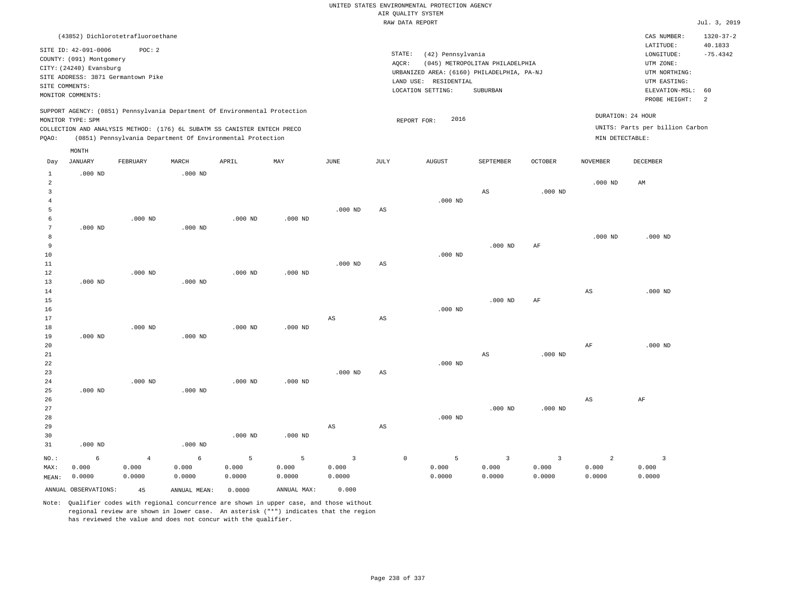|                                          |                                                                                                                                                          |                                   |                      |                                                                                                                                                                                                                      |                      |                                            |                        | RAW DATA REPORT                      |                                            |                                                                                           |                                   |                                      |                                                                                                          | Jul. 3, 2019                                  |
|------------------------------------------|----------------------------------------------------------------------------------------------------------------------------------------------------------|-----------------------------------|----------------------|----------------------------------------------------------------------------------------------------------------------------------------------------------------------------------------------------------------------|----------------------|--------------------------------------------|------------------------|--------------------------------------|--------------------------------------------|-------------------------------------------------------------------------------------------|-----------------------------------|--------------------------------------|----------------------------------------------------------------------------------------------------------|-----------------------------------------------|
|                                          | (43852) Dichlorotetrafluoroethane                                                                                                                        |                                   |                      |                                                                                                                                                                                                                      |                      |                                            |                        |                                      |                                            |                                                                                           |                                   |                                      | CAS NUMBER:                                                                                              | $1320 - 37 - 2$                               |
|                                          | SITE ID: 42-091-0006<br>COUNTY: (091) Montgomery<br>CITY: (24240) Evansburg<br>SITE ADDRESS: 3871 Germantown Pike<br>SITE COMMENTS:<br>MONITOR COMMENTS: | POC: 2                            |                      |                                                                                                                                                                                                                      |                      |                                            |                        | STATE:<br>AQCR:<br>LOCATION SETTING: | (42) Pennsylvania<br>LAND USE: RESIDENTIAL | (045) METROPOLITAN PHILADELPHIA<br>URBANIZED AREA: (6160) PHILADELPHIA, PA-NJ<br>SUBURBAN |                                   |                                      | LATITUDE:<br>LONGITUDE:<br>UTM ZONE:<br>UTM NORTHING:<br>UTM EASTING:<br>ELEVATION-MSL:<br>PROBE HEIGHT: | 40.1833<br>$-75.4342$<br>60<br>$\overline{2}$ |
| PQAO:                                    | MONITOR TYPE: SPM                                                                                                                                        |                                   |                      | SUPPORT AGENCY: (0851) Pennsylvania Department Of Environmental Protection<br>COLLECTION AND ANALYSIS METHOD: (176) 6L SUBATM SS CANISTER ENTECH PRECO<br>(0851) Pennsylvania Department Of Environmental Protection |                      |                                            |                        | REPORT FOR:                          | 2016                                       |                                                                                           |                                   | DURATION: 24 HOUR<br>MIN DETECTABLE: | UNITS: Parts per billion Carbon                                                                          |                                               |
|                                          | $\texttt{MONTH}$                                                                                                                                         |                                   |                      |                                                                                                                                                                                                                      |                      |                                            |                        |                                      |                                            |                                                                                           |                                   |                                      |                                                                                                          |                                               |
| Day                                      | <b>JANUARY</b>                                                                                                                                           | FEBRUARY                          | MARCH                | APRIL                                                                                                                                                                                                                | MAY                  | JUNE                                       | JULY                   |                                      | AUGUST                                     | SEPTEMBER                                                                                 | <b>OCTOBER</b>                    | <b>NOVEMBER</b>                      | DECEMBER                                                                                                 |                                               |
| $1\,$<br>2<br>$\overline{3}$<br>$\bf{4}$ | $.000$ ND                                                                                                                                                |                                   | $.000$ ND            |                                                                                                                                                                                                                      |                      |                                            |                        |                                      | $.000$ ND                                  | AS                                                                                        | $.000$ ND                         | $.000$ ND                            | AM                                                                                                       |                                               |
| 5                                        |                                                                                                                                                          |                                   |                      |                                                                                                                                                                                                                      |                      | $.000$ ND                                  | AS                     |                                      |                                            |                                                                                           |                                   |                                      |                                                                                                          |                                               |
| 6                                        |                                                                                                                                                          | $.000$ ND                         |                      | $.000$ ND                                                                                                                                                                                                            | $.000$ ND            |                                            |                        |                                      |                                            |                                                                                           |                                   |                                      |                                                                                                          |                                               |
| $7\phantom{.0}$                          | $.000$ ND                                                                                                                                                |                                   | $.000$ ND            |                                                                                                                                                                                                                      |                      |                                            |                        |                                      |                                            |                                                                                           |                                   |                                      |                                                                                                          |                                               |
| 8<br>9<br>$10$                           |                                                                                                                                                          |                                   |                      |                                                                                                                                                                                                                      |                      |                                            |                        |                                      | $.000$ ND                                  | $.000$ ND                                                                                 | $\rm AF$                          | $.000$ ND                            | $.000$ ND                                                                                                |                                               |
| 11                                       |                                                                                                                                                          |                                   |                      |                                                                                                                                                                                                                      |                      | $.000$ ND                                  | AS                     |                                      |                                            |                                                                                           |                                   |                                      |                                                                                                          |                                               |
| 12                                       |                                                                                                                                                          | $.000$ ND                         |                      | $.000$ ND                                                                                                                                                                                                            | $.000$ ND            |                                            |                        |                                      |                                            |                                                                                           |                                   |                                      |                                                                                                          |                                               |
| 13<br>14                                 | $.000$ ND                                                                                                                                                |                                   | $.000$ ND            |                                                                                                                                                                                                                      |                      |                                            |                        |                                      |                                            |                                                                                           |                                   | $\mathbb{A}\mathbb{S}$               | $.000$ ND                                                                                                |                                               |
| 15                                       |                                                                                                                                                          |                                   |                      |                                                                                                                                                                                                                      |                      |                                            |                        |                                      |                                            | $.000$ ND                                                                                 | $\rm AF$                          |                                      |                                                                                                          |                                               |
| 16                                       |                                                                                                                                                          |                                   |                      |                                                                                                                                                                                                                      |                      |                                            |                        |                                      | $.000$ ND                                  |                                                                                           |                                   |                                      |                                                                                                          |                                               |
| 17                                       |                                                                                                                                                          |                                   |                      |                                                                                                                                                                                                                      |                      | $\mathbb{A}\mathbb{S}$                     | AS                     |                                      |                                            |                                                                                           |                                   |                                      |                                                                                                          |                                               |
| 18                                       |                                                                                                                                                          | $.000$ ND                         |                      | $.000$ ND                                                                                                                                                                                                            | $.000$ ND            |                                            |                        |                                      |                                            |                                                                                           |                                   |                                      |                                                                                                          |                                               |
| 19                                       | $.000$ ND                                                                                                                                                |                                   | $.000$ ND            |                                                                                                                                                                                                                      |                      |                                            |                        |                                      |                                            |                                                                                           |                                   |                                      |                                                                                                          |                                               |
| 20<br>$21\,$                             |                                                                                                                                                          |                                   |                      |                                                                                                                                                                                                                      |                      |                                            |                        |                                      |                                            | $\mathbb{A}\mathbb{S}$                                                                    | $.000$ ND                         | $\rm AF$                             | $.000$ ND                                                                                                |                                               |
| 22                                       |                                                                                                                                                          |                                   |                      |                                                                                                                                                                                                                      |                      |                                            |                        |                                      | $.000$ ND                                  |                                                                                           |                                   |                                      |                                                                                                          |                                               |
| 23                                       |                                                                                                                                                          |                                   |                      |                                                                                                                                                                                                                      |                      | $.000$ ND                                  | $\mathbb{A}\mathbb{S}$ |                                      |                                            |                                                                                           |                                   |                                      |                                                                                                          |                                               |
| 24                                       |                                                                                                                                                          | $.000$ ND                         |                      | $.000$ ND                                                                                                                                                                                                            | $.000$ ND            |                                            |                        |                                      |                                            |                                                                                           |                                   |                                      |                                                                                                          |                                               |
| 25                                       | $.000$ ND                                                                                                                                                |                                   | $.000$ ND            |                                                                                                                                                                                                                      |                      |                                            |                        |                                      |                                            |                                                                                           |                                   |                                      |                                                                                                          |                                               |
| 26<br>27                                 |                                                                                                                                                          |                                   |                      |                                                                                                                                                                                                                      |                      |                                            |                        |                                      |                                            | $.000$ ND                                                                                 | $.000$ ND                         | AS                                   | AF                                                                                                       |                                               |
| 28                                       |                                                                                                                                                          |                                   |                      |                                                                                                                                                                                                                      |                      |                                            |                        |                                      | $.000$ ND                                  |                                                                                           |                                   |                                      |                                                                                                          |                                               |
| 29                                       |                                                                                                                                                          |                                   |                      |                                                                                                                                                                                                                      |                      | AS                                         | AS                     |                                      |                                            |                                                                                           |                                   |                                      |                                                                                                          |                                               |
| 30                                       |                                                                                                                                                          |                                   |                      | $.000$ ND                                                                                                                                                                                                            | $.000$ ND            |                                            |                        |                                      |                                            |                                                                                           |                                   |                                      |                                                                                                          |                                               |
| 31                                       | $.000$ ND                                                                                                                                                |                                   | $.000$ ND            |                                                                                                                                                                                                                      |                      |                                            |                        |                                      |                                            |                                                                                           |                                   |                                      |                                                                                                          |                                               |
| NO.:<br>MAX:<br>MEAN:                    | 6<br>0.000<br>0.0000                                                                                                                                     | $\overline{4}$<br>0.000<br>0.0000 | 6<br>0.000<br>0.0000 | 5<br>0.000<br>0.0000                                                                                                                                                                                                 | 5<br>0.000<br>0.0000 | $\overline{\mathbf{3}}$<br>0.000<br>0.0000 |                        | $\circ$                              | 5<br>0.000<br>0.0000                       | $\overline{3}$<br>0.000<br>0.0000                                                         | $\overline{3}$<br>0.000<br>0.0000 | $\overline{c}$<br>0.000<br>0.0000    | $\overline{\mathbf{3}}$<br>0.000<br>0.0000                                                               |                                               |
|                                          | ANNUAL OBSERVATIONS:                                                                                                                                     | 45                                | ANNUAL MEAN:         | 0.0000                                                                                                                                                                                                               | ANNUAL MAX:          | 0.000                                      |                        |                                      |                                            |                                                                                           |                                   |                                      |                                                                                                          |                                               |
|                                          |                                                                                                                                                          |                                   |                      |                                                                                                                                                                                                                      |                      |                                            |                        |                                      |                                            |                                                                                           |                                   |                                      |                                                                                                          |                                               |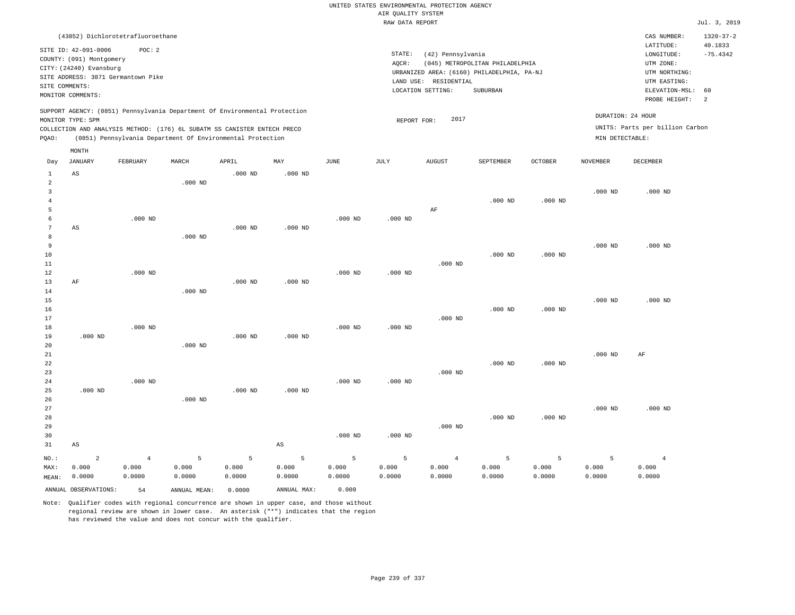RAW DATA REPORT Jul. 3, 2019 UNITED STATES ENVIRONMENTAL PROTECTION AGENCY AIR QUALITY SYSTEM (43852) Dichlorotetrafluoroethane STATE: (42) Pennsylvania CAS NUMBER: 1320-37-2 SITE ID: 42-091-0006 POC: 2 AQCR: (045) METROPOLITAN PHILADELPHIA COUNTY: (091) Montgomery CITY: (24240) Evansburg  $LONGITUDE: -75.4342$ LATITUDE: 40.1833 LOCATION SETTING: SUBURBAN SITE ADDRESS: 3871 Germantown Pike LAND USE: RESIDENTIAL SITE COMMENTS: MONITOR COMMENTS: PROBE HEIGHT: 2 ELEVATION-MSL: 60 URBANIZED AREA: (6160) PHILADELPHIA, PA-NJ (UTM NORTHING: UTM EASTING: UTM ZONE: SUPPORT AGENCY: (0851) Pennsylvania Department Of Environmental Protection MONITOR TYPE: SPM COLLECTION AND ANALYSIS METHOD: (176) 6L SUBATM SS CANISTER ENTECH PRECO REPORT FOR: 2017 UNITS: Parts per billion Carbon PQAO: (0851) Pennsylvania Department Of Environmental Protection MIN DETECTABLE: DURATION: 24 HOUR 1 2 3 4 5 6 7 8 9 10 11 12 13 14 15 16 17 18 19  $20$ 21 22 23 24 25 26 27 28 29 30 31  $\Delta$ S AS AF .000 ND .000 ND AS NO.: MAX: MEAN: 2 0.000 0.0000 .000 ND .000 ND .000 ND .000 ND .000 ND .000 ND .000 ND .000 ND .000 ND .000 ND .000 ND .000 ND .000 ND .000 ND .000 ND .000 ND .000 ND .000 ND .000 ND AS .000 ND .000 ND .000 ND .000 ND .000 ND .000 ND .000 ND .000 ND .000 ND .000 ND AF .000 ND .000 ND .000 ND .000 ND .000 ND .000 ND .000 ND .000 ND .000 ND .000 ND .000 ND .000 ND .000 ND .000 ND .000 ND .000 ND .000 ND .000 ND .000 ND .000 ND .000 ND .000 ND AF .000 ND 4 0.000 0.0000 5 0.000 0.0000 5 0.000 0.0000 5 0.000 0.0000 5 0.000 0.0000 5 0.000 0.0000 4 0.000 0.0000 5 0.000 0.0000 5 0.000 0.0000 5 0.000 0.0000 4 0.000 0.0000 ANNUAL OBSERVATIONS: 54 ANNUAL MEAN: 0.0000 ANNUAL MAX: 0.000 Day JANUARY FEBRUARY MARCH APRIL MAY JUNE JULY AUGUST SEPTEMBER OCTOBER NOVEMBER DECEMBER MONTH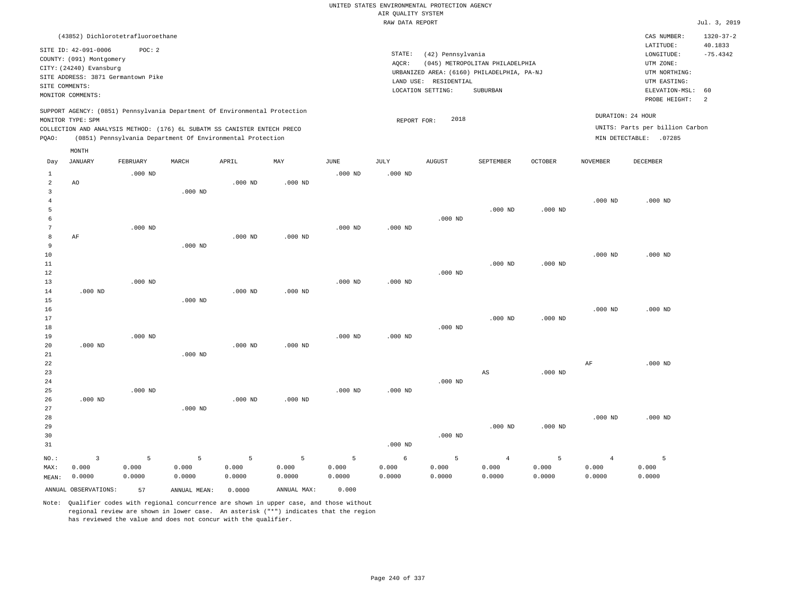RAW DATA REPORT Jul. 3, 2019 UNITED STATES ENVIRONMENTAL PROTECTION AGENCY AIR QUALITY SYSTEM (43852) Dichlorotetrafluoroethane STATE: (42) Pennsylvania CAS NUMBER: 1320-37-2 SITE ID: 42-091-0006 POC: 2 AQCR: (045) METROPOLITAN PHILADELPHIA COUNTY: (091) Montgomery CITY: (24240) Evansburg  $LONGITUDE: -75.4342$ LATITUDE: 40.1833 LOCATION SETTING: SUBURBAN SITE ADDRESS: 3871 Germantown Pike LAND USE: RESIDENTIAL SITE COMMENTS: MONITOR COMMENTS: PROBE HEIGHT: 2 ELEVATION-MSL: 60 URBANIZED AREA: (6160) PHILADELPHIA, PA-NJ (UTM NORTHING: UTM EASTING: UTM ZONE: SUPPORT AGENCY: (0851) Pennsylvania Department Of Environmental Protection MONITOR TYPE: SPM COLLECTION AND ANALYSIS METHOD: (176) 6L SUBATM SS CANISTER ENTECH PRECO REPORT FOR: 2018 UNITS: Parts per billion Carbon PQAO: (0851) Pennsylvania Department Of Environmental Protection DURATION: 24 HOUR MIN DETECTABLE: .07285 1 2 3 4 5 6 7 8 9 10 11 12 13 14 15 16 17 18 19  $20$ 21 22 23 24 25 26 27 28 29 30 31 AO AF .000 ND .000 ND .000 ND NO.: MAX: MEAN: 3 0.000 0.0000 .000 ND .000 ND .000 ND .000 ND .000 ND .000 ND .000 ND .000 ND .000 ND .000 ND .000 ND .000 ND .000 ND .000 ND .000 ND .000 ND .000 ND .000 ND .000 ND .000 ND .000 ND .000 ND .000 ND .000 ND .000 ND .000 ND .000 ND .000 ND .000 ND .000 ND .000 ND .000 ND .000 ND .000 ND .000 ND .000 ND .000 ND .000 ND .000 ND AS .000 ND .000 ND .000 ND .000 ND .000 ND .000 ND .000 ND .000 ND .000 ND AF .000 ND .000 ND .000 ND .000 ND .000 ND .000 ND 5 0.000 0.0000 5 0.000 0.0000 5 0.000 0.0000 5 0.000 0.0000 5 0.000 0.0000 6 0.000 0.0000 5 0.000 0.0000 4 0.000 0.0000 5 0.000 0.0000 4 0.000 0.0000 5 0.000 0.0000 ANNUAL OBSERVATIONS: 57 ANNUAL MEAN: 0.0000 ANNUAL MAX: 0.000 Day JANUARY FEBRUARY MARCH APRIL MAY JUNE JULY AUGUST SEPTEMBER OCTOBER NOVEMBER DECEMBER MONTH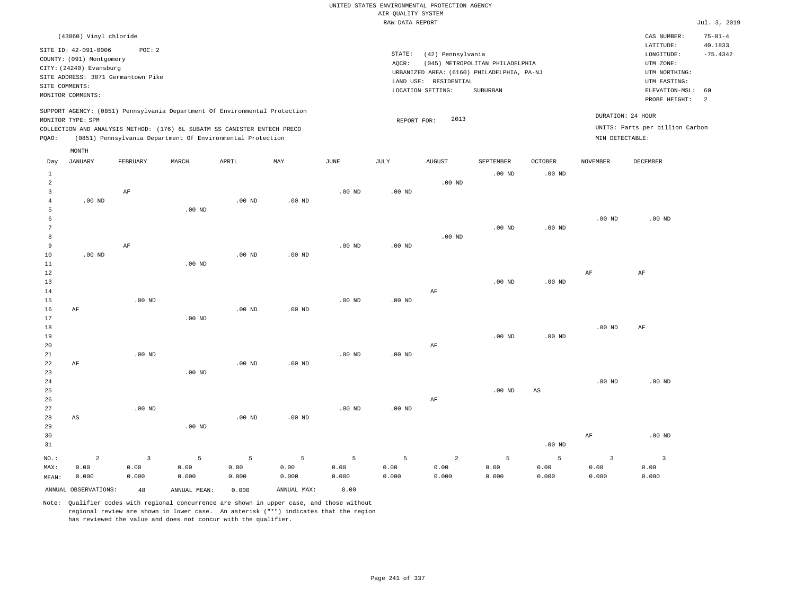|       |                                    |          |          |                                                                            |          |          | RAW DATA REPORT |                                            |                                 |                |                 |                                 | Jul. 3, 2019   |
|-------|------------------------------------|----------|----------|----------------------------------------------------------------------------|----------|----------|-----------------|--------------------------------------------|---------------------------------|----------------|-----------------|---------------------------------|----------------|
|       | (43860) Vinyl chloride             |          |          |                                                                            |          |          |                 |                                            |                                 |                |                 | CAS NUMBER:                     | $75 - 01 - 4$  |
|       | SITE ID: 42-091-0006               | POC:2    |          |                                                                            |          |          |                 |                                            |                                 |                |                 | LATITUDE:                       | 40.1833        |
|       | COUNTY: (091) Montgomery           |          |          |                                                                            |          |          | STATE:          | (42) Pennsylvania                          |                                 |                |                 | LONGITUDE:                      | $-75.4342$     |
|       | CITY: (24240) Evansburg            |          |          |                                                                            |          |          | AOCR:           |                                            | (045) METROPOLITAN PHILADELPHIA |                |                 | UTM ZONE:                       |                |
|       | SITE ADDRESS: 3871 Germantown Pike |          |          |                                                                            |          |          |                 | URBANIZED AREA: (6160) PHILADELPHIA, PA-NJ |                                 |                |                 | UTM NORTHING:                   |                |
|       | SITE COMMENTS:                     |          |          |                                                                            |          |          | LAND USE:       | RESIDENTIAL                                |                                 |                |                 | UTM EASTING:                    |                |
|       | MONITOR COMMENTS:                  |          |          |                                                                            |          |          |                 | LOCATION SETTING:                          | SUBURBAN                        |                |                 | ELEVATION-MSL:                  | 60             |
|       |                                    |          |          |                                                                            |          |          |                 |                                            |                                 |                |                 | PROBE HEIGHT:                   | $\overline{2}$ |
|       | MONITOR TYPE: SPM                  |          |          | SUPPORT AGENCY: (0851) Pennsylvania Department Of Environmental Protection |          |          |                 | 2013<br>REPORT FOR:                        |                                 |                |                 | DURATION: 24 HOUR               |                |
|       |                                    |          |          | COLLECTION AND ANALYSIS METHOD: (176) 6L SUBATM SS CANISTER ENTECH PRECO   |          |          |                 |                                            |                                 |                |                 | UNITS: Parts per billion Carbon |                |
| PQAO: |                                    |          |          | (0851) Pennsylvania Department Of Environmental Protection                 |          |          |                 |                                            |                                 |                | MIN DETECTABLE: |                                 |                |
|       | MONTH                              |          |          |                                                                            |          |          |                 |                                            |                                 |                |                 |                                 |                |
| Day   | JANUARY                            | FEBRUARY | MARCH    | APRIL                                                                      | MAY      | JUNE     | JULY            | <b>AUGUST</b>                              | SEPTEMBER                       | <b>OCTOBER</b> | NOVEMBER        | DECEMBER                        |                |
|       |                                    |          |          |                                                                            |          |          |                 |                                            | $.00$ ND                        | $.00$ ND       |                 |                                 |                |
| 2     |                                    |          |          |                                                                            |          |          |                 | $.00$ ND                                   |                                 |                |                 |                                 |                |
|       |                                    | AF       |          |                                                                            |          | $.00$ ND | $.00$ ND        |                                            |                                 |                |                 |                                 |                |
|       | $.00$ ND                           |          |          | $.00$ ND                                                                   | $.00$ ND |          |                 |                                            |                                 |                |                 |                                 |                |
|       |                                    |          | $.00$ ND |                                                                            |          |          |                 |                                            |                                 |                |                 |                                 |                |
|       |                                    |          |          |                                                                            |          |          |                 |                                            |                                 |                | $.00$ ND        | $.00$ ND                        |                |
|       |                                    |          |          |                                                                            |          |          |                 |                                            | $.00$ ND                        | $.00$ ND       |                 |                                 |                |
|       |                                    |          |          |                                                                            |          |          |                 | $.00$ ND                                   |                                 |                |                 |                                 |                |

| $NO.$ :     | $\overline{a}$         | 3        | 5              | 5        | 5 <sub>1</sub> | 5        | 5 <sup>5</sup> | $\overline{a}$ | 5        | 5                      | $\overline{3}$ | $\overline{3}$ |
|-------------|------------------------|----------|----------------|----------|----------------|----------|----------------|----------------|----------|------------------------|----------------|----------------|
| 31          |                        |          |                |          |                |          |                |                |          | .00 $ND$               |                |                |
| 30          |                        |          |                |          |                |          |                |                |          |                        | AF             | $.00$ ND       |
| 29          |                        |          | $.00$ ND       |          |                |          |                |                |          |                        |                |                |
| 28          | $\mathbb{A}\mathbb{S}$ |          |                | $.00$ ND | $.00$ ND       |          |                |                |          |                        |                |                |
| 27          |                        | .00 $ND$ |                |          |                | $.00$ ND | $.00$ ND       |                |          |                        |                |                |
| 26          |                        |          |                |          |                |          |                | $\rm AF$       |          |                        |                |                |
| 25          |                        |          |                |          |                |          |                |                | $.00$ ND | $\mathbb{A}\mathbb{S}$ |                |                |
| $2\sqrt{4}$ |                        |          |                |          |                |          |                |                |          |                        | $.00$ ND       | $.00$ ND       |
| 23          |                        |          | $.00{\rm ~ND}$ |          |                |          |                |                |          |                        |                |                |
| 22          | $\rm AF$               |          |                | .00 $ND$ | $.00$ ND       |          |                |                |          |                        |                |                |
| 21          |                        | .00 $ND$ |                |          |                | $.00$ ND | $.00$ ND       |                |          |                        |                |                |
| 20          |                        |          |                |          |                |          |                | $\rm AF$       |          |                        |                |                |
| 19          |                        |          |                |          |                |          |                |                | $.00$ ND | .00 $ND$               |                |                |
| 18          |                        |          |                |          |                |          |                |                |          |                        | $.00$ ND       | AF             |
| 17          |                        |          | $.00$ ND       |          |                |          |                |                |          |                        |                |                |
| 16          | $\rm AF$               |          |                | .00 $ND$ | $.00$ ND       |          |                |                |          |                        |                |                |
| 15          |                        | .00 $ND$ |                |          |                | $.00$ ND | $.00$ ND       |                |          |                        |                |                |
| 14          |                        |          |                |          |                |          |                | $\rm AF$       |          |                        |                |                |
| 13          |                        |          |                |          |                |          |                |                | $.00$ ND | .00 $ND$               |                |                |
| $12\,$      |                        |          |                |          |                |          |                |                |          |                        | AF             | AF             |
| 10<br>11    | .00 $ND$               |          | $.00$ ND       | $.00$ ND | $.00$ ND       |          |                |                |          |                        |                |                |
| 9           |                        | AF       |                |          |                | $.00$ ND | $.00$ ND       |                |          |                        |                |                |
| 8           |                        |          |                |          |                |          |                | $.00$ ND       |          |                        |                |                |
|             |                        |          |                |          |                |          |                |                |          |                        |                |                |

 0.00 0.000

ANNUAL OBSERVATIONS: 48 ANNUAL MEAN: 0.000 ANNUAL MAX: 0.00

 0.00 0.000

MAX: MEAN:

 0.00 0.000

 0.00 0.000

Note: Qualifier codes with regional concurrence are shown in upper case, and those without regional review are shown in lower case. An asterisk ("\*") indicates that the region has reviewed the value and does not concur with the qualifier.

 0.00 0.000  0.00 0.000  0.00 0.000  0.00 0.000  0.00 0.000  0.00 0.000

 0.00 0.000  0.00 0.000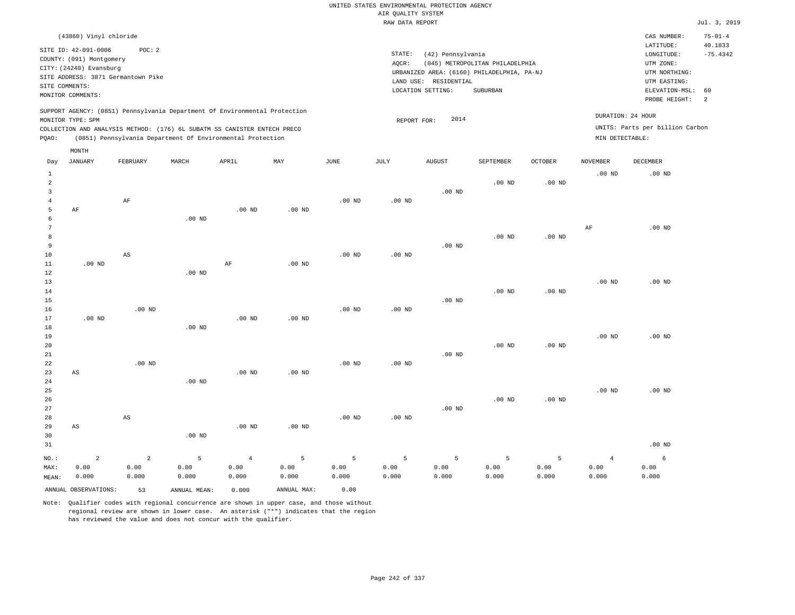| (43860) Vinyl chloride                                                                                                                                                                                                                             |                                                                                                                                                                                 | CAS NUMBER:                                                                                                 | $75 - 01 - 4$         |
|----------------------------------------------------------------------------------------------------------------------------------------------------------------------------------------------------------------------------------------------------|---------------------------------------------------------------------------------------------------------------------------------------------------------------------------------|-------------------------------------------------------------------------------------------------------------|-----------------------|
| SITE ID: 42-091-0006<br>POC: 2<br>COUNTY: (091) Montgomery<br>CITY: (24240) Evansburg<br>SITE ADDRESS: 3871 Germantown Pike<br>SITE COMMENTS:<br>MONITOR COMMENTS:                                                                                 | STATE:<br>(42) Pennsylvania<br>(045) METROPOLITAN PHILADELPHIA<br>AOCR:<br>URBANIZED AREA: (6160) PHILADELPHIA, PA-NJ<br>LAND USE: RESIDENTIAL<br>LOCATION SETTING:<br>SUBURBAN | LATITUDE:<br>LONGITUDE:<br>UTM ZONE:<br>UTM NORTHING:<br>UTM EASTING:<br>ELEVATION-MSL: 60<br>PROBE HEIGHT: | 40.1833<br>$-75.4342$ |
| SUPPORT AGENCY: (0851) Pennsylvania Department Of Environmental Protection<br>MONITOR TYPE: SPM<br>COLLECTION AND ANALYSIS METHOD: (176) 6L SUBATM SS CANISTER ENTECH PRECO<br>(0851) Pennsylvania Department Of Environmental Protection<br>POAO: | 2014<br>REPORT FOR:<br>MIN DETECTABLE:                                                                                                                                          | DURATION: 24 HOUR<br>UNITS: Parts per billion Carbon                                                        |                       |

|                                 | MONTH                  |                        |              |                   |             |          |          |          |                   |          |                |          |
|---------------------------------|------------------------|------------------------|--------------|-------------------|-------------|----------|----------|----------|-------------------|----------|----------------|----------|
| Day                             | JANUARY                | FEBRUARY               | $\tt MARCH$  | APRIL             | MAY         | JUNE     | JULY     | AUGUST   | SEPTEMBER         | OCTOBER  | NOVEMBER       | DECEMBER |
| $\mathbf{1}$<br>$\sqrt{2}$<br>3 |                        |                        |              |                   |             |          |          | $.00$ ND | $.00$ ND          | $.00$ ND | $.00$ ND       | $.00$ ND |
| $\overline{4}$                  |                        | AF                     |              |                   |             | $.00$ ND | $.00$ ND |          |                   |          |                |          |
| 5                               | AF                     |                        |              | $.00$ ND          | $.00$ ND    |          |          |          |                   |          |                |          |
| 6                               |                        |                        | .00 $ND$     |                   |             |          |          |          |                   |          |                |          |
| 7                               |                        |                        |              |                   |             |          |          |          |                   |          | $\rm{AF}$      | $.00$ ND |
| 8                               |                        |                        |              |                   |             |          |          |          | $.00$ ND          | $.00$ ND |                |          |
| 9                               |                        | AS                     |              |                   |             |          |          | $.00$ ND |                   |          |                |          |
| 10<br>11                        | $.00$ ND               |                        |              | $\rm AF$          | $.00$ ND    | $.00$ ND | $.00$ ND |          |                   |          |                |          |
| 12                              |                        |                        | $.00$ ND     |                   |             |          |          |          |                   |          |                |          |
| 13                              |                        |                        |              |                   |             |          |          |          |                   |          | $.00$ ND       | $.00$ ND |
| 14                              |                        |                        |              |                   |             |          |          |          | .00 <sub>ND</sub> | $.00$ ND |                |          |
| 15                              |                        |                        |              |                   |             |          |          | $.00$ ND |                   |          |                |          |
| 16                              |                        | $.00$ ND               |              |                   |             | $.00$ ND | $.00$ ND |          |                   |          |                |          |
| 17                              | $.00$ ND               |                        |              | $.00$ ND          | .00 $ND$    |          |          |          |                   |          |                |          |
| 18                              |                        |                        | $.00$ ND     |                   |             |          |          |          |                   |          |                |          |
| 19                              |                        |                        |              |                   |             |          |          |          |                   |          | $.00$ ND       | $.00$ ND |
| 20                              |                        |                        |              |                   |             |          |          |          | .00 <sub>ND</sub> | $.00$ ND |                |          |
| 21                              |                        |                        |              |                   |             |          |          | $.00$ ND |                   |          |                |          |
| 22                              |                        | $.00$ ND               |              |                   |             | $.00$ ND | $.00$ ND |          |                   |          |                |          |
| 23                              | $\mathbb{A}\mathbb{S}$ |                        |              | .00 <sub>ND</sub> | $.00$ ND    |          |          |          |                   |          |                |          |
| 24                              |                        |                        | $.00$ ND     |                   |             |          |          |          |                   |          |                |          |
| 25<br>26                        |                        |                        |              |                   |             |          |          |          | .00 <sub>ND</sub> | $.00$ ND | $.00$ ND       | $.00$ ND |
| 27                              |                        |                        |              |                   |             |          |          | $.00$ ND |                   |          |                |          |
| 28                              |                        | $\mathbb{A}\mathbb{S}$ |              |                   |             | $.00$ ND | $.00$ ND |          |                   |          |                |          |
| 29                              | AS                     |                        |              | $.00$ ND          | $.00$ ND    |          |          |          |                   |          |                |          |
| 30                              |                        |                        | $.00$ ND     |                   |             |          |          |          |                   |          |                |          |
| 31                              |                        |                        |              |                   |             |          |          |          |                   |          |                | $.00$ ND |
| $NO.$ :                         | $\overline{a}$         | $\overline{a}$         | 5            | $\overline{4}$    | 5           | 5        | 5        | 5        | 5                 | 5        | $\overline{4}$ | 6        |
| MAX:                            | 0.00                   | 0.00                   | 0.00         | 0.00              | 0.00        | 0.00     | 0.00     | 0.00     | 0.00              | 0.00     | 0.00           | 0.00     |
| MEAN:                           | 0.000                  | 0.000                  | 0.000        | 0.000             | 0.000       | 0.000    | 0.000    | 0.000    | 0.000             | 0.000    | 0.000          | 0.000    |
|                                 | ANNUAL OBSERVATIONS:   | 53                     | ANNUAL MEAN: | 0.000             | ANNUAL MAX: | 0.00     |          |          |                   |          |                |          |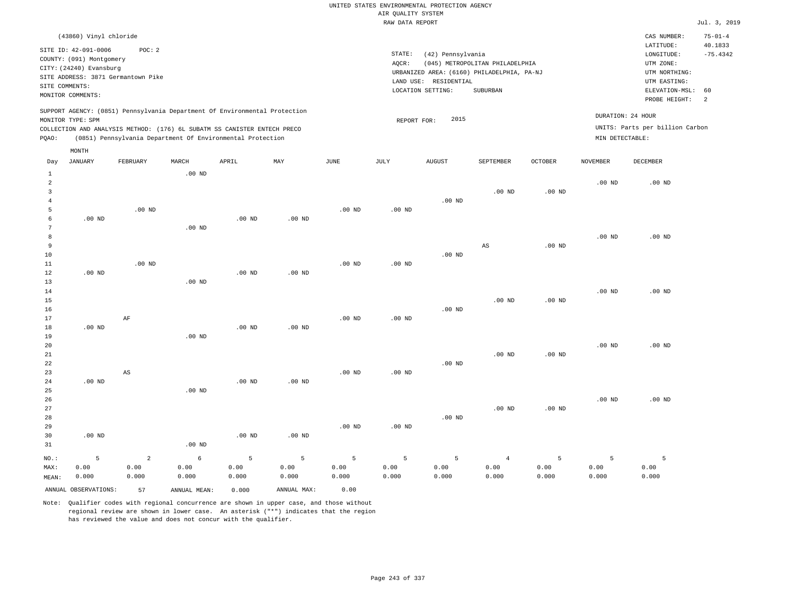|       |                                                                                                                    |                                                                                                                                                                                                                      |          |          |          |                   | RAW DATA REPORT              |                                                       |                                                                                           |                   |                                      |                                                                                                             | Jul. 3, 2019                |
|-------|--------------------------------------------------------------------------------------------------------------------|----------------------------------------------------------------------------------------------------------------------------------------------------------------------------------------------------------------------|----------|----------|----------|-------------------|------------------------------|-------------------------------------------------------|-------------------------------------------------------------------------------------------|-------------------|--------------------------------------|-------------------------------------------------------------------------------------------------------------|-----------------------------|
|       | (43860) Vinyl chloride                                                                                             |                                                                                                                                                                                                                      |          |          |          |                   |                              |                                                       |                                                                                           |                   |                                      | CAS NUMBER:                                                                                                 | $75 - 01 - 4$               |
|       | SITE ID: 42-091-0006<br>COUNTY: (091) Montgomery<br>CITY: (24240) Evansburg<br>SITE COMMENTS:<br>MONITOR COMMENTS: | POC: 2<br>SITE ADDRESS: 3871 Germantown Pike                                                                                                                                                                         |          |          |          |                   | STATE:<br>AOCR:<br>LAND USE: | (42) Pennsylvania<br>RESIDENTIAL<br>LOCATION SETTING: | (045) METROPOLITAN PHILADELPHIA<br>URBANIZED AREA: (6160) PHILADELPHIA, PA-NJ<br>SUBURBAN |                   |                                      | LATITUDE:<br>LONGITUDE:<br>UTM ZONE:<br>UTM NORTHING:<br>UTM EASTING:<br>ELEVATION-MSL: 60<br>PROBE HEIGHT: | 40.1833<br>$-75.4342$<br>-2 |
| POAO: | MONITOR TYPE: SPM<br>MONTH                                                                                         | SUPPORT AGENCY: (0851) Pennsylvania Department Of Environmental Protection<br>COLLECTION AND ANALYSIS METHOD: (176) 6L SUBATM SS CANISTER ENTECH PRECO<br>(0851) Pennsylvania Department Of Environmental Protection |          |          |          |                   | REPORT FOR:                  | 2015                                                  |                                                                                           |                   | DURATION: 24 HOUR<br>MIN DETECTABLE: | UNITS: Parts per billion Carbon                                                                             |                             |
| Day   | JANUARY                                                                                                            | FEBRUARY                                                                                                                                                                                                             | MARCH    | APRIL    | MAY      | JUNE              | JULY                         | <b>AUGUST</b>                                         | SEPTEMBER                                                                                 | <b>OCTOBER</b>    | NOVEMBER                             | DECEMBER                                                                                                    |                             |
|       |                                                                                                                    |                                                                                                                                                                                                                      | $.00$ ND |          |          |                   |                              | $.00$ ND                                              | $.00$ ND                                                                                  | .00 <sub>ND</sub> | .00 <sub>ND</sub>                    | $.00$ ND                                                                                                    |                             |
|       | $.00$ ND                                                                                                           | $.00$ ND                                                                                                                                                                                                             | $.00$ ND | $.00$ ND | $.00$ ND | .00 <sub>ND</sub> | $.00$ ND                     |                                                       |                                                                                           |                   |                                      |                                                                                                             |                             |
|       |                                                                                                                    |                                                                                                                                                                                                                      |          |          |          |                   |                              |                                                       | AS                                                                                        | .00 <sub>ND</sub> | $.00$ ND                             | $.00$ ND                                                                                                    |                             |

10 11 12 13 14 15 16 17 18 19 20 21 22 23 24 25 26 27 .00 ND .00 ND .00 ND .00 ND AF AS .00 ND .00 ND .00 ND .00 ND .00 ND .00 ND .00 ND .00 ND .00 ND .00 ND .00 ND .00 ND .00 ND .00 ND .00 ND .00 ND .00 ND .00 ND .00 ND .00 ND .00 ND .00 ND .00 ND .00 ND .00 ND .00 ND .00 ND .00 ND .00 ND .00 ND

| 28    |                      |       |              |          |             |                   |          | $.00$ ND |       |       |       |       |
|-------|----------------------|-------|--------------|----------|-------------|-------------------|----------|----------|-------|-------|-------|-------|
| 29    |                      |       |              |          |             | .00 <sub>ND</sub> | $.00$ ND |          |       |       |       |       |
| 30    | $.00$ ND             |       |              | $.00$ ND | $.00$ ND    |                   |          |          |       |       |       |       |
| 31    |                      |       | $.00$ ND     |          |             |                   |          |          |       |       |       |       |
| NO.:  |                      | ▵     | 6.           |          |             |                   | 5        |          | 4     |       |       |       |
| MAX:  | 0.00                 | 0.00  | 0.00         | 0.00     | 0.00        | 0.00              | 0.00     | 0.00     | 0.00  | 0.00  | 0.00  | 0.00  |
| MEAN: | 0.000                | 0.000 | 0.000        | 0.000    | 0.000       | 0.000             | 0.000    | 0.000    | 0.000 | 0.000 | 0.000 | 0.000 |
|       | ANNUAL OBSERVATIONS: | 57    | ANNUAL MEAN: | 0.000    | ANNUAL MAX: | 0.00              |          |          |       |       |       |       |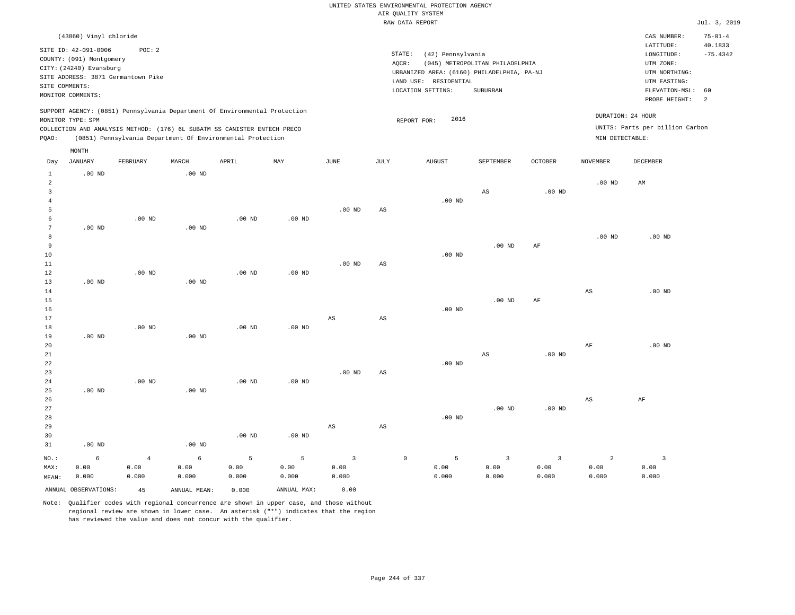|                                           |                          |                                    |                   |                                                                            |              |                         |             | UNITED STATES ENVIRONMENTAL PROTECTION AGENCY |                                 |                   |                   |                                 |               |
|-------------------------------------------|--------------------------|------------------------------------|-------------------|----------------------------------------------------------------------------|--------------|-------------------------|-------------|-----------------------------------------------|---------------------------------|-------------------|-------------------|---------------------------------|---------------|
|                                           |                          |                                    |                   |                                                                            |              |                         |             | AIR QUALITY SYSTEM<br>RAW DATA REPORT         |                                 |                   |                   |                                 | Jul. 3, 2019  |
|                                           |                          |                                    |                   |                                                                            |              |                         |             |                                               |                                 |                   |                   |                                 |               |
|                                           | (43860) Vinyl chloride   |                                    |                   |                                                                            |              |                         |             |                                               |                                 |                   |                   | CAS NUMBER:                     | $75 - 01 - 4$ |
|                                           | SITE ID: 42-091-0006     | POC: 2                             |                   |                                                                            |              |                         |             |                                               |                                 |                   |                   | LATITUDE:                       | 40.1833       |
|                                           | COUNTY: (091) Montgomery |                                    |                   |                                                                            |              |                         | STATE:      | (42) Pennsylvania                             |                                 |                   |                   | LONGITUDE:                      | $-75.4342$    |
|                                           | CITY: (24240) Evansburg  |                                    |                   |                                                                            |              |                         | AQCR:       |                                               | (045) METROPOLITAN PHILADELPHIA |                   |                   | UTM ZONE:                       |               |
|                                           |                          | SITE ADDRESS: 3871 Germantown Pike |                   |                                                                            |              |                         |             | URBANIZED AREA: (6160) PHILADELPHIA, PA-NJ    |                                 |                   |                   | UTM NORTHING:                   |               |
| SITE COMMENTS:                            |                          |                                    |                   |                                                                            |              |                         |             | LAND USE: RESIDENTIAL<br>LOCATION SETTING:    | SUBURBAN                        |                   |                   | UTM EASTING:<br>ELEVATION-MSL:  | 60            |
|                                           | MONITOR COMMENTS:        |                                    |                   |                                                                            |              |                         |             |                                               |                                 |                   |                   | PROBE HEIGHT:                   | 2             |
|                                           |                          |                                    |                   | SUPPORT AGENCY: (0851) Pennsylvania Department Of Environmental Protection |              |                         |             |                                               |                                 |                   |                   |                                 |               |
|                                           | MONITOR TYPE: SPM        |                                    |                   |                                                                            |              |                         |             | 2016<br>REPORT FOR:                           |                                 |                   | DURATION: 24 HOUR |                                 |               |
|                                           |                          |                                    |                   | COLLECTION AND ANALYSIS METHOD: (176) 6L SUBATM SS CANISTER ENTECH PRECO   |              |                         |             |                                               |                                 |                   |                   | UNITS: Parts per billion Carbon |               |
| PQAO:                                     |                          |                                    |                   | (0851) Pennsylvania Department Of Environmental Protection                 |              |                         |             |                                               |                                 |                   | MIN DETECTABLE:   |                                 |               |
|                                           | MONTH                    |                                    |                   |                                                                            |              |                         |             |                                               |                                 |                   |                   |                                 |               |
| Day                                       | $_{\rm JANUARY}$         | FEBRUARY                           | MARCH             | APRIL                                                                      | $_{\rm MAY}$ | JUNE                    | JULY        | AUGUST                                        | SEPTEMBER                       | <b>OCTOBER</b>    | NOVEMBER          | DECEMBER                        |               |
| 1                                         | $.00$ ND                 |                                    | $.00$ ND          |                                                                            |              |                         |             |                                               |                                 |                   | $.00$ ND          |                                 |               |
| $\overline{a}$<br>$\overline{\mathbf{3}}$ |                          |                                    |                   |                                                                            |              |                         |             |                                               | $_{\rm AS}$                     | $.00$ ND          |                   | AM                              |               |
| $\overline{4}$                            |                          |                                    |                   |                                                                            |              |                         |             | $.00$ ND                                      |                                 |                   |                   |                                 |               |
| 5                                         |                          |                                    |                   |                                                                            |              | $.00$ ND                | AS          |                                               |                                 |                   |                   |                                 |               |
| 6                                         |                          | $.00$ ND                           |                   | $.00$ ND                                                                   | $.00$ ND     |                         |             |                                               |                                 |                   |                   |                                 |               |
| $7\phantom{.0}$                           | .00 <sub>ND</sub>        |                                    | .00 <sub>ND</sub> |                                                                            |              |                         |             |                                               |                                 |                   |                   |                                 |               |
| 8                                         |                          |                                    |                   |                                                                            |              |                         |             |                                               |                                 |                   | $.00$ ND          | $.00$ ND                        |               |
| $\overline{9}$                            |                          |                                    |                   |                                                                            |              |                         |             |                                               | .00 <sub>ND</sub>               | $\rm AF$          |                   |                                 |               |
| 10                                        |                          |                                    |                   |                                                                            |              |                         |             | $.00$ ND                                      |                                 |                   |                   |                                 |               |
| 11                                        |                          |                                    |                   |                                                                            |              | $.00$ ND                | AS          |                                               |                                 |                   |                   |                                 |               |
| $1\,2$                                    |                          | $.00$ ND                           |                   | .00 <sub>ND</sub>                                                          | $.00$ ND     |                         |             |                                               |                                 |                   |                   |                                 |               |
| 13                                        | $.00$ ND                 |                                    | $.00$ ND          |                                                                            |              |                         |             |                                               |                                 |                   |                   |                                 |               |
| 14                                        |                          |                                    |                   |                                                                            |              |                         |             |                                               |                                 |                   | $_{\rm AS}$       | $.00$ ND                        |               |
| 15                                        |                          |                                    |                   |                                                                            |              |                         |             |                                               | $.00$ ND                        | $\rm{AF}$         |                   |                                 |               |
| 16                                        |                          |                                    |                   |                                                                            |              |                         |             | $.00$ ND                                      |                                 |                   |                   |                                 |               |
| 17                                        |                          |                                    |                   |                                                                            |              | $_{\rm AS}$             | $_{\rm AS}$ |                                               |                                 |                   |                   |                                 |               |
| 18                                        |                          | $.00$ ND                           |                   | $.00$ ND                                                                   | $.00$ ND     |                         |             |                                               |                                 |                   |                   |                                 |               |
| 19<br>20                                  | $.00$ ND                 |                                    | $.00$ ND          |                                                                            |              |                         |             |                                               |                                 |                   | AF                | $.00$ ND                        |               |
| $2\sqrt{1}$                               |                          |                                    |                   |                                                                            |              |                         |             |                                               | $\mathbb{A}\mathbb{S}$          | .00 <sub>ND</sub> |                   |                                 |               |
| 22                                        |                          |                                    |                   |                                                                            |              |                         |             | $.00$ ND                                      |                                 |                   |                   |                                 |               |
| 23                                        |                          |                                    |                   |                                                                            |              | .00 <sub>ND</sub>       | AS          |                                               |                                 |                   |                   |                                 |               |
| 24                                        |                          | $.00$ ND                           |                   | .00 <sub>ND</sub>                                                          | $.00$ ND     |                         |             |                                               |                                 |                   |                   |                                 |               |
| 25                                        | $.00$ ND                 |                                    | $.00$ ND          |                                                                            |              |                         |             |                                               |                                 |                   |                   |                                 |               |
| 26                                        |                          |                                    |                   |                                                                            |              |                         |             |                                               |                                 |                   | $_{\rm AS}$       | AF                              |               |
| 27                                        |                          |                                    |                   |                                                                            |              |                         |             |                                               | .00 <sub>ND</sub>               | $.00$ ND          |                   |                                 |               |
| 28                                        |                          |                                    |                   |                                                                            |              |                         |             | $.00$ ND                                      |                                 |                   |                   |                                 |               |
| 29                                        |                          |                                    |                   |                                                                            |              | $_{\rm AS}$             | AS          |                                               |                                 |                   |                   |                                 |               |
| 30                                        |                          |                                    |                   | $.00$ ND                                                                   | $.00$ ND     |                         |             |                                               |                                 |                   |                   |                                 |               |
| 31                                        | $.00$ ND                 |                                    | .00 <sub>ND</sub> |                                                                            |              |                         |             |                                               |                                 |                   |                   |                                 |               |
| NO.:                                      | 6                        | $\,4$                              | 6                 | 5                                                                          | 5            | $\overline{\mathbf{3}}$ |             | $\mathbb O$<br>5                              | $\overline{\mathbf{3}}$         | $\overline{3}$    | $\overline{2}$    | $\overline{3}$                  |               |
| MAX:                                      | 0.00                     | 0.00                               | 0.00              | 0.00                                                                       | 0.00         | 0.00                    |             | 0.00                                          | 0.00                            | 0.00              | 0.00              | 0.00                            |               |
| MEAN:                                     | 0.000                    | 0.000                              | 0.000             | 0.000                                                                      | 0.000        | 0.000                   |             | 0.000                                         | 0.000                           | 0.000             | 0.000             | 0.000                           |               |
|                                           | ANNUAL OBSERVATIONS:     | 45                                 | ANNUAL MEAN:      | 0.000                                                                      | ANNUAL MAX:  | 0.00                    |             |                                               |                                 |                   |                   |                                 |               |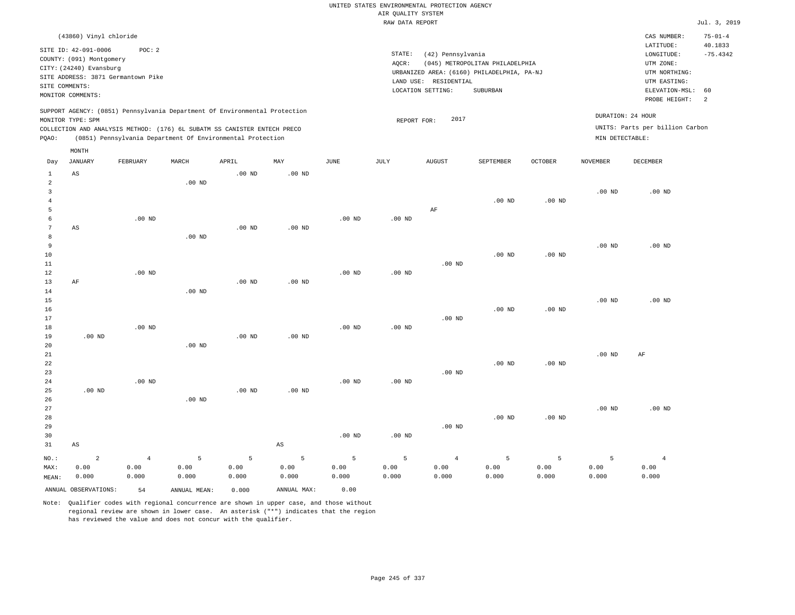|                                |                                                                          |                                    |                   |                                                                            |                        |                   |                    | UNITED STATES ENVIRONMENTAL PROTECTION AGENCY |                                                                                                  |                   |                   |                                                              |                                        |
|--------------------------------|--------------------------------------------------------------------------|------------------------------------|-------------------|----------------------------------------------------------------------------|------------------------|-------------------|--------------------|-----------------------------------------------|--------------------------------------------------------------------------------------------------|-------------------|-------------------|--------------------------------------------------------------|----------------------------------------|
|                                |                                                                          |                                    |                   |                                                                            |                        |                   | AIR QUALITY SYSTEM |                                               |                                                                                                  |                   |                   |                                                              |                                        |
|                                |                                                                          |                                    |                   |                                                                            |                        |                   | RAW DATA REPORT    |                                               |                                                                                                  |                   |                   |                                                              | Jul. 3, 2019                           |
|                                | (43860) Vinyl chloride<br>SITE ID: 42-091-0006                           | POC: 2                             |                   |                                                                            |                        |                   | STATE:             | (42) Pennsylvania                             |                                                                                                  |                   |                   | CAS NUMBER:<br>LATITUDE:<br>LONGITUDE:                       | $75 - 01 - 4$<br>40.1833<br>$-75.4342$ |
| SITE COMMENTS:                 | COUNTY: (091) Montgomery<br>CITY: (24240) Evansburg<br>MONITOR COMMENTS: | SITE ADDRESS: 3871 Germantown Pike |                   |                                                                            |                        |                   | AQCR:              | LAND USE: RESIDENTIAL<br>LOCATION SETTING:    | (045) METROPOLITAN PHILADELPHIA<br>URBANIZED AREA: (6160) PHILADELPHIA, PA-NJ<br><b>SUBURBAN</b> |                   |                   | UTM ZONE:<br>UTM NORTHING:<br>UTM EASTING:<br>ELEVATION-MSL: | 60                                     |
|                                |                                                                          |                                    |                   |                                                                            |                        |                   |                    |                                               |                                                                                                  |                   |                   | PROBE HEIGHT:                                                | 2                                      |
|                                | MONITOR TYPE: SPM                                                        |                                    |                   | SUPPORT AGENCY: (0851) Pennsylvania Department Of Environmental Protection |                        |                   | REPORT FOR:        | 2017                                          |                                                                                                  |                   |                   | DURATION: 24 HOUR                                            |                                        |
|                                |                                                                          |                                    |                   | COLLECTION AND ANALYSIS METHOD: (176) 6L SUBATM SS CANISTER ENTECH PRECO   |                        |                   |                    |                                               |                                                                                                  |                   |                   | UNITS: Parts per billion Carbon                              |                                        |
| PQAO:                          |                                                                          |                                    |                   | (0851) Pennsylvania Department Of Environmental Protection                 |                        |                   |                    |                                               |                                                                                                  |                   | MIN DETECTABLE:   |                                                              |                                        |
|                                | MONTH                                                                    |                                    |                   |                                                                            |                        |                   |                    |                                               |                                                                                                  |                   |                   |                                                              |                                        |
| Day                            | JANUARY                                                                  | FEBRUARY                           | MARCH             | APRIL                                                                      | MAY                    | $_{\rm JUNE}$     | JULY               | <b>AUGUST</b>                                 | SEPTEMBER                                                                                        | <b>OCTOBER</b>    | <b>NOVEMBER</b>   | DECEMBER                                                     |                                        |
| $1\,$<br>$\sqrt{2}$            | AS                                                                       |                                    | .00 <sub>ND</sub> | $.00$ ND                                                                   | $.00$ ND               |                   |                    |                                               |                                                                                                  |                   |                   |                                                              |                                        |
| $\mathbf{3}$<br>$\overline{4}$ |                                                                          |                                    |                   |                                                                            |                        |                   |                    |                                               | $.00$ ND                                                                                         | .00 <sub>ND</sub> | .00 <sub>ND</sub> | $.00$ ND                                                     |                                        |
| 5<br>6                         |                                                                          | $.00$ ND                           |                   |                                                                            |                        | $.00$ ND          | $.00$ ND           | AF                                            |                                                                                                  |                   |                   |                                                              |                                        |
| $\boldsymbol{7}$<br>8          | AS                                                                       |                                    | $.00$ ND          | .00 <sub>ND</sub>                                                          | $.00$ ND               |                   |                    |                                               |                                                                                                  |                   |                   |                                                              |                                        |
| 9                              |                                                                          |                                    |                   |                                                                            |                        |                   |                    |                                               |                                                                                                  |                   | $.00$ ND          | $.00$ ND                                                     |                                        |
| 10<br>11                       |                                                                          |                                    |                   |                                                                            |                        |                   |                    | $.00$ ND                                      | $.00$ ND                                                                                         | $.00$ ND          |                   |                                                              |                                        |
| 12<br>13                       | AF                                                                       | $.00$ ND                           |                   | $.00$ ND                                                                   | $.00$ ND               | $.00$ ND          | $.00$ ND           |                                               |                                                                                                  |                   |                   |                                                              |                                        |
| 14                             |                                                                          |                                    | $.00$ ND          |                                                                            |                        |                   |                    |                                               |                                                                                                  |                   |                   |                                                              |                                        |
| 15<br>16                       |                                                                          |                                    |                   |                                                                            |                        |                   |                    |                                               | $.00$ ND                                                                                         | $.00$ ND          | $.00$ ND          | $.00$ ND                                                     |                                        |
| 17<br>18                       |                                                                          | $.00$ ND                           |                   |                                                                            |                        | $.00$ ND          | $.00$ ND           | $.00$ ND                                      |                                                                                                  |                   |                   |                                                              |                                        |
| 19                             | $.00$ ND                                                                 |                                    |                   | $.00$ ND                                                                   | $.00$ ND               |                   |                    |                                               |                                                                                                  |                   |                   |                                                              |                                        |
| 20<br>21                       |                                                                          |                                    | $.00$ ND          |                                                                            |                        |                   |                    |                                               |                                                                                                  |                   | .00 <sub>ND</sub> | AF                                                           |                                        |
| 22                             |                                                                          |                                    |                   |                                                                            |                        |                   |                    |                                               | $.00$ ND                                                                                         | $.00$ ND          |                   |                                                              |                                        |
| 23<br>24                       |                                                                          | .00 <sub>ND</sub>                  |                   |                                                                            |                        | .00 <sub>ND</sub> | .00 <sub>ND</sub>  | $.00$ ND                                      |                                                                                                  |                   |                   |                                                              |                                        |
| 25<br>26                       | $.00$ ND                                                                 |                                    | $.00$ ND          | $.00$ ND                                                                   | $.00$ ND               |                   |                    |                                               |                                                                                                  |                   |                   |                                                              |                                        |
| 27                             |                                                                          |                                    |                   |                                                                            |                        |                   |                    |                                               |                                                                                                  |                   | .00 <sub>ND</sub> | $.00$ ND                                                     |                                        |
| 28<br>29                       |                                                                          |                                    |                   |                                                                            |                        |                   |                    | $.00$ ND                                      | $.00$ ND                                                                                         | $.00$ ND          |                   |                                                              |                                        |
| 30                             |                                                                          |                                    |                   |                                                                            |                        | $.00$ ND          | $.00$ ND           |                                               |                                                                                                  |                   |                   |                                                              |                                        |
| 31                             | $\mathbb{A}\mathbb{S}$                                                   |                                    |                   |                                                                            | $\mathbb{A}\mathbb{S}$ |                   |                    |                                               |                                                                                                  |                   |                   |                                                              |                                        |
| NO.:                           | $\overline{c}$                                                           | $\overline{4}$                     | 5                 | 5                                                                          | 5                      | 5                 | 5                  | $\overline{4}$                                | 5                                                                                                | 5                 | 5                 | $\overline{4}$                                               |                                        |
| MAX:<br>MEAN:                  | 0.00<br>0.000                                                            | 0.00<br>0.000                      | 0.00<br>0.000     | 0.00<br>0.000                                                              | 0.00<br>0.000          | 0.00<br>0.000     | 0.00<br>0.000      | 0.00<br>0.000                                 | 0.00<br>0.000                                                                                    | 0.00<br>0.000     | 0.00<br>0.000     | 0.00<br>0.000                                                |                                        |
|                                | ANNUAL OBSERVATIONS:                                                     | 54                                 | ANNUAL, MEAN:     | 0.000                                                                      | ANNUAL MAX:            | 0.00              |                    |                                               |                                                                                                  |                   |                   |                                                              |                                        |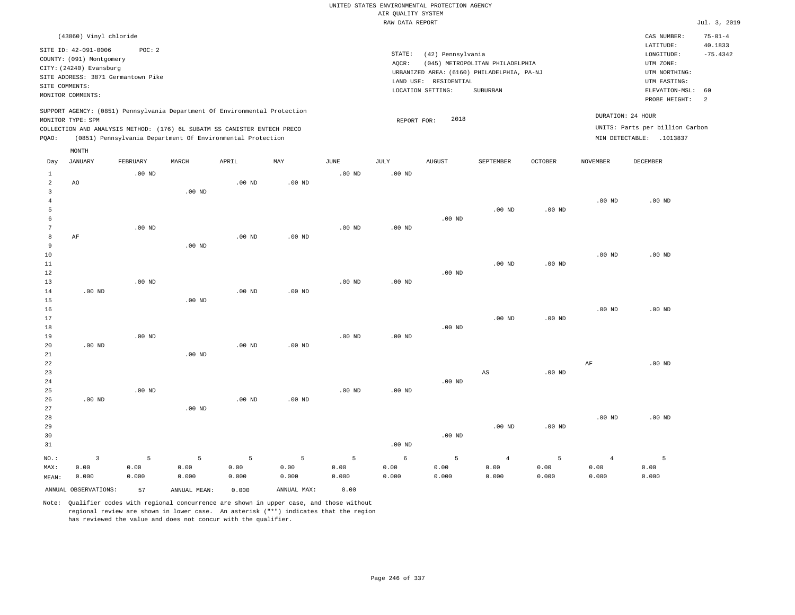|                     |                                                                                                                                                                  |                   |                   |                                                            |             |                   |                                       | UNITED STATES ENVIRONMENTAL PROTECTION AGENCY                   |                                                                                           |                   |                   |                                                                                                                         |                                                                |
|---------------------|------------------------------------------------------------------------------------------------------------------------------------------------------------------|-------------------|-------------------|------------------------------------------------------------|-------------|-------------------|---------------------------------------|-----------------------------------------------------------------|-------------------------------------------------------------------------------------------|-------------------|-------------------|-------------------------------------------------------------------------------------------------------------------------|----------------------------------------------------------------|
|                     |                                                                                                                                                                  |                   |                   |                                                            |             |                   | AIR QUALITY SYSTEM<br>RAW DATA REPORT |                                                                 |                                                                                           |                   |                   |                                                                                                                         | Jul. 3, 2019                                                   |
|                     |                                                                                                                                                                  |                   |                   |                                                            |             |                   |                                       |                                                                 |                                                                                           |                   |                   |                                                                                                                         |                                                                |
| SITE COMMENTS:      | (43860) Vinyl chloride<br>SITE ID: 42-091-0006<br>COUNTY: (091) Montgomery<br>CITY: (24240) Evansburg<br>SITE ADDRESS: 3871 Germantown Pike<br>MONITOR COMMENTS: | POC: 2            |                   |                                                            |             |                   | STATE:<br>AQCR:                       | (42) Pennsylvania<br>LAND USE: RESIDENTIAL<br>LOCATION SETTING: | (045) METROPOLITAN PHILADELPHIA<br>URBANIZED AREA: (6160) PHILADELPHIA, PA-NJ<br>SUBURBAN |                   |                   | CAS NUMBER:<br>LATITUDE:<br>LONGITUDE:<br>UTM ZONE:<br>UTM NORTHING:<br>UTM EASTING:<br>ELEVATION-MSL:<br>PROBE HEIGHT: | $75 - 01 - 4$<br>40.1833<br>$-75.4342$<br>60<br>$\overline{a}$ |
|                     | SUPPORT AGENCY: (0851) Pennsylvania Department Of Environmental Protection<br>MONITOR TYPE: SPM                                                                  |                   |                   |                                                            |             |                   |                                       | 2018                                                            |                                                                                           |                   |                   | DURATION: 24 HOUR                                                                                                       |                                                                |
|                     | COLLECTION AND ANALYSIS METHOD: (176) 6L SUBATM SS CANISTER ENTECH PRECO                                                                                         |                   |                   |                                                            |             |                   | REPORT FOR:                           |                                                                 |                                                                                           |                   |                   | UNITS: Parts per billion Carbon                                                                                         |                                                                |
| PQAO:               |                                                                                                                                                                  |                   |                   | (0851) Pennsylvania Department Of Environmental Protection |             |                   |                                       |                                                                 |                                                                                           |                   |                   | MIN DETECTABLE: .1013837                                                                                                |                                                                |
|                     | MONTH                                                                                                                                                            |                   |                   |                                                            |             |                   |                                       |                                                                 |                                                                                           |                   |                   |                                                                                                                         |                                                                |
| Day                 | <b>JANUARY</b>                                                                                                                                                   | FEBRUARY          | MARCH             | APRIL                                                      | MAY         | <b>JUNE</b>       | JULY                                  | <b>AUGUST</b>                                                   | SEPTEMBER                                                                                 | <b>OCTOBER</b>    | <b>NOVEMBER</b>   | <b>DECEMBER</b>                                                                                                         |                                                                |
| $\mathbf{1}$        |                                                                                                                                                                  | .00 <sub>ND</sub> |                   |                                                            |             | $.00$ ND          | .00 <sub>ND</sub>                     |                                                                 |                                                                                           |                   |                   |                                                                                                                         |                                                                |
| $\overline{a}$      | AO                                                                                                                                                               |                   |                   | $.00$ ND                                                   | $.00$ ND    |                   |                                       |                                                                 |                                                                                           |                   |                   |                                                                                                                         |                                                                |
| $\overline{3}$      |                                                                                                                                                                  |                   | .00 <sub>ND</sub> |                                                            |             |                   |                                       |                                                                 |                                                                                           |                   |                   |                                                                                                                         |                                                                |
| $\overline{4}$<br>5 |                                                                                                                                                                  |                   |                   |                                                            |             |                   |                                       |                                                                 | .00 <sub>ND</sub>                                                                         | .00 <sub>ND</sub> | $.00$ ND          | $.00$ ND                                                                                                                |                                                                |
| 6                   |                                                                                                                                                                  |                   |                   |                                                            |             |                   |                                       | $.00$ ND                                                        |                                                                                           |                   |                   |                                                                                                                         |                                                                |
| $7\phantom{.0}$     |                                                                                                                                                                  | .00 <sub>ND</sub> |                   |                                                            |             | .00 <sub>ND</sub> | .00 <sub>ND</sub>                     |                                                                 |                                                                                           |                   |                   |                                                                                                                         |                                                                |
| $^{\rm 8}$          | AF                                                                                                                                                               |                   |                   | .00 <sub>ND</sub>                                          | $.00$ ND    |                   |                                       |                                                                 |                                                                                           |                   |                   |                                                                                                                         |                                                                |
| 9                   |                                                                                                                                                                  |                   | $.00$ ND          |                                                            |             |                   |                                       |                                                                 |                                                                                           |                   |                   |                                                                                                                         |                                                                |
| 10                  |                                                                                                                                                                  |                   |                   |                                                            |             |                   |                                       |                                                                 |                                                                                           |                   | .00 <sub>ND</sub> | .00 <sub>ND</sub>                                                                                                       |                                                                |
| 11                  |                                                                                                                                                                  |                   |                   |                                                            |             |                   |                                       |                                                                 | $.00$ ND                                                                                  | $.00$ ND          |                   |                                                                                                                         |                                                                |
| 12                  |                                                                                                                                                                  |                   |                   |                                                            |             |                   |                                       | .00 <sub>ND</sub>                                               |                                                                                           |                   |                   |                                                                                                                         |                                                                |
| 13<br>14            | $.00$ ND                                                                                                                                                         | $.00$ ND          |                   | $.00$ ND                                                   | $.00$ ND    | $.00$ ND          | $.00$ ND                              |                                                                 |                                                                                           |                   |                   |                                                                                                                         |                                                                |
| 15                  |                                                                                                                                                                  |                   | $.00$ ND          |                                                            |             |                   |                                       |                                                                 |                                                                                           |                   |                   |                                                                                                                         |                                                                |
| 16                  |                                                                                                                                                                  |                   |                   |                                                            |             |                   |                                       |                                                                 |                                                                                           |                   | $.00$ ND          | $.00$ ND                                                                                                                |                                                                |
| 17                  |                                                                                                                                                                  |                   |                   |                                                            |             |                   |                                       |                                                                 | .00 <sub>ND</sub>                                                                         | $.00$ ND          |                   |                                                                                                                         |                                                                |
| 18                  |                                                                                                                                                                  |                   |                   |                                                            |             |                   |                                       | $.00$ ND                                                        |                                                                                           |                   |                   |                                                                                                                         |                                                                |
| 19                  |                                                                                                                                                                  | $.00$ ND          |                   |                                                            |             | $.00$ ND          | $.00$ ND                              |                                                                 |                                                                                           |                   |                   |                                                                                                                         |                                                                |
| 20                  | $.00$ ND                                                                                                                                                         |                   |                   | .00 <sub>ND</sub>                                          | $.00$ ND    |                   |                                       |                                                                 |                                                                                           |                   |                   |                                                                                                                         |                                                                |
| 21<br>22            |                                                                                                                                                                  |                   | $.00$ ND          |                                                            |             |                   |                                       |                                                                 |                                                                                           |                   | $\rm AF$          | $.00$ ND                                                                                                                |                                                                |
| 23                  |                                                                                                                                                                  |                   |                   |                                                            |             |                   |                                       |                                                                 | AS                                                                                        | $.00$ ND          |                   |                                                                                                                         |                                                                |
| 24                  |                                                                                                                                                                  |                   |                   |                                                            |             |                   |                                       | $.00$ ND                                                        |                                                                                           |                   |                   |                                                                                                                         |                                                                |
| 25                  |                                                                                                                                                                  | $.00$ ND          |                   |                                                            |             | $.00$ ND          | $.00$ ND                              |                                                                 |                                                                                           |                   |                   |                                                                                                                         |                                                                |
| 26                  | $.00$ ND                                                                                                                                                         |                   |                   | $.00$ ND                                                   | $.00$ ND    |                   |                                       |                                                                 |                                                                                           |                   |                   |                                                                                                                         |                                                                |
| 27                  |                                                                                                                                                                  |                   | $.00$ ND          |                                                            |             |                   |                                       |                                                                 |                                                                                           |                   |                   |                                                                                                                         |                                                                |
| 28                  |                                                                                                                                                                  |                   |                   |                                                            |             |                   |                                       |                                                                 |                                                                                           |                   | $.00$ ND          | $.00$ ND                                                                                                                |                                                                |
| 29                  |                                                                                                                                                                  |                   |                   |                                                            |             |                   |                                       |                                                                 | .00 <sub>ND</sub>                                                                         | .00 <sub>ND</sub> |                   |                                                                                                                         |                                                                |
| 30<br>31            |                                                                                                                                                                  |                   |                   |                                                            |             |                   | .00 <sub>ND</sub>                     | $.00$ ND                                                        |                                                                                           |                   |                   |                                                                                                                         |                                                                |
|                     |                                                                                                                                                                  |                   |                   |                                                            |             |                   |                                       |                                                                 |                                                                                           |                   |                   |                                                                                                                         |                                                                |
| NO.:                | $\overline{3}$                                                                                                                                                   | 5                 | 5                 | 5                                                          | 5           | 5                 | 6                                     | 5                                                               | $\overline{4}$                                                                            | 5                 | $\overline{4}$    | 5                                                                                                                       |                                                                |
| MAX:                | 0.00                                                                                                                                                             | 0.00              | 0.00              | 0.00                                                       | 0.00        | 0.00              | 0.00                                  | 0.00                                                            | 0.00                                                                                      | 0.00              | 0.00              | 0.00                                                                                                                    |                                                                |
| MEAN:               | 0.000                                                                                                                                                            | 0.000             | 0.000             | 0.000                                                      | 0.000       | 0.000             | 0.000                                 | 0.000                                                           | 0.000                                                                                     | 0.000             | 0.000             | 0.000                                                                                                                   |                                                                |
|                     | ANNUAL OBSERVATIONS:                                                                                                                                             | 57                | ANNUAL MEAN:      | 0.000                                                      | ANNUAL MAX: | 0.00              |                                       |                                                                 |                                                                                           |                   |                   |                                                                                                                         |                                                                |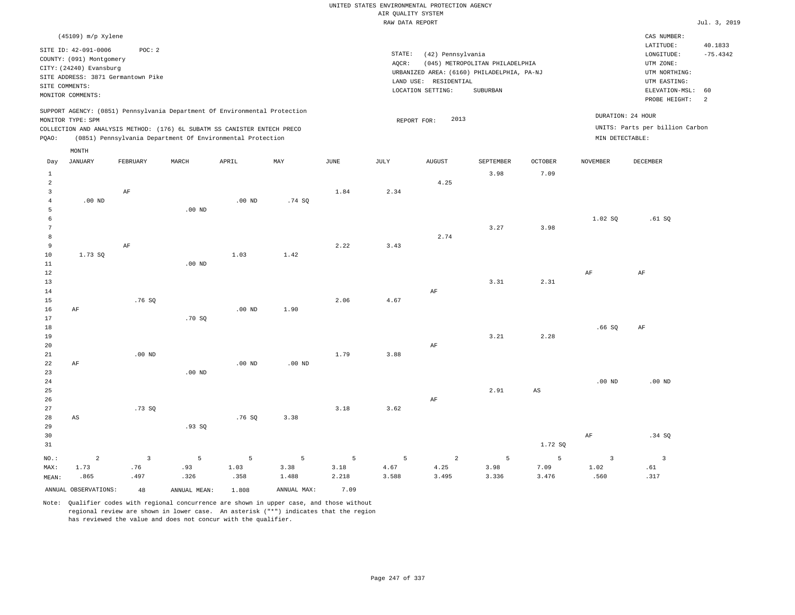| $(45109)$ m/p Xylene<br>SITE ID: 42-091-0006<br>POC:2<br>COUNTY: (091) Montgomery<br>CITY: (24240) Evansburg<br>SITE ADDRESS: 3871 Germantown Pike<br>SITE COMMENTS:<br>MONITOR COMMENTS:                                                          | STATE:<br>(42) Pennsylvania<br>(045) METROPOLITAN PHILADELPHIA<br>AOCR:<br>URBANIZED AREA: (6160) PHILADELPHIA, PA-NJ<br>LAND USE: RESIDENTIAL<br>SUBURBAN<br>LOCATION SETTING: | CAS NUMBER:<br>LATITUDE:<br>40.1833<br>$-75.4342$<br>LONGITUDE:<br>UTM ZONE:<br>UTM NORTHING:<br>UTM EASTING:<br>ELEVATION-MSL: 60<br>PROBE HEIGHT: |
|----------------------------------------------------------------------------------------------------------------------------------------------------------------------------------------------------------------------------------------------------|---------------------------------------------------------------------------------------------------------------------------------------------------------------------------------|-----------------------------------------------------------------------------------------------------------------------------------------------------|
| SUPPORT AGENCY: (0851) Pennsylvania Department Of Environmental Protection<br>MONITOR TYPE: SPM<br>COLLECTION AND ANALYSIS METHOD: (176) 6L SUBATM SS CANISTER ENTECH PRECO<br>(0851) Pennsylvania Department Of Environmental Protection<br>POAO: | DURATION: 24 HOUR<br>2013<br>REPORT FOR:<br>MIN DETECTABLE:                                                                                                                     | UNITS: Parts per billion Carbon                                                                                                                     |

|                | MONTH                |                |              |          |             |               |                 |               |           |                        |                   |                          |
|----------------|----------------------|----------------|--------------|----------|-------------|---------------|-----------------|---------------|-----------|------------------------|-------------------|--------------------------|
| Day            | <b>JANUARY</b>       | FEBRUARY       | MARCH        | APRIL    | MAY         | $_{\rm JUNE}$ | $\mathtt{JULY}$ | <b>AUGUST</b> | SEPTEMBER | OCTOBER                | <b>NOVEMBER</b>   | DECEMBER                 |
| $\mathbf{1}$   |                      |                |              |          |             |               |                 |               | 3.98      | 7.09                   |                   |                          |
| $\overline{a}$ |                      |                |              |          |             |               |                 | 4.25          |           |                        |                   |                          |
| 3              |                      | AF             |              |          |             | 1.84          | 2.34            |               |           |                        |                   |                          |
| $\overline{4}$ | $.00$ ND             |                |              | $.00$ ND | .74 SQ      |               |                 |               |           |                        |                   |                          |
| 5              |                      |                | $.00$ ND     |          |             |               |                 |               |           |                        |                   |                          |
| 6              |                      |                |              |          |             |               |                 |               |           |                        | 1.02 SQ           | .61SQ                    |
| 7              |                      |                |              |          |             |               |                 |               | 3.27      | 3.98                   |                   |                          |
| 8              |                      |                |              |          |             |               |                 | 2.74          |           |                        |                   |                          |
| 9              |                      | $\rm{AF}$      |              |          |             | 2.22          | 3.43            |               |           |                        |                   |                          |
| 10             | 1.73 SQ              |                |              | 1.03     | 1.42        |               |                 |               |           |                        |                   |                          |
| 11             |                      |                | $.00$ ND     |          |             |               |                 |               |           |                        |                   |                          |
| 12             |                      |                |              |          |             |               |                 |               |           |                        | $\rm{AF}$         | $\rm AF$                 |
| 13             |                      |                |              |          |             |               |                 |               | 3.31      | 2.31                   |                   |                          |
| 14             |                      |                |              |          |             |               |                 | $\rm AF$      |           |                        |                   |                          |
| 15             |                      | .76 SQ         |              |          |             | 2.06          | 4.67            |               |           |                        |                   |                          |
| 16             | $\rm AF$             |                |              | $.00$ ND | 1.90        |               |                 |               |           |                        |                   |                          |
| 17             |                      |                | .70SQ        |          |             |               |                 |               |           |                        |                   |                          |
| 18             |                      |                |              |          |             |               |                 |               |           |                        | .66SQ             | AF                       |
| 19<br>20       |                      |                |              |          |             |               |                 |               | 3.21      | 2.28                   |                   |                          |
| 21             |                      | $.00$ ND       |              |          |             | 1.79          | 3.88            | $\rm AF$      |           |                        |                   |                          |
| 22             | $\rm AF$             |                |              | $.00$ ND | $.00$ ND    |               |                 |               |           |                        |                   |                          |
| 23             |                      |                | $.00$ ND     |          |             |               |                 |               |           |                        |                   |                          |
| 24             |                      |                |              |          |             |               |                 |               |           |                        | $.00~\mathrm{ND}$ | .00 $ND$                 |
| 25             |                      |                |              |          |             |               |                 |               | 2.91      | $\mathbb{A}\mathbb{S}$ |                   |                          |
| 26             |                      |                |              |          |             |               |                 | $\rm{AF}$     |           |                        |                   |                          |
| 27             |                      | .73SQ          |              |          |             | 3.18          | 3.62            |               |           |                        |                   |                          |
| 28             | AS                   |                |              | .76SQ    | 3.38        |               |                 |               |           |                        |                   |                          |
| 29             |                      |                | .93SQ        |          |             |               |                 |               |           |                        |                   |                          |
| 30             |                      |                |              |          |             |               |                 |               |           |                        | $\rm{AF}$         | .34 SQ                   |
| 31             |                      |                |              |          |             |               |                 |               |           | 1.72 SQ                |                   |                          |
| $NO.$ :        | $\sqrt{2}$           | $\overline{3}$ | 5            | 5        | 5           | 5             | 5               | $\sqrt{2}$    | 5         | 5                      | $\overline{3}$    | $\overline{\phantom{a}}$ |
| MAX:           | 1.73                 | .76            | .93          | 1.03     | 3.38        | 3.18          | 4.67            | 4.25          | 3.98      | 7.09                   | 1.02              | .61                      |
| MEAN:          | .865                 | .497           | .326         | .358     | 1.488       | 2.218         | 3.588           | 3.495         | 3.336     | 3.476                  | .560              | .317                     |
|                | ANNUAL OBSERVATIONS: | 48             | ANNUAL MEAN: | 1.808    | ANNUAL MAX: | 7.09          |                 |               |           |                        |                   |                          |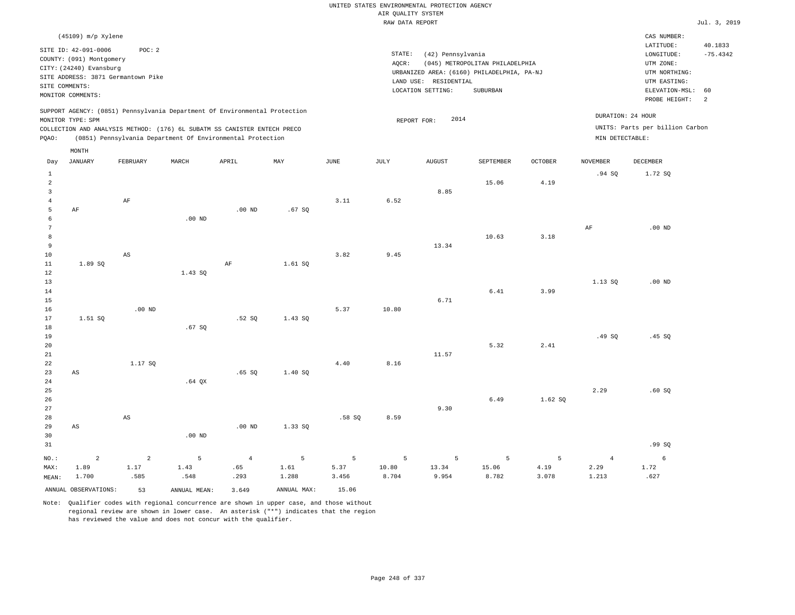| (45109) m/p Xylene                                                                              |          |       |                                                            |     |      |           |                                            |                                 |                |                   | CAS NUMBER:                     |            |
|-------------------------------------------------------------------------------------------------|----------|-------|------------------------------------------------------------|-----|------|-----------|--------------------------------------------|---------------------------------|----------------|-------------------|---------------------------------|------------|
| SITE ID: 42-091-0006                                                                            | POC: 2   |       |                                                            |     |      |           |                                            |                                 |                |                   | LATITUDE:                       | 40.1833    |
| COUNTY: (091) Montgomery                                                                        |          |       |                                                            |     |      | STATE:    | (42) Pennsylvania                          |                                 |                |                   | LONGITUDE:                      | $-75.4342$ |
| CITY: (24240) Evansburg                                                                         |          |       |                                                            |     |      | AQCR:     |                                            | (045) METROPOLITAN PHILADELPHIA |                |                   | UTM ZONE:                       |            |
| SITE ADDRESS: 3871 Germantown Pike                                                              |          |       |                                                            |     |      |           | URBANIZED AREA: (6160) PHILADELPHIA, PA-NJ |                                 |                |                   | UTM NORTHING:                   |            |
|                                                                                                 |          |       |                                                            |     |      | LAND USE: | RESIDENTIAL                                |                                 |                |                   | UTM EASTING:                    |            |
| SITE COMMENTS:                                                                                  |          |       |                                                            |     |      |           | LOCATION SETTING:                          | SUBURBAN                        |                |                   | ELEVATION-MSL: 60               |            |
| MONITOR COMMENTS:                                                                               |          |       |                                                            |     |      |           |                                            |                                 |                |                   | PROBE HEIGHT:                   | -2         |
| SUPPORT AGENCY: (0851) Pennsylvania Department Of Environmental Protection<br>MONITOR TYPE: SPM |          |       |                                                            |     |      |           | 2014<br>REPORT FOR:                        |                                 |                | DURATION: 24 HOUR |                                 |            |
| COLLECTION AND ANALYSIS METHOD: (176) 6L SUBATM SS CANISTER ENTECH PRECO                        |          |       |                                                            |     |      |           |                                            |                                 |                |                   | UNITS: Parts per billion Carbon |            |
| POAO:                                                                                           |          |       | (0851) Pennsylvania Department Of Environmental Protection |     |      |           |                                            |                                 |                | MIN DETECTABLE:   |                                 |            |
| MONTH                                                                                           |          |       |                                                            |     |      |           |                                            |                                 |                |                   |                                 |            |
| JANUARY<br>Day                                                                                  | FEBRUARY | MARCH | APRIL                                                      | MAY | JUNE | JULY      | <b>AUGUST</b>                              | SEPTEMBER                       | <b>OCTOBER</b> | NOVEMBER          | <b>DECEMBER</b>                 |            |
|                                                                                                 |          |       |                                                            |     |      |           |                                            |                                 |                | .94 SO            | 1.72 SO                         |            |

| $\overline{a}$ |                        |                        |          |                |         |       |       |       | 15.06    | 4.19  |                |                 |
|----------------|------------------------|------------------------|----------|----------------|---------|-------|-------|-------|----------|-------|----------------|-----------------|
| $\overline{3}$ |                        |                        |          |                |         |       |       | 8.85  |          |       |                |                 |
| $\overline{4}$ |                        | $\rm AF$               |          |                |         | 3.11  | 6.52  |       |          |       |                |                 |
| 5              | $\rm AF$               |                        |          | $.00$ ND       | .67SQ   |       |       |       |          |       |                |                 |
| 6              |                        |                        | $.00$ ND |                |         |       |       |       |          |       |                |                 |
| 7              |                        |                        |          |                |         |       |       |       |          |       | $\rm{AF}$      | $.00$ ND        |
| 8              |                        |                        |          |                |         |       |       |       | 10.63    | 3.18  |                |                 |
| 9              |                        |                        |          |                |         |       |       | 13.34 |          |       |                |                 |
| 10             |                        | AS                     |          |                |         | 3.82  | 9.45  |       |          |       |                |                 |
| 11             | 1.89 SQ                |                        |          | $\rm AF$       | 1.61 SQ |       |       |       |          |       |                |                 |
| 12             |                        |                        | 1.43 SQ  |                |         |       |       |       |          |       |                |                 |
| 13             |                        |                        |          |                |         |       |       |       |          |       | 1.13 SQ        | $.00$ ND        |
| 14             |                        |                        |          |                |         |       |       |       | $6.41\,$ | 3.99  |                |                 |
| 15             |                        |                        |          |                |         |       |       | 6.71  |          |       |                |                 |
| 16             |                        | $.00$ ND               |          |                |         | 5.37  | 10.80 |       |          |       |                |                 |
| 17             | 1.51 SQ                |                        |          | .52S           | 1.43 SQ |       |       |       |          |       |                |                 |
| 18             |                        |                        | .67SQ    |                |         |       |       |       |          |       |                |                 |
| 19             |                        |                        |          |                |         |       |       |       |          |       | .49 SQ         | .45 SQ          |
| 20             |                        |                        |          |                |         |       |       |       | 5.32     | 2.41  |                |                 |
| 21             |                        |                        |          |                |         |       |       | 11.57 |          |       |                |                 |
| 22             |                        | 1.17 SQ                |          |                |         | 4.40  | 8.16  |       |          |       |                |                 |
| 23             | $\mathbb{A}\mathbb{S}$ |                        |          | .65SQ          | 1.40 SQ |       |       |       |          |       |                |                 |
| 24             |                        |                        | $.64$ QX |                |         |       |       |       |          |       |                |                 |
| 25             |                        |                        |          |                |         |       |       |       |          |       | 2.29           | .60SQ           |
| 26             |                        |                        |          |                |         |       |       |       | 6.49     | 1.62S |                |                 |
| 27             |                        |                        |          |                |         |       |       | 9.30  |          |       |                |                 |
| 28             |                        | $\mathbb{A}\mathbb{S}$ |          |                |         | .58SQ | 8.59  |       |          |       |                |                 |
| 29             | $\mathbb{A}\mathbb{S}$ |                        |          | $.00$ ND       | 1.33 SQ |       |       |       |          |       |                |                 |
| 30             |                        |                        | $.00$ ND |                |         |       |       |       |          |       |                |                 |
| 31             |                        |                        |          |                |         |       |       |       |          |       |                | .99 SQ          |
| $_{\rm NO.}$ : | $\sqrt{2}$             | $\overline{a}$         | 5        | $\overline{4}$ | 5       | 5     | 5     | 5     | 5        | 5     | $\overline{4}$ | $6\overline{6}$ |
| MAX:           | 1.89                   | 1.17                   | 1.43     | .65            | 1.61    | 5.37  | 10.80 | 13.34 | 15.06    | 4.19  | 2.29           | 1.72            |
| MEAN:          | 1.700                  | .585                   | .548     | .293           | 1.288   | 3.456 | 8.704 | 9.954 | 8.782    | 3.078 | 1.213          | .627            |

Note: Qualifier codes with regional concurrence are shown in upper case, and those without regional review are shown in lower case. An asterisk ("\*") indicates that the region has reviewed the value and does not concur with the qualifier.

ANNUAL OBSERVATIONS: 53 ANNUAL MEAN: 3.649 ANNUAL MAX: 15.06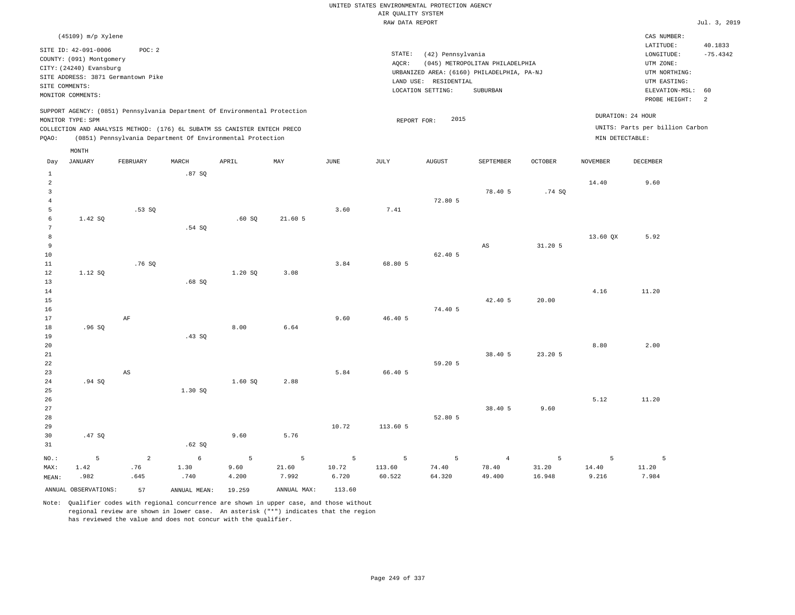|                                                                         |                                                                                                                                        |                             |                                                                                                                                                                                                                      |                    |                     |                     | AIR QUALITY SYSTEM    | UNITED STATES ENVIRONMENTAL PROTECTION AGENCY                   |                                                                                                  |                      |                     |                                                                                                          |                                  |
|-------------------------------------------------------------------------|----------------------------------------------------------------------------------------------------------------------------------------|-----------------------------|----------------------------------------------------------------------------------------------------------------------------------------------------------------------------------------------------------------------|--------------------|---------------------|---------------------|-----------------------|-----------------------------------------------------------------|--------------------------------------------------------------------------------------------------|----------------------|---------------------|----------------------------------------------------------------------------------------------------------|----------------------------------|
|                                                                         |                                                                                                                                        |                             |                                                                                                                                                                                                                      |                    |                     |                     | RAW DATA REPORT       |                                                                 |                                                                                                  |                      |                     |                                                                                                          | Jul. 3, 2019                     |
|                                                                         | $(45109)$ m/p Xylene                                                                                                                   |                             |                                                                                                                                                                                                                      |                    |                     |                     |                       |                                                                 |                                                                                                  |                      |                     | CAS NUMBER:                                                                                              |                                  |
| SITE COMMENTS:                                                          | SITE ID: 42-091-0006<br>COUNTY: (091) Montgomery<br>CITY: (24240) Evansburg<br>SITE ADDRESS: 3871 Germantown Pike<br>MONITOR COMMENTS: | POC: 2                      |                                                                                                                                                                                                                      |                    |                     |                     | STATE:<br>AOCR:       | (42) Pennsylvania<br>LAND USE: RESIDENTIAL<br>LOCATION SETTING: | (045) METROPOLITAN PHILADELPHIA<br>URBANIZED AREA: (6160) PHILADELPHIA, PA-NJ<br><b>SUBURBAN</b> |                      |                     | LATITUDE:<br>LONGITUDE:<br>UTM ZONE:<br>UTM NORTHING:<br>UTM EASTING:<br>ELEVATION-MSL:<br>PROBE HEIGHT: | 40.1833<br>$-75.4342$<br>60<br>2 |
| PQAO:                                                                   | MONITOR TYPE: SPM                                                                                                                      |                             | SUPPORT AGENCY: (0851) Pennsylvania Department Of Environmental Protection<br>COLLECTION AND ANALYSIS METHOD: (176) 6L SUBATM SS CANISTER ENTECH PRECO<br>(0851) Pennsylvania Department Of Environmental Protection |                    |                     |                     | REPORT FOR:           | 2015                                                            |                                                                                                  |                      | MIN DETECTABLE:     | DURATION: 24 HOUR<br>UNITS: Parts per billion Carbon                                                     |                                  |
| Day                                                                     | MONTH<br>JANUARY                                                                                                                       | FEBRUARY                    | MARCH                                                                                                                                                                                                                | APRIL              | MAY                 | <b>JUNE</b>         | $\mathtt{JULY}$       | ${\tt AUGUST}$                                                  | SEPTEMBER                                                                                        | <b>OCTOBER</b>       | <b>NOVEMBER</b>     | DECEMBER                                                                                                 |                                  |
| $1\,$<br>$\overline{a}$<br>$\overline{\mathbf{3}}$<br>$\,4\,$<br>5<br>6 | 1.42 SQ                                                                                                                                | .53SQ                       | .87SQ                                                                                                                                                                                                                | .60S               | 21.60 5             | 3.60                | 7.41                  | 72.80 5                                                         | 78.40 5                                                                                          | .74SQ                | 14.40               | 9.60                                                                                                     |                                  |
| $7\phantom{.0}$<br>$^{\rm 8}$<br>9<br>$10$<br>$1\,1$<br>12              | 1.12 SQ                                                                                                                                | .76 SO                      | .54 SQ                                                                                                                                                                                                               | 1.20 SQ            | 3.08                | 3.84                | 68.80 5               | 62.40 5                                                         | AS                                                                                               | 31.205               | 13.60 QX            | 5.92                                                                                                     |                                  |
| 13<br>14<br>15<br>16<br>17                                              |                                                                                                                                        | $\rm AF$                    | .68S                                                                                                                                                                                                                 |                    |                     | 9.60                | 46.40 5               | 74.40 5                                                         | 42.40 5                                                                                          | 20.00                | 4.16                | 11.20                                                                                                    |                                  |
| 18<br>19<br>20<br>21<br>22<br>23                                        | .96SQ                                                                                                                                  | $\mathbb{A}\mathbb{S}$      | .43SQ                                                                                                                                                                                                                | 8.00               | 6.64                | 5.84                | 66.40 5               | 59.20 5                                                         | 38.40 5                                                                                          | 23.20 5              | 8.80                | 2.00                                                                                                     |                                  |
| 24<br>25<br>26<br>27<br>28                                              | .94 SQ                                                                                                                                 |                             | 1.30 SO                                                                                                                                                                                                              | 1.60S              | 2.88                |                     |                       | 52.80 5                                                         | 38.40 5                                                                                          | 9.60                 | 5.12                | 11.20                                                                                                    |                                  |
| 29<br>30<br>31                                                          | .47SQ                                                                                                                                  |                             | .62SQ                                                                                                                                                                                                                | 9.60               | 5.76                | 10.72               | 113.60 5              |                                                                 |                                                                                                  |                      |                     |                                                                                                          |                                  |
| NO.:<br>MAX:<br>MEAN:                                                   | 5<br>1.42<br>.982                                                                                                                      | $\mathbf{2}$<br>.76<br>.645 | $6\overline{6}$<br>1.30<br>.740                                                                                                                                                                                      | 5<br>9.60<br>4.200 | 5<br>21.60<br>7.992 | 5<br>10.72<br>6.720 | 5<br>113.60<br>60.522 | 5<br>74.40<br>64.320                                            | $\overline{4}$<br>78.40<br>49.400                                                                | 5<br>31.20<br>16.948 | 5<br>14.40<br>9.216 | $\overline{5}$<br>11.20<br>7.984                                                                         |                                  |
|                                                                         | ANNUAL OBSERVATIONS:                                                                                                                   | 57                          | ANNUAL MEAN:                                                                                                                                                                                                         | 19.259             | ANNUAL MAX:         | 113.60              |                       |                                                                 |                                                                                                  |                      |                     |                                                                                                          |                                  |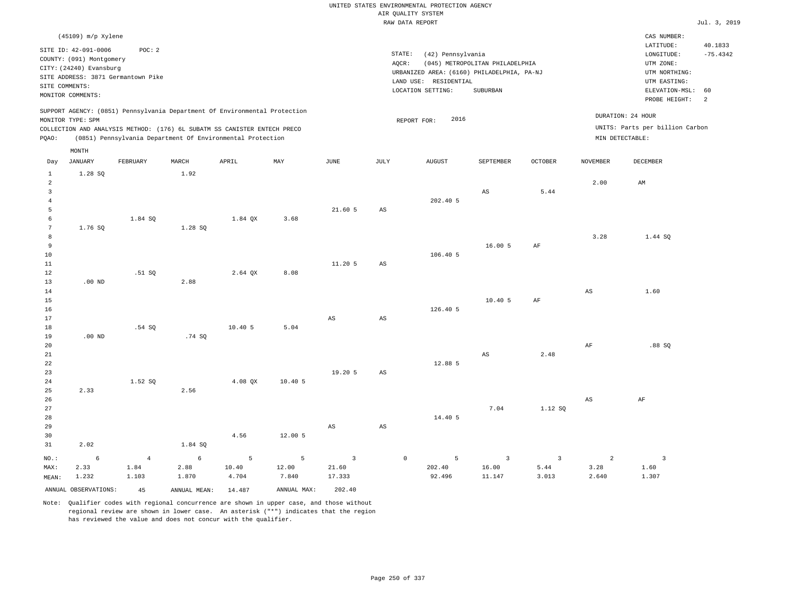|                                                 |                                                                                                                                                          |                                 |                                                                                                                                        |                     |                                  |                                 |                        | UNITED STATES ENVIRONMENTAL PROTECTION AGENCY<br>AIR OUALITY SYSTEM<br>RAW DATA REPORT                        |                                             |                                 |                             |                                                                                                          | Jul. 3, 2019                     |
|-------------------------------------------------|----------------------------------------------------------------------------------------------------------------------------------------------------------|---------------------------------|----------------------------------------------------------------------------------------------------------------------------------------|---------------------|----------------------------------|---------------------------------|------------------------|---------------------------------------------------------------------------------------------------------------|---------------------------------------------|---------------------------------|-----------------------------|----------------------------------------------------------------------------------------------------------|----------------------------------|
|                                                 | (45109) m/p Xylene                                                                                                                                       |                                 |                                                                                                                                        |                     |                                  |                                 |                        |                                                                                                               |                                             |                                 |                             | CAS NUMBER:                                                                                              |                                  |
|                                                 | SITE ID: 42-091-0006<br>COUNTY: (091) Montgomery<br>CITY: (24240) Evansburg<br>SITE ADDRESS: 3871 Germantown Pike<br>SITE COMMENTS:<br>MONITOR COMMENTS: | POC: 2                          |                                                                                                                                        |                     |                                  |                                 | STATE:<br>AOCR:        | (42) Pennsylvania<br>URBANIZED AREA: (6160) PHILADELPHIA, PA-NJ<br>LAND USE: RESIDENTIAL<br>LOCATION SETTING: | (045) METROPOLITAN PHILADELPHIA<br>SUBURBAN |                                 |                             | LATITUDE:<br>LONGITUDE:<br>UTM ZONE:<br>UTM NORTHING:<br>UTM EASTING:<br>ELEVATION-MSL:<br>PROBE HEIGHT: | 40.1833<br>$-75.4342$<br>60<br>2 |
|                                                 |                                                                                                                                                          |                                 | SUPPORT AGENCY: (0851) Pennsylvania Department Of Environmental Protection                                                             |                     |                                  |                                 |                        |                                                                                                               |                                             |                                 |                             | DURATION: 24 HOUR                                                                                        |                                  |
| PQAO:                                           | MONITOR TYPE: SPM                                                                                                                                        |                                 | COLLECTION AND ANALYSIS METHOD: (176) 6L SUBATM SS CANISTER ENTECH PRECO<br>(0851) Pennsylvania Department Of Environmental Protection |                     |                                  |                                 |                        | 2016<br>REPORT FOR:                                                                                           |                                             |                                 |                             | UNITS: Parts per billion Carbon<br>MIN DETECTABLE:                                                       |                                  |
| Day                                             | MONTH<br><b>JANUARY</b>                                                                                                                                  | FEBRUARY                        | MARCH                                                                                                                                  | APRIL               | MAY                              | $_{\rm JUNE}$                   | <b>JULY</b>            | <b>AUGUST</b>                                                                                                 | SEPTEMBER                                   | <b>OCTOBER</b>                  | <b>NOVEMBER</b>             | DECEMBER                                                                                                 |                                  |
| 1<br>$\overline{a}$<br>$\mathbf{3}$<br>$\bf{4}$ | 1.28 SQ                                                                                                                                                  |                                 | 1.92                                                                                                                                   |                     |                                  |                                 |                        | 202.40 5                                                                                                      | AS                                          | 5.44                            | 2.00                        | AM                                                                                                       |                                  |
| 5<br>6<br>$7\phantom{.0}$<br>8                  | 1.76 SO                                                                                                                                                  | 1.84 SQ                         | 1.28 SO                                                                                                                                | 1.84 QX             | 3.68                             | 21.605                          | AS                     |                                                                                                               |                                             |                                 | 3.28                        | 1.44 SQ                                                                                                  |                                  |
| $\overline{9}$<br>$10$<br>$11\,$<br>12          |                                                                                                                                                          | .51 SQ                          |                                                                                                                                        | 2.64 OX             | 8.08                             | 11.20 5                         | AS                     | 106.40 5                                                                                                      | 16.00 5                                     | AF                              |                             |                                                                                                          |                                  |
| 13<br>14<br>15<br>16<br>17                      | $.00$ ND                                                                                                                                                 |                                 | 2.88                                                                                                                                   |                     |                                  | $\mathbb{A}\mathbb{S}$          | $_{\rm AS}$            | 126.40 5                                                                                                      | 10.405                                      | $\rm{AF}$                       | AS                          | 1.60                                                                                                     |                                  |
| 18<br>19<br>20                                  | $.00$ ND                                                                                                                                                 | .54SQ                           | .74SQ                                                                                                                                  | 10.405              | 5.04                             |                                 |                        |                                                                                                               |                                             |                                 | AF                          | .88SQ                                                                                                    |                                  |
| 21<br>22<br>23                                  |                                                                                                                                                          |                                 |                                                                                                                                        |                     |                                  | 19.20 5                         | $\mathbb{A}\mathbb{S}$ | 12.88 5                                                                                                       | AS                                          | 2.48                            |                             |                                                                                                          |                                  |
| 24<br>25<br>26<br>27                            | 2.33                                                                                                                                                     | 1.52 SQ                         | 2.56                                                                                                                                   | 4.08 QX             | 10.405                           |                                 |                        |                                                                                                               | 7.04                                        | 1.12 SQ                         | $\mathbb{A}\mathbb{S}$      | $\rm AF$                                                                                                 |                                  |
| 28<br>29<br>30<br>31                            | 2.02                                                                                                                                                     |                                 | 1.84 SQ                                                                                                                                | 4.56                | 12.00 5                          | $\mathbb{A}\mathbb{S}$          | AS                     | 14.40 5                                                                                                       |                                             |                                 |                             |                                                                                                          |                                  |
| NO.:<br>MAX:<br>MEAN:                           | $\epsilon$<br>2.33<br>1.232                                                                                                                              | $\overline{4}$<br>1.84<br>1.103 | 6<br>2.88<br>1.870                                                                                                                     | 5<br>10.40<br>4.704 | $\overline{5}$<br>12.00<br>7.840 | $\mathbf{3}$<br>21.60<br>17.333 | $\mathbb O$            | 5<br>202.40<br>92.496                                                                                         | $\overline{\mathbf{3}}$<br>16.00<br>11.147  | $\overline{3}$<br>5.44<br>3.013 | $\sqrt{2}$<br>3.28<br>2.640 | $\overline{\mathbf{3}}$<br>1.60<br>1.307                                                                 |                                  |
|                                                 | ANNUAL OBSERVATIONS:                                                                                                                                     | 45                              | ANNUAL MEAN: 14.487                                                                                                                    |                     | ANNUAL MAX:                      | 202.40                          |                        |                                                                                                               |                                             |                                 |                             |                                                                                                          |                                  |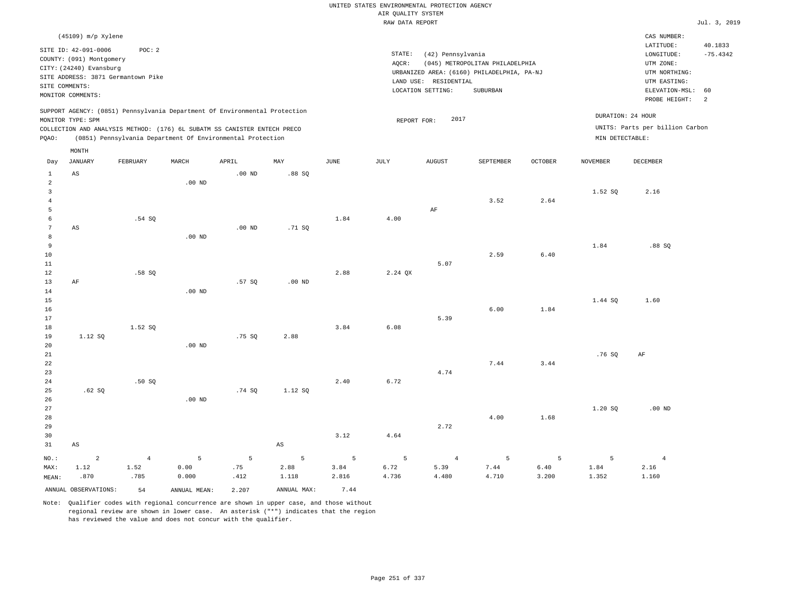|                                                                                                                                                                             |                                |                                |                    |                  |                              |                               | UNITED STATES ENVIRONMENTAL PROTECTION AGENCY<br>AIR OUALITY SYSTEM                                                                            |                                 |                    |                    |                                                      |                                            | Jul. 3, 2019                |  |
|-----------------------------------------------------------------------------------------------------------------------------------------------------------------------------|--------------------------------|--------------------------------|--------------------|------------------|------------------------------|-------------------------------|------------------------------------------------------------------------------------------------------------------------------------------------|---------------------------------|--------------------|--------------------|------------------------------------------------------|--------------------------------------------|-----------------------------|--|
|                                                                                                                                                                             | (45109) m/p Xylene             |                                |                    |                  |                              |                               | RAW DATA REPORT                                                                                                                                |                                 |                    |                    |                                                      | CAS NUMBER:<br>LATITUDE:                   | 40.1833                     |  |
| POC: 2<br>SITE ID: 42-091-0006<br>COUNTY: (091) Montgomery<br>CITY: (24240) Evansburg<br>SITE ADDRESS: 3871 Germantown Pike<br>SITE COMMENTS:                               |                                |                                |                    |                  |                              |                               | STATE:<br>(42) Pennsylvania<br>AQCR:<br>(045) METROPOLITAN PHILADELPHIA<br>URBANIZED AREA: (6160) PHILADELPHIA, PA-NJ<br>LAND USE: RESIDENTIAL |                                 |                    |                    |                                                      |                                            | $-75.4342$<br>UTM NORTHING: |  |
| MONITOR COMMENTS:                                                                                                                                                           |                                |                                |                    |                  |                              | LOCATION SETTING:<br>SUBURBAN |                                                                                                                                                |                                 |                    |                    |                                                      | ELEVATION-MSL:<br>60<br>2<br>PROBE HEIGHT: |                             |  |
| SUPPORT AGENCY: (0851) Pennsylvania Department Of Environmental Protection<br>MONITOR TYPE: SPM<br>COLLECTION AND ANALYSIS METHOD: (176) 6L SUBATM SS CANISTER ENTECH PRECO |                                |                                |                    |                  |                              | 2017<br>REPORT FOR:           |                                                                                                                                                |                                 |                    |                    | DURATION: 24 HOUR<br>UNITS: Parts per billion Carbon |                                            |                             |  |
| PQAO:<br>(0851) Pennsylvania Department Of Environmental Protection                                                                                                         |                                |                                |                    |                  |                              |                               |                                                                                                                                                |                                 |                    | MIN DETECTABLE:    |                                                      |                                            |                             |  |
| Day                                                                                                                                                                         | MONTH<br><b>JANUARY</b>        | FEBRUARY                       | MARCH              | APRIL            | MAY                          | <b>JUNE</b>                   | <b>JULY</b>                                                                                                                                    | <b>AUGUST</b>                   | SEPTEMBER          | <b>OCTOBER</b>     | <b>NOVEMBER</b>                                      | <b>DECEMBER</b>                            |                             |  |
| $\mathbf{1}$<br>$\sqrt{2}$<br>$\overline{3}$                                                                                                                                | AS                             |                                | .00 <sub>ND</sub>  | $.00$ ND         | .88SQ                        |                               |                                                                                                                                                |                                 |                    |                    |                                                      |                                            |                             |  |
| $\overline{4}$<br>5                                                                                                                                                         |                                |                                |                    |                  |                              |                               |                                                                                                                                                | AF                              | 3.52               | 2.64               | 1.52 SQ                                              | 2.16                                       |                             |  |
| $\epsilon$<br>$7\phantom{.0}$<br>8                                                                                                                                          | AS                             | .54 SQ                         | $.00$ ND           | $.00$ ND         | .71 SQ                       | 1.84                          | 4.00                                                                                                                                           |                                 |                    |                    |                                                      |                                            |                             |  |
| 9<br>$10$<br>$1\,1$                                                                                                                                                         |                                |                                |                    |                  |                              |                               |                                                                                                                                                | 5.07                            | 2.59               | 6.40               | 1.84                                                 | $.88$ SO                                   |                             |  |
| 12<br>13<br>14<br>15                                                                                                                                                        | AF                             | .58 SO                         | $.00$ ND           | .57SQ            | $.00$ ND                     | 2.88                          | 2.24 OX                                                                                                                                        |                                 |                    |                    | 1.44 SQ                                              | 1.60                                       |                             |  |
| 16<br>17<br>18                                                                                                                                                              |                                | 1.52 SQ                        |                    |                  |                              | 3.84                          | 6.08                                                                                                                                           | 5.39                            | 6.00               | 1.84               |                                                      |                                            |                             |  |
| 19<br>20<br>21                                                                                                                                                              | 1.12 SQ                        |                                | $.00$ ND           | .75 SO           | 2.88                         |                               |                                                                                                                                                |                                 |                    |                    | .76SQ                                                | AF                                         |                             |  |
| 22<br>23<br>24<br>25                                                                                                                                                        | .62SQ                          | .50SQ                          |                    | .74SQ            | 1.12 SQ                      | 2.40                          | 6.72                                                                                                                                           | 4.74                            | 7.44               | 3.44               |                                                      |                                            |                             |  |
| 26<br>27<br>28                                                                                                                                                              |                                |                                | $.00$ ND           |                  |                              |                               |                                                                                                                                                |                                 | 4.00               | 1.68               | 1.20 SQ                                              | $.00$ ND                                   |                             |  |
| 29<br>30<br>31                                                                                                                                                              | $\mathbb{A}\mathbb{S}$         |                                |                    |                  | $\mathbb{A}\mathbb{S}$       | 3.12                          | 4.64                                                                                                                                           | 2.72                            |                    |                    |                                                      |                                            |                             |  |
| $NO.$ :<br>MAX:<br>MEAN:                                                                                                                                                    | $\overline{a}$<br>1.12<br>.870 | $\overline{4}$<br>1.52<br>.785 | 5<br>0.00<br>0.000 | 5<br>.75<br>.412 | $\mathsf S$<br>2.88<br>1.118 | 5<br>3.84<br>2.816            | 5<br>6.72<br>4.736                                                                                                                             | $\overline{4}$<br>5.39<br>4.480 | 5<br>7.44<br>4.710 | 5<br>6.40<br>3.200 | 5<br>1.84<br>1.352                                   | $\overline{4}$<br>2.16<br>1.160            |                             |  |
|                                                                                                                                                                             | ANNUAL OBSERVATIONS:           | 54                             | ANNUAL MEAN:       | 2.207            | ANNUAL MAX:                  | 7.44                          |                                                                                                                                                |                                 |                    |                    |                                                      |                                            |                             |  |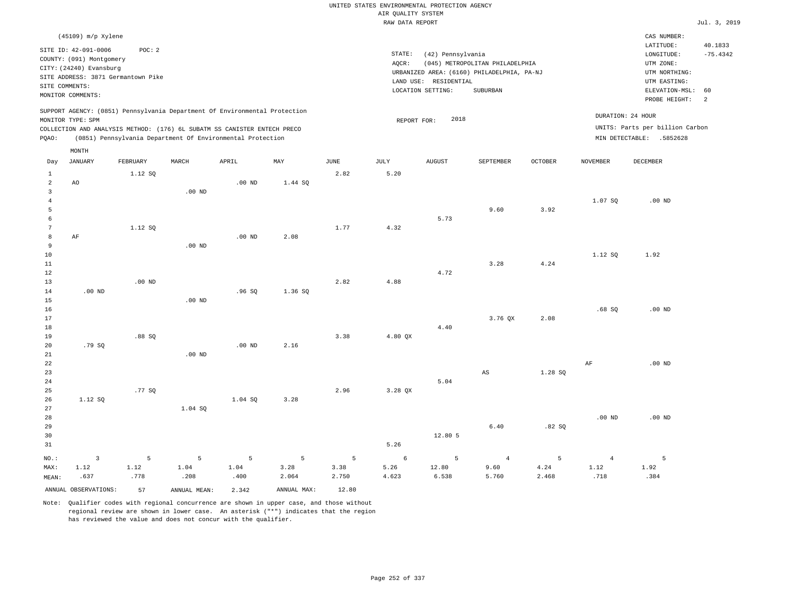|                     |                                                                            |          |                   |                                                            |                           |               | UNITED STATES ENVIRONMENTAL PROTECTION AGENCY |                       |                                            |                |                   |                                 |              |
|---------------------|----------------------------------------------------------------------------|----------|-------------------|------------------------------------------------------------|---------------------------|---------------|-----------------------------------------------|-----------------------|--------------------------------------------|----------------|-------------------|---------------------------------|--------------|
|                     |                                                                            |          |                   |                                                            |                           |               | AIR QUALITY SYSTEM                            |                       |                                            |                |                   |                                 |              |
|                     |                                                                            |          |                   |                                                            |                           |               | RAW DATA REPORT                               |                       |                                            |                |                   |                                 | Jul. 3, 2019 |
|                     | (45109) m/p Xylene                                                         |          |                   |                                                            |                           |               |                                               |                       |                                            |                |                   | CAS NUMBER:                     |              |
|                     | SITE ID: 42-091-0006                                                       | POC: 2   |                   |                                                            |                           |               |                                               |                       |                                            |                |                   | LATITUDE:                       | 40.1833      |
|                     | COUNTY: (091) Montgomery                                                   |          |                   |                                                            |                           |               | STATE:                                        | (42) Pennsylvania     |                                            |                |                   | LONGITUDE:                      | $-75.4342$   |
|                     | CITY: (24240) Evansburg                                                    |          |                   |                                                            |                           |               | AQCR:                                         |                       | (045) METROPOLITAN PHILADELPHIA            |                |                   | UTM ZONE:                       |              |
|                     | SITE ADDRESS: 3871 Germantown Pike                                         |          |                   |                                                            |                           |               |                                               |                       | URBANIZED AREA: (6160) PHILADELPHIA, PA-NJ |                |                   | UTM NORTHING:                   |              |
|                     | SITE COMMENTS:                                                             |          |                   |                                                            |                           |               |                                               | LAND USE: RESIDENTIAL |                                            |                |                   | UTM EASTING:                    |              |
|                     | MONITOR COMMENTS:                                                          |          |                   |                                                            |                           |               |                                               | LOCATION SETTING:     | SUBURBAN                                   |                |                   | ELEVATION-MSL:<br>PROBE HEIGHT: | 60<br>2      |
|                     | SUPPORT AGENCY: (0851) Pennsylvania Department Of Environmental Protection |          |                   |                                                            |                           |               |                                               |                       |                                            |                |                   | DURATION: 24 HOUR               |              |
|                     | MONITOR TYPE: SPM                                                          |          |                   |                                                            |                           |               | REPORT FOR:                                   | 2018                  |                                            |                |                   | UNITS: Parts per billion Carbon |              |
| PQAO:               | COLLECTION AND ANALYSIS METHOD: (176) 6L SUBATM SS CANISTER ENTECH PRECO   |          |                   | (0851) Pennsylvania Department Of Environmental Protection |                           |               |                                               |                       |                                            |                |                   | MIN DETECTABLE: .5852628        |              |
|                     |                                                                            |          |                   |                                                            |                           |               |                                               |                       |                                            |                |                   |                                 |              |
| Day                 | MONTH<br><b>JANUARY</b>                                                    | FEBRUARY | MARCH             | APRIL                                                      | $\ensuremath{\text{MAX}}$ | $_{\rm JUNE}$ | $\mathtt{JULY}$                               | <b>AUGUST</b>         | SEPTEMBER                                  | <b>OCTOBER</b> | <b>NOVEMBER</b>   | DECEMBER                        |              |
| $\mathbf{1}$        |                                                                            | 1.12 SO  |                   |                                                            |                           | 2.82          | 5.20                                          |                       |                                            |                |                   |                                 |              |
| $\overline{a}$      | AO                                                                         |          |                   | .00 <sub>ND</sub>                                          | 1.44 SQ                   |               |                                               |                       |                                            |                |                   |                                 |              |
| 3                   |                                                                            |          | .00 <sub>ND</sub> |                                                            |                           |               |                                               |                       |                                            |                |                   |                                 |              |
| $\overline{4}$      |                                                                            |          |                   |                                                            |                           |               |                                               |                       |                                            |                | 1.07 SQ           | $.00$ ND                        |              |
| 5                   |                                                                            |          |                   |                                                            |                           |               |                                               |                       | 9.60                                       | 3.92           |                   |                                 |              |
| 6<br>$\overline{7}$ |                                                                            |          |                   |                                                            |                           | 1.77          | 4.32                                          | 5.73                  |                                            |                |                   |                                 |              |
| 8                   | $\rm{AF}$                                                                  | 1.12 SQ  |                   | $.00$ ND                                                   | 2.08                      |               |                                               |                       |                                            |                |                   |                                 |              |
| $\overline{9}$      |                                                                            |          | .00 <sub>ND</sub> |                                                            |                           |               |                                               |                       |                                            |                |                   |                                 |              |
| 10                  |                                                                            |          |                   |                                                            |                           |               |                                               |                       |                                            |                | 1.12 SQ           | 1.92                            |              |
| 11                  |                                                                            |          |                   |                                                            |                           |               |                                               |                       | 3.28                                       | 4.24           |                   |                                 |              |
| 12                  |                                                                            |          |                   |                                                            |                           |               |                                               | 4.72                  |                                            |                |                   |                                 |              |
| 13                  |                                                                            | $.00$ ND |                   |                                                            |                           | 2.82          | 4.88                                          |                       |                                            |                |                   |                                 |              |
| 14                  | .00 <sub>ND</sub>                                                          |          |                   | .96SQ                                                      | 1.36 SQ                   |               |                                               |                       |                                            |                |                   |                                 |              |
| 15                  |                                                                            |          | $.00$ ND          |                                                            |                           |               |                                               |                       |                                            |                |                   |                                 |              |
| 16                  |                                                                            |          |                   |                                                            |                           |               |                                               |                       |                                            |                | .68SQ             | $.00$ ND                        |              |
| 17<br>18            |                                                                            |          |                   |                                                            |                           |               |                                               | 4.40                  | 3.76 OX                                    | 2.08           |                   |                                 |              |
| 19                  |                                                                            | .88SQ    |                   |                                                            |                           | 3.38          | 4.80 QX                                       |                       |                                            |                |                   |                                 |              |
| 20                  | .79SQ                                                                      |          |                   | $.00$ ND                                                   | 2.16                      |               |                                               |                       |                                            |                |                   |                                 |              |
| 21                  |                                                                            |          | $.00$ ND          |                                                            |                           |               |                                               |                       |                                            |                |                   |                                 |              |
| $2\sqrt{2}$         |                                                                            |          |                   |                                                            |                           |               |                                               |                       |                                            |                | $\rm{AF}$         | $.00$ ND                        |              |
| 23                  |                                                                            |          |                   |                                                            |                           |               |                                               |                       | $_{\rm AS}$                                | 1.28 SQ        |                   |                                 |              |
| 24                  |                                                                            |          |                   |                                                            |                           |               |                                               | 5.04                  |                                            |                |                   |                                 |              |
| 25                  |                                                                            | .77 SQ   |                   |                                                            |                           | 2.96          | 3.28 QX                                       |                       |                                            |                |                   |                                 |              |
| 26                  | 1.12 SO                                                                    |          |                   | 1.04 SO                                                    | 3.28                      |               |                                               |                       |                                            |                |                   |                                 |              |
| 27                  |                                                                            |          | 1.04 SQ           |                                                            |                           |               |                                               |                       |                                            |                |                   |                                 |              |
| 28                  |                                                                            |          |                   |                                                            |                           |               |                                               |                       |                                            |                | .00 <sub>ND</sub> | $.00$ ND                        |              |
| 29                  |                                                                            |          |                   |                                                            |                           |               |                                               |                       | 6.40                                       | .82S           |                   |                                 |              |
| 30<br>31            |                                                                            |          |                   |                                                            |                           |               | 5.26                                          | 12.80 5               |                                            |                |                   |                                 |              |
|                     |                                                                            |          |                   |                                                            |                           |               |                                               |                       |                                            |                |                   |                                 |              |
| NO.:                | $\overline{\mathbf{3}}$                                                    | 5        | 5                 | 5                                                          | 5                         | 5             | $\epsilon$                                    | 5                     | $\overline{4}$                             | 5              | $\overline{4}$    | $\overline{5}$                  |              |
| MAX:                | 1.12                                                                       | 1.12     | 1.04              | 1.04                                                       | 3.28                      | 3.38          | 5.26                                          | 12.80                 | 9.60                                       | 4.24           | 1.12              | 1.92                            |              |
| MEAN:               | .637                                                                       | .778     | .208              | .400                                                       | 2.064                     | 2.750         | 4.623                                         | 6.538                 | 5.760                                      | 2.468          | .718              | .384                            |              |
|                     | ANNUAL OBSERVATIONS:                                                       | 57       | ANNUAL MEAN:      | 2.342                                                      | ANNUAL MAX:               | 12.80         |                                               |                       |                                            |                |                   |                                 |              |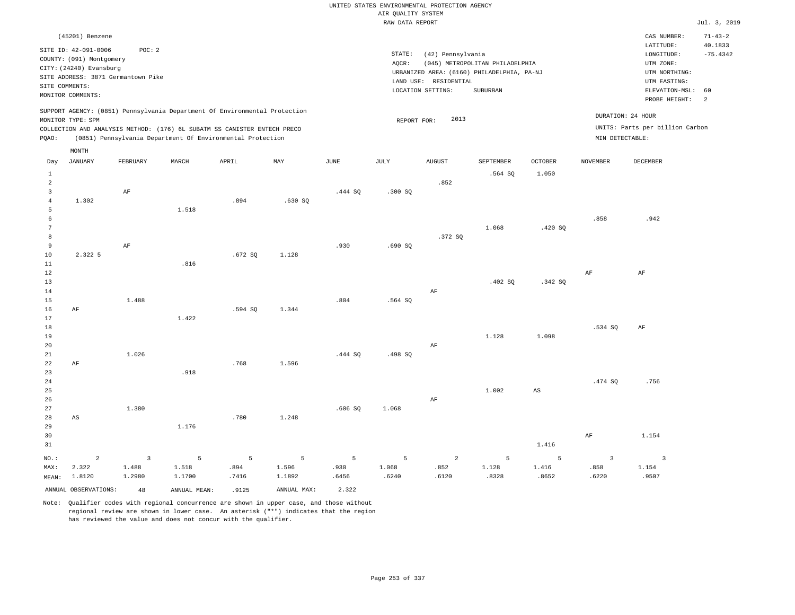|                            |                                    |                 |                                                                            |                |             |         |                    | UNITED STATES ENVIRONMENTAL PROTECTION AGENCY |                                            |                |                         |                                 |                          |
|----------------------------|------------------------------------|-----------------|----------------------------------------------------------------------------|----------------|-------------|---------|--------------------|-----------------------------------------------|--------------------------------------------|----------------|-------------------------|---------------------------------|--------------------------|
|                            |                                    |                 |                                                                            |                |             |         | AIR QUALITY SYSTEM |                                               |                                            |                |                         |                                 |                          |
|                            |                                    |                 |                                                                            |                |             |         | RAW DATA REPORT    |                                               |                                            |                |                         |                                 | Jul. 3, 2019             |
|                            | (45201) Benzene                    |                 |                                                                            |                |             |         |                    |                                               |                                            |                |                         | CAS NUMBER:<br>LATITUDE:        | $71 - 43 - 2$<br>40.1833 |
|                            | SITE ID: 42-091-0006               | POC: 2          |                                                                            |                |             |         | STATE:             | (42) Pennsylvania                             |                                            |                |                         | LONGITUDE:                      | $-75.4342$               |
|                            | COUNTY: (091) Montgomery           |                 |                                                                            |                |             |         | AQCR:              |                                               | (045) METROPOLITAN PHILADELPHIA            |                |                         | UTM ZONE:                       |                          |
|                            | CITY: (24240) Evansburg            |                 |                                                                            |                |             |         |                    |                                               | URBANIZED AREA: (6160) PHILADELPHIA, PA-NJ |                |                         | UTM NORTHING:                   |                          |
|                            | SITE ADDRESS: 3871 Germantown Pike |                 |                                                                            |                |             |         |                    | LAND USE: RESIDENTIAL                         |                                            |                |                         | UTM EASTING:                    |                          |
| SITE COMMENTS:             |                                    |                 |                                                                            |                |             |         |                    | LOCATION SETTING:                             | SUBURBAN                                   |                |                         | ELEVATION-MSL:                  | 60                       |
|                            | MONITOR COMMENTS:                  |                 |                                                                            |                |             |         |                    |                                               |                                            |                |                         | PROBE HEIGHT:                   | 2                        |
|                            | MONITOR TYPE: SPM                  |                 | SUPPORT AGENCY: (0851) Pennsylvania Department Of Environmental Protection |                |             |         | REPORT FOR:        | 2013                                          |                                            |                |                         | DURATION: 24 HOUR               |                          |
|                            |                                    |                 | COLLECTION AND ANALYSIS METHOD: (176) 6L SUBATM SS CANISTER ENTECH PRECO   |                |             |         |                    |                                               |                                            |                |                         | UNITS: Parts per billion Carbon |                          |
| PQAO:                      |                                    |                 | (0851) Pennsylvania Department Of Environmental Protection                 |                |             |         |                    |                                               |                                            |                | MIN DETECTABLE:         |                                 |                          |
| Day                        | MONTH<br><b>JANUARY</b>            | <b>FEBRUARY</b> | MARCH                                                                      | APRIL          | MAY         | JUNE    | JULY               | <b>AUGUST</b>                                 | SEPTEMBER                                  | <b>OCTOBER</b> | <b>NOVEMBER</b>         | <b>DECEMBER</b>                 |                          |
|                            |                                    |                 |                                                                            |                |             |         |                    |                                               |                                            |                |                         |                                 |                          |
| $\mathbf{1}$<br>$\sqrt{2}$ |                                    |                 |                                                                            |                |             |         |                    | .852                                          | .564S                                      | 1.050          |                         |                                 |                          |
| $\mathsf 3$                |                                    | $\rm AF$        |                                                                            |                |             | .444 SQ | .300 SQ            |                                               |                                            |                |                         |                                 |                          |
| $\overline{4}$             | 1.302                              |                 |                                                                            | .894           | .630SQ      |         |                    |                                               |                                            |                |                         |                                 |                          |
| 5                          |                                    |                 | 1.518                                                                      |                |             |         |                    |                                               |                                            |                |                         |                                 |                          |
| 6                          |                                    |                 |                                                                            |                |             |         |                    |                                               |                                            |                | .858                    | .942                            |                          |
| 7                          |                                    |                 |                                                                            |                |             |         |                    |                                               | 1.068                                      | .420 SO        |                         |                                 |                          |
| 8                          |                                    |                 |                                                                            |                |             |         |                    | .372 SQ                                       |                                            |                |                         |                                 |                          |
| 9                          |                                    | $\rm AF$        |                                                                            |                |             | .930    | .690 SQ            |                                               |                                            |                |                         |                                 |                          |
| 10                         | 2.322 5                            |                 |                                                                            | .672SQ         | 1.128       |         |                    |                                               |                                            |                |                         |                                 |                          |
| 11                         |                                    |                 | .816                                                                       |                |             |         |                    |                                               |                                            |                |                         |                                 |                          |
| 12                         |                                    |                 |                                                                            |                |             |         |                    |                                               |                                            |                | AF                      | $\rm AF$                        |                          |
| 13                         |                                    |                 |                                                                            |                |             |         |                    | AF                                            | .402 SO                                    | .342 SO        |                         |                                 |                          |
| 14<br>15                   |                                    | 1.488           |                                                                            |                |             | .804    | .564 SO            |                                               |                                            |                |                         |                                 |                          |
|                            | $\rm AF$                           |                 |                                                                            | .594 SQ        | 1.344       |         |                    |                                               |                                            |                |                         |                                 |                          |
| 16<br>17                   |                                    |                 | 1.422                                                                      |                |             |         |                    |                                               |                                            |                |                         |                                 |                          |
| 18                         |                                    |                 |                                                                            |                |             |         |                    |                                               |                                            |                | .534 SQ                 | AF                              |                          |
| 19                         |                                    |                 |                                                                            |                |             |         |                    |                                               | 1.128                                      | 1.098          |                         |                                 |                          |
| 20                         |                                    |                 |                                                                            |                |             |         |                    | AF                                            |                                            |                |                         |                                 |                          |
| 21                         |                                    | 1.026           |                                                                            |                |             | .444 SQ | .498 SQ            |                                               |                                            |                |                         |                                 |                          |
| 22                         | AF                                 |                 |                                                                            | .768           | 1.596       |         |                    |                                               |                                            |                |                         |                                 |                          |
| 23                         |                                    |                 | .918                                                                       |                |             |         |                    |                                               |                                            |                |                         |                                 |                          |
| 24                         |                                    |                 |                                                                            |                |             |         |                    |                                               |                                            |                | .474 SQ                 | .756                            |                          |
| 25                         |                                    |                 |                                                                            |                |             |         |                    |                                               | 1.002                                      | $_{\rm AS}$    |                         |                                 |                          |
| 26                         |                                    |                 |                                                                            |                |             |         |                    | AF                                            |                                            |                |                         |                                 |                          |
| 27                         |                                    | 1.380           |                                                                            |                |             | .606SQ  | 1.068              |                                               |                                            |                |                         |                                 |                          |
| 28                         | AS                                 |                 |                                                                            | .780           | 1.248       |         |                    |                                               |                                            |                |                         |                                 |                          |
| 29                         |                                    |                 | 1.176                                                                      |                |             |         |                    |                                               |                                            |                |                         |                                 |                          |
| 30                         |                                    |                 |                                                                            |                |             |         |                    |                                               |                                            |                | $\rm{AF}$               | 1.154                           |                          |
| 31                         |                                    |                 |                                                                            |                |             |         |                    |                                               |                                            | 1.416          |                         |                                 |                          |
| NO.:                       | $\overline{a}$                     | $\overline{3}$  | 5                                                                          | $\overline{5}$ | 5           | 5       | 5                  | $\overline{a}$                                | 5                                          | 5              | $\overline{\mathbf{3}}$ | $\overline{\mathbf{3}}$         |                          |
| MAX:                       | 2.322                              | 1.488           | 1.518                                                                      | .894           | 1.596       | .930    | 1.068              | .852                                          | 1.128                                      | 1.416          | .858                    | 1.154                           |                          |
| MEAN:                      | 1.8120                             | 1.2980          | 1.1700                                                                     | .7416          | 1.1892      | .6456   | .6240              | .6120                                         | .8328                                      | .8652          | .6220                   | .9507                           |                          |
|                            |                                    |                 |                                                                            |                |             |         |                    |                                               |                                            |                |                         |                                 |                          |
|                            | ANNUAL OBSERVATIONS:               | 48              | ANNUAL, MEAN:                                                              | .9125          | ANNUAL MAX: | 2.322   |                    |                                               |                                            |                |                         |                                 |                          |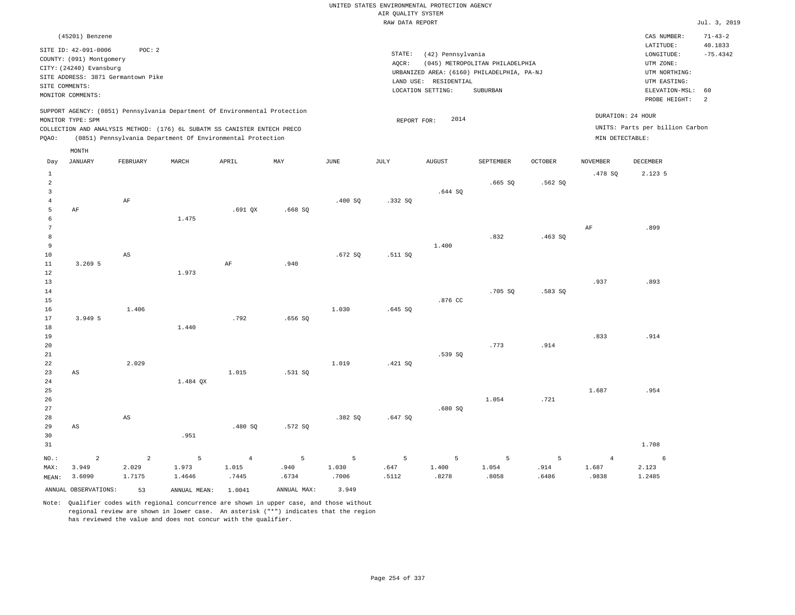|                |                                                  |                         |                                                                            |                     |             |               | AIR QUALITY SYSTEM | UNITED STATES ENVIRONMENTAL PROTECTION AGENCY |                                                                               |                |                         |                                 |                       |
|----------------|--------------------------------------------------|-------------------------|----------------------------------------------------------------------------|---------------------|-------------|---------------|--------------------|-----------------------------------------------|-------------------------------------------------------------------------------|----------------|-------------------------|---------------------------------|-----------------------|
|                |                                                  |                         |                                                                            |                     |             |               | RAW DATA REPORT    |                                               |                                                                               |                |                         |                                 | Jul. 3, 2019          |
|                | (45201) Benzene                                  |                         |                                                                            |                     |             |               |                    |                                               |                                                                               |                |                         | CAS NUMBER:                     | $71 - 43 - 2$         |
|                | SITE ID: 42-091-0006<br>COUNTY: (091) Montgomery | POC: 2                  |                                                                            |                     |             |               | STATE:             | (42) Pennsylvania                             |                                                                               |                |                         | LATITUDE:<br>LONGITUDE:         | 40.1833<br>$-75.4342$ |
|                | CITY: (24240) Evansburg                          |                         |                                                                            |                     |             |               | AQCR:              |                                               | (045) METROPOLITAN PHILADELPHIA<br>URBANIZED AREA: (6160) PHILADELPHIA, PA-NJ |                |                         | UTM ZONE:<br>UTM NORTHING:      |                       |
|                | SITE ADDRESS: 3871 Germantown Pike               |                         |                                                                            |                     |             |               |                    | LAND USE: RESIDENTIAL                         |                                                                               |                |                         | UTM EASTING:                    |                       |
| SITE COMMENTS: | MONITOR COMMENTS:                                |                         |                                                                            |                     |             |               |                    | LOCATION SETTING:                             | SUBURBAN                                                                      |                |                         | ELEVATION-MSL:                  | 60                    |
|                |                                                  |                         |                                                                            |                     |             |               |                    |                                               |                                                                               |                |                         | PROBE HEIGHT:                   | 2                     |
|                | MONITOR TYPE: SPM                                |                         | SUPPORT AGENCY: (0851) Pennsylvania Department Of Environmental Protection |                     |             |               | REPORT FOR:        | 2014                                          |                                                                               |                |                         | DURATION: 24 HOUR               |                       |
|                |                                                  |                         | COLLECTION AND ANALYSIS METHOD: (176) 6L SUBATM SS CANISTER ENTECH PRECO   |                     |             |               |                    |                                               |                                                                               |                |                         | UNITS: Parts per billion Carbon |                       |
| PQAO:          |                                                  |                         | (0851) Pennsylvania Department Of Environmental Protection                 |                     |             |               |                    |                                               |                                                                               |                | MIN DETECTABLE:         |                                 |                       |
|                | MONTH                                            |                         |                                                                            |                     |             |               |                    |                                               |                                                                               |                |                         |                                 |                       |
| Day            | <b>JANUARY</b>                                   | FEBRUARY                | MARCH                                                                      | APRIL               | MAY         | $_{\rm JUNE}$ | <b>JULY</b>        | <b>AUGUST</b>                                 | SEPTEMBER                                                                     | <b>OCTOBER</b> | <b>NOVEMBER</b>         | <b>DECEMBER</b>                 |                       |
| $\mathbf{1}$   |                                                  |                         |                                                                            |                     |             |               |                    |                                               |                                                                               |                | .478 SQ                 | 2.123 5                         |                       |
| $\overline{2}$ |                                                  |                         |                                                                            |                     |             |               |                    |                                               | .665 S0                                                                       | .562 SO        |                         |                                 |                       |
| $\mathbf{3}$   |                                                  |                         |                                                                            |                     |             |               |                    | .644 SQ                                       |                                                                               |                |                         |                                 |                       |
| $\overline{4}$ |                                                  | AF                      |                                                                            |                     |             | .400SQ        | .332S              |                                               |                                                                               |                |                         |                                 |                       |
| 5              | AF                                               |                         |                                                                            | $.691$ QX           | .668SQ      |               |                    |                                               |                                                                               |                |                         |                                 |                       |
| 6<br>7         |                                                  |                         | 1.475                                                                      |                     |             |               |                    |                                               |                                                                               |                | $\rm{AF}$               | .899                            |                       |
| 8              |                                                  |                         |                                                                            |                     |             |               |                    |                                               | .832                                                                          | .463SQ         |                         |                                 |                       |
| $\overline{9}$ |                                                  |                         |                                                                            |                     |             |               |                    | 1.400                                         |                                                                               |                |                         |                                 |                       |
| 10             |                                                  | $_{\rm AS}$             |                                                                            |                     |             | .672SQ        | .511 SQ            |                                               |                                                                               |                |                         |                                 |                       |
| 11             | 3.269 5                                          |                         |                                                                            | AF                  | .940        |               |                    |                                               |                                                                               |                |                         |                                 |                       |
| 12             |                                                  |                         | 1.973                                                                      |                     |             |               |                    |                                               |                                                                               |                |                         |                                 |                       |
| 13             |                                                  |                         |                                                                            |                     |             |               |                    |                                               |                                                                               |                | .937                    | .893                            |                       |
| 14             |                                                  |                         |                                                                            |                     |             |               |                    |                                               | .705 SQ                                                                       | .583 SQ        |                         |                                 |                       |
| 15             |                                                  |                         |                                                                            |                     |             |               |                    | .876 CC                                       |                                                                               |                |                         |                                 |                       |
| 16             |                                                  | 1.406                   |                                                                            |                     |             | 1.030         | .645 SQ            |                                               |                                                                               |                |                         |                                 |                       |
| 17<br>18       | 3.949 5                                          |                         | 1.440                                                                      | .792                | .656S       |               |                    |                                               |                                                                               |                |                         |                                 |                       |
| 19             |                                                  |                         |                                                                            |                     |             |               |                    |                                               |                                                                               |                | .833                    | .914                            |                       |
| 20             |                                                  |                         |                                                                            |                     |             |               |                    |                                               | .773                                                                          | .914           |                         |                                 |                       |
| 21             |                                                  |                         |                                                                            |                     |             |               |                    | .539 SQ                                       |                                                                               |                |                         |                                 |                       |
| 22             |                                                  | 2.029                   |                                                                            |                     |             | 1.019         | .421 SQ            |                                               |                                                                               |                |                         |                                 |                       |
| 23             | AS                                               |                         |                                                                            | 1.015               | .531 SQ     |               |                    |                                               |                                                                               |                |                         |                                 |                       |
| 24             |                                                  |                         | 1.484 OX                                                                   |                     |             |               |                    |                                               |                                                                               |                |                         |                                 |                       |
| 25             |                                                  |                         |                                                                            |                     |             |               |                    |                                               |                                                                               |                | 1.687                   | .954                            |                       |
| 26             |                                                  |                         |                                                                            |                     |             |               |                    |                                               | 1.054                                                                         | .721           |                         |                                 |                       |
| 27<br>28       |                                                  | AS                      |                                                                            |                     |             | .382 SO       | .647S              | .680SQ                                        |                                                                               |                |                         |                                 |                       |
| 29             | $_{\rm AS}$                                      |                         |                                                                            | .480 SQ             | .572 SQ     |               |                    |                                               |                                                                               |                |                         |                                 |                       |
| 30             |                                                  |                         | .951                                                                       |                     |             |               |                    |                                               |                                                                               |                |                         |                                 |                       |
| 31             |                                                  |                         |                                                                            |                     |             |               |                    |                                               |                                                                               |                |                         | 1.708                           |                       |
|                |                                                  |                         |                                                                            |                     |             |               |                    |                                               |                                                                               |                |                         |                                 |                       |
| NO.:<br>MAX:   | $\overline{c}$<br>3.949                          | $\overline{a}$<br>2.029 | 5<br>1.973                                                                 | $\sqrt{4}$<br>1.015 | 5<br>.940   | 5<br>1.030    | 5<br>.647          | 5<br>1.400                                    | 5<br>1.054                                                                    | 5<br>.914      | $\overline{4}$<br>1.687 | 6<br>2.123                      |                       |
| MEAN:          | 3.6090                                           | 1.7175                  | 1.4646                                                                     | .7445               | .6734       | .7006         | .5112              | .8278                                         | .8058                                                                         | .6486          | .9838                   | 1.2485                          |                       |
|                |                                                  |                         |                                                                            |                     |             |               |                    |                                               |                                                                               |                |                         |                                 |                       |
|                | ANNUAL OBSERVATIONS:                             | 53                      | ANNUAL MEAN: 1.0041                                                        |                     | ANNUAL MAX: | 3.949         |                    |                                               |                                                                               |                |                         |                                 |                       |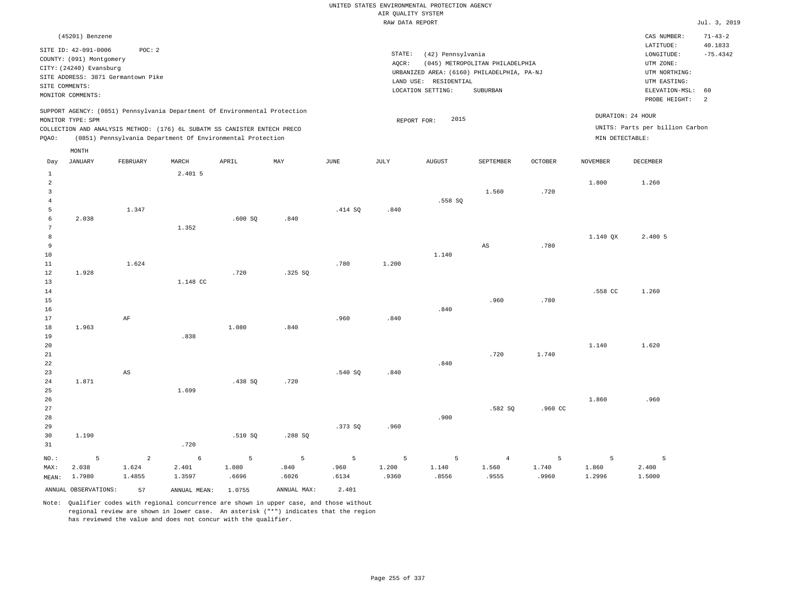# UNITED STATES ENVIRONMENTAL PROTECTION AGENCY AIR QUALITY SYSTEM

|                 |                                    |                |                                                                            |         |                |               | RAW DATA REPORT |                       |                                            |         |                 |                                 | Jul. 3, 2019  |
|-----------------|------------------------------------|----------------|----------------------------------------------------------------------------|---------|----------------|---------------|-----------------|-----------------------|--------------------------------------------|---------|-----------------|---------------------------------|---------------|
|                 | (45201) Benzene                    |                |                                                                            |         |                |               |                 |                       |                                            |         |                 | CAS NUMBER:                     | $71 - 43 - 2$ |
|                 |                                    |                |                                                                            |         |                |               |                 |                       |                                            |         |                 | LATITUDE:                       | 40.1833       |
|                 | SITE ID: 42-091-0006               | POC: 2         |                                                                            |         |                |               | STATE:          | (42) Pennsylvania     |                                            |         |                 | LONGITUDE:                      | $-75.4342$    |
|                 | COUNTY: (091) Montgomery           |                |                                                                            |         |                |               | AQCR:           |                       | (045) METROPOLITAN PHILADELPHIA            |         |                 | UTM ZONE:                       |               |
|                 | CITY: (24240) Evansburg            |                |                                                                            |         |                |               |                 |                       | URBANIZED AREA: (6160) PHILADELPHIA, PA-NJ |         |                 | UTM NORTHING:                   |               |
|                 | SITE ADDRESS: 3871 Germantown Pike |                |                                                                            |         |                |               |                 | LAND USE: RESIDENTIAL |                                            |         |                 | UTM EASTING:                    |               |
| SITE COMMENTS:  |                                    |                |                                                                            |         |                |               |                 | LOCATION SETTING:     | SUBURBAN                                   |         |                 | ELEVATION-MSL: 60               |               |
|                 | MONITOR COMMENTS:                  |                |                                                                            |         |                |               |                 |                       |                                            |         |                 | PROBE HEIGHT:                   | 2             |
|                 |                                    |                | SUPPORT AGENCY: (0851) Pennsylvania Department Of Environmental Protection |         |                |               |                 |                       |                                            |         |                 | DURATION: 24 HOUR               |               |
|                 | MONITOR TYPE: SPM                  |                |                                                                            |         |                |               |                 | 2015<br>REPORT FOR:   |                                            |         |                 |                                 |               |
|                 |                                    |                | COLLECTION AND ANALYSIS METHOD: (176) 6L SUBATM SS CANISTER ENTECH PRECO   |         |                |               |                 |                       |                                            |         |                 | UNITS: Parts per billion Carbon |               |
| PQAO:           |                                    |                | (0851) Pennsylvania Department Of Environmental Protection                 |         |                |               |                 |                       |                                            |         | MIN DETECTABLE: |                                 |               |
|                 | MONTH                              |                |                                                                            |         |                |               |                 |                       |                                            |         |                 |                                 |               |
| Day             | <b>JANUARY</b>                     | FEBRUARY       | MARCH                                                                      | APRIL   | MAY            | $_{\rm JUNE}$ | JULY            | <b>AUGUST</b>         | SEPTEMBER                                  | OCTOBER | <b>NOVEMBER</b> | DECEMBER                        |               |
| $\mathbf{1}$    |                                    |                | 2.401 5                                                                    |         |                |               |                 |                       |                                            |         |                 |                                 |               |
| $\overline{a}$  |                                    |                |                                                                            |         |                |               |                 |                       |                                            |         | 1.800           | 1.260                           |               |
| 3               |                                    |                |                                                                            |         |                |               |                 |                       | 1.560                                      | .720    |                 |                                 |               |
| $\overline{4}$  |                                    |                |                                                                            |         |                |               |                 | .558 SQ               |                                            |         |                 |                                 |               |
| 5               |                                    | 1.347          |                                                                            |         |                | .414 SQ       | .840            |                       |                                            |         |                 |                                 |               |
| 6               | 2.038                              |                |                                                                            | .600SQ  | .840           |               |                 |                       |                                            |         |                 |                                 |               |
| $7\phantom{.0}$ |                                    |                | 1.352                                                                      |         |                |               |                 |                       |                                            |         |                 |                                 |               |
| 8               |                                    |                |                                                                            |         |                |               |                 |                       |                                            |         | 1.140 QX        | 2.400 5                         |               |
| 9               |                                    |                |                                                                            |         |                |               |                 |                       | AS                                         | .780    |                 |                                 |               |
| 10              |                                    |                |                                                                            |         |                |               |                 | 1.140                 |                                            |         |                 |                                 |               |
| $1\,1$<br>12    | 1.928                              | 1.624          |                                                                            | .720    | .325 SO        | .780          | 1.200           |                       |                                            |         |                 |                                 |               |
| 13              |                                    |                | 1.148 CC                                                                   |         |                |               |                 |                       |                                            |         |                 |                                 |               |
| 14              |                                    |                |                                                                            |         |                |               |                 |                       |                                            |         | .558 CC         | 1.260                           |               |
| 15              |                                    |                |                                                                            |         |                |               |                 |                       | .960                                       | .780    |                 |                                 |               |
| 16              |                                    |                |                                                                            |         |                |               |                 | .840                  |                                            |         |                 |                                 |               |
| 17              |                                    | $\rm AF$       |                                                                            |         |                | .960          | .840            |                       |                                            |         |                 |                                 |               |
| $1\,8$          | 1.963                              |                |                                                                            | 1.080   | .840           |               |                 |                       |                                            |         |                 |                                 |               |
| 19              |                                    |                | .838                                                                       |         |                |               |                 |                       |                                            |         |                 |                                 |               |
| 20              |                                    |                |                                                                            |         |                |               |                 |                       |                                            |         | 1.140           | 1.620                           |               |
| $2\sqrt{1}$     |                                    |                |                                                                            |         |                |               |                 |                       | .720                                       | 1.740   |                 |                                 |               |
| 22              |                                    |                |                                                                            |         |                |               |                 | .840                  |                                            |         |                 |                                 |               |
| 23              |                                    | AS             |                                                                            |         |                | .540S         | .840            |                       |                                            |         |                 |                                 |               |
| 24              | 1.871                              |                |                                                                            | .438S   | .720           |               |                 |                       |                                            |         |                 |                                 |               |
| 25              |                                    |                | 1.699                                                                      |         |                |               |                 |                       |                                            |         |                 |                                 |               |
| 26              |                                    |                |                                                                            |         |                |               |                 |                       |                                            |         | 1.860           | .960                            |               |
| 27              |                                    |                |                                                                            |         |                |               |                 |                       | .582 SQ                                    | .960 CC |                 |                                 |               |
| 28              |                                    |                |                                                                            |         |                |               |                 | .900                  |                                            |         |                 |                                 |               |
| 29              |                                    |                |                                                                            |         |                | .373 SQ       | .960            |                       |                                            |         |                 |                                 |               |
| 30              | 1.190                              |                |                                                                            | .510 SQ | .288 SQ        |               |                 |                       |                                            |         |                 |                                 |               |
| 31              |                                    |                | .720                                                                       |         |                |               |                 |                       |                                            |         |                 |                                 |               |
| NO.:            | 5                                  | $\overline{a}$ | $\epsilon$                                                                 | 5       | $\overline{5}$ | 5             | 5               | 5                     | $\overline{4}$                             | 5       | 5               | 5                               |               |
| MAX:            | 2.038                              | 1.624          | 2.401                                                                      | 1.080   | .840           | .960          | 1.200           | 1.140                 | 1.560                                      | 1.740   | 1.860           | 2.400                           |               |
| MEAN:           | 1.7980                             | 1.4855         | 1.3597                                                                     | .6696   | .6026          | .6134         | .9360           | .8556                 | .9555                                      | .9960   | 1.2996          | 1.5000                          |               |
|                 | ANNUAL OBSERVATIONS:               | 57             | ANNUAL MEAN:                                                               | 1.0755  | ANNUAL MAX:    | 2.401         |                 |                       |                                            |         |                 |                                 |               |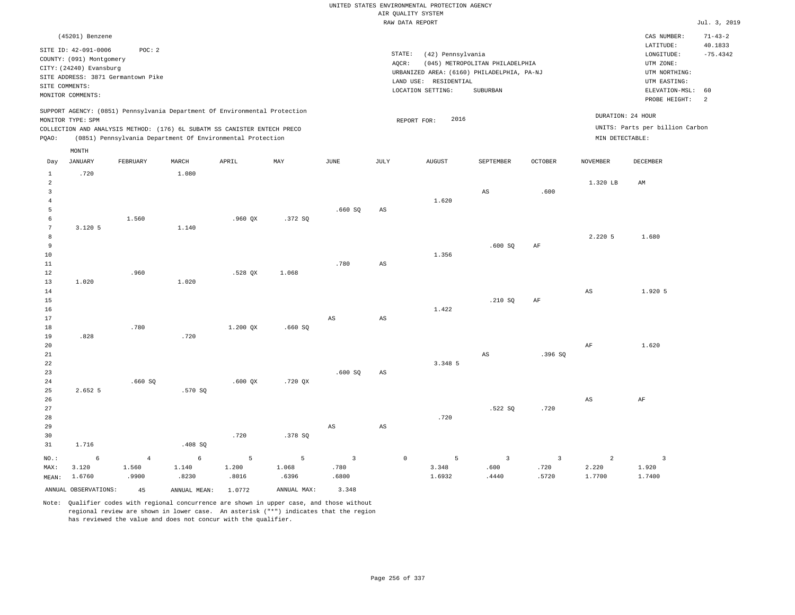|                                                                            |                                                                                                                                                                             |                                 |                                                                                                                                                                                                                      |                     |                                              |                                                   |                 | UNITED STATES ENVIRONMENTAL PROTECTION AGENCY<br>AIR QUALITY SYSTEM<br>RAW DATA REPORT                                  |                                             |                               |                                      |                                                                                                                         | Jul. 3, 2019                                      |
|----------------------------------------------------------------------------|-----------------------------------------------------------------------------------------------------------------------------------------------------------------------------|---------------------------------|----------------------------------------------------------------------------------------------------------------------------------------------------------------------------------------------------------------------|---------------------|----------------------------------------------|---------------------------------------------------|-----------------|-------------------------------------------------------------------------------------------------------------------------|---------------------------------------------|-------------------------------|--------------------------------------|-------------------------------------------------------------------------------------------------------------------------|---------------------------------------------------|
|                                                                            | (45201) Benzene<br>SITE ID: 42-091-0006<br>COUNTY: (091) Montgomery<br>CITY: (24240) Evansburg<br>SITE ADDRESS: 3871 Germantown Pike<br>SITE COMMENTS:<br>MONITOR COMMENTS: | POC: 2                          |                                                                                                                                                                                                                      |                     |                                              |                                                   | AQCR:           | STATE:<br>(42) Pennsylvania<br>URBANIZED AREA: (6160) PHILADELPHIA, PA-NJ<br>LAND USE: RESIDENTIAL<br>LOCATION SETTING: | (045) METROPOLITAN PHILADELPHIA<br>SUBURBAN |                               |                                      | CAS NUMBER:<br>LATITUDE:<br>LONGITUDE:<br>UTM ZONE:<br>UTM NORTHING:<br>UTM EASTING:<br>ELEVATION-MSL:<br>PROBE HEIGHT: | $71 - 43 - 2$<br>40.1833<br>$-75.4342$<br>60<br>2 |
| PQAO:                                                                      | MONITOR TYPE: SPM<br>MONTH                                                                                                                                                  |                                 | SUPPORT AGENCY: (0851) Pennsylvania Department Of Environmental Protection<br>COLLECTION AND ANALYSIS METHOD: (176) 6L SUBATM SS CANISTER ENTECH PRECO<br>(0851) Pennsylvania Department Of Environmental Protection |                     |                                              |                                                   |                 | 2016<br>REPORT FOR:                                                                                                     |                                             |                               | DURATION: 24 HOUR<br>MIN DETECTABLE: | UNITS: Parts per billion Carbon                                                                                         |                                                   |
| Day                                                                        | <b>JANUARY</b>                                                                                                                                                              | FEBRUARY                        | MARCH                                                                                                                                                                                                                | APRIL               | MAY                                          | $_{\rm JUNE}$                                     | $\mathtt{JULY}$ | ${\tt AUGUST}$                                                                                                          | SEPTEMBER                                   | <b>OCTOBER</b>                | <b>NOVEMBER</b>                      | DECEMBER                                                                                                                |                                                   |
| 1<br>$\overline{a}$<br>$\overline{\mathbf{3}}$<br>$\overline{4}$<br>5<br>6 | .720                                                                                                                                                                        | 1.560                           | 1.080                                                                                                                                                                                                                | $.960$ QX           | .372S                                        | .660S                                             | $_{\rm AS}$     | 1.620                                                                                                                   | $\mathbb{A}\mathbb{S}$                      | .600                          | 1.320 LB                             | AM                                                                                                                      |                                                   |
| $7\phantom{.0}$<br>$^{\rm 8}$<br>9<br>$10$<br>$1\,1$<br>12                 | 3.120 5                                                                                                                                                                     | .960                            | 1.140                                                                                                                                                                                                                | $.528$ QX           | 1.068                                        | .780                                              | $_{\rm AS}$     | 1.356                                                                                                                   | .600SQ                                      | AF                            | 2.220 5                              | 1.680                                                                                                                   |                                                   |
| 13<br>14<br>15<br>16<br>17<br>$1\,8$                                       | 1.020                                                                                                                                                                       | .780                            | 1.020                                                                                                                                                                                                                | 1.200 QX            | .660SQ                                       | $\mathbb{A}\mathbb{S}$                            | $_{\rm AS}$     | 1.422                                                                                                                   | .210S                                       | $\rm{AF}$                     | $_{\rm AS}$                          | 1.920 5                                                                                                                 |                                                   |
| 19<br>20<br>21<br>22<br>23<br>24                                           | .828                                                                                                                                                                        | .660SQ                          | .720                                                                                                                                                                                                                 | .600QX              | $.720$ QX                                    | .600SQ                                            | AS              | 3.348 5                                                                                                                 | AS                                          | .396 SO                       | AF                                   | 1.620                                                                                                                   |                                                   |
| 25<br>26<br>27<br>28<br>29<br>30                                           | 2.652 5                                                                                                                                                                     |                                 | .570 SQ                                                                                                                                                                                                              | .720                | .378 SQ                                      | $_{\rm AS}$                                       | $_{\rm AS}$     | .720                                                                                                                    | .522 SQ                                     | .720                          | $\mathbb{A}\mathbb{S}$               | $\rm AF$                                                                                                                |                                                   |
| 31<br>NO.:<br>MAX:<br>MEAN:                                                | 1.716<br>6<br>3.120<br>1.6760<br>ANNUAL OBSERVATIONS:                                                                                                                       | $\,4\,$<br>1.560<br>.9900<br>45 | .408SQ<br>$6\overline{6}$<br>1.140<br>.8230<br>ANNUAL MEAN: 1.0772                                                                                                                                                   | 5<br>1.200<br>.8016 | $\mathsf S$<br>1.068<br>.6396<br>ANNUAL MAX: | $\overline{\mathbf{3}}$<br>.780<br>.6800<br>3.348 |                 | 5<br>$\mathbb O$<br>3.348<br>1.6932                                                                                     | $\overline{3}$<br>.600<br>.4440             | $\mathbf{3}$<br>.720<br>.5720 | $\overline{a}$<br>2.220<br>1.7700    | $\overline{\mathbf{3}}$<br>1.920<br>1.7400                                                                              |                                                   |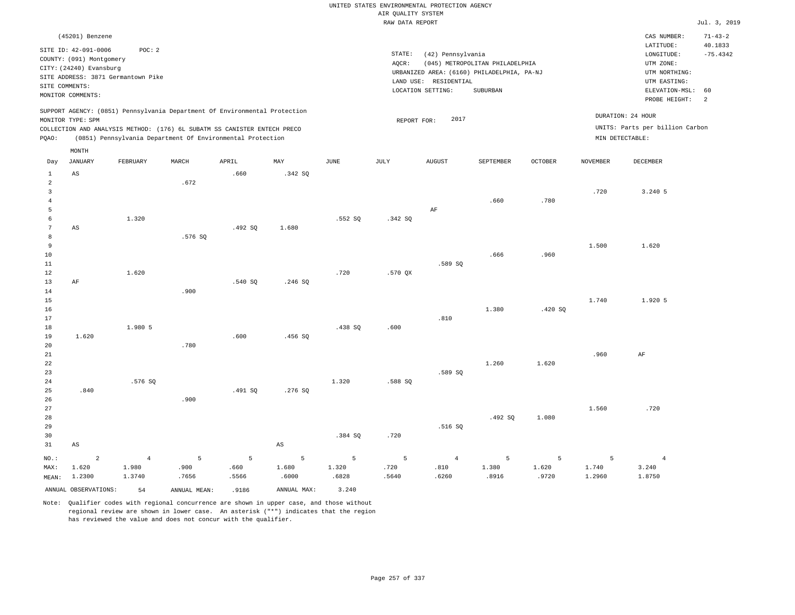|                     |                                         |                |               |                                                                            |                        |               |                    | UNITED STATES ENVIRONMENTAL PROTECTION AGENCY |                                            |                |                 |                                 |                          |
|---------------------|-----------------------------------------|----------------|---------------|----------------------------------------------------------------------------|------------------------|---------------|--------------------|-----------------------------------------------|--------------------------------------------|----------------|-----------------|---------------------------------|--------------------------|
|                     |                                         |                |               |                                                                            |                        |               | AIR QUALITY SYSTEM |                                               |                                            |                |                 |                                 |                          |
|                     |                                         |                |               |                                                                            |                        |               | RAW DATA REPORT    |                                               |                                            |                |                 |                                 | Jul. 3, 2019             |
|                     | (45201) Benzene<br>SITE ID: 42-091-0006 | POC: 2         |               |                                                                            |                        |               |                    |                                               |                                            |                |                 | CAS NUMBER:<br>LATITUDE:        | $71 - 43 - 2$<br>40.1833 |
|                     | COUNTY: (091) Montgomery                |                |               |                                                                            |                        |               | STATE:             | (42) Pennsylvania                             |                                            |                |                 | LONGITUDE:                      | $-75.4342$               |
|                     | CITY: (24240) Evansburg                 |                |               |                                                                            |                        |               | AQCR:              |                                               | (045) METROPOLITAN PHILADELPHIA            |                |                 | UTM ZONE:                       |                          |
|                     | SITE ADDRESS: 3871 Germantown Pike      |                |               |                                                                            |                        |               |                    |                                               | URBANIZED AREA: (6160) PHILADELPHIA, PA-NJ |                |                 | UTM NORTHING:<br>UTM EASTING:   |                          |
| SITE COMMENTS:      |                                         |                |               |                                                                            |                        |               |                    | LAND USE: RESIDENTIAL<br>LOCATION SETTING:    | <b>SUBURBAN</b>                            |                |                 | ELEVATION-MSL:                  | 60                       |
|                     | MONITOR COMMENTS:                       |                |               |                                                                            |                        |               |                    |                                               |                                            |                |                 | PROBE HEIGHT:                   | 2                        |
|                     | MONITOR TYPE: SPM                       |                |               | SUPPORT AGENCY: (0851) Pennsylvania Department Of Environmental Protection |                        |               | REPORT FOR:        | 2017                                          |                                            |                |                 | DURATION: 24 HOUR               |                          |
|                     |                                         |                |               | COLLECTION AND ANALYSIS METHOD: (176) 6L SUBATM SS CANISTER ENTECH PRECO   |                        |               |                    |                                               |                                            |                |                 | UNITS: Parts per billion Carbon |                          |
| PQAO:               |                                         |                |               | (0851) Pennsylvania Department Of Environmental Protection                 |                        |               |                    |                                               |                                            |                | MIN DETECTABLE: |                                 |                          |
|                     | MONTH                                   |                |               |                                                                            |                        |               |                    |                                               |                                            |                |                 |                                 |                          |
| Day                 | <b>JANUARY</b>                          | FEBRUARY       | MARCH         | APRIL                                                                      | MAY                    | $_{\rm JUNE}$ | JULY               | <b>AUGUST</b>                                 | SEPTEMBER                                  | <b>OCTOBER</b> | <b>NOVEMBER</b> | DECEMBER                        |                          |
| $1\,$               | $\mathbb{A}\mathbb{S}$                  |                |               | .660                                                                       | .342 SQ                |               |                    |                                               |                                            |                |                 |                                 |                          |
| $\overline{a}$      |                                         |                | .672          |                                                                            |                        |               |                    |                                               |                                            |                |                 |                                 |                          |
| $\mathbf{3}$        |                                         |                |               |                                                                            |                        |               |                    |                                               |                                            |                | .720            | 3.240 5                         |                          |
| $\overline{4}$<br>5 |                                         |                |               |                                                                            |                        |               |                    |                                               | .660                                       | .780           |                 |                                 |                          |
| 6                   |                                         | 1.320          |               |                                                                            |                        | .552 SQ       | .342 SQ            | AF                                            |                                            |                |                 |                                 |                          |
| $\overline{7}$      | AS                                      |                |               | .492SQ                                                                     | 1.680                  |               |                    |                                               |                                            |                |                 |                                 |                          |
| 8                   |                                         |                | .576SQ        |                                                                            |                        |               |                    |                                               |                                            |                |                 |                                 |                          |
| 9                   |                                         |                |               |                                                                            |                        |               |                    |                                               |                                            |                | 1.500           | 1.620                           |                          |
| 10                  |                                         |                |               |                                                                            |                        |               |                    |                                               | .666                                       | .960           |                 |                                 |                          |
| $11\,$              |                                         |                |               |                                                                            |                        |               |                    | .589 SQ                                       |                                            |                |                 |                                 |                          |
| 12                  |                                         | 1.620          |               |                                                                            |                        | .720          | $.570$ QX          |                                               |                                            |                |                 |                                 |                          |
| 13                  | AF                                      |                |               | .540 SQ                                                                    | .246S                  |               |                    |                                               |                                            |                |                 |                                 |                          |
| 14                  |                                         |                | .900          |                                                                            |                        |               |                    |                                               |                                            |                |                 |                                 |                          |
| 15                  |                                         |                |               |                                                                            |                        |               |                    |                                               |                                            |                | 1.740           | 1.920 5                         |                          |
| 16                  |                                         |                |               |                                                                            |                        |               |                    |                                               | 1.380                                      | .420SQ         |                 |                                 |                          |
| 17                  |                                         |                |               |                                                                            |                        |               |                    | .810                                          |                                            |                |                 |                                 |                          |
| 18                  |                                         | 1.980 5        |               |                                                                            |                        | .438 SQ       | .600               |                                               |                                            |                |                 |                                 |                          |
| 19                  | 1.620                                   |                |               | .600                                                                       | .456 SO                |               |                    |                                               |                                            |                |                 |                                 |                          |
| 20                  |                                         |                | .780          |                                                                            |                        |               |                    |                                               |                                            |                |                 |                                 |                          |
| 21                  |                                         |                |               |                                                                            |                        |               |                    |                                               |                                            |                | .960            | AF                              |                          |
| 22                  |                                         |                |               |                                                                            |                        |               |                    |                                               | 1.260                                      | 1.620          |                 |                                 |                          |
| 23                  |                                         |                |               |                                                                            |                        |               |                    | .589 SQ                                       |                                            |                |                 |                                 |                          |
| 24                  |                                         | .576 SO        |               |                                                                            |                        | 1,320         | .588 SO            |                                               |                                            |                |                 |                                 |                          |
| 25                  | .840                                    |                |               | .491 SQ                                                                    | .276SQ                 |               |                    |                                               |                                            |                |                 |                                 |                          |
| 26                  |                                         |                | .900          |                                                                            |                        |               |                    |                                               |                                            |                |                 |                                 |                          |
| 27<br>28            |                                         |                |               |                                                                            |                        |               |                    |                                               | .492 SO                                    | 1.080          | 1.560           | .720                            |                          |
| 29                  |                                         |                |               |                                                                            |                        |               |                    | .516 SQ                                       |                                            |                |                 |                                 |                          |
| 30                  |                                         |                |               |                                                                            |                        | .384 SO       | .720               |                                               |                                            |                |                 |                                 |                          |
| 31                  | $_{\rm AS}$                             |                |               |                                                                            | $\mathbb{A}\mathbb{S}$ |               |                    |                                               |                                            |                |                 |                                 |                          |
|                     |                                         |                |               |                                                                            |                        |               |                    |                                               |                                            |                |                 |                                 |                          |
| NO.:                | $\overline{a}$                          | $\overline{4}$ | 5             | 5                                                                          | 5                      | 5             | 5                  | $\overline{4}$                                | 5                                          | 5              | 5               | $\overline{4}$                  |                          |
| MAX:                | 1.620                                   | 1.980          | .900          | .660                                                                       | 1.680                  | 1.320         | .720               | .810                                          | 1.380                                      | 1.620          | 1.740           | 3.240                           |                          |
| MEAN:               | 1.2300                                  | 1.3740         | .7656         | .5566                                                                      | .6000                  | .6828         | .5640              | .6260                                         | .8916                                      | .9720          | 1.2960          | 1.8750                          |                          |
|                     | ANNUAL OBSERVATIONS:                    | 54             | ANNUAL, MEAN: | .9186                                                                      | ANNUAL MAX:            | 3.240         |                    |                                               |                                            |                |                 |                                 |                          |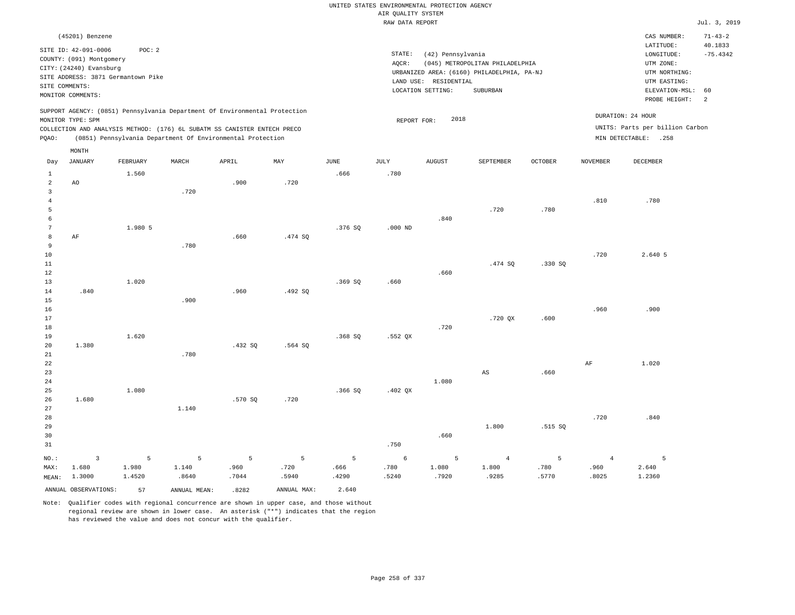|                         |                                                  |          |              |                                                                            |             |             |                    | UNITED STATES ENVIRONMENTAL PROTECTION AGENCY |                                            |         |                 |                                 |                          |
|-------------------------|--------------------------------------------------|----------|--------------|----------------------------------------------------------------------------|-------------|-------------|--------------------|-----------------------------------------------|--------------------------------------------|---------|-----------------|---------------------------------|--------------------------|
|                         |                                                  |          |              |                                                                            |             |             | AIR QUALITY SYSTEM |                                               |                                            |         |                 |                                 |                          |
|                         |                                                  |          |              |                                                                            |             |             | RAW DATA REPORT    |                                               |                                            |         |                 |                                 | Jul. 3, 2019             |
|                         | (45201) Benzene                                  |          |              |                                                                            |             |             |                    |                                               |                                            |         |                 | CAS NUMBER:<br>LATITUDE:        | $71 - 43 - 2$<br>40.1833 |
|                         | SITE ID: 42-091-0006<br>COUNTY: (091) Montgomery | POC: 2   |              |                                                                            |             |             | STATE:             | (42) Pennsylvania                             |                                            |         |                 | LONGITUDE:                      | $-75.4342$               |
|                         | CITY: (24240) Evansburg                          |          |              |                                                                            |             |             | AQCR:              |                                               | (045) METROPOLITAN PHILADELPHIA            |         |                 | UTM ZONE:                       |                          |
|                         | SITE ADDRESS: 3871 Germantown Pike               |          |              |                                                                            |             |             |                    |                                               | URBANIZED AREA: (6160) PHILADELPHIA, PA-NJ |         |                 | UTM NORTHING:                   |                          |
|                         | SITE COMMENTS:                                   |          |              |                                                                            |             |             |                    | LAND USE: RESIDENTIAL                         |                                            |         |                 | UTM EASTING:                    |                          |
|                         | MONITOR COMMENTS:                                |          |              |                                                                            |             |             |                    | LOCATION SETTING:                             | SUBURBAN                                   |         |                 | ELEVATION-MSL:<br>PROBE HEIGHT: | 60<br>2                  |
|                         |                                                  |          |              | SUPPORT AGENCY: (0851) Pennsylvania Department Of Environmental Protection |             |             |                    |                                               |                                            |         |                 | DURATION: 24 HOUR               |                          |
|                         | MONITOR TYPE: SPM                                |          |              |                                                                            |             |             | REPORT FOR:        | 2018                                          |                                            |         |                 | UNITS: Parts per billion Carbon |                          |
|                         |                                                  |          |              | COLLECTION AND ANALYSIS METHOD: (176) 6L SUBATM SS CANISTER ENTECH PRECO   |             |             |                    |                                               |                                            |         |                 |                                 |                          |
| PQAO:                   |                                                  |          |              | (0851) Pennsylvania Department Of Environmental Protection                 |             |             |                    |                                               |                                            |         |                 | MIN DETECTABLE: .258            |                          |
| Day                     | MONTH<br><b>JANUARY</b>                          | FEBRUARY | MARCH        | APRIL                                                                      | MAY         | <b>JUNE</b> | <b>JULY</b>        | <b>AUGUST</b>                                 | SEPTEMBER                                  | OCTOBER | <b>NOVEMBER</b> | <b>DECEMBER</b>                 |                          |
| $\mathbf{1}$            |                                                  | 1.560    |              |                                                                            |             | .666        | .780               |                                               |                                            |         |                 |                                 |                          |
| $\overline{a}$          | AO                                               |          |              | .900                                                                       | .720        |             |                    |                                               |                                            |         |                 |                                 |                          |
| $\overline{\mathbf{3}}$ |                                                  |          | .720         |                                                                            |             |             |                    |                                               |                                            |         |                 |                                 |                          |
| $\overline{4}$          |                                                  |          |              |                                                                            |             |             |                    |                                               |                                            |         | .810            | .780                            |                          |
| 5                       |                                                  |          |              |                                                                            |             |             |                    |                                               | .720                                       | .780    |                 |                                 |                          |
| 6                       |                                                  |          |              |                                                                            |             |             |                    | .840                                          |                                            |         |                 |                                 |                          |
| $7\phantom{.0}$         |                                                  | 1.980 5  |              |                                                                            |             | .376 SQ     | $.000$ ND          |                                               |                                            |         |                 |                                 |                          |
| 8                       | $\rm{AF}$                                        |          |              | .660                                                                       | .474 SQ     |             |                    |                                               |                                            |         |                 |                                 |                          |
| $\,9$                   |                                                  |          | .780         |                                                                            |             |             |                    |                                               |                                            |         |                 |                                 |                          |
| 10                      |                                                  |          |              |                                                                            |             |             |                    |                                               |                                            |         | .720            | 2.640 5                         |                          |
| 11                      |                                                  |          |              |                                                                            |             |             |                    |                                               | .474 SQ                                    | .330 SQ |                 |                                 |                          |
| 12<br>13                |                                                  | 1.020    |              |                                                                            |             | .369SQ      | .660               | .660                                          |                                            |         |                 |                                 |                          |
| 14                      | .840                                             |          |              | .960                                                                       | .492SQ      |             |                    |                                               |                                            |         |                 |                                 |                          |
| 15                      |                                                  |          | .900         |                                                                            |             |             |                    |                                               |                                            |         |                 |                                 |                          |
| 16                      |                                                  |          |              |                                                                            |             |             |                    |                                               |                                            |         | .960            | .900                            |                          |
| 17                      |                                                  |          |              |                                                                            |             |             |                    |                                               | .720 OX                                    | .600    |                 |                                 |                          |
| 18                      |                                                  |          |              |                                                                            |             |             |                    | .720                                          |                                            |         |                 |                                 |                          |
| 19                      |                                                  | 1.620    |              |                                                                            |             | .368SQ      | $.552$ QX          |                                               |                                            |         |                 |                                 |                          |
| 20                      | 1.380                                            |          |              | .432 SQ                                                                    | $.564$ SQ   |             |                    |                                               |                                            |         |                 |                                 |                          |
| 21                      |                                                  |          | .780         |                                                                            |             |             |                    |                                               |                                            |         |                 |                                 |                          |
| 22                      |                                                  |          |              |                                                                            |             |             |                    |                                               |                                            |         | $\rm{AF}$       | 1.020                           |                          |
| 23                      |                                                  |          |              |                                                                            |             |             |                    |                                               | $_{\rm AS}$                                | .660    |                 |                                 |                          |
| 24                      |                                                  |          |              |                                                                            |             |             |                    | 1.080                                         |                                            |         |                 |                                 |                          |
| 25                      |                                                  | 1.080    |              |                                                                            |             | .366SQ      | $.402$ QX          |                                               |                                            |         |                 |                                 |                          |
| 26                      | 1.680                                            |          |              | .570 SQ                                                                    | .720        |             |                    |                                               |                                            |         |                 |                                 |                          |
| 27                      |                                                  |          | 1.140        |                                                                            |             |             |                    |                                               |                                            |         |                 |                                 |                          |
| 28                      |                                                  |          |              |                                                                            |             |             |                    |                                               |                                            |         | .720            | .840                            |                          |
| 29                      |                                                  |          |              |                                                                            |             |             |                    |                                               | 1.800                                      | .515 SQ |                 |                                 |                          |
| 30                      |                                                  |          |              |                                                                            |             |             |                    | .660                                          |                                            |         |                 |                                 |                          |
| 31                      |                                                  |          |              |                                                                            |             |             | .750               |                                               |                                            |         |                 |                                 |                          |
| NO.:                    | $\overline{\mathbf{3}}$                          | 5        | 5            | 5                                                                          | 5           | 5           | 6                  | 5                                             | $\overline{4}$                             | 5       | $\overline{4}$  | $\overline{5}$                  |                          |
| MAX:                    | 1.680                                            | 1.980    | 1.140        | .960                                                                       | .720        | .666        | .780               | 1.080                                         | 1.800                                      | .780    | .960            | 2.640                           |                          |
| MEAN:                   | 1.3000                                           | 1.4520   | .8640        | .7044                                                                      | .5940       | .4290       | .5240              | .7920                                         | .9285                                      | .5770   | .8025           | 1.2360                          |                          |
|                         | ANNUAL OBSERVATIONS:                             | 57       | ANNUAL MEAN: | .8282                                                                      | ANNUAL MAX: | 2.640       |                    |                                               |                                            |         |                 |                                 |                          |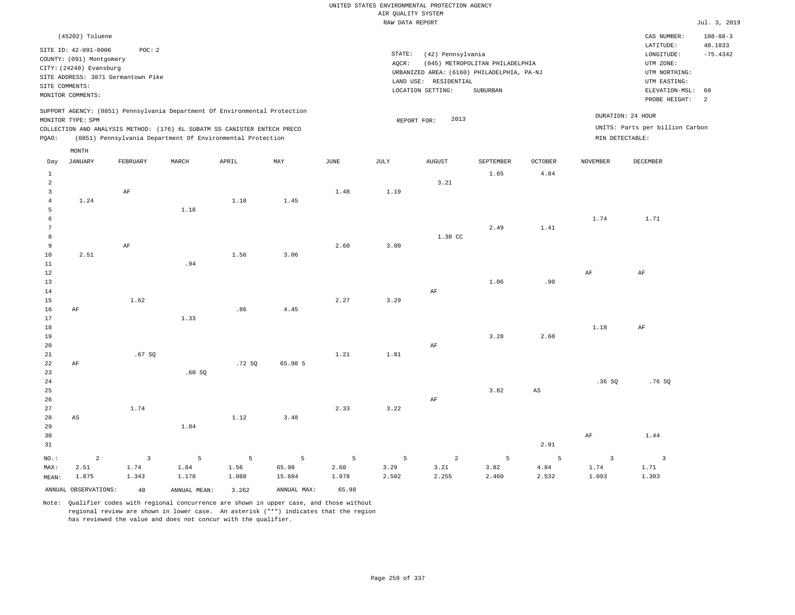|  | UNITED STATES ENVIRONMENTAL PROTECTION AGENCY |  |  |
|--|-----------------------------------------------|--|--|
|  | AIR OUALITY SYSTEM                            |  |  |
|  | RAW DATA REPORT                               |  |  |

Jul. 3, 2019

| (45202) Toluene                                                                                                                                                                                                                                    |                                                                                                                                                                                 | CAS NUMBER:                                                                                                                   | $108 - 88 - 3$        |
|----------------------------------------------------------------------------------------------------------------------------------------------------------------------------------------------------------------------------------------------------|---------------------------------------------------------------------------------------------------------------------------------------------------------------------------------|-------------------------------------------------------------------------------------------------------------------------------|-----------------------|
| SITE ID: 42-091-0006<br>POC:2<br>COUNTY: (091) Montgomery<br>CITY: (24240) Evansburg<br>SITE ADDRESS: 3871 Germantown Pike<br>SITE COMMENTS:<br>MONITOR COMMENTS:                                                                                  | STATE:<br>(42) Pennsylvania<br>(045) METROPOLITAN PHILADELPHIA<br>AOCR:<br>URBANIZED AREA: (6160) PHILADELPHIA, PA-NJ<br>LAND USE: RESIDENTIAL<br>LOCATION SETTING:<br>SUBURBAN | LATITUDE:<br>LONGITUDE:<br>UTM ZONE:<br>UTM NORTHING:<br>UTM EASTING:<br>ELEVATION-MSL: 60<br>PROBE HEIGHT:<br>$\overline{2}$ | 40.1833<br>$-75.4342$ |
| SUPPORT AGENCY: (0851) Pennsylvania Department Of Environmental Protection<br>MONITOR TYPE: SPM<br>COLLECTION AND ANALYSIS METHOD: (176) 6L SUBATM SS CANISTER ENTECH PRECO<br>(0851) Pennsylvania Department Of Environmental Protection<br>POAO: | 2013<br>REPORT FOR:<br>MIN DETECTABLE:                                                                                                                                          | DURATION: 24 HOUR<br>UNITS: Parts per billion Carbon                                                                          |                       |

|                 | $\texttt{MONTH}$       |                         |              |                |             |               |                 |                |                |                        |                          |                            |
|-----------------|------------------------|-------------------------|--------------|----------------|-------------|---------------|-----------------|----------------|----------------|------------------------|--------------------------|----------------------------|
| Day             | <b>JANUARY</b>         | FEBRUARY                | MARCH        | APRIL          | MAY         | $_{\rm JUNE}$ | $\mathtt{JULY}$ | ${\tt AUGUST}$ | SEPTEMBER      | <b>OCTOBER</b>         | <b>NOVEMBER</b>          | DECEMBER                   |
| $\mathbf{1}$    |                        |                         |              |                |             |               |                 |                | 1.65           | 4.84                   |                          |                            |
| $\overline{a}$  |                        |                         |              |                |             |               |                 | 3.21           |                |                        |                          |                            |
| 3               |                        | AF                      |              |                |             | 1.48          | 1.19            |                |                |                        |                          |                            |
| $\overline{4}$  | 1.24                   |                         |              | 1.18           | 1.45        |               |                 |                |                |                        |                          |                            |
| $\overline{5}$  |                        |                         | 1.18         |                |             |               |                 |                |                |                        |                          |                            |
| $\epsilon$      |                        |                         |              |                |             |               |                 |                |                |                        | 1.74                     | 1.71                       |
| $7\phantom{.0}$ |                        |                         |              |                |             |               |                 |                | 2.49           | 1.41                   |                          |                            |
| 8               |                        |                         |              |                |             |               |                 | 1.30 CC        |                |                        |                          |                            |
| 9               |                        | $\rm{AF}$               |              |                |             | 2.60          | 3.00            |                |                |                        |                          |                            |
| 10              | 2.51                   |                         |              | 1.56           | 3.06        |               |                 |                |                |                        |                          |                            |
| 11              |                        |                         | .94          |                |             |               |                 |                |                |                        |                          |                            |
| 12              |                        |                         |              |                |             |               |                 |                |                |                        | $\rm{AF}$                | $\rm{AF}$                  |
| 13              |                        |                         |              |                |             |               |                 |                | 1.06           | .90                    |                          |                            |
| 14              |                        |                         |              |                |             |               |                 | $\rm AF$       |                |                        |                          |                            |
| 15              |                        | 1.62                    |              |                |             | 2.27          | 3.29            |                |                |                        |                          |                            |
| 16              | $\rm{AF}$              |                         |              | .86            | 4.45        |               |                 |                |                |                        |                          |                            |
| 17<br>18        |                        |                         | 1.33         |                |             |               |                 |                |                |                        | 1.18                     | $\rm{AF}$                  |
| 19              |                        |                         |              |                |             |               |                 |                | 3.28           | 2.60                   |                          |                            |
| 20              |                        |                         |              |                |             |               |                 | $\rm AF$       |                |                        |                          |                            |
| 21              |                        | .67 SQ                  |              |                |             | 1.21          | 1.81            |                |                |                        |                          |                            |
| 22              | $\rm{AF}$              |                         |              | .72S           | 65.98 5     |               |                 |                |                |                        |                          |                            |
| 23              |                        |                         | .60SQ        |                |             |               |                 |                |                |                        |                          |                            |
| 24              |                        |                         |              |                |             |               |                 |                |                |                        | .36SQ                    | .76SQ                      |
| 25              |                        |                         |              |                |             |               |                 |                | 3.82           | $\mathbb{A}\mathbb{S}$ |                          |                            |
| 26              |                        |                         |              |                |             |               |                 | $\rm{AF}$      |                |                        |                          |                            |
| 27              |                        | 1.74                    |              |                |             | 2.33          | 3.22            |                |                |                        |                          |                            |
| 28              | $\mathbb{A}\mathbb{S}$ |                         |              | 1.12           | 3.48        |               |                 |                |                |                        |                          |                            |
| 29              |                        |                         | 1.84         |                |             |               |                 |                |                |                        |                          |                            |
| 30              |                        |                         |              |                |             |               |                 |                |                |                        | $\rm{AF}$                | 1.44                       |
| 31              |                        |                         |              |                |             |               |                 |                |                | 2.91                   |                          |                            |
| $NO.$ :         | $\sqrt{2}$             | $\overline{\mathbf{3}}$ | 5            | $\overline{5}$ | 5           | 5             | 5               | $\overline{a}$ | $\overline{5}$ | 5                      | $\overline{\phantom{a}}$ | $\overline{\phantom{a}}$ 3 |
| MAX:            | 2.51                   | 1.74                    | 1.84         | 1.56           | 65.98       | 2.60          | 3.29            | 3.21           | 3.82           | 4.84                   | 1.74                     | 1.71                       |
| MEAN:           | 1.875                  | 1.343                   | 1.178        | 1.088          | 15.684      | 1.978         | 2.502           | 2.255          | 2.460          | 2.532                  | 1.093                    | 1.303                      |
|                 | ANNUAL OBSERVATIONS:   | 48                      | ANNUAL MEAN: | 3.262          | ANNUAL MAX: | 65.98         |                 |                |                |                        |                          |                            |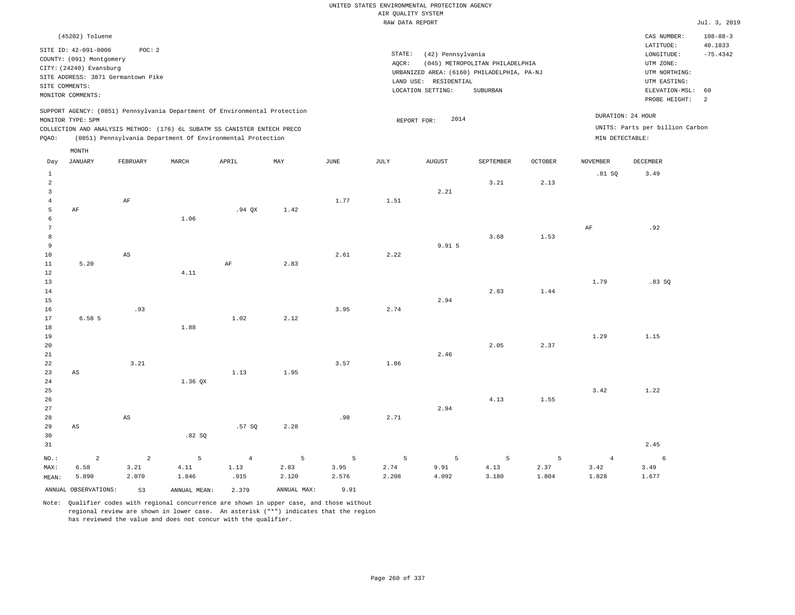|       | (45202) Toluene          |                                    |       |                                                                            |      |                                   |        |                                            |                                 |                |                   | CAS NUMBER:                     | $108 - 88 - 3$ |
|-------|--------------------------|------------------------------------|-------|----------------------------------------------------------------------------|------|-----------------------------------|--------|--------------------------------------------|---------------------------------|----------------|-------------------|---------------------------------|----------------|
|       | SITE ID: 42-091-0006     | POC: 2                             |       |                                                                            |      |                                   |        |                                            |                                 |                |                   | LATITUDE:                       | 40.1833        |
|       | COUNTY: (091) Montgomery |                                    |       |                                                                            |      |                                   | STATE: | (42) Pennsylvania                          |                                 |                |                   | LONGITUDE:                      | $-75.4342$     |
|       | CITY: (24240) Evansburg  |                                    |       |                                                                            |      |                                   | AOCR:  |                                            | (045) METROPOLITAN PHILADELPHIA |                |                   | UTM ZONE:                       |                |
|       |                          | SITE ADDRESS: 3871 Germantown Pike |       |                                                                            |      |                                   |        | URBANIZED AREA: (6160) PHILADELPHIA, PA-NJ |                                 |                |                   | UTM NORTHING:                   |                |
|       |                          |                                    |       |                                                                            |      |                                   |        | LAND USE: RESIDENTIAL                      |                                 |                |                   | UTM EASTING:                    |                |
|       | SITE COMMENTS:           |                                    |       |                                                                            |      |                                   |        | LOCATION SETTING:                          | SUBURBAN                        |                |                   | ELEVATION-MSL:                  | 60             |
|       | MONITOR COMMENTS:        |                                    |       |                                                                            |      |                                   |        |                                            |                                 |                |                   | PROBE HEIGHT:                   | 2              |
|       |                          |                                    |       | SUPPORT AGENCY: (0851) Pennsylvania Department Of Environmental Protection |      |                                   |        |                                            |                                 |                |                   |                                 |                |
|       | MONITOR TYPE: SPM        |                                    |       |                                                                            |      |                                   |        | 2014<br>REPORT FOR:                        |                                 |                | DURATION: 24 HOUR |                                 |                |
|       |                          |                                    |       | COLLECTION AND ANALYSIS METHOD: (176) 6L SUBATM SS CANISTER ENTECH PRECO   |      |                                   |        |                                            |                                 |                |                   | UNITS: Parts per billion Carbon |                |
| POAO: |                          |                                    |       | (0851) Pennsylvania Department Of Environmental Protection                 |      |                                   |        |                                            |                                 |                | MIN DETECTABLE:   |                                 |                |
|       |                          |                                    |       |                                                                            |      |                                   |        |                                            |                                 |                |                   |                                 |                |
|       | MONTH                    |                                    |       |                                                                            |      |                                   |        |                                            |                                 |                |                   |                                 |                |
| Day   | JANUARY                  | FEBRUARY                           | MARCH | APRIL                                                                      | MAY  | JUNE                              | JULY   | <b>AUGUST</b>                              | SEPTEMBER                       | <b>OCTOBER</b> | <b>NOVEMBER</b>   | DECEMBER                        |                |
|       |                          |                                    |       |                                                                            |      |                                   |        |                                            |                                 |                | .81SQ             | 3.49                            |                |
|       |                          |                                    |       |                                                                            |      |                                   |        |                                            | 3.21                            | 2.13           |                   |                                 |                |
|       |                          |                                    |       |                                                                            |      |                                   |        | 2.21                                       |                                 |                |                   |                                 |                |
|       |                          | AF                                 |       |                                                                            |      | 1.77                              | 1.51   |                                            |                                 |                |                   |                                 |                |
|       | ΑF                       |                                    |       | $.94$ $OX$                                                                 | 1.42 |                                   |        |                                            |                                 |                |                   |                                 |                |
|       |                          |                                    | 1.06  |                                                                            |      |                                   |        |                                            |                                 |                |                   |                                 |                |
|       |                          |                                    |       |                                                                            |      |                                   |        |                                            |                                 |                | AF                | .92                             |                |
|       |                          |                                    |       |                                                                            |      |                                   |        |                                            | 3.68                            | 1.53           |                   |                                 |                |
| 9     |                          |                                    |       |                                                                            |      |                                   |        | 9.91 5                                     |                                 |                |                   |                                 |                |
|       |                          | and the control of                 |       |                                                                            |      | the company of the company of the | .      |                                            |                                 |                |                   |                                 |                |

| - -            |                        |                        |             |                |       |       |       | - - - - |       |       |                |       |
|----------------|------------------------|------------------------|-------------|----------------|-------|-------|-------|---------|-------|-------|----------------|-------|
| 10             |                        | AS                     |             |                |       | 2.61  | 2.22  |         |       |       |                |       |
| 11             | 5.20                   |                        |             | AF             | 2.83  |       |       |         |       |       |                |       |
| 12             |                        |                        | 4.11        |                |       |       |       |         |       |       |                |       |
| 13             |                        |                        |             |                |       |       |       |         |       |       | 1.79           | .83SQ |
| 14             |                        |                        |             |                |       |       |       |         | 2.83  | 1.44  |                |       |
| 15             |                        |                        |             |                |       |       |       | 2.94    |       |       |                |       |
| 16             |                        | .93                    |             |                |       | 3.95  | 2.74  |         |       |       |                |       |
| 17             | 6.58 5                 |                        |             | 1.02           | 2.12  |       |       |         |       |       |                |       |
| 18             |                        |                        | 1.88        |                |       |       |       |         |       |       |                |       |
| 19             |                        |                        |             |                |       |       |       |         |       |       | 1.29           | 1.15  |
| 20             |                        |                        |             |                |       |       |       |         | 2.05  | 2.37  |                |       |
| 21             |                        |                        |             |                |       |       |       | 2.46    |       |       |                |       |
| 22             |                        | 3.21                   |             |                |       | 3.57  | 1.86  |         |       |       |                |       |
| 23             | $\mathbb{A}\mathbb{S}$ |                        |             | 1.13           | 1.95  |       |       |         |       |       |                |       |
| 24<br>25       |                        |                        | 1.36 QX     |                |       |       |       |         |       |       | 3.42           | 1.22  |
| 26             |                        |                        |             |                |       |       |       |         | 4.13  | 1.55  |                |       |
| 27             |                        |                        |             |                |       |       |       | 2.94    |       |       |                |       |
| 28             |                        | $\mathbb{A}\mathbb{S}$ |             |                |       | .98   | 2.71  |         |       |       |                |       |
| 29             | $\mathbb{A}\mathbb{S}$ |                        |             | .57 SQ         | 2.28  |       |       |         |       |       |                |       |
| 30             |                        |                        | .82SQ       |                |       |       |       |         |       |       |                |       |
| 31             |                        |                        |             |                |       |       |       |         |       |       |                | 2.45  |
| $_{\rm NO.}$ : | $\overline{a}$         | $\overline{a}$         | $\mathsf S$ | $\overline{4}$ | 5     | 5     | 5     | 5       | 5     | 5     | $\overline{4}$ | 6     |
| MAX:           | 6.58                   | 3.21                   | 4.11        | 1.13           | 2.83  | 3.95  | 2.74  | 9.91    | 4.13  | 2.37  | 3.42           | 3.49  |
| MEAN:          | 5.890                  | 2.070                  | 1.846       | .915           | 2.120 | 2.576 | 2.208 | 4.092   | 3.180 | 1.804 | 1.828          | 1.677 |

ANNUAL OBSERVATIONS: 53 ANNUAL MEAN: 2.379 ANNUAL MAX: 9.91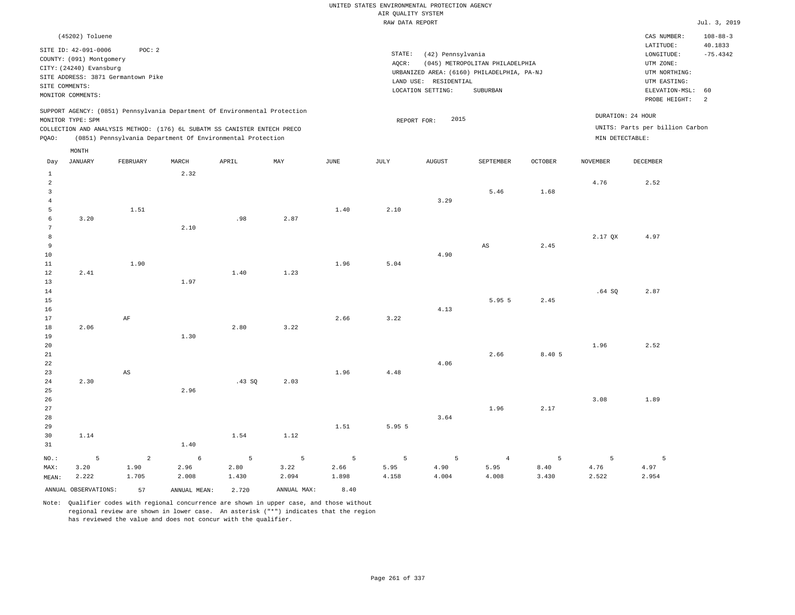# UNITED STATES ENVIRONMENTAL PROTECTION AGENCY AIR QUALITY SYSTEM

|                                                  |                                                                                                                    |                                              |       |                                                                            |      |      | RAW DATA REPORT |                                                                 |                                                                                           |                |                 |                                                                                                          | Jul. 3, 2019                                  |
|--------------------------------------------------|--------------------------------------------------------------------------------------------------------------------|----------------------------------------------|-------|----------------------------------------------------------------------------|------|------|-----------------|-----------------------------------------------------------------|-------------------------------------------------------------------------------------------|----------------|-----------------|----------------------------------------------------------------------------------------------------------|-----------------------------------------------|
|                                                  | (45202) Toluene                                                                                                    |                                              |       |                                                                            |      |      |                 |                                                                 |                                                                                           |                |                 | CAS NUMBER:                                                                                              | $108 - 88 - 3$                                |
|                                                  | SITE ID: 42-091-0006<br>COUNTY: (091) Montgomery<br>CITY: (24240) Evansburg<br>SITE COMMENTS:<br>MONITOR COMMENTS: | POC: 2<br>SITE ADDRESS: 3871 Germantown Pike |       |                                                                            |      |      | STATE:<br>AOCR: | (42) Pennsylvania<br>LAND USE: RESIDENTIAL<br>LOCATION SETTING: | (045) METROPOLITAN PHILADELPHIA<br>URBANIZED AREA: (6160) PHILADELPHIA, PA-NJ<br>SUBURBAN |                |                 | LATITUDE:<br>LONGITUDE:<br>UTM ZONE:<br>UTM NORTHING:<br>UTM EASTING:<br>ELEVATION-MSL:<br>PROBE HEIGHT: | 40.1833<br>$-75.4342$<br>60<br>$\overline{a}$ |
|                                                  | MONITOR TYPE: SPM                                                                                                  |                                              |       | SUPPORT AGENCY: (0851) Pennsylvania Department Of Environmental Protection |      |      |                 | 2015<br>REPORT FOR:                                             |                                                                                           |                |                 | DURATION: 24 HOUR                                                                                        |                                               |
|                                                  |                                                                                                                    |                                              |       | COLLECTION AND ANALYSIS METHOD: (176) 6L SUBATM SS CANISTER ENTECH PRECO   |      |      |                 |                                                                 |                                                                                           |                |                 | UNITS: Parts per billion Carbon                                                                          |                                               |
| PQAO:                                            |                                                                                                                    |                                              |       | (0851) Pennsylvania Department Of Environmental Protection                 |      |      |                 |                                                                 |                                                                                           |                | MIN DETECTABLE: |                                                                                                          |                                               |
|                                                  | MONTH                                                                                                              |                                              |       |                                                                            |      |      |                 |                                                                 |                                                                                           |                |                 |                                                                                                          |                                               |
| Day                                              | <b>JANUARY</b>                                                                                                     | FEBRUARY                                     | MARCH | APRIL                                                                      | MAY  | JUNE | JULY            | <b>AUGUST</b>                                                   | SEPTEMBER                                                                                 | <b>OCTOBER</b> | NOVEMBER        | <b>DECEMBER</b>                                                                                          |                                               |
| $\mathbf{1}$<br>$\overline{a}$<br>$\overline{3}$ |                                                                                                                    |                                              | 2.32  |                                                                            |      |      |                 |                                                                 | 5.46                                                                                      | 1.68           | 4.76            | 2.52                                                                                                     |                                               |
| $\overline{4}$<br>5                              |                                                                                                                    | 1.51                                         |       |                                                                            |      | 1.40 | 2.10            | 3.29                                                            |                                                                                           |                |                 |                                                                                                          |                                               |
| 6                                                | 3.20                                                                                                               |                                              |       | .98                                                                        | 2.87 |      |                 |                                                                 |                                                                                           |                |                 |                                                                                                          |                                               |
| $\overline{7}$<br>8                              |                                                                                                                    |                                              | 2.10  |                                                                            |      |      |                 |                                                                 |                                                                                           |                | 2.17 QX         | 4.97                                                                                                     |                                               |
| 9                                                |                                                                                                                    |                                              |       |                                                                            |      |      |                 |                                                                 | AS                                                                                        | 2.45           |                 |                                                                                                          |                                               |
| 10                                               |                                                                                                                    |                                              |       |                                                                            |      |      |                 | 4.90                                                            |                                                                                           |                |                 |                                                                                                          |                                               |
| 11<br>12                                         | 2.41                                                                                                               | 1.90                                         |       | 1.40                                                                       | 1.23 | 1.96 | 5.04            |                                                                 |                                                                                           |                |                 |                                                                                                          |                                               |
| 13                                               |                                                                                                                    |                                              | 1.97  |                                                                            |      |      |                 |                                                                 |                                                                                           |                |                 |                                                                                                          |                                               |
| 14<br>15                                         |                                                                                                                    |                                              |       |                                                                            |      |      |                 |                                                                 | 5.95 5                                                                                    | 2.45           | .64SQ           | 2.87                                                                                                     |                                               |
| 16                                               |                                                                                                                    |                                              |       |                                                                            |      |      |                 | 4.13                                                            |                                                                                           |                |                 |                                                                                                          |                                               |
| 17<br>18                                         | 2.06                                                                                                               | AF                                           |       | 2.80                                                                       | 3.22 | 2.66 | 3.22            |                                                                 |                                                                                           |                |                 |                                                                                                          |                                               |
| 19                                               |                                                                                                                    |                                              | 1.30  |                                                                            |      |      |                 |                                                                 |                                                                                           |                |                 |                                                                                                          |                                               |
| 20                                               |                                                                                                                    |                                              |       |                                                                            |      |      |                 |                                                                 |                                                                                           |                | 1.96            | 2.52                                                                                                     |                                               |
| 21<br>22                                         |                                                                                                                    |                                              |       |                                                                            |      |      |                 | 4.06                                                            | 2.66                                                                                      | 8.405          |                 |                                                                                                          |                                               |
| 23                                               |                                                                                                                    | $\mathbb{A}\mathbb{S}$                       |       |                                                                            |      | 1.96 | 4.48            |                                                                 |                                                                                           |                |                 |                                                                                                          |                                               |
| 24<br>25                                         | 2.30                                                                                                               |                                              | 2.96  | .43S                                                                       | 2.03 |      |                 |                                                                 |                                                                                           |                |                 |                                                                                                          |                                               |
| 26                                               |                                                                                                                    |                                              |       |                                                                            |      |      |                 |                                                                 |                                                                                           |                | 3.08            | 1.89                                                                                                     |                                               |
| 27                                               |                                                                                                                    |                                              |       |                                                                            |      |      |                 |                                                                 | 1.96                                                                                      | 2.17           |                 |                                                                                                          |                                               |
| 28<br>29                                         |                                                                                                                    |                                              |       |                                                                            |      | 1.51 | 5.95 5          | 3.64                                                            |                                                                                           |                |                 |                                                                                                          |                                               |
| 30                                               | 1.14                                                                                                               |                                              |       | 1.54                                                                       | 1.12 |      |                 |                                                                 |                                                                                           |                |                 |                                                                                                          |                                               |
| 31                                               |                                                                                                                    |                                              | 1.40  |                                                                            |      |      |                 |                                                                 |                                                                                           |                |                 |                                                                                                          |                                               |

| $NO.$ : |                      |       | $5$ 2 6 5 5 5 5 5 4 |       |             |       |       |       |       |       |       |       |
|---------|----------------------|-------|---------------------|-------|-------------|-------|-------|-------|-------|-------|-------|-------|
| MAX:    | 3.20                 | 1.90  | 2.96                | 2.80  | 3.22        | 2.66  | 5.95  | 4.90  | 5.95  | 8.40  | 4.76  | 4.97  |
| MEAN:   | 2.222                | 1.705 | 2.008               | 1.430 | 2.094       | 1.898 | 4.158 | 4.004 | 4.008 | 3.430 | 2.522 | 2.954 |
|         | ANNUAL OBSERVATIONS: | 57    | ANNUAL MEAN:        | 2.720 | ANNUAL MAX: | 8.40  |       |       |       |       |       |       |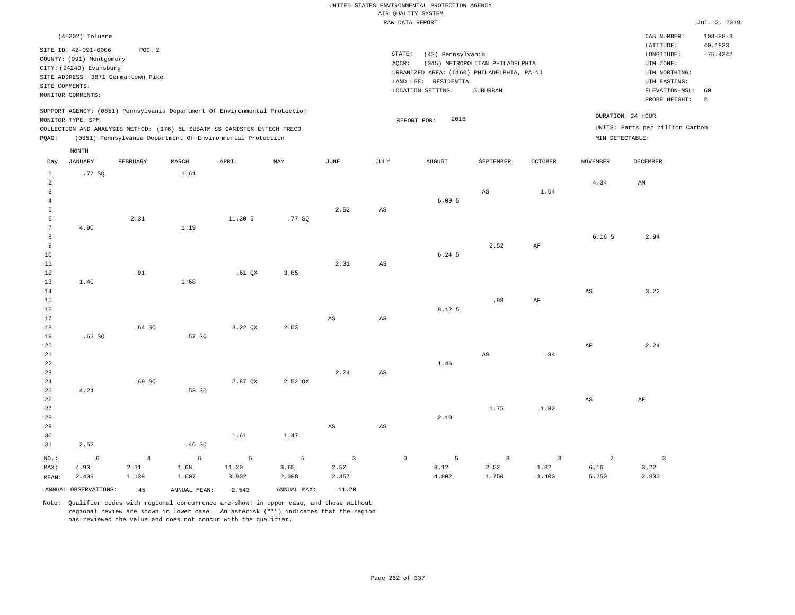|                                                                                   |                                                                                                                     |                                              |                                                                                                                                                                                                                      |                     |                              |                               |                        | UNITED STATES ENVIRONMENTAL PROTECTION AGENCY<br>AIR OUALITY SYSTEM                                           |                                             |                                 |                                 |                                                                                                                         |                                                    |
|-----------------------------------------------------------------------------------|---------------------------------------------------------------------------------------------------------------------|----------------------------------------------|----------------------------------------------------------------------------------------------------------------------------------------------------------------------------------------------------------------------|---------------------|------------------------------|-------------------------------|------------------------|---------------------------------------------------------------------------------------------------------------|---------------------------------------------|---------------------------------|---------------------------------|-------------------------------------------------------------------------------------------------------------------------|----------------------------------------------------|
|                                                                                   |                                                                                                                     |                                              |                                                                                                                                                                                                                      |                     |                              |                               |                        | RAW DATA REPORT                                                                                               |                                             |                                 |                                 |                                                                                                                         | Jul. 3, 2019                                       |
| SITE COMMENTS:                                                                    | (45202) Toluene<br>SITE ID: 42-091-0006<br>COUNTY: (091) Montgomery<br>CITY: (24240) Evansburg<br>MONITOR COMMENTS: | POC: 2<br>SITE ADDRESS: 3871 Germantown Pike |                                                                                                                                                                                                                      |                     |                              |                               | STATE:<br>AQCR:        | (42) Pennsylvania<br>URBANIZED AREA: (6160) PHILADELPHIA, PA-NJ<br>LAND USE: RESIDENTIAL<br>LOCATION SETTING: | (045) METROPOLITAN PHILADELPHIA<br>SUBURBAN |                                 |                                 | CAS NUMBER:<br>LATITUDE:<br>LONGITUDE:<br>UTM ZONE:<br>UTM NORTHING:<br>UTM EASTING:<br>ELEVATION-MSL:<br>PROBE HEIGHT: | $108 - 88 - 3$<br>40.1833<br>$-75.4342$<br>60<br>2 |
| PQAO:                                                                             | MONITOR TYPE: SPM                                                                                                   |                                              | SUPPORT AGENCY: (0851) Pennsylvania Department Of Environmental Protection<br>COLLECTION AND ANALYSIS METHOD: (176) 6L SUBATM SS CANISTER ENTECH PRECO<br>(0851) Pennsylvania Department Of Environmental Protection |                     |                              |                               |                        | 2016<br>REPORT FOR:                                                                                           |                                             |                                 | MIN DETECTABLE:                 | DURATION: 24 HOUR<br>UNITS: Parts per billion Carbon                                                                    |                                                    |
| Day                                                                               | MONTH<br><b>JANUARY</b>                                                                                             | FEBRUARY                                     | MARCH                                                                                                                                                                                                                | APRIL               | MAY                          | JUNE                          | <b>JULY</b>            | <b>AUGUST</b>                                                                                                 | SEPTEMBER                                   | <b>OCTOBER</b>                  | <b>NOVEMBER</b>                 | <b>DECEMBER</b>                                                                                                         |                                                    |
| $\mathbf{1}$<br>$\overline{a}$<br>$\overline{\mathbf{3}}$<br>$\sqrt{4}$<br>5<br>6 | .77 SQ                                                                                                              | 2.31                                         | 1.61                                                                                                                                                                                                                 | 11.20 5             | .77SQ                        | 2.52                          | $\mathbb{A}\mathbb{S}$ | 6.095                                                                                                         | $_{\rm AS}$                                 | 1.54                            | 4.34                            | AM                                                                                                                      |                                                    |
| $7\phantom{.0}$<br>8<br>9<br>$10$<br>11<br>12                                     | 4.90                                                                                                                | .91                                          | 1.19                                                                                                                                                                                                                 | $.61$ $OX$          | 3.65                         | 2.31                          | AS                     | 6.24 5                                                                                                        | 2.52                                        | AF                              | 6.16 <sub>5</sub>               | 2.94                                                                                                                    |                                                    |
| 13<br>14<br>15<br>16<br>17<br>18                                                  | 1.40                                                                                                                | .64SQ                                        | 1.68                                                                                                                                                                                                                 | $3.22$ QX           | 2.03                         | $\mathbb{A}\mathbb{S}$        | $\mathbb{A}\mathbb{S}$ | 8.12 5                                                                                                        | .98                                         | $\rm{AF}$                       | $_{\rm AS}$                     | 3.22                                                                                                                    |                                                    |
| 19<br>20<br>21<br>22<br>23<br>$2\sqrt{4}$                                         | .62S                                                                                                                | .69SQ                                        | .57SQ                                                                                                                                                                                                                | 2.87 QX             | 2.52 QX                      | 2.24                          | AS                     | 1.46                                                                                                          | $\mathbb{A}\mathbb{S}$                      | .84                             | AF                              | 2.24                                                                                                                    |                                                    |
| 25<br>26<br>27<br>28<br>29<br>30                                                  | 4.24                                                                                                                |                                              | .53SQ                                                                                                                                                                                                                | 1.61                | 1.47                         | $\mathbb{A}\mathbb{S}$        | AS                     | 2.10                                                                                                          | 1.75                                        | 1.82                            | $_{\rm AS}$                     | AF                                                                                                                      |                                                    |
| 31                                                                                | 2.52                                                                                                                |                                              | .46SQ                                                                                                                                                                                                                |                     |                              |                               |                        |                                                                                                               |                                             |                                 |                                 |                                                                                                                         |                                                    |
| $NO.$ :<br>MAX:<br>MEAN:                                                          | $\epsilon$<br>4.90<br>2.408                                                                                         | $\overline{4}$<br>2.31<br>1.138              | $\epsilon$<br>1.68<br>1.007                                                                                                                                                                                          | 5<br>11.20<br>3.902 | $\mathsf S$<br>3.65<br>2.088 | $\mathbf{3}$<br>2.52<br>2.357 | $\circ$                | 5<br>8.12<br>4.802                                                                                            | $\overline{3}$<br>2.52<br>1.750             | $\overline{3}$<br>1.82<br>1.400 | $\overline{a}$<br>6.16<br>5.250 | $\overline{\mathbf{3}}$<br>3.22<br>2.800                                                                                |                                                    |
|                                                                                   | ANNUAL OBSERVATIONS:                                                                                                | 45                                           | ANNUAL MEAN:                                                                                                                                                                                                         | 2.543               | ANNUAL MAX:                  | 11.20                         |                        |                                                                                                               |                                             |                                 |                                 |                                                                                                                         |                                                    |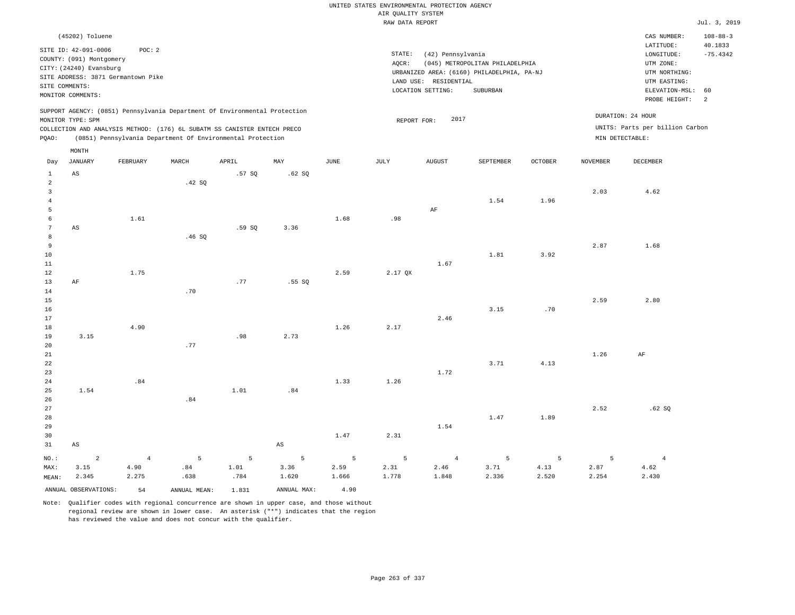|                 |                                    |                 |                                                                            |        |             |       | UNITED STATES ENVIRONMENTAL PROTECTION AGENCY |                       |                                            |                |                 |                                 |                           |
|-----------------|------------------------------------|-----------------|----------------------------------------------------------------------------|--------|-------------|-------|-----------------------------------------------|-----------------------|--------------------------------------------|----------------|-----------------|---------------------------------|---------------------------|
|                 |                                    |                 |                                                                            |        |             |       | AIR QUALITY SYSTEM                            |                       |                                            |                |                 |                                 |                           |
|                 |                                    |                 |                                                                            |        |             |       | RAW DATA REPORT                               |                       |                                            |                |                 |                                 | Jul. 3, 2019              |
|                 | (45202) Toluene                    |                 |                                                                            |        |             |       |                                               |                       |                                            |                |                 | CAS NUMBER:<br>LATITUDE:        | $108 - 88 - 3$<br>40.1833 |
|                 | SITE ID: 42-091-0006               | POC: 2          |                                                                            |        |             |       | STATE:                                        | (42) Pennsylvania     |                                            |                |                 | LONGITUDE:                      | $-75.4342$                |
|                 | COUNTY: (091) Montgomery           |                 |                                                                            |        |             |       | AQCR:                                         |                       | (045) METROPOLITAN PHILADELPHIA            |                |                 | UTM ZONE:                       |                           |
|                 | CITY: (24240) Evansburg            |                 |                                                                            |        |             |       |                                               |                       | URBANIZED AREA: (6160) PHILADELPHIA, PA-NJ |                |                 | UTM NORTHING:                   |                           |
|                 | SITE ADDRESS: 3871 Germantown Pike |                 |                                                                            |        |             |       |                                               | LAND USE: RESIDENTIAL |                                            |                |                 | UTM EASTING:                    |                           |
| SITE COMMENTS:  | MONITOR COMMENTS:                  |                 |                                                                            |        |             |       |                                               | LOCATION SETTING:     | SUBURBAN                                   |                |                 | ELEVATION-MSL:                  | 60                        |
|                 |                                    |                 |                                                                            |        |             |       |                                               |                       |                                            |                |                 | PROBE HEIGHT:                   | 2                         |
|                 | MONITOR TYPE: SPM                  |                 | SUPPORT AGENCY: (0851) Pennsylvania Department Of Environmental Protection |        |             |       | REPORT FOR:                                   | 2017                  |                                            |                |                 | DURATION: 24 HOUR               |                           |
|                 |                                    |                 | COLLECTION AND ANALYSIS METHOD: (176) 6L SUBATM SS CANISTER ENTECH PRECO   |        |             |       |                                               |                       |                                            |                |                 | UNITS: Parts per billion Carbon |                           |
| PQAO:           |                                    |                 | (0851) Pennsylvania Department Of Environmental Protection                 |        |             |       |                                               |                       |                                            |                | MIN DETECTABLE: |                                 |                           |
| Day             | MONTH<br><b>JANUARY</b>            | <b>FEBRUARY</b> | MARCH                                                                      | APRIL  | MAY         | JUNE  | JULY                                          | <b>AUGUST</b>         | SEPTEMBER                                  | <b>OCTOBER</b> | <b>NOVEMBER</b> | <b>DECEMBER</b>                 |                           |
| $\mathbf{1}$    | $\mathbb{A}\mathbb{S}$             |                 |                                                                            | .57SQ  | .62 SQ      |       |                                               |                       |                                            |                |                 |                                 |                           |
| $\sqrt{2}$      |                                    |                 | .42 SQ                                                                     |        |             |       |                                               |                       |                                            |                |                 |                                 |                           |
| $\mathsf 3$     |                                    |                 |                                                                            |        |             |       |                                               |                       |                                            |                | 2.03            | 4.62                            |                           |
| $\overline{4}$  |                                    |                 |                                                                            |        |             |       |                                               |                       | 1.54                                       | 1.96           |                 |                                 |                           |
| 5               |                                    |                 |                                                                            |        |             |       |                                               | AF                    |                                            |                |                 |                                 |                           |
| 6               |                                    | 1.61            |                                                                            |        |             | 1.68  | .98                                           |                       |                                            |                |                 |                                 |                           |
| $7\phantom{.0}$ | AS                                 |                 |                                                                            | .59 SO | 3.36        |       |                                               |                       |                                            |                |                 |                                 |                           |
| $\,8\,$         |                                    |                 | .46 SQ                                                                     |        |             |       |                                               |                       |                                            |                |                 |                                 |                           |
| $\overline{9}$  |                                    |                 |                                                                            |        |             |       |                                               |                       |                                            |                | 2.87            | 1.68                            |                           |
| 10              |                                    |                 |                                                                            |        |             |       |                                               |                       | 1.81                                       | 3.92           |                 |                                 |                           |
| 11<br>12        |                                    | 1.75            |                                                                            |        |             | 2.59  | 2.17 QX                                       | 1.67                  |                                            |                |                 |                                 |                           |
| 13              | AF                                 |                 |                                                                            | .77    | .55 SO      |       |                                               |                       |                                            |                |                 |                                 |                           |
| 14              |                                    |                 | .70                                                                        |        |             |       |                                               |                       |                                            |                |                 |                                 |                           |
| 15              |                                    |                 |                                                                            |        |             |       |                                               |                       |                                            |                | 2.59            | 2.80                            |                           |
| 16              |                                    |                 |                                                                            |        |             |       |                                               |                       | 3.15                                       | .70            |                 |                                 |                           |
| 17              |                                    |                 |                                                                            |        |             |       |                                               | 2.46                  |                                            |                |                 |                                 |                           |
| 18              |                                    | 4.90            |                                                                            |        |             | 1.26  | 2.17                                          |                       |                                            |                |                 |                                 |                           |
| 19              | 3.15                               |                 |                                                                            | .98    | 2.73        |       |                                               |                       |                                            |                |                 |                                 |                           |
| 20              |                                    |                 | .77                                                                        |        |             |       |                                               |                       |                                            |                |                 |                                 |                           |
| 21              |                                    |                 |                                                                            |        |             |       |                                               |                       |                                            |                | 1.26            | AF                              |                           |
| 22              |                                    |                 |                                                                            |        |             |       |                                               |                       | 3.71                                       | 4.13           |                 |                                 |                           |
| 23              |                                    |                 |                                                                            |        |             |       |                                               | 1.72                  |                                            |                |                 |                                 |                           |
| 24              |                                    | .84             |                                                                            |        |             | 1.33  | 1.26                                          |                       |                                            |                |                 |                                 |                           |
| 25              | 1.54                               |                 |                                                                            | 1.01   | .84         |       |                                               |                       |                                            |                |                 |                                 |                           |
| 26<br>27        |                                    |                 | .84                                                                        |        |             |       |                                               |                       |                                            |                | 2.52            | .62SQ                           |                           |
| 28              |                                    |                 |                                                                            |        |             |       |                                               |                       | 1.47                                       | 1.89           |                 |                                 |                           |
| 29              |                                    |                 |                                                                            |        |             |       |                                               | 1.54                  |                                            |                |                 |                                 |                           |
| 30              |                                    |                 |                                                                            |        |             | 1.47  | 2.31                                          |                       |                                            |                |                 |                                 |                           |
| 31              | $\mathbb{A}\mathbb{S}$             |                 |                                                                            |        | $_{\rm AS}$ |       |                                               |                       |                                            |                |                 |                                 |                           |
|                 |                                    |                 |                                                                            |        |             |       |                                               |                       |                                            |                |                 |                                 |                           |
| NO.:            | $\overline{a}$                     | $\overline{4}$  | 5                                                                          | 5      | 5           | 5     | 5                                             | $\overline{4}$        | 5                                          | 5              | 5               | $\overline{4}$                  |                           |
| MAX:            | 3.15                               | 4.90            | .84                                                                        | 1.01   | 3.36        | 2.59  | 2.31<br>1.778                                 | 2.46<br>1.848         | 3.71<br>2.336                              | 4.13           | 2.87<br>2.254   | 4.62                            |                           |
| MEAN:           | 2.345                              | 2.275           | .638                                                                       | .784   | 1.620       | 1.666 |                                               |                       |                                            | 2.520          |                 | 2.430                           |                           |
|                 | ANNUAL OBSERVATIONS:               | 54              | ANNUAL, MEAN:                                                              | 1.831  | ANNUAL MAX: | 4.90  |                                               |                       |                                            |                |                 |                                 |                           |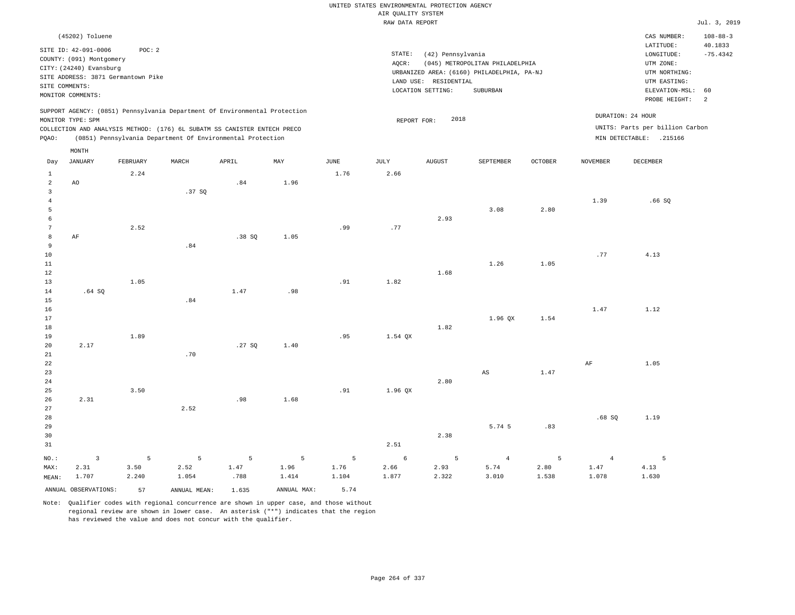|                                                |                                                                                                                                                                             |                    |                    |                                                            |                    |                    | UNITED STATES ENVIRONMENTAL PROTECTION AGENCY<br>AIR QUALITY SYSTEM |                                                                 |                                                                                           |                    |                                 |                                                                                                        |                                               |
|------------------------------------------------|-----------------------------------------------------------------------------------------------------------------------------------------------------------------------------|--------------------|--------------------|------------------------------------------------------------|--------------------|--------------------|---------------------------------------------------------------------|-----------------------------------------------------------------|-------------------------------------------------------------------------------------------|--------------------|---------------------------------|--------------------------------------------------------------------------------------------------------|-----------------------------------------------|
|                                                |                                                                                                                                                                             |                    |                    |                                                            |                    |                    | RAW DATA REPORT                                                     |                                                                 |                                                                                           |                    |                                 |                                                                                                        | Jul. 3, 2019                                  |
|                                                |                                                                                                                                                                             |                    |                    |                                                            |                    |                    |                                                                     |                                                                 |                                                                                           |                    |                                 |                                                                                                        |                                               |
| SITE COMMENTS:                                 | (45202) Toluene<br>SITE ID: 42-091-0006<br>COUNTY: (091) Montgomery<br>CITY: (24240) Evansburg<br>SITE ADDRESS: 3871 Germantown Pike                                        | POC: 2             |                    |                                                            |                    |                    | $\texttt{STATE}$ :<br>AQCR:                                         | (42) Pennsylvania<br>LAND USE: RESIDENTIAL<br>LOCATION SETTING: | (045) METROPOLITAN PHILADELPHIA<br>URBANIZED AREA: (6160) PHILADELPHIA, PA-NJ<br>SUBURBAN |                    |                                 | CAS NUMBER:<br>LATITUDE:<br>LONGITUDE:<br>UTM ZONE:<br>UTM NORTHING:<br>UTM EASTING:<br>ELEVATION-MSL: | $108 - 88 - 3$<br>40.1833<br>$-75.4342$<br>60 |
|                                                | MONITOR COMMENTS:                                                                                                                                                           |                    |                    |                                                            |                    |                    |                                                                     |                                                                 |                                                                                           |                    |                                 | PROBE HEIGHT:                                                                                          | 2                                             |
| PQAO:                                          | SUPPORT AGENCY: (0851) Pennsylvania Department Of Environmental Protection<br>MONITOR TYPE: SPM<br>COLLECTION AND ANALYSIS METHOD: (176) 6L SUBATM SS CANISTER ENTECH PRECO |                    |                    | (0851) Pennsylvania Department Of Environmental Protection |                    |                    | REPORT FOR:                                                         | 2018                                                            |                                                                                           |                    | DURATION: 24 HOUR               | UNITS: Parts per billion Carbon<br>MIN DETECTABLE: .215166                                             |                                               |
|                                                | MONTH                                                                                                                                                                       |                    |                    |                                                            |                    |                    |                                                                     |                                                                 |                                                                                           |                    |                                 |                                                                                                        |                                               |
| Day                                            | JANUARY                                                                                                                                                                     | FEBRUARY           | MARCH              | APRIL                                                      | MAY                | <b>JUNE</b>        | JULY                                                                | <b>AUGUST</b>                                                   | SEPTEMBER                                                                                 | <b>OCTOBER</b>     | NOVEMBER                        | DECEMBER                                                                                               |                                               |
| $\,1\,$<br>$\overline{a}$                      | AO                                                                                                                                                                          | 2.24               |                    | .84                                                        | 1.96               | 1.76               | 2.66                                                                |                                                                 |                                                                                           |                    |                                 |                                                                                                        |                                               |
| $\overline{\mathbf{3}}$<br>$\overline{4}$<br>5 |                                                                                                                                                                             |                    | .37SQ              |                                                            |                    |                    |                                                                     |                                                                 | 3.08                                                                                      | 2.80               | 1.39                            | .66SQ                                                                                                  |                                               |
| 6<br>7<br>8                                    | AF                                                                                                                                                                          | 2.52               |                    | .38SQ                                                      | 1.05               | .99                | .77                                                                 | 2.93                                                            |                                                                                           |                    |                                 |                                                                                                        |                                               |
| 9<br>$10$<br>$11\,$<br>12                      |                                                                                                                                                                             |                    | .84                |                                                            |                    |                    |                                                                     | 1.68                                                            | 1.26                                                                                      | 1.05               | .77                             | 4.13                                                                                                   |                                               |
| 13<br>$1\,4$<br>15                             | .64SQ                                                                                                                                                                       | 1.05               | .84                | 1.47                                                       | .98                | .91                | 1.82                                                                |                                                                 |                                                                                           |                    |                                 |                                                                                                        |                                               |
| 16<br>17<br>18<br>19                           |                                                                                                                                                                             | 1.89               |                    |                                                            |                    | .95                | 1.54 QX                                                             | 1.82                                                            | 1.96 OX                                                                                   | 1.54               | 1.47                            | 1.12                                                                                                   |                                               |
| 20<br>21<br>22                                 | 2.17                                                                                                                                                                        |                    | .70                | .27SQ                                                      | 1.40               |                    |                                                                     |                                                                 |                                                                                           |                    | $\rm AF$                        | 1.05                                                                                                   |                                               |
| 23<br>24<br>25                                 | 2.31                                                                                                                                                                        | 3.50               |                    | .98                                                        | 1.68               | .91                | 1.96 QX                                                             | 2.80                                                            | AS                                                                                        | 1.47               |                                 |                                                                                                        |                                               |
| 26<br>27<br>28<br>29<br>30<br>31               |                                                                                                                                                                             |                    | 2.52               |                                                            |                    |                    | 2.51                                                                | 2.38                                                            | 5.74 5                                                                                    | .83                | .68SQ                           | 1.19                                                                                                   |                                               |
| NO.:<br>MAX:<br>MEAN:                          | $\overline{3}$<br>2.31<br>1.707                                                                                                                                             | 5<br>3.50<br>2.240 | 5<br>2.52<br>1.054 | 5<br>1.47<br>.788                                          | 5<br>1.96<br>1.414 | 5<br>1.76<br>1.104 | 6<br>2.66<br>1.877                                                  | 5<br>2.93<br>2.322                                              | $\overline{4}$<br>5.74<br>3.010                                                           | 5<br>2.80<br>1.538 | $\overline{4}$<br>1.47<br>1.078 | 5<br>4.13<br>1.630                                                                                     |                                               |
|                                                | ANNUAL OBSERVATIONS:                                                                                                                                                        | 57                 | ANNUAL MEAN:       | 1.635                                                      | ANNUAL MAX:        | 5.74               |                                                                     |                                                                 |                                                                                           |                    |                                 |                                                                                                        |                                               |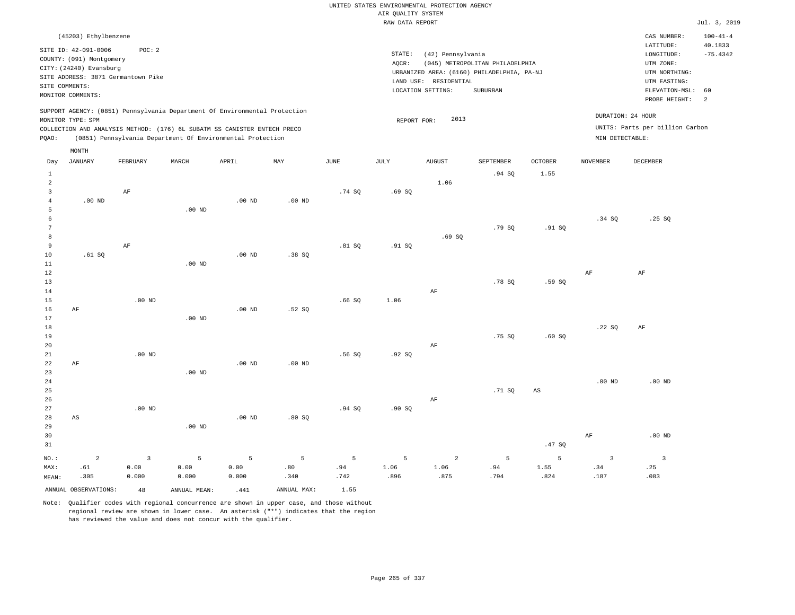|                      |                                                                                                     |                         |                                                                                                                                        |                   |                   |               |                    | UNITED STATES ENVIRONMENTAL PROTECTION AGENCY |                                            |             |                         |                                                     |                                         |
|----------------------|-----------------------------------------------------------------------------------------------------|-------------------------|----------------------------------------------------------------------------------------------------------------------------------------|-------------------|-------------------|---------------|--------------------|-----------------------------------------------|--------------------------------------------|-------------|-------------------------|-----------------------------------------------------|-----------------------------------------|
|                      |                                                                                                     |                         |                                                                                                                                        |                   |                   |               | AIR QUALITY SYSTEM |                                               |                                            |             |                         |                                                     |                                         |
|                      |                                                                                                     |                         |                                                                                                                                        |                   |                   |               | RAW DATA REPORT    |                                               |                                            |             |                         |                                                     | Jul. 3, 2019                            |
|                      | (45203) Ethylbenzene<br>SITE ID: 42-091-0006<br>COUNTY: (091) Montgomery<br>CITY: (24240) Evansburg | POC: 2                  |                                                                                                                                        |                   |                   |               | STATE:<br>AQCR:    | (42) Pennsylvania                             | (045) METROPOLITAN PHILADELPHIA            |             |                         | CAS NUMBER:<br>LATITUDE:<br>LONGITUDE:<br>UTM ZONE: | $100 - 41 - 4$<br>40.1833<br>$-75.4342$ |
|                      | SITE ADDRESS: 3871 Germantown Pike                                                                  |                         |                                                                                                                                        |                   |                   |               |                    |                                               | URBANIZED AREA: (6160) PHILADELPHIA, PA-NJ |             |                         | UTM NORTHING:                                       |                                         |
| SITE COMMENTS:       |                                                                                                     |                         |                                                                                                                                        |                   |                   |               |                    | LAND USE: RESIDENTIAL                         |                                            |             |                         | UTM EASTING:                                        |                                         |
|                      | MONITOR COMMENTS:                                                                                   |                         |                                                                                                                                        |                   |                   |               |                    | LOCATION SETTING:                             | <b>SUBURBAN</b>                            |             |                         | ELEVATION-MSL:<br>PROBE HEIGHT:                     | 60<br>2                                 |
|                      |                                                                                                     |                         | SUPPORT AGENCY: (0851) Pennsylvania Department Of Environmental Protection                                                             |                   |                   |               |                    |                                               |                                            |             |                         | DURATION: 24 HOUR                                   |                                         |
|                      | MONITOR TYPE: SPM                                                                                   |                         |                                                                                                                                        |                   |                   |               | REPORT FOR:        | 2013                                          |                                            |             |                         | UNITS: Parts per billion Carbon                     |                                         |
| PQAO:                |                                                                                                     |                         | COLLECTION AND ANALYSIS METHOD: (176) 6L SUBATM SS CANISTER ENTECH PRECO<br>(0851) Pennsylvania Department Of Environmental Protection |                   |                   |               |                    |                                               |                                            |             | MIN DETECTABLE:         |                                                     |                                         |
|                      | MONTH                                                                                               |                         |                                                                                                                                        |                   |                   |               |                    |                                               |                                            |             |                         |                                                     |                                         |
| Day                  | JANUARY                                                                                             | FEBRUARY                | MARCH                                                                                                                                  | APRIL             | MAY               | $_{\rm JUNE}$ | $\mathtt{JULY}$    | ${\tt AUGUST}$                                | SEPTEMBER                                  | OCTOBER     | <b>NOVEMBER</b>         | <b>DECEMBER</b>                                     |                                         |
| $1\,$                |                                                                                                     |                         |                                                                                                                                        |                   |                   |               |                    |                                               | .94SQ                                      | 1.55        |                         |                                                     |                                         |
| $\overline{a}$       |                                                                                                     |                         |                                                                                                                                        |                   |                   |               |                    | 1.06                                          |                                            |             |                         |                                                     |                                         |
| $\overline{3}$       |                                                                                                     | AF                      |                                                                                                                                        |                   |                   | .74S          | .69SQ              |                                               |                                            |             |                         |                                                     |                                         |
| $\overline{4}$       | $.00$ ND                                                                                            |                         |                                                                                                                                        | .00 <sub>ND</sub> | .00 <sub>ND</sub> |               |                    |                                               |                                            |             |                         |                                                     |                                         |
| 5                    |                                                                                                     |                         | $.00$ ND                                                                                                                               |                   |                   |               |                    |                                               |                                            |             |                         |                                                     |                                         |
| 6                    |                                                                                                     |                         |                                                                                                                                        |                   |                   |               |                    |                                               |                                            |             | .34S                    | .25S                                                |                                         |
| $7\phantom{.0}$<br>8 |                                                                                                     |                         |                                                                                                                                        |                   |                   |               |                    | .69S                                          | .79SQ                                      | .91 SQ      |                         |                                                     |                                         |
| 9                    |                                                                                                     | $\rm AF$                |                                                                                                                                        |                   |                   | .81SQ         | .91 SQ             |                                               |                                            |             |                         |                                                     |                                         |
| 10                   | .61 S0                                                                                              |                         |                                                                                                                                        | $.00$ ND          | .38S              |               |                    |                                               |                                            |             |                         |                                                     |                                         |
| $1\,1$               |                                                                                                     |                         | $.00$ ND                                                                                                                               |                   |                   |               |                    |                                               |                                            |             |                         |                                                     |                                         |
| 12                   |                                                                                                     |                         |                                                                                                                                        |                   |                   |               |                    |                                               |                                            |             | AF                      | AF                                                  |                                         |
| 13                   |                                                                                                     |                         |                                                                                                                                        |                   |                   |               |                    |                                               | .78S                                       | .59SQ       |                         |                                                     |                                         |
| 14                   |                                                                                                     |                         |                                                                                                                                        |                   |                   |               |                    | AF                                            |                                            |             |                         |                                                     |                                         |
| 15                   |                                                                                                     | $.00$ ND                |                                                                                                                                        |                   |                   | .66SQ         | 1.06               |                                               |                                            |             |                         |                                                     |                                         |
| 16                   | AF                                                                                                  |                         |                                                                                                                                        | .00 <sub>ND</sub> | .52SQ             |               |                    |                                               |                                            |             |                         |                                                     |                                         |
| 17                   |                                                                                                     |                         | $.00$ ND                                                                                                                               |                   |                   |               |                    |                                               |                                            |             |                         |                                                     |                                         |
| 18                   |                                                                                                     |                         |                                                                                                                                        |                   |                   |               |                    |                                               |                                            |             | .22SQ                   | AF                                                  |                                         |
| 19<br>$20$           |                                                                                                     |                         |                                                                                                                                        |                   |                   |               |                    |                                               | .75 SO                                     | .60S        |                         |                                                     |                                         |
| 21                   |                                                                                                     | $.00$ ND                |                                                                                                                                        |                   |                   | .56SQ         | .92S               | AF                                            |                                            |             |                         |                                                     |                                         |
| 22                   | AF                                                                                                  |                         |                                                                                                                                        | $.00$ ND          | $.00$ ND          |               |                    |                                               |                                            |             |                         |                                                     |                                         |
| 23                   |                                                                                                     |                         | $.00$ ND                                                                                                                               |                   |                   |               |                    |                                               |                                            |             |                         |                                                     |                                         |
| 24                   |                                                                                                     |                         |                                                                                                                                        |                   |                   |               |                    |                                               |                                            |             | $.00$ ND                | $.00$ ND                                            |                                         |
| 25                   |                                                                                                     |                         |                                                                                                                                        |                   |                   |               |                    |                                               | .71 SQ                                     | $_{\rm AS}$ |                         |                                                     |                                         |
| 26                   |                                                                                                     |                         |                                                                                                                                        |                   |                   |               |                    | AF                                            |                                            |             |                         |                                                     |                                         |
| 27                   |                                                                                                     | $.00$ ND                |                                                                                                                                        |                   |                   | .94SQ         | .90 SQ             |                                               |                                            |             |                         |                                                     |                                         |
| 28                   | AS                                                                                                  |                         |                                                                                                                                        | $.00$ ND          | .80S              |               |                    |                                               |                                            |             |                         |                                                     |                                         |
| 29                   |                                                                                                     |                         | .00 <sub>ND</sub>                                                                                                                      |                   |                   |               |                    |                                               |                                            |             |                         |                                                     |                                         |
| 30                   |                                                                                                     |                         |                                                                                                                                        |                   |                   |               |                    |                                               |                                            |             | AF                      | $.00$ ND                                            |                                         |
| 31                   |                                                                                                     |                         |                                                                                                                                        |                   |                   |               |                    |                                               |                                            | .47SQ       |                         |                                                     |                                         |
| NO.:                 | $\overline{a}$                                                                                      | $\overline{\mathbf{3}}$ | 5                                                                                                                                      | 5                 | 5                 | 5             | 5                  | $\overline{a}$                                | $\overline{5}$                             | 5           | $\overline{\mathbf{3}}$ | $\overline{\mathbf{3}}$                             |                                         |
| MAX:                 | .61                                                                                                 | 0.00                    | 0.00                                                                                                                                   | 0.00              | .80               | .94           | 1.06               | 1.06                                          | .94                                        | 1.55        | .34                     | .25                                                 |                                         |
| MEAN:                | .305                                                                                                | 0.000                   | 0.000                                                                                                                                  | 0.000             | .340              | .742          | .896               | .875                                          | .794                                       | .824        | .187                    | .083                                                |                                         |
|                      | ANNUAL OBSERVATIONS:                                                                                | 48                      | ANNUAL MEAN:                                                                                                                           | .441              | ANNUAL MAX:       | 1.55          |                    |                                               |                                            |             |                         |                                                     |                                         |

Note: Qualifier codes with regional concurrence are shown in upper case, and those without regional review are shown in lower case. An asterisk ("\*") indicates that the region

has reviewed the value and does not concur with the qualifier.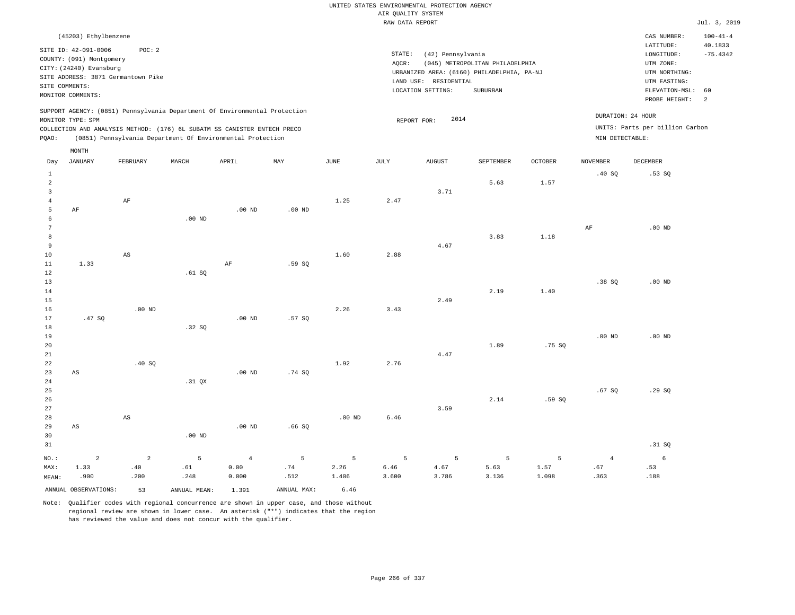| (45203) Ethylbenzene                                                                                                                                                                                                                                        |                                                                                                                                                                                    | CAS NUMBER:                                                                                                 | $100 - 41 - 4$                                    |
|-------------------------------------------------------------------------------------------------------------------------------------------------------------------------------------------------------------------------------------------------------------|------------------------------------------------------------------------------------------------------------------------------------------------------------------------------------|-------------------------------------------------------------------------------------------------------------|---------------------------------------------------|
| SITE ID: 42-091-0006<br>POC:2<br>COUNTY: (091) Montgomery<br>CITY: (24240) Evansburg<br>SITE ADDRESS: 3871 Germantown Pike<br>SITE COMMENTS:<br>MONITOR COMMENTS:                                                                                           | STATE:<br>(42) Pennsylvania<br>(045) METROPOLITAN PHILADELPHIA<br>AOCR:<br>URBANIZED AREA: (6160) PHILADELPHIA, PA-NJ<br>RESIDENTIAL<br>LAND USE:<br>LOCATION SETTING:<br>SUBURBAN | LATITUDE:<br>LONGITUDE:<br>UTM ZONE:<br>UTM NORTHING:<br>UTM EASTING:<br>ELEVATION-MSL: 60<br>PROBE HEIGHT: | 40.1833<br>$-75.4342$<br>$\overline{\phantom{0}}$ |
| SUPPORT AGENCY: (0851) Pennsylvania Department Of Environmental Protection<br>MONITOR TYPE: SPM<br>COLLECTION AND ANALYSIS METHOD: (176) 6L SUBATM SS CANISTER ENTECH PRECO<br>(0851) Pennsylvania Department Of Environmental Protection<br>POAO:<br>MONTH | 2014<br>REPORT FOR:                                                                                                                                                                | DURATION: 24 HOUR<br>UNITS: Parts per billion Carbon<br>MIN DETECTABLE:                                     |                                                   |

| Day            | JANUARY                | FEBRUARY               | MARCH             | APRIL          | $\ensuremath{\text{MAX}}$ | $_{\rm JUNE}$ | $\mathtt{JULY}$  | <b>AUGUST</b> | SEPTEMBER | OCTOBER | NOVEMBER  | DECEMBER |
|----------------|------------------------|------------------------|-------------------|----------------|---------------------------|---------------|------------------|---------------|-----------|---------|-----------|----------|
| $\mathbf{1}$   |                        |                        |                   |                |                           |               |                  |               |           |         | .40SQ     | .53 SQ   |
| $\overline{a}$ |                        |                        |                   |                |                           |               |                  |               | 5.63      | 1.57    |           |          |
| $\overline{3}$ |                        |                        |                   |                |                           |               |                  | 3.71          |           |         |           |          |
| $\overline{4}$ |                        | $\rm AF$               |                   |                |                           | 1.25          | 2.47             |               |           |         |           |          |
| 5              | $\rm AF$               |                        |                   | $.00$ ND       | $.00$ ND                  |               |                  |               |           |         |           |          |
| 6              |                        |                        | $.00$ ND          |                |                           |               |                  |               |           |         |           |          |
| $\overline{7}$ |                        |                        |                   |                |                           |               |                  |               |           |         | $\rm{AF}$ | $.00$ ND |
| 8              |                        |                        |                   |                |                           |               |                  |               | 3.83      | 1.18    |           |          |
| 9              |                        |                        |                   |                |                           |               |                  | 4.67          |           |         |           |          |
| 10             |                        | AS                     |                   |                |                           | 1.60          | 2.88             |               |           |         |           |          |
| 11             | 1.33                   |                        |                   | $\rm AF$       | .59 SQ                    |               |                  |               |           |         |           |          |
| 12             |                        |                        | .61 SQ            |                |                           |               |                  |               |           |         |           |          |
| 13             |                        |                        |                   |                |                           |               |                  |               | 2.19      |         | .38SQ     | $.00$ ND |
| 14<br>15       |                        |                        |                   |                |                           |               |                  | 2.49          |           | 1.40    |           |          |
| 16             |                        | $.00$ ND               |                   |                |                           | 2.26          | 3.43             |               |           |         |           |          |
| 17             | .47SQ                  |                        |                   | $.00$ ND       | .57SQ                     |               |                  |               |           |         |           |          |
| 18             |                        |                        | .32 SQ            |                |                           |               |                  |               |           |         |           |          |
| 19             |                        |                        |                   |                |                           |               |                  |               |           |         | $.00$ ND  | $.00$ ND |
| 20             |                        |                        |                   |                |                           |               |                  |               | 1.89      | .75 SQ  |           |          |
| 21             |                        |                        |                   |                |                           |               |                  | 4.47          |           |         |           |          |
| $2\sqrt{2}$    |                        | .40SQ                  |                   |                |                           | 1.92          | 2.76             |               |           |         |           |          |
| $23\,$         | $\mathbb{A}\mathbb{S}$ |                        |                   | .00 $ND$       | .74 SQ                    |               |                  |               |           |         |           |          |
| $2\,4$         |                        |                        | .31 QX            |                |                           |               |                  |               |           |         |           |          |
| $25\,$         |                        |                        |                   |                |                           |               |                  |               |           |         | .67SQ     | .29 SQ   |
| $26\,$         |                        |                        |                   |                |                           |               |                  |               | 2.14      | .59 SQ  |           |          |
| 27             |                        |                        |                   |                |                           |               |                  | 3.59          |           |         |           |          |
| 28             |                        | $\mathbb{A}\mathbb{S}$ |                   |                |                           | $.00$ ND      | 6.46             |               |           |         |           |          |
| 29             | $\mathbb{A}\mathbb{S}$ |                        |                   | $.00$ ND       | .66SQ                     |               |                  |               |           |         |           |          |
| 30             |                        |                        | .00 <sub>ND</sub> |                |                           |               |                  |               |           |         |           |          |
| 31             |                        |                        |                   |                |                           |               |                  |               |           |         |           | .31 SQ   |
| $_{\rm NO.}$ : | $\overline{a}$         | $\overline{a}$         | $\overline{5}$    | $\overline{4}$ | 5                         | 5             | 5                | 5             | 5         | 5       | $\,4$     | 6        |
| MAX:           | 1.33                   | .40                    | .61               | 0.00           | $.74\,$                   | 2.26          | $\,$ 6 . 46 $\,$ | 4.67          | 5.63      | 1.57    | .67       | .53      |
| MEAN:          | .900                   | .200                   | .248              | 0.000          | .512                      | 1.406         | 3.600            | 3.786         | 3.136     | 1.098   | .363      | .188     |
|                | ANNUAL OBSERVATIONS:   | 53                     | ANNUAL MEAN:      | 1.391          | ANNUAL MAX:               | 6.46          |                  |               |           |         |           |          |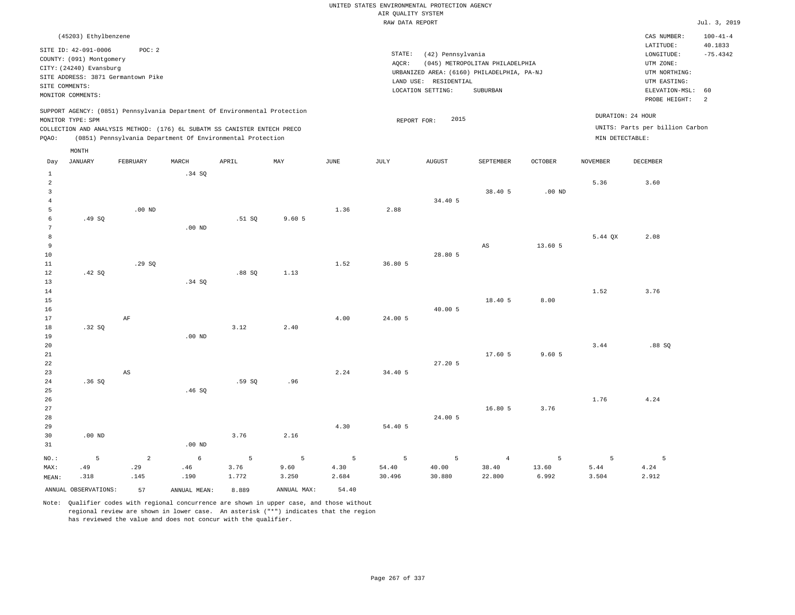|                                           |                                                               |                        |                                                                            |        |             |             |                    | UNITED STATES ENVIRONMENTAL PROTECTION AGENCY |                                            |          |                 |                                 |                           |
|-------------------------------------------|---------------------------------------------------------------|------------------------|----------------------------------------------------------------------------|--------|-------------|-------------|--------------------|-----------------------------------------------|--------------------------------------------|----------|-----------------|---------------------------------|---------------------------|
|                                           |                                                               |                        |                                                                            |        |             |             | AIR QUALITY SYSTEM |                                               |                                            |          |                 |                                 |                           |
|                                           |                                                               |                        |                                                                            |        |             |             | RAW DATA REPORT    |                                               |                                            |          |                 |                                 | Jul. 3, 2019              |
|                                           | (45203) Ethylbenzene                                          |                        |                                                                            |        |             |             |                    |                                               |                                            |          |                 | CAS NUMBER:<br>LATITUDE:        | $100 - 41 - 4$<br>40.1833 |
|                                           | SITE ID: 42-091-0006                                          | POC: 2                 |                                                                            |        |             |             | STATE:             | (42) Pennsylvania                             |                                            |          |                 | LONGITUDE:                      | $-75.4342$                |
|                                           | COUNTY: (091) Montgomery                                      |                        |                                                                            |        |             |             | AQCR:              |                                               | (045) METROPOLITAN PHILADELPHIA            |          |                 | UTM ZONE:                       |                           |
|                                           | CITY: (24240) Evansburg<br>SITE ADDRESS: 3871 Germantown Pike |                        |                                                                            |        |             |             |                    |                                               | URBANIZED AREA: (6160) PHILADELPHIA, PA-NJ |          |                 | UTM NORTHING:                   |                           |
|                                           | SITE COMMENTS:                                                |                        |                                                                            |        |             |             |                    | LAND USE: RESIDENTIAL                         |                                            |          |                 | UTM EASTING:                    |                           |
|                                           | MONITOR COMMENTS:                                             |                        |                                                                            |        |             |             |                    | LOCATION SETTING:                             | SUBURBAN                                   |          |                 | ELEVATION-MSL:                  | 60                        |
|                                           |                                                               |                        | SUPPORT AGENCY: (0851) Pennsylvania Department Of Environmental Protection |        |             |             |                    |                                               |                                            |          |                 | PROBE HEIGHT:                   | 2                         |
|                                           | MONITOR TYPE: SPM                                             |                        |                                                                            |        |             |             | REPORT FOR:        | 2015                                          |                                            |          |                 | DURATION: 24 HOUR               |                           |
|                                           |                                                               |                        | COLLECTION AND ANALYSIS METHOD: (176) 6L SUBATM SS CANISTER ENTECH PRECO   |        |             |             |                    |                                               |                                            |          |                 | UNITS: Parts per billion Carbon |                           |
| PQAO:                                     |                                                               |                        | (0851) Pennsylvania Department Of Environmental Protection                 |        |             |             |                    |                                               |                                            |          | MIN DETECTABLE: |                                 |                           |
|                                           | $\texttt{MONTH}$                                              |                        |                                                                            |        |             |             |                    |                                               |                                            |          |                 |                                 |                           |
| Day                                       | <b>JANUARY</b>                                                | FEBRUARY               | MARCH                                                                      | APRIL  | MAY         | <b>JUNE</b> | JULY               | <b>AUGUST</b>                                 | SEPTEMBER                                  | OCTOBER  | <b>NOVEMBER</b> | <b>DECEMBER</b>                 |                           |
| 1                                         |                                                               |                        | .34 SQ                                                                     |        |             |             |                    |                                               |                                            |          |                 |                                 |                           |
| $\overline{a}$                            |                                                               |                        |                                                                            |        |             |             |                    |                                               |                                            |          | 5.36            | 3.60                            |                           |
| $\overline{\mathbf{3}}$<br>$\overline{4}$ |                                                               |                        |                                                                            |        |             |             |                    | 34.40 5                                       | 38.40 5                                    | $.00$ ND |                 |                                 |                           |
| 5                                         |                                                               | $.00$ ND               |                                                                            |        |             | 1.36        | 2.88               |                                               |                                            |          |                 |                                 |                           |
| $\epsilon$                                | .49SQ                                                         |                        |                                                                            | .51 SQ | 9.605       |             |                    |                                               |                                            |          |                 |                                 |                           |
| $7\phantom{.0}$                           |                                                               |                        | $.00$ ND                                                                   |        |             |             |                    |                                               |                                            |          |                 |                                 |                           |
| 8                                         |                                                               |                        |                                                                            |        |             |             |                    |                                               |                                            |          | 5.44 QX         | 2.08                            |                           |
| $\overline{9}$                            |                                                               |                        |                                                                            |        |             |             |                    |                                               | $_{\rm AS}$                                | 13.60 5  |                 |                                 |                           |
| 10                                        |                                                               |                        |                                                                            |        |             |             |                    | 28.80 5                                       |                                            |          |                 |                                 |                           |
| 11                                        |                                                               | .29 SO                 |                                                                            |        |             | 1.52        | 36.80 5            |                                               |                                            |          |                 |                                 |                           |
| 12                                        | .42 SO                                                        |                        |                                                                            | .88S   | 1.13        |             |                    |                                               |                                            |          |                 |                                 |                           |
| 13<br>14                                  |                                                               |                        | .34 SQ                                                                     |        |             |             |                    |                                               |                                            |          | 1.52            | 3.76                            |                           |
| 15                                        |                                                               |                        |                                                                            |        |             |             |                    |                                               | 18,40 5                                    | 8.00     |                 |                                 |                           |
| 16                                        |                                                               |                        |                                                                            |        |             |             |                    | 40.00 5                                       |                                            |          |                 |                                 |                           |
| 17                                        |                                                               | $\rm AF$               |                                                                            |        |             | 4.00        | 24.00 5            |                                               |                                            |          |                 |                                 |                           |
| 18                                        | .32SQ                                                         |                        |                                                                            | 3.12   | 2.40        |             |                    |                                               |                                            |          |                 |                                 |                           |
| 19                                        |                                                               |                        | $.00$ ND                                                                   |        |             |             |                    |                                               |                                            |          |                 |                                 |                           |
| 20                                        |                                                               |                        |                                                                            |        |             |             |                    |                                               |                                            |          | 3.44            | .88SQ                           |                           |
| 21                                        |                                                               |                        |                                                                            |        |             |             |                    |                                               | 17.60 5                                    | 9.605    |                 |                                 |                           |
| 22                                        |                                                               |                        |                                                                            |        |             |             |                    | 27.20 5                                       |                                            |          |                 |                                 |                           |
| 23<br>24                                  | .36SQ                                                         | $\mathbb{A}\mathbb{S}$ |                                                                            | .59SQ  | .96         | 2.24        | 34.40 5            |                                               |                                            |          |                 |                                 |                           |
| 25                                        |                                                               |                        | .46SQ                                                                      |        |             |             |                    |                                               |                                            |          |                 |                                 |                           |
| 26                                        |                                                               |                        |                                                                            |        |             |             |                    |                                               |                                            |          | 1.76            | 4.24                            |                           |
| 27                                        |                                                               |                        |                                                                            |        |             |             |                    |                                               | 16.80 5                                    | 3.76     |                 |                                 |                           |
| 28                                        |                                                               |                        |                                                                            |        |             |             |                    | 24.00 5                                       |                                            |          |                 |                                 |                           |
| 29                                        |                                                               |                        |                                                                            |        |             | 4.30        | 54.40 5            |                                               |                                            |          |                 |                                 |                           |
| 30                                        | $.00$ ND                                                      |                        |                                                                            | 3.76   | 2.16        |             |                    |                                               |                                            |          |                 |                                 |                           |
| 31                                        |                                                               |                        | .00 <sub>ND</sub>                                                          |        |             |             |                    |                                               |                                            |          |                 |                                 |                           |
| $NO.$ :                                   | 5                                                             | $\sqrt{2}$             | $\epsilon$                                                                 | 5      | 5           | 5           | 5                  | 5                                             | $\overline{4}$                             | 5        | 5               | 5                               |                           |
| MAX:                                      | .49                                                           | .29                    | .46                                                                        | 3.76   | 9.60        | 4.30        | 54.40              | 40.00                                         | 38.40                                      | 13.60    | 5.44            | 4.24                            |                           |
| MEAN:                                     | .318                                                          | .145                   | .190                                                                       | 1.772  | 3.250       | 2.684       | 30.496             | 30.880                                        | 22.800                                     | 6.992    | 3.504           | 2.912                           |                           |
|                                           | ANNUAL OBSERVATIONS:                                          | 57                     | ANNUAL, MEAN:                                                              | 8.889  | ANNUAL MAX: | 54.40       |                    |                                               |                                            |          |                 |                                 |                           |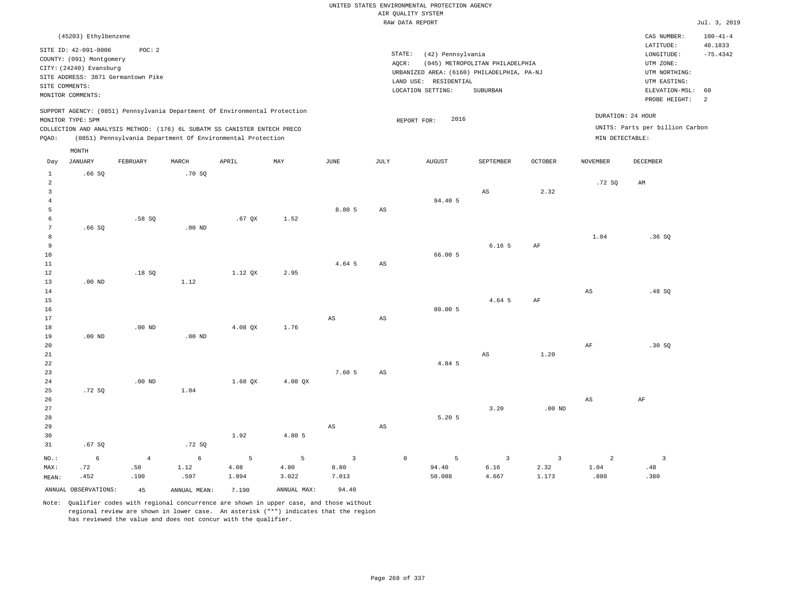|                      |                                                               |                |              |                                                                            |             |                        |        | UNITED STATES ENVIRONMENTAL PROTECTION AGENCY |                                 |                |                        |                                 |                           |
|----------------------|---------------------------------------------------------------|----------------|--------------|----------------------------------------------------------------------------|-------------|------------------------|--------|-----------------------------------------------|---------------------------------|----------------|------------------------|---------------------------------|---------------------------|
|                      |                                                               |                |              |                                                                            |             |                        |        | AIR QUALITY SYSTEM                            |                                 |                |                        |                                 |                           |
|                      |                                                               |                |              |                                                                            |             |                        |        | RAW DATA REPORT                               |                                 |                |                        |                                 | Jul. 3, 2019              |
|                      | (45203) Ethylbenzene                                          |                |              |                                                                            |             |                        |        |                                               |                                 |                |                        | CAS NUMBER:<br>LATITUDE:        | $100 - 41 - 4$<br>40.1833 |
|                      | SITE ID: 42-091-0006                                          | POC: 2         |              |                                                                            |             |                        | STATE: | (42) Pennsylvania                             |                                 |                |                        | LONGITUDE:                      | $-75.4342$                |
|                      | COUNTY: (091) Montgomery                                      |                |              |                                                                            |             |                        | AOCR:  |                                               | (045) METROPOLITAN PHILADELPHIA |                |                        | UTM ZONE:                       |                           |
|                      | CITY: (24240) Evansburg<br>SITE ADDRESS: 3871 Germantown Pike |                |              |                                                                            |             |                        |        | URBANIZED AREA: (6160) PHILADELPHIA, PA-NJ    |                                 |                |                        | UTM NORTHING:                   |                           |
| SITE COMMENTS:       |                                                               |                |              |                                                                            |             |                        |        | LAND USE: RESIDENTIAL                         |                                 |                |                        | UTM EASTING:                    |                           |
|                      | MONITOR COMMENTS:                                             |                |              |                                                                            |             |                        |        | LOCATION SETTING:                             | <b>SUBURBAN</b>                 |                |                        | ELEVATION-MSL:<br>PROBE HEIGHT: | 60<br>2                   |
|                      |                                                               |                |              | SUPPORT AGENCY: (0851) Pennsylvania Department Of Environmental Protection |             |                        |        | 2016                                          |                                 |                |                        | DURATION: 24 HOUR               |                           |
|                      | MONITOR TYPE: SPM                                             |                |              | COLLECTION AND ANALYSIS METHOD: (176) 6L SUBATM SS CANISTER ENTECH PRECO   |             |                        |        | REPORT FOR:                                   |                                 |                |                        | UNITS: Parts per billion Carbon |                           |
| PQAO:                |                                                               |                |              | (0851) Pennsylvania Department Of Environmental Protection                 |             |                        |        |                                               |                                 |                | MIN DETECTABLE:        |                                 |                           |
|                      | MONTH                                                         |                |              |                                                                            |             |                        |        |                                               |                                 |                |                        |                                 |                           |
| Day                  | <b>JANUARY</b>                                                | FEBRUARY       | MARCH        | APRIL                                                                      | MAY         | $\operatorname{JUNE}$  | JULY   | <b>AUGUST</b>                                 | SEPTEMBER                       | <b>OCTOBER</b> | <b>NOVEMBER</b>        | DECEMBER                        |                           |
| $\mathbf{1}$<br>2    | .66S                                                          |                | .70 SO       |                                                                            |             |                        |        |                                               |                                 |                | .72S                   | AM                              |                           |
| $\overline{3}$       |                                                               |                |              |                                                                            |             |                        |        |                                               | AS                              | 2.32           |                        |                                 |                           |
| $\,4\,$              |                                                               |                |              |                                                                            |             |                        |        | 94.40 5                                       |                                 |                |                        |                                 |                           |
| 5                    |                                                               |                |              |                                                                            |             | 8.80 5                 | AS     |                                               |                                 |                |                        |                                 |                           |
| $\epsilon$           |                                                               | .58SQ          |              | $.67$ QX                                                                   | 1.52        |                        |        |                                               |                                 |                |                        |                                 |                           |
| $7\phantom{.0}$<br>8 | .66S                                                          |                | $.00$ ND     |                                                                            |             |                        |        |                                               |                                 |                | 1.04                   | .36S                            |                           |
| $\overline{9}$       |                                                               |                |              |                                                                            |             |                        |        |                                               | $6.16-5$                        | AF             |                        |                                 |                           |
| $10$                 |                                                               |                |              |                                                                            |             |                        |        | 66.00 5                                       |                                 |                |                        |                                 |                           |
| 11                   |                                                               |                |              |                                                                            |             | 4.64 5                 | AS     |                                               |                                 |                |                        |                                 |                           |
| 12                   |                                                               | .18S           |              | 1.12 OX                                                                    | 2.95        |                        |        |                                               |                                 |                |                        |                                 |                           |
| 13                   | $.00$ ND                                                      |                | 1.12         |                                                                            |             |                        |        |                                               |                                 |                |                        |                                 |                           |
| 14                   |                                                               |                |              |                                                                            |             |                        |        |                                               |                                 |                | $_{\rm AS}$            | .48 SO                          |                           |
| 15                   |                                                               |                |              |                                                                            |             |                        |        |                                               | 4.64 5                          | $\rm{AF}$      |                        |                                 |                           |
| 16<br>17             |                                                               |                |              |                                                                            |             | $_{\rm AS}$            | AS     | 80.00 5                                       |                                 |                |                        |                                 |                           |
| 18                   |                                                               | $.00$ ND       |              | 4.08 OX                                                                    | 1.76        |                        |        |                                               |                                 |                |                        |                                 |                           |
| 19                   | $.00$ ND                                                      |                | $.00$ ND     |                                                                            |             |                        |        |                                               |                                 |                |                        |                                 |                           |
| 20                   |                                                               |                |              |                                                                            |             |                        |        |                                               |                                 |                | AF                     | .30S                            |                           |
| 21                   |                                                               |                |              |                                                                            |             |                        |        |                                               | $\mathbb{A}\mathbb{S}$          | 1.20           |                        |                                 |                           |
| 22                   |                                                               |                |              |                                                                            |             |                        |        | 4.84 5                                        |                                 |                |                        |                                 |                           |
| 23                   |                                                               |                |              |                                                                            |             | 7.60 5                 | AS     |                                               |                                 |                |                        |                                 |                           |
| 24                   |                                                               | $.00$ ND       |              | 1.68 OX                                                                    | 4.08 QX     |                        |        |                                               |                                 |                |                        |                                 |                           |
| 25<br>26             | .72 SO                                                        |                | 1.04         |                                                                            |             |                        |        |                                               |                                 |                | $\mathbb{A}\mathbb{S}$ | $\rm AF$                        |                           |
| 27                   |                                                               |                |              |                                                                            |             |                        |        |                                               | 3.20                            | $.00$ ND       |                        |                                 |                           |
| 28                   |                                                               |                |              |                                                                            |             |                        |        | 5.20 5                                        |                                 |                |                        |                                 |                           |
| 29                   |                                                               |                |              |                                                                            |             | $\mathbb{A}\mathbb{S}$ | AS     |                                               |                                 |                |                        |                                 |                           |
| 30                   |                                                               |                |              | 1.92                                                                       | 4.80 5      |                        |        |                                               |                                 |                |                        |                                 |                           |
| 31                   | .67SQ                                                         |                | .72SQ        |                                                                            |             |                        |        |                                               |                                 |                |                        |                                 |                           |
| NO.:                 | 6                                                             | $\overline{4}$ | $\epsilon$   | 5                                                                          | 5           | $\overline{3}$         |        | 5<br>$\mathsf{O}$                             | $\overline{3}$                  | 3              | 2                      | $\overline{\mathbf{3}}$         |                           |
| MAX:                 | .72                                                           | .58            | 1.12         | 4.08                                                                       | 4.80        | 8.80                   |        | 94.40                                         | 6.16                            | 2.32           | 1.04                   | .48                             |                           |
| MEAN:                | .452                                                          | .190           | .597         | 1.894                                                                      | 3.022       | 7.013                  |        | 50.088                                        | 4.667                           | 1.173          | .880                   | .380                            |                           |
|                      | ANNUAL OBSERVATIONS:                                          | 45             | ANNUAL MEAN: | 7.190                                                                      | ANNUAL MAX: | 94.40                  |        |                                               |                                 |                |                        |                                 |                           |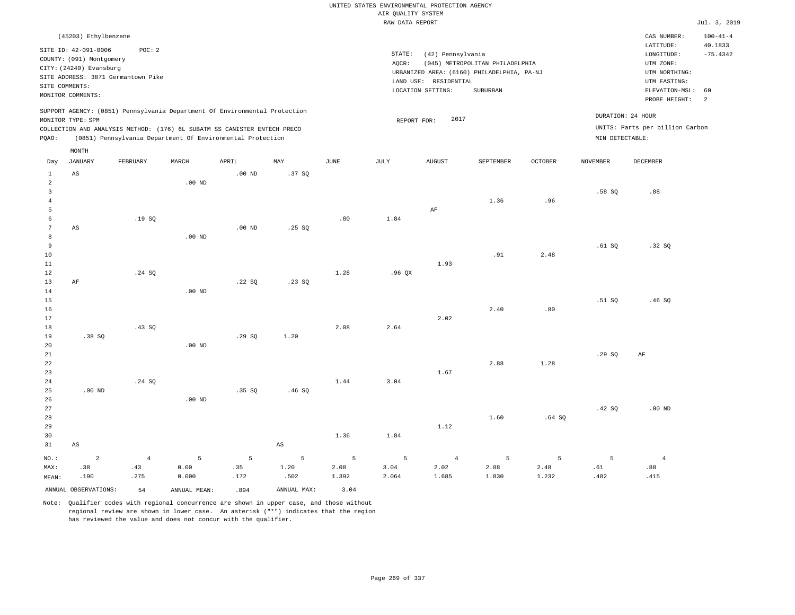|                 |                          |                                    |                   |                                                                            |             |       | UNITED STATES ENVIRONMENTAL PROTECTION AGENCY |                       |                                            |                |                 |                                    |                           |
|-----------------|--------------------------|------------------------------------|-------------------|----------------------------------------------------------------------------|-------------|-------|-----------------------------------------------|-----------------------|--------------------------------------------|----------------|-----------------|------------------------------------|---------------------------|
|                 |                          |                                    |                   |                                                                            |             |       | AIR QUALITY SYSTEM                            |                       |                                            |                |                 |                                    |                           |
|                 |                          |                                    |                   |                                                                            |             |       | RAW DATA REPORT                               |                       |                                            |                |                 |                                    | Jul. 3, 2019              |
|                 | (45203) Ethylbenzene     |                                    |                   |                                                                            |             |       |                                               |                       |                                            |                |                 | CAS NUMBER:<br>LATITUDE:           | $100 - 41 - 4$<br>40.1833 |
|                 | SITE ID: 42-091-0006     | POC: 2                             |                   |                                                                            |             |       | STATE:                                        | (42) Pennsylvania     |                                            |                |                 | LONGITUDE:                         | $-75.4342$                |
|                 | COUNTY: (091) Montgomery |                                    |                   |                                                                            |             |       | AQCR:                                         |                       | (045) METROPOLITAN PHILADELPHIA            |                |                 | UTM ZONE:                          |                           |
|                 | CITY: (24240) Evansburg  | SITE ADDRESS: 3871 Germantown Pike |                   |                                                                            |             |       |                                               |                       | URBANIZED AREA: (6160) PHILADELPHIA, PA-NJ |                |                 | UTM NORTHING:                      |                           |
|                 | SITE COMMENTS:           |                                    |                   |                                                                            |             |       |                                               | LAND USE: RESIDENTIAL |                                            |                |                 | UTM EASTING:                       |                           |
|                 | MONITOR COMMENTS:        |                                    |                   |                                                                            |             |       |                                               | LOCATION SETTING:     | SUBURBAN                                   |                |                 | ELEVATION-MSL:                     | 60                        |
|                 |                          |                                    |                   | SUPPORT AGENCY: (0851) Pennsylvania Department Of Environmental Protection |             |       |                                               |                       |                                            |                |                 | PROBE HEIGHT:<br>DURATION: 24 HOUR | 2                         |
|                 | MONITOR TYPE: SPM        |                                    |                   |                                                                            |             |       | REPORT FOR:                                   | 2017                  |                                            |                |                 |                                    |                           |
|                 |                          |                                    |                   | COLLECTION AND ANALYSIS METHOD: (176) 6L SUBATM SS CANISTER ENTECH PRECO   |             |       |                                               |                       |                                            |                |                 | UNITS: Parts per billion Carbon    |                           |
| PQAO:           |                          |                                    |                   | (0851) Pennsylvania Department Of Environmental Protection                 |             |       |                                               |                       |                                            |                | MIN DETECTABLE: |                                    |                           |
| Day             | MONTH<br>JANUARY         | <b>FEBRUARY</b>                    | MARCH             | APRIL                                                                      | MAY         | JUNE  | JULY                                          | <b>AUGUST</b>         | SEPTEMBER                                  | <b>OCTOBER</b> | <b>NOVEMBER</b> | <b>DECEMBER</b>                    |                           |
| $\mathbf{1}$    | $\mathbb{A}\mathbb{S}$   |                                    |                   | $.00$ ND                                                                   | .37SQ       |       |                                               |                       |                                            |                |                 |                                    |                           |
| $\sqrt{2}$      |                          |                                    | $.00$ ND          |                                                                            |             |       |                                               |                       |                                            |                |                 |                                    |                           |
| $\mathsf 3$     |                          |                                    |                   |                                                                            |             |       |                                               |                       |                                            |                | .58SQ           | .88                                |                           |
| $\overline{4}$  |                          |                                    |                   |                                                                            |             |       |                                               |                       | 1.36                                       | .96            |                 |                                    |                           |
| 5               |                          |                                    |                   |                                                                            |             |       |                                               | AF                    |                                            |                |                 |                                    |                           |
| 6               |                          | .19SQ                              |                   |                                                                            |             | .80   | 1.84                                          |                       |                                            |                |                 |                                    |                           |
| $7\phantom{.0}$ | AS                       |                                    |                   | $.00$ ND                                                                   | .25 S       |       |                                               |                       |                                            |                |                 |                                    |                           |
| $\,8\,$         |                          |                                    | $.00$ ND          |                                                                            |             |       |                                               |                       |                                            |                |                 |                                    |                           |
| $\overline{9}$  |                          |                                    |                   |                                                                            |             |       |                                               |                       |                                            |                | .61SQ           | .32S                               |                           |
| 10              |                          |                                    |                   |                                                                            |             |       |                                               |                       | .91                                        | 2.48           |                 |                                    |                           |
| 11              |                          | .24 SQ                             |                   |                                                                            |             | 1.28  | .96QX                                         | 1.93                  |                                            |                |                 |                                    |                           |
| 12<br>13        | AF                       |                                    |                   | .22S                                                                       | .23 S0      |       |                                               |                       |                                            |                |                 |                                    |                           |
| 14              |                          |                                    | $.00$ ND          |                                                                            |             |       |                                               |                       |                                            |                |                 |                                    |                           |
| 15              |                          |                                    |                   |                                                                            |             |       |                                               |                       |                                            |                | .51S            | .46S                               |                           |
| 16              |                          |                                    |                   |                                                                            |             |       |                                               |                       | 2.40                                       | .80            |                 |                                    |                           |
| 17              |                          |                                    |                   |                                                                            |             |       |                                               | 2.02                  |                                            |                |                 |                                    |                           |
| 18              |                          | .43 SQ                             |                   |                                                                            |             | 2.08  | 2.64                                          |                       |                                            |                |                 |                                    |                           |
| 19              | .38SQ                    |                                    |                   | .29SQ                                                                      | 1.20        |       |                                               |                       |                                            |                |                 |                                    |                           |
| 20              |                          |                                    | .00 <sub>ND</sub> |                                                                            |             |       |                                               |                       |                                            |                |                 |                                    |                           |
| 21              |                          |                                    |                   |                                                                            |             |       |                                               |                       |                                            |                | .29SQ           | AF                                 |                           |
| 22              |                          |                                    |                   |                                                                            |             |       |                                               |                       | 2.88                                       | 1.28           |                 |                                    |                           |
| 23              |                          |                                    |                   |                                                                            |             |       |                                               | 1.67                  |                                            |                |                 |                                    |                           |
| 24              |                          | .24 S0                             |                   |                                                                            |             | 1.44  | 3.04                                          |                       |                                            |                |                 |                                    |                           |
| 25              | $.00$ ND                 |                                    |                   | .35 SQ                                                                     | .46SQ       |       |                                               |                       |                                            |                |                 |                                    |                           |
| 26              |                          |                                    | $.00$ ND          |                                                                            |             |       |                                               |                       |                                            |                |                 |                                    |                           |
| 27<br>28        |                          |                                    |                   |                                                                            |             |       |                                               |                       | 1.60                                       | .64S           | .42 SQ          | $.00$ ND                           |                           |
| 29              |                          |                                    |                   |                                                                            |             |       |                                               | 1.12                  |                                            |                |                 |                                    |                           |
| 30              |                          |                                    |                   |                                                                            |             | 1.36  | 1.84                                          |                       |                                            |                |                 |                                    |                           |
| 31              | $\mathbb{A}\mathbb{S}$   |                                    |                   |                                                                            | $_{\rm AS}$ |       |                                               |                       |                                            |                |                 |                                    |                           |
|                 |                          |                                    |                   |                                                                            |             |       |                                               |                       |                                            |                |                 |                                    |                           |
| NO.:            | $\overline{a}$           | $\overline{4}$                     | 5                 | $\overline{5}$                                                             | 5           | 5     | 5                                             | $\overline{4}$        | 5                                          | 5              | 5               | $\overline{4}$                     |                           |
| MAX:            | .38                      | .43                                | 0.00              | .35                                                                        | 1.20        | 2.08  | 3.04                                          | 2.02                  | 2.88                                       | 2.48           | .61             | .88                                |                           |
| MEAN:           | .190                     | .275                               | 0.000             | .172                                                                       | .502        | 1.392 | 2.064                                         | 1.685                 | 1.830                                      | 1.232          | .482            | .415                               |                           |
|                 | ANNUAL OBSERVATIONS:     | 54                                 | ANNUAL, MEAN:     | .894                                                                       | ANNUAL MAX: | 3.04  |                                               |                       |                                            |                |                 |                                    |                           |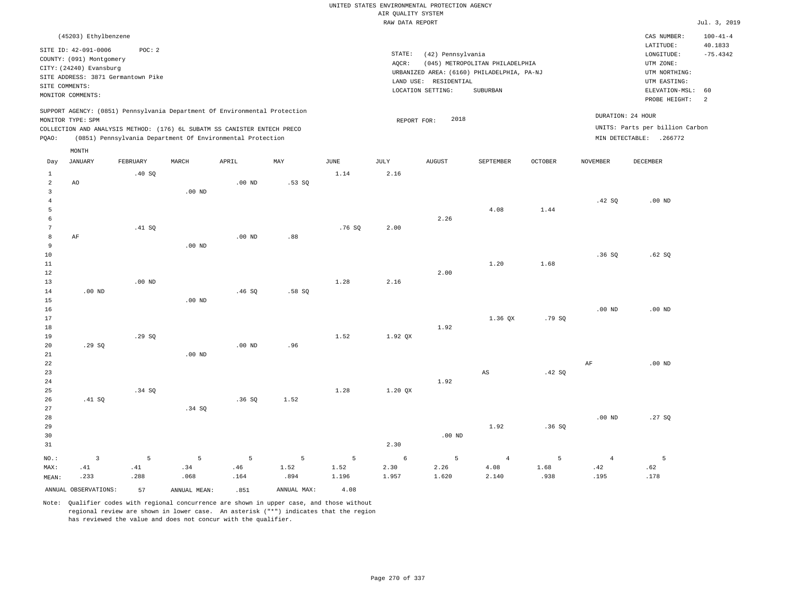|                                  |                          |                                    |              |                                                                                                                                        |             |       |                    | UNITED STATES ENVIRONMENTAL PROTECTION AGENCY |                                 |                |                   |                                 |                           |
|----------------------------------|--------------------------|------------------------------------|--------------|----------------------------------------------------------------------------------------------------------------------------------------|-------------|-------|--------------------|-----------------------------------------------|---------------------------------|----------------|-------------------|---------------------------------|---------------------------|
|                                  |                          |                                    |              |                                                                                                                                        |             |       | AIR QUALITY SYSTEM |                                               |                                 |                |                   |                                 |                           |
|                                  |                          |                                    |              |                                                                                                                                        |             |       | RAW DATA REPORT    |                                               |                                 |                |                   |                                 | Jul. 3, 2019              |
|                                  | (45203) Ethylbenzene     |                                    |              |                                                                                                                                        |             |       |                    |                                               |                                 |                |                   | CAS NUMBER:<br>LATITUDE:        | $100 - 41 - 4$<br>40.1833 |
|                                  | SITE ID: 42-091-0006     | POC: 2                             |              |                                                                                                                                        |             |       | STATE:             | (42) Pennsylvania                             |                                 |                |                   | LONGITUDE:                      | $-75.4342$                |
|                                  | COUNTY: (091) Montgomery |                                    |              |                                                                                                                                        |             |       | AQCR:              |                                               | (045) METROPOLITAN PHILADELPHIA |                |                   | UTM ZONE:                       |                           |
|                                  | CITY: (24240) Evansburg  | SITE ADDRESS: 3871 Germantown Pike |              |                                                                                                                                        |             |       |                    | URBANIZED AREA: (6160) PHILADELPHIA, PA-NJ    |                                 |                |                   | UTM NORTHING:                   |                           |
|                                  | SITE COMMENTS:           |                                    |              |                                                                                                                                        |             |       |                    | LAND USE: RESIDENTIAL                         |                                 |                |                   | UTM EASTING:                    |                           |
|                                  | MONITOR COMMENTS:        |                                    |              |                                                                                                                                        |             |       |                    | LOCATION SETTING:                             | SUBURBAN                        |                |                   | ELEVATION-MSL:                  | 60                        |
|                                  |                          |                                    |              | SUPPORT AGENCY: (0851) Pennsylvania Department Of Environmental Protection                                                             |             |       |                    |                                               |                                 |                | DURATION: 24 HOUR | PROBE HEIGHT:                   | 2                         |
|                                  | MONITOR TYPE: SPM        |                                    |              |                                                                                                                                        |             |       | REPORT FOR:        | 2018                                          |                                 |                |                   | UNITS: Parts per billion Carbon |                           |
| PQAO:                            |                          |                                    |              | COLLECTION AND ANALYSIS METHOD: (176) 6L SUBATM SS CANISTER ENTECH PRECO<br>(0851) Pennsylvania Department Of Environmental Protection |             |       |                    |                                               |                                 |                |                   | MIN DETECTABLE: .266772         |                           |
|                                  | MONTH                    |                                    |              |                                                                                                                                        |             |       |                    |                                               |                                 |                |                   |                                 |                           |
| Day                              | JANUARY                  | FEBRUARY                           | MARCH        | APRIL                                                                                                                                  | MAY         | JUNE  | JULY               | <b>AUGUST</b>                                 | SEPTEMBER                       | <b>OCTOBER</b> | NOVEMBER          | DECEMBER                        |                           |
| $\mathbf{1}$                     |                          | .40SQ                              |              |                                                                                                                                        |             | 1.14  | 2.16               |                                               |                                 |                |                   |                                 |                           |
| $\overline{a}$                   | AO                       |                                    |              | .00 <sub>ND</sub>                                                                                                                      | .53SQ       |       |                    |                                               |                                 |                |                   |                                 |                           |
| $\overline{3}$<br>$\overline{4}$ |                          |                                    | $.00$ ND     |                                                                                                                                        |             |       |                    |                                               |                                 |                | .42SQ             | $.00$ ND                        |                           |
| 5                                |                          |                                    |              |                                                                                                                                        |             |       |                    |                                               | 4.08                            | 1.44           |                   |                                 |                           |
| 6                                |                          |                                    |              |                                                                                                                                        |             |       |                    | 2.26                                          |                                 |                |                   |                                 |                           |
| $7\phantom{.0}$                  |                          | .41 SQ                             |              |                                                                                                                                        |             | .76SQ | 2.00               |                                               |                                 |                |                   |                                 |                           |
| 8                                | AF                       |                                    |              | $.00$ ND                                                                                                                               | .88         |       |                    |                                               |                                 |                |                   |                                 |                           |
| 9                                |                          |                                    | $.00$ ND     |                                                                                                                                        |             |       |                    |                                               |                                 |                |                   |                                 |                           |
| 10                               |                          |                                    |              |                                                                                                                                        |             |       |                    |                                               |                                 |                | .36SQ             | .62SQ                           |                           |
| 11                               |                          |                                    |              |                                                                                                                                        |             |       |                    |                                               | 1.20                            | 1.68           |                   |                                 |                           |
| 12                               |                          |                                    |              |                                                                                                                                        |             |       |                    | 2.00                                          |                                 |                |                   |                                 |                           |
| 13                               |                          | $.00$ ND                           |              |                                                                                                                                        |             | 1.28  | 2.16               |                                               |                                 |                |                   |                                 |                           |
| 14                               | .00 <sub>ND</sub>        |                                    |              | .46 SQ                                                                                                                                 | .58SQ       |       |                    |                                               |                                 |                |                   |                                 |                           |
| 15                               |                          |                                    | $.00$ ND     |                                                                                                                                        |             |       |                    |                                               |                                 |                |                   |                                 |                           |
| 16                               |                          |                                    |              |                                                                                                                                        |             |       |                    |                                               |                                 |                | .00 <sub>ND</sub> | $.00$ ND                        |                           |
| 17<br>18                         |                          |                                    |              |                                                                                                                                        |             |       |                    | 1.92                                          | 1.36 OX                         | .79 SO         |                   |                                 |                           |
| 19                               |                          | .29S                               |              |                                                                                                                                        |             | 1.52  | 1.92 QX            |                                               |                                 |                |                   |                                 |                           |
| 20                               | .29SQ                    |                                    |              | $.00$ ND                                                                                                                               | .96         |       |                    |                                               |                                 |                |                   |                                 |                           |
| 21                               |                          |                                    | $.00$ ND     |                                                                                                                                        |             |       |                    |                                               |                                 |                |                   |                                 |                           |
| 22                               |                          |                                    |              |                                                                                                                                        |             |       |                    |                                               |                                 |                | $\rm{AF}$         | $.00$ ND                        |                           |
| 23                               |                          |                                    |              |                                                                                                                                        |             |       |                    |                                               | AS                              | .42 S0         |                   |                                 |                           |
| $2\sqrt{4}$                      |                          |                                    |              |                                                                                                                                        |             |       |                    | 1.92                                          |                                 |                |                   |                                 |                           |
| 25                               |                          | .34 SQ                             |              |                                                                                                                                        |             | 1.28  | 1.20 QX            |                                               |                                 |                |                   |                                 |                           |
| 26                               | .41 SQ                   |                                    |              | .36SQ                                                                                                                                  | 1.52        |       |                    |                                               |                                 |                |                   |                                 |                           |
| 27                               |                          |                                    | .34 SQ       |                                                                                                                                        |             |       |                    |                                               |                                 |                |                   |                                 |                           |
| 28                               |                          |                                    |              |                                                                                                                                        |             |       |                    |                                               |                                 |                | .00 <sub>ND</sub> | .27SQ                           |                           |
| 29                               |                          |                                    |              |                                                                                                                                        |             |       |                    |                                               | 1.92                            | .36SQ          |                   |                                 |                           |
| 30<br>31                         |                          |                                    |              |                                                                                                                                        |             |       | 2.30               | $.00$ ND                                      |                                 |                |                   |                                 |                           |
|                                  |                          |                                    |              |                                                                                                                                        |             |       |                    |                                               |                                 |                |                   |                                 |                           |
| NO.:                             | $\overline{3}$           | 5                                  | 5            | 5                                                                                                                                      | 5           | 5     | 6                  | 5                                             | $\overline{4}$                  | 5              | $\overline{4}$    | 5                               |                           |
| MAX:                             | .41                      | .41                                | .34          | .46                                                                                                                                    | 1.52        | 1.52  | 2.30               | 2.26                                          | 4.08                            | 1.68           | .42               | .62                             |                           |
| MEAN:                            | .233                     | .288                               | .068         | .164                                                                                                                                   | .894        | 1.196 | 1.957              | 1.620                                         | 2.140                           | .938           | .195              | .178                            |                           |
|                                  | ANNUAL OBSERVATIONS:     | 57                                 | ANNUAL MEAN: | .851                                                                                                                                   | ANNUAL MAX: | 4.08  |                    |                                               |                                 |                |                   |                                 |                           |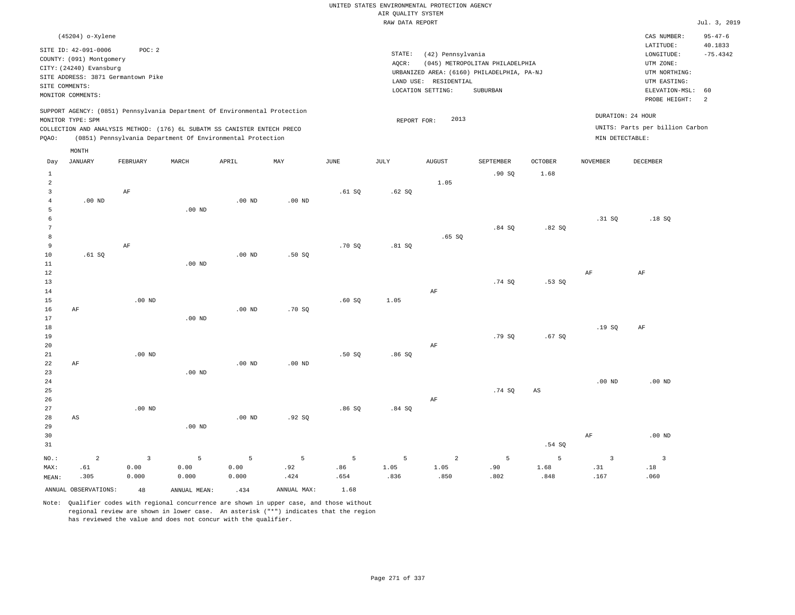|                     |                                                  |          |                                                                            |                   |             |        |                    | UNITED STATES ENVIRONMENTAL PROTECTION AGENCY |                                            |                |                 |                                 |                          |
|---------------------|--------------------------------------------------|----------|----------------------------------------------------------------------------|-------------------|-------------|--------|--------------------|-----------------------------------------------|--------------------------------------------|----------------|-----------------|---------------------------------|--------------------------|
|                     |                                                  |          |                                                                            |                   |             |        | AIR OUALITY SYSTEM |                                               |                                            |                |                 |                                 |                          |
|                     |                                                  |          |                                                                            |                   |             |        | RAW DATA REPORT    |                                               |                                            |                |                 |                                 | Jul. 3, 2019             |
|                     | (45204) o-Xylene                                 |          |                                                                            |                   |             |        |                    |                                               |                                            |                |                 | CAS NUMBER:<br>LATITUDE:        | $95 - 47 - 6$<br>40.1833 |
|                     | SITE ID: 42-091-0006<br>COUNTY: (091) Montgomery | POC: 2   |                                                                            |                   |             |        | STATE:             | (42) Pennsylvania                             |                                            |                |                 | LONGITUDE:                      | $-75.4342$               |
|                     | CITY: (24240) Evansburg                          |          |                                                                            |                   |             |        | AOCR:              |                                               | (045) METROPOLITAN PHILADELPHIA            |                |                 | UTM ZONE:                       |                          |
|                     | SITE ADDRESS: 3871 Germantown Pike               |          |                                                                            |                   |             |        |                    | LAND USE: RESIDENTIAL                         | URBANIZED AREA: (6160) PHILADELPHIA, PA-NJ |                |                 | UTM NORTHING:<br>UTM EASTING:   |                          |
| SITE COMMENTS:      |                                                  |          |                                                                            |                   |             |        |                    | LOCATION SETTING:                             | <b>SUBURBAN</b>                            |                |                 | ELEVATION-MSL:                  | 60                       |
|                     | MONITOR COMMENTS:                                |          |                                                                            |                   |             |        |                    |                                               |                                            |                |                 | PROBE HEIGHT:                   | 2                        |
|                     | MONITOR TYPE: SPM                                |          | SUPPORT AGENCY: (0851) Pennsylvania Department Of Environmental Protection |                   |             |        |                    | 2013                                          |                                            |                |                 | DURATION: 24 HOUR               |                          |
|                     |                                                  |          | COLLECTION AND ANALYSIS METHOD: (176) 6L SUBATM SS CANISTER ENTECH PRECO   |                   |             |        | REPORT FOR:        |                                               |                                            |                |                 | UNITS: Parts per billion Carbon |                          |
| PQAO:               |                                                  |          | (0851) Pennsylvania Department Of Environmental Protection                 |                   |             |        |                    |                                               |                                            |                | MIN DETECTABLE: |                                 |                          |
| Day                 | MONTH<br><b>JANUARY</b>                          | FEBRUARY | MARCH                                                                      | APRIL             | MAY         | JUNE   | JULY               | <b>AUGUST</b>                                 | SEPTEMBER                                  | <b>OCTOBER</b> | <b>NOVEMBER</b> | <b>DECEMBER</b>                 |                          |
| $\mathbf{1}$        |                                                  |          |                                                                            |                   |             |        |                    |                                               | .90SQ                                      | 1.68           |                 |                                 |                          |
| 2                   |                                                  |          |                                                                            |                   |             |        |                    | 1.05                                          |                                            |                |                 |                                 |                          |
| $\overline{3}$      |                                                  | AF       |                                                                            |                   |             | .61 SQ | .62SQ              |                                               |                                            |                |                 |                                 |                          |
| $\overline{4}$      | $.00$ ND                                         |          |                                                                            | $.00$ ND          | $.00$ ND    |        |                    |                                               |                                            |                |                 |                                 |                          |
| 5                   |                                                  |          | $.00$ ND                                                                   |                   |             |        |                    |                                               |                                            |                |                 |                                 |                          |
| 6                   |                                                  |          |                                                                            |                   |             |        |                    |                                               |                                            |                | .31 SQ          | .18S                            |                          |
| $\overline{7}$      |                                                  |          |                                                                            |                   |             |        |                    |                                               | .84S                                       | .82S           |                 |                                 |                          |
| 8<br>$\overline{9}$ |                                                  | AF       |                                                                            |                   |             | .70S   | .81 S              | .65SQ                                         |                                            |                |                 |                                 |                          |
| 10                  | .61SQ                                            |          |                                                                            | $.00$ ND          | .50S        |        |                    |                                               |                                            |                |                 |                                 |                          |
| 11                  |                                                  |          | .00 <sub>ND</sub>                                                          |                   |             |        |                    |                                               |                                            |                |                 |                                 |                          |
| $1\,2$              |                                                  |          |                                                                            |                   |             |        |                    |                                               |                                            |                | $\rm AF$        | AF                              |                          |
| 13                  |                                                  |          |                                                                            |                   |             |        |                    |                                               | .74 SO                                     | .53SQ          |                 |                                 |                          |
| 14                  |                                                  |          |                                                                            |                   |             |        |                    | AF                                            |                                            |                |                 |                                 |                          |
| 15                  |                                                  | $.00$ ND |                                                                            |                   |             | .60S   | 1.05               |                                               |                                            |                |                 |                                 |                          |
| 16                  | $\rm AF$                                         |          |                                                                            | $.00$ ND          | .70SQ       |        |                    |                                               |                                            |                |                 |                                 |                          |
| 17<br>18            |                                                  |          | $.00$ ND                                                                   |                   |             |        |                    |                                               |                                            |                | .19SQ           |                                 |                          |
| 19                  |                                                  |          |                                                                            |                   |             |        |                    |                                               | .79SQ                                      | .67SQ          |                 | AF                              |                          |
| 20                  |                                                  |          |                                                                            |                   |             |        |                    | AF                                            |                                            |                |                 |                                 |                          |
| 21                  |                                                  | $.00$ ND |                                                                            |                   |             | .50S   | .86SQ              |                                               |                                            |                |                 |                                 |                          |
| 22                  | AF                                               |          |                                                                            | .00 <sub>ND</sub> | $.00$ ND    |        |                    |                                               |                                            |                |                 |                                 |                          |
| 23                  |                                                  |          | $.00$ ND                                                                   |                   |             |        |                    |                                               |                                            |                |                 |                                 |                          |
| 24                  |                                                  |          |                                                                            |                   |             |        |                    |                                               |                                            |                | $.00$ ND        | $.00$ ND                        |                          |
| 25                  |                                                  |          |                                                                            |                   |             |        |                    |                                               | .74SQ                                      | AS             |                 |                                 |                          |
| 26                  |                                                  |          |                                                                            |                   |             |        |                    | AF                                            |                                            |                |                 |                                 |                          |
| 27<br>28            | AS                                               | $.00$ ND |                                                                            | $.00$ ND          | .92S        | .86SQ  | .84SQ              |                                               |                                            |                |                 |                                 |                          |
| 29                  |                                                  |          | $.00$ ND                                                                   |                   |             |        |                    |                                               |                                            |                |                 |                                 |                          |
| 30                  |                                                  |          |                                                                            |                   |             |        |                    |                                               |                                            |                | AF              | $.00$ ND                        |                          |
| 31                  |                                                  |          |                                                                            |                   |             |        |                    |                                               |                                            | .54 SQ         |                 |                                 |                          |
|                     | $\overline{a}$                                   | 3        | 5                                                                          | 5                 | 5           | 5      | 5                  | $\overline{a}$                                | $\overline{5}$                             | 5              | $\overline{3}$  | $\overline{\mathbf{3}}$         |                          |
| NO.:<br>MAX:        | .61                                              | 0.00     | 0.00                                                                       | 0.00              | .92         | .86    | 1.05               | 1.05                                          | .90                                        | 1.68           | .31             | .18                             |                          |
| MEAN:               | .305                                             | 0.000    | 0.000                                                                      | 0.000             | .424        | .654   | .836               | .850                                          | .802                                       | .848           | .167            | .060                            |                          |
|                     | ANNUAL OBSERVATIONS:                             | 48       | ANNUAL, MEAN:                                                              | .434              | ANNUAL MAX: | 1.68   |                    |                                               |                                            |                |                 |                                 |                          |
|                     |                                                  |          |                                                                            |                   |             |        |                    |                                               |                                            |                |                 |                                 |                          |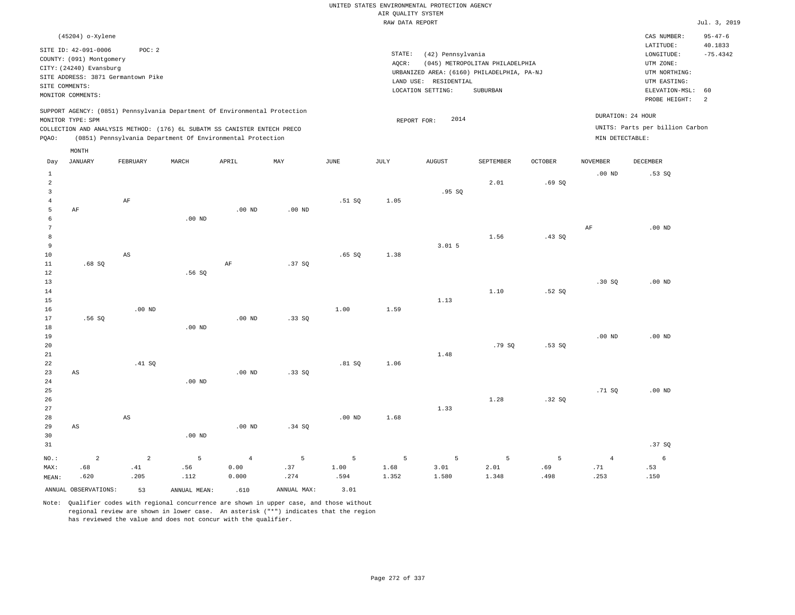| (45204) o-Xylene                                                                                                                                                                                                                                   |                                                                                                                                                                                 | CAS NUMBER:                                                                                                 | $95 - 47 - 6$         |
|----------------------------------------------------------------------------------------------------------------------------------------------------------------------------------------------------------------------------------------------------|---------------------------------------------------------------------------------------------------------------------------------------------------------------------------------|-------------------------------------------------------------------------------------------------------------|-----------------------|
| SITE ID: 42-091-0006<br>POC:2<br>COUNTY: (091) Montgomery<br>CITY: (24240) Evansburg<br>SITE ADDRESS: 3871 Germantown Pike<br>SITE COMMENTS:<br>MONITOR COMMENTS:                                                                                  | STATE:<br>(42) Pennsylvania<br>(045) METROPOLITAN PHILADELPHIA<br>AOCR:<br>URBANIZED AREA: (6160) PHILADELPHIA, PA-NJ<br>LAND USE: RESIDENTIAL<br>LOCATION SETTING:<br>SUBURBAN | LATITUDE:<br>LONGITUDE:<br>UTM ZONE:<br>UTM NORTHING:<br>UTM EASTING:<br>ELEVATION-MSL: 60<br>PROBE HEIGHT: | 40.1833<br>$-75.4342$ |
| SUPPORT AGENCY: (0851) Pennsylvania Department Of Environmental Protection<br>MONITOR TYPE: SPM<br>COLLECTION AND ANALYSIS METHOD: (176) 6L SUBATM SS CANISTER ENTECH PRECO<br>(0851) Pennsylvania Department Of Environmental Protection<br>POAO: | 2014<br>REPORT FOR:                                                                                                                                                             | DURATION: 24 HOUR<br>UNITS: Parts per billion Carbon<br>MIN DETECTABLE:                                     |                       |

|                                                  | MONTH                  |                        |              |                   |             |                       |               |               |               |             |                 |             |
|--------------------------------------------------|------------------------|------------------------|--------------|-------------------|-------------|-----------------------|---------------|---------------|---------------|-------------|-----------------|-------------|
| Day                                              | <b>JANUARY</b>         | FEBRUARY               | MARCH        | APRIL             | MAY         | $\operatorname{JUNE}$ | JULY          | <b>AUGUST</b> | SEPTEMBER     | OCTOBER     | <b>NOVEMBER</b> | DECEMBER    |
| $\mathbf{1}$<br>$\overline{a}$<br>$\overline{3}$ |                        |                        |              |                   |             |                       |               | .95SQ         | 2.01          | .69SQ       | $.00$ ND        | .53SQ       |
| $\overline{4}$<br>5<br>6                         | $\rm AF$               | $\rm AF$               | .00 $ND$     | .00 <sub>ND</sub> | $.00$ ND    | .51 SQ                | 1.05          |               |               |             |                 |             |
| 7<br>8<br>9<br>10                                |                        | $\mathbb{A}\mathbb{S}$ |              |                   |             | .65SQ                 | 1.38          | 3.015         | 1.56          | .43SQ       | AF              | $.00$ ND    |
| 11<br>12<br>13                                   | .68SQ                  |                        | .56SQ        | $\rm AF$          | .37SQ       |                       |               |               |               |             | .30SQ           | $.00$ ND    |
| 14<br>15<br>16                                   |                        | $.00$ ND               |              |                   |             | 1.00                  | 1.59          | 1.13          | 1.10          | .52S        |                 |             |
| 17<br>18<br>19                                   | .56SQ                  |                        | $.00$ ND     | $.00$ ND          | .33SQ       |                       |               |               |               |             | $.00$ ND        | $.00$ ND    |
| 20<br>21<br>22                                   |                        | .41 SQ                 |              |                   |             | .81 SQ                | 1.06          | 1.48          | .79 SQ        | .53SQ       |                 |             |
| 23<br>24<br>25                                   | $\mathbb{A}\mathbb{S}$ |                        | $.00$ ND     | .00 <sub>ND</sub> | .33SQ       |                       |               |               |               |             | .71SQ           | $.00$ ND    |
| 26<br>27<br>28                                   |                        | $\mathbb{A}\mathbb{S}$ |              |                   |             | $.00$ ND              | 1.68          | 1.33          | 1.28          | .32SQ       |                 |             |
| 29<br>30<br>31                                   | $\mathbb{A}\mathbb{S}$ |                        | .00 $ND$     | .00 $ND$          | .34 SQ      |                       |               |               |               |             |                 | .37SQ       |
| $_{\rm NO.}$ :                                   | $\overline{a}$         | $\overline{a}$         | 5            | $\overline{4}$    | 5           | 5                     | 5             | 5             | 5             | 5           | $\overline{4}$  | $\epsilon$  |
| MAX:<br>MEAN:                                    | .68<br>.620            | .41<br>.205            | .56<br>.112  | 0.00<br>0.000     | .37<br>.274 | 1.00<br>.594          | 1.68<br>1.352 | 3.01<br>1.580 | 2.01<br>1.348 | .69<br>.498 | .71<br>.253     | .53<br>.150 |
|                                                  | ANNUAL OBSERVATIONS:   | 53                     | ANNUAL MEAN: | .610              | ANNUAL MAX: | 3.01                  |               |               |               |             |                 |             |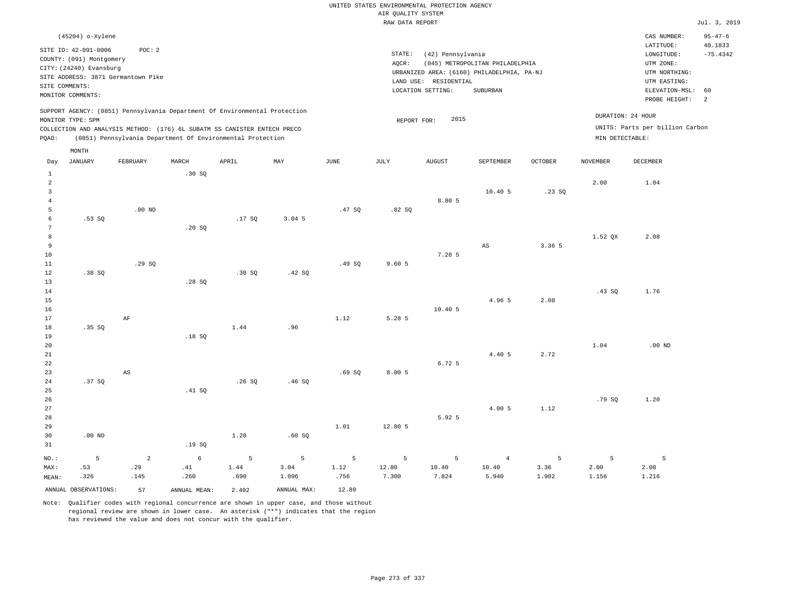|                                                                  |                                                                                                                                     |                               |                           |                                                                                                                                                        |                              |                   | AIR QUALITY SYSTEM  | UNITED STATES ENVIRONMENTAL PROTECTION AGENCY |                                                                               |                                  |                    |                                                                       |                       |
|------------------------------------------------------------------|-------------------------------------------------------------------------------------------------------------------------------------|-------------------------------|---------------------------|--------------------------------------------------------------------------------------------------------------------------------------------------------|------------------------------|-------------------|---------------------|-----------------------------------------------|-------------------------------------------------------------------------------|----------------------------------|--------------------|-----------------------------------------------------------------------|-----------------------|
|                                                                  |                                                                                                                                     |                               |                           |                                                                                                                                                        |                              |                   | RAW DATA REPORT     |                                               |                                                                               |                                  |                    |                                                                       | Jul. 3, 2019          |
|                                                                  | (45204) o-Xylene                                                                                                                    |                               |                           |                                                                                                                                                        |                              |                   |                     |                                               |                                                                               |                                  |                    | CAS NUMBER:                                                           | $95 - 47 - 6$         |
|                                                                  | SITE ID: 42-091-0006<br>COUNTY: (091) Montgomery<br>CITY: (24240) Evansburg<br>SITE ADDRESS: 3871 Germantown Pike<br>SITE COMMENTS: | POC: 2                        |                           |                                                                                                                                                        |                              |                   | STATE:<br>AQCR:     | (42) Pennsylvania<br>LAND USE: RESIDENTIAL    | (045) METROPOLITAN PHILADELPHIA<br>URBANIZED AREA: (6160) PHILADELPHIA, PA-NJ |                                  |                    | LATITUDE:<br>LONGITUDE:<br>UTM ZONE:<br>UTM NORTHING:<br>UTM EASTING: | 40.1833<br>$-75.4342$ |
|                                                                  | MONITOR COMMENTS:                                                                                                                   |                               |                           |                                                                                                                                                        |                              |                   |                     | LOCATION SETTING:                             | SUBURBAN                                                                      |                                  |                    | ELEVATION-MSL:                                                        | 60                    |
|                                                                  | MONITOR TYPE: SPM                                                                                                                   |                               |                           | SUPPORT AGENCY: (0851) Pennsylvania Department Of Environmental Protection<br>COLLECTION AND ANALYSIS METHOD: (176) 6L SUBATM SS CANISTER ENTECH PRECO |                              |                   | REPORT FOR:         | 2015                                          |                                                                               |                                  |                    | PROBE HEIGHT:<br>DURATION: 24 HOUR<br>UNITS: Parts per billion Carbon | <sup>2</sup>          |
| PQAO:                                                            |                                                                                                                                     |                               |                           | (0851) Pennsylvania Department Of Environmental Protection                                                                                             |                              |                   |                     |                                               |                                                                               |                                  | MIN DETECTABLE:    |                                                                       |                       |
| Day                                                              | MONTH<br><b>JANUARY</b>                                                                                                             | FEBRUARY                      | MARCH                     | APRIL                                                                                                                                                  | MAY                          | $_{\rm JUNE}$     | <b>JULY</b>         | <b>AUGUST</b>                                 | SEPTEMBER                                                                     | <b>OCTOBER</b>                   | <b>NOVEMBER</b>    | <b>DECEMBER</b>                                                       |                       |
| 1<br>$\overline{2}$<br>$\overline{\mathbf{3}}$<br>$\overline{4}$ |                                                                                                                                     |                               | .30 SQ                    |                                                                                                                                                        |                              |                   |                     | 8.80 5                                        | 10.40 5                                                                       | .23SQ                            | 2.00               | 1.04                                                                  |                       |
| 5<br>6<br>$7\phantom{.0}$                                        | .53SQ                                                                                                                               | $.00$ ND                      | .20 SQ                    | .17SQ                                                                                                                                                  | 3.04.5                       | .47S              | .82S                |                                               |                                                                               |                                  |                    |                                                                       |                       |
| $^{\rm 8}$<br>9<br>10<br>11                                      |                                                                                                                                     | .29S                          |                           |                                                                                                                                                        |                              | .49S              | 9.605               | 7.28 5                                        | AS                                                                            | 3.36 5                           | 1.52 QX            | 2.08                                                                  |                       |
| 12<br>13<br>14<br>15                                             | .38 SO                                                                                                                              |                               | .28SQ                     | .30SQ                                                                                                                                                  | .42 S0                       |                   |                     |                                               | 4.96 5                                                                        | 2.08                             | .43SQ              | 1.76                                                                  |                       |
| 16<br>17<br>18<br>19                                             | .35 SO                                                                                                                              | $\rm AF$                      | .18SQ                     | 1.44                                                                                                                                                   | .96                          | 1.12              | 5.28 5              | 10.405                                        |                                                                               |                                  |                    |                                                                       |                       |
| 20<br>21<br>22<br>23                                             |                                                                                                                                     | $\mathbb{A}\mathbb{S}$        |                           |                                                                                                                                                        |                              | .69SQ             | 8.00 5              | 6.72 5                                        | 4.40 5                                                                        | 2.72                             | 1.04               | $.00$ ND                                                              |                       |
| 24<br>25<br>26                                                   | .37SQ                                                                                                                               |                               | .41 S0                    | .26SQ                                                                                                                                                  | .46SQ                        |                   |                     |                                               |                                                                               |                                  | .79SQ              | 1.20                                                                  |                       |
| 27<br>28<br>29<br>30                                             | $.00$ ND                                                                                                                            |                               |                           | 1.28                                                                                                                                                   | .60SQ                        | 1.01              | 12.80 5             | 5.92 5                                        | 4.00 5                                                                        | 1.12                             |                    |                                                                       |                       |
| 31                                                               |                                                                                                                                     |                               | .19SQ                     |                                                                                                                                                        |                              |                   |                     |                                               |                                                                               |                                  |                    |                                                                       |                       |
| $NO.$ :<br>MAX:<br>MEAN:                                         | 5<br>.53<br>.326                                                                                                                    | $\overline{a}$<br>.29<br>.145 | $\epsilon$<br>.41<br>.260 | 5<br>1.44<br>.690                                                                                                                                      | $\mathsf S$<br>3.04<br>1.096 | 5<br>1.12<br>.756 | 5<br>12.80<br>7.300 | 5<br>10.40<br>7.824                           | $\overline{4}$<br>10.40<br>5.940                                              | $5\phantom{.0}$<br>3.36<br>1.902 | 5<br>2.00<br>1.156 | 5<br>2.08<br>1.216                                                    |                       |
|                                                                  | ANNUAL OBSERVATIONS:                                                                                                                | 57                            | ANNUAL MEAN:              | 2.402                                                                                                                                                  | ANNUAL MAX:                  | 12.80             |                     |                                               |                                                                               |                                  |                    |                                                                       |                       |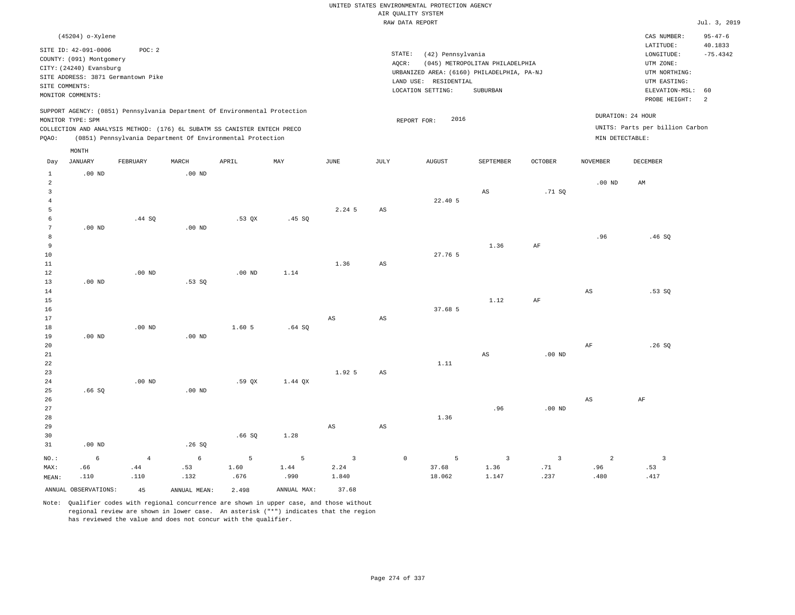|                                     |                                                                             |                                              |                                                                                                                                                                                                                      |                   |                |                         |                        | UNITED STATES ENVIRONMENTAL PROTECTION AGENCY                                                                   |                                 |                   |                   |                                                                                  |                       |
|-------------------------------------|-----------------------------------------------------------------------------|----------------------------------------------|----------------------------------------------------------------------------------------------------------------------------------------------------------------------------------------------------------------------|-------------------|----------------|-------------------------|------------------------|-----------------------------------------------------------------------------------------------------------------|---------------------------------|-------------------|-------------------|----------------------------------------------------------------------------------|-----------------------|
|                                     |                                                                             |                                              |                                                                                                                                                                                                                      |                   |                |                         |                        | AIR QUALITY SYSTEM                                                                                              |                                 |                   |                   |                                                                                  |                       |
|                                     |                                                                             |                                              |                                                                                                                                                                                                                      |                   |                |                         |                        | RAW DATA REPORT                                                                                                 |                                 |                   |                   |                                                                                  | Jul. 3, 2019          |
|                                     | (45204) o-Xylene                                                            |                                              |                                                                                                                                                                                                                      |                   |                |                         |                        |                                                                                                                 |                                 |                   |                   | CAS NUMBER:                                                                      | $95 - 47 - 6$         |
|                                     | SITE ID: 42-091-0006<br>COUNTY: (091) Montgomery<br>CITY: (24240) Evansburg | POC: 2<br>SITE ADDRESS: 3871 Germantown Pike |                                                                                                                                                                                                                      |                   |                |                         | AQCR:                  | $\texttt{STATE}{}:$<br>(42) Pennsylvania<br>URBANIZED AREA: (6160) PHILADELPHIA, PA-NJ<br>LAND USE: RESIDENTIAL | (045) METROPOLITAN PHILADELPHIA |                   |                   | LATITUDE:<br>$\texttt{LONGITUDE}:$<br>UTM ZONE:<br>UTM NORTHING:<br>UTM EASTING: | 40.1833<br>$-75.4342$ |
| SITE COMMENTS:                      |                                                                             |                                              |                                                                                                                                                                                                                      |                   |                |                         |                        | LOCATION SETTING:                                                                                               | SUBURBAN                        |                   |                   | ELEVATION-MSL:                                                                   | 60                    |
|                                     | MONITOR COMMENTS:                                                           |                                              |                                                                                                                                                                                                                      |                   |                |                         |                        |                                                                                                                 |                                 |                   |                   | PROBE HEIGHT:                                                                    | $\overline{a}$        |
| PQAO:                               | MONITOR TYPE: SPM                                                           |                                              | SUPPORT AGENCY: (0851) Pennsylvania Department Of Environmental Protection<br>COLLECTION AND ANALYSIS METHOD: (176) 6L SUBATM SS CANISTER ENTECH PRECO<br>(0851) Pennsylvania Department Of Environmental Protection |                   |                |                         |                        | 2016<br>REPORT FOR:                                                                                             |                                 |                   | MIN DETECTABLE:   | DURATION: 24 HOUR<br>UNITS: Parts per billion Carbon                             |                       |
|                                     | MONTH                                                                       |                                              |                                                                                                                                                                                                                      |                   |                |                         |                        |                                                                                                                 |                                 |                   |                   |                                                                                  |                       |
| Day                                 | <b>JANUARY</b>                                                              | FEBRUARY                                     | MARCH                                                                                                                                                                                                                | APRIL             | MAY            | <b>JUNE</b>             | JULY                   | <b>AUGUST</b>                                                                                                   | SEPTEMBER                       | <b>OCTOBER</b>    | <b>NOVEMBER</b>   | <b>DECEMBER</b>                                                                  |                       |
| $\mathbf{1}$<br>$\overline{2}$<br>3 | .00 <sub>ND</sub>                                                           |                                              | $.00$ ND                                                                                                                                                                                                             |                   |                |                         |                        |                                                                                                                 | $\mathbb{A}\mathbb{S}$          | .71 SQ            | .00 <sub>ND</sub> | AM                                                                               |                       |
| $\overline{4}$<br>5                 |                                                                             |                                              |                                                                                                                                                                                                                      |                   |                | 2.24 5                  | $\mathbb{A}\mathbb{S}$ | 22.40 5                                                                                                         |                                 |                   |                   |                                                                                  |                       |
| 6                                   |                                                                             | .44 SO                                       |                                                                                                                                                                                                                      | .53 OX            | .45 SO         |                         |                        |                                                                                                                 |                                 |                   |                   |                                                                                  |                       |
| $7\phantom{.0}$                     | $.00$ ND                                                                    |                                              | $.00$ ND                                                                                                                                                                                                             |                   |                |                         |                        |                                                                                                                 |                                 |                   |                   |                                                                                  |                       |
| 8<br>9                              |                                                                             |                                              |                                                                                                                                                                                                                      |                   |                |                         |                        |                                                                                                                 | 1.36                            | $\rm{AF}$         | .96               | .46SQ                                                                            |                       |
| 10                                  |                                                                             |                                              |                                                                                                                                                                                                                      |                   |                |                         |                        | 27.76 5                                                                                                         |                                 |                   |                   |                                                                                  |                       |
| $11\,$                              |                                                                             |                                              |                                                                                                                                                                                                                      |                   |                | 1.36                    | $_{\rm AS}$            |                                                                                                                 |                                 |                   |                   |                                                                                  |                       |
| 12                                  |                                                                             | $.00$ ND                                     |                                                                                                                                                                                                                      | $.00$ ND          | 1.14           |                         |                        |                                                                                                                 |                                 |                   |                   |                                                                                  |                       |
| 13                                  | $.00$ ND                                                                    |                                              | .53SQ                                                                                                                                                                                                                |                   |                |                         |                        |                                                                                                                 |                                 |                   |                   |                                                                                  |                       |
| 14                                  |                                                                             |                                              |                                                                                                                                                                                                                      |                   |                |                         |                        |                                                                                                                 |                                 |                   | $_{\rm AS}$       | .53S                                                                             |                       |
| $15$                                |                                                                             |                                              |                                                                                                                                                                                                                      |                   |                |                         |                        |                                                                                                                 | 1.12                            | $\rm{AF}$         |                   |                                                                                  |                       |
| 16                                  |                                                                             |                                              |                                                                                                                                                                                                                      |                   |                |                         |                        | 37.68 5                                                                                                         |                                 |                   |                   |                                                                                  |                       |
| 17                                  |                                                                             |                                              |                                                                                                                                                                                                                      |                   |                | $_{\rm AS}$             | $_{\rm AS}$            |                                                                                                                 |                                 |                   |                   |                                                                                  |                       |
| 18                                  |                                                                             | $.00$ ND                                     |                                                                                                                                                                                                                      | 1.60 5            | .64SQ          |                         |                        |                                                                                                                 |                                 |                   |                   |                                                                                  |                       |
| 19                                  | $.00$ ND                                                                    |                                              | $.00$ ND                                                                                                                                                                                                             |                   |                |                         |                        |                                                                                                                 |                                 |                   |                   |                                                                                  |                       |
| 20<br>21                            |                                                                             |                                              |                                                                                                                                                                                                                      |                   |                |                         |                        |                                                                                                                 | AS                              | .00 <sub>ND</sub> | AF                | .26SQ                                                                            |                       |
| ${\bf 22}$                          |                                                                             |                                              |                                                                                                                                                                                                                      |                   |                |                         |                        | 1.11                                                                                                            |                                 |                   |                   |                                                                                  |                       |
| 23                                  |                                                                             |                                              |                                                                                                                                                                                                                      |                   |                | 1.92 5                  | $\mathbb{A}\mathbb{S}$ |                                                                                                                 |                                 |                   |                   |                                                                                  |                       |
| $2\sqrt{4}$                         |                                                                             | $.00$ ND                                     |                                                                                                                                                                                                                      | .59 <sub>QX</sub> | 1.44 QX        |                         |                        |                                                                                                                 |                                 |                   |                   |                                                                                  |                       |
| 25                                  | .66S                                                                        |                                              | $.00$ ND                                                                                                                                                                                                             |                   |                |                         |                        |                                                                                                                 |                                 |                   |                   |                                                                                  |                       |
| 26                                  |                                                                             |                                              |                                                                                                                                                                                                                      |                   |                |                         |                        |                                                                                                                 |                                 |                   | $_{\rm AS}$       | $\rm AF$                                                                         |                       |
| 27                                  |                                                                             |                                              |                                                                                                                                                                                                                      |                   |                |                         |                        |                                                                                                                 | .96                             | .00 <sub>ND</sub> |                   |                                                                                  |                       |
| 28                                  |                                                                             |                                              |                                                                                                                                                                                                                      |                   |                |                         |                        | 1.36                                                                                                            |                                 |                   |                   |                                                                                  |                       |
| 29                                  |                                                                             |                                              |                                                                                                                                                                                                                      |                   |                | $\mathbb{A}\mathbb{S}$  | $\mathbb{A}\mathbb{S}$ |                                                                                                                 |                                 |                   |                   |                                                                                  |                       |
| 30                                  |                                                                             |                                              |                                                                                                                                                                                                                      | .66SQ             | 1.28           |                         |                        |                                                                                                                 |                                 |                   |                   |                                                                                  |                       |
| 31                                  | $.00$ ND                                                                    |                                              | .26SQ                                                                                                                                                                                                                |                   |                |                         |                        |                                                                                                                 |                                 |                   |                   |                                                                                  |                       |
| NO.:                                | 6                                                                           | $\overline{4}$                               | $6\phantom{.}6$                                                                                                                                                                                                      | 5                 | $\overline{5}$ | $\overline{\mathbf{3}}$ |                        | $\mathbb O$<br>5                                                                                                | $\overline{3}$                  | $\overline{3}$    | $\overline{2}$    | $\overline{3}$                                                                   |                       |
| MAX:                                | .66                                                                         | .44                                          | .53                                                                                                                                                                                                                  | 1.60              | 1.44           | 2.24                    |                        | 37.68                                                                                                           | 1.36                            | .71               | .96               | .53                                                                              |                       |
| MEAN:                               | .110                                                                        | .110                                         | .132                                                                                                                                                                                                                 | .676              | .990           | 1.840                   |                        | 18.062                                                                                                          | 1.147                           | .237              | .480              | .417                                                                             |                       |
|                                     | ANNUAL OBSERVATIONS:                                                        | 45                                           | ANNUAL MEAN:                                                                                                                                                                                                         | 2.498             | ANNUAL MAX:    | 37.68                   |                        |                                                                                                                 |                                 |                   |                   |                                                                                  |                       |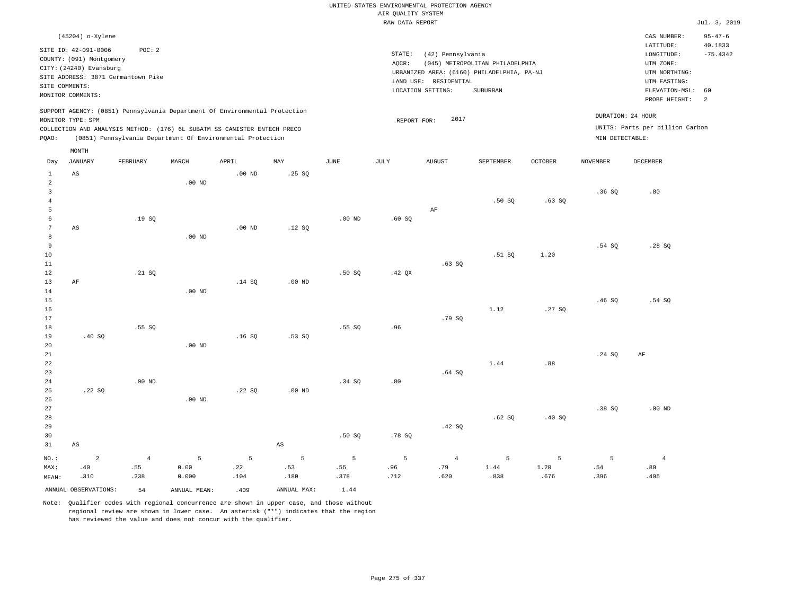|                                  |                                                                             |                                    |                   |                                                                            |                        |                   |                    | UNITED STATES ENVIRONMENTAL PROTECTION AGENCY |                                                                               |                |                 |                                                       |                       |
|----------------------------------|-----------------------------------------------------------------------------|------------------------------------|-------------------|----------------------------------------------------------------------------|------------------------|-------------------|--------------------|-----------------------------------------------|-------------------------------------------------------------------------------|----------------|-----------------|-------------------------------------------------------|-----------------------|
|                                  |                                                                             |                                    |                   |                                                                            |                        |                   | AIR QUALITY SYSTEM |                                               |                                                                               |                |                 |                                                       |                       |
|                                  |                                                                             |                                    |                   |                                                                            |                        |                   | RAW DATA REPORT    |                                               |                                                                               |                |                 |                                                       | Jul. 3, 2019          |
|                                  | (45204) o-Xylene                                                            |                                    |                   |                                                                            |                        |                   |                    |                                               |                                                                               |                |                 | CAS NUMBER:                                           | $95 - 47 - 6$         |
|                                  | SITE ID: 42-091-0006<br>COUNTY: (091) Montgomery<br>CITY: (24240) Evansburg | POC: 2                             |                   |                                                                            |                        |                   | STATE:<br>AQCR:    | (42) Pennsylvania                             | (045) METROPOLITAN PHILADELPHIA<br>URBANIZED AREA: (6160) PHILADELPHIA, PA-NJ |                |                 | LATITUDE:<br>LONGITUDE:<br>UTM ZONE:<br>UTM NORTHING: | 40.1833<br>$-75.4342$ |
|                                  |                                                                             | SITE ADDRESS: 3871 Germantown Pike |                   |                                                                            |                        |                   |                    | LAND USE: RESIDENTIAL                         |                                                                               |                |                 | UTM EASTING:                                          |                       |
|                                  | SITE COMMENTS:<br>MONITOR COMMENTS:                                         |                                    |                   |                                                                            |                        |                   |                    | LOCATION SETTING:                             | SUBURBAN                                                                      |                |                 | ELEVATION-MSL:<br>PROBE HEIGHT:                       | 60<br>2               |
|                                  | MONITOR TYPE: SPM                                                           |                                    |                   | SUPPORT AGENCY: (0851) Pennsylvania Department Of Environmental Protection |                        |                   | REPORT FOR:        | 2017                                          |                                                                               |                |                 | DURATION: 24 HOUR                                     |                       |
|                                  |                                                                             |                                    |                   | COLLECTION AND ANALYSIS METHOD: (176) 6L SUBATM SS CANISTER ENTECH PRECO   |                        |                   |                    |                                               |                                                                               |                |                 | UNITS: Parts per billion Carbon                       |                       |
| PQAO:                            |                                                                             |                                    |                   | (0851) Pennsylvania Department Of Environmental Protection                 |                        |                   |                    |                                               |                                                                               |                | MIN DETECTABLE: |                                                       |                       |
| Day                              | MONTH<br><b>JANUARY</b>                                                     | FEBRUARY                           | MARCH             | APRIL                                                                      | MAY                    | $_{\rm JUNE}$     | <b>JULY</b>        | <b>AUGUST</b>                                 | SEPTEMBER                                                                     | <b>OCTOBER</b> | <b>NOVEMBER</b> | <b>DECEMBER</b>                                       |                       |
| $\mathbf{1}$                     | AS                                                                          |                                    |                   | $.00$ ND                                                                   | .25SQ                  |                   |                    |                                               |                                                                               |                |                 |                                                       |                       |
| $\overline{a}$<br>$\overline{3}$ |                                                                             |                                    | .00 <sub>ND</sub> |                                                                            |                        |                   |                    |                                               |                                                                               |                | .36S            | .80                                                   |                       |
| $\overline{4}$                   |                                                                             |                                    |                   |                                                                            |                        |                   |                    |                                               | .50SQ                                                                         | .63SQ          |                 |                                                       |                       |
| 5                                |                                                                             |                                    |                   |                                                                            |                        |                   |                    | AF                                            |                                                                               |                |                 |                                                       |                       |
| 6                                |                                                                             | .19SQ                              |                   |                                                                            |                        | .00 <sub>ND</sub> | .60SQ              |                                               |                                                                               |                |                 |                                                       |                       |
| $\overline{7}$                   | AS                                                                          |                                    |                   | .00 <sub>ND</sub>                                                          | .12S                   |                   |                    |                                               |                                                                               |                |                 |                                                       |                       |
| 8<br>9                           |                                                                             |                                    | $.00$ ND          |                                                                            |                        |                   |                    |                                               |                                                                               |                | .54S            | .28S                                                  |                       |
| 10                               |                                                                             |                                    |                   |                                                                            |                        |                   |                    |                                               | .51 SQ                                                                        | 1.20           |                 |                                                       |                       |
| 11                               |                                                                             |                                    |                   |                                                                            |                        |                   |                    | .63SQ                                         |                                                                               |                |                 |                                                       |                       |
| 12                               |                                                                             | .21 S0                             |                   |                                                                            |                        | .50 SO            | .42 <sub>OX</sub>  |                                               |                                                                               |                |                 |                                                       |                       |
| 13                               | AF                                                                          |                                    |                   | .14SQ                                                                      | .00 <sub>ND</sub>      |                   |                    |                                               |                                                                               |                |                 |                                                       |                       |
| 14                               |                                                                             |                                    | .00 <sub>ND</sub> |                                                                            |                        |                   |                    |                                               |                                                                               |                |                 |                                                       |                       |
| $15$                             |                                                                             |                                    |                   |                                                                            |                        |                   |                    |                                               |                                                                               |                | .46SQ           | .54 SQ                                                |                       |
| 16<br>$17$                       |                                                                             |                                    |                   |                                                                            |                        |                   |                    | .79 SQ                                        | 1.12                                                                          | .27SQ          |                 |                                                       |                       |
| 18                               |                                                                             | .55SQ                              |                   |                                                                            |                        | .55SQ             | .96                |                                               |                                                                               |                |                 |                                                       |                       |
| 19                               | .40SQ                                                                       |                                    |                   | .16S                                                                       | .53SQ                  |                   |                    |                                               |                                                                               |                |                 |                                                       |                       |
| 20                               |                                                                             |                                    | $.00$ ND          |                                                                            |                        |                   |                    |                                               |                                                                               |                |                 |                                                       |                       |
| 21                               |                                                                             |                                    |                   |                                                                            |                        |                   |                    |                                               |                                                                               |                | .24 SQ          | $\rm AF$                                              |                       |
| 22                               |                                                                             |                                    |                   |                                                                            |                        |                   |                    |                                               | 1.44                                                                          | .88            |                 |                                                       |                       |
| 23<br>24                         |                                                                             | $.00$ ND                           |                   |                                                                            |                        | .34 S             | .80                | .64SQ                                         |                                                                               |                |                 |                                                       |                       |
| 25                               | .22SQ                                                                       |                                    |                   | .22SQ                                                                      | .00 <sub>ND</sub>      |                   |                    |                                               |                                                                               |                |                 |                                                       |                       |
| 26                               |                                                                             |                                    | $.00$ ND          |                                                                            |                        |                   |                    |                                               |                                                                               |                |                 |                                                       |                       |
| 27                               |                                                                             |                                    |                   |                                                                            |                        |                   |                    |                                               |                                                                               |                | .38SQ           | $.00$ ND                                              |                       |
| 28                               |                                                                             |                                    |                   |                                                                            |                        |                   |                    |                                               | .62SQ                                                                         | .40SQ          |                 |                                                       |                       |
| 29                               |                                                                             |                                    |                   |                                                                            |                        |                   |                    | .42 SQ                                        |                                                                               |                |                 |                                                       |                       |
| 30                               |                                                                             |                                    |                   |                                                                            |                        | .50S              | .78 SQ             |                                               |                                                                               |                |                 |                                                       |                       |
| 31                               | $\mathbb{A}\mathbb{S}$                                                      |                                    |                   |                                                                            | $\mathbb{A}\mathbb{S}$ |                   |                    |                                               |                                                                               |                |                 |                                                       |                       |
| NO.:                             | $\overline{a}$                                                              | $\overline{4}$                     | $\overline{5}$    | 5                                                                          | $\overline{5}$         | 5                 | 5                  | $\overline{4}$                                | 5                                                                             | 5              | $\overline{5}$  | $\overline{4}$                                        |                       |
| MAX:                             | .40                                                                         | .55                                | 0.00              | .22                                                                        | .53                    | .55               | .96                | .79                                           | 1.44                                                                          | 1.20           | .54             | .80                                                   |                       |
| MEAN:                            | .310                                                                        | .238                               | 0.000             | .104                                                                       | .180                   | .378              | .712               | .620                                          | .838                                                                          | .676           | .396            | .405                                                  |                       |
|                                  | ANNUAL OBSERVATIONS:                                                        | 54                                 | ANNUAL, MEAN:     | .409                                                                       | ANNUAL MAX:            | 1.44              |                    |                                               |                                                                               |                |                 |                                                       |                       |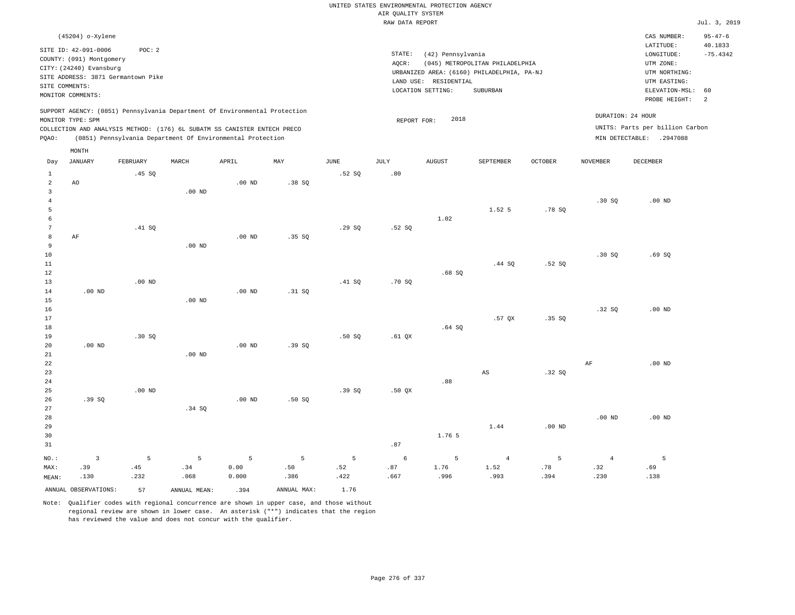|                                  |                                                     |                                    |                                                                            |                   |             |        |                    | UNITED STATES ENVIRONMENTAL PROTECTION AGENCY |                                            |                   |                |                                 |                          |
|----------------------------------|-----------------------------------------------------|------------------------------------|----------------------------------------------------------------------------|-------------------|-------------|--------|--------------------|-----------------------------------------------|--------------------------------------------|-------------------|----------------|---------------------------------|--------------------------|
|                                  |                                                     |                                    |                                                                            |                   |             |        | AIR QUALITY SYSTEM |                                               |                                            |                   |                |                                 |                          |
|                                  |                                                     |                                    |                                                                            |                   |             |        | RAW DATA REPORT    |                                               |                                            |                   |                |                                 | Jul. 3, 2019             |
|                                  | (45204) o-Xylene                                    |                                    |                                                                            |                   |             |        |                    |                                               |                                            |                   |                | CAS NUMBER:<br>LATITUDE:        | $95 - 47 - 6$<br>40.1833 |
|                                  | SITE ID: 42-091-0006                                | POC: 2                             |                                                                            |                   |             |        | STATE:             | (42) Pennsylvania                             |                                            |                   |                | LONGITUDE:                      | $-75.4342$               |
|                                  | COUNTY: (091) Montgomery<br>CITY: (24240) Evansburg |                                    |                                                                            |                   |             |        | AQCR:              |                                               | (045) METROPOLITAN PHILADELPHIA            |                   |                | UTM ZONE:                       |                          |
|                                  |                                                     | SITE ADDRESS: 3871 Germantown Pike |                                                                            |                   |             |        |                    |                                               | URBANIZED AREA: (6160) PHILADELPHIA, PA-NJ |                   |                | UTM NORTHING:                   |                          |
|                                  | SITE COMMENTS:                                      |                                    |                                                                            |                   |             |        |                    | LAND USE: RESIDENTIAL                         |                                            |                   |                | UTM EASTING:                    |                          |
|                                  | MONITOR COMMENTS:                                   |                                    |                                                                            |                   |             |        |                    | LOCATION SETTING:                             | SUBURBAN                                   |                   |                | ELEVATION-MSL:<br>PROBE HEIGHT: | 60<br>2                  |
|                                  | MONITOR TYPE: SPM                                   |                                    | SUPPORT AGENCY: (0851) Pennsylvania Department Of Environmental Protection |                   |             |        |                    | 2018                                          |                                            |                   |                | DURATION: 24 HOUR               |                          |
|                                  |                                                     |                                    | COLLECTION AND ANALYSIS METHOD: (176) 6L SUBATM SS CANISTER ENTECH PRECO   |                   |             |        | REPORT FOR:        |                                               |                                            |                   |                | UNITS: Parts per billion Carbon |                          |
| PQAO:                            |                                                     |                                    | (0851) Pennsylvania Department Of Environmental Protection                 |                   |             |        |                    |                                               |                                            |                   |                | MIN DETECTABLE: .2947088        |                          |
|                                  | MONTH                                               |                                    |                                                                            |                   |             |        |                    |                                               |                                            |                   |                |                                 |                          |
| Day                              | JANUARY                                             | FEBRUARY                           | MARCH                                                                      | APRIL             | MAY         | JUNE   | JULY               | <b>AUGUST</b>                                 | SEPTEMBER                                  | <b>OCTOBER</b>    | NOVEMBER       | DECEMBER                        |                          |
| $\mathbf{1}$                     |                                                     | .45 SQ                             |                                                                            |                   |             | .52S   | .80                |                                               |                                            |                   |                |                                 |                          |
| $\overline{a}$<br>$\overline{3}$ | AO                                                  |                                    | $.00$ ND                                                                   | .00 <sub>ND</sub> | .38SQ       |        |                    |                                               |                                            |                   |                |                                 |                          |
| $\overline{4}$                   |                                                     |                                    |                                                                            |                   |             |        |                    |                                               |                                            |                   | .30S           | $.00$ ND                        |                          |
| 5                                |                                                     |                                    |                                                                            |                   |             |        |                    |                                               | 1.52 5                                     | .78S              |                |                                 |                          |
| 6                                |                                                     |                                    |                                                                            |                   |             |        |                    | 1.02                                          |                                            |                   |                |                                 |                          |
| $7\phantom{.0}$                  |                                                     | .41 SQ                             |                                                                            |                   |             | .29SQ  | .52S               |                                               |                                            |                   |                |                                 |                          |
| 8                                | AF                                                  |                                    |                                                                            | $.00$ ND          | .35S        |        |                    |                                               |                                            |                   |                |                                 |                          |
| 9                                |                                                     |                                    | $.00$ ND                                                                   |                   |             |        |                    |                                               |                                            |                   |                |                                 |                          |
| 10                               |                                                     |                                    |                                                                            |                   |             |        |                    |                                               |                                            |                   | .30S           | .69SQ                           |                          |
| 11<br>12                         |                                                     |                                    |                                                                            |                   |             |        |                    |                                               | .44 S0                                     | .52S              |                |                                 |                          |
| 13                               |                                                     | .00 <sub>ND</sub>                  |                                                                            |                   |             | .41 SQ | .70SQ              | .68S                                          |                                            |                   |                |                                 |                          |
| 14                               | .00 <sub>ND</sub>                                   |                                    |                                                                            | .00 <sub>ND</sub> | .31 SQ      |        |                    |                                               |                                            |                   |                |                                 |                          |
| 15                               |                                                     |                                    | $.00$ ND                                                                   |                   |             |        |                    |                                               |                                            |                   |                |                                 |                          |
| 16                               |                                                     |                                    |                                                                            |                   |             |        |                    |                                               |                                            |                   | .32S           | $.00$ ND                        |                          |
| 17                               |                                                     |                                    |                                                                            |                   |             |        |                    |                                               | .57 OX                                     | .35 S             |                |                                 |                          |
| $18\,$                           |                                                     |                                    |                                                                            |                   |             |        |                    | .64SQ                                         |                                            |                   |                |                                 |                          |
| 19                               |                                                     | .30S                               |                                                                            |                   |             | .50S   | $.61$ QX           |                                               |                                            |                   |                |                                 |                          |
| 20                               | $.00$ ND                                            |                                    |                                                                            | $.00$ ND          | .39SQ       |        |                    |                                               |                                            |                   |                |                                 |                          |
| 21<br>22                         |                                                     |                                    | $.00$ ND                                                                   |                   |             |        |                    |                                               |                                            |                   | AF             | $.00$ ND                        |                          |
| 23                               |                                                     |                                    |                                                                            |                   |             |        |                    |                                               | AS                                         | .32S              |                |                                 |                          |
| $2\sqrt{4}$                      |                                                     |                                    |                                                                            |                   |             |        |                    | .88                                           |                                            |                   |                |                                 |                          |
| 25                               |                                                     | $.00$ ND                           |                                                                            |                   |             | .39SQ  | .50 QX             |                                               |                                            |                   |                |                                 |                          |
| 26                               | .39SQ                                               |                                    |                                                                            | .00 <sub>ND</sub> | .50SQ       |        |                    |                                               |                                            |                   |                |                                 |                          |
| 27                               |                                                     |                                    | .34 SQ                                                                     |                   |             |        |                    |                                               |                                            |                   |                |                                 |                          |
| 28                               |                                                     |                                    |                                                                            |                   |             |        |                    |                                               |                                            |                   | $.00$ ND       | .00 <sub>ND</sub>               |                          |
| 29                               |                                                     |                                    |                                                                            |                   |             |        |                    |                                               | 1.44                                       | .00 <sub>ND</sub> |                |                                 |                          |
| 30                               |                                                     |                                    |                                                                            |                   |             |        |                    | 1.76 5                                        |                                            |                   |                |                                 |                          |
| 31                               |                                                     |                                    |                                                                            |                   |             |        | .87                |                                               |                                            |                   |                |                                 |                          |
| NO.:                             | $\overline{3}$                                      | 5                                  | 5                                                                          | 5                 | 5           | 5      | 6                  | 5                                             | $\overline{4}$                             | 5                 | $\overline{4}$ | 5                               |                          |
| MAX:                             | .39                                                 | .45                                | .34                                                                        | 0.00              | .50         | .52    | .87                | 1.76                                          | 1.52                                       | .78               | .32            | .69                             |                          |
| MEAN:                            | .130                                                | .232                               | .068                                                                       | 0.000             | .386        | .422   | .667               | .996                                          | .993                                       | .394              | .230           | .138                            |                          |
|                                  | ANNUAL OBSERVATIONS:                                | 57                                 | ANNUAL MEAN:                                                               | .394              | ANNUAL MAX: | 1.76   |                    |                                               |                                            |                   |                |                                 |                          |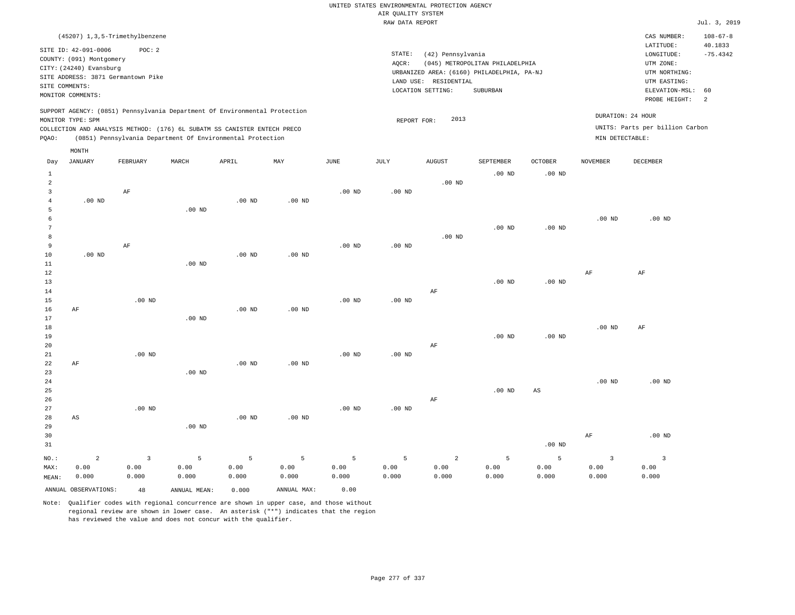|       |                          | (45207) 1,3,5-Trimethylbenzene     |       |                                                                          |                                                                            |          |           |                                            |                                 |                |                 | CAS NUMBER:                     | $108 - 67 - 8$ |
|-------|--------------------------|------------------------------------|-------|--------------------------------------------------------------------------|----------------------------------------------------------------------------|----------|-----------|--------------------------------------------|---------------------------------|----------------|-----------------|---------------------------------|----------------|
|       | SITE ID: 42-091-0006     | POC:2                              |       |                                                                          |                                                                            |          |           |                                            |                                 |                |                 | LATITUDE:                       | 40.1833        |
|       |                          |                                    |       |                                                                          |                                                                            |          | STATE:    | (42) Pennsylvania                          |                                 |                |                 | LONGITUDE:                      | $-75.4342$     |
|       | COUNTY: (091) Montgomery |                                    |       |                                                                          |                                                                            |          | AQCR:     |                                            | (045) METROPOLITAN PHILADELPHIA |                |                 | UTM ZONE:                       |                |
|       | CITY: (24240) Evansburg  |                                    |       |                                                                          |                                                                            |          |           | URBANIZED AREA: (6160) PHILADELPHIA, PA-NJ |                                 |                |                 | UTM NORTHING:                   |                |
|       |                          | SITE ADDRESS: 3871 Germantown Pike |       |                                                                          |                                                                            |          | LAND USE: | RESIDENTIAL                                |                                 |                |                 | UTM EASTING:                    |                |
|       | SITE COMMENTS:           |                                    |       |                                                                          |                                                                            |          |           | LOCATION SETTING:                          | SUBURBAN                        |                |                 | ELEVATION-MSL:                  | - 60           |
|       | MONITOR COMMENTS:        |                                    |       |                                                                          |                                                                            |          |           |                                            |                                 |                |                 | PROBE HEIGHT:                   | -2             |
|       |                          |                                    |       |                                                                          | SUPPORT AGENCY: (0851) Pennsylvania Department Of Environmental Protection |          |           |                                            |                                 |                |                 |                                 |                |
|       | MONITOR TYPE: SPM        |                                    |       |                                                                          |                                                                            |          |           | 2013<br>REPORT FOR:                        |                                 |                |                 | DURATION: 24 HOUR               |                |
|       |                          |                                    |       | COLLECTION AND ANALYSIS METHOD: (176) 6L SUBATM SS CANISTER ENTECH PRECO |                                                                            |          |           |                                            |                                 |                |                 | UNITS: Parts per billion Carbon |                |
| POAO: |                          |                                    |       | (0851) Pennsylvania Department Of Environmental Protection               |                                                                            |          |           |                                            |                                 |                |                 | MIN DETECTABLE:                 |                |
|       |                          |                                    |       |                                                                          |                                                                            |          |           |                                            |                                 |                |                 |                                 |                |
|       | MONTH                    |                                    |       |                                                                          |                                                                            |          |           |                                            |                                 |                |                 |                                 |                |
| Day   | JANUARY                  | FEBRUARY                           | MARCH | APRIL                                                                    | MAY                                                                        | JUNE     | JULY      | <b>AUGUST</b>                              | SEPTEMBER                       | <b>OCTOBER</b> | <b>NOVEMBER</b> | DECEMBER                        |                |
|       |                          |                                    |       |                                                                          |                                                                            |          |           |                                            | $.00$ ND                        | $.00$ ND       |                 |                                 |                |
| 2     |                          |                                    |       |                                                                          |                                                                            |          |           | $.00$ ND                                   |                                 |                |                 |                                 |                |
|       |                          | ΑF                                 |       |                                                                          |                                                                            | $.00$ ND | $.00$ ND  |                                            |                                 |                |                 |                                 |                |

| 4      | $.00$ ND |          | $.00$ ND | $.00$ ND |          |          |          |          |          |          |          |
|--------|----------|----------|----------|----------|----------|----------|----------|----------|----------|----------|----------|
|        |          | .00 $ND$ |          |          |          |          |          |          |          |          |          |
| 6      |          |          |          |          |          |          |          |          |          | $.00$ ND | $.00$ ND |
| $\sim$ |          |          |          |          |          |          |          | $.00$ ND | $.00$ ND |          |          |
| 8      |          |          |          |          |          |          | $.00$ ND |          |          |          |          |
| 9      | AF       |          |          |          | $.00$ ND | $.00$ ND |          |          |          |          |          |
| 10     | $.00$ ND |          | $.00$ ND | $.00$ ND |          |          |          |          |          |          |          |

| 12          |    |          |          |          |          |                   |          |    |          |          | AF       | AF       |
|-------------|----|----------|----------|----------|----------|-------------------|----------|----|----------|----------|----------|----------|
| 13          |    |          |          |          |          |                   |          |    | $.00$ ND | $.00$ ND |          |          |
| $14\,$      |    |          |          |          |          |                   |          | AF |          |          |          |          |
| 15          |    | $.00$ ND |          |          |          | $.00$ ND          | $.00$ ND |    |          |          |          |          |
| 16          | AF |          |          | $.00$ ND | $.00$ ND |                   |          |    |          |          |          |          |
| 17          |    |          | $.00$ ND |          |          |                   |          |    |          |          |          |          |
| 18          |    |          |          |          |          |                   |          |    |          |          | $.00$ ND | AF       |
| 19          |    |          |          |          |          |                   |          |    | $.00$ ND | $.00$ ND |          |          |
| $20\,$      |    |          |          |          |          |                   |          | AF |          |          |          |          |
| $21\,$      |    | $.00$ ND |          |          |          | $.00$ ND          | $.00$ ND |    |          |          |          |          |
| 22          | AF |          |          | $.00$ ND | $.00$ ND |                   |          |    |          |          |          |          |
| 23          |    |          | $.00$ ND |          |          |                   |          |    |          |          |          |          |
| $2\sqrt{4}$ |    |          |          |          |          |                   |          |    |          |          | $.00$ ND | $.00$ ND |
| $25\,$      |    |          |          |          |          |                   |          |    | $.00$ ND | AS       |          |          |
| 26          |    |          |          |          |          |                   |          | AF |          |          |          |          |
| 27          |    | $.00$ ND |          |          |          | .00 <sub>ND</sub> | $.00$ ND |    |          |          |          |          |

| 28    | AS    |       |          | $.00$ ND | $.00$ ND |       |       |          |       |          |       |          |
|-------|-------|-------|----------|----------|----------|-------|-------|----------|-------|----------|-------|----------|
| 29    |       |       | $.00$ ND |          |          |       |       |          |       |          |       |          |
| 30    |       |       |          |          |          |       |       |          |       |          | AF    | $.00$ ND |
| 31    |       |       |          |          |          |       |       |          |       | $.00$ ND |       |          |
| NO.:  | 2     |       | -5       | -5       |          | -5    | -5    | $\sim$ 2 | 5     | 5        |       |          |
| MAX:  | 0.00  | 0.00  | 0.00     | 0.00     | 0.00     | 0.00  | 0.00  | 0.00     | 0.00  | 0.00     | 0.00  | 0.00     |
| MEAN: | 0.000 | 0.000 | 0.000    | 0.000    | 0.000    | 0.000 | 0.000 | 0.000    | 0.000 | 0.000    | 0.000 | 0.000    |

ANNUAL OBSERVATIONS: 48 ANNUAL MEAN: 0.000 ANNUAL MAX: 0.00

.00 ND

 3 4

11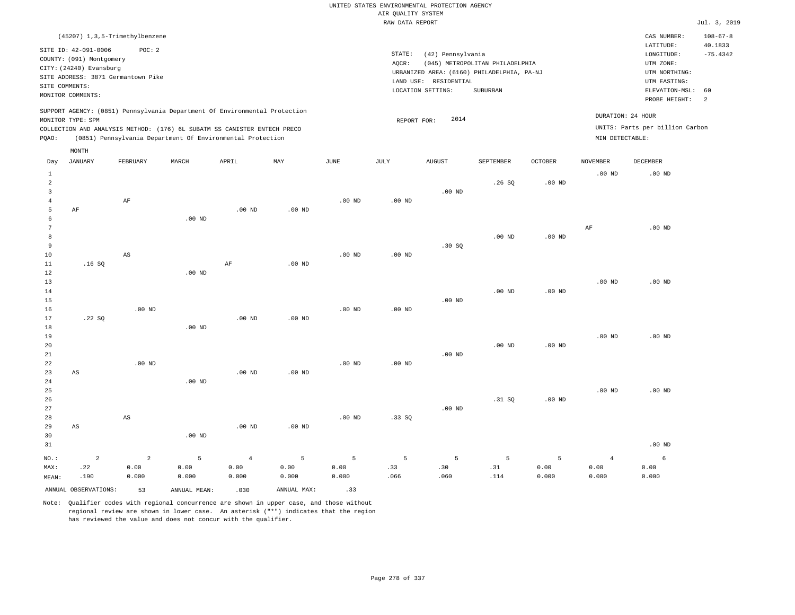| (45207) 1,3,5-Trimethylbenzene                                                                                                                                                                                                                     |                                                                                                                                                                                 | CAS NUMBER:                                                                                                 | $108 - 67 - 8$                    |
|----------------------------------------------------------------------------------------------------------------------------------------------------------------------------------------------------------------------------------------------------|---------------------------------------------------------------------------------------------------------------------------------------------------------------------------------|-------------------------------------------------------------------------------------------------------------|-----------------------------------|
| SITE ID: 42-091-0006<br>POC:2<br>COUNTY: (091) Montgomery<br>CITY: (24240) Evansburg<br>SITE ADDRESS: 3871 Germantown Pike<br>SITE COMMENTS:<br>MONITOR COMMENTS:                                                                                  | STATE:<br>(42) Pennsylvania<br>(045) METROPOLITAN PHILADELPHIA<br>AOCR:<br>URBANIZED AREA: (6160) PHILADELPHIA, PA-NJ<br>LAND USE: RESIDENTIAL<br>LOCATION SETTING:<br>SUBURBAN | LATITUDE:<br>LONGITUDE:<br>UTM ZONE:<br>UTM NORTHING:<br>UTM EASTING:<br>ELEVATION-MSL: 60<br>PROBE HEIGHT: | 40.1833<br>$-75.4342$<br>$\sim$ 2 |
| SUPPORT AGENCY: (0851) Pennsylvania Department Of Environmental Protection<br>MONITOR TYPE: SPM<br>COLLECTION AND ANALYSIS METHOD: (176) 6L SUBATM SS CANISTER ENTECH PRECO<br>(0851) Pennsylvania Department Of Environmental Protection<br>POAO: | DURATION: 24 HOUR<br>2014<br>REPORT FOR:<br>MIN DETECTABLE:                                                                                                                     | UNITS: Parts per billion Carbon                                                                             |                                   |

|                                     | MONTH                     |                             |                    |                                 |                    |                    |                   |                  |                  |                    |                                 |                    |
|-------------------------------------|---------------------------|-----------------------------|--------------------|---------------------------------|--------------------|--------------------|-------------------|------------------|------------------|--------------------|---------------------------------|--------------------|
| Day                                 | <b>JANUARY</b>            | FEBRUARY                    | MARCH              | APRIL                           | MAY                | $_{\rm JUNE}$      | JULY              | <b>AUGUST</b>    | SEPTEMBER        | OCTOBER            | NOVEMBER                        | DECEMBER           |
| $\mathbf{1}$<br>$\overline{a}$<br>3 |                           |                             |                    |                                 |                    |                    |                   | $.00$ ND         | .26SQ            | .00 <sub>ND</sub>  | $.00$ ND                        | $.00$ ND           |
| $\overline{4}$<br>5<br>6<br>7       | $\rm AF$                  | $\rm AF$                    | $.00$ ND           | .00 <sub>ND</sub>               | $.00$ ND           | .00 <sub>ND</sub>  | .00 <sub>ND</sub> |                  |                  |                    | $\rm{AF}$                       | $.00$ ND           |
| 8<br>9<br>10                        |                           | $\mathbb{A}\mathbb{S}$      |                    |                                 |                    | .00 <sub>ND</sub>  | $.00$ ND          | .30SQ            | $.00$ ND         | $.00$ ND           |                                 |                    |
| $11\,$<br>12<br>13<br>14            | .16SQ                     |                             | $.00$ ND           | $\rm AF$                        | $.00$ ND           |                    |                   |                  | $.00$ ND         | $.00$ ND           | $.00$ ND                        | $.00$ ND           |
| 15<br>16<br>17                      | .22SQ                     | $.00$ ND                    |                    | .00 <sub>ND</sub>               | $.00$ ND           | $.00$ ND           | .00 <sub>ND</sub> | $.00$ ND         |                  |                    |                                 |                    |
| 18<br>19<br>20<br>21                |                           |                             | $.00$ ND           |                                 |                    |                    |                   | $.00$ ND         | $.00$ ND         | $.00$ ND           | $.00$ ND                        | $.00$ ND           |
| 22<br>23<br>$2\sqrt{4}$             | $\mathbb{A}\mathbb{S}$    | $.00$ ND                    | .00 $ND$           | .00 <sub>ND</sub>               | $.00$ ND           | $.00$ ND           | .00 <sub>ND</sub> |                  |                  |                    |                                 |                    |
| 25<br>26<br>27<br>28                |                           | $\mathbb{A}\mathbb{S}$      |                    |                                 |                    | .00 <sub>ND</sub>  | .33SQ             | $.00$ ND         | .31 SQ           | $.00$ ND           | $.00$ ND                        | $.00$ ND           |
| 29<br>30<br>31                      | $\mathbb{A}\mathbb{S}$    |                             | $.00$ ND           | .00 <sub>ND</sub>               | $.00$ ND           |                    |                   |                  |                  |                    |                                 | $.00$ ND           |
| $NO.$ :<br>MAX:<br>MEAN:            | $\sqrt{2}$<br>.22<br>.190 | $\sqrt{2}$<br>0.00<br>0.000 | 5<br>0.00<br>0.000 | $\overline{4}$<br>0.00<br>0.000 | 5<br>0.00<br>0.000 | 5<br>0.00<br>0.000 | 5<br>.33<br>.066  | 5<br>.30<br>.060 | 5<br>.31<br>.114 | 5<br>0.00<br>0.000 | $\overline{4}$<br>0.00<br>0.000 | 6<br>0.00<br>0.000 |
|                                     | ANNUAL OBSERVATIONS:      | 53                          | ANNUAL MEAN:       | .030                            | ANNUAL MAX:        | .33                |                   |                  |                  |                    |                                 |                    |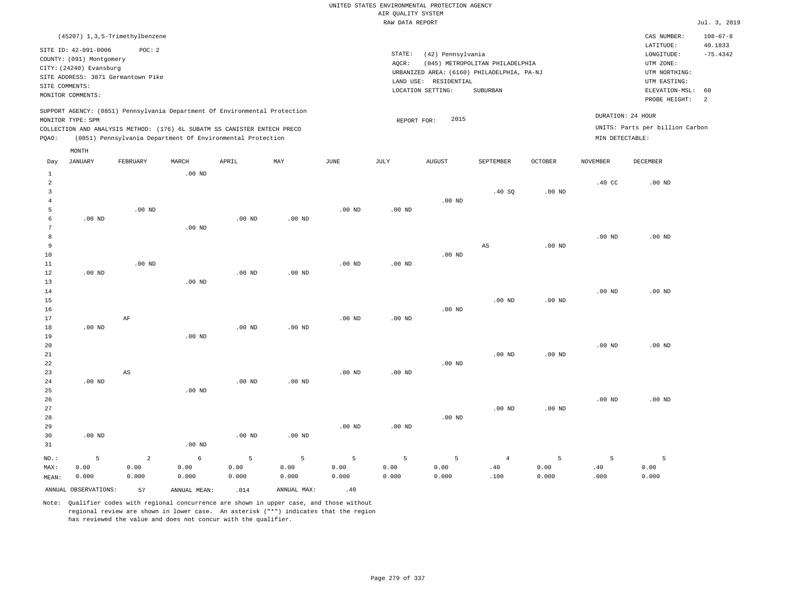## UNITED STATES ENVIRONMENTAL PROTECTION AGENCY AIR QUALITY SYSTEM

|       | RAW DATA REPORT                                                                                                                                                                                                                           |                                    |          |          |                   |                   |           |                                            |                                 |                |                                      |                                 | Jul. 3, 2019   |
|-------|-------------------------------------------------------------------------------------------------------------------------------------------------------------------------------------------------------------------------------------------|------------------------------------|----------|----------|-------------------|-------------------|-----------|--------------------------------------------|---------------------------------|----------------|--------------------------------------|---------------------------------|----------------|
|       |                                                                                                                                                                                                                                           | (45207) 1, 3, 5-Trimethylbenzene   |          |          |                   |                   |           |                                            |                                 |                |                                      | CAS NUMBER:                     | $108 - 67 - 8$ |
|       | SITE ID: 42-091-0006                                                                                                                                                                                                                      | POC: 2                             |          |          |                   |                   |           |                                            |                                 |                |                                      | LATITUDE:                       | 40.1833        |
|       | COUNTY: (091) Montgomery                                                                                                                                                                                                                  |                                    |          |          |                   |                   | STATE:    | (42) Pennsylvania                          |                                 |                |                                      | LONGITUDE:                      | $-75.4342$     |
|       | CITY: (24240) Evansburg                                                                                                                                                                                                                   |                                    |          |          |                   |                   | AQCR:     |                                            | (045) METROPOLITAN PHILADELPHIA |                |                                      | UTM ZONE:                       |                |
|       |                                                                                                                                                                                                                                           | SITE ADDRESS: 3871 Germantown Pike |          |          |                   |                   |           | URBANIZED AREA: (6160) PHILADELPHIA, PA-NJ |                                 |                |                                      | UTM NORTHING:                   |                |
|       | SITE COMMENTS:                                                                                                                                                                                                                            |                                    |          |          |                   |                   | LAND USE: | RESIDENTIAL                                |                                 |                |                                      | UTM EASTING:                    |                |
|       |                                                                                                                                                                                                                                           |                                    |          |          |                   |                   |           | LOCATION SETTING:                          | SUBURBAN                        |                |                                      | ELEVATION-MSL:                  | 60             |
|       | MONITOR COMMENTS:                                                                                                                                                                                                                         |                                    |          |          |                   |                   |           |                                            |                                 |                |                                      | PROBE HEIGHT:                   | $\overline{2}$ |
| POAO: | SUPPORT AGENCY: (0851) Pennsylvania Department Of Environmental Protection<br>MONITOR TYPE: SPM<br>COLLECTION AND ANALYSIS METHOD: (176) 6L SUBATM SS CANISTER ENTECH PRECO<br>(0851) Pennsylvania Department Of Environmental Protection |                                    |          |          |                   |                   |           | 2015<br>REPORT FOR:                        |                                 |                | DURATION: 24 HOUR<br>MIN DETECTABLE: | UNITS: Parts per billion Carbon |                |
|       | MONTH                                                                                                                                                                                                                                     |                                    |          |          |                   |                   |           |                                            |                                 |                |                                      |                                 |                |
| Day   | <b>JANUARY</b>                                                                                                                                                                                                                            | FEBRUARY                           | MARCH    | APRIL    | MAY               | JUNE              | JULY      | <b>AUGUST</b>                              | SEPTEMBER                       | <b>OCTOBER</b> | NOVEMBER                             | DECEMBER                        |                |
|       |                                                                                                                                                                                                                                           |                                    | $.00$ ND |          |                   |                   |           |                                            |                                 |                |                                      |                                 |                |
| 2     |                                                                                                                                                                                                                                           |                                    |          |          |                   |                   |           |                                            |                                 |                | .40 <sub>C</sub>                     | $.00$ ND                        |                |
|       |                                                                                                                                                                                                                                           |                                    |          |          |                   |                   |           |                                            | .40 SQ                          | $.00$ ND       |                                      |                                 |                |
|       |                                                                                                                                                                                                                                           |                                    |          |          |                   |                   |           | $.00$ ND                                   |                                 |                |                                      |                                 |                |
|       |                                                                                                                                                                                                                                           | .00 <sub>ND</sub>                  |          |          |                   | .00 <sub>ND</sub> | $.00$ ND  |                                            |                                 |                |                                      |                                 |                |
| 6     | $.00$ ND                                                                                                                                                                                                                                  |                                    |          | $.00$ ND | .00 <sub>ND</sub> |                   |           |                                            |                                 |                |                                      |                                 |                |

| 7      |          |          | $.00$ ND |          |          |          |          |          |          |          |          |          |
|--------|----------|----------|----------|----------|----------|----------|----------|----------|----------|----------|----------|----------|
| 8      |          |          |          |          |          |          |          |          |          |          | $.00$ ND | $.00$ ND |
| 9      |          |          |          |          |          |          |          |          | AS       | $.00$ ND |          |          |
| 10     |          |          |          |          |          |          |          | $.00$ ND |          |          |          |          |
| 11     |          | $.00$ ND |          |          |          | $.00$ ND | $.00$ ND |          |          |          |          |          |
| 12     | $.00$ ND |          |          | $.00$ ND | $.00$ ND |          |          |          |          |          |          |          |
| 13     |          |          | $.00$ ND |          |          |          |          |          |          |          |          |          |
| $14\,$ |          |          |          |          |          |          |          |          |          |          | $.00$ ND | $.00$ ND |
| $15\,$ |          |          |          |          |          |          |          |          | $.00$ ND | $.00$ ND |          |          |
| $16\,$ |          |          |          |          |          |          |          | $.00$ ND |          |          |          |          |
| 17     |          | AF       |          |          |          | $.00$ ND | $.00$ ND |          |          |          |          |          |
| 18     | $.00$ ND |          |          | $.00$ ND | $.00$ ND |          |          |          |          |          |          |          |
| 19     |          |          | $.00$ ND |          |          |          |          |          |          |          |          |          |

| 21 |          |          |          |          |          |          |          | $.00$ ND | $.00$ ND |          |          |
|----|----------|----------|----------|----------|----------|----------|----------|----------|----------|----------|----------|
| 22 |          |          |          |          |          |          | $.00$ ND |          |          |          |          |
| 23 | AS       |          |          |          | $.00$ ND | $.00$ ND |          |          |          |          |          |
| 24 | $.00$ ND |          | $.00$ ND | $.00$ ND |          |          |          |          |          |          |          |
| 25 |          | $.00$ ND |          |          |          |          |          |          |          |          |          |
| 26 |          |          |          |          |          |          |          |          |          | $.00$ ND | $.00$ ND |
| 27 |          |          |          |          |          |          |          | $.00$ ND | $.00$ ND |          |          |
| 28 |          |          |          |          |          |          | $.00$ ND |          |          |          |          |

| 29    |                      |       |              |          |             | $.00$ ND | .00 <sub>ND</sub> |       |      |       |      |       |
|-------|----------------------|-------|--------------|----------|-------------|----------|-------------------|-------|------|-------|------|-------|
| 30    | $.00$ ND             |       |              | $.00$ ND | $.00$ ND    |          |                   |       |      |       |      |       |
| 31    |                      |       | $.00$ ND     |          |             |          |                   |       |      |       |      |       |
| NO.:  |                      |       | 6            |          |             |          |                   |       |      |       |      |       |
| MAX:  | 0.00                 | 0.00  | 0.00         | 0.00     | 0.00        | 0.00     | 0.00              | 0.00  | .40  | 0.00  | .40  | 0.00  |
| MEAN: | 0.000                | 0.000 | 0.000        | 0.000    | 0.000       | 0.000    | 0.000             | 0.000 | .100 | 0.000 | .080 | 0.000 |
|       | ANNUAL OBSERVATIONS: | 57    | ANNUAL MEAN: | .014     | ANNUAL MAX: | .40      |                   |       |      |       |      |       |

Note: Qualifier codes with regional concurrence are shown in upper case, and those without regional review are shown in lower case. An asterisk ("\*") indicates that the region has reviewed the value and does not concur with the qualifier.

20

.00 ND

.00 ND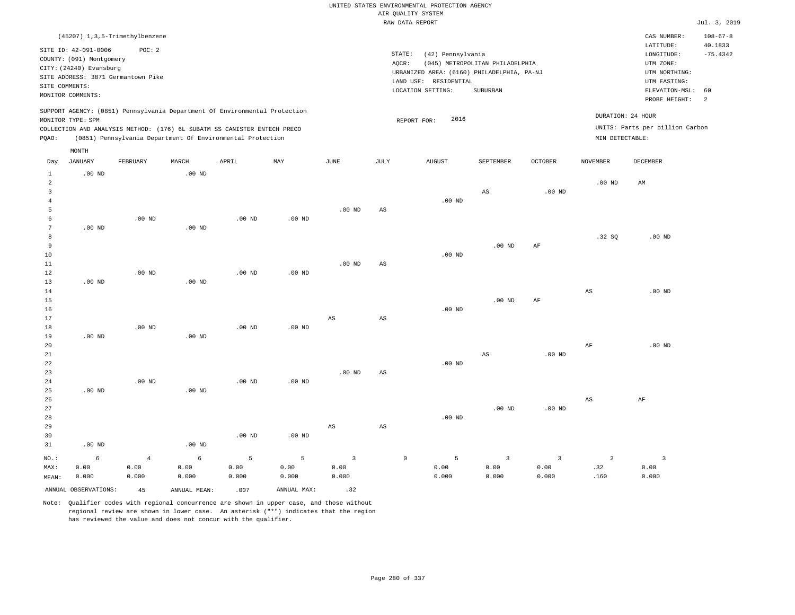|                      |                          |                                    |          |                                                                            |                   |                        |                        | ----- ------ ---- ----                              |                                 |                   |                   |                                 | .              |
|----------------------|--------------------------|------------------------------------|----------|----------------------------------------------------------------------------|-------------------|------------------------|------------------------|-----------------------------------------------------|---------------------------------|-------------------|-------------------|---------------------------------|----------------|
|                      |                          | (45207) 1, 3, 5-Trimethylbenzene   |          |                                                                            |                   |                        |                        |                                                     |                                 |                   |                   | CAS NUMBER:                     | $108 - 67 - 8$ |
|                      | SITE ID: 42-091-0006     | POC: 2                             |          |                                                                            |                   |                        |                        |                                                     |                                 |                   |                   | LATITUDE:                       | 40.1833        |
|                      | COUNTY: (091) Montgomery |                                    |          |                                                                            |                   |                        |                        | STATE:<br>(42) Pennsylvania                         |                                 |                   |                   | LONGITUDE:                      | $-75.4342$     |
|                      | CITY: (24240) Evansburg  |                                    |          |                                                                            |                   |                        |                        | AQCR:<br>URBANIZED AREA: (6160) PHILADELPHIA, PA-NJ | (045) METROPOLITAN PHILADELPHIA |                   |                   | UTM ZONE:<br>UTM NORTHING:      |                |
|                      |                          | SITE ADDRESS: 3871 Germantown Pike |          |                                                                            |                   |                        |                        | LAND USE: RESIDENTIAL                               |                                 |                   |                   | UTM EASTING:                    |                |
|                      | SITE COMMENTS:           |                                    |          |                                                                            |                   |                        |                        | LOCATION SETTING:                                   | SUBURBAN                        |                   |                   | ELEVATION-MSL:                  | 60             |
|                      | MONITOR COMMENTS:        |                                    |          |                                                                            |                   |                        |                        |                                                     |                                 |                   |                   | PROBE HEIGHT:                   | 2              |
|                      |                          |                                    |          | SUPPORT AGENCY: (0851) Pennsylvania Department Of Environmental Protection |                   |                        |                        |                                                     |                                 |                   | DURATION: 24 HOUR |                                 |                |
|                      | MONITOR TYPE: SPM        |                                    |          |                                                                            |                   |                        |                        | 2016<br>REPORT FOR:                                 |                                 |                   |                   |                                 |                |
|                      |                          |                                    |          | COLLECTION AND ANALYSIS METHOD: (176) 6L SUBATM SS CANISTER ENTECH PRECO   |                   |                        |                        |                                                     |                                 |                   |                   | UNITS: Parts per billion Carbon |                |
| PQAO:                |                          |                                    |          | (0851) Pennsylvania Department Of Environmental Protection                 |                   |                        |                        |                                                     |                                 |                   | MIN DETECTABLE:   |                                 |                |
|                      | MONTH                    |                                    |          |                                                                            |                   |                        |                        |                                                     |                                 |                   |                   |                                 |                |
| Day                  | <b>JANUARY</b>           | <b>FEBRUARY</b>                    | MARCH    | APRIL                                                                      | MAY               | $_{\rm JUNE}$          | <b>JULY</b>            | ${\tt AUGUST}$                                      | SEPTEMBER                       | OCTOBER           | <b>NOVEMBER</b>   | DECEMBER                        |                |
| $\mathbf{1}$         | $.00$ ND                 |                                    | $.00$ ND |                                                                            |                   |                        |                        |                                                     |                                 |                   |                   |                                 |                |
| $\overline{a}$       |                          |                                    |          |                                                                            |                   |                        |                        |                                                     |                                 |                   | .00 <sub>ND</sub> | AM                              |                |
| $\overline{3}$       |                          |                                    |          |                                                                            |                   |                        |                        |                                                     | $\mathbb{A}\mathbb{S}$          | .00 <sub>ND</sub> |                   |                                 |                |
| $\overline{4}$       |                          |                                    |          |                                                                            |                   |                        |                        | $.00$ ND                                            |                                 |                   |                   |                                 |                |
| 5                    |                          |                                    |          |                                                                            |                   | $.00$ ND               | $\mathbb{A}\mathbb{S}$ |                                                     |                                 |                   |                   |                                 |                |
| 6<br>$7\phantom{.0}$ | $.00$ ND                 | $.00$ ND                           | $.00$ ND | $.00$ ND                                                                   | $.00$ ND          |                        |                        |                                                     |                                 |                   |                   |                                 |                |
| 8                    |                          |                                    |          |                                                                            |                   |                        |                        |                                                     |                                 |                   | .32SQ             | $.00$ ND                        |                |
| 9                    |                          |                                    |          |                                                                            |                   |                        |                        |                                                     | $.00$ ND                        | AF                |                   |                                 |                |
| 10                   |                          |                                    |          |                                                                            |                   |                        |                        | $.00$ ND                                            |                                 |                   |                   |                                 |                |
| 11                   |                          |                                    |          |                                                                            |                   | $.00$ ND               | AS                     |                                                     |                                 |                   |                   |                                 |                |
| 12                   |                          | .00 <sub>ND</sub>                  |          | .00 <sub>ND</sub>                                                          | $.00$ ND          |                        |                        |                                                     |                                 |                   |                   |                                 |                |
| 13                   | .00 <sub>ND</sub>        |                                    | $.00$ ND |                                                                            |                   |                        |                        |                                                     |                                 |                   |                   |                                 |                |
| 14                   |                          |                                    |          |                                                                            |                   |                        |                        |                                                     |                                 |                   | $_{\rm AS}$       | $.00$ ND                        |                |
| 15                   |                          |                                    |          |                                                                            |                   |                        |                        |                                                     | $.00$ ND                        | AF                |                   |                                 |                |
| 16                   |                          |                                    |          |                                                                            |                   |                        |                        | $.00$ ND                                            |                                 |                   |                   |                                 |                |
| 17                   |                          |                                    |          |                                                                            |                   | $\mathbb{A}\mathbb{S}$ | $\mathbb{A}\mathbb{S}$ |                                                     |                                 |                   |                   |                                 |                |
| $1\,8$               |                          | $.00$ ND                           |          | $.00$ ND                                                                   | $.00$ ND          |                        |                        |                                                     |                                 |                   |                   |                                 |                |
| 19                   | .00 <sub>ND</sub>        |                                    | $.00$ ND |                                                                            |                   |                        |                        |                                                     |                                 |                   |                   |                                 |                |
| 20                   |                          |                                    |          |                                                                            |                   |                        |                        |                                                     |                                 |                   | $\rm{AF}$         | $.00$ ND                        |                |
| 21                   |                          |                                    |          |                                                                            |                   |                        |                        |                                                     | $\mathbb{A}\mathbb{S}$          | $.00$ ND          |                   |                                 |                |
| 22                   |                          |                                    |          |                                                                            |                   |                        |                        | $.00$ ND                                            |                                 |                   |                   |                                 |                |
| 23                   |                          |                                    |          |                                                                            |                   | $.00$ ND               | $\mathbb{A}\mathbb{S}$ |                                                     |                                 |                   |                   |                                 |                |
| 24<br>25             | $.00$ ND                 | $.00$ ND                           | $.00$ ND | .00 <sub>ND</sub>                                                          | .00 <sub>ND</sub> |                        |                        |                                                     |                                 |                   |                   |                                 |                |
| 26                   |                          |                                    |          |                                                                            |                   |                        |                        |                                                     |                                 |                   | $_{\rm AS}$       | $\rm AF$                        |                |
| 27                   |                          |                                    |          |                                                                            |                   |                        |                        |                                                     | $.00$ ND                        | $.00$ ND          |                   |                                 |                |
| 28                   |                          |                                    |          |                                                                            |                   |                        |                        | $.00$ ND                                            |                                 |                   |                   |                                 |                |
| 29                   |                          |                                    |          |                                                                            |                   | $_{\rm AS}$            | $\mathbb{A}\mathbb{S}$ |                                                     |                                 |                   |                   |                                 |                |
| 30                   |                          |                                    |          | $.00$ ND                                                                   | .00 <sub>ND</sub> |                        |                        |                                                     |                                 |                   |                   |                                 |                |
| 31                   | $.00$ ND                 |                                    | $.00$ ND |                                                                            |                   |                        |                        |                                                     |                                 |                   |                   |                                 |                |
| NO.:                 | 6                        | $\overline{4}$                     | 6        | 5                                                                          | 5                 | $\overline{3}$         |                        | 5<br>$\mathbb O$                                    | $\overline{3}$                  | $\overline{3}$    | 2                 | $\overline{3}$                  |                |
| MAX:                 | 0.00                     | 0.00                               | 0.00     | 0.00                                                                       | 0.00              | 0.00                   |                        | 0.00                                                | 0.00                            | 0.00              | .32               | 0.00                            |                |
| MEAN:                | 0.000                    | 0.000                              | 0.000    | 0.000                                                                      | 0.000             | 0.000                  |                        | 0.000                                               | 0.000                           | 0.000             | .160              | 0.000                           |                |

ANNUAL OBSERVATIONS:  $45$  ANNUAL MEAN: .007 ANNUAL MAX: .32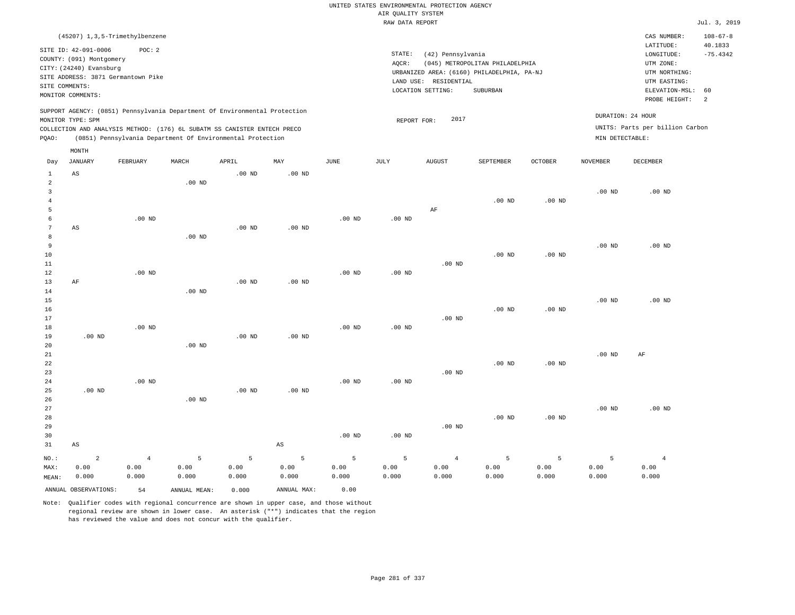|                |                                    |                   |                                                                            |                   |                        |               |                                       | UNITED STATES ENVIRONMENTAL PROTECTION AGENCY |                                            |                   |                   |                                 |                       |
|----------------|------------------------------------|-------------------|----------------------------------------------------------------------------|-------------------|------------------------|---------------|---------------------------------------|-----------------------------------------------|--------------------------------------------|-------------------|-------------------|---------------------------------|-----------------------|
|                |                                    |                   |                                                                            |                   |                        |               | AIR QUALITY SYSTEM<br>RAW DATA REPORT |                                               |                                            |                   |                   |                                 | Jul. 3, 2019          |
|                |                                    |                   |                                                                            |                   |                        |               |                                       |                                               |                                            |                   |                   |                                 |                       |
|                | (45207) 1, 3, 5-Trimethylbenzene   |                   |                                                                            |                   |                        |               |                                       |                                               |                                            |                   |                   | CAS NUMBER:                     | $108 - 67 - 8$        |
|                | SITE ID: 42-091-0006               | POC: 2            |                                                                            |                   |                        |               | STATE:                                | (42) Pennsylvania                             |                                            |                   |                   | LATITUDE:<br>LONGITUDE:         | 40.1833<br>$-75.4342$ |
|                | COUNTY: (091) Montgomery           |                   |                                                                            |                   |                        |               | AQCR:                                 |                                               | (045) METROPOLITAN PHILADELPHIA            |                   |                   | UTM ZONE:                       |                       |
|                | CITY: (24240) Evansburg            |                   |                                                                            |                   |                        |               |                                       |                                               | URBANIZED AREA: (6160) PHILADELPHIA, PA-NJ |                   |                   | UTM NORTHING:                   |                       |
|                | SITE ADDRESS: 3871 Germantown Pike |                   |                                                                            |                   |                        |               |                                       | LAND USE: RESIDENTIAL                         |                                            |                   |                   | UTM EASTING:                    |                       |
| SITE COMMENTS: |                                    |                   |                                                                            |                   |                        |               |                                       | LOCATION SETTING:                             | SUBURBAN                                   |                   |                   | ELEVATION-MSL:                  | 60                    |
|                | MONITOR COMMENTS:                  |                   |                                                                            |                   |                        |               |                                       |                                               |                                            |                   |                   | PROBE HEIGHT:                   | $\overline{a}$        |
|                |                                    |                   | SUPPORT AGENCY: (0851) Pennsylvania Department Of Environmental Protection |                   |                        |               |                                       |                                               |                                            |                   |                   |                                 |                       |
|                | MONITOR TYPE: SPM                  |                   |                                                                            |                   |                        |               | REPORT FOR:                           | 2017                                          |                                            |                   |                   | DURATION: 24 HOUR               |                       |
|                |                                    |                   | COLLECTION AND ANALYSIS METHOD: (176) 6L SUBATM SS CANISTER ENTECH PRECO   |                   |                        |               |                                       |                                               |                                            |                   |                   | UNITS: Parts per billion Carbon |                       |
| PQAO:          |                                    |                   | (0851) Pennsylvania Department Of Environmental Protection                 |                   |                        |               |                                       |                                               |                                            |                   | MIN DETECTABLE:   |                                 |                       |
|                | MONTH                              |                   |                                                                            |                   |                        |               |                                       |                                               |                                            |                   |                   |                                 |                       |
| Day            | JANUARY                            | FEBRUARY          | MARCH                                                                      | APRIL             | MAY                    | $_{\rm JUNE}$ | $\mathtt{JULY}$                       | AUGUST                                        | SEPTEMBER                                  | <b>OCTOBER</b>    | <b>NOVEMBER</b>   | <b>DECEMBER</b>                 |                       |
| $\mathbf{1}$   | $\mathbb{A}\mathbb{S}$             |                   |                                                                            | $.00$ ND          | .00 <sub>ND</sub>      |               |                                       |                                               |                                            |                   |                   |                                 |                       |
| $\overline{2}$ |                                    |                   | $.00$ ND                                                                   |                   |                        |               |                                       |                                               |                                            |                   |                   |                                 |                       |
| 3              |                                    |                   |                                                                            |                   |                        |               |                                       |                                               |                                            |                   | .00 <sub>ND</sub> | $.00$ ND                        |                       |
| $\overline{4}$ |                                    |                   |                                                                            |                   |                        |               |                                       |                                               | .00 <sub>ND</sub>                          | .00 <sub>ND</sub> |                   |                                 |                       |
| 5              |                                    |                   |                                                                            |                   |                        |               |                                       | $\rm AF$                                      |                                            |                   |                   |                                 |                       |
| 6              |                                    | $.00$ ND          |                                                                            |                   |                        | $.00$ ND      | $.00$ ND                              |                                               |                                            |                   |                   |                                 |                       |
| $\overline{7}$ | $_{\rm AS}$                        |                   |                                                                            | .00 <sub>ND</sub> | $.00$ ND               |               |                                       |                                               |                                            |                   |                   |                                 |                       |
| 8              |                                    |                   | $.00$ ND                                                                   |                   |                        |               |                                       |                                               |                                            |                   |                   |                                 |                       |
| 9              |                                    |                   |                                                                            |                   |                        |               |                                       |                                               |                                            |                   | .00 <sub>ND</sub> | $.00$ ND                        |                       |
| 10             |                                    |                   |                                                                            |                   |                        |               |                                       |                                               | .00 <sub>ND</sub>                          | .00 <sub>ND</sub> |                   |                                 |                       |
| 11             |                                    |                   |                                                                            |                   |                        |               |                                       | $.00$ ND                                      |                                            |                   |                   |                                 |                       |
| 12             |                                    | $.00$ ND          |                                                                            |                   |                        | $.00$ ND      | $.00$ ND                              |                                               |                                            |                   |                   |                                 |                       |
| 13             | AF                                 |                   |                                                                            | $.00$ ND          | $.00$ ND               |               |                                       |                                               |                                            |                   |                   |                                 |                       |
| 14<br>15       |                                    |                   | $.00$ ND                                                                   |                   |                        |               |                                       |                                               |                                            |                   | $.00$ ND          | $.00$ ND                        |                       |
| 16             |                                    |                   |                                                                            |                   |                        |               |                                       |                                               | $.00$ ND                                   | .00 <sub>ND</sub> |                   |                                 |                       |
| 17             |                                    |                   |                                                                            |                   |                        |               |                                       | $.00$ ND                                      |                                            |                   |                   |                                 |                       |
| 18             |                                    | $.00$ ND          |                                                                            |                   |                        | $.00$ ND      | $.00$ ND                              |                                               |                                            |                   |                   |                                 |                       |
| 19             | $.00$ ND                           |                   |                                                                            | $.00$ ND          | $.00$ ND               |               |                                       |                                               |                                            |                   |                   |                                 |                       |
| 20             |                                    |                   | $.00$ ND                                                                   |                   |                        |               |                                       |                                               |                                            |                   |                   |                                 |                       |
| 21             |                                    |                   |                                                                            |                   |                        |               |                                       |                                               |                                            |                   | .00 <sub>ND</sub> | AF                              |                       |
| 22             |                                    |                   |                                                                            |                   |                        |               |                                       |                                               | $.00$ ND                                   | $.00$ ND          |                   |                                 |                       |
| 23             |                                    |                   |                                                                            |                   |                        |               |                                       | .00 <sub>ND</sub>                             |                                            |                   |                   |                                 |                       |
| 24             |                                    | .00 <sub>ND</sub> |                                                                            |                   |                        | $.00$ ND      | .00 <sub>ND</sub>                     |                                               |                                            |                   |                   |                                 |                       |
| 25             | $.00$ ND                           |                   |                                                                            | $.00$ ND          | $.00$ ND               |               |                                       |                                               |                                            |                   |                   |                                 |                       |
| 26             |                                    |                   | $.00$ ND                                                                   |                   |                        |               |                                       |                                               |                                            |                   |                   |                                 |                       |
| 27             |                                    |                   |                                                                            |                   |                        |               |                                       |                                               |                                            |                   | .00 <sub>ND</sub> | $.00$ ND                        |                       |
| 28<br>29       |                                    |                   |                                                                            |                   |                        |               |                                       |                                               | $.00$ ND                                   | .00 <sub>ND</sub> |                   |                                 |                       |
| 30             |                                    |                   |                                                                            |                   |                        | $.00$ ND      | $.00$ ND                              | $.00$ ND                                      |                                            |                   |                   |                                 |                       |
| 31             | $_{\rm AS}$                        |                   |                                                                            |                   | $\mathbb{A}\mathbb{S}$ |               |                                       |                                               |                                            |                   |                   |                                 |                       |
|                |                                    |                   |                                                                            |                   |                        |               |                                       |                                               |                                            |                   |                   |                                 |                       |
| $NO.$ :        | $\overline{a}$                     | $\overline{4}$    | $\overline{5}$                                                             | 5                 | 5                      | 5             | $\overline{5}$                        | $\overline{4}$                                | 5                                          | 5                 | 5                 | $\overline{4}$                  |                       |
| MAX:           | 0.00                               | 0.00              | 0.00                                                                       | 0.00              | 0.00                   | 0.00          | 0.00                                  | 0.00                                          | 0.00                                       | 0.00              | 0.00              | 0.00                            |                       |
| MEAN:          | 0.000                              | 0.000             | 0.000                                                                      | 0.000             | 0.000                  | 0.000         | 0.000                                 | 0.000                                         | 0.000                                      | 0.000             | 0.000             | 0.000                           |                       |
|                | ANNUAL OBSERVATIONS:               | 54                | ANNUAL, MEAN:                                                              | 0.000             | ANNUAL MAX:            | 0.00          |                                       |                                               |                                            |                   |                   |                                 |                       |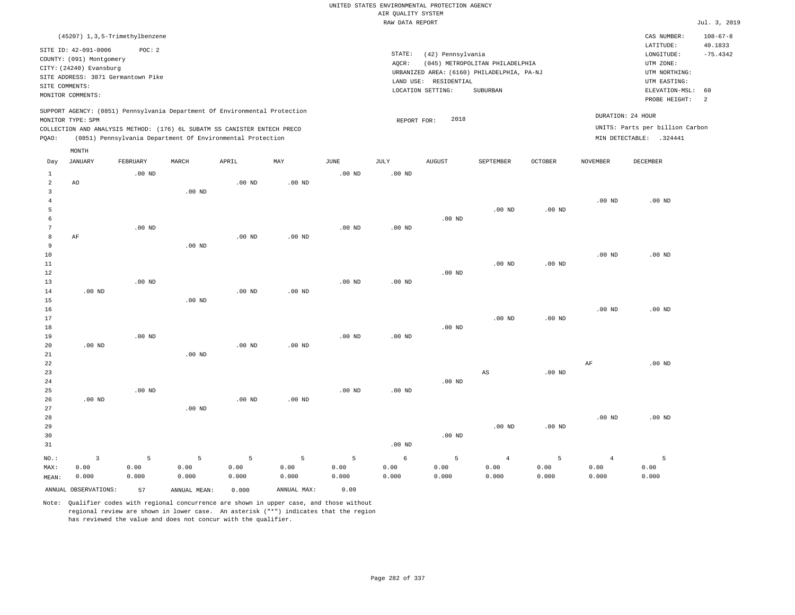|                     |                                                                                                 |                   |                   |                                                            |                   |               | UNITED STATES ENVIRONMENTAL PROTECTION AGENCY |                       |                                            |          |                   |                                 |                           |
|---------------------|-------------------------------------------------------------------------------------------------|-------------------|-------------------|------------------------------------------------------------|-------------------|---------------|-----------------------------------------------|-----------------------|--------------------------------------------|----------|-------------------|---------------------------------|---------------------------|
|                     |                                                                                                 |                   |                   |                                                            |                   |               | AIR QUALITY SYSTEM                            |                       |                                            |          |                   |                                 |                           |
|                     |                                                                                                 |                   |                   |                                                            |                   |               | RAW DATA REPORT                               |                       |                                            |          |                   |                                 | Jul. 3, 2019              |
|                     | (45207) 1, 3, 5-Trimethylbenzene                                                                |                   |                   |                                                            |                   |               |                                               |                       |                                            |          |                   | CAS NUMBER:<br>LATITUDE:        | $108 - 67 - 8$<br>40.1833 |
|                     | SITE ID: 42-091-0006                                                                            | POC: 2            |                   |                                                            |                   |               | STATE:                                        | (42) Pennsylvania     |                                            |          |                   | LONGITUDE:                      | $-75.4342$                |
|                     | COUNTY: (091) Montgomery                                                                        |                   |                   |                                                            |                   |               | AQCR:                                         |                       | (045) METROPOLITAN PHILADELPHIA            |          |                   | UTM ZONE:                       |                           |
|                     | CITY: (24240) Evansburg                                                                         |                   |                   |                                                            |                   |               |                                               |                       | URBANIZED AREA: (6160) PHILADELPHIA, PA-NJ |          |                   | UTM NORTHING:                   |                           |
| SITE COMMENTS:      | SITE ADDRESS: 3871 Germantown Pike                                                              |                   |                   |                                                            |                   |               |                                               | LAND USE: RESIDENTIAL |                                            |          |                   | UTM EASTING:                    |                           |
|                     | MONITOR COMMENTS:                                                                               |                   |                   |                                                            |                   |               |                                               | LOCATION SETTING:     | SUBURBAN                                   |          |                   | ELEVATION-MSL:                  | 60                        |
|                     |                                                                                                 |                   |                   |                                                            |                   |               |                                               |                       |                                            |          |                   | PROBE HEIGHT:                   | 2                         |
|                     | SUPPORT AGENCY: (0851) Pennsylvania Department Of Environmental Protection<br>MONITOR TYPE: SPM |                   |                   |                                                            |                   |               | REPORT FOR:                                   | 2018                  |                                            |          |                   | DURATION: 24 HOUR               |                           |
|                     | COLLECTION AND ANALYSIS METHOD: (176) 6L SUBATM SS CANISTER ENTECH PRECO                        |                   |                   |                                                            |                   |               |                                               |                       |                                            |          |                   | UNITS: Parts per billion Carbon |                           |
| PQAO:               |                                                                                                 |                   |                   | (0851) Pennsylvania Department Of Environmental Protection |                   |               |                                               |                       |                                            |          |                   | MIN DETECTABLE: .324441         |                           |
|                     | MONTH                                                                                           |                   |                   |                                                            |                   |               |                                               |                       |                                            |          |                   |                                 |                           |
| Day                 | JANUARY                                                                                         | FEBRUARY          | MARCH             | APRIL                                                      | $_{\rm MAY}$      | $_{\rm JUNE}$ | <b>JULY</b>                                   | <b>AUGUST</b>         | SEPTEMBER                                  | OCTOBER  | <b>NOVEMBER</b>   | <b>DECEMBER</b>                 |                           |
| $\mathbf{1}$        |                                                                                                 | $.00$ ND          |                   |                                                            |                   | $.00$ ND      | $.00$ ND                                      |                       |                                            |          |                   |                                 |                           |
| $\sqrt{2}$          | AO                                                                                              |                   |                   | .00 <sub>ND</sub>                                          | .00 <sub>ND</sub> |               |                                               |                       |                                            |          |                   |                                 |                           |
| 3                   |                                                                                                 |                   | $.00$ ND          |                                                            |                   |               |                                               |                       |                                            |          |                   |                                 |                           |
| $\overline{4}$      |                                                                                                 |                   |                   |                                                            |                   |               |                                               |                       |                                            |          | $.00$ ND          | $.00$ ND                        |                           |
| 5                   |                                                                                                 |                   |                   |                                                            |                   |               |                                               |                       | $.00$ ND                                   | $.00$ ND |                   |                                 |                           |
| 6<br>$\overline{7}$ |                                                                                                 | $.00$ ND          |                   |                                                            |                   | $.00$ ND      | $.00$ ND                                      | $.00$ ND              |                                            |          |                   |                                 |                           |
| $\,8\,$             | AF                                                                                              |                   |                   | $.00$ ND                                                   | $.00$ ND          |               |                                               |                       |                                            |          |                   |                                 |                           |
| 9                   |                                                                                                 |                   | .00 <sub>ND</sub> |                                                            |                   |               |                                               |                       |                                            |          |                   |                                 |                           |
| 10                  |                                                                                                 |                   |                   |                                                            |                   |               |                                               |                       |                                            |          | $.00$ ND          | $.00$ ND                        |                           |
| 11                  |                                                                                                 |                   |                   |                                                            |                   |               |                                               |                       | .00 <sub>ND</sub>                          | $.00$ ND |                   |                                 |                           |
| 12                  |                                                                                                 |                   |                   |                                                            |                   |               |                                               | $.00$ ND              |                                            |          |                   |                                 |                           |
| 13                  |                                                                                                 | .00 <sub>ND</sub> |                   |                                                            |                   | $.00$ ND      | $.00$ ND                                      |                       |                                            |          |                   |                                 |                           |
| 14                  | $.00$ ND                                                                                        |                   |                   | $.00$ ND                                                   | $.00$ ND          |               |                                               |                       |                                            |          |                   |                                 |                           |
| 15                  |                                                                                                 |                   | $.00$ ND          |                                                            |                   |               |                                               |                       |                                            |          |                   |                                 |                           |
| 16                  |                                                                                                 |                   |                   |                                                            |                   |               |                                               |                       |                                            |          | .00 <sub>ND</sub> | $.00$ ND                        |                           |
| 17                  |                                                                                                 |                   |                   |                                                            |                   |               |                                               |                       | $.00$ ND                                   | $.00$ ND |                   |                                 |                           |
| 18                  |                                                                                                 | .00 <sub>ND</sub> |                   |                                                            |                   |               |                                               | $.00$ ND              |                                            |          |                   |                                 |                           |
| 19<br>20            | .00 <sub>ND</sub>                                                                               |                   |                   | $.00$ ND                                                   | .00 <sub>ND</sub> | $.00$ ND      | .00 <sub>ND</sub>                             |                       |                                            |          |                   |                                 |                           |
| 21                  |                                                                                                 |                   | $.00$ ND          |                                                            |                   |               |                                               |                       |                                            |          |                   |                                 |                           |
| 22                  |                                                                                                 |                   |                   |                                                            |                   |               |                                               |                       |                                            |          | AF                | $.00$ ND                        |                           |
| 23                  |                                                                                                 |                   |                   |                                                            |                   |               |                                               |                       | AS                                         | $.00$ ND |                   |                                 |                           |
| 24                  |                                                                                                 |                   |                   |                                                            |                   |               |                                               | $.00$ ND              |                                            |          |                   |                                 |                           |
| 25                  |                                                                                                 | $.00$ ND          |                   |                                                            |                   | $.00$ ND      | $.00$ ND                                      |                       |                                            |          |                   |                                 |                           |
| 26                  | .00 <sub>ND</sub>                                                                               |                   |                   | $.00$ ND                                                   | $.00$ ND          |               |                                               |                       |                                            |          |                   |                                 |                           |
| 27                  |                                                                                                 |                   | $.00$ ND          |                                                            |                   |               |                                               |                       |                                            |          |                   |                                 |                           |
| 28                  |                                                                                                 |                   |                   |                                                            |                   |               |                                               |                       |                                            |          | $.00$ ND          | $.00$ ND                        |                           |
| 29                  |                                                                                                 |                   |                   |                                                            |                   |               |                                               |                       | $.00$ ND                                   | $.00$ ND |                   |                                 |                           |
| 30                  |                                                                                                 |                   |                   |                                                            |                   |               |                                               | $.00$ ND              |                                            |          |                   |                                 |                           |
| 31                  |                                                                                                 |                   |                   |                                                            |                   |               | $.00$ ND                                      |                       |                                            |          |                   |                                 |                           |
| NO.:                | $\overline{3}$                                                                                  | 5                 | 5                 | 5                                                          | 5                 | 5             | 6                                             | 5                     | $\overline{4}$                             | 5        | $\overline{4}$    | 5                               |                           |
| MAX:                | 0.00                                                                                            | 0.00              | 0.00              | 0.00                                                       | 0.00              | 0.00          | 0.00                                          | 0.00                  | 0.00                                       | 0.00     | 0.00              | 0.00                            |                           |
| MEAN:               | 0.000                                                                                           | 0.000             | 0.000             | 0.000                                                      | 0.000             | 0.000         | 0.000                                         | 0.000                 | 0.000                                      | 0.000    | 0.000             | 0.000                           |                           |
|                     | ANNUAL OBSERVATIONS:                                                                            | 57                | ANNUAL MEAN:      | 0.000                                                      | ANNUAL MAX:       | 0.00          |                                               |                       |                                            |          |                   |                                 |                           |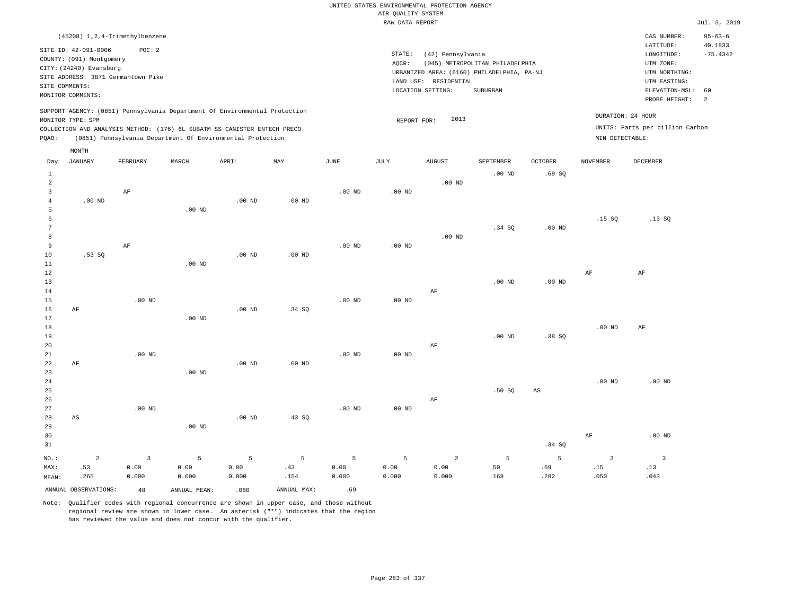|                | (45208) 1, 2, 4-Trimethylbenzene   |                   |                                                                                                                                        |                   |             |                       |                   |                       |                                            |                        |                   | CAS NUMBER:                     | $95 - 63 - 6$        |
|----------------|------------------------------------|-------------------|----------------------------------------------------------------------------------------------------------------------------------------|-------------------|-------------|-----------------------|-------------------|-----------------------|--------------------------------------------|------------------------|-------------------|---------------------------------|----------------------|
|                | SITE ID: 42-091-0006               | POC: 2            |                                                                                                                                        |                   |             |                       |                   |                       |                                            |                        |                   | LATITUDE:                       | 40.1833              |
|                | COUNTY: (091) Montgomery           |                   |                                                                                                                                        |                   |             |                       | STATE:            | (42) Pennsylvania     |                                            |                        |                   | LONGITUDE:                      | $-75.4342$           |
|                | CITY: (24240) Evansburg            |                   |                                                                                                                                        |                   |             |                       | AQCR:             |                       | (045) METROPOLITAN PHILADELPHIA            |                        |                   | UTM ZONE:                       |                      |
|                | SITE ADDRESS: 3871 Germantown Pike |                   |                                                                                                                                        |                   |             |                       |                   |                       | URBANIZED AREA: (6160) PHILADELPHIA, PA-NJ |                        |                   | UTM NORTHING:                   |                      |
|                | SITE COMMENTS:                     |                   |                                                                                                                                        |                   |             |                       |                   | LAND USE: RESIDENTIAL |                                            |                        |                   | UTM EASTING:                    |                      |
|                | MONITOR COMMENTS:                  |                   |                                                                                                                                        |                   |             |                       |                   | LOCATION SETTING:     | SUBURBAN                                   |                        |                   | ELEVATION-MSL:<br>PROBE HEIGHT: | 60<br>$\overline{2}$ |
|                |                                    |                   | SUPPORT AGENCY: (0851) Pennsylvania Department Of Environmental Protection                                                             |                   |             |                       |                   |                       |                                            |                        | DURATION: 24 HOUR |                                 |                      |
|                | MONITOR TYPE: SPM                  |                   |                                                                                                                                        |                   |             |                       | REPORT FOR:       | 2013                  |                                            |                        |                   | UNITS: Parts per billion Carbon |                      |
| PQAO:          |                                    |                   | COLLECTION AND ANALYSIS METHOD: (176) 6L SUBATM SS CANISTER ENTECH PRECO<br>(0851) Pennsylvania Department Of Environmental Protection |                   |             |                       |                   |                       |                                            |                        | MIN DETECTABLE:   |                                 |                      |
|                | MONTH                              |                   |                                                                                                                                        |                   |             |                       |                   |                       |                                            |                        |                   |                                 |                      |
| Day            | <b>JANUARY</b>                     | FEBRUARY          | MARCH                                                                                                                                  | APRIL             | MAY         | $\operatorname{JUNE}$ | $\mathtt{JULY}$   | <b>AUGUST</b>         | SEPTEMBER                                  | OCTOBER                | <b>NOVEMBER</b>   | DECEMBER                        |                      |
| $\,1\,$        |                                    |                   |                                                                                                                                        |                   |             |                       |                   |                       | .00 <sub>ND</sub>                          | .69SQ                  |                   |                                 |                      |
| $\overline{a}$ |                                    |                   |                                                                                                                                        |                   |             |                       |                   | $.00$ ND              |                                            |                        |                   |                                 |                      |
| $\overline{3}$ |                                    | AF                |                                                                                                                                        |                   |             | $.00$ ND              | $.00$ ND          |                       |                                            |                        |                   |                                 |                      |
| $\overline{4}$ | $.00$ ND                           |                   |                                                                                                                                        | $.00$ ND          | $.00$ ND    |                       |                   |                       |                                            |                        |                   |                                 |                      |
| $\overline{5}$ |                                    |                   | $.00$ ND                                                                                                                               |                   |             |                       |                   |                       |                                            |                        |                   |                                 |                      |
| 6              |                                    |                   |                                                                                                                                        |                   |             |                       |                   |                       |                                            |                        | .15S              | .13SQ                           |                      |
| 7              |                                    |                   |                                                                                                                                        |                   |             |                       |                   |                       | .34 SQ                                     | .00 <sub>ND</sub>      |                   |                                 |                      |
| 8              |                                    |                   |                                                                                                                                        |                   |             |                       |                   | $.00$ ND              |                                            |                        |                   |                                 |                      |
| 9              |                                    | AF                |                                                                                                                                        |                   |             | $.00$ ND              | $.00$ ND          |                       |                                            |                        |                   |                                 |                      |
| $10$           | .53SQ                              |                   |                                                                                                                                        | $.00$ ND          | $.00$ ND    |                       |                   |                       |                                            |                        |                   |                                 |                      |
| $1\,1$         |                                    |                   | $.00$ ND                                                                                                                               |                   |             |                       |                   |                       |                                            |                        |                   |                                 |                      |
| $1\,2$         |                                    |                   |                                                                                                                                        |                   |             |                       |                   |                       |                                            |                        | $\rm{AF}$         | $\rm{AF}$                       |                      |
| 13             |                                    |                   |                                                                                                                                        |                   |             |                       |                   |                       | $.00$ ND                                   | $.00$ ND               |                   |                                 |                      |
| 14             |                                    |                   |                                                                                                                                        |                   |             |                       |                   | AF                    |                                            |                        |                   |                                 |                      |
| $15$           |                                    | $.00$ ND          |                                                                                                                                        |                   |             | $.00$ ND              | .00 <sub>ND</sub> |                       |                                            |                        |                   |                                 |                      |
| 16             | $\rm AF$                           |                   |                                                                                                                                        | .00 <sub>ND</sub> | .34 SQ      |                       |                   |                       |                                            |                        |                   |                                 |                      |
| 17             |                                    |                   | .00 <sub>ND</sub>                                                                                                                      |                   |             |                       |                   |                       |                                            |                        |                   |                                 |                      |
| 18             |                                    |                   |                                                                                                                                        |                   |             |                       |                   |                       |                                            |                        | $.00$ ND          | AF                              |                      |
| 19<br>20       |                                    |                   |                                                                                                                                        |                   |             |                       |                   | $\rm AF$              | $.00$ ND                                   | .38SQ                  |                   |                                 |                      |
| 21             |                                    | .00 <sub>ND</sub> |                                                                                                                                        |                   |             | .00 <sub>ND</sub>     | .00 <sub>ND</sub> |                       |                                            |                        |                   |                                 |                      |
| 22             | AF                                 |                   |                                                                                                                                        | $.00$ ND          | $.00$ ND    |                       |                   |                       |                                            |                        |                   |                                 |                      |
| 23             |                                    |                   | $.00$ ND                                                                                                                               |                   |             |                       |                   |                       |                                            |                        |                   |                                 |                      |
| 24             |                                    |                   |                                                                                                                                        |                   |             |                       |                   |                       |                                            |                        | $.00$ ND          | $.00$ ND                        |                      |
| 25             |                                    |                   |                                                                                                                                        |                   |             |                       |                   |                       | .50SQ                                      | $\mathbb{A}\mathbb{S}$ |                   |                                 |                      |
| 26             |                                    |                   |                                                                                                                                        |                   |             |                       |                   | $\rm AF$              |                                            |                        |                   |                                 |                      |
| 27             |                                    | .00 <sub>ND</sub> |                                                                                                                                        |                   |             | .00 <sub>ND</sub>     | $.00$ ND          |                       |                                            |                        |                   |                                 |                      |
| 28             | AS                                 |                   |                                                                                                                                        | $.00$ ND          | .43 SQ      |                       |                   |                       |                                            |                        |                   |                                 |                      |
| 29             |                                    |                   | $.00$ ND                                                                                                                               |                   |             |                       |                   |                       |                                            |                        |                   |                                 |                      |
| 30             |                                    |                   |                                                                                                                                        |                   |             |                       |                   |                       |                                            |                        | $\rm{AF}$         | $.00$ ND                        |                      |
| 31             |                                    |                   |                                                                                                                                        |                   |             |                       |                   |                       |                                            | .34 SQ                 |                   |                                 |                      |
| NO.:           | $\overline{a}$                     | $\overline{3}$    |                                                                                                                                        | 5                 | 5           | 5                     | 5                 | 2                     | 5                                          | 5                      | $\overline{3}$    | $\overline{3}$                  |                      |
| MAX:           | .53                                | 0.00              | 5<br>0.00                                                                                                                              | 0.00              | .43         | 0.00                  | 0.00              | 0.00                  | .50                                        | .69                    | .15               | .13                             |                      |
| MEAN:          | .265                               | 0.000             | 0.000                                                                                                                                  | 0.000             | .154        | 0.000                 | 0.000             | 0.000                 | .168                                       | .282                   | .050              | .043                            |                      |
|                |                                    |                   |                                                                                                                                        |                   |             |                       |                   |                       |                                            |                        |                   |                                 |                      |
|                | ANNUAL OBSERVATIONS:               | 48                | ANNUAL, MEAN:                                                                                                                          | .080              | ANNUAL MAX: | .69                   |                   |                       |                                            |                        |                   |                                 |                      |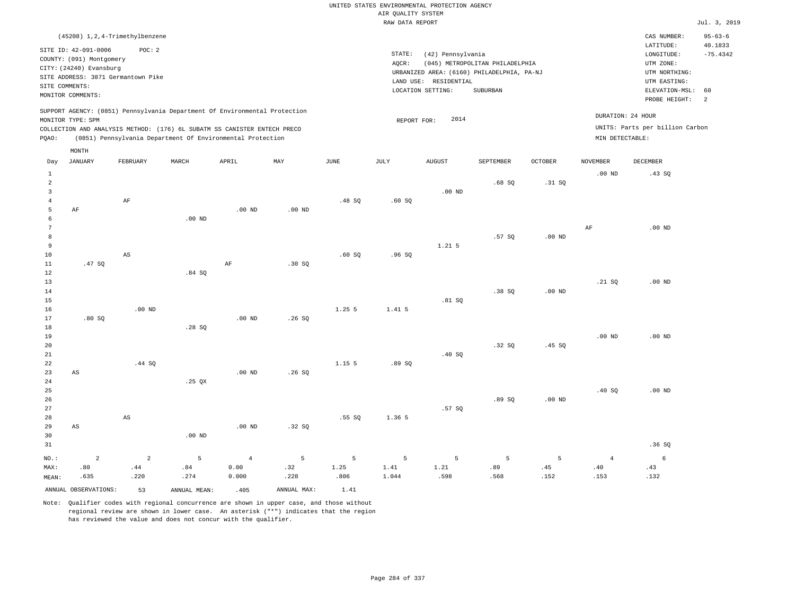| (45208) 1,2,4-Trimethylbenzene                                                                                                                                                                                                                     |                                                                                                                                                                                 | CAS NUMBER:                                                                                                 | $95 - 63 - 6$                           |
|----------------------------------------------------------------------------------------------------------------------------------------------------------------------------------------------------------------------------------------------------|---------------------------------------------------------------------------------------------------------------------------------------------------------------------------------|-------------------------------------------------------------------------------------------------------------|-----------------------------------------|
| SITE ID: 42-091-0006<br>POC:2<br>COUNTY: (091) Montgomery<br>CITY: (24240) Evansburg<br>SITE ADDRESS: 3871 Germantown Pike<br>SITE COMMENTS:<br>MONITOR COMMENTS:                                                                                  | STATE:<br>(42) Pennsylvania<br>(045) METROPOLITAN PHILADELPHIA<br>AOCR:<br>URBANIZED AREA: (6160) PHILADELPHIA, PA-NJ<br>LAND USE: RESIDENTIAL<br>LOCATION SETTING:<br>SUBURBAN | LATITUDE:<br>LONGITUDE:<br>UTM ZONE:<br>UTM NORTHING:<br>UTM EASTING:<br>ELEVATION-MSL: 60<br>PROBE HEIGHT: | 40.1833<br>$-75.4342$<br>$\overline{2}$ |
| SUPPORT AGENCY: (0851) Pennsylvania Department Of Environmental Protection<br>MONITOR TYPE: SPM<br>COLLECTION AND ANALYSIS METHOD: (176) 6L SUBATM SS CANISTER ENTECH PRECO<br>(0851) Pennsylvania Department Of Environmental Protection<br>POAO: | 2014<br>REPORT FOR:                                                                                                                                                             | DURATION: 24 HOUR<br>UNITS: Parts per billion Carbon<br>MIN DETECTABLE:                                     |                                         |

|                                                  | MONTH                         |                               |                  |                                 |                  |                   |                    |                   |                  |                  |                               |                  |
|--------------------------------------------------|-------------------------------|-------------------------------|------------------|---------------------------------|------------------|-------------------|--------------------|-------------------|------------------|------------------|-------------------------------|------------------|
| Day                                              | <b>JANUARY</b>                | FEBRUARY                      | MARCH            | APRIL                           | MAY              | $_{\rm JUNE}$     | $\mathtt{JULY}$    | <b>AUGUST</b>     | SEPTEMBER        | OCTOBER          | <b>NOVEMBER</b>               | DECEMBER         |
| $\mathbf{1}$<br>$\overline{a}$<br>$\overline{3}$ |                               |                               |                  |                                 |                  |                   |                    | $.00$ ND          | .68SQ            | .31 SQ           | $.00$ ND                      | .43SQ            |
| $\overline{4}$<br>5<br>6                         | AF                            | AF                            | $.00$ ND         | $.00$ ND                        | $.00$ ND         | .48SQ             | .60SQ              |                   |                  |                  |                               |                  |
| 7<br>8<br>$\overline{9}$                         |                               |                               |                  |                                 |                  |                   |                    | $1.21$ 5          | .57SQ            | $.00$ ND         | $\rm{AF}$                     | $.00$ ND         |
| 10<br>$11\,$<br>12                               | .47SQ                         | $\mathbb{A}\mathbb{S}$        | .84SQ            | $\rm AF$                        | .30SQ            | .60SQ             | .96SQ              |                   |                  |                  |                               |                  |
| 13<br>14<br>15                                   |                               |                               |                  |                                 |                  |                   |                    | .81 SQ            | .38SQ            | $.00$ ND         | .21 SQ                        | $.00$ ND         |
| 16<br>17<br>18                                   | .80SQ                         | $.00$ ND                      | .28SQ            | $.00$ ND                        | .26SQ            | 1.25 5            | 1.41 5             |                   |                  |                  |                               |                  |
| 19<br>20<br>21                                   |                               |                               |                  |                                 |                  |                   |                    | .40SQ             | .32SQ            | .45SQ            | $.00$ ND                      | $.00$ ND         |
| 22<br>23<br>$2\,4$                               | $\mathbb{A}\mathbb{S}$        | .44 SQ                        | .25 $QX$         | $.00$ ND                        | .26SQ            | 1.15 5            | .89SQ              |                   |                  |                  |                               |                  |
| 25<br>26<br>27                                   |                               |                               |                  |                                 |                  |                   |                    | .57SQ             | .89SQ            | $.00$ ND         | .40SQ                         | $.00$ ND         |
| 28<br>29<br>30                                   | $\mathbb{A}\mathbb{S}$        | $\mathbb{A}\mathbb{S}$        | .00 $ND$         | $.00$ ND                        | .32 SQ           | .55SQ             | 1.36 5             |                   |                  |                  |                               |                  |
| 31                                               |                               |                               |                  |                                 |                  |                   |                    |                   |                  |                  |                               | .36SQ            |
| $NO.$ :<br>MAX:<br>MEAN:                         | $\overline{a}$<br>.80<br>.635 | $\overline{a}$<br>.44<br>.220 | 5<br>.84<br>.274 | $\overline{4}$<br>0.00<br>0.000 | 5<br>.32<br>.228 | 5<br>1.25<br>.806 | 5<br>1.41<br>1.044 | 5<br>1.21<br>.598 | 5<br>.89<br>.568 | 5<br>.45<br>.152 | $\overline{4}$<br>.40<br>.153 | 6<br>.43<br>.132 |
|                                                  | ANNUAL OBSERVATIONS:          | 53                            | ANNUAL MEAN:     | .405                            | ANNUAL MAX:      | 1.41              |                    |                   |                  |                  |                               |                  |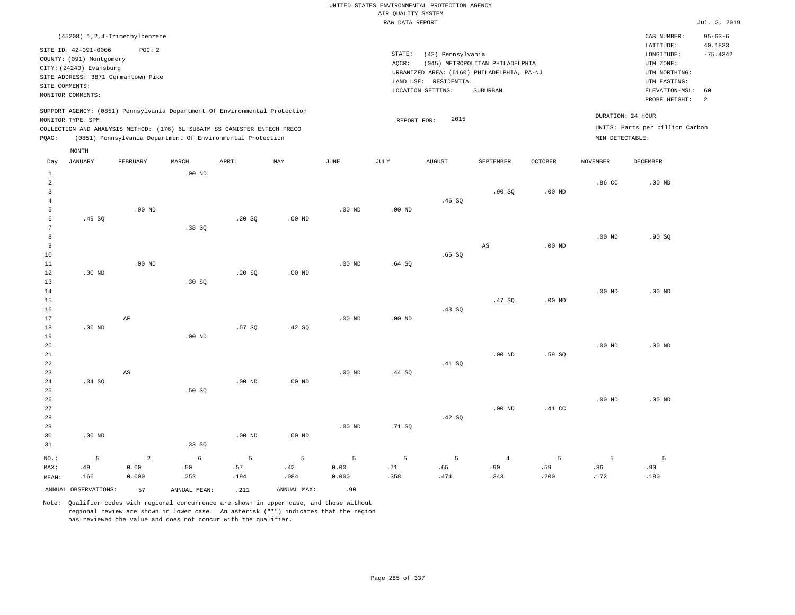# UNITED STATES ENVIRONMENTAL PROTECTION AGENCY AIR QUALITY SYSTEM

|                     |                          |                                                                            |                   |          |                   |                   | RAW DATA REPORT   |                       |                                            |                   |                   |                                 | Jul. 3, 2019  |
|---------------------|--------------------------|----------------------------------------------------------------------------|-------------------|----------|-------------------|-------------------|-------------------|-----------------------|--------------------------------------------|-------------------|-------------------|---------------------------------|---------------|
|                     |                          | (45208) 1, 2, 4-Trimethylbenzene                                           |                   |          |                   |                   |                   |                       |                                            |                   |                   | CAS NUMBER:                     | $95 - 63 - 6$ |
|                     | SITE ID: 42-091-0006     | POC: 2                                                                     |                   |          |                   |                   |                   |                       |                                            |                   |                   | LATITUDE:                       | 40.1833       |
|                     | COUNTY: (091) Montgomery |                                                                            |                   |          |                   |                   | STATE:            | (42) Pennsylvania     |                                            |                   |                   | $\texttt{LONGITUDE}:$           | $-75.4342$    |
|                     | CITY: (24240) Evansburg  |                                                                            |                   |          |                   |                   | AQCR:             |                       | (045) METROPOLITAN PHILADELPHIA            |                   |                   | UTM ZONE:                       |               |
|                     |                          | SITE ADDRESS: 3871 Germantown Pike                                         |                   |          |                   |                   |                   |                       | URBANIZED AREA: (6160) PHILADELPHIA, PA-NJ |                   |                   | UTM NORTHING:                   |               |
|                     | SITE COMMENTS:           |                                                                            |                   |          |                   |                   |                   | LAND USE: RESIDENTIAL | SUBURBAN                                   |                   |                   | UTM EASTING:<br>ELEVATION-MSL:  | 60            |
|                     | MONITOR COMMENTS:        |                                                                            |                   |          |                   |                   |                   | LOCATION SETTING:     |                                            |                   |                   | PROBE HEIGHT:                   | 2             |
|                     |                          | SUPPORT AGENCY: (0851) Pennsylvania Department Of Environmental Protection |                   |          |                   |                   |                   |                       |                                            |                   |                   |                                 |               |
|                     | MONITOR TYPE: SPM        |                                                                            |                   |          |                   |                   | REPORT FOR:       | 2015                  |                                            |                   |                   | DURATION: 24 HOUR               |               |
|                     |                          | COLLECTION AND ANALYSIS METHOD: (176) 6L SUBATM SS CANISTER ENTECH PRECO   |                   |          |                   |                   |                   |                       |                                            |                   |                   | UNITS: Parts per billion Carbon |               |
| PQAO:               |                          | (0851) Pennsylvania Department Of Environmental Protection                 |                   |          |                   |                   |                   |                       |                                            |                   | MIN DETECTABLE:   |                                 |               |
|                     | MONTH                    |                                                                            |                   |          |                   |                   |                   |                       |                                            |                   |                   |                                 |               |
| Day                 | <b>JANUARY</b>           | FEBRUARY                                                                   | MARCH             | APRIL    | MAY               | JUNE              | JULY              | <b>AUGUST</b>         | SEPTEMBER                                  | <b>OCTOBER</b>    | NOVEMBER          | <b>DECEMBER</b>                 |               |
| $\mathbf{1}$        |                          |                                                                            | .00 <sub>ND</sub> |          |                   |                   |                   |                       |                                            |                   |                   |                                 |               |
| $\overline{a}$      |                          |                                                                            |                   |          |                   |                   |                   |                       |                                            |                   | .86 <sub>C</sub>  | $.00$ ND                        |               |
| 3<br>$\overline{4}$ |                          |                                                                            |                   |          |                   |                   |                   | .46SQ                 | .90S                                       | .00 <sub>ND</sub> |                   |                                 |               |
| 5                   |                          | .00 <sub>ND</sub>                                                          |                   |          |                   | $.00$ ND          | .00 <sub>ND</sub> |                       |                                            |                   |                   |                                 |               |
| 6                   | .49SQ                    |                                                                            |                   | .20SQ    | $.00$ ND          |                   |                   |                       |                                            |                   |                   |                                 |               |
| $\overline{7}$      |                          |                                                                            | .38SQ             |          |                   |                   |                   |                       |                                            |                   |                   |                                 |               |
| 8                   |                          |                                                                            |                   |          |                   |                   |                   |                       |                                            |                   | $.00$ ND          | .90SQ                           |               |
| 9                   |                          |                                                                            |                   |          |                   |                   |                   |                       | $\mathbb{A}\mathbb{S}$                     | $.00$ ND          |                   |                                 |               |
| 10                  |                          |                                                                            |                   |          |                   |                   |                   | $.65$ SO              |                                            |                   |                   |                                 |               |
| 11                  |                          | $.00$ ND                                                                   |                   |          |                   | .00 <sub>ND</sub> | .64S              |                       |                                            |                   |                   |                                 |               |
| 12                  | $.00$ ND                 |                                                                            |                   | .20S     | .00 <sub>ND</sub> |                   |                   |                       |                                            |                   |                   |                                 |               |
| 13<br>14            |                          |                                                                            | .30 SQ            |          |                   |                   |                   |                       |                                            |                   | .00 <sub>ND</sub> | $.00$ ND                        |               |
| 15                  |                          |                                                                            |                   |          |                   |                   |                   |                       | .47SQ                                      | .00 <sub>ND</sub> |                   |                                 |               |
| 16                  |                          |                                                                            |                   |          |                   |                   |                   | .43 SQ                |                                            |                   |                   |                                 |               |
| 17                  |                          | AF                                                                         |                   |          |                   | .00 <sub>ND</sub> | .00 <sub>ND</sub> |                       |                                            |                   |                   |                                 |               |
| 18                  | $.00$ ND                 |                                                                            |                   | .57SQ    | .42SQ             |                   |                   |                       |                                            |                   |                   |                                 |               |
| 19                  |                          |                                                                            | $.00$ ND          |          |                   |                   |                   |                       |                                            |                   |                   |                                 |               |
| 20                  |                          |                                                                            |                   |          |                   |                   |                   |                       |                                            |                   | $.00$ ND          | $.00$ ND                        |               |
| 21                  |                          |                                                                            |                   |          |                   |                   |                   |                       | $.00$ ND                                   | .59SQ             |                   |                                 |               |
| 22                  |                          |                                                                            |                   |          |                   |                   |                   | .41 SQ                |                                            |                   |                   |                                 |               |
| 23<br>24            | .34 S                    | $\mathbb{A}\mathbb{S}$                                                     |                   | $.00$ ND | $.00$ ND          | $.00$ ND          | .44 SQ            |                       |                                            |                   |                   |                                 |               |
| 25                  |                          |                                                                            | .50S              |          |                   |                   |                   |                       |                                            |                   |                   |                                 |               |
| 26                  |                          |                                                                            |                   |          |                   |                   |                   |                       |                                            |                   | .00 <sub>ND</sub> | $.00$ ND                        |               |
| 27                  |                          |                                                                            |                   |          |                   |                   |                   |                       | $.00$ ND                                   | .41 CC            |                   |                                 |               |
| 28                  |                          |                                                                            |                   |          |                   |                   |                   | .42 SQ                |                                            |                   |                   |                                 |               |
| 29                  |                          |                                                                            |                   |          |                   | .00 <sub>ND</sub> | .71 SQ            |                       |                                            |                   |                   |                                 |               |
| 30                  | $.00$ ND                 |                                                                            |                   | $.00$ ND | $.00$ ND          |                   |                   |                       |                                            |                   |                   |                                 |               |
| 31                  |                          |                                                                            | .33 S0            |          |                   |                   |                   |                       |                                            |                   |                   |                                 |               |
| NO.:                | 5                        | $\overline{a}$                                                             | 6                 | 5        | 5                 | 5                 | 5                 | 5                     | $\overline{4}$                             | 5                 | 5                 | 5 <sub>5</sub>                  |               |

ANNUAL OBSERVATIONS: 57 ANNUAL MEAN: .211 ANNUAL MAX: .90

 .50 .252

MAX: MEAN:  .49 .166

 0.00 0.000

Note: Qualifier codes with regional concurrence are shown in upper case, and those without regional review are shown in lower case. An asterisk ("\*") indicates that the region has reviewed the value and does not concur with the qualifier.

 .57 .194  .42 .084  0.00 0.000  .71 .358

 .65 .474

 .90 .343  .59 .200  .86 .172  .90 .180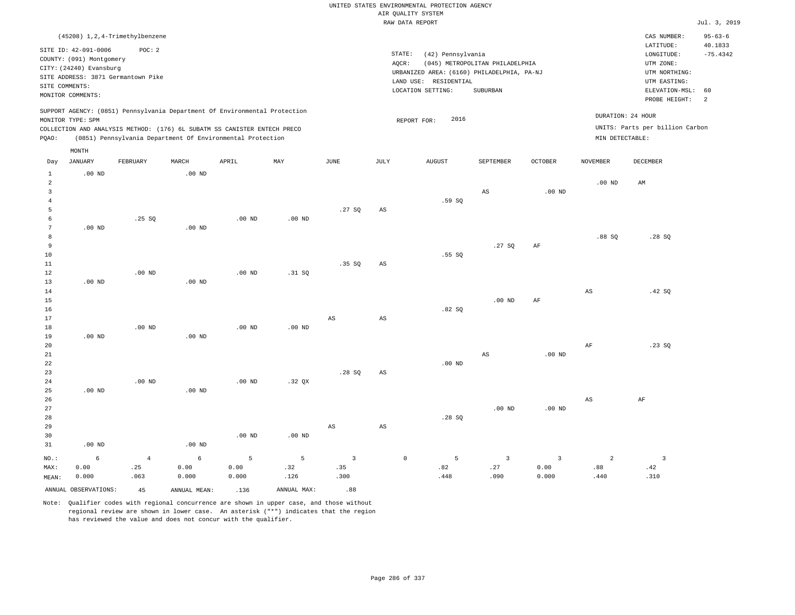|                                                                          |                      |                                                                            |                   |                   |                   |                         |                                            | UNITED STATES ENVIRONMENTAL PROTECTION AGENCY |                         |                |                         |                         |               |
|--------------------------------------------------------------------------|----------------------|----------------------------------------------------------------------------|-------------------|-------------------|-------------------|-------------------------|--------------------------------------------|-----------------------------------------------|-------------------------|----------------|-------------------------|-------------------------|---------------|
|                                                                          |                      |                                                                            |                   |                   |                   |                         |                                            | AIR QUALITY SYSTEM                            |                         |                |                         |                         |               |
|                                                                          |                      |                                                                            |                   |                   |                   |                         |                                            | RAW DATA REPORT                               |                         |                |                         |                         | Jul. 3, 2019  |
|                                                                          |                      | (45208) 1, 2, 4-Trimethylbenzene                                           |                   |                   |                   |                         |                                            |                                               |                         |                |                         | CAS NUMBER:             | $95 - 63 - 6$ |
|                                                                          | SITE ID: 42-091-0006 | POC: 2                                                                     |                   |                   |                   |                         |                                            | (42) Pennsylvania                             |                         |                |                         | LATITUDE:               | 40.1833       |
| COUNTY: (091) Montgomery                                                 |                      |                                                                            |                   |                   |                   |                         | STATE:                                     | LONGITUDE:                                    | $-75.4342$              |                |                         |                         |               |
| CITY: (24240) Evansburg                                                  |                      |                                                                            |                   |                   |                   |                         | AQCR:                                      | UTM ZONE:                                     |                         |                |                         |                         |               |
| SITE ADDRESS: 3871 Germantown Pike                                       |                      |                                                                            |                   |                   |                   |                         | URBANIZED AREA: (6160) PHILADELPHIA, PA-NJ | UTM NORTHING:                                 |                         |                |                         |                         |               |
| SITE COMMENTS:                                                           |                      |                                                                            |                   |                   |                   |                         | LAND USE: RESIDENTIAL                      | UTM EASTING:                                  |                         |                |                         |                         |               |
| MONITOR COMMENTS:                                                        |                      |                                                                            |                   |                   |                   |                         | LOCATION SETTING:                          | ELEVATION-MSL:<br>PROBE HEIGHT:               | 60<br>$\overline{a}$    |                |                         |                         |               |
|                                                                          |                      | SUPPORT AGENCY: (0851) Pennsylvania Department Of Environmental Protection |                   |                   |                   |                         |                                            |                                               |                         |                |                         |                         |               |
| MONITOR TYPE: SPM                                                        |                      |                                                                            |                   |                   |                   |                         | REPORT FOR:                                | DURATION: 24 HOUR                             |                         |                |                         |                         |               |
| COLLECTION AND ANALYSIS METHOD: (176) 6L SUBATM SS CANISTER ENTECH PRECO |                      |                                                                            |                   |                   |                   |                         |                                            | UNITS: Parts per billion Carbon               |                         |                |                         |                         |               |
| PQAO:                                                                    |                      | (0851) Pennsylvania Department Of Environmental Protection                 |                   |                   |                   |                         |                                            |                                               |                         |                | MIN DETECTABLE:         |                         |               |
|                                                                          | MONTH                |                                                                            |                   |                   |                   |                         |                                            |                                               |                         |                |                         |                         |               |
| Day                                                                      | <b>JANUARY</b>       | FEBRUARY                                                                   | MARCH             | APRIL             | $_{\rm MAY}$      | <b>JUNE</b>             | $\mathtt{JULY}$                            | <b>AUGUST</b>                                 | SEPTEMBER               | <b>OCTOBER</b> | <b>NOVEMBER</b>         | DECEMBER                |               |
| $\mathbf{1}$                                                             | $.00$ ND             |                                                                            | $.00$ ND          |                   |                   |                         |                                            |                                               |                         |                |                         |                         |               |
| $\overline{a}$                                                           |                      |                                                                            |                   |                   |                   |                         |                                            |                                               |                         |                | .00 <sub>ND</sub>       | AM                      |               |
| 3                                                                        |                      |                                                                            |                   |                   |                   |                         |                                            |                                               | AS                      | $.00$ ND       |                         |                         |               |
| $\overline{4}$<br>5                                                      |                      |                                                                            |                   |                   |                   | .27SQ                   | $\mathbb{A}\mathbb{S}$                     | .59SQ                                         |                         |                |                         |                         |               |
| 6                                                                        |                      | .25 SQ                                                                     |                   | .00 <sub>ND</sub> | .00 <sub>ND</sub> |                         |                                            |                                               |                         |                |                         |                         |               |
| 7                                                                        | .00 <sub>ND</sub>    |                                                                            | $.00$ ND          |                   |                   |                         |                                            |                                               |                         |                |                         |                         |               |
| 8                                                                        |                      |                                                                            |                   |                   |                   |                         |                                            |                                               |                         |                | .88SQ                   | .28SQ                   |               |
| 9                                                                        |                      |                                                                            |                   |                   |                   |                         |                                            |                                               | .27S                    | $\rm{AF}$      |                         |                         |               |
| 10                                                                       |                      |                                                                            |                   |                   |                   |                         |                                            | .55SQ                                         |                         |                |                         |                         |               |
| 11                                                                       |                      |                                                                            |                   |                   |                   | .35 SO                  | $_{\rm AS}$                                |                                               |                         |                |                         |                         |               |
| 12                                                                       |                      | $.00$ ND                                                                   |                   | .00 <sub>ND</sub> | .31 SQ            |                         |                                            |                                               |                         |                |                         |                         |               |
| 13                                                                       | $.00$ ND             |                                                                            | $.00$ ND          |                   |                   |                         |                                            |                                               |                         |                |                         |                         |               |
| 14                                                                       |                      |                                                                            |                   |                   |                   |                         |                                            |                                               |                         |                | $\mathbb{A}\mathcal{S}$ | .42SQ                   |               |
| 15                                                                       |                      |                                                                            |                   |                   |                   |                         |                                            |                                               | $.00$ ND                | AF             |                         |                         |               |
| 16                                                                       |                      |                                                                            |                   |                   |                   |                         |                                            | .82S                                          |                         |                |                         |                         |               |
| 17<br>$18\,$                                                             |                      | $.00$ ND                                                                   |                   | $.00$ ND          | $.00$ ND          | $\mathbb{A}\mathbb{S}$  | $\mathbb{A}\mathbb{S}$                     |                                               |                         |                |                         |                         |               |
| 19                                                                       | $.00$ ND             |                                                                            | $.00$ ND          |                   |                   |                         |                                            |                                               |                         |                |                         |                         |               |
| 20                                                                       |                      |                                                                            |                   |                   |                   |                         |                                            |                                               |                         |                | AF                      | .23 S0                  |               |
| 21                                                                       |                      |                                                                            |                   |                   |                   |                         |                                            |                                               | $\mathbb{A}\mathbb{S}$  | $.00$ ND       |                         |                         |               |
| 22                                                                       |                      |                                                                            |                   |                   |                   |                         |                                            | $.00$ ND                                      |                         |                |                         |                         |               |
| 23                                                                       |                      |                                                                            |                   |                   |                   | .28SQ                   | AS                                         |                                               |                         |                |                         |                         |               |
| 24                                                                       |                      | $.00$ ND                                                                   |                   | $.00$ ND          | .32 QX            |                         |                                            |                                               |                         |                |                         |                         |               |
| 25                                                                       | $.00$ ND             |                                                                            | $.00$ ND          |                   |                   |                         |                                            |                                               |                         |                |                         |                         |               |
| 26                                                                       |                      |                                                                            |                   |                   |                   |                         |                                            |                                               |                         |                | $\mathbb{A}\mathbb{S}$  | AF                      |               |
| 27                                                                       |                      |                                                                            |                   |                   |                   |                         |                                            |                                               | $.00$ ND                | $.00$ ND       |                         |                         |               |
| 28                                                                       |                      |                                                                            |                   |                   |                   |                         |                                            | .28S                                          |                         |                |                         |                         |               |
| 29                                                                       |                      |                                                                            |                   |                   |                   | $\mathbb{A}\mathbb{S}$  | $\mathbb{A}\mathbb{S}$                     |                                               |                         |                |                         |                         |               |
| 30                                                                       |                      |                                                                            |                   | $.00$ ND          | .00 <sub>ND</sub> |                         |                                            |                                               |                         |                |                         |                         |               |
| 31                                                                       | $.00$ ND             |                                                                            | .00 <sub>ND</sub> |                   |                   |                         |                                            |                                               |                         |                |                         |                         |               |
| NO.:                                                                     | 6                    | $\overline{4}$                                                             | 6                 | 5                 | 5                 | $\overline{\mathbf{3}}$ | $\mathbb O$                                | 5                                             | $\overline{\mathbf{3}}$ | $\overline{3}$ | 2                       | $\overline{\mathbf{3}}$ |               |
| MAX:                                                                     | 0.00                 | .25                                                                        | 0.00              | 0.00              | .32               | .35                     |                                            | .82                                           | .27                     | 0.00           | .88                     | .42                     |               |
| MEAN:                                                                    | 0.000                | .063                                                                       | 0.000             | 0.000             | .126              | .300                    |                                            | .448                                          | .090                    | 0.000          | .440                    | .310                    |               |

Note: Qualifier codes with regional concurrence are shown in upper case, and those without regional review are shown in lower case. An asterisk ("\*") indicates that the region

ANNUAL OBSERVATIONS: 45 ANNUAL MEAN: .136 ANNUAL MAX: .88

has reviewed the value and does not concur with the qualifier.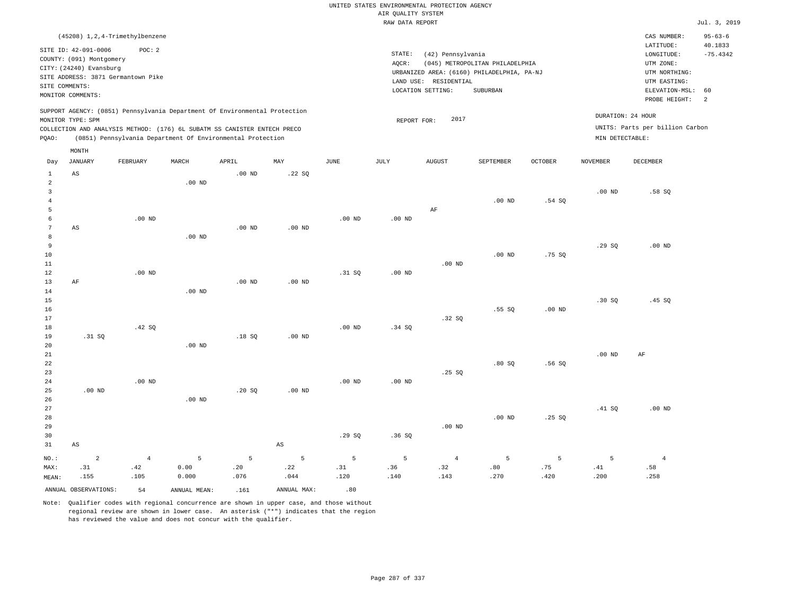|                                                                                                                                                                      |                                                                                                                    |                                                                                  |                    |                                                                            |                        |                                                                                                                                                                                    |                                       | UNITED STATES ENVIRONMENTAL PROTECTION AGENCY |                  |                                                                         |                   |                                                                                                                                                             |               |  |
|----------------------------------------------------------------------------------------------------------------------------------------------------------------------|--------------------------------------------------------------------------------------------------------------------|----------------------------------------------------------------------------------|--------------------|----------------------------------------------------------------------------|------------------------|------------------------------------------------------------------------------------------------------------------------------------------------------------------------------------|---------------------------------------|-----------------------------------------------|------------------|-------------------------------------------------------------------------|-------------------|-------------------------------------------------------------------------------------------------------------------------------------------------------------|---------------|--|
|                                                                                                                                                                      |                                                                                                                    |                                                                                  |                    |                                                                            |                        |                                                                                                                                                                                    | AIR QUALITY SYSTEM<br>RAW DATA REPORT |                                               |                  |                                                                         |                   |                                                                                                                                                             | Jul. 3, 2019  |  |
|                                                                                                                                                                      |                                                                                                                    |                                                                                  |                    |                                                                            |                        |                                                                                                                                                                                    |                                       |                                               |                  |                                                                         |                   |                                                                                                                                                             | $95 - 63 - 6$ |  |
|                                                                                                                                                                      | SITE ID: 42-091-0006<br>COUNTY: (091) Montgomery<br>CITY: (24240) Evansburg<br>SITE COMMENTS:<br>MONITOR COMMENTS: | (45208) 1, 2, 4-Trimethylbenzene<br>POC: 2<br>SITE ADDRESS: 3871 Germantown Pike |                    |                                                                            |                        | STATE:<br>(42) Pennsylvania<br>AQCR:<br>(045) METROPOLITAN PHILADELPHIA<br>URBANIZED AREA: (6160) PHILADELPHIA, PA-NJ<br>LAND USE:<br>RESIDENTIAL<br>LOCATION SETTING:<br>SUBURBAN |                                       |                                               |                  |                                                                         |                   | CAS NUMBER:<br>LATITUDE:<br>40.1833<br>$-75.4342$<br>LONGITUDE:<br>UTM ZONE:<br>UTM NORTHING:<br>UTM EASTING:<br>ELEVATION-MSL:<br>60<br>2<br>PROBE HEIGHT: |               |  |
|                                                                                                                                                                      |                                                                                                                    |                                                                                  |                    | SUPPORT AGENCY: (0851) Pennsylvania Department Of Environmental Protection |                        |                                                                                                                                                                                    |                                       |                                               |                  |                                                                         |                   |                                                                                                                                                             |               |  |
| MONITOR TYPE: SPM<br>COLLECTION AND ANALYSIS METHOD: (176) 6L SUBATM SS CANISTER ENTECH PRECO<br>(0851) Pennsylvania Department Of Environmental Protection<br>PQAO: |                                                                                                                    |                                                                                  |                    |                                                                            |                        |                                                                                                                                                                                    | REPORT FOR:                           | 2017                                          |                  | DURATION: 24 HOUR<br>UNITS: Parts per billion Carbon<br>MIN DETECTABLE: |                   |                                                                                                                                                             |               |  |
| Day                                                                                                                                                                  | MONTH<br><b>JANUARY</b>                                                                                            | FEBRUARY                                                                         | MARCH              | APRIL                                                                      | MAY                    | <b>JUNE</b>                                                                                                                                                                        | <b>JULY</b>                           | <b>AUGUST</b>                                 | SEPTEMBER        | <b>OCTOBER</b>                                                          | <b>NOVEMBER</b>   | <b>DECEMBER</b>                                                                                                                                             |               |  |
| $\mathbf{1}$                                                                                                                                                         | $_{\rm AS}$                                                                                                        |                                                                                  |                    | .00 <sub>ND</sub>                                                          | .22SQ                  |                                                                                                                                                                                    |                                       |                                               |                  |                                                                         |                   |                                                                                                                                                             |               |  |
| $\overline{a}$<br>$\overline{\mathbf{3}}$                                                                                                                            |                                                                                                                    |                                                                                  | $.00$ ND           |                                                                            |                        |                                                                                                                                                                                    |                                       |                                               |                  |                                                                         | .00 <sub>ND</sub> | .58SQ                                                                                                                                                       |               |  |
| $\overline{4}$                                                                                                                                                       |                                                                                                                    |                                                                                  |                    |                                                                            |                        |                                                                                                                                                                                    |                                       |                                               | $.00$ ND         | .54S                                                                    |                   |                                                                                                                                                             |               |  |
| $\overline{5}$<br>6<br>$\overline{7}$                                                                                                                                | AS                                                                                                                 | $.00$ ND                                                                         |                    | $.00$ ND                                                                   | $.00$ ND               | $.00$ ND                                                                                                                                                                           | $.00$ ND                              | AF                                            |                  |                                                                         |                   |                                                                                                                                                             |               |  |
| 8<br>$\overline{9}$<br>10<br>11                                                                                                                                      |                                                                                                                    |                                                                                  | $.00$ ND           |                                                                            |                        |                                                                                                                                                                                    |                                       | $.00$ ND                                      | $.00$ ND         | .75S                                                                    | .29SQ             | $.00$ ND                                                                                                                                                    |               |  |
| $1\,2$<br>13<br>$1\,4$                                                                                                                                               | AF                                                                                                                 | $.00$ ND                                                                         | $.00$ ND           | $.00$ ND                                                                   | $.00$ ND               | .31 SQ                                                                                                                                                                             | $.00$ ND                              |                                               |                  |                                                                         |                   |                                                                                                                                                             |               |  |
| 15<br>16<br>17                                                                                                                                                       |                                                                                                                    |                                                                                  |                    |                                                                            |                        |                                                                                                                                                                                    |                                       | .32 SO                                        | .55SQ            | .00 <sub>ND</sub>                                                       | .30S              | .45SQ                                                                                                                                                       |               |  |
| $1\,8$<br>19<br>$20$                                                                                                                                                 | .31 SQ                                                                                                             | .42 SQ                                                                           | $.00$ ND           | .18S                                                                       | .00 <sub>ND</sub>      | $.00$ ND                                                                                                                                                                           | .34 S0                                |                                               |                  |                                                                         |                   |                                                                                                                                                             |               |  |
| 21<br>22<br>23<br>24                                                                                                                                                 |                                                                                                                    | $.00$ ND                                                                         |                    |                                                                            |                        | .00 <sub>ND</sub>                                                                                                                                                                  | .00 <sub>ND</sub>                     | .25 SQ                                        | .80S             | .56S                                                                    | .00 <sub>ND</sub> | AF                                                                                                                                                          |               |  |
| 25<br>26<br>27                                                                                                                                                       | $.00$ ND                                                                                                           |                                                                                  | $.00$ ND           | .20SQ                                                                      | $.00$ ND               |                                                                                                                                                                                    |                                       |                                               |                  |                                                                         | .41 SQ            | $.00$ ND                                                                                                                                                    |               |  |
| 28<br>29<br>30                                                                                                                                                       |                                                                                                                    |                                                                                  |                    |                                                                            |                        | .29SQ                                                                                                                                                                              | .36SQ                                 | $.00$ ND                                      | $.00$ ND         | .25S                                                                    |                   |                                                                                                                                                             |               |  |
| 31                                                                                                                                                                   | AS                                                                                                                 |                                                                                  |                    |                                                                            | $\mathbb{A}\mathbb{S}$ |                                                                                                                                                                                    |                                       |                                               |                  |                                                                         |                   |                                                                                                                                                             |               |  |
| $NO.$ :<br>MAX:<br>MEAN:                                                                                                                                             | $\overline{a}$<br>.31<br>.155                                                                                      | $\overline{4}$<br>.42<br>.105                                                    | 5<br>0.00<br>0.000 | 5<br>.20<br>.076                                                           | 5<br>.22<br>.044       | 5<br>.31<br>.120                                                                                                                                                                   | 5<br>.36<br>.140                      | $\overline{4}$<br>.32<br>.143                 | 5<br>.80<br>.270 | 5<br>.75<br>.420                                                        | 5<br>.41<br>.200  | $\overline{4}$<br>.58<br>.258                                                                                                                               |               |  |
|                                                                                                                                                                      | ANNUAL OBSERVATIONS:                                                                                               | 54                                                                               | ANNUAL MEAN:       | .161                                                                       | ANNUAL MAX:            | .80                                                                                                                                                                                |                                       |                                               |                  |                                                                         |                   |                                                                                                                                                             |               |  |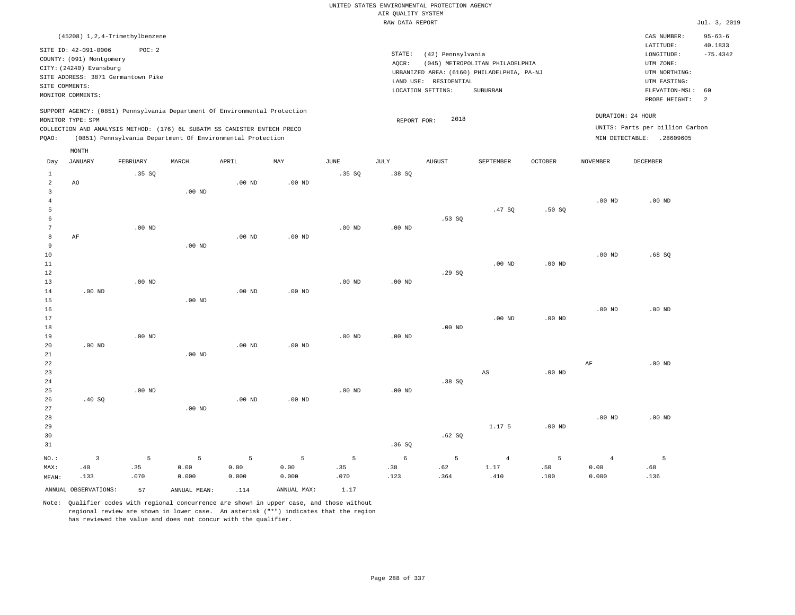|                   |                                                  |                   |                                                                            |                   |             |                   | UNITED STATES ENVIRONMENTAL PROTECTION AGENCY |                       |                                            |          |                   |                                 |                          |
|-------------------|--------------------------------------------------|-------------------|----------------------------------------------------------------------------|-------------------|-------------|-------------------|-----------------------------------------------|-----------------------|--------------------------------------------|----------|-------------------|---------------------------------|--------------------------|
|                   |                                                  |                   |                                                                            |                   |             |                   | AIR QUALITY SYSTEM                            |                       |                                            |          |                   |                                 |                          |
|                   |                                                  |                   |                                                                            |                   |             |                   | RAW DATA REPORT                               |                       |                                            |          |                   |                                 | Jul. 3, 2019             |
|                   | (45208) 1, 2, 4-Trimethylbenzene                 |                   |                                                                            |                   |             |                   |                                               |                       |                                            |          |                   | CAS NUMBER:<br>LATITUDE:        | $95 - 63 - 6$<br>40.1833 |
|                   | SITE ID: 42-091-0006<br>COUNTY: (091) Montgomery | POC: 2            |                                                                            |                   |             |                   | STATE:                                        | (42) Pennsylvania     |                                            |          |                   | LONGITUDE:                      | $-75.4342$               |
|                   | CITY: (24240) Evansburg                          |                   |                                                                            |                   |             |                   | AQCR:                                         |                       | (045) METROPOLITAN PHILADELPHIA            |          |                   | UTM ZONE:                       |                          |
|                   | SITE ADDRESS: 3871 Germantown Pike               |                   |                                                                            |                   |             |                   |                                               |                       | URBANIZED AREA: (6160) PHILADELPHIA, PA-NJ |          |                   | UTM NORTHING:                   |                          |
|                   | SITE COMMENTS:                                   |                   |                                                                            |                   |             |                   |                                               | LAND USE: RESIDENTIAL |                                            |          |                   | UTM EASTING:                    |                          |
|                   | MONITOR COMMENTS:                                |                   |                                                                            |                   |             |                   |                                               | LOCATION SETTING:     | SUBURBAN                                   |          |                   | ELEVATION-MSL:<br>PROBE HEIGHT: | 60<br>2                  |
|                   | MONITOR TYPE: SPM                                |                   | SUPPORT AGENCY: (0851) Pennsylvania Department Of Environmental Protection |                   |             |                   | REPORT FOR:                                   | 2018                  |                                            |          |                   | DURATION: 24 HOUR               |                          |
|                   |                                                  |                   | COLLECTION AND ANALYSIS METHOD: (176) 6L SUBATM SS CANISTER ENTECH PRECO   |                   |             |                   |                                               |                       |                                            |          |                   | UNITS: Parts per billion Carbon |                          |
| PQAO:             |                                                  |                   | (0851) Pennsylvania Department Of Environmental Protection                 |                   |             |                   |                                               |                       |                                            |          |                   | MIN DETECTABLE: .28609605       |                          |
|                   | MONTH                                            |                   |                                                                            |                   |             |                   |                                               |                       |                                            |          |                   |                                 |                          |
| Day               | <b>JANUARY</b>                                   | FEBRUARY          | MARCH                                                                      | APRIL             | MAY         | $\mathtt{JUNE}$   | JULY                                          | <b>AUGUST</b>         | SEPTEMBER                                  | OCTOBER  | <b>NOVEMBER</b>   | <b>DECEMBER</b>                 |                          |
| $\mathbf{1}$<br>2 | A0                                               | .35 SQ            |                                                                            | .00 <sub>ND</sub> | $.00$ ND    | .35 SQ            | .38SQ                                         |                       |                                            |          |                   |                                 |                          |
| $\overline{3}$    |                                                  |                   | $.00$ ND                                                                   |                   |             |                   |                                               |                       |                                            |          |                   |                                 |                          |
| $\overline{4}$    |                                                  |                   |                                                                            |                   |             |                   |                                               |                       |                                            |          | .00 <sub>ND</sub> | $.00$ ND                        |                          |
| 5                 |                                                  |                   |                                                                            |                   |             |                   |                                               |                       | .47S                                       | .50S     |                   |                                 |                          |
| 6                 |                                                  |                   |                                                                            |                   |             |                   |                                               | .53S                  |                                            |          |                   |                                 |                          |
| $\overline{7}$    |                                                  | $.00$ ND          |                                                                            |                   |             | .00 <sub>ND</sub> | .00 <sub>ND</sub>                             |                       |                                            |          |                   |                                 |                          |
| 8                 | AF                                               |                   |                                                                            | $.00$ ND          | $.00$ ND    |                   |                                               |                       |                                            |          |                   |                                 |                          |
| 9                 |                                                  |                   | $.00$ ND                                                                   |                   |             |                   |                                               |                       |                                            |          |                   |                                 |                          |
| 10                |                                                  |                   |                                                                            |                   |             |                   |                                               |                       |                                            |          | .00 <sub>ND</sub> | .68SQ                           |                          |
| $11\,$            |                                                  |                   |                                                                            |                   |             |                   |                                               |                       | $.00$ ND                                   | $.00$ ND |                   |                                 |                          |
| 12<br>13          |                                                  | .00 <sub>ND</sub> |                                                                            |                   |             | .00 <sub>ND</sub> | $.00$ ND                                      | .29S                  |                                            |          |                   |                                 |                          |
| 14                | $.00$ ND                                         |                   |                                                                            | $.00$ ND          | $.00$ ND    |                   |                                               |                       |                                            |          |                   |                                 |                          |
| 15                |                                                  |                   | $.00$ ND                                                                   |                   |             |                   |                                               |                       |                                            |          |                   |                                 |                          |
| 16                |                                                  |                   |                                                                            |                   |             |                   |                                               |                       |                                            |          | .00 <sub>ND</sub> | $.00$ ND                        |                          |
| 17                |                                                  |                   |                                                                            |                   |             |                   |                                               |                       | $.00$ ND                                   | $.00$ ND |                   |                                 |                          |
| 18                |                                                  |                   |                                                                            |                   |             |                   |                                               | $.00$ ND              |                                            |          |                   |                                 |                          |
| 19                |                                                  | .00 <sub>ND</sub> |                                                                            |                   |             | .00 <sub>ND</sub> | $.00$ ND                                      |                       |                                            |          |                   |                                 |                          |
| 20                | $.00$ ND                                         |                   |                                                                            | .00 <sub>ND</sub> | $.00$ ND    |                   |                                               |                       |                                            |          |                   |                                 |                          |
| 21                |                                                  |                   | $.00$ ND                                                                   |                   |             |                   |                                               |                       |                                            |          |                   |                                 |                          |
| 22                |                                                  |                   |                                                                            |                   |             |                   |                                               |                       |                                            |          | AF                | $.00$ ND                        |                          |
| 23                |                                                  |                   |                                                                            |                   |             |                   |                                               |                       | AS                                         | $.00$ ND |                   |                                 |                          |
| 24<br>25          |                                                  | $.00$ ND          |                                                                            |                   |             | $.00$ ND          | $.00$ ND                                      | .38 S                 |                                            |          |                   |                                 |                          |
| 26                | .40 SQ                                           |                   |                                                                            | $.00$ ND          | $.00$ ND    |                   |                                               |                       |                                            |          |                   |                                 |                          |
| 27                |                                                  |                   | $.00$ ND                                                                   |                   |             |                   |                                               |                       |                                            |          |                   |                                 |                          |
| 28                |                                                  |                   |                                                                            |                   |             |                   |                                               |                       |                                            |          | .00 <sub>ND</sub> | $.00$ ND                        |                          |
| 29                |                                                  |                   |                                                                            |                   |             |                   |                                               |                       | 1.17 5                                     | $.00$ ND |                   |                                 |                          |
| 30                |                                                  |                   |                                                                            |                   |             |                   |                                               | .62SQ                 |                                            |          |                   |                                 |                          |
| 31                |                                                  |                   |                                                                            |                   |             |                   | .36SQ                                         |                       |                                            |          |                   |                                 |                          |
| NO.:              | $\overline{\mathbf{3}}$                          | 5                 | 5                                                                          | 5                 | 5           | 5                 | 6                                             | 5                     | $\overline{4}$                             | 5        | $\overline{4}$    | 5                               |                          |
| MAX:              | .40                                              | .35               | 0.00                                                                       | 0.00              | 0.00        | .35               | .38                                           | .62                   | 1.17                                       | .50      | 0.00              | .68                             |                          |
| MEAN:             | .133                                             | .070              | 0.000                                                                      | 0.000             | 0.000       | .070              | .123                                          | .364                  | .410                                       | .100     | 0.000             | .136                            |                          |
|                   | ANNUAL OBSERVATIONS:                             | 57                | ANNUAL MEAN:                                                               | .114              | ANNUAL MAX: | 1.17              |                                               |                       |                                            |          |                   |                                 |                          |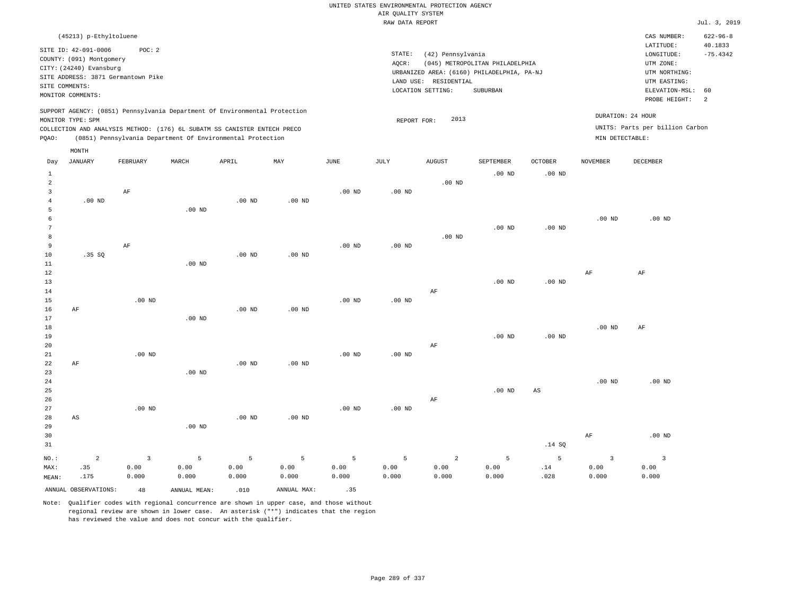|                |                          |                                    |                                                                            |                   |                   |             | RAW DATA REPORT |                                            |                                 |                   |                   |                                 | Jul. 3, 2019       |
|----------------|--------------------------|------------------------------------|----------------------------------------------------------------------------|-------------------|-------------------|-------------|-----------------|--------------------------------------------|---------------------------------|-------------------|-------------------|---------------------------------|--------------------|
|                | (45213) p-Ethyltoluene   |                                    |                                                                            |                   |                   |             |                 |                                            |                                 |                   |                   | CAS NUMBER:                     | $622 - 96 - 8$     |
|                | SITE ID: 42-091-0006     | POC: 2                             |                                                                            |                   |                   |             |                 |                                            |                                 |                   |                   | LATITUDE:                       | 40.1833            |
|                | COUNTY: (091) Montgomery |                                    |                                                                            |                   |                   |             | STATE:          | (42) Pennsylvania                          |                                 |                   |                   | LONGITUDE:                      | $-75.4342$         |
|                | CITY: (24240) Evansburg  |                                    |                                                                            |                   |                   |             | AOCR:           |                                            | (045) METROPOLITAN PHILADELPHIA |                   |                   | UTM ZONE:                       |                    |
|                |                          | SITE ADDRESS: 3871 Germantown Pike |                                                                            |                   |                   |             |                 | URBANIZED AREA: (6160) PHILADELPHIA, PA-NJ |                                 |                   |                   | UTM NORTHING:                   |                    |
|                | SITE COMMENTS:           |                                    |                                                                            |                   |                   |             |                 | LAND USE: RESIDENTIAL                      |                                 |                   |                   | UTM EASTING:                    |                    |
|                | MONITOR COMMENTS:        |                                    |                                                                            |                   |                   |             |                 | LOCATION SETTING:                          | SUBURBAN                        |                   |                   | ELEVATION-MSL:                  | 60<br><sup>2</sup> |
|                |                          |                                    |                                                                            |                   |                   |             |                 |                                            |                                 |                   |                   | PROBE HEIGHT:                   |                    |
|                |                          |                                    | SUPPORT AGENCY: (0851) Pennsylvania Department Of Environmental Protection |                   |                   |             |                 |                                            |                                 |                   | DURATION: 24 HOUR |                                 |                    |
|                | MONITOR TYPE: SPM        |                                    |                                                                            |                   |                   |             | REPORT FOR:     | 2013                                       |                                 |                   |                   | UNITS: Parts per billion Carbon |                    |
|                |                          |                                    | COLLECTION AND ANALYSIS METHOD: (176) 6L SUBATM SS CANISTER ENTECH PRECO   |                   |                   |             |                 |                                            |                                 |                   |                   |                                 |                    |
| POAO:          |                          |                                    | (0851) Pennsylvania Department Of Environmental Protection                 |                   |                   |             |                 |                                            |                                 |                   | MIN DETECTABLE:   |                                 |                    |
|                | MONTH                    |                                    |                                                                            |                   |                   |             |                 |                                            |                                 |                   |                   |                                 |                    |
| Day            | JANUARY                  | FEBRUARY                           | MARCH                                                                      | APRIL             | MAY               | <b>JUNE</b> | JULY            | <b>AUGUST</b>                              | SEPTEMBER                       | <b>OCTOBER</b>    | <b>NOVEMBER</b>   | DECEMBER                        |                    |
| $\mathbf{1}$   |                          |                                    |                                                                            |                   |                   |             |                 |                                            | $.00$ ND                        | $.00$ ND          |                   |                                 |                    |
| $\overline{2}$ |                          |                                    |                                                                            |                   |                   |             |                 | $.00$ ND                                   |                                 |                   |                   |                                 |                    |
| $\overline{3}$ |                          | AF                                 |                                                                            |                   |                   | $.00$ ND    | $.00$ ND        |                                            |                                 |                   |                   |                                 |                    |
| $\overline{4}$ | $.00$ ND                 |                                    |                                                                            | $.00$ ND          | .00 <sub>ND</sub> |             |                 |                                            |                                 |                   |                   |                                 |                    |
| 5              |                          |                                    | $.00$ ND                                                                   |                   |                   |             |                 |                                            |                                 |                   |                   |                                 |                    |
|                |                          |                                    |                                                                            |                   |                   |             |                 |                                            |                                 |                   | .00 <sub>ND</sub> | $.00$ ND                        |                    |
| 7              |                          |                                    |                                                                            |                   |                   |             |                 |                                            | $.00$ ND                        | $.00$ ND          |                   |                                 |                    |
| 8              |                          |                                    |                                                                            |                   |                   |             |                 | $.00$ ND                                   |                                 |                   |                   |                                 |                    |
| 9              |                          | $\rm AF$                           |                                                                            |                   |                   | $.00$ ND    | $.00$ ND        |                                            |                                 |                   |                   |                                 |                    |
| 10             | .35SQ                    |                                    |                                                                            | .00 <sub>ND</sub> | $.00$ ND          |             |                 |                                            |                                 |                   |                   |                                 |                    |
| 11             |                          |                                    | $.00$ ND                                                                   |                   |                   |             |                 |                                            |                                 |                   |                   |                                 |                    |
| 12             |                          |                                    |                                                                            |                   |                   |             |                 |                                            |                                 |                   | AF                | AF                              |                    |
| 13             |                          |                                    |                                                                            |                   |                   |             |                 |                                            | .00 <sub>ND</sub>               | .00 <sub>ND</sub> |                   |                                 |                    |
| 14             |                          |                                    |                                                                            |                   |                   |             |                 | $\rm{AF}$                                  |                                 |                   |                   |                                 |                    |
| 15             |                          | $.00$ ND                           |                                                                            |                   |                   | $.00$ ND    | $.00$ ND        |                                            |                                 |                   |                   |                                 |                    |
| 16             | AF                       |                                    |                                                                            | $.00$ ND          | $.00$ ND          |             |                 |                                            |                                 |                   |                   |                                 |                    |
| 17             |                          |                                    | $.00$ ND                                                                   |                   |                   |             |                 |                                            |                                 |                   |                   |                                 |                    |
| 18             |                          |                                    |                                                                            |                   |                   |             |                 |                                            |                                 |                   | .00 <sub>ND</sub> | $\rm AF$                        |                    |
| 19             |                          |                                    |                                                                            |                   |                   |             |                 |                                            | .00 <sub>ND</sub>               | .00 <sub>ND</sub> |                   |                                 |                    |

| $.00$ ND | $.00$ ND | $.00$ ND | $.00$ ND | $.00$ ND | $.00$ ND | AF |          |    |          |
|----------|----------|----------|----------|----------|----------|----|----------|----|----------|
| $.00$ ND | 00.375   | $.00$ ND | $.00$ ND | $.00$ ND | $.00$ ND | AF | $.00$ ND | AS | $.00$ ND |

.00 ND

| 29    |          |       | $.00$ ND |       |                  |       |                                     |       |       |      |                         |                   |
|-------|----------|-------|----------|-------|------------------|-------|-------------------------------------|-------|-------|------|-------------------------|-------------------|
| 30    |          |       |          |       |                  |       |                                     |       |       |      | AF                      | .00 <sub>ND</sub> |
| 31    |          |       |          |       |                  |       |                                     |       |       | .14S |                         |                   |
| NO.:  | $\sim$ 2 |       |          |       | <b>3</b> 5 5 5 5 |       | $5 \qquad \qquad 5 \qquad \qquad 2$ |       |       | 5    | $\overline{\mathbf{3}}$ |                   |
| : MAX | .35      | 0.00  | 0.00     | 0.00  | 0.00             | 0.00  | 0.00                                | 0.00  | 0.00  | .14  | 0.00                    | 0.00              |
| MEAN: | .175     | 0.000 | 0.000    | 0.000 | 0.000            | 0.000 | 0.000                               | 0.000 | 0.000 | .028 | 0.000                   | 0.000             |
|       |          |       |          |       |                  |       |                                     |       |       |      |                         |                   |

ANNUAL OBSERVATIONS:  $48$  ANNUAL MEAN: .010 ANNUAL MAX: .35

AF

AS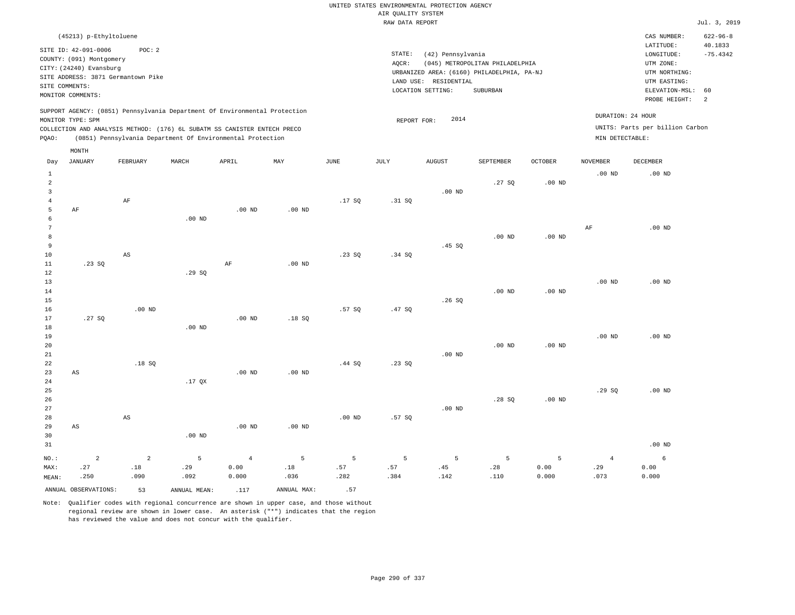|                     |                          |                                    |                   |                                                                            |          |                   | AIR QUALITY SYSTEM | UNITED STATES ENVIRONMENTAL PROTECTION AGENCY |                                 |                   |                   |                                 |                           |
|---------------------|--------------------------|------------------------------------|-------------------|----------------------------------------------------------------------------|----------|-------------------|--------------------|-----------------------------------------------|---------------------------------|-------------------|-------------------|---------------------------------|---------------------------|
|                     |                          |                                    |                   |                                                                            |          |                   | RAW DATA REPORT    |                                               |                                 |                   |                   |                                 | Jul. 3, 2019              |
|                     | (45213) p-Ethyltoluene   |                                    |                   |                                                                            |          |                   |                    |                                               |                                 |                   |                   | CAS NUMBER:<br>LATITUDE:        | $622 - 96 - 8$<br>40.1833 |
|                     | SITE ID: 42-091-0006     | POC: 2                             |                   |                                                                            |          |                   | $\texttt{STATE}$ : | (42) Pennsylvania                             |                                 |                   |                   | LONGITUDE:                      | $-75.4342$                |
|                     | COUNTY: (091) Montgomery |                                    |                   |                                                                            |          |                   | AQCR:              |                                               | (045) METROPOLITAN PHILADELPHIA |                   |                   | UTM ZONE:                       |                           |
|                     | CITY: (24240) Evansburg  |                                    |                   |                                                                            |          |                   |                    | URBANIZED AREA: (6160) PHILADELPHIA, PA-NJ    |                                 |                   |                   | UTM NORTHING:                   |                           |
| SITE COMMENTS:      |                          | SITE ADDRESS: 3871 Germantown Pike |                   |                                                                            |          |                   |                    | LAND USE: RESIDENTIAL                         |                                 |                   |                   | UTM EASTING:                    |                           |
|                     | MONITOR COMMENTS:        |                                    |                   |                                                                            |          |                   |                    | LOCATION SETTING:                             | SUBURBAN                        |                   |                   | ELEVATION-MSL: 60               |                           |
|                     |                          |                                    |                   |                                                                            |          |                   |                    |                                               |                                 |                   |                   | PROBE HEIGHT:                   | 2                         |
|                     | MONITOR TYPE: SPM        |                                    |                   | SUPPORT AGENCY: (0851) Pennsylvania Department Of Environmental Protection |          |                   | REPORT FOR:        | 2014                                          |                                 |                   |                   | DURATION: 24 HOUR               |                           |
|                     |                          |                                    |                   | COLLECTION AND ANALYSIS METHOD: (176) 6L SUBATM SS CANISTER ENTECH PRECO   |          |                   |                    |                                               |                                 |                   |                   | UNITS: Parts per billion Carbon |                           |
| PQAO:               |                          |                                    |                   | (0851) Pennsylvania Department Of Environmental Protection                 |          |                   |                    |                                               |                                 |                   | MIN DETECTABLE:   |                                 |                           |
|                     | MONTH                    |                                    |                   |                                                                            |          |                   |                    |                                               |                                 |                   |                   |                                 |                           |
| Day                 | <b>JANUARY</b>           | FEBRUARY                           | MARCH             | APRIL                                                                      | MAY      | <b>JUNE</b>       | JULY               | <b>AUGUST</b>                                 | SEPTEMBER                       | <b>OCTOBER</b>    | <b>NOVEMBER</b>   | DECEMBER                        |                           |
| $\mathbf{1}$        |                          |                                    |                   |                                                                            |          |                   |                    |                                               |                                 |                   | .00 <sub>ND</sub> | $.00$ ND                        |                           |
| $\overline{a}$      |                          |                                    |                   |                                                                            |          |                   |                    |                                               | .27SQ                           | .00 <sub>ND</sub> |                   |                                 |                           |
| 3                   |                          |                                    |                   |                                                                            |          |                   |                    | $.00$ ND                                      |                                 |                   |                   |                                 |                           |
| $\overline{4}$<br>5 | AF                       | $\rm{AF}$                          |                   | $.00$ ND                                                                   | $.00$ ND | .17SQ             | .31 SQ             |                                               |                                 |                   |                   |                                 |                           |
| 6                   |                          |                                    | $.00$ ND          |                                                                            |          |                   |                    |                                               |                                 |                   |                   |                                 |                           |
| $\overline{7}$      |                          |                                    |                   |                                                                            |          |                   |                    |                                               |                                 |                   | $\rm{AF}$         | $.00$ ND                        |                           |
| 8                   |                          |                                    |                   |                                                                            |          |                   |                    |                                               | .00 <sub>ND</sub>               | $.00$ ND          |                   |                                 |                           |
| 9                   |                          |                                    |                   |                                                                            |          |                   |                    | .45SQ                                         |                                 |                   |                   |                                 |                           |
| $10$                |                          | $\mathbb{A}\mathbb{S}$             |                   |                                                                            |          | .23SQ             | .34 SQ             |                                               |                                 |                   |                   |                                 |                           |
| $11\,$              | .23SQ                    |                                    |                   | AF                                                                         | $.00$ ND |                   |                    |                                               |                                 |                   |                   |                                 |                           |
| 12                  |                          |                                    | .29SQ             |                                                                            |          |                   |                    |                                               |                                 |                   |                   |                                 |                           |
| 13                  |                          |                                    |                   |                                                                            |          |                   |                    |                                               |                                 |                   | .00 <sub>ND</sub> | $.00$ ND                        |                           |
| 14<br>15            |                          |                                    |                   |                                                                            |          |                   |                    | .26S                                          | $.00$ ND                        | $.00$ ND          |                   |                                 |                           |
| 16                  |                          | $.00$ ND                           |                   |                                                                            |          | .57SQ             | .47 SQ             |                                               |                                 |                   |                   |                                 |                           |
| 17                  | .27SQ                    |                                    |                   | $.00$ ND                                                                   | .18SQ    |                   |                    |                                               |                                 |                   |                   |                                 |                           |
| $18\,$              |                          |                                    | $.00$ ND          |                                                                            |          |                   |                    |                                               |                                 |                   |                   |                                 |                           |
| 19                  |                          |                                    |                   |                                                                            |          |                   |                    |                                               |                                 |                   | .00 <sub>ND</sub> | $.00$ ND                        |                           |
| 20                  |                          |                                    |                   |                                                                            |          |                   |                    |                                               | $.00$ ND                        | $.00$ ND          |                   |                                 |                           |
| 21                  |                          |                                    |                   |                                                                            |          |                   |                    | $.00$ ND                                      |                                 |                   |                   |                                 |                           |
| 22                  |                          | .18SQ                              |                   |                                                                            |          | .44 SQ            | .23SQ              |                                               |                                 |                   |                   |                                 |                           |
| 23                  | AS                       |                                    |                   | $.00$ ND                                                                   | $.00$ ND |                   |                    |                                               |                                 |                   |                   |                                 |                           |
| 24<br>25            |                          |                                    | .17 <sub>OX</sub> |                                                                            |          |                   |                    |                                               |                                 |                   | .29SQ             | $.00$ ND                        |                           |
| 26                  |                          |                                    |                   |                                                                            |          |                   |                    |                                               | .28S                            | .00 <sub>ND</sub> |                   |                                 |                           |
| 27                  |                          |                                    |                   |                                                                            |          |                   |                    | .00 <sub>ND</sub>                             |                                 |                   |                   |                                 |                           |
| 28                  |                          | $\mathbb{A}\mathbb{S}$             |                   |                                                                            |          | .00 <sub>ND</sub> | .57SQ              |                                               |                                 |                   |                   |                                 |                           |
| 29                  | AS                       |                                    |                   | $.00$ ND                                                                   | $.00$ ND |                   |                    |                                               |                                 |                   |                   |                                 |                           |
| 30                  |                          |                                    | .00 <sub>ND</sub> |                                                                            |          |                   |                    |                                               |                                 |                   |                   |                                 |                           |
| 31                  |                          |                                    |                   |                                                                            |          |                   |                    |                                               |                                 |                   |                   | $.00$ ND                        |                           |
| NO.:                | $\overline{2}$           | $\overline{2}$                     | 5                 | $\overline{4}$                                                             | 5        | 5                 | 5                  | 5                                             | 5                               | 5                 | $\overline{4}$    | 6                               |                           |
| MAX:                | .27                      | .18                                | .29               | 0.00                                                                       | .18      | .57               | .57                | .45                                           | .28                             | 0.00              | .29               | 0.00                            |                           |

ANNUAL OBSERVATIONS: 53 ANNUAL MEAN: .117 ANNUAL MAX: .57 Note: Qualifier codes with regional concurrence are shown in upper case, and those without regional review are shown in lower case. An asterisk ("\*") indicates that the region has reviewed the value and does not concur with the qualifier.

0.000

.036

.282

.092

NO.: MAX: MEAN:

.250

.090

.384

.142

.110

0.000

.073

0.000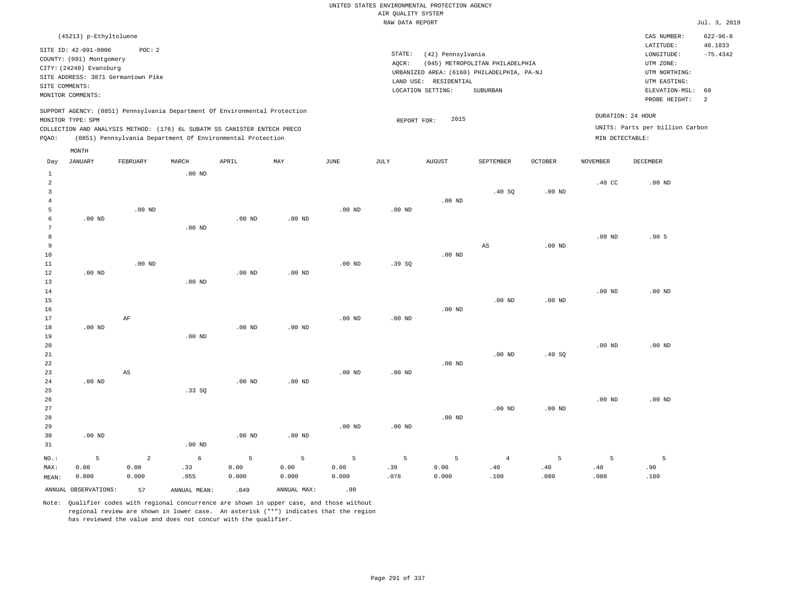|       |                                                                                                                    |                                                                                                                                                                                                                      |          |          |          |                   | RAW DATA REPORT              |                                                       |                                                                                           |                   |                                      |                                                                                         | Jul. 3, 2019                |
|-------|--------------------------------------------------------------------------------------------------------------------|----------------------------------------------------------------------------------------------------------------------------------------------------------------------------------------------------------------------|----------|----------|----------|-------------------|------------------------------|-------------------------------------------------------|-------------------------------------------------------------------------------------------|-------------------|--------------------------------------|-----------------------------------------------------------------------------------------|-----------------------------|
|       | (45213) p-Ethyltoluene                                                                                             |                                                                                                                                                                                                                      |          |          |          |                   |                              |                                                       |                                                                                           |                   |                                      | CAS NUMBER:                                                                             | $622 - 96 - 8$              |
|       | SITE ID: 42-091-0006<br>COUNTY: (091) Montgomery<br>CITY: (24240) Evansburg<br>SITE COMMENTS:<br>MONITOR COMMENTS: | POC: 2<br>SITE ADDRESS: 3871 Germantown Pike                                                                                                                                                                         |          |          |          |                   | STATE:<br>AOCR:<br>LAND USE: | (42) Pennsylvania<br>RESIDENTIAL<br>LOCATION SETTING: | (045) METROPOLITAN PHILADELPHIA<br>URBANIZED AREA: (6160) PHILADELPHIA, PA-NJ<br>SUBURBAN |                   |                                      | LATITUDE:<br>LONGITUDE:<br>UTM ZONE:<br>UTM NORTHING:<br>UTM EASTING:<br>ELEVATION-MSL: | 40.1833<br>$-75.4342$<br>60 |
| POAO: | MONITOR TYPE: SPM                                                                                                  | SUPPORT AGENCY: (0851) Pennsylvania Department Of Environmental Protection<br>COLLECTION AND ANALYSIS METHOD: (176) 6L SUBATM SS CANISTER ENTECH PRECO<br>(0851) Pennsylvania Department Of Environmental Protection |          |          |          |                   | REPORT FOR:                  | 2015                                                  |                                                                                           |                   | DURATION: 24 HOUR<br>MIN DETECTABLE: | PROBE HEIGHT:<br>UNITS: Parts per billion Carbon                                        | <sup>2</sup>                |
| Day   | MONTH<br><b>JANUARY</b>                                                                                            | FEBRUARY                                                                                                                                                                                                             | MARCH    | APRIL    | MAY      | JUNE              | JULY                         | <b>AUGUST</b>                                         | SEPTEMBER                                                                                 | <b>OCTOBER</b>    | NOVEMBER                             | <b>DECEMBER</b>                                                                         |                             |
|       |                                                                                                                    | $.00$ ND                                                                                                                                                                                                             | $.00$ ND |          |          | .00 <sub>ND</sub> | .00 <sub>ND</sub>            | $.00$ ND                                              | .40 SQ                                                                                    | $.00$ ND          | .40 <sub>C</sub>                     | $.00$ ND                                                                                |                             |
|       | $.00$ ND                                                                                                           |                                                                                                                                                                                                                      | $.00$ ND | $.00$ ND | $.00$ ND |                   |                              |                                                       |                                                                                           |                   |                                      |                                                                                         |                             |
| q     |                                                                                                                    |                                                                                                                                                                                                                      |          |          |          |                   |                              |                                                       | AS                                                                                        | .00 <sub>ND</sub> | .00 <sub>ND</sub>                    | .905                                                                                    |                             |

| 10          |          |          |          |          |          |          |          | $.00$ ND |          |          |          |          |
|-------------|----------|----------|----------|----------|----------|----------|----------|----------|----------|----------|----------|----------|
| 11          |          | $.00$ ND |          |          |          | $.00$ ND | .39SQ    |          |          |          |          |          |
| 12          | $.00$ ND |          |          | $.00$ ND | $.00$ ND |          |          |          |          |          |          |          |
| 13          |          |          | $.00$ ND |          |          |          |          |          |          |          |          |          |
| $14\,$      |          |          |          |          |          |          |          |          |          |          | $.00$ ND | .00 $ND$ |
| $15\,$      |          |          |          |          |          |          |          |          | $.00$ ND | $.00$ ND |          |          |
| 16          |          |          |          |          |          |          |          | $.00$ ND |          |          |          |          |
| 17          |          | AF       |          |          |          | $.00$ ND | $.00$ ND |          |          |          |          |          |
| 18          | $.00$ ND |          |          | $.00$ ND | $.00$ ND |          |          |          |          |          |          |          |
| 19          |          |          | $.00$ ND |          |          |          |          |          |          |          |          |          |
| 20          |          |          |          |          |          |          |          |          |          |          | $.00$ ND | $.00$ ND |
| $21\,$      |          |          |          |          |          |          |          |          | $.00$ ND | .40SQ    |          |          |
| $^{\rm 22}$ |          |          |          |          |          |          |          | $.00$ ND |          |          |          |          |
| 23          |          | AS       |          |          |          | $.00$ ND | $.00$ ND |          |          |          |          |          |
| 24          | $.00$ ND |          |          | $.00$ ND | $.00$ ND |          |          |          |          |          |          |          |
| 25          |          |          | .33SQ    |          |          |          |          |          |          |          |          |          |
| 26          |          |          |          |          |          |          |          |          |          |          | $.00$ ND | $.00$ ND |

|         |          |       |          |          |          |                   |          |          |          |          | .    | .    |
|---------|----------|-------|----------|----------|----------|-------------------|----------|----------|----------|----------|------|------|
| 27      |          |       |          |          |          |                   |          |          | $.00$ ND | $.00$ ND |      |      |
| 28      |          |       |          |          |          |                   |          | $.00$ ND |          |          |      |      |
| 29      |          |       |          |          |          | .00 <sub>ND</sub> | $.00$ ND |          |          |          |      |      |
| 30      | $.00$ ND |       |          | $.00$ ND | $.00$ ND |                   |          |          |          |          |      |      |
| 31      |          |       | $.00$ ND |          |          |                   |          |          |          |          |      |      |
| $NO.$ : |          | 2     |          | -5       | 5.       | 5                 | -5       | 5        | 4        |          |      |      |
| MAX:    | 0.00     | 0.00  | .33      | 0.00     | 0.00     | 0.00              | .39      | 0.00     | .40      | .40      | .40  | .90  |
| MEAN:   | 0.000    | 0.000 | .055     | 0.000    | 0.000    | 0.000             | .078     | 0.000    | .100     | .080     | .080 | .180 |

Note: Qualifier codes with regional concurrence are shown in upper case, and those without regional review are shown in lower case. An asterisk ("\*") indicates that the region has reviewed the value and does not concur with the qualifier.

ANNUAL OBSERVATIONS: 57 ANNUAL MEAN: .049 ANNUAL MAX: .90

MEAN: 0.000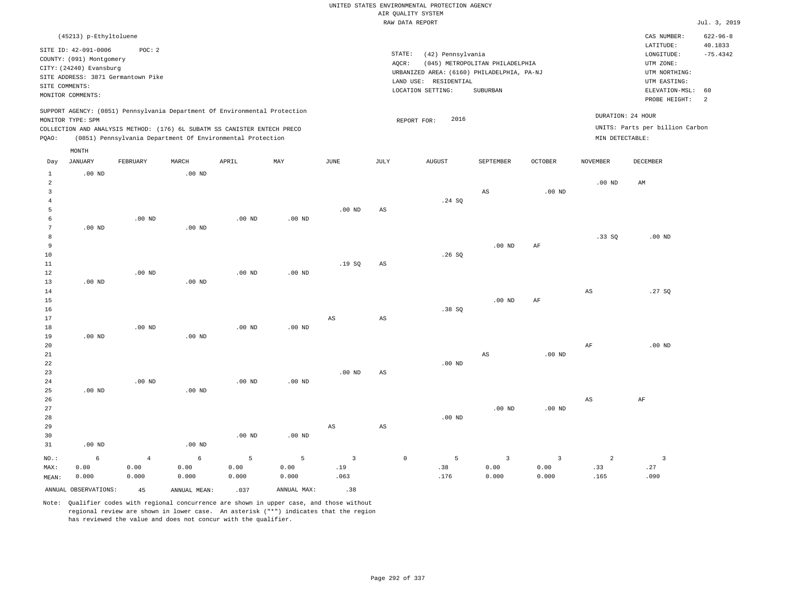|                                                    |                                                                                                                                              |                                              |                   |                                                                                                                                        |                   |                         |                 | UNITED STATES ENVIRONMENTAL PROTECTION AGENCY<br>AIR QUALITY SYSTEM<br>RAW DATA REPORT                                           |                                             |                |                        |                                                                                                                         | Jul. 3, 2019                                       |
|----------------------------------------------------|----------------------------------------------------------------------------------------------------------------------------------------------|----------------------------------------------|-------------------|----------------------------------------------------------------------------------------------------------------------------------------|-------------------|-------------------------|-----------------|----------------------------------------------------------------------------------------------------------------------------------|---------------------------------------------|----------------|------------------------|-------------------------------------------------------------------------------------------------------------------------|----------------------------------------------------|
|                                                    |                                                                                                                                              |                                              |                   |                                                                                                                                        |                   |                         |                 |                                                                                                                                  |                                             |                |                        |                                                                                                                         |                                                    |
|                                                    | (45213) p-Ethyltoluene<br>SITE ID: 42-091-0006<br>COUNTY: (091) Montgomery<br>CITY: (24240) Evansburg<br>SITE COMMENTS:<br>MONITOR COMMENTS: | POC: 2<br>SITE ADDRESS: 3871 Germantown Pike |                   |                                                                                                                                        |                   |                         |                 | STATE:<br>(42) Pennsylvania<br>AQCR:<br>URBANIZED AREA: (6160) PHILADELPHIA, PA-NJ<br>LAND USE: RESIDENTIAL<br>LOCATION SETTING: | (045) METROPOLITAN PHILADELPHIA<br>SUBURBAN |                |                        | CAS NUMBER:<br>LATITUDE:<br>LONGITUDE:<br>UTM ZONE:<br>UTM NORTHING:<br>UTM EASTING:<br>ELEVATION-MSL:<br>PROBE HEIGHT: | $622 - 96 - 8$<br>40.1833<br>$-75.4342$<br>60<br>2 |
|                                                    |                                                                                                                                              |                                              |                   | SUPPORT AGENCY: (0851) Pennsylvania Department Of Environmental Protection                                                             |                   |                         |                 |                                                                                                                                  |                                             |                | DURATION: 24 HOUR      |                                                                                                                         |                                                    |
| PQAO:                                              | MONITOR TYPE: SPM                                                                                                                            |                                              |                   | COLLECTION AND ANALYSIS METHOD: (176) 6L SUBATM SS CANISTER ENTECH PRECO<br>(0851) Pennsylvania Department Of Environmental Protection |                   |                         |                 | 2016<br>REPORT FOR:                                                                                                              |                                             |                | MIN DETECTABLE:        | UNITS: Parts per billion Carbon                                                                                         |                                                    |
| Day                                                | MONTH<br><b>JANUARY</b>                                                                                                                      | FEBRUARY                                     | MARCH             | APRIL                                                                                                                                  | MAY               | $_{\rm JUNE}$           | $\mathtt{JULY}$ | ${\tt AUGUST}$                                                                                                                   | SEPTEMBER                                   | <b>OCTOBER</b> | <b>NOVEMBER</b>        | DECEMBER                                                                                                                |                                                    |
| $\mathbf{1}$                                       | $.00$ ND                                                                                                                                     |                                              | $.00$ ND          |                                                                                                                                        |                   |                         |                 |                                                                                                                                  |                                             |                |                        |                                                                                                                         |                                                    |
| $\overline{2}$<br>$\overline{3}$<br>$\overline{4}$ |                                                                                                                                              |                                              |                   |                                                                                                                                        |                   |                         |                 | .24 SQ                                                                                                                           | $_{\rm AS}$                                 | $.00$ ND       | .00 <sub>ND</sub>      | AM                                                                                                                      |                                                    |
| 5                                                  |                                                                                                                                              |                                              |                   |                                                                                                                                        |                   | $.00$ ND                | $_{\rm AS}$     |                                                                                                                                  |                                             |                |                        |                                                                                                                         |                                                    |
| 6<br>$7\phantom{.0}$<br>$^{\rm 8}$                 | $.00$ ND                                                                                                                                     | $.00$ ND                                     | $.00$ ND          | .00 <sub>ND</sub>                                                                                                                      | .00 <sub>ND</sub> |                         |                 |                                                                                                                                  |                                             |                | .33SQ                  | $.00$ ND                                                                                                                |                                                    |
| 9<br>$10$<br>$1\,1$<br>12                          |                                                                                                                                              | $.00$ ND                                     |                   | .00 <sub>ND</sub>                                                                                                                      | $.00$ ND          | .19S                    | $_{\rm AS}$     | .26SQ                                                                                                                            | $.00$ ND                                    | AF             |                        |                                                                                                                         |                                                    |
| 13<br>14<br>15                                     | .00 <sub>ND</sub>                                                                                                                            |                                              | .00 <sub>ND</sub> |                                                                                                                                        |                   |                         |                 |                                                                                                                                  | $.00$ ND                                    | $\rm{AF}$      | $_{\rm AS}$            | .27S                                                                                                                    |                                                    |
| 16<br>17<br>18                                     |                                                                                                                                              | $.00$ ND                                     |                   | .00 <sub>ND</sub>                                                                                                                      | .00 <sub>ND</sub> | $_{\rm AS}$             | $_{\rm AS}$     | .38SQ                                                                                                                            |                                             |                |                        |                                                                                                                         |                                                    |
| 19<br>20<br>21                                     | $.00$ ND                                                                                                                                     |                                              | $.00$ ND          |                                                                                                                                        |                   |                         |                 |                                                                                                                                  | AS                                          | $.00$ ND       | AF                     | $.00$ ND                                                                                                                |                                                    |
| 22<br>23<br>24                                     |                                                                                                                                              | $.00$ ND                                     |                   | $.00$ ND                                                                                                                               | $.00$ ND          | .00 <sub>ND</sub>       | AS              | $.00$ ND                                                                                                                         |                                             |                |                        |                                                                                                                         |                                                    |
| 25<br>26<br>27<br>28                               | .00 <sub>ND</sub>                                                                                                                            |                                              | $.00$ ND          |                                                                                                                                        |                   |                         |                 | $.00$ ND                                                                                                                         | $.00$ ND                                    | $.00$ ND       | $\mathbb{A}\mathbb{S}$ | $\rm AF$                                                                                                                |                                                    |
| 29<br>30<br>31                                     | $.00$ ND                                                                                                                                     |                                              | $.00$ ND          | $.00$ ND                                                                                                                               | .00 <sub>ND</sub> | $_{\rm AS}$             | $_{\rm AS}$     |                                                                                                                                  |                                             |                |                        |                                                                                                                         |                                                    |
|                                                    | $\epsilon$                                                                                                                                   | $\,4\,$                                      | $6\overline{6}$   | 5                                                                                                                                      | 5                 | $\overline{\mathbf{3}}$ |                 | 5<br>$\mathbb O$                                                                                                                 | $\overline{3}$                              | $\overline{3}$ | $\overline{a}$         | $\overline{\mathbf{3}}$                                                                                                 |                                                    |
| $NO.$ :<br>MAX:<br>MEAN:                           | 0.00<br>0.000                                                                                                                                | 0.00<br>0.000                                | 0.00<br>0.000     | 0.00<br>0.000                                                                                                                          | 0.00<br>0.000     | .19<br>.063             |                 | .38<br>.176                                                                                                                      | 0.00<br>0.000                               | 0.00<br>0.000  | .33<br>.165            | .27<br>.090                                                                                                             |                                                    |
|                                                    | ANNUAL OBSERVATIONS:                                                                                                                         | 45                                           | ANNUAL MEAN:      | .037                                                                                                                                   | ANNUAL MAX:       | .38                     |                 |                                                                                                                                  |                                             |                |                        |                                                                                                                         |                                                    |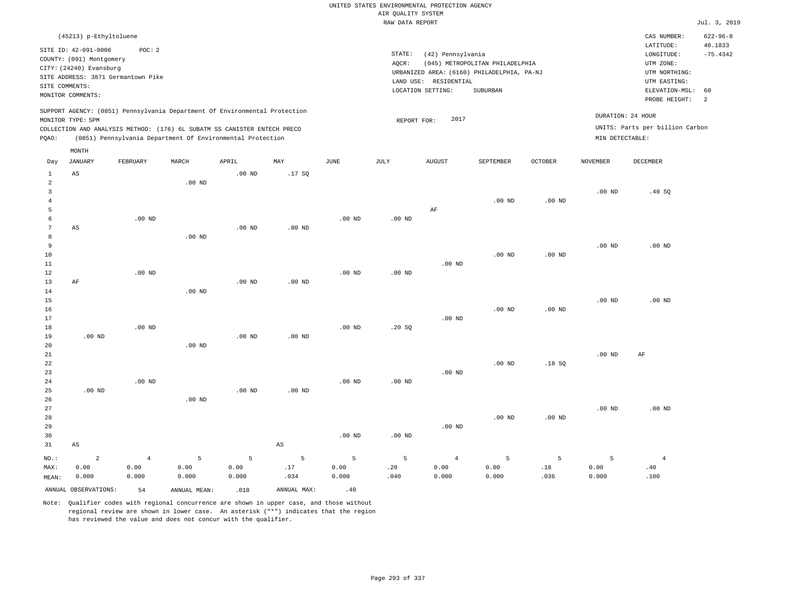|                      |                          |                                    |                   |                                                                            |                        |                   |                    | UNITED STATES ENVIRONMENTAL PROTECTION AGENCY |                                                                               |                   |                   |                                 |                |
|----------------------|--------------------------|------------------------------------|-------------------|----------------------------------------------------------------------------|------------------------|-------------------|--------------------|-----------------------------------------------|-------------------------------------------------------------------------------|-------------------|-------------------|---------------------------------|----------------|
|                      |                          |                                    |                   |                                                                            |                        |                   | AIR QUALITY SYSTEM |                                               |                                                                               |                   |                   |                                 | Jul. 3, 2019   |
|                      |                          |                                    |                   |                                                                            |                        |                   | RAW DATA REPORT    |                                               |                                                                               |                   |                   |                                 |                |
|                      | (45213) p-Ethyltoluene   |                                    |                   |                                                                            |                        |                   |                    |                                               |                                                                               |                   |                   | CAS NUMBER:                     | $622 - 96 - 8$ |
|                      | SITE ID: 42-091-0006     | POC: 2                             |                   |                                                                            |                        |                   |                    |                                               |                                                                               |                   |                   | LATITUDE:                       | 40.1833        |
|                      | COUNTY: (091) Montgomery |                                    |                   |                                                                            |                        |                   | STATE:             | (42) Pennsylvania                             |                                                                               |                   |                   | LONGITUDE:<br>UTM ZONE:         | $-75.4342$     |
|                      | CITY: (24240) Evansburg  |                                    |                   |                                                                            |                        |                   | AQCR:              |                                               | (045) METROPOLITAN PHILADELPHIA<br>URBANIZED AREA: (6160) PHILADELPHIA, PA-NJ |                   |                   | UTM NORTHING:                   |                |
|                      |                          | SITE ADDRESS: 3871 Germantown Pike |                   |                                                                            |                        |                   |                    | LAND USE: RESIDENTIAL                         |                                                                               |                   |                   | UTM EASTING:                    |                |
| SITE COMMENTS:       |                          |                                    |                   |                                                                            |                        |                   |                    | LOCATION SETTING:                             | SUBURBAN                                                                      |                   |                   | ELEVATION-MSL:                  | 60             |
|                      | MONITOR COMMENTS:        |                                    |                   |                                                                            |                        |                   |                    |                                               |                                                                               |                   |                   | PROBE HEIGHT:                   | 2              |
|                      |                          |                                    |                   | SUPPORT AGENCY: (0851) Pennsylvania Department Of Environmental Protection |                        |                   |                    |                                               |                                                                               |                   |                   | DURATION: 24 HOUR               |                |
|                      | MONITOR TYPE: SPM        |                                    |                   |                                                                            |                        |                   | REPORT FOR:        | 2017                                          |                                                                               |                   |                   |                                 |                |
|                      |                          |                                    |                   | COLLECTION AND ANALYSIS METHOD: (176) 6L SUBATM SS CANISTER ENTECH PRECO   |                        |                   |                    |                                               |                                                                               |                   |                   | UNITS: Parts per billion Carbon |                |
| PQAO:                |                          |                                    |                   | (0851) Pennsylvania Department Of Environmental Protection                 |                        |                   |                    |                                               |                                                                               |                   | MIN DETECTABLE:   |                                 |                |
|                      | MONTH                    |                                    |                   |                                                                            |                        |                   |                    |                                               |                                                                               |                   |                   |                                 |                |
| Day                  | <b>JANUARY</b>           | FEBRUARY                           | MARCH             | APRIL                                                                      | MAY                    | <b>JUNE</b>       | <b>JULY</b>        | <b>AUGUST</b>                                 | SEPTEMBER                                                                     | <b>OCTOBER</b>    | <b>NOVEMBER</b>   | <b>DECEMBER</b>                 |                |
| $\mathbf{1}$         | AS                       |                                    |                   | $.00$ ND                                                                   | .17SQ                  |                   |                    |                                               |                                                                               |                   |                   |                                 |                |
| $\overline{2}$       |                          |                                    | .00 <sub>ND</sub> |                                                                            |                        |                   |                    |                                               |                                                                               |                   |                   |                                 |                |
| $\overline{3}$       |                          |                                    |                   |                                                                            |                        |                   |                    |                                               |                                                                               |                   | .00 <sub>ND</sub> | .40SQ                           |                |
| $\overline{4}$       |                          |                                    |                   |                                                                            |                        |                   |                    |                                               | $.00$ ND                                                                      | $.00$ ND          |                   |                                 |                |
| 5                    |                          |                                    |                   |                                                                            |                        |                   |                    | AF                                            |                                                                               |                   |                   |                                 |                |
| 6<br>$7\phantom{.0}$ | AS                       | $.00$ ND                           |                   | $.00$ ND                                                                   | $.00$ ND               | $.00$ ND          | $.00$ ND           |                                               |                                                                               |                   |                   |                                 |                |
| 8                    |                          |                                    | .00 <sub>ND</sub> |                                                                            |                        |                   |                    |                                               |                                                                               |                   |                   |                                 |                |
| $\,9$                |                          |                                    |                   |                                                                            |                        |                   |                    |                                               |                                                                               |                   | $.00$ ND          | $.00$ ND                        |                |
| 10                   |                          |                                    |                   |                                                                            |                        |                   |                    |                                               | $.00$ ND                                                                      | $.00$ ND          |                   |                                 |                |
| 11                   |                          |                                    |                   |                                                                            |                        |                   |                    | $.00$ ND                                      |                                                                               |                   |                   |                                 |                |
| 12                   |                          | $.00$ ND                           |                   |                                                                            |                        | $.00$ ND          | .00 <sub>ND</sub>  |                                               |                                                                               |                   |                   |                                 |                |
| 13                   | AF                       |                                    |                   | $.00$ ND                                                                   | .00 <sub>ND</sub>      |                   |                    |                                               |                                                                               |                   |                   |                                 |                |
| 14                   |                          |                                    | .00 <sub>ND</sub> |                                                                            |                        |                   |                    |                                               |                                                                               |                   |                   |                                 |                |
| 15                   |                          |                                    |                   |                                                                            |                        |                   |                    |                                               |                                                                               |                   | $.00$ ND          | $.00$ ND                        |                |
| 16                   |                          |                                    |                   |                                                                            |                        |                   |                    |                                               | $.00$ ND                                                                      | .00 <sub>ND</sub> |                   |                                 |                |
| 17                   |                          | .00 <sub>ND</sub>                  |                   |                                                                            |                        | $.00$ ND          |                    | $.00$ ND                                      |                                                                               |                   |                   |                                 |                |
| 18<br>19             | $.00$ ND                 |                                    |                   | $.00$ ND                                                                   | $.00$ ND               |                   | .20 SQ             |                                               |                                                                               |                   |                   |                                 |                |
| 20                   |                          |                                    | $.00$ ND          |                                                                            |                        |                   |                    |                                               |                                                                               |                   |                   |                                 |                |
| 21                   |                          |                                    |                   |                                                                            |                        |                   |                    |                                               |                                                                               |                   | $.00$ ND          | AF                              |                |
| 22                   |                          |                                    |                   |                                                                            |                        |                   |                    |                                               | $.00$ ND                                                                      | .18S              |                   |                                 |                |
| 23                   |                          |                                    |                   |                                                                            |                        |                   |                    | $.00$ ND                                      |                                                                               |                   |                   |                                 |                |
| 24                   |                          | .00 <sub>ND</sub>                  |                   |                                                                            |                        | .00 <sub>ND</sub> | .00 <sub>ND</sub>  |                                               |                                                                               |                   |                   |                                 |                |
| 25                   | $.00$ ND                 |                                    |                   | $.00$ ND                                                                   | $.00$ ND               |                   |                    |                                               |                                                                               |                   |                   |                                 |                |
| 26                   |                          |                                    | $.00$ ND          |                                                                            |                        |                   |                    |                                               |                                                                               |                   |                   |                                 |                |
| 27                   |                          |                                    |                   |                                                                            |                        |                   |                    |                                               |                                                                               |                   | .00 <sub>ND</sub> | $.00$ ND                        |                |
| 28                   |                          |                                    |                   |                                                                            |                        |                   |                    |                                               | $.00$ ND                                                                      | $.00$ ND          |                   |                                 |                |
| 29                   |                          |                                    |                   |                                                                            |                        |                   |                    | $.00$ ND                                      |                                                                               |                   |                   |                                 |                |
| 30<br>31             | $\mathbb{A}\mathbb{S}$   |                                    |                   |                                                                            | $\mathbb{A}\mathbb{S}$ | $.00$ ND          | $.00$ ND           |                                               |                                                                               |                   |                   |                                 |                |
|                      |                          |                                    |                   |                                                                            |                        |                   |                    |                                               |                                                                               |                   |                   |                                 |                |
| NO.:                 | $\overline{a}$           | $\overline{4}$                     | 5                 | 5                                                                          | $\overline{5}$         | 5                 | 5                  | $\overline{4}$                                | 5                                                                             | 5                 | 5                 | $\overline{4}$                  |                |
| MAX:                 | 0.00                     | 0.00                               | 0.00              | 0.00                                                                       | .17                    | 0.00              | .20                | 0.00                                          | 0.00                                                                          | .18               | 0.00              | .40                             |                |
| MEAN:                | 0.000                    | 0.000                              | 0.000             | 0.000                                                                      | .034                   | 0.000             | .040               | 0.000                                         | 0.000                                                                         | .036              | 0.000             | .100                            |                |
|                      | ANNUAL OBSERVATIONS:     | 54                                 | ANNUAL, MEAN:     | .018                                                                       | ANNUAL MAX:            | .40               |                    |                                               |                                                                               |                   |                   |                                 |                |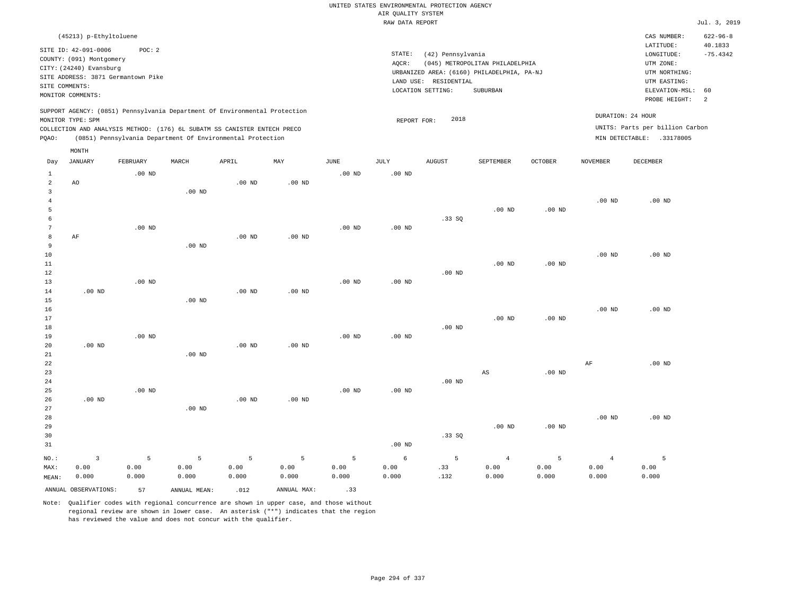|                         |                                                                                                 |                   |                   |                                                            |                   |                   | UNITED STATES ENVIRONMENTAL PROTECTION AGENCY |                       |                                                                               |                |                   |                                 |                |
|-------------------------|-------------------------------------------------------------------------------------------------|-------------------|-------------------|------------------------------------------------------------|-------------------|-------------------|-----------------------------------------------|-----------------------|-------------------------------------------------------------------------------|----------------|-------------------|---------------------------------|----------------|
|                         |                                                                                                 |                   |                   |                                                            |                   |                   | AIR QUALITY SYSTEM                            |                       |                                                                               |                |                   |                                 |                |
|                         |                                                                                                 |                   |                   |                                                            |                   |                   | RAW DATA REPORT                               |                       |                                                                               |                |                   |                                 | Jul. 3, 2019   |
|                         | (45213) p-Ethyltoluene                                                                          |                   |                   |                                                            |                   |                   |                                               |                       |                                                                               |                |                   | CAS NUMBER:                     | $622 - 96 - 8$ |
|                         | SITE ID: 42-091-0006                                                                            | POC: 2            |                   |                                                            |                   |                   |                                               |                       |                                                                               |                |                   | LATITUDE:                       | 40.1833        |
|                         | COUNTY: (091) Montgomery                                                                        |                   |                   |                                                            |                   |                   | STATE:                                        | (42) Pennsylvania     |                                                                               |                |                   | LONGITUDE:                      | $-75.4342$     |
|                         | CITY: (24240) Evansburg                                                                         |                   |                   |                                                            |                   |                   | AQCR:                                         |                       | (045) METROPOLITAN PHILADELPHIA<br>URBANIZED AREA: (6160) PHILADELPHIA, PA-NJ |                |                   | UTM ZONE:<br>UTM NORTHING:      |                |
|                         | SITE ADDRESS: 3871 Germantown Pike                                                              |                   |                   |                                                            |                   |                   |                                               | LAND USE: RESIDENTIAL |                                                                               |                |                   | UTM EASTING:                    |                |
|                         | SITE COMMENTS:                                                                                  |                   |                   |                                                            |                   |                   |                                               | LOCATION SETTING:     | <b>SUBURBAN</b>                                                               |                |                   | ELEVATION-MSL:                  | 60             |
|                         | MONITOR COMMENTS:                                                                               |                   |                   |                                                            |                   |                   |                                               |                       |                                                                               |                |                   | PROBE HEIGHT:                   | 2              |
|                         | SUPPORT AGENCY: (0851) Pennsylvania Department Of Environmental Protection<br>MONITOR TYPE: SPM |                   |                   |                                                            |                   |                   | REPORT FOR:                                   | 2018                  |                                                                               |                |                   | DURATION: 24 HOUR               |                |
|                         | COLLECTION AND ANALYSIS METHOD: (176) 6L SUBATM SS CANISTER ENTECH PRECO                        |                   |                   |                                                            |                   |                   |                                               |                       |                                                                               |                |                   | UNITS: Parts per billion Carbon |                |
| PQAO:                   |                                                                                                 |                   |                   | (0851) Pennsylvania Department Of Environmental Protection |                   |                   |                                               |                       |                                                                               |                |                   | MIN DETECTABLE: .33178005       |                |
|                         | MONTH                                                                                           |                   |                   |                                                            |                   |                   |                                               |                       |                                                                               |                |                   |                                 |                |
| Day                     | <b>JANUARY</b>                                                                                  | FEBRUARY          | MARCH             | APRIL                                                      | MAY               | <b>JUNE</b>       | <b>JULY</b>                                   | <b>AUGUST</b>         | SEPTEMBER                                                                     | <b>OCTOBER</b> | <b>NOVEMBER</b>   | <b>DECEMBER</b>                 |                |
| $\mathbf{1}$            |                                                                                                 | $.00$ ND          |                   |                                                            |                   | $.00$ ND          | $.00$ ND                                      |                       |                                                                               |                |                   |                                 |                |
| $\overline{a}$          | AO                                                                                              |                   |                   | .00 <sub>ND</sub>                                          | $.00$ ND          |                   |                                               |                       |                                                                               |                |                   |                                 |                |
| $\overline{\mathbf{3}}$ |                                                                                                 |                   | .00 <sub>ND</sub> |                                                            |                   |                   |                                               |                       |                                                                               |                |                   |                                 |                |
| $\,4\,$                 |                                                                                                 |                   |                   |                                                            |                   |                   |                                               |                       |                                                                               |                | .00 <sub>ND</sub> | $.00$ ND                        |                |
| 5<br>6                  |                                                                                                 |                   |                   |                                                            |                   |                   |                                               |                       | $.00$ ND                                                                      | $.00$ ND       |                   |                                 |                |
| $7\phantom{.0}$         |                                                                                                 | $.00$ ND          |                   |                                                            |                   | $.00$ ND          | $.00$ ND                                      | .33SQ                 |                                                                               |                |                   |                                 |                |
| 8                       | AF                                                                                              |                   |                   | $.00$ ND                                                   | $.00$ ND          |                   |                                               |                       |                                                                               |                |                   |                                 |                |
| 9                       |                                                                                                 |                   | $.00$ ND          |                                                            |                   |                   |                                               |                       |                                                                               |                |                   |                                 |                |
| 10                      |                                                                                                 |                   |                   |                                                            |                   |                   |                                               |                       |                                                                               |                | $.00$ ND          | $.00$ ND                        |                |
| $11\,$                  |                                                                                                 |                   |                   |                                                            |                   |                   |                                               |                       | $.00$ ND                                                                      | .00 $ND$       |                   |                                 |                |
| 12                      |                                                                                                 |                   |                   |                                                            |                   |                   |                                               | $.00$ ND              |                                                                               |                |                   |                                 |                |
| 13                      |                                                                                                 | .00 <sub>ND</sub> |                   |                                                            |                   | $.00$ ND          | $.00$ ND                                      |                       |                                                                               |                |                   |                                 |                |
| 14                      | .00 <sub>ND</sub>                                                                               |                   |                   | .00 <sub>ND</sub>                                          | .00 <sub>ND</sub> |                   |                                               |                       |                                                                               |                |                   |                                 |                |
| 15                      |                                                                                                 |                   | $.00$ ND          |                                                            |                   |                   |                                               |                       |                                                                               |                |                   |                                 |                |
| 16                      |                                                                                                 |                   |                   |                                                            |                   |                   |                                               |                       |                                                                               |                | $.00$ ND          | $.00$ ND                        |                |
| 17<br>18                |                                                                                                 |                   |                   |                                                            |                   |                   |                                               | $.00$ ND              | .00 <sub>ND</sub>                                                             | $.00$ ND       |                   |                                 |                |
| 19                      |                                                                                                 | .00 <sub>ND</sub> |                   |                                                            |                   | .00 <sub>ND</sub> | .00 <sub>ND</sub>                             |                       |                                                                               |                |                   |                                 |                |
| 20                      | .00 <sub>ND</sub>                                                                               |                   |                   | $.00$ ND                                                   | $.00$ ND          |                   |                                               |                       |                                                                               |                |                   |                                 |                |
| 21                      |                                                                                                 |                   | $.00$ ND          |                                                            |                   |                   |                                               |                       |                                                                               |                |                   |                                 |                |
| 22                      |                                                                                                 |                   |                   |                                                            |                   |                   |                                               |                       |                                                                               |                | AF                | .00 <sub>ND</sub>               |                |
| 23                      |                                                                                                 |                   |                   |                                                            |                   |                   |                                               |                       | AS                                                                            | $.00$ ND       |                   |                                 |                |
| 24                      |                                                                                                 |                   |                   |                                                            |                   |                   |                                               | $.00$ ND              |                                                                               |                |                   |                                 |                |
| 25                      |                                                                                                 | $.00$ ND          |                   |                                                            |                   | $.00$ ND          | $.00$ ND                                      |                       |                                                                               |                |                   |                                 |                |
| 26                      | $.00$ ND                                                                                        |                   |                   | $.00$ ND                                                   | $.00$ ND          |                   |                                               |                       |                                                                               |                |                   |                                 |                |
| 27                      |                                                                                                 |                   | $.00$ ND          |                                                            |                   |                   |                                               |                       |                                                                               |                |                   |                                 |                |
| 28                      |                                                                                                 |                   |                   |                                                            |                   |                   |                                               |                       |                                                                               |                | .00 <sub>ND</sub> | $.00$ ND                        |                |
| 29                      |                                                                                                 |                   |                   |                                                            |                   |                   |                                               |                       | $.00$ ND                                                                      | $.00$ ND       |                   |                                 |                |
| 30                      |                                                                                                 |                   |                   |                                                            |                   |                   |                                               | .33SQ                 |                                                                               |                |                   |                                 |                |
| 31                      |                                                                                                 |                   |                   |                                                            |                   |                   | $.00$ ND                                      |                       |                                                                               |                |                   |                                 |                |
| NO.:                    | $\overline{3}$                                                                                  | 5                 | 5                 | 5                                                          | 5                 | 5                 | 6                                             | 5                     | $\overline{4}$                                                                | 5              | $\overline{4}$    | 5                               |                |
| MAX:                    | 0.00                                                                                            | 0.00              | 0.00              | 0.00                                                       | 0.00              | 0.00              | 0.00                                          | .33                   | 0.00                                                                          | 0.00           | 0.00              | 0.00                            |                |
| MEAN:                   | 0.000                                                                                           | 0.000             | 0.000             | 0.000                                                      | 0.000             | 0.000             | 0.000                                         | .132                  | 0.000                                                                         | 0.000          | 0.000             | 0.000                           |                |
|                         | ANNUAL OBSERVATIONS:                                                                            | 57                | ANNUAL MEAN:      | .012                                                       | ANNUAL MAX:       | .33               |                                               |                       |                                                                               |                |                   |                                 |                |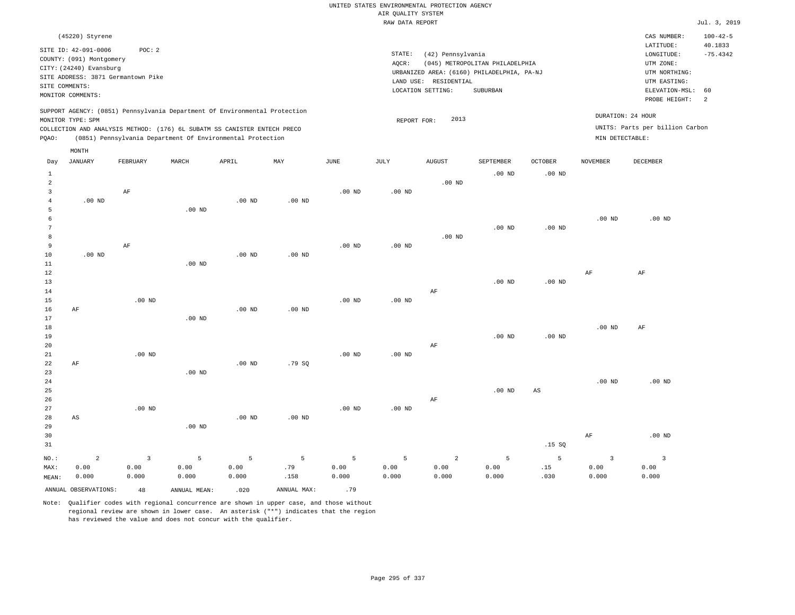|       |                                    |          |          |                                                                                                                                                                                                                      |                   |          | RAW DATA REPORT |                       |                                            |                   |                   |                                                      | Jul. 3, 2019   |
|-------|------------------------------------|----------|----------|----------------------------------------------------------------------------------------------------------------------------------------------------------------------------------------------------------------------|-------------------|----------|-----------------|-----------------------|--------------------------------------------|-------------------|-------------------|------------------------------------------------------|----------------|
|       | (45220) Styrene                    |          |          |                                                                                                                                                                                                                      |                   |          |                 |                       |                                            |                   |                   | CAS NUMBER:                                          | $100 - 42 - 5$ |
|       | SITE ID: 42-091-0006               | POC:2    |          |                                                                                                                                                                                                                      |                   |          |                 |                       |                                            |                   |                   | LATITUDE:                                            | 40.1833        |
|       | COUNTY: (091) Montgomery           |          |          |                                                                                                                                                                                                                      |                   |          | STATE:          | (42) Pennsylvania     |                                            |                   |                   | LONGITUDE:                                           | $-75.4342$     |
|       | CITY: (24240) Evansburg            |          |          |                                                                                                                                                                                                                      |                   |          | AOCR:           |                       | (045) METROPOLITAN PHILADELPHIA            |                   |                   | UTM ZONE:                                            |                |
|       | SITE ADDRESS: 3871 Germantown Pike |          |          |                                                                                                                                                                                                                      |                   |          |                 |                       | URBANIZED AREA: (6160) PHILADELPHIA, PA-NJ |                   |                   | UTM NORTHING:                                        |                |
|       |                                    |          |          |                                                                                                                                                                                                                      |                   |          |                 | LAND USE: RESIDENTIAL |                                            |                   |                   | UTM EASTING:                                         |                |
|       | SITE COMMENTS:                     |          |          |                                                                                                                                                                                                                      |                   |          |                 | LOCATION SETTING:     | SUBURBAN                                   |                   |                   | ELEVATION-MSL:                                       | 60             |
|       | MONITOR COMMENTS:                  |          |          |                                                                                                                                                                                                                      |                   |          |                 |                       |                                            |                   |                   | PROBE HEIGHT:                                        | -2             |
| POAO: | MONITOR TYPE: SPM<br>MONTH         |          |          | SUPPORT AGENCY: (0851) Pennsylvania Department Of Environmental Protection<br>COLLECTION AND ANALYSIS METHOD: (176) 6L SUBATM SS CANISTER ENTECH PRECO<br>(0851) Pennsylvania Department Of Environmental Protection |                   |          |                 | 2013<br>REPORT FOR:   |                                            |                   | MIN DETECTABLE:   | DURATION: 24 HOUR<br>UNITS: Parts per billion Carbon |                |
| Day   | JANUARY                            | FEBRUARY | MARCH    | APRIL                                                                                                                                                                                                                | MAY               | JUNE     | JULY            | <b>AUGUST</b>         | SEPTEMBER                                  | <b>OCTOBER</b>    | NOVEMBER          | DECEMBER                                             |                |
|       |                                    |          |          |                                                                                                                                                                                                                      |                   |          |                 |                       | $.00$ ND                                   | .00 <sub>ND</sub> |                   |                                                      |                |
| 2     |                                    |          |          |                                                                                                                                                                                                                      |                   |          |                 | $.00$ ND              |                                            |                   |                   |                                                      |                |
|       |                                    | AF       |          |                                                                                                                                                                                                                      |                   | $.00$ ND | $.00$ ND        |                       |                                            |                   |                   |                                                      |                |
|       | $.00$ ND                           |          |          | $.00$ ND                                                                                                                                                                                                             | .00 <sub>ND</sub> |          |                 |                       |                                            |                   |                   |                                                      |                |
|       |                                    |          | $.00$ ND |                                                                                                                                                                                                                      |                   |          |                 |                       |                                            |                   |                   |                                                      |                |
|       |                                    |          |          |                                                                                                                                                                                                                      |                   |          |                 |                       |                                            |                   | .00 <sub>ND</sub> | $.00$ ND                                             |                |
|       |                                    |          |          |                                                                                                                                                                                                                      |                   |          |                 |                       | $.00$ ND                                   | .00 <sub>ND</sub> |                   |                                                      |                |
|       |                                    |          |          |                                                                                                                                                                                                                      |                   |          |                 | $.00$ ND              |                                            |                   |                   |                                                      |                |

| 9  |          | AF       |                   |          |                   | $.00$ ND | $.00$ ND |          |          |          |           |          |
|----|----------|----------|-------------------|----------|-------------------|----------|----------|----------|----------|----------|-----------|----------|
| 10 | $.00$ ND |          |                   | $.00$ ND | $.00$ ND          |          |          |          |          |          |           |          |
| 11 |          |          | .00 $ND$          |          |                   |          |          |          |          |          |           |          |
| 12 |          |          |                   |          |                   |          |          |          |          |          | $\rm{AF}$ | $\rm AF$ |
| 13 |          |          |                   |          |                   |          |          |          | $.00$ ND | .00 $ND$ |           |          |
| 14 |          |          |                   |          |                   |          |          | AF       |          |          |           |          |
| 15 |          | .00 $ND$ |                   |          |                   | $.00$ ND | $.00$ ND |          |          |          |           |          |
| 16 | AF       |          |                   | $.00$ ND | $.00$ ND          |          |          |          |          |          |           |          |
| 17 |          |          | $.00$ ND          |          |                   |          |          |          |          |          |           |          |
| 18 |          |          |                   |          |                   |          |          |          |          |          | .00 $ND$  | AF       |
| 19 |          |          |                   |          |                   |          |          |          | $.00$ ND | $.00$ ND |           |          |
| 20 |          |          |                   |          |                   |          |          | AF       |          |          |           |          |
| 21 |          | $.00$ ND |                   |          |                   | $.00$ ND | .00 $ND$ |          |          |          |           |          |
| 22 | AF       |          |                   | $.00$ ND | .79 SQ            |          |          |          |          |          |           |          |
| 23 |          |          | .00 <sub>ND</sub> |          |                   |          |          |          |          |          |           |          |
| 24 |          |          |                   |          |                   |          |          |          |          |          | .00 $ND$  | $.00$ ND |
| 25 |          |          |                   |          |                   |          |          |          | $.00$ ND | AS       |           |          |
| 26 |          |          |                   |          |                   |          |          | $\rm AF$ |          |          |           |          |
| 27 |          | $.00$ ND |                   |          |                   | $.00$ ND | $.00$ ND |          |          |          |           |          |
| 28 | AS       |          |                   | $.00$ ND | .00 <sub>ND</sub> |          |          |          |          |          |           |          |
| 29 |          |          | $.00$ ND          |          |                   |          |          |          |          |          |           |          |
| 30 |          |          |                   |          |                   |          |          |          |          |          | $\rm{AF}$ | $.00$ ND |
| 31 |          |          |                   |          |                   |          |          |          |          | .15 SQ   |           |          |

5 0.00

MEAN: 0.000 0.000 0.000 0.000 .158 0.000 0.000 ANNUAL OBSERVATIONS:  $48$  ANNUAL MEAN: .020 ANNUAL MAX: .79

5 0.00

5 .79

Note: Qualifier codes with regional concurrence are shown in upper case, and those without regional review are shown in lower case. An asterisk ("\*") indicates that the region has reviewed the value and does not concur with the qualifier.

5 0.00

NO.: MAX:

2 0.00

3 0.00

5 0.00

2 0.00 0.000

5 0.00 0.000

5 .15 .030

3 0.00 0.000

3 0.00 0.000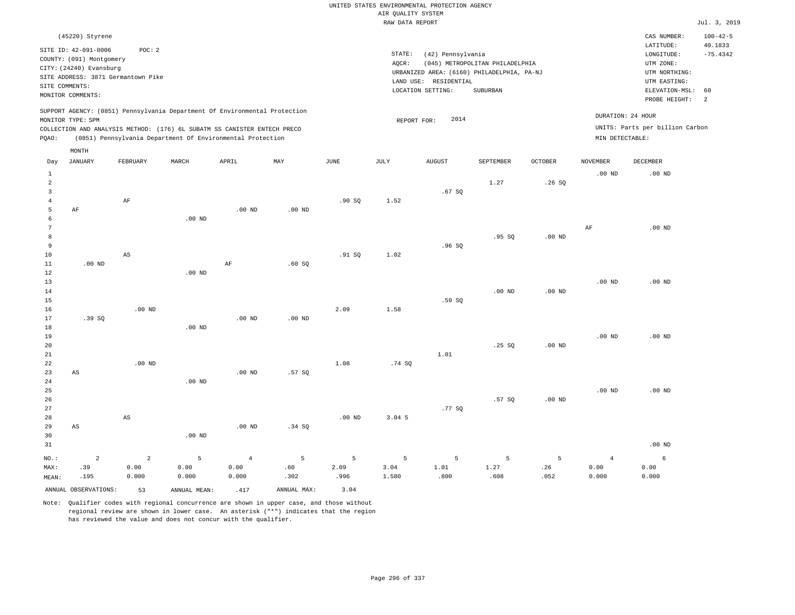| (45220) Styrene                                                                                                                                                                                                                                    |                                                                                                                                                                                    | CAS NUMBER:                                                                                                   | $100 - 42 - 5$        |
|----------------------------------------------------------------------------------------------------------------------------------------------------------------------------------------------------------------------------------------------------|------------------------------------------------------------------------------------------------------------------------------------------------------------------------------------|---------------------------------------------------------------------------------------------------------------|-----------------------|
| SITE ID: 42-091-0006<br>POC:2<br>COUNTY: (091) Montgomery<br>CITY: (24240) Evansburg<br>SITE ADDRESS: 3871 Germantown Pike<br>SITE COMMENTS:<br>MONITOR COMMENTS:                                                                                  | STATE:<br>(42) Pennsylvania<br>(045) METROPOLITAN PHILADELPHIA<br>AOCR:<br>URBANIZED AREA: (6160) PHILADELPHIA, PA-NJ<br>RESIDENTIAL<br>LAND USE:<br>LOCATION SETTING:<br>SUBURBAN | LATITUDE:<br>LONGITUDE:<br>UTM ZONE:<br>UTM NORTHING:<br>UTM EASTING:<br>ELEVATION-MSL: 60<br>PROBE HEIGHT: 2 | 40.1833<br>$-75.4342$ |
| SUPPORT AGENCY: (0851) Pennsylvania Department Of Environmental Protection<br>MONITOR TYPE: SPM<br>COLLECTION AND ANALYSIS METHOD: (176) 6L SUBATM SS CANISTER ENTECH PRECO<br>POAO:<br>(0851) Pennsylvania Department Of Environmental Protection | 2014<br>REPORT FOR:                                                                                                                                                                | DURATION: 24 HOUR<br>UNITS: Parts per billion Carbon<br>MIN DETECTABLE:                                       |                       |

|                                     | MONTH                       |                               |                    |                                 |                  |                   |                    |                   |                   |                  |                                 |                    |
|-------------------------------------|-----------------------------|-------------------------------|--------------------|---------------------------------|------------------|-------------------|--------------------|-------------------|-------------------|------------------|---------------------------------|--------------------|
| Day                                 | <b>JANUARY</b>              | FEBRUARY                      | MARCH              | APRIL                           | MAY              | $_{\rm JUNE}$     | JULY               | <b>AUGUST</b>     | SEPTEMBER         | OCTOBER          | <b>NOVEMBER</b>                 | DECEMBER           |
| $\mathbf{1}$<br>$\overline{a}$<br>3 |                             |                               |                    |                                 |                  |                   |                    | .67SQ             | 1.27              | .26SQ            | $.00$ ND                        | $.00$ ND           |
| $\overline{4}$<br>5<br>6<br>7       | $\rm AF$                    | $\rm AF$                      | .00 <sub>ND</sub>  | $.00$ ND                        | $.00$ ND         | .90SQ             | 1.52               |                   |                   |                  | $\rm AF$                        | $.00$ ND           |
| 8<br>9<br>10<br>11                  | $.00$ ND                    | $\mathbb{A}\mathbb{S}$        |                    | $\rm AF$                        | .60SQ            | .91 SQ            | 1.02               | .96SQ             | .95SQ             | $.00$ ND         |                                 |                    |
| 12<br>13<br>14                      |                             |                               | $.00$ ND           |                                 |                  |                   |                    |                   | $.00$ ND          | $.00$ ND         | $.00$ ND                        | $.00$ ND           |
| 15<br>16<br>17<br>18                | .39 SQ                      | $.00$ ND                      | $.00$ ND           | $.00$ ND                        | $.00$ ND         | 2.09              | 1.58               | .59 SQ            |                   |                  |                                 |                    |
| 19<br>20<br>21<br>22                |                             | $.00$ ND                      |                    |                                 |                  | 1.08              | .74 SQ             | 1.01              | .25SQ             | $.00$ ND         | $.00$ ND                        | $.00$ ND           |
| 23<br>24<br>25                      | $\mathbb{A}\mathbb{S}$      |                               | $.00$ ND           | $.00$ ND                        | .57 SQ           |                   |                    |                   |                   |                  | $.00$ ND                        | $.00$ ND           |
| 26<br>27<br>28<br>29                | $\mathbb{A}\mathbb{S}$      | $\mathbb{A}\mathbb{S}$        | .00 <sub>ND</sub>  | $.00$ ND                        | .34 SQ           | $.00$ ND          | 3.04.5             | .77SQ             | .57SQ             | $.00$ ND         |                                 |                    |
| 30<br>31                            |                             |                               |                    |                                 |                  |                   |                    |                   |                   |                  |                                 | $.00$ ND           |
| $_{\rm NO.}$ :<br>MAX:<br>MEAN:     | $\mathbf{2}$<br>.39<br>.195 | $\mathbf{2}$<br>0.00<br>0.000 | 5<br>0.00<br>0.000 | $\overline{4}$<br>0.00<br>0.000 | 5<br>.60<br>.302 | 5<br>2.09<br>.996 | 5<br>3.04<br>1.580 | 5<br>1.01<br>.800 | 5<br>1.27<br>.608 | 5<br>.26<br>.052 | $\overline{4}$<br>0.00<br>0.000 | 6<br>0.00<br>0.000 |
|                                     | ANNUAL OBSERVATIONS:        | 53                            | ANNUAL MEAN:       | .417                            | ANNUAL MAX:      | 3.04              |                    |                   |                   |                  |                                 |                    |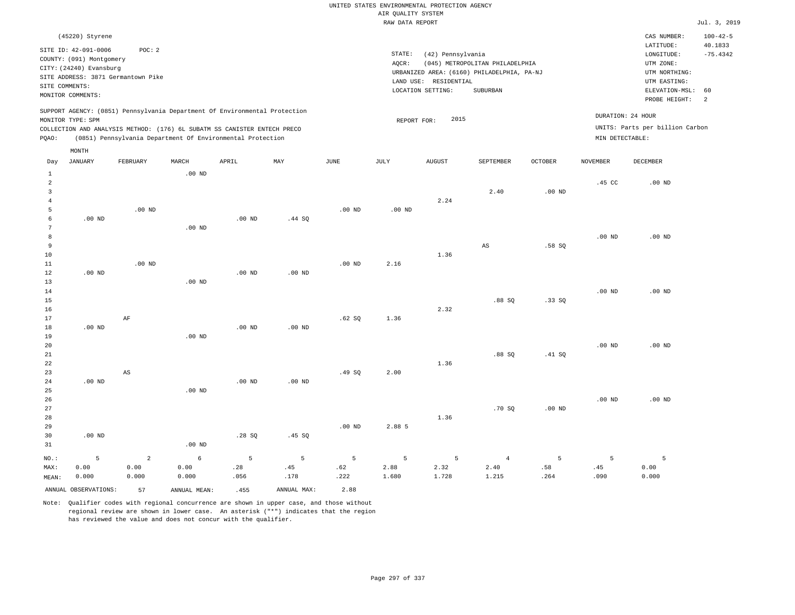|                |                          |                                    |          |                                                                            |                   |          | RAW DATA REPORT   |                       |                                            |                   |                   |                                 | Jul. 3, 2019              |
|----------------|--------------------------|------------------------------------|----------|----------------------------------------------------------------------------|-------------------|----------|-------------------|-----------------------|--------------------------------------------|-------------------|-------------------|---------------------------------|---------------------------|
|                | (45220) Styrene          |                                    |          |                                                                            |                   |          |                   |                       |                                            |                   |                   | CAS NUMBER:<br>LATITUDE:        | $100 - 42 - 5$<br>40.1833 |
|                | SITE ID: 42-091-0006     | POC: 2                             |          |                                                                            |                   |          | STATE:            | (42) Pennsylvania     |                                            |                   |                   | LONGITUDE:                      | $-75.4342$                |
|                | COUNTY: (091) Montgomery |                                    |          |                                                                            |                   |          | AQCR:             |                       | (045) METROPOLITAN PHILADELPHIA            |                   |                   | UTM ZONE:                       |                           |
|                | CITY: (24240) Evansburg  |                                    |          |                                                                            |                   |          |                   |                       | URBANIZED AREA: (6160) PHILADELPHIA, PA-NJ |                   |                   | UTM NORTHING:                   |                           |
|                |                          | SITE ADDRESS: 3871 Germantown Pike |          |                                                                            |                   |          |                   | LAND USE: RESIDENTIAL |                                            |                   |                   | UTM EASTING:                    |                           |
|                | SITE COMMENTS:           |                                    |          |                                                                            |                   |          |                   | LOCATION SETTING:     | SUBURBAN                                   |                   |                   | ELEVATION-MSL:                  | 60                        |
|                | MONITOR COMMENTS:        |                                    |          |                                                                            |                   |          |                   |                       |                                            |                   |                   | PROBE HEIGHT:                   | 2                         |
|                |                          |                                    |          | SUPPORT AGENCY: (0851) Pennsylvania Department Of Environmental Protection |                   |          |                   |                       |                                            |                   |                   |                                 |                           |
|                | MONITOR TYPE: SPM        |                                    |          |                                                                            |                   |          | REPORT FOR:       | 2015                  |                                            |                   |                   | DURATION: 24 HOUR               |                           |
|                |                          |                                    |          | COLLECTION AND ANALYSIS METHOD: (176) 6L SUBATM SS CANISTER ENTECH PRECO   |                   |          |                   |                       |                                            |                   |                   | UNITS: Parts per billion Carbon |                           |
| PQAO:          |                          |                                    |          | (0851) Pennsylvania Department Of Environmental Protection                 |                   |          |                   |                       |                                            |                   | MIN DETECTABLE:   |                                 |                           |
|                | MONTH                    |                                    |          |                                                                            |                   |          |                   |                       |                                            |                   |                   |                                 |                           |
| Day            | <b>JANUARY</b>           | FEBRUARY                           | MARCH    | APRIL                                                                      | MAY               | JUNE     | JULY              | <b>AUGUST</b>         | SEPTEMBER                                  | <b>OCTOBER</b>    | NOVEMBER          | DECEMBER                        |                           |
| $\mathbf{1}$   |                          |                                    | $.00$ ND |                                                                            |                   |          |                   |                       |                                            |                   |                   |                                 |                           |
| 2              |                          |                                    |          |                                                                            |                   |          |                   |                       |                                            |                   | .45 CC            | $.00$ ND                        |                           |
| 3              |                          |                                    |          |                                                                            |                   |          |                   |                       | 2.40                                       | .00 <sub>ND</sub> |                   |                                 |                           |
| $\overline{4}$ |                          |                                    |          |                                                                            |                   |          |                   | 2.24                  |                                            |                   |                   |                                 |                           |
| 5              |                          | $.00$ ND                           |          |                                                                            |                   | $.00$ ND | .00 <sub>ND</sub> |                       |                                            |                   |                   |                                 |                           |
| 6              | $.00$ ND                 |                                    |          | $.00$ ND                                                                   | .44 S0            |          |                   |                       |                                            |                   |                   |                                 |                           |
| 7              |                          |                                    | $.00$ ND |                                                                            |                   |          |                   |                       |                                            |                   |                   |                                 |                           |
| 8              |                          |                                    |          |                                                                            |                   |          |                   |                       |                                            |                   | $.00$ ND          | $.00$ ND                        |                           |
| 9              |                          |                                    |          |                                                                            |                   |          |                   |                       | $_{\rm AS}$                                | .58SQ             |                   |                                 |                           |
| 10             |                          |                                    |          |                                                                            |                   |          |                   | 1.36                  |                                            |                   |                   |                                 |                           |
| 11             |                          | $.00$ ND                           |          |                                                                            |                   | $.00$ ND | 2.16              |                       |                                            |                   |                   |                                 |                           |
| 12             | $.00$ ND                 |                                    |          | .00 <sub>ND</sub>                                                          | .00 <sub>ND</sub> |          |                   |                       |                                            |                   |                   |                                 |                           |
| 13             |                          |                                    | $.00$ ND |                                                                            |                   |          |                   |                       |                                            |                   |                   |                                 |                           |
| 14             |                          |                                    |          |                                                                            |                   |          |                   |                       |                                            |                   | .00 <sub>ND</sub> | $.00$ ND                        |                           |
| 15             |                          |                                    |          |                                                                            |                   |          |                   |                       | .88SQ                                      | .33SQ             |                   |                                 |                           |
| 16             |                          |                                    |          |                                                                            |                   |          |                   | 2.32                  |                                            |                   |                   |                                 |                           |
| 17             |                          | AF                                 |          |                                                                            |                   | .62S     | 1.36              |                       |                                            |                   |                   |                                 |                           |
| 18             | .00 <sub>ND</sub>        |                                    |          | $.00$ ND                                                                   | $.00$ ND          |          |                   |                       |                                            |                   |                   |                                 |                           |
| 19             |                          |                                    | $.00$ ND |                                                                            |                   |          |                   |                       |                                            |                   |                   |                                 |                           |
| 20             |                          |                                    |          |                                                                            |                   |          |                   |                       |                                            |                   | .00 <sub>ND</sub> | $.00$ ND                        |                           |
| 21             |                          |                                    |          |                                                                            |                   |          |                   |                       | .88S                                       | .41 SQ            |                   |                                 |                           |
| 22             |                          |                                    |          |                                                                            |                   |          |                   | 1.36                  |                                            |                   |                   |                                 |                           |
| 23             |                          | $\mathbb{A}\mathbb{S}$             |          |                                                                            |                   | .49SQ    | 2.00              |                       |                                            |                   |                   |                                 |                           |
| 24             | .00 <sub>ND</sub>        |                                    |          | $.00$ ND                                                                   | $.00$ ND          |          |                   |                       |                                            |                   |                   |                                 |                           |
| 25             |                          |                                    | $.00$ ND |                                                                            |                   |          |                   |                       |                                            |                   |                   |                                 |                           |

26 27 28 29 30 31 .00 ND NO.: 5 .00 ND .28 SQ .45 SQ .00 ND 2.88 5 1.36 .70 SQ .00 ND .00 ND .00 ND 2 6 5 5 5 5 5 4 5 5 5

MAX: MEAN: 0.00 0.000 0.00 0.000 0.00 0.000 .28 .056 .45 .178 .62 .222 2.88 1.680 2.32 1.728 2.40 1.215 .58 .264 .45 .090 0.00 0.000 ANNUAL OBSERVATIONS: 57 ANNUAL MEAN: .455 ANNUAL MAX: 2.88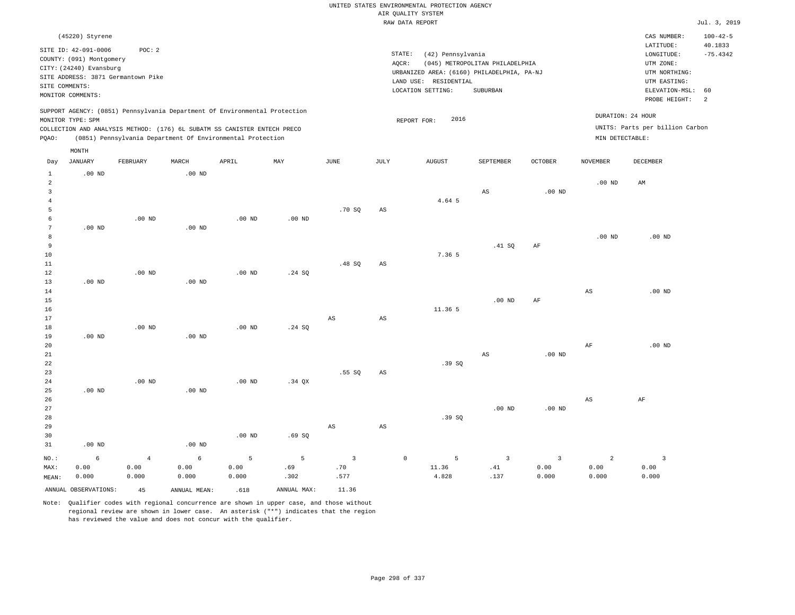|                                |                                         |                |                                                                                                                                                        |                   |                |                         |                        | UNITED STATES ENVIRONMENTAL PROTECTION AGENCY                       |                                 |                   |                        |                                                      |                           |
|--------------------------------|-----------------------------------------|----------------|--------------------------------------------------------------------------------------------------------------------------------------------------------|-------------------|----------------|-------------------------|------------------------|---------------------------------------------------------------------|---------------------------------|-------------------|------------------------|------------------------------------------------------|---------------------------|
|                                |                                         |                |                                                                                                                                                        |                   |                |                         |                        | AIR QUALITY SYSTEM                                                  |                                 |                   |                        |                                                      |                           |
|                                |                                         |                |                                                                                                                                                        |                   |                |                         |                        | RAW DATA REPORT                                                     |                                 |                   |                        |                                                      | Jul. 3, 2019              |
|                                | (45220) Styrene<br>SITE ID: 42-091-0006 | POC: 2         |                                                                                                                                                        |                   |                |                         |                        |                                                                     |                                 |                   |                        | CAS NUMBER:<br>LATITUDE:                             | $100 - 42 - 5$<br>40.1833 |
|                                | COUNTY: (091) Montgomery                |                |                                                                                                                                                        |                   |                |                         |                        | STATE:<br>(42) Pennsylvania                                         |                                 |                   |                        | LONGITUDE:                                           | $-75.4342$                |
|                                | CITY: (24240) Evansburg                 |                |                                                                                                                                                        |                   |                |                         | AQCR:                  |                                                                     | (045) METROPOLITAN PHILADELPHIA |                   |                        | UTM ZONE:                                            |                           |
|                                | SITE ADDRESS: 3871 Germantown Pike      |                |                                                                                                                                                        |                   |                |                         |                        | URBANIZED AREA: (6160) PHILADELPHIA, PA-NJ<br>LAND USE: RESIDENTIAL |                                 |                   |                        | UTM NORTHING:<br>UTM EASTING:                        |                           |
| SITE COMMENTS:                 |                                         |                |                                                                                                                                                        |                   |                |                         |                        | LOCATION SETTING:                                                   | SUBURBAN                        |                   |                        | ELEVATION-MSL:                                       | 60                        |
|                                | MONITOR COMMENTS:                       |                |                                                                                                                                                        |                   |                |                         |                        |                                                                     |                                 |                   |                        | PROBE HEIGHT:                                        | $\overline{a}$            |
|                                | MONITOR TYPE: SPM                       |                | SUPPORT AGENCY: (0851) Pennsylvania Department Of Environmental Protection<br>COLLECTION AND ANALYSIS METHOD: (176) 6L SUBATM SS CANISTER ENTECH PRECO |                   |                |                         |                        | 2016<br>REPORT FOR:                                                 |                                 |                   |                        | DURATION: 24 HOUR<br>UNITS: Parts per billion Carbon |                           |
| PQAO:                          |                                         |                | (0851) Pennsylvania Department Of Environmental Protection                                                                                             |                   |                |                         |                        |                                                                     |                                 |                   | MIN DETECTABLE:        |                                                      |                           |
|                                | MONTH                                   |                |                                                                                                                                                        |                   |                |                         |                        |                                                                     |                                 |                   |                        |                                                      |                           |
| Day                            | <b>JANUARY</b>                          | FEBRUARY       | MARCH                                                                                                                                                  | APRIL             | MAY            | <b>JUNE</b>             | <b>JULY</b>            | <b>AUGUST</b>                                                       | SEPTEMBER                       | <b>OCTOBER</b>    | <b>NOVEMBER</b>        | DECEMBER                                             |                           |
| $\mathbf{1}$<br>$\overline{2}$ | $.00$ ND                                |                | $.00$ ND                                                                                                                                               |                   |                |                         |                        |                                                                     |                                 |                   | .00 <sub>ND</sub>      | AM                                                   |                           |
| $\mathbf{3}$                   |                                         |                |                                                                                                                                                        |                   |                |                         |                        |                                                                     | $\mathbb{A}\mathbb{S}$          | $.00$ ND          |                        |                                                      |                           |
| $\overline{4}$                 |                                         |                |                                                                                                                                                        |                   |                |                         |                        | 4.64 5                                                              |                                 |                   |                        |                                                      |                           |
| 5                              |                                         |                |                                                                                                                                                        |                   |                | .70S                    | AS                     |                                                                     |                                 |                   |                        |                                                      |                           |
| 6<br>7                         | .00 <sub>ND</sub>                       | $.00$ ND       | $.00$ ND                                                                                                                                               | $.00$ ND          | $.00$ ND       |                         |                        |                                                                     |                                 |                   |                        |                                                      |                           |
| 8                              |                                         |                |                                                                                                                                                        |                   |                |                         |                        |                                                                     |                                 |                   | .00 <sub>ND</sub>      | $.00$ ND                                             |                           |
| 9                              |                                         |                |                                                                                                                                                        |                   |                |                         |                        |                                                                     | .41 SQ                          | $\rm AF$          |                        |                                                      |                           |
| 10                             |                                         |                |                                                                                                                                                        |                   |                |                         |                        | 7.36 5                                                              |                                 |                   |                        |                                                      |                           |
| 11                             |                                         |                |                                                                                                                                                        |                   |                | .48SQ                   | AS                     |                                                                     |                                 |                   |                        |                                                      |                           |
| 12                             |                                         | $.00$ ND       |                                                                                                                                                        | $.00$ ND          | .24 SQ         |                         |                        |                                                                     |                                 |                   |                        |                                                      |                           |
| 13                             | $.00$ ND                                |                | .00 <sub>ND</sub>                                                                                                                                      |                   |                |                         |                        |                                                                     |                                 |                   |                        |                                                      |                           |
| 14<br>15                       |                                         |                |                                                                                                                                                        |                   |                |                         |                        |                                                                     | $.00$ ND                        | AF                | $\mathbb{A}\mathbb{S}$ | $.00$ ND                                             |                           |
| 16                             |                                         |                |                                                                                                                                                        |                   |                |                         |                        | 11.36 5                                                             |                                 |                   |                        |                                                      |                           |
| 17                             |                                         |                |                                                                                                                                                        |                   |                | AS                      | $\mathbb{A}\mathbb{S}$ |                                                                     |                                 |                   |                        |                                                      |                           |
| 18                             |                                         | $.00$ ND       |                                                                                                                                                        | $.00$ ND          | .24 SQ         |                         |                        |                                                                     |                                 |                   |                        |                                                      |                           |
| 19                             | $.00$ ND                                |                | $.00$ ND                                                                                                                                               |                   |                |                         |                        |                                                                     |                                 |                   |                        |                                                      |                           |
| 20                             |                                         |                |                                                                                                                                                        |                   |                |                         |                        |                                                                     |                                 |                   | $\rm{AF}$              | .00 <sub>ND</sub>                                    |                           |
| 21                             |                                         |                |                                                                                                                                                        |                   |                |                         |                        |                                                                     | AS                              | $.00$ ND          |                        |                                                      |                           |
| 22<br>23                       |                                         |                |                                                                                                                                                        |                   |                | .55SQ                   | AS                     | .39SQ                                                               |                                 |                   |                        |                                                      |                           |
| 24                             |                                         | $.00$ ND       |                                                                                                                                                        | .00 <sub>ND</sub> | .34 OX         |                         |                        |                                                                     |                                 |                   |                        |                                                      |                           |
| 25                             | .00 <sub>ND</sub>                       |                | $.00$ ND                                                                                                                                               |                   |                |                         |                        |                                                                     |                                 |                   |                        |                                                      |                           |
| 26                             |                                         |                |                                                                                                                                                        |                   |                |                         |                        |                                                                     |                                 |                   | $_{\rm AS}$            | AF                                                   |                           |
| 27                             |                                         |                |                                                                                                                                                        |                   |                |                         |                        |                                                                     | $.00$ ND                        | .00 <sub>ND</sub> |                        |                                                      |                           |
| 28                             |                                         |                |                                                                                                                                                        |                   |                |                         |                        | .39S                                                                |                                 |                   |                        |                                                      |                           |
| 29                             |                                         |                |                                                                                                                                                        |                   |                | $\mathbb{A}\mathbb{S}$  | $\mathbb{A}\mathbb{S}$ |                                                                     |                                 |                   |                        |                                                      |                           |
| 30                             |                                         |                |                                                                                                                                                        | .00 <sub>ND</sub> | .69SQ          |                         |                        |                                                                     |                                 |                   |                        |                                                      |                           |
| 31                             | $.00$ ND                                |                | $.00$ ND                                                                                                                                               |                   |                |                         |                        |                                                                     |                                 |                   |                        |                                                      |                           |
| NO.:                           | 6                                       | $\overline{4}$ | $6\overline{6}$                                                                                                                                        | 5                 | $\overline{5}$ | $\overline{\mathbf{3}}$ |                        | $\mathbb O$<br>5                                                    | $\overline{3}$                  | $\overline{3}$    | $\overline{a}$         | $\overline{\mathbf{3}}$                              |                           |
| MAX:                           | 0.00                                    | 0.00           | 0.00                                                                                                                                                   | 0.00              | .69            | .70                     |                        | 11.36                                                               | .41                             | 0.00              | 0.00                   | 0.00                                                 |                           |
| MEAN:                          | 0.000                                   | 0.000          | 0.000                                                                                                                                                  | 0.000             | .302           | .577                    |                        | 4.828                                                               | .137                            | 0.000             | 0.000                  | 0.000                                                |                           |
|                                | ANNUAL OBSERVATIONS:                    | 4.5            | ANNUAL, MEAN:                                                                                                                                          | .618              | ANNUAL MAX:    | 11.36                   |                        |                                                                     |                                 |                   |                        |                                                      |                           |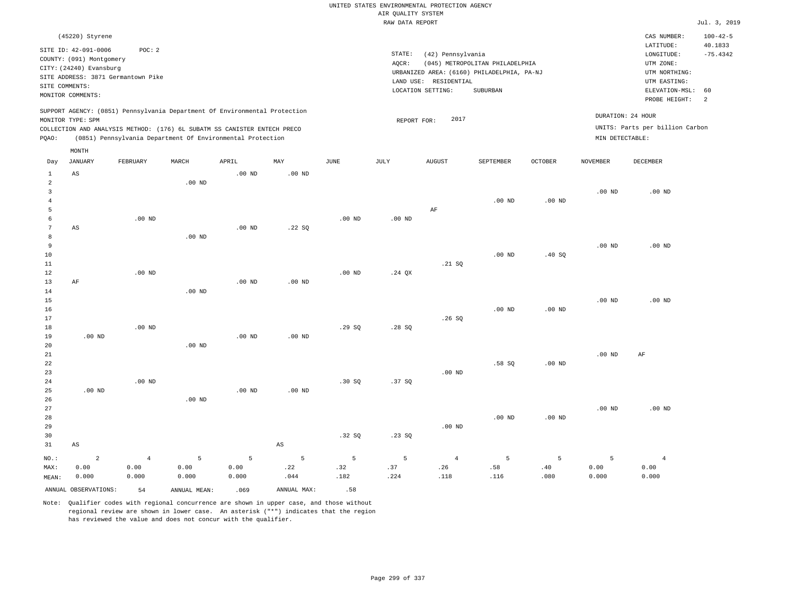|                                     |                                                                     |                                 |                    |                                                                            |                  |                  |                    | UNITED STATES ENVIRONMENTAL PROTECTION AGENCY |                                                                                                  |                   |                    |                                                              |                                         |
|-------------------------------------|---------------------------------------------------------------------|---------------------------------|--------------------|----------------------------------------------------------------------------|------------------|------------------|--------------------|-----------------------------------------------|--------------------------------------------------------------------------------------------------|-------------------|--------------------|--------------------------------------------------------------|-----------------------------------------|
|                                     |                                                                     |                                 |                    |                                                                            |                  |                  | AIR QUALITY SYSTEM |                                               |                                                                                                  |                   |                    |                                                              |                                         |
|                                     |                                                                     |                                 |                    |                                                                            |                  |                  | RAW DATA REPORT    |                                               |                                                                                                  |                   |                    |                                                              | Jul. 3, 2019                            |
|                                     | (45220) Styrene<br>SITE ID: 42-091-0006<br>COUNTY: (091) Montgomery | POC: 2                          |                    |                                                                            |                  |                  | $\texttt{STATE}$ : | (42) Pennsylvania                             |                                                                                                  |                   |                    | CAS NUMBER:<br>LATITUDE:<br>LONGITUDE:                       | $100 - 42 - 5$<br>40.1833<br>$-75.4342$ |
| SITE COMMENTS:                      | CITY: (24240) Evansburg<br>SITE ADDRESS: 3871 Germantown Pike       |                                 |                    |                                                                            |                  |                  | AQCR:              | LAND USE: RESIDENTIAL<br>LOCATION SETTING:    | (045) METROPOLITAN PHILADELPHIA<br>URBANIZED AREA: (6160) PHILADELPHIA, PA-NJ<br><b>SUBURBAN</b> |                   |                    | UTM ZONE:<br>UTM NORTHING:<br>UTM EASTING:<br>ELEVATION-MSL: | 60                                      |
|                                     | MONITOR COMMENTS:                                                   |                                 |                    |                                                                            |                  |                  |                    |                                               |                                                                                                  |                   |                    | PROBE HEIGHT:                                                | 2                                       |
|                                     | MONITOR TYPE: SPM                                                   |                                 |                    | SUPPORT AGENCY: (0851) Pennsylvania Department Of Environmental Protection |                  |                  | REPORT FOR:        | 2017                                          |                                                                                                  |                   |                    | DURATION: 24 HOUR                                            |                                         |
|                                     |                                                                     |                                 |                    | COLLECTION AND ANALYSIS METHOD: (176) 6L SUBATM SS CANISTER ENTECH PRECO   |                  |                  |                    |                                               |                                                                                                  |                   |                    | UNITS: Parts per billion Carbon                              |                                         |
| PQAO:                               |                                                                     |                                 |                    | (0851) Pennsylvania Department Of Environmental Protection                 |                  |                  |                    |                                               |                                                                                                  |                   | MIN DETECTABLE:    |                                                              |                                         |
|                                     | MONTH                                                               |                                 |                    |                                                                            |                  |                  |                    |                                               |                                                                                                  |                   |                    |                                                              |                                         |
| Day                                 | <b>JANUARY</b>                                                      | FEBRUARY                        | MARCH              | APRIL                                                                      | MAY              | <b>JUNE</b>      | JULY               | <b>AUGUST</b>                                 | SEPTEMBER                                                                                        | OCTOBER           | <b>NOVEMBER</b>    | DECEMBER                                                     |                                         |
| $\mathbf{1}$<br>2<br>$\overline{3}$ | $_{\rm AS}$                                                         |                                 | $.00$ ND           | $.00$ ND                                                                   | $.00$ ND         |                  |                    |                                               |                                                                                                  |                   | .00 <sub>ND</sub>  | $.00$ ND                                                     |                                         |
| $\overline{4}$<br>5                 |                                                                     |                                 |                    |                                                                            |                  |                  |                    | AF                                            | .00 <sub>ND</sub>                                                                                | .00 <sub>ND</sub> |                    |                                                              |                                         |
| 6<br>$7\phantom{.0}$                | AS                                                                  | $.00$ ND                        |                    | $.00$ ND                                                                   | .22SQ            | $.00$ ND         | $.00$ ND           |                                               |                                                                                                  |                   |                    |                                                              |                                         |
| 8<br>9<br>10                        |                                                                     |                                 | $.00$ ND           |                                                                            |                  |                  |                    |                                               | $.00$ ND                                                                                         | .40S              | $.00$ ND           | $.00$ ND                                                     |                                         |
| 11<br>12<br>13                      | AF                                                                  | $.00$ ND                        |                    | $.00$ ND                                                                   | $.00$ ND         | $.00$ ND         | $.24$ QX           | .21 SQ                                        |                                                                                                  |                   |                    |                                                              |                                         |
| 14<br>15<br>16                      |                                                                     |                                 | $.00$ ND           |                                                                            |                  |                  |                    |                                               | $.00$ ND                                                                                         | $.00$ ND          | $.00$ ND           | $.00$ ND                                                     |                                         |
| 17<br>18<br>19                      | $.00$ ND                                                            | $.00$ ND                        |                    | $.00$ ND                                                                   | $.00$ ND         | .29SQ            | .28SQ              | .26S                                          |                                                                                                  |                   |                    |                                                              |                                         |
| 20<br>21<br>22<br>23                |                                                                     |                                 | $.00$ ND           |                                                                            |                  |                  |                    | $.00$ ND                                      | .58SQ                                                                                            | $.00$ ND          | $.00$ ND           | AF                                                           |                                         |
| 24<br>25<br>26                      | $.00$ ND                                                            | .00 <sub>ND</sub>               | $.00$ ND           | $.00$ ND                                                                   | $.00$ ND         | .30S             | .37 SO             |                                               |                                                                                                  |                   |                    |                                                              |                                         |
| 27<br>28<br>29                      |                                                                     |                                 |                    |                                                                            |                  | .32S             |                    | $.00$ ND                                      | $.00$ ND                                                                                         | $.00$ ND          | .00 <sub>ND</sub>  | $.00$ ND                                                     |                                         |
| 30<br>31                            | $\mathbb{A}\mathbb{S}$                                              |                                 |                    |                                                                            | $_{\rm AS}$      |                  | .23S               |                                               |                                                                                                  |                   |                    |                                                              |                                         |
| NO.:<br>MAX:<br>MEAN:               | $\overline{a}$<br>0.00<br>0.000                                     | $\overline{4}$<br>0.00<br>0.000 | 5<br>0.00<br>0.000 | 5<br>0.00<br>0.000                                                         | 5<br>.22<br>.044 | 5<br>.32<br>.182 | 5<br>.37<br>.224   | $\overline{4}$<br>.26<br>.118                 | 5<br>.58<br>.116                                                                                 | 5<br>.40<br>.080  | 5<br>0.00<br>0.000 | $\overline{4}$<br>0.00<br>0.000                              |                                         |
|                                     | ANNUAL OBSERVATIONS:                                                | 54                              | ANNUAL, MEAN:      | .069                                                                       | ANNUAL MAX:      | .58              |                    |                                               |                                                                                                  |                   |                    |                                                              |                                         |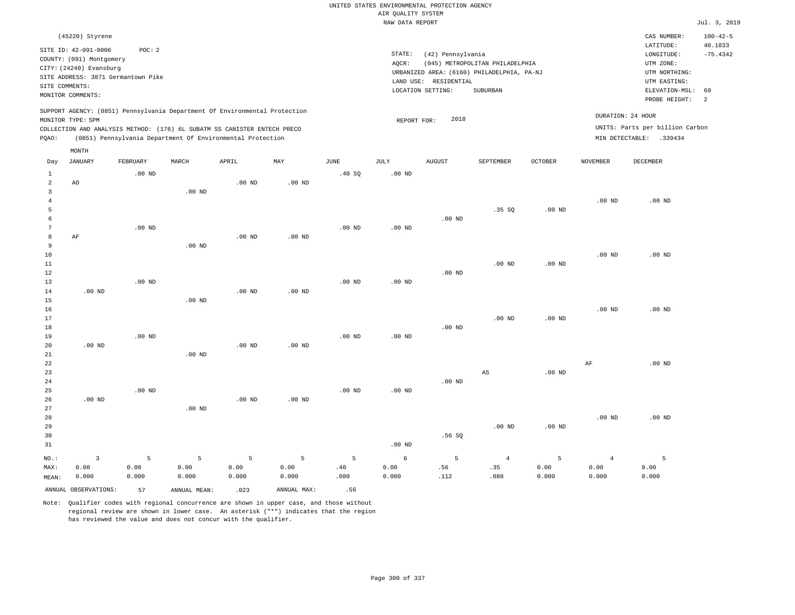|                                  |                                                                                                 |                   |                   |                                                            |                   |                   |                                       | UNITED STATES ENVIRONMENTAL PROTECTION AGENCY |                                                        |                |                   |                                                     |                                         |
|----------------------------------|-------------------------------------------------------------------------------------------------|-------------------|-------------------|------------------------------------------------------------|-------------------|-------------------|---------------------------------------|-----------------------------------------------|--------------------------------------------------------|----------------|-------------------|-----------------------------------------------------|-----------------------------------------|
|                                  |                                                                                                 |                   |                   |                                                            |                   |                   | AIR QUALITY SYSTEM<br>RAW DATA REPORT |                                               |                                                        |                |                   |                                                     | Jul. 3, 2019                            |
|                                  |                                                                                                 |                   |                   |                                                            |                   |                   |                                       |                                               |                                                        |                |                   |                                                     |                                         |
|                                  | (45220) Styrene<br>SITE ID: 42-091-0006<br>COUNTY: (091) Montgomery                             | POC: 2            |                   |                                                            |                   |                   | STATE:<br>AQCR:                       | (42) Pennsylvania                             | (045) METROPOLITAN PHILADELPHIA                        |                |                   | CAS NUMBER:<br>LATITUDE:<br>LONGITUDE:<br>UTM ZONE: | $100 - 42 - 5$<br>40.1833<br>$-75.4342$ |
| SITE COMMENTS:                   | CITY: (24240) Evansburg<br>SITE ADDRESS: 3871 Germantown Pike                                   |                   |                   |                                                            |                   |                   |                                       | LAND USE: RESIDENTIAL<br>LOCATION SETTING:    | URBANIZED AREA: (6160) PHILADELPHIA, PA-NJ<br>SUBURBAN |                |                   | UTM NORTHING:<br>UTM EASTING:<br>ELEVATION-MSL:     | 60                                      |
|                                  | MONITOR COMMENTS:                                                                               |                   |                   |                                                            |                   |                   |                                       |                                               |                                                        |                |                   | PROBE HEIGHT:                                       | $\overline{a}$                          |
|                                  | SUPPORT AGENCY: (0851) Pennsylvania Department Of Environmental Protection<br>MONITOR TYPE: SPM |                   |                   |                                                            |                   |                   | REPORT FOR:                           | 2018                                          |                                                        |                |                   | DURATION: 24 HOUR                                   |                                         |
|                                  | COLLECTION AND ANALYSIS METHOD: (176) 6L SUBATM SS CANISTER ENTECH PRECO                        |                   |                   |                                                            |                   |                   |                                       |                                               |                                                        |                |                   | UNITS: Parts per billion Carbon                     |                                         |
| PQAO:                            |                                                                                                 |                   |                   | (0851) Pennsylvania Department Of Environmental Protection |                   |                   |                                       |                                               |                                                        |                |                   | MIN DETECTABLE: .339434                             |                                         |
| Day                              | MONTH<br><b>JANUARY</b>                                                                         | FEBRUARY          | MARCH             | APRIL                                                      | MAY               | JUNE              | JULY                                  | <b>AUGUST</b>                                 | SEPTEMBER                                              | <b>OCTOBER</b> | <b>NOVEMBER</b>   | <b>DECEMBER</b>                                     |                                         |
| $\mathbf{1}$                     |                                                                                                 | $.00$ ND          |                   |                                                            |                   | .40SQ             | .00 <sub>ND</sub>                     |                                               |                                                        |                |                   |                                                     |                                         |
| $\overline{a}$<br>$\overline{3}$ | AO                                                                                              |                   | $.00$ ND          | $.00$ ND                                                   | $.00$ ND          |                   |                                       |                                               |                                                        |                |                   |                                                     |                                         |
| $\overline{4}$                   |                                                                                                 |                   |                   |                                                            |                   |                   |                                       |                                               |                                                        |                | $.00$ ND          | $.00$ ND                                            |                                         |
| 5<br>6                           |                                                                                                 |                   |                   |                                                            |                   |                   |                                       | $.00$ ND                                      | .35 SQ                                                 | $.00$ ND       |                   |                                                     |                                         |
| $\overline{7}$                   |                                                                                                 | .00 <sub>ND</sub> |                   |                                                            |                   | .00 <sub>ND</sub> | .00 <sub>ND</sub>                     |                                               |                                                        |                |                   |                                                     |                                         |
| 8                                | AF                                                                                              |                   |                   | .00 <sub>ND</sub>                                          | $.00$ ND          |                   |                                       |                                               |                                                        |                |                   |                                                     |                                         |
| $\overline{9}$<br>10             |                                                                                                 |                   | $.00$ ND          |                                                            |                   |                   |                                       |                                               |                                                        |                | .00 <sub>ND</sub> | .00 <sub>ND</sub>                                   |                                         |
| 11                               |                                                                                                 |                   |                   |                                                            |                   |                   |                                       |                                               | $.00$ ND                                               | $.00$ ND       |                   |                                                     |                                         |
| 12                               |                                                                                                 |                   |                   |                                                            |                   |                   |                                       | .00 <sub>ND</sub>                             |                                                        |                |                   |                                                     |                                         |
| 13                               |                                                                                                 | $.00$ ND          |                   |                                                            |                   | $.00$ ND          | $.00$ ND                              |                                               |                                                        |                |                   |                                                     |                                         |
| 14<br>15                         | $.00$ ND                                                                                        |                   | $.00$ ND          | $.00$ ND                                                   | $.00$ ND          |                   |                                       |                                               |                                                        |                |                   |                                                     |                                         |
| 16                               |                                                                                                 |                   |                   |                                                            |                   |                   |                                       |                                               |                                                        |                | $.00$ ND          | $.00$ ND                                            |                                         |
| 17                               |                                                                                                 |                   |                   |                                                            |                   |                   |                                       |                                               | .00 <sub>ND</sub>                                      | $.00$ ND       |                   |                                                     |                                         |
| 18<br>19                         |                                                                                                 | $.00$ ND          |                   |                                                            |                   | $.00$ ND          | $.00$ ND                              | $.00$ ND                                      |                                                        |                |                   |                                                     |                                         |
| 20                               | $.00$ ND                                                                                        |                   |                   | $.00$ ND                                                   | .00 <sub>ND</sub> |                   |                                       |                                               |                                                        |                |                   |                                                     |                                         |
| 21                               |                                                                                                 |                   | $.00$ ND          |                                                            |                   |                   |                                       |                                               |                                                        |                |                   |                                                     |                                         |
| 22                               |                                                                                                 |                   |                   |                                                            |                   |                   |                                       |                                               |                                                        |                | $\rm AF$          | $.00$ ND                                            |                                         |
| 23<br>24                         |                                                                                                 |                   |                   |                                                            |                   |                   |                                       | $.00$ ND                                      | AS                                                     | $.00$ ND       |                   |                                                     |                                         |
| 25                               |                                                                                                 | $.00$ ND          |                   |                                                            |                   | $.00$ ND          | $.00$ ND                              |                                               |                                                        |                |                   |                                                     |                                         |
| 26                               | $.00$ ND                                                                                        |                   |                   | $.00$ ND                                                   | $.00$ ND          |                   |                                       |                                               |                                                        |                |                   |                                                     |                                         |
| 27                               |                                                                                                 |                   | .00 <sub>ND</sub> |                                                            |                   |                   |                                       |                                               |                                                        |                |                   |                                                     |                                         |
| 28<br>29                         |                                                                                                 |                   |                   |                                                            |                   |                   |                                       |                                               | $.00$ ND                                               | $.00$ ND       | $.00$ ND          | $.00$ ND                                            |                                         |
| 30                               |                                                                                                 |                   |                   |                                                            |                   |                   |                                       | .56SQ                                         |                                                        |                |                   |                                                     |                                         |
| 31                               |                                                                                                 |                   |                   |                                                            |                   |                   | .00 <sub>ND</sub>                     |                                               |                                                        |                |                   |                                                     |                                         |
| NO.:                             | $\overline{3}$                                                                                  | 5                 | 5                 | 5                                                          | 5                 | 5                 | 6                                     | 5                                             | $\overline{4}$                                         | 5              | $\overline{4}$    | 5                                                   |                                         |
| MAX:                             | 0.00                                                                                            | 0.00              | 0.00              | 0.00                                                       | 0.00              | .40               | 0.00                                  | .56                                           | .35                                                    | 0.00           | 0.00              | 0.00                                                |                                         |
| MEAN:                            | 0.000                                                                                           | 0.000             | 0.000             | 0.000                                                      | 0.000             | .080              | 0.000                                 | .112                                          | .088                                                   | 0.000          | 0.000             | 0.000                                               |                                         |
|                                  | ANNUAL OBSERVATIONS:                                                                            | 57                | ANNUAL MEAN:      | .023                                                       | ANNUAL MAX:       | .56               |                                       |                                               |                                                        |                |                   |                                                     |                                         |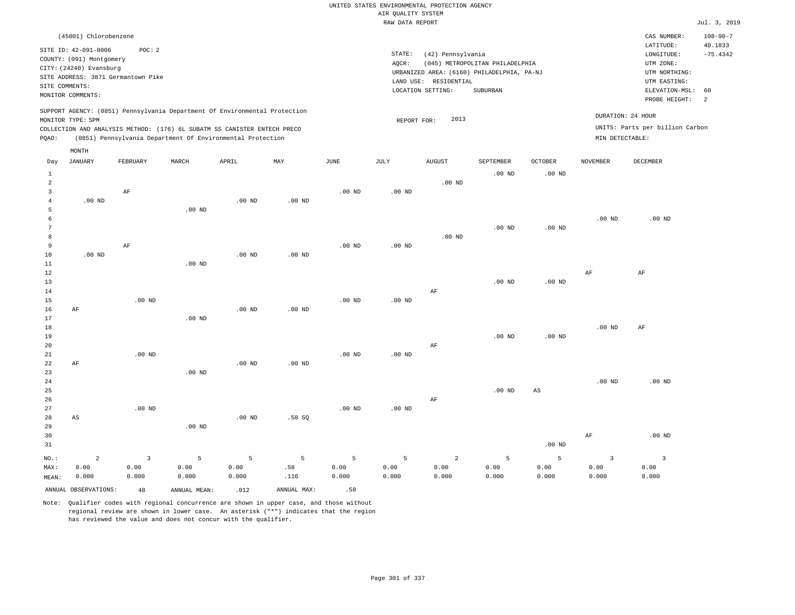|       |                                                     |                                    |                                                                            |          |                   |          | RAW DATA REPORT   |                       |                                            |                |                   |                                 | Jul. 3, 2019               |
|-------|-----------------------------------------------------|------------------------------------|----------------------------------------------------------------------------|----------|-------------------|----------|-------------------|-----------------------|--------------------------------------------|----------------|-------------------|---------------------------------|----------------------------|
|       | (45801) Chlorobenzene                               |                                    |                                                                            |          |                   |          |                   |                       |                                            |                |                   | CAS NUMBER:                     | $108 - 90 - 7$             |
|       |                                                     |                                    |                                                                            |          |                   |          |                   |                       |                                            |                |                   | LATITUDE:                       | 40.1833                    |
|       | SITE ID: 42-091-0006                                | POC: 2                             |                                                                            |          |                   |          | STATE:            | (42) Pennsylvania     |                                            |                |                   | LONGITUDE:                      | $-75.4342$                 |
|       | COUNTY: (091) Montgomery<br>CITY: (24240) Evansburg |                                    |                                                                            |          |                   |          | AQCR:             |                       | (045) METROPOLITAN PHILADELPHIA            |                |                   | UTM ZONE:                       |                            |
|       |                                                     | SITE ADDRESS: 3871 Germantown Pike |                                                                            |          |                   |          |                   |                       | URBANIZED AREA: (6160) PHILADELPHIA, PA-NJ |                |                   | UTM NORTHING:                   |                            |
|       | SITE COMMENTS:                                      |                                    |                                                                            |          |                   |          |                   | LAND USE: RESIDENTIAL |                                            |                |                   | UTM EASTING:                    |                            |
|       | MONITOR COMMENTS:                                   |                                    |                                                                            |          |                   |          |                   | LOCATION SETTING:     | SUBURBAN                                   |                |                   | ELEVATION-MSL: 60               |                            |
|       |                                                     |                                    |                                                                            |          |                   |          |                   |                       |                                            |                |                   | PROBE HEIGHT:                   | $\overline{\phantom{0}}^2$ |
|       | MONITOR TYPE: SPM                                   |                                    | SUPPORT AGENCY: (0851) Pennsylvania Department Of Environmental Protection |          |                   |          | REPORT FOR:       | 2013                  |                                            |                |                   | DURATION: 24 HOUR               |                            |
|       |                                                     |                                    | COLLECTION AND ANALYSIS METHOD: (176) 6L SUBATM SS CANISTER ENTECH PRECO   |          |                   |          |                   |                       |                                            |                |                   | UNITS: Parts per billion Carbon |                            |
| PQAO: |                                                     |                                    | (0851) Pennsylvania Department Of Environmental Protection                 |          |                   |          |                   |                       |                                            |                | MIN DETECTABLE:   |                                 |                            |
|       |                                                     |                                    |                                                                            |          |                   |          |                   |                       |                                            |                |                   |                                 |                            |
|       | MONTH                                               |                                    |                                                                            |          |                   |          |                   |                       |                                            |                |                   |                                 |                            |
| Day   | JANUARY                                             | FEBRUARY                           | MARCH                                                                      | APRIL    | MAY               | JUNE     | JULY              | <b>AUGUST</b>         | SEPTEMBER                                  | <b>OCTOBER</b> | <b>NOVEMBER</b>   | DECEMBER                        |                            |
|       |                                                     |                                    |                                                                            |          |                   |          |                   |                       | $.00$ ND                                   | $.00$ ND       |                   |                                 |                            |
| 2     |                                                     |                                    |                                                                            |          |                   |          |                   | $.00$ ND              |                                            |                |                   |                                 |                            |
| 3     |                                                     | AF                                 |                                                                            |          |                   | $.00$ ND | .00 <sub>ND</sub> |                       |                                            |                |                   |                                 |                            |
|       | $.00$ ND                                            |                                    |                                                                            | $.00$ ND | .00 <sub>ND</sub> |          |                   |                       |                                            |                |                   |                                 |                            |
| 5     |                                                     |                                    | $.00$ ND                                                                   |          |                   |          |                   |                       |                                            |                |                   |                                 |                            |
|       |                                                     |                                    |                                                                            |          |                   |          |                   |                       |                                            |                | .00 <sub>ND</sub> | $.00$ ND                        |                            |
|       |                                                     |                                    |                                                                            |          |                   |          |                   |                       | $.00$ ND                                   | $.00$ ND       |                   |                                 |                            |
| 8     |                                                     |                                    |                                                                            |          |                   |          |                   | $.00$ ND              |                                            |                |                   |                                 |                            |
| 9     |                                                     | AF                                 |                                                                            |          |                   | $.00$ ND | $.00$ ND          |                       |                                            |                |                   |                                 |                            |
| 10    | $.00$ ND                                            |                                    |                                                                            | $.00$ ND | $.00$ ND          |          |                   |                       |                                            |                |                   |                                 |                            |
| 11    |                                                     |                                    | $.00$ ND                                                                   |          |                   |          |                   |                       |                                            |                |                   |                                 |                            |

| 12     |    |          |          |          |          |          |          |          |          |             | AF       | AF       |
|--------|----|----------|----------|----------|----------|----------|----------|----------|----------|-------------|----------|----------|
| 13     |    |          |          |          |          |          |          |          | $.00$ ND | $.00$ ND    |          |          |
| 14     |    |          |          |          |          |          |          | $\rm AF$ |          |             |          |          |
|        |    |          |          |          |          |          |          |          |          |             |          |          |
| 15     |    | $.00$ ND |          |          |          | $.00$ ND | $.00$ ND |          |          |             |          |          |
| 16     | AF |          |          | $.00$ ND | $.00$ ND |          |          |          |          |             |          |          |
| 17     |    |          | $.00$ ND |          |          |          |          |          |          |             |          |          |
| 18     |    |          |          |          |          |          |          |          |          |             | $.00$ ND | AF       |
| 19     |    |          |          |          |          |          |          |          | $.00$ ND | $.00$ ND    |          |          |
| 20     |    |          |          |          |          |          |          | AF       |          |             |          |          |
| $21\,$ |    | $.00$ ND |          |          |          | $.00$ ND | $.00$ ND |          |          |             |          |          |
| 22     | AF |          |          | $.00$ ND | $.00$ ND |          |          |          |          |             |          |          |
| 23     |    |          | $.00$ ND |          |          |          |          |          |          |             |          |          |
| 24     |    |          |          |          |          |          |          |          |          |             | .00 $ND$ | $.00$ ND |
| 25     |    |          |          |          |          |          |          |          | $.00$ ND | $_{\rm AS}$ |          |          |
|        |    |          |          |          |          |          |          |          |          |             |          |          |
| 26     |    |          |          |          |          |          |          | AF       |          |             |          |          |
| 27     |    | $.00$ ND |          |          |          | $.00$ ND | $.00$ ND |          |          |             |          |          |
| 28     | AS |          |          | $.00$ ND | .58 SQ   |          |          |          |          |             |          |          |
| 29     |    |          | $.00$ ND |          |          |          |          |          |          |             |          |          |
| 30     |    |          |          |          |          |          |          |          |          |             | $\rm AF$ | $.00$ ND |
| 31     |    |          |          |          |          |          |          |          |          | $.00$ ND    |          |          |

NO.: MAX: MEAN: 2 0.00 0.000 3 0.00 0.000 5 0.00 0.000 5 0.00 0.000 5 .58 .116 5 0.00 0.000 5 0.00 0.000 2 0.00 0.000 5 0.00 0.000 5 0.00 0.000 0.00 0.000 ANNUAL OBSERVATIONS:  $48$  ANNUAL MEAN: .012 ANNUAL MAX: .58

Note: Qualifier codes with regional concurrence are shown in upper case, and those without regional review are shown in lower case. An asterisk ("\*") indicates that the region has reviewed the value and does not concur with the qualifier.

3

3 0.00 0.000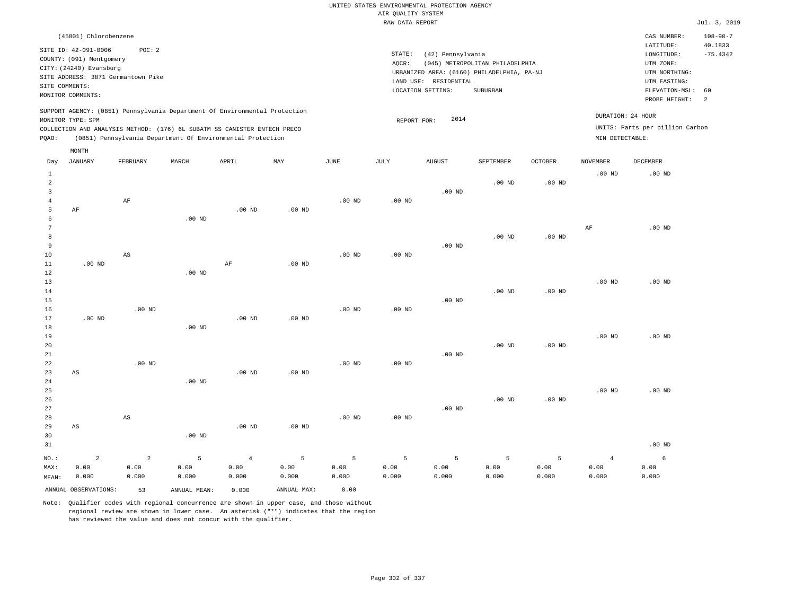| Jul. 3, 2019                                                                                   |
|------------------------------------------------------------------------------------------------|
| $108 - 90 - 7$<br>CAS NUMBER:                                                                  |
| LATITUDE:<br>40.1833<br>$-75.4342$<br>LONGITUDE:<br>UTM ZONE:<br>UTM NORTHING:<br>UTM EASTING: |
| 60<br>ELEVATION-MSL:                                                                           |
| PROBE HEIGHT:<br><sup>2</sup>                                                                  |
| DURATION: 24 HOUR                                                                              |
| UNITS: Parts per billion Carbon                                                                |
|                                                                                                |
|                                                                                                |
| DECEMBER                                                                                       |
| $.00$ ND                                                                                       |
|                                                                                                |
|                                                                                                |
| $.00$ ND                                                                                       |
|                                                                                                |
|                                                                                                |
| $.00$ ND                                                                                       |
|                                                                                                |
|                                                                                                |
|                                                                                                |
|                                                                                                |
| $.00$ ND                                                                                       |
|                                                                                                |
|                                                                                                |
|                                                                                                |
|                                                                                                |
|                                                                                                |
| $.00$ ND                                                                                       |
|                                                                                                |
|                                                                                                |

.00 ND

6 0.00 0.000

4 0.00 0.000

Note: Qualifier codes with regional concurrence are shown in upper case, and those without regional review are shown in lower case. An asterisk ("\*") indicates that the region has reviewed the value and does not concur with the qualifier.

.00 ND

4 0.00 0.000

.00 ND

5 0.00 0.000

.00 ND

5 0.00 0.000

.00 ND

5 0.00 0.000

ANNUAL OBSERVATIONS: 53 ANNUAL MEAN: 0.000 ANNUAL MAX: 0.00

AS

2 0.00 0.000

AS

2 0.00 0.000

NO.: MAX: MEAN: .00 ND

5 0.00 0.000

5 0.00 0.000

5 0.00 0.000

5 0.00 0.000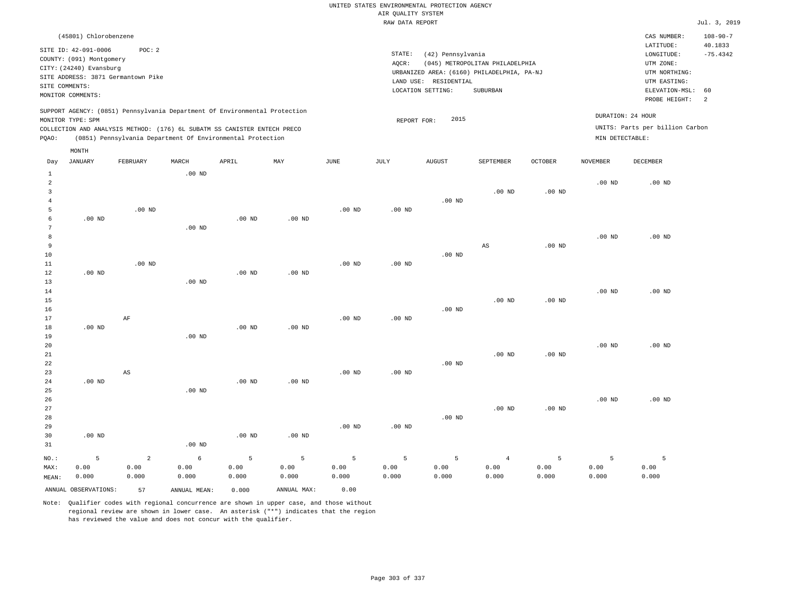| RAW DATA REPORT                                                                                                                             |                          |                                    |          |                                                                          |          |          |          |                                            |                                 |                |                   |                                 | Jul. 3, 2019   |
|---------------------------------------------------------------------------------------------------------------------------------------------|--------------------------|------------------------------------|----------|--------------------------------------------------------------------------|----------|----------|----------|--------------------------------------------|---------------------------------|----------------|-------------------|---------------------------------|----------------|
|                                                                                                                                             | (45801) Chlorobenzene    |                                    |          |                                                                          |          |          |          |                                            |                                 |                |                   | CAS NUMBER:                     | $108 - 90 - 7$ |
|                                                                                                                                             | SITE ID: 42-091-0006     | POC:2                              |          |                                                                          |          |          |          |                                            |                                 |                |                   | LATITUDE:                       | 40.1833        |
|                                                                                                                                             | COUNTY: (091) Montgomery |                                    |          |                                                                          |          |          | STATE:   | (42) Pennsylvania                          |                                 |                |                   | LONGITUDE:                      | $-75.4342$     |
|                                                                                                                                             | CITY: (24240) Evansburg  |                                    |          |                                                                          |          |          | AQCR:    |                                            | (045) METROPOLITAN PHILADELPHIA |                |                   | UTM ZONE:                       |                |
|                                                                                                                                             |                          | SITE ADDRESS: 3871 Germantown Pike |          |                                                                          |          |          |          | URBANIZED AREA: (6160) PHILADELPHIA, PA-NJ |                                 |                |                   | UTM NORTHING:                   |                |
|                                                                                                                                             | SITE COMMENTS:           |                                    |          |                                                                          |          |          |          | LAND USE: RESIDENTIAL                      |                                 |                |                   | UTM EASTING:                    |                |
|                                                                                                                                             | MONITOR COMMENTS:        |                                    |          |                                                                          |          |          |          | LOCATION SETTING:                          | SUBURBAN                        |                |                   | ELEVATION-MSL:                  | 60             |
|                                                                                                                                             |                          |                                    |          |                                                                          |          |          |          |                                            |                                 |                |                   | PROBE HEIGHT:                   | -2             |
| SUPPORT AGENCY: (0851) Pennsylvania Department Of Environmental Protection<br>DURATION: 24 HOUR<br>2015<br>MONITOR TYPE: SPM<br>REPORT FOR: |                          |                                    |          |                                                                          |          |          |          |                                            |                                 |                |                   |                                 |                |
|                                                                                                                                             |                          |                                    |          | COLLECTION AND ANALYSIS METHOD: (176) 6L SUBATM SS CANISTER ENTECH PRECO |          |          |          |                                            |                                 |                |                   | UNITS: Parts per billion Carbon |                |
| POAO:                                                                                                                                       |                          |                                    |          | (0851) Pennsylvania Department Of Environmental Protection               |          |          |          |                                            |                                 |                | MIN DETECTABLE:   |                                 |                |
|                                                                                                                                             | MONTH                    |                                    |          |                                                                          |          |          |          |                                            |                                 |                |                   |                                 |                |
| Day                                                                                                                                         | JANUARY                  | FEBRUARY                           | MARCH    | APRIL                                                                    | MAY      | JUNE     | JULY     | <b>AUGUST</b>                              | <b>SEPTEMBER</b>                | <b>OCTOBER</b> | <b>NOVEMBER</b>   | DECEMBER                        |                |
|                                                                                                                                             |                          |                                    | $.00$ ND |                                                                          |          |          |          |                                            |                                 |                |                   |                                 |                |
|                                                                                                                                             |                          |                                    |          |                                                                          |          |          |          |                                            |                                 |                | .00 <sub>ND</sub> | $.00$ ND                        |                |
|                                                                                                                                             |                          |                                    |          |                                                                          |          |          |          |                                            | $.00$ ND                        | $.00$ ND       |                   |                                 |                |
|                                                                                                                                             |                          |                                    |          |                                                                          |          |          |          | $.00$ ND                                   |                                 |                |                   |                                 |                |
|                                                                                                                                             |                          | .00 <sub>ND</sub>                  |          |                                                                          |          | $.00$ ND | $.00$ ND |                                            |                                 |                |                   |                                 |                |
|                                                                                                                                             | $.00$ ND                 |                                    |          | $.00$ ND                                                                 | $.00$ ND |          |          |                                            |                                 |                |                   |                                 |                |

| 8  |          |                   |          |          |          |          |          |          |          |          | $.00$ ND | $.00$ ND |
|----|----------|-------------------|----------|----------|----------|----------|----------|----------|----------|----------|----------|----------|
| 9  |          |                   |          |          |          |          |          |          | AS       | $.00$ ND |          |          |
| 10 |          |                   |          |          |          |          |          | $.00$ ND |          |          |          |          |
| 11 |          | .00 <sub>ND</sub> |          |          |          | $.00$ ND | $.00$ ND |          |          |          |          |          |
| 12 | $.00$ ND |                   |          | $.00$ ND | $.00$ ND |          |          |          |          |          |          |          |
| 13 |          |                   | $.00$ ND |          |          |          |          |          |          |          |          |          |
| 14 |          |                   |          |          |          |          |          |          |          |          | $.00$ ND | $.00$ ND |
| 15 |          |                   |          |          |          |          |          |          | $.00$ ND | $.00$ ND |          |          |

| 16          |          |    |          |          |          |                   |                   | $.00$ ND |          |          |          |          |
|-------------|----------|----|----------|----------|----------|-------------------|-------------------|----------|----------|----------|----------|----------|
| 17          |          | AF |          |          |          | $.00$ ND          | $.00$ ND          |          |          |          |          |          |
| 18          | $.00$ ND |    |          | $.00$ ND | $.00$ ND |                   |                   |          |          |          |          |          |
| 19          |          |    | $.00$ ND |          |          |                   |                   |          |          |          |          |          |
| 20          |          |    |          |          |          |                   |                   |          |          |          | $.00$ ND | $.00$ ND |
| $21\,$      |          |    |          |          |          |                   |                   |          | $.00$ ND | $.00$ ND |          |          |
| $2\sqrt{2}$ |          |    |          |          |          |                   |                   | $.00$ ND |          |          |          |          |
| 23          |          | AS |          |          |          | $.00$ ND          | $.00$ ND          |          |          |          |          |          |
| 24          | $.00$ ND |    |          | $.00$ ND | $.00$ ND |                   |                   |          |          |          |          |          |
| 25          |          |    | $.00$ ND |          |          |                   |                   |          |          |          |          |          |
| 26          |          |    |          |          |          |                   |                   |          |          |          | $.00$ ND | $.00$ ND |
| 27          |          |    |          |          |          |                   |                   |          | $.00$ ND | $.00$ ND |          |          |
| 28          |          |    |          |          |          |                   |                   | $.00$ ND |          |          |          |          |
| 29          |          |    |          |          |          | .00 <sub>ND</sub> | .00 <sub>ND</sub> |          |          |          |          |          |

| 30      | $.00$ ND             |       |              | .00 <sub>ND</sub> | $.00$ ND    |       |       |       |       |       |       |       |
|---------|----------------------|-------|--------------|-------------------|-------------|-------|-------|-------|-------|-------|-------|-------|
| 31      |                      |       | $.00$ ND     |                   |             |       |       |       |       |       |       |       |
| $NO.$ : |                      |       |              |                   |             |       |       |       |       |       |       |       |
| MAX:    | 0.00                 | 0.00  | 0.00         | 0.00              | 0.00        | 0.00  | 0.00  | 0.00  | 0.00  | 0.00  | 0.00  | 0.00  |
| MEAN:   | 0.000                | 0.000 | 0.000        | 0.000             | 0.000       | 0.000 | 0.000 | 0.000 | 0.000 | 0.000 | 0.000 | 0.000 |
|         | ANNUAL OBSERVATIONS: | 57    | ANNUAL MEAN: | 0.000             | ANNUAL MAX: | 0.00  |       |       |       |       |       |       |

Note: Qualifier codes with regional concurrence are shown in upper case, and those without regional review are shown in lower case. An asterisk ("\*") indicates that the region has reviewed the value and does not concur with the qualifier.

.00 ND

7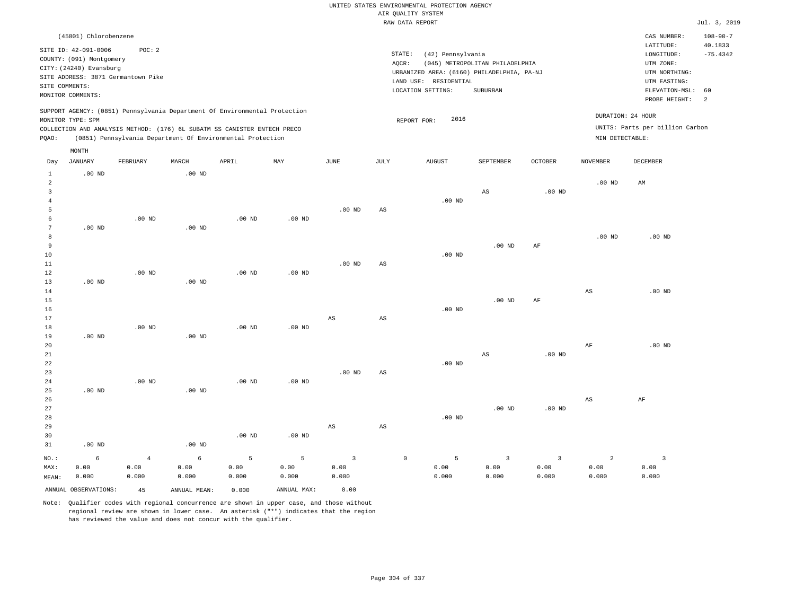|                                |                          |                                    |                   |                                                                            |                   |                         |                        | UNITED STATES ENVIRONMENTAL PROTECTION AGENCY<br>AIR QUALITY SYSTEM |                                 |                |                        |                                 |                       |
|--------------------------------|--------------------------|------------------------------------|-------------------|----------------------------------------------------------------------------|-------------------|-------------------------|------------------------|---------------------------------------------------------------------|---------------------------------|----------------|------------------------|---------------------------------|-----------------------|
|                                |                          |                                    |                   |                                                                            |                   |                         |                        | RAW DATA REPORT                                                     |                                 |                |                        |                                 | Jul. 3, 2019          |
|                                | (45801) Chlorobenzene    |                                    |                   |                                                                            |                   |                         |                        |                                                                     |                                 |                |                        | CAS NUMBER:                     | $108 - 90 - 7$        |
|                                | SITE ID: 42-091-0006     | POC: 2                             |                   |                                                                            |                   |                         |                        | STATE:<br>(42) Pennsylvania                                         |                                 |                |                        | LATITUDE:<br>LONGITUDE:         | 40.1833<br>$-75.4342$ |
|                                | COUNTY: (091) Montgomery |                                    |                   |                                                                            |                   |                         |                        | AQCR:                                                               | (045) METROPOLITAN PHILADELPHIA |                |                        | UTM ZONE:                       |                       |
|                                | CITY: (24240) Evansburg  |                                    |                   |                                                                            |                   |                         |                        | URBANIZED AREA: (6160) PHILADELPHIA, PA-NJ                          |                                 |                |                        | UTM NORTHING:                   |                       |
|                                |                          | SITE ADDRESS: 3871 Germantown Pike |                   |                                                                            |                   |                         |                        | LAND USE: RESIDENTIAL                                               |                                 |                |                        | UTM EASTING:                    |                       |
| SITE COMMENTS:                 |                          |                                    |                   |                                                                            |                   |                         |                        | LOCATION SETTING:                                                   | <b>SUBURBAN</b>                 |                |                        | ELEVATION-MSL:                  | 60                    |
|                                | MONITOR COMMENTS:        |                                    |                   |                                                                            |                   |                         |                        |                                                                     |                                 |                |                        | PROBE HEIGHT:                   | 2                     |
|                                | MONITOR TYPE: SPM        |                                    |                   | SUPPORT AGENCY: (0851) Pennsylvania Department Of Environmental Protection |                   |                         |                        | 2016<br>REPORT FOR:                                                 |                                 |                |                        | DURATION: 24 HOUR               |                       |
|                                |                          |                                    |                   | COLLECTION AND ANALYSIS METHOD: (176) 6L SUBATM SS CANISTER ENTECH PRECO   |                   |                         |                        |                                                                     |                                 |                |                        | UNITS: Parts per billion Carbon |                       |
| PQAO:                          |                          |                                    |                   | (0851) Pennsylvania Department Of Environmental Protection                 |                   |                         |                        |                                                                     |                                 |                | MIN DETECTABLE:        |                                 |                       |
|                                | MONTH                    |                                    |                   |                                                                            |                   |                         |                        |                                                                     |                                 |                |                        |                                 |                       |
| Day                            | JANUARY                  | FEBRUARY                           | $\tt MARCH$       | APRIL                                                                      | MAY               | <b>JUNE</b>             | $\mathtt{JULY}$        | ${\tt AUGUST}$                                                      | SEPTEMBER                       | <b>OCTOBER</b> | <b>NOVEMBER</b>        | <b>DECEMBER</b>                 |                       |
| $\mathbf{1}$<br>$\overline{a}$ | .00 <sub>ND</sub>        |                                    | .00 <sub>ND</sub> |                                                                            |                   |                         |                        |                                                                     |                                 |                | $.00$ ND               | AM                              |                       |
| $\overline{\mathbf{3}}$        |                          |                                    |                   |                                                                            |                   |                         |                        |                                                                     | AS                              | $.00$ ND       |                        |                                 |                       |
| $\overline{4}$                 |                          |                                    |                   |                                                                            |                   |                         |                        | $.00$ ND                                                            |                                 |                |                        |                                 |                       |
| 5                              |                          |                                    |                   |                                                                            |                   | $.00$ ND                | AS                     |                                                                     |                                 |                |                        |                                 |                       |
| 6                              |                          | $.00$ ND                           |                   | $.00$ ND                                                                   | $.00$ ND          |                         |                        |                                                                     |                                 |                |                        |                                 |                       |
| $7\phantom{.0}$                | $.00$ ND                 |                                    | $.00$ ND          |                                                                            |                   |                         |                        |                                                                     |                                 |                |                        |                                 |                       |
| 8                              |                          |                                    |                   |                                                                            |                   |                         |                        |                                                                     |                                 |                | $.00$ ND               | .00 <sub>ND</sub>               |                       |
| 9<br>$10$                      |                          |                                    |                   |                                                                            |                   |                         |                        | $.00$ ND                                                            | $.00$ ND                        | AF             |                        |                                 |                       |
| $1\,1$                         |                          |                                    |                   |                                                                            |                   | $.00$ ND                | $\mathbb{A}\mathbb{S}$ |                                                                     |                                 |                |                        |                                 |                       |
| 12                             |                          | $.00$ ND                           |                   | $.00$ ND                                                                   | .00 <sub>ND</sub> |                         |                        |                                                                     |                                 |                |                        |                                 |                       |
| 13                             | $.00$ ND                 |                                    | $.00$ ND          |                                                                            |                   |                         |                        |                                                                     |                                 |                |                        |                                 |                       |
| 14                             |                          |                                    |                   |                                                                            |                   |                         |                        |                                                                     |                                 |                | $\mathbb{A}\mathbb{S}$ | $.00$ ND                        |                       |
| 15                             |                          |                                    |                   |                                                                            |                   |                         |                        |                                                                     | $.00$ ND                        | AF             |                        |                                 |                       |
| 16                             |                          |                                    |                   |                                                                            |                   |                         |                        | $.00$ ND                                                            |                                 |                |                        |                                 |                       |
| 17                             |                          |                                    |                   |                                                                            |                   | $_{\rm AS}$             | AS                     |                                                                     |                                 |                |                        |                                 |                       |
| 18                             |                          | $.00$ ND                           |                   | $.00$ ND                                                                   | $.00$ ND          |                         |                        |                                                                     |                                 |                |                        |                                 |                       |
| 19                             | .00 $ND$                 |                                    | $.00$ ND          |                                                                            |                   |                         |                        |                                                                     |                                 |                |                        |                                 |                       |
| 20                             |                          |                                    |                   |                                                                            |                   |                         |                        |                                                                     |                                 |                | AF                     | $.00$ ND                        |                       |
| 21<br>22                       |                          |                                    |                   |                                                                            |                   |                         |                        | $.00$ ND                                                            | AS                              | $.00$ ND       |                        |                                 |                       |
| 23                             |                          |                                    |                   |                                                                            |                   | .00 <sub>ND</sub>       | $\mathbb{A}\mathbb{S}$ |                                                                     |                                 |                |                        |                                 |                       |
| 24                             |                          | $.00$ ND                           |                   | .00 <sub>ND</sub>                                                          | $.00$ ND          |                         |                        |                                                                     |                                 |                |                        |                                 |                       |
| 25                             | $.00$ ND                 |                                    | $.00$ ND          |                                                                            |                   |                         |                        |                                                                     |                                 |                |                        |                                 |                       |
| 26                             |                          |                                    |                   |                                                                            |                   |                         |                        |                                                                     |                                 |                | $\mathbb{A}\mathbb{S}$ | AF                              |                       |
| 27                             |                          |                                    |                   |                                                                            |                   |                         |                        |                                                                     | .00 <sub>ND</sub>               | $.00$ ND       |                        |                                 |                       |
| 28                             |                          |                                    |                   |                                                                            |                   |                         |                        | $.00$ ND                                                            |                                 |                |                        |                                 |                       |
| 29                             |                          |                                    |                   |                                                                            |                   | $\mathbb{A}\mathbb{S}$  | AS                     |                                                                     |                                 |                |                        |                                 |                       |
| 30                             |                          |                                    |                   | $.00$ ND                                                                   | $.00$ ND          |                         |                        |                                                                     |                                 |                |                        |                                 |                       |
| 31                             | $.00$ ND                 |                                    | .00 <sub>ND</sub> |                                                                            |                   |                         |                        |                                                                     |                                 |                |                        |                                 |                       |
| NO.:                           | 6                        | $\,4$                              | 6                 | 5                                                                          | 5                 | $\overline{\mathbf{3}}$ |                        | $\,$ 0 $\,$<br>5                                                    | $\overline{\mathbf{3}}$         | $\overline{3}$ | $\overline{a}$         | $\overline{\mathbf{3}}$         |                       |
| MAX:                           | 0.00                     | 0.00                               | 0.00              | 0.00                                                                       | 0.00              | 0.00                    |                        | 0.00                                                                | 0.00                            | 0.00           | 0.00                   | 0.00                            |                       |
| MEAN:                          | 0.000                    | 0.000                              | 0.000             | 0.000                                                                      | 0.000             | 0.000                   |                        | 0.000                                                               | 0.000                           | 0.000          | 0.000                  | 0.000                           |                       |
|                                | ANNUAL OBSERVATIONS:     | 45                                 | ANNUAL MEAN:      | 0.000                                                                      | ANNUAL MAX:       | 0.00                    |                        |                                                                     |                                 |                |                        |                                 |                       |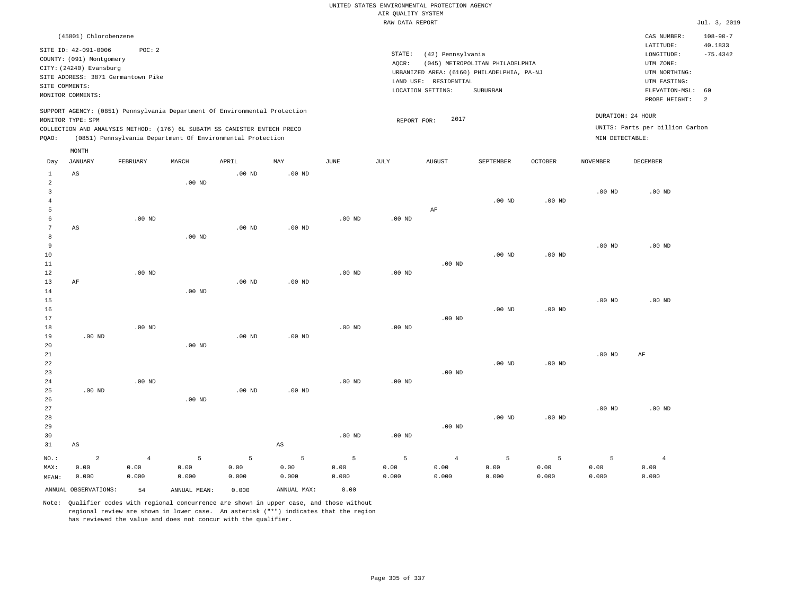|                                     |                                                                                                                                                          |                                 |                    |                                                                                                                                        |                        |                    |                                       | UNITED STATES ENVIRONMENTAL PROTECTION AGENCY                   |                                                                                           |                    |                    |                                                                                         |                             |
|-------------------------------------|----------------------------------------------------------------------------------------------------------------------------------------------------------|---------------------------------|--------------------|----------------------------------------------------------------------------------------------------------------------------------------|------------------------|--------------------|---------------------------------------|-----------------------------------------------------------------|-------------------------------------------------------------------------------------------|--------------------|--------------------|-----------------------------------------------------------------------------------------|-----------------------------|
|                                     |                                                                                                                                                          |                                 |                    |                                                                                                                                        |                        |                    | AIR QUALITY SYSTEM<br>RAW DATA REPORT |                                                                 |                                                                                           |                    |                    |                                                                                         | Jul. 3, 2019                |
|                                     | (45801) Chlorobenzene                                                                                                                                    |                                 |                    |                                                                                                                                        |                        |                    |                                       |                                                                 |                                                                                           |                    |                    | CAS NUMBER:                                                                             | $108 - 90 - 7$              |
|                                     | SITE ID: 42-091-0006<br>COUNTY: (091) Montgomery<br>CITY: (24240) Evansburg<br>SITE ADDRESS: 3871 Germantown Pike<br>SITE COMMENTS:<br>MONITOR COMMENTS: | POC: 2                          |                    |                                                                                                                                        |                        |                    | STATE:<br>AQCR:                       | (42) Pennsylvania<br>LAND USE: RESIDENTIAL<br>LOCATION SETTING: | (045) METROPOLITAN PHILADELPHIA<br>URBANIZED AREA: (6160) PHILADELPHIA, PA-NJ<br>SUBURBAN |                    |                    | LATITUDE:<br>LONGITUDE:<br>UTM ZONE:<br>UTM NORTHING:<br>UTM EASTING:<br>ELEVATION-MSL: | 40.1833<br>$-75.4342$<br>60 |
|                                     |                                                                                                                                                          |                                 |                    | SUPPORT AGENCY: (0851) Pennsylvania Department Of Environmental Protection                                                             |                        |                    |                                       |                                                                 |                                                                                           |                    |                    | PROBE HEIGHT:                                                                           | 2                           |
| PQAO:                               | MONITOR TYPE: SPM                                                                                                                                        |                                 |                    | COLLECTION AND ANALYSIS METHOD: (176) 6L SUBATM SS CANISTER ENTECH PRECO<br>(0851) Pennsylvania Department Of Environmental Protection |                        |                    | REPORT FOR:                           | 2017                                                            |                                                                                           |                    | MIN DETECTABLE:    | DURATION: 24 HOUR<br>UNITS: Parts per billion Carbon                                    |                             |
| Day                                 | MONTH<br>JANUARY                                                                                                                                         | FEBRUARY                        | MARCH              | APRIL                                                                                                                                  | MAY                    | JUNE               | JULY                                  | <b>AUGUST</b>                                                   | SEPTEMBER                                                                                 | OCTOBER            | <b>NOVEMBER</b>    | DECEMBER                                                                                |                             |
| $\mathbf{1}$<br>$\overline{a}$      | AS                                                                                                                                                       |                                 | $.00$ ND           | $.00$ ND                                                                                                                               | $.00$ ND               |                    |                                       |                                                                 |                                                                                           |                    |                    |                                                                                         |                             |
| $\mathbf{3}$<br>$\overline{4}$<br>5 |                                                                                                                                                          |                                 |                    |                                                                                                                                        |                        |                    |                                       | AF                                                              | $.00$ ND                                                                                  | $.00$ ND           | .00 <sub>ND</sub>  | $.00$ ND                                                                                |                             |
| 6<br>$\overline{7}$<br>$\mathbf{a}$ | AS                                                                                                                                                       | $.00$ ND                        | .00 <sub>ND</sub>  | $.00$ ND                                                                                                                               | .00 <sub>ND</sub>      | $.00$ ND           | $.00$ ND                              |                                                                 |                                                                                           |                    |                    |                                                                                         |                             |
| $\overline{9}$<br>10<br>11          |                                                                                                                                                          |                                 |                    |                                                                                                                                        |                        |                    |                                       | $.00$ ND                                                        | $.00$ ND                                                                                  | $.00$ ND           | $.00$ ND           | $.00$ ND                                                                                |                             |
| 12<br>13<br>14<br>15                | $\rm AF$                                                                                                                                                 | $.00$ ND                        | $.00$ ND           | .00 <sub>ND</sub>                                                                                                                      | $.00$ ND               | $.00$ ND           | $.00$ ND                              |                                                                 |                                                                                           |                    | $.00$ ND           | $.00$ ND                                                                                |                             |
| 16<br>17<br>18                      |                                                                                                                                                          | .00 <sub>ND</sub>               |                    |                                                                                                                                        |                        | $.00$ ND           | $.00$ ND                              | $.00$ ND                                                        | $.00$ ND                                                                                  | $.00$ ND           |                    |                                                                                         |                             |
| 19<br>20<br>21                      | $.00$ ND                                                                                                                                                 |                                 | $.00$ ND           | $.00$ ND                                                                                                                               | $.00$ ND               |                    |                                       |                                                                 |                                                                                           |                    | .00 <sub>ND</sub>  | AF                                                                                      |                             |
| $2\sqrt{2}$<br>23<br>24             |                                                                                                                                                          | $.00$ ND                        |                    |                                                                                                                                        |                        | $.00$ ND           | $.00$ ND                              | $.00$ ND                                                        | .00 <sub>ND</sub>                                                                         | .00 <sub>ND</sub>  |                    |                                                                                         |                             |
| 25<br>26<br>27<br>28                | $.00$ ND                                                                                                                                                 |                                 | .00 <sub>ND</sub>  | .00 <sub>ND</sub>                                                                                                                      | .00 <sub>ND</sub>      |                    |                                       |                                                                 | $.00$ ND                                                                                  | $.00$ ND           | .00 <sub>ND</sub>  | $.00$ ND                                                                                |                             |
| 29<br>30<br>31                      | $\mathbb{A}\mathbb{S}$                                                                                                                                   |                                 |                    |                                                                                                                                        | $\mathbb{A}\mathbb{S}$ | $.00$ ND           | $.00$ ND                              | $.00$ ND                                                        |                                                                                           |                    |                    |                                                                                         |                             |
| NO.:<br>MAX:<br>MEAN:               | $\overline{c}$<br>0.00<br>0.000                                                                                                                          | $\overline{4}$<br>0.00<br>0.000 | 5<br>0.00<br>0.000 | 5<br>0.00<br>0.000                                                                                                                     | 5<br>0.00<br>0.000     | 5<br>0.00<br>0.000 | 5<br>0.00<br>0.000                    | $\overline{4}$<br>0.00<br>0.000                                 | 5<br>0.00<br>0.000                                                                        | 5<br>0.00<br>0.000 | 5<br>0.00<br>0.000 | $\overline{4}$<br>0.00<br>0.000                                                         |                             |
|                                     | ANNUAL OBSERVATIONS:                                                                                                                                     | 54                              | ANNUAL, MEAN:      | 0.000                                                                                                                                  | ANNUAL MAX:            | 0.00               |                                       |                                                                 |                                                                                           |                    |                    |                                                                                         |                             |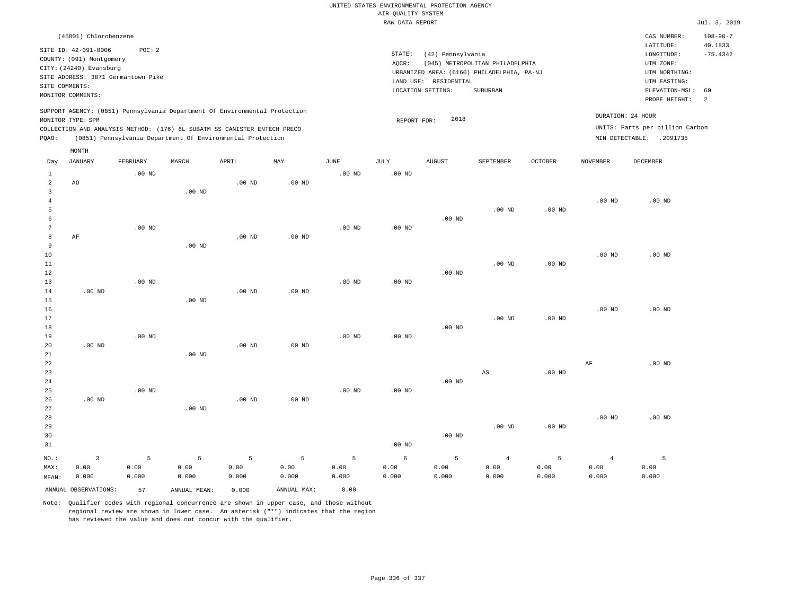|                         |                                                                                                 |                   |                   |                                                            |                   |                   |                    | UNITED STATES ENVIRONMENTAL PROTECTION AGENCY |                                            |                   |                   |                                 |                           |
|-------------------------|-------------------------------------------------------------------------------------------------|-------------------|-------------------|------------------------------------------------------------|-------------------|-------------------|--------------------|-----------------------------------------------|--------------------------------------------|-------------------|-------------------|---------------------------------|---------------------------|
|                         |                                                                                                 |                   |                   |                                                            |                   |                   | AIR QUALITY SYSTEM |                                               |                                            |                   |                   |                                 |                           |
|                         |                                                                                                 |                   |                   |                                                            |                   |                   | RAW DATA REPORT    |                                               |                                            |                   |                   |                                 | Jul. 3, 2019              |
|                         | (45801) Chlorobenzene                                                                           |                   |                   |                                                            |                   |                   |                    |                                               |                                            |                   |                   | CAS NUMBER:<br>LATITUDE:        | $108 - 90 - 7$<br>40.1833 |
|                         | SITE ID: 42-091-0006                                                                            | POC: 2            |                   |                                                            |                   |                   | STATE:             | (42) Pennsylvania                             |                                            |                   |                   | LONGITUDE:                      | $-75.4342$                |
|                         | COUNTY: (091) Montgomery                                                                        |                   |                   |                                                            |                   |                   | AQCR:              |                                               | (045) METROPOLITAN PHILADELPHIA            |                   |                   | UTM ZONE:                       |                           |
|                         | CITY: (24240) Evansburg                                                                         |                   |                   |                                                            |                   |                   |                    |                                               | URBANIZED AREA: (6160) PHILADELPHIA, PA-NJ |                   |                   | UTM NORTHING:                   |                           |
|                         | SITE ADDRESS: 3871 Germantown Pike                                                              |                   |                   |                                                            |                   |                   |                    | LAND USE: RESIDENTIAL                         |                                            |                   |                   | UTM EASTING:                    |                           |
|                         | SITE COMMENTS:<br>MONITOR COMMENTS:                                                             |                   |                   |                                                            |                   |                   |                    | LOCATION SETTING:                             | <b>SUBURBAN</b>                            |                   |                   | ELEVATION-MSL:                  | 60                        |
|                         |                                                                                                 |                   |                   |                                                            |                   |                   |                    |                                               |                                            |                   |                   | PROBE HEIGHT:                   | 2                         |
|                         | SUPPORT AGENCY: (0851) Pennsylvania Department Of Environmental Protection<br>MONITOR TYPE: SPM |                   |                   |                                                            |                   |                   | REPORT FOR:        | 2018                                          |                                            |                   |                   | DURATION: 24 HOUR               |                           |
|                         | COLLECTION AND ANALYSIS METHOD: (176) 6L SUBATM SS CANISTER ENTECH PRECO                        |                   |                   |                                                            |                   |                   |                    |                                               |                                            |                   |                   | UNITS: Parts per billion Carbon |                           |
| PQAO:                   |                                                                                                 |                   |                   | (0851) Pennsylvania Department Of Environmental Protection |                   |                   |                    |                                               |                                            |                   |                   | MIN DETECTABLE: .2091735        |                           |
|                         | MONTH                                                                                           | FEBRUARY          | MARCH             | APRIL                                                      | MAY               | <b>JUNE</b>       | <b>JULY</b>        | <b>AUGUST</b>                                 | SEPTEMBER                                  | <b>OCTOBER</b>    | <b>NOVEMBER</b>   | <b>DECEMBER</b>                 |                           |
| Day                     | <b>JANUARY</b>                                                                                  |                   |                   |                                                            |                   |                   |                    |                                               |                                            |                   |                   |                                 |                           |
| $\mathbf{1}$            |                                                                                                 | $.00$ ND          |                   |                                                            |                   | $.00$ ND          | $.00$ ND           |                                               |                                            |                   |                   |                                 |                           |
| $\overline{a}$          | AO                                                                                              |                   |                   | .00 <sub>ND</sub>                                          | $.00$ ND          |                   |                    |                                               |                                            |                   |                   |                                 |                           |
| $\overline{\mathbf{3}}$ |                                                                                                 |                   | .00 <sub>ND</sub> |                                                            |                   |                   |                    |                                               |                                            |                   |                   |                                 |                           |
| $\,4\,$<br>5            |                                                                                                 |                   |                   |                                                            |                   |                   |                    |                                               |                                            |                   | .00 <sub>ND</sub> | $.00$ ND                        |                           |
| 6                       |                                                                                                 |                   |                   |                                                            |                   |                   |                    | $.00$ ND                                      | $.00$ ND                                   | $.00$ ND          |                   |                                 |                           |
| $7\phantom{.0}$         |                                                                                                 | $.00$ ND          |                   |                                                            |                   | $.00$ ND          | $.00$ ND           |                                               |                                            |                   |                   |                                 |                           |
| 8                       | AF                                                                                              |                   |                   | $.00$ ND                                                   | $.00$ ND          |                   |                    |                                               |                                            |                   |                   |                                 |                           |
| 9                       |                                                                                                 |                   | $.00$ ND          |                                                            |                   |                   |                    |                                               |                                            |                   |                   |                                 |                           |
| 10                      |                                                                                                 |                   |                   |                                                            |                   |                   |                    |                                               |                                            |                   | $.00$ ND          | $.00$ ND                        |                           |
| 11                      |                                                                                                 |                   |                   |                                                            |                   |                   |                    |                                               | $.00$ ND                                   | .00 $ND$          |                   |                                 |                           |
| 12                      |                                                                                                 |                   |                   |                                                            |                   |                   |                    | $.00$ ND                                      |                                            |                   |                   |                                 |                           |
| 13                      |                                                                                                 | .00 <sub>ND</sub> |                   |                                                            |                   | .00 <sub>ND</sub> | $.00$ ND           |                                               |                                            |                   |                   |                                 |                           |
| 14                      | .00 <sub>ND</sub>                                                                               |                   |                   | .00 <sub>ND</sub>                                          | .00 <sub>ND</sub> |                   |                    |                                               |                                            |                   |                   |                                 |                           |
| 15                      |                                                                                                 |                   | $.00$ ND          |                                                            |                   |                   |                    |                                               |                                            |                   |                   |                                 |                           |
| 16                      |                                                                                                 |                   |                   |                                                            |                   |                   |                    |                                               |                                            |                   | $.00$ ND          | $.00$ ND                        |                           |
| 17                      |                                                                                                 |                   |                   |                                                            |                   |                   |                    |                                               | .00 <sub>ND</sub>                          | $.00$ ND          |                   |                                 |                           |
| 18                      |                                                                                                 |                   |                   |                                                            |                   |                   |                    | $.00$ ND                                      |                                            |                   |                   |                                 |                           |
| 19                      |                                                                                                 | .00 <sub>ND</sub> |                   |                                                            |                   | .00 <sub>ND</sub> | .00 <sub>ND</sub>  |                                               |                                            |                   |                   |                                 |                           |
| 20                      | .00 <sub>ND</sub>                                                                               |                   |                   | $.00$ ND                                                   | $.00$ ND          |                   |                    |                                               |                                            |                   |                   |                                 |                           |
| 21<br>22                |                                                                                                 |                   | $.00$ ND          |                                                            |                   |                   |                    |                                               |                                            |                   | $\rm AF$          | .00 <sub>ND</sub>               |                           |
| 23                      |                                                                                                 |                   |                   |                                                            |                   |                   |                    |                                               | AS                                         | $.00$ ND          |                   |                                 |                           |
| 24                      |                                                                                                 |                   |                   |                                                            |                   |                   |                    | $.00$ ND                                      |                                            |                   |                   |                                 |                           |
| 25                      |                                                                                                 | $.00$ ND          |                   |                                                            |                   | $.00$ ND          | $.00$ ND           |                                               |                                            |                   |                   |                                 |                           |
| 26                      | $.00$ ND                                                                                        |                   |                   | $.00$ ND                                                   | $.00$ ND          |                   |                    |                                               |                                            |                   |                   |                                 |                           |
| 27                      |                                                                                                 |                   | $.00$ ND          |                                                            |                   |                   |                    |                                               |                                            |                   |                   |                                 |                           |
| 28                      |                                                                                                 |                   |                   |                                                            |                   |                   |                    |                                               |                                            |                   | .00 <sub>ND</sub> | $.00$ ND                        |                           |
| 29                      |                                                                                                 |                   |                   |                                                            |                   |                   |                    |                                               | $.00$ ND                                   | .00 <sub>ND</sub> |                   |                                 |                           |
| 30                      |                                                                                                 |                   |                   |                                                            |                   |                   |                    | $.00$ ND                                      |                                            |                   |                   |                                 |                           |
| 31                      |                                                                                                 |                   |                   |                                                            |                   |                   | $.00$ ND           |                                               |                                            |                   |                   |                                 |                           |
| NO.:                    | $\overline{\mathbf{3}}$                                                                         | 5                 | 5                 | 5                                                          | 5                 | 5                 | 6                  | 5                                             | $\overline{4}$                             | 5                 | $\overline{4}$    | 5                               |                           |
| MAX:                    | 0.00                                                                                            | 0.00              | 0.00              | 0.00                                                       | 0.00              | 0.00              | 0.00               | 0.00                                          | 0.00                                       | 0.00              | 0.00              | 0.00                            |                           |
| MEAN:                   | 0.000                                                                                           | 0.000             | 0.000             | 0.000                                                      | 0.000             | 0.000             | 0.000              | 0.000                                         | 0.000                                      | 0.000             | 0.000             | 0.000                           |                           |
|                         |                                                                                                 |                   |                   |                                                            |                   |                   |                    |                                               |                                            |                   |                   |                                 |                           |
|                         | ANNUAL OBSERVATIONS:                                                                            | 57                | ANNUAL MEAN:      | 0.000                                                      | ANNUAL MAX:       | 0.00              |                    |                                               |                                            |                   |                   |                                 |                           |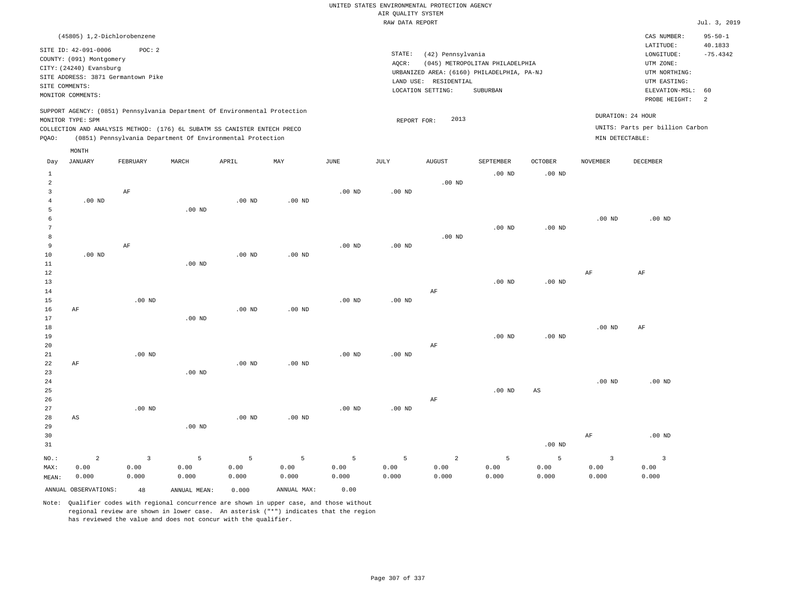|                |                                                                             |                                              |          |                                                                            |          |          | RAW DATA REPORT |                       |                                                                               |                   |                   |                                                       | Jul. 3, 2019          |
|----------------|-----------------------------------------------------------------------------|----------------------------------------------|----------|----------------------------------------------------------------------------|----------|----------|-----------------|-----------------------|-------------------------------------------------------------------------------|-------------------|-------------------|-------------------------------------------------------|-----------------------|
|                |                                                                             | (45805) 1,2-Dichlorobenzene                  |          |                                                                            |          |          |                 |                       |                                                                               |                   |                   | CAS NUMBER:                                           | $95 - 50 - 1$         |
|                | SITE ID: 42-091-0006<br>COUNTY: (091) Montgomery<br>CITY: (24240) Evansburg | POC: 2<br>SITE ADDRESS: 3871 Germantown Pike |          |                                                                            |          |          | STATE:<br>AOCR: | (42) Pennsylvania     | (045) METROPOLITAN PHILADELPHIA<br>URBANIZED AREA: (6160) PHILADELPHIA, PA-NJ |                   |                   | LATITUDE:<br>LONGITUDE:<br>UTM ZONE:<br>UTM NORTHING: | 40.1833<br>$-75.4342$ |
|                | SITE COMMENTS:                                                              |                                              |          |                                                                            |          |          |                 | LAND USE: RESIDENTIAL |                                                                               |                   |                   | UTM EASTING:                                          |                       |
|                | MONITOR COMMENTS:                                                           |                                              |          |                                                                            |          |          |                 | LOCATION SETTING:     | SUBURBAN                                                                      |                   |                   | ELEVATION-MSL:<br>PROBE HEIGHT:                       | 60<br>$\overline{2}$  |
|                | MONITOR TYPE: SPM                                                           |                                              |          | SUPPORT AGENCY: (0851) Pennsylvania Department Of Environmental Protection |          |          |                 | 2013                  |                                                                               |                   |                   | DURATION: 24 HOUR                                     |                       |
|                |                                                                             |                                              |          | COLLECTION AND ANALYSIS METHOD: (176) 6L SUBATM SS CANISTER ENTECH PRECO   |          |          | REPORT FOR:     |                       |                                                                               |                   |                   | UNITS: Parts per billion Carbon                       |                       |
| PQAO:          |                                                                             |                                              |          | (0851) Pennsylvania Department Of Environmental Protection                 |          |          |                 |                       |                                                                               |                   | MIN DETECTABLE:   |                                                       |                       |
|                | MONTH                                                                       |                                              |          |                                                                            |          |          |                 |                       |                                                                               |                   |                   |                                                       |                       |
| Day            | JANUARY                                                                     | FEBRUARY                                     | MARCH    | APRIL                                                                      | MAY      | JUNE     | JULY            | <b>AUGUST</b>         | SEPTEMBER                                                                     | OCTOBER           | <b>NOVEMBER</b>   | <b>DECEMBER</b>                                       |                       |
| $\mathbf{1}$   |                                                                             |                                              |          |                                                                            |          |          |                 |                       | $.00$ ND                                                                      | $.00$ ND          |                   |                                                       |                       |
| $\overline{2}$ |                                                                             |                                              |          |                                                                            |          |          |                 | $.00$ ND              |                                                                               |                   |                   |                                                       |                       |
| 3              |                                                                             | $\rm{AF}$                                    |          |                                                                            |          | $.00$ ND | $.00$ ND        |                       |                                                                               |                   |                   |                                                       |                       |
| $\overline{4}$ | $.00$ ND                                                                    |                                              |          | $.00$ ND                                                                   | $.00$ ND |          |                 |                       |                                                                               |                   |                   |                                                       |                       |
| 5              |                                                                             |                                              | $.00$ ND |                                                                            |          |          |                 |                       |                                                                               |                   |                   |                                                       |                       |
| 6<br>7         |                                                                             |                                              |          |                                                                            |          |          |                 |                       |                                                                               |                   | .00 <sub>ND</sub> | $.00$ ND                                              |                       |
| 8              |                                                                             |                                              |          |                                                                            |          |          |                 | $.00$ ND              | .00 <sub>ND</sub>                                                             | .00 <sub>ND</sub> |                   |                                                       |                       |
| 9              |                                                                             | AF                                           |          |                                                                            |          | $.00$ ND | $.00$ ND        |                       |                                                                               |                   |                   |                                                       |                       |
| 10             | $.00$ ND                                                                    |                                              |          | $.00$ ND                                                                   | $.00$ ND |          |                 |                       |                                                                               |                   |                   |                                                       |                       |
| 11             |                                                                             |                                              | $.00$ ND |                                                                            |          |          |                 |                       |                                                                               |                   |                   |                                                       |                       |
| 12             |                                                                             |                                              |          |                                                                            |          |          |                 |                       |                                                                               |                   | AF                | AF                                                    |                       |
| 13             |                                                                             |                                              |          |                                                                            |          |          |                 |                       | $.00$ ND                                                                      | $.00$ ND          |                   |                                                       |                       |
| 14             |                                                                             |                                              |          |                                                                            |          |          |                 | AF                    |                                                                               |                   |                   |                                                       |                       |
| 15             |                                                                             | $.00$ ND                                     |          |                                                                            |          | $.00$ ND | $.00$ ND        |                       |                                                                               |                   |                   |                                                       |                       |
| 16             | AF                                                                          |                                              |          | $.00$ ND                                                                   | $.00$ ND |          |                 |                       |                                                                               |                   |                   |                                                       |                       |
| 17             |                                                                             |                                              | $.00$ ND |                                                                            |          |          |                 |                       |                                                                               |                   |                   |                                                       |                       |
| 18             |                                                                             |                                              |          |                                                                            |          |          |                 |                       |                                                                               |                   | $.00$ ND          | AF                                                    |                       |
| 19             |                                                                             |                                              |          |                                                                            |          |          |                 |                       | $.00$ ND                                                                      | $.00$ ND          |                   |                                                       |                       |
| 20             |                                                                             |                                              |          |                                                                            |          |          |                 | AF                    |                                                                               |                   |                   |                                                       |                       |
| 21             |                                                                             | $.00$ ND                                     |          |                                                                            |          | $.00$ ND | $.00$ ND        |                       |                                                                               |                   |                   |                                                       |                       |
| 22             | AF                                                                          |                                              |          | $.00$ ND                                                                   | $.00$ ND |          |                 |                       |                                                                               |                   |                   |                                                       |                       |
| 23             |                                                                             |                                              | $.00$ ND |                                                                            |          |          |                 |                       |                                                                               |                   |                   |                                                       |                       |
| 24             |                                                                             |                                              |          |                                                                            |          |          |                 |                       |                                                                               |                   | $.00$ ND          | $.00$ ND                                              |                       |
| 25             |                                                                             |                                              |          |                                                                            |          |          |                 |                       | $.00$ ND                                                                      | $_{\rm AS}$       |                   |                                                       |                       |
| 26             |                                                                             |                                              |          |                                                                            |          |          |                 | AF                    |                                                                               |                   |                   |                                                       |                       |

| 28    | AS                   |       |              | $.00$ ND | $.00$ ND    |       |       |       |       |          |       |                   |
|-------|----------------------|-------|--------------|----------|-------------|-------|-------|-------|-------|----------|-------|-------------------|
| 29    |                      |       | $.00$ ND     |          |             |       |       |       |       |          |       |                   |
| 30    |                      |       |              |          |             |       |       |       |       |          | AF    | .00 <sub>ND</sub> |
| 31    |                      |       |              |          |             |       |       |       |       | $.00$ ND |       |                   |
| NO.:  |                      |       |              |          |             |       | 5     | 2     |       |          |       |                   |
| MAX:  | 0.00                 | 0.00  | 0.00         | 0.00     | 0.00        | 0.00  | 0.00  | 0.00  | 0.00  | 0.00     | 0.00  | 0.00              |
| MEAN: | 0.000                | 0.000 | 0.000        | 0.000    | 0.000       | 0.000 | 0.000 | 0.000 | 0.000 | 0.000    | 0.000 | 0.000             |
|       | ANNUAL OBSERVATIONS: | 48    | ANNUAL MEAN: | 0.000    | ANNUAL MAX: | 0.00  |       |       |       |          |       |                   |

.00 ND

Note: Qualifier codes with regional concurrence are shown in upper case, and those without regional review are shown in lower case. An asterisk ("\*") indicates that the region has reviewed the value and does not concur with the qualifier.

.00 ND

27

.00 ND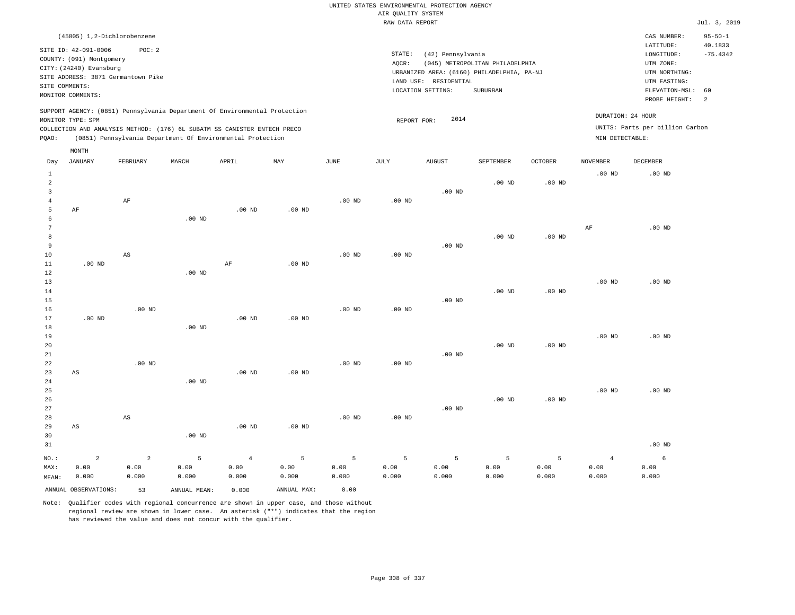| (45805) 1,2-Dichlorobenzene                                                |                                                                                        | CAS NUMBER:                     | $95 - 50 - 1$              |
|----------------------------------------------------------------------------|----------------------------------------------------------------------------------------|---------------------------------|----------------------------|
| SITE ID: 42-091-0006<br>POC: 2                                             |                                                                                        | LATITUDE:                       | 40.1833                    |
| COUNTY: (091) Montgomery                                                   | STATE:<br>(42) Pennsylvania                                                            | LONGITUDE:                      | $-75.4342$                 |
| CITY: (24240) Evansburg                                                    | AOCR:<br>(045) METROPOLITAN PHILADELPHIA<br>URBANIZED AREA: (6160) PHILADELPHIA, PA-NJ | UTM ZONE:<br>UTM NORTHING:      |                            |
| SITE ADDRESS: 3871 Germantown Pike                                         | RESIDENTIAL<br>LAND USE:                                                               | UTM EASTING:                    |                            |
| SITE COMMENTS:<br>MONITOR COMMENTS:                                        | LOCATION SETTING:<br>SUBURBAN                                                          | ELEVATION-MSL: 60               |                            |
|                                                                            |                                                                                        | PROBE HEIGHT:                   | $\overline{\phantom{0}}^2$ |
| SUPPORT AGENCY: (0851) Pennsylvania Department Of Environmental Protection | DURATION: 24 HOUR                                                                      |                                 |                            |
| MONITOR TYPE: SPM                                                          | 2014<br>REPORT FOR:                                                                    |                                 |                            |
| COLLECTION AND ANALYSIS METHOD: (176) 6L SUBATM SS CANISTER ENTECH PRECO   |                                                                                        | UNITS: Parts per billion Carbon |                            |
| (0851) Pennsylvania Department Of Environmental Protection<br>POAO:        | MIN DETECTABLE:                                                                        |                                 |                            |
| MONTH                                                                      |                                                                                        |                                 |                            |

| Day            | <b>JANUARY</b>         | ${\tt FEBRUARY}$       | $\tt MARCH$  | APRIL          | MAY         | $_{\rm JUNE}$ | $\mathtt{JULY}$   | AUGUST   | SEPTEMBER         | $\mathtt{OCTOBER}$ | NOVEMBER       | ${\tt DECEMBER}$ |
|----------------|------------------------|------------------------|--------------|----------------|-------------|---------------|-------------------|----------|-------------------|--------------------|----------------|------------------|
| $\mathbf{1}$   |                        |                        |              |                |             |               |                   |          |                   |                    | $.00$ ND       | $.00$ ND         |
| $\overline{a}$ |                        |                        |              |                |             |               |                   |          | .00 <sub>ND</sub> | $.00$ ND           |                |                  |
| 3              |                        |                        |              |                |             |               |                   | $.00$ ND |                   |                    |                |                  |
| $\overline{4}$ |                        | $\rm AF$               |              |                |             | $.00$ ND      | .00 $ND$          |          |                   |                    |                |                  |
| 5              | AF                     |                        |              | $.00$ ND       | $.00$ ND    |               |                   |          |                   |                    |                |                  |
| 6              |                        |                        | $.00$ ND     |                |             |               |                   |          |                   |                    |                |                  |
| 7              |                        |                        |              |                |             |               |                   |          |                   |                    | $\rm{AF}$      | $.00$ ND         |
| 8<br>9         |                        |                        |              |                |             |               |                   | $.00$ ND | .00 <sub>ND</sub> | .00 <sub>ND</sub>  |                |                  |
| 10             |                        | AS                     |              |                |             | $.00$ ND      | .00 <sub>ND</sub> |          |                   |                    |                |                  |
| 11             | $.00$ ND               |                        |              | $\rm AF$       | $.00$ ND    |               |                   |          |                   |                    |                |                  |
| 12             |                        |                        | $.00$ ND     |                |             |               |                   |          |                   |                    |                |                  |
| 13             |                        |                        |              |                |             |               |                   |          |                   |                    | $.00$ ND       | $.00$ ND         |
| 14             |                        |                        |              |                |             |               |                   |          | $.00$ ND          | .00 <sub>ND</sub>  |                |                  |
| 15             |                        |                        |              |                |             |               |                   | $.00$ ND |                   |                    |                |                  |
| 16             |                        | $.00$ ND               |              |                |             | .00 $ND$      | $.00$ ND          |          |                   |                    |                |                  |
| 17             | $.00$ ND               |                        |              | .00 $ND$       | $.00$ ND    |               |                   |          |                   |                    |                |                  |
| 18             |                        |                        | $.00$ ND     |                |             |               |                   |          |                   |                    |                |                  |
| 19             |                        |                        |              |                |             |               |                   |          |                   |                    | $.00$ ND       | $.00$ ND         |
| 20             |                        |                        |              |                |             |               |                   |          | .00 <sub>ND</sub> | $.00$ ND           |                |                  |
| 21             |                        |                        |              |                |             |               |                   | $.00$ ND |                   |                    |                |                  |
| 22             |                        | $.00$ ND               |              |                |             | $.00$ ND      | $.00$ ND          |          |                   |                    |                |                  |
| 23             | $\mathbb{A}\mathbb{S}$ |                        |              | $.00$ ND       | $.00$ ND    |               |                   |          |                   |                    |                |                  |
| 24             |                        |                        | $.00$ ND     |                |             |               |                   |          |                   |                    |                |                  |
| 25             |                        |                        |              |                |             |               |                   |          |                   |                    | $.00$ ND       | $.00$ ND         |
| 26             |                        |                        |              |                |             |               |                   | $.00$ ND | $.00$ ND          | $.00$ ND           |                |                  |
| $2\,7$<br>28   |                        | $\mathbb{A}\mathbb{S}$ |              |                |             | $.00$ ND      | $.00$ ND          |          |                   |                    |                |                  |
| 29             | AS                     |                        |              | $.00$ ND       | $.00$ ND    |               |                   |          |                   |                    |                |                  |
| 30             |                        |                        | $.00$ ND     |                |             |               |                   |          |                   |                    |                |                  |
| 31             |                        |                        |              |                |             |               |                   |          |                   |                    |                | $.00$ ND         |
|                |                        |                        |              |                |             |               |                   |          |                   |                    |                |                  |
| $_{\rm NO.}$ : | $\overline{a}$         | $\overline{a}$         | 5            | $\overline{4}$ | 5           | 5             | 5                 | 5        | 5                 | 5                  | $\overline{4}$ | 6                |
| MAX:           | 0.00                   | 0.00                   | 0.00         | 0.00           | 0.00        | 0.00          | 0.00              | 0.00     | 0.00              | 0.00               | 0.00           | 0.00             |
| MEAN:          | 0.000                  | 0.000                  | 0.000        | 0.000          | 0.000       | 0.000         | 0.000             | 0.000    | 0.000             | 0.000              | 0.000          | 0.000            |
|                | ANNUAL OBSERVATIONS:   | 53                     | ANNUAL MEAN: | 0.000          | ANNUAL MAX: | 0.00          |                   |          |                   |                    |                |                  |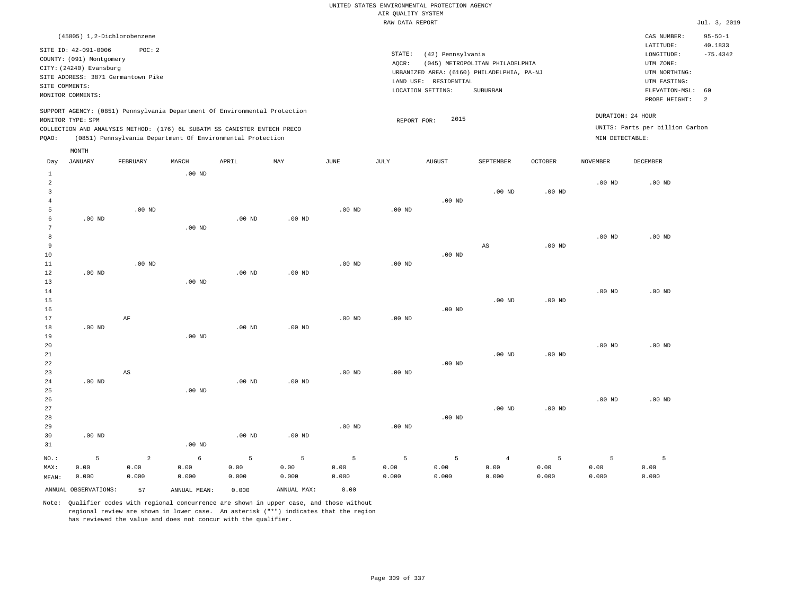|       |                                    |          |                   |                                                                            |          |          | RAW DATA REPORT |                                            |                                 |                |                   |                                 | Jul. 3, 2019          |
|-------|------------------------------------|----------|-------------------|----------------------------------------------------------------------------|----------|----------|-----------------|--------------------------------------------|---------------------------------|----------------|-------------------|---------------------------------|-----------------------|
|       | (45805) 1,2-Dichlorobenzene        |          |                   |                                                                            |          |          |                 |                                            |                                 |                |                   | CAS NUMBER:                     | $95 - 50 - 1$         |
|       | SITE ID: 42-091-0006               | POC:2    |                   |                                                                            |          |          | STATE:          | (42) Pennsylvania                          |                                 |                |                   | LATITUDE:<br>LONGITUDE:         | 40.1833<br>$-75.4342$ |
|       | COUNTY: (091) Montgomery           |          |                   |                                                                            |          |          | AOCR:           |                                            | (045) METROPOLITAN PHILADELPHIA |                |                   | UTM ZONE:                       |                       |
|       | CITY: (24240) Evansburg            |          |                   |                                                                            |          |          |                 | URBANIZED AREA: (6160) PHILADELPHIA, PA-NJ |                                 |                |                   | UTM NORTHING:                   |                       |
|       | SITE ADDRESS: 3871 Germantown Pike |          |                   |                                                                            |          |          | LAND USE:       | RESIDENTIAL                                |                                 |                |                   | UTM EASTING:                    |                       |
|       | SITE COMMENTS:                     |          |                   |                                                                            |          |          |                 | LOCATION SETTING:                          | SUBURBAN                        |                |                   | ELEVATION-MSL:                  | 60                    |
|       | MONITOR COMMENTS:                  |          |                   |                                                                            |          |          |                 |                                            |                                 |                |                   | PROBE HEIGHT:                   | 2                     |
|       |                                    |          |                   | SUPPORT AGENCY: (0851) Pennsylvania Department Of Environmental Protection |          |          |                 |                                            |                                 |                |                   |                                 |                       |
|       | MONITOR TYPE: SPM                  |          |                   |                                                                            |          |          | REPORT FOR:     | 2015                                       |                                 |                |                   | DURATION: 24 HOUR               |                       |
|       |                                    |          |                   | COLLECTION AND ANALYSIS METHOD: (176) 6L SUBATM SS CANISTER ENTECH PRECO   |          |          |                 |                                            |                                 |                |                   | UNITS: Parts per billion Carbon |                       |
| PQAO: |                                    |          |                   | (0851) Pennsylvania Department Of Environmental Protection                 |          |          |                 |                                            |                                 |                | MIN DETECTABLE:   |                                 |                       |
|       | MONTH                              |          |                   |                                                                            |          |          |                 |                                            |                                 |                |                   |                                 |                       |
| Day   | JANUARY                            | FEBRUARY | MARCH             | APRIL                                                                      | MAY      | JUNE     | JULY            | <b>AUGUST</b>                              | SEPTEMBER                       | <b>OCTOBER</b> | <b>NOVEMBER</b>   | DECEMBER                        |                       |
| 1     |                                    |          | $.00$ ND          |                                                                            |          |          |                 |                                            |                                 |                |                   |                                 |                       |
|       |                                    |          |                   |                                                                            |          |          |                 |                                            |                                 |                | $.00$ ND          | $.00$ ND                        |                       |
| 3     |                                    |          |                   |                                                                            |          |          |                 |                                            | $.00$ ND                        | $.00$ ND       |                   |                                 |                       |
|       |                                    |          |                   |                                                                            |          |          |                 | $.00$ ND                                   |                                 |                |                   |                                 |                       |
|       |                                    | $.00$ ND |                   |                                                                            |          | $.00$ ND | $.00$ ND        |                                            |                                 |                |                   |                                 |                       |
|       | $.00$ ND                           |          |                   | $.00$ ND                                                                   | $.00$ ND |          |                 |                                            |                                 |                |                   |                                 |                       |
|       |                                    |          | .00 <sub>ND</sub> |                                                                            |          |          |                 |                                            |                                 |                |                   |                                 |                       |
|       |                                    |          |                   |                                                                            |          |          |                 |                                            |                                 |                | .00 <sub>ND</sub> | $.00$ ND                        |                       |
| 9     |                                    |          |                   |                                                                            |          |          |                 |                                            | AS                              | $.00$ ND       |                   |                                 |                       |
| 10    |                                    |          |                   |                                                                            |          |          |                 | .00 <sub>ND</sub>                          |                                 |                |                   |                                 |                       |
| 11    |                                    | $.00$ ND |                   |                                                                            |          | $.00$ ND | $.00$ ND        |                                            |                                 |                |                   |                                 |                       |
| 12    | $.00$ ND                           |          |                   | $.00$ ND                                                                   | $.00$ ND |          |                 |                                            |                                 |                |                   |                                 |                       |
| 13    |                                    |          | .00 <sub>ND</sub> |                                                                            |          |          |                 |                                            |                                 |                |                   |                                 |                       |
| 14    |                                    |          |                   |                                                                            |          |          |                 |                                            |                                 |                | .00 <sub>ND</sub> | .00 <sub>ND</sub>               |                       |

.00 ND

.00 ND

| 16          |          |    |          |          |          |          |          | $.00$ ND |          |          |          |          |
|-------------|----------|----|----------|----------|----------|----------|----------|----------|----------|----------|----------|----------|
| 17          |          | AF |          |          |          | $.00$ ND | $.00$ ND |          |          |          |          |          |
| 18          | $.00$ ND |    |          | $.00$ ND | $.00$ ND |          |          |          |          |          |          |          |
| 19          |          |    | $.00$ ND |          |          |          |          |          |          |          |          |          |
| 20          |          |    |          |          |          |          |          |          |          |          | $.00$ ND | $.00$ ND |
| $2\sqrt{1}$ |          |    |          |          |          |          |          |          | $.00$ ND | $.00$ ND |          |          |
| 22          |          |    |          |          |          |          |          | $.00$ ND |          |          |          |          |
| 23          |          | AS |          |          |          | $.00$ ND | $.00$ ND |          |          |          |          |          |
| 24          | $.00$ ND |    |          | $.00$ ND | $.00$ ND |          |          |          |          |          |          |          |
| $25\,$      |          |    | $.00$ ND |          |          |          |          |          |          |          |          |          |
| 26          |          |    |          |          |          |          |          |          |          |          | $.00$ ND | $.00$ ND |
| 27          |          |    |          |          |          |          |          |          | $.00$ ND | $.00$ ND |          |          |
| 28          |          |    |          |          |          |          |          | $.00$ ND |          |          |          |          |
| 29          |          |    |          |          |          | $.00$ ND | $.00$ ND |          |          |          |          |          |
| 30          | $.00$ ND |    |          | $.00$ ND | $.00$ ND |          |          |          |          |          |          |          |
| 31          |          |    | $.00$ ND |          |          |          |          |          |          |          |          |          |

| NO.:  | $-5$                 | $\sim$ 2 | $6 \qquad \qquad$ |       |             |       |       | 5 5 5 5 5 | $\sim$ 4 |       |       |       |
|-------|----------------------|----------|-------------------|-------|-------------|-------|-------|-----------|----------|-------|-------|-------|
| MAX:  | 0.00                 | 0.00     | 0.00              | 0.00  | 0.00        | 0.00  | 0.00  | 0.00      | 0.00     | 0.00  | 0.00  | 0.00  |
| MEAN: | 0.000                | 0.000    | 0.000             | 0.000 | 0.000       | 0.000 | 0.000 | 0.000     | 0.000    | 0.000 | 0.000 | 0.000 |
|       | ANNUAL OBSERVATIONS: | 57 57    | ANNUAL MEAN:      | 0.000 | ANNUAL MAX: | 0.00  |       |           |          |       |       |       |

Note: Qualifier codes with regional concurrence are shown in upper case, and those without regional review are shown in lower case. An asterisk ("\*") indicates that the region has reviewed the value and does not concur with the qualifier.

15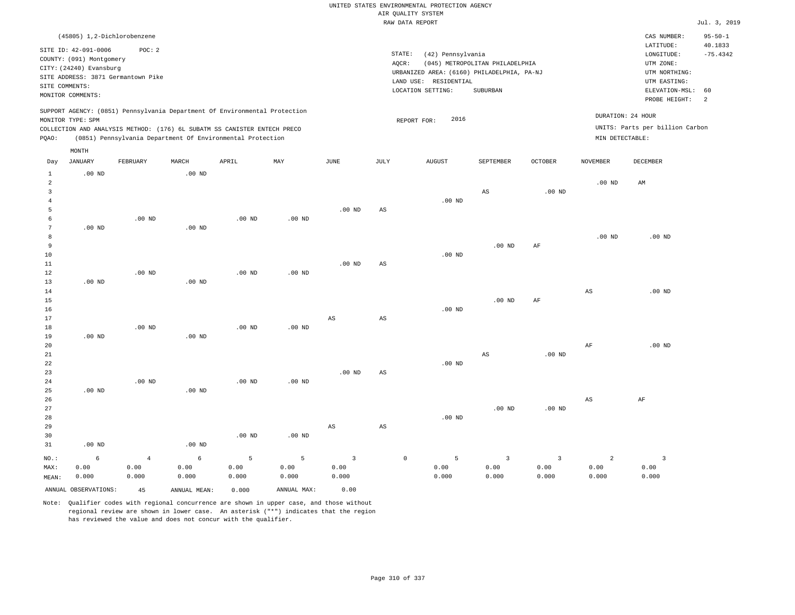|                |                             |                                    |                   |                                                                            |                   |                        |                        | UNITED STATES ENVIRONMENTAL PROTECTION AGENCY |                                 |                   |                        |                                 |                |
|----------------|-----------------------------|------------------------------------|-------------------|----------------------------------------------------------------------------|-------------------|------------------------|------------------------|-----------------------------------------------|---------------------------------|-------------------|------------------------|---------------------------------|----------------|
|                |                             |                                    |                   |                                                                            |                   |                        |                        | AIR QUALITY SYSTEM                            |                                 |                   |                        |                                 |                |
|                |                             |                                    |                   |                                                                            |                   |                        |                        | RAW DATA REPORT                               |                                 |                   |                        |                                 | Jul. 3, 2019   |
|                | (45805) 1,2-Dichlorobenzene |                                    |                   |                                                                            |                   |                        |                        |                                               |                                 |                   |                        | CAS NUMBER:                     | $95 - 50 - 1$  |
|                | SITE ID: 42-091-0006        | POC: 2                             |                   |                                                                            |                   |                        |                        |                                               |                                 |                   |                        | LATITUDE:                       | 40.1833        |
|                | COUNTY: (091) Montgomery    |                                    |                   |                                                                            |                   |                        | STATE:                 | (42) Pennsylvania                             |                                 |                   |                        | LONGITUDE:                      | $-75.4342$     |
|                | CITY: (24240) Evansburg     |                                    |                   |                                                                            |                   |                        | AQCR:                  |                                               | (045) METROPOLITAN PHILADELPHIA |                   |                        | UTM ZONE:                       |                |
|                |                             | SITE ADDRESS: 3871 Germantown Pike |                   |                                                                            |                   |                        |                        | URBANIZED AREA: (6160) PHILADELPHIA, PA-NJ    |                                 |                   |                        | UTM NORTHING:                   |                |
| SITE COMMENTS: |                             |                                    |                   |                                                                            |                   |                        |                        | LAND USE: RESIDENTIAL                         |                                 |                   |                        | UTM EASTING:                    |                |
|                | MONITOR COMMENTS:           |                                    |                   |                                                                            |                   |                        |                        | LOCATION SETTING:                             | SUBURBAN                        |                   |                        | ELEVATION-MSL:                  | 60             |
|                |                             |                                    |                   |                                                                            |                   |                        |                        |                                               |                                 |                   |                        | PROBE HEIGHT:                   | $\overline{a}$ |
|                |                             |                                    |                   | SUPPORT AGENCY: (0851) Pennsylvania Department Of Environmental Protection |                   |                        |                        |                                               |                                 |                   |                        | DURATION: 24 HOUR               |                |
|                | MONITOR TYPE: SPM           |                                    |                   |                                                                            |                   |                        |                        | 2016<br>REPORT FOR:                           |                                 |                   |                        |                                 |                |
|                |                             |                                    |                   | COLLECTION AND ANALYSIS METHOD: (176) 6L SUBATM SS CANISTER ENTECH PRECO   |                   |                        |                        |                                               |                                 |                   |                        | UNITS: Parts per billion Carbon |                |
| PQAO:          |                             |                                    |                   | (0851) Pennsylvania Department Of Environmental Protection                 |                   |                        |                        |                                               |                                 |                   | MIN DETECTABLE:        |                                 |                |
|                | MONTH                       |                                    |                   |                                                                            |                   |                        |                        |                                               |                                 |                   |                        |                                 |                |
| Day            | <b>JANUARY</b>              | FEBRUARY                           | MARCH             | APRIL                                                                      | MAY               | JUNE                   | JULY                   | <b>AUGUST</b>                                 | SEPTEMBER                       | <b>OCTOBER</b>    | <b>NOVEMBER</b>        | DECEMBER                        |                |
| $\mathbf{1}$   | $.00$ ND                    |                                    | .00 <sub>ND</sub> |                                                                            |                   |                        |                        |                                               |                                 |                   |                        |                                 |                |
| $\overline{a}$ |                             |                                    |                   |                                                                            |                   |                        |                        |                                               |                                 |                   | .00 <sub>ND</sub>      | AM                              |                |
| $\overline{3}$ |                             |                                    |                   |                                                                            |                   |                        |                        |                                               | AS                              | .00 <sub>ND</sub> |                        |                                 |                |
| $\overline{4}$ |                             |                                    |                   |                                                                            |                   |                        |                        | $.00$ ND                                      |                                 |                   |                        |                                 |                |
| 5<br>6         |                             | $.00$ ND                           |                   | $.00$ ND                                                                   | $.00$ ND          | $.00$ ND               | AS                     |                                               |                                 |                   |                        |                                 |                |
| 7              | $.00$ ND                    |                                    | $.00$ ND          |                                                                            |                   |                        |                        |                                               |                                 |                   |                        |                                 |                |
| 8              |                             |                                    |                   |                                                                            |                   |                        |                        |                                               |                                 |                   | .00 <sub>ND</sub>      | $.00$ ND                        |                |
| 9              |                             |                                    |                   |                                                                            |                   |                        |                        |                                               | $.00$ ND                        | AF                |                        |                                 |                |
| $10$           |                             |                                    |                   |                                                                            |                   |                        |                        | $.00$ ND                                      |                                 |                   |                        |                                 |                |
| 11             |                             |                                    |                   |                                                                            |                   | $.00$ ND               | $_{\rm AS}$            |                                               |                                 |                   |                        |                                 |                |
| 12             |                             | $.00$ ND                           |                   | .00 <sub>ND</sub>                                                          | .00 <sub>ND</sub> |                        |                        |                                               |                                 |                   |                        |                                 |                |
| 13             | .00 <sub>ND</sub>           |                                    | $.00$ ND          |                                                                            |                   |                        |                        |                                               |                                 |                   |                        |                                 |                |
| 14             |                             |                                    |                   |                                                                            |                   |                        |                        |                                               |                                 |                   | $\mathbb{A}\mathbb{S}$ | .00 <sub>ND</sub>               |                |
| $15$           |                             |                                    |                   |                                                                            |                   |                        |                        |                                               | $.00$ ND                        | AF                |                        |                                 |                |
| 16             |                             |                                    |                   |                                                                            |                   |                        |                        | $.00$ ND                                      |                                 |                   |                        |                                 |                |
| 17             |                             |                                    |                   |                                                                            |                   | $\mathbb{A}\mathbb{S}$ | $\mathbb{A}\mathbb{S}$ |                                               |                                 |                   |                        |                                 |                |
| 18             |                             | $.00$ ND                           |                   | $.00$ ND                                                                   | .00 <sub>ND</sub> |                        |                        |                                               |                                 |                   |                        |                                 |                |
| 19             | $.00$ ND                    |                                    | $.00$ ND          |                                                                            |                   |                        |                        |                                               |                                 |                   |                        |                                 |                |
| 20<br>21       |                             |                                    |                   |                                                                            |                   |                        |                        |                                               | $\mathbb{A}\mathbb{S}$          | $.00$ ND          | AF                     | $.00$ ND                        |                |
| 22             |                             |                                    |                   |                                                                            |                   |                        |                        | $.00$ ND                                      |                                 |                   |                        |                                 |                |
| 23             |                             |                                    |                   |                                                                            |                   | .00 <sub>ND</sub>      | $\mathbb{A}\mathbb{S}$ |                                               |                                 |                   |                        |                                 |                |
| 24             |                             | $.00$ ND                           |                   | $.00$ ND                                                                   | $.00$ ND          |                        |                        |                                               |                                 |                   |                        |                                 |                |
| 25             | $.00$ ND                    |                                    | .00 <sub>ND</sub> |                                                                            |                   |                        |                        |                                               |                                 |                   |                        |                                 |                |
| 26             |                             |                                    |                   |                                                                            |                   |                        |                        |                                               |                                 |                   | $\mathbb{A}\mathbb{S}$ | AF                              |                |
| 27             |                             |                                    |                   |                                                                            |                   |                        |                        |                                               | .00 <sub>ND</sub>               | $.00$ ND          |                        |                                 |                |
| 28             |                             |                                    |                   |                                                                            |                   |                        |                        | $.00$ ND                                      |                                 |                   |                        |                                 |                |
| 29             |                             |                                    |                   |                                                                            |                   | $_{\rm AS}$            | $_{\rm AS}$            |                                               |                                 |                   |                        |                                 |                |
| 30             |                             |                                    |                   | .00 <sub>ND</sub>                                                          | $.00$ ND          |                        |                        |                                               |                                 |                   |                        |                                 |                |
| 31             | $.00$ ND                    |                                    | $.00$ ND          |                                                                            |                   |                        |                        |                                               |                                 |                   |                        |                                 |                |
| NO.:           | 6                           | $\overline{4}$                     | 6                 | 5                                                                          | 5                 | $\mathsf 3$            | $\mathbb O$            | 5                                             | $\overline{3}$                  | $\overline{3}$    | $\overline{a}$         | $\overline{\mathbf{3}}$         |                |
| MAX:           | 0.00                        | 0.00                               | 0.00              | 0.00                                                                       | 0.00              | 0.00                   |                        | 0.00                                          | 0.00                            | 0.00              | 0.00                   | 0.00                            |                |
| MEAN:          | 0.000                       | 0.000                              | 0.000             | 0.000                                                                      | 0.000             | 0.000                  |                        | 0.000                                         | 0.000                           | 0.000             | 0.000                  | 0.000                           |                |
|                | ANNUAL OBSERVATIONS:        | 45                                 | ANNUAL, MEAN:     | 0.000                                                                      | ANNUAL MAX:       | 0.00                   |                        |                                               |                                 |                   |                        |                                 |                |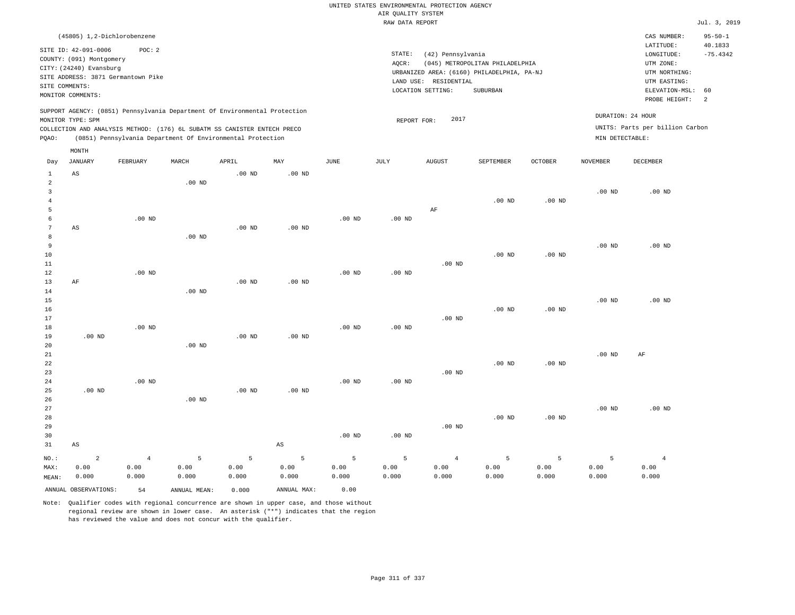|                                |                                                                                                                                        |                |                   |                                                                                                                                        |                        |               |                                       | UNITED STATES ENVIRONMENTAL PROTECTION AGENCY                   |                                                                                           |                   |                   |                                                                            |                          |
|--------------------------------|----------------------------------------------------------------------------------------------------------------------------------------|----------------|-------------------|----------------------------------------------------------------------------------------------------------------------------------------|------------------------|---------------|---------------------------------------|-----------------------------------------------------------------|-------------------------------------------------------------------------------------------|-------------------|-------------------|----------------------------------------------------------------------------|--------------------------|
|                                |                                                                                                                                        |                |                   |                                                                                                                                        |                        |               | AIR QUALITY SYSTEM<br>RAW DATA REPORT |                                                                 |                                                                                           |                   |                   |                                                                            | Jul. 3, 2019             |
|                                | (45805) 1,2-Dichlorobenzene                                                                                                            |                |                   |                                                                                                                                        |                        |               |                                       |                                                                 |                                                                                           |                   |                   | CAS NUMBER:<br>LATITUDE:                                                   | $95 - 50 - 1$<br>40.1833 |
| SITE COMMENTS:                 | SITE ID: 42-091-0006<br>COUNTY: (091) Montgomery<br>CITY: (24240) Evansburg<br>SITE ADDRESS: 3871 Germantown Pike<br>MONITOR COMMENTS: | POC: 2         |                   |                                                                                                                                        |                        |               | STATE:<br>AQCR:                       | (42) Pennsylvania<br>LAND USE: RESIDENTIAL<br>LOCATION SETTING: | (045) METROPOLITAN PHILADELPHIA<br>URBANIZED AREA: (6160) PHILADELPHIA, PA-NJ<br>SUBURBAN |                   |                   | LONGITUDE:<br>UTM ZONE:<br>UTM NORTHING:<br>UTM EASTING:<br>ELEVATION-MSL: | $-75.4342$<br>60         |
|                                |                                                                                                                                        |                |                   | SUPPORT AGENCY: (0851) Pennsylvania Department Of Environmental Protection                                                             |                        |               |                                       |                                                                 |                                                                                           |                   |                   | PROBE HEIGHT:                                                              | 2                        |
| PQAO:                          | MONITOR TYPE: SPM                                                                                                                      |                |                   | COLLECTION AND ANALYSIS METHOD: (176) 6L SUBATM SS CANISTER ENTECH PRECO<br>(0851) Pennsylvania Department Of Environmental Protection |                        |               | REPORT FOR:                           | 2017                                                            |                                                                                           |                   | MIN DETECTABLE:   | DURATION: 24 HOUR<br>UNITS: Parts per billion Carbon                       |                          |
| Day                            | $\texttt{MONTH}$<br><b>JANUARY</b>                                                                                                     | FEBRUARY       | MARCH             | APRIL                                                                                                                                  | MAY                    | JUNE          | JULY                                  | <b>AUGUST</b>                                                   | SEPTEMBER                                                                                 | OCTOBER           | <b>NOVEMBER</b>   | <b>DECEMBER</b>                                                            |                          |
| $\mathbf{1}$<br>$\overline{a}$ | $_{\rm AS}$                                                                                                                            |                | $.00$ ND          | $.00$ ND                                                                                                                               | $.00$ ND               |               |                                       |                                                                 |                                                                                           |                   |                   |                                                                            |                          |
| $\mathbf{3}$<br>$\bf{4}$<br>5  |                                                                                                                                        |                |                   |                                                                                                                                        |                        |               |                                       | AF                                                              | $.00$ ND                                                                                  | $.00$ ND          | $.00$ ND          | $.00$ ND                                                                   |                          |
| 6<br>$\overline{7}$<br>8       | AS                                                                                                                                     | $.00$ ND       | .00 <sub>ND</sub> | $.00$ ND                                                                                                                               | $.00$ ND               | $.00$ ND      | $.00$ ND                              |                                                                 |                                                                                           |                   |                   |                                                                            |                          |
| $\overline{9}$<br>10<br>11     |                                                                                                                                        |                |                   |                                                                                                                                        |                        |               |                                       | $.00$ ND                                                        | .00 <sub>ND</sub>                                                                         | $.00$ ND          | .00 <sub>ND</sub> | $.00$ ND                                                                   |                          |
| 12<br>13<br>14                 | $\rm AF$                                                                                                                               | $.00$ ND       | $.00$ ND          | $.00$ ND                                                                                                                               | .00 <sub>ND</sub>      | $.00$ ND      | $.00$ ND                              |                                                                 |                                                                                           |                   | .00 <sub>ND</sub> | $.00$ ND                                                                   |                          |
| 15<br>16<br>17<br>18           |                                                                                                                                        | $.00$ ND       |                   |                                                                                                                                        |                        | $.00$ ND      | $.00$ ND                              | $.00$ ND                                                        | $.00$ ND                                                                                  | $.00$ ND          |                   |                                                                            |                          |
| 19<br>20<br>21                 | $.00$ ND                                                                                                                               |                | $.00$ ND          | $.00$ ND                                                                                                                               | $.00$ ND               |               |                                       |                                                                 |                                                                                           |                   | .00 <sub>ND</sub> | AF                                                                         |                          |
| 22<br>23<br>24                 |                                                                                                                                        | $.00$ ND       |                   |                                                                                                                                        |                        | $.00$ ND      | $.00$ ND                              | $.00$ ND                                                        | $.00$ ND                                                                                  | .00 <sub>ND</sub> |                   |                                                                            |                          |
| 25<br>26<br>27                 | $.00$ ND                                                                                                                               |                | .00 <sub>ND</sub> | $.00$ ND                                                                                                                               | $.00$ ND               |               |                                       |                                                                 |                                                                                           |                   | .00 <sub>ND</sub> | $.00$ ND                                                                   |                          |
| 28<br>29<br>30                 |                                                                                                                                        |                |                   |                                                                                                                                        | $\mathbb{A}\mathbb{S}$ | $.00$ ND      | $.00$ ND                              | $.00$ ND                                                        | $.00$ ND                                                                                  | $.00$ ND          |                   |                                                                            |                          |
| 31<br>NO.:                     | $_{\rm AS}$<br>$\overline{a}$                                                                                                          | $\overline{4}$ | 5                 | 5                                                                                                                                      | 5                      | 5             | 5                                     | $\overline{4}$                                                  | 5                                                                                         | 5                 | 5                 | $\overline{4}$                                                             |                          |
| MAX:<br>MEAN:                  | 0.00<br>0.000                                                                                                                          | 0.00<br>0.000  | 0.00<br>0.000     | 0.00<br>0.000                                                                                                                          | 0.00<br>0.000          | 0.00<br>0.000 | 0.00<br>0.000                         | 0.00<br>0.000                                                   | 0.00<br>0.000                                                                             | 0.00<br>0.000     | 0.00<br>0.000     | 0.00<br>0.000                                                              |                          |
|                                | ANNUAL OBSERVATIONS:                                                                                                                   | 54             | ANNUAL, MEAN:     | 0.000                                                                                                                                  | ANNUAL MAX:            | 0.00          |                                       |                                                                 |                                                                                           |                   |                   |                                                                            |                          |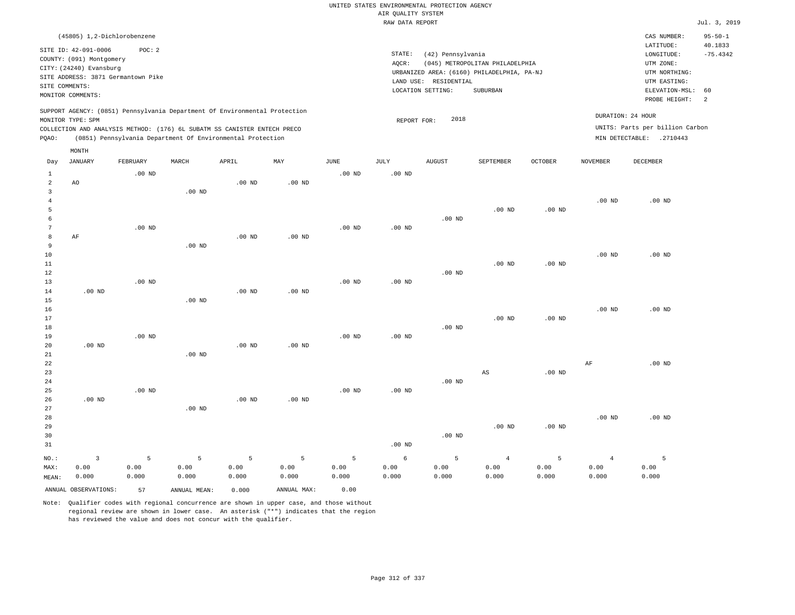|                      |                                                  |                   |                   |                                                                            |                   |                   | UNITED STATES ENVIRONMENTAL PROTECTION AGENCY |                       |                                            |                   |                        |                                 |                          |
|----------------------|--------------------------------------------------|-------------------|-------------------|----------------------------------------------------------------------------|-------------------|-------------------|-----------------------------------------------|-----------------------|--------------------------------------------|-------------------|------------------------|---------------------------------|--------------------------|
|                      |                                                  |                   |                   |                                                                            |                   |                   | AIR QUALITY SYSTEM                            |                       |                                            |                   |                        |                                 |                          |
|                      |                                                  |                   |                   |                                                                            |                   |                   | RAW DATA REPORT                               |                       |                                            |                   |                        |                                 | Jul. 3, 2019             |
|                      | (45805) 1,2-Dichlorobenzene                      |                   |                   |                                                                            |                   |                   |                                               |                       |                                            |                   |                        | CAS NUMBER:<br>LATITUDE:        | $95 - 50 - 1$<br>40.1833 |
|                      | SITE ID: 42-091-0006<br>COUNTY: (091) Montgomery | POC: 2            |                   |                                                                            |                   |                   | STATE:                                        | (42) Pennsylvania     |                                            |                   |                        | LONGITUDE:                      | $-75.4342$               |
|                      | CITY: (24240) Evansburg                          |                   |                   |                                                                            |                   |                   | AOCR:                                         |                       | (045) METROPOLITAN PHILADELPHIA            |                   |                        | UTM ZONE:                       |                          |
|                      | SITE ADDRESS: 3871 Germantown Pike               |                   |                   |                                                                            |                   |                   |                                               |                       | URBANIZED AREA: (6160) PHILADELPHIA, PA-NJ |                   |                        | UTM NORTHING:                   |                          |
|                      | SITE COMMENTS:                                   |                   |                   |                                                                            |                   |                   |                                               | LAND USE: RESIDENTIAL |                                            |                   |                        | UTM EASTING:                    |                          |
|                      | MONITOR COMMENTS:                                |                   |                   |                                                                            |                   |                   |                                               | LOCATION SETTING:     | SUBURBAN                                   |                   |                        | ELEVATION-MSL:<br>PROBE HEIGHT: | 60<br>2                  |
|                      |                                                  |                   |                   | SUPPORT AGENCY: (0851) Pennsylvania Department Of Environmental Protection |                   |                   |                                               |                       |                                            |                   |                        | DURATION: 24 HOUR               |                          |
|                      | MONITOR TYPE: SPM                                |                   |                   | COLLECTION AND ANALYSIS METHOD: (176) 6L SUBATM SS CANISTER ENTECH PRECO   |                   |                   | REPORT FOR:                                   | 2018                  |                                            |                   |                        | UNITS: Parts per billion Carbon |                          |
| PQAO:                |                                                  |                   |                   | (0851) Pennsylvania Department Of Environmental Protection                 |                   |                   |                                               |                       |                                            |                   |                        | MIN DETECTABLE: .2710443        |                          |
|                      | MONTH                                            |                   |                   |                                                                            |                   |                   |                                               |                       |                                            |                   |                        |                                 |                          |
| Day                  | <b>JANUARY</b>                                   | FEBRUARY          | MARCH             | APRIL                                                                      | MAY               | <b>JUNE</b>       | <b>JULY</b>                                   | <b>AUGUST</b>         | SEPTEMBER                                  | <b>OCTOBER</b>    | <b>NOVEMBER</b>        | <b>DECEMBER</b>                 |                          |
| 1                    |                                                  | $.00$ ND          |                   |                                                                            |                   | $.00$ ND          | $.00$ ND                                      |                       |                                            |                   |                        |                                 |                          |
| $\overline{a}$       | AO                                               |                   |                   | $.00$ ND                                                                   | $.00$ ND          |                   |                                               |                       |                                            |                   |                        |                                 |                          |
| 3                    |                                                  |                   | .00 <sub>ND</sub> |                                                                            |                   |                   |                                               |                       |                                            |                   |                        |                                 |                          |
| $\overline{4}$       |                                                  |                   |                   |                                                                            |                   |                   |                                               |                       |                                            |                   | .00 <sub>ND</sub>      | $.00$ ND                        |                          |
| 5                    |                                                  |                   |                   |                                                                            |                   |                   |                                               |                       | $.00$ ND                                   | .00 <sub>ND</sub> |                        |                                 |                          |
| 6<br>$7\phantom{.0}$ |                                                  | $.00$ ND          |                   |                                                                            |                   | .00 $ND$          | $.00$ ND                                      | $.00$ ND              |                                            |                   |                        |                                 |                          |
| $^{\rm 8}$           | AF                                               |                   |                   | .00 <sub>ND</sub>                                                          | .00 <sub>ND</sub> |                   |                                               |                       |                                            |                   |                        |                                 |                          |
| 9                    |                                                  |                   | $.00$ ND          |                                                                            |                   |                   |                                               |                       |                                            |                   |                        |                                 |                          |
| 10                   |                                                  |                   |                   |                                                                            |                   |                   |                                               |                       |                                            |                   | .00 <sub>ND</sub>      | $.00$ ND                        |                          |
| 11                   |                                                  |                   |                   |                                                                            |                   |                   |                                               |                       | $.00$ ND                                   | $.00$ ND          |                        |                                 |                          |
| 12                   |                                                  |                   |                   |                                                                            |                   |                   |                                               | $.00$ ND              |                                            |                   |                        |                                 |                          |
| 13                   |                                                  | .00 <sub>ND</sub> |                   |                                                                            |                   | .00 <sub>ND</sub> | .00 <sub>ND</sub>                             |                       |                                            |                   |                        |                                 |                          |
| 14                   | $.00$ ND                                         |                   |                   | $.00$ ND                                                                   | $.00$ ND          |                   |                                               |                       |                                            |                   |                        |                                 |                          |
| 15                   |                                                  |                   | $.00$ ND          |                                                                            |                   |                   |                                               |                       |                                            |                   |                        |                                 |                          |
| 16                   |                                                  |                   |                   |                                                                            |                   |                   |                                               |                       |                                            |                   | $.00$ ND               | $.00$ ND                        |                          |
| 17<br>18             |                                                  |                   |                   |                                                                            |                   |                   |                                               | $.00$ ND              | $.00$ ND                                   | $.00$ ND          |                        |                                 |                          |
| 19                   |                                                  | $.00$ ND          |                   |                                                                            |                   | $.00$ ND          | $.00$ ND                                      |                       |                                            |                   |                        |                                 |                          |
| 20                   | .00 <sub>ND</sub>                                |                   |                   | .00 <sub>ND</sub>                                                          | .00 <sub>ND</sub> |                   |                                               |                       |                                            |                   |                        |                                 |                          |
| 21                   |                                                  |                   | .00 <sub>ND</sub> |                                                                            |                   |                   |                                               |                       |                                            |                   |                        |                                 |                          |
| 22                   |                                                  |                   |                   |                                                                            |                   |                   |                                               |                       |                                            |                   | AF                     | $.00$ ND                        |                          |
| 23                   |                                                  |                   |                   |                                                                            |                   |                   |                                               |                       | $_{\rm AS}$                                | .00 <sub>ND</sub> |                        |                                 |                          |
| 24                   |                                                  |                   |                   |                                                                            |                   |                   |                                               | .00 <sub>ND</sub>     |                                            |                   |                        |                                 |                          |
| 25                   |                                                  | $.00$ ND          |                   |                                                                            |                   | $.00$ ND          | $.00$ ND                                      |                       |                                            |                   |                        |                                 |                          |
| 26                   | .00 <sub>ND</sub>                                |                   |                   | .00 <sub>ND</sub>                                                          | .00 <sub>ND</sub> |                   |                                               |                       |                                            |                   |                        |                                 |                          |
| 27<br>28             |                                                  |                   | .00 <sub>ND</sub> |                                                                            |                   |                   |                                               |                       |                                            |                   | $.00$ ND               | $.00$ ND                        |                          |
| 29                   |                                                  |                   |                   |                                                                            |                   |                   |                                               |                       | .00 $ND$                                   | $.00$ ND          |                        |                                 |                          |
| 30                   |                                                  |                   |                   |                                                                            |                   |                   |                                               | $.00$ ND              |                                            |                   |                        |                                 |                          |
| 31                   |                                                  |                   |                   |                                                                            |                   |                   | $.00$ ND                                      |                       |                                            |                   |                        |                                 |                          |
|                      |                                                  |                   |                   |                                                                            |                   |                   |                                               |                       |                                            |                   |                        |                                 |                          |
| NO.:<br>MAX:         | $\overline{\mathbf{3}}$<br>0.00                  | 5<br>0.00         | 5<br>0.00         | 5<br>0.00                                                                  | 5<br>0.00         | 5<br>0.00         | $\epsilon$<br>0.00                            | 5<br>0.00             | $\overline{4}$<br>0.00                     | 5<br>0.00         | $\overline{4}$<br>0.00 | 5<br>0.00                       |                          |
| MEAN:                | 0.000                                            | 0.000             | 0.000             | 0.000                                                                      | 0.000             | 0.000             | 0.000                                         | 0.000                 | 0.000                                      | 0.000             | 0.000                  | 0.000                           |                          |
|                      |                                                  |                   |                   |                                                                            |                   |                   |                                               |                       |                                            |                   |                        |                                 |                          |
|                      | ANNUAL OBSERVATIONS:                             | 57                | ANNUAL MEAN:      | 0.000                                                                      | ANNUAL MAX:       | 0.00              |                                               |                       |                                            |                   |                        |                                 |                          |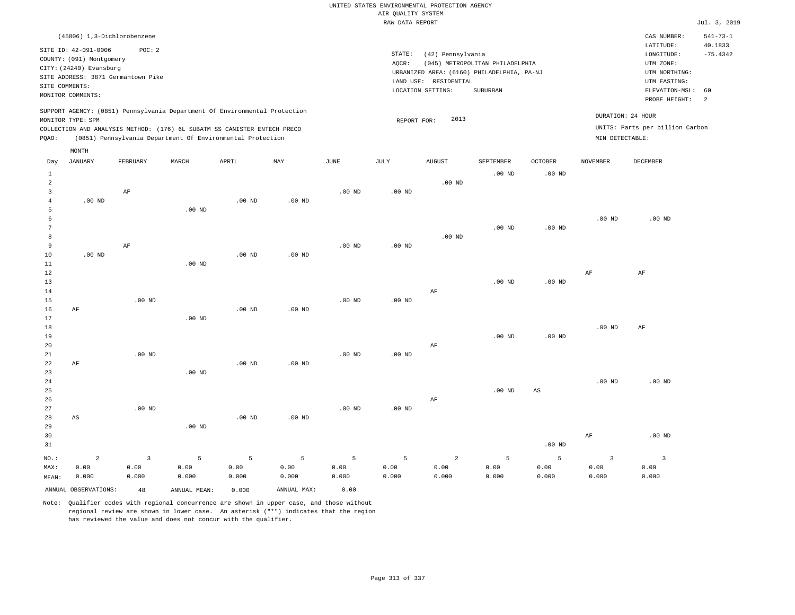|       |                                                     |          |                                                                            |                   |          |          | RAW DATA REPORT |                                            |                                 |                |                   |                                 | Jul. 3, 2019   |
|-------|-----------------------------------------------------|----------|----------------------------------------------------------------------------|-------------------|----------|----------|-----------------|--------------------------------------------|---------------------------------|----------------|-------------------|---------------------------------|----------------|
|       | (45806) 1,3-Dichlorobenzene                         |          |                                                                            |                   |          |          |                 |                                            |                                 |                |                   | CAS NUMBER:                     | $541 - 73 - 1$ |
|       | SITE ID: 42-091-0006                                | POC: 2   |                                                                            |                   |          |          |                 |                                            |                                 |                |                   | LATITUDE:                       | 40.1833        |
|       |                                                     |          |                                                                            |                   |          |          | STATE:          | (42) Pennsylvania                          |                                 |                |                   | LONGITUDE:                      | $-75.4342$     |
|       | COUNTY: (091) Montgomery<br>CITY: (24240) Evansburg |          |                                                                            |                   |          |          | AOCR:           |                                            | (045) METROPOLITAN PHILADELPHIA |                |                   | UTM ZONE:                       |                |
|       | SITE ADDRESS: 3871 Germantown Pike                  |          |                                                                            |                   |          |          |                 | URBANIZED AREA: (6160) PHILADELPHIA, PA-NJ |                                 |                |                   | UTM NORTHING:                   |                |
|       |                                                     |          |                                                                            |                   |          |          | LAND USE:       | RESIDENTIAL                                |                                 |                |                   | UTM EASTING:                    |                |
|       | SITE COMMENTS:                                      |          |                                                                            |                   |          |          |                 | LOCATION SETTING:                          | SUBURBAN                        |                |                   | ELEVATION-MSL: 60               |                |
|       | MONITOR COMMENTS:                                   |          |                                                                            |                   |          |          |                 |                                            |                                 |                |                   | PROBE HEIGHT:                   | $\overline{2}$ |
|       |                                                     |          | SUPPORT AGENCY: (0851) Pennsylvania Department Of Environmental Protection |                   |          |          |                 |                                            |                                 |                |                   |                                 |                |
|       | MONITOR TYPE: SPM                                   |          |                                                                            |                   |          |          |                 | 2013<br>REPORT FOR:                        |                                 |                |                   | DURATION: 24 HOUR               |                |
|       |                                                     |          | COLLECTION AND ANALYSIS METHOD: (176) 6L SUBATM SS CANISTER ENTECH PRECO   |                   |          |          |                 |                                            |                                 |                |                   | UNITS: Parts per billion Carbon |                |
| PQAO: |                                                     |          | (0851) Pennsylvania Department Of Environmental Protection                 |                   |          |          |                 |                                            |                                 |                | MIN DETECTABLE:   |                                 |                |
|       |                                                     |          |                                                                            |                   |          |          |                 |                                            |                                 |                |                   |                                 |                |
|       | MONTH                                               |          |                                                                            |                   |          |          |                 |                                            |                                 |                |                   |                                 |                |
| Day   | JANUARY                                             | FEBRUARY | MARCH                                                                      | APRIL             | MAY      | JUNE     | JULY            | AUGUST                                     | SEPTEMBER                       | <b>OCTOBER</b> | NOVEMBER          | DECEMBER                        |                |
| 1     |                                                     |          |                                                                            |                   |          |          |                 |                                            | $.00$ ND                        | $.00$ ND       |                   |                                 |                |
| 2     |                                                     |          |                                                                            |                   |          |          |                 | $.00$ ND                                   |                                 |                |                   |                                 |                |
| 3     |                                                     | AF       |                                                                            |                   |          | $.00$ ND | $.00$ ND        |                                            |                                 |                |                   |                                 |                |
|       | $.00$ ND                                            |          |                                                                            | .00 <sub>ND</sub> | $.00$ ND |          |                 |                                            |                                 |                |                   |                                 |                |
|       |                                                     |          | $.00$ ND                                                                   |                   |          |          |                 |                                            |                                 |                |                   |                                 |                |
|       |                                                     |          |                                                                            |                   |          |          |                 |                                            |                                 |                | .00 <sub>ND</sub> | $.00$ ND                        |                |
|       |                                                     |          |                                                                            |                   |          |          |                 |                                            | $.00$ ND                        | $.00$ ND       |                   |                                 |                |
| 8     |                                                     |          |                                                                            |                   |          |          |                 | $.00$ ND                                   |                                 |                |                   |                                 |                |
| 9     |                                                     | AF       |                                                                            |                   |          | $.00$ ND | $.00$ ND        |                                            |                                 |                |                   |                                 |                |
| 10    | $.00$ ND                                            |          |                                                                            | $.00$ ND          | $.00$ ND |          |                 |                                            |                                 |                |                   |                                 |                |
| 11    |                                                     |          | $.00$ ND                                                                   |                   |          |          |                 |                                            |                                 |                |                   |                                 |                |
| 12    |                                                     |          |                                                                            |                   |          |          |                 |                                            |                                 |                | AF                | AF                              |                |
| 13    |                                                     |          |                                                                            |                   |          |          |                 |                                            | $.00$ ND                        | $.00$ ND       |                   |                                 |                |
| 14    |                                                     |          |                                                                            |                   |          |          |                 | AF                                         |                                 |                |                   |                                 |                |
| 15    |                                                     | $.00$ ND |                                                                            |                   |          | $.00$ ND | $.00$ ND        |                                            |                                 |                |                   |                                 |                |

16 17 18 19 20 21 AF .00 ND .00 ND .00 ND .00 ND .00 ND .00 ND AF .00 ND .00 ND .00 ND AF

| 23      |       |          | $.00$ ND |          |          |          |          |       |          |          |          |          |
|---------|-------|----------|----------|----------|----------|----------|----------|-------|----------|----------|----------|----------|
| 24      |       |          |          |          |          |          |          |       |          |          | $.00$ ND | $.00$ ND |
| 25      |       |          |          |          |          |          |          |       | $.00$ ND | AS       |          |          |
| 26      |       |          |          |          |          |          |          | AF    |          |          |          |          |
| 27      |       | $.00$ ND |          |          |          | $.00$ ND | $.00$ ND |       |          |          |          |          |
| 28      | AS    |          |          | $.00$ ND | $.00$ ND |          |          |       |          |          |          |          |
| 29      |       |          | $.00$ ND |          |          |          |          |       |          |          |          |          |
| 30      |       |          |          |          |          |          |          |       |          |          | AF       | $.00$ ND |
| 31      |       |          |          |          |          |          |          |       |          | $.00$ ND |          |          |
| $NO.$ : | 2     |          | 5        | 5        |          | 5        | 5        | 2     | 5        | 5        | 3        |          |
| MAX:    | 0.00  | 0.00     | 0.00     | 0.00     | 0.00     | 0.00     | 0.00     | 0.00  | 0.00     | 0.00     | 0.00     | 0.00     |
| MEAN:   | 0.000 | 0.000    | 0.000    | 0.000    | 0.000    | 0.000    | 0.000    | 0.000 | 0.000    | 0.000    | 0.000    | 0.000    |

Note: Qualifier codes with regional concurrence are shown in upper case, and those without regional review are shown in lower case. An asterisk ("\*") indicates that the region has reviewed the value and does not concur with the qualifier.

ANNUAL OBSERVATIONS: 48 ANNUAL MEAN: 0.000 ANNUAL MAX: 0.00

.00 ND

.00 ND

22

AF

MEAN: 0.000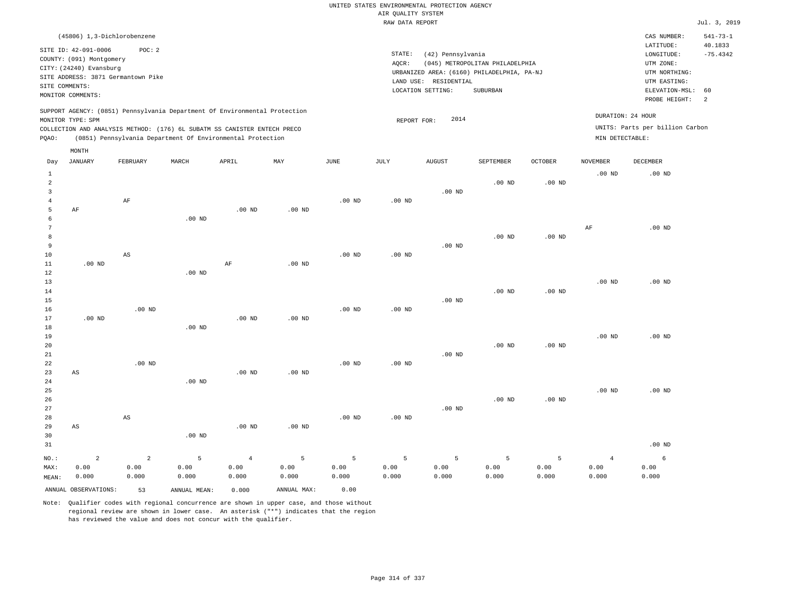| (45806) 1,3-Dichlorobenzene                                                                                                                                                                                                                                 |                                                                                                                                                                                 | CAS NUMBER:                                                                                                 | $541 - 73 - 1$        |
|-------------------------------------------------------------------------------------------------------------------------------------------------------------------------------------------------------------------------------------------------------------|---------------------------------------------------------------------------------------------------------------------------------------------------------------------------------|-------------------------------------------------------------------------------------------------------------|-----------------------|
| SITE ID: 42-091-0006<br>POC:2<br>COUNTY: (091) Montgomery<br>CITY: (24240) Evansburg<br>SITE ADDRESS: 3871 Germantown Pike<br>SITE COMMENTS:<br>MONITOR COMMENTS:                                                                                           | STATE:<br>(42) Pennsylvania<br>(045) METROPOLITAN PHILADELPHIA<br>AOCR:<br>URBANIZED AREA: (6160) PHILADELPHIA, PA-NJ<br>LAND USE: RESIDENTIAL<br>LOCATION SETTING:<br>SUBURBAN | LATITUDE:<br>LONGITUDE:<br>UTM ZONE:<br>UTM NORTHING:<br>UTM EASTING:<br>ELEVATION-MSL: 60<br>PROBE HEIGHT: | 40.1833<br>$-75.4342$ |
| SUPPORT AGENCY: (0851) Pennsylvania Department Of Environmental Protection<br>MONITOR TYPE: SPM<br>COLLECTION AND ANALYSIS METHOD: (176) 6L SUBATM SS CANISTER ENTECH PRECO<br>(0851) Pennsylvania Department Of Environmental Protection<br>POAO:<br>MONTH | DURATION: 24 HOUR<br>2014<br>REPORT FOR:<br>MIN DETECTABLE:                                                                                                                     | UNITS: Parts per billion Carbon                                                                             |                       |

| Day                     | <b>JANUARY</b>         | FEBRUARY       | $\tt MARCH$  | ${\tt APRIL}$  | $\ensuremath{\text{MAX}}$ | $_{\rm JUNE}$     | $\mathtt{JULY}$   | AUGUST   | SEPTEMBER   | $\mathtt{OCTOBER}$ | NOVEMBER          | DECEMBER |
|-------------------------|------------------------|----------------|--------------|----------------|---------------------------|-------------------|-------------------|----------|-------------|--------------------|-------------------|----------|
| $\mathbf{1}$            |                        |                |              |                |                           |                   |                   |          |             |                    | $.00$ ND          | $.00$ ND |
| $\overline{\mathbf{c}}$ |                        |                |              |                |                           |                   |                   |          | $.00$ ND    | .00 <sub>ND</sub>  |                   |          |
| 3                       |                        |                |              |                |                           |                   |                   | .00 $ND$ |             |                    |                   |          |
| $\overline{4}$          |                        | $\rm{AF}$      |              |                |                           | .00 <sub>ND</sub> | .00 <sub>ND</sub> |          |             |                    |                   |          |
| 5                       | AF                     |                |              | $.00$ ND       | $.00$ ND                  |                   |                   |          |             |                    |                   |          |
| 6                       |                        |                | $.00$ ND     |                |                           |                   |                   |          |             |                    |                   |          |
| 7                       |                        |                |              |                |                           |                   |                   |          |             |                    | $\rm{AF}$         | $.00$ ND |
| 8                       |                        |                |              |                |                           |                   |                   |          | $.00$ ND    | .00 <sub>ND</sub>  |                   |          |
| 9                       |                        |                |              |                |                           |                   |                   | $.00$ ND |             |                    |                   |          |
| $10$                    |                        | AS             |              |                |                           | $.00$ ND          | $.00$ ND          |          |             |                    |                   |          |
| $11\,$                  | $.00$ ND               |                |              | $\rm AF$       | $.00$ ND                  |                   |                   |          |             |                    |                   |          |
| 12                      |                        |                | $.00$ ND     |                |                           |                   |                   |          |             |                    |                   |          |
| 13                      |                        |                |              |                |                           |                   |                   |          |             |                    | $.00$ ND          | $.00$ ND |
| 14                      |                        |                |              |                |                           |                   |                   |          | $.00$ ND    | .00 <sub>ND</sub>  |                   |          |
| 15                      |                        |                |              |                |                           |                   |                   | $.00$ ND |             |                    |                   |          |
| 16                      |                        | $.00$ ND       |              |                |                           | $.00$ ND          | .00 <sub>ND</sub> |          |             |                    |                   |          |
| 17                      | $.00$ ND               |                |              | $.00$ ND       | $.00$ ND                  |                   |                   |          |             |                    |                   |          |
| 18<br>19                |                        |                | $.00$ ND     |                |                           |                   |                   |          |             |                    | .00 <sub>ND</sub> | $.00$ ND |
| 20                      |                        |                |              |                |                           |                   |                   |          | $.00$ ND    | $.00$ ND           |                   |          |
| $21\,$                  |                        |                |              |                |                           |                   |                   | $.00$ ND |             |                    |                   |          |
| 22                      |                        | $.00$ ND       |              |                |                           | $.00$ ND          | $.00$ ND          |          |             |                    |                   |          |
| 23                      | $\mathbb{A}\mathbb{S}$ |                |              | $.00$ ND       | $.00$ ND                  |                   |                   |          |             |                    |                   |          |
| 24                      |                        |                | $.00$ ND     |                |                           |                   |                   |          |             |                    |                   |          |
| $25\,$                  |                        |                |              |                |                           |                   |                   |          |             |                    | $.00$ ND          | $.00$ ND |
| 26                      |                        |                |              |                |                           |                   |                   |          | $.00$ ND    | $.00$ ND           |                   |          |
| 27                      |                        |                |              |                |                           |                   |                   | $.00$ ND |             |                    |                   |          |
| 28                      |                        | AS             |              |                |                           | .00 <sub>ND</sub> | .00 <sub>ND</sub> |          |             |                    |                   |          |
| 29                      | AS                     |                |              | .00 $ND$       | $.00$ ND                  |                   |                   |          |             |                    |                   |          |
| 30                      |                        |                | $.00$ ND     |                |                           |                   |                   |          |             |                    |                   |          |
| 31                      |                        |                |              |                |                           |                   |                   |          |             |                    |                   | $.00$ ND |
| $_{\rm NO.}$ :          | $\sqrt{2}$             | $\overline{a}$ | 5            | $\overline{4}$ | 5                         | 5                 | 5                 | 5        | $\mathsf S$ | 5                  | $\overline{4}$    | 6        |
| MAX:                    | 0.00                   | 0.00           | 0.00         | 0.00           | 0.00                      | 0.00              | 0.00              | 0.00     | 0.00        | 0.00               | 0.00              | 0.00     |
| MEAN:                   | 0.000                  | 0.000          | 0.000        | 0.000          | 0.000                     | 0.000             | 0.000             | 0.000    | 0.000       | 0.000              | 0.000             | 0.000    |
|                         | ANNUAL OBSERVATIONS:   | 53             | ANNUAL MEAN: | 0.000          | ANNUAL MAX:               | 0.00              |                   |          |             |                    |                   |          |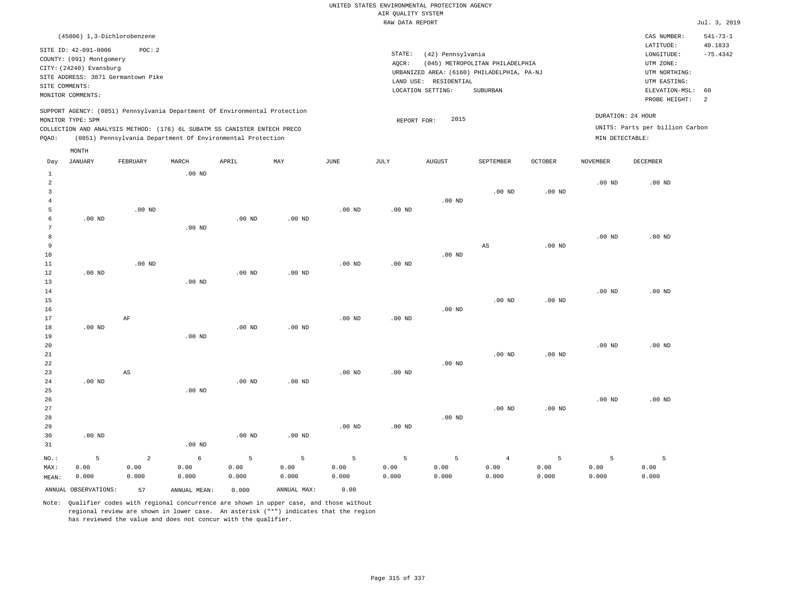|       |                             |                                    |          |                                                                            |          |                   | RAW DATA REPORT   |                                            |                                 |                   |                 |                                 | Jul. 3, 2019              |
|-------|-----------------------------|------------------------------------|----------|----------------------------------------------------------------------------|----------|-------------------|-------------------|--------------------------------------------|---------------------------------|-------------------|-----------------|---------------------------------|---------------------------|
|       | (45806) 1,3-Dichlorobenzene |                                    |          |                                                                            |          |                   |                   |                                            |                                 |                   |                 | CAS NUMBER:<br>LATITUDE:        | $541 - 73 - 1$<br>40.1833 |
|       | SITE ID: 42-091-0006        | POC: 2                             |          |                                                                            |          |                   | STATE:            | (42) Pennsylvania                          |                                 |                   |                 | LONGITUDE:                      | $-75.4342$                |
|       | COUNTY: (091) Montgomery    |                                    |          |                                                                            |          |                   | AOCR:             |                                            | (045) METROPOLITAN PHILADELPHIA |                   |                 | UTM ZONE:                       |                           |
|       | CITY: (24240) Evansburg     |                                    |          |                                                                            |          |                   |                   | URBANIZED AREA: (6160) PHILADELPHIA, PA-NJ |                                 |                   |                 | UTM NORTHING:                   |                           |
|       |                             | SITE ADDRESS: 3871 Germantown Pike |          |                                                                            |          |                   |                   | LAND USE: RESIDENTIAL                      |                                 |                   |                 | UTM EASTING:                    |                           |
|       | SITE COMMENTS:              |                                    |          |                                                                            |          |                   |                   | LOCATION SETTING:                          | SUBURBAN                        |                   |                 | ELEVATION-MSL:                  | 60                        |
|       | MONITOR COMMENTS:           |                                    |          |                                                                            |          |                   |                   |                                            |                                 |                   |                 | PROBE HEIGHT:                   | 2                         |
|       |                             |                                    |          | SUPPORT AGENCY: (0851) Pennsylvania Department Of Environmental Protection |          |                   |                   |                                            |                                 |                   |                 | DURATION: 24 HOUR               |                           |
|       | MONITOR TYPE: SPM           |                                    |          |                                                                            |          |                   |                   | 2015<br>REPORT FOR:                        |                                 |                   |                 |                                 |                           |
|       |                             |                                    |          | COLLECTION AND ANALYSIS METHOD: (176) 6L SUBATM SS CANISTER ENTECH PRECO   |          |                   |                   |                                            |                                 |                   |                 | UNITS: Parts per billion Carbon |                           |
| POAO: |                             |                                    |          | (0851) Pennsylvania Department Of Environmental Protection                 |          |                   |                   |                                            |                                 |                   | MIN DETECTABLE: |                                 |                           |
|       | MONTH                       |                                    |          |                                                                            |          |                   |                   |                                            |                                 |                   |                 |                                 |                           |
| Day   | <b>JANUARY</b>              | FEBRUARY                           | MARCH    | APRIL                                                                      | MAY      | JUNE              | JULY              | <b>AUGUST</b>                              | SEPTEMBER                       | <b>OCTOBER</b>    | <b>NOVEMBER</b> | DECEMBER                        |                           |
| 1     |                             |                                    | $.00$ ND |                                                                            |          |                   |                   |                                            |                                 |                   |                 |                                 |                           |
| 2     |                             |                                    |          |                                                                            |          |                   |                   |                                            |                                 |                   | $.00$ ND        | $.00$ ND                        |                           |
|       |                             |                                    |          |                                                                            |          |                   |                   |                                            | $.00$ ND                        | .00 <sub>ND</sub> |                 |                                 |                           |
|       |                             |                                    |          |                                                                            |          |                   |                   | .00 <sub>ND</sub>                          |                                 |                   |                 |                                 |                           |
|       |                             | $.00$ ND                           |          |                                                                            |          | $.00$ ND          | $.00$ ND          |                                            |                                 |                   |                 |                                 |                           |
| -6    | .00 <sub>ND</sub>           |                                    |          | $.00$ ND                                                                   | $.00$ ND |                   |                   |                                            |                                 |                   |                 |                                 |                           |
|       |                             |                                    | $.00$ ND |                                                                            |          |                   |                   |                                            |                                 |                   |                 |                                 |                           |
| 8     |                             |                                    |          |                                                                            |          |                   |                   |                                            |                                 |                   | $.00$ ND        | $.00$ ND                        |                           |
| 9     |                             |                                    |          |                                                                            |          |                   |                   |                                            | AS                              | .00 <sub>ND</sub> |                 |                                 |                           |
| 10    |                             |                                    |          |                                                                            |          |                   |                   | $.00$ ND                                   |                                 |                   |                 |                                 |                           |
| 11    |                             | $.00$ ND                           |          |                                                                            |          | $.00$ ND          | $.00$ ND          |                                            |                                 |                   |                 |                                 |                           |
| 12    | $.00$ ND                    |                                    |          | .00 <sub>ND</sub>                                                          | $.00$ ND |                   |                   |                                            |                                 |                   |                 |                                 |                           |
| 13    |                             |                                    | $.00$ ND |                                                                            |          |                   |                   |                                            |                                 |                   |                 |                                 |                           |
| 14    |                             |                                    |          |                                                                            |          |                   |                   |                                            |                                 |                   | $.00$ ND        | $.00$ ND                        |                           |
| 15    |                             |                                    |          |                                                                            |          |                   |                   |                                            | $.00$ ND                        | $.00$ ND          |                 |                                 |                           |
| 16    |                             |                                    |          |                                                                            |          |                   |                   | $.00$ ND                                   |                                 |                   |                 |                                 |                           |
| 17    |                             | AF                                 |          |                                                                            |          | .00 <sub>ND</sub> | .00 <sub>ND</sub> |                                            |                                 |                   |                 |                                 |                           |

.00 ND

18 19 20 21 22 23 24 25 .00 ND .00 ND AS .00 ND .00 ND .00 ND .00 ND .00 ND .00 ND .00 ND .00 ND .00 ND .00 ND .00 ND .00 ND

26 27 28 29 30 31 .00 ND NO.: MAX: MEAN: 5 0.00 0.000 .00 ND .00 ND .00 ND .00 ND .00 ND .00 ND .00 ND .00 ND .00 ND .00 ND 2 0.00 0.000 6 0.00 0.000 5 0.00 0.000 5 0.00 0.000 5 0.00 0.000 5 0.00 0.000 5 0.00 0.000 4 0.00 0.000 5 0.00 0.000 5 0.00 0.000 5 0.00 0.000

Note: Qualifier codes with regional concurrence are shown in upper case, and those without regional review are shown in lower case. An asterisk ("\*") indicates that the region has reviewed the value and does not concur with the qualifier.

ANNUAL OBSERVATIONS: 57 ANNUAL MEAN: 0.000 ANNUAL MAX: 0.00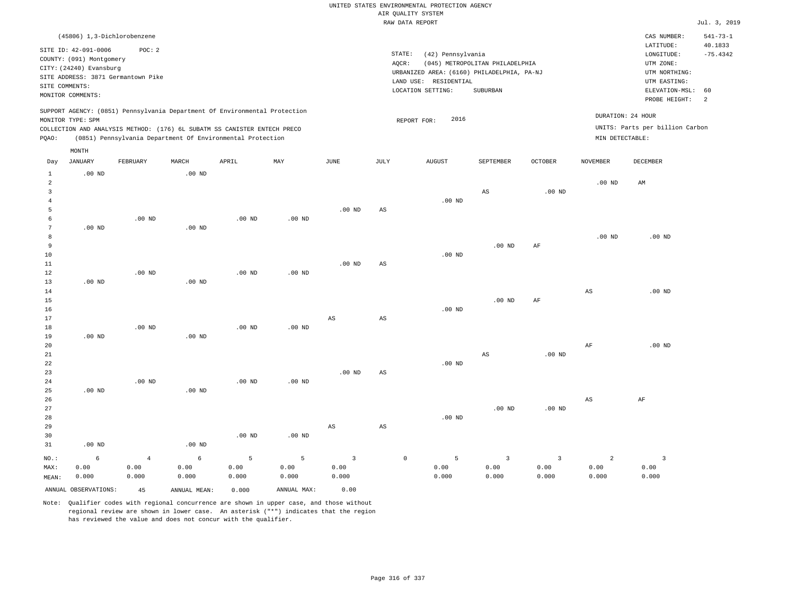|                                |                          |                                    |                   |                                                                                                                                        |                           |                         |                        | UNITED STATES ENVIRONMENTAL PROTECTION AGENCY |                                 |                |                        |                                 |                |
|--------------------------------|--------------------------|------------------------------------|-------------------|----------------------------------------------------------------------------------------------------------------------------------------|---------------------------|-------------------------|------------------------|-----------------------------------------------|---------------------------------|----------------|------------------------|---------------------------------|----------------|
|                                |                          |                                    |                   |                                                                                                                                        |                           |                         |                        | AIR QUALITY SYSTEM                            |                                 |                |                        |                                 |                |
|                                |                          |                                    |                   |                                                                                                                                        |                           |                         |                        | RAW DATA REPORT                               |                                 |                |                        |                                 | Jul. 3, 2019   |
|                                |                          | (45806) 1,3-Dichlorobenzene        |                   |                                                                                                                                        |                           |                         |                        |                                               |                                 |                |                        | CAS NUMBER:                     | $541 - 73 - 1$ |
|                                | SITE ID: 42-091-0006     | POC: 2                             |                   |                                                                                                                                        |                           |                         |                        |                                               |                                 |                |                        | LATITUDE:                       | 40.1833        |
|                                | COUNTY: (091) Montgomery |                                    |                   |                                                                                                                                        |                           |                         | STATE:<br>AQCR:        | (42) Pennsylvania                             | (045) METROPOLITAN PHILADELPHIA |                |                        | LONGITUDE:<br>UTM ZONE:         | $-75.4342$     |
|                                | CITY: (24240) Evansburg  |                                    |                   |                                                                                                                                        |                           |                         |                        | URBANIZED AREA: (6160) PHILADELPHIA, PA-NJ    |                                 |                |                        | UTM NORTHING:                   |                |
|                                |                          | SITE ADDRESS: 3871 Germantown Pike |                   |                                                                                                                                        |                           |                         |                        | LAND USE: RESIDENTIAL                         |                                 |                |                        | UTM EASTING:                    |                |
| SITE COMMENTS:                 |                          |                                    |                   |                                                                                                                                        |                           |                         |                        | LOCATION SETTING:                             | SUBURBAN                        |                |                        | ELEVATION-MSL:                  | 60             |
|                                | MONITOR COMMENTS:        |                                    |                   |                                                                                                                                        |                           |                         |                        |                                               |                                 |                |                        | PROBE HEIGHT:                   | $\overline{a}$ |
|                                |                          |                                    |                   | SUPPORT AGENCY: (0851) Pennsylvania Department Of Environmental Protection                                                             |                           |                         |                        |                                               |                                 |                |                        | DURATION: 24 HOUR               |                |
|                                | MONITOR TYPE: SPM        |                                    |                   |                                                                                                                                        |                           |                         |                        | 2016<br>REPORT FOR:                           |                                 |                |                        |                                 |                |
| PQAO:                          |                          |                                    |                   | COLLECTION AND ANALYSIS METHOD: (176) 6L SUBATM SS CANISTER ENTECH PRECO<br>(0851) Pennsylvania Department Of Environmental Protection |                           |                         |                        |                                               |                                 |                | MIN DETECTABLE:        | UNITS: Parts per billion Carbon |                |
|                                | MONTH                    |                                    |                   |                                                                                                                                        |                           |                         |                        |                                               |                                 |                |                        |                                 |                |
| Day                            | <b>JANUARY</b>           | FEBRUARY                           | MARCH             | APRIL                                                                                                                                  | $\ensuremath{\text{MAX}}$ | $_{\rm JUNE}$           | $\mathtt{JULY}$        | <b>AUGUST</b>                                 | SEPTEMBER                       | <b>OCTOBER</b> | <b>NOVEMBER</b>        | DECEMBER                        |                |
| $\mathbf{1}$<br>$\overline{a}$ | $.00$ ND                 |                                    | $.00$ ND          |                                                                                                                                        |                           |                         |                        |                                               |                                 |                | .00 <sub>ND</sub>      | AM                              |                |
| 3                              |                          |                                    |                   |                                                                                                                                        |                           |                         |                        |                                               | $_{\rm AS}$                     | $.00$ ND       |                        |                                 |                |
| $\overline{4}$                 |                          |                                    |                   |                                                                                                                                        |                           |                         |                        | .00 <sub>ND</sub>                             |                                 |                |                        |                                 |                |
| 5                              |                          |                                    |                   |                                                                                                                                        |                           | .00 <sub>ND</sub>       | AS                     |                                               |                                 |                |                        |                                 |                |
| 6                              |                          | $.00$ ND                           |                   | .00 <sub>ND</sub>                                                                                                                      | .00 <sub>ND</sub>         |                         |                        |                                               |                                 |                |                        |                                 |                |
| 7                              | .00 <sub>ND</sub>        |                                    | $.00$ ND          |                                                                                                                                        |                           |                         |                        |                                               |                                 |                |                        |                                 |                |
| 8                              |                          |                                    |                   |                                                                                                                                        |                           |                         |                        |                                               |                                 |                | $.00$ ND               | .00 <sub>ND</sub>               |                |
| 9                              |                          |                                    |                   |                                                                                                                                        |                           |                         |                        |                                               | .00 <sub>ND</sub>               | AF             |                        |                                 |                |
| 10                             |                          |                                    |                   |                                                                                                                                        |                           |                         |                        | $.00$ ND                                      |                                 |                |                        |                                 |                |
| 11                             |                          |                                    |                   |                                                                                                                                        |                           | .00 <sub>ND</sub>       | AS                     |                                               |                                 |                |                        |                                 |                |
| 12                             |                          | $.00$ ND                           |                   | $.00$ ND                                                                                                                               | $.00$ ND                  |                         |                        |                                               |                                 |                |                        |                                 |                |
| 13                             | .00 <sub>ND</sub>        |                                    | .00 <sub>ND</sub> |                                                                                                                                        |                           |                         |                        |                                               |                                 |                |                        |                                 |                |
| 14                             |                          |                                    |                   |                                                                                                                                        |                           |                         |                        |                                               |                                 |                | $\mathbb{A}\mathbb{S}$ | .00 <sub>ND</sub>               |                |
| 15                             |                          |                                    |                   |                                                                                                                                        |                           |                         |                        | $.00$ ND                                      | .00 <sub>ND</sub>               | AF             |                        |                                 |                |
| 16<br>17                       |                          |                                    |                   |                                                                                                                                        |                           | AS                      | $\mathbb{A}\mathbb{S}$ |                                               |                                 |                |                        |                                 |                |
| 18                             |                          | $.00$ ND                           |                   | $.00$ ND                                                                                                                               | $.00$ ND                  |                         |                        |                                               |                                 |                |                        |                                 |                |
| 19                             | $.00$ ND                 |                                    | .00 <sub>ND</sub> |                                                                                                                                        |                           |                         |                        |                                               |                                 |                |                        |                                 |                |
| 20                             |                          |                                    |                   |                                                                                                                                        |                           |                         |                        |                                               |                                 |                | $\rm{AF}$              | $.00$ ND                        |                |
| 21                             |                          |                                    |                   |                                                                                                                                        |                           |                         |                        |                                               | $_{\rm AS}$                     | $.00$ ND       |                        |                                 |                |
| 22                             |                          |                                    |                   |                                                                                                                                        |                           |                         |                        | $.00$ ND                                      |                                 |                |                        |                                 |                |
| 23                             |                          |                                    |                   |                                                                                                                                        |                           | .00 <sub>ND</sub>       | $_{\rm AS}$            |                                               |                                 |                |                        |                                 |                |
| 24                             |                          | $.00$ ND                           |                   | .00 <sub>ND</sub>                                                                                                                      | .00 <sub>ND</sub>         |                         |                        |                                               |                                 |                |                        |                                 |                |
| 25                             | $.00$ ND                 |                                    | $.00$ ND          |                                                                                                                                        |                           |                         |                        |                                               |                                 |                |                        |                                 |                |
| 26                             |                          |                                    |                   |                                                                                                                                        |                           |                         |                        |                                               |                                 |                | $\mathbb{A}\mathbb{S}$ | AF                              |                |
| 27                             |                          |                                    |                   |                                                                                                                                        |                           |                         |                        |                                               | $.00$ ND                        | $.00$ ND       |                        |                                 |                |
| 28                             |                          |                                    |                   |                                                                                                                                        |                           |                         |                        | .00 <sub>ND</sub>                             |                                 |                |                        |                                 |                |
| 29                             |                          |                                    |                   |                                                                                                                                        |                           | AS                      | $\mathbb{A}\mathbb{S}$ |                                               |                                 |                |                        |                                 |                |
| 30                             |                          |                                    |                   | .00 <sub>ND</sub>                                                                                                                      | .00 <sub>ND</sub>         |                         |                        |                                               |                                 |                |                        |                                 |                |
| 31                             | $.00$ ND                 |                                    | .00 <sub>ND</sub> |                                                                                                                                        |                           |                         |                        |                                               |                                 |                |                        |                                 |                |
| NO.:                           | 6                        | $\bf{4}$                           | $\epsilon$        | 5                                                                                                                                      | 5                         | $\overline{\mathbf{3}}$ |                        | $\mathbb O$<br>5                              | $\overline{\mathbf{3}}$         | $\overline{3}$ | $\overline{a}$         | $\overline{\mathbf{3}}$         |                |
| MAX:                           | 0.00                     | 0.00                               | 0.00              | 0.00                                                                                                                                   | 0.00                      | 0.00                    |                        | 0.00                                          | 0.00                            | 0.00           | 0.00                   | 0.00                            |                |
| MEAN:                          | 0.000                    | 0.000                              | 0.000             | 0.000                                                                                                                                  | 0.000                     | 0.000                   |                        | 0.000                                         | 0.000                           | 0.000          | 0.000                  | 0.000                           |                |

ANNUAL OBSERVATIONS: 45 ANNUAL MEAN: 0.000 ANNUAL MAX: 0.00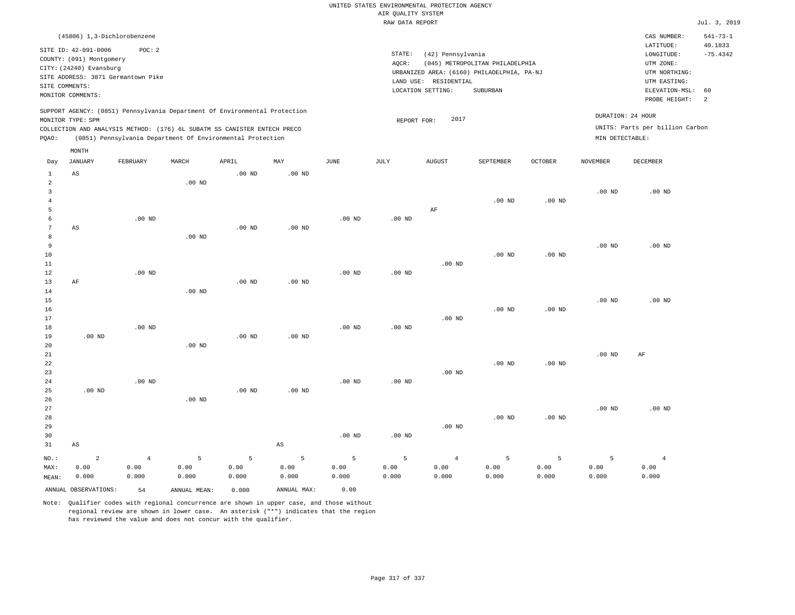|                                                |                                                                                                                                 |                                              |                       |                                                                                                                                        |                        |               |                                       | UNITED STATES ENVIRONMENTAL PROTECTION AGENCY                   |                                                                                           |                   |                                      |                                                                                                                         |                                                    |
|------------------------------------------------|---------------------------------------------------------------------------------------------------------------------------------|----------------------------------------------|-----------------------|----------------------------------------------------------------------------------------------------------------------------------------|------------------------|---------------|---------------------------------------|-----------------------------------------------------------------|-------------------------------------------------------------------------------------------|-------------------|--------------------------------------|-------------------------------------------------------------------------------------------------------------------------|----------------------------------------------------|
|                                                |                                                                                                                                 |                                              |                       |                                                                                                                                        |                        |               | AIR QUALITY SYSTEM<br>RAW DATA REPORT |                                                                 |                                                                                           |                   |                                      |                                                                                                                         | Jul. 3, 2019                                       |
|                                                |                                                                                                                                 |                                              |                       |                                                                                                                                        |                        |               |                                       |                                                                 |                                                                                           |                   |                                      |                                                                                                                         |                                                    |
| SITE COMMENTS:                                 | (45806) 1,3-Dichlorobenzene<br>SITE ID: 42-091-0006<br>COUNTY: (091) Montgomery<br>CITY: (24240) Evansburg<br>MONITOR COMMENTS: | POC: 2<br>SITE ADDRESS: 3871 Germantown Pike |                       |                                                                                                                                        |                        |               | STATE:<br>AQCR:                       | (42) Pennsylvania<br>LAND USE: RESIDENTIAL<br>LOCATION SETTING: | (045) METROPOLITAN PHILADELPHIA<br>URBANIZED AREA: (6160) PHILADELPHIA, PA-NJ<br>SUBURBAN |                   |                                      | CAS NUMBER:<br>LATITUDE:<br>LONGITUDE:<br>UTM ZONE:<br>UTM NORTHING:<br>UTM EASTING:<br>ELEVATION-MSL:<br>PROBE HEIGHT: | $541 - 73 - 1$<br>40.1833<br>$-75.4342$<br>60<br>2 |
|                                                |                                                                                                                                 |                                              |                       | SUPPORT AGENCY: (0851) Pennsylvania Department Of Environmental Protection                                                             |                        |               |                                       |                                                                 |                                                                                           |                   |                                      |                                                                                                                         |                                                    |
| PQAO:                                          | MONITOR TYPE: SPM                                                                                                               |                                              |                       | COLLECTION AND ANALYSIS METHOD: (176) 6L SUBATM SS CANISTER ENTECH PRECO<br>(0851) Pennsylvania Department Of Environmental Protection |                        |               | REPORT FOR:                           | 2017                                                            |                                                                                           |                   | DURATION: 24 HOUR<br>MIN DETECTABLE: | UNITS: Parts per billion Carbon                                                                                         |                                                    |
| Day                                            | MONTH<br><b>JANUARY</b>                                                                                                         | FEBRUARY                                     | MARCH                 | APRIL                                                                                                                                  | MAY                    | JUNE          | JULY                                  | <b>AUGUST</b>                                                   | SEPTEMBER                                                                                 | <b>OCTOBER</b>    | NOVEMBER                             | DECEMBER                                                                                                                |                                                    |
| 1<br>$\overline{a}$                            | AS                                                                                                                              |                                              | .00 <sub>ND</sub>     | $.00$ ND                                                                                                                               | $.00$ ND               |               |                                       |                                                                 |                                                                                           |                   |                                      |                                                                                                                         |                                                    |
| $\overline{\mathbf{3}}$<br>$\overline{4}$<br>5 |                                                                                                                                 |                                              |                       |                                                                                                                                        |                        |               |                                       | AF                                                              | .00 <sub>ND</sub>                                                                         | .00 <sub>ND</sub> | $.00$ ND                             | $.00$ ND                                                                                                                |                                                    |
| 6<br>$\overline{7}$<br>$\mathbf{a}$            | AS                                                                                                                              | $.00$ ND                                     | $.00$ ND              | $.00$ ND                                                                                                                               | .00 <sub>ND</sub>      | $.00$ ND      | $.00$ ND                              |                                                                 |                                                                                           |                   |                                      |                                                                                                                         |                                                    |
| $\overline{9}$<br>10<br>$1\,1$                 |                                                                                                                                 |                                              |                       |                                                                                                                                        |                        |               |                                       | $.00$ ND                                                        | $.00$ ND                                                                                  | $.00$ ND          | .00 <sub>ND</sub>                    | $.00$ ND                                                                                                                |                                                    |
| 12<br>13<br>14<br>15                           | $\rm AF$                                                                                                                        | $.00$ ND                                     | $.00$ ND              | .00 <sub>ND</sub>                                                                                                                      | $.00$ ND               | $.00$ ND      | $.00$ ND                              |                                                                 |                                                                                           |                   | .00 <sub>ND</sub>                    | $.00$ ND                                                                                                                |                                                    |
| 16<br>17<br>$1\,8$                             |                                                                                                                                 | $.00$ ND                                     |                       |                                                                                                                                        |                        | $.00$ ND      | .00 <sub>ND</sub>                     | .00 <sub>ND</sub>                                               | $.00$ ND                                                                                  | $.00$ ND          |                                      |                                                                                                                         |                                                    |
| 19<br>20<br>21                                 | $.00$ ND                                                                                                                        |                                              | $.00$ ND              | $.00$ ND                                                                                                                               | $.00$ ND               |               |                                       |                                                                 |                                                                                           |                   | .00 <sub>ND</sub>                    | AF                                                                                                                      |                                                    |
| 22<br>23<br>24                                 |                                                                                                                                 | $.00$ ND                                     |                       |                                                                                                                                        |                        | $.00$ ND      | $.00$ ND                              | $.00$ ND                                                        | $.00$ ND                                                                                  | $.00$ ND          |                                      |                                                                                                                         |                                                    |
| 25<br>26<br>27                                 | $.00$ ND                                                                                                                        |                                              | .00 <sub>ND</sub>     | $.00$ ND                                                                                                                               | .00 <sub>ND</sub>      |               |                                       |                                                                 |                                                                                           |                   | .00 <sub>ND</sub>                    | .00 <sub>ND</sub>                                                                                                       |                                                    |
| 28<br>29<br>30<br>31                           | $\mathbb{A}\mathbb{S}$                                                                                                          |                                              |                       |                                                                                                                                        | $\mathbb{A}\mathbb{S}$ | $.00$ ND      | $.00$ ND                              | $.00$ ND                                                        | $.00$ ND                                                                                  | $.00$ ND          |                                      |                                                                                                                         |                                                    |
| NO.:<br>MAX:                                   | $\overline{c}$<br>0.00                                                                                                          | $\overline{4}$<br>0.00                       | 5<br>0.00             | 5<br>0.00                                                                                                                              | 5<br>0.00              | 5<br>0.00     | 5<br>0.00                             | $\overline{4}$<br>0.00                                          | 5<br>0.00                                                                                 | 5<br>0.00         | 5<br>0.00                            | $\overline{4}$<br>0.00                                                                                                  |                                                    |
| MEAN:                                          | 0.000<br>ANNUAL OBSERVATIONS:                                                                                                   | 0.000<br>54                                  | 0.000<br>ANNUAL MEAN: | 0.000<br>0.000                                                                                                                         | 0.000<br>ANNUAL MAX:   | 0.000<br>0.00 | 0.000                                 | 0.000                                                           | 0.000                                                                                     | 0.000             | 0.000                                | 0.000                                                                                                                   |                                                    |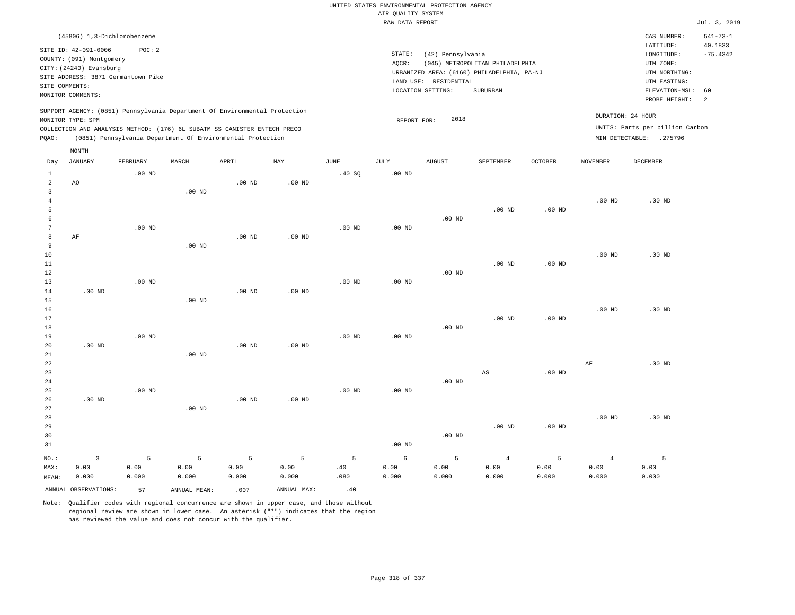|                     |                                                                                                 |                   |                   |                                                            |                   |                   |                    | UNITED STATES ENVIRONMENTAL PROTECTION AGENCY |                                            |          |                 |                                 |                           |
|---------------------|-------------------------------------------------------------------------------------------------|-------------------|-------------------|------------------------------------------------------------|-------------------|-------------------|--------------------|-----------------------------------------------|--------------------------------------------|----------|-----------------|---------------------------------|---------------------------|
|                     |                                                                                                 |                   |                   |                                                            |                   |                   | AIR QUALITY SYSTEM |                                               |                                            |          |                 |                                 |                           |
|                     |                                                                                                 |                   |                   |                                                            |                   |                   | RAW DATA REPORT    |                                               |                                            |          |                 |                                 | Jul. 3, 2019              |
|                     | (45806) 1,3-Dichlorobenzene<br>SITE ID: 42-091-0006                                             | POC: 2            |                   |                                                            |                   |                   |                    |                                               |                                            |          |                 | CAS NUMBER:<br>LATITUDE:        | $541 - 73 - 1$<br>40.1833 |
|                     | COUNTY: (091) Montgomery                                                                        |                   |                   |                                                            |                   |                   | STATE:             | (42) Pennsylvania                             |                                            |          |                 | $\texttt{LONGITUDE}$ :          | $-75.4342$                |
|                     | CITY: (24240) Evansburg                                                                         |                   |                   |                                                            |                   |                   | AQCR:              |                                               | (045) METROPOLITAN PHILADELPHIA            |          |                 | UTM ZONE:                       |                           |
|                     | SITE ADDRESS: 3871 Germantown Pike                                                              |                   |                   |                                                            |                   |                   |                    |                                               | URBANIZED AREA: (6160) PHILADELPHIA, PA-NJ |          |                 | UTM NORTHING:                   |                           |
| SITE COMMENTS:      |                                                                                                 |                   |                   |                                                            |                   |                   |                    | LAND USE: RESIDENTIAL                         |                                            |          |                 | UTM EASTING:                    |                           |
|                     | MONITOR COMMENTS:                                                                               |                   |                   |                                                            |                   |                   |                    | LOCATION SETTING:                             | SUBURBAN                                   |          |                 | ELEVATION-MSL:<br>PROBE HEIGHT: | 60<br>2                   |
|                     | SUPPORT AGENCY: (0851) Pennsylvania Department Of Environmental Protection<br>MONITOR TYPE: SPM |                   |                   |                                                            |                   |                   | REPORT FOR:        | 2018                                          |                                            |          |                 | DURATION: 24 HOUR               |                           |
|                     | COLLECTION AND ANALYSIS METHOD: (176) 6L SUBATM SS CANISTER ENTECH PRECO                        |                   |                   |                                                            |                   |                   |                    |                                               |                                            |          |                 | UNITS: Parts per billion Carbon |                           |
| PQAO:               |                                                                                                 |                   |                   | (0851) Pennsylvania Department Of Environmental Protection |                   |                   |                    |                                               |                                            |          |                 | MIN DETECTABLE: .275796         |                           |
|                     | MONTH<br><b>JANUARY</b>                                                                         | FEBRUARY          | MARCH             | APRIL                                                      | MAY               | <b>JUNE</b>       | <b>JULY</b>        | AUGUST                                        | SEPTEMBER                                  | OCTOBER  | <b>NOVEMBER</b> | <b>DECEMBER</b>                 |                           |
| Day                 |                                                                                                 |                   |                   |                                                            |                   |                   |                    |                                               |                                            |          |                 |                                 |                           |
| 1<br>$\overline{2}$ | AO                                                                                              | $.00$ ND          |                   | $.00$ ND                                                   | $.00$ ND          | .40 SQ            | .00 <sub>ND</sub>  |                                               |                                            |          |                 |                                 |                           |
| $\overline{3}$      |                                                                                                 |                   | .00 <sub>ND</sub> |                                                            |                   |                   |                    |                                               |                                            |          |                 |                                 |                           |
| $\overline{4}$      |                                                                                                 |                   |                   |                                                            |                   |                   |                    |                                               |                                            |          | $.00$ ND        | $.00$ ND                        |                           |
| 5                   |                                                                                                 |                   |                   |                                                            |                   |                   |                    |                                               | $.00$ ND                                   | $.00$ ND |                 |                                 |                           |
| 6                   |                                                                                                 |                   |                   |                                                            |                   |                   |                    | $.00$ ND                                      |                                            |          |                 |                                 |                           |
| $\overline{7}$      |                                                                                                 | .00 <sub>ND</sub> |                   |                                                            |                   | $.00$ ND          | $.00$ ND           |                                               |                                            |          |                 |                                 |                           |
| 8                   | AF                                                                                              |                   |                   | .00 <sub>ND</sub>                                          | $.00$ ND          |                   |                    |                                               |                                            |          |                 |                                 |                           |
| 9                   |                                                                                                 |                   | $.00$ ND          |                                                            |                   |                   |                    |                                               |                                            |          |                 |                                 |                           |
| 10                  |                                                                                                 |                   |                   |                                                            |                   |                   |                    |                                               |                                            |          | $.00$ ND        | .00 <sub>ND</sub>               |                           |
| 11                  |                                                                                                 |                   |                   |                                                            |                   |                   |                    |                                               | $.00$ ND                                   | $.00$ ND |                 |                                 |                           |
| 12                  |                                                                                                 |                   |                   |                                                            |                   |                   |                    | $.00$ ND                                      |                                            |          |                 |                                 |                           |
| 13                  |                                                                                                 | $.00$ ND          |                   |                                                            |                   | .00 <sub>ND</sub> | .00 <sub>ND</sub>  |                                               |                                            |          |                 |                                 |                           |
| 14                  | .00 <sub>ND</sub>                                                                               |                   |                   | $.00$ ND                                                   | $.00$ ND          |                   |                    |                                               |                                            |          |                 |                                 |                           |
| 15                  |                                                                                                 |                   | $.00$ ND          |                                                            |                   |                   |                    |                                               |                                            |          |                 |                                 |                           |
| 16                  |                                                                                                 |                   |                   |                                                            |                   |                   |                    |                                               |                                            |          | $.00$ ND        | $.00$ ND                        |                           |
| 17                  |                                                                                                 |                   |                   |                                                            |                   |                   |                    |                                               | $.00$ ND                                   | $.00$ ND |                 |                                 |                           |
| 18<br>19            |                                                                                                 | $.00$ ND          |                   |                                                            |                   | $.00$ ND          | .00 <sub>ND</sub>  | $.00$ ND                                      |                                            |          |                 |                                 |                           |
| 20                  | .00 <sub>ND</sub>                                                                               |                   |                   | $.00$ ND                                                   | .00 <sub>ND</sub> |                   |                    |                                               |                                            |          |                 |                                 |                           |
| 21                  |                                                                                                 |                   | $.00$ ND          |                                                            |                   |                   |                    |                                               |                                            |          |                 |                                 |                           |
| 22                  |                                                                                                 |                   |                   |                                                            |                   |                   |                    |                                               |                                            |          | $\rm AF$        | $.00$ ND                        |                           |
| 23                  |                                                                                                 |                   |                   |                                                            |                   |                   |                    |                                               | AS                                         | $.00$ ND |                 |                                 |                           |
| 24                  |                                                                                                 |                   |                   |                                                            |                   |                   |                    | $.00$ ND                                      |                                            |          |                 |                                 |                           |
| 25                  |                                                                                                 | $.00$ ND          |                   |                                                            |                   | $.00$ ND          | .00 <sub>ND</sub>  |                                               |                                            |          |                 |                                 |                           |
| 26                  | .00 <sub>ND</sub>                                                                               |                   |                   | $.00$ ND                                                   | .00 <sub>ND</sub> |                   |                    |                                               |                                            |          |                 |                                 |                           |
| 27                  |                                                                                                 |                   | $.00$ ND          |                                                            |                   |                   |                    |                                               |                                            |          |                 |                                 |                           |
| 28                  |                                                                                                 |                   |                   |                                                            |                   |                   |                    |                                               |                                            |          | $.00$ ND        | $.00$ ND                        |                           |
| 29                  |                                                                                                 |                   |                   |                                                            |                   |                   |                    |                                               | $.00$ ND                                   | $.00$ ND |                 |                                 |                           |
| 30                  |                                                                                                 |                   |                   |                                                            |                   |                   |                    | $.00$ ND                                      |                                            |          |                 |                                 |                           |
| 31                  |                                                                                                 |                   |                   |                                                            |                   |                   | $.00$ ND           |                                               |                                            |          |                 |                                 |                           |
| NO.:                | $\overline{\mathbf{3}}$                                                                         | 5                 | 5                 | 5                                                          | 5                 | 5                 | $\epsilon$         | 5                                             | $\overline{4}$                             | 5        | $\overline{4}$  | 5                               |                           |
| MAX:                | 0.00                                                                                            | 0.00              | 0.00              | 0.00                                                       | 0.00              | .40               | 0.00               | 0.00                                          | 0.00                                       | 0.00     | 0.00            | 0.00                            |                           |
| MEAN:               | 0.000                                                                                           | 0.000             | 0.000             | 0.000                                                      | 0.000             | .080              | 0.000              | 0.000                                         | 0.000                                      | 0.000    | 0.000           | 0.000                           |                           |
|                     | ANNUAL OBSERVATIONS:                                                                            | 57                | ANNUAL MEAN:      | .007                                                       | ANNUAL MAX:       | .40               |                    |                                               |                                            |          |                 |                                 |                           |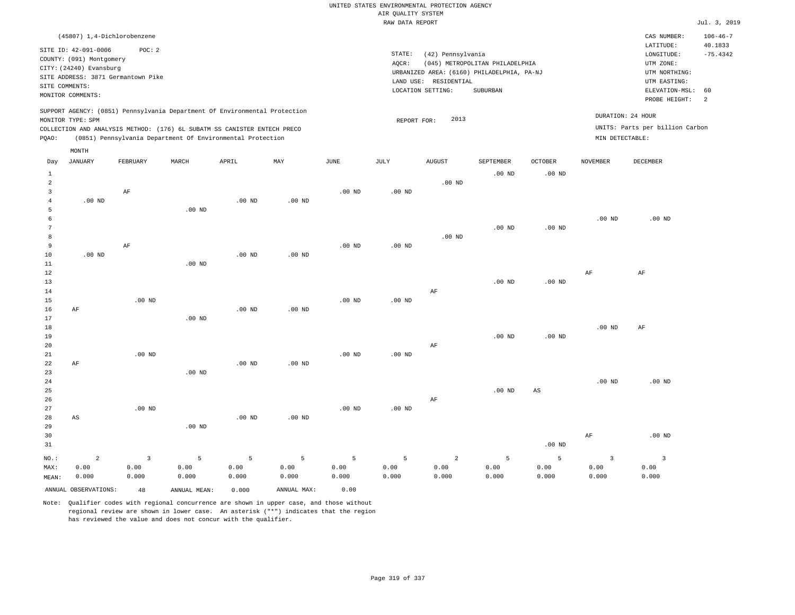|                |                                                     | (45807) 1,4-Dichlorobenzene        |                                                                            |          |          |                   |             |                   |                                                                               |          |                 | CAS NUMBER:                     | $106 - 46 - 7$        |
|----------------|-----------------------------------------------------|------------------------------------|----------------------------------------------------------------------------|----------|----------|-------------------|-------------|-------------------|-------------------------------------------------------------------------------|----------|-----------------|---------------------------------|-----------------------|
|                | SITE ID: 42-091-0006                                | POC: 2                             |                                                                            |          |          |                   | STATE:      | (42) Pennsylvania |                                                                               |          |                 | LATITUDE:<br>LONGITUDE:         | 40.1833<br>$-75.4342$ |
|                | COUNTY: (091) Montgomery<br>CITY: (24240) Evansburg |                                    |                                                                            |          |          |                   | AQCR:       |                   | (045) METROPOLITAN PHILADELPHIA<br>URBANIZED AREA: (6160) PHILADELPHIA, PA-NJ |          |                 | UTM ZONE:<br>UTM NORTHING:      |                       |
|                | SITE COMMENTS:                                      | SITE ADDRESS: 3871 Germantown Pike |                                                                            |          |          |                   | LAND USE:   | RESIDENTIAL       |                                                                               |          |                 | UTM EASTING:                    |                       |
|                | MONITOR COMMENTS:                                   |                                    |                                                                            |          |          |                   |             | LOCATION SETTING: | SUBURBAN                                                                      |          |                 | ELEVATION-MSL:<br>PROBE HEIGHT: | 60<br>-2              |
|                | MONITOR TYPE: SPM                                   |                                    | SUPPORT AGENCY: (0851) Pennsylvania Department Of Environmental Protection |          |          |                   | REPORT FOR: | 2013              |                                                                               |          |                 | DURATION: 24 HOUR               |                       |
|                |                                                     |                                    | COLLECTION AND ANALYSIS METHOD: (176) 6L SUBATM SS CANISTER ENTECH PRECO   |          |          |                   |             |                   |                                                                               |          |                 | UNITS: Parts per billion Carbon |                       |
| POAO:          |                                                     |                                    | (0851) Pennsylvania Department Of Environmental Protection                 |          |          |                   |             |                   |                                                                               |          | MIN DETECTABLE: |                                 |                       |
|                | MONTH                                               |                                    |                                                                            |          |          |                   |             |                   |                                                                               |          |                 |                                 |                       |
| Day            | <b>JANUARY</b>                                      | FEBRUARY                           | MARCH                                                                      | APRIL    | MAY      | JUNE              | JULY        | <b>AUGUST</b>     | SEPTEMBER                                                                     | OCTOBER  | <b>NOVEMBER</b> | DECEMBER                        |                       |
| 1              |                                                     |                                    |                                                                            |          |          |                   |             |                   | $.00$ ND                                                                      | $.00$ ND |                 |                                 |                       |
| $\overline{2}$ |                                                     |                                    |                                                                            |          |          |                   |             | $.00$ ND          |                                                                               |          |                 |                                 |                       |
| $\mathbf{R}$   |                                                     | AF                                 |                                                                            |          |          | .00 <sub>ND</sub> | $.00$ ND    |                   |                                                                               |          |                 |                                 |                       |
|                | $.00$ ND                                            |                                    |                                                                            | $.00$ ND | $.00$ ND |                   |             |                   |                                                                               |          |                 |                                 |                       |
|                |                                                     |                                    | $00 \text{ N}$                                                             |          |          |                   |             |                   |                                                                               |          |                 |                                 |                       |

|              |                   | $.00$ ND |          |                   |          |          |          |          |          |          |
|--------------|-------------------|----------|----------|-------------------|----------|----------|----------|----------|----------|----------|
| - 6          |                   |          |          |                   |          |          |          |          | $.00$ ND | $.00$ ND |
| $\mathbf{a}$ |                   |          |          |                   |          |          | $.00$ ND | $.00$ ND |          |          |
| 8            |                   |          |          |                   |          | $.00$ ND |          |          |          |          |
| -9           | AF                |          |          | .00 <sub>ND</sub> | $.00$ ND |          |          |          |          |          |
| 10           | .00 <sub>ND</sub> | $.00$ ND | $.00$ ND |                   |          |          |          |          |          |          |

| $ -$   |    |          |          |          | $\cdots$ |          |          |    |          |          |          |          |
|--------|----|----------|----------|----------|----------|----------|----------|----|----------|----------|----------|----------|
| 11     |    |          | $.00$ ND |          |          |          |          |    |          |          |          |          |
| 12     |    |          |          |          |          |          |          |    |          |          | AF       | AF       |
| $13$   |    |          |          |          |          |          |          |    | $.00$ ND | $.00$ ND |          |          |
| 14     |    |          |          |          |          |          |          | AF |          |          |          |          |
| 15     |    | $.00$ ND |          |          |          | $.00$ ND | $.00$ ND |    |          |          |          |          |
| 16     | AF |          |          | $.00$ ND | $.00$ ND |          |          |    |          |          |          |          |
| 17     |    |          | $.00$ ND |          |          |          |          |    |          |          |          |          |
| $18\,$ |    |          |          |          |          |          |          |    |          |          | $.00$ ND | AF       |
| 19     |    |          |          |          |          |          |          |    | $.00$ ND | $.00$ ND |          |          |
| 20     |    |          |          |          |          |          |          | AF |          |          |          |          |
| 21     |    | $.00$ ND |          |          |          | $.00$ ND | $.00$ ND |    |          |          |          |          |
| 22     | AF |          |          | $.00$ ND | $.00$ ND |          |          |    |          |          |          |          |
| 23     |    |          | .00 $ND$ |          |          |          |          |    |          |          |          |          |
| 24     |    |          |          |          |          |          |          |    |          |          | $.00$ ND | $.00$ ND |
| 25     |    |          |          |          |          |          |          |    | $.00$ ND | AS       |          |          |
| 26     |    |          |          |          |          |          |          | AF |          |          |          |          |
| 27     |    | $.00$ ND |          |          |          | $.00$ ND | $.00$ ND |    |          |          |          |          |

| 29    |                |                         | $.00$ ND |       |         |       |       |          |       |          |       |                   |
|-------|----------------|-------------------------|----------|-------|---------|-------|-------|----------|-------|----------|-------|-------------------|
| 30    |                |                         |          |       |         |       |       |          |       |          | AF    | .00 <sub>ND</sub> |
| 31    |                |                         |          |       |         |       |       |          |       | $.00$ ND |       |                   |
| NO.:  | $\overline{2}$ | $\overline{\mathbf{3}}$ | 5        | $-5$  | $5 - 5$ | $-5$  | 5     | $\sim$ 2 | 5     | 5        |       |                   |
| MAX:  | 0.00           | 0.00                    | 0.00     | 0.00  | 0.00    | 0.00  | 0.00  | 0.00     | 0.00  | 0.00     | 0.00  | 0.00              |
| MEAN: | 0.000          | 0.000                   | 0.000    | 0.000 | 0.000   | 0.000 | 0.000 | 0.000    | 0.000 | 0.000    | 0.000 | 0.000             |
|       |                |                         |          |       |         |       |       |          |       |          |       |                   |

ANNUAL OBSERVATIONS: 48 ANNUAL MEAN: 0.000 ANNUAL MAX: 0.00

28

AS

Note: Qualifier codes with regional concurrence are shown in upper case, and those without regional review are shown in lower case. An asterisk ("\*") indicates that the region has reviewed the value and does not concur with the qualifier.

.00 ND

.00 ND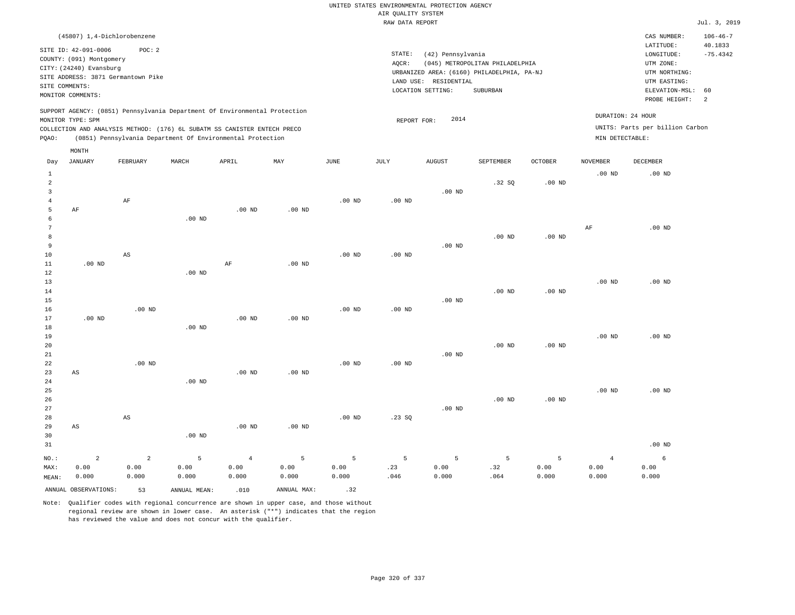| (45807) 1,4-Dichlorobenzene                                                                                                                                                                                                                                 |                                                                                                                                                                                    | CAS NUMBER:                                                                                                 | $106 - 46 - 7$                                      |
|-------------------------------------------------------------------------------------------------------------------------------------------------------------------------------------------------------------------------------------------------------------|------------------------------------------------------------------------------------------------------------------------------------------------------------------------------------|-------------------------------------------------------------------------------------------------------------|-----------------------------------------------------|
| SITE ID: 42-091-0006<br>POC:2<br>COUNTY: (091) Montgomery<br>CITY: (24240) Evansburg<br>SITE ADDRESS: 3871 Germantown Pike<br>SITE COMMENTS:<br>MONITOR COMMENTS:                                                                                           | STATE:<br>(42) Pennsylvania<br>(045) METROPOLITAN PHILADELPHIA<br>AOCR:<br>URBANIZED AREA: (6160) PHILADELPHIA, PA-NJ<br>RESIDENTIAL<br>LAND USE:<br>LOCATION SETTING:<br>SUBURBAN | LATITUDE:<br>LONGITUDE:<br>UTM ZONE:<br>UTM NORTHING:<br>UTM EASTING:<br>ELEVATION-MSL: 60<br>PROBE HEIGHT: | 40.1833<br>$-75.4342$<br>$\overline{\phantom{0}}$ 2 |
| SUPPORT AGENCY: (0851) Pennsylvania Department Of Environmental Protection<br>MONITOR TYPE: SPM<br>COLLECTION AND ANALYSIS METHOD: (176) 6L SUBATM SS CANISTER ENTECH PRECO<br>(0851) Pennsylvania Department Of Environmental Protection<br>POAO:<br>MONTH | 2014<br>REPORT FOR:                                                                                                                                                                | DURATION: 24 HOUR<br>UNITS: Parts per billion Carbon<br>MIN DETECTABLE:                                     |                                                     |

| Day            | <b>JANUARY</b>         | FEBRUARY       | $\tt MARCH$  | APRIL          | MAY         | $_{\rm JUNE}$ | $_{\rm JULY}$ | AUGUST   | SEPTEMBER | OCTOBER  | NOVEMBER          | DECEMBER |
|----------------|------------------------|----------------|--------------|----------------|-------------|---------------|---------------|----------|-----------|----------|-------------------|----------|
| $\mathbf{1}$   |                        |                |              |                |             |               |               |          |           |          | .00 <sub>ND</sub> | $.00$ ND |
| $\overline{a}$ |                        |                |              |                |             |               |               |          | .32SQ     | $.00$ ND |                   |          |
| 3              |                        |                |              |                |             |               |               | $.00$ ND |           |          |                   |          |
| 4              |                        | $\rm AF$       |              |                |             | $.00$ ND      | $.00$ ND      |          |           |          |                   |          |
| 5              | $\rm AF$               |                |              | $.00$ ND       | $.00$ ND    |               |               |          |           |          |                   |          |
| 6              |                        |                | $.00$ ND     |                |             |               |               |          |           |          |                   |          |
| $\overline{7}$ |                        |                |              |                |             |               |               |          |           |          | $\rm AF$          | $.00$ ND |
| 8              |                        |                |              |                |             |               |               |          | $.00$ ND  | $.00$ ND |                   |          |
| 9              |                        |                |              |                |             |               |               | $.00$ ND |           |          |                   |          |
| 10             |                        | AS             |              |                |             | $.00$ ND      | $.00$ ND      |          |           |          |                   |          |
| 11             | $.00$ ND               |                |              | $\rm{AF}$      | $.00$ ND    |               |               |          |           |          |                   |          |
| 12             |                        |                | $.00$ ND     |                |             |               |               |          |           |          |                   |          |
| 13<br>14       |                        |                |              |                |             |               |               |          | $.00$ ND  | $.00$ ND | $.00$ ND          | $.00$ ND |
| 15             |                        |                |              |                |             |               |               | $.00$ ND |           |          |                   |          |
| 16             |                        | $.00$ ND       |              |                |             | $.00$ ND      | $.00$ ND      |          |           |          |                   |          |
| 17             | $.00$ ND               |                |              | $.00$ ND       | $.00$ ND    |               |               |          |           |          |                   |          |
| 18             |                        |                | $.00$ ND     |                |             |               |               |          |           |          |                   |          |
| 19             |                        |                |              |                |             |               |               |          |           |          | $.00$ ND          | $.00$ ND |
| 20             |                        |                |              |                |             |               |               |          | $.00$ ND  | $.00$ ND |                   |          |
| 21             |                        |                |              |                |             |               |               | $.00$ ND |           |          |                   |          |
| $2\sqrt{2}$    |                        | $.00$ ND       |              |                |             | $.00$ ND      | $.00$ ND      |          |           |          |                   |          |
| 23             | $\mathbb{A}\mathbb{S}$ |                |              | $.00$ ND       | $.00$ ND    |               |               |          |           |          |                   |          |
| $2\sqrt{4}$    |                        |                | $.00$ ND     |                |             |               |               |          |           |          |                   |          |
| 25             |                        |                |              |                |             |               |               |          |           |          | $.00$ ND          | $.00$ ND |
| $26\,$         |                        |                |              |                |             |               |               |          | $.00$ ND  | $.00$ ND |                   |          |
| $2\,7$         |                        |                |              |                |             |               |               | $.00$ ND |           |          |                   |          |
| 28             |                        | AS             |              |                |             | $.00$ ND      | .23SQ         |          |           |          |                   |          |
| 29             | $\mathbb{A}\mathbb{S}$ |                |              | $.00$ ND       | $.00$ ND    |               |               |          |           |          |                   |          |
| 30             |                        |                | .00 $ND$     |                |             |               |               |          |           |          |                   |          |
| 31             |                        |                |              |                |             |               |               |          |           |          |                   | $.00$ ND |
| $NO.$ :        | $\overline{2}$         | $\overline{a}$ | 5            | $\overline{4}$ | 5           | 5             | 5             | 5        | 5         | 5        | $\overline{4}$    | 6        |
| MAX:           | 0.00                   | 0.00           | 0.00         | 0.00           | 0.00        | 0.00          | .23           | 0.00     | .32       | 0.00     | 0.00              | 0.00     |
| MEAN:          | 0.000                  | 0.000          | 0.000        | 0.000          | 0.000       | 0.000         | .046          | 0.000    | .064      | 0.000    | 0.000             | 0.000    |
|                | ANNUAL OBSERVATIONS:   | 53             | ANNUAL MEAN: | .010           | ANNUAL MAX: | .32           |               |          |           |          |                   |          |

Note: Qualifier codes with regional concurrence are shown in upper case, and those without

regional review are shown in lower case. An asterisk ("\*") indicates that the region

has reviewed the value and does not concur with the qualifier.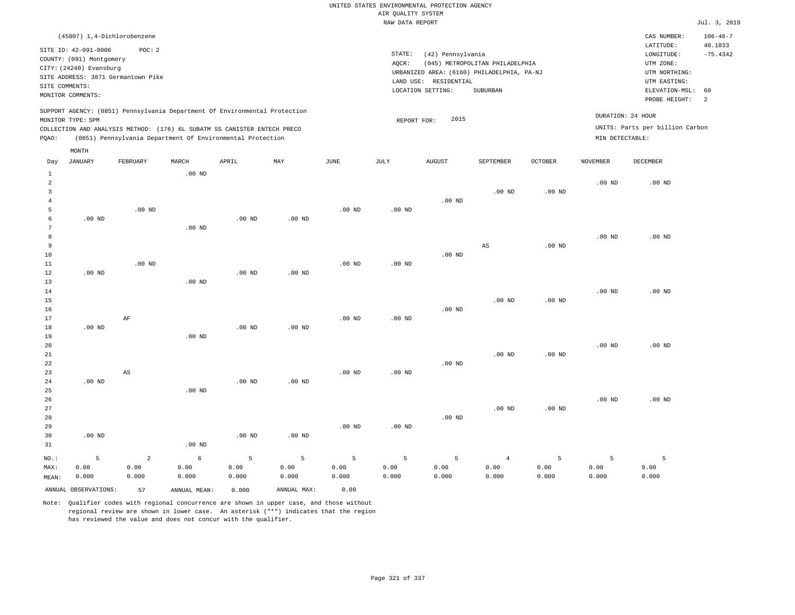|       |                                                                                                                    | (45807) 1,4-Dichlorobenzene                                                                                                            |          |       |                                                                            |      |                 |                                                                                                               |                                             |                |                 | CAS NUMBER:                                                                                                                          | $106 - 46 - 7$ |  |  |
|-------|--------------------------------------------------------------------------------------------------------------------|----------------------------------------------------------------------------------------------------------------------------------------|----------|-------|----------------------------------------------------------------------------|------|-----------------|---------------------------------------------------------------------------------------------------------------|---------------------------------------------|----------------|-----------------|--------------------------------------------------------------------------------------------------------------------------------------|----------------|--|--|
|       | SITE ID: 42-091-0006<br>COUNTY: (091) Montgomery<br>CITY: (24240) Evansburg<br>SITE COMMENTS:<br>MONITOR COMMENTS: | POC:2<br>SITE ADDRESS: 3871 Germantown Pike                                                                                            |          |       |                                                                            |      | STATE:<br>AQCR: | (42) Pennsylvania<br>URBANIZED AREA: (6160) PHILADELPHIA, PA-NJ<br>LAND USE: RESIDENTIAL<br>LOCATION SETTING: | (045) METROPOLITAN PHILADELPHIA<br>SUBURBAN |                |                 | 40.1833<br>LATITUDE:<br>$-75.4342$<br>LONGITUDE:<br>UTM ZONE:<br>UTM NORTHING:<br>UTM EASTING:<br>ELEVATION-MSL: 60<br>PROBE HEIGHT: |                |  |  |
| POAO: | MONITOR TYPE: SPM                                                                                                  | COLLECTION AND ANALYSIS METHOD: (176) 6L SUBATM SS CANISTER ENTECH PRECO<br>(0851) Pennsylvania Department Of Environmental Protection |          |       | SUPPORT AGENCY: (0851) Pennsylvania Department Of Environmental Protection |      |                 | 2015<br>REPORT FOR:                                                                                           |                                             |                | MIN DETECTABLE: | DURATION: 24 HOUR<br>UNITS: Parts per billion Carbon                                                                                 | - 2            |  |  |
|       | MONTH                                                                                                              |                                                                                                                                        |          |       |                                                                            |      |                 |                                                                                                               |                                             |                |                 |                                                                                                                                      |                |  |  |
| Day   | JANUARY                                                                                                            | FEBRUARY                                                                                                                               | MARCH    | APRIL | MAY                                                                        | JUNE | JULY            | <b>AUGUST</b>                                                                                                 | SEPTEMBER                                   | <b>OCTOBER</b> | NOVEMBER        | DECEMBER                                                                                                                             |                |  |  |
|       |                                                                                                                    |                                                                                                                                        | $.00$ ND |       |                                                                            |      |                 |                                                                                                               | $.00$ ND                                    | $.00$ ND       | $.00$ ND        | $.00$ ND                                                                                                                             |                |  |  |
|       |                                                                                                                    |                                                                                                                                        |          |       |                                                                            |      |                 | $.00$ ND                                                                                                      |                                             |                |                 |                                                                                                                                      |                |  |  |

| 5       |                | $.00$ ND       |          |          |          | $.00$ ND | .00 $ND$ |          |                        |                   |          |          |
|---------|----------------|----------------|----------|----------|----------|----------|----------|----------|------------------------|-------------------|----------|----------|
| 6       | .00 $ND$       |                |          | $.00$ ND | $.00$ ND |          |          |          |                        |                   |          |          |
| 7       |                |                | $.00$ ND |          |          |          |          |          |                        |                   |          |          |
| 8       |                |                |          |          |          |          |          |          |                        |                   | .00 $ND$ | $.00$ ND |
| 9       |                |                |          |          |          |          |          |          | $\mathbb{A}\mathbb{S}$ | .00 <sub>ND</sub> |          |          |
| 10      |                |                |          |          |          |          |          | $.00$ ND |                        |                   |          |          |
| $11\,$  |                | $.00$ ND       |          |          |          | $.00$ ND | .00 $ND$ |          |                        |                   |          |          |
| 12      | $.00$ ND       |                |          | .00 $ND$ | $.00$ ND |          |          |          |                        |                   |          |          |
| 13      |                |                | $.00$ ND |          |          |          |          |          |                        |                   |          |          |
| 14      |                |                |          |          |          |          |          |          |                        |                   | $.00$ ND | $.00$ ND |
| 15      |                |                |          |          |          |          |          |          | .00 <sub>ND</sub>      | .00 <sub>ND</sub> |          |          |
| 16      |                |                |          |          |          |          |          | $.00$ ND |                        |                   |          |          |
| 17      |                | $\rm AF$       |          |          |          | $.00$ ND | $.00$ ND |          |                        |                   |          |          |
| 18      | $.00$ ND       |                |          | .00 $ND$ | $.00$ ND |          |          |          |                        |                   |          |          |
| 19      |                |                | $.00$ ND |          |          |          |          |          |                        |                   |          |          |
| 20      |                |                |          |          |          |          |          |          |                        |                   | $.00$ ND | $.00$ ND |
| 21      |                |                |          |          |          |          |          |          | .00 <sub>ND</sub>      | $.00$ ND          |          |          |
| 22      |                |                |          |          |          |          |          | $.00$ ND |                        |                   |          |          |
| 23      |                | $_{\rm AS}$    |          |          |          | $.00$ ND | $.00$ ND |          |                        |                   |          |          |
| 24      | .00 $ND$       |                |          | $.00$ ND | .00 $ND$ |          |          |          |                        |                   |          |          |
| 25      |                |                | $.00$ ND |          |          |          |          |          |                        |                   |          |          |
| 26      |                |                |          |          |          |          |          |          |                        |                   | $.00$ ND | $.00$ ND |
| $2\,7$  |                |                |          |          |          |          |          |          | $.00$ ND               | $.00$ ND          |          |          |
| 28      |                |                |          |          |          |          |          | .00 $ND$ |                        |                   |          |          |
| 29      |                |                |          |          |          | $.00$ ND | $.00$ ND |          |                        |                   |          |          |
| 30      | $.00$ ND       |                |          | .00 $ND$ | $.00$ ND |          |          |          |                        |                   |          |          |
| 31      |                |                | $.00$ ND |          |          |          |          |          |                        |                   |          |          |
| $NO.$ : | $\overline{5}$ | $\overline{a}$ | 6        | 5        | 5        | 5        | 5        | 5        | $\overline{4}$         | 5                 | 5        | 5        |
| MAX:    | 0.00           | 0.00           | 0.00     | 0.00     | 0.00     | 0.00     | 0.00     | 0.00     | 0.00                   | 0.00              | 0.00     | 0.00     |
| MEAN:   | 0.000          | 0.000          | 0.000    | 0.000    | 0.000    | 0.000    | 0.000    | 0.000    | 0.000                  | 0.000             | 0.000    | 0.000    |

Note: Qualifier codes with regional concurrence are shown in upper case, and those without regional review are shown in lower case. An asterisk ("\*") indicates that the region has reviewed the value and does not concur with the qualifier.

ANNUAL OBSERVATIONS: 57 ANNUAL MEAN: 0.000 ANNUAL MAX: 0.00

MEAN: 0.000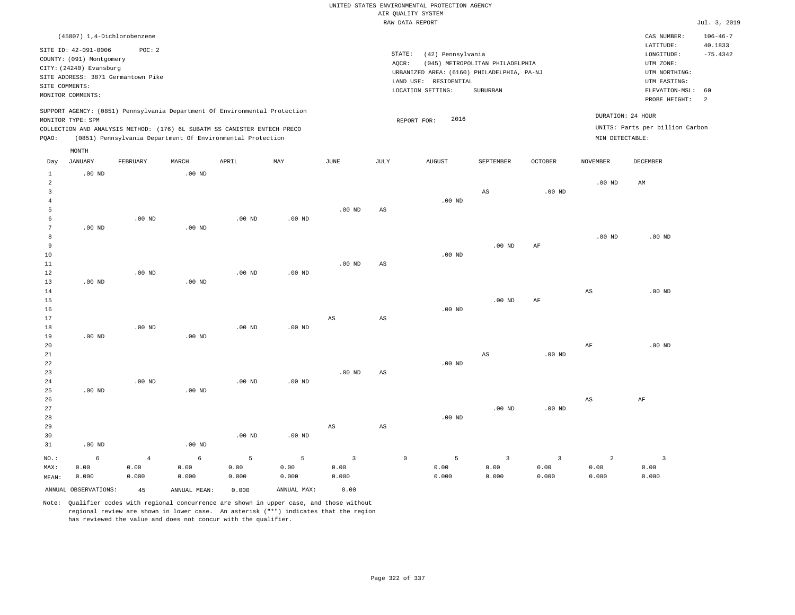|                | (45807) 1,4-Dichlorobenzene                      |                |                                                                            |                   |                   |                         |                                            |                                      |                                 |                         |                   | CAS NUMBER:                          | $106 - 46 - 7$        |
|----------------|--------------------------------------------------|----------------|----------------------------------------------------------------------------|-------------------|-------------------|-------------------------|--------------------------------------------|--------------------------------------|---------------------------------|-------------------------|-------------------|--------------------------------------|-----------------------|
|                | SITE ID: 42-091-0006<br>COUNTY: (091) Montgomery | POC: 2         |                                                                            |                   |                   |                         |                                            | STATE:<br>(42) Pennsylvania<br>AQCR: | (045) METROPOLITAN PHILADELPHIA |                         |                   | LATITUDE:<br>LONGITUDE:<br>UTM ZONE: | 40.1833<br>$-75.4342$ |
|                | CITY: (24240) Evansburg                          |                |                                                                            |                   |                   |                         | URBANIZED AREA: (6160) PHILADELPHIA, PA-NJ | UTM NORTHING:                        |                                 |                         |                   |                                      |                       |
|                | SITE ADDRESS: 3871 Germantown Pike               |                |                                                                            |                   |                   |                         | LAND USE:                                  | UTM EASTING:                         |                                 |                         |                   |                                      |                       |
| SITE COMMENTS: | MONITOR COMMENTS:                                |                |                                                                            |                   |                   |                         |                                            | LOCATION SETTING:                    | SUBURBAN                        |                         |                   | ELEVATION-MSL:                       | 60                    |
|                |                                                  |                |                                                                            |                   |                   |                         |                                            |                                      |                                 |                         |                   | PROBE HEIGHT:                        | $\overline{a}$        |
|                | MONITOR TYPE: SPM                                |                | SUPPORT AGENCY: (0851) Pennsylvania Department Of Environmental Protection |                   |                   |                         |                                            | 2016<br>REPORT FOR:                  |                                 |                         | DURATION: 24 HOUR |                                      |                       |
|                |                                                  |                | COLLECTION AND ANALYSIS METHOD: (176) 6L SUBATM SS CANISTER ENTECH PRECO   |                   |                   |                         |                                            |                                      |                                 |                         |                   | UNITS: Parts per billion Carbon      |                       |
| PQAO:          |                                                  |                | (0851) Pennsylvania Department Of Environmental Protection                 |                   |                   |                         |                                            |                                      |                                 |                         | MIN DETECTABLE:   |                                      |                       |
|                | MONTH                                            |                |                                                                            |                   |                   |                         |                                            |                                      |                                 |                         |                   |                                      |                       |
| Day            | JANUARY                                          | FEBRUARY       | MARCH                                                                      | APRIL             | MAY               | JUNE                    | JULY                                       | <b>AUGUST</b>                        | SEPTEMBER                       | OCTOBER                 | NOVEMBER          | DECEMBER                             |                       |
| $\mathbf{1}$   | $.00$ ND                                         |                | .00 <sub>ND</sub>                                                          |                   |                   |                         |                                            |                                      |                                 |                         |                   |                                      |                       |
| $\overline{a}$ |                                                  |                |                                                                            |                   |                   |                         |                                            |                                      |                                 |                         | $.00$ ND          | AM                                   |                       |
| $\mathbf{3}$   |                                                  |                |                                                                            |                   |                   |                         |                                            |                                      | $\mathbb{A}\mathbb{S}$          | $.00$ ND                |                   |                                      |                       |
| $\overline{4}$ |                                                  |                |                                                                            |                   |                   |                         |                                            | $.00$ ND                             |                                 |                         |                   |                                      |                       |
| 5              |                                                  |                |                                                                            |                   |                   | $.00$ ND                | AS                                         |                                      |                                 |                         |                   |                                      |                       |
| 6              |                                                  | $.00$ ND       |                                                                            | $.00$ ND          | .00 <sub>ND</sub> |                         |                                            |                                      |                                 |                         |                   |                                      |                       |
| $\overline{7}$ | $.00$ ND                                         |                | .00 <sub>ND</sub>                                                          |                   |                   |                         |                                            |                                      |                                 |                         |                   |                                      |                       |
| 8              |                                                  |                |                                                                            |                   |                   |                         |                                            |                                      |                                 |                         | $.00$ ND          | $.00$ ND                             |                       |
| 9<br>10        |                                                  |                |                                                                            |                   |                   |                         |                                            | $.00$ ND                             | $.00$ ND                        | AF                      |                   |                                      |                       |
| 11             |                                                  |                |                                                                            |                   |                   | $.00$ ND                | $\mathbb{A}\mathbb{S}$                     |                                      |                                 |                         |                   |                                      |                       |
| 12             |                                                  | $.00$ ND       |                                                                            | $.00$ ND          | $.00$ ND          |                         |                                            |                                      |                                 |                         |                   |                                      |                       |
| 13             | .00 <sub>ND</sub>                                |                | .00 <sub>ND</sub>                                                          |                   |                   |                         |                                            |                                      |                                 |                         |                   |                                      |                       |
| 14             |                                                  |                |                                                                            |                   |                   |                         |                                            |                                      |                                 |                         | $_{\rm AS}$       | $.00$ ND                             |                       |
| 15             |                                                  |                |                                                                            |                   |                   |                         |                                            |                                      | .00 <sub>ND</sub>               | AF                      |                   |                                      |                       |
| 16             |                                                  |                |                                                                            |                   |                   |                         |                                            | $.00$ ND                             |                                 |                         |                   |                                      |                       |
| 17             |                                                  |                |                                                                            |                   |                   | $_{\rm AS}$             | $\mathbb{A}\mathbb{S}$                     |                                      |                                 |                         |                   |                                      |                       |
| $18\,$         |                                                  | $.00$ ND       |                                                                            | .00 <sub>ND</sub> | $.00$ ND          |                         |                                            |                                      |                                 |                         |                   |                                      |                       |
| 19             | $.00$ ND                                         |                | .00 <sub>ND</sub>                                                          |                   |                   |                         |                                            |                                      |                                 |                         |                   |                                      |                       |
| 20             |                                                  |                |                                                                            |                   |                   |                         |                                            |                                      |                                 |                         | AF                | .00 <sub>ND</sub>                    |                       |
| 21             |                                                  |                |                                                                            |                   |                   |                         |                                            |                                      | AS                              | $.00$ ND                |                   |                                      |                       |
| 22             |                                                  |                |                                                                            |                   |                   |                         |                                            | .00 <sub>ND</sub>                    |                                 |                         |                   |                                      |                       |
| 23<br>24       |                                                  | $.00$ ND       |                                                                            | $.00$ ND          | $.00$ ND          | .00 <sub>ND</sub>       | $\mathbb{A}\mathbb{S}$                     |                                      |                                 |                         |                   |                                      |                       |
| 25             | $.00$ ND                                         |                | $.00$ ND                                                                   |                   |                   |                         |                                            |                                      |                                 |                         |                   |                                      |                       |
| 26             |                                                  |                |                                                                            |                   |                   |                         |                                            |                                      |                                 |                         | AS                | AF                                   |                       |
| 27             |                                                  |                |                                                                            |                   |                   |                         |                                            |                                      | $.00$ ND                        | $.00$ ND                |                   |                                      |                       |
| 28             |                                                  |                |                                                                            |                   |                   |                         |                                            | $.00$ ND                             |                                 |                         |                   |                                      |                       |
| 29             |                                                  |                |                                                                            |                   |                   | $_{\rm AS}$             | $\mathbb{A}\mathbb{S}$                     |                                      |                                 |                         |                   |                                      |                       |
| 30             |                                                  |                |                                                                            | $.00$ ND          | $.00$ ND          |                         |                                            |                                      |                                 |                         |                   |                                      |                       |
| 31             | $.00$ ND                                         |                | .00 <sub>ND</sub>                                                          |                   |                   |                         |                                            |                                      |                                 |                         |                   |                                      |                       |
| NO.:           | 6                                                | $\overline{4}$ | $\epsilon$                                                                 | 5                 | 5                 | $\overline{\mathbf{3}}$ |                                            | $\mathbb O$<br>$\overline{5}$        | $\overline{\mathbf{3}}$         | $\overline{\mathbf{3}}$ | $\overline{a}$    | $\overline{\mathbf{3}}$              |                       |
| MAX:           | 0.00                                             | 0.00           | 0.00                                                                       | 0.00              | 0.00              | 0.00                    |                                            | 0.00                                 | 0.00                            | 0.00                    | 0.00              | 0.00                                 |                       |
| MEAN:          | 0.000                                            | 0.000          | 0.000                                                                      | 0.000             | 0.000             | 0.000                   |                                            | 0.000                                | 0.000                           | 0.000                   | 0.000             | 0.000                                |                       |
|                |                                                  |                |                                                                            |                   |                   |                         |                                            |                                      |                                 |                         |                   |                                      |                       |
|                | ANNUAL OBSERVATIONS:                             | 45             | ANNUAL MEAN:                                                               | 0.000             | ANNUAL MAX:       | 0.00                    |                                            |                                      |                                 |                         |                   |                                      |                       |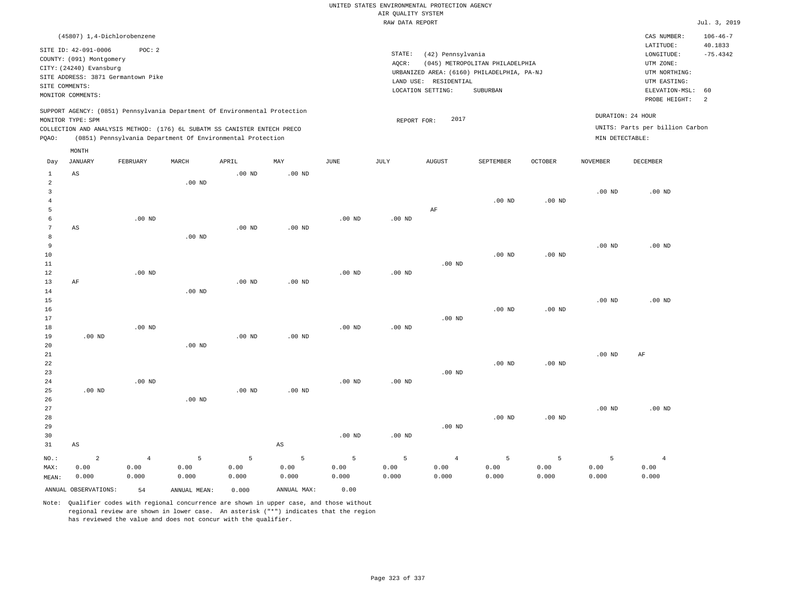|                                                             |                                                                                                                                 |                                              |                    |                                                                                                                                        |                        |                    | AIR QUALITY SYSTEM<br>RAW DATA REPORT | UNITED STATES ENVIRONMENTAL PROTECTION AGENCY                   |                                                                                           |                    |                    |                                                                                                          | Jul. 3, 2019                     |
|-------------------------------------------------------------|---------------------------------------------------------------------------------------------------------------------------------|----------------------------------------------|--------------------|----------------------------------------------------------------------------------------------------------------------------------------|------------------------|--------------------|---------------------------------------|-----------------------------------------------------------------|-------------------------------------------------------------------------------------------|--------------------|--------------------|----------------------------------------------------------------------------------------------------------|----------------------------------|
|                                                             |                                                                                                                                 |                                              |                    |                                                                                                                                        |                        |                    |                                       |                                                                 |                                                                                           |                    |                    | CAS NUMBER:                                                                                              | $106 - 46 - 7$                   |
| SITE COMMENTS:                                              | (45807) 1,4-Dichlorobenzene<br>SITE ID: 42-091-0006<br>COUNTY: (091) Montgomery<br>CITY: (24240) Evansburg<br>MONITOR COMMENTS: | POC: 2<br>SITE ADDRESS: 3871 Germantown Pike |                    |                                                                                                                                        |                        |                    | STATE:<br>AQCR:                       | (42) Pennsylvania<br>LAND USE: RESIDENTIAL<br>LOCATION SETTING: | (045) METROPOLITAN PHILADELPHIA<br>URBANIZED AREA: (6160) PHILADELPHIA, PA-NJ<br>SUBURBAN |                    |                    | LATITUDE:<br>LONGITUDE:<br>UTM ZONE:<br>UTM NORTHING:<br>UTM EASTING:<br>ELEVATION-MSL:<br>PROBE HEIGHT: | 40.1833<br>$-75.4342$<br>60<br>2 |
|                                                             |                                                                                                                                 |                                              |                    | SUPPORT AGENCY: (0851) Pennsylvania Department Of Environmental Protection                                                             |                        |                    |                                       |                                                                 |                                                                                           |                    | DURATION: 24 HOUR  |                                                                                                          |                                  |
|                                                             | MONITOR TYPE: SPM                                                                                                               |                                              |                    |                                                                                                                                        |                        |                    | REPORT FOR:                           | 2017                                                            |                                                                                           |                    |                    | UNITS: Parts per billion Carbon                                                                          |                                  |
| PQAO:                                                       |                                                                                                                                 |                                              |                    | COLLECTION AND ANALYSIS METHOD: (176) 6L SUBATM SS CANISTER ENTECH PRECO<br>(0851) Pennsylvania Department Of Environmental Protection |                        |                    |                                       |                                                                 |                                                                                           |                    | MIN DETECTABLE:    |                                                                                                          |                                  |
|                                                             | MONTH                                                                                                                           |                                              |                    |                                                                                                                                        |                        |                    |                                       |                                                                 |                                                                                           |                    |                    |                                                                                                          |                                  |
| Day                                                         | <b>JANUARY</b>                                                                                                                  | FEBRUARY                                     | MARCH              | APRIL                                                                                                                                  | MAY                    | $_{\rm JUNE}$      | JULY                                  | ${\tt AUGUST}$                                                  | SEPTEMBER                                                                                 | <b>OCTOBER</b>     | <b>NOVEMBER</b>    | <b>DECEMBER</b>                                                                                          |                                  |
| 1                                                           | AS                                                                                                                              |                                              |                    | .00 <sub>ND</sub>                                                                                                                      | $.00$ ND               |                    |                                       |                                                                 |                                                                                           |                    |                    |                                                                                                          |                                  |
| $\overline{a}$<br>$\overline{\mathbf{3}}$<br>$\overline{4}$ |                                                                                                                                 |                                              | $.00$ ND           |                                                                                                                                        |                        |                    |                                       |                                                                 | $.00$ ND                                                                                  | $.00$ ND           | $.00$ ND           | $.00$ ND                                                                                                 |                                  |
| 5                                                           |                                                                                                                                 |                                              |                    |                                                                                                                                        |                        |                    |                                       | AF                                                              |                                                                                           |                    |                    |                                                                                                          |                                  |
| 6<br>$7\phantom{.0}$<br>8                                   | AS                                                                                                                              | $.00$ ND                                     | $.00$ ND           | .00 <sub>ND</sub>                                                                                                                      | $.00$ ND               | $.00$ ND           | $.00$ ND                              |                                                                 |                                                                                           |                    |                    |                                                                                                          |                                  |
| 9<br>$10$<br>$1\,1$                                         |                                                                                                                                 |                                              |                    |                                                                                                                                        |                        |                    |                                       | $.00$ ND                                                        | $.00$ ND                                                                                  | .00 <sub>ND</sub>  | .00 <sub>ND</sub>  | $.00$ ND                                                                                                 |                                  |
| 12<br>13<br>14                                              | AF                                                                                                                              | $.00$ ND                                     | .00 <sub>ND</sub>  | .00 <sub>ND</sub>                                                                                                                      | .00 <sub>ND</sub>      | $.00$ ND           | $.00$ ND                              |                                                                 |                                                                                           |                    |                    |                                                                                                          |                                  |
| 15<br>16<br>17                                              |                                                                                                                                 |                                              |                    |                                                                                                                                        |                        |                    |                                       | $.00$ ND                                                        | $.00$ ND                                                                                  | $.00$ ND           | .00 <sub>ND</sub>  | $.00$ ND                                                                                                 |                                  |
| 18<br>19<br>20                                              | $.00$ ND                                                                                                                        | $.00$ ND                                     | $.00$ ND           | $.00$ ND                                                                                                                               | $.00$ ND               | .00 <sub>ND</sub>  | .00 <sub>ND</sub>                     |                                                                 |                                                                                           |                    |                    |                                                                                                          |                                  |
| 21<br>22<br>23                                              |                                                                                                                                 | $.00$ ND                                     |                    |                                                                                                                                        |                        | $.00$ ND           |                                       | $.00$ ND                                                        | $.00$ ND                                                                                  | $.00$ ND           | $.00$ ND           | AF                                                                                                       |                                  |
| 24<br>25<br>26<br>27                                        | .00 <sub>ND</sub>                                                                                                               |                                              | $.00$ ND           | .00 <sub>ND</sub>                                                                                                                      | .00 <sub>ND</sub>      |                    | .00 <sub>ND</sub>                     |                                                                 |                                                                                           |                    | .00 <sub>ND</sub>  | $.00$ ND                                                                                                 |                                  |
| 28<br>29<br>30                                              |                                                                                                                                 |                                              |                    |                                                                                                                                        |                        | $.00$ ND           | $.00$ ND                              | $.00$ ND                                                        | $.00$ ND                                                                                  | $.00$ ND           |                    |                                                                                                          |                                  |
| 31                                                          | AS                                                                                                                              |                                              |                    |                                                                                                                                        | $\mathbb{A}\mathbb{S}$ |                    |                                       |                                                                 |                                                                                           |                    |                    |                                                                                                          |                                  |
| $NO.$ :<br>MAX:<br>MEAN:                                    | $\overline{\mathbf{c}}$<br>0.00<br>0.000                                                                                        | $\,4$<br>0.00<br>0.000                       | 5<br>0.00<br>0.000 | 5<br>0.00<br>0.000                                                                                                                     | 5<br>0.00<br>0.000     | 5<br>0.00<br>0.000 | 5<br>0.00<br>0.000                    | $\overline{4}$<br>0.00<br>0.000                                 | $\overline{5}$<br>0.00<br>0.000                                                           | 5<br>0.00<br>0.000 | 5<br>0.00<br>0.000 | $\overline{4}$<br>0.00<br>0.000                                                                          |                                  |
|                                                             | ANNUAL OBSERVATIONS:                                                                                                            | 54                                           | ANNUAL MEAN:       | 0.000                                                                                                                                  | ANNUAL MAX:            | 0.00               |                                       |                                                                 |                                                                                           |                    |                    |                                                                                                          |                                  |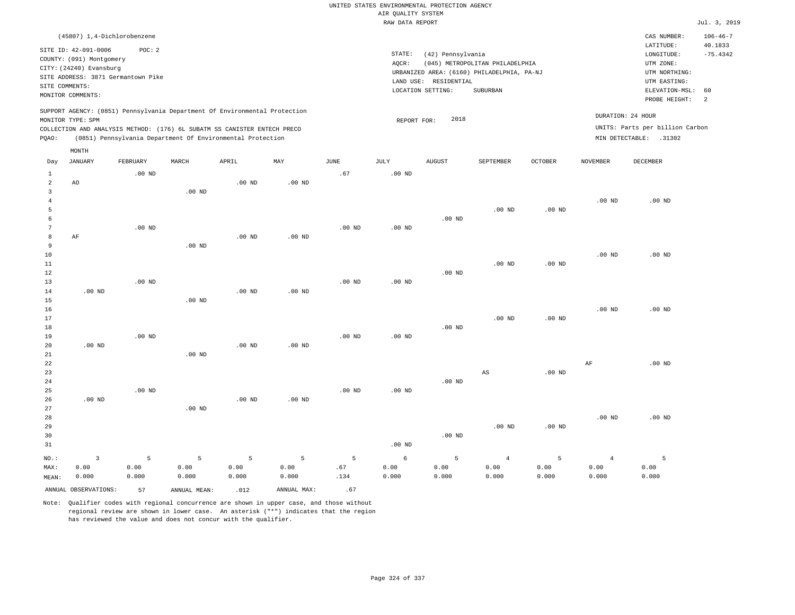|                     |                                                                                                 |                   |                                                            |          |                   |                   | UNITED STATES ENVIRONMENTAL PROTECTION AGENCY |                       |                                            |                   |                   |                                 |                           |
|---------------------|-------------------------------------------------------------------------------------------------|-------------------|------------------------------------------------------------|----------|-------------------|-------------------|-----------------------------------------------|-----------------------|--------------------------------------------|-------------------|-------------------|---------------------------------|---------------------------|
|                     |                                                                                                 |                   |                                                            |          |                   |                   | AIR QUALITY SYSTEM                            |                       |                                            |                   |                   |                                 |                           |
|                     |                                                                                                 |                   |                                                            |          |                   |                   | RAW DATA REPORT                               |                       |                                            |                   |                   |                                 | Jul. 3, 2019              |
|                     | (45807) 1,4-Dichlorobenzene                                                                     |                   |                                                            |          |                   |                   |                                               |                       |                                            |                   |                   | CAS NUMBER:<br>LATITUDE:        | $106 - 46 - 7$<br>40.1833 |
|                     | SITE ID: 42-091-0006                                                                            | POC: 2            |                                                            |          |                   |                   | STATE:                                        | (42) Pennsylvania     |                                            |                   |                   | LONGITUDE:                      | $-75.4342$                |
|                     | COUNTY: (091) Montgomery                                                                        |                   |                                                            |          |                   |                   | AOCR:                                         |                       | (045) METROPOLITAN PHILADELPHIA            |                   |                   | UTM ZONE:                       |                           |
|                     | CITY: (24240) Evansburg                                                                         |                   |                                                            |          |                   |                   |                                               |                       | URBANIZED AREA: (6160) PHILADELPHIA, PA-NJ |                   |                   | UTM NORTHING:                   |                           |
|                     | SITE ADDRESS: 3871 Germantown Pike                                                              |                   |                                                            |          |                   |                   |                                               | LAND USE: RESIDENTIAL |                                            |                   |                   | UTM EASTING:                    |                           |
|                     | SITE COMMENTS:<br>MONITOR COMMENTS:                                                             |                   |                                                            |          |                   |                   |                                               | LOCATION SETTING:     | <b>SUBURBAN</b>                            |                   |                   | ELEVATION-MSL:<br>PROBE HEIGHT: | 60<br>2                   |
|                     | SUPPORT AGENCY: (0851) Pennsylvania Department Of Environmental Protection<br>MONITOR TYPE: SPM |                   |                                                            |          |                   |                   |                                               | 2018                  |                                            |                   |                   | DURATION: 24 HOUR               |                           |
|                     | COLLECTION AND ANALYSIS METHOD: (176) 6L SUBATM SS CANISTER ENTECH PRECO                        |                   |                                                            |          |                   |                   | REPORT FOR:                                   |                       |                                            |                   |                   | UNITS: Parts per billion Carbon |                           |
| PQAO:               |                                                                                                 |                   | (0851) Pennsylvania Department Of Environmental Protection |          |                   |                   |                                               |                       |                                            |                   |                   | MIN DETECTABLE: .31302          |                           |
|                     | MONTH                                                                                           |                   |                                                            |          |                   |                   |                                               |                       |                                            |                   |                   |                                 |                           |
| Day                 | <b>JANUARY</b>                                                                                  | FEBRUARY          | MARCH                                                      | APRIL    | MAY               | JUNE              | JULY                                          | <b>AUGUST</b>         | SEPTEMBER                                  | OCTOBER           | NOVEMBER          | <b>DECEMBER</b>                 |                           |
| $\mathbf{1}$        |                                                                                                 | $.00$ ND          |                                                            |          |                   | .67               | $.00$ ND                                      |                       |                                            |                   |                   |                                 |                           |
| $\overline{a}$      | AO                                                                                              |                   |                                                            | $.00$ ND | $.00$ ND          |                   |                                               |                       |                                            |                   |                   |                                 |                           |
| $\overline{3}$      |                                                                                                 |                   | $.00$ ND                                                   |          |                   |                   |                                               |                       |                                            |                   |                   |                                 |                           |
| $\overline{4}$<br>5 |                                                                                                 |                   |                                                            |          |                   |                   |                                               |                       | $.00$ ND                                   | $.00$ ND          | .00 <sub>ND</sub> | $.00$ ND                        |                           |
| 6                   |                                                                                                 |                   |                                                            |          |                   |                   |                                               | $.00$ ND              |                                            |                   |                   |                                 |                           |
| $7\phantom{.0}$     |                                                                                                 | $.00$ ND          |                                                            |          |                   | $.00$ ND          | $.00$ ND                                      |                       |                                            |                   |                   |                                 |                           |
| 8                   | AF                                                                                              |                   |                                                            | $.00$ ND | $.00$ ND          |                   |                                               |                       |                                            |                   |                   |                                 |                           |
| 9                   |                                                                                                 |                   | .00 <sub>ND</sub>                                          |          |                   |                   |                                               |                       |                                            |                   |                   |                                 |                           |
| $10$                |                                                                                                 |                   |                                                            |          |                   |                   |                                               |                       |                                            |                   | .00 <sub>ND</sub> | $.00$ ND                        |                           |
| 11                  |                                                                                                 |                   |                                                            |          |                   |                   |                                               |                       | .00 <sub>ND</sub>                          | $.00$ ND          |                   |                                 |                           |
| 12                  |                                                                                                 |                   |                                                            |          |                   |                   |                                               | $.00$ ND              |                                            |                   |                   |                                 |                           |
| 13                  |                                                                                                 | $.00$ ND          |                                                            |          |                   | $.00$ ND          | .00 <sub>ND</sub>                             |                       |                                            |                   |                   |                                 |                           |
| 14                  | .00 <sub>ND</sub>                                                                               |                   |                                                            | $.00$ ND | .00 <sub>ND</sub> |                   |                                               |                       |                                            |                   |                   |                                 |                           |
| 15                  |                                                                                                 |                   | .00 <sub>ND</sub>                                          |          |                   |                   |                                               |                       |                                            |                   |                   |                                 |                           |
| 16                  |                                                                                                 |                   |                                                            |          |                   |                   |                                               |                       |                                            |                   | $.00$ ND          | $.00$ ND                        |                           |
| 17                  |                                                                                                 |                   |                                                            |          |                   |                   |                                               |                       | $.00$ ND                                   | .00 <sub>ND</sub> |                   |                                 |                           |
| 18                  |                                                                                                 |                   |                                                            |          |                   |                   |                                               | $.00$ ND              |                                            |                   |                   |                                 |                           |
| 19                  |                                                                                                 | .00 <sub>ND</sub> |                                                            |          |                   | .00 <sub>ND</sub> | .00 <sub>ND</sub>                             |                       |                                            |                   |                   |                                 |                           |
| 20                  | $.00$ ND                                                                                        |                   |                                                            | $.00$ ND | $.00$ ND          |                   |                                               |                       |                                            |                   |                   |                                 |                           |
| 21                  |                                                                                                 |                   | $.00$ ND                                                   |          |                   |                   |                                               |                       |                                            |                   |                   |                                 |                           |
| 22                  |                                                                                                 |                   |                                                            |          |                   |                   |                                               |                       |                                            |                   | AF                | $.00$ ND                        |                           |
| 23                  |                                                                                                 |                   |                                                            |          |                   |                   |                                               |                       | $_{\rm AS}$                                | $.00$ ND          |                   |                                 |                           |
| 24                  |                                                                                                 |                   |                                                            |          |                   |                   |                                               | $.00$ ND              |                                            |                   |                   |                                 |                           |
| 25                  |                                                                                                 | $.00$ ND          |                                                            |          |                   | .00 <sub>ND</sub> | .00 <sub>ND</sub>                             |                       |                                            |                   |                   |                                 |                           |
| 26                  | .00 <sub>ND</sub>                                                                               |                   |                                                            | $.00$ ND | $.00$ ND          |                   |                                               |                       |                                            |                   |                   |                                 |                           |
| 27                  |                                                                                                 |                   | $.00$ ND                                                   |          |                   |                   |                                               |                       |                                            |                   | .00 <sub>ND</sub> | $.00$ ND                        |                           |
| 28<br>29            |                                                                                                 |                   |                                                            |          |                   |                   |                                               |                       | $.00$ ND                                   | $.00$ ND          |                   |                                 |                           |
| 30                  |                                                                                                 |                   |                                                            |          |                   |                   |                                               | .00 <sub>ND</sub>     |                                            |                   |                   |                                 |                           |
| 31                  |                                                                                                 |                   |                                                            |          |                   |                   | $.00$ ND                                      |                       |                                            |                   |                   |                                 |                           |
|                     |                                                                                                 |                   |                                                            |          |                   |                   |                                               |                       |                                            |                   |                   |                                 |                           |
| NO.:                | $\overline{3}$                                                                                  | 5                 | 5                                                          | 5        | 5                 | 5                 | 6                                             | 5                     | $\overline{4}$                             | 5                 | $\overline{4}$    | 5                               |                           |
| MAX:                | 0.00                                                                                            | 0.00              | 0.00                                                       | 0.00     | 0.00              | .67               | 0.00                                          | 0.00                  | 0.00                                       | 0.00              | 0.00              | 0.00                            |                           |
| MEAN:               | 0.000                                                                                           | 0.000             | 0.000                                                      | 0.000    | 0.000             | .134              | 0.000                                         | 0.000                 | 0.000                                      | 0.000             | 0.000             | 0.000                           |                           |
|                     | ANNUAL OBSERVATIONS:                                                                            | 57                | ANNUAL MEAN:                                               | .012     | ANNUAL MAX:       | .67               |                                               |                       |                                            |                   |                   |                                 |                           |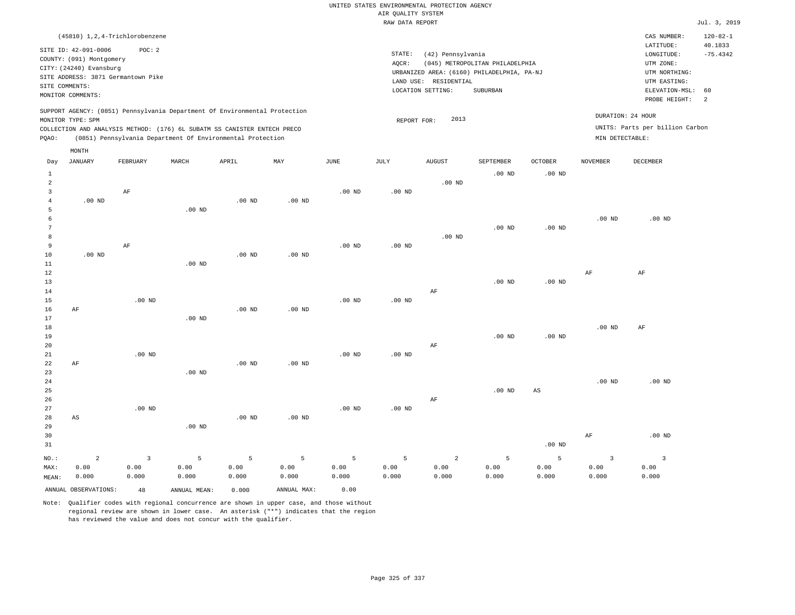|                |                                                                            | (45810) 1,2,4-Trichlorobenzene     |       |                                                                          |     |          |           |                                            |                                 |                |                 | CAS NUMBER:                     | $120 - 82 - 1$ |
|----------------|----------------------------------------------------------------------------|------------------------------------|-------|--------------------------------------------------------------------------|-----|----------|-----------|--------------------------------------------|---------------------------------|----------------|-----------------|---------------------------------|----------------|
|                |                                                                            |                                    |       |                                                                          |     |          |           |                                            |                                 |                |                 | LATITUDE:                       | 40.1833        |
|                | SITE ID: 42-091-0006                                                       | POC: 2                             |       |                                                                          |     |          | STATE:    | (42) Pennsylvania                          |                                 |                |                 | LONGITUDE:                      | $-75.4342$     |
|                | COUNTY: (091) Montgomery                                                   |                                    |       |                                                                          |     |          | AOCR:     |                                            | (045) METROPOLITAN PHILADELPHIA |                |                 | UTM ZONE:                       |                |
|                | CITY: (24240) Evansburg                                                    |                                    |       |                                                                          |     |          |           | URBANIZED AREA: (6160) PHILADELPHIA, PA-NJ |                                 |                |                 | UTM NORTHING:                   |                |
|                |                                                                            | SITE ADDRESS: 3871 Germantown Pike |       |                                                                          |     |          | LAND USE: | RESIDENTIAL                                |                                 |                |                 | UTM EASTING:                    |                |
| SITE COMMENTS: |                                                                            |                                    |       |                                                                          |     |          |           | LOCATION SETTING:                          | SUBURBAN                        |                |                 | ELEVATION-MSL: 60               |                |
|                | MONITOR COMMENTS:                                                          |                                    |       |                                                                          |     |          |           |                                            |                                 |                |                 | PROBE HEIGHT:                   | - 2            |
|                | SUPPORT AGENCY: (0851) Pennsylvania Department Of Environmental Protection |                                    |       |                                                                          |     |          |           |                                            |                                 |                |                 |                                 |                |
|                |                                                                            |                                    |       |                                                                          |     |          |           | 2013                                       |                                 |                |                 | DURATION: 24 HOUR               |                |
|                | MONITOR TYPE: SPM                                                          |                                    |       |                                                                          |     |          |           | REPORT FOR:                                |                                 |                |                 | UNITS: Parts per billion Carbon |                |
|                |                                                                            |                                    |       | COLLECTION AND ANALYSIS METHOD: (176) 6L SUBATM SS CANISTER ENTECH PRECO |     |          |           |                                            |                                 |                |                 |                                 |                |
| POAO:          |                                                                            |                                    |       | (0851) Pennsylvania Department Of Environmental Protection               |     |          |           |                                            |                                 |                | MIN DETECTABLE: |                                 |                |
|                | MONTH                                                                      |                                    |       |                                                                          |     |          |           |                                            |                                 |                |                 |                                 |                |
| Day            | JANUARY                                                                    | FEBRUARY                           | MARCH | APRIL                                                                    | MAY | JUNE     | JULY      | <b>AUGUST</b>                              | SEPTEMBER                       | <b>OCTOBER</b> | <b>NOVEMBER</b> | DECEMBER                        |                |
|                |                                                                            |                                    |       |                                                                          |     |          |           |                                            | $.00$ ND                        | $.00$ ND       |                 |                                 |                |
|                |                                                                            |                                    |       |                                                                          |     |          |           | $.00$ ND                                   |                                 |                |                 |                                 |                |
|                |                                                                            | AF                                 |       |                                                                          |     | $.00$ ND | $.00$ ND  |                                            |                                 |                |                 |                                 |                |
|                |                                                                            |                                    |       |                                                                          |     |          |           |                                            |                                 |                |                 |                                 |                |

|    |                   | $.00$ ND          |          |          |          |          |                   |          |          |          |
|----|-------------------|-------------------|----------|----------|----------|----------|-------------------|----------|----------|----------|
|    |                   |                   |          |          |          |          |                   |          | $.00$ ND | $.00$ ND |
|    |                   |                   |          |          |          |          | .00 <sub>ND</sub> | $.00$ ND |          |          |
|    |                   |                   |          |          |          | .00 $ND$ |                   |          |          |          |
|    | AF                |                   |          | $.00$ ND | $.00$ ND |          |                   |          |          |          |
| 10 | .00 <sub>ND</sub> | .00 <sub>ND</sub> | $.00$ ND |          |          |          |                   |          |          |          |

| $11\,$ |    |          | $.00$ ND |          |          |          |          |    |          |             |          |          |
|--------|----|----------|----------|----------|----------|----------|----------|----|----------|-------------|----------|----------|
| $12\,$ |    |          |          |          |          |          |          |    |          |             | AF       | AF       |
| 13     |    |          |          |          |          |          |          |    | $.00$ ND | $.00$ ND    |          |          |
| 14     |    |          |          |          |          |          |          | AF |          |             |          |          |
| 15     |    | $.00$ ND |          |          |          | $.00$ ND | $.00$ ND |    |          |             |          |          |
| 16     | AF |          |          | $.00$ ND | $.00$ ND |          |          |    |          |             |          |          |
| 17     |    |          | $.00$ ND |          |          |          |          |    |          |             |          |          |
| 18     |    |          |          |          |          |          |          |    |          |             | $.00$ ND | AF       |
| 19     |    |          |          |          |          |          |          |    | $.00$ ND | $.00$ ND    |          |          |
| 20     |    |          |          |          |          |          |          | AF |          |             |          |          |
| 21     |    | $.00$ ND |          |          |          | $.00$ ND | $.00$ ND |    |          |             |          |          |
| 22     | AF |          |          | $.00$ ND | $.00$ ND |          |          |    |          |             |          |          |
| 23     |    |          | $.00$ ND |          |          |          |          |    |          |             |          |          |
| 24     |    |          |          |          |          |          |          |    |          |             | .00 $ND$ | $.00$ ND |
| 25     |    |          |          |          |          |          |          |    | $.00$ ND | $_{\rm AS}$ |          |          |
| 26     |    |          |          |          |          |          |          | AF |          |             |          |          |
| 27     |    | $.00$ ND |          |          |          | $.00$ ND | $.00$ ND |    |          |             |          |          |
| 28     | AS |          |          | $.00$ ND | $.00$ ND |          |          |    |          |             |          |          |
| າຊ     |    |          | 00 ND    |          |          |          |          |    |          |             |          |          |

| 29<br>30 |          |                         | $.00$ ND |         |         |         |         |          |       |                | AF    | $.00$ ND |
|----------|----------|-------------------------|----------|---------|---------|---------|---------|----------|-------|----------------|-------|----------|
| 31       |          |                         |          |         |         |         |         |          |       | $.00$ ND       |       |          |
| NO.:     | $\sim$ 2 | $\overline{\mathbf{3}}$ | $5 -$    | $5 - 5$ | $5 - 5$ | $5 - 5$ | $5 - 5$ | $\sim$ 2 | $5 -$ | 5 <sup>1</sup> |       |          |
| MAX:     | 0.00     | 0.00                    | 0.00     | 0.00    | 0.00    | 0.00    | 0.00    | 0.00     | 0.00  | 0.00           | 0.00  | 0.00     |
| MEAN:    | 0.000    | 0.000                   | 0.000    | 0.000   | 0.000   | 0.000   | 0.000   | 0.000    | 0.000 | 0.000          | 0.000 | 0.000    |

ANNUAL OBSERVATIONS: 48 ANNUAL MEAN: 0.000 ANNUAL MAX: 0.00

4

.00 ND

Note: Qualifier codes with regional concurrence are shown in upper case, and those without regional review are shown in lower case. An asterisk ("\*") indicates that the region has reviewed the value and does not concur with the qualifier.

.00 ND

.00 ND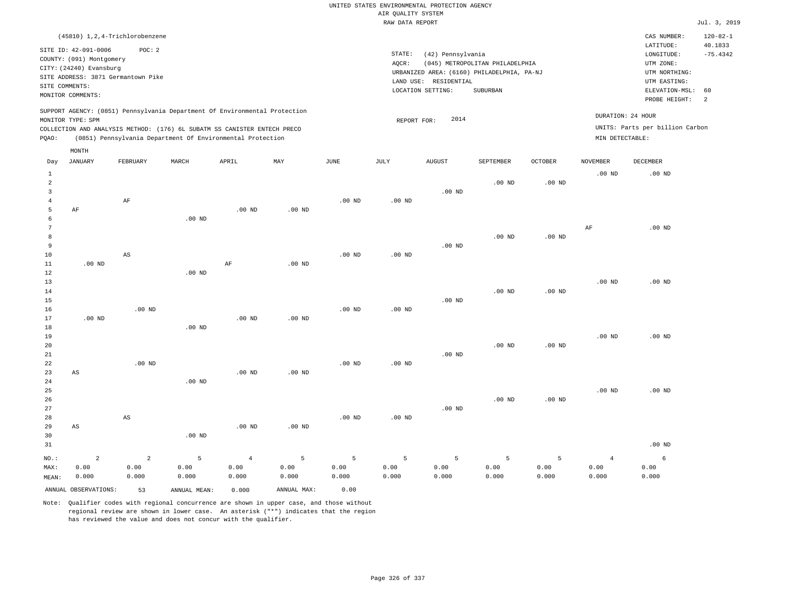| (45810) 1,2,4-Trichlorobenzene                                                                                                                                                                                                                     |                                                                                                                                                                                    | CAS NUMBER:                                                                                                 | $120 - 82 - 1$                          |
|----------------------------------------------------------------------------------------------------------------------------------------------------------------------------------------------------------------------------------------------------|------------------------------------------------------------------------------------------------------------------------------------------------------------------------------------|-------------------------------------------------------------------------------------------------------------|-----------------------------------------|
| SITE ID: 42-091-0006<br>POC:2<br>COUNTY: (091) Montgomery<br>CITY: (24240) Evansburg<br>SITE ADDRESS: 3871 Germantown Pike<br>SITE COMMENTS:<br>MONITOR COMMENTS:                                                                                  | STATE:<br>(42) Pennsylvania<br>(045) METROPOLITAN PHILADELPHIA<br>AOCR:<br>URBANIZED AREA: (6160) PHILADELPHIA, PA-NJ<br>RESIDENTIAL<br>LAND USE:<br>LOCATION SETTING:<br>SUBURBAN | LATITUDE:<br>LONGITUDE:<br>UTM ZONE:<br>UTM NORTHING:<br>UTM EASTING:<br>ELEVATION-MSL: 60<br>PROBE HEIGHT: | 40.1833<br>$-75.4342$<br>$\overline{2}$ |
| SUPPORT AGENCY: (0851) Pennsylvania Department Of Environmental Protection<br>MONITOR TYPE: SPM<br>COLLECTION AND ANALYSIS METHOD: (176) 6L SUBATM SS CANISTER ENTECH PRECO<br>(0851) Pennsylvania Department Of Environmental Protection<br>POAO: | DURATION: 24 HOUR<br>2014<br>REPORT FOR:<br>MIN DETECTABLE:                                                                                                                        | UNITS: Parts per billion Carbon                                                                             |                                         |

|                                     | $\texttt{MONTH}$       |                        |                   |                |             |               |          |               |                   |                   |                 |          |
|-------------------------------------|------------------------|------------------------|-------------------|----------------|-------------|---------------|----------|---------------|-------------------|-------------------|-----------------|----------|
| Day                                 | <b>JANUARY</b>         | FEBRUARY               | MARCH             | APRIL          | MAY         | $_{\rm JUNE}$ | JULY     | <b>AUGUST</b> | SEPTEMBER         | OCTOBER           | <b>NOVEMBER</b> | DECEMBER |
| $\mathbf{1}$<br>$\overline{a}$<br>3 |                        |                        |                   |                |             |               |          | $.00$ ND      | .00 <sub>ND</sub> | .00 <sub>ND</sub> | $.00$ ND        | $.00$ ND |
| $\overline{4}$                      |                        | $\rm AF$               |                   |                |             | $.00$ ND      | $.00$ ND |               |                   |                   |                 |          |
| 5                                   | $\rm AF$               |                        |                   | $.00$ ND       | $.00$ ND    |               |          |               |                   |                   |                 |          |
| 6                                   |                        |                        | .00 <sub>ND</sub> |                |             |               |          |               |                   |                   |                 |          |
| 7                                   |                        |                        |                   |                |             |               |          |               |                   |                   | AF              | $.00$ ND |
| 8                                   |                        |                        |                   |                |             |               |          |               | $.00$ ND          | $.00$ ND          |                 |          |
| 9                                   |                        |                        |                   |                |             |               |          | $.00$ ND      |                   |                   |                 |          |
| 10                                  |                        | $\mathbb{A}\mathbb{S}$ |                   |                |             | $.00$ ND      | .00 $ND$ |               |                   |                   |                 |          |
| $11\,$<br>12                        | $.00$ ND               |                        | $.00$ ND          | $\rm AF$       | $.00$ ND    |               |          |               |                   |                   |                 |          |
| 13                                  |                        |                        |                   |                |             |               |          |               |                   |                   | $.00$ ND        | $.00$ ND |
| 14                                  |                        |                        |                   |                |             |               |          |               | $.00$ ND          | $.00$ ND          |                 |          |
| 15                                  |                        |                        |                   |                |             |               |          | $.00$ ND      |                   |                   |                 |          |
| 16                                  |                        | $.00$ ND               |                   |                |             | $.00$ ND      | $.00$ ND |               |                   |                   |                 |          |
| 17                                  | $.00$ ND               |                        |                   | $.00$ ND       | $.00$ ND    |               |          |               |                   |                   |                 |          |
| 18                                  |                        |                        | $.00$ ND          |                |             |               |          |               |                   |                   |                 |          |
| 19                                  |                        |                        |                   |                |             |               |          |               |                   |                   | $.00$ ND        | $.00$ ND |
| 20                                  |                        |                        |                   |                |             |               |          |               | $.00$ ND          | $.00$ ND          |                 |          |
| 21                                  |                        |                        |                   |                |             |               |          | $.00$ ND      |                   |                   |                 |          |
| 22                                  |                        | $.00$ ND               |                   |                |             | $.00$ ND      | $.00$ ND |               |                   |                   |                 |          |
| 23                                  | $\mathbb{A}\mathbb{S}$ |                        |                   | $.00$ ND       | $.00$ ND    |               |          |               |                   |                   |                 |          |
| 24                                  |                        |                        | $.00$ ND          |                |             |               |          |               |                   |                   |                 |          |
| 25                                  |                        |                        |                   |                |             |               |          |               |                   |                   | $.00$ ND        | $.00$ ND |
| 26                                  |                        |                        |                   |                |             |               |          |               | $.00$ ND          | $.00$ ND          |                 |          |
| 27                                  |                        |                        |                   |                |             |               |          | $.00$ ND      |                   |                   |                 |          |
| 28<br>29                            | $\mathbb{A}\mathbb{S}$ | $\mathbb{A}\mathbb{S}$ |                   | $.00$ ND       | .00 $ND$    | $.00$ ND      | $.00$ ND |               |                   |                   |                 |          |
| 30                                  |                        |                        | .00 $ND$          |                |             |               |          |               |                   |                   |                 |          |
| 31                                  |                        |                        |                   |                |             |               |          |               |                   |                   |                 | $.00$ ND |
|                                     |                        |                        |                   |                |             |               |          |               |                   |                   |                 |          |
| NO.:                                | $\sqrt{2}$             | $\overline{a}$         | 5                 | $\overline{4}$ | 5           | 5             | 5        | 5             | 5                 | 5                 | $\overline{4}$  | 6        |
| MAX:                                | 0.00                   | 0.00                   | 0.00              | 0.00           | 0.00        | 0.00          | 0.00     | 0.00          | 0.00              | 0.00              | 0.00            | 0.00     |
| MEAN:                               | 0.000                  | 0.000                  | 0.000             | 0.000          | 0.000       | 0.000         | 0.000    | 0.000         | 0.000             | 0.000             | 0.000           | 0.000    |
|                                     | ANNUAL OBSERVATIONS:   | 53                     | ANNUAL MEAN:      | 0.000          | ANNUAL MAX: | 0.00          |          |               |                   |                   |                 |          |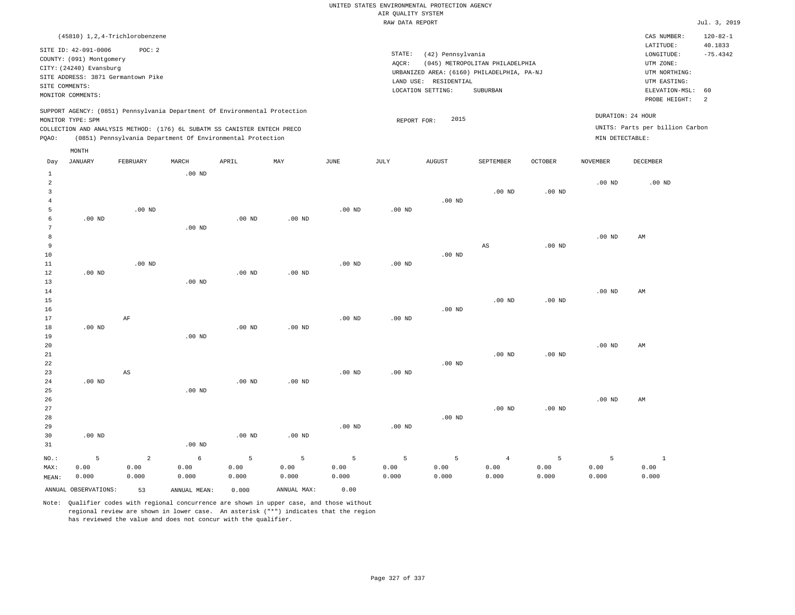|                |                          | (45810) 1,2,4-Trichlorobenzene     |                                                                          |       |                                                                            |      |        |                                            |                                 |                |                 | CAS NUMBER:                     | $120 - 82 - 1$ |
|----------------|--------------------------|------------------------------------|--------------------------------------------------------------------------|-------|----------------------------------------------------------------------------|------|--------|--------------------------------------------|---------------------------------|----------------|-----------------|---------------------------------|----------------|
|                | SITE ID: 42-091-0006     | POC: 2                             |                                                                          |       |                                                                            |      |        |                                            |                                 |                |                 | LATITUDE:                       | 40.1833        |
|                | COUNTY: (091) Montgomery |                                    |                                                                          |       |                                                                            |      | STATE: | (42) Pennsylvania                          |                                 |                |                 | LONGITUDE:                      | $-75.4342$     |
|                | CITY: (24240) Evansburg  |                                    |                                                                          |       |                                                                            |      | AQCR:  |                                            | (045) METROPOLITAN PHILADELPHIA |                |                 | UTM ZONE:                       |                |
|                |                          | SITE ADDRESS: 3871 Germantown Pike |                                                                          |       |                                                                            |      |        | URBANIZED AREA: (6160) PHILADELPHIA, PA-NJ |                                 |                |                 | UTM NORTHING:                   |                |
| SITE COMMENTS: |                          |                                    |                                                                          |       |                                                                            |      |        | LAND USE: RESIDENTIAL                      |                                 |                |                 | UTM EASTING:                    |                |
|                | MONITOR COMMENTS:        |                                    |                                                                          |       |                                                                            |      |        | LOCATION SETTING:                          | SUBURBAN                        |                |                 | ELEVATION-MSL: 60               |                |
|                |                          |                                    |                                                                          |       |                                                                            |      |        |                                            |                                 |                |                 | PROBE HEIGHT:                   | <sup>2</sup>   |
|                |                          |                                    |                                                                          |       | SUPPORT AGENCY: (0851) Pennsylvania Department Of Environmental Protection |      |        |                                            |                                 |                |                 |                                 |                |
|                | MONITOR TYPE: SPM        |                                    |                                                                          |       |                                                                            |      |        | 2015<br>REPORT FOR:                        |                                 |                |                 | DURATION: 24 HOUR               |                |
|                |                          |                                    | COLLECTION AND ANALYSIS METHOD: (176) 6L SUBATM SS CANISTER ENTECH PRECO |       |                                                                            |      |        |                                            |                                 |                |                 | UNITS: Parts per billion Carbon |                |
| POAO:          |                          |                                    | (0851) Pennsylvania Department Of Environmental Protection               |       |                                                                            |      |        |                                            |                                 |                | MIN DETECTABLE: |                                 |                |
|                | MONTH                    |                                    |                                                                          |       |                                                                            |      |        |                                            |                                 |                |                 |                                 |                |
| Day            | JANUARY                  | FEBRUARY                           | MARCH                                                                    | APRIL | MAY                                                                        | JUNE | JULY   | <b>AUGUST</b>                              | SEPTEMBER                       | <b>OCTOBER</b> | <b>NOVEMBER</b> | DECEMBER                        |                |
|                |                          |                                    | רדות חח                                                                  |       |                                                                            |      |        |                                            |                                 |                |                 |                                 |                |

|                | ANNUAL OBSERVATIONS: | 53             | ANNUAL MEAN:      | 0.000         | ANNUAL MAX:   | 0.00              |                   |                   |                        |                   |                |               |
|----------------|----------------------|----------------|-------------------|---------------|---------------|-------------------|-------------------|-------------------|------------------------|-------------------|----------------|---------------|
| MAX:<br>MEAN:  | 0.00<br>0.000        | 0.00<br>0.000  | 0.00<br>0.000     | 0.00<br>0.000 | 0.00<br>0.000 | 0.00<br>0.000     | 0.00<br>0.000     | 0.00<br>0.000     | 0.00<br>0.000          | 0.00<br>0.000     | 0.00<br>0.000  | 0.00<br>0.000 |
| $_{\rm NO.}$ : | 5                    | $\overline{a}$ | $\epsilon$        | $\mathsf S$   | 5             | 5                 | 5                 | 5                 | $\overline{4}$         | 5                 | $\overline{5}$ | $\mathbf{1}$  |
| 31             |                      |                | $.00$ ND          |               |               |                   |                   |                   |                        |                   |                |               |
| 30             | $.00$ ND             |                |                   | $.00$ ND      | $.00$ ND      |                   |                   |                   |                        |                   |                |               |
| 29             |                      |                |                   |               |               | $.00$ ND          | .00 <sub>ND</sub> |                   |                        |                   |                |               |
| 28             |                      |                |                   |               |               |                   |                   | .00 <sub>ND</sub> |                        |                   |                |               |
| 27             |                      |                |                   |               |               |                   |                   |                   | $.00$ ND               | .00 <sub>ND</sub> |                |               |
| 26             |                      |                |                   |               |               |                   |                   |                   |                        |                   | $.00$ ND       | AM            |
| 25             |                      |                | .00 <sub>ND</sub> |               |               |                   |                   |                   |                        |                   |                |               |
| $2\sqrt{4}$    | .00 $ND$             |                |                   | $.00$ ND      | $.00$ ND      |                   |                   |                   |                        |                   |                |               |
| 23             |                      | AS             |                   |               |               | $.00$ ND          | .00 <sub>ND</sub> |                   |                        |                   |                |               |
| 22             |                      |                |                   |               |               |                   |                   | $.00$ ND          |                        |                   |                |               |
| 21             |                      |                |                   |               |               |                   |                   |                   | $.00$ ND               | .00 <sub>ND</sub> |                |               |
| 20             |                      |                |                   |               |               |                   |                   |                   |                        |                   | $.00$ ND       | AM            |
| 19             |                      |                | $.00$ ND          |               |               |                   |                   |                   |                        |                   |                |               |
| 18             | $.00$ ND             |                |                   | $.00$ ND      | $.00$ ND      |                   |                   |                   |                        |                   |                |               |
| 17             |                      | $\rm AF$       |                   |               |               | .00 <sub>ND</sub> | .00 <sub>ND</sub> |                   |                        |                   |                |               |
| 16             |                      |                |                   |               |               |                   |                   | $.00$ ND          |                        |                   |                |               |
| 15             |                      |                |                   |               |               |                   |                   |                   | $.00$ ND               | $.00$ ND          |                |               |
| 14             |                      |                |                   |               |               |                   |                   |                   |                        |                   | $.00$ ND       | AM            |
| 13             |                      |                | $.00$ ND          |               |               |                   |                   |                   |                        |                   |                |               |
| $1\,2$         | $.00$ ND             |                |                   | $.00$ ND      | $.00$ ND      |                   |                   |                   |                        |                   |                |               |
| $11\,$         |                      | .00 $ND$       |                   |               |               | .00 <sub>ND</sub> | $.00$ ND          |                   |                        |                   |                |               |
| 10             |                      |                |                   |               |               |                   |                   | $.00$ ND          |                        |                   |                |               |
| 8<br>9         |                      |                |                   |               |               |                   |                   |                   | $\mathbb{A}\mathbb{S}$ | $.00$ ND          |                | AM            |
| 7              |                      |                | $.00$ ND          |               |               |                   |                   |                   |                        |                   | $.00$ ND       |               |
| 6              | $.00$ ND             |                |                   | $.00$ ND      | $.00$ ND      |                   |                   |                   |                        |                   |                |               |
| 5              |                      | $.00$ ND       |                   |               |               | $.00$ ND          | .00 <sub>ND</sub> |                   |                        |                   |                |               |
| $\overline{4}$ |                      |                |                   |               |               |                   |                   | $.00$ ND          |                        |                   |                |               |
| 3              |                      |                |                   |               |               |                   |                   |                   | $.00$ ND               | .00 <sub>ND</sub> |                |               |
| $\sqrt{2}$     |                      |                |                   |               |               |                   |                   |                   |                        |                   | $.00$ ND       | $.00$ ND      |
| <b>+</b>       |                      |                | .00W              |               |               |                   |                   |                   |                        |                   |                |               |

Note: Qualifier codes with regional concurrence are shown in upper case, and those without

regional review are shown in lower case. An asterisk ("\*") indicates that the region

has reviewed the value and does not concur with the qualifier.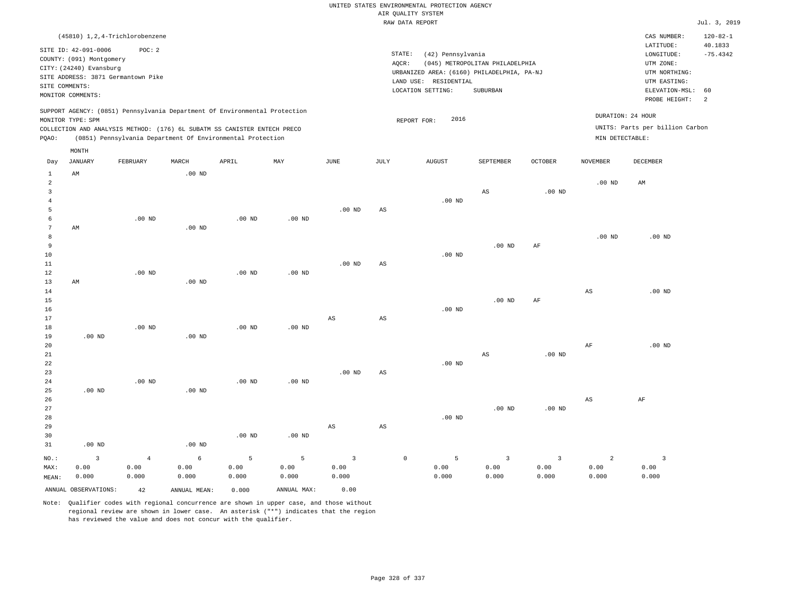|                         | (45810) 1,2,4-Trichlorobenzene     |                |                                                                            |                   |                   |                         |                        |                                            |                                 |                |                        | CAS NUMBER:                     | $120 - 82 - 1$        |
|-------------------------|------------------------------------|----------------|----------------------------------------------------------------------------|-------------------|-------------------|-------------------------|------------------------|--------------------------------------------|---------------------------------|----------------|------------------------|---------------------------------|-----------------------|
|                         | SITE ID: 42-091-0006               | POC: 2         |                                                                            |                   |                   |                         |                        | STATE:<br>(42) Pennsylvania                |                                 |                |                        | LATITUDE:<br>LONGITUDE:         | 40.1833<br>$-75.4342$ |
|                         | COUNTY: (091) Montgomery           |                |                                                                            |                   |                   |                         | AQCR:                  |                                            | (045) METROPOLITAN PHILADELPHIA |                |                        | UTM ZONE:                       |                       |
|                         | CITY: (24240) Evansburg            |                |                                                                            |                   |                   |                         |                        | URBANIZED AREA: (6160) PHILADELPHIA, PA-NJ |                                 |                |                        | UTM NORTHING:                   |                       |
|                         | SITE ADDRESS: 3871 Germantown Pike |                |                                                                            |                   |                   |                         |                        | LAND USE: RESIDENTIAL                      |                                 |                |                        | UTM EASTING:                    |                       |
| SITE COMMENTS:          |                                    |                |                                                                            |                   |                   |                         |                        | LOCATION SETTING:                          | SUBURBAN                        |                |                        | ELEVATION-MSL:                  | 60                    |
|                         | MONITOR COMMENTS:                  |                |                                                                            |                   |                   |                         |                        |                                            |                                 |                |                        | PROBE HEIGHT:                   | $\overline{a}$        |
|                         | MONITOR TYPE: SPM                  |                | SUPPORT AGENCY: (0851) Pennsylvania Department Of Environmental Protection |                   |                   |                         |                        | 2016<br>REPORT FOR:                        |                                 |                | DURATION: 24 HOUR      |                                 |                       |
|                         |                                    |                | COLLECTION AND ANALYSIS METHOD: (176) 6L SUBATM SS CANISTER ENTECH PRECO   |                   |                   |                         |                        |                                            |                                 |                |                        | UNITS: Parts per billion Carbon |                       |
| PQAO:                   |                                    |                | (0851) Pennsylvania Department Of Environmental Protection                 |                   |                   |                         |                        |                                            |                                 |                | MIN DETECTABLE:        |                                 |                       |
|                         | MONTH                              |                |                                                                            |                   |                   |                         |                        |                                            |                                 |                |                        |                                 |                       |
| Day                     | JANUARY                            | FEBRUARY       | MARCH                                                                      | APRIL             | MAY               | JUNE                    | JULY                   | <b>AUGUST</b>                              | SEPTEMBER                       | <b>OCTOBER</b> | <b>NOVEMBER</b>        | <b>DECEMBER</b>                 |                       |
| $\mathbf{1}$            | AM                                 |                | $.00$ ND                                                                   |                   |                   |                         |                        |                                            |                                 |                |                        |                                 |                       |
| $\overline{a}$          |                                    |                |                                                                            |                   |                   |                         |                        |                                            |                                 |                | .00 <sub>ND</sub>      | AM                              |                       |
| $\overline{\mathbf{3}}$ |                                    |                |                                                                            |                   |                   |                         |                        |                                            | $\mathbb{A}\mathbb{S}$          | $.00$ ND       |                        |                                 |                       |
| $\overline{4}$          |                                    |                |                                                                            |                   |                   |                         |                        | .00 <sub>ND</sub>                          |                                 |                |                        |                                 |                       |
| 5                       |                                    |                |                                                                            |                   |                   | .00 <sub>ND</sub>       | $\mathbb{A}\mathbb{S}$ |                                            |                                 |                |                        |                                 |                       |
| 6                       |                                    | $.00$ ND       |                                                                            | .00 <sub>ND</sub> | $.00$ ND          |                         |                        |                                            |                                 |                |                        |                                 |                       |
| $7\phantom{.0}$         | AM                                 |                | .00 <sub>ND</sub>                                                          |                   |                   |                         |                        |                                            |                                 |                |                        |                                 |                       |
| 8                       |                                    |                |                                                                            |                   |                   |                         |                        |                                            |                                 |                | $.00$ ND               | $.00$ ND                        |                       |
| 9                       |                                    |                |                                                                            |                   |                   |                         |                        |                                            | $.00$ ND                        | AF             |                        |                                 |                       |
| 10                      |                                    |                |                                                                            |                   |                   |                         |                        | $.00$ ND                                   |                                 |                |                        |                                 |                       |
| 11                      |                                    |                |                                                                            |                   |                   | .00 <sub>ND</sub>       | AS                     |                                            |                                 |                |                        |                                 |                       |
| 12                      |                                    | $.00$ ND       |                                                                            | $.00$ ND          | .00 <sub>ND</sub> |                         |                        |                                            |                                 |                |                        |                                 |                       |
| 13                      | AM                                 |                | $.00$ ND                                                                   |                   |                   |                         |                        |                                            |                                 |                |                        |                                 |                       |
| 14                      |                                    |                |                                                                            |                   |                   |                         |                        |                                            |                                 |                | $\mathbb{A}\mathbb{S}$ | $.00$ ND                        |                       |
| 15                      |                                    |                |                                                                            |                   |                   |                         |                        |                                            | $.00$ ND                        | AF             |                        |                                 |                       |
| 16<br>17                |                                    |                |                                                                            |                   |                   | AS                      | AS                     | $.00$ ND                                   |                                 |                |                        |                                 |                       |
| 18                      |                                    | $.00$ ND       |                                                                            | .00 <sub>ND</sub> | $.00$ ND          |                         |                        |                                            |                                 |                |                        |                                 |                       |
| 19                      | $.00$ ND                           |                | $.00$ ND                                                                   |                   |                   |                         |                        |                                            |                                 |                |                        |                                 |                       |
| 20                      |                                    |                |                                                                            |                   |                   |                         |                        |                                            |                                 |                | AF                     | $.00$ ND                        |                       |
| 21                      |                                    |                |                                                                            |                   |                   |                         |                        |                                            | $\mathbb{A}\mathbb{S}$          | $.00$ ND       |                        |                                 |                       |
| 22                      |                                    |                |                                                                            |                   |                   |                         |                        | $.00$ ND                                   |                                 |                |                        |                                 |                       |
| 23                      |                                    |                |                                                                            |                   |                   | $.00$ ND                | AS                     |                                            |                                 |                |                        |                                 |                       |
| 24                      |                                    | $.00$ ND       |                                                                            | $.00$ ND          | $.00$ ND          |                         |                        |                                            |                                 |                |                        |                                 |                       |
| 25                      | $.00$ ND                           |                | $.00$ ND                                                                   |                   |                   |                         |                        |                                            |                                 |                |                        |                                 |                       |
| 26                      |                                    |                |                                                                            |                   |                   |                         |                        |                                            |                                 |                | AS                     | AF                              |                       |
| 27                      |                                    |                |                                                                            |                   |                   |                         |                        |                                            | $.00$ ND                        | $.00$ ND       |                        |                                 |                       |
| 28                      |                                    |                |                                                                            |                   |                   |                         |                        | $.00$ ND                                   |                                 |                |                        |                                 |                       |
| 29                      |                                    |                |                                                                            |                   |                   | AS                      | $\mathbb{A}\mathbb{S}$ |                                            |                                 |                |                        |                                 |                       |
| 30                      |                                    |                |                                                                            | .00 <sub>ND</sub> | $.00$ ND          |                         |                        |                                            |                                 |                |                        |                                 |                       |
| 31                      | $.00$ ND                           |                | $.00$ ND                                                                   |                   |                   |                         |                        |                                            |                                 |                |                        |                                 |                       |
| NO.:                    | $\overline{\mathbf{3}}$            | $\overline{4}$ | $\epsilon$                                                                 | 5                 | 5                 | $\overline{\mathbf{3}}$ |                        | $\mathbb O$<br>5                           | $\overline{\mathbf{3}}$         | $\overline{3}$ | $\overline{c}$         | $\overline{\mathbf{3}}$         |                       |
| MAX:                    | 0.00                               | 0.00           | 0.00                                                                       | 0.00              | 0.00              | 0.00                    |                        | 0.00                                       | 0.00                            | 0.00           | 0.00                   | 0.00                            |                       |
| MEAN:                   | 0.000                              | 0.000          | 0.000                                                                      | 0.000             | 0.000             | 0.000                   |                        | 0.000                                      | 0.000                           | 0.000          | 0.000                  | 0.000                           |                       |
|                         | ANNUAL OBSERVATIONS:               | 42             | ANNUAL MEAN:                                                               | 0.000             | ANNUAL MAX:       | 0.00                    |                        |                                            |                                 |                |                        |                                 |                       |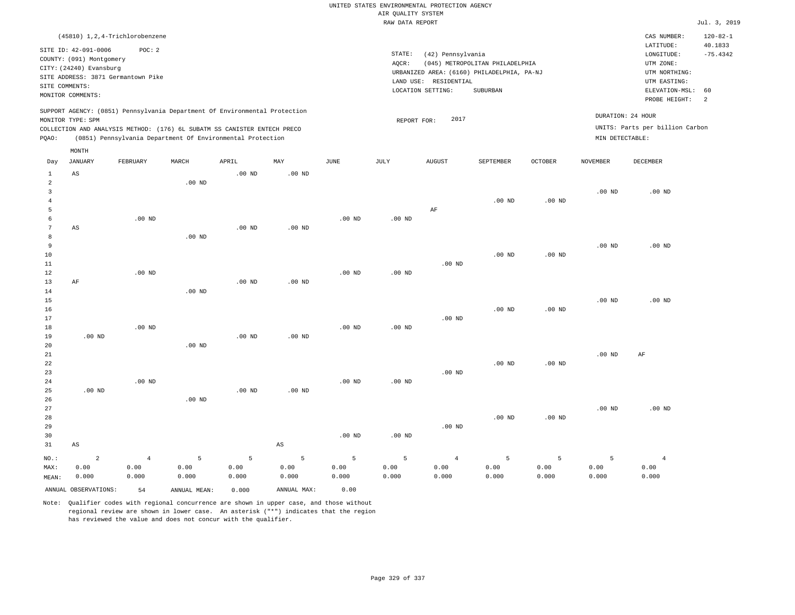|                         |                                                     |                   |                   |                                                                            |                        |                   | AIR QUALITY SYSTEM | UNITED STATES ENVIRONMENTAL PROTECTION AGENCY |                                            |                   |                   |                                 |                           |
|-------------------------|-----------------------------------------------------|-------------------|-------------------|----------------------------------------------------------------------------|------------------------|-------------------|--------------------|-----------------------------------------------|--------------------------------------------|-------------------|-------------------|---------------------------------|---------------------------|
|                         |                                                     |                   |                   |                                                                            |                        |                   | RAW DATA REPORT    |                                               |                                            |                   |                   |                                 | Jul. 3, 2019              |
|                         | (45810) 1, 2, 4-Trichlorobenzene                    |                   |                   |                                                                            |                        |                   |                    |                                               |                                            |                   |                   | CAS NUMBER:<br>LATITUDE:        | $120 - 82 - 1$<br>40.1833 |
|                         | SITE ID: 42-091-0006                                | POC: 2            |                   |                                                                            |                        |                   | STATE:             | (42) Pennsylvania                             |                                            |                   |                   | LONGITUDE:                      | $-75.4342$                |
|                         | COUNTY: (091) Montgomery<br>CITY: (24240) Evansburg |                   |                   |                                                                            |                        |                   | AQCR:              |                                               | (045) METROPOLITAN PHILADELPHIA            |                   |                   | UTM ZONE:                       |                           |
|                         | SITE ADDRESS: 3871 Germantown Pike                  |                   |                   |                                                                            |                        |                   |                    |                                               | URBANIZED AREA: (6160) PHILADELPHIA, PA-NJ |                   |                   | UTM NORTHING:                   |                           |
| SITE COMMENTS:          |                                                     |                   |                   |                                                                            |                        |                   |                    | LAND USE: RESIDENTIAL                         |                                            |                   |                   | UTM EASTING:                    |                           |
|                         | MONITOR COMMENTS:                                   |                   |                   |                                                                            |                        |                   |                    | LOCATION SETTING:                             | SUBURBAN                                   |                   |                   | ELEVATION-MSL:<br>PROBE HEIGHT: | 60<br>$\overline{a}$      |
|                         | MONITOR TYPE: SPM                                   |                   |                   | SUPPORT AGENCY: (0851) Pennsylvania Department Of Environmental Protection |                        |                   |                    | 2017                                          |                                            |                   |                   | DURATION: 24 HOUR               |                           |
|                         |                                                     |                   |                   | COLLECTION AND ANALYSIS METHOD: (176) 6L SUBATM SS CANISTER ENTECH PRECO   |                        |                   | REPORT FOR:        |                                               |                                            |                   |                   | UNITS: Parts per billion Carbon |                           |
| PQAO:                   |                                                     |                   |                   | (0851) Pennsylvania Department Of Environmental Protection                 |                        |                   |                    |                                               |                                            |                   | MIN DETECTABLE:   |                                 |                           |
|                         | MONTH                                               |                   |                   |                                                                            |                        |                   |                    |                                               |                                            |                   |                   |                                 |                           |
| Day                     | <b>JANUARY</b>                                      | FEBRUARY          | MARCH             | APRIL                                                                      | MAY                    | <b>JUNE</b>       | <b>JULY</b>        | AUGUST                                        | SEPTEMBER                                  | OCTOBER           | <b>NOVEMBER</b>   | <b>DECEMBER</b>                 |                           |
| $1\,$<br>$\overline{a}$ | $\mathbb{A}\mathbb{S}$                              |                   | $.00$ ND          | .00 <sub>ND</sub>                                                          | .00 <sub>ND</sub>      |                   |                    |                                               |                                            |                   |                   |                                 |                           |
| $\overline{3}$          |                                                     |                   |                   |                                                                            |                        |                   |                    |                                               |                                            |                   | $.00$ ND          | $.00$ ND                        |                           |
| $\overline{4}$          |                                                     |                   |                   |                                                                            |                        |                   |                    |                                               | .00 <sub>ND</sub>                          | $.00$ ND          |                   |                                 |                           |
| 5                       |                                                     |                   |                   |                                                                            |                        |                   |                    | AF                                            |                                            |                   |                   |                                 |                           |
| 6                       |                                                     | $.00$ ND          |                   |                                                                            |                        | $.00$ ND          | $.00$ ND           |                                               |                                            |                   |                   |                                 |                           |
| 7                       | $\mathbb{A}\mathbb{S}$                              |                   |                   | .00 <sub>ND</sub>                                                          | $.00$ ND               |                   |                    |                                               |                                            |                   |                   |                                 |                           |
| 8                       |                                                     |                   | $.00$ ND          |                                                                            |                        |                   |                    |                                               |                                            |                   |                   |                                 |                           |
| 9                       |                                                     |                   |                   |                                                                            |                        |                   |                    |                                               |                                            |                   | $.00$ ND          | $.00$ ND                        |                           |
| 10                      |                                                     |                   |                   |                                                                            |                        |                   |                    |                                               | .00 <sub>ND</sub>                          | $.00$ ND          |                   |                                 |                           |
| $1\,1$                  |                                                     |                   |                   |                                                                            |                        |                   |                    | $.00$ ND                                      |                                            |                   |                   |                                 |                           |
| 12                      |                                                     | $.00$ ND          |                   |                                                                            |                        | $.00$ ND          | $.00$ ND           |                                               |                                            |                   |                   |                                 |                           |
| 13                      | AF                                                  |                   | .00 <sub>ND</sub> | $.00$ ND                                                                   | $.00$ ND               |                   |                    |                                               |                                            |                   |                   |                                 |                           |
| 14<br>15                |                                                     |                   |                   |                                                                            |                        |                   |                    |                                               |                                            |                   | .00 <sub>ND</sub> | $.00$ ND                        |                           |
| 16                      |                                                     |                   |                   |                                                                            |                        |                   |                    |                                               | .00 <sub>ND</sub>                          | $.00$ ND          |                   |                                 |                           |
| 17                      |                                                     |                   |                   |                                                                            |                        |                   |                    | $.00$ ND                                      |                                            |                   |                   |                                 |                           |
| 18                      |                                                     | $.00$ ND          |                   |                                                                            |                        | $.00$ ND          | $.00$ ND           |                                               |                                            |                   |                   |                                 |                           |
| 19                      | $.00$ ND                                            |                   |                   | $.00$ ND                                                                   | $.00$ ND               |                   |                    |                                               |                                            |                   |                   |                                 |                           |
| 20                      |                                                     |                   | $.00$ ND          |                                                                            |                        |                   |                    |                                               |                                            |                   |                   |                                 |                           |
| 21                      |                                                     |                   |                   |                                                                            |                        |                   |                    |                                               |                                            |                   | $.00$ ND          | AF                              |                           |
| 22                      |                                                     |                   |                   |                                                                            |                        |                   |                    |                                               | $.00$ ND                                   | .00 <sub>ND</sub> |                   |                                 |                           |
| 23                      |                                                     |                   |                   |                                                                            |                        |                   |                    | $.00$ ND                                      |                                            |                   |                   |                                 |                           |
| 24                      |                                                     | .00 <sub>ND</sub> |                   |                                                                            |                        | .00 <sub>ND</sub> | .00 <sub>ND</sub>  |                                               |                                            |                   |                   |                                 |                           |
| 25                      | $.00$ ND                                            |                   |                   | $.00$ ND                                                                   | $.00$ ND               |                   |                    |                                               |                                            |                   |                   |                                 |                           |
| 26                      |                                                     |                   | .00 <sub>ND</sub> |                                                                            |                        |                   |                    |                                               |                                            |                   |                   |                                 |                           |
| 27                      |                                                     |                   |                   |                                                                            |                        |                   |                    |                                               |                                            |                   | .00 <sub>ND</sub> | $.00$ ND                        |                           |
| 28                      |                                                     |                   |                   |                                                                            |                        |                   |                    |                                               | .00 <sub>ND</sub>                          | $.00$ ND          |                   |                                 |                           |
| 29                      |                                                     |                   |                   |                                                                            |                        |                   |                    | $.00$ ND                                      |                                            |                   |                   |                                 |                           |
| 30                      |                                                     |                   |                   |                                                                            |                        | $.00$ ND          | $.00$ ND           |                                               |                                            |                   |                   |                                 |                           |
| 31                      | AS                                                  |                   |                   |                                                                            | $\mathbb{A}\mathbb{S}$ |                   |                    |                                               |                                            |                   |                   |                                 |                           |
| $NO.$ :                 | $\overline{a}$                                      | $\overline{4}$    | $\overline{5}$    | $\overline{5}$                                                             | $\overline{5}$         | 5                 | 5                  | $\sqrt{4}$                                    | 5                                          | 5                 | 5                 | $\overline{4}$                  |                           |
| MAX:                    | 0.00                                                | 0.00              | 0.00              | 0.00                                                                       | 0.00                   | 0.00              | 0.00               | 0.00                                          | 0.00                                       | 0.00              | 0.00              | 0.00                            |                           |
| MEAN:                   | 0.000                                               | 0.000             | 0.000             | 0.000                                                                      | 0.000                  | 0.000             | 0.000              | 0.000                                         | 0.000                                      | 0.000             | 0.000             | 0.000                           |                           |
|                         | ANNUAL OBSERVATIONS:                                | 54                | ANNUAL MEAN:      | 0.000                                                                      | ANNUAL MAX:            | 0.00              |                    |                                               |                                            |                   |                   |                                 |                           |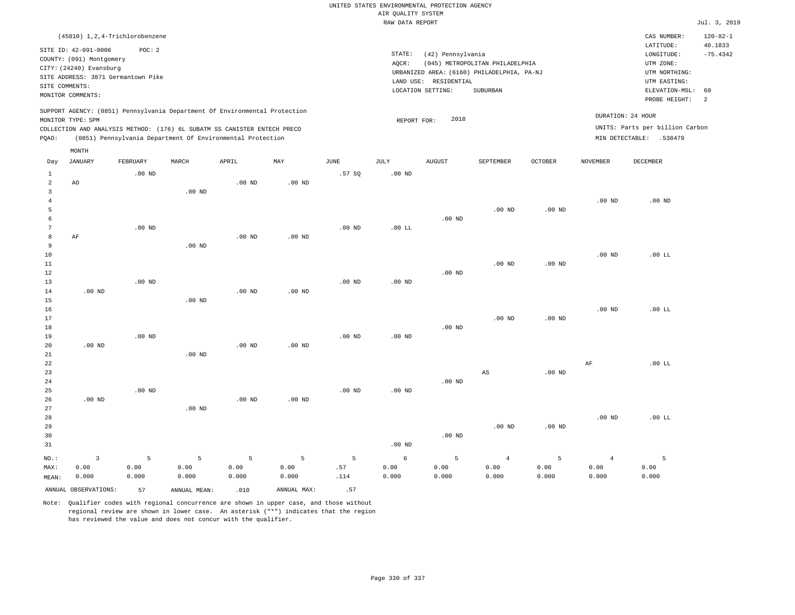|                         |                                                                             |                                                                                  |              |                                                                            |                   |                   | UNITED STATES ENVIRONMENTAL PROTECTION AGENCY |                   |                                                                               |                   |                   |                                                                      |                                         |
|-------------------------|-----------------------------------------------------------------------------|----------------------------------------------------------------------------------|--------------|----------------------------------------------------------------------------|-------------------|-------------------|-----------------------------------------------|-------------------|-------------------------------------------------------------------------------|-------------------|-------------------|----------------------------------------------------------------------|-----------------------------------------|
|                         |                                                                             |                                                                                  |              |                                                                            |                   |                   | AIR QUALITY SYSTEM<br>RAW DATA REPORT         |                   |                                                                               |                   |                   |                                                                      | Jul. 3, 2019                            |
|                         |                                                                             |                                                                                  |              |                                                                            |                   |                   |                                               |                   |                                                                               |                   |                   |                                                                      |                                         |
|                         | SITE ID: 42-091-0006<br>COUNTY: (091) Montgomery<br>CITY: (24240) Evansburg | (45810) 1, 2, 4-Trichlorobenzene<br>POC: 2<br>SITE ADDRESS: 3871 Germantown Pike |              |                                                                            |                   |                   | STATE:<br>AQCR:                               | (42) Pennsylvania | (045) METROPOLITAN PHILADELPHIA<br>URBANIZED AREA: (6160) PHILADELPHIA, PA-NJ |                   |                   | CAS NUMBER:<br>LATITUDE:<br>LONGITUDE:<br>UTM ZONE:<br>UTM NORTHING: | $120 - 82 - 1$<br>40.1833<br>$-75.4342$ |
| SITE COMMENTS:          |                                                                             |                                                                                  |              |                                                                            |                   |                   | LAND USE:                                     | RESIDENTIAL       |                                                                               |                   |                   | UTM EASTING:                                                         |                                         |
|                         | MONITOR COMMENTS:                                                           |                                                                                  |              |                                                                            |                   |                   |                                               | LOCATION SETTING: | SUBURBAN                                                                      |                   |                   | ELEVATION-MSL:                                                       | 60                                      |
|                         |                                                                             |                                                                                  |              | SUPPORT AGENCY: (0851) Pennsylvania Department Of Environmental Protection |                   |                   |                                               | 2018              |                                                                               |                   |                   | PROBE HEIGHT:<br>DURATION: 24 HOUR                                   | $\overline{a}$                          |
|                         | MONITOR TYPE: SPM                                                           |                                                                                  |              | COLLECTION AND ANALYSIS METHOD: (176) 6L SUBATM SS CANISTER ENTECH PRECO   |                   |                   | REPORT FOR:                                   |                   |                                                                               |                   |                   | UNITS: Parts per billion Carbon                                      |                                         |
| PQAO:                   |                                                                             |                                                                                  |              | (0851) Pennsylvania Department Of Environmental Protection                 |                   |                   |                                               |                   |                                                                               |                   |                   | MIN DETECTABLE: .538479                                              |                                         |
|                         | MONTH                                                                       |                                                                                  |              |                                                                            |                   |                   |                                               |                   |                                                                               |                   |                   |                                                                      |                                         |
| Day                     | <b>JANUARY</b>                                                              | FEBRUARY                                                                         | MARCH        | APRIL                                                                      | MAY               | JUNE              | <b>JULY</b>                                   | <b>AUGUST</b>     | SEPTEMBER                                                                     | <b>OCTOBER</b>    | <b>NOVEMBER</b>   | <b>DECEMBER</b>                                                      |                                         |
| 1<br>$\overline{a}$     | AO                                                                          | $.00$ ND                                                                         |              | $.00$ ND                                                                   | $.00$ ND          | .57SQ             | $.00$ ND                                      |                   |                                                                               |                   |                   |                                                                      |                                         |
| $\overline{\mathbf{3}}$ |                                                                             |                                                                                  | $.00$ ND     |                                                                            |                   |                   |                                               |                   |                                                                               |                   |                   |                                                                      |                                         |
| $\overline{4}$          |                                                                             |                                                                                  |              |                                                                            |                   |                   |                                               |                   |                                                                               |                   | .00 <sub>ND</sub> | $.00$ ND                                                             |                                         |
| 5                       |                                                                             |                                                                                  |              |                                                                            |                   |                   |                                               |                   | .00 <sub>ND</sub>                                                             | $.00$ ND          |                   |                                                                      |                                         |
| 6<br>7                  |                                                                             | $.00$ ND                                                                         |              |                                                                            |                   | $.00$ ND          | $.00$ LL                                      | .00 <sub>ND</sub> |                                                                               |                   |                   |                                                                      |                                         |
| 8                       | AF                                                                          |                                                                                  |              | $.00$ ND                                                                   | $.00$ ND          |                   |                                               |                   |                                                                               |                   |                   |                                                                      |                                         |
| 9                       |                                                                             |                                                                                  | $.00$ ND     |                                                                            |                   |                   |                                               |                   |                                                                               |                   |                   |                                                                      |                                         |
| $10$                    |                                                                             |                                                                                  |              |                                                                            |                   |                   |                                               |                   |                                                                               |                   | .00 <sub>ND</sub> | .00 L                                                                |                                         |
| 11                      |                                                                             |                                                                                  |              |                                                                            |                   |                   |                                               |                   | $.00$ ND                                                                      | $.00$ ND          |                   |                                                                      |                                         |
| $1\,2$                  |                                                                             |                                                                                  |              |                                                                            |                   |                   |                                               | $.00$ ND          |                                                                               |                   |                   |                                                                      |                                         |
| 13                      |                                                                             | $.00$ ND                                                                         |              |                                                                            |                   | .00 <sub>ND</sub> | $.00$ ND                                      |                   |                                                                               |                   |                   |                                                                      |                                         |
| 14                      | $.00$ ND                                                                    |                                                                                  |              | $.00$ ND                                                                   | $.00$ ND          |                   |                                               |                   |                                                                               |                   |                   |                                                                      |                                         |
| 15                      |                                                                             |                                                                                  | $.00$ ND     |                                                                            |                   |                   |                                               |                   |                                                                               |                   |                   |                                                                      |                                         |
| 16                      |                                                                             |                                                                                  |              |                                                                            |                   |                   |                                               |                   |                                                                               |                   | $.00$ ND          | $.00$ LL                                                             |                                         |
| 17                      |                                                                             |                                                                                  |              |                                                                            |                   |                   |                                               |                   | $.00$ ND                                                                      | $.00$ ND          |                   |                                                                      |                                         |
| $1\,8$                  |                                                                             |                                                                                  |              |                                                                            |                   |                   |                                               | $.00$ ND          |                                                                               |                   |                   |                                                                      |                                         |
| 19<br>20                | $.00$ ND                                                                    | $.00$ ND                                                                         |              | $.00$ ND                                                                   | $.00$ ND          | $.00$ ND          | .00 <sub>ND</sub>                             |                   |                                                                               |                   |                   |                                                                      |                                         |
| $21\,$                  |                                                                             |                                                                                  | $.00$ ND     |                                                                            |                   |                   |                                               |                   |                                                                               |                   |                   |                                                                      |                                         |
| 22                      |                                                                             |                                                                                  |              |                                                                            |                   |                   |                                               |                   |                                                                               |                   | AF                | .00 LL                                                               |                                         |
| 23                      |                                                                             |                                                                                  |              |                                                                            |                   |                   |                                               |                   | $\mathbb{A}\mathbb{S}$                                                        | .00 <sub>ND</sub> |                   |                                                                      |                                         |
| 24                      |                                                                             |                                                                                  |              |                                                                            |                   |                   |                                               | $.00$ ND          |                                                                               |                   |                   |                                                                      |                                         |
| 25                      |                                                                             | $.00$ ND                                                                         |              |                                                                            |                   | .00 <sub>ND</sub> | .00 <sub>ND</sub>                             |                   |                                                                               |                   |                   |                                                                      |                                         |
| 26                      | $.00$ ND                                                                    |                                                                                  |              | .00 <sub>ND</sub>                                                          | .00 <sub>ND</sub> |                   |                                               |                   |                                                                               |                   |                   |                                                                      |                                         |
| 27                      |                                                                             |                                                                                  | $.00$ ND     |                                                                            |                   |                   |                                               |                   |                                                                               |                   |                   |                                                                      |                                         |
| 28                      |                                                                             |                                                                                  |              |                                                                            |                   |                   |                                               |                   |                                                                               |                   | .00 <sub>ND</sub> | $.00$ LL                                                             |                                         |
| 29                      |                                                                             |                                                                                  |              |                                                                            |                   |                   |                                               |                   | $.00$ ND                                                                      | $.00$ ND          |                   |                                                                      |                                         |
| 30                      |                                                                             |                                                                                  |              |                                                                            |                   |                   |                                               | $.00$ ND          |                                                                               |                   |                   |                                                                      |                                         |
| 31                      |                                                                             |                                                                                  |              |                                                                            |                   |                   | $.00$ ND                                      |                   |                                                                               |                   |                   |                                                                      |                                         |
| NO.:                    | $\overline{3}$                                                              | 5                                                                                | 5            | 5                                                                          | 5                 | 5                 | 6                                             | 5                 | $\overline{4}$                                                                | 5                 | $\overline{4}$    | 5                                                                    |                                         |
| MAX:                    | 0.00                                                                        | 0.00                                                                             | 0.00         | 0.00                                                                       | 0.00              | .57               | 0.00                                          | 0.00              | 0.00                                                                          | 0.00              | 0.00              | 0.00                                                                 |                                         |
| MEAN:                   | 0.000                                                                       | 0.000                                                                            | 0.000        | 0.000                                                                      | 0.000             | .114              | 0.000                                         | 0.000             | 0.000                                                                         | 0.000             | 0.000             | 0.000                                                                |                                         |
|                         | ANNUAL OBSERVATIONS:                                                        | 57                                                                               | ANNUAL MEAN: | .010                                                                       | ANNUAL MAX:       | .57               |                                               |                   |                                                                               |                   |                   |                                                                      |                                         |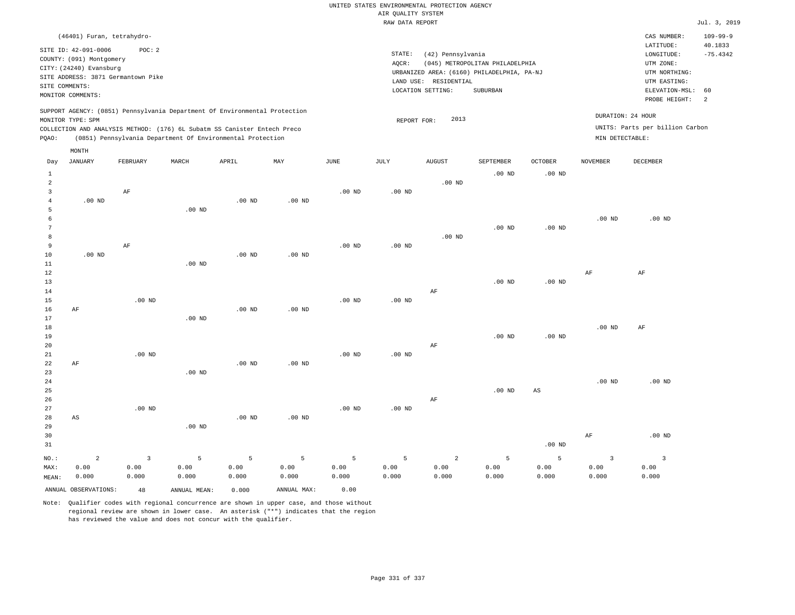| (46401) Furan, tetrahydro-                                                                                                                                                                                                                         |                |                 |                                                                 |                                                                                           |               |                             |                                                                                            |                                      | CAS NUMBER:                                      | $109 - 99 - 9$ |
|----------------------------------------------------------------------------------------------------------------------------------------------------------------------------------------------------------------------------------------------------|----------------|-----------------|-----------------------------------------------------------------|-------------------------------------------------------------------------------------------|---------------|-----------------------------|--------------------------------------------------------------------------------------------|--------------------------------------|--------------------------------------------------|----------------|
| SITE ID: 42-091-0006<br>POC:2<br>COUNTY: (091) Montgomery<br>CITY: (24240) Evansburg<br>SITE ADDRESS: 3871 Germantown Pike<br>SITE COMMENTS:<br>MONITOR COMMENTS:                                                                                  |                | STATE:<br>AQCR: | (42) Pennsylvania<br>LAND USE: RESIDENTIAL<br>LOCATION SETTING: | (045) METROPOLITAN PHILADELPHIA<br>URBANIZED AREA: (6160) PHILADELPHIA, PA-NJ<br>SUBURBAN |               |                             | LATITUDE:<br>LONGITUDE:<br>UTM ZONE:<br>UTM NORTHING:<br>UTM EASTING:<br>ELEVATION-MSL: 60 | 40.1833<br>$-75.4342$                |                                                  |                |
| SUPPORT AGENCY: (0851) Pennsylvania Department Of Environmental Protection<br>MONITOR TYPE: SPM<br>COLLECTION AND ANALYSIS METHOD: (176) 6L Subatm SS Canister Entech Preco<br>(0851) Pennsylvania Department Of Environmental Protection<br>POAO: |                |                 |                                                                 | REPORT FOR:                                                                               | 2013          |                             |                                                                                            | DURATION: 24 HOUR<br>MIN DETECTABLE: | PROBE HEIGHT:<br>UNITS: Parts per billion Carbon | $\overline{2}$ |
| MONTH<br>JANUARY<br>FEBRUARY<br>Day                                                                                                                                                                                                                | MARCH<br>APRIL | MAY             | JUNE                                                            | JULY                                                                                      | <b>AUGUST</b> | SEPTEMBER<br>$00 \text{ m}$ | OCTOBER<br>$00 \text{ m}$                                                                  | <b>NOVEMBER</b>                      | DECEMBER                                         |                |

| $\mathbf{1}$<br>$\overline{a}$ |                      |                         |                 |                |                |                |                | $.00$ ND       | $.00$ ND       | $.00$ ND               |                         |                          |
|--------------------------------|----------------------|-------------------------|-----------------|----------------|----------------|----------------|----------------|----------------|----------------|------------------------|-------------------------|--------------------------|
| 3                              |                      | $\rm{AF}$               |                 |                |                | $.00$ ND       | .00 $ND$       |                |                |                        |                         |                          |
| $\overline{4}$                 | $.00$ ND             |                         |                 | $.00$ ND       | $.00$ ND       |                |                |                |                |                        |                         |                          |
| 5                              |                      |                         | $.00$ ND        |                |                |                |                |                |                |                        |                         |                          |
| 6                              |                      |                         |                 |                |                |                |                |                |                |                        | $.00$ ND                | $.00$ ND                 |
| 7                              |                      |                         |                 |                |                |                |                |                | $.00$ ND       | .00 $ND$               |                         |                          |
| 8                              |                      |                         |                 |                |                |                |                | .00 $ND$       |                |                        |                         |                          |
| 9                              |                      | $\rm AF$                |                 |                |                | $.00$ ND       | $.00$ ND       |                |                |                        |                         |                          |
| 10                             | $.00$ ND             |                         |                 | $.00$ ND       | $.00$ ND       |                |                |                |                |                        |                         |                          |
| 11                             |                      |                         | $.00$ ND        |                |                |                |                |                |                |                        |                         |                          |
| 12                             |                      |                         |                 |                |                |                |                |                |                |                        | $\rm AF$                | $\rm AF$                 |
| 13                             |                      |                         |                 |                |                |                |                |                | $.00$ ND       | $.00$ ND               |                         |                          |
| 14                             |                      |                         |                 |                |                |                |                | $\rm{AF}$      |                |                        |                         |                          |
| 15                             |                      | $.00$ ND                |                 |                |                | $.00$ ND       | .00 $ND$       |                |                |                        |                         |                          |
| 16                             | $\rm AF$             |                         |                 | $.00$ ND       | $.00$ ND       |                |                |                |                |                        |                         |                          |
| 17                             |                      |                         | $.00$ ND        |                |                |                |                |                |                |                        |                         |                          |
| 18                             |                      |                         |                 |                |                |                |                |                |                |                        | $.00$ ND                | AF                       |
| 19                             |                      |                         |                 |                |                |                |                |                | $.00$ ND       | .00 $ND$               |                         |                          |
| 20                             |                      |                         |                 |                |                |                |                | $\rm AF$       |                |                        |                         |                          |
| 21                             |                      | $.00$ ND                |                 |                |                | $.00$ ND       | .00 $ND$       |                |                |                        |                         |                          |
| $2\sqrt{2}$                    | $\rm AF$             |                         |                 | $.00$ ND       | $.00$ ND       |                |                |                |                |                        |                         |                          |
| 23                             |                      |                         | $.00$ ND        |                |                |                |                |                |                |                        |                         |                          |
| 24                             |                      |                         |                 |                |                |                |                |                |                |                        | $.00$ ND                | $.00$ ND                 |
| 25                             |                      |                         |                 |                |                |                |                |                | $.00$ ND       | $\mathbb{A}\mathbb{S}$ |                         |                          |
| 26                             |                      |                         |                 |                |                |                |                | $\rm AF$       |                |                        |                         |                          |
| 27                             |                      | $.00$ ND                |                 |                |                | $.00$ ND       | $.00$ ND       |                |                |                        |                         |                          |
| 28                             | AS                   |                         |                 | $.00$ ND       | $.00$ ND       |                |                |                |                |                        |                         |                          |
| 29                             |                      |                         | $.00$ ND        |                |                |                |                |                |                |                        |                         |                          |
| 30                             |                      |                         |                 |                |                |                |                |                |                |                        | $\rm AF$                | $.00$ ND                 |
| 31                             |                      |                         |                 |                |                |                |                |                |                | $.00$ ND               |                         |                          |
| $NO.$ :                        | $\sqrt{2}$           | $\overline{\mathbf{3}}$ | $5\phantom{.0}$ | $\overline{5}$ | $\overline{5}$ | $\overline{5}$ | $\overline{5}$ | $\overline{a}$ | $\overline{5}$ | 5                      | $\overline{\mathbf{3}}$ | $\overline{\phantom{a}}$ |
| MAX:                           | 0.00                 | 0.00                    | 0.00            | 0.00           | 0.00           | 0.00           | 0.00           | 0.00           | 0.00           | 0.00                   | 0.00                    | 0.00                     |
| MEAN:                          | 0.000                | 0.000                   | 0.000           | 0.000          | 0.000          | 0.000          | 0.000          | 0.000          | 0.000          | 0.000                  | 0.000                   | 0.000                    |
|                                | ANNUAL OBSERVATIONS: | 48                      | ANNUAL MEAN:    | 0.000          | ANNUAL MAX:    | 0.00           |                |                |                |                        |                         |                          |

Note: Qualifier codes with regional concurrence are shown in upper case, and those without regional review are shown in lower case. An asterisk ("\*") indicates that the region

has reviewed the value and does not concur with the qualifier.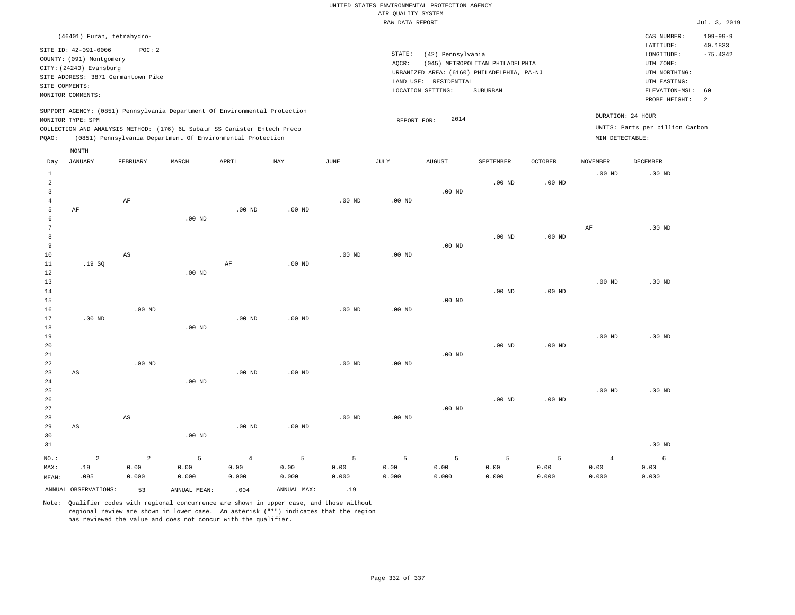| (46401) Furan, tetrahydro-                                                                                                                                                                                                                         |                                                                                                                                                                                 | CAS NUMBER:                                                                                                   | $109 - 99 - 9$        |
|----------------------------------------------------------------------------------------------------------------------------------------------------------------------------------------------------------------------------------------------------|---------------------------------------------------------------------------------------------------------------------------------------------------------------------------------|---------------------------------------------------------------------------------------------------------------|-----------------------|
| SITE ID: 42-091-0006<br>POC:2<br>COUNTY: (091) Montgomery<br>CITY: (24240) Evansburg<br>SITE ADDRESS: 3871 Germantown Pike<br>SITE COMMENTS:<br>MONITOR COMMENTS:                                                                                  | STATE:<br>(42) Pennsylvania<br>(045) METROPOLITAN PHILADELPHIA<br>AOCR:<br>URBANIZED AREA: (6160) PHILADELPHIA, PA-NJ<br>LAND USE: RESIDENTIAL<br>LOCATION SETTING:<br>SUBURBAN | LATITUDE:<br>LONGITUDE:<br>UTM ZONE:<br>UTM NORTHING:<br>UTM EASTING:<br>ELEVATION-MSL: 60<br>PROBE HEIGHT: 2 | 40.1833<br>$-75.4342$ |
| SUPPORT AGENCY: (0851) Pennsylvania Department Of Environmental Protection<br>MONITOR TYPE: SPM<br>COLLECTION AND ANALYSIS METHOD: (176) 6L Subatm SS Canister Entech Preco<br>(0851) Pennsylvania Department Of Environmental Protection<br>POAO: | DURATION: 24 HOUR<br>2014<br>REPORT FOR:<br>MIN DETECTABLE:                                                                                                                     | UNITS: Parts per billion Carbon                                                                               |                       |

|                                     | MONTH                  |                        |              |                   |             |                 |                |               |           |                   |                 |                   |
|-------------------------------------|------------------------|------------------------|--------------|-------------------|-------------|-----------------|----------------|---------------|-----------|-------------------|-----------------|-------------------|
| Day                                 | <b>JANUARY</b>         | FEBRUARY               | MARCH        | APRIL             | MAY         | $\mathtt{JUNE}$ | JULY           | <b>AUGUST</b> | SEPTEMBER | OCTOBER           | <b>NOVEMBER</b> | DECEMBER          |
| $\mathbf{1}$<br>$\overline{a}$<br>3 |                        |                        |              |                   |             |                 |                | $.00$ ND      | $.00$ ND  | .00 <sub>ND</sub> | $.00$ ND        | $.00$ ND          |
| $\overline{4}$                      |                        | $\rm AF$               |              |                   |             | $.00$ ND        | $.00$ ND       |               |           |                   |                 |                   |
| 5                                   | $\rm AF$               |                        |              | .00 <sub>ND</sub> | $.00$ ND    |                 |                |               |           |                   |                 |                   |
| 6                                   |                        |                        | $.00$ ND     |                   |             |                 |                |               |           |                   |                 |                   |
| 7                                   |                        |                        |              |                   |             |                 |                |               |           |                   | AF              | $.00$ ND          |
| 8                                   |                        |                        |              |                   |             |                 |                |               | $.00$ ND  | $.00$ ND          |                 |                   |
| 9<br>10                             |                        | $\mathbb{A}\mathbb{S}$ |              |                   |             | $.00$ ND        |                | $.00$ ND      |           |                   |                 |                   |
| 11                                  | .19SQ                  |                        |              | $\rm AF$          | $.00$ ND    |                 | .00 $ND$       |               |           |                   |                 |                   |
| 12                                  |                        |                        | $.00$ ND     |                   |             |                 |                |               |           |                   |                 |                   |
| 13                                  |                        |                        |              |                   |             |                 |                |               |           |                   | $.00$ ND        | .00 <sub>ND</sub> |
| 14                                  |                        |                        |              |                   |             |                 |                |               | $.00$ ND  | $.00$ ND          |                 |                   |
| 15                                  |                        |                        |              |                   |             |                 |                | $.00$ ND      |           |                   |                 |                   |
| 16                                  |                        | $.00$ ND               |              |                   |             | $.00$ ND        | $.00$ ND       |               |           |                   |                 |                   |
| 17                                  | $.00$ ND               |                        |              | .00 <sub>ND</sub> | $.00$ ND    |                 |                |               |           |                   |                 |                   |
| 18                                  |                        |                        | $.00$ ND     |                   |             |                 |                |               |           |                   |                 |                   |
| 19                                  |                        |                        |              |                   |             |                 |                |               |           |                   | $.00$ ND        | $.00$ ND          |
| 20                                  |                        |                        |              |                   |             |                 |                |               | $.00$ ND  | $.00$ ND          |                 |                   |
| 21                                  |                        |                        |              |                   |             |                 |                | $.00$ ND      |           |                   |                 |                   |
| 22                                  |                        | $.00$ ND               |              |                   |             | $.00$ ND        | $.00$ ND       |               |           |                   |                 |                   |
| 23                                  | $\mathbb{A}\mathbb{S}$ |                        |              | .00 <sub>ND</sub> | $.00$ ND    |                 |                |               |           |                   |                 |                   |
| 24                                  |                        |                        | $.00$ ND     |                   |             |                 |                |               |           |                   |                 |                   |
| 25<br>26                            |                        |                        |              |                   |             |                 |                |               | $.00$ ND  |                   | $.00$ ND        | .00 <sub>ND</sub> |
| 27                                  |                        |                        |              |                   |             |                 |                | $.00$ ND      |           | $.00$ ND          |                 |                   |
| 28                                  |                        | $\mathbb{A}\mathbb{S}$ |              |                   |             | $.00$ ND        | .00 $ND$       |               |           |                   |                 |                   |
| 29                                  | $\mathbb{A}\mathbb{S}$ |                        |              | .00 <sub>ND</sub> | $.00$ ND    |                 |                |               |           |                   |                 |                   |
| 30                                  |                        |                        | $.00$ ND     |                   |             |                 |                |               |           |                   |                 |                   |
| 31                                  |                        |                        |              |                   |             |                 |                |               |           |                   |                 | $.00$ ND          |
| $NO.$ :                             | $\mathbf 2$            | $\sqrt{2}$             | 5            | $\overline{4}$    | 5           | 5               | $\overline{5}$ | 5             | 5         | 5                 | $\overline{4}$  | 6                 |
| MAX:                                | .19                    | 0.00                   | 0.00         | 0.00              | 0.00        | 0.00            | 0.00           | 0.00          | 0.00      | 0.00              | 0.00            | 0.00              |
| MEAN:                               | .095                   | 0.000                  | 0.000        | 0.000             | 0.000       | 0.000           | 0.000          | 0.000         | 0.000     | 0.000             | 0.000           | 0.000             |
|                                     | ANNUAL OBSERVATIONS:   | 53                     | ANNUAL MEAN: | .004              | ANNUAL MAX: | .19             |                |               |           |                   |                 |                   |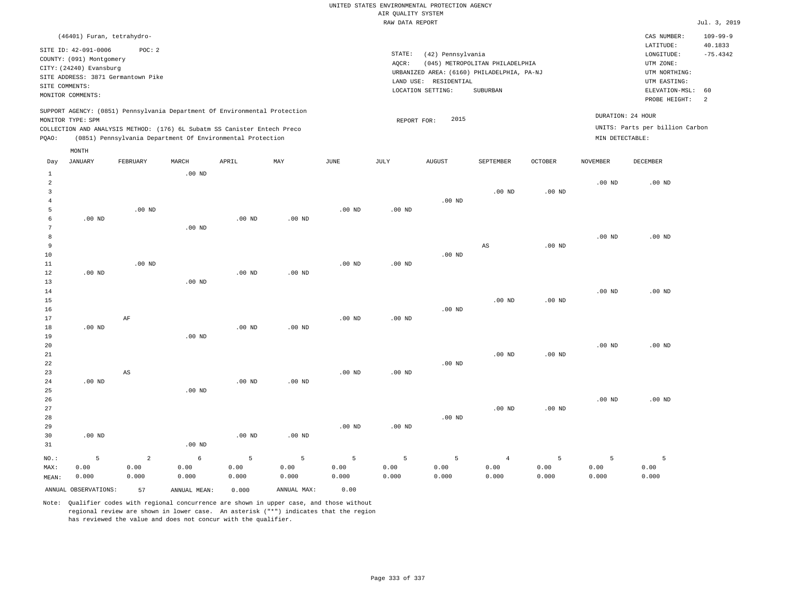| (46401) Furan, tetrahydro-                                                                                                                                                                                                                         |                                                                                                                                                                                 | CAS NUMBER:                                                                                                 | $109 - 99 - 9$                                      |
|----------------------------------------------------------------------------------------------------------------------------------------------------------------------------------------------------------------------------------------------------|---------------------------------------------------------------------------------------------------------------------------------------------------------------------------------|-------------------------------------------------------------------------------------------------------------|-----------------------------------------------------|
| SITE ID: 42-091-0006<br>POC:2<br>COUNTY: (091) Montgomery<br>CITY: (24240) Evansburg<br>SITE ADDRESS: 3871 Germantown Pike<br>SITE COMMENTS:<br>MONITOR COMMENTS:                                                                                  | STATE:<br>(42) Pennsylvania<br>(045) METROPOLITAN PHILADELPHIA<br>AOCR:<br>URBANIZED AREA: (6160) PHILADELPHIA, PA-NJ<br>LAND USE: RESIDENTIAL<br>SUBURBAN<br>LOCATION SETTING: | LATITUDE:<br>LONGITUDE:<br>UTM ZONE:<br>UTM NORTHING:<br>UTM EASTING:<br>ELEVATION-MSL: 60<br>PROBE HEIGHT: | 40.1833<br>$-75.4342$<br>$\overline{\phantom{0}}^2$ |
| SUPPORT AGENCY: (0851) Pennsylvania Department Of Environmental Protection<br>MONITOR TYPE: SPM<br>COLLECTION AND ANALYSIS METHOD: (176) 6L Subatm SS Canister Entech Preco<br>(0851) Pennsylvania Department Of Environmental Protection<br>POAO: | 2015<br>REPORT FOR:                                                                                                                                                             | DURATION: 24 HOUR<br>UNITS: Parts per billion Carbon<br>MIN DETECTABLE:                                     |                                                     |

| Day            | JANUARY              | FEBRUARY               | MARCH        | APRIL    | MAY               | JUNE     | JULY           | AUGUST   | SEPTEMBER         | OCTOBER           | <b>NOVEMBER</b> | DECEMBER |
|----------------|----------------------|------------------------|--------------|----------|-------------------|----------|----------------|----------|-------------------|-------------------|-----------------|----------|
| 1              |                      |                        | $.00$ ND     |          |                   |          |                |          |                   |                   |                 |          |
| 2              |                      |                        |              |          |                   |          |                |          |                   |                   | $.00$ ND        | $.00$ ND |
| 3              |                      |                        |              |          |                   |          |                |          | .00 <sub>ND</sub> | .00 <sub>ND</sub> |                 |          |
| $\overline{4}$ |                      |                        |              |          |                   |          |                | $.00$ ND |                   |                   |                 |          |
| 5              |                      | $.00$ ND               |              |          |                   | $.00$ ND | $.00$ ND       |          |                   |                   |                 |          |
| 6<br>7         | $.00$ ND             |                        |              | $.00$ ND | $.00$ ND          |          |                |          |                   |                   |                 |          |
|                |                      |                        | $.00$ ND     |          |                   |          |                |          |                   |                   |                 |          |
| 8<br>9         |                      |                        |              |          |                   |          |                |          | AS                | $.00$ ND          | $.00$ ND        | $.00$ ND |
| 10             |                      |                        |              |          |                   |          |                | $.00$ ND |                   |                   |                 |          |
| 11             |                      | $.00$ ND               |              |          |                   | $.00$ ND | $.00$ ND       |          |                   |                   |                 |          |
| 12             | $.00$ ND             |                        |              | $.00$ ND | .00 <sub>ND</sub> |          |                |          |                   |                   |                 |          |
| 13             |                      |                        | $.00$ ND     |          |                   |          |                |          |                   |                   |                 |          |
| 14             |                      |                        |              |          |                   |          |                |          |                   |                   | $.00$ ND        | $.00$ ND |
| 15             |                      |                        |              |          |                   |          |                |          | $.00$ ND          | .00 <sub>ND</sub> |                 |          |
| 16             |                      |                        |              |          |                   |          |                | $.00$ ND |                   |                   |                 |          |
| 17             |                      | AF                     |              |          |                   | $.00$ ND | $.00$ ND       |          |                   |                   |                 |          |
| 18             | $.00$ ND             |                        |              | $.00$ ND | .00 <sub>ND</sub> |          |                |          |                   |                   |                 |          |
| 19             |                      |                        | $.00$ ND     |          |                   |          |                |          |                   |                   |                 |          |
| 20             |                      |                        |              |          |                   |          |                |          |                   |                   | $.00$ ND        | $.00$ ND |
| 21             |                      |                        |              |          |                   |          |                |          | $.00$ ND          | .00 <sub>ND</sub> |                 |          |
| 22             |                      |                        |              |          |                   |          |                | $.00$ ND |                   |                   |                 |          |
| 23             |                      | $\mathbb{A}\mathbb{S}$ |              |          |                   | $.00$ ND | $.00$ ND       |          |                   |                   |                 |          |
| 24             | $.00$ ND             |                        |              | $.00$ ND | $.00$ ND          |          |                |          |                   |                   |                 |          |
| 25             |                      |                        | $.00$ ND     |          |                   |          |                |          |                   |                   |                 |          |
| 26             |                      |                        |              |          |                   |          |                |          |                   |                   | $.00$ ND        | $.00$ ND |
| 27             |                      |                        |              |          |                   |          |                |          | $.00$ ND          | $.00$ ND          |                 |          |
| 28             |                      |                        |              |          |                   |          |                | $.00$ ND |                   |                   |                 |          |
| 29             |                      |                        |              |          |                   | $.00$ ND | $.00$ ND       |          |                   |                   |                 |          |
| 30             | $.00$ ND             |                        |              | $.00$ ND | .00 <sub>ND</sub> |          |                |          |                   |                   |                 |          |
| 31             |                      |                        | $.00$ ND     |          |                   |          |                |          |                   |                   |                 |          |
| NO.:           | 5                    | $\overline{a}$         | 6            | 5        | 5                 | 5        | $\overline{5}$ | 5        | $\overline{4}$    | 5                 | 5               | 5        |
| MAX:           | 0.00                 | 0.00                   | 0.00         | 0.00     | 0.00              | 0.00     | 0.00           | 0.00     | 0.00              | 0.00              | 0.00            | 0.00     |
| MEAN:          | 0.000                | 0.000                  | 0.000        | 0.000    | 0.000             | 0.000    | 0.000          | 0.000    | 0.000             | 0.000             | 0.000           | 0.000    |
|                | ANNUAL OBSERVATIONS: | 57                     | ANNUAL MEAN: | 0.000    | ANNUAL MAX:       | 0.00     |                |          |                   |                   |                 |          |

Note: Qualifier codes with regional concurrence are shown in upper case, and those without regional review are shown in lower case. An asterisk ("\*") indicates that the region has reviewed the value and does not concur with the qualifier.

MONTH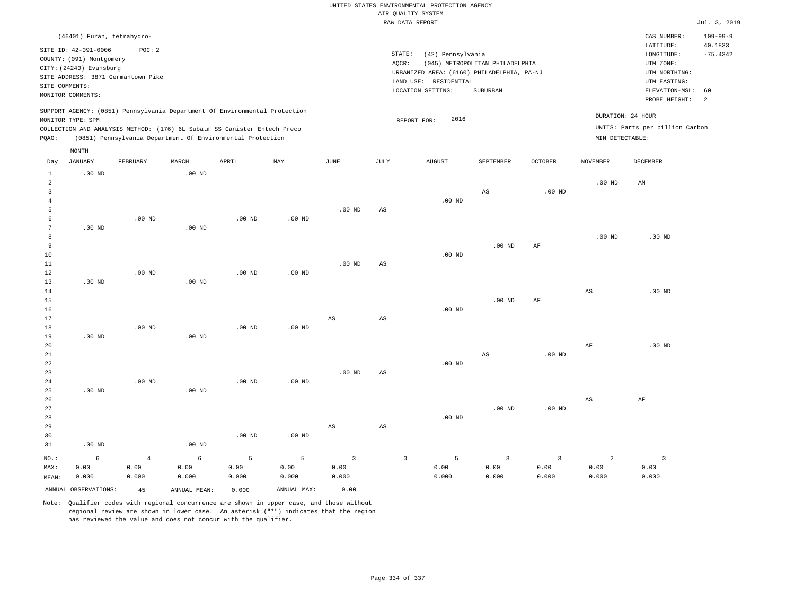# UNITED STATES ENVIRONMENTAL PROTECTION AGENCY AIR QUALITY SYSTEM

|                |                            |                                    |          |                                                                            |          |                   |                        | RAW DATA REPORT                            |                                 |                   |                   |                                 | Jul. 3, 2019              |
|----------------|----------------------------|------------------------------------|----------|----------------------------------------------------------------------------|----------|-------------------|------------------------|--------------------------------------------|---------------------------------|-------------------|-------------------|---------------------------------|---------------------------|
|                | (46401) Furan, tetrahydro- |                                    |          |                                                                            |          |                   |                        |                                            |                                 |                   |                   | CAS NUMBER:<br>LATITUDE:        | $109 - 99 - 9$<br>40.1833 |
|                | SITE ID: 42-091-0006       | POC: 2                             |          |                                                                            |          |                   | STATE:                 | (42) Pennsylvania                          |                                 |                   |                   | LONGITUDE:                      | $-75.4342$                |
|                | COUNTY: (091) Montgomery   |                                    |          |                                                                            |          |                   | AQCR:                  |                                            | (045) METROPOLITAN PHILADELPHIA |                   |                   | UTM ZONE:                       |                           |
|                | CITY: (24240) Evansburg    |                                    |          |                                                                            |          |                   |                        | URBANIZED AREA: (6160) PHILADELPHIA, PA-NJ |                                 |                   |                   | UTM NORTHING:                   |                           |
|                |                            | SITE ADDRESS: 3871 Germantown Pike |          |                                                                            |          |                   |                        | LAND USE: RESIDENTIAL                      |                                 |                   |                   | UTM EASTING:                    |                           |
|                | SITE COMMENTS:             |                                    |          |                                                                            |          |                   |                        | LOCATION SETTING:                          | SUBURBAN                        |                   |                   | ELEVATION-MSL:                  | 60                        |
|                | MONITOR COMMENTS:          |                                    |          |                                                                            |          |                   |                        |                                            |                                 |                   |                   | PROBE HEIGHT:                   | $\overline{2}$            |
|                | MONITOR TYPE: SPM          |                                    |          | SUPPORT AGENCY: (0851) Pennsylvania Department Of Environmental Protection |          |                   |                        | 2016<br>REPORT FOR:                        |                                 |                   |                   | DURATION: 24 HOUR               |                           |
|                |                            |                                    |          | COLLECTION AND ANALYSIS METHOD: (176) 6L Subatm SS Canister Entech Preco   |          |                   |                        |                                            |                                 |                   |                   | UNITS: Parts per billion Carbon |                           |
| PQAO:          |                            |                                    |          | (0851) Pennsylvania Department Of Environmental Protection                 |          |                   |                        |                                            |                                 |                   | MIN DETECTABLE:   |                                 |                           |
|                | MONTH                      |                                    |          |                                                                            |          |                   |                        |                                            |                                 |                   |                   |                                 |                           |
| Day            | JANUARY                    | FEBRUARY                           | MARCH    | APRIL                                                                      | MAY      | JUNE              | JULY                   | AUGUST                                     | SEPTEMBER                       | <b>OCTOBER</b>    | <b>NOVEMBER</b>   | DECEMBER                        |                           |
| $\mathbf{1}$   | $.00$ ND                   |                                    | $.00$ ND |                                                                            |          |                   |                        |                                            |                                 |                   |                   |                                 |                           |
| $\overline{a}$ |                            |                                    |          |                                                                            |          |                   |                        |                                            |                                 |                   | .00 <sub>ND</sub> | AM                              |                           |
| $\overline{3}$ |                            |                                    |          |                                                                            |          |                   |                        |                                            | AS                              | .00 <sub>ND</sub> |                   |                                 |                           |
| 4              |                            |                                    |          |                                                                            |          |                   |                        | $.00$ ND                                   |                                 |                   |                   |                                 |                           |
| 5              |                            |                                    |          |                                                                            |          | .00 <sub>ND</sub> | AS                     |                                            |                                 |                   |                   |                                 |                           |
| 6              |                            | $.00$ ND                           |          | $.00$ ND                                                                   | $.00$ ND |                   |                        |                                            |                                 |                   |                   |                                 |                           |
| $\overline{7}$ | $.00$ ND                   |                                    | $.00$ ND |                                                                            |          |                   |                        |                                            |                                 |                   |                   |                                 |                           |
| 8              |                            |                                    |          |                                                                            |          |                   |                        |                                            |                                 |                   | .00 <sub>ND</sub> | $.00$ ND                        |                           |
| 9              |                            |                                    |          |                                                                            |          |                   |                        |                                            | $.00$ ND                        | AF                |                   |                                 |                           |
| 10             |                            |                                    |          |                                                                            |          |                   |                        | .00 <sub>ND</sub>                          |                                 |                   |                   |                                 |                           |
| 11             |                            |                                    |          |                                                                            |          | $.00$ ND          | $\mathbb{A}\mathbb{S}$ |                                            |                                 |                   |                   |                                 |                           |
| 12             |                            | $.00$ ND                           |          | $.00$ ND                                                                   | $.00$ ND |                   |                        |                                            |                                 |                   |                   |                                 |                           |
| 13             | $.00$ ND                   |                                    | $.00$ ND |                                                                            |          |                   |                        |                                            |                                 |                   |                   |                                 |                           |
| 14             |                            |                                    |          |                                                                            |          |                   |                        |                                            |                                 |                   | AS                | $.00$ ND                        |                           |
| 15             |                            |                                    |          |                                                                            |          |                   |                        |                                            | $.00$ ND                        | AF                |                   |                                 |                           |
| 16             |                            |                                    |          |                                                                            |          |                   |                        | $.00$ ND                                   |                                 |                   |                   |                                 |                           |
| 17             |                            |                                    |          |                                                                            |          | $_{\rm AS}$       | $_{\rm AS}$            |                                            |                                 |                   |                   |                                 |                           |
| 18             |                            | $.00$ ND                           |          | $.00$ ND                                                                   | $.00$ ND |                   |                        |                                            |                                 |                   |                   |                                 |                           |
| 19             | $.00$ ND                   |                                    | $.00$ ND |                                                                            |          |                   |                        |                                            |                                 |                   |                   |                                 |                           |
| 20             |                            |                                    |          |                                                                            |          |                   |                        |                                            |                                 |                   | AF                | $.00$ ND                        |                           |
| 21             |                            |                                    |          |                                                                            |          |                   |                        |                                            | $\mathbb{A}\mathbb{S}$          | .00 <sub>ND</sub> |                   |                                 |                           |
| 22             |                            |                                    |          |                                                                            |          |                   |                        | .00 <sub>ND</sub>                          |                                 |                   |                   |                                 |                           |
| 23             |                            |                                    |          |                                                                            |          | $.00$ ND          | $\mathbb{A}\mathbb{S}$ |                                            |                                 |                   |                   |                                 |                           |
| 24             |                            | .00 <sub>ND</sub>                  |          | $.00$ ND                                                                   | $.00$ ND |                   |                        |                                            |                                 |                   |                   |                                 |                           |

 .00 ND .00 ND .00 ND AS AS .00 ND .00 ND .00 ND AS AF

31 .00 ND NO.: MAX: MEAN: 6 0.00 0.000 .00 ND 4 0.00 0.000 6 0.00 0.000 5 0.00 0.000 5 0.00 0.000 3 0.00 0.000 0 5 0.00 0.000 3 0.00 0.000 3 0.00 0.000 2 0.00 0.000 3 0.00 0.000 ANNUAL OBSERVATIONS: 45 ANNUAL MEAN: 0.000 ANNUAL MAX: 0.00

Note: Qualifier codes with regional concurrence are shown in upper case, and those without regional review are shown in lower case. An asterisk ("\*") indicates that the region has reviewed the value and does not concur with the qualifier.

.00 ND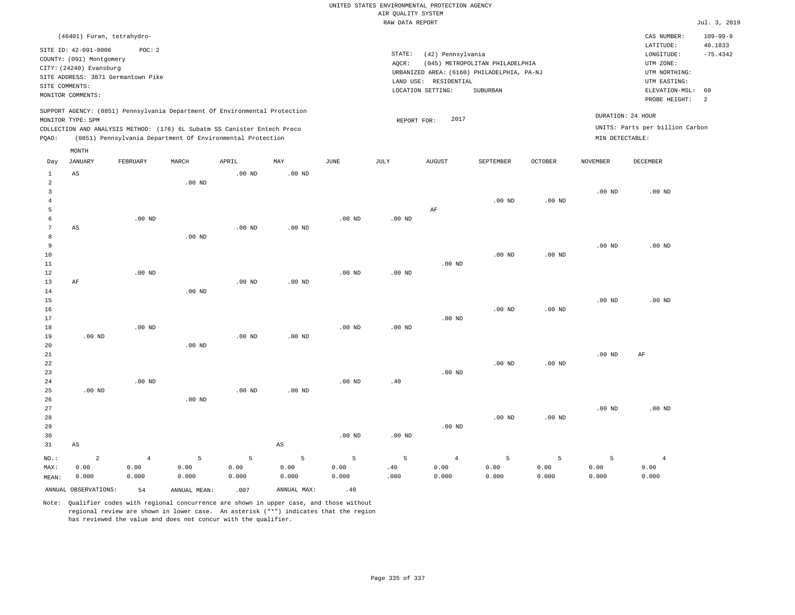|                     |                            |                                    |          |                                                                                                                                        |                   |          | UNITED STATES ENVIRONMENTAL PROTECTION AGENCY<br>AIR QUALITY SYSTEM |                       |                                            |                   |                   |                                 |                       |
|---------------------|----------------------------|------------------------------------|----------|----------------------------------------------------------------------------------------------------------------------------------------|-------------------|----------|---------------------------------------------------------------------|-----------------------|--------------------------------------------|-------------------|-------------------|---------------------------------|-----------------------|
|                     |                            |                                    |          |                                                                                                                                        |                   |          | RAW DATA REPORT                                                     |                       |                                            |                   |                   |                                 | Jul. 3, 2019          |
|                     | (46401) Furan, tetrahydro- |                                    |          |                                                                                                                                        |                   |          |                                                                     |                       |                                            |                   |                   | CAS NUMBER:                     | $109 - 99 - 9$        |
|                     | SITE ID: 42-091-0006       | POC: 2                             |          |                                                                                                                                        |                   |          | STATE:                                                              | (42) Pennsylvania     |                                            |                   |                   | LATITUDE:<br>LONGITUDE:         | 40.1833<br>$-75.4342$ |
|                     | COUNTY: (091) Montgomery   |                                    |          |                                                                                                                                        |                   |          | AOCR:                                                               |                       | (045) METROPOLITAN PHILADELPHIA            |                   |                   | UTM ZONE:                       |                       |
|                     | CITY: (24240) Evansburg    |                                    |          |                                                                                                                                        |                   |          |                                                                     |                       | URBANIZED AREA: (6160) PHILADELPHIA, PA-NJ |                   |                   | UTM NORTHING:                   |                       |
|                     |                            | SITE ADDRESS: 3871 Germantown Pike |          |                                                                                                                                        |                   |          |                                                                     | LAND USE: RESIDENTIAL |                                            |                   |                   | UTM EASTING:                    |                       |
| SITE COMMENTS:      | MONITOR COMMENTS:          |                                    |          |                                                                                                                                        |                   |          |                                                                     | LOCATION SETTING:     | SUBURBAN                                   |                   |                   | ELEVATION-MSL:                  | 60                    |
|                     |                            |                                    |          |                                                                                                                                        |                   |          |                                                                     |                       |                                            |                   |                   | PROBE HEIGHT:                   | 2                     |
|                     |                            |                                    |          | SUPPORT AGENCY: (0851) Pennsylvania Department Of Environmental Protection                                                             |                   |          |                                                                     |                       |                                            |                   |                   | DURATION: 24 HOUR               |                       |
|                     | MONITOR TYPE: SPM          |                                    |          |                                                                                                                                        |                   |          | REPORT FOR:                                                         | 2017                  |                                            |                   |                   | UNITS: Parts per billion Carbon |                       |
| PQAO:               |                            |                                    |          | COLLECTION AND ANALYSIS METHOD: (176) 6L Subatm SS Canister Entech Preco<br>(0851) Pennsylvania Department Of Environmental Protection |                   |          |                                                                     |                       |                                            |                   | MIN DETECTABLE:   |                                 |                       |
|                     | MONTH                      |                                    |          |                                                                                                                                        |                   |          |                                                                     |                       |                                            |                   |                   |                                 |                       |
| Day                 | <b>JANUARY</b>             | FEBRUARY                           | MARCH    | APRIL                                                                                                                                  | MAY               | JUNE     | JULY                                                                | <b>AUGUST</b>         | SEPTEMBER                                  | <b>OCTOBER</b>    | NOVEMBER          | DECEMBER                        |                       |
| $\mathbf{1}$        | AS                         |                                    |          | $.00$ ND                                                                                                                               | $.00$ ND          |          |                                                                     |                       |                                            |                   |                   |                                 |                       |
| $\sqrt{2}$          |                            |                                    | $.00$ ND |                                                                                                                                        |                   |          |                                                                     |                       |                                            |                   |                   |                                 |                       |
| $\overline{3}$      |                            |                                    |          |                                                                                                                                        |                   |          |                                                                     |                       |                                            |                   | .00 <sub>ND</sub> | $.00$ ND                        |                       |
| $\overline{4}$      |                            |                                    |          |                                                                                                                                        |                   |          |                                                                     |                       | $.00$ ND                                   | $.00$ ND          |                   |                                 |                       |
| $\overline{5}$      |                            |                                    |          |                                                                                                                                        |                   |          |                                                                     | AF                    |                                            |                   |                   |                                 |                       |
| 6<br>$\overline{7}$ |                            | $.00$ ND                           |          |                                                                                                                                        |                   | $.00$ ND | $.00$ ND                                                            |                       |                                            |                   |                   |                                 |                       |
| 8                   | AS                         |                                    | $.00$ ND | .00 <sub>ND</sub>                                                                                                                      | .00 <sub>ND</sub> |          |                                                                     |                       |                                            |                   |                   |                                 |                       |
| $\overline{9}$      |                            |                                    |          |                                                                                                                                        |                   |          |                                                                     |                       |                                            |                   | .00 <sub>ND</sub> | $.00$ ND                        |                       |
| $10$                |                            |                                    |          |                                                                                                                                        |                   |          |                                                                     |                       | $.00$ ND                                   | $.00$ ND          |                   |                                 |                       |
| $1\,1$              |                            |                                    |          |                                                                                                                                        |                   |          |                                                                     | $.00$ ND              |                                            |                   |                   |                                 |                       |
| 12                  |                            | $.00$ ND                           |          |                                                                                                                                        |                   | $.00$ ND | $.00$ ND                                                            |                       |                                            |                   |                   |                                 |                       |
| 13                  | AF                         |                                    |          | $.00$ ND                                                                                                                               | $.00$ ND          |          |                                                                     |                       |                                            |                   |                   |                                 |                       |
| 14                  |                            |                                    | $.00$ ND |                                                                                                                                        |                   |          |                                                                     |                       |                                            |                   |                   |                                 |                       |
| 15                  |                            |                                    |          |                                                                                                                                        |                   |          |                                                                     |                       |                                            |                   | $.00$ ND          | $.00$ ND                        |                       |
| 16                  |                            |                                    |          |                                                                                                                                        |                   |          |                                                                     |                       | $.00$ ND                                   | $.00$ ND          |                   |                                 |                       |
| 17                  |                            |                                    |          |                                                                                                                                        |                   |          |                                                                     | $.00$ ND              |                                            |                   |                   |                                 |                       |
| 18                  |                            | $.00$ ND                           |          |                                                                                                                                        |                   | $.00$ ND | $.00$ ND                                                            |                       |                                            |                   |                   |                                 |                       |
| 19                  | $.00$ ND                   |                                    |          | .00 <sub>ND</sub>                                                                                                                      | $.00$ ND          |          |                                                                     |                       |                                            |                   |                   |                                 |                       |
| 20<br>21            |                            |                                    | $.00$ ND |                                                                                                                                        |                   |          |                                                                     |                       |                                            |                   | $.00$ ND          |                                 |                       |
| 22                  |                            |                                    |          |                                                                                                                                        |                   |          |                                                                     |                       | $.00$ ND                                   | $.00$ ND          |                   | AF                              |                       |
| 23                  |                            |                                    |          |                                                                                                                                        |                   |          |                                                                     | $.00$ ND              |                                            |                   |                   |                                 |                       |
| 24                  |                            | $.00$ ND                           |          |                                                                                                                                        |                   | $.00$ ND | .40                                                                 |                       |                                            |                   |                   |                                 |                       |
| 25                  | $.00$ ND                   |                                    |          | .00 <sub>ND</sub>                                                                                                                      | .00 <sub>ND</sub> |          |                                                                     |                       |                                            |                   |                   |                                 |                       |
| 26                  |                            |                                    | $.00$ ND |                                                                                                                                        |                   |          |                                                                     |                       |                                            |                   |                   |                                 |                       |
| 27                  |                            |                                    |          |                                                                                                                                        |                   |          |                                                                     |                       |                                            |                   | $.00$ ND          | $.00$ ND                        |                       |
| 28                  |                            |                                    |          |                                                                                                                                        |                   |          |                                                                     |                       | $.00$ ND                                   | .00 <sub>ND</sub> |                   |                                 |                       |
| 29                  |                            |                                    |          |                                                                                                                                        |                   |          |                                                                     | $.00$ ND              |                                            |                   |                   |                                 |                       |
| 30                  |                            |                                    |          |                                                                                                                                        |                   | $.00$ ND | $.00$ ND                                                            |                       |                                            |                   |                   |                                 |                       |
| 31                  | $_{\rm AS}$                |                                    |          |                                                                                                                                        | $_{\rm AS}$       |          |                                                                     |                       |                                            |                   |                   |                                 |                       |
| NO.:                | $\overline{2}$             | $\overline{4}$                     | 5        | 5                                                                                                                                      | 5                 | 5        | 5                                                                   | $\overline{4}$        | 5                                          | 5                 | 5                 | $\overline{4}$                  |                       |
| MAX:                | 0.00                       | 0.00                               | 0.00     | 0.00                                                                                                                                   | 0.00              | 0.00     | .40                                                                 | 0.00                  | 0.00                                       | 0.00              | 0.00              | 0.00                            |                       |
| MEAN:               | 0.000                      | 0.000                              | 0.000    | 0.000                                                                                                                                  | 0.000             | 0.000    | .080                                                                | 0.000                 | 0.000                                      | 0.000             | 0.000             | 0.000                           |                       |
|                     |                            |                                    |          |                                                                                                                                        |                   |          |                                                                     |                       |                                            |                   |                   |                                 |                       |

ANNUAL OBSERVATIONS:  $54$  ANNUAL MEAN: .007 ANNUAL MAX: .40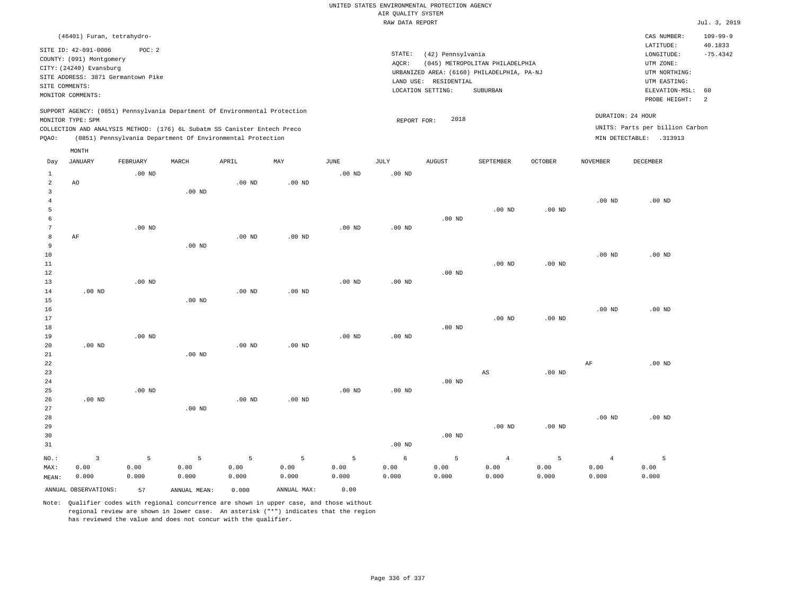|                |                                                                                                                                                                             |                   |                                                            |                   |                   |                   |                    | UNITED STATES ENVIRONMENTAL PROTECTION AGENCY |                                            |                   |                   |                                                      |                           |
|----------------|-----------------------------------------------------------------------------------------------------------------------------------------------------------------------------|-------------------|------------------------------------------------------------|-------------------|-------------------|-------------------|--------------------|-----------------------------------------------|--------------------------------------------|-------------------|-------------------|------------------------------------------------------|---------------------------|
|                |                                                                                                                                                                             |                   |                                                            |                   |                   |                   | AIR QUALITY SYSTEM |                                               |                                            |                   |                   |                                                      |                           |
|                |                                                                                                                                                                             |                   |                                                            |                   |                   |                   | RAW DATA REPORT    |                                               |                                            |                   |                   |                                                      | Jul. 3, 2019              |
|                | (46401) Furan, tetrahydro-                                                                                                                                                  |                   |                                                            |                   |                   |                   |                    |                                               |                                            |                   |                   | CAS NUMBER:<br>LATITUDE:                             | $109 - 99 - 9$<br>40.1833 |
|                | SITE ID: 42-091-0006                                                                                                                                                        | POC: 2            |                                                            |                   |                   |                   | STATE:             | (42) Pennsylvania                             |                                            |                   |                   | LONGITUDE:                                           | $-75.4342$                |
|                | COUNTY: (091) Montgomery                                                                                                                                                    |                   |                                                            |                   |                   |                   | AQCR:              |                                               | (045) METROPOLITAN PHILADELPHIA            |                   |                   | UTM ZONE:                                            |                           |
|                | CITY: (24240) Evansburg                                                                                                                                                     |                   |                                                            |                   |                   |                   |                    |                                               | URBANIZED AREA: (6160) PHILADELPHIA, PA-NJ |                   |                   | UTM NORTHING:                                        |                           |
|                | SITE ADDRESS: 3871 Germantown Pike                                                                                                                                          |                   |                                                            |                   |                   |                   |                    | LAND USE: RESIDENTIAL                         |                                            |                   |                   | UTM EASTING:                                         |                           |
|                | SITE COMMENTS:                                                                                                                                                              |                   |                                                            |                   |                   |                   |                    | LOCATION SETTING:                             | SUBURBAN                                   |                   |                   | ELEVATION-MSL:                                       | 60                        |
|                | MONITOR COMMENTS:                                                                                                                                                           |                   |                                                            |                   |                   |                   |                    |                                               |                                            |                   |                   | PROBE HEIGHT:                                        | 2                         |
|                | SUPPORT AGENCY: (0851) Pennsylvania Department Of Environmental Protection<br>MONITOR TYPE: SPM<br>COLLECTION AND ANALYSIS METHOD: (176) 6L Subatm SS Canister Entech Preco |                   |                                                            |                   |                   |                   | REPORT FOR:        | 2018                                          |                                            |                   |                   | DURATION: 24 HOUR<br>UNITS: Parts per billion Carbon |                           |
| PQAO:          |                                                                                                                                                                             |                   | (0851) Pennsylvania Department Of Environmental Protection |                   |                   |                   |                    |                                               |                                            |                   |                   | MIN DETECTABLE: .313913                              |                           |
|                | MONTH                                                                                                                                                                       |                   |                                                            |                   |                   |                   |                    |                                               |                                            |                   |                   |                                                      |                           |
| Day            | <b>JANUARY</b>                                                                                                                                                              | FEBRUARY          | MARCH                                                      | APRIL             | MAY               | <b>JUNE</b>       | <b>JULY</b>        | <b>AUGUST</b>                                 | SEPTEMBER                                  | <b>OCTOBER</b>    | <b>NOVEMBER</b>   | <b>DECEMBER</b>                                      |                           |
| 1              |                                                                                                                                                                             | $.00$ ND          |                                                            |                   |                   | $.00$ ND          | .00 <sub>ND</sub>  |                                               |                                            |                   |                   |                                                      |                           |
| 2              | AO.                                                                                                                                                                         |                   |                                                            | $.00$ ND          | .00 <sub>ND</sub> |                   |                    |                                               |                                            |                   |                   |                                                      |                           |
| $\overline{3}$ |                                                                                                                                                                             |                   | .00 <sub>ND</sub>                                          |                   |                   |                   |                    |                                               |                                            |                   |                   |                                                      |                           |
| $\overline{4}$ |                                                                                                                                                                             |                   |                                                            |                   |                   |                   |                    |                                               |                                            |                   | $.00$ ND          | $.00$ ND                                             |                           |
| 5              |                                                                                                                                                                             |                   |                                                            |                   |                   |                   |                    |                                               | $.00$ ND                                   | .00 <sub>ND</sub> |                   |                                                      |                           |
| 6<br>7         |                                                                                                                                                                             |                   |                                                            |                   |                   |                   |                    | $.00$ ND                                      |                                            |                   |                   |                                                      |                           |
| 8              | AF                                                                                                                                                                          | $.00$ ND          |                                                            | $.00$ ND          | $.00$ ND          | .00 <sub>ND</sub> | .00 <sub>ND</sub>  |                                               |                                            |                   |                   |                                                      |                           |
| 9              |                                                                                                                                                                             |                   | $.00$ ND                                                   |                   |                   |                   |                    |                                               |                                            |                   |                   |                                                      |                           |
| 10             |                                                                                                                                                                             |                   |                                                            |                   |                   |                   |                    |                                               |                                            |                   | .00 <sub>ND</sub> | $.00$ ND                                             |                           |
| $11\,$         |                                                                                                                                                                             |                   |                                                            |                   |                   |                   |                    |                                               | $.00$ ND                                   | $.00$ ND          |                   |                                                      |                           |
| 12             |                                                                                                                                                                             |                   |                                                            |                   |                   |                   |                    | $.00$ ND                                      |                                            |                   |                   |                                                      |                           |
| 13             |                                                                                                                                                                             | .00 <sub>ND</sub> |                                                            |                   |                   | .00 <sub>ND</sub> | $.00$ ND           |                                               |                                            |                   |                   |                                                      |                           |
| 14             | $.00$ ND                                                                                                                                                                    |                   |                                                            | .00 <sub>ND</sub> | $.00$ ND          |                   |                    |                                               |                                            |                   |                   |                                                      |                           |
| 15             |                                                                                                                                                                             |                   | .00 <sub>ND</sub>                                          |                   |                   |                   |                    |                                               |                                            |                   |                   |                                                      |                           |
| 16             |                                                                                                                                                                             |                   |                                                            |                   |                   |                   |                    |                                               |                                            |                   | .00 <sub>ND</sub> | $.00$ ND                                             |                           |
| 17             |                                                                                                                                                                             |                   |                                                            |                   |                   |                   |                    |                                               | .00 <sub>ND</sub>                          | $.00$ ND          |                   |                                                      |                           |
| 18             |                                                                                                                                                                             |                   |                                                            |                   |                   |                   |                    | $.00$ ND                                      |                                            |                   |                   |                                                      |                           |
| 19             |                                                                                                                                                                             | $.00$ ND          |                                                            |                   |                   | $.00$ ND          | $.00$ ND           |                                               |                                            |                   |                   |                                                      |                           |
| 20             | $.00$ ND                                                                                                                                                                    |                   |                                                            | $.00$ ND          | $.00$ ND          |                   |                    |                                               |                                            |                   |                   |                                                      |                           |
| 21             |                                                                                                                                                                             |                   | $.00$ ND                                                   |                   |                   |                   |                    |                                               |                                            |                   |                   |                                                      |                           |
| 22             |                                                                                                                                                                             |                   |                                                            |                   |                   |                   |                    |                                               |                                            |                   | AF                | $.00$ ND                                             |                           |
| 23             |                                                                                                                                                                             |                   |                                                            |                   |                   |                   |                    |                                               | AS                                         | $.00$ ND          |                   |                                                      |                           |
| 24             |                                                                                                                                                                             |                   |                                                            |                   |                   |                   |                    | $.00~\mathrm{ND}$                             |                                            |                   |                   |                                                      |                           |
| 25             |                                                                                                                                                                             | $.00$ ND          |                                                            |                   |                   | $.00$ ND          | $.00$ ND           |                                               |                                            |                   |                   |                                                      |                           |
| 26             | $.00$ ND                                                                                                                                                                    |                   |                                                            | $.00$ ND          | $.00$ ND          |                   |                    |                                               |                                            |                   |                   |                                                      |                           |
| 27             |                                                                                                                                                                             |                   | .00 <sub>ND</sub>                                          |                   |                   |                   |                    |                                               |                                            |                   |                   |                                                      |                           |
| 28             |                                                                                                                                                                             |                   |                                                            |                   |                   |                   |                    |                                               |                                            |                   | .00 <sub>ND</sub> | $.00$ ND                                             |                           |
| 29             |                                                                                                                                                                             |                   |                                                            |                   |                   |                   |                    |                                               | $.00$ ND                                   | $.00$ ND          |                   |                                                      |                           |
| 30             |                                                                                                                                                                             |                   |                                                            |                   |                   |                   |                    | $.00$ ND                                      |                                            |                   |                   |                                                      |                           |
| 31             |                                                                                                                                                                             |                   |                                                            |                   |                   |                   | .00 <sub>ND</sub>  |                                               |                                            |                   |                   |                                                      |                           |
| NO.:           | $\overline{3}$                                                                                                                                                              | 5                 | 5                                                          | 5                 | 5                 | 5                 | 6                  | 5                                             | $\overline{4}$                             | 5                 | $\overline{4}$    | 5                                                    |                           |
| MAX:           | 0.00                                                                                                                                                                        | 0.00              | 0.00                                                       | 0.00              | 0.00              | 0.00              | 0.00               | 0.00                                          | 0.00                                       | 0.00              | 0.00              | 0.00                                                 |                           |
| MEAN:          | 0.000                                                                                                                                                                       | 0.000             | 0.000                                                      | 0.000             | 0.000             | 0.000             | 0.000              | 0.000                                         | 0.000                                      | 0.000             | 0.000             | 0.000                                                |                           |
|                | ANNUAL OBSERVATIONS:                                                                                                                                                        | 57                | ANNUAL MEAN:                                               | 0.000             | ANNUAL MAX:       | 0.00              |                    |                                               |                                            |                   |                   |                                                      |                           |